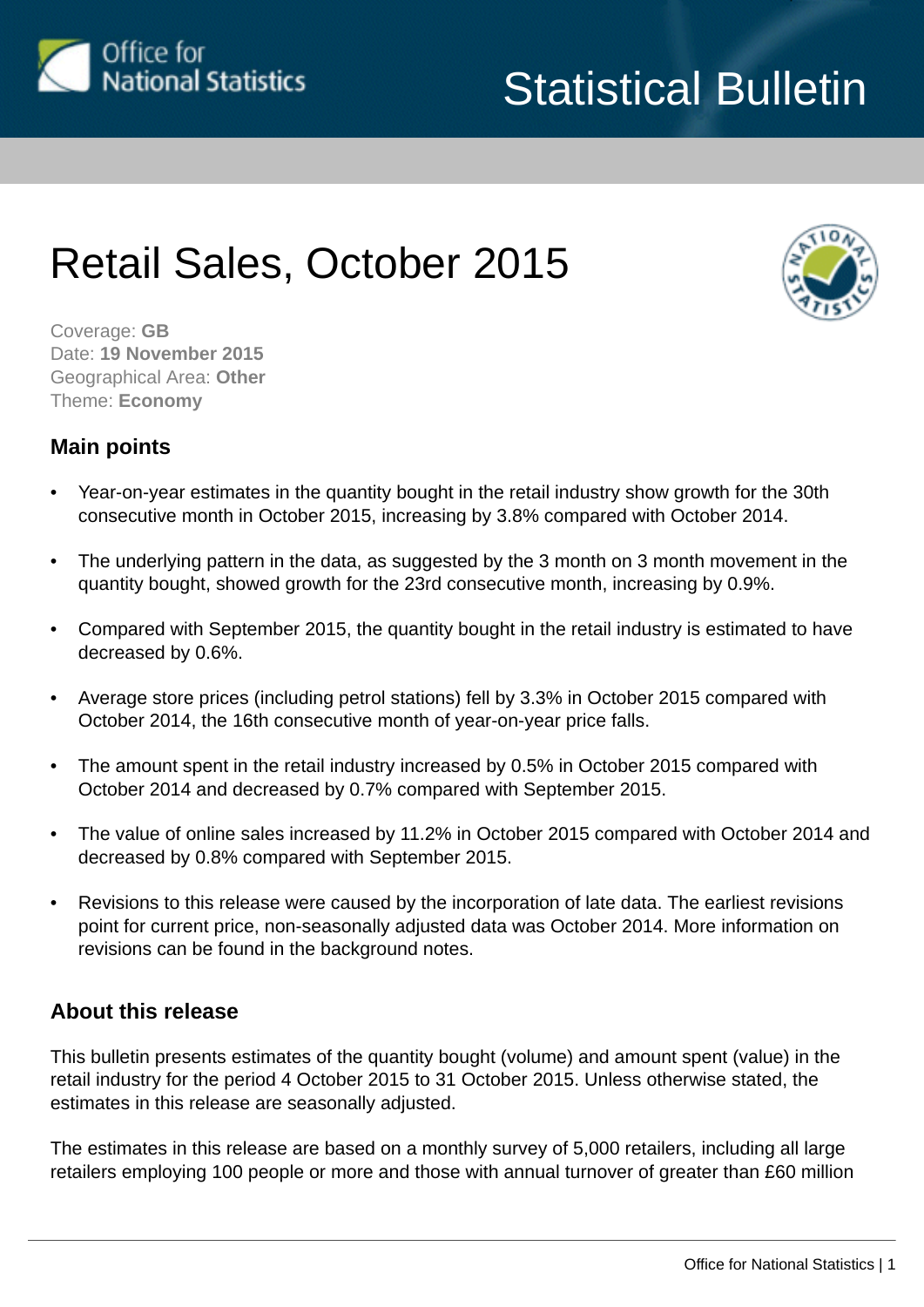<span id="page-0-0"></span>

# Retail Sales, October 2015



Coverage: **GB** Date: **19 November 2015** Geographical Area: **Other** Theme: **Economy**

### **Main points**

- Year-on-year estimates in the quantity bought in the retail industry show growth for the 30th consecutive month in October 2015, increasing by 3.8% compared with October 2014.
- The underlying pattern in the data, as suggested by the 3 month on 3 month movement in the quantity bought, showed growth for the 23rd consecutive month, increasing by 0.9%.
- Compared with September 2015, the quantity bought in the retail industry is estimated to have decreased by 0.6%.
- Average store prices (including petrol stations) fell by 3.3% in October 2015 compared with October 2014, the 16th consecutive month of year-on-year price falls.
- The amount spent in the retail industry increased by 0.5% in October 2015 compared with October 2014 and decreased by 0.7% compared with September 2015.
- The value of online sales increased by 11.2% in October 2015 compared with October 2014 and decreased by 0.8% compared with September 2015.
- Revisions to this release were caused by the incorporation of late data. The earliest revisions point for current price, non-seasonally adjusted data was October 2014. More information on revisions can be found in the background notes.

### **About this release**

This bulletin presents estimates of the quantity bought (volume) and amount spent (value) in the retail industry for the period 4 October 2015 to 31 October 2015. Unless otherwise stated, the estimates in this release are seasonally adjusted.

The estimates in this release are based on a monthly survey of 5,000 retailers, including all large retailers employing 100 people or more and those with annual turnover of greater than £60 million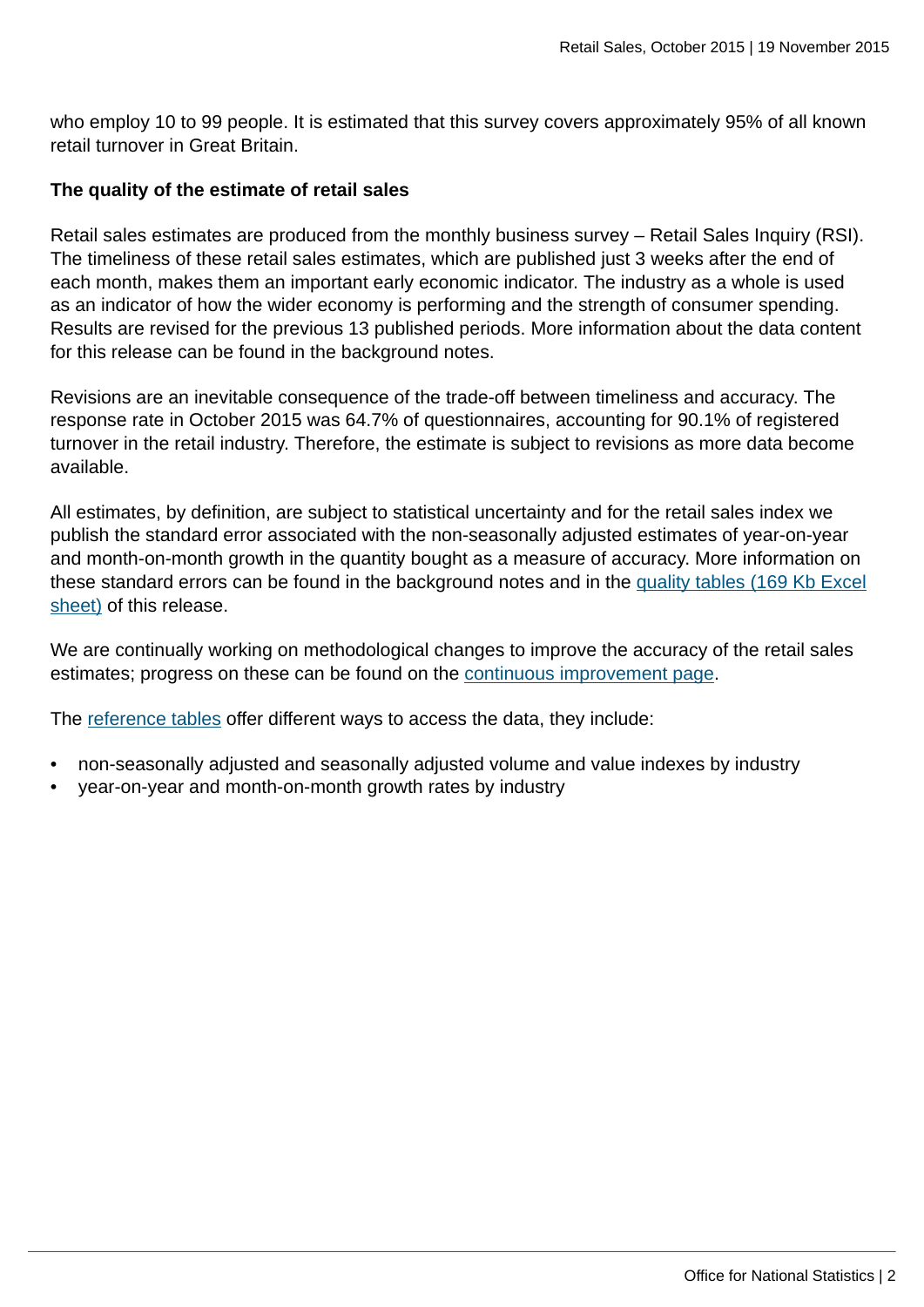who employ 10 to 99 people. It is estimated that this survey covers approximately 95% of all known retail turnover in Great Britain.

### **The quality of the estimate of retail sales**

Retail sales estimates are produced from the monthly business survey – Retail Sales Inquiry (RSI). The timeliness of these retail sales estimates, which are published just 3 weeks after the end of each month, makes them an important early economic indicator. The industry as a whole is used as an indicator of how the wider economy is performing and the strength of consumer spending. Results are revised for the previous 13 published periods. More information about the data content for this release can be found in the background notes.

Revisions are an inevitable consequence of the trade-off between timeliness and accuracy. The response rate in October 2015 was 64.7% of questionnaires, accounting for 90.1% of registered turnover in the retail industry. Therefore, the estimate is subject to revisions as more data become available.

All estimates, by definition, are subject to statistical uncertainty and for the retail sales index we publish the standard error associated with the non-seasonally adjusted estimates of year-on-year and month-on-month growth in the quantity bought as a measure of accuracy. More information on these standard errors can be found in the background notes and in the [quality tables \(169 Kb Excel](http://www.ons.gov.uk:80/ons/rel/rsi/retail-sales/october-2015/rft-quality-tables.xls) [sheet\)](http://www.ons.gov.uk:80/ons/rel/rsi/retail-sales/october-2015/rft-quality-tables.xls) of this release.

We are continually working on methodological changes to improve the accuracy of the retail sales estimates; progress on these can be found on the [continuous improvement page.](http://www.ons.gov.uk:80/ons/guide-method/method-quality/ons-statistical-continuous-improvement/index.html)

The [reference tables](http://www.ons.gov.uk/ons/publications/re-reference-tables.html?edition=tcm%3A77-373420) offer different ways to access the data, they include:

- non-seasonally adjusted and seasonally adjusted volume and value indexes by industry
- year-on-year and month-on-month growth rates by industry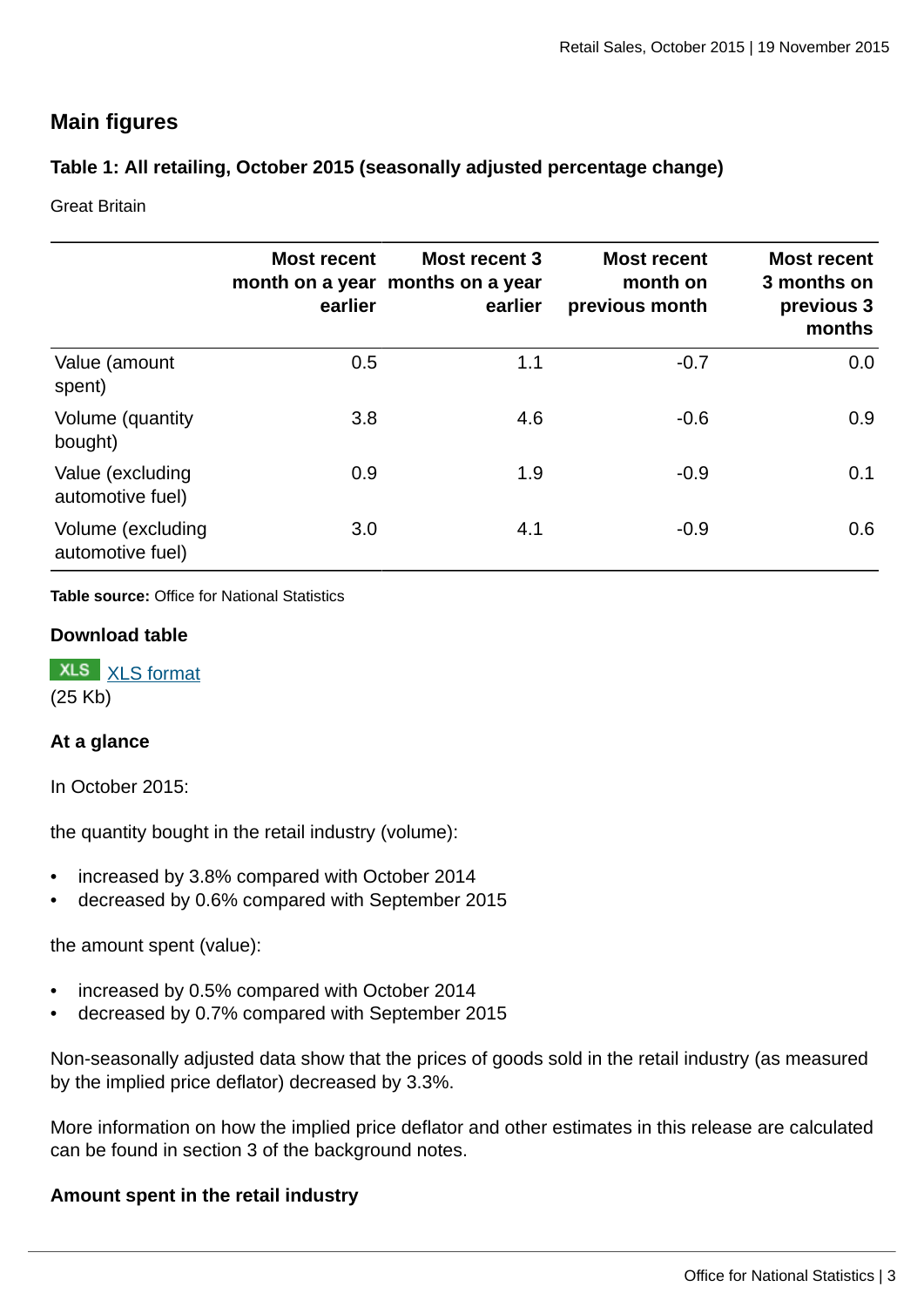## **Main figures**

### **Table 1: All retailing, October 2015 (seasonally adjusted percentage change)**

Great Britain

|                                       | <b>Most recent</b><br>earlier | <b>Most recent 3</b><br>month on a year months on a year<br>earlier | <b>Most recent</b><br>month on<br>previous month | <b>Most recent</b><br>3 months on<br>previous 3<br>months |
|---------------------------------------|-------------------------------|---------------------------------------------------------------------|--------------------------------------------------|-----------------------------------------------------------|
| Value (amount<br>spent)               | 0.5                           | 1.1                                                                 | $-0.7$                                           | 0.0                                                       |
| Volume (quantity<br>bought)           | 3.8                           | 4.6                                                                 | $-0.6$                                           | 0.9                                                       |
| Value (excluding<br>automotive fuel)  | 0.9                           | 1.9                                                                 | $-0.9$                                           | 0.1                                                       |
| Volume (excluding<br>automotive fuel) | 3.0                           | 4.1                                                                 | $-0.9$                                           | 0.6                                                       |

**Table source:** Office for National Statistics

#### **Download table**



### **At a glance**

In October 2015:

the quantity bought in the retail industry (volume):

- increased by 3.8% compared with October 2014
- decreased by 0.6% compared with September 2015

the amount spent (value):

- increased by 0.5% compared with October 2014
- decreased by 0.7% compared with September 2015

Non-seasonally adjusted data show that the prices of goods sold in the retail industry (as measured by the implied price deflator) decreased by 3.3%.

More information on how the implied price deflator and other estimates in this release are calculated can be found in section 3 of the background notes.

### **Amount spent in the retail industry**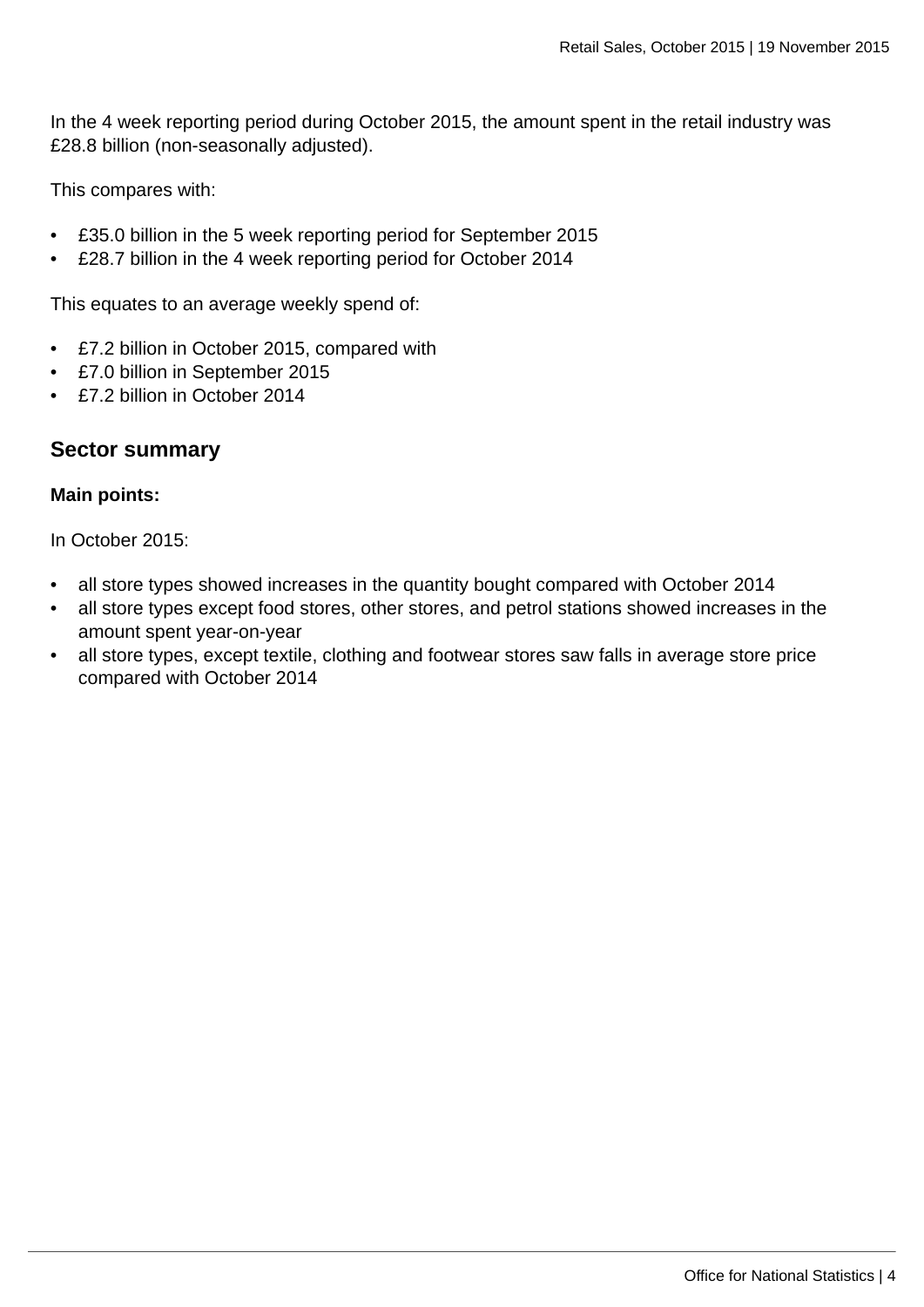In the 4 week reporting period during October 2015, the amount spent in the retail industry was £28.8 billion (non-seasonally adjusted).

This compares with:

- £35.0 billion in the 5 week reporting period for September 2015
- £28.7 billion in the 4 week reporting period for October 2014

This equates to an average weekly spend of:

- £7.2 billion in October 2015, compared with
- £7.0 billion in September 2015
- £7.2 billion in October 2014

### **Sector summary**

#### **Main points:**

In October 2015:

- all store types showed increases in the quantity bought compared with October 2014
- all store types except food stores, other stores, and petrol stations showed increases in the amount spent year-on-year
- all store types, except textile, clothing and footwear stores saw falls in average store price compared with October 2014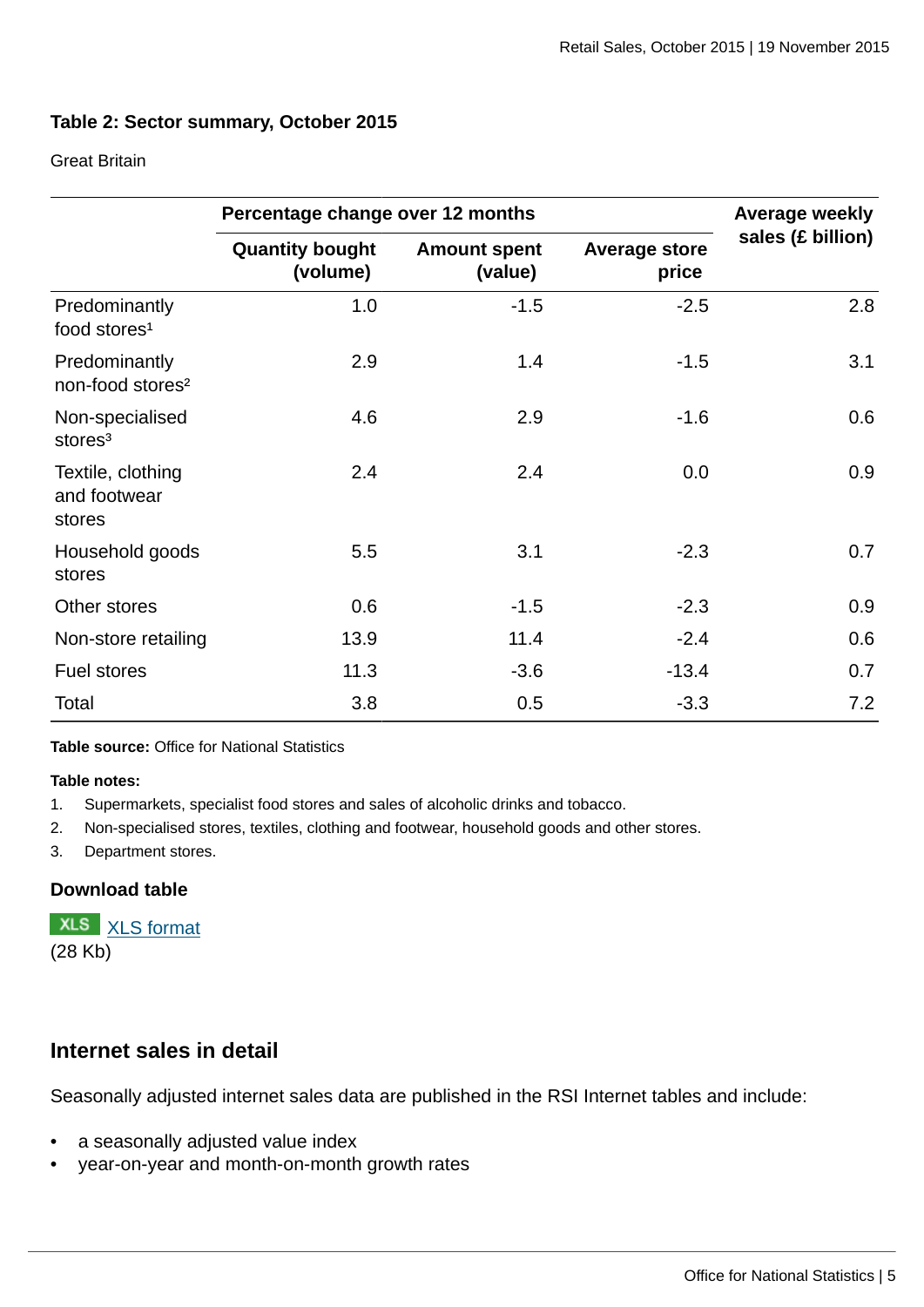### **Table 2: Sector summary, October 2015**

#### Great Britain

|                                               | Percentage change over 12 months   |                                |                               | <b>Average weekly</b> |
|-----------------------------------------------|------------------------------------|--------------------------------|-------------------------------|-----------------------|
|                                               | <b>Quantity bought</b><br>(volume) | <b>Amount spent</b><br>(value) | <b>Average store</b><br>price | sales (£ billion)     |
| Predominantly<br>food stores <sup>1</sup>     | 1.0                                | $-1.5$                         | $-2.5$                        | 2.8                   |
| Predominantly<br>non-food stores <sup>2</sup> | 2.9                                | 1.4                            | $-1.5$                        | 3.1                   |
| Non-specialised<br>stores <sup>3</sup>        | 4.6                                | 2.9                            | $-1.6$                        | 0.6                   |
| Textile, clothing<br>and footwear<br>stores   | 2.4                                | 2.4                            | 0.0                           | 0.9                   |
| Household goods<br>stores                     | 5.5                                | 3.1                            | $-2.3$                        | 0.7                   |
| Other stores                                  | 0.6                                | $-1.5$                         | $-2.3$                        | 0.9                   |
| Non-store retailing                           | 13.9                               | 11.4                           | $-2.4$                        | 0.6                   |
| <b>Fuel stores</b>                            | 11.3                               | $-3.6$                         | $-13.4$                       | 0.7                   |
| Total                                         | 3.8                                | 0.5                            | $-3.3$                        | 7.2                   |

**Table source:** Office for National Statistics

#### **Table notes:**

- 1. Supermarkets, specialist food stores and sales of alcoholic drinks and tobacco.
- 2. Non-specialised stores, textiles, clothing and footwear, household goods and other stores.
- 3. Department stores.

### **Download table**

**XLS** [XLS format](http://www.ons.gov.uk:80/ons/rel/rsi/retail-sales/october-2015/prt-table-2.xls) (28 Kb)

### **Internet sales in detail**

Seasonally adjusted internet sales data are published in the RSI Internet tables and include:

- a seasonally adjusted value index
- year-on-year and month-on-month growth rates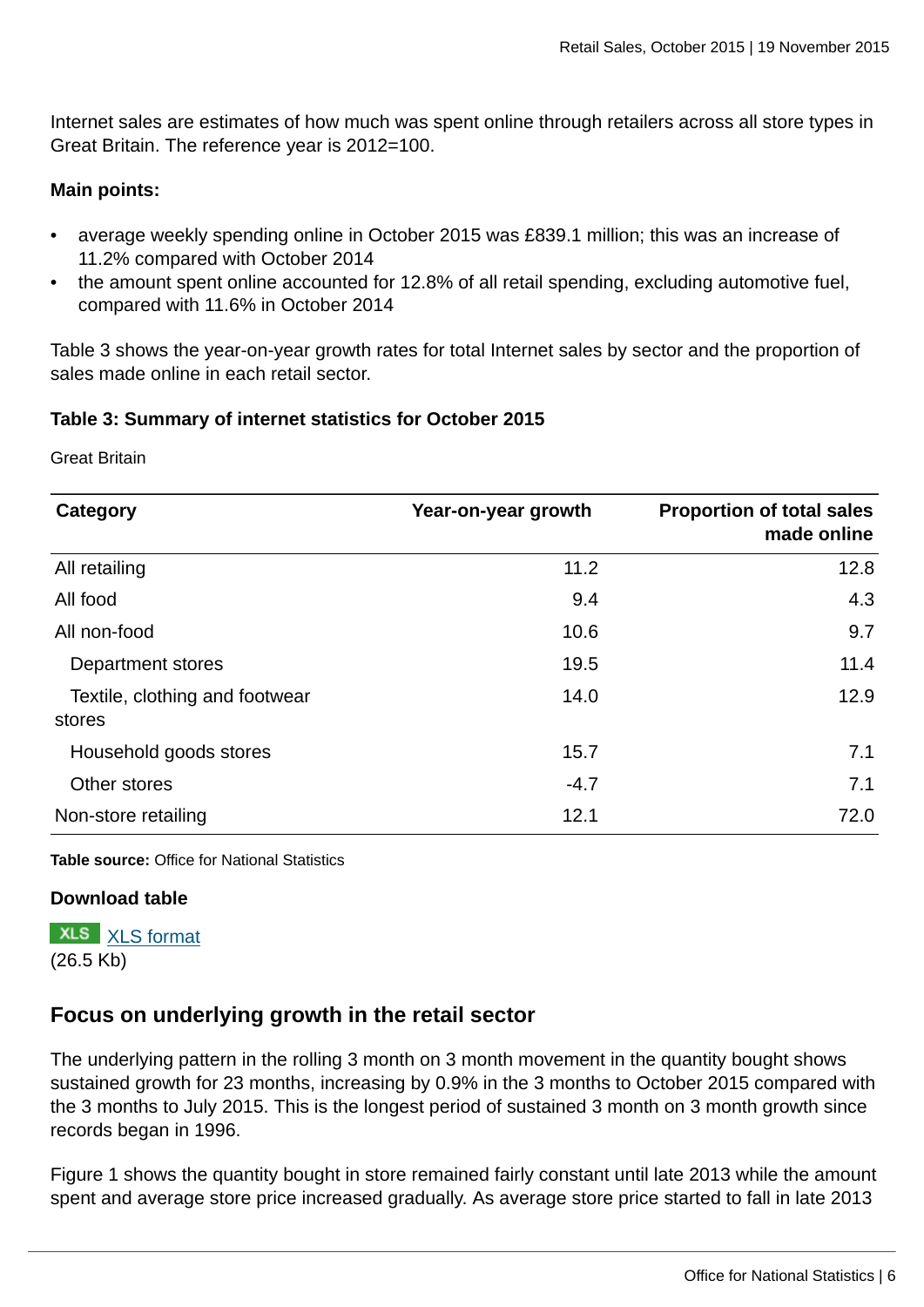Internet sales are estimates of how much was spent online through retailers across all store types in Great Britain. The reference year is 2012=100.

### **Main points:**

- average weekly spending online in October 2015 was £839.1 million; this was an increase of 11.2% compared with October 2014
- the amount spent online accounted for 12.8% of all retail spending, excluding automotive fuel, compared with 11.6% in October 2014

Table 3 shows the year-on-year growth rates for total Internet sales by sector and the proportion of sales made online in each retail sector.

### **Table 3: Summary of internet statistics for October 2015**

Great Britain

| Category                                 | Year-on-year growth | <b>Proportion of total sales</b><br>made online |
|------------------------------------------|---------------------|-------------------------------------------------|
| All retailing                            | 11.2                | 12.8                                            |
| All food                                 | 9.4                 | 4.3                                             |
| All non-food                             | 10.6                | 9.7                                             |
| Department stores                        | 19.5                | 11.4                                            |
| Textile, clothing and footwear<br>stores | 14.0                | 12.9                                            |
| Household goods stores                   | 15.7                | 7.1                                             |
| Other stores                             | $-4.7$              | 7.1                                             |
| Non-store retailing                      | 12.1                | 72.0                                            |

**Table source:** Office for National Statistics

#### **Download table**

**XLS** [XLS format](http://www.ons.gov.uk:80/ons/rel/rsi/retail-sales/october-2015/prt-table-3.xls) (26.5 Kb)

### **Focus on underlying growth in the retail sector**

The underlying pattern in the rolling 3 month on 3 month movement in the quantity bought shows sustained growth for 23 months, increasing by 0.9% in the 3 months to October 2015 compared with the 3 months to July 2015. This is the longest period of sustained 3 month on 3 month growth since records began in 1996.

Figure 1 shows the quantity bought in store remained fairly constant until late 2013 while the amount spent and average store price increased gradually. As average store price started to fall in late 2013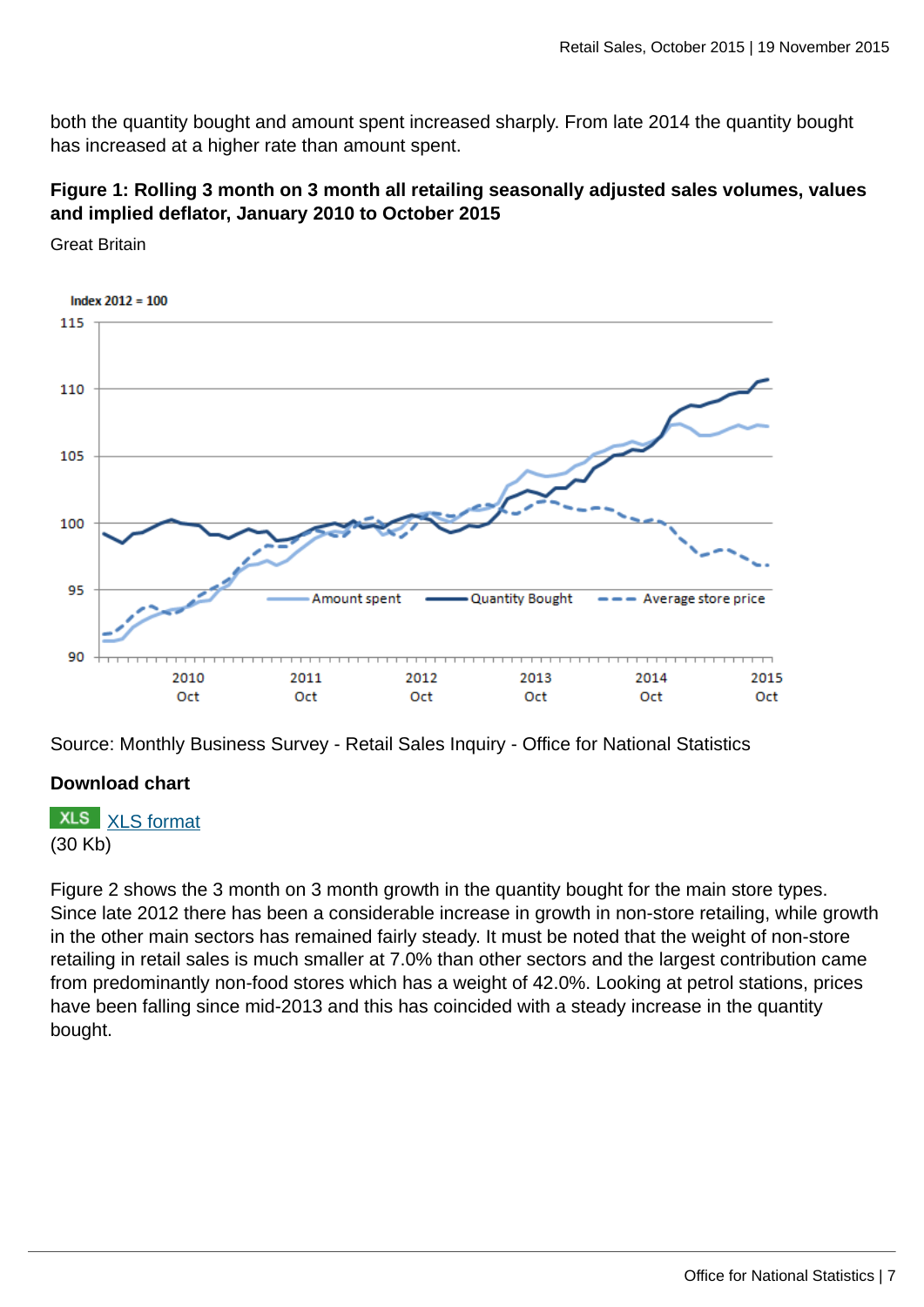both the quantity bought and amount spent increased sharply. From late 2014 the quantity bought has increased at a higher rate than amount spent.

### **Figure 1: Rolling 3 month on 3 month all retailing seasonally adjusted sales volumes, values and implied deflator, January 2010 to October 2015**



Great Britain

Source: Monthly Business Survey - Retail Sales Inquiry - Office for National Statistics

### **Download chart**

**XLS** [XLS format](http://www.ons.gov.uk:80/ons/rel/rsi/retail-sales/october-2015/chd-figure-1.xls)

### (30 Kb)

Figure 2 shows the 3 month on 3 month growth in the quantity bought for the main store types. Since late 2012 there has been a considerable increase in growth in non-store retailing, while growth in the other main sectors has remained fairly steady. It must be noted that the weight of non-store retailing in retail sales is much smaller at 7.0% than other sectors and the largest contribution came from predominantly non-food stores which has a weight of 42.0%. Looking at petrol stations, prices have been falling since mid-2013 and this has coincided with a steady increase in the quantity bought.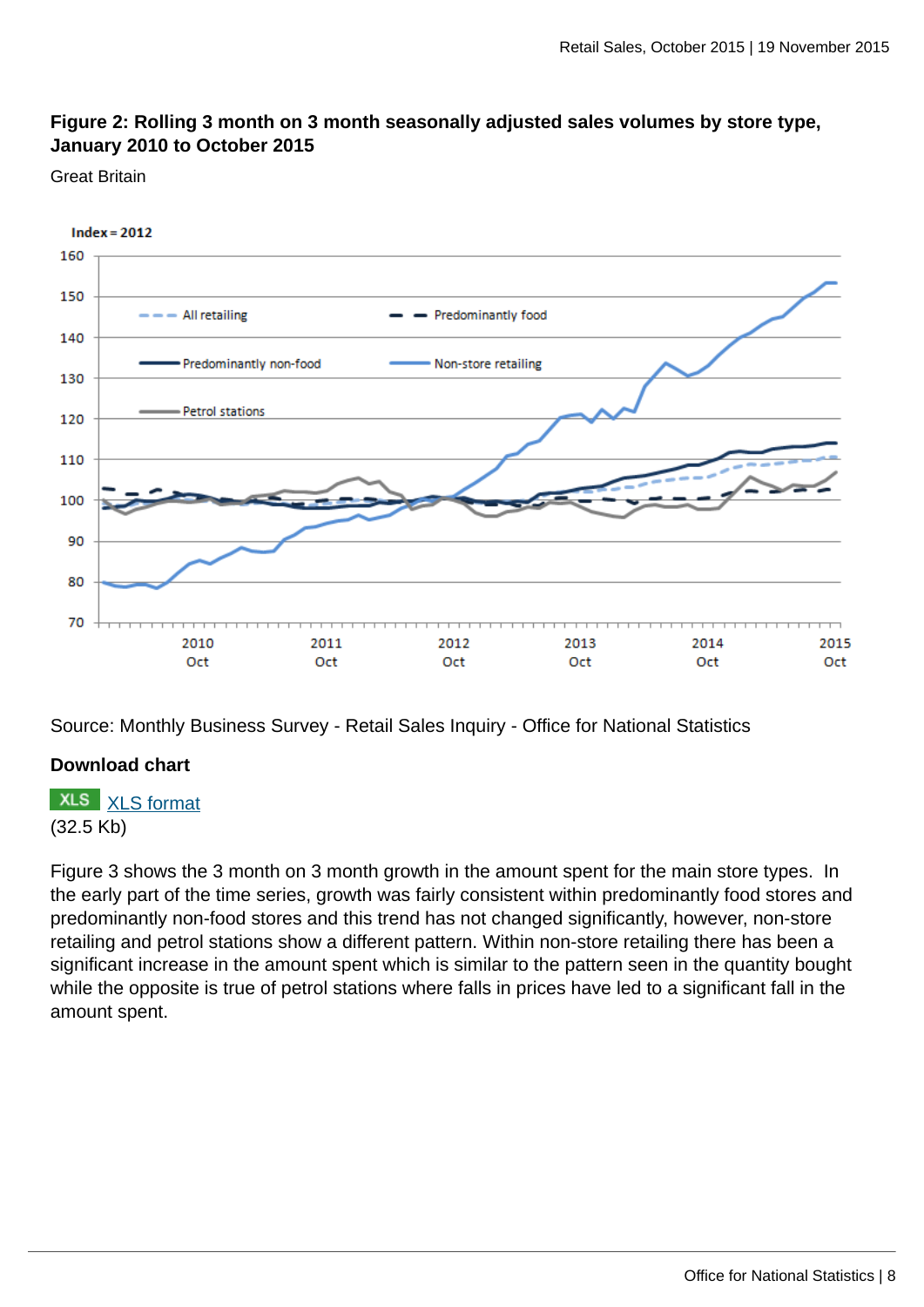### **Figure 2: Rolling 3 month on 3 month seasonally adjusted sales volumes by store type, January 2010 to October 2015**

Great Britain



Source: Monthly Business Survey - Retail Sales Inquiry - Office for National Statistics

#### **Download chart**

**XLS** [XLS format](http://www.ons.gov.uk:80/ons/rel/rsi/retail-sales/october-2015/chd-figure-2.xls) (32.5 Kb)

Figure 3 shows the 3 month on 3 month growth in the amount spent for the main store types. In the early part of the time series, growth was fairly consistent within predominantly food stores and predominantly non-food stores and this trend has not changed significantly, however, non-store retailing and petrol stations show a different pattern. Within non-store retailing there has been a significant increase in the amount spent which is similar to the pattern seen in the quantity bought while the opposite is true of petrol stations where falls in prices have led to a significant fall in the amount spent.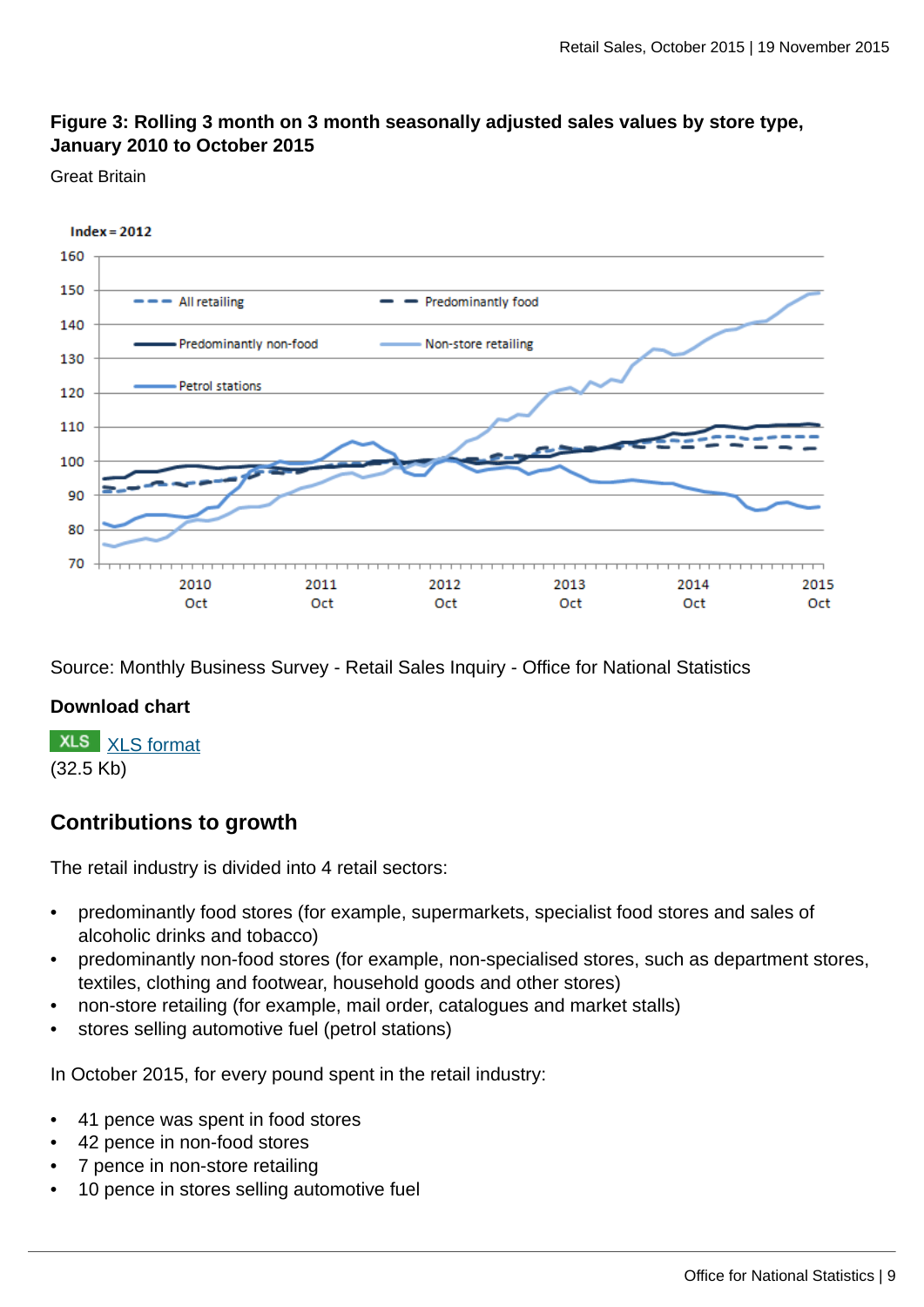### **Figure 3: Rolling 3 month on 3 month seasonally adjusted sales values by store type, January 2010 to October 2015**

#### Great Britain



Source: Monthly Business Survey - Retail Sales Inquiry - Office for National Statistics

### **Download chart**

**XLS** [XLS format](http://www.ons.gov.uk:80/ons/rel/rsi/retail-sales/october-2015/chd-figure-3.xls) (32.5 Kb)

### **Contributions to growth**

The retail industry is divided into 4 retail sectors:

- predominantly food stores (for example, supermarkets, specialist food stores and sales of alcoholic drinks and tobacco)
- predominantly non-food stores (for example, non-specialised stores, such as department stores, textiles, clothing and footwear, household goods and other stores)
- non-store retailing (for example, mail order, catalogues and market stalls)
- stores selling automotive fuel (petrol stations)

In October 2015, for every pound spent in the retail industry:

- 41 pence was spent in food stores
- 42 pence in non-food stores
- 7 pence in non-store retailing
- 10 pence in stores selling automotive fuel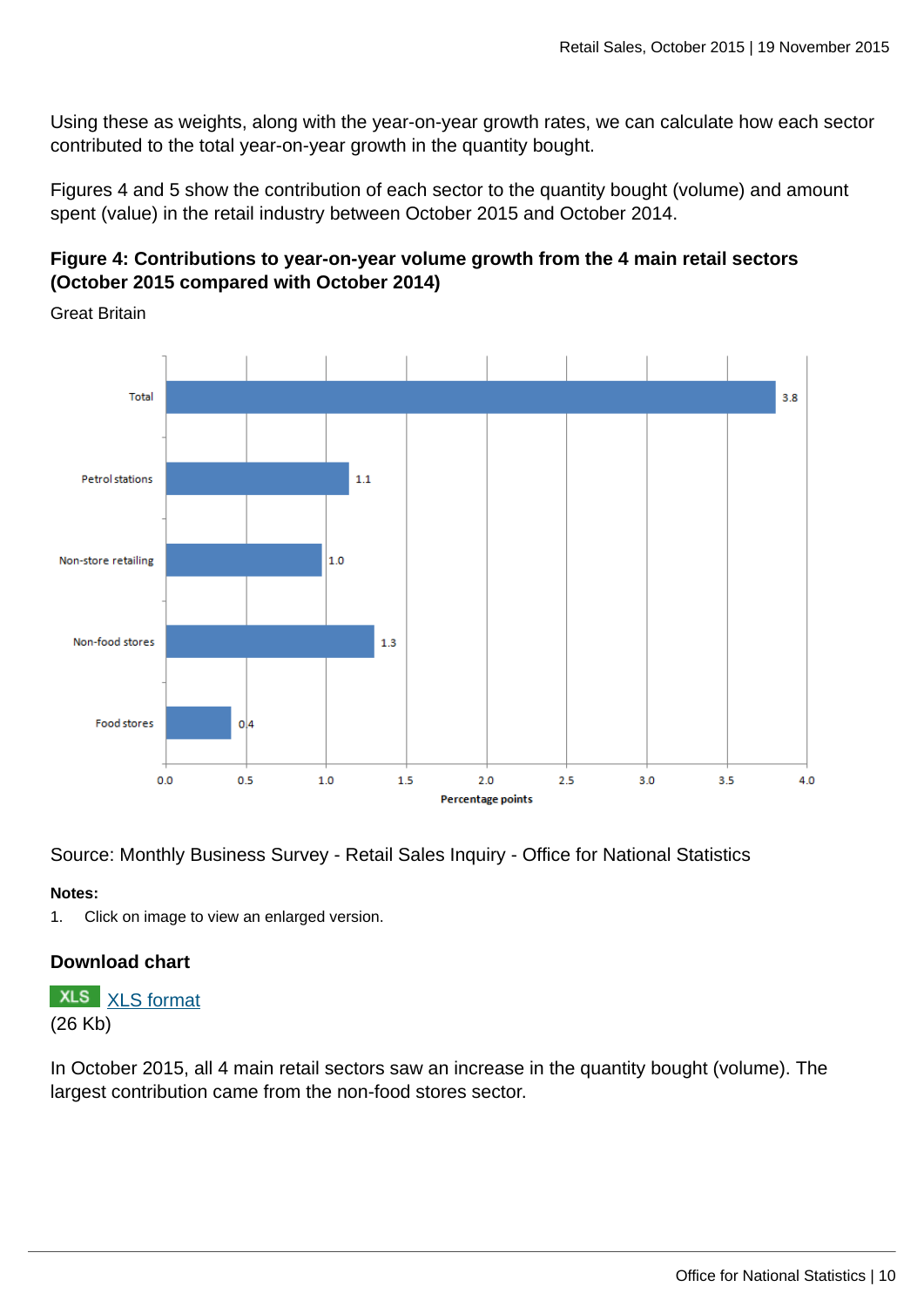Using these as weights, along with the year-on-year growth rates, we can calculate how each sector contributed to the total year-on-year growth in the quantity bought.

Figures 4 and 5 show the contribution of each sector to the quantity bought (volume) and amount spent (value) in the retail industry between October 2015 and October 2014.

### **Figure 4: Contributions to year-on-year volume growth from the 4 main retail sectors (October 2015 compared with October 2014)**



Great Britain

Source: Monthly Business Survey - Retail Sales Inquiry - Office for National Statistics

#### **Notes:**

1. Click on image to view an enlarged version.

### **Download chart**

**XLS** [XLS format](http://www.ons.gov.uk:80/ons/rel/rsi/retail-sales/october-2015/chd-figure-4.xls) (26 Kb)

In October 2015, all 4 main retail sectors saw an increase in the quantity bought (volume). The largest contribution came from the non-food stores sector.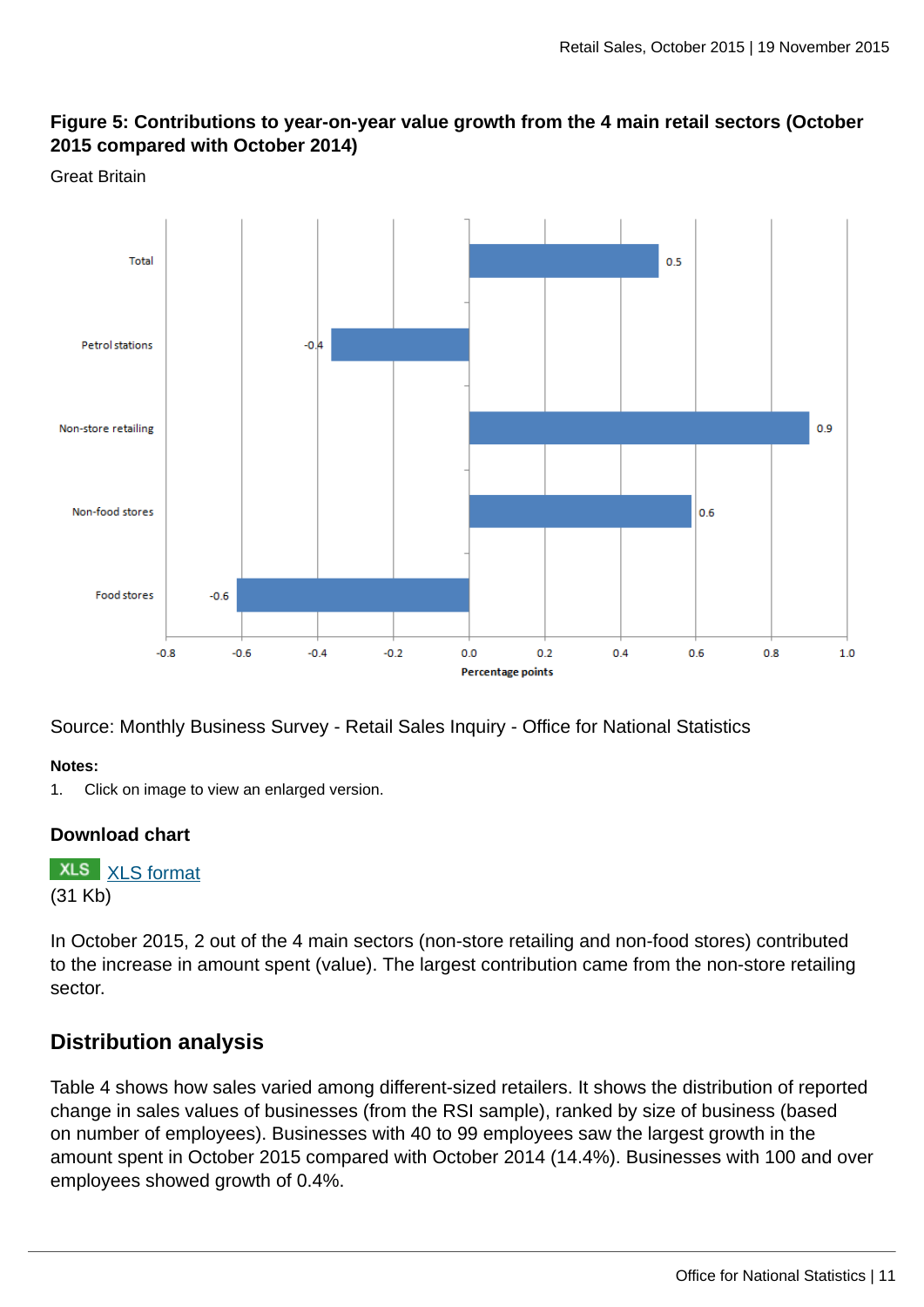### **Figure 5: Contributions to year-on-year value growth from the 4 main retail sectors (October 2015 compared with October 2014)**



Source: Monthly Business Survey - Retail Sales Inquiry - Office for National Statistics

#### **Notes:**

1. Click on image to view an enlarged version.

### **Download chart**

**XLS** [XLS format](http://www.ons.gov.uk:80/ons/rel/rsi/retail-sales/october-2015/chd-figure-5.xls) (31 Kb)

In October 2015, 2 out of the 4 main sectors (non-store retailing and non-food stores) contributed to the increase in amount spent (value). The largest contribution came from the non-store retailing sector.

### **Distribution analysis**

Table 4 shows how sales varied among different-sized retailers. It shows the distribution of reported change in sales values of businesses (from the RSI sample), ranked by size of business (based on number of employees). Businesses with 40 to 99 employees saw the largest growth in the amount spent in October 2015 compared with October 2014 (14.4%). Businesses with 100 and over employees showed growth of 0.4%.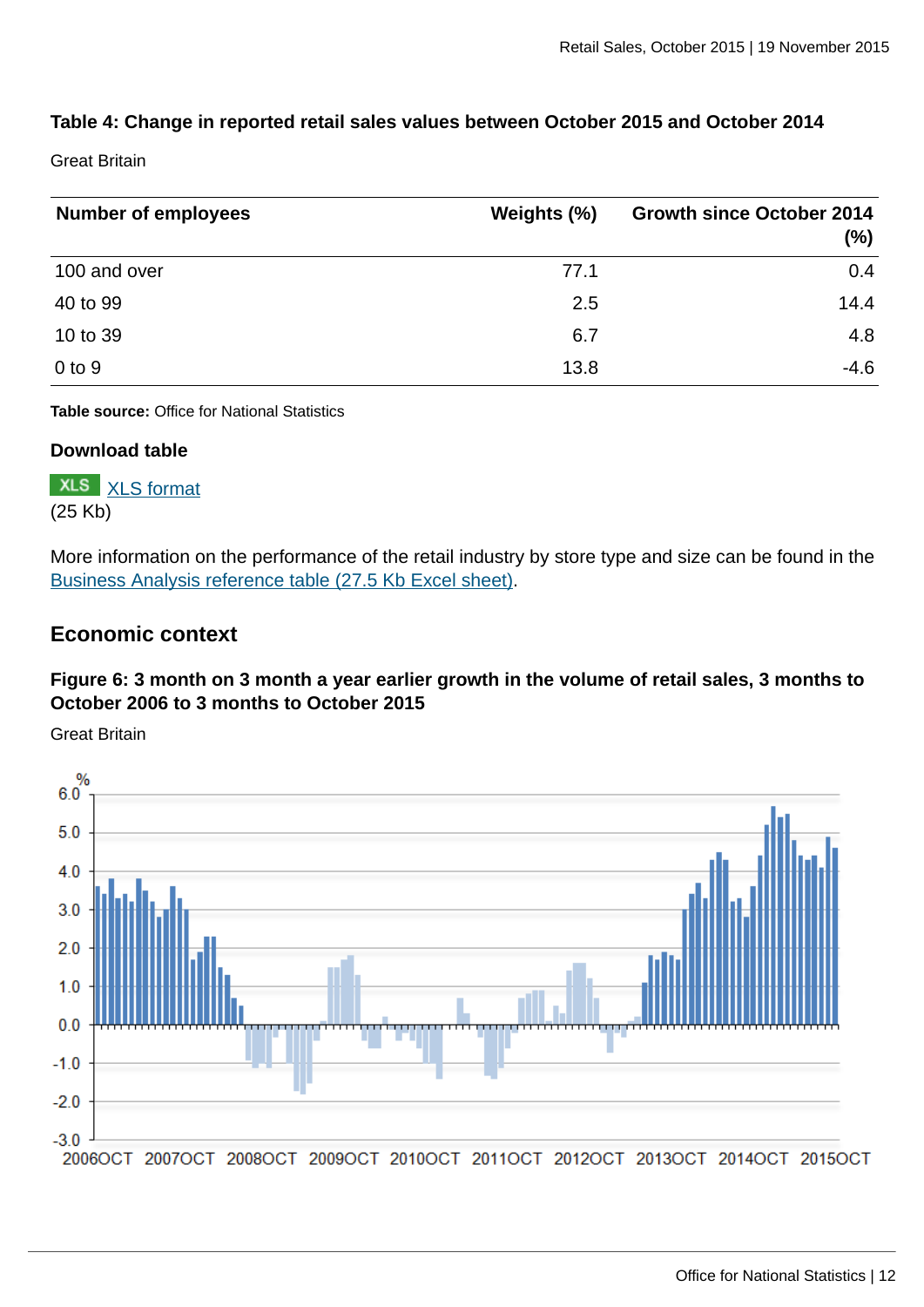### **Table 4: Change in reported retail sales values between October 2015 and October 2014**

Great Britain

| <b>Number of employees</b> | Weights (%) | <b>Growth since October 2014</b><br>(%) |
|----------------------------|-------------|-----------------------------------------|
| 100 and over               | 77.1        | 0.4                                     |
| 40 to 99                   | 2.5         | 14.4                                    |
| 10 to 39                   | 6.7         | 4.8                                     |
| $0$ to $9$                 | 13.8        | $-4.6$                                  |

**Table source:** Office for National Statistics

#### **Download table**

**XLS** [XLS format](http://www.ons.gov.uk:80/ons/rel/rsi/retail-sales/october-2015/prt-table-4.xls) (25 Kb)

More information on the performance of the retail industry by store type and size can be found in the [Business Analysis reference table \(27.5 Kb Excel sheet\)](http://www.ons.gov.uk:80/ons/rel/rsi/retail-sales/october-2015/rft-business-analysis.xls).

### **Economic context**

### **Figure 6: 3 month on 3 month a year earlier growth in the volume of retail sales, 3 months to October 2006 to 3 months to October 2015**

Great Britain

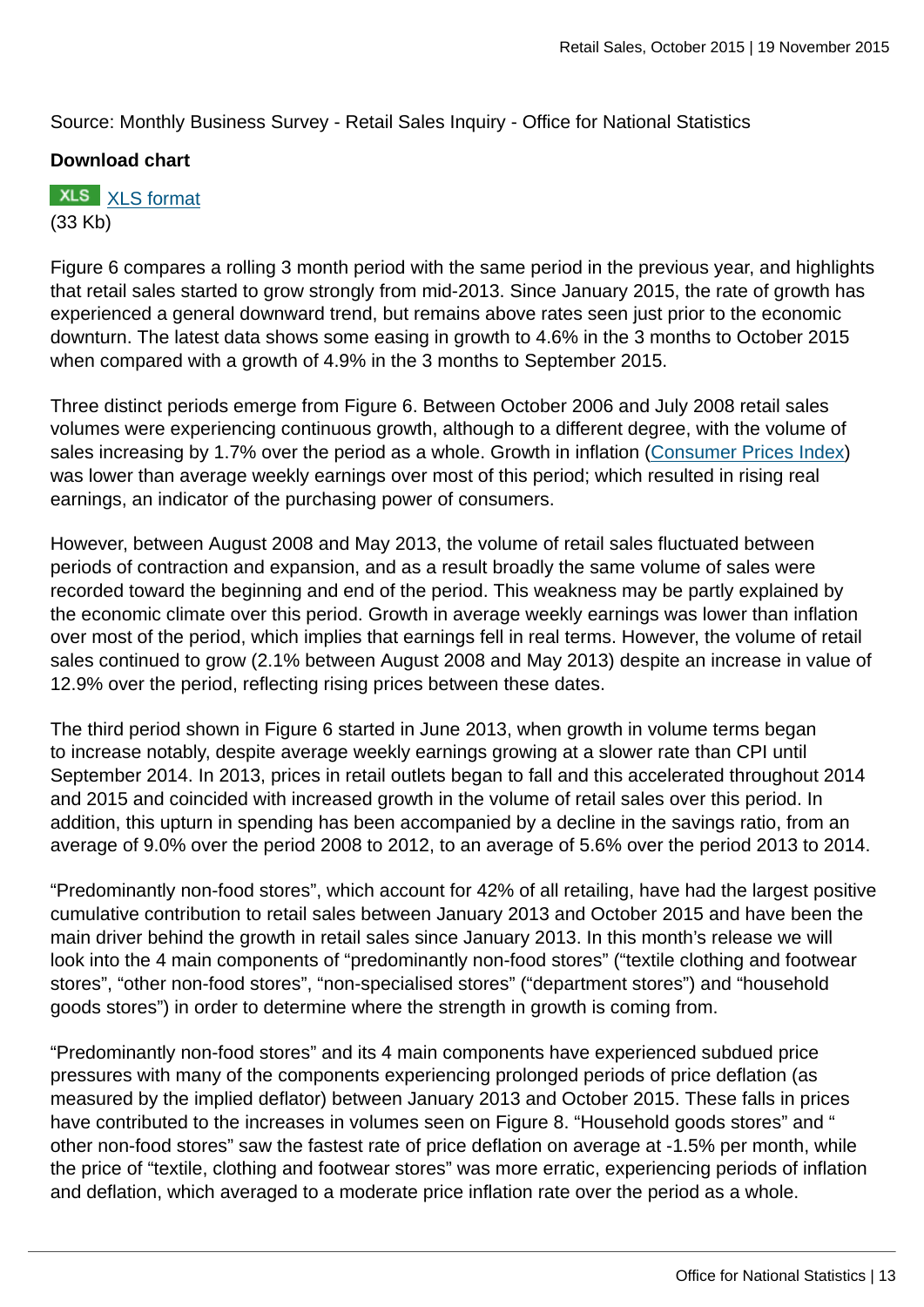Source: Monthly Business Survey - Retail Sales Inquiry - Office for National Statistics

### **Download chart**

### **XLS** [XLS format](http://www.ons.gov.uk:80/ons/rel/rsi/retail-sales/october-2015/chd-figure-6.xls) (33 Kb)

Figure 6 compares a rolling 3 month period with the same period in the previous year, and highlights that retail sales started to grow strongly from mid-2013. Since January 2015, the rate of growth has experienced a general downward trend, but remains above rates seen just prior to the economic downturn. The latest data shows some easing in growth to 4.6% in the 3 months to October 2015 when compared with a growth of 4.9% in the 3 months to September 2015.

Three distinct periods emerge from Figure 6. Between October 2006 and July 2008 retail sales volumes were experiencing continuous growth, although to a different degree, with the volume of sales increasing by 1.7% over the period as a whole. Growth in inflation ([Consumer Prices Index\)](http://www.ons.gov.uk:80/ons/rel/cpi/consumer-price-indices/index.html) was lower than average weekly earnings over most of this period; which resulted in rising real earnings, an indicator of the purchasing power of consumers.

However, between August 2008 and May 2013, the volume of retail sales fluctuated between periods of contraction and expansion, and as a result broadly the same volume of sales were recorded toward the beginning and end of the period. This weakness may be partly explained by the economic climate over this period. Growth in average weekly earnings was lower than inflation over most of the period, which implies that earnings fell in real terms. However, the volume of retail sales continued to grow (2.1% between August 2008 and May 2013) despite an increase in value of 12.9% over the period, reflecting rising prices between these dates.

The third period shown in Figure 6 started in June 2013, when growth in volume terms began to increase notably, despite average weekly earnings growing at a slower rate than CPI until September 2014. In 2013, prices in retail outlets began to fall and this accelerated throughout 2014 and 2015 and coincided with increased growth in the volume of retail sales over this period. In addition, this upturn in spending has been accompanied by a decline in the savings ratio, from an average of 9.0% over the period 2008 to 2012, to an average of 5.6% over the period 2013 to 2014.

"Predominantly non-food stores", which account for 42% of all retailing, have had the largest positive cumulative contribution to retail sales between January 2013 and October 2015 and have been the main driver behind the growth in retail sales since January 2013. In this month's release we will look into the 4 main components of "predominantly non-food stores" ("textile clothing and footwear stores", "other non-food stores", "non-specialised stores" ("department stores") and "household goods stores") in order to determine where the strength in growth is coming from.

"Predominantly non-food stores" and its 4 main components have experienced subdued price pressures with many of the components experiencing prolonged periods of price deflation (as measured by the implied deflator) between January 2013 and October 2015. These falls in prices have contributed to the increases in volumes seen on Figure 8. "Household goods stores" and " other non-food stores" saw the fastest rate of price deflation on average at -1.5% per month, while the price of "textile, clothing and footwear stores" was more erratic, experiencing periods of inflation and deflation, which averaged to a moderate price inflation rate over the period as a whole.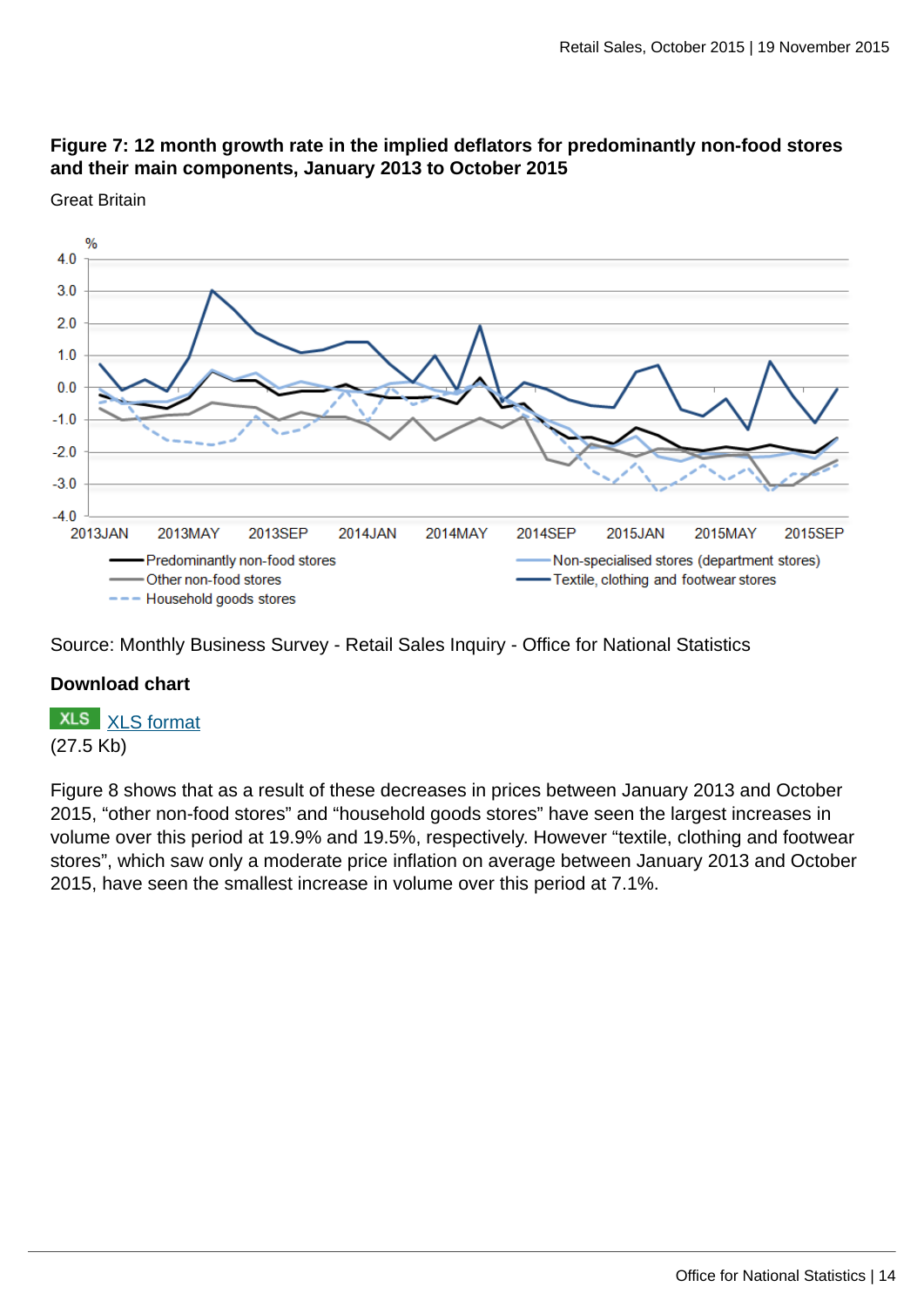### **Figure 7: 12 month growth rate in the implied deflators for predominantly non-food stores and their main components, January 2013 to October 2015**



Great Britain

Source: Monthly Business Survey - Retail Sales Inquiry - Office for National Statistics

### **Download chart**

**XLS** [XLS format](http://www.ons.gov.uk:80/ons/rel/rsi/retail-sales/october-2015/chd-figure-7.xls) (27.5 Kb)

Figure 8 shows that as a result of these decreases in prices between January 2013 and October 2015, "other non-food stores" and "household goods stores" have seen the largest increases in volume over this period at 19.9% and 19.5%, respectively. However "textile, clothing and footwear stores", which saw only a moderate price inflation on average between January 2013 and October 2015, have seen the smallest increase in volume over this period at 7.1%.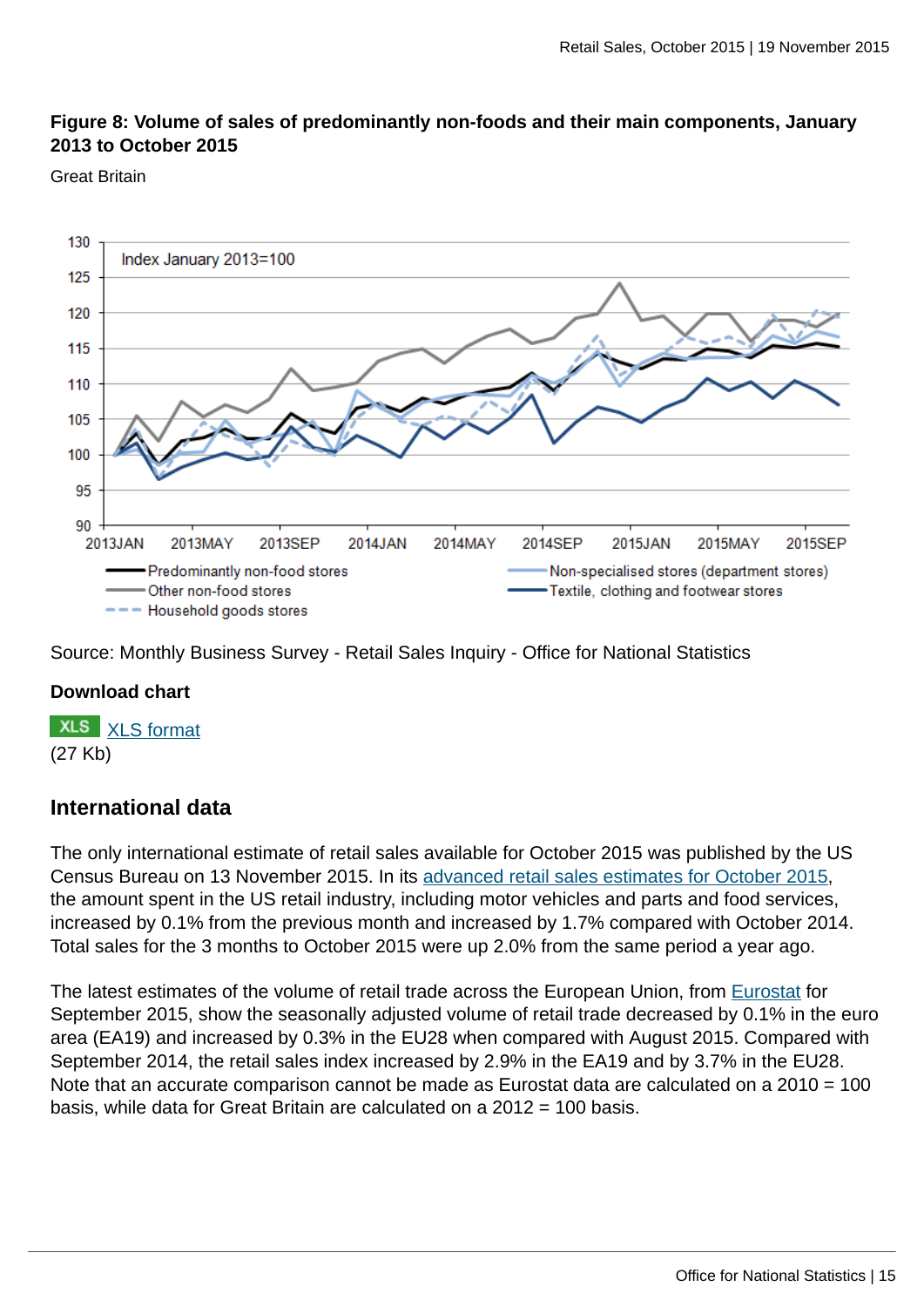### **Figure 8: Volume of sales of predominantly non-foods and their main components, January 2013 to October 2015**

#### Great Britain



Source: Monthly Business Survey - Retail Sales Inquiry - Office for National Statistics

### **Download chart**



### **International data**

The only international estimate of retail sales available for October 2015 was published by the US Census Bureau on 13 November 2015. In its [advanced retail sales estimates for October 2015](#page-0-0), the amount spent in the US retail industry, including motor vehicles and parts and food services, increased by 0.1% from the previous month and increased by 1.7% compared with October 2014. Total sales for the 3 months to October 2015 were up 2.0% from the same period a year ago.

The latest estimates of the volume of retail trade across the European Union, from [Eurostat](http://ec.europa.eu/eurostat/documents/2995521/6861940/4-03062015-AP-EN.pdf/955ee4d1-9c44-471f-85e4-703db636734c) for September 2015, show the seasonally adjusted volume of retail trade decreased by 0.1% in the euro area (EA19) and increased by 0.3% in the EU28 when compared with August 2015. Compared with September 2014, the retail sales index increased by 2.9% in the EA19 and by 3.7% in the EU28. Note that an accurate comparison cannot be made as Eurostat data are calculated on a 2010 = 100 basis, while data for Great Britain are calculated on a 2012 = 100 basis.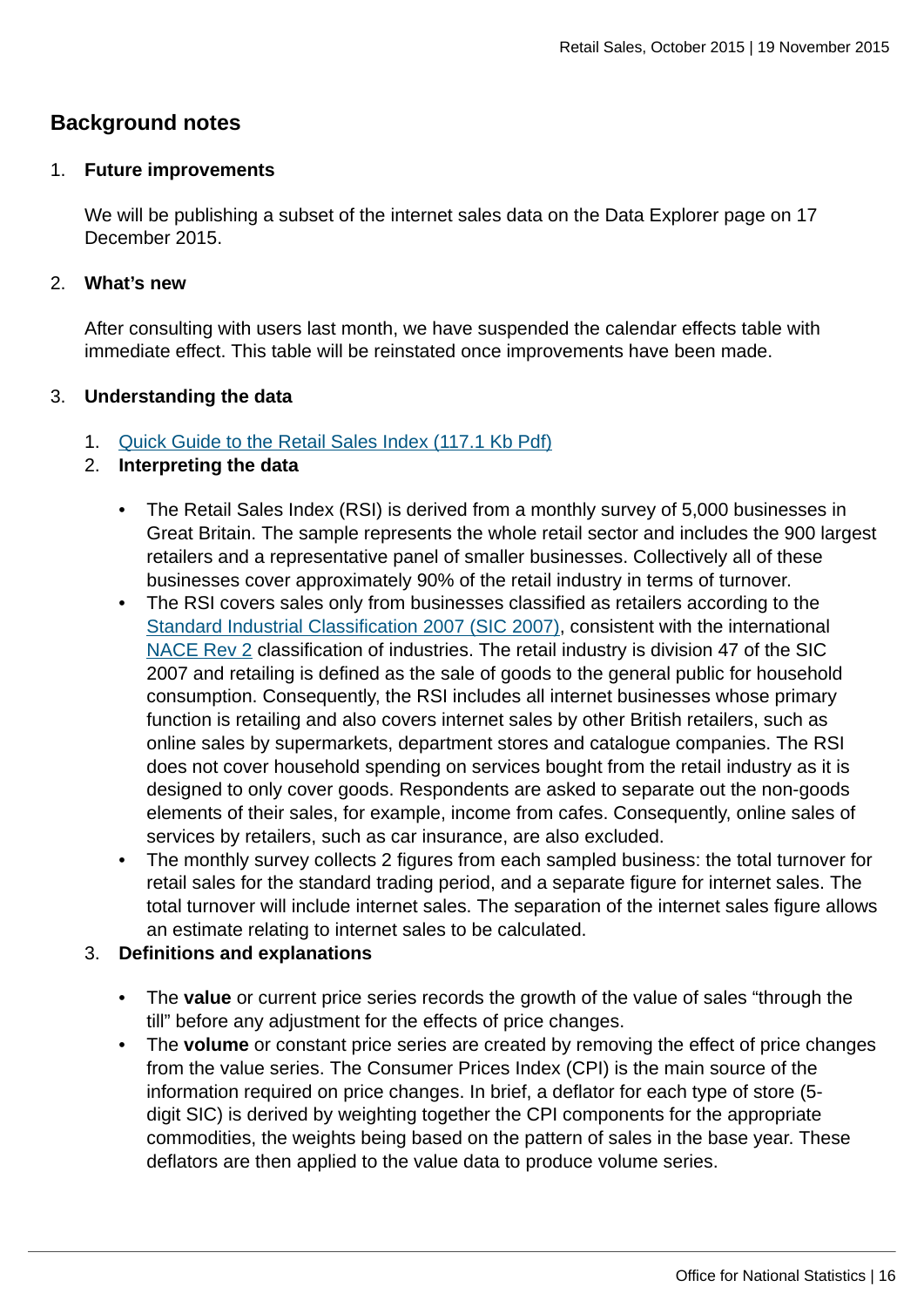### **Background notes**

#### 1. **Future improvements**

We will be publishing a subset of the internet sales data on the Data Explorer page on 17 December 2015.

#### 2. **What's new**

After consulting with users last month, we have suspended the calendar effects table with immediate effect. This table will be reinstated once improvements have been made.

### 3. **Understanding the data**

1. [Quick Guide to the Retail Sales Index \(117.1 Kb Pdf\)](http://www.ons.gov.uk:80/ons/guide-method/method-quality/specific/economy/retail-sales/quick-guide-to-the-retail-sales-index.pdf)

### 2. **Interpreting the data**

- The Retail Sales Index (RSI) is derived from a monthly survey of 5,000 businesses in Great Britain. The sample represents the whole retail sector and includes the 900 largest retailers and a representative panel of smaller businesses. Collectively all of these businesses cover approximately 90% of the retail industry in terms of turnover.
- The RSI covers sales only from businesses classified as retailers according to the [Standard Industrial Classification 2007 \(SIC 2007\)](http://www.ons.gov.uk:80/ons/guide-method/classifications/current-standard-classifications/standard-industrial-classification/index.html), consistent with the international [NACE Rev 2](http://ec.europa.eu/eurostat/ramon/nomenclatures/index.cfm?TargetUrl=LST_NOM_DTL&StrNom=NACE_REV2) classification of industries. The retail industry is division 47 of the SIC 2007 and retailing is defined as the sale of goods to the general public for household consumption. Consequently, the RSI includes all internet businesses whose primary function is retailing and also covers internet sales by other British retailers, such as online sales by supermarkets, department stores and catalogue companies. The RSI does not cover household spending on services bought from the retail industry as it is designed to only cover goods. Respondents are asked to separate out the non-goods elements of their sales, for example, income from cafes. Consequently, online sales of services by retailers, such as car insurance, are also excluded.
- The monthly survey collects 2 figures from each sampled business: the total turnover for retail sales for the standard trading period, and a separate figure for internet sales. The total turnover will include internet sales. The separation of the internet sales figure allows an estimate relating to internet sales to be calculated.

### 3. **Definitions and explanations**

- The **value** or current price series records the growth of the value of sales "through the till" before any adjustment for the effects of price changes.
- The **volume** or constant price series are created by removing the effect of price changes from the value series. The Consumer Prices Index (CPI) is the main source of the information required on price changes. In brief, a deflator for each type of store (5 digit SIC) is derived by weighting together the CPI components for the appropriate commodities, the weights being based on the pattern of sales in the base year. These deflators are then applied to the value data to produce volume series.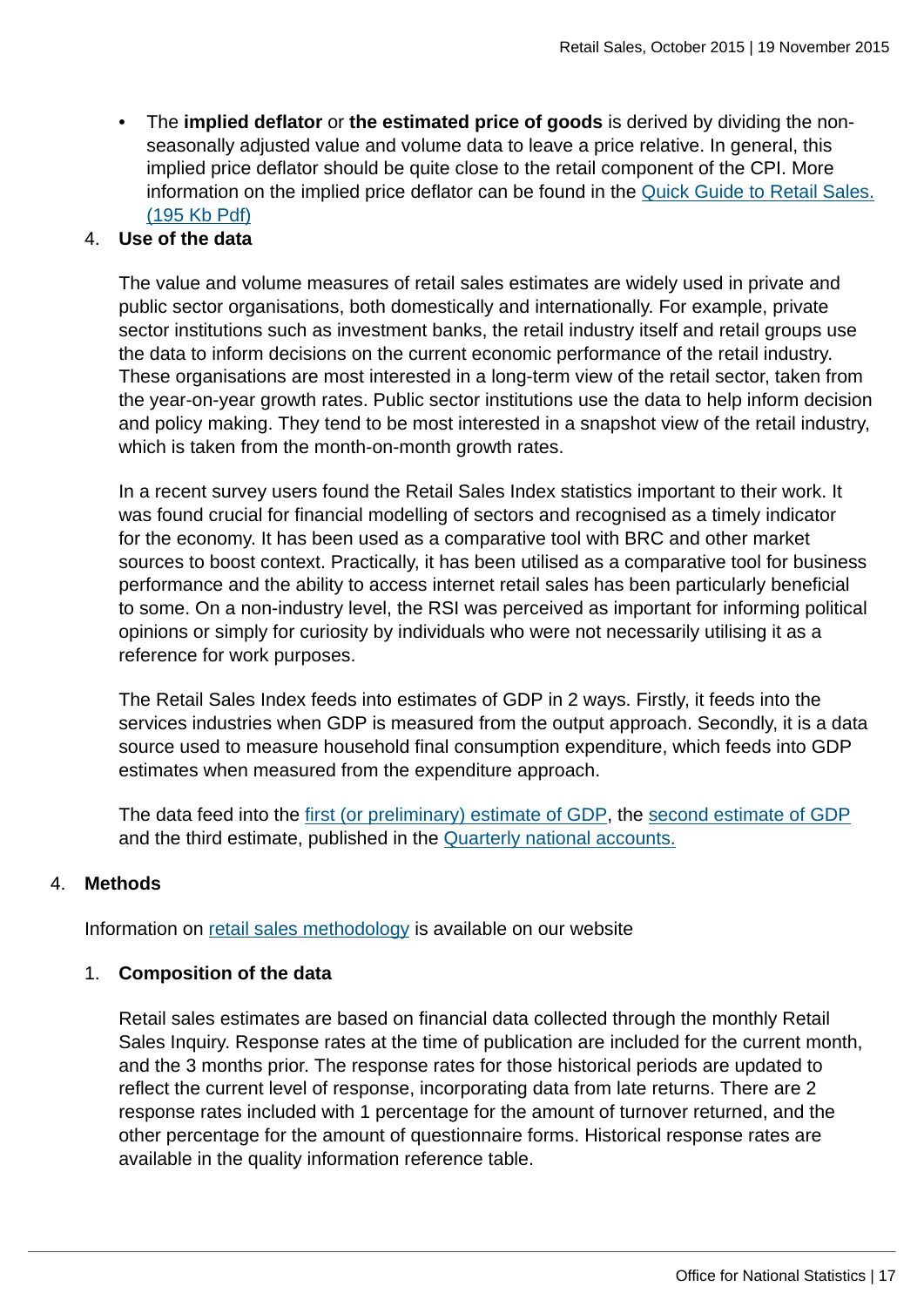• The **implied deflator** or **the estimated price of goods** is derived by dividing the nonseasonally adjusted value and volume data to leave a price relative. In general, this implied price deflator should be quite close to the retail component of the CPI. More information on the implied price deflator can be found in the [Quick Guide to Retail Sales.](http://www.ons.gov.uk:80/ons/guide-method/method-quality/specific/economy/retail-sales/rsi-quick-guide.pdf) [\(195 Kb Pdf\)](http://www.ons.gov.uk:80/ons/guide-method/method-quality/specific/economy/retail-sales/rsi-quick-guide.pdf)

#### 4. **Use of the data**

The value and volume measures of retail sales estimates are widely used in private and public sector organisations, both domestically and internationally. For example, private sector institutions such as investment banks, the retail industry itself and retail groups use the data to inform decisions on the current economic performance of the retail industry. These organisations are most interested in a long-term view of the retail sector, taken from the year-on-year growth rates. Public sector institutions use the data to help inform decision and policy making. They tend to be most interested in a snapshot view of the retail industry, which is taken from the month-on-month growth rates.

In a recent survey users found the Retail Sales Index statistics important to their work. It was found crucial for financial modelling of sectors and recognised as a timely indicator for the economy. It has been used as a comparative tool with BRC and other market sources to boost context. Practically, it has been utilised as a comparative tool for business performance and the ability to access internet retail sales has been particularly beneficial to some. On a non-industry level, the RSI was perceived as important for informing political opinions or simply for curiosity by individuals who were not necessarily utilising it as a reference for work purposes.

The Retail Sales Index feeds into estimates of GDP in 2 ways. Firstly, it feeds into the services industries when GDP is measured from the output approach. Secondly, it is a data source used to measure household final consumption expenditure, which feeds into GDP estimates when measured from the expenditure approach.

The data feed into the [first \(or preliminary\) estimate of GDP,](http://www.ons.gov.uk:80/ons/rel/gva/gross-domestic-product--preliminary-estimate/index.html) the [second estimate of GDP](http://www.ons.gov.uk:80/ons/rel/naa2/second-estimate-of-gdp/index.html) and the third estimate, published in the [Quarterly national accounts.](http://www.ons.gov.uk:80/ons/rel/naa2/quarterly-national-accounts/index.html)

#### 4. **Methods**

Information on [retail sales methodology](http://www.ons.gov.uk:80/ons/guide-method/method-quality/specific/economy/retail-sales/index.html) is available on our website

### 1. **Composition of the data**

Retail sales estimates are based on financial data collected through the monthly Retail Sales Inquiry. Response rates at the time of publication are included for the current month, and the 3 months prior. The response rates for those historical periods are updated to reflect the current level of response, incorporating data from late returns. There are 2 response rates included with 1 percentage for the amount of turnover returned, and the other percentage for the amount of questionnaire forms. Historical response rates are available in the quality information reference table.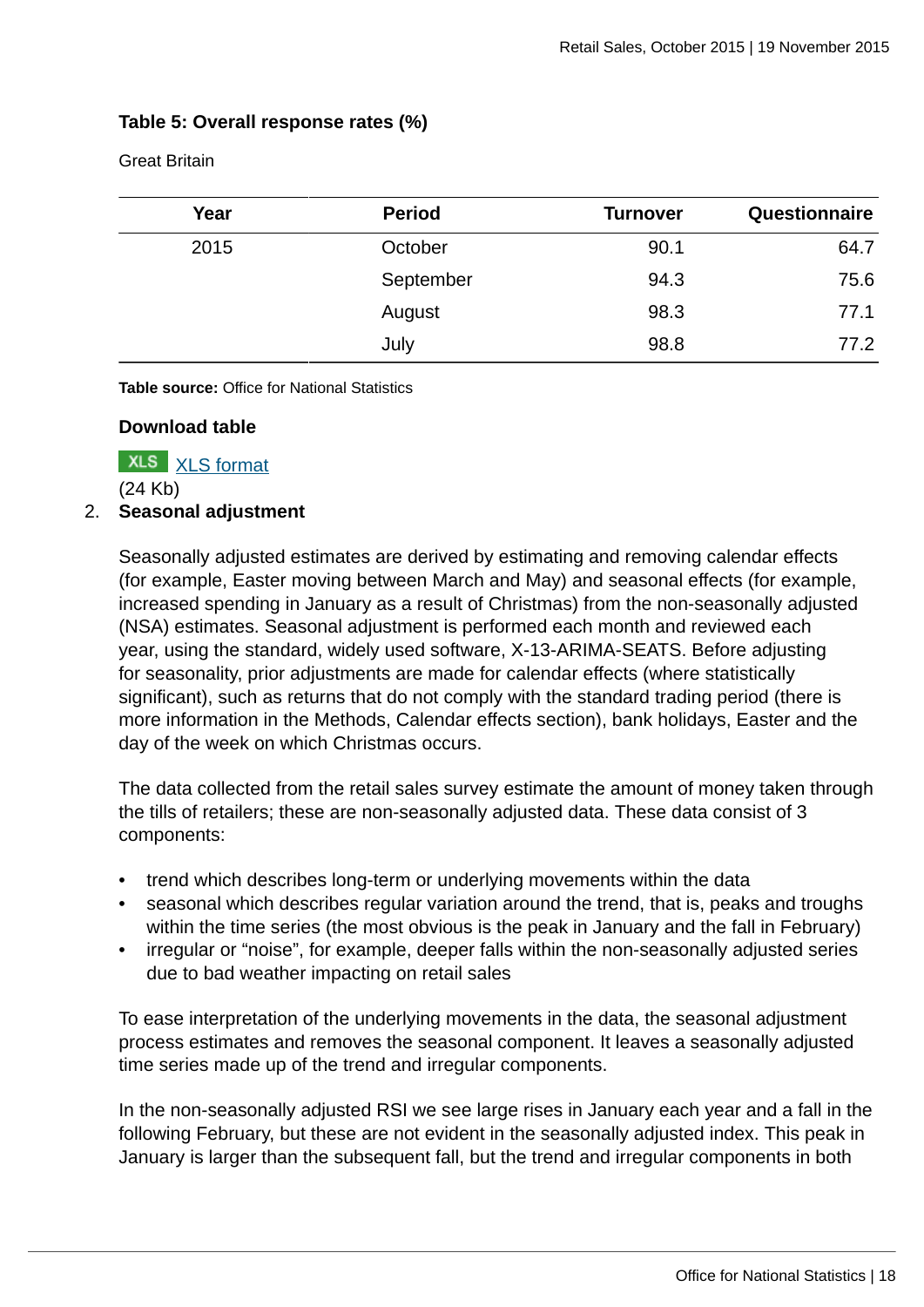### **Table 5: Overall response rates (%)**

Great Britain

| Year | <b>Period</b> | <b>Turnover</b> | Questionnaire |
|------|---------------|-----------------|---------------|
| 2015 | October       | 90.1            | 64.7          |
|      | September     | 94.3            | 75.6          |
|      | August        | 98.3            | 77.1          |
|      | July          | 98.8            | 77.2          |

**Table source:** Office for National Statistics

#### **Download table**

**XLS** [XLS format](http://www.ons.gov.uk:80/ons/rel/rsi/retail-sales/october-2015/prt-table-5.xls)

(24 Kb)

### 2. **Seasonal adjustment**

Seasonally adjusted estimates are derived by estimating and removing calendar effects (for example, Easter moving between March and May) and seasonal effects (for example, increased spending in January as a result of Christmas) from the non-seasonally adjusted (NSA) estimates. Seasonal adjustment is performed each month and reviewed each year, using the standard, widely used software, X-13-ARIMA-SEATS. Before adjusting for seasonality, prior adjustments are made for calendar effects (where statistically significant), such as returns that do not comply with the standard trading period (there is more information in the Methods, Calendar effects section), bank holidays, Easter and the day of the week on which Christmas occurs.

The data collected from the retail sales survey estimate the amount of money taken through the tills of retailers; these are non-seasonally adjusted data. These data consist of 3 components:

- trend which describes long-term or underlying movements within the data
- seasonal which describes regular variation around the trend, that is, peaks and troughs within the time series (the most obvious is the peak in January and the fall in February)
- irregular or "noise", for example, deeper falls within the non-seasonally adjusted series due to bad weather impacting on retail sales

To ease interpretation of the underlying movements in the data, the seasonal adjustment process estimates and removes the seasonal component. It leaves a seasonally adjusted time series made up of the trend and irregular components.

In the non-seasonally adjusted RSI we see large rises in January each year and a fall in the following February, but these are not evident in the seasonally adjusted index. This peak in January is larger than the subsequent fall, but the trend and irregular components in both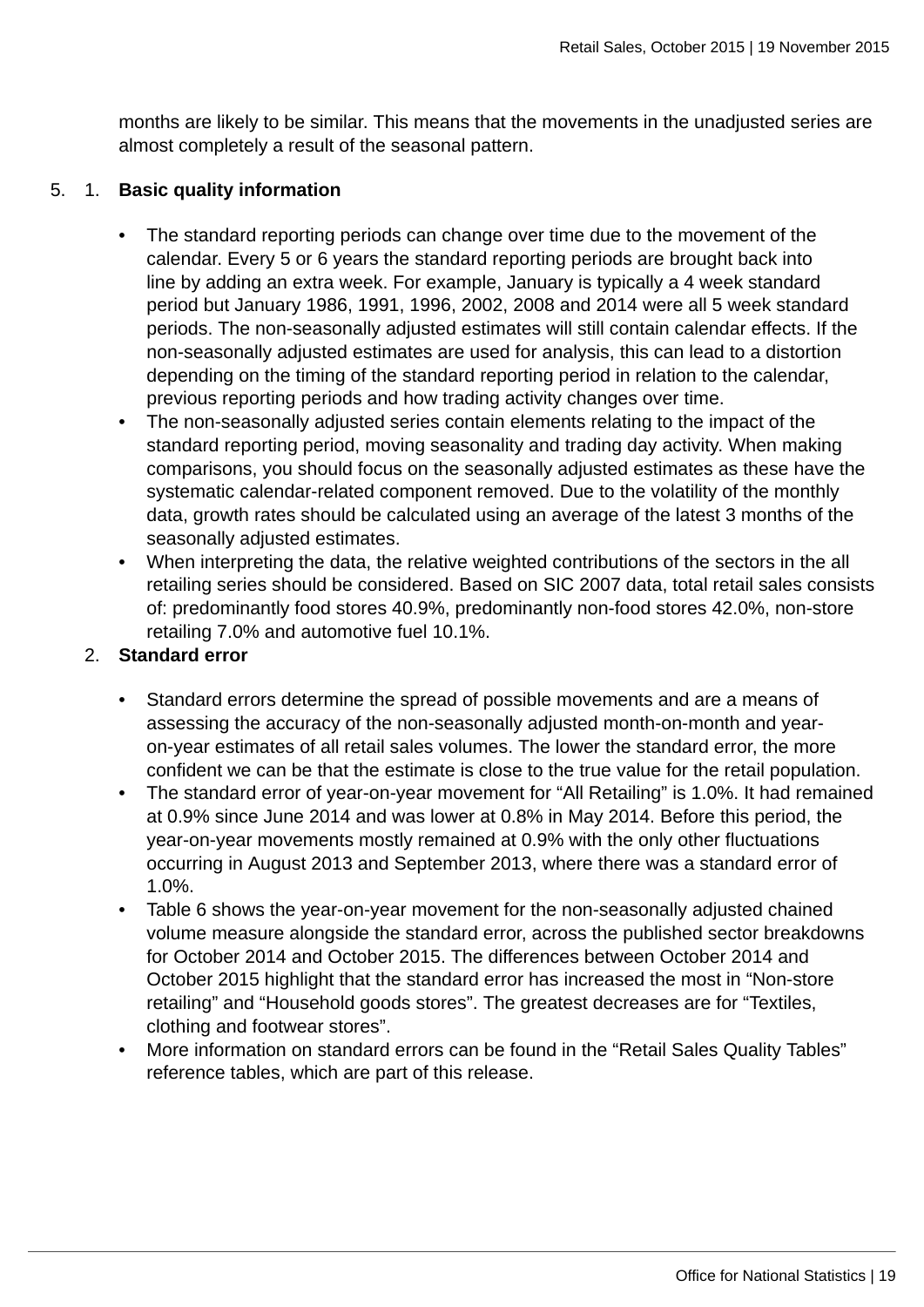months are likely to be similar. This means that the movements in the unadjusted series are almost completely a result of the seasonal pattern.

### 5. 1. **Basic quality information**

- The standard reporting periods can change over time due to the movement of the calendar. Every 5 or 6 years the standard reporting periods are brought back into line by adding an extra week. For example, January is typically a 4 week standard period but January 1986, 1991, 1996, 2002, 2008 and 2014 were all 5 week standard periods. The non-seasonally adjusted estimates will still contain calendar effects. If the non-seasonally adjusted estimates are used for analysis, this can lead to a distortion depending on the timing of the standard reporting period in relation to the calendar, previous reporting periods and how trading activity changes over time.
- The non-seasonally adjusted series contain elements relating to the impact of the standard reporting period, moving seasonality and trading day activity. When making comparisons, you should focus on the seasonally adjusted estimates as these have the systematic calendar-related component removed. Due to the volatility of the monthly data, growth rates should be calculated using an average of the latest 3 months of the seasonally adjusted estimates.
- When interpreting the data, the relative weighted contributions of the sectors in the all retailing series should be considered. Based on SIC 2007 data, total retail sales consists of: predominantly food stores 40.9%, predominantly non-food stores 42.0%, non-store retailing 7.0% and automotive fuel 10.1%.

### 2. **Standard error**

- Standard errors determine the spread of possible movements and are a means of assessing the accuracy of the non-seasonally adjusted month-on-month and yearon-year estimates of all retail sales volumes. The lower the standard error, the more confident we can be that the estimate is close to the true value for the retail population.
- The standard error of year-on-year movement for "All Retailing" is 1.0%. It had remained at 0.9% since June 2014 and was lower at 0.8% in May 2014. Before this period, the year-on-year movements mostly remained at 0.9% with the only other fluctuations occurring in August 2013 and September 2013, where there was a standard error of 1.0%.
- Table 6 shows the year-on-year movement for the non-seasonally adjusted chained volume measure alongside the standard error, across the published sector breakdowns for October 2014 and October 2015. The differences between October 2014 and October 2015 highlight that the standard error has increased the most in "Non-store retailing" and "Household goods stores". The greatest decreases are for "Textiles, clothing and footwear stores".
- More information on standard errors can be found in the "Retail Sales Quality Tables" reference tables, which are part of this release.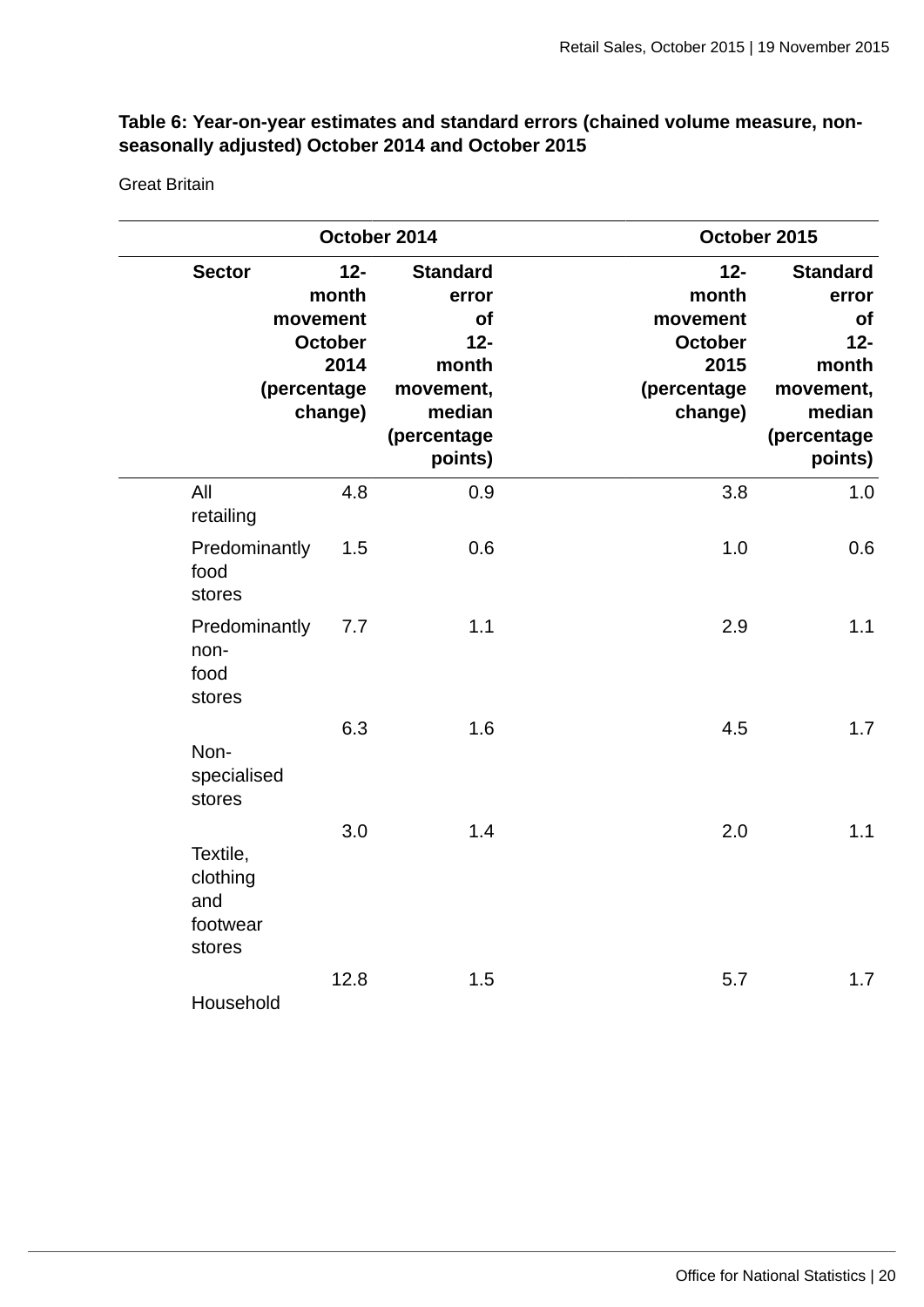### **Table 6: Year-on-year estimates and standard errors (chained volume measure, nonseasonally adjusted) October 2014 and October 2015**

Great Britain

|                                                   |                                                                                                                                                                                                                                                                  | October 2014 | October 2015                                                                                      |     |  |  |  |  |  |  |
|---------------------------------------------------|------------------------------------------------------------------------------------------------------------------------------------------------------------------------------------------------------------------------------------------------------------------|--------------|---------------------------------------------------------------------------------------------------|-----|--|--|--|--|--|--|
| <b>Sector</b>                                     | <b>Standard</b><br>$12 -$<br>$12 -$<br>month<br>month<br>error<br>of<br>movement<br>movement<br>$12-$<br><b>October</b><br>October<br>2014<br>2015<br>month<br>(percentage<br>(percentage<br>movement,<br>change)<br>median<br>change)<br>(percentage<br>points) |              | <b>Standard</b><br>error<br>of<br>$12-$<br>month<br>movement,<br>median<br>(percentage<br>points) |     |  |  |  |  |  |  |
| All<br>retailing                                  | 4.8                                                                                                                                                                                                                                                              | 0.9          | 3.8                                                                                               | 1.0 |  |  |  |  |  |  |
| Predominantly<br>food<br>stores                   | 1.5                                                                                                                                                                                                                                                              | 0.6          | 1.0                                                                                               | 0.6 |  |  |  |  |  |  |
| Predominantly<br>non-<br>food<br>stores           | 7.7                                                                                                                                                                                                                                                              | 1.1          | 2.9                                                                                               | 1.1 |  |  |  |  |  |  |
| Non-<br>specialised<br>stores                     | 6.3                                                                                                                                                                                                                                                              | 1.6          | 4.5                                                                                               | 1.7 |  |  |  |  |  |  |
| Textile,<br>clothing<br>and<br>footwear<br>stores | 3.0                                                                                                                                                                                                                                                              | 1.4          | 2.0                                                                                               | 1.1 |  |  |  |  |  |  |
| Household                                         | 12.8                                                                                                                                                                                                                                                             | 1.5          | 5.7                                                                                               | 1.7 |  |  |  |  |  |  |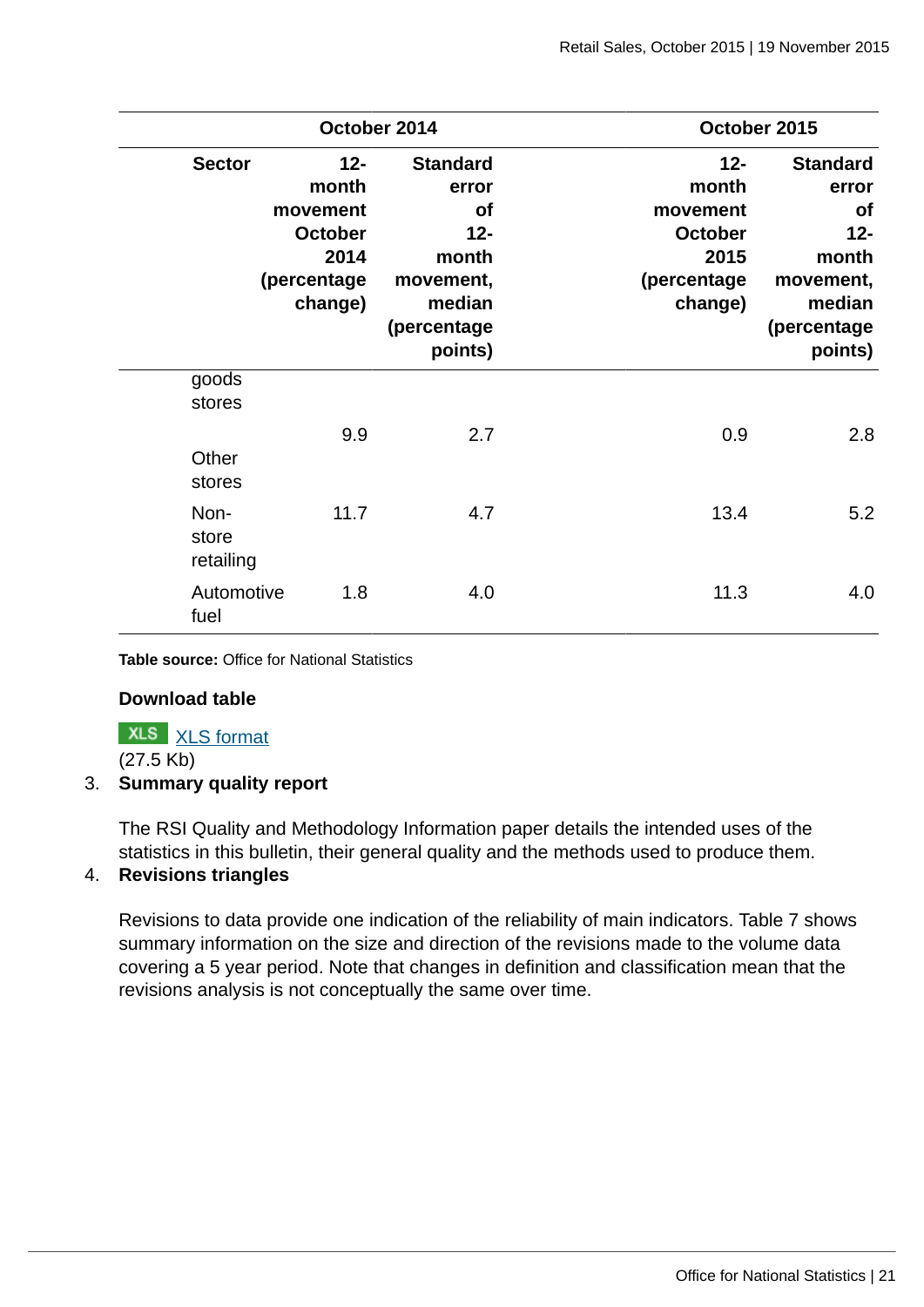|                                    |                                                                                  | October 2014                                                                                              | October 2015                                                                     |                                                                                                    |  |  |  |  |  |  |
|------------------------------------|----------------------------------------------------------------------------------|-----------------------------------------------------------------------------------------------------------|----------------------------------------------------------------------------------|----------------------------------------------------------------------------------------------------|--|--|--|--|--|--|
| <b>Sector</b>                      | $12 -$<br>month<br>movement<br><b>October</b><br>2014<br>(percentage)<br>change) | <b>Standard</b><br>error<br><b>of</b><br>$12 -$<br>month<br>movement,<br>median<br>(percentage<br>points) | $12 -$<br>month<br>movement<br><b>October</b><br>2015<br>(percentage)<br>change) | <b>Standard</b><br>error<br>of<br>$12 -$<br>month<br>movement,<br>median<br>(percentage<br>points) |  |  |  |  |  |  |
| goods<br>stores<br>Other<br>stores | 9.9                                                                              | 2.7                                                                                                       | 0.9                                                                              | 2.8                                                                                                |  |  |  |  |  |  |
| Non-<br>store<br>retailing         | 11.7                                                                             | 4.7                                                                                                       | 13.4                                                                             | 5.2                                                                                                |  |  |  |  |  |  |
| Automotive<br>fuel                 | 1.8                                                                              | 4.0                                                                                                       | 11.3                                                                             | 4.0                                                                                                |  |  |  |  |  |  |

**Table source:** Office for National Statistics

### **Download table**

**XLS** [XLS format](http://www.ons.gov.uk:80/ons/rel/rsi/retail-sales/october-2015/prt-table-6.xls) (27.5 Kb)

3. **Summary quality report**

The RSI Quality and Methodology Information paper details the intended uses of the statistics in this bulletin, their general quality and the methods used to produce them.

### 4. **Revisions triangles**

Revisions to data provide one indication of the reliability of main indicators. Table 7 shows summary information on the size and direction of the revisions made to the volume data covering a 5 year period. Note that changes in definition and classification mean that the revisions analysis is not conceptually the same over time.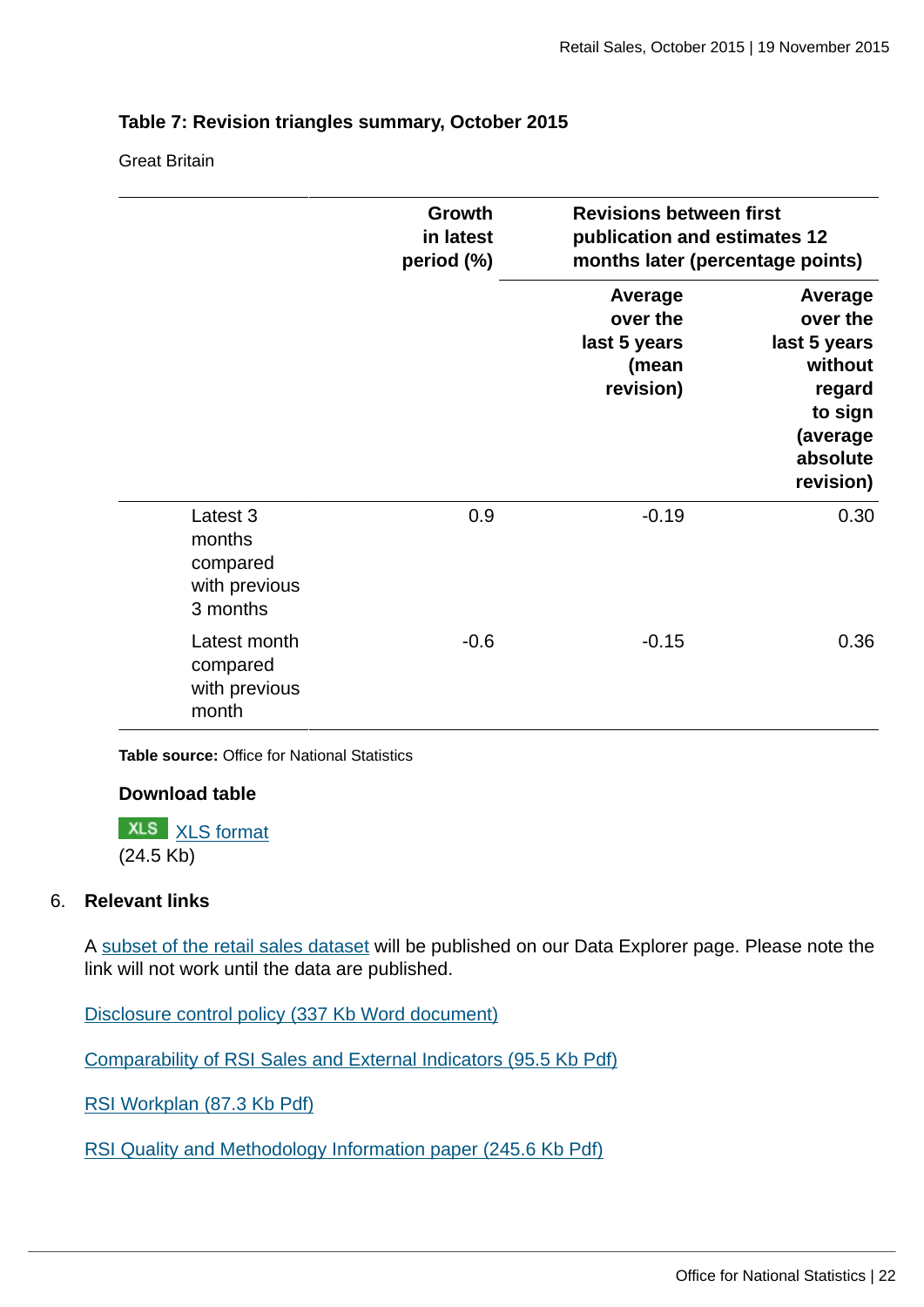### **Table 7: Revision triangles summary, October 2015**

Great Britain

|                                                             | Growth<br>in latest<br>period (%) | <b>Revisions between first</b><br>publication and estimates 12 | months later (percentage points)                                                                         |  |  |
|-------------------------------------------------------------|-----------------------------------|----------------------------------------------------------------|----------------------------------------------------------------------------------------------------------|--|--|
|                                                             |                                   | Average<br>over the<br>last 5 years<br>(mean<br>revision)      | Average<br>over the<br>last 5 years<br>without<br>regard<br>to sign<br>(average<br>absolute<br>revision) |  |  |
| Latest 3<br>months<br>compared<br>with previous<br>3 months | 0.9                               | $-0.19$                                                        | 0.30                                                                                                     |  |  |
| Latest month<br>compared<br>with previous<br>month          | $-0.6$                            | $-0.15$                                                        | 0.36                                                                                                     |  |  |

**Table source:** Office for National Statistics

### **Download table**

**XLS** [XLS format](http://www.ons.gov.uk:80/ons/rel/rsi/retail-sales/october-2015/prt-table-7.xls) (24.5 Kb)

### 6. **Relevant links**

A [subset of the retail sales dataset](http://www.ons.gov.uk/ons/data/web/explorer/dataset-finder/-/q/dcDetails/Economic/RS01?p_p_lifecycle=1&_FOFlow1_WAR_FOFlow1portlet_dataset_navigation=datasetCollectionDetails) will be published on our Data Explorer page. Please note the link will not work until the data are published.

[Disclosure control policy \(337 Kb Word document\)](http://www.ons.gov.uk:80/ons/guide-method/best-practice/disclosure-control-policy-for-tables/disclosure-control-policy-for-tables-produced-from-surveys.pdf)

[Comparability of RSI Sales and External Indicators \(95.5 Kb Pdf\)](http://www.ons.gov.uk:80/ons/guide-method/method-quality/specific/economy/retail-sales/comparability-of-rsi-sales-and-external-indicators-2012-13.pdf)

[RSI Workplan \(87.3 Kb Pdf\)](http://www.ons.gov.uk:80/ons/guide-method/method-quality/specific/economy/retail-sales/rsi-work-plan-2014.pdf)

[RSI Quality and Methodology Information paper \(245.6 Kb Pdf\)](http://www.ons.gov.uk:80/ons/guide-method/method-quality/quality/quality-information/economy/quality-and-methodology-information-for-retail-sales-index.pdf)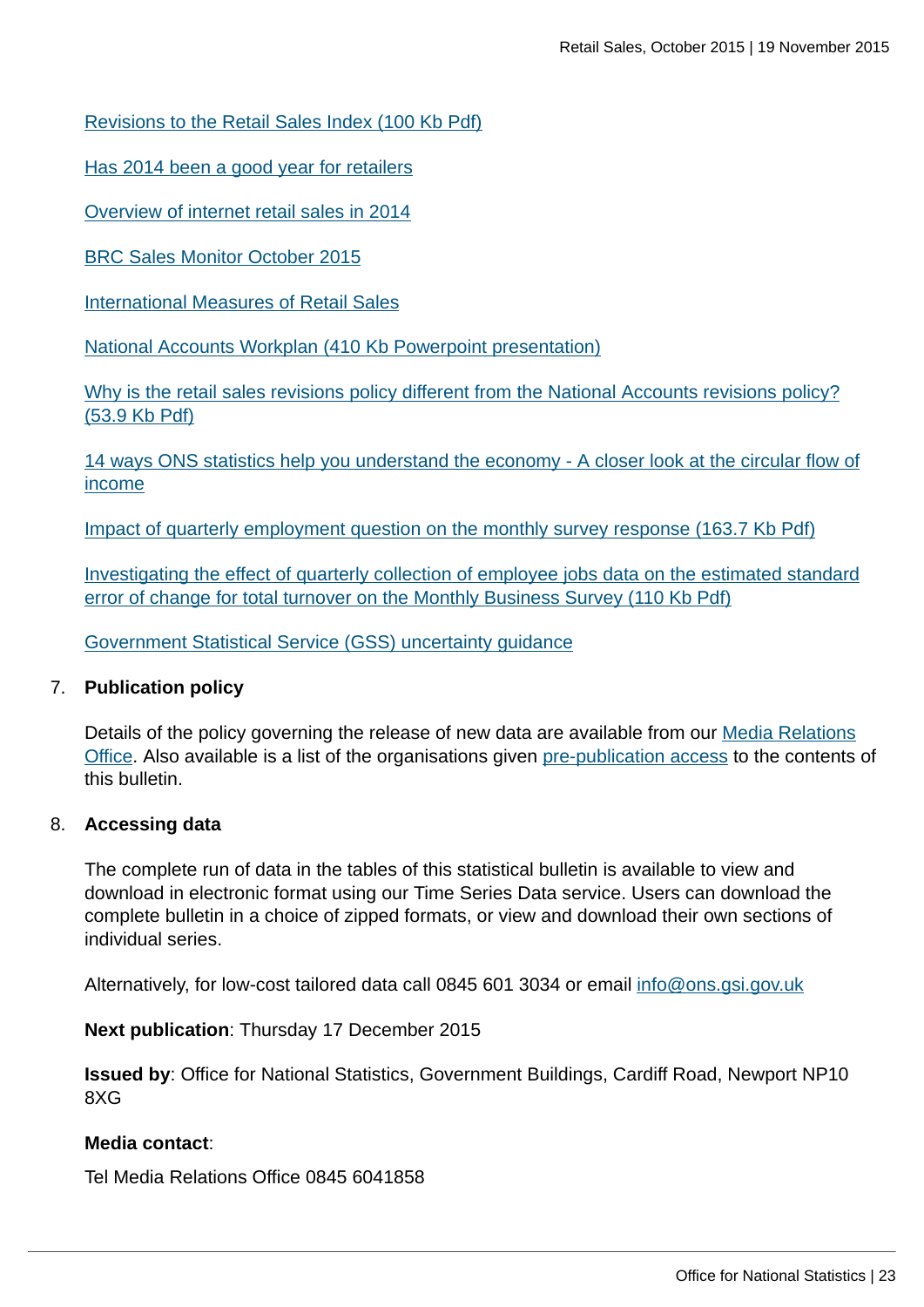[Revisions to the Retail Sales Index \(100 Kb Pdf\)](http://www.ons.gov.uk:80/ons/guide-method/method-quality/specific/economy/retail-sales/revisions-to-the-retail-sales-index-2014.pdf)

[Has 2014 been a good year for retailers](http://www.ons.gov.uk:80/ons/rel/rsi/retail-sales/december-2014/sty-has-2014-been-a-good-year-for-retailers.html)

[Overview of internet retail sales in 2014](http://www.ons.gov.uk:80/ons/rel/rsi/retail-sales/december-2014/sty-overview-of-internet-retail-sales-in-2014.html)

[BRC Sales Monitor October 2015](http://www.brc.org.uk/brc_home.asp)

[International Measures of Retail Sales](http://www.ons.gov.uk:80/ons/rel/rsi/retail-sales/a-comparison-of-international-measures-of-retail-sales/index.html)

[National Accounts Workplan \(410 Kb Powerpoint presentation\)](http://www.ons.gov.uk:80/ons/guide-method/method-quality/specific/economy/national-accounts/presentations-and-meeting-papers/presentation-slides/the-national-accounts-and-related-outputs-work-plan-for-2013-14-to-2017-18.ppt)

[Why is the retail sales revisions policy different from the National Accounts revisions policy?](http://www.ons.gov.uk:80/ons/guide-method/method-quality/specific/economy/retail-sales/differences-between-rsi---national-accounts-revisions-policy.pdf) [\(53.9 Kb Pdf\)](http://www.ons.gov.uk:80/ons/guide-method/method-quality/specific/economy/retail-sales/differences-between-rsi---national-accounts-revisions-policy.pdf)

[14 ways ONS statistics help you understand the economy - A closer look at the circular flow of](http://www.ons.gov.uk:80/ons/rel/naa2/quarterly-national-accounts/q1-2014/video-summary--14-ways-ons-statistics-help-you-understand-the-economy.html) [income](http://www.ons.gov.uk:80/ons/rel/naa2/quarterly-national-accounts/q1-2014/video-summary--14-ways-ons-statistics-help-you-understand-the-economy.html)

[Impact of quarterly employment question on the monthly survey response \(163.7 Kb Pdf\)](http://www.ons.gov.uk:80/ons/guide-method/method-quality/specific/economy/output-approach-to-gdp/methods-and-sources/impact-of-quarterly-employment-question-on-monthly-survey-response.pdf)

[Investigating the effect of quarterly collection of employee jobs data on the estimated standard](http://www.ons.gov.uk:80/ons/guide-method/method-quality/specific/economy/output-approach-to-gdp/methods-and-sources/mbs-variance-of-change-paper.pdf) [error of change for total turnover on the Monthly Business Survey \(110 Kb Pdf\)](http://www.ons.gov.uk:80/ons/guide-method/method-quality/specific/economy/output-approach-to-gdp/methods-and-sources/mbs-variance-of-change-paper.pdf)

[Government Statistical Service \(GSS\) uncertainty guidance](#page-0-0)

#### 7. **Publication policy**

Details of the policy governing the release of new data are available from our [Media Relations](mailto:media.relations@ons.gsi.gov.uk) [Office](mailto:media.relations@ons.gsi.gov.uk). Also available is a list of the organisations given [pre-publication access](http://www.ons.gov.uk:80/ons/rel/rsi/retail-sales/october-2015/pra-rsi-oct-15.html) to the contents of this bulletin.

#### 8. **Accessing data**

The complete run of data in the tables of this statistical bulletin is available to view and download in electronic format using our Time Series Data service. Users can download the complete bulletin in a choice of zipped formats, or view and download their own sections of individual series.

Alternatively, for low-cost tailored data call 0845 601 3034 or email [info@ons.gsi.gov.uk](mailto:info@ons.gsi.gov.uk)

**Next publication**: Thursday 17 December 2015

**Issued by**: Office for National Statistics, Government Buildings, Cardiff Road, Newport NP10 8XG

#### **Media contact**:

Tel Media Relations Office 0845 6041858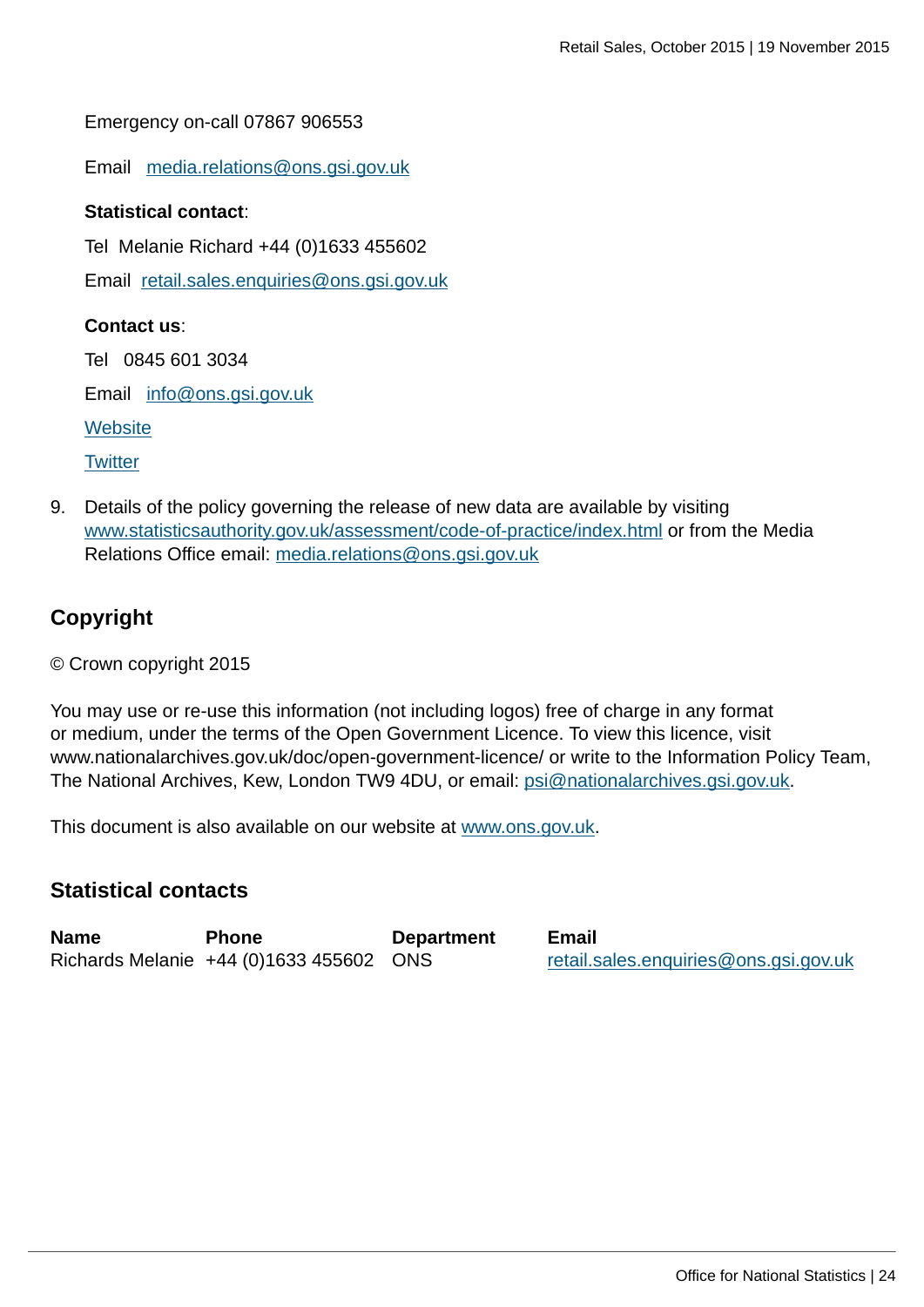Emergency on-call 07867 906553

Email [media.relations@ons.gsi.gov.uk](mailto:media.relations@ons.gsi.gov.uk)

#### **Statistical contact**:

Tel Melanie Richard +44 (0)1633 455602

Email [retail.sales.enquiries@ons.gsi.gov.uk](mailto:retail.sales.enquiries@ons.gsi.gov.uk)

#### **Contact us**:

Tel 0845 601 3034

Email [info@ons.gsi.gov.uk](mailto:info@ons.gsi.gov.uk)

**[Website](http://www.ons.gov.uk:80/ons/index.html)** 

**[Twitter](http://www.ons.gov.uk:80/ons/external-links/social-media/twitter.html)** 

9. Details of the policy governing the release of new data are available by visiting [www.statisticsauthority.gov.uk/assessment/code-of-practice/index.html](http://www.statisticsauthority.gov.uk/assessment/code-of-practice/index.html) or from the Media Relations Office email: [media.relations@ons.gsi.gov.uk](mailto:media.relations@ons.gsi.gov.uk)

### **Copyright**

© Crown copyright 2015

You may use or re-use this information (not including logos) free of charge in any format or medium, under the terms of the Open Government Licence. To view this licence, visit www.nationalarchives.gov.uk/doc/open-government-licence/ or write to the Information Policy Team, The National Archives, Kew, London TW9 4DU, or email: [psi@nationalarchives.gsi.gov.uk](mailto:psi@nationalarchives.gsi.gov.uk).

This document is also available on our website at [www.ons.gov.uk.](http://www.ons.gov.uk/)

### **Statistical contacts**

| <b>Name</b> | <b>Phone</b>                            | <b>Department</b> | <b>Email</b>                          |
|-------------|-----------------------------------------|-------------------|---------------------------------------|
|             | Richards Melanie +44 (0)1633 455602 ONS |                   | retail.sales.enquiries@ons.gsi.gov.uk |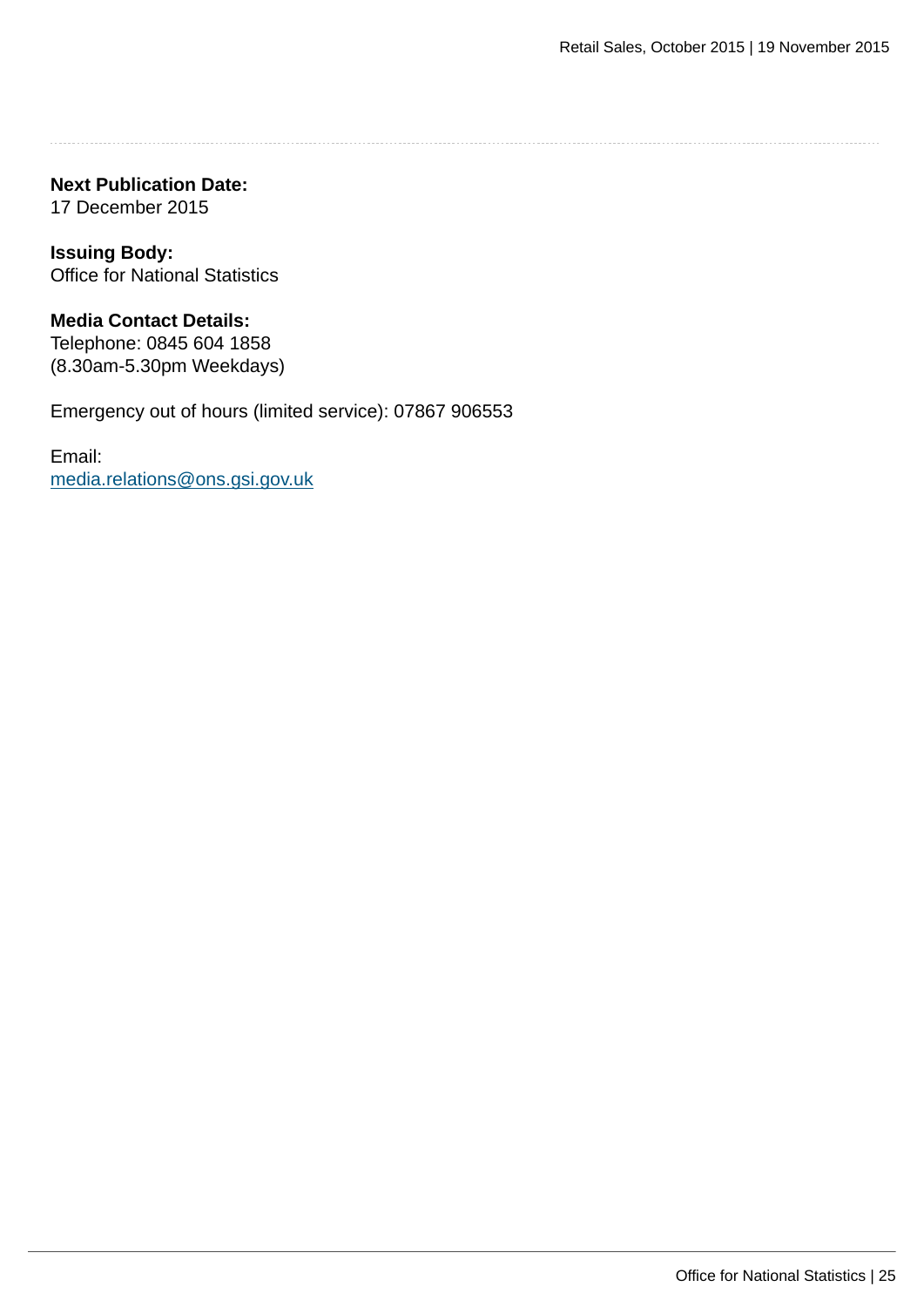**Next Publication Date:** 17 December 2015

**Issuing Body:** Office for National Statistics

**Media Contact Details:** Telephone: 0845 604 1858 (8.30am-5.30pm Weekdays)

Emergency out of hours (limited service): 07867 906553

Email: [media.relations@ons.gsi.gov.uk](mailto:media.relations@ons.gsi.gov.uk)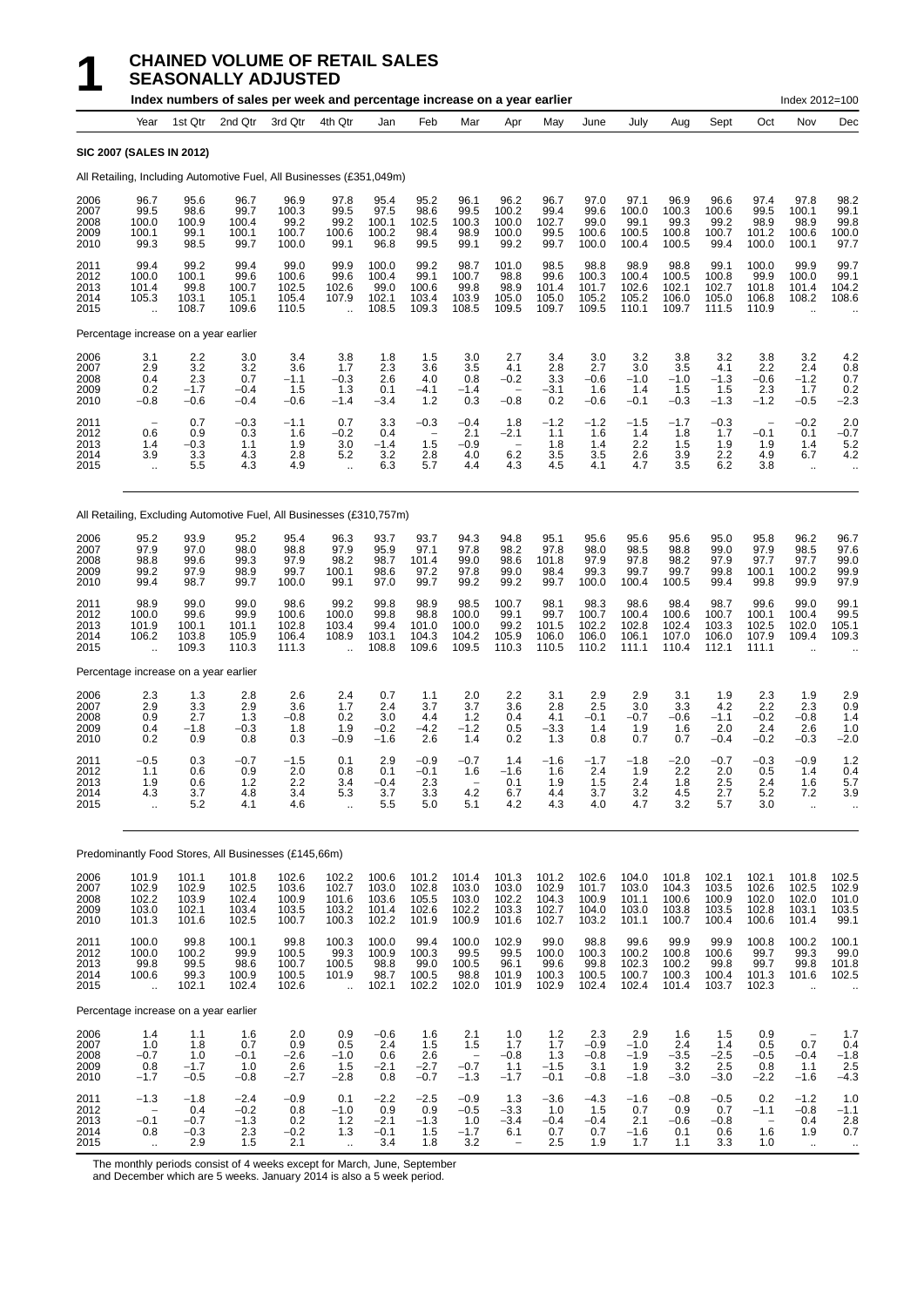# **1 CHAINED VOLUME OF RETAIL SALES**<br>**10dex numbers of sales per week and percentage inc SEASONALLY ADJUSTED**

|                                      |                                                         |                                           | Index numbers of sales per week and percentage increase on a year earlier |                                           |                                             |                                           |                                                                        |                                           |                                                     |                                                                        |                                           |                                           |                                           |                                           |                                           | Index 2012=100                                          |                                                           |
|--------------------------------------|---------------------------------------------------------|-------------------------------------------|---------------------------------------------------------------------------|-------------------------------------------|---------------------------------------------|-------------------------------------------|------------------------------------------------------------------------|-------------------------------------------|-----------------------------------------------------|------------------------------------------------------------------------|-------------------------------------------|-------------------------------------------|-------------------------------------------|-------------------------------------------|-------------------------------------------|---------------------------------------------------------|-----------------------------------------------------------|
|                                      | Year                                                    | 1st Qtr                                   | 2nd Qtr                                                                   | 3rd Qtr                                   | 4th Qtr                                     | Jan                                       | Feb                                                                    | Mar                                       | Apr                                                 | May                                                                    | June                                      | July                                      | Aug                                       | Sept                                      | Oct                                       | Nov                                                     | Dec                                                       |
|                                      | <b>SIC 2007 (SALES IN 2012)</b>                         |                                           |                                                                           |                                           |                                             |                                           |                                                                        |                                           |                                                     |                                                                        |                                           |                                           |                                           |                                           |                                           |                                                         |                                                           |
|                                      |                                                         |                                           | All Retailing, Including Automotive Fuel, All Businesses (£351,049m)      |                                           |                                             |                                           |                                                                        |                                           |                                                     |                                                                        |                                           |                                           |                                           |                                           |                                           |                                                         |                                                           |
| 2006<br>2007<br>2008<br>2009<br>2010 | 96.7<br>99.5<br>100.0<br>100.1<br>99.3                  | 95.6<br>98.6<br>100.9<br>99.1<br>98.5     | 96.7<br>99.7<br>100.4<br>100.1<br>99.7                                    | 96.9<br>100.3<br>99.2<br>100.7<br>100.0   | 97.8<br>99.5<br>99.2<br>100.6<br>99.1       | 95.4<br>97.5<br>100.1<br>100.2<br>96.8    | 95.2<br>98.6<br>102.5<br>98.4<br>99.5                                  | 96.1<br>99.5<br>100.3<br>98.9<br>99.1     | 96.2<br>100.2<br>100.0<br>100.0<br>99.2             | 96.7<br>99.4<br>102.7<br>99.5<br>99.7                                  | 97.0<br>99.6<br>99.0<br>100.6<br>100.0    | 97.1<br>100.0<br>99.1<br>100.5<br>100.4   | 96.9<br>100.3<br>99.3<br>100.8<br>100.5   | 96.6<br>100.6<br>99.2<br>100.7<br>99.4    | 97.4<br>99.5<br>98.9<br>101.2<br>100.0    | 97.8<br>100.1<br>98.9<br>100.6<br>100.1                 | 98.2<br>99.1<br>99.8<br>100.0<br>97.7                     |
| 2011<br>2012<br>2013<br>2014<br>2015 | 99.4<br>100.0<br>101.4<br>105.3<br>$\ddot{\phantom{a}}$ | 99.2<br>100.1<br>99.8<br>103.1<br>108.7   | 99.4<br>99.6<br>100.7<br>105.1<br>109.6                                   | 99.0<br>100.6<br>102.5<br>105.4<br>110.5  | 99.9<br>99.6<br>102.6<br>107.9<br>$\ddotsc$ | 100.0<br>100.4<br>99.0<br>102.1<br>108.5  | 99.2<br>99.1<br>100.6<br>103.4<br>109.3                                | 98.7<br>100.7<br>99.8<br>103.9<br>108.5   | 101.0<br>98.8<br>98.9<br>105.0<br>109.5             | 98.5<br>99.6<br>101.4<br>105.0<br>109.7                                | 98.8<br>100.3<br>101.7<br>105.2<br>109.5  | 98.9<br>100.4<br>102.6<br>105.2<br>110.1  | 98.8<br>100.5<br>102.1<br>106.0<br>109.7  | 99.1<br>100.8<br>102.7<br>105.0<br>111.5  | 100.0<br>99.9<br>101.8<br>106.8<br>110.9  | 99.9<br>100.0<br>101.4<br>108.2<br>$\ddot{\phantom{a}}$ | 99.7<br>99.1<br>104.2<br>108.6                            |
|                                      | Percentage increase on a year earlier                   |                                           |                                                                           |                                           |                                             |                                           |                                                                        |                                           |                                                     |                                                                        |                                           |                                           |                                           |                                           |                                           |                                                         |                                                           |
| 2006<br>2007<br>2008<br>2009<br>2010 | 3.1<br>2.9<br>0.4<br>0.2<br>$-0.8$                      | 2.2<br>3.2<br>2.3<br>$-1.7$<br>$-0.6$     | 3.0<br>3.2<br>0.7<br>$-0.4$<br>$-0.4$                                     | 3.4<br>3.6<br>$-1.1$<br>1.5<br>$-0.6$     | 3.8<br>1.7<br>$-0.3$<br>1.3<br>$-1.4$       | 1.8<br>2.3<br>2.6<br>0.1<br>$-3.4$        | 1.5<br>3.6<br>4.0<br>$-4.1$<br>$1.2$                                   | 3.0<br>3.5<br>0.8<br>$-1.4$<br>0.3        | 2.7<br>4.1<br>$-0.2$<br>$-0.8$                      | 3.4<br>2.8<br>3.3<br>$-3.1$<br>0.2                                     | 3.0<br>2.7<br>$-0.6$<br>1.6<br>$-0.6$     | 3.2<br>3.0<br>$-1.0$<br>1.4<br>$-0.1$     | 3.8<br>3.5<br>$-1.0$<br>1.5<br>$-0.3$     | 3.2<br>4.1<br>$-1.3$<br>1.5<br>$-1.3$     | 3.8<br>2.2<br>-0.6<br>2.3<br>$-1.2$       | 3.2<br>2.4<br>$-1.2$<br>1.7<br>$-0.5$                   | 4.2<br>0.8<br>0.7<br>0.2<br>$-2.3$                        |
| 2011<br>2012<br>2013<br>2014<br>2015 | 0.6<br>1.4<br>3.9                                       | 0.7<br>0.9<br>$-0.3$<br>3.3<br>5.5        | $-0.3$<br>0.3<br>1.1<br>4.3<br>4.3                                        | $-1.1$<br>1.6<br>1.9<br>2.8<br>4.9        | 0.7<br>$-0.2$<br>3.0<br>5.2<br>ä.           | 3.3<br>0.4<br>$-1.4$<br>3.2<br>6.3        | $-0.3$<br>$\overline{\phantom{0}}$<br>1.5<br>2.8<br>5.7                | $-0.4$<br>2.1<br>$-0.9$<br>4.0<br>4.4     | 1.8<br>$-2.1$<br>6.2<br>4.3                         | $-1.2$<br>1.1<br>1.8<br>3.5<br>4.5                                     | $-1.2$<br>1.6<br>1.4<br>3.5<br>4.1        | $-1.5$<br>1.4<br>2.2<br>2.6<br>4.7        | $-1.7$<br>1.8<br>1.5<br>3.9<br>3.5        | -0.3<br>1.7<br>1.9<br>2.2<br>6.2          | -0.1<br>1.9<br>4.9<br>3.8                 | $-0.2$<br>0.1<br>1.4<br>6.7<br>$\ddotsc$                | 2.0<br>$-0.7$<br>5.2<br>4.2<br>$\ddot{\phantom{0}}$       |
|                                      |                                                         |                                           | All Retailing, Excluding Automotive Fuel, All Businesses (£310,757m)      |                                           |                                             |                                           |                                                                        |                                           |                                                     |                                                                        |                                           |                                           |                                           |                                           |                                           |                                                         |                                                           |
| 2006<br>2007<br>2008<br>2009<br>2010 | 95.2<br>97.9<br>98.8<br>99.2<br>99.4                    | 93.9<br>97.0<br>99.6<br>97.9<br>98.7      | 95.2<br>98.0<br>99.3<br>98.9<br>99.7                                      | 95.4<br>98.8<br>97.9<br>99.7<br>100.0     | 96.3<br>97.9<br>98.2<br>100.1<br>99.1       | 93.7<br>95.9<br>98.7<br>98.6<br>97.0      | 93.7<br>97.1<br>101.4<br>97.2<br>99.7                                  | 94.3<br>97.8<br>99.0<br>97.8<br>99.2      | 94.8<br>98.2<br>98.6<br>99.0<br>99.2                | 95.1<br>97.8<br>101.8<br>98.4<br>99.7                                  | 95.6<br>98.0<br>97.9<br>99.3<br>100.0     | 95.6<br>98.5<br>97.8<br>99.7<br>100.4     | 95.6<br>98.8<br>98.2<br>99.7<br>100.5     | 95.0<br>99.0<br>97.9<br>99.8<br>99.4      | 95.8<br>97.9<br>97.7<br>100.1<br>99.8     | 96.2<br>98.5<br>97.7<br>100.2<br>99.9                   | 96.7<br>97.6<br>99.0<br>99.9<br>97.9                      |
| 2011<br>2012<br>2013<br>2014<br>2015 | 98.9<br>100.0<br>101.9<br>106.2                         | 99.0<br>99.6<br>100.1<br>103.8<br>109.3   | 99.0<br>99.9<br>101.1<br>105.9<br>110.3                                   | 98.6<br>100.6<br>102.8<br>106.4<br>111.3  | 99.2<br>100.0<br>103.4<br>108.9             | 99.8<br>99.8<br>99.4<br>103.1<br>108.8    | 98.9<br>98.8<br>101.0<br>104.3<br>109.6                                | 98.5<br>100.0<br>100.0<br>104.2<br>109.5  | 100.7<br>99.1<br>99.2<br>105.9<br>110.3             | 98.1<br>99.7<br>101.5<br>106.0<br>110.5                                | 98.3<br>100.7<br>102.2<br>106.0<br>110.2  | 98.6<br>100.4<br>102.8<br>106.1<br>111.1  | 98.4<br>100.6<br>102.4<br>107.0<br>110.4  | 98.7<br>100.7<br>103.3<br>106.0<br>112.1  | 99.6<br>100.1<br>102.5<br>107.9<br>111.1  | 99.0<br>100.4<br>102.0<br>109.4<br>$\ddot{\phantom{a}}$ | 99.1<br>99.5<br>105.1<br>109.3                            |
|                                      | Percentage increase on a year earlier                   |                                           |                                                                           |                                           |                                             |                                           |                                                                        |                                           |                                                     |                                                                        |                                           |                                           |                                           |                                           |                                           |                                                         |                                                           |
| 2006<br>2007<br>2008<br>2009<br>2010 | 2.3<br>2.9<br>0.9<br>0.4<br>0.2                         | 1.3<br>3.3<br>2.7<br>$-1.8$<br>0.9        | 2.8<br>2.9<br>1.3<br>$-0.3$<br>0.8                                        | 2.6<br>3.6<br>$-0.8$<br>1.8<br>0.3        | 2.4<br>1.7<br>0.2<br>1.9<br>$-0.9$          | 0.7<br>2.4<br>3.0<br>$-0.2$<br>$-1.6$     | 1.1<br>3.7<br>4.4<br>$-4.2$<br>2.6                                     | 2.0<br>3.7<br>1.2<br>$-1.2$<br>1.4        | 2.2<br>3.6<br>0.4<br>0.5<br>0.2                     | 3.1<br>2.8<br>4.1<br>$-3.3$<br>1.3                                     | 2.9<br>2.5<br>$-0.1$<br>1.4<br>0.8        | 2.9<br>3.0<br>$-0.7$<br>1.9<br>0.7        | 3.1<br>3.3<br>-0.6<br>1.6<br>0.7          | 1.9<br>4.2<br>$-1.1$<br>2.0<br>$-0.4$     | 2.3<br>2.2<br>$-0.2$<br>2.4<br>$-0.2$     | 1.9<br>2.3<br>$-0.8$<br>2.6<br>$-0.3$                   | 2.9<br>0.9<br>1.4<br>1.0<br>$-2.0$                        |
| 2011<br>2012<br>2013<br>2014<br>2015 | $-0.5$<br>1.1<br>1.9<br>4.3<br>à.                       | 0.3<br>0.6<br>0.6<br>3.7<br>5.2           | $-0.7$<br>0.9<br>1.2<br>4.8<br>4.1                                        | $-1.5$<br>2.0<br>2.2<br>3.4<br>4.6        | 0.1<br>0.8<br>3.4<br>5.3<br>÷.              | 2.9<br>0.1<br>$-0.4$<br>3.7<br>5.5        | $-0.9$<br>$-0.1$<br>2.3<br>3.3<br>5.0                                  | $-0.7$<br>1.6<br>4.2<br>5.1               | 1.4<br>$-1.6$<br>0.1<br>6.7<br>4.2                  | $-1.6$<br>1.6<br>1.9<br>4.4<br>4.3                                     | $-1.7$<br>2.4<br>1.5<br>3.7<br>4.0        | $-1.8$<br>1.9<br>2.4<br>3.2<br>4.7        | $-2.0$<br>2.2<br>1.8<br>4.5<br>3.2        | $-0.7$<br>2.0<br>2.5<br>2.7<br>5.7        | -0.3<br>0.5<br>2.4<br>5.2<br>3.0          | $-0.9$<br>1.4<br>1.6<br>7.2<br>$\ddotsc$                | 1.2<br>0.4<br>5.7<br>3.9                                  |
|                                      |                                                         |                                           | Predominantly Food Stores, All Businesses (£145,66m)                      |                                           |                                             |                                           |                                                                        |                                           |                                                     |                                                                        |                                           |                                           |                                           |                                           |                                           |                                                         |                                                           |
| 2006<br>2007<br>2008<br>2009<br>2010 | 101.9<br>102.9<br>102.2<br>103.0<br>101.3               | 101.1<br>102.9<br>103.9<br>102.1<br>101.6 | 101.8<br>102.5<br>102.4<br>103.4<br>102.5                                 | 102.6<br>103.6<br>100.9<br>103.5<br>100.7 | 102.2<br>102.7<br>101.6<br>103.2<br>100.3   | 100.6<br>103.0<br>103.6<br>101.4<br>102.2 | 101.2<br>102.8<br>105.5<br>102.6<br>101.9                              | 101.4<br>103.0<br>103.0<br>102.2<br>100.9 | 101.3<br>103.0<br>102.2<br>103.3<br>101.6           | 101.2<br>102.9<br>104.3<br>102.7<br>102.7                              | 102.6<br>101.7<br>100.9<br>104.0<br>103.2 | 104.0<br>103.0<br>101.1<br>103.0<br>101.1 | 101.8<br>104.3<br>100.6<br>103.8<br>100.7 | 102.1<br>103.5<br>100.9<br>103.5<br>100.4 | 102.1<br>102.6<br>102.0<br>102.8<br>100.6 | 101.8<br>102.5<br>102.0<br>103.1<br>101.4               | 102.5<br>102.9<br>101.0<br>103.5<br>99.1                  |
| 2011<br>2012<br>2013<br>2014<br>2015 | 100.0<br>100.0<br>99.8<br>100.6<br>$\ddot{\phantom{a}}$ | 99.8<br>100.2<br>99.5<br>99.3<br>102.1    | 100.1<br>99.9<br>98.6<br>100.9<br>102.4                                   | 99.8<br>100.5<br>100.7<br>100.5<br>102.6  | 100.3<br>99.3<br>100.5<br>101.9<br>÷.       | 100.0<br>100.9<br>98.8<br>98.7<br>102.1   | 99.4<br>$\begin{array}{c} 100.3 \\ 99.0 \end{array}$<br>100.5<br>102.2 | 100.0<br>99.5<br>100.5<br>98.8<br>102.0   | 102.9<br>99.5<br>96.1<br>101.9<br>101.9             | 99.0<br>$\begin{array}{c} 100.0 \\ 99.6 \end{array}$<br>100.3<br>102.9 | 98.8<br>100.3<br>99.8<br>100.5<br>102.4   | 99.6<br>100.2<br>102.3<br>100.7<br>102.4  | 99.9<br>100.8<br>100.2<br>100.3<br>101.4  | 99.9<br>100.6<br>99.8<br>100.4<br>103.7   | 100.8<br>99.7<br>99.7<br>101.3<br>102.3   | 100.2<br>99.3<br>99.8<br>101.6<br>$\ddot{\phantom{a}}$  | 100.1<br>$99.0$<br>101.8<br>102.5<br>$\ddot{\phantom{0}}$ |
|                                      | Percentage increase on a year earlier                   |                                           |                                                                           |                                           |                                             |                                           |                                                                        |                                           |                                                     |                                                                        |                                           |                                           |                                           |                                           |                                           |                                                         |                                                           |
| 2006<br>2007<br>2008<br>2009<br>2010 | 1.4<br>$1.0$<br>$-0.7$<br>0.8<br>$-1.7$                 | 1.1<br>1.8<br>1.0<br>$-1.7$<br>$-0.5$     | 1.6<br>0.7<br>$-0.1$<br>1.0<br>$-0.8$                                     | 2.0<br>0.9<br>$-2.6$<br>2.6<br>$-2.7$     | 0.9<br>0.5<br>$-1.0$<br>1.5<br>$-2.8$       | $-0.6$<br>2.4<br>0.6<br>$-2.1$<br>0.8     | 1.6<br>1.5<br>2.6<br>$-2.7$<br>$-0.7$                                  | 2.1<br>1.5<br>$-0.7$<br>$-1.3$            | 1.0<br>1.7<br>$-0.8$<br>1.1<br>$-1.7$               | $1.2$<br>1.7<br>1.3<br>$-1.5$<br>$-0.1$                                | 2.3<br>$-0.9$<br>$-0.8$<br>3.1<br>$-0.8$  | 2.9<br>$-1.0$<br>$-1.9$<br>1.9<br>$-1.8$  | 1.6<br>2.4<br>$-3.5$<br>3.2<br>$-3.0$     | 1.5<br>1.4<br>$^{-2.5}_{-2.5}$<br>$-3.0$  | 0.9<br>0.5<br>$-0.5$<br>0.8<br>$-2.2$     | $\qquad \qquad -$<br>0.7<br>$-0.4$<br>1.1<br>$-1.6$     | 1.7<br>0.4<br>$-1.8$<br>2.5<br>$-4.3$                     |
| 2011<br>2012<br>2013<br>2014<br>2015 | $-1.3$<br>$-0.1$<br>0.8                                 | $-1.8$<br>0.4<br>$-0.7$<br>$-0.3$<br>2.9  | $-2.4$<br>$-0.2$<br>$-1.3$<br>2.3<br>1.5                                  | $-0.9$<br>0.8<br>$_{-0.2}^{0.2}$<br>2.1   | 0.1<br>$-1.0$<br>1.2<br>1.3                 | $-2.2$<br>0.9<br>$-2.1$<br>$-0.1$<br>3.4  | $-2.5$<br>0.9<br>$-1.3$<br>1.5<br>1.8                                  | $-0.9$<br>$-0.5$<br>1.0<br>$-1.7$<br>3.2  | 1.3<br>$-3.3$<br>$-3.4$<br>6.1<br>$\qquad \qquad -$ | $-3.6$<br>1.0<br>$-0.4$<br>0.7<br>2.5                                  | $-4.3$<br>1.5<br>$-0.4$<br>0.7<br>1.9     | $-1.6$<br>0.7<br>2.1<br>$-1.6$<br>1.7     | $-0.8$<br>0.9<br>$-0.6$<br>0.1<br>1.1     | $-0.5$<br>0.7<br>$-0.8$<br>0.6<br>3.3     | 0.2<br>$-1.1$<br>1.6<br>1.0               | $-1.2$<br>$-0.8$<br>0.4<br>1.9<br>$\ddotsc$             | 1.0<br>$-1.1$<br>$^{2.8}_{0.7}$                           |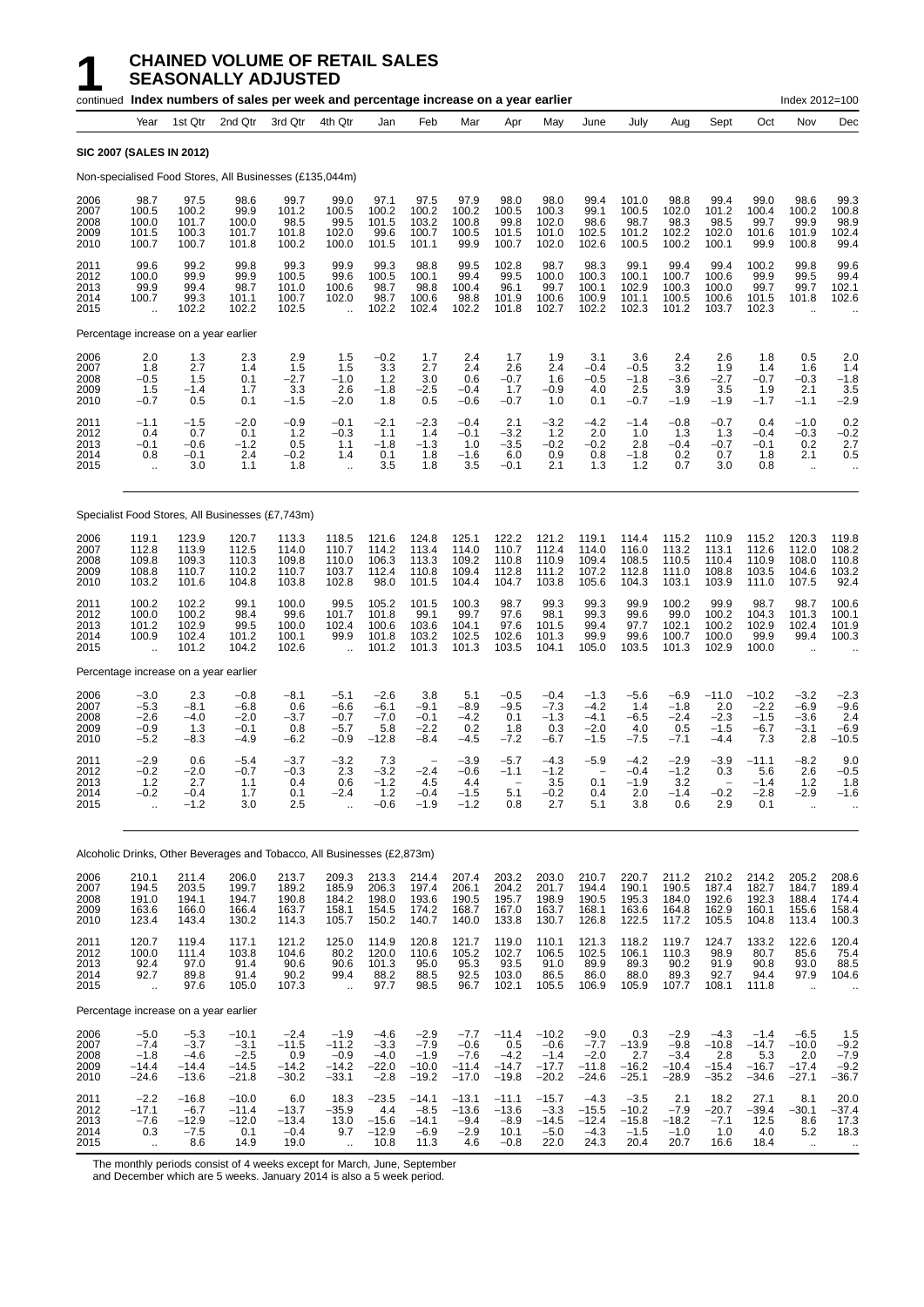#### **1 CHAINED VOLUME OF RETAIL SALES SEASONALLY ADJUSTED**

|                                      |                                                        |                                                  | continued Index numbers of sales per week and percentage increase on a year earlier |                                                |                                                        |                                                 |                                                  |                                                  |                                                |                                                   |                                                  |                                             |                                                  |                                                |                                                | Index 2012=100                                      |                                              |
|--------------------------------------|--------------------------------------------------------|--------------------------------------------------|-------------------------------------------------------------------------------------|------------------------------------------------|--------------------------------------------------------|-------------------------------------------------|--------------------------------------------------|--------------------------------------------------|------------------------------------------------|---------------------------------------------------|--------------------------------------------------|---------------------------------------------|--------------------------------------------------|------------------------------------------------|------------------------------------------------|-----------------------------------------------------|----------------------------------------------|
|                                      | Year                                                   | 1st Qtr                                          | 2nd Qtr                                                                             | 3rd Qtr                                        | 4th Qtr                                                | Jan                                             | Feb                                              | Mar                                              | Apr                                            | May                                               | June                                             | July                                        | Aug                                              | Sept                                           | Oct                                            | Nov                                                 | Dec                                          |
|                                      | <b>SIC 2007 (SALES IN 2012)</b>                        |                                                  |                                                                                     |                                                |                                                        |                                                 |                                                  |                                                  |                                                |                                                   |                                                  |                                             |                                                  |                                                |                                                |                                                     |                                              |
|                                      |                                                        |                                                  | Non-specialised Food Stores, All Businesses (£135,044m)                             |                                                |                                                        |                                                 |                                                  |                                                  |                                                |                                                   |                                                  |                                             |                                                  |                                                |                                                |                                                     |                                              |
| 2006<br>2007<br>2008<br>2009<br>2010 | 98.7<br>100.5<br>100.0<br>101.5<br>100.7               | 97.5<br>100.2<br>101.7<br>100.3<br>100.7         | 98.6<br>99.9<br>100.0<br>101.7<br>101.8                                             | 99.7<br>101.2<br>98.5<br>101.8<br>100.2        | 99.0<br>100.5<br>99.5<br>102.0<br>100.0                | 97.1<br>100.2<br>101.5<br>99.6<br>101.5         | 97.5<br>100.2<br>103.2<br>100.7<br>101.1         | 97.9<br>100.2<br>100.8<br>100.5<br>99.9          | 98.0<br>100.5<br>99.8<br>101.5<br>100.7        | 98.0<br>100.3<br>102.0<br>101.0<br>102.0          | 99.4<br>99.1<br>98.6<br>102.5<br>102.6           | 101.0<br>100.5<br>98.7<br>101.2<br>100.5    | 98.8<br>102.0<br>98.3<br>102.2<br>100.2          | 99.4<br>101.2<br>98.5<br>102.0<br>100.1        | 99.0<br>100.4<br>99.7<br>101.6<br>99.9         | 98.6<br>100.2<br>99.9<br>101.9<br>100.8             | 99.3<br>100.8<br>98.9<br>102.4<br>99.4       |
| 2011<br>2012<br>2013<br>2014<br>2015 | 99.6<br>100.0<br>99.9<br>100.7<br>$\ddot{\phantom{a}}$ | 99.2<br>99.9<br>99.4<br>99.3<br>102.2            | 99.8<br>99.9<br>98.7<br>101.1<br>102.2                                              | 99.3<br>100.5<br>101.0<br>100.7<br>102.5       | 99.9<br>99.6<br>100.6<br>102.0<br>$\ddot{\phantom{a}}$ | 99.3<br>100.5<br>98.7<br>98.7<br>102.2          | 98.8<br>100.1<br>98.8<br>100.6<br>102.4          | 99.5<br>99.4<br>100.4<br>98.8<br>102.2           | 102.8<br>99.5<br>96.1<br>101.9<br>101.8        | 98.7<br>100.0<br>99.7<br>100.6<br>102.7           | 98.3<br>100.3<br>100.1<br>100.9<br>102.2         | 99.1<br>100.1<br>102.9<br>101.1<br>102.3    | 99.4<br>100.7<br>100.3<br>100.5<br>101.2         | 99.4<br>100.6<br>100.0<br>100.6<br>103.7       | 100.2<br>99.9<br>99.7<br>101.5<br>102.3        | 99.8<br>99.5<br>99.7<br>101.8                       | 99.6<br>99.4<br>102.1<br>102.6               |
|                                      | Percentage increase on a year earlier                  |                                                  |                                                                                     |                                                |                                                        |                                                 |                                                  |                                                  |                                                |                                                   |                                                  |                                             |                                                  |                                                |                                                |                                                     |                                              |
| 2006<br>2007<br>2008<br>2009<br>2010 | 2.0<br>1.8<br>$-0.5$<br>1.5<br>$-0.7$                  | 1.3<br>2.7<br>1.5<br>$-1.4$<br>0.5               | 2.3<br>1.4<br>0.1<br>1.7<br>0.1                                                     | 2.9<br>1.5<br>$-2.7$<br>3.3<br>$-1.5$          | 1.5<br>1.5<br>$-1.0$<br>2.6<br>$-2.0$                  | $-0.2$<br>3.3<br>1.2<br>$-1.8$<br>1.8           | 1.7<br>2.7<br>3.0<br>$-2.5$<br>0.5               | 2.4<br>2.4<br>0.6<br>$-0.4$<br>$-0.6$            | 1.7<br>2.6<br>$-0.7$<br>1.7<br>$-0.7$          | 1.9<br>2.4<br>1.6<br>$-0.9$<br>1.0                | 3.1<br>$-0.4$<br>$-0.5$<br>4.0<br>0.1            | 3.6<br>$-0.5$<br>$-1.8$<br>2.5<br>$-0.7$    | 2.4<br>3.2<br>$-3.6$<br>3.9<br>$-1.9$            | 2.6<br>1.9<br>$-2.7$<br>3.5<br>$-1.9$          | 1.8<br>1.4<br>$-0.7$<br>1.9<br>$-1.7$          | 0.5<br>1.6<br>$-0.3$<br>2.1<br>$-1.1$               | 2.0<br>1.4<br>$-1.8$<br>3.5<br>$-2.9$        |
| 2011<br>2012<br>2013<br>2014<br>2015 | $-1.1$<br>0.4<br>-0.1<br>0.8<br>÷.                     | $-1.5$<br>0.7<br>$-0.6$<br>$-0.1$<br>3.0         | $-2.0$<br>0.1<br>$-1.2$<br>2.4<br>1.1                                               | $-0.9$<br>1.2<br>0.5<br>$-0.2$<br>1.8          | $-0.1$<br>$-0.3$<br>1.1<br>1.4<br>$\ddotsc$            | $-2.1$<br>1.1<br>$-1.8$<br>0.1<br>3.5           | $-2.3$<br>1.4<br>$-1.3$<br>1.8<br>1.8            | $-0.4$<br>$-0.1$<br>1.0<br>$-1.6$<br>3.5         | 2.1<br>$-3.2$<br>$-3.5$<br>6.0<br>$-0.1$       | $-3.2$<br>$1.2$<br>$-0.2$<br>0.9<br>2.1           | $-4.2$<br>2.0<br>$-0.2$<br>0.8<br>1.3            | $-1.4$<br>1.0<br>2.8<br>$-1.8$<br>1.2       | $-0.8$<br>1.3<br>$-0.4$<br>0.2<br>0.7            | $-0.7$<br>1.3<br>$-0.7$<br>0.7<br>3.0          | 0.4<br>$-0.4$<br>$-0.1$<br>1.8<br>0.8          | $-1.0$<br>$-0.3$<br>0.2<br>2.1<br>$\ddotsc$         | 0.2<br>$-0.2$<br>2.7<br>0.5                  |
|                                      |                                                        |                                                  | Specialist Food Stores, All Businesses (£7,743m)                                    |                                                |                                                        |                                                 |                                                  |                                                  |                                                |                                                   |                                                  |                                             |                                                  |                                                |                                                |                                                     |                                              |
| 2006<br>2007<br>2008<br>2009<br>2010 | 119.1<br>112.8<br>109.8<br>108.8<br>103.2              | 123.9<br>113.9<br>109.3<br>110.7<br>101.6        | 120.7<br>112.5<br>110.3<br>110.2<br>104.8                                           | 113.3<br>114.0<br>109.8<br>110.7<br>103.8      | 118.5<br>110.7<br>110.0<br>103.7<br>102.8              | 121.6<br>114.2<br>106.3<br>112.4<br>98.0        | 124.8<br>113.4<br>113.3<br>110.8<br>101.5        | 125.1<br>114.0<br>109.2<br>109.4<br>104.4        | 122.2<br>110.7<br>110.8<br>112.8<br>104.7      | 121.2<br>112.4<br>110.9<br>111.2<br>103.8         | 119.1<br>114.0<br>109.4<br>107.2<br>105.6        | 114.4<br>116.0<br>108.5<br>112.8<br>104.3   | 115.2<br>113.2<br>110.5<br>111.0<br>103.1        | 110.9<br>113.1<br>110.4<br>108.8<br>103.9      | 115.2<br>112.6<br>110.9<br>103.5<br>111.0      | 120.3<br>112.0<br>108.0<br>104.6<br>107.5           | 119.8<br>108.2<br>110.8<br>103.2<br>92.4     |
| 2011<br>2012<br>2013<br>2014<br>2015 | 100.2<br>100.0<br>101.2<br>100.9<br>$\ddotsc$          | 102.2<br>100.2<br>102.9<br>102.4<br>101.2        | 99.1<br>98.4<br>99.5<br>101.2<br>104.2                                              | 100.0<br>99.6<br>100.0<br>100.1<br>102.6       | 99.5<br>101.7<br>102.4<br>99.9<br>$\ddot{\phantom{1}}$ | 105.2<br>101.8<br>100.6<br>101.8<br>101.2       | 101.5<br>99.1<br>103.6<br>103.2<br>101.3         | 100.3<br>99.7<br>104.1<br>102.5<br>101.3         | 98.7<br>97.6<br>97.6<br>102.6<br>103.5         | 99.3<br>98.1<br>101.5<br>101.3<br>104.1           | 99.3<br>99.3<br>99.4<br>99.9<br>105.0            | 99.9<br>99.6<br>97.7<br>99.6<br>103.5       | 100.2<br>99.0<br>102.1<br>100.7<br>101.3         | 99.9<br>100.2<br>100.2<br>100.0<br>102.9       | 98.7<br>104.3<br>102.9<br>99.9<br>100.0        | 98.7<br>101.3<br>102.4<br>99.4                      | 100.6<br>100.1<br>101.9<br>100.3             |
|                                      | Percentage increase on a year earlier                  |                                                  |                                                                                     |                                                |                                                        |                                                 |                                                  |                                                  |                                                |                                                   |                                                  |                                             |                                                  |                                                |                                                |                                                     |                                              |
| 2006<br>2007<br>2008<br>2009<br>2010 | -3.0<br>-5.3<br>$-2.6$<br>-0.9<br>-5.2                 | 2.3<br>$-8.1$<br>$-4.0$<br>1.3<br>$-8.3$         | $-0.8$<br>$-6.8$<br>$-2.0$<br>$-0.1$<br>$-4.9$                                      | $-8.1$<br>0.6<br>$-3.7$<br>0.8<br>$-6.2$       | $-5.1$<br>$-6.6$<br>$-0.7$<br>$-5.7$<br>$-0.9$         | $-2.6$<br>$-6.1$<br>$-7.0$<br>5.8<br>$-12.8$    | 3.8<br>$-9.1$<br>$-0.1$<br>$-2.2$<br>$-8.4$      | 5.1<br>$-8.9$<br>$-4.2$<br>0.2<br>$-4.5$         | $-0.5$<br>$-9.5$<br>0.1<br>1.8<br>$-7.2$       | $-0.4$<br>$-7.3$<br>$-1.3$<br>0.3<br>$-6.7$       | $-1.3$<br>$-4.2$<br>$-4.1$<br>$-2.0$<br>$-1.5$   | $-5.6$<br>1.4<br>$-6.5$<br>4.0<br>$-7.5$    | $-6.9$<br>$-1.8$<br>$-2.4$<br>0.5<br>$-7.1$      | $-11.0$<br>2.0<br>$-2.3$<br>$-1.5$<br>$-4.4$   | $-10.2$<br>$-2.2$<br>$-1.5$<br>$-6.7$<br>7.3   | $-3.2$<br>$-6.9$<br>$-3.6$<br>-3.1<br>2.8           | $-2.3$<br>$-9.6$<br>2.4<br>$-6.9$<br>-10.5   |
| 2011<br>2012<br>2013<br>2014<br>2015 | $-2.9$<br>$-0.2$<br>1.2<br>-0.2<br>ä,                  | 0.6<br>$-2.0$<br>2.7<br>$-0.4$<br>$-1.2$         | $-5.4$<br>$-0.7$<br>1.1<br>1.7<br>3.0                                               | $-3.7$<br>$-0.3$<br>0.4<br>0.1<br>2.5          | $-3.2$<br>2.3<br>0.6<br>$-2.4$<br>$\ddot{\phantom{a}}$ | 7.3<br>$-3.2$<br>$-1.2$<br>$1.2$<br>$-0.6$      | $-2.4$<br>4.5<br>$-0.4$<br>$-1.9$                | $-3.9$<br>$-0.6$<br>4.4<br>$-1.5$<br>$-1.2$      | $-5.7$<br>$-1.1$<br>5.1<br>0.8                 | $-4.3$<br>$-1.2$<br>3.5<br>$-0.2$<br>2.7          | $-5.9$<br>0.1<br>0.4<br>5.1                      | $-4.2$<br>$-0.4$<br>$-1.9$<br>2.0<br>3.8    | $-2.9$<br>$-1.2$<br>3.2<br>$-1.4$<br>0.6         | $-3.9$<br>0.3<br>$-0.2$<br>2.9                 | $-11.1$<br>5.6<br>-1.4<br>$-2.8$<br>0.1        | -8.2<br>2.6<br>1.2<br>-2.9<br>à.                    | 9.0<br>$-0.5$<br>1.8<br>-1.6                 |
|                                      |                                                        |                                                  | Alcoholic Drinks, Other Beverages and Tobacco, All Businesses (£2,873m)             |                                                |                                                        |                                                 |                                                  |                                                  |                                                |                                                   |                                                  |                                             |                                                  |                                                |                                                |                                                     |                                              |
| 2006<br>2007<br>2008<br>2009<br>2010 | 210.1<br>194.5<br>191.0<br>163.6<br>123.4              | 211.4<br>203.5<br>194.1<br>166.0<br>143.4        | 206.0<br>199.7<br>194.7<br>166.4<br>130.2                                           | 213.7<br>189.2<br>190.8<br>163.7<br>114.3      | 209.3<br>185.9<br>184.2<br>158.1<br>105.7              | 213.3<br>206.3<br>198.0<br>154.5<br>150.2       | 214.4<br>197.4<br>193.6<br>174.2<br>140.7        | 207.4<br>206.1<br>190.5<br>168.7<br>140.0        | 203.2<br>204.2<br>195.7<br>167.0<br>133.8      | 203.0<br>201.7<br>198.9<br>163.7<br>130.7         | 210.7<br>194.4<br>190.5<br>168.1<br>126.8        | 220.7<br>190.1<br>195.3<br>163.6<br>122.5   | 211.2<br>190.5<br>184.0<br>164.8<br>117.2        | 210.2<br>187.4<br>192.6<br>162.9<br>105.5      | 214.2<br>182.7<br>192.3<br>160.1<br>104.8      | 205.2<br>184.7<br>188.4<br>155.6<br>113.4           | 208.6<br>189.4<br>174.4<br>158.4<br>100.3    |
| 2011<br>2012<br>2013<br>2014<br>2015 | 120.7<br>100.0<br>92.4<br>92.7<br>$\sim$               | 119.4<br>111.4<br>97.0<br>89.8<br>97.6           | 117.1<br>103.8<br>91.4<br>91.4<br>105.0                                             | 121.2<br>104.6<br>90.6<br>90.2<br>107.3        | 125.0<br>80.2<br>90.6<br>99.4<br>$\ddot{\phantom{a}}$  | 114.9<br>120.0<br>101.3<br>88.2<br>97.7         | 120.8<br>110.6<br>95.0<br>88.5<br>98.5           | 121.7<br>105.2<br>95.3<br>92.5<br>96.7           | 119.0<br>102.7<br>93.5<br>103.0<br>102.1       | 110.1<br>106.5<br>91.0<br>86.5<br>105.5           | 121.3<br>102.5<br>89.9<br>86.0<br>106.9          | 118.2<br>106.1<br>89.3<br>88.0<br>105.9     | 119.7<br>110.3<br>90.2<br>89.3<br>107.7          | 124.7<br>98.9<br>91.9<br>92.7<br>108.1         | 133.2<br>80.7<br>90.8<br>94.4<br>111.8         | 122.6<br>85.6<br>93.0<br>97.9<br>$\bar{\mathbf{r}}$ | 120.4<br>75.4<br>88.5<br>104.6               |
|                                      | Percentage increase on a year earlier                  |                                                  |                                                                                     |                                                |                                                        |                                                 |                                                  |                                                  |                                                |                                                   |                                                  |                                             |                                                  |                                                |                                                |                                                     |                                              |
| 2006<br>2007<br>2008<br>2009<br>2010 | $-5.0$<br>$-7.4$<br>$-1.8$<br>$-14.4$<br>$-24.6$       | $-5.3$<br>$-3.7$<br>$-4.6$<br>$-14.4$<br>$-13.6$ | $-10.1$<br>$-3.1$<br>$-2.5$<br>$-14.5$<br>$-21.8$                                   | $-2.4$<br>$-11.5$<br>0.9<br>$-14.2$<br>$-30.2$ | $-1.9$<br>$-11.2$<br>$-0.9$<br>$-14.2$<br>$-33.1$      | $-4.6$<br>$-3.3$<br>$-4.0$<br>$-22.0$<br>$-2.8$ | $-2.9$<br>$-7.9$<br>$-1.9$<br>$-10.0$<br>$-19.2$ | $-7.7$<br>$-0.6$<br>$-7.6$<br>$-11.4$<br>$-17.0$ | $-11.4$<br>0.5<br>$-4.2$<br>$-14.7$<br>$-19.8$ | $-10.2$<br>$-0.6$<br>$-1.4$<br>$-17.7$<br>$-20.2$ | $-9.0$<br>$-7.7$<br>$-2.0$<br>$-11.8$<br>$-24.6$ | 0.3<br>$-13.9$<br>2.7<br>$-16.2$<br>$-25.1$ | $-2.9$<br>$-9.8$<br>$-3.4$<br>$-10.4$<br>$-28.9$ | $-4.3$<br>$-10.8$<br>2.8<br>$-15.4$<br>$-35.2$ | $-1.4$<br>$-14.7$<br>5.3<br>$-16.7$<br>$-34.6$ | $-6.5$<br>$-10.0$<br>$-17.4$<br>$-27.1$             | 1.5<br>$-9.2$<br>$-7.9$<br>$-9.2$<br>$-36.7$ |

2011 −2.2 −16.8 −10.0 6.0 18.3 −23.5 −14.1 −13.1 −11.1 −15.7 −4.3 −3.5 2.1 18.2 27.1 8.1 20.0 2012 −17.1 −6.7 −11.4 −13.7 −35.9 4.4 −8.5 −13.6 −13.6 −3.3 −15.5 −10.2 −7.9 −20.7 −39.4 −30.1 −37.4 2013 −7.6 −12.9 −12.0 −13.4 13.0 −15.6 −14.1 −9.4 −8.9 −14.5 −12.4 −15.8 −18.2 −7.1 12.5 8.6 17.3 2014 0.3 −7.5 0.1 −0.4 9.7 −12.9 −6.9 −2.9 10.1 −5.0 −4.3 −1.5 −1.0 1.0 4.0 5.2 18.3 2015 .. 8.6 14.9 19.0 .. 10.8 11.3 4.6 −0.8 22.0 24.3 20.4 20.7 16.6 18.4 .. ..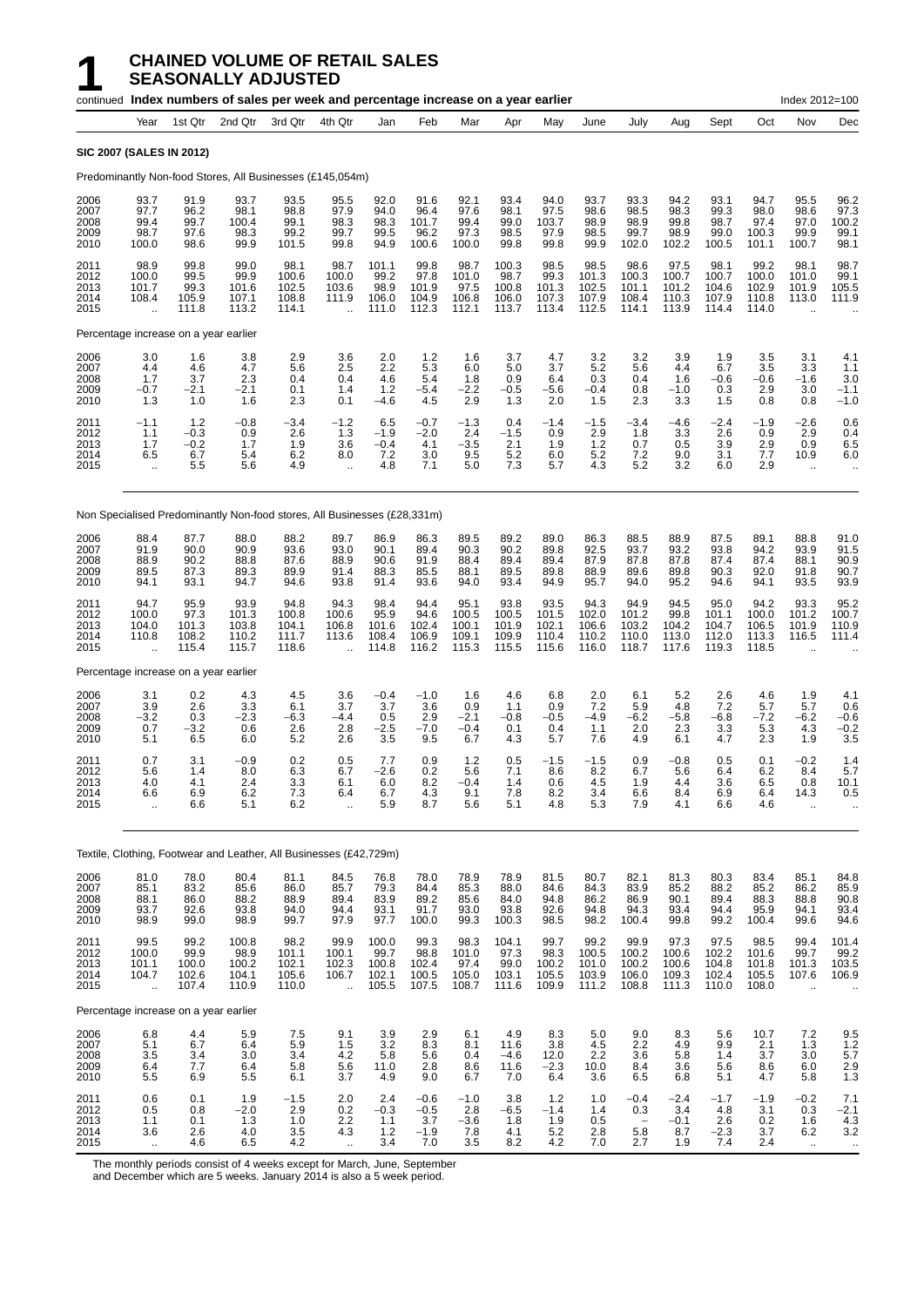|                                       |                                                                |                                         | continued Index numbers of sales per week and percentage increase on a year earlier |                                          |                                                         |                                          |                                          |                                          |                                          |                                             |                                                                |                                          |                                          |                                          |                                           | Index 2012=100                                       |                                          |
|---------------------------------------|----------------------------------------------------------------|-----------------------------------------|-------------------------------------------------------------------------------------|------------------------------------------|---------------------------------------------------------|------------------------------------------|------------------------------------------|------------------------------------------|------------------------------------------|---------------------------------------------|----------------------------------------------------------------|------------------------------------------|------------------------------------------|------------------------------------------|-------------------------------------------|------------------------------------------------------|------------------------------------------|
|                                       | Year                                                           | 1st Qtr                                 | 2nd Qtr                                                                             | 3rd Qtr                                  | 4th Qtr                                                 | Jan                                      | Feb                                      | Mar                                      | Apr                                      | May                                         | June                                                           | July                                     | Aug                                      | Sept                                     | Oct                                       | Nov                                                  | Dec                                      |
| <b>SIC 2007 (SALES IN 2012)</b>       |                                                                |                                         |                                                                                     |                                          |                                                         |                                          |                                          |                                          |                                          |                                             |                                                                |                                          |                                          |                                          |                                           |                                                      |                                          |
|                                       |                                                                |                                         | Predominantly Non-food Stores, All Businesses (£145,054m)                           |                                          |                                                         |                                          |                                          |                                          |                                          |                                             |                                                                |                                          |                                          |                                          |                                           |                                                      |                                          |
| 2006<br>2007<br>2008<br>2009<br>2010  | 93.7<br>97.7<br>99.4<br>98.7<br>100.0                          | 91.9<br>96.2<br>99.7<br>97.6<br>98.6    | 93.7<br>98.1<br>100.4<br>98.3<br>99.9                                               | 93.5<br>98.8<br>99.1<br>99.2<br>101.5    | 95.5<br>97.9<br>98.3<br>99.7<br>99.8                    | 92.0<br>94.0<br>98.3<br>99.5<br>94.9     | 91.6<br>96.4<br>101.7<br>96.2<br>100.6   | 92.1<br>97.6<br>99.4<br>97.3<br>100.0    | 93.4<br>98.1<br>99.0<br>98.5<br>99.8     | 94.0<br>97.5<br>103.7<br>97.9<br>99.8       | 93.7<br>98.6<br>98.9<br>98.5<br>99.9                           | 93.3<br>98.5<br>98.9<br>99.7<br>102.0    | 94.2<br>98.3<br>99.8<br>98.9<br>102.2    | 93.1<br>99.3<br>98.7<br>99.0<br>100.5    | 94.7<br>98.0<br>97.4<br>100.3<br>101.1    | 95.5<br>98.6<br>97.0<br>99.9<br>100.7                | 96.2<br>97.3<br>100.2<br>99.1<br>98.1    |
| 2011<br>2012<br>2013<br>2014<br>2015  | 98.9<br>100.0<br>101.7<br>108.4<br>$\ddotsc$                   | 99.8<br>99.5<br>99.3<br>105.9<br>111.8  | 99.0<br>99.9<br>101.6<br>107.1<br>113.2                                             | 98.1<br>100.6<br>102.5<br>108.8<br>114.1 | 98.7<br>100.0<br>103.6<br>111.9<br>$\ddotsc$            | 101.1<br>99.2<br>98.9<br>106.0<br>111.0  | 99.8<br>97.8<br>101.9<br>104.9<br>112.3  | 98.7<br>101.0<br>97.5<br>106.8<br>112.1  | 100.3<br>98.7<br>100.8<br>106.0<br>113.7 | 98.5<br>99.3<br>101.3<br>107.3<br>113.4     | 98.5<br>101.3<br>102.5<br>107.9<br>112.5                       | 98.6<br>100.3<br>101.1<br>108.4<br>114.1 | 97.5<br>100.7<br>101.2<br>110.3<br>113.9 | 98.1<br>100.7<br>104.6<br>107.9<br>114.4 | 99.2<br>100.0<br>102.9<br>110.8<br>114.0  | 98.1<br>101.0<br>101.9<br>113.0                      | 98.7<br>99.1<br>105.5<br>111.9           |
|                                       |                                                                | Percentage increase on a year earlier   |                                                                                     |                                          |                                                         |                                          |                                          |                                          |                                          |                                             |                                                                |                                          |                                          |                                          |                                           |                                                      |                                          |
| 2006<br>2007<br>2008<br>2009<br>2010  | 3.0<br>4.4<br>1.7<br>$-0.7$<br>1.3                             | 1.6<br>4.6<br>3.7<br>$-2.1$<br>1.0      | 3.8<br>4.7<br>2.3<br>$-2.1$<br>1.6                                                  | 2.9<br>5.6<br>0.4<br>0.1<br>2.3          | 3.6<br>2.5<br>0.4<br>1.4<br>0.1                         | 2.0<br>2.2<br>4.6<br>1.2<br>$-4.6$       | $1.2$<br>5.3<br>5.4<br>$-5.4$<br>4.5     | 1.6<br>6.0<br>1.8<br>$-2.2$<br>2.9       | 3.7<br>5.0<br>0.9<br>-0.5<br>1.3         | 4.7<br>3.7<br>6.4<br>-5.6<br>2.0            | 3.2<br>5.2<br>0.3<br>$-0.4$<br>1.5                             | 3.2<br>5.6<br>0.4<br>0.8<br>2.3          | 3.9<br>4.4<br>1.6<br>$-1.0$<br>3.3       | 1.9<br>6.7<br>$-0.6$<br>0.3<br>1.5       | 3.5<br>3.5<br>-0.6<br>2.9<br>0.8          | 3.1<br>3.3<br>-1.6<br>3.0<br>0.8                     | 4.1<br>1.1<br>3.0<br>$-1.1$<br>$-1.0$    |
| 2011<br>2012<br>2013<br>2014<br>2015  | $-1.1$<br>1.1<br>1.7<br>6.5<br>Ξ.                              | 1.2<br>$-0.3$<br>$-0.2$<br>6.7<br>5.5   | $-0.8$<br>0.9<br>1.7<br>5.4<br>5.6                                                  | $-3.4$<br>2.6<br>1.9<br>6.2<br>4.9       | $-1.2$<br>1.3<br>3.6<br>8.0                             | 6.5<br>$-1.9$<br>$-0.4$<br>7.2<br>4.8    | $-0.7$<br>$-2.0$<br>4.1<br>3.0<br>7.1    | $-1.3$<br>2.4<br>$-3.5$<br>9.5<br>5.0    | 0.4<br>$-1.5$<br>2.1<br>5.2<br>7.3       | $-1.4$<br>0.9<br>1.9<br>6.0<br>5.7          | $-1.5$<br>2.9<br>1.2<br>5.2<br>4.3                             | $-3.4$<br>1.8<br>0.7<br>7.2<br>5.2       | $-4.6$<br>3.3<br>0.5<br>9.0<br>3.2       | $-2.4$<br>2.6<br>3.9<br>3.1<br>6.0       | $-1.9$<br>0.9<br>2.9<br>7.7<br>2.9        | $-2.6$<br>2.9<br>0.9<br>10.9<br>ä,                   | 0.6<br>0.4<br>6.5<br>6.0                 |
|                                       |                                                                |                                         | Non Specialised Predominantly Non-food stores, All Businesses (£28,331m)            |                                          |                                                         |                                          |                                          |                                          |                                          |                                             |                                                                |                                          |                                          |                                          |                                           |                                                      |                                          |
| 2006<br>2007<br>2008<br>2009<br>2010  | 88.4<br>91.9<br>88.9<br>89.5<br>94.1                           | 87.7<br>90.0<br>90.2<br>87.3<br>93.1    | 88.0<br>90.9<br>88.8<br>89.3<br>94.7                                                | 88.2<br>93.6<br>87.6<br>89.9<br>94.6     | 89.7<br>93.0<br>88.9<br>91.4<br>93.8                    | 86.9<br>90.1<br>90.6<br>88.3<br>91.4     | 86.3<br>89.4<br>91.9<br>85.5<br>93.6     | 89.5<br>90.3<br>88.4<br>88.1<br>94.0     | 89.2<br>90.2<br>89.4<br>89.5<br>93.4     | 89.0<br>89.8<br>89.4<br>89.8<br>94.9        | 86.3<br>92.5<br>87.9<br>88.9<br>95.7                           | 88.5<br>93.7<br>87.8<br>89.6<br>94.0     | 88.9<br>93.2<br>87.8<br>89.8<br>95.2     | 87.5<br>93.8<br>87.4<br>90.3<br>94.6     | 89.1<br>94.2<br>87.4<br>92.0<br>94.1      | 88.8<br>93.9<br>88.1<br>91.8<br>93.5                 | 91.0<br>91.5<br>90.9<br>90.7<br>93.9     |
| 2011<br>2012<br>2013<br>2014<br>2015  | 94.7<br>100.0<br>104.0<br>110.8<br>ă,                          | 95.9<br>97.3<br>101.3<br>108.2<br>115.4 | 93.9<br>101.3<br>103.8<br>110.2<br>115.7                                            | 94.8<br>100.8<br>104.1<br>111.7<br>118.6 | 94.3<br>100.6<br>106.8<br>113.6                         | 98.4<br>95.9<br>101.6<br>108.4<br>114.8  | 94.4<br>94.6<br>102.4<br>106.9<br>116.2  | 95.1<br>100.5<br>100.1<br>109.1<br>115.3 | 93.8<br>100.5<br>101.9<br>109.9<br>115.5 | 93.5<br>101.5<br>102.1<br>110.4<br>115.6    | 94.3<br>102.0<br>106.6<br>110.2<br>116.0                       | 94.9<br>101.2<br>103.2<br>110.0<br>118.7 | 94.5<br>99.8<br>104.2<br>113.0<br>117.6  | 95.0<br>101.1<br>104.7<br>112.0<br>119.3 | 94.2<br>100.0<br>106.5<br>113.3<br>118.5  | 93.3<br>101.2<br>101.9<br>116.5                      | 95.2<br>100.7<br>110.9<br>111.4          |
| Percentage increase on a year earlier |                                                                |                                         |                                                                                     |                                          |                                                         |                                          |                                          |                                          |                                          |                                             |                                                                |                                          |                                          |                                          |                                           |                                                      |                                          |
| 2006<br>2007<br>2008<br>2009<br>2010  | 3.1<br>3.9<br>$-3.2$<br>0.7<br>5.1                             | 0.2<br>2.6<br>0.3<br>$-3.2$<br>6.5      | 4.3<br>3.3<br>$-2.3$<br>0.6<br>6.0                                                  | 4.5<br>6.1<br>$-6.3$<br>2.6<br>5.2       | 3.6<br>3.7<br>$-4.4$<br>2.8<br>2.6                      | $-0.4$<br>3.7<br>0.5<br>$-2.5$<br>3.5    | $-1.0$<br>3.6<br>2.9<br>$-7.0$<br>9.5    | 1.6<br>0.9<br>$-2.1$<br>$-0.4$<br>6.7    | 4.6<br>1.1<br>$-0.8$<br>0.1<br>4.3       | 6.8<br>0.9<br>$-0.5$<br>0.4<br>5.7          | 2.0<br>7.2<br>$-4.9$<br>1.1<br>7.6                             | 6.1<br>5.9<br>$-6.2$<br>2.0<br>4.9       | 5.2<br>4.8<br>$-5.8$<br>2.3<br>6.1       | 2.6<br>7.2<br>$-6.8$<br>3.3<br>4.7       | 4.6<br>5.7<br>$-7.2$<br>5.3<br>2.3        | 1.9<br>5.7<br>$-6.2$<br>4.3<br>1.9                   | 4.1<br>0.6<br>$-0.6$<br>$-0.2$<br>3.5    |
| 2011<br>2012<br>2013<br>2014<br>2015  | 0.7<br>5.6<br>4.0<br>6.6<br>ä.                                 | 3.1<br>1.4<br>4.1<br>6.9<br>6.6         | $-0.9$<br>8.0<br>2.4<br>6.2<br>5.1                                                  | 0.2<br>6.3<br>3.3<br>7.3<br>6.2          | 0.5<br>6.7<br>6.1<br>6.4<br>$\ddot{\phantom{a}}$        | 7.7<br>-2.6<br>6.0<br>6.7<br>5.9         | 0.9<br>0.2<br>8.2<br>4.3<br>8.7          | 1.2<br>5.6<br>$-0.4$<br>9.1<br>5.6       | 0.5<br>7.1<br>1.4<br>7.8<br>5.1          | $-1.5$<br>8.6<br>0.6<br>8.2<br>4.8          | $-1.5$<br>8.2<br>4.5<br>3.4<br>5.3                             | 0.9<br>6.7<br>1.9<br>6.6<br>7.9          | $-0.8$<br>5.6<br>4.4<br>8.4<br>4.1       | 0.5<br>6.4<br>3.6<br>6.9<br>6.6          | 0.1<br>6.2<br>6.5<br>6.4<br>4.6           | $-0.2$<br>8.4<br>0.8<br>14.3<br>$\ddot{\phantom{a}}$ | 1.4<br>5.7<br>10.1<br>0.5                |
|                                       |                                                                |                                         | Textile, Clothing, Footwear and Leather, All Businesses (£42,729m)                  |                                          |                                                         |                                          |                                          |                                          |                                          |                                             |                                                                |                                          |                                          |                                          |                                           |                                                      |                                          |
| 2006<br>2007<br>2008<br>2009<br>2010  | 81.0<br>85.1<br>88.1<br>93.7<br>98.9                           | 78.0<br>83.2<br>86.0<br>92.6<br>99.0    | 80.4<br>85.6<br>88.2<br>93.8<br>98.9                                                | 81.1<br>$86.0$<br>$88.9$<br>94.0<br>99.7 | 84.5<br>85.7<br>89.4<br>94.4<br>97.9                    | 76.8<br>79.3<br>83.9<br>93.1<br>97.7     | 78.0<br>84.4<br>89.2<br>91.7<br>100.0    | 78.9<br>85.3<br>85.6<br>93.0<br>99.3     | 78.9<br>88.0<br>84.0<br>93.8<br>100.3    | 81.5<br>84.6<br>94.8<br>92.6<br>98.5        | 80.7<br>84.3<br>86.2<br>94.8<br>98.2                           | 82.1<br>83.9<br>86.9<br>94.3<br>100.4    | 81.3<br>85.2<br>90.1<br>93.4<br>99.8     | 80.3<br>88.2<br>89.4<br>94.4<br>99.2     | 83.4<br>85.2<br>88.3<br>95.9<br>100.4     | 85.1<br>86.2<br>88.8<br>94.1<br>99.6                 | 84.8<br>85.9<br>90.8<br>93.4<br>94.6     |
| 2011<br>2012<br>2013<br>2014<br>2015  | 99.5<br>100.0<br>101.1<br>104.7<br>ü.                          | 99.2<br>99.9<br>100.0<br>102.6<br>107.4 | 100.8<br>98.9<br>100.2<br>104.1<br>110.9                                            | 98.2<br>101.1<br>102.1<br>105.6<br>110.0 | 99.9<br>100.1<br>102.3<br>106.7<br>$\ddot{\phantom{a}}$ | 100.0<br>99.7<br>100.8<br>102.1<br>105.5 | 99.3<br>98.8<br>102.4<br>100.5<br>107.5  | 98.3<br>101.0<br>97.4<br>105.0<br>108.7  | 104.1<br>97.3<br>99.0<br>103.1<br>111.6  | 99.7<br>98.3<br>100.2<br>105.5<br>109.9     | 99.2<br>100.5<br>101.0<br>103.9<br>111.2                       | 99.9<br>100.2<br>100.2<br>106.0<br>108.8 | 97.3<br>100.6<br>100.6<br>109.3<br>111.3 | 97.5<br>102.2<br>104.8<br>102.4<br>110.0 | 98.5<br>101.6<br>101.8<br>105.5<br>108.0  | 99.4<br>99.7<br>101.3<br>107.6                       | 101.4<br>99.2<br>103.5<br>106.9          |
|                                       |                                                                | Percentage increase on a year earlier   |                                                                                     |                                          |                                                         |                                          |                                          |                                          |                                          |                                             |                                                                |                                          |                                          |                                          |                                           |                                                      |                                          |
| 2006<br>2007<br>2008<br>2009<br>2010  | 6.8<br>5.1<br>$\begin{array}{c} 3.5 \\ 6.4 \end{array}$<br>5.5 | 4.4<br>6.7<br>$\frac{3.4}{7.7}$<br>6.9  | 5.9<br>6.4<br>3.0<br>6.4<br>5.5                                                     | 7.5<br>5.9<br>3.4<br>5.8<br>6.1          | 9.1<br>1.5<br>$\frac{4.2}{5.6}$<br>3.7                  | 3.9<br>3.2<br>5.8<br>11.0<br>4.9         | 2.9<br>8.3<br>5.6<br>2.8<br>9.0          | 6.1<br>8.1<br>0.4<br>8.6<br>6.7          | 4.9<br>11.6<br>-4.6<br>11.6<br>7.0       | 8.3<br>3.8<br>$12.0 - 2.3$<br>6.4           | 5.0<br>4.5<br>2.2<br>10.0<br>3.6                               | 9.0<br>2.2<br>3.6<br>8.4<br>6.5          | 8.3<br>4.9<br>5.8<br>3.6<br>6.8          | 5.6<br>9.9<br>1.4<br>5.6<br>5.1          | 10.7<br>2.1<br>3.7<br>8.6<br>4.7          | 7.2<br>1.3<br>3.0<br>6.0<br>5.8                      | 9.5<br>$1.2$<br>$\frac{5.7}{2.9}$<br>1.3 |
| 2011<br>2012<br>2013<br>2014<br>2015  | 0.6<br>0.5<br>1.1<br>3.6<br>$\sim$                             | 0.1<br>0.8<br>0.1<br>2.6<br>4.6         | 1.9<br>$-2.0$<br>1.3<br>4.0<br>6.5                                                  | $-1.5$<br>2.9<br>1.0<br>3.5<br>4.2       | 2.0<br>0.2<br>$^{2.2}_{4.3}$                            | 2.4<br>$-0.3$<br>1.1<br>1.2<br>3.4       | $-0.6$<br>$-0.5$<br>3.7<br>$-1.9$<br>7.0 | $-1.0$<br>2.8<br>$-3.6$<br>7.8<br>3.5    | 3.8<br>$-6.5$<br>1.8<br>4.1<br>8.2       | $1.2$<br>$-1.4$<br>$\frac{1.9}{5.2}$<br>4.2 | 1.0<br>1.4<br>$\begin{array}{c} 0.5 \\ 2.8 \end{array}$<br>7.0 | $-0.4$<br>0.3<br>5.8<br>2.7              | $-2.4$<br>3.4<br>$-0.1$<br>8.7<br>1.9    | $-1.7$<br>4.8<br>$^{2.6}_{-2.3}$<br>7.4  | $-1.9$<br>3.1<br>$\frac{0.2}{3.7}$<br>2.4 | $-0.2$<br>0.3<br>1.6<br>$6.\overline{2}$<br>$\sim$   | 7.1<br>$-2.1$<br>$\frac{4.3}{3.2}$       |

The monthly periods consist of 4 weeks except for March, June, September

and December which are 5 weeks. January 2014 is also a 5 week period.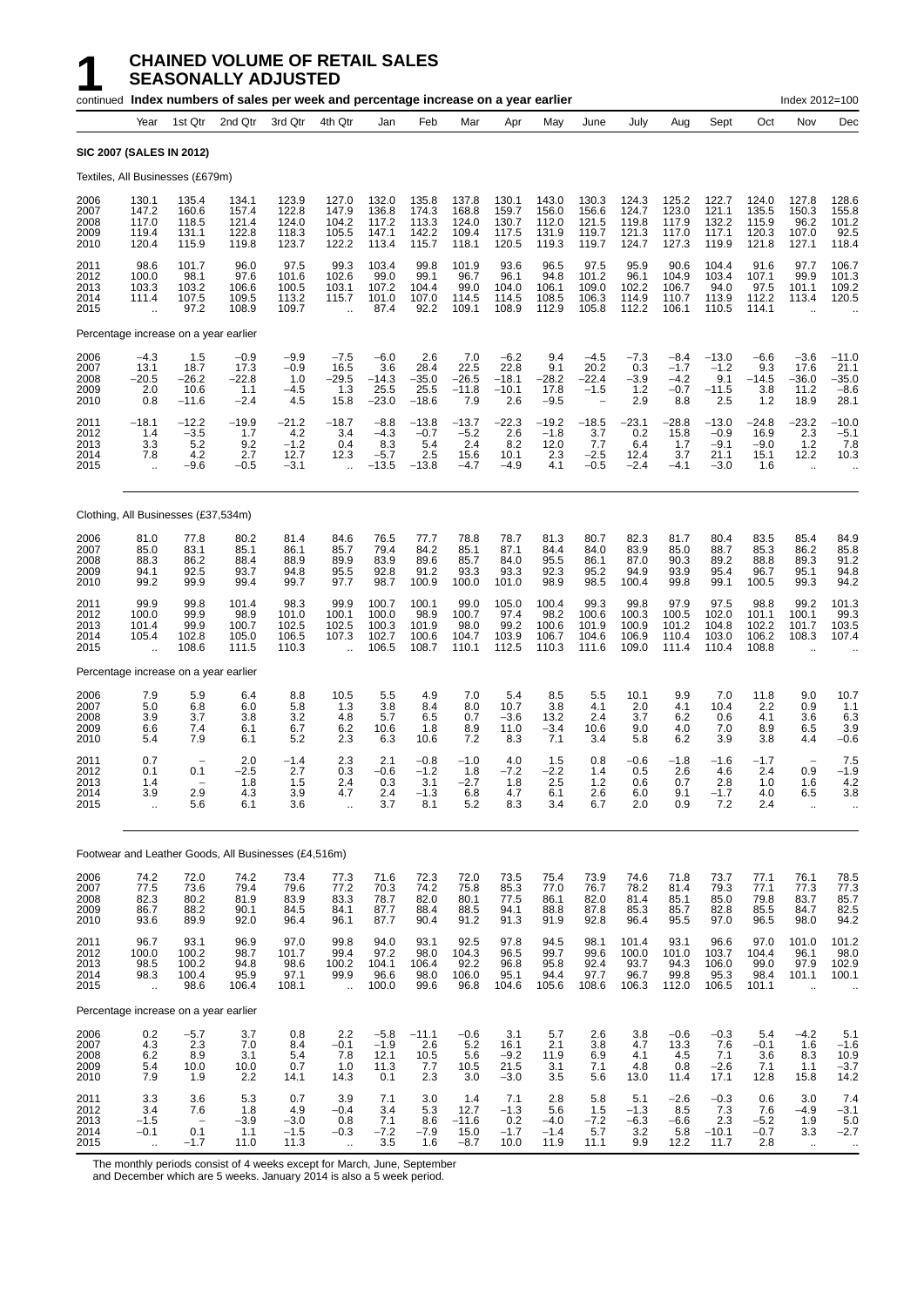|                                      |                                                |                                           | continued Index numbers of sales per week and percentage increase on a year earlier |                                            |                                                        |                                              |                                            |                                           |                                              |                                           |                                                               |                                           |                                             |                                               |                                            | Index 2012=100                                             |                                                  |
|--------------------------------------|------------------------------------------------|-------------------------------------------|-------------------------------------------------------------------------------------|--------------------------------------------|--------------------------------------------------------|----------------------------------------------|--------------------------------------------|-------------------------------------------|----------------------------------------------|-------------------------------------------|---------------------------------------------------------------|-------------------------------------------|---------------------------------------------|-----------------------------------------------|--------------------------------------------|------------------------------------------------------------|--------------------------------------------------|
|                                      | Year                                           | 1st Qtr                                   | 2nd Qtr                                                                             | 3rd Qtr                                    | 4th Qtr                                                | Jan                                          | Feb                                        | Mar                                       | Apr                                          | May                                       | June                                                          | July                                      | Aug                                         | Sept                                          | Oct                                        | Nov                                                        | Dec                                              |
|                                      | SIC 2007 (SALES IN 2012)                       |                                           |                                                                                     |                                            |                                                        |                                              |                                            |                                           |                                              |                                           |                                                               |                                           |                                             |                                               |                                            |                                                            |                                                  |
|                                      |                                                | Textiles, All Businesses (£679m)          |                                                                                     |                                            |                                                        |                                              |                                            |                                           |                                              |                                           |                                                               |                                           |                                             |                                               |                                            |                                                            |                                                  |
| 2006<br>2007<br>2008<br>2009<br>2010 | 130.1<br>147.2<br>117.0<br>119.4<br>120.4      | 135.4<br>160.6<br>118.5<br>131.1<br>115.9 | 134.1<br>157.4<br>121.4<br>122.8<br>119.8                                           | 123.9<br>122.8<br>124.0<br>118.3<br>123.7  | 127.0<br>147.9<br>104.2<br>105.5<br>122.2              | 132.0<br>136.8<br>117.2<br>147.1<br>113.4    | 135.8<br>174.3<br>113.3<br>142.2<br>115.7  | 137.8<br>168.8<br>124.0<br>109.4<br>118.1 | 130.1<br>159.7<br>130.7<br>117.5<br>120.5    | 143.0<br>156.0<br>112.0<br>131.9<br>119.3 | 130.3<br>156.6<br>121.5<br>119.7<br>119.7                     | 124.3<br>124.7<br>119.8<br>121.3<br>124.7 | 125.2<br>123.0<br>117.9<br>117.0<br>127.3   | 122.7<br>121.1<br>132.2<br>117.1<br>119.9     | 124.0<br>135.5<br>115.9<br>120.3<br>121.8  | 127.8<br>150.3<br>96.2<br>107.0<br>127.1                   | 128.6<br>155.8<br>101.2<br>92.5<br>118.4         |
| 2011<br>2012<br>2013<br>2014<br>2015 | 98.6<br>100.0<br>103.3<br>111.4<br>ă,          | 101.7<br>98.1<br>103.2<br>107.5<br>97.2   | 96.0<br>97.6<br>106.6<br>109.5<br>108.9                                             | 97.5<br>101.6<br>100.5<br>113.2<br>109.7   | 99.3<br>102.6<br>103.1<br>115.7                        | 103.4<br>99.0<br>107.2<br>101.0<br>87.4      | 99.8<br>99.1<br>104.4<br>107.0<br>92.2     | 101.9<br>96.7<br>99.0<br>114.5<br>109.1   | 93.6<br>96.1<br>104.0<br>114.5<br>108.9      | 96.5<br>94.8<br>106.1<br>108.5<br>112.9   | 97.5<br>101.2<br>109.0<br>106.3<br>105.8                      | 95.9<br>96.1<br>102.2<br>114.9<br>112.2   | 90.6<br>104.9<br>106.7<br>110.7<br>106.1    | 104.4<br>103.4<br>94.0<br>113.9<br>110.5      | 91.6<br>107.1<br>97.5<br>112.2<br>114.1    | 97.7<br>99.9<br>101.1<br>113.4                             | 106.7<br>101.3<br>109.2<br>120.5                 |
|                                      |                                                | Percentage increase on a year earlier     |                                                                                     |                                            |                                                        |                                              |                                            |                                           |                                              |                                           |                                                               |                                           |                                             |                                               |                                            |                                                            |                                                  |
| 2006<br>2007<br>2008<br>2009<br>2010 | $-4.3$<br>13.1<br>-20.5<br>2.0<br>0.8          | 1.5<br>18.7<br>$-26.2$<br>10.6<br>$-11.6$ | $-0.9$<br>17.3<br>-22.8<br>1.1<br>$-2.4$                                            | $-9.9$<br>$-0.9$<br>1.0<br>$-4.5$<br>4.5   | $-7.5$<br>16.5<br>$-29.5$<br>1.3<br>15.8               | $-6.0$<br>3.6<br>$-14.3$<br>25.5<br>$-23.0$  | 2.6<br>28.4<br>$-35.0$<br>25.5<br>$-18.6$  | 7.0<br>22.5<br>$-26.5$<br>$-11.8$<br>7.9  | $-6.2$<br>22.8<br>$-18.1$<br>$-10.1$<br>2.6  | 9.4<br>9.1<br>$-28.2$<br>17.8<br>$-9.5$   | $-4.5$<br>20.2<br>-22.4<br>$-1.5$<br>$\overline{\phantom{0}}$ | $-7.3$<br>0.3<br>$-3.9$<br>1.2<br>2.9     | $-8.4$<br>$-1.7$<br>$-4.2$<br>$-0.7$<br>8.8 | $-13.0$<br>$-1.2$<br>9.1<br>$-11.5$<br>2.5    | $-6.6$<br>9.3<br>$-14.5$<br>3.8<br>1.2     | $-3.6$<br>17.6<br>-36.0<br>11.2<br>18.9                    | -11.0<br>21.1<br>$-35.0$<br>$-8.6$<br>28.1       |
| 2011<br>2012<br>2013<br>2014<br>2015 | $-18.1$<br>1.4<br>3.3<br>7.8                   | $-12.2$<br>$-3.5$<br>5.2<br>4.2<br>$-9.6$ | $-19.9$<br>1.7<br>9.2<br>2.7<br>$-0.5$                                              | $-21.2$<br>4.2<br>$-1.2$<br>12.7<br>$-3.1$ | $-18.7$<br>3.4<br>0.4<br>12.3                          | $-8.8$<br>$-4.3$<br>8.3<br>$-5.7$<br>$-13.5$ | $-13.8$<br>$-0.7$<br>5.4<br>2.5<br>$-13.8$ | $-13.7$<br>$-5.2$<br>2.4<br>15.6<br>-4.7  | $-22.3$<br>2.6<br>8.2<br>10.1<br>-4.9        | $-19.2$<br>$-1.8$<br>12.0<br>2.3<br>4.1   | $-18.5$<br>3.7<br>7.7<br>$-2.5$<br>$-0.5$                     | $-23.1$<br>0.2<br>6.4<br>12.4<br>$-2.4$   | -28.8<br>15.8<br>1.7<br>3.7<br>$-4.1$       | $-13.0$<br>$-0.9$<br>$-9.1$<br>21.1<br>$-3.0$ | $-24.8$<br>16.9<br>$-9.0$<br>15.1<br>1.6   | -23.2<br>2.3<br>1.2<br>12.2<br>ä.                          | $-10.0$<br>$-5.1$<br>7.8<br>10.3                 |
|                                      |                                                | Clothing, All Businesses (£37,534m)       |                                                                                     |                                            |                                                        |                                              |                                            |                                           |                                              |                                           |                                                               |                                           |                                             |                                               |                                            |                                                            |                                                  |
| 2006<br>2007<br>2008<br>2009<br>2010 | 81.0<br>85.0<br>88.3<br>94.1<br>99.2           | 77.8<br>83.1<br>86.2<br>92.5<br>99.9      | 80.2<br>85.1<br>88.4<br>93.7<br>99.4                                                | 81.4<br>86.1<br>88.9<br>94.8<br>99.7       | 84.6<br>85.7<br>89.9<br>95.5<br>97.7                   | 76.5<br>79.4<br>83.9<br>92.8<br>98.7         | 77.7<br>84.2<br>89.6<br>91.2<br>100.9      | 78.8<br>85.1<br>85.7<br>93.3<br>100.0     | 78.7<br>87.1<br>84.0<br>93.3<br>101.0        | 81.3<br>84.4<br>95.5<br>92.3<br>98.9      | 80.7<br>84.0<br>86.1<br>95.2<br>98.5                          | 82.3<br>83.9<br>87.0<br>94.9<br>100.4     | 81.7<br>85.0<br>90.3<br>93.9<br>99.8        | 80.4<br>88.7<br>89.2<br>95.4<br>99.1          | 83.5<br>85.3<br>88.8<br>96.7<br>100.5      | 85.4<br>86.2<br>89.3<br>95.1<br>99.3                       | 84.9<br>85.8<br>91.2<br>94.8<br>94.2             |
| 2011<br>2012<br>2013<br>2014<br>2015 | 99.9<br>100.0<br>101.4<br>105.4<br>$\ddotsc$   | 99.8<br>99.9<br>99.9<br>102.8<br>108.6    | 101.4<br>98.9<br>100.7<br>105.0<br>111.5                                            | 98.3<br>101.0<br>102.5<br>106.5<br>110.3   | 99.9<br>100.1<br>102.5<br>107.3                        | 100.7<br>100.0<br>100.3<br>102.7<br>106.5    | 100.1<br>98.9<br>101.9<br>100.6<br>108.7   | 99.0<br>100.7<br>98.0<br>104.7<br>110.1   | 105.0<br>97.4<br>99.2<br>103.9<br>112.5      | 100.4<br>98.2<br>100.6<br>106.7<br>110.3  | 99.3<br>100.6<br>101.9<br>104.6<br>111.6                      | 99.8<br>100.3<br>100.9<br>106.9<br>109.0  | 97.9<br>100.5<br>101.2<br>110.4<br>111.4    | 97.5<br>102.0<br>104.8<br>103.0<br>110.4      | 98.8<br>101.1<br>102.2<br>106.2<br>108.8   | 99.2<br>100.1<br>101.7<br>108.3                            | 101.3<br>99.3<br>103.5<br>107.4                  |
|                                      |                                                | Percentage increase on a year earlier     |                                                                                     |                                            |                                                        |                                              |                                            |                                           |                                              |                                           |                                                               |                                           |                                             |                                               |                                            |                                                            |                                                  |
| 2006<br>2007<br>2008<br>2009<br>2010 | 7.9<br>5.0<br>3.9<br>6.6<br>5.4                | 5.9<br>6.8<br>3.7<br>7.4<br>7.9           | 6.4<br>6.0<br>3.8<br>6.1<br>6.1                                                     | 8.8<br>5.8<br>3.2<br>6.7<br>5.2            | 10.5<br>1.3<br>4.8<br>6.2<br>2.3                       | 5.5<br>3.8<br>5.7<br>10.6<br>6.3             | 4.9<br>8.4<br>6.5<br>1.8<br>10.6           | 7.0<br>8.0<br>0.7<br>8.9<br>7.2           | 5.4<br>10.7<br>$-3.6$<br>11.0<br>8.3         | 8.5<br>3.8<br>13.2<br>$-3.4$<br>7.1       | 5.5<br>4.1<br>2.4<br>10.6<br>3.4                              | 10.1<br>2.0<br>3.7<br>9.0<br>5.8          | 9.9<br>4.1<br>6.2<br>4.0<br>6.2             | 7.0<br>10.4<br>0.6<br>7.0<br>3.9              | 11.8<br>2.2<br>4.1<br>8.9<br>3.8           | 9.0<br>0.9<br>3.6<br>6.5<br>4.4                            | 10.7<br>1.1<br>6.3<br>3.9<br>$-0.6$              |
| 2011<br>2012<br>2013<br>2014<br>2015 | 0.7<br>0.1<br>1.4<br>3.9<br>÷.                 | 0.1<br>2.9<br>5.6                         | 2.0<br>$-2.5$<br>1.8<br>4.3<br>6.1                                                  | $-1.4$<br>2.7<br>1.5<br>3.9<br>3.6         | 2.3<br>0.3<br>2.4<br>4.7<br>$\ddot{\phantom{a}}$       | 2.1<br>$-0.6$<br>0.3<br>2.4<br>3.7           | $-0.8$<br>$-1.2$<br>3.1<br>$-1.3$<br>8.1   | $-1.0$<br>1.8<br>$-2.7$<br>6.8<br>5.2     | 4.0<br>$-7.2$<br>1.8<br>4.7<br>8.3           | 1.5<br>$-2.2$<br>2.5<br>6.1<br>3.4        | 0.8<br>1.4<br>1.2<br>2.6<br>6.7                               | $-0.6$<br>0.5<br>0.6<br>6.0<br>2.0        | $-1.8$<br>2.6<br>0.7<br>9.1<br>0.9          | $-1.6$<br>4.6<br>2.8<br>$-1.7$<br>7.2         | $-1.7$<br>2.4<br>1.0<br>4.0<br>2.4         | $\overline{\phantom{0}}$<br>0.9<br>1.6<br>6.5<br>$\ddotsc$ | 7.5<br>$-1.9$<br>4.2<br>3.8                      |
|                                      |                                                |                                           | Footwear and Leather Goods, All Businesses (£4,516m)                                |                                            |                                                        |                                              |                                            |                                           |                                              |                                           |                                                               |                                           |                                             |                                               |                                            |                                                            |                                                  |
| 2006<br>2007<br>2008<br>2009<br>2010 | 74.2<br>77.5<br>82.3<br>86.7<br>93.6           | 72.0<br>73.6<br>80.2<br>88.2<br>89.9      | 74.2<br>79.4<br>81.9<br>90.1<br>92.0                                                | 73.4<br>79.6<br>83.9<br>84.5<br>96.4       | 77.3<br>77.2<br>83.3<br>84.1<br>96.1                   | 71.6<br>70.3<br>78.7<br>87.7<br>87.7         | 72.3<br>74.2<br>82.0<br>88.4<br>90.4       | 72.0<br>75.8<br>80.1<br>88.5<br>91.2      | 73.5<br>85.3<br>77.5<br>94.1<br>91.3         | 75.4<br>77.0<br>86.1<br>88.8<br>91.9      | 73.9<br>76.7<br>82.0<br>87.8<br>92.8                          | 74.6<br>78.2<br>81.4<br>85.3<br>96.4      | 71.8<br>81.4<br>85.1<br>85.7<br>95.5        | 73.7<br>79.3<br>85.0<br>82.8<br>97.0          | 77.1<br>77.1<br>79.8<br>85.5<br>96.5       | 76.1<br>77.3<br>83.7<br>84.7<br>98.0                       | 78.5<br>77.3<br>85.7<br>82.5<br>94.2             |
| 2011<br>2012<br>2013<br>2014<br>2015 | 96.7<br>$\substack{100.0\\98.5}$<br>98.3<br>÷. | 93.1<br>100.2<br>100.2<br>100.4<br>98.6   | 96.9<br>98.7<br>94.8<br>95.9<br>106.4                                               | 97.0<br>101.7<br>98.6<br>97.1<br>108.1     | 99.8<br>99.4<br>100.2<br>99.9<br>$\ddot{\phantom{a}}$  | 94.0<br>97.2<br>104.1<br>96.6<br>100.0       | 93.1<br>98.0<br>106.4<br>98.0<br>99.6      | 92.5<br>104.3<br>92.2<br>106.0<br>96.8    | 97.8<br>96.5<br>96.8<br>95.1<br>104.6        | 94.5<br>99.7<br>95.8<br>94.4<br>105.6     | 98.1<br>99.6<br>92.4<br>97.7<br>108.6                         | 101.4<br>100.0<br>93.7<br>96.7<br>106.3   | 93.1<br>101.0<br>94.3<br>99.8<br>112.0      | 96.6<br>103.7<br>106.0<br>95.3<br>106.5       | 97.0<br>104.4<br>99.0<br>98.4<br>101.1     | 101.0<br>96.1<br>97.9<br>101.1                             | 101.2<br>98.0<br>102.9<br>100.1                  |
|                                      |                                                | Percentage increase on a year earlier     |                                                                                     |                                            |                                                        |                                              |                                            |                                           |                                              |                                           |                                                               |                                           |                                             |                                               |                                            |                                                            |                                                  |
| 2006<br>2007<br>2008<br>2009<br>2010 | 0.2<br>4.3<br>$6.2$<br>$5.4$<br>7.9            | $-5.7$<br>2.3<br>$8.9$<br>10.0<br>1.9     | 3.7<br>7.0<br>3.1<br>10.0<br>2.2                                                    | 0.8<br>8.4<br>5.4<br>0.7<br>14.1           | 2.2<br>$-0.1$<br>7.8<br>1.0<br>14.3                    | $-5.8$<br>$-1.9$<br>12.1<br>11.3<br>0.1      | $-11.1$<br>2.6<br>$^{10.5}_{7.7}$<br>2.3   | $-0.6$<br>5.2<br>5.6<br>10.5<br>3.0       | 3.1<br>16.1<br>$\frac{-9.2}{21.5}$<br>$-3.0$ | 5.7<br>2.1<br>$\frac{11.9}{3.1}$<br>3.5   | 2.6<br>3.8<br>6.9<br>7.1<br>5.6                               | 3.8<br>4.7<br>4.1<br>4.8<br>13.0          | $-0.6$<br>13.3<br>$^{4.5}_{0.8}$<br>11.4    | $-0.3$<br>7.6<br>$\frac{7.1}{-2.6}$<br>17.1   | 5.4<br>$-0.1$<br>$\frac{3.6}{7.1}$<br>12.8 | $-4.2$<br>1.6<br>8.3<br>1.1<br>15.8                        | 5.1<br>$-1.6$<br>$10.9 - 3.7$<br>14.2            |
| 2011<br>2012<br>2013<br>2014<br>2015 | 3.3<br>3.4<br>$-1.5$<br>$-0.1$<br>$\ddotsc$    | 3.6<br>7.6<br>0.1<br>$-1.7$               | 5.3<br>1.8<br>$-3.9$<br>1.1<br>11.0                                                 | 0.7<br>4.9<br>$-3.0$<br>$-1.5$<br>11.3     | 3.9<br>$-0.4$<br>0.8<br>$-0.3$<br>$\ddot{\phantom{1}}$ | 7.1<br>3.4<br>7.1<br>$-7.2$<br>3.5           | 3.0<br>5.3<br>8.6<br>$-7.9$<br>1.6         | 1.4<br>12.7<br>$-11.6$<br>15.0<br>$-8.7$  | 7.1<br>$-1.3$<br>$0.2 - 1.7$<br>10.0         | 2.8<br>5.6<br>$-4.0$<br>$-1.4$<br>11.9    | 5.8<br>1.5<br>$-7.2$<br>5.7<br>11.1                           | 5.1<br>$-1.3$<br>$-6.3$<br>3.2<br>9.9     | $-2.6$<br>8.5<br>$-6.6$<br>5.8<br>12.2      | $-0.3$<br>7.3<br>2.3<br>$-10.1$<br>11.7       | 0.6<br>7.6<br>$-5.2$<br>$-0.7$<br>2.8      | 3.0<br>$-4.9$<br>1.9<br>3.3<br>$\ddot{\phantom{1}}$        | 7.4<br>$-3.1$<br>$\frac{5.0}{-2.7}$<br>$\ddotsc$ |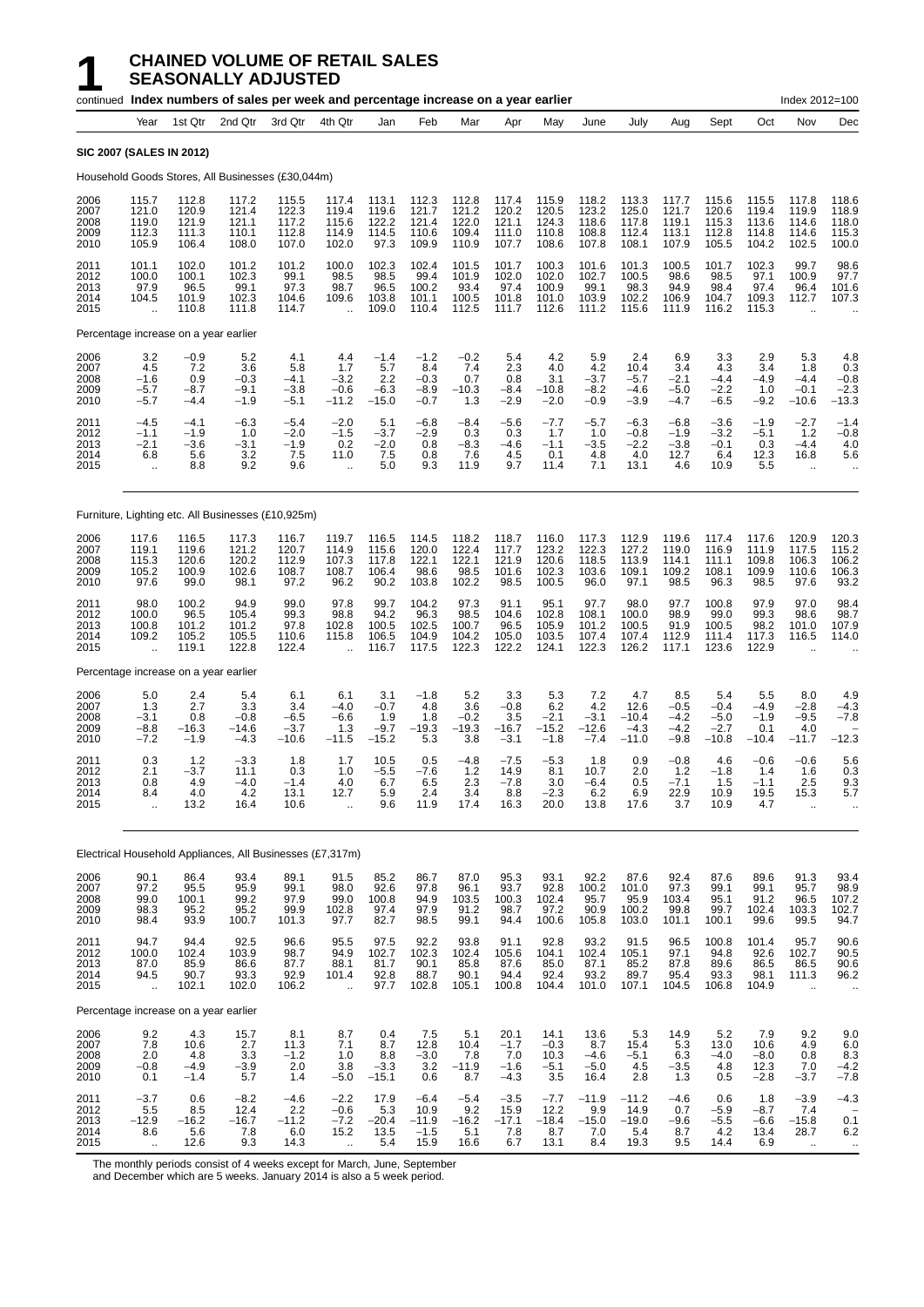|                                       |                                                |                                           | continued Index numbers of sales per week and percentage increase on a year earlier |                                           |                                                         |                                           |                                             |                                           |                                           |                                           |                                           |                                             |                                             |                                              |                                           | Index 2012=100                                          |                                           |
|---------------------------------------|------------------------------------------------|-------------------------------------------|-------------------------------------------------------------------------------------|-------------------------------------------|---------------------------------------------------------|-------------------------------------------|---------------------------------------------|-------------------------------------------|-------------------------------------------|-------------------------------------------|-------------------------------------------|---------------------------------------------|---------------------------------------------|----------------------------------------------|-------------------------------------------|---------------------------------------------------------|-------------------------------------------|
|                                       | Year                                           | 1st Qtr                                   | 2nd Qtr                                                                             | 3rd Qtr                                   | 4th Qtr                                                 | Jan                                       | Feb                                         | Mar                                       | Apr                                       | May                                       | June                                      | July                                        | Aug                                         | Sept                                         | Oct                                       | Nov                                                     | Dec                                       |
| <b>SIC 2007 (SALES IN 2012)</b>       |                                                |                                           |                                                                                     |                                           |                                                         |                                           |                                             |                                           |                                           |                                           |                                           |                                             |                                             |                                              |                                           |                                                         |                                           |
|                                       |                                                |                                           | Household Goods Stores, All Businesses (£30,044m)                                   |                                           |                                                         |                                           |                                             |                                           |                                           |                                           |                                           |                                             |                                             |                                              |                                           |                                                         |                                           |
| 2006<br>2007<br>2008<br>2009<br>2010  | 115.7<br>121.0<br>119.0<br>112.3<br>105.9      | 112.8<br>120.9<br>121.9<br>111.3<br>106.4 | 117.2<br>121.4<br>121.1<br>110.1<br>108.0                                           | 115.5<br>122.3<br>117.2<br>112.8<br>107.0 | 117.4<br>119.4<br>115.6<br>114.9<br>102.0               | 113.1<br>119.6<br>122.2<br>114.5<br>97.3  | 112.3<br>121.7<br>121.4<br>110.6<br>109.9   | 112.8<br>121.2<br>122.0<br>109.4<br>110.9 | 117.4<br>120.2<br>121.1<br>111.0<br>107.7 | 115.9<br>120.5<br>124.3<br>110.8<br>108.6 | 118.2<br>123.2<br>118.6<br>108.8<br>107.8 | 113.3<br>125.0<br>117.8<br>112.4<br>108.1   | 117.7<br>121.7<br>119.1<br>113.1<br>107.9   | 115.6<br>120.6<br>115.3<br>112.8<br>105.5    | 115.5<br>119.4<br>113.6<br>114.8<br>104.2 | 117.8<br>119.9<br>114.6<br>114.6<br>102.5               | 118.6<br>118.9<br>118.0<br>115.3<br>100.0 |
| 2011<br>2012<br>2013<br>2014<br>2015  | 101.1<br>100.0<br>97.9<br>104.5<br>$\ddotsc$   | 102.0<br>100.1<br>96.5<br>101.9<br>110.8  | 101.2<br>102.3<br>99.1<br>102.3<br>111.8                                            | 101.2<br>99.1<br>97.3<br>104.6<br>114.7   | 100.0<br>98.5<br>98.7<br>109.6                          | 102.3<br>98.5<br>96.5<br>103.8<br>109.0   | 102.4<br>99.4<br>100.2<br>101.1<br>110.4    | 101.5<br>101.9<br>93.4<br>100.5<br>112.5  | 101.7<br>102.0<br>97.4<br>101.8<br>111.7  | 100.3<br>102.0<br>100.9<br>101.0<br>112.6 | 101.6<br>102.7<br>99.1<br>103.9<br>111.2  | 101.3<br>100.5<br>98.3<br>102.2<br>115.6    | 100.5<br>98.6<br>94.9<br>106.9<br>111.9     | 101.7<br>98.5<br>98.4<br>104.7<br>116.2      | 102.3<br>97.1<br>97.4<br>109.3<br>115.3   | 99.7<br>100.9<br>96.4<br>112.7                          | 98.6<br>97.7<br>101.6<br>107.3            |
| Percentage increase on a year earlier |                                                |                                           |                                                                                     |                                           |                                                         |                                           |                                             |                                           |                                           |                                           |                                           |                                             |                                             |                                              |                                           |                                                         |                                           |
| 2006<br>2007<br>2008<br>2009<br>2010  | 3.2<br>4.5<br>$-1.6$<br>$-5.7$<br>$-5.7$       | $-0.9$<br>7.2<br>0.9<br>$-8.7$<br>$-4.4$  | 5.2<br>3.6<br>$-0.3$<br>$-9.1$<br>$-1.9$                                            | 4.1<br>5.8<br>$-4.1$<br>$-3.8$<br>$-5.1$  | 4.4<br>1.7<br>$-3.2$<br>$-0.6$<br>$-11.2$               | $-1.4$<br>5.7<br>2.2<br>$-6.3$<br>$-15.0$ | $-1.2$<br>8.4<br>$-0.3$<br>$-8.9$<br>$-0.7$ | $-0.2$<br>7.4<br>0.7<br>$-10.3$<br>1.3    | 5.4<br>2.3<br>0.8<br>$-8.4$<br>$-2.9$     | 4.2<br>4.0<br>3.1<br>$-10.8$<br>$-2.0$    | 5.9<br>4.2<br>$-3.7$<br>$-8.2$<br>$-0.9$  | 2.4<br>10.4<br>$-5.7$<br>$-4.6$<br>$-3.9$   | 6.9<br>3.4<br>$-2.1$<br>$-5.0$<br>$-4.7$    | 3.3<br>4.3<br>$-4.4$<br>$-2.2$<br>$-6.5$     | 2.9<br>3.4<br>$-4.9$<br>1.0<br>$-9.2$     | 5.3<br>1.8<br>$-4.4$<br>$-0.1$<br>–10.6                 | 4.8<br>0.3<br>$-0.8$<br>$-2.3$<br>$-13.3$ |
| 2011<br>2012<br>2013<br>2014<br>2015  | $-4.5$<br>$-1.1$<br>$-2.1$<br>6.8<br>$\ddotsc$ | $-4.1$<br>$-1.9$<br>$-3.6$<br>5.6<br>8.8  | $-6.3$<br>1.0<br>$-3.1$<br>3.2<br>9.2                                               | $-5.4$<br>$-2.0$<br>$-1.9$<br>7.5<br>9.6  | $-2.0$<br>$-1.5$<br>0.2<br>11.0<br>$\ddot{\phantom{a}}$ | 5.1<br>$-3.7$<br>$-2.0$<br>7.5<br>5.0     | $-6.8$<br>$-2.9$<br>0.8<br>0.8<br>9.3       | $-8.4$<br>0.3<br>$-8.3$<br>7.6<br>11.9    | $-5.6$<br>0.3<br>$-4.6$<br>4.5<br>9.7     | $-7.7$<br>1.7<br>$-1.1$<br>0.1<br>11.4    | $-5.7$<br>1.0<br>$-3.5$<br>4.8<br>7.1     | $-6.3$<br>$-0.8$<br>$-2.2$<br>4.0<br>13.1   | $-6.8$<br>$-1.9$<br>$-3.8$<br>12.7<br>4.6   | $-3.6$<br>$-3.2$<br>$-0.1$<br>6.4<br>10.9    | $-1.9$<br>$-5.1$<br>0.3<br>12.3<br>5.5    | $-2.7$<br>1.2<br>$-4.4$<br>16.8<br>$\ddot{\phantom{a}}$ | $-1.4$<br>$-0.8$<br>4.0<br>5.6            |
|                                       |                                                |                                           | Furniture, Lighting etc. All Businesses (£10,925m)                                  |                                           |                                                         |                                           |                                             |                                           |                                           |                                           |                                           |                                             |                                             |                                              |                                           |                                                         |                                           |
| 2006<br>2007<br>2008<br>2009<br>2010  | 117.6<br>119.1<br>115.3<br>105.2<br>97.6       | 116.5<br>119.6<br>120.6<br>100.9<br>99.0  | 117.3<br>121.2<br>120.2<br>102.6<br>98.1                                            | 116.7<br>120.7<br>112.9<br>108.7<br>97.2  | 119.7<br>114.9<br>107.3<br>108.7<br>96.2                | 116.5<br>115.6<br>117.8<br>106.4<br>90.2  | 114.5<br>120.0<br>122.1<br>98.6<br>103.8    | 118.2<br>122.4<br>122.1<br>98.5<br>102.2  | 118.7<br>117.7<br>121.9<br>101.6<br>98.5  | 116.0<br>123.2<br>120.6<br>102.3<br>100.5 | 117.3<br>122.3<br>118.5<br>103.6<br>96.0  | 112.9<br>127.2<br>113.9<br>109.1<br>97.1    | 119.6<br>119.0<br>114.1<br>109.2<br>98.5    | 117.4<br>116.9<br>111.1<br>108.1<br>96.3     | 117.6<br>111.9<br>109.8<br>109.9<br>98.5  | 120.9<br>117.5<br>106.3<br>110.6<br>97.6                | 120.3<br>115.2<br>106.2<br>106.3<br>93.2  |
| 2011<br>2012<br>2013<br>2014<br>2015  | 98.0<br>100.0<br>100.8<br>109.2<br>ă,          | 100.2<br>96.5<br>101.2<br>105.2<br>119.1  | 94.9<br>105.4<br>101.2<br>105.5<br>122.8                                            | 99.0<br>99.3<br>97.8<br>110.6<br>122.4    | 97.8<br>98.8<br>102.8<br>115.8                          | 99.7<br>94.2<br>100.5<br>106.5<br>116.7   | 104.2<br>96.3<br>102.5<br>104.9<br>117.5    | 97.3<br>98.5<br>100.7<br>104.2<br>122.3   | 91.1<br>104.6<br>96.5<br>105.0<br>122.2   | 95.1<br>102.8<br>105.9<br>103.5<br>124.1  | 97.7<br>108.1<br>101.2<br>107.4<br>122.3  | 98.0<br>100.0<br>100.5<br>107.4<br>126.2    | 97.7<br>98.9<br>91.9<br>112.9<br>117.1      | 100.8<br>99.0<br>100.5<br>111.4<br>123.6     | 97.9<br>99.3<br>98.2<br>117.3<br>122.9    | 97.0<br>98.6<br>101.0<br>116.5                          | 98.4<br>98.7<br>107.9<br>114.0            |
| Percentage increase on a year earlier |                                                |                                           |                                                                                     |                                           |                                                         |                                           |                                             |                                           |                                           |                                           |                                           |                                             |                                             |                                              |                                           |                                                         |                                           |
| 2006<br>2007<br>2008<br>2009<br>2010  | 5.0<br>1.3<br>$-3.1$<br>$-8.8$<br>$-7.2$       | 2.4<br>2.7<br>0.8<br>$-16.3$<br>$-1.9$    | 5.4<br>3.3<br>$-0.8$<br>$-14.6$<br>$-4.3$                                           | 6.1<br>3.4<br>$-6.5$<br>$-3.7$<br>$-10.6$ | 6.1<br>$-4.0$<br>$-6.6$<br>1.3<br>$-11.5$               | 3.1<br>$-0.7$<br>1.9<br>$-9.7$<br>$-15.2$ | $-1.8$<br>4.8<br>1.8<br>$-19.3$<br>5.3      | 5.2<br>3.6<br>$-0.2$<br>$-19.3$<br>3.8    | 3.3<br>$-0.8$<br>3.5<br>$-16.7$<br>$-3.1$ | 5.3<br>6.2<br>$-2.1$<br>$-15.2$<br>$-1.8$ | 7.2<br>4.2<br>$-3.1$<br>$-12.6$<br>$-7.4$ | 4.7<br>12.6<br>$-10.4$<br>$-4.3$<br>$-11.0$ | 8.5<br>$-0.5$<br>$-4.2$<br>$-4.2$<br>$-9.8$ | 5.4<br>$-0.4$<br>$-5.0$<br>$-2.7$<br>$-10.8$ | 5.5<br>$-4.9$<br>$-1.9$<br>0.1<br>$-10.4$ | 8.0<br>$-2.8$<br>$-9.5$<br>4.0<br>-11.7                 | 4.9<br>$-4.3$<br>$-7.8$<br>$-12.3$        |
| 2011<br>2012<br>2013<br>2014<br>2015  | 0.3<br>2.1<br>0.8<br>8.4<br>ă,                 | 1.2<br>$-3.7$<br>4.9<br>4.0<br>13.2       | $-3.3$<br>11.1<br>$-4.0$<br>4.2<br>16.4                                             | 1.8<br>0.3<br>$-1.4$<br>13.1<br>10.6      | 1.7<br>1.0<br>4.0<br>12.7<br>$\ddot{\phantom{a}}$       | 10.5<br>$-5.5$<br>6.7<br>5.9<br>9.6       | 0.5<br>$-7.6$<br>6.5<br>2.4<br>11.9         | $-4.8$<br>1.2<br>2.3<br>3.4<br>17.4       | $-7.5$<br>14.9<br>$-7.8$<br>8.8<br>16.3   | $-5.3$<br>8.1<br>3.0<br>$-2.3$<br>20.0    | 1.8<br>10.7<br>$-6.4$<br>6.2<br>13.8      | 0.9<br>2.0<br>0.5<br>6.9<br>17.6            | $-0.8$<br>1.2<br>$-7.1$<br>22.9<br>3.7      | 4.6<br>$-1.8$<br>1.5<br>10.9<br>10.9         | $-0.6$<br>1.4<br>$-1.1$<br>19.5<br>4.7    | $-0.6$<br>1.6<br>2.5<br>15.3                            | 5.6<br>0.3<br>9.3<br>5.7                  |
|                                       |                                                |                                           | Electrical Household Appliances, All Businesses (£7,317m)                           |                                           |                                                         |                                           |                                             |                                           |                                           |                                           |                                           |                                             |                                             |                                              |                                           |                                                         |                                           |
| 2006<br>2007<br>2008<br>2009<br>2010  | 90.1<br>97.2<br>99.0<br>98.3<br>98.4           | 86.4<br>95.5<br>100.1<br>95.2<br>93.9     | 93.4<br>95.9<br>99.2<br>95.2<br>100.7                                               | 89.1<br>99.1<br>97.9<br>99.9<br>101.3     | 91.5<br>98.0<br>99.0<br>102.8<br>97.7                   | 85.2<br>92.6<br>100.8<br>97.4<br>82.7     | 86.7<br>97.8<br>94.9<br>97.9<br>98.5        | 87.0<br>96.1<br>103.5<br>91.2<br>99.1     | 95.3<br>93.7<br>100.3<br>98.7<br>94.4     | 93.1<br>92.8<br>102.4<br>97.2<br>100.6    | 92.2<br>100.2<br>95.7<br>90.9<br>105.8    | 87.6<br>101.0<br>95.9<br>100.2<br>103.0     | 92.4<br>97.3<br>103.4<br>99.8<br>101.1      | 87.6<br>99.1<br>95.1<br>99.7<br>100.1        | 89.6<br>99.1<br>91.2<br>102.4<br>99.6     | 91.3<br>95.7<br>96.5<br>103.3<br>99.5                   | 93.4<br>98.9<br>107.2<br>102.7<br>94.7    |
| 2011<br>2012<br>2013<br>2014<br>2015  | 94.7<br>100.0<br>87.0<br>94.5<br>ä,            | 94.4<br>102.4<br>85.9<br>90.7<br>102.1    | 92.5<br>103.9<br>86.6<br>93.3<br>102.0                                              | 96.6<br>98.7<br>87.7<br>92.9<br>106.2     | 95.5<br>94.9<br>88.1<br>101.4<br>$\ddot{\phantom{a}}$   | 97.5<br>102.7<br>81.7<br>92.8<br>97.7     | 92.2<br>102.3<br>90.1<br>88.7<br>102.8      | 93.8<br>102.4<br>85.8<br>90.1<br>105.1    | 91.1<br>105.6<br>87.6<br>94.4<br>100.8    | 92.8<br>104.1<br>85.0<br>92.4<br>104.4    | 93.2<br>102.4<br>87.1<br>93.2<br>101.0    | 91.5<br>105.1<br>85.2<br>89.7<br>107.1      | 96.5<br>97.1<br>87.8<br>95.4<br>104.5       | 100.8<br>94.8<br>89.6<br>93.3<br>106.8       | 101.4<br>92.6<br>86.5<br>98.1<br>104.9    | 95.7<br>102.7<br>86.5<br>111.3<br>$\ddot{\phantom{a}}$  | 90.6<br>90.5<br>90.6<br>96.2              |
| Percentage increase on a year earlier |                                                |                                           |                                                                                     |                                           |                                                         |                                           |                                             |                                           |                                           |                                           |                                           |                                             |                                             |                                              |                                           |                                                         |                                           |
| 2006<br>2007<br>2008<br>2009<br>2010  | 9.2<br>7.8<br>2.0<br>$-0.8$<br>0.1             | 4.3<br>10.6<br>4.8<br>$-4.9$<br>$-1.4$    | 15.7<br>2.7<br>3.3<br>$-3.9$<br>5.7                                                 | 8.1<br>11.3<br>$-1.2$<br>2.0<br>1.4       | 8.7<br>7.1<br>1.0<br>3.8<br>$-5.0$                      | 0.4<br>8.7<br>8.8<br>$-3.3$<br>$-15.1$    | 7.5<br>12.8<br>$-3.0$<br>3.2<br>0.6         | 5.1<br>10.4<br>7.8<br>$-11.9$<br>8.7      | 20.1<br>$-1.7$<br>7.0<br>$-1.6$<br>$-4.3$ | 14.1<br>$-0.3$<br>10.3<br>$-5.1$<br>3.5   | 13.6<br>8.7<br>$-4.6$<br>$-5.0$<br>16.4   | 5.3<br>15.4<br>$-5.1$<br>4.5<br>2.8         | 14.9<br>5.3<br>6.3<br>$-3.5$<br>1.3         | 5.2<br>13.0<br>$-4.0$<br>4.8<br>0.5          | 7.9<br>10.6<br>$-8.0$<br>12.3<br>$-2.8$   | 9.2<br>4.9<br>0.8<br>7.0<br>$-3.7$                      | 9.0<br>6.0<br>8.3<br>$-4.2$<br>$-7.8$     |
| 2011<br>2012<br>2013<br>2014<br>2015  | $-3.7$<br>5.5<br>$-12.9$<br>8.6<br>$\ddotsc$   | 0.6<br>8.5<br>$-16.2$<br>5.6<br>12.6      | $-8.2$<br>12.4<br>$-16.7$<br>7.8<br>9.3                                             | $-4.6$<br>2.2<br>$-11.2$<br>6.0<br>14.3   | $-2.2$<br>$-0.6$<br>$-7.2$<br>15.2<br>ä,                | 17.9<br>5.3<br>$-20.4$<br>13.5<br>5.4     | $-6.4$<br>10.9<br>$-11.9$<br>$-1.5$<br>15.9 | $-5.4$<br>9.2<br>$-16.2$<br>5.1<br>16.6   | $-3.5$<br>15.9<br>$-17.1$<br>7.8<br>6.7   | $-7.7$<br>12.2<br>$-18.4$<br>8.7<br>13.1  | $-11.9$<br>9.9<br>$-15.0$<br>7.0<br>8.4   | $-11.2$<br>14.9<br>$-19.0$<br>5.4<br>19.3   | $-4.6$<br>0.7<br>$-9.6$<br>8.7<br>9.5       | 0.6<br>$-5.9$<br>$-5.5$<br>4.2<br>14.4       | 1.8<br>$-8.7$<br>$-6.6$<br>13.4<br>6.9    | $-3.9$<br>7.4<br>$-15.8$<br>28.7<br>$\ddotsc$           | $-4.3$<br>0.1<br>6.2<br>$\cdot$           |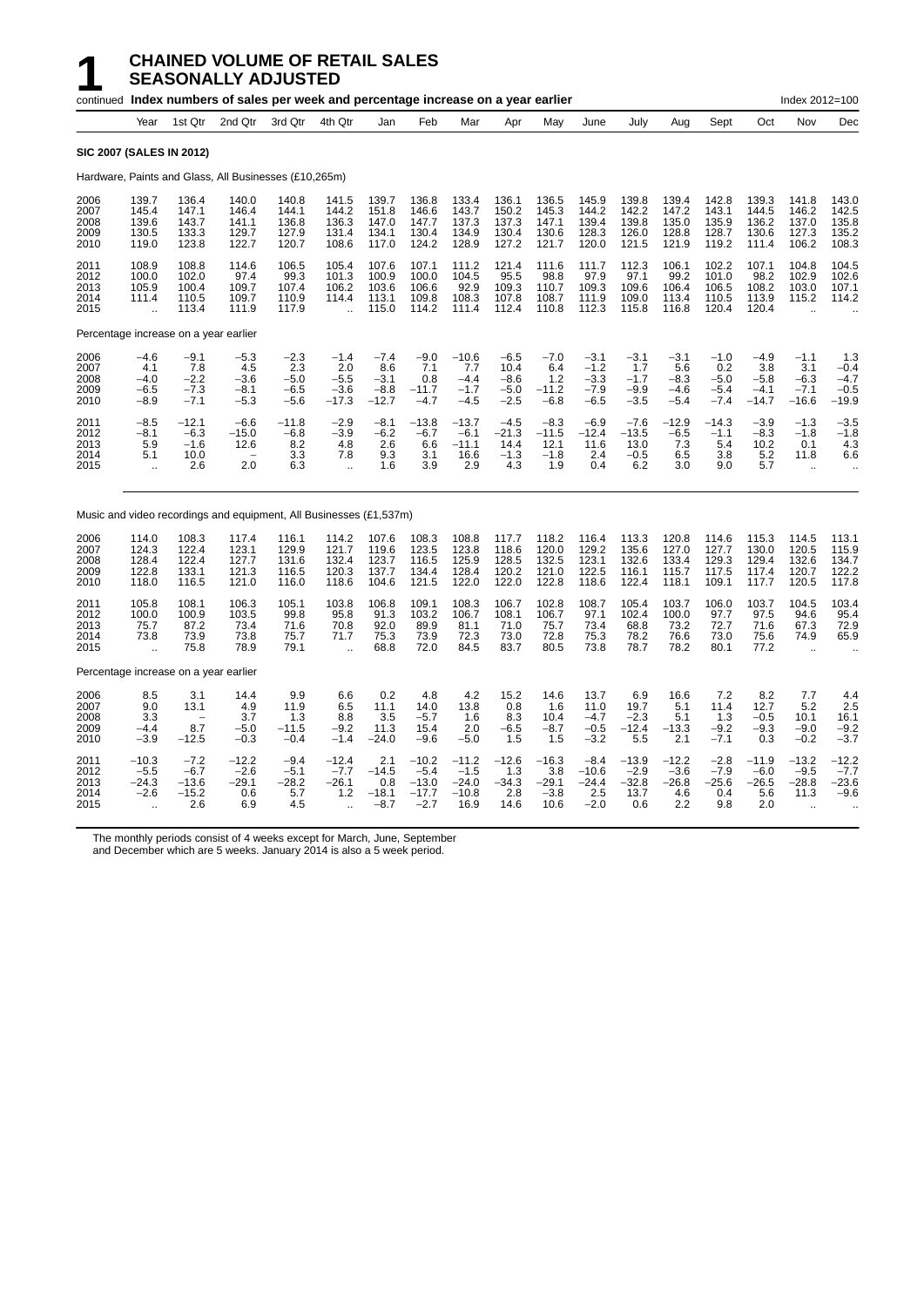|                                      |                                                              |                                               | continued Index numbers of sales per week and percentage increase on a year earlier |                                             |                                                          |                                              |                                                   |                                                 |                                              |                                             |                                                |                                             |                                             |                                             |                                              | Index 2012=100                                               |                                            |
|--------------------------------------|--------------------------------------------------------------|-----------------------------------------------|-------------------------------------------------------------------------------------|---------------------------------------------|----------------------------------------------------------|----------------------------------------------|---------------------------------------------------|-------------------------------------------------|----------------------------------------------|---------------------------------------------|------------------------------------------------|---------------------------------------------|---------------------------------------------|---------------------------------------------|----------------------------------------------|--------------------------------------------------------------|--------------------------------------------|
|                                      | Year                                                         | 1st Qtr                                       | 2nd Qtr                                                                             | 3rd Qtr                                     | 4th Qtr                                                  | Jan                                          | Feb                                               | Mar                                             | Apr                                          | May                                         | June                                           | July                                        | Aug                                         | Sept                                        | Oct                                          | Nov                                                          | Dec                                        |
|                                      |                                                              | <b>SIC 2007 (SALES IN 2012)</b>               |                                                                                     |                                             |                                                          |                                              |                                                   |                                                 |                                              |                                             |                                                |                                             |                                             |                                             |                                              |                                                              |                                            |
|                                      |                                                              |                                               | Hardware, Paints and Glass, All Businesses (£10,265m)                               |                                             |                                                          |                                              |                                                   |                                                 |                                              |                                             |                                                |                                             |                                             |                                             |                                              |                                                              |                                            |
| 2006<br>2007<br>2008<br>2009<br>2010 | 139.7<br>145.4<br>139.6<br>130.5<br>119.0                    | 136.4<br>147.1<br>143.7<br>133.3<br>123.8     | 140.0<br>146.4<br>141.1<br>129.7<br>122.7                                           | 140.8<br>144.1<br>136.8<br>127.9<br>120.7   | 141.5<br>144.2<br>136.3<br>131.4<br>108.6                | 139.7<br>151.8<br>147.0<br>134.1<br>117.0    | 136.8<br>146.6<br>147.7<br>130.4<br>124.2         | 133.4<br>143.7<br>137.3<br>134.9<br>128.9       | 136.1<br>150.2<br>137.3<br>130.4<br>127.2    | 136.5<br>145.3<br>147.1<br>130.6<br>121.7   | 145.9<br>144.2<br>139.4<br>128.3<br>120.0      | 139.8<br>142.2<br>139.8<br>126.0<br>121.5   | 139.4<br>147.2<br>135.0<br>128.8<br>121.9   | 142.8<br>143.1<br>135.9<br>128.7<br>119.2   | 139.3<br>144.5<br>136.2<br>130.6<br>111.4    | 141.8<br>146.2<br>137.0<br>127.3<br>106.2                    | 143.0<br>142.5<br>135.8<br>135.2<br>108.3  |
| 2011<br>2012<br>2013<br>2014<br>2015 | 108.9<br>100.0<br>105.9<br>111.4<br>$\ddotsc$                | 108.8<br>102.0<br>100.4<br>110.5<br>113.4     | 114.6<br>97.4<br>109.7<br>109.7<br>111.9                                            | 106.5<br>99.3<br>107.4<br>110.9<br>117.9    | 105.4<br>101.3<br>106.2<br>114.4<br>$\ddot{\phantom{a}}$ | 107.6<br>100.9<br>103.6<br>113.1<br>115.0    | 107.1<br>100.0<br>106.6<br>109.8<br>114.2         | 111.2<br>104.5<br>92.9<br>108.3<br>111.4        | 121.4<br>95.5<br>109.3<br>107.8<br>112.4     | 111.6<br>98.8<br>110.7<br>108.7<br>110.8    | 111.7<br>97.9<br>109.3<br>111.9<br>112.3       | 112.3<br>97.1<br>109.6<br>109.0<br>115.8    | 106.1<br>99.2<br>106.4<br>113.4<br>116.8    | 102.2<br>101.0<br>106.5<br>110.5<br>120.4   | 107.1<br>98.2<br>108.2<br>113.9<br>120.4     | 104.8<br>102.9<br>103.0<br>115.2                             | 104.5<br>102.6<br>107.1<br>114.2           |
|                                      |                                                              |                                               | Percentage increase on a year earlier                                               |                                             |                                                          |                                              |                                                   |                                                 |                                              |                                             |                                                |                                             |                                             |                                             |                                              |                                                              |                                            |
| 2006<br>2007<br>2008<br>2009<br>2010 | -4.6<br>4.1<br>$-4.0$<br>-6.5<br>$-8.9$                      | $-9.1$<br>7.8<br>$-2.2$<br>$-7.3$<br>$-7.1$   | $-5.3$<br>4.5<br>$-3.6$<br>$-8.1$<br>$-5.3$                                         | $-2.3$<br>2.3<br>$-5.0$<br>$-6.5$<br>$-5.6$ | $-1.4$<br>2.0<br>$-5.5$<br>$-3.6$<br>$-17.3$             | $-7.4$<br>8.6<br>$-3.1$<br>$-8.8$<br>$-12.7$ | $-9.0$<br>7.1<br>0.8<br>$-11.7$<br>$-4.7$         | $-10.6$<br>7.7<br>$-4.4$<br>$-1.7$<br>$-4.5$    | $-6.5$<br>10.4<br>$-8.6$<br>$-5.0$<br>$-2.5$ | $-7.0$<br>6.4<br>1.2<br>$-11.2$<br>$-6.8$   | $-3.1$<br>$-1.2$<br>$-3.3$<br>$-7.9$<br>$-6.5$ | $-3.1$<br>1.7<br>$-1.7$<br>$-9.9$<br>$-3.5$ | $-3.1$<br>5.6<br>$-8.3$<br>$-4.6$<br>$-5.4$ | $-1.0$<br>0.2<br>$-5.0$<br>$-5.4$<br>$-7.4$ | $-4.9$<br>3.8<br>$-5.8$<br>$-4.1$<br>$-14.7$ | $-1.1$<br>3.1<br>$-6.3$<br>$-7.1$<br>$-16.6$                 | 1.3<br>$-0.4$<br>$-4.7$<br>$-0.5$<br>-19.9 |
| 2011<br>2012<br>2013<br>2014<br>2015 | $-8.5$<br>$-8.1$<br>5.9<br>5.1<br>÷.                         | $-12.1$<br>$-6.3$<br>$-1.6$<br>10.0<br>2.6    | $-6.6$<br>$-15.0$<br>12.6<br>2.0                                                    | $-11.8$<br>$-6.8$<br>8.2<br>3.3<br>6.3      | $-2.9$<br>$-3.9$<br>4.8<br>7.8<br>à.                     | $-8.1$<br>$-6.2$<br>2.6<br>9.3<br>1.6        | $-13.8$<br>-6.7<br>6.6<br>3.1<br>3.9              | $-13.7$<br>$-6.1$<br>$-11.1$<br>16.6<br>2.9     | $-4.5$<br>$-21.3$<br>14.4<br>$-1.3$<br>4.3   | $-8.3$<br>$-11.5$<br>12.1<br>$-1.8$<br>1.9  | $-6.9$<br>$-12.4$<br>11.6<br>2.4<br>0.4        | $-7.6$<br>$-13.5$<br>13.0<br>$-0.5$<br>6.2  | $-12.9$<br>-6.5<br>7.3<br>6.5<br>3.0        | $-14.3$<br>$-1.1$<br>5.4<br>3.8<br>9.0      | $-3.9$<br>$-8.3$<br>10.2<br>5.2<br>5.7       | $-1.3$<br>$-1.8$<br>0.1<br>11.8<br>à.                        | $-3.5$<br>$-1.8$<br>4.3<br>6.6             |
|                                      |                                                              |                                               | Music and video recordings and equipment, All Businesses (£1,537m)                  |                                             |                                                          |                                              |                                                   |                                                 |                                              |                                             |                                                |                                             |                                             |                                             |                                              |                                                              |                                            |
| 2006<br>2007<br>2008<br>2009<br>2010 | 114.0<br>124.3<br>128.4<br>122.8<br>118.0                    | 108.3<br>122.4<br>122.4<br>133.1<br>116.5     | 117.4<br>123.1<br>127.7<br>121.3<br>121.0                                           | 116.1<br>129.9<br>131.6<br>116.5<br>116.0   | 114.2<br>121.7<br>132.4<br>120.3<br>118.6                | 107.6<br>119.6<br>123.7<br>137.7<br>104.6    | 108.3<br>123.5<br>116.5<br>134.4<br>121.5         | 108.8<br>123.8<br>125.9<br>128.4<br>122.0       | 117.7<br>118.6<br>128.5<br>120.2<br>122.0    | 118.2<br>120.0<br>132.5<br>121.0<br>122.8   | 116.4<br>129.2<br>123.1<br>122.5<br>118.6      | 113.3<br>135.6<br>132.6<br>116.1<br>122.4   | 120.8<br>127.0<br>133.4<br>115.7<br>118.1   | 114.6<br>127.7<br>129.3<br>117.5<br>109.1   | 115.3<br>130.0<br>129.4<br>117.4<br>117.7    | 114.5<br>120.5<br>132.6<br>120.7<br>120.5                    | 113.1<br>115.9<br>134.7<br>122.2<br>117.8  |
| 2011<br>2012<br>2013<br>2014<br>2015 | 105.8<br>100.0<br>75.7<br>73.8<br>$\ddot{\phantom{a}}$       | 108.1<br>100.9<br>87.2<br>73.9<br>75.8        | 106.3<br>103.5<br>73.4<br>73.8<br>78.9                                              | 105.1<br>99.8<br>71.6<br>75.7<br>79.1       | 103.8<br>95.8<br>70.8<br>71.7                            | 106.8<br>91.3<br>92.0<br>75.3<br>68.8        | 109.1<br>103.2<br>89.9<br>73.9<br>72.0            | 108.3<br>106.7<br>81.1<br>72.3<br>84.5          | 106.7<br>108.1<br>71.0<br>73.0<br>83.7       | 102.8<br>106.7<br>75.7<br>72.8<br>80.5      | 108.7<br>97.1<br>73.4<br>75.3<br>73.8          | 105.4<br>102.4<br>68.8<br>78.2<br>78.7      | 103.7<br>100.0<br>73.2<br>76.6<br>78.2      | 106.0<br>97.7<br>72.7<br>73.0<br>80.1       | 103.7<br>97.5<br>71.6<br>75.6<br>77.2        | 104.5<br>94.6<br>67.3<br>74.9<br>$\ddot{\phantom{a}}$        | 103.4<br>95.4<br>72.9<br>65.9              |
|                                      |                                                              |                                               | Percentage increase on a year earlier                                               |                                             |                                                          |                                              |                                                   |                                                 |                                              |                                             |                                                |                                             |                                             |                                             |                                              |                                                              |                                            |
| 2006<br>2007<br>2008<br>2009<br>2010 | 8.5<br>9.0<br>3.3<br>$-4.4$<br>$-3.9$                        | 3.1<br>13.1<br>8.7<br>$-12.5$                 | 14.4<br>4.9<br>3.7<br>$-5.0$<br>$-0.3$                                              | 9.9<br>11.9<br>1.3<br>–11.5<br>$-0.4$       | 6.6<br>6.5<br>8.8<br>$-9.2$<br>$-1.4$                    | 0.2<br>11.1<br>3.5<br>11.3<br>$-24.0$        | 4.8<br>14.0<br>$-5.7$<br>15.4<br>$-9.6$           | 4.2<br>13.8<br>1.6<br>2.0<br>$-5.0$             | 15.2<br>0.8<br>8.3<br>-6.5<br>1.5            | 14.6<br>1.6<br>10.4<br>-8.7<br>1.5          | 13.7<br>11.0<br>$-4.7$<br>$-0.5$<br>$-3.2$     | 6.9<br>19.7<br>$-2.3$<br>$-12.4$<br>5.5     | 16.6<br>5.1<br>5.1<br>$-13.3$<br>2.1        | 7.2<br>11.4<br>1.3<br>$-9.2$<br>$-7.1$      | 8.2<br>12.7<br>$-0.5$<br>$-9.3$<br>0.3       | 7.7<br>5.2<br>10.1<br>$-9.0$<br>$-0.2$                       | 4.4<br>2.5<br>16.1<br>$-9.2$<br>$-3.7$     |
| 2011<br>2012<br>2013<br>2014<br>2015 | $-10.3$<br>$-5.5$<br>-24.3<br>$-2.6$<br>$\ddot{\phantom{a}}$ | $-7.2$<br>$-6.7$<br>$-13.6$<br>$-15.2$<br>2.6 | $-12.2$<br>$-2.6$<br>$-29.1$<br>0.6<br>6.9                                          | $-9.4$<br>$-5.1$<br>–28.2<br>5.7<br>4.5     | $-12.4$<br>$-7.7$<br>$-26.1$<br>$1.2$                    | 2.1<br>$-14.5$<br>0.8<br>$-18.1$<br>$-8.7$   | $-10.2$<br>$-5.4$<br>$-13.0$<br>$-17.7$<br>$-2.7$ | $-11.2$<br>$-1.5$<br>$-24.0$<br>$-10.8$<br>16.9 | $-12.6$<br>1.3<br>$-34.3$<br>2.8<br>14.6     | $-16.3$<br>3.8<br>$-29.1$<br>$-3.8$<br>10.6 | $-8.4$<br>$-10.6$<br>$-24.4$<br>2.5<br>$-2.0$  | $-13.9$<br>$-2.9$<br>$-32.8$<br>13.7<br>0.6 | $-12.2$<br>$-3.6$<br>$-26.8$<br>4.6<br>2.2  | $-2.8$<br>$-7.9$<br>$-25.6$<br>0.4<br>9.8   | $-11.9$<br>$-6.0$<br>$-26.5$<br>5.6<br>2.0   | $-13.2$<br>$-9.5$<br>$-28.8$<br>11.3<br>$\ddot{\phantom{a}}$ | $-12.2$<br>$-7.7$<br>$-23.6$<br>$-9.6$     |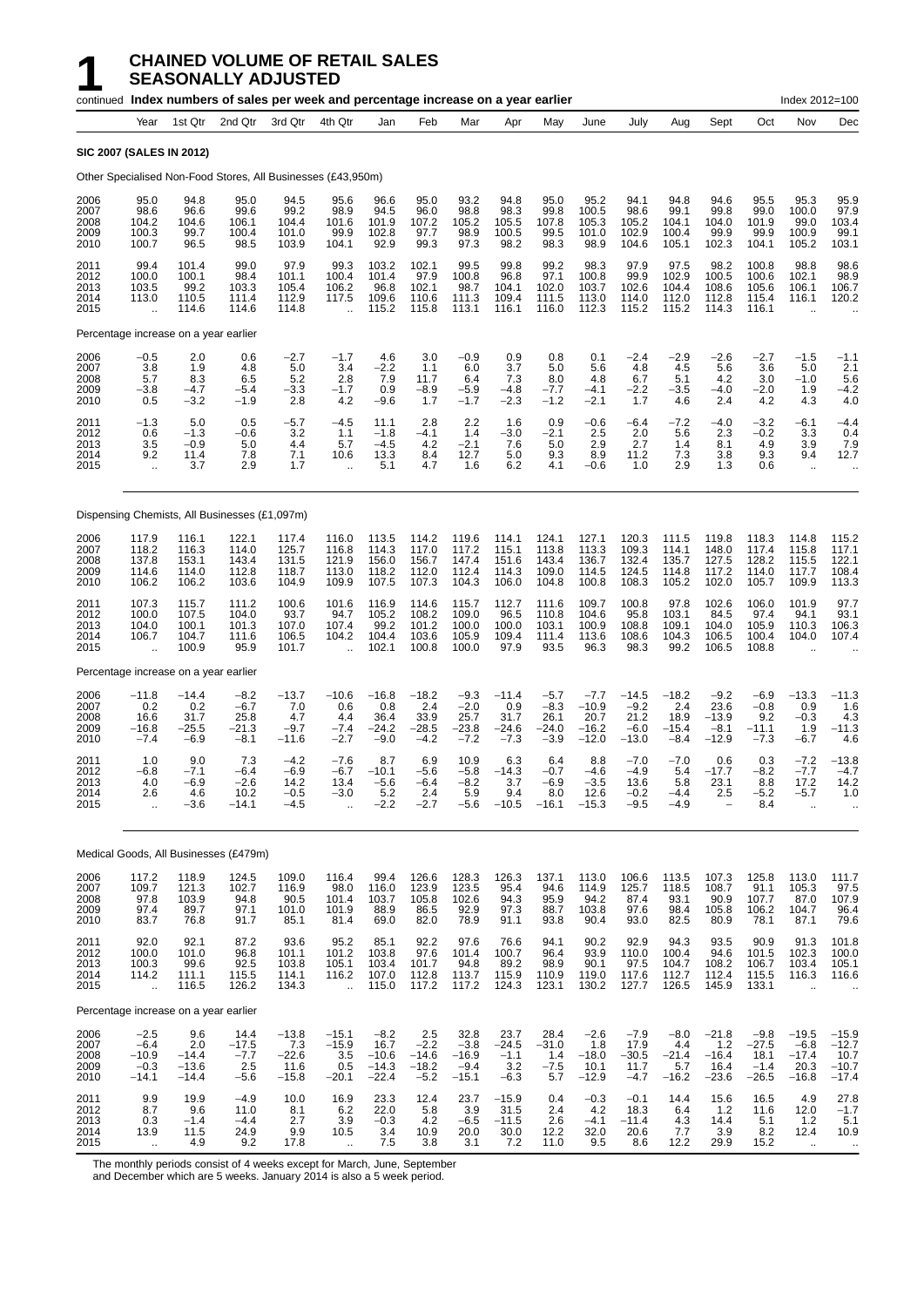|                                      |                                                         |                                             | continued Index numbers of sales per week and percentage increase on a year earlier |                                              |                                                         |                                                 |                                               |                                                |                                             |                                               |                                                 |                                                |                                             |                                                     |                                                | Index 2012=100                                             |                                                  |
|--------------------------------------|---------------------------------------------------------|---------------------------------------------|-------------------------------------------------------------------------------------|----------------------------------------------|---------------------------------------------------------|-------------------------------------------------|-----------------------------------------------|------------------------------------------------|---------------------------------------------|-----------------------------------------------|-------------------------------------------------|------------------------------------------------|---------------------------------------------|-----------------------------------------------------|------------------------------------------------|------------------------------------------------------------|--------------------------------------------------|
|                                      | Year                                                    | 1st Qtr                                     | 2nd Qtr                                                                             | 3rd Qtr                                      | 4th Qtr                                                 | Jan                                             | Feb                                           | Mar                                            | Apr                                         | May                                           | June                                            | July                                           | Aug                                         | Sept                                                | Oct                                            | Nov                                                        | Dec                                              |
|                                      |                                                         | <b>SIC 2007 (SALES IN 2012)</b>             |                                                                                     |                                              |                                                         |                                                 |                                               |                                                |                                             |                                               |                                                 |                                                |                                             |                                                     |                                                |                                                            |                                                  |
|                                      |                                                         |                                             | Other Specialised Non-Food Stores, All Businesses (£43,950m)                        |                                              |                                                         |                                                 |                                               |                                                |                                             |                                               |                                                 |                                                |                                             |                                                     |                                                |                                                            |                                                  |
| 2006<br>2007<br>2008<br>2009<br>2010 | 95.0<br>98.6<br>104.2<br>100.3<br>100.7                 | 94.8<br>96.6<br>104.6<br>99.7<br>96.5       | 95.0<br>99.6<br>106.1<br>100.4<br>98.5                                              | 94.5<br>99.2<br>104.4<br>101.0<br>103.9      | 95.6<br>98.9<br>101.6<br>99.9<br>104.1                  | 96.6<br>94.5<br>101.9<br>102.8<br>92.9          | 95.0<br>96.0<br>107.2<br>97.7<br>99.3         | 93.2<br>98.8<br>105.2<br>98.9<br>97.3          | 94.8<br>98.3<br>105.5<br>100.5<br>98.2      | 95.0<br>99.8<br>107.8<br>99.5<br>98.3         | 95.2<br>100.5<br>105.3<br>101.0<br>98.9         | 94.1<br>98.6<br>105.2<br>102.9<br>104.6        | 94.8<br>99.1<br>104.1<br>100.4<br>105.1     | 94.6<br>99.8<br>104.0<br>99.9<br>102.3              | 95.5<br>99.0<br>101.9<br>99.9<br>104.1         | 95.3<br>100.0<br>99.0<br>100.9<br>105.2                    | 95.9<br>97.9<br>103.4<br>99.1<br>103.1           |
| 2011<br>2012<br>2013<br>2014<br>2015 | 99.4<br>100.0<br>103.5<br>113.0<br>$\ddot{\phantom{a}}$ | 101.4<br>100.1<br>99.2<br>110.5<br>114.6    | 99.0<br>98.4<br>103.3<br>111.4<br>114.6                                             | 97.9<br>101.1<br>105.4<br>112.9<br>114.8     | 99.3<br>100.4<br>106.2<br>117.5<br>$\ddot{\phantom{a}}$ | 103.2<br>101.4<br>96.8<br>109.6<br>115.2        | 102.1<br>97.9<br>102.1<br>110.6<br>115.8      | 99.5<br>100.8<br>98.7<br>111.3<br>113.1        | 99.8<br>96.8<br>104.1<br>109.4<br>116.1     | 99.2<br>97.1<br>102.0<br>111.5<br>116.0       | 98.3<br>100.8<br>103.7<br>113.0<br>112.3        | 97.9<br>99.9<br>102.6<br>114.0<br>115.2        | 97.5<br>102.9<br>104.4<br>112.0<br>115.2    | 98.2<br>100.5<br>108.6<br>112.8<br>114.3            | 100.8<br>100.6<br>105.6<br>115.4<br>116.1      | 98.8<br>102.1<br>106.1<br>116.1<br>$\ddot{\phantom{a}}$    | 98.6<br>98.9<br>106.7<br>120.2                   |
|                                      |                                                         | Percentage increase on a year earlier       |                                                                                     |                                              |                                                         |                                                 |                                               |                                                |                                             |                                               |                                                 |                                                |                                             |                                                     |                                                |                                                            |                                                  |
| 2006<br>2007<br>2008<br>2009<br>2010 | $-0.5$<br>3.8<br>5.7<br>$-3.8$<br>0.5                   | 2.0<br>1.9<br>8.3<br>$-4.7$<br>$-3.2$       | 0.6<br>4.8<br>6.5<br>$-5.4$<br>$-1.9$                                               | $-2.7$<br>5.0<br>$\frac{5.2}{-3.3}$<br>2.8   | $-1.7$<br>3.4<br>2.8<br>$-1.7$<br>4.2                   | 4.6<br>$-2.2$<br>7.9<br>0.9<br>$-9.6$           | 3.0<br>1.1<br>11.7<br>$-8.9$<br>1.7           | $-0.9$<br>6.0<br>6.4<br>$-5.9$<br>$-1.7$       | 0.9<br>3.7<br>7.3<br>$-4.8$<br>$-2.3$       | 0.8<br>5.0<br>8.0<br>$-7.7$<br>$-1.2$         | 0.1<br>5.6<br>4.8<br>$-4.1$<br>$-2.1$           | $-2.4$<br>4.8<br>6.7<br>$-2.2$<br>1.7          | $-2.9$<br>4.5<br>5.1<br>$-3.5$<br>4.6       | $-2.6$<br>5.6<br>4.2<br>$-4.0$<br>2.4               | $-2.7$<br>3.6<br>3.0<br>$-2.0$<br>4.2          | $-1.5$<br>5.0<br>$-1.0$<br>1.9<br>4.3                      | $-1.1$<br>2.1<br>5.6<br>$-4.2$<br>4.0            |
| 2011<br>2012<br>2013<br>2014<br>2015 | $-1.3$<br>0.6<br>3.5<br>9.2<br>$\ddot{\phantom{a}}$     | 5.0<br>$-1.3$<br>$-0.9$<br>11.4<br>3.7      | 0.5<br>-0.6<br>5.0<br>7.8<br>2.9                                                    | $-5.7$<br>3.2<br>4.4<br>7.1<br>1.7           | $-4.5$<br>1.1<br>5.7<br>10.6<br>$\ddot{\phantom{a}}$    | 11.1<br>$-1.8$<br>-4.5<br>13.3<br>5.1           | 2.8<br>$-4.1$<br>4.2<br>8.4<br>4.7            | 2.2<br>1.4<br>$-2.1$<br>12.7<br>1.6            | 1.6<br>$-3.0$<br>7.6<br>5.0<br>6.2          | 0.9<br>$-2.1$<br>5.0<br>9.3<br>4.1            | $-0.6$<br>2.5<br>2.9<br>8.9<br>$-0.6$           | $-6.4$<br>2.0<br>2.7<br>11.2<br>1.0            | $-7.2$<br>5.6<br>1.4<br>7.3<br>2.9          | $-4.0$<br>2.3<br>8.1<br>3.8<br>1.3                  | $-3.2$<br>$-0.2$<br>4.9<br>9.3<br>0.6          | $-6.1$<br>3.3<br>3.9<br>9.4<br>$\ddot{\phantom{1}}$        | $-4.4$<br>0.4<br>7.9<br>12.7<br>$\ddotsc$        |
|                                      |                                                         |                                             | Dispensing Chemists, All Businesses (£1,097m)                                       |                                              |                                                         |                                                 |                                               |                                                |                                             |                                               |                                                 |                                                |                                             |                                                     |                                                |                                                            |                                                  |
| 2006<br>2007<br>2008<br>2009<br>2010 | 117.9<br>118.2<br>137.8<br>114.6<br>106.2               | 116.1<br>116.3<br>153.1<br>114.0<br>106.2   | 122.1<br>114.0<br>143.4<br>112.8<br>103.6                                           | 117.4<br>125.7<br>131.5<br>118.7<br>104.9    | 116.0<br>116.8<br>121.9<br>113.0<br>109.9               | 113.5<br>114.3<br>156.0<br>118.2<br>107.5       | 114.2<br>117.0<br>156.7<br>112.0<br>107.3     | 119.6<br>117.2<br>147.4<br>112.4<br>104.3      | 114.1<br>115.1<br>151.6<br>114.3<br>106.0   | 124.1<br>113.8<br>143.4<br>109.0<br>104.8     | 127.1<br>113.3<br>136.7<br>114.5<br>100.8       | 120.3<br>109.3<br>132.4<br>124.5<br>108.3      | 111.5<br>114.1<br>135.7<br>114.8<br>105.2   | 119.8<br>148.0<br>127.5<br>117.2<br>102.0           | 118.3<br>117.4<br>128.2<br>114.0<br>105.7      | 114.8<br>115.8<br>115.5<br>117.7<br>109.9                  | 115.2<br>117.1<br>122.1<br>108.4<br>113.3        |
| 2011<br>2012<br>2013<br>2014<br>2015 | 107.3<br>100.0<br>104.0<br>106.7<br>$\ddotsc$           | 115.7<br>107.5<br>100.1<br>104.7<br>100.9   | 111.2<br>104.0<br>101.3<br>111.6<br>95.9                                            | 100.6<br>93.7<br>107.0<br>106.5<br>101.7     | 101.6<br>94.7<br>107.4<br>104.2<br>$\ddot{\phantom{a}}$ | 116.9<br>105.2<br>99.2<br>104.4<br>102.1        | 114.6<br>108.2<br>101.2<br>103.6<br>100.8     | 115.7<br>109.0<br>100.0<br>105.9<br>100.0      | 112.7<br>96.5<br>100.0<br>109.4<br>97.9     | 111.6<br>110.8<br>103.1<br>111.4<br>93.5      | 109.7<br>104.6<br>100.9<br>113.6<br>96.3        | 100.8<br>95.8<br>108.8<br>108.6<br>98.3        | 97.8<br>103.1<br>109.1<br>104.3<br>99.2     | 102.6<br>84.5<br>104.0<br>106.5<br>106.5            | 106.0<br>97.4<br>105.9<br>100.4<br>108.8       | 101.9<br>94.1<br>110.3<br>104.0<br>$\ddot{\phantom{a}}$    | 97.7<br>93.1<br>106.3<br>107.4                   |
|                                      |                                                         | Percentage increase on a year earlier       |                                                                                     |                                              |                                                         |                                                 |                                               |                                                |                                             |                                               |                                                 |                                                |                                             |                                                     |                                                |                                                            |                                                  |
| 2006<br>2007<br>2008<br>2009<br>2010 | $-11.8$<br>0.2<br>16.6<br>$-16.8$<br>$-7.4$             | -14.4<br>0.2<br>31.7<br>$-25.5$<br>$-6.9$   | $-8.2$<br>$-6.7$<br>25.8<br>$-21.3$<br>$-8.1$                                       | $-13.7$<br>7.0<br>4.7<br>$-9.7$<br>$-11.6$   | $-10.6$<br>0.6<br>4.4<br>$-7.4$<br>$-2.7$               | $-16.8$<br>0.8<br>36.4<br>$-24.2$<br>$-9.0$     | $-18.2$<br>2.4<br>33.9<br>$-28.5$<br>$-4.2$   | $-9.3$<br>$-2.0$<br>25.7<br>$-23.8$<br>$-7.2$  | $-11.4$<br>0.9<br>31.7<br>$-24.6$<br>$-7.3$ | $-5.7$<br>$-8.3$<br>26.1<br>$-24.0$<br>$-3.9$ | $-7.7$<br>$-10.9$<br>20.7<br>$-16.2$<br>$-12.0$ | $-14.5$<br>$-9.2$<br>21.2<br>$-6.0$<br>$-13.0$ | $-18.2$<br>2.4<br>18.9<br>$-15.4$<br>$-8.4$ | $\frac{-9.2}{23.6}$<br>$-13.9$<br>$-8.1$<br>$-12.9$ | $-6.9$<br>$-0.8$<br>9.2<br>-11.1<br>$-7.3$     | $-13.3$<br>0.9<br>$-0.3$<br>1.9<br>$-6.7$                  | $-11.3$<br>1.6<br>4.3<br>$-11.3$<br>4.6          |
| 2011<br>2012<br>2013<br>2014<br>2015 | 1.0<br>$-6.8$<br>4.0<br>2.6                             | 9.0<br>$-7.1$<br>$-6.9$<br>4.6<br>$-3.6$    | 7.3<br>$-6.4$<br>-2.6<br>10.2<br>$-14.1$                                            | $-4.2$<br>$-6.9$<br>14.2<br>$-0.5$<br>$-4.5$ | $-7.6$<br>$-6.7$<br>13.4<br>$-3.0$                      | 8.7<br>$-10.1$<br>$-5.6$<br>5.2<br>$-2.2$       | 6.9<br>$-5.6$<br>$-6.4$<br>2.4<br>$-2.7$      | 10.9<br>$-5.8$<br>$-8.2$<br>5.9<br>$-5.6$      | 6.3<br>$-14.3$<br>3.7<br>9.4<br>$-10.5$     | 6.4<br>$-0.7$<br>-6.9<br>8.0<br>$-16.1$       | 8.8<br>$-4.6$<br>$-3.5$<br>12.6<br>$-15.3$      | $-7.0$<br>$-4.9$<br>13.6<br>$-0.2$<br>$-9.5$   | $-7.0$<br>5.4<br>5.8<br>$-4.4$<br>$-4.9$    | 0.6<br>$-17.7$<br>23.1<br>2.5                       | 0.3<br>$-8.2$<br>8.8<br>$-5.2$<br>8.4          | $-7.2$<br>$-7.7$<br>17.2<br>$-5.7$<br>$\ddot{\phantom{a}}$ | $-13.8$<br>$-4.7$<br>14.2<br>1.0                 |
|                                      |                                                         |                                             | Medical Goods, All Businesses (£479m)                                               |                                              |                                                         |                                                 |                                               |                                                |                                             |                                               |                                                 |                                                |                                             |                                                     |                                                |                                                            |                                                  |
| 2006<br>2007<br>2008<br>2009<br>2010 | 117.2<br>109.7<br>97.8<br>97.4<br>83.7                  | 118.9<br>121.3<br>103.9<br>89.7<br>76.8     | 124.5<br>102.7<br>94.8<br>97.1<br>91.7                                              | 109.0<br>116.9<br>90.5<br>101.0<br>85.1      | 116.4<br>98.0<br>101.4<br>101.9<br>81.4                 | 99.4<br>116.0<br>103.7<br>88.9<br>69.0          | 126.6<br>123.9<br>105.8<br>86.5<br>82.0       | 128.3<br>123.5<br>102.6<br>92.9<br>78.9        | 126.3<br>95.4<br>94.3<br>97.3<br>91.1       | 137.1<br>94.6<br>95.9<br>88.7<br>93.8         | 113.0<br>114.9<br>94.2<br>103.8<br>90.4         | 106.6<br>125.7<br>87.4<br>97.6<br>93.0         | 113.5<br>118.5<br>93.1<br>98.4<br>82.5      | 107.3<br>108.7<br>90.9<br>105.8<br>80.9             | 125.8<br>91.1<br>107.7<br>106.2<br>78.1        | 113.0<br>105.3<br>87.0<br>104.7<br>87.1                    | 111.7<br>97.5<br>107.9<br>96.4<br>79.6           |
| 2011<br>2012<br>2013<br>2014<br>2015 | 92.0<br>100.0<br>100.3<br>114.2<br>$\ddotsc$            | 92.1<br>101.0<br>99.6<br>111.1<br>116.5     | 87.2<br>96.8<br>92.5<br>115.5<br>126.2                                              | 93.6<br>101.1<br>103.8<br>114.1<br>134.3     | 95.2<br>101.2<br>105.1<br>116.2<br>$\ddot{\phantom{a}}$ | 85.1<br>103.8<br>103.4<br>107.0<br>115.0        | 92.2<br>97.6<br>101.7<br>112.8<br>117.2       | 97.6<br>101.4<br>94.8<br>113.7<br>117.2        | 76.6<br>100.7<br>89.2<br>115.9<br>124.3     | 94.1<br>96.4<br>98.9<br>110.9<br>123.1        | 90.2<br>93.9<br>90.1<br>119.0<br>130.2          | 92.9<br>110.0<br>97.5<br>117.6<br>127.7        | 94.3<br>100.4<br>104.7<br>112.7<br>126.5    | 93.5<br>94.6<br>108.2<br>112.4<br>145.9             | 90.9<br>101.5<br>106.7<br>115.5<br>133.1       | 91.3<br>102.3<br>103.4<br>116.3                            | 101.8<br>100.0<br>105.1<br>116.6                 |
|                                      |                                                         | Percentage increase on a year earlier       |                                                                                     |                                              |                                                         |                                                 |                                               |                                                |                                             |                                               |                                                 |                                                |                                             |                                                     |                                                |                                                            |                                                  |
| 2006<br>2007<br>2008<br>2009<br>2010 | $-2.5$<br>$-6.4$<br>$-10.9$<br>$-0.3$<br>$-14.1$        | 9.6<br>2.0<br>$-14.4$<br>$-13.6$<br>$-14.4$ | 14.4<br>$-17.5$<br>$-7.7$<br>2.5<br>$-5.6$                                          | $-13.8$<br>7.3<br>$-22.6$<br>11.6<br>$-15.8$ | $-15.1$<br>$-15.9$<br>3.5<br>0.5<br>$-20.1$             | $-8.2$<br>16.7<br>$-10.6$<br>$-14.3$<br>$-22.4$ | 2.5<br>$-2.2$<br>$-14.6$<br>$-18.2$<br>$-5.2$ | 32.8<br>$-3.8$<br>$-16.9$<br>$-9.4$<br>$-15.1$ | 23.7<br>$-24.5$<br>$-1.1$<br>3.2<br>$-6.3$  | 28.4<br>$-31.0$<br>1.4<br>$-7.5$<br>5.7       | $-2.6$<br>1.8<br>$-18.0$<br>10.1<br>$-12.9$     | $-7.9$<br>17.9<br>$-30.5$<br>11.7<br>$-4.7$    | $-8.0$<br>4.4<br>$-21.4$<br>5.7<br>$-16.2$  | $-21.8$<br>1.2<br>$-16.4$<br>16.4<br>$-23.6$        | $-9.8$<br>$-27.5$<br>18.1<br>$-1.4$<br>$-26.5$ | $-19.5$<br>$-6.8$<br>$-17.4$<br>20.3<br>$-16.8$            | $-15.9$<br>$-12.7$<br>10.7<br>$-10.7$<br>$-17.4$ |
| 2011<br>2012<br>2013<br>2014<br>2015 | 9.9<br>8.7<br>0.3<br>13.9                               | 19.9<br>9.6<br>$-1.4$<br>11.5<br>4.9        | $-4.9$<br>11.0<br>$-4.4$<br>24.9<br>9.2                                             | 10.0<br>8.1<br>2.7<br>9.9<br>17.8            | 16.9<br>6.2<br>3.9<br>10.5                              | 23.3<br>22.0<br>$-0.3$<br>3.4<br>7.5            | 12.4<br>5.8<br>4.2<br>10.9<br>3.8             | 23.7<br>3.9<br>$-6.5$<br>20.0<br>3.1           | $-15.9$<br>31.5<br>$-11.5$<br>30.0<br>7.2   | 0.4<br>2.4<br>2.6<br>12.2<br>11.0             | $-0.3$<br>4.2<br>$-4.1$<br>32.0<br>9.5          | $-0.1$<br>18.3<br>$-11.4$<br>20.6<br>8.6       | 14.4<br>6.4<br>4.3<br>7.7<br>12.2           | 15.6<br>1.2<br>14.4<br>3.9<br>29.9                  | 16.5<br>11.6<br>5.1<br>8.2<br>15.2             | 4.9<br>12.0<br>1.2<br>12.4                                 | 27.8<br>$-1.7$<br>5.1<br>10.9                    |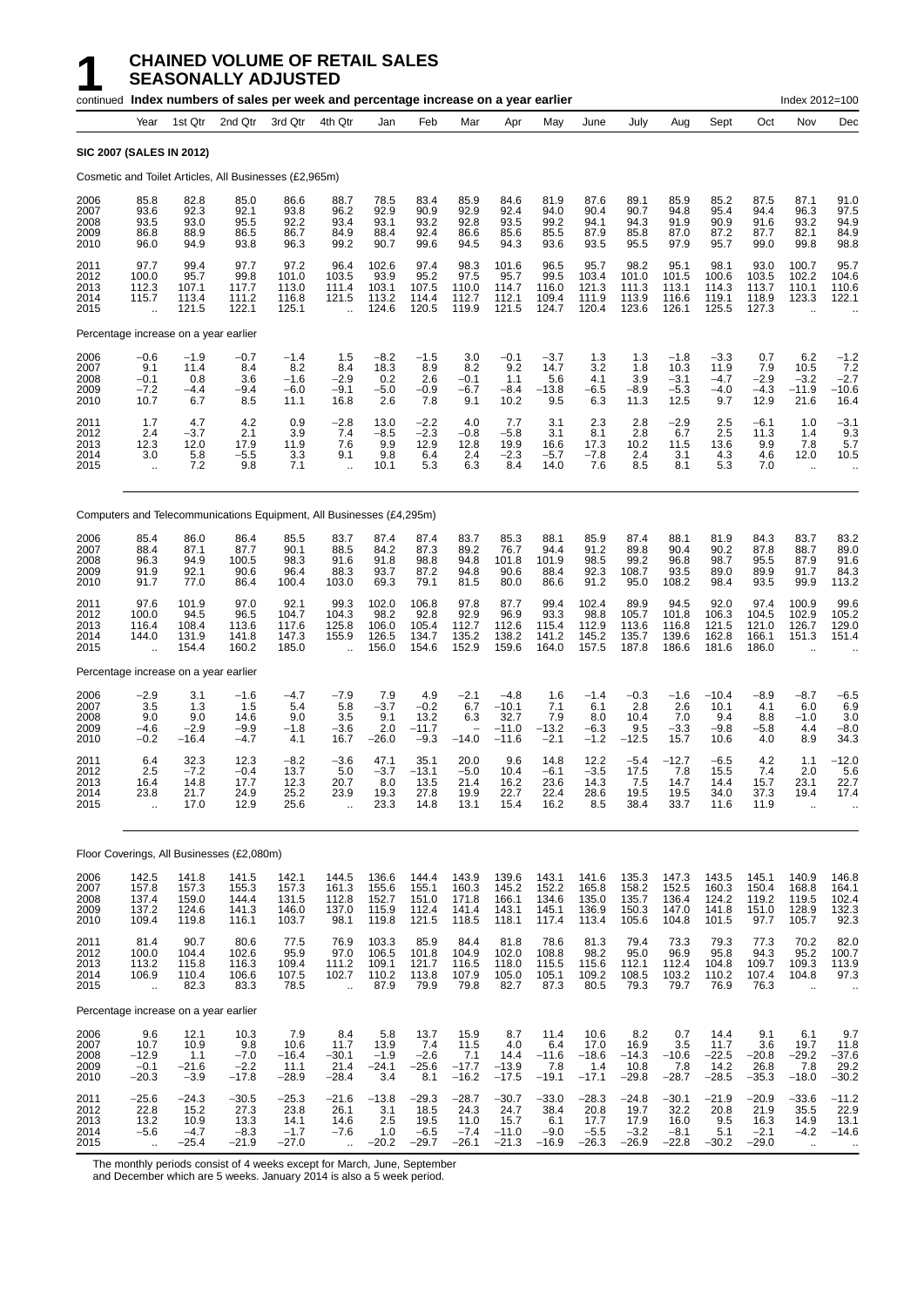|                                      |                                                         |                                              | continued Index numbers of sales per week and percentage increase on a year earlier |                                              |                                                         |                                              |                                              |                                              |                                                 |                                             |                                              |                                              |                                              |                                            |                                              | Index 2012=100                                           |                                                      |
|--------------------------------------|---------------------------------------------------------|----------------------------------------------|-------------------------------------------------------------------------------------|----------------------------------------------|---------------------------------------------------------|----------------------------------------------|----------------------------------------------|----------------------------------------------|-------------------------------------------------|---------------------------------------------|----------------------------------------------|----------------------------------------------|----------------------------------------------|--------------------------------------------|----------------------------------------------|----------------------------------------------------------|------------------------------------------------------|
|                                      | Year                                                    | 1st Qtr                                      | 2nd Qtr                                                                             | 3rd Qtr                                      | 4th Qtr                                                 | Jan                                          | Feb                                          | Mar                                          | Apr                                             | May                                         | June                                         | July                                         | Aug                                          | Sept                                       | Oct                                          | Nov                                                      | Dec                                                  |
|                                      |                                                         | SIC 2007 (SALES IN 2012)                     |                                                                                     |                                              |                                                         |                                              |                                              |                                              |                                                 |                                             |                                              |                                              |                                              |                                            |                                              |                                                          |                                                      |
|                                      |                                                         |                                              | Cosmetic and Toilet Articles, All Businesses (£2,965m)                              |                                              |                                                         |                                              |                                              |                                              |                                                 |                                             |                                              |                                              |                                              |                                            |                                              |                                                          |                                                      |
| 2006<br>2007<br>2008<br>2009<br>2010 | 85.8<br>93.6<br>93.5<br>86.8<br>96.0                    | 82.8<br>92.3<br>93.0<br>88.9<br>94.9         | 85.0<br>92.1<br>95.5<br>86.5<br>93.8                                                | 86.6<br>93.8<br>92.2<br>86.7<br>96.3         | 88.7<br>96.2<br>93.4<br>84.9<br>99.2                    | 78.5<br>92.9<br>93.1<br>88.4<br>90.7         | 83.4<br>90.9<br>93.2<br>92.4<br>99.6         | 85.9<br>92.9<br>92.8<br>86.6<br>94.5         | 84.6<br>92.4<br>93.5<br>85.6<br>94.3            | 81.9<br>94.0<br>99.2<br>85.5<br>93.6        | 87.6<br>90.4<br>94.1<br>87.9<br>93.5         | 89.1<br>90.7<br>94.3<br>85.8<br>95.5         | 85.9<br>94.8<br>91.9<br>87.0<br>97.9         | 85.2<br>95.4<br>90.9<br>87.2<br>95.7       | 87.5<br>94.4<br>91.6<br>87.7<br>99.0         | 87.1<br>96.3<br>93.2<br>82.1<br>99.8                     | 91.0<br>97.5<br>94.9<br>84.9<br>98.8                 |
| 2011<br>2012<br>2013<br>2014<br>2015 | 97.7<br>100.0<br>112.3<br>115.7<br>ă,                   | 99.4<br>95.7<br>107.1<br>113.4<br>121.5      | 97.7<br>99.8<br>117.7<br>111.2<br>122.1                                             | 97.2<br>101.0<br>113.0<br>116.8<br>125.1     | 96.4<br>103.5<br>111.4<br>121.5<br>$\ddot{\phantom{a}}$ | 102.6<br>93.9<br>103.1<br>113.2<br>124.6     | 97.4<br>95.2<br>107.5<br>114.4<br>120.5      | 98.3<br>97.5<br>110.0<br>112.7<br>119.9      | 101.6<br>95.7<br>114.7<br>112.1<br>121.5        | 96.5<br>99.5<br>116.0<br>109.4<br>124.7     | 95.7<br>103.4<br>121.3<br>111.9<br>120.4     | 98.2<br>101.0<br>111.3<br>113.9<br>123.6     | 95.1<br>101.5<br>113.1<br>116.6<br>126.1     | 98.1<br>100.6<br>114.3<br>119.1<br>125.5   | 93.0<br>103.5<br>113.7<br>118.9<br>127.3     | 100.7<br>102.2<br>110.1<br>123.3                         | 95.7<br>104.6<br>110.6<br>122.1                      |
|                                      |                                                         | Percentage increase on a year earlier        |                                                                                     |                                              |                                                         |                                              |                                              |                                              |                                                 |                                             |                                              |                                              |                                              |                                            |                                              |                                                          |                                                      |
| 2006<br>2007<br>2008<br>2009<br>2010 | $-0.6$<br>9.1<br>$-0.1$<br>$-7.2$<br>10.7               | $-1.9$<br>11.4<br>0.8<br>$-4.4$<br>6.7       | $-0.7$<br>8.4<br>3.6<br>-9.4<br>8.5                                                 | $-1.4$<br>8.2<br>$-1.6$<br>$-6.0$<br>11.1    | 1.5<br>8.4<br>$-2.9$<br>$-9.1$<br>16.8                  | $-8.2$<br>18.3<br>0.2<br>$-5.0$<br>2.6       | $-1.5$<br>8.9<br>2.6<br>$-0.9$<br>7.8        | 3.0<br>8.2<br>$-0.1$<br>$-6.7$<br>9.1        | $-0.1$<br>9.2<br>1.1<br>$-8.4$<br>10.2          | $-3.7$<br>14.7<br>5.6<br>$-13.8$<br>9.5     | 1.3<br>3.2<br>4.1<br>$-6.5$<br>6.3           | 1.3<br>1.8<br>3.9<br>$-8.9$<br>11.3          | $-1.8$<br>10.3<br>$-3.1$<br>$-5.3$<br>12.5   | $-3.3$<br>11.9<br>$-4.7$<br>$-4.0$<br>9.7  | 0.7<br>7.9<br>$-2.9$<br>$-4.3$<br>12.9       | 6.2<br>10.5<br>$-3.2$<br>$-11.9$<br>21.6                 | $-1.2$<br>7.2<br>$-2.7$<br>$-10.6$<br>16.4           |
| 2011<br>2012<br>2013<br>2014<br>2015 | 1.7<br>2.4<br>12.3<br>3.0<br>$\ddotsc$                  | 4.7<br>$-3.7$<br>12.0<br>5.8<br>7.2          | 4.2<br>2.1<br>17.9<br>$-5.5$<br>9.8                                                 | 0.9<br>3.9<br>11.9<br>3.3<br>7.1             | $-2.8$<br>7.4<br>7.6<br>9.1<br>$\ddotsc$                | 13.0<br>$-8.5$<br>9.9<br>9.8<br>10.1         | $-2.2$<br>$-2.3$<br>12.9<br>6.4<br>5.3       | 4.0<br>$-0.8$<br>12.8<br>2.4<br>6.3          | 7.7<br>-5.8<br>19.9<br>$-2.3$<br>8.4            | 3.1<br>3.1<br>16.6<br>-5.7<br>14.0          | 2.3<br>8.1<br>17.3<br>$-7.8$<br>7.6          | 2.8<br>2.8<br>10.2<br>2.4<br>8.5             | $-2.9$<br>6.7<br>11.5<br>3.1<br>8.1          | 2.5<br>2.5<br>13.6<br>4.3<br>5.3           | $-6.1$<br>11.3<br>9.9<br>4.6<br>7.0          | 1.0<br>1.4<br>7.8<br>12.0<br>$\ddotsc$                   | $-3.1$<br>9.3<br>5.7<br>10.5<br>$\ddot{\phantom{0}}$ |
|                                      |                                                         |                                              | Computers and Telecommunications Equipment, All Businesses (£4,295m)                |                                              |                                                         |                                              |                                              |                                              |                                                 |                                             |                                              |                                              |                                              |                                            |                                              |                                                          |                                                      |
| 2006<br>2007<br>2008<br>2009<br>2010 | 85.4<br>88.4<br>96.3<br>91.9<br>91.7                    | 86.0<br>87.1<br>94.9<br>92.1<br>77.0         | 86.4<br>87.7<br>100.5<br>90.6<br>86.4                                               | 85.5<br>90.1<br>98.3<br>96.4<br>100.4        | 83.7<br>88.5<br>91.6<br>88.3<br>103.0                   | 87.4<br>84.2<br>91.8<br>93.7<br>69.3         | 87.4<br>87.3<br>98.8<br>87.2<br>79.1         | 83.7<br>89.2<br>94.8<br>94.8<br>81.5         | 85.3<br>76.7<br>101.8<br>90.6<br>80.0           | 88.1<br>94.4<br>101.9<br>88.4<br>86.6       | 85.9<br>91.2<br>98.5<br>92.3<br>91.2         | 87.4<br>89.8<br>99.2<br>108.7<br>95.0        | 88.1<br>90.4<br>96.8<br>93.5<br>108.2        | 81.9<br>90.2<br>98.7<br>89.0<br>98.4       | 84.3<br>87.8<br>95.5<br>89.9<br>93.5         | 83.7<br>88.7<br>87.9<br>91.7<br>99.9                     | 83.2<br>89.0<br>91.6<br>84.3<br>113.2                |
| 2011<br>2012<br>2013<br>2014<br>2015 | 97.6<br>100.0<br>116.4<br>144.0<br>$\ddot{\phantom{a}}$ | 101.9<br>94.5<br>108.4<br>131.9<br>154.4     | 97.0<br>96.5<br>113.6<br>141.8<br>160.2                                             | 92.1<br>104.7<br>117.6<br>147.3<br>185.0     | 99.3<br>104.3<br>125.8<br>155.9<br>$\ddot{\phantom{a}}$ | 102.0<br>98.2<br>106.0<br>126.5<br>156.0     | 106.8<br>92.8<br>105.4<br>134.7<br>154.6     | 97.8<br>92.9<br>112.7<br>135.2<br>152.9      | 87.7<br>96.9<br>112.6<br>138.2<br>159.6         | 99.4<br>93.3<br>115.4<br>141.2<br>164.0     | 102.4<br>98.8<br>112.9<br>145.2<br>157.5     | 89.9<br>105.7<br>113.6<br>135.7<br>187.8     | 94.5<br>101.8<br>116.8<br>139.6<br>186.6     | 92.0<br>106.3<br>121.5<br>162.8<br>181.6   | 97.4<br>104.5<br>121.0<br>166.1<br>186.0     | 100.9<br>102.9<br>126.7<br>151.3<br>$\ddot{\phantom{a}}$ | 99.6<br>105.2<br>129.0<br>151.4                      |
|                                      |                                                         | Percentage increase on a year earlier        |                                                                                     |                                              |                                                         |                                              |                                              |                                              |                                                 |                                             |                                              |                                              |                                              |                                            |                                              |                                                          |                                                      |
| 2006<br>2007<br>2008<br>2009<br>2010 | $-2.9$<br>3.5<br>9.0<br>$-4.6$<br>$-0.2$                | 3.1<br>1.3<br>9.0<br>$-2.9$<br>-16.4         | $-1.6$<br>1.5<br>14.6<br>$-9.9$<br>$-4.7$                                           | $-4.7$<br>5.4<br>9.0<br>$-1.8$<br>4.1        | $-7.9$<br>5.8<br>3.5<br>$-3.6$<br>16.7                  | 7.9<br>$-3.\bar{7}$<br>9.1<br>2.0<br>$-26.0$ | 4.9<br>$-0.2$<br>13.2<br>$-11.7$<br>$-9.3$   | $-2.1$<br>6.7<br>6.3<br>$-14.0$              | $-4.8$<br>$-10.1$<br>32.7<br>$-11.0$<br>$-11.6$ | 1.6<br>7.1<br>7.9<br>$-13.2$<br>$-2.1$      | $-1.4$<br>6.1<br>8.0<br>$-6.3$<br>$-1.2$     | $-0.3$<br>2.8<br>10.4<br>9.5<br>$-12.5$      | $-1.6$<br>2.6<br>7.0<br>$-3.3$<br>15.7       | $-10.4$<br>10.1<br>9.4<br>$-9.8$<br>10.6   | $-8.9$<br>4.1<br>8.8<br>$-5.8$<br>4.0        | $-8.7$<br>6.0<br>$-1.0$<br>4.4<br>8.9                    | $-6.5$<br>6.9<br>3.0<br>$-8.0$<br>34.3               |
| 2011<br>2012<br>2013<br>2014<br>2015 | 6.4<br>2.5<br>16.4<br>23.8<br>ă,                        | 32.3<br>$-7.2$<br>14.8<br>21.7<br>17.0       | 12.3<br>$-0.4$<br>17.7<br>24.9<br>12.9                                              | $-8.2$<br>13.7<br>12.3<br>25.2<br>25.6       | $-3.6$<br>5.0<br>20.7<br>23.9                           | 47.1<br>$-3.7$<br>8.0<br>19.3<br>23.3        | 35.1<br>$-13.1$<br>13.5<br>27.8<br>14.8      | 20.0<br>$-5.0$<br>21.4<br>19.9<br>13.1       | 9.6<br>10.4<br>16.2<br>22.7<br>15.4             | 14.8<br>-6.1<br>23.6<br>22.4<br>16.2        | 12.2<br>$-3.5$<br>14.3<br>28.6<br>8.5        | $-5.4$<br>17.5<br>7.5<br>19.5<br>38.4        | $-12.7$<br>7.8<br>14.7<br>19.5<br>33.7       | $-6.5$<br>15.5<br>14.4<br>34.0<br>11.6     | 4.2<br>7.4<br>15.7<br>37.3<br>11.9           | 1.1<br>2.0<br>23.1<br>19.4                               | $-12.0$<br>5.6<br>22.7<br>17.4                       |
|                                      |                                                         |                                              | Floor Coverings, All Businesses (£2,080m)                                           |                                              |                                                         |                                              |                                              |                                              |                                                 |                                             |                                              |                                              |                                              |                                            |                                              |                                                          |                                                      |
| 2006<br>2007<br>2008<br>2009<br>2010 | 142.5<br>157.8<br>137.4<br>137.2<br>109.4               | 141.8<br>157.3<br>159.0<br>124.6<br>119.8    | 141.5<br>155.3<br>144.4<br>141.3<br>116.1                                           | 142.1<br>157.3<br>131.5<br>146.0<br>103.7    | 144.5<br>161.3<br>112.8<br>137.0<br>98.1                | 136.6<br>155.6<br>152.7<br>115.9<br>119.8    | 144.4<br>155.1<br>151.0<br>112.4<br>121.5    | 143.9<br>160.3<br>171.8<br>141.4<br>118.5    | 139.6<br>145.2<br>166.1<br>143.1<br>118.1       | 143.1<br>152.2<br>134.6<br>145.1<br>117.4   | 141.6<br>165.8<br>135.0<br>136.9<br>113.4    | 135.3<br>158.2<br>135.7<br>150.3<br>105.6    | 147.3<br>152.5<br>136.4<br>147.0<br>104.8    | 143.5<br>160.3<br>124.2<br>141.8<br>101.5  | 145.1<br>150.4<br>119.2<br>151.0<br>97.7     | 140.9<br>168.8<br>119.5<br>128.9<br>105.7                | 146.8<br>164.1<br>102.4<br>132.3<br>92.3             |
| 2011<br>2012<br>2013<br>2014<br>2015 | 81.4<br>100.0<br>113.2<br>106.9<br>$\ddotsc$            | 90.7<br>104.4<br>115.8<br>110.4<br>82.3      | 80.6<br>102.6<br>116.3<br>106.6<br>83.3                                             | 77.5<br>95.9<br>109.4<br>107.5<br>78.5       | 76.9<br>97.0<br>111.2<br>102.7<br>$\ddot{\phantom{a}}$  | 103.3<br>106.5<br>109.1<br>110.2<br>87.9     | 85.9<br>101.8<br>121.7<br>113.8<br>79.9      | 84.4<br>104.9<br>116.5<br>107.9<br>79.8      | 81.8<br>102.0<br>118.0<br>105.0<br>82.7         | 78.6<br>108.8<br>115.5<br>105.1<br>87.3     | 81.3<br>98.2<br>115.6<br>109.2<br>80.5       | 79.4<br>95.0<br>112.1<br>108.5<br>79.3       | 73.3<br>96.9<br>112.4<br>103.2<br>79.7       | 79.3<br>95.8<br>104.8<br>110.2<br>76.9     | 77.3<br>94.3<br>109.7<br>107.4<br>76.3       | 70.2<br>95.2<br>109.3<br>104.8                           | 82.0<br>100.7<br>113.9<br>97.3                       |
|                                      |                                                         | Percentage increase on a year earlier        |                                                                                     |                                              |                                                         |                                              |                                              |                                              |                                                 |                                             |                                              |                                              |                                              |                                            |                                              |                                                          |                                                      |
| 2006<br>2007<br>2008<br>2009<br>2010 | 9.6<br>10.7<br>$-12.9$<br>$-0.1$<br>$-20.3$             | 12.1<br>10.9<br>1.1<br>$-21.6$<br>$-3.9$     | 10.3<br>9.8<br>$-7.0$<br>$-2.2$<br>$-17.8$                                          | 7.9<br>10.6<br>$-16.4$<br>11.1<br>$-28.9$    | 8.4<br>11.7<br>$-30.1$<br>21.4<br>$-28.4$               | 5.8<br>13.9<br>$-1.9$<br>$-24.1$<br>3.4      | 13.7<br>7.4<br>$-2.6$<br>$-25.6$<br>8.1      | 15.9<br>11.5<br>7.1<br>$-17.7$<br>$-16.2$    | 8.7<br>4.0<br>14.4<br>$-13.9$<br>$-17.5$        | 11.4<br>6.4<br>$-11.6$<br>7.8<br>$-19.1$    | 10.6<br>17.0<br>$-18.6$<br>1.4<br>$-17.1$    | 8.2<br>16.9<br>$-14.3$<br>10.8<br>$-29.8$    | 0.7<br>3.5<br>$-10.6$<br>7.8<br>$-28.7$      | 14.4<br>11.7<br>$-22.5$<br>14.2<br>$-28.5$ | 9.1<br>3.6<br>$-20.8$<br>26.8<br>$-35.3$     | 6.1<br>19.7<br>$-29.2$<br>7.8<br>$-18.0$                 | 9.7<br>11.8<br>$-37.6$<br>29.2<br>$-30.2$            |
| 2011<br>2012<br>2013<br>2014<br>2015 | $-25.6$<br>22.8<br>13.2<br>$-5.6$                       | $-24.3$<br>15.2<br>10.9<br>$-4.7$<br>$-25.4$ | $-30.5$<br>27.3<br>13.3<br>$-8.3$<br>$-21.9$                                        | $-25.3$<br>23.8<br>14.1<br>$-1.7$<br>$-27.0$ | $-21.6$<br>26.1<br>14.6<br>$-7.6$                       | $-13.8$<br>3.1<br>2.5<br>1.0<br>$-20.2$      | $-29.3$<br>18.5<br>19.5<br>$-6.5$<br>$-29.7$ | $-28.7$<br>24.3<br>11.0<br>$-7.4$<br>$-26.1$ | $-30.7$<br>24.7<br>15.7<br>$-11.0$<br>$-21.3$   | $-33.0$<br>38.4<br>6.1<br>$-9.0$<br>$-16.9$ | $-28.3$<br>20.8<br>17.7<br>$-5.5$<br>$-26.3$ | $-24.8$<br>19.7<br>17.9<br>$-3.2$<br>$-26.9$ | $-30.1$<br>32.2<br>16.0<br>$-8.1$<br>$-22.8$ | $-21.9$<br>20.8<br>9.5<br>5.1<br>$-30.2$   | $-20.9$<br>21.9<br>16.3<br>$-2.1$<br>$-29.0$ | $-33.6$<br>35.5<br>14.9<br>$-4.2$                        | $-11.2$<br>22.9<br>13.1<br>$-14.6$                   |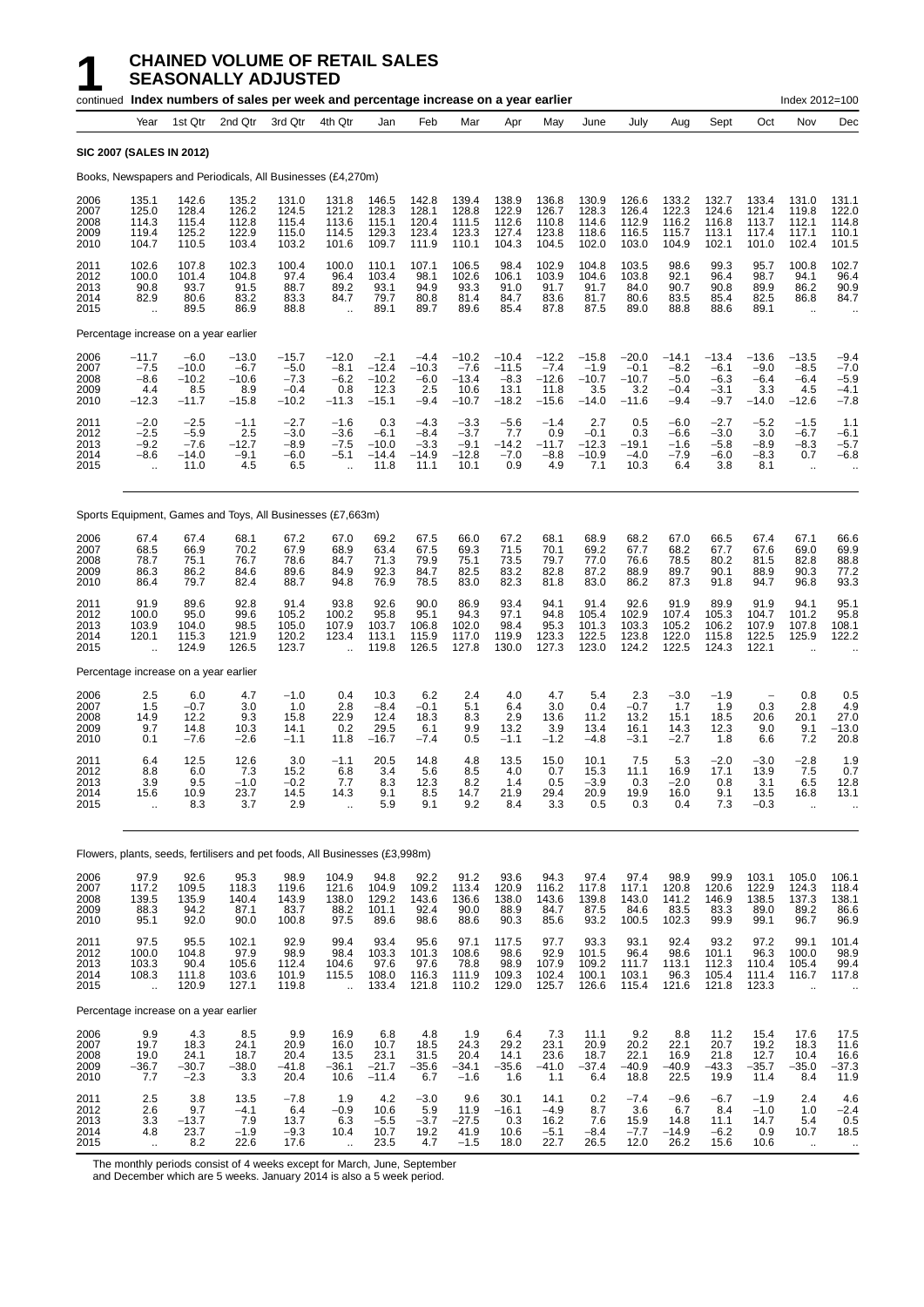#### **1 CHAINED VOLUME OF RETAIL SALES SEASONALLY ADJUSTED**

|                                      |                                                              |                                                | continued Index numbers of sales per week and percentage increase on a year earlier |                                                  |                                                              |                                                 |                                               |                                                 |                                                 |                                                 |                                                |                                                |                                                 |                                                 |                                               | Index 2012=100                                          |                                                      |
|--------------------------------------|--------------------------------------------------------------|------------------------------------------------|-------------------------------------------------------------------------------------|--------------------------------------------------|--------------------------------------------------------------|-------------------------------------------------|-----------------------------------------------|-------------------------------------------------|-------------------------------------------------|-------------------------------------------------|------------------------------------------------|------------------------------------------------|-------------------------------------------------|-------------------------------------------------|-----------------------------------------------|---------------------------------------------------------|------------------------------------------------------|
|                                      | Year                                                         | 1st Qtr                                        | 2nd Qtr                                                                             | 3rd Qtr                                          | 4th Qtr                                                      | Jan                                             | Feb                                           | Mar                                             | Apr                                             | May                                             | June                                           | July                                           | Aug                                             | Sept                                            | Oct                                           | Nov                                                     | Dec                                                  |
|                                      |                                                              | <b>SIC 2007 (SALES IN 2012)</b>                |                                                                                     |                                                  |                                                              |                                                 |                                               |                                                 |                                                 |                                                 |                                                |                                                |                                                 |                                                 |                                               |                                                         |                                                      |
|                                      |                                                              |                                                | Books, Newspapers and Periodicals, All Businesses (£4,270m)                         |                                                  |                                                              |                                                 |                                               |                                                 |                                                 |                                                 |                                                |                                                |                                                 |                                                 |                                               |                                                         |                                                      |
| 2006<br>2007<br>2008<br>2009<br>2010 | 135.1<br>125.0<br>114.3<br>119.4<br>104.7                    | 142.6<br>128.4<br>115.4<br>125.2<br>110.5      | 135.2<br>126.2<br>112.8<br>122.9<br>103.4                                           | 131.0<br>124.5<br>115.4<br>115.0<br>103.2        | 131.8<br>121.2<br>113.6<br>114.5<br>101.6                    | 146.5<br>128.3<br>115.1<br>129.3<br>109.7       | 142.8<br>128.1<br>120.4<br>123.4<br>111.9     | 139.4<br>128.8<br>111.5<br>123.3<br>110.1       | 138.9<br>122.9<br>112.6<br>127.4<br>104.3       | 136.8<br>126.7<br>110.8<br>123.8<br>104.5       | 130.9<br>128.3<br>114.6<br>118.6<br>102.0      | 126.6<br>126.4<br>112.9<br>116.5<br>103.0      | 133.2<br>122.3<br>116.2<br>115.7<br>104.9       | 132.7<br>124.6<br>116.8<br>113.1<br>102.1       | 133.4<br>121.4<br>113.7<br>117.4<br>101.0     | 131.0<br>119.8<br>112.1<br>117.1<br>102.4               | 131.1<br>122.0<br>114.8<br>110.1<br>101.5            |
| 2011<br>2012<br>2013<br>2014<br>2015 | 102.6<br>100.0<br>90.8<br>82.9<br>$\ddot{\phantom{a}}$       | 107.8<br>101.4<br>93.7<br>80.6<br>89.5         | 102.3<br>104.8<br>91.5<br>83.2<br>86.9                                              | 100.4<br>97.4<br>88.7<br>83.3<br>88.8            | 100.0<br>96.4<br>89.2<br>84.7<br>$\ddotsc$                   | 110.1<br>103.4<br>93.1<br>79.7<br>89.1          | 107.1<br>98.1<br>94.9<br>80.8<br>89.7         | 106.5<br>102.6<br>93.3<br>81.4<br>89.6          | 98.4<br>106.1<br>91.0<br>84.7<br>85.4           | 102.9<br>103.9<br>91.7<br>83.6<br>87.8          | 104.8<br>104.6<br>91.7<br>81.7<br>87.5         | 103.5<br>103.8<br>84.0<br>80.6<br>89.0         | 98.6<br>92.1<br>90.7<br>83.5<br>88.8            | 99.3<br>96.4<br>90.8<br>85.4<br>88.6            | 95.7<br>98.7<br>89.9<br>82.5<br>89.1          | 100.8<br>94.1<br>86.2<br>86.8<br>$\ddot{\phantom{a}}$   | 102.7<br>96.4<br>90.9<br>84.7                        |
|                                      |                                                              | Percentage increase on a year earlier          |                                                                                     |                                                  |                                                              |                                                 |                                               |                                                 |                                                 |                                                 |                                                |                                                |                                                 |                                                 |                                               |                                                         |                                                      |
| 2006<br>2007<br>2008<br>2009<br>2010 | $-11.7$<br>$-7.5$<br>$-8.6$<br>4.4<br>$-12.3$                | $-6.0$<br>$-10.0$<br>$-10.2$<br>8.5<br>$-11.7$ | $-13.0$<br>$-6.7$<br>$-10.6$<br>8.9<br>$-15.8$                                      | $-15.7$<br>$-5.0$<br>$-7.3$<br>$-0.4$<br>$-10.2$ | $-12.0$<br>$-8.1$<br>$-6.2$<br>0.8<br>$-11.3$                | $-2.1$<br>$-12.4$<br>$-10.2$<br>12.3<br>$-15.1$ | $-4.4$<br>$-10.3$<br>$-6.0$<br>2.5<br>$-9.4$  | $-10.2$<br>$-7.6$<br>$-13.4$<br>10.6<br>$-10.7$ | $-10.4$<br>$-11.5$<br>$-8.3$<br>13.1<br>$-18.2$ | $-12.2$<br>$-7.4$<br>$-12.6$<br>11.8<br>$-15.6$ | $-15.8$<br>$-1.9$<br>$-10.7$<br>3.5<br>$-14.0$ | $-20.0$<br>$-0.1$<br>$-10.7$<br>3.2<br>$-11.6$ | $-14.1$<br>$-8.2$<br>$-5.0$<br>$-0.4$<br>$-9.4$ | $-13.4$<br>$-6.1$<br>$-6.3$<br>$-3.1$<br>$-9.7$ | $-13.6$<br>$-9.0$<br>$-6.4$<br>3.3<br>$-14.0$ | $-13.5$<br>$-8.5$<br>$-6.4$<br>4.5<br>$-12.6$           | $-9.4$<br>$-7.0$<br>$-5.9$<br>$-4.1$<br>$-7.8$       |
| 2011<br>2012<br>2013<br>2014<br>2015 | $-2.0$<br>$-2.5$<br>$-9.2$<br>$-8.6$<br>$\ddot{\phantom{a}}$ | $-2.5$<br>$-5.9$<br>$-7.6$<br>$-14.0$<br>11.0  | $-1.1$<br>2.5<br>$-12.7$<br>$-9.1$<br>4.5                                           | $-2.7$<br>$-3.0$<br>$-8.9$<br>$-6.0$<br>6.5      | $-1.6$<br>$-3.6$<br>$-7.5$<br>$-5.1$<br>$\ddot{\phantom{a}}$ | 0.3<br>$-6.1$<br>$-10.0$<br>$-14.4$<br>11.8     | $-4.3$<br>$-8.4$<br>$-3.3$<br>$-14.9$<br>11.1 | $-3.3$<br>$-3.7$<br>$-9.1$<br>$-12.8$<br>10.1   | $-5.6$<br>7.7<br>$-14.2$<br>$-7.0$<br>0.9       | $-1.4$<br>0.9<br>$-11.7$<br>-8.8<br>4.9         | 2.7<br>$-0.1$<br>$-12.3$<br>$-10.9$<br>7.1     | 0.5<br>0.3<br>$-19.1$<br>$-4.0$<br>10.3        | $-6.0$<br>-6.6<br>$-1.6$<br>-7.9<br>6.4         | $-2.7$<br>$-3.0$<br>$-5.8$<br>-6.0<br>3.8       | $-5.2$<br>3.0<br>$-8.9$<br>$-8.3$<br>8.1      | $-1.5$<br>$-6.7$<br>$-8.3$<br>0.7<br>$\mathbf{r}$ .     | 1.1<br>$-6.1$<br>$-5.7$<br>$-6.8$                    |
|                                      |                                                              |                                                | Sports Equipment, Games and Toys, All Businesses (£7,663m)                          |                                                  |                                                              |                                                 |                                               |                                                 |                                                 |                                                 |                                                |                                                |                                                 |                                                 |                                               |                                                         |                                                      |
| 2006<br>2007<br>2008<br>2009<br>2010 | 67.4<br>68.5<br>78.7<br>86.3<br>86.4                         | 67.4<br>66.9<br>75.1<br>86.2<br>79.7           | 68.1<br>70.2<br>76.7<br>84.6<br>82.4                                                | 67.2<br>67.9<br>78.6<br>89.6<br>88.7             | 67.0<br>68.9<br>84.7<br>84.9<br>94.8                         | 69.2<br>63.4<br>71.3<br>92.3<br>76.9            | 67.5<br>67.5<br>79.9<br>84.7<br>78.5          | 66.0<br>69.3<br>75.1<br>82.5<br>83.0            | 67.2<br>71.5<br>73.5<br>83.2<br>82.3            | 68.1<br>70.1<br>79.7<br>82.8<br>81.8            | 68.9<br>69.2<br>77.0<br>87.2<br>83.0           | 68.2<br>67.7<br>76.6<br>88.9<br>86.2           | 67.0<br>68.2<br>78.5<br>89.7<br>87.3            | 66.5<br>67.7<br>80.2<br>90.1<br>91.8            | 67.4<br>67.6<br>81.5<br>88.9<br>94.7          | 67.1<br>69.0<br>82.8<br>90.3<br>96.8                    | 66.6<br>69.9<br>88.8<br>77.2<br>93.3                 |
| 2011<br>2012<br>2013<br>2014<br>2015 | 91.9<br>100.0<br>103.9<br>120.1<br>$\ddot{\phantom{a}}$      | 89.6<br>95.0<br>104.0<br>115.3<br>124.9        | 92.8<br>99.6<br>98.5<br>121.9<br>126.5                                              | 91.4<br>105.2<br>105.0<br>120.2<br>123.7         | 93.8<br>100.2<br>107.9<br>123.4<br>$\ddot{\phantom{a}}$      | 92.6<br>95.8<br>103.7<br>113.1<br>119.8         | 90.0<br>95.1<br>106.8<br>115.9<br>126.5       | 86.9<br>94.3<br>102.0<br>117.0<br>127.8         | 93.4<br>97.1<br>98.4<br>119.9<br>130.0          | 94.1<br>94.8<br>95.3<br>123.3<br>127.3          | 91.4<br>105.4<br>101.3<br>122.5<br>123.0       | 92.6<br>102.9<br>103.3<br>123.8<br>124.2       | 91.9<br>107.4<br>105.2<br>122.0<br>122.5        | 89.9<br>105.3<br>106.2<br>115.8<br>124.3        | 91.9<br>104.7<br>107.9<br>122.5<br>122.1      | 94.1<br>101.2<br>107.8<br>125.9<br>$\ddot{\phantom{a}}$ | 95.1<br>95.8<br>108.1<br>122.2                       |
|                                      |                                                              | Percentage increase on a year earlier          |                                                                                     |                                                  |                                                              |                                                 |                                               |                                                 |                                                 |                                                 |                                                |                                                |                                                 |                                                 |                                               |                                                         |                                                      |
| 2006<br>2007<br>2008<br>2009<br>2010 | 2.5<br>1.5<br>14.9<br>9.7<br>0.1                             | 6.0<br>$-0.7$<br>12.2<br>14.8<br>$-7.6$        | 4.7<br>3.0<br>9.3<br>10.3<br>$-2.6$                                                 | $-1.0$<br>1.0<br>15.8<br>14.1<br>$-1.1$          | 0.4<br>2.8<br>22.9<br>0.2<br>11.8                            | 10.3<br>$-8.4$<br>12.4<br>29.5<br>$-16.7$       | 6.2<br>$-0.1$<br>18.3<br>6.1<br>$-7.4$        | 2.4<br>5.1<br>8.3<br>9.9<br>0.5                 | 4.0<br>6.4<br>2.9<br>13.2<br>$-1.1$             | 4.7<br>3.0<br>13.6<br>3.9<br>$-1.2$             | 5.4<br>0.4<br>11.2<br>13.4<br>$-4.8$           | $^{2.3}_{-0.7}$<br>13.2<br>16.1<br>$-3.1$      | $-3.0$<br>1.7<br>15.1<br>14.3<br>$-2.7$         | $-1.9$<br>1.9<br>18.5<br>12.3<br>1.8            | 0.3<br>20.6<br>9.0<br>6.6                     | 0.8<br>2.8<br>20.1<br>9.1<br>7.2                        | 0.5<br>4.9<br>27.0<br>$-13.0$<br>20.8                |
| 2011<br>2012<br>2013<br>2014<br>2015 | 6.4<br>8.8<br>3.9<br>15.6<br>$\ddot{\phantom{a}}$            | 12.5<br>6.0<br>9.5<br>10.9<br>8.3              | 12.6<br>7.3<br>$-1.0$<br>23.7<br>3.7                                                | 3.0<br>15.2<br>$-0.2$<br>14.5<br>2.9             | $-1.1$<br>6.8<br>7.7<br>14.3                                 | 20.5<br>3.4<br>8.3<br>9.1<br>5.9                | 14.8<br>5.6<br>12.3<br>8.5<br>9.1             | 4.8<br>8.5<br>8.2<br>14.7<br>9.2                | 13.5<br>4.0<br>1.4<br>21.9<br>8.4               | 15.0<br>0.7<br>0.5<br>29.4<br>3.3               | 10.1<br>15.3<br>-3.9<br>20.9<br>0.5            | 7.5<br>11.1<br>0.3<br>19.9<br>0.3              | 5.3<br>16.9<br>-2.0<br>16.0<br>0.4              | $-2.0$<br>17.1<br>0.8<br>9.1<br>7.3             | $-3.0$<br>13.9<br>3.1<br>13.5<br>$-0.3$       | $-2.8$<br>7.5<br>6.5<br>16.8                            | 1.9<br>0.7<br>12.8<br>13.1                           |
|                                      |                                                              |                                                | Flowers, plants, seeds, fertilisers and pet foods, All Businesses (£3,998m)         |                                                  |                                                              |                                                 |                                               |                                                 |                                                 |                                                 |                                                |                                                |                                                 |                                                 |                                               |                                                         |                                                      |
| 2006<br>2007<br>2008<br>2009<br>2010 | 97.9<br>117.2<br>139.5<br>88.3<br>95.1                       | 92.6<br>109.5<br>135.9<br>94.2<br>92.0         | 95.3<br>118.3<br>140.4<br>87.1<br>90.0                                              | 98.9<br>119.6<br>143.9<br>83.7<br>100.8          | 104.9<br>121.6<br>138.0<br>88.2<br>97.5                      | 94.8<br>104.9<br>129.2<br>101.1<br>89.6         | 92.2<br>109.2<br>143.6<br>92.4<br>98.6        | 91.2<br>113.4<br>136.6<br>90.0<br>88.6          | 93.6<br>120.9<br>138.0<br>88.9<br>90.3          | 94.3<br>116.2<br>143.6<br>84.7<br>85.6          | 97.4<br>117.8<br>139.8<br>87.5<br>93.2         | 97.4<br>117.1<br>143.0<br>84.6<br>100.5        | 98.9<br>120.8<br>141.2<br>83.5<br>102.3         | 99.9<br>120.6<br>146.9<br>83.3<br>99.9          | 103.1<br>122.9<br>138.5<br>89.0<br>99.1       | 105.0<br>124.3<br>137.3<br>89.2<br>96.7                 | 106.1<br>$118.4$<br>$138.1$<br>86.6<br>96.9          |
| 2011<br>2012<br>2013<br>2014<br>2015 | 97.5<br>100.0<br>103.3<br>108.3<br>ă,                        | 95.5<br>104.8<br>90.4<br>111.8<br>120.9        | 102.1<br>97.9<br>105.6<br>103.6<br>127.1                                            | 92.9<br>98.9<br>112.4<br>101.9<br>119.8          | 99.4<br>98.4<br>104.6<br>115.5<br>à.                         | 93.4<br>103.3<br>97.6<br>108.0<br>133.4         | 95.6<br>101.3<br>97.6<br>116.3<br>121.8       | 97.1<br>108.6<br>78.8<br>111.9<br>110.2         | 117.5<br>98.6<br>98.9<br>109.3<br>129.0         | 97.7<br>92.9<br>107.9<br>102.4<br>125.7         | 93.3<br>101.5<br>109.2<br>100.1<br>126.6       | 93.1<br>96.4<br>111.7<br>103.1<br>115.4        | 92.4<br>98.6<br>113.1<br>96.3<br>121.6          | 93.2<br>101.1<br>112.3<br>105.4<br>121.8        | 97.2<br>96.3<br>110.4<br>111.4<br>123.3       | 99.1<br>100.0<br>105.4<br>116.7<br>$\ddotsc$            | 101.4<br>98.9<br>99.4<br>117.8                       |
|                                      |                                                              | Percentage increase on a year earlier          |                                                                                     |                                                  |                                                              |                                                 |                                               |                                                 |                                                 |                                                 |                                                |                                                |                                                 |                                                 |                                               |                                                         |                                                      |
| 2006<br>2007<br>2008<br>2009<br>2010 | 9.9<br>19.7<br>19.0<br>$-36.7$<br>7.7                        | 4.3<br>18.3<br>24.1<br>$-30.7$<br>$-2.3$       | 8.5<br>24.1<br>18.7<br>$-38.0$<br>3.3                                               | 9.9<br>20.9<br>20.4<br>$-41.8$<br>20.4           | 16.9<br>16.0<br>13.5<br>$-36.1$<br>10.6                      | 6.8<br>10.7<br>23.1<br>$-21.7$<br>$-11.4$       | 4.8<br>18.5<br>31.5<br>$-35.6$<br>6.7         | 1.9<br>24.3<br>20.4<br>$-34.1$<br>$-1.6$        | 6.4<br>29.2<br>14.1<br>$-35.6$<br>1.6           | 7.3<br>23.1<br>23.6<br>$-41.0$<br>1.1           | 11.1<br>20.9<br>18.7<br>$-37.4$<br>6.4         | 9.2<br>20.2<br>22.1<br>$-40.9$<br>18.8         | 8.8<br>22.1<br>16.9<br>$-40.9$<br>22.5          | 11.2<br>20.7<br>21.8<br>$-43.3$<br>19.9         | 15.4<br>19.2<br>12.7<br>$-35.7$<br>11.4       | 17.6<br>18.3<br>10.4<br>$-35.0$<br>8.4                  | 17.5<br>11.6<br>16.6<br>$-37.3$<br>11.9              |
| 2011<br>2012<br>2013<br>2014<br>2015 | 2.5<br>2.6<br>$3.3\,$<br>4.8<br>$\ddot{\phantom{1}}$         | 3.8<br>9.7<br>$-13.7$<br>23.7<br>8.2           | 13.5<br>$-4.1$<br>7.9<br>$-1.9$<br>22.6                                             | $-7.8$<br>6.4<br>13.7<br>$-9.3$<br>17.6          | 1.9<br>$-0.9$<br>6.3<br>10.4<br>$\ddotsc$                    | 4.2<br>10.6<br>$-5.5$<br>10.7<br>23.5           | $-3.0$<br>5.9<br>$-3.7$<br>19.2<br>4.7        | 9.6<br>11.9<br>$-27.5$<br>41.9<br>$-1.5$        | 30.1<br>$-16.1$<br>0.3<br>10.6<br>18.0          | 14.1<br>$-4.9$<br>16.2<br>$-5.1$<br>22.7        | 0.2<br>8.7<br>7.6<br>$-8.4$<br>26.5            | $-7.4$<br>3.6<br>15.9<br>$-7.7$<br>12.0        | $-9.6$<br>6.7<br>14.8<br>$-14.9$<br>26.2        | $-6.7$<br>8.4<br>11.1<br>$-6.2$<br>15.6         | $-1.9$<br>$-1.0$<br>14.7<br>0.9<br>10.6       | 2.4<br>1.0<br>5.4<br>10.7<br>$\ddot{\phantom{1}}$       | 4.6<br>$-2.4$<br>0.5<br>18.5<br>$\ddot{\phantom{1}}$ |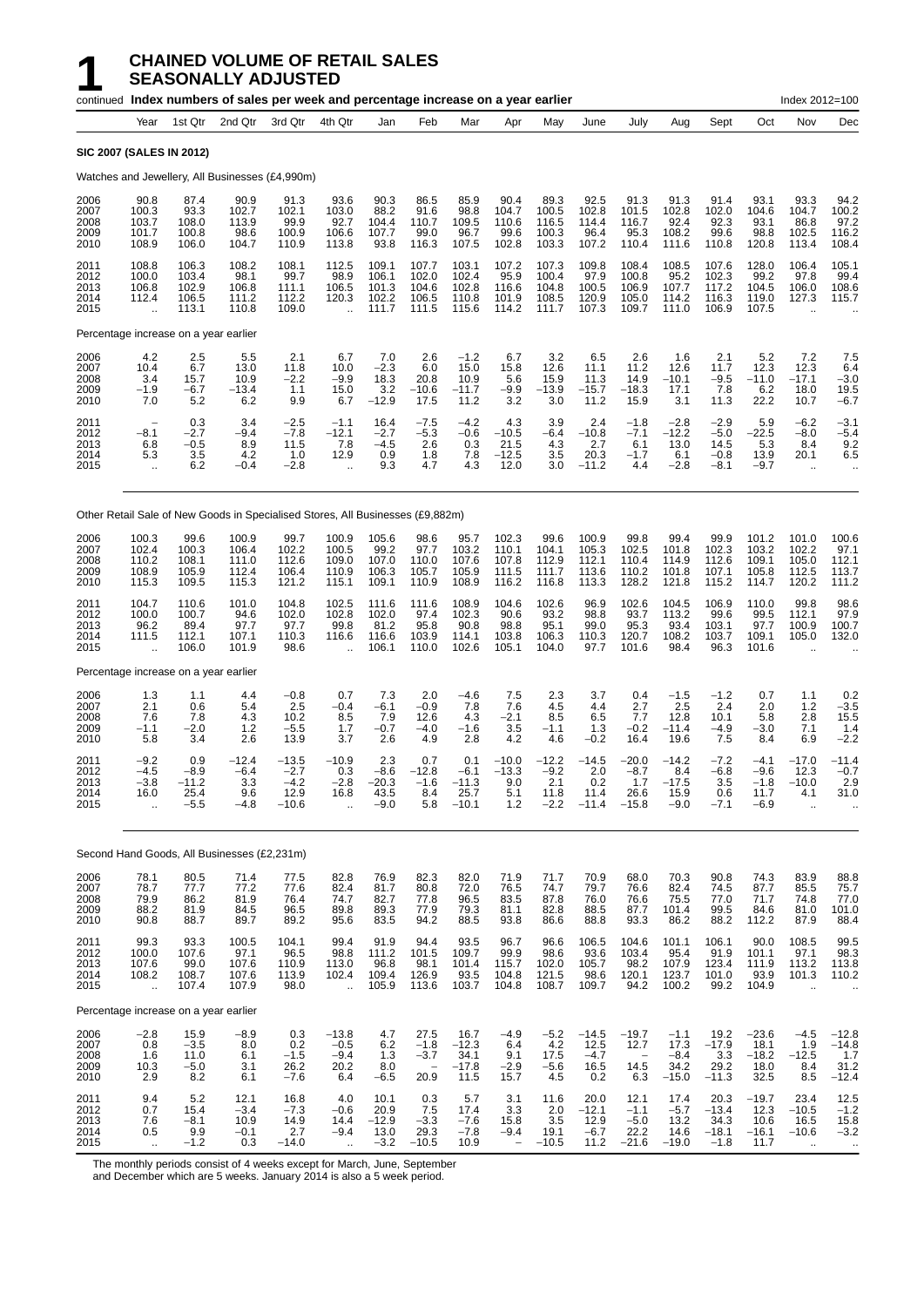|                                      |                                                            |                                            | continued Index numbers of sales per week and percentage increase on a year earlier |                                                |                                                          |                                            |                                           |                                             |                                           |                                            |                                           |                                             |                                             |                                              |                                              | Index 2012=100                                             |                                                          |
|--------------------------------------|------------------------------------------------------------|--------------------------------------------|-------------------------------------------------------------------------------------|------------------------------------------------|----------------------------------------------------------|--------------------------------------------|-------------------------------------------|---------------------------------------------|-------------------------------------------|--------------------------------------------|-------------------------------------------|---------------------------------------------|---------------------------------------------|----------------------------------------------|----------------------------------------------|------------------------------------------------------------|----------------------------------------------------------|
|                                      | Year                                                       | 1st Qtr                                    | 2nd Qtr                                                                             | 3rd Qtr                                        | 4th Qtr                                                  | Jan                                        | Feb                                       | Mar                                         | Apr                                       | May                                        | June                                      | July                                        | Aug                                         | Sept                                         | Oct                                          | Nov                                                        | Dec                                                      |
|                                      |                                                            | <b>SIC 2007 (SALES IN 2012)</b>            |                                                                                     |                                                |                                                          |                                            |                                           |                                             |                                           |                                            |                                           |                                             |                                             |                                              |                                              |                                                            |                                                          |
|                                      |                                                            |                                            | Watches and Jewellery, All Businesses (£4,990m)                                     |                                                |                                                          |                                            |                                           |                                             |                                           |                                            |                                           |                                             |                                             |                                              |                                              |                                                            |                                                          |
| 2006<br>2007<br>2008<br>2009<br>2010 | 90.8<br>100.3<br>103.7<br>101.7<br>108.9                   | 87.4<br>93.3<br>108.0<br>100.8<br>106.0    | 90.9<br>102.7<br>113.9<br>98.6<br>104.7                                             | 91.3<br>102.1<br>99.9<br>100.9<br>110.9        | 93.6<br>103.0<br>92.7<br>106.6<br>113.8                  | 90.3<br>88.2<br>104.4<br>107.7<br>93.8     | 86.5<br>91.6<br>110.7<br>99.0<br>116.3    | 85.9<br>98.8<br>109.5<br>96.7<br>107.5      | 90.4<br>104.7<br>110.6<br>99.6<br>102.8   | 89.3<br>100.5<br>116.5<br>100.3<br>103.3   | 92.5<br>102.8<br>114.4<br>96.4<br>107.2   | 91.3<br>101.5<br>116.7<br>95.3<br>110.4     | 91.3<br>102.8<br>92.4<br>108.2<br>111.6     | 91.4<br>102.0<br>92.3<br>99.6<br>110.8       | 93.1<br>104.6<br>93.1<br>98.8<br>120.8       | 93.3<br>104.7<br>86.8<br>102.5<br>113.4                    | 94.2<br>100.2<br>97.2<br>116.2<br>108.4                  |
| 2011<br>2012<br>2013<br>2014<br>2015 | 108.8<br>100.0<br>106.8<br>112.4<br>$\ddotsc$              | 106.3<br>103.4<br>102.9<br>106.5<br>113.1  | 108.2<br>98.1<br>106.8<br>111.2<br>110.8                                            | 108.1<br>99.7<br>111.1<br>112.2<br>109.0       | 112.5<br>98.9<br>106.5<br>120.3<br>$\ddot{\phantom{a}}$  | 109.1<br>106.1<br>101.3<br>102.2<br>111.7  | 107.7<br>102.0<br>104.6<br>106.5<br>111.5 | 103.1<br>102.4<br>102.8<br>110.8<br>115.6   | 107.2<br>95.9<br>116.6<br>101.9<br>114.2  | 107.3<br>100.4<br>104.8<br>108.5<br>111.7  | 109.8<br>97.9<br>100.5<br>120.9<br>107.3  | 108.4<br>100.8<br>106.9<br>105.0<br>109.7   | 108.5<br>95.2<br>107.7<br>114.2<br>111.0    | 107.6<br>102.3<br>117.2<br>116.3<br>106.9    | 128.0<br>99.2<br>104.5<br>119.0<br>107.5     | 106.4<br>97.8<br>106.0<br>127.3                            | 105.1<br>99.4<br>108.6<br>115.7                          |
|                                      |                                                            | Percentage increase on a year earlier      |                                                                                     |                                                |                                                          |                                            |                                           |                                             |                                           |                                            |                                           |                                             |                                             |                                              |                                              |                                                            |                                                          |
| 2006<br>2007<br>2008<br>2009<br>2010 | 4.2<br>10.4<br>3.4<br>$-1.9$<br>7.0                        | 2.5<br>6.7<br>15.7<br>$-6.7$<br>5.2        | 5.5<br>13.0<br>10.9<br>$-13.4$<br>6.2                                               | 2.1<br>11.8<br>$-2.2$<br>1.1<br>9.9            | 6.7<br>10.0<br>$-9.9$<br>15.0<br>6.7                     | 7.0<br>$-2.3$<br>18.3<br>3.2<br>$-12.9$    | 2.6<br>6.0<br>20.8<br>$-10.6$<br>17.5     | $-1.2$<br>15.0<br>10.9<br>$-11.7$<br>11.2   | 6.7<br>15.8<br>5.6<br>$-9.9$<br>3.2       | 3.2<br>12.6<br>15.9<br>$-13.9$<br>3.0      | 6.5<br>11.1<br>11.3<br>$-15.7$<br>11.2    | 2.6<br>11.2<br>14.9<br>-18.3<br>15.9        | 1.6<br>12.6<br>$-10.1$<br>17.1<br>3.1       | 2.1<br>11.7<br>$-9.5$<br>7.8<br>11.3         | 5.2<br>12.3<br>$-11.0$<br>6.2<br>22.2        | 7.2<br>12.3<br>$-17.1$<br>18.0<br>10.7                     | 7.5<br>6.4<br>$-3.0$<br>19.5<br>$-6.7$                   |
| 2011<br>2012<br>2013<br>2014<br>2015 | $-8.1$<br>6.8<br>5.3<br>$\ddot{\phantom{1}}$               | 0.3<br>$-2.7$<br>$-0.5$<br>3.5<br>6.2      | 3.4<br>$-9.4$<br>8.9<br>4.2<br>$-0.4$                                               | $-2.5$<br>$-7.8$<br>11.5<br>1.0<br>$-2.8$      | $-1.1$<br>$-12.1$<br>7.8<br>12.9<br>$\ddot{\phantom{a}}$ | 16.4<br>$-2.7$<br>$-4.5$<br>0.9<br>9.3     | $-7.5$<br>$-5.3$<br>2.6<br>1.8<br>4.7     | $-4.2$<br>$-0.6$<br>0.3<br>7.8<br>4.3       | 4.3<br>$-10.5$<br>21.5<br>$-12.5$<br>12.0 | 3.9<br>$-6.4$<br>4.3<br>3.5<br>3.0         | 2.4<br>$-10.8$<br>2.7<br>20.3<br>$-11.2$  | $-1.8$<br>$-7.1$<br>6.1<br>$-1.7$<br>4.4    | $-2.8$<br>$-12.2$<br>13.0<br>6.1<br>$-2.8$  | $-2.9$<br>$-5.0$<br>14.5<br>$-0.8$<br>$-8.1$ | 5.9<br>$-22.5$<br>5.3<br>13.9<br>$-9.7$      | $-6.2$<br>$-8.0$<br>8.4<br>20.1<br>$\bar{\mathbf{r}}$      | $-3.1$<br>$-5.4$<br>9.2<br>6.5                           |
|                                      |                                                            |                                            | Other Retail Sale of New Goods in Specialised Stores, All Businesses (£9,882m)      |                                                |                                                          |                                            |                                           |                                             |                                           |                                            |                                           |                                             |                                             |                                              |                                              |                                                            |                                                          |
| 2006<br>2007<br>2008<br>2009<br>2010 | 100.3<br>102.4<br>110.2<br>108.9<br>115.3                  | 99.6<br>100.3<br>108.1<br>105.9<br>109.5   | 100.9<br>106.4<br>111.0<br>112.4<br>115.3                                           | 99.7<br>102.2<br>112.6<br>106.4<br>121.2       | 100.9<br>100.5<br>109.0<br>110.9<br>115.1                | 105.6<br>99.2<br>107.0<br>106.3<br>109.1   | 98.6<br>97.7<br>110.0<br>105.7<br>110.9   | 95.7<br>103.2<br>107.6<br>105.9<br>108.9    | 102.3<br>110.1<br>107.8<br>111.5<br>116.2 | 99.6<br>104.1<br>112.9<br>111.7<br>116.8   | 100.9<br>105.3<br>112.1<br>113.6<br>113.3 | 99.8<br>102.5<br>110.4<br>110.2<br>128.2    | 99.4<br>101.8<br>114.9<br>101.8<br>121.8    | 99.9<br>102.3<br>112.6<br>107.1<br>115.2     | 101.2<br>103.2<br>109.1<br>105.8<br>114.7    | 101.0<br>102.2<br>105.0<br>112.5<br>120.2                  | 100.6<br>97.1<br>112.1<br>113.7<br>111.2                 |
| 2011<br>2012<br>2013<br>2014<br>2015 | 104.7<br>100.0<br>96.2<br>111.5<br>$\ddot{\phantom{a}}$    | 110.6<br>100.7<br>89.4<br>112.1<br>106.0   | 101.0<br>94.6<br>97.7<br>107.1<br>101.9                                             | 104.8<br>102.0<br>97.7<br>110.3<br>98.6        | 102.5<br>102.8<br>99.8<br>116.6<br>$\ddot{\phantom{a}}$  | 111.6<br>102.0<br>81.2<br>116.6<br>106.1   | 111.6<br>97.4<br>95.8<br>103.9<br>110.0   | 108.9<br>102.3<br>90.8<br>114.1<br>102.6    | 104.6<br>90.6<br>98.8<br>103.8<br>105.1   | 102.6<br>93.2<br>95.1<br>106.3<br>104.0    | 96.9<br>98.8<br>99.0<br>110.3<br>97.7     | 102.6<br>93.7<br>95.3<br>120.7<br>101.6     | 104.5<br>113.2<br>93.4<br>108.2<br>98.4     | 106.9<br>99.6<br>103.1<br>103.7<br>96.3      | 110.0<br>99.5<br>97.7<br>109.1<br>101.6      | 99.8<br>112.1<br>100.9<br>105.0                            | 98.6<br>97.9<br>100.7<br>132.0                           |
|                                      |                                                            | Percentage increase on a year earlier      |                                                                                     |                                                |                                                          |                                            |                                           |                                             |                                           |                                            |                                           |                                             |                                             |                                              |                                              |                                                            |                                                          |
| 2006<br>2007<br>2008<br>2009<br>2010 | 1.3<br>2.1<br>7.6<br>$-1.1$<br>5.8                         | 1.1<br>0.6<br>7.8<br>$-2.0$<br>3.4         | 4.4<br>5.4<br>4.3<br>$1.2$<br>2.6                                                   | $-0.8$<br>2.5<br>10.2<br>$-5.5$<br>13.9        | 0.7<br>$-0.4$<br>8.5<br>1.7<br>3.7                       | 7.3<br>$-6.1$<br>7.9<br>$-0.7$<br>2.6      | 2.0<br>$-0.9$<br>12.6<br>$-4.0$<br>4.9    | $-4.6$<br>7.8<br>4.3<br>$-1.6$<br>2.8       | 7.5<br>7.6<br>$-2.1$<br>3.5<br>4.2        | 2.3<br>4.5<br>8.5<br>$-1.1$<br>4.6         | 3.7<br>4.4<br>6.5<br>1.3<br>$-0.2$        | 0.4<br>2.7<br>7.7<br>$-0.2$<br>16.4         | $-1.5$<br>2.5<br>12.8<br>$-11.4$<br>19.6    | $-1.2$<br>2.4<br>10.1<br>$-4.9$<br>7.5       | 0.7<br>2.0<br>5.8<br>$-3.0$<br>8.4           | 1.1<br>$1.2$<br>2.8<br>7.1<br>6.9                          | $0.2 - 3.5$<br>15.5<br>1.4<br>$-2.2$                     |
| 2011<br>2012<br>2013<br>2014<br>2015 | $-9.2$<br>$-4.5$<br>$-3.8$<br>16.0<br>$\ddot{\phantom{a}}$ | 0.9<br>$-8.9$<br>$-11.2$<br>25.4<br>$-5.5$ | $-12.4$<br>$-6.4$<br>3.3<br>9.6<br>$-4.8$                                           | $-13.5$<br>$-2.7$<br>$-4.2$<br>12.9<br>$-10.6$ | $-10.9$<br>0.3<br>$-2.8$<br>16.8<br>$\ddot{\phantom{a}}$ | 2.3<br>$-8.6$<br>$-20.3$<br>43.5<br>$-9.0$ | 0.7<br>$-12.8$<br>$-1.6$<br>8.4<br>5.8    | 0.1<br>$-6.1$<br>$-11.3$<br>25.7<br>$-10.1$ | $-10.0$<br>$-13.3$<br>9.0<br>5.1<br>1.2   | $-12.2$<br>$-9.2$<br>2.1<br>11.8<br>$-2.2$ | $-14.5$<br>2.0<br>0.2<br>11.4<br>$-11.4$  | $-20.0$<br>$-8.7$<br>1.7<br>26.6<br>$-15.8$ | $-14.2$<br>8.4<br>$-17.5$<br>15.9<br>$-9.0$ | $-7.2$<br>$-6.8$<br>3.5<br>0.6<br>$-7.1$     | $-4.1$<br>$-9.6$<br>$-1.8$<br>11.7<br>$-6.9$ | $-17.0$<br>12.3<br>$-10.0$<br>4.1<br>Ω.                    | -11.4<br>$-0.7$<br>2.9<br>31.0                           |
|                                      |                                                            |                                            | Second Hand Goods, All Businesses (£2,231m)                                         |                                                |                                                          |                                            |                                           |                                             |                                           |                                            |                                           |                                             |                                             |                                              |                                              |                                                            |                                                          |
| 2006<br>2007<br>2008<br>2009<br>2010 | 78.1<br>78.7<br>79.9<br>88.2<br>90.8                       | 80.5<br>77.7<br>86.2<br>81.9<br>88.7       | 71.4<br>77.2<br>81.9<br>84.5<br>89.7                                                | 77.5<br>77.6<br>76.4<br>96.5<br>89.2           | 82.8<br>82.4<br>74.7<br>89.8<br>95.6                     | 76.9<br>81.7<br>82.7<br>89.3<br>83.5       | 82.3<br>80.8<br>77.8<br>77.9<br>94.2      | 82.0<br>72.0<br>96.5<br>79.3<br>88.5        | 71.9<br>76.5<br>83.5<br>81.1<br>93.8      | 71.7<br>74.7<br>87.8<br>82.8<br>86.6       | 70.9<br>79.7<br>76.0<br>88.5<br>88.8      | 68.0<br>76.6<br>76.6<br>87.7<br>93.3        | 70.3<br>82.4<br>75.5<br>101.4<br>86.2       | 90.8<br>74.5<br>77.0<br>99.5<br>88.2         | 74.3<br>$\frac{87.7}{71.7}$<br>84.6<br>112.2 | 83.9<br>85.5<br>74.8<br>81.0<br>87.9                       | 88.8<br>75.7<br>77.0<br>101.0<br>88.4                    |
| 2011<br>2012<br>2013<br>2014<br>2015 | 99.3<br>100.0<br>107.6<br>108.2<br>$\ddot{\phantom{1}}$    | 93.3<br>107.6<br>99.0<br>108.7<br>107.4    | 100.5<br>97.1<br>107.6<br>107.6<br>107.9                                            | 104.1<br>96.5<br>110.9<br>113.9<br>98.0        | 99.4<br>98.8<br>113.0<br>102.4<br>$\ddot{\phantom{a}}$   | 91.9<br>111.2<br>96.8<br>109.4<br>105.9    | 94.4<br>101.5<br>98.1<br>126.9<br>113.6   | 93.5<br>109.7<br>101.4<br>93.5<br>103.7     | 96.7<br>99.9<br>115.7<br>104.8<br>104.8   | 96.6<br>98.6<br>102.0<br>121.5<br>108.7    | 106.5<br>93.6<br>105.7<br>98.6<br>109.7   | 104.6<br>103.4<br>98.2<br>120.1<br>94.2     | 101.1<br>95.4<br>107.9<br>123.7<br>100.2    | 106.1<br>91.9<br>123.4<br>101.0<br>99.2      | 90.0<br>101.1<br>111.9<br>93.9<br>104.9      | 108.5<br>97.1<br>113.2<br>101.3                            | 99.5<br>98.3<br>113.8<br>110.2                           |
|                                      |                                                            | Percentage increase on a year earlier      |                                                                                     |                                                |                                                          |                                            |                                           |                                             |                                           |                                            |                                           |                                             |                                             |                                              |                                              |                                                            |                                                          |
| 2006<br>2007<br>2008<br>2009<br>2010 | $^{-2.8}_{0.8}$<br>1.6<br>10.3<br>2.9                      | 15.9<br>$-3.5$<br>11.0<br>$-5.0$<br>8.2    | $-8.9$<br>8.0<br>6.1<br>3.1<br>6.1                                                  | 0.3<br>0.2<br>$-1.5$<br>26.2<br>$-7.6$         | $-13.8$<br>$-0.5$<br>$-9.4$<br>20.2<br>6.4               | 4.7<br>6.2<br>$1.3$<br>8.0<br>$-6.5$       | 27.5<br>$-1.8$<br>$-3.7$<br>20.9          | 16.7<br>$-12.3$<br>34.1<br>$-17.8$<br>11.5  | $-4.9$<br>6.4<br>9.1<br>$-2.9$<br>15.7    | $-5.2$<br>4.2<br>17.5<br>$-5.6$<br>4.5     | $-14.5$<br>12.5<br>$-4.7$<br>16.5<br>0.2  | $-19.7$<br>12.7<br>14.5<br>6.3              | $-1.1$<br>17.3<br>$-8.4$<br>34.2<br>$-15.0$ | 19.2<br>$-17.9$<br>3.3<br>29.2<br>$-11.3$    | $-23.6$<br>18.1<br>$-18.2$<br>18.0<br>32.5   | $-4.5$<br>1.9<br>$-12.5$<br>8.4<br>8.5                     | $-12.8$<br>$-14.8$<br>1.7<br>31.2<br>$-12.4$             |
| 2011<br>2012<br>2013<br>2014<br>2015 | 9.4<br>0.7<br>7.6<br>0.5<br>$\ddot{\phantom{1}}$           | 5.2<br>15.4<br>$-8.1$<br>9.9<br>$-1.2$     | 12.1<br>$-3.4$<br>10.9<br>$-0.1$<br>0.3                                             | 16.8<br>$-7.3$<br>14.9<br>2.7<br>$-14.0$       | 4.0<br>$-0.6$<br>14.4<br>$-9.4$<br>$\ddot{\phantom{a}}$  | 10.1<br>20.9<br>$-12.9$<br>13.0<br>$-3.2$  | 0.3<br>7.5<br>$-3.3$<br>29.3<br>$-10.5$   | 5.7<br>17.4<br>$-7.6$<br>$-7.8$<br>10.9     | 3.1<br>3.3<br>15.8<br>$-9.4$              | 11.6<br>2.0<br>3.5<br>19.1<br>$-10.5$      | 20.0<br>$-12.1$<br>12.9<br>$-6.7$<br>11.2 | 12.1<br>$-1.1$<br>$-5.0$<br>22.2<br>$-21.6$ | 17.4<br>$-5.7$<br>13.2<br>14.6<br>$-19.0$   | 20.3<br>$-13.4$<br>34.3<br>$-18.1$<br>$-1.8$ | $-19.7$<br>12.3<br>10.6<br>$-16.1$<br>11.7   | 23.4<br>$-10.5$<br>16.5<br>$-10.6$<br>$\ddot{\phantom{1}}$ | 12.5<br>$-1.2$<br>15.8<br>$-3.2$<br>$\ddot{\phantom{0}}$ |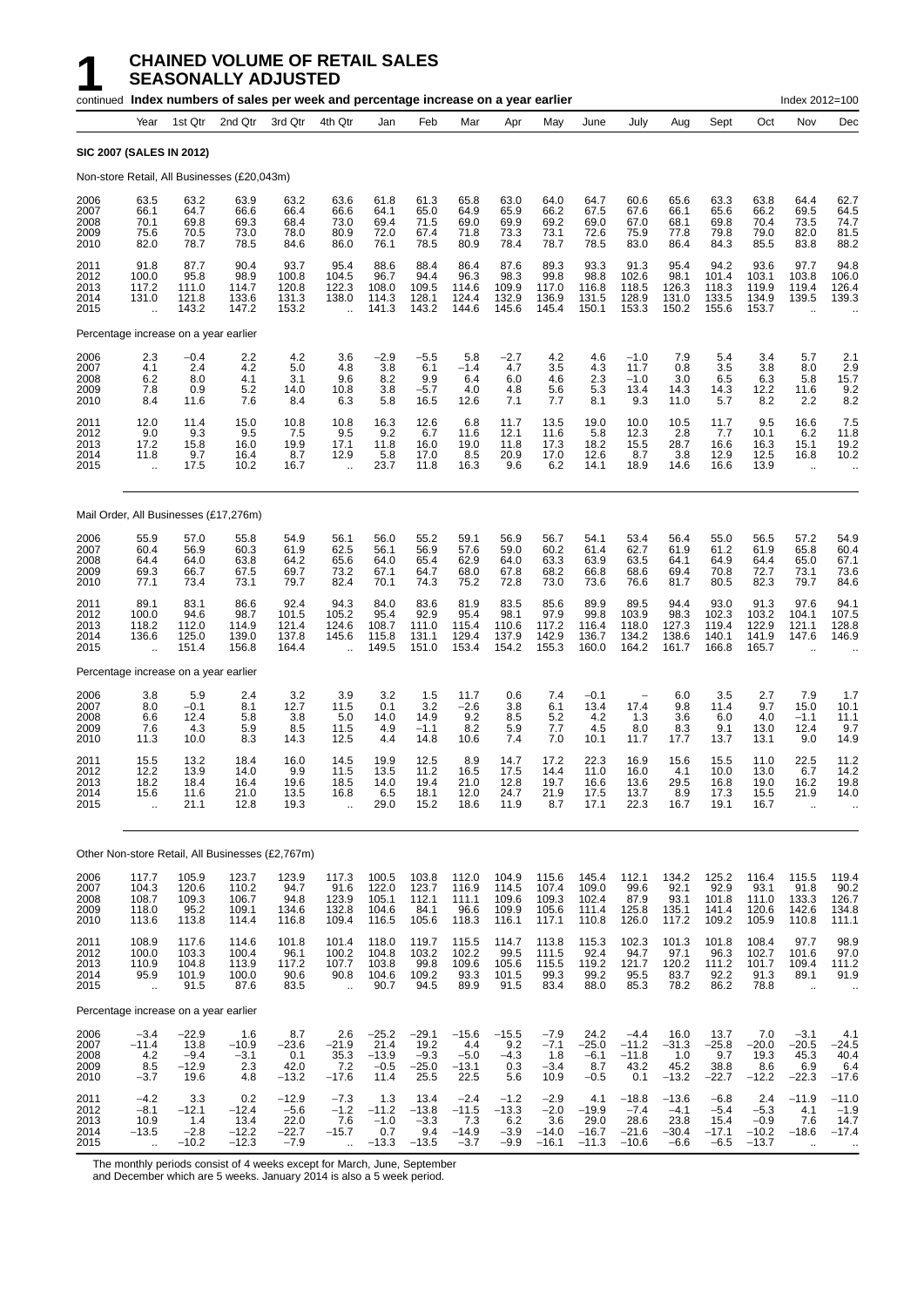|                                      |                                                         |                                              | continued Index numbers of sales per week and percentage increase on a year earlier |                                                |                                                         |                                              |                                              |                                               |                                              |                                               |                                              |                                                 |                                                |                                               |                                               | Index 2012=100                                         |                                                                         |
|--------------------------------------|---------------------------------------------------------|----------------------------------------------|-------------------------------------------------------------------------------------|------------------------------------------------|---------------------------------------------------------|----------------------------------------------|----------------------------------------------|-----------------------------------------------|----------------------------------------------|-----------------------------------------------|----------------------------------------------|-------------------------------------------------|------------------------------------------------|-----------------------------------------------|-----------------------------------------------|--------------------------------------------------------|-------------------------------------------------------------------------|
|                                      | Year                                                    | 1st Qtr                                      | 2nd Qtr                                                                             | 3rd Qtr                                        | 4th Qtr                                                 | Jan                                          | Feb                                          | Mar                                           | Apr                                          | May                                           | June                                         | July                                            | Aug                                            | Sept                                          | Oct                                           | Nov                                                    | Dec                                                                     |
| <b>SIC 2007 (SALES IN 2012)</b>      |                                                         |                                              |                                                                                     |                                                |                                                         |                                              |                                              |                                               |                                              |                                               |                                              |                                                 |                                                |                                               |                                               |                                                        |                                                                         |
|                                      |                                                         |                                              | Non-store Retail, All Businesses (£20,043m)                                         |                                                |                                                         |                                              |                                              |                                               |                                              |                                               |                                              |                                                 |                                                |                                               |                                               |                                                        |                                                                         |
| 2006<br>2007<br>2008<br>2009<br>2010 | 63.5<br>66.1<br>70.1<br>75.6<br>82.0                    | 63.2<br>64.7<br>69.8<br>70.5<br>78.7         | 63.9<br>66.6<br>69.3<br>73.0<br>78.5                                                | 63.2<br>66.4<br>68.4<br>78.0<br>84.6           | 63.6<br>66.6<br>73.0<br>80.9<br>86.0                    | 61.8<br>64.1<br>69.4<br>72.0<br>76.1         | 61.3<br>65.0<br>71.5<br>67.4<br>78.5         | 65.8<br>64.9<br>69.0<br>71.8<br>80.9          | 63.0<br>65.9<br>69.9<br>73.3<br>78.4         | 64.0<br>66.2<br>69.2<br>73.1<br>78.7          | 64.7<br>67.5<br>69.0<br>72.6<br>78.5         | 60.6<br>67.6<br>67.0<br>75.9<br>83.0            | 65.6<br>66.1<br>68.1<br>77.8<br>86.4           | 63.3<br>65.6<br>69.8<br>79.8<br>84.3          | 63.8<br>66.2<br>70.4<br>79.0<br>85.5          | 64.4<br>69.5<br>73.5<br>82.0<br>83.8                   | 62.7<br>64.5<br>74.7<br>81.5<br>88.2                                    |
| 2011<br>2012<br>2013<br>2014<br>2015 | 91.8<br>100.0<br>117.2<br>131.0<br>ă,                   | 87.7<br>95.8<br>111.0<br>121.8<br>143.2      | 90.4<br>98.9<br>114.7<br>133.6<br>147.2                                             | 93.7<br>100.8<br>120.8<br>131.3<br>153.2       | 95.4<br>104.5<br>122.3<br>138.0<br>$\ddotsc$            | 88.6<br>96.7<br>108.0<br>114.3<br>141.3      | 88.4<br>94.4<br>109.5<br>128.1<br>143.2      | 86.4<br>96.3<br>114.6<br>124.4<br>144.6       | 87.6<br>98.3<br>109.9<br>132.9<br>145.6      | 89.3<br>99.8<br>117.0<br>136.9<br>145.4       | 93.3<br>98.8<br>116.8<br>131.5<br>150.1      | 91.3<br>102.6<br>118.5<br>128.9<br>153.3        | 95.4<br>98.1<br>126.3<br>131.0<br>150.2        | 94.2<br>101.4<br>118.3<br>133.5<br>155.6      | 93.6<br>103.1<br>119.9<br>134.9<br>153.7      | 97.7<br>103.8<br>119.4<br>139.5                        | 94.8<br>106.0<br>126.4<br>139.3                                         |
|                                      |                                                         | Percentage increase on a year earlier        |                                                                                     |                                                |                                                         |                                              |                                              |                                               |                                              |                                               |                                              |                                                 |                                                |                                               |                                               |                                                        |                                                                         |
| 2006<br>2007<br>2008<br>2009<br>2010 | 2.3<br>4.1<br>6.2<br>7.8<br>8.4                         | $-0.4$<br>2.4<br>8.0<br>0.9<br>11.6          | 2.2<br>4.2<br>4.1<br>5.2<br>7.6                                                     | 4.2<br>5.0<br>3.1<br>14.0<br>8.4               | 3.6<br>4.8<br>9.6<br>10.8<br>6.3                        | $-2.9$<br>3.8<br>8.2<br>3.8<br>5.8           | $-5.5$<br>6.1<br>9.9<br>$-5.7$<br>16.5       | 5.8<br>$-1.4$<br>6.4<br>4.0<br>12.6           | $-2.7$<br>4.7<br>6.0<br>4.8<br>7.1           | 4.2<br>3.5<br>4.6<br>5.6<br>7.7               | 4.6<br>4.3<br>2.3<br>5.3<br>8.1              | $-1.0$<br>11.7<br>$-1.0$<br>13.4<br>9.3         | 7.9<br>0.8<br>3.0<br>14.3<br>11.0              | 5.4<br>3.5<br>6.5<br>14.3<br>5.7              | 3.4<br>3.8<br>6.3<br>12.2<br>8.2              | 5.7<br>8.0<br>5.8<br>11.6<br>2.2                       | 2.1<br>2.9<br>15.7<br>9.2<br>8.2                                        |
| 2011<br>2012<br>2013<br>2014<br>2015 | 12.0<br>9.0<br>17.2<br>11.8<br>$\ddotsc$                | 11.4<br>9.3<br>15.8<br>9.7<br>17.5           | 15.0<br>9.5<br>16.0<br>16.4<br>10.2                                                 | 10.8<br>7.5<br>19.9<br>8.7<br>16.7             | 10.8<br>9.5<br>17.1<br>12.9<br>$\ddotsc$                | 16.3<br>9.2<br>11.8<br>5.8<br>23.7           | 12.6<br>6.7<br>16.0<br>17.0<br>11.8          | 6.8<br>11.6<br>19.0<br>8.5<br>16.3            | 11.7<br>12.1<br>11.8<br>20.9<br>9.6          | 13.5<br>11.6<br>17.3<br>17.0<br>6.2           | 19.0<br>5.8<br>18.2<br>12.6<br>14.1          | 10.0<br>12.3<br>15.5<br>8.7<br>18.9             | 10.5<br>2.8<br>28.7<br>3.8<br>14.6             | 11.7<br>7.7<br>16.6<br>12.9<br>16.6           | 9.5<br>10.1<br>16.3<br>12.5<br>13.9           | 16.6<br>6.2<br>15.1<br>16.8<br>$\ddot{\phantom{a}}$    | 7.5<br>11.8<br>19.2<br>10.2                                             |
|                                      |                                                         |                                              | Mail Order, All Businesses (£17,276m)                                               |                                                |                                                         |                                              |                                              |                                               |                                              |                                               |                                              |                                                 |                                                |                                               |                                               |                                                        |                                                                         |
| 2006<br>2007<br>2008<br>2009<br>2010 | 55.9<br>60.4<br>64.4<br>69.3<br>77.1                    | 57.0<br>56.9<br>64.0<br>66.7<br>73.4         | 55.8<br>60.3<br>63.8<br>67.5<br>73.1                                                | 54.9<br>61.9<br>64.2<br>69.7<br>79.7           | 56.1<br>62.5<br>65.6<br>73.2<br>82.4                    | 56.0<br>56.1<br>64.0<br>67.1<br>70.1         | 55.2<br>56.9<br>65.4<br>64.7<br>74.3         | 59.1<br>57.6<br>62.9<br>68.0<br>75.2          | 56.9<br>59.0<br>64.0<br>67.8<br>72.8         | 56.7<br>60.2<br>63.3<br>68.2<br>73.0          | 54.1<br>61.4<br>63.9<br>66.8<br>73.6         | 53.4<br>62.7<br>63.5<br>68.6<br>76.6            | 56.4<br>61.9<br>64.1<br>69.4<br>81.7           | 55.0<br>61.2<br>64.9<br>70.8<br>80.5          | 56.5<br>61.9<br>64.4<br>72.7<br>82.3          | 57.2<br>65.8<br>65.0<br>73.1<br>79.7                   | 54.9<br>60.4<br>67.1<br>73.6<br>84.6                                    |
| 2011<br>2012<br>2013<br>2014<br>2015 | 89.1<br>100.0<br>118.2<br>136.6<br>ă,                   | 83.1<br>94.6<br>112.0<br>125.0<br>151.4      | 86.6<br>98.7<br>114.9<br>139.0<br>156.8                                             | 92.4<br>101.5<br>121.4<br>137.8<br>164.4       | 94.3<br>105.2<br>124.6<br>145.6<br>$\ddot{\phantom{a}}$ | 84.0<br>95.4<br>108.7<br>115.8<br>149.5      | 83.6<br>92.9<br>111.0<br>131.1<br>151.0      | 81.9<br>95.4<br>115.4<br>129.4<br>153.4       | 83.5<br>98.1<br>110.6<br>137.9<br>154.2      | 85.6<br>97.9<br>117.2<br>142.9<br>155.3       | 89.9<br>99.8<br>116.4<br>136.7<br>160.0      | 89.5<br>103.9<br>118.0<br>134.2<br>164.2        | 94.4<br>98.3<br>127.3<br>138.6<br>161.7        | 93.0<br>102.3<br>119.4<br>140.1<br>166.8      | 91.3<br>103.2<br>122.9<br>141.9<br>165.7      | 97.6<br>104.1<br>121.1<br>147.6                        | 94.1<br>107.5<br>128.8<br>146.9                                         |
|                                      |                                                         | Percentage increase on a year earlier        |                                                                                     |                                                |                                                         |                                              |                                              |                                               |                                              |                                               |                                              |                                                 |                                                |                                               |                                               |                                                        |                                                                         |
| 2006<br>2007<br>2008<br>2009<br>2010 | 3.8<br>8.0<br>6.6<br>7.6<br>11.3                        | 5.9<br>$-0.1$<br>12.4<br>4.3<br>10.0         | 2.4<br>8.1<br>5.8<br>5.9<br>8.3                                                     | $\frac{3.2}{12.7}$<br>3.8<br>8.5<br>14.3       | 3.9<br>11.5<br>5.0<br>11.5<br>12.5                      | 3.2<br>0.1<br>14.0<br>4.9<br>4.4             | 1.5<br>3.2<br>14.9<br>$-1.1$<br>14.8         | 11.7<br>$-2.6$<br>9.2<br>8.2<br>10.6          | 0.6<br>3.8<br>8.5<br>5.9<br>7.4              | 7.4<br>6.1<br>5.2<br>7.7<br>7.0               | $-0.1$<br>13.4<br>4.2<br>4.5<br>10.1         | 17.4<br>1.3<br>8.0<br>11.7                      | 6.0<br>9.8<br>3.6<br>8.3<br>17.7               | 3.5<br>11.4<br>6.0<br>9.1<br>13.7             | 2.7<br>9.7<br>4.0<br>13.0<br>13.1             | 7.9<br>15.0<br>$-1.1$<br>12.4<br>9.0                   | 1.7<br>10.1<br>11.1<br>9.7<br>14.9                                      |
| 2011<br>2012<br>2013<br>2014<br>2015 | 15.5<br>12.2<br>18.2<br>15.6<br>$\ddot{\phantom{a}}$    | 13.2<br>13.9<br>18.4<br>11.6<br>21.1         | 18.4<br>14.0<br>16.4<br>21.0<br>12.8                                                | 16.0<br>9.9<br>19.6<br>13.5<br>19.3            | 14.5<br>11.5<br>18.5<br>16.8<br>$\ddotsc$               | 19.9<br>13.5<br>14.0<br>6.5<br>29.0          | 12.5<br>11.2<br>19.4<br>18.1<br>15.2         | 8.9<br>16.5<br>21.0<br>12.0<br>18.6           | 14.7<br>17.5<br>12.8<br>24.7<br>11.9         | 17.2<br>14.4<br>19.7<br>21.9<br>8.7           | 22.3<br>11.0<br>16.6<br>17.5<br>17.1         | 16.9<br>16.0<br>13.6<br>13.7<br>22.3            | 15.6<br>4.1<br>29.5<br>8.9<br>16.7             | 15.5<br>10.0<br>16.8<br>17.3<br>19.1          | 11.0<br>13.0<br>19.0<br>15.5<br>16.7          | 22.5<br>6.7<br>16.2<br>21.9<br>$\ddot{\phantom{a}}$    | 11.2<br>14.2<br>19.8<br>14.0                                            |
|                                      |                                                         |                                              | Other Non-store Retail, All Businesses (£2,767m)                                    |                                                |                                                         |                                              |                                              |                                               |                                              |                                               |                                              |                                                 |                                                |                                               |                                               |                                                        |                                                                         |
| 2006<br>2007<br>2008<br>2009<br>2010 | 117.7<br>104.3<br>108.7<br>118.0<br>113.6               | 105.9<br>120.6<br>109.3<br>95.2<br>113.8     | 123.7<br>110.2<br>106.7<br>109.1<br>114.4                                           | 123.9<br>94.7<br>94.8<br>134.6<br>116.8        | 117.3<br>$91.6$<br>123.9<br>132.8<br>109.4              | 100.5<br>122.0<br>105.1<br>104.6<br>116.5    | 103.8<br>123.7<br>112.1<br>84.1<br>105.6     | 112.0<br>116.9<br>111.1<br>96.6<br>118.3      | 104.9<br>114.5<br>109.6<br>109.9<br>116.1    | 115.6<br>107.4<br>109.3<br>105.6<br>117.1     | 145.4<br>109.0<br>102.4<br>111.4<br>110.8    | 112.1<br>99.6<br>87.9<br>125.8<br>126.0         | 134.2<br>92.1<br>93.1<br>135.1<br>117.2        | 125.2<br>92.9<br>101.8<br>141.4<br>109.2      | 116.4<br>93.1<br>111.0<br>120.6<br>105.9      | 115.5<br>91.8<br>133.3<br>142.6<br>110.8               | 119.4<br>$\begin{array}{c} 90.2 \\ 126.7 \end{array}$<br>134.8<br>111.1 |
| 2011<br>2012<br>2013<br>2014<br>2015 | 108.9<br>100.0<br>110.9<br>95.9<br>$\ddot{\phantom{a}}$ | 117.6<br>103.3<br>104.8<br>101.9<br>91.5     | 114.6<br>100.4<br>113.9<br>100.0<br>87.6                                            | 101.8<br>96.1<br>117.2<br>90.6<br>83.5         | 101.4<br>100.2<br>107.7<br>90.8<br>$\ddotsc$            | 118.0<br>104.8<br>103.8<br>104.6<br>90.7     | 119.7<br>103.2<br>99.8<br>109.2<br>94.5      | 115.5<br>102.2<br>109.6<br>93.3<br>89.9       | 114.7<br>99.5<br>105.6<br>101.5<br>91.5      | 113.8<br>111.5<br>115.5<br>99.3<br>83.4       | 115.3<br>92.4<br>119.2<br>99.2<br>88.0       | 102.3<br>94.7<br>121.7<br>95.5<br>85.3          | 101.3<br>97.1<br>120.2<br>83.7<br>78.2         | 101.8<br>96.3<br>111.2<br>92.2<br>86.2        | 108.4<br>102.7<br>101.7<br>91.3<br>78.8       | 97.7<br>101.6<br>109.4<br>89.1<br>$\ddot{\phantom{a}}$ | 98.9<br>$97.0$<br>111.2<br>91.9<br>$\cdot$ .                            |
|                                      |                                                         | Percentage increase on a year earlier        |                                                                                     |                                                |                                                         |                                              |                                              |                                               |                                              |                                               |                                              |                                                 |                                                |                                               |                                               |                                                        |                                                                         |
| 2006<br>2007<br>2008<br>2009<br>2010 | $-3.4$<br>$-11.4$<br>4.2<br>8.5<br>$-3.7$               | $-22.9$<br>13.8<br>$-9.4$<br>$-12.9$<br>19.6 | 1.6<br>$-10.9$<br>$-3.1$<br>2.3<br>4.8                                              | 8.7<br>$-23.6$<br>0.1<br>42.0<br>$-13.2$       | 2.6<br>$-21.9$<br>35.3<br>7.2<br>$-17.6$                | $-25.2$<br>21.4<br>$-13.9$<br>$-0.5$<br>11.4 | $-29.1$<br>19.2<br>$-9.3$<br>$-25.0$<br>25.5 | $-15.6$<br>4.4<br>$-5.0$<br>$-13.1$<br>22.5   | $-15.5$<br>9.2<br>$-4.3$<br>0.3<br>5.6       | $-7.9$<br>$-7.1$<br>1.8<br>$-3.4$<br>10.9     | 24.2<br>$-25.0$<br>$-6.1$<br>8.7<br>$-0.5$   | $-4.4$<br>$-11.2$<br>$-11.8$<br>43.2<br>0.1     | 16.0<br>$-31.3$<br>1.0<br>45.2<br>$-13.2$      | 13.7<br>$-25.8$<br>9.7<br>38.8<br>$-22.7$     | 7.0<br>$-20.0$<br>19.3<br>8.6<br>$-12.2$      | $-3.1$<br>$-20.5$<br>45.3<br>6.9<br>$-22.3$            | 4.1<br>$-24.5$<br>40.4<br>6.4<br>$-17.6$                                |
| 2011<br>2012<br>2013<br>2014<br>2015 | $-4.2$<br>$-8.1$<br>10.9<br>$-13.5$<br>$\ddotsc$        | 3.3<br>$-12.1$<br>1.4<br>$-2.8$<br>$-10.2$   | 0.2<br>$-12.4$<br>13.4<br>$-12.2$<br>$-12.3$                                        | $-12.9$<br>$-5.6$<br>22.0<br>$-22.7$<br>$-7.9$ | $-7.3$<br>$-1.2$<br>7.6<br>$-15.7$                      | 1.3<br>$-11.2$<br>$-1.0$<br>0.7<br>$-13.3$   | 13.4<br>$-13.8$<br>$-3.3$<br>9.4<br>$-13.5$  | $-2.4$<br>$-11.5$<br>7.3<br>$-14.9$<br>$-3.7$ | $-1.2$<br>$-13.3$<br>6.2<br>$-3.9$<br>$-9.9$ | $-2.9$<br>$-2.0$<br>3.6<br>$-14.0$<br>$-16.1$ | 4.1<br>$-19.9$<br>29.0<br>$-16.7$<br>$-11.3$ | $-18.8$<br>$-7.4$<br>28.6<br>$-21.6$<br>$-10.6$ | $-13.6$<br>$-4.1$<br>23.8<br>$-30.4$<br>$-6.6$ | $-6.8$<br>$-5.4$<br>15.4<br>$-17.1$<br>$-6.5$ | 2.4<br>$-5.3$<br>$-0.9$<br>$-10.2$<br>$-13.7$ | $-11.9$<br>4.1<br>7.6<br>$-18.6$<br>$\ddotsc$          | $-11.0$<br>$-1.9$<br>14.7<br>$-17.4$<br>$\cdot$ .                       |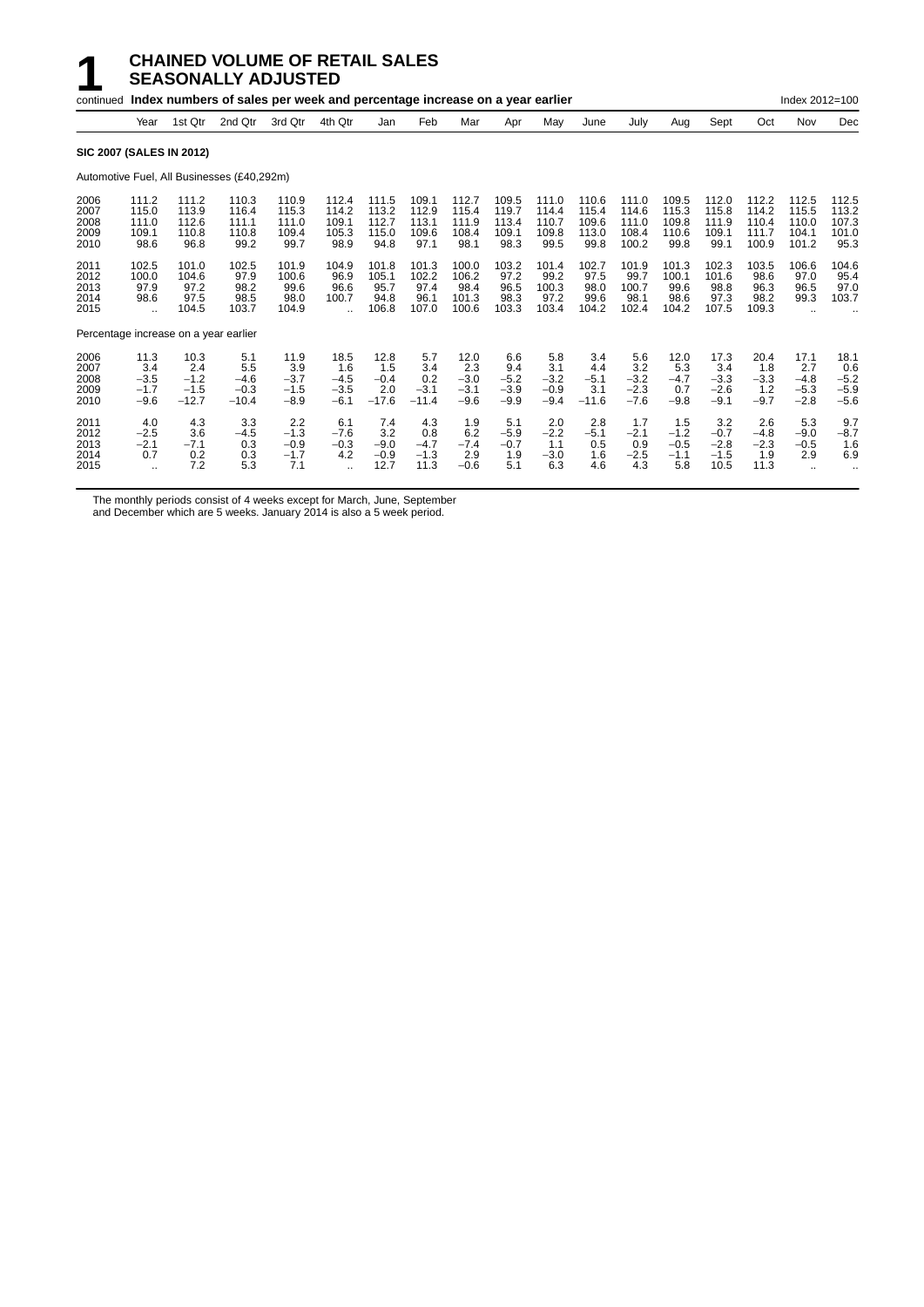#### **1 CHAINED VOLUME OF RETAIL SALES SEASONALLY ADJUSTED**

|                                       |                                                        |                                            | continued Index numbers of sales per week and percentage increase on a year earlier |                                           |                                             |                                          |                                          |                                           |                                          |                                          |                                          |                                           |                                          |                                           |                                           | Index 2012=100                            |                                           |
|---------------------------------------|--------------------------------------------------------|--------------------------------------------|-------------------------------------------------------------------------------------|-------------------------------------------|---------------------------------------------|------------------------------------------|------------------------------------------|-------------------------------------------|------------------------------------------|------------------------------------------|------------------------------------------|-------------------------------------------|------------------------------------------|-------------------------------------------|-------------------------------------------|-------------------------------------------|-------------------------------------------|
|                                       | Year                                                   | 1st Qtr                                    | 2nd Qtr                                                                             | 3rd Qtr                                   | 4th Qtr                                     | Jan                                      | Feb                                      | Mar                                       | Apr                                      | May                                      | June                                     | July                                      | Aug                                      | Sept                                      | Oct                                       | Nov                                       | Dec                                       |
| <b>SIC 2007 (SALES IN 2012)</b>       |                                                        |                                            |                                                                                     |                                           |                                             |                                          |                                          |                                           |                                          |                                          |                                          |                                           |                                          |                                           |                                           |                                           |                                           |
|                                       |                                                        |                                            | Automotive Fuel, All Businesses (£40,292m)                                          |                                           |                                             |                                          |                                          |                                           |                                          |                                          |                                          |                                           |                                          |                                           |                                           |                                           |                                           |
| 2006<br>2007<br>2008<br>2009<br>2010  | 111.2<br>115.0<br>111.0<br>109.1<br>98.6               | 111.2<br>113.9<br>112.6<br>110.8<br>96.8   | 110.3<br>116.4<br>111.1<br>110.8<br>99.2                                            | 110.9<br>115.3<br>111.0<br>109.4<br>99.7  | 112.4<br>114.2<br>109.1<br>105.3<br>98.9    | 111.5<br>113.2<br>112.7<br>115.0<br>94.8 | 109.1<br>112.9<br>113.1<br>109.6<br>97.1 | 112.7<br>115.4<br>111.9<br>108.4<br>98.1  | 109.5<br>119.7<br>113.4<br>109.1<br>98.3 | 111.0<br>114.4<br>110.7<br>109.8<br>99.5 | 110.6<br>115.4<br>109.6<br>113.0<br>99.8 | 111.0<br>114.6<br>111.0<br>108.4<br>100.2 | 109.5<br>115.3<br>109.8<br>110.6<br>99.8 | 112.0<br>115.8<br>111.9<br>109.1<br>99.1  | 112.2<br>114.2<br>110.4<br>111.7<br>100.9 | 112.5<br>115.5<br>110.0<br>104.1<br>101.2 | 112.5<br>113.2<br>107.3<br>101.0<br>95.3  |
| 2011<br>2012<br>2013<br>2014<br>2015  | 102.5<br>100.0<br>97.9<br>98.6<br>$\ddot{\phantom{a}}$ | 101.0<br>104.6<br>97.2<br>97.5<br>104.5    | 102.5<br>97.9<br>98.2<br>98.5<br>103.7                                              | 101.9<br>100.6<br>99.6<br>98.0<br>104.9   | 104.9<br>96.9<br>96.6<br>100.7              | 101.8<br>105.1<br>95.7<br>94.8<br>106.8  | 101.3<br>102.2<br>97.4<br>96.1<br>107.0  | 100.0<br>106.2<br>98.4<br>101.3<br>100.6  | 103.2<br>97.2<br>96.5<br>98.3<br>103.3   | 101.4<br>99.2<br>100.3<br>97.2<br>103.4  | 102.7<br>97.5<br>98.0<br>99.6<br>104.2   | 101.9<br>99.7<br>100.7<br>98.1<br>102.4   | 101.3<br>100.1<br>99.6<br>98.6<br>104.2  | 102.3<br>101.6<br>98.8<br>97.3<br>107.5   | 103.5<br>98.6<br>96.3<br>98.2<br>109.3    | 106.6<br>97.0<br>96.5<br>99.3             | 104.6<br>95.4<br>97.0<br>103.7            |
| Percentage increase on a year earlier |                                                        |                                            |                                                                                     |                                           |                                             |                                          |                                          |                                           |                                          |                                          |                                          |                                           |                                          |                                           |                                           |                                           |                                           |
| 2006<br>2007<br>2008<br>2009<br>2010  | 11.3<br>3.4<br>$-3.5$<br>$-1.7$<br>$-9.6$              | 10.3<br>2.4<br>$-1.2$<br>$-1.5$<br>$-12.7$ | 5.1<br>5.5<br>$-4.6$<br>$-0.3$<br>$-10.4$                                           | 11.9<br>3.9<br>$-3.7$<br>$-1.5$<br>$-8.9$ | 18.5<br>1.6<br>$-4.5$<br>$-3.5$<br>$-6.1$   | 12.8<br>1.5<br>$-0.4$<br>2.0<br>$-17.6$  | 5.7<br>3.4<br>0.2<br>$-3.1$<br>$-11.4$   | 12.0<br>2.3<br>$-3.0$<br>$-3.1$<br>$-9.6$ | 6.6<br>9.4<br>$-5.2$<br>$-3.9$<br>$-9.9$ | 5.8<br>3.1<br>$-3.2$<br>$-0.9$<br>$-9.4$ | 3.4<br>4.4<br>$-5.1$<br>3.1<br>$-11.6$   | 5.6<br>3.2<br>$-3.2$<br>$-2.3$<br>$-7.6$  | 12.0<br>5.3<br>$-4.7$<br>0.7<br>$-9.8$   | 17.3<br>3.4<br>$-3.3$<br>$-2.6$<br>$-9.1$ | 20.4<br>1.8<br>$-3.3$<br>1.2<br>$-9.7$    | 17.1<br>2.7<br>$-4.8$<br>$-5.3$<br>$-2.8$ | 18.1<br>0.6<br>$-5.2$<br>$-5.9$<br>$-5.6$ |
| 2011<br>2012<br>2013<br>2014<br>2015  | 4.0<br>$-2.5$<br>$-2.1$<br>0.7<br>$\ddotsc$            | 4.3<br>3.6<br>$-7.1$<br>0.2<br>7.2         | 3.3<br>$-4.5$<br>0.3<br>0.3<br>5.3                                                  | 2.2<br>$-1.3$<br>$-0.9$<br>$-1.7$<br>7.1  | 6.1<br>$-7.6$<br>$-0.3$<br>4.2<br>$\ddotsc$ | 7.4<br>3.2<br>$-9.0$<br>$-0.9$<br>12.7   | 4.3<br>0.8<br>$-4.7$<br>$-1.3$<br>11.3   | 1.9<br>6.2<br>$-7.4$<br>2.9<br>$-0.6$     | 5.1<br>$-5.9$<br>$-0.7$<br>1.9<br>5.1    | 2.0<br>$-2.2$<br>1.1<br>$-3.0$<br>6.3    | 2.8<br>$-5.1$<br>0.5<br>1.6<br>4.6       | 1.7<br>$-2.1$<br>0.9<br>$-2.5$<br>4.3     | 1.5<br>$-1.2$<br>$-0.5$<br>$-1.1$<br>5.8 | 3.2<br>$-0.7$<br>$-2.8$<br>$-1.5$<br>10.5 | 2.6<br>$-4.8$<br>$-2.3$<br>1.9<br>11.3    | 5.3<br>$-9.0$<br>$-0.5$<br>2.9            | 9.7<br>$-8.7$<br>1.6<br>6.9               |

The monthly periods consist of 4 weeks except for March, June, September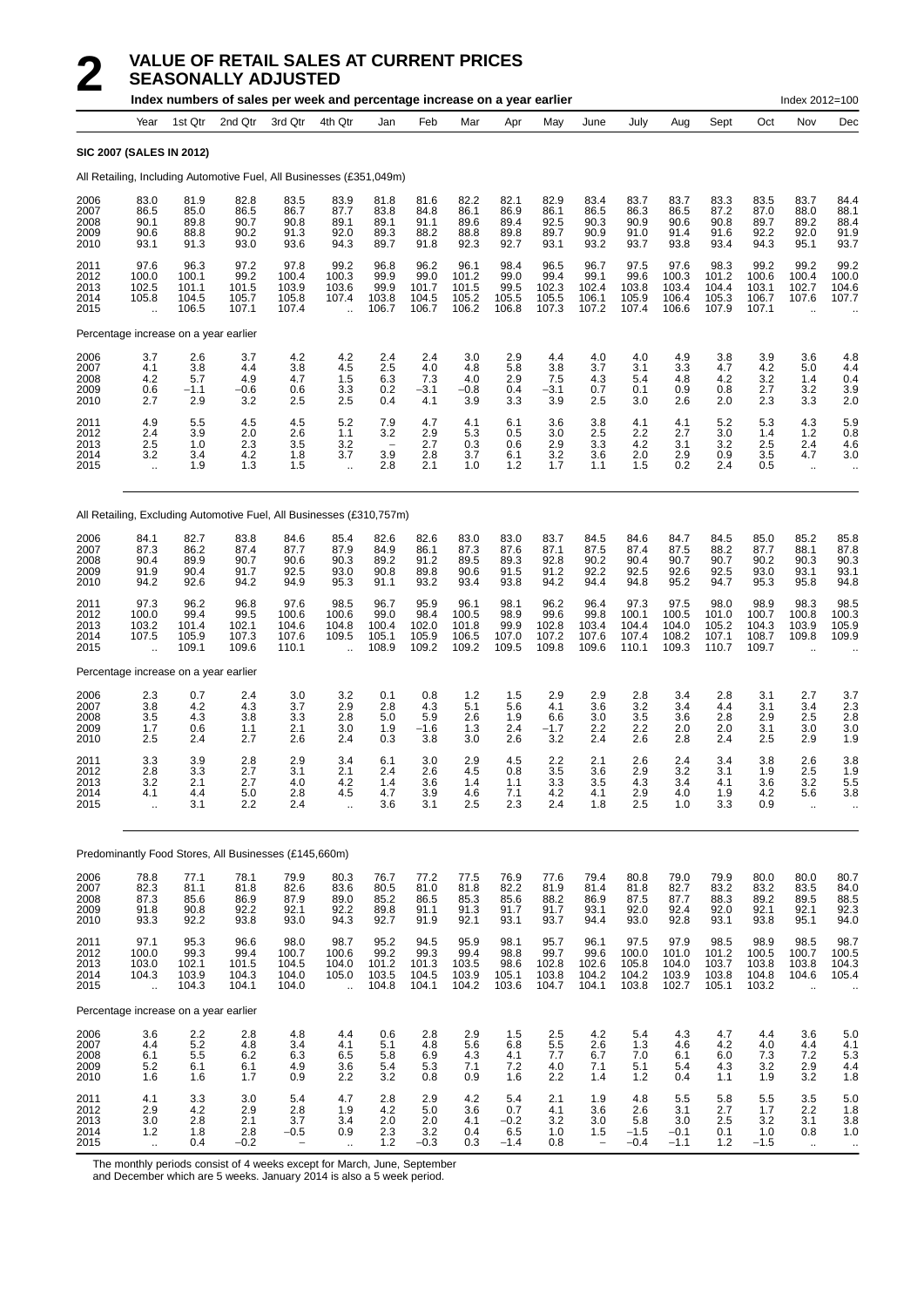|                                      |                                                                      |                                              |                                         | Index numbers of sales per week and percentage increase on a year earlier |                                                         |                                         |                                         |                                          |                                        |                                           |                                                      |                                              |                                          |                                          |                                          | Index 2012=100                                          |                                                  |
|--------------------------------------|----------------------------------------------------------------------|----------------------------------------------|-----------------------------------------|---------------------------------------------------------------------------|---------------------------------------------------------|-----------------------------------------|-----------------------------------------|------------------------------------------|----------------------------------------|-------------------------------------------|------------------------------------------------------|----------------------------------------------|------------------------------------------|------------------------------------------|------------------------------------------|---------------------------------------------------------|--------------------------------------------------|
|                                      | Year                                                                 | 1st Qtr                                      | 2nd Qtr                                 | 3rd Qtr                                                                   | 4th Qtr                                                 | Jan                                     | Feb                                     | Mar                                      | Apr                                    | May                                       | June                                                 | July                                         | Aug                                      | Sept                                     | Oct                                      | Nov                                                     | Dec                                              |
|                                      | <b>SIC 2007 (SALES IN 2012)</b>                                      |                                              |                                         |                                                                           |                                                         |                                         |                                         |                                          |                                        |                                           |                                                      |                                              |                                          |                                          |                                          |                                                         |                                                  |
|                                      | All Retailing, Including Automotive Fuel, All Businesses (£351,049m) |                                              |                                         |                                                                           |                                                         |                                         |                                         |                                          |                                        |                                           |                                                      |                                              |                                          |                                          |                                          |                                                         |                                                  |
| 2006<br>2007<br>2008<br>2009<br>2010 | 83.0<br>86.5<br>90.1<br>90.6<br>93.1                                 | 81.9<br>85.0<br>89.8<br>88.8<br>91.3         | 82.8<br>86.5<br>90.7<br>90.2<br>93.0    | 83.5<br>86.7<br>90.8<br>91.3<br>93.6                                      | 83.9<br>87.7<br>89.1<br>92.0<br>94.3                    | 81.8<br>83.8<br>89.1<br>89.3<br>89.7    | 81.6<br>84.8<br>91.1<br>88.2<br>91.8    | 82.2<br>86.1<br>89.6<br>88.8<br>92.3     | 82.1<br>86.9<br>89.4<br>89.8<br>92.7   | 82.9<br>86.1<br>92.5<br>89.7<br>93.1      | 83.4<br>86.5<br>90.3<br>90.9<br>93.2                 | 83.7<br>86.3<br>90.9<br>91.0<br>93.7         | 83.7<br>86.5<br>90.6<br>91.4<br>93.8     | 83.3<br>87.2<br>90.8<br>91.6<br>93.4     | 83.5<br>87.0<br>89.7<br>92.2<br>94.3     | 83.7<br>88.0<br>89.2<br>92.0<br>95.1                    | 84.4<br>88.1<br>88.4<br>91.9<br>93.7             |
| 2011<br>2012<br>2013<br>2014<br>2015 | 97.6<br>100.0<br>102.5<br>105.8<br>$\ddotsc$                         | 96.3<br>100.1<br>101.1<br>104.5<br>106.5     | 97.2<br>99.2<br>101.5<br>105.7<br>107.1 | 97.8<br>100.4<br>103.9<br>105.8<br>107.4                                  | 99.2<br>100.3<br>103.6<br>107.4<br>$\ddotsc$            | 96.8<br>99.9<br>99.9<br>103.8<br>106.7  | 96.2<br>99.0<br>101.7<br>104.5<br>106.7 | 96.1<br>101.2<br>101.5<br>105.2<br>106.2 | 98.4<br>99.0<br>99.5<br>105.5<br>106.8 | 96.5<br>99.4<br>102.3<br>105.5<br>107.3   | 96.7<br>99.1<br>102.4<br>106.1<br>107.2              | 97.5<br>99.6<br>103.8<br>105.9<br>107.4      | 97.6<br>100.3<br>103.4<br>106.4<br>106.6 | 98.3<br>101.2<br>104.4<br>105.3<br>107.9 | 99.2<br>100.6<br>103.1<br>106.7<br>107.1 | 99.2<br>100.4<br>102.7<br>107.6                         | 99.2<br>100.0<br>104.6<br>107.7                  |
|                                      | Percentage increase on a year earlier                                |                                              |                                         |                                                                           |                                                         |                                         |                                         |                                          |                                        |                                           |                                                      |                                              |                                          |                                          |                                          |                                                         |                                                  |
| 2006<br>2007<br>2008<br>2009<br>2010 | 3.7<br>4.1<br>4.2<br>0.6<br>2.7                                      | 2.6<br>3.8<br>5.7<br>$-1.1$<br>2.9           | 3.7<br>4.4<br>4.9<br>$-0.6$<br>3.2      | 4.2<br>3.8<br>4.7<br>0.6<br>2.5                                           | 4.2<br>4.5<br>1.5<br>3.3<br>2.5                         | 2.4<br>2.5<br>6.3<br>0.2<br>0.4         | 2.4<br>4.0<br>7.3<br>$-3.1$<br>4.1      | 3.0<br>4.8<br>4.0<br>$-0.8$<br>3.9       | 2.9<br>5.8<br>2.9<br>0.4<br>3.3        | 4.4<br>3.8<br>7.5<br>-3.1<br>3.9          | 4.0<br>3.7<br>4.3<br>0.7<br>2.5                      | 4.0<br>3.1<br>5.4<br>0.1<br>3.0              | 4.9<br>3.3<br>4.8<br>0.9<br>2.6          | 3.8<br>4.7<br>4.2<br>0.8<br>2.0          | 3.9<br>4.2<br>3.2<br>2.7<br>2.3          | 3.6<br>5.0<br>1.4<br>3.2<br>3.3                         | 4.8<br>4.4<br>0.4<br>3.9<br>2.0                  |
| 2011<br>2012<br>2013<br>2014<br>2015 | 4.9<br>2.4<br>2.5<br>3.2<br>÷.                                       | 5.5<br>3.9<br>1.0<br>3.4<br>1.9              | 4.5<br>2.0<br>2.3<br>4.2<br>1.3         | 4.5<br>2.6<br>3.5<br>1.8<br>1.5                                           | 5.2<br>1.1<br>3.2<br>3.7<br>$\ddotsc$                   | 7.9<br>3.2<br>3.9<br>2.8                | 4.7<br>2.9<br>2.7<br>2.8<br>2.1         | 4.1<br>5.3<br>0.3<br>3.7<br>1.0          | 6.1<br>0.5<br>0.6<br>6.1<br>1.2        | 3.6<br>3.0<br>2.9<br>3.2<br>1.7           | 3.8<br>2.5<br>3.3<br>3.6<br>1.1                      | 4.1<br>2.2<br>4.2<br>2.0<br>1.5              | 4.1<br>2.7<br>3.1<br>2.9<br>0.2          | 5.2<br>3.0<br>3.2<br>0.9<br>2.4          | 5.3<br>1.4<br>2.5<br>3.5<br>0.5          | 4.3<br>$1.2$<br>2.4<br>4.7<br>$\cdot$ .                 | 5.9<br>0.8<br>4.6<br>3.0<br>$\ddot{\phantom{0}}$ |
|                                      | All Retailing, Excluding Automotive Fuel, All Businesses (£310,757m) |                                              |                                         |                                                                           |                                                         |                                         |                                         |                                          |                                        |                                           |                                                      |                                              |                                          |                                          |                                          |                                                         |                                                  |
| 2006<br>2007<br>2008<br>2009<br>2010 | 84.1<br>87.3<br>90.4<br>91.9<br>94.2                                 | 82.7<br>86.2<br>89.9<br>90.4<br>92.6         | 83.8<br>87.4<br>90.7<br>91.7<br>94.2    | 84.6<br>87.7<br>90.6<br>92.5<br>94.9                                      | 85.4<br>87.9<br>90.3<br>93.0<br>95.3                    | 82.6<br>84.9<br>89.2<br>90.8<br>91.1    | 82.6<br>86.1<br>91.2<br>89.8<br>93.2    | 83.0<br>87.3<br>89.5<br>90.6<br>93.4     | 83.0<br>87.6<br>89.3<br>91.5<br>93.8   | 83.7<br>87.1<br>92.8<br>91.2<br>94.2      | 84.5<br>87.5<br>90.2<br>92.2<br>94.4                 | 84.6<br>87.4<br>90.4<br>92.5<br>94.8         | 84.7<br>87.5<br>90.7<br>92.6<br>95.2     | 84.5<br>88.2<br>90.7<br>92.5<br>94.7     | 85.0<br>87.7<br>90.2<br>93.0<br>95.3     | 85.2<br>88.1<br>90.3<br>93.1<br>95.8                    | 85.8<br>87.8<br>90.3<br>93.1<br>94.8             |
| 2011<br>2012<br>2013<br>2014<br>2015 | 97.3<br>100.0<br>103.2<br>107.5                                      | 96.2<br>99.4<br>101.4<br>105.9<br>109.1      | 96.8<br>99.5<br>102.1<br>107.3<br>109.6 | 97.6<br>100.6<br>104.6<br>107.6<br>110.1                                  | 98.5<br>100.6<br>104.8<br>109.5<br>$\ddot{\phantom{a}}$ | 96.7<br>99.0<br>100.4<br>105.1<br>108.9 | 95.9<br>98.4<br>102.0<br>105.9<br>109.2 | 96.1<br>100.5<br>101.8<br>106.5<br>109.2 | 98.1<br>98.9<br>99.9<br>107.0<br>109.5 | 96.2<br>99.6<br>102.8<br>107.2<br>109.8   | 96.4<br>99.8<br>103.4<br>107.6<br>109.6              | 97.3<br>100.1<br>104.4<br>107.4<br>110.1     | 97.5<br>100.5<br>104.0<br>108.2<br>109.3 | 98.0<br>101.0<br>105.2<br>107.1<br>110.7 | 98.9<br>100.7<br>104.3<br>108.7<br>109.7 | 98.3<br>100.8<br>103.9<br>109.8<br>$\ddot{\phantom{a}}$ | 98.5<br>100.3<br>105.9<br>109.9                  |
|                                      | Percentage increase on a year earlier                                |                                              |                                         |                                                                           |                                                         |                                         |                                         |                                          |                                        |                                           |                                                      |                                              |                                          |                                          |                                          |                                                         |                                                  |
| 2006<br>2007<br>2008<br>2009<br>2010 | $\frac{2.3}{3.8}$<br>3.5<br>1.7<br>2.5                               | 0.7<br>4.2<br>4.3<br>0.6<br>2.4              | 2.4<br>4.3<br>3.8<br>1.1<br>2.7         | 3.0<br>3.7<br>3.3<br>2.1<br>2.6                                           | 3.2<br>2.9<br>2.8<br>3.0<br>2.4                         | 0.1<br>2.8<br>5.0<br>1.9<br>0.3         | 0.8<br>4.3<br>5.9<br>$-1.6$<br>3.8      | 1.2<br>5.1<br>2.6<br>1.3<br>3.0          | 1.5<br>5.6<br>1.9<br>2.4<br>2.6        | 2.9<br>4.1<br>6.6<br>$-1.7$<br>3.2        | 2.9<br>3.6<br>3.0<br>2.2<br>2.4                      | 2.8<br>3.2<br>3.5<br>2.2<br>2.6              | 3.4<br>3.4<br>3.6<br>2.0<br>2.8          | 2.8<br>4.4<br>2.8<br>2.0<br>2.4          | 3.1<br>3.1<br>2.9<br>3.1<br>2.5          | 2.7<br>3.4<br>2.5<br>3.0<br>2.9                         | 3.7<br>2.3<br>2.8<br>3.0<br>1.9                  |
| 2011<br>2012<br>2013<br>2014<br>2015 | 3.3<br>2.8<br>3.2<br>4.1<br>$\ddot{\phantom{a}}$                     | 3.9<br>3.3<br>2.1<br>4.4<br>3.1              | 2.8<br>2.7<br>2.7<br>5.0<br>2.2         | 2.9<br>3.1<br>4.0<br>2.8<br>2.4                                           | 3.4<br>2.1<br>4.2<br>4.5<br>$\ddot{\phantom{a}}$        | 6.1<br>2.4<br>1.4<br>4.7<br>3.6         | 3.0<br>2.6<br>3.6<br>3.9<br>3.1         | 2.9<br>4.5<br>1.4<br>4.6<br>2.5          | 4.5<br>0.8<br>1.1<br>7.1<br>2.3        | 2.2<br>3.5<br>3.3<br>4.2<br>2.4           | 2.1<br>3.6<br>3.5<br>4.1<br>1.8                      | 2.6<br>2.9<br>4.3<br>2.9<br>2.5              | 2.4<br>3.2<br>3.4<br>4.0<br>1.0          | 3.4<br>3.1<br>4.1<br>1.9<br>3.3          | 3.8<br>1.9<br>3.6<br>4.2<br>0.9          | 2.6<br>2.5<br>3.2<br>5.6<br>ä.                          | 3.8<br>1.9<br>5.5<br>3.8                         |
|                                      | Predominantly Food Stores, All Businesses (£145,660m)                |                                              |                                         |                                                                           |                                                         |                                         |                                         |                                          |                                        |                                           |                                                      |                                              |                                          |                                          |                                          |                                                         |                                                  |
| 2006<br>2007<br>2008<br>2009<br>2010 | 78.8<br>82.3<br>87.3<br>91.8<br>93.3                                 | 77.1<br>81.1<br>85.6<br>90.8<br>92.2         | 78.1<br>81.8<br>86.9<br>92.2<br>93.8    | 79.9<br>82.6<br>87.9<br>92.1<br>93.0                                      | 80.3<br>83.6<br>89.0<br>92.2<br>94.3                    | 76.7<br>80.5<br>85.2<br>89.8<br>92.7    | 77.2<br>81.0<br>86.5<br>91.1<br>91.9    | 77.5<br>81.8<br>85.3<br>91.3<br>92.1     | 76.9<br>82.2<br>85.6<br>91.7<br>93.1   | 77.6<br>81.9<br>88.2<br>91.7<br>93.7      | 79.4<br>81.4<br>86.9<br>93.1<br>94.4                 | 80.8<br>81.8<br>87.5<br>92.0<br>93.0         | 79.0<br>82.7<br>87.7<br>92.4<br>92.8     | 79.9<br>83.2<br>88.3<br>92.0<br>93.1     | 80.0<br>83.2<br>89.2<br>92.1<br>93.8     | 80.0<br>83.5<br>89.5<br>92.1<br>95.1                    | 80.7<br>84.0<br>88.5<br>92.3<br>94.0             |
| 2011<br>2012<br>2013<br>2014<br>2015 | 97.1<br>100.0<br>103.0<br>104.3<br>$\ddotsc$                         | 95.3<br>99.3<br>102.1<br>103.9<br>104.3      | 96.6<br>99.4<br>101.5<br>104.3<br>104.1 | 98.0<br>100.7<br>104.5<br>104.0<br>104.0                                  | 98.7<br>100.6<br>104.0<br>105.0<br>$\ddotsc$            | 95.2<br>99.2<br>101.2<br>103.5<br>104.8 | 94.5<br>99.3<br>101.3<br>104.5<br>104.1 | 95.9<br>99.4<br>103.5<br>103.9<br>104.2  | 98.1<br>98.8<br>98.6<br>105.1<br>103.6 | 95.7<br>$99.7$<br>102.8<br>103.8<br>104.7 | 96.1<br>99.6<br>102.6<br>104.2<br>104.1              | 97.5<br>$100.0$<br>$105.8$<br>104.2<br>103.8 | 97.9<br>101.0<br>104.0<br>103.9<br>102.7 | 98.5<br>101.2<br>103.7<br>103.8<br>105.1 | 98.9<br>100.5<br>103.8<br>104.8<br>103.2 | 98.5<br>100.7<br>103.8<br>104.6<br>ä,                   | 98.7<br>100.5<br>104.3<br>105.4                  |
|                                      | Percentage increase on a year earlier                                |                                              |                                         |                                                                           |                                                         |                                         |                                         |                                          |                                        |                                           |                                                      |                                              |                                          |                                          |                                          |                                                         |                                                  |
| 2006<br>2007<br>2008<br>2009<br>2010 | 3.6<br>4.4<br>6.1<br>5.2<br>1.6                                      | 2.2<br>5.2<br>5.5<br>6.1<br>1.6              | 2.8<br>4.8<br>6.2<br>6.1<br>1.7         | 4.8<br>3.4<br>$6.3$<br>$4.9$<br>0.9                                       | 4.4<br>4.1<br>6.5<br>3.6<br>2.2                         | 0.6<br>5.1<br>5.8<br>5.4<br>3.2         | 2.8<br>4.8<br>6.9<br>5.3<br>0.8         | 2.9<br>5.6<br>4.3<br>7.1<br>0.9          | 1.5<br>6.8<br>4.1<br>7.2<br>1.6        | 2.5<br>5.5<br>7.7<br>4.0<br>2.2           | 4.2<br>2.6<br>6.7<br>7.1<br>1.4                      | 5.4<br>1.3<br>7.0<br>5.1<br>1.2              | 4.3<br>4.6<br>6.1<br>5.4<br>0.4          | 4.7<br>4.2<br>6.0<br>4.3<br>1.1          | 4.4<br>4.0<br>7.3<br>3.2<br>1.9          | 3.6<br>4.4<br>7.2<br>2.9<br>3.2                         | 5.0<br>4.1<br>5.3<br>4.4<br>1.8                  |
| 2011<br>2012<br>2013<br>2014<br>2015 | 4.1<br>2.9<br>$\frac{3.0}{1.2}$<br>$\bar{\mathbf{a}}$                | 3.3<br>4.2<br>2.8<br>$\overline{1.8}$<br>0.4 | 3.0<br>2.9<br>2.1<br>2.8<br>$-0.2$      | 5.4<br>2.8<br>3.7<br>$-0.5$                                               | 4.7<br>1.9<br>3.4<br>0.9<br>$\ddot{\phantom{a}}$        | 2.8<br>4.2<br>$^{2.0}_{2.3}$<br>1.2     | 2.9<br>5.0<br>2.0<br>3.2<br>$-0.3$      | 4.2<br>3.6<br>4.1<br>0.4<br>0.3          | 5.4<br>0.7<br>$-0.2$<br>6.5<br>$-1.4$  | 2.1<br>4.1<br>3.2<br>1.0<br>0.8           | 1.9<br>3.6<br>3.0<br>1.5<br>$\overline{\phantom{a}}$ | 4.8<br>2.6<br>5.8<br>$-1.5$<br>$-0.4$        | 5.5<br>3.1<br>3.0<br>$-0.1$<br>$-1.1$    | 5.8<br>2.7<br>2.5<br>0.1<br>1.2          | 5.5<br>1.7<br>3.2<br>1.0<br>$-1.5$       | 3.5<br>2.2<br>3.1<br>0.8<br>$\mathcal{L}_{\mathcal{A}}$ | 5.0<br>1.8<br>$3.8$<br>$1.0$<br>$\ddotsc$        |

The monthly periods consist of 4 weeks except for March, June, September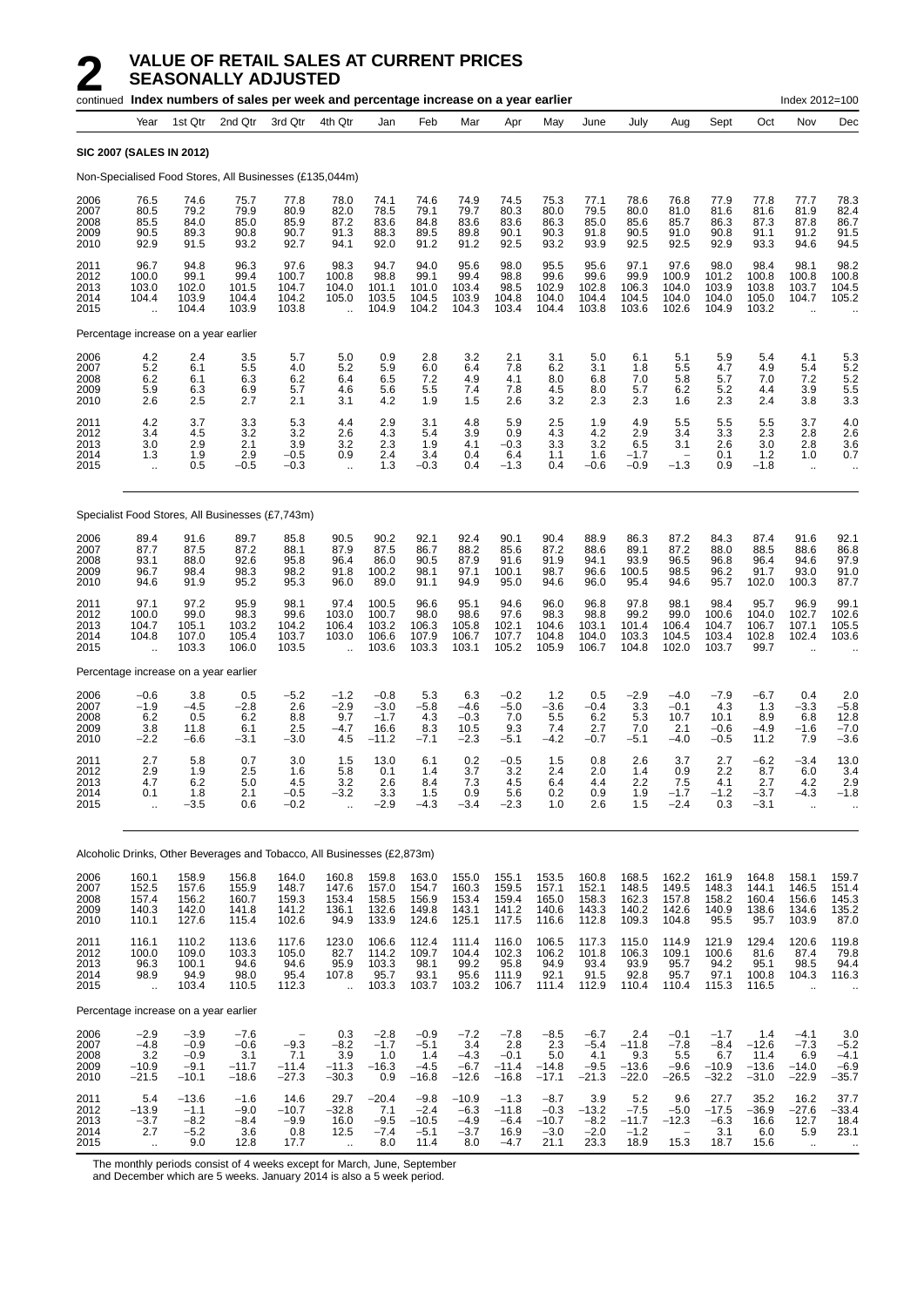|                                      |                                                        |                                                 | continued Index numbers of sales per week and percentage increase on a year earlier |                                           |                                                   |                                             |                                               |                                              |                                               |                                               |                                              |                                            |                                              |                                               |                                              | Index 2012=100                                       |                                                         |
|--------------------------------------|--------------------------------------------------------|-------------------------------------------------|-------------------------------------------------------------------------------------|-------------------------------------------|---------------------------------------------------|---------------------------------------------|-----------------------------------------------|----------------------------------------------|-----------------------------------------------|-----------------------------------------------|----------------------------------------------|--------------------------------------------|----------------------------------------------|-----------------------------------------------|----------------------------------------------|------------------------------------------------------|---------------------------------------------------------|
|                                      | Year                                                   | 1st Qtr                                         | 2nd Qtr                                                                             | 3rd Qtr                                   | 4th Qtr                                           | Jan                                         | Feb                                           | Mar                                          | Apr                                           | May                                           | June                                         | July                                       | Aug                                          | Sept                                          | Oct                                          | Nov                                                  | Dec                                                     |
|                                      | <b>SIC 2007 (SALES IN 2012)</b>                        |                                                 |                                                                                     |                                           |                                                   |                                             |                                               |                                              |                                               |                                               |                                              |                                            |                                              |                                               |                                              |                                                      |                                                         |
|                                      |                                                        |                                                 | Non-Specialised Food Stores, All Businesses (£135,044m)                             |                                           |                                                   |                                             |                                               |                                              |                                               |                                               |                                              |                                            |                                              |                                               |                                              |                                                      |                                                         |
| 2006<br>2007<br>2008<br>2009<br>2010 | 76.5<br>80.5<br>85.5<br>90.5<br>92.9                   | 74.6<br>79.2<br>84.0<br>89.3<br>91.5            | 75.7<br>79.9<br>85.0<br>90.8<br>93.2                                                | 77.8<br>80.9<br>85.9<br>90.7<br>92.7      | 78.0<br>82.0<br>87.2<br>91.3<br>94.1              | 74.1<br>78.5<br>83.6<br>88.3<br>92.0        | 74.6<br>79.1<br>84.8<br>89.5<br>91.2          | 74.9<br>79.7<br>83.6<br>89.8<br>91.2         | 74.5<br>80.3<br>83.6<br>90.1<br>92.5          | 75.3<br>80.0<br>86.3<br>90.3<br>93.2          | 77.1<br>79.5<br>85.0<br>91.8<br>93.9         | 78.6<br>80.0<br>85.6<br>90.5<br>92.5       | 76.8<br>81.0<br>85.7<br>91.0<br>92.5         | 77.9<br>81.6<br>86.3<br>90.8<br>92.9          | 77.8<br>81.6<br>87.3<br>91.1<br>93.3         | 77.7<br>81.9<br>87.8<br>91.2<br>94.6                 | 78.3<br>82.4<br>86.7<br>91.5<br>94.5                    |
| 2011<br>2012<br>2013<br>2014<br>2015 | 96.7<br>100.0<br>103.0<br>104.4                        | 94.8<br>99.1<br>102.0<br>103.9<br>104.4         | 96.3<br>99.4<br>101.5<br>104.4<br>103.9                                             | 97.6<br>100.7<br>104.7<br>104.2<br>103.8  | 98.3<br>100.8<br>104.0<br>105.0                   | 94.7<br>98.8<br>101.1<br>103.5<br>104.9     | 94.0<br>99.1<br>101.0<br>104.5<br>104.2       | 95.6<br>99.4<br>103.4<br>103.9<br>104.3      | 98.0<br>98.8<br>98.5<br>104.8<br>103.4        | 95.5<br>99.6<br>102.9<br>104.0<br>104.4       | 95.6<br>99.6<br>102.8<br>104.4<br>103.8      | 97.1<br>99.9<br>106.3<br>104.5<br>103.6    | 97.6<br>100.9<br>104.0<br>104.0<br>102.6     | 98.0<br>101.2<br>103.9<br>104.0<br>104.9      | 98.4<br>100.8<br>103.8<br>105.0<br>103.2     | 98.1<br>100.8<br>103.7<br>104.7                      | 98.2<br>100.8<br>104.5<br>105.2                         |
|                                      | Percentage increase on a year earlier                  |                                                 |                                                                                     |                                           |                                                   |                                             |                                               |                                              |                                               |                                               |                                              |                                            |                                              |                                               |                                              |                                                      |                                                         |
| 2006<br>2007<br>2008<br>2009<br>2010 | 4.2<br>5.2<br>6.2<br>5.9<br>2.6                        | 2.4<br>6.1<br>6.1<br>6.3<br>2.5                 | 3.5<br>5.5<br>6.3<br>6.9<br>2.7                                                     | 5.7<br>4.0<br>6.2<br>5.7<br>2.1           | 5.0<br>5.2<br>6.4<br>4.6<br>3.1                   | 0.9<br>5.9<br>6.5<br>5.6<br>4.2             | 2.8<br>6.0<br>7.2<br>5.5<br>1.9               | 3.2<br>6.4<br>4.9<br>7.4<br>1.5              | 2.1<br>7.8<br>4.1<br>7.8<br>2.6               | 3.1<br>6.2<br>8.0<br>4.5<br>3.2               | 5.0<br>3.1<br>6.8<br>8.0<br>2.3              | 6.1<br>1.8<br>7.0<br>5.7<br>2.3            | 5.1<br>5.5<br>5.8<br>6.2<br>1.6              | 5.9<br>4.7<br>5.7<br>5.2<br>2.3               | 5.4<br>4.9<br>7.0<br>4.4<br>2.4              | 4.1<br>5.4<br>7.2<br>3.9<br>3.8                      | 5.3<br>$\frac{5.2}{5.2}$<br>5.5<br>3.3                  |
| 2011<br>2012<br>2013<br>2014<br>2015 | 4.2<br>3.4<br>3.0<br>1.3<br>$\ddotsc$                  | 3.7<br>4.5<br>2.9<br>1.9<br>0.5                 | 3.3<br>3.2<br>2.1<br>2.9<br>$-0.5$                                                  | 5.3<br>3.2<br>3.9<br>$-0.5$<br>$-0.3$     | 4.4<br>2.6<br>3.2<br>0.9<br>$\ddot{\phantom{a}}$  | 2.9<br>4.3<br>2.3<br>2.4<br>1.3             | 3.1<br>5.4<br>1.9<br>3.4<br>$-0.3$            | 4.8<br>3.9<br>4.1<br>0.4<br>0.4              | 5.9<br>0.9<br>$-0.3$<br>6.4<br>$-1.3$         | 2.5<br>4.3<br>3.3<br>1.1<br>0.4               | 1.9<br>4.2<br>3.2<br>1.6<br>$-0.6$           | 4.9<br>2.9<br>6.5<br>$-1.7$<br>$-0.9$      | 5.5<br>3.4<br>3.1<br>$-1.3$                  | 5.5<br>3.3<br>2.6<br>0.1<br>0.9               | 5.5<br>2.3<br>3.0<br>1.2<br>$-1.8$           | 3.7<br>2.8<br>2.8<br>1.0<br>$\mathbf{r}$ .           | 4.0<br>2.6<br>3.6<br>0.7<br>$\ddotsc$                   |
|                                      |                                                        |                                                 | Specialist Food Stores, All Businesses (£7,743m)                                    |                                           |                                                   |                                             |                                               |                                              |                                               |                                               |                                              |                                            |                                              |                                               |                                              |                                                      |                                                         |
| 2006<br>2007<br>2008<br>2009<br>2010 | 89.4<br>87.7<br>93.1<br>96.7<br>94.6                   | 91.6<br>87.5<br>88.0<br>98.4<br>91.9            | 89.7<br>87.2<br>92.6<br>98.3<br>95.2                                                | 85.8<br>88.1<br>95.8<br>98.2<br>95.3      | 90.5<br>87.9<br>96.4<br>91.8<br>96.0              | 90.2<br>87.5<br>86.0<br>100.2<br>89.0       | 92.1<br>86.7<br>90.5<br>98.1<br>91.1          | 92.4<br>88.2<br>87.9<br>97.1<br>94.9         | 90.1<br>85.6<br>91.6<br>100.1<br>95.0         | 90.4<br>87.2<br>91.9<br>98.7<br>94.6          | 88.9<br>88.6<br>94.1<br>96.6<br>96.0         | 86.3<br>89.1<br>93.9<br>100.5<br>95.4      | 87.2<br>87.2<br>96.5<br>98.5<br>94.6         | 84.3<br>88.0<br>96.8<br>96.2<br>95.7          | 87.4<br>88.5<br>96.4<br>91.7<br>102.0        | 91.6<br>88.6<br>94.6<br>93.0<br>100.3                | 92.1<br>86.8<br>97.9<br>91.0<br>87.7                    |
| 2011<br>2012<br>2013<br>2014<br>2015 | 97.1<br>100.0<br>104.7<br>104.8                        | 97.2<br>99.0<br>105.1<br>107.0<br>103.3         | 95.9<br>98.3<br>103.2<br>105.4<br>106.0                                             | 98.1<br>99.6<br>104.2<br>103.7<br>103.5   | 97.4<br>103.0<br>106.4<br>103.0                   | 100.5<br>100.7<br>103.2<br>106.6<br>103.6   | 96.6<br>98.0<br>106.3<br>107.9<br>103.3       | 95.1<br>98.6<br>105.8<br>106.7<br>103.1      | 94.6<br>97.6<br>102.1<br>107.7<br>105.2       | 96.0<br>98.3<br>104.6<br>104.8<br>105.9       | 96.8<br>98.8<br>103.1<br>104.0<br>106.7      | 97.8<br>99.2<br>101.4<br>103.3<br>104.8    | 98.1<br>99.0<br>106.4<br>104.5<br>102.0      | 98.4<br>100.6<br>104.7<br>103.4<br>103.7      | 95.7<br>104.0<br>106.7<br>102.8<br>99.7      | 96.9<br>102.7<br>107.1<br>102.4                      | 99.1<br>102.6<br>105.5<br>103.6                         |
|                                      | Percentage increase on a year earlier                  |                                                 |                                                                                     |                                           |                                                   |                                             |                                               |                                              |                                               |                                               |                                              |                                            |                                              |                                               |                                              |                                                      |                                                         |
| 2006<br>2007<br>2008<br>2009<br>2010 | $-0.6$<br>$-1.9$<br>6.2<br>3.8<br>$-2.2$               | 3.8<br>$-4.5$<br>0.5<br>11.8<br>-6.6            | 0.5<br>$-2.8$<br>6.2<br>6.1<br>$-3.1$                                               | $-5.2$<br>2.6<br>8.8<br>2.5<br>-3.0       | $-1.2$<br>$-2.9$<br>9.7<br>$-4.7$<br>4.5          | $-0.8$<br>$-3.0$<br>$-1.7$<br>16.6<br>–11.2 | 5.3<br>$-5.8$<br>4.3<br>8.3<br>$-7.1$         | 6.3<br>$-4.6$<br>$-0.3$<br>10.5<br>-2.3      | $-0.2$<br>$-5.0$<br>7.0<br>9.3<br>$-5.1$      | 1.2<br>$-3.6$<br>5.5<br>7.4<br>$-4.2$         | 0.5<br>$-0.4$<br>6.2<br>2.7<br>$-0.7$        | $-2.9$<br>3.3<br>5.3<br>7.0<br>$-5.1$      | $-4.0$<br>$-0.1$<br>10.7<br>2.1<br>-4.0      | $-7.9$<br>4.3<br>10.1<br>$-0.6$<br>$-0.5$     | -6.7<br>1.3<br>8.9<br>$-4.9$<br>11.2         | 0.4<br>$-3.3$<br>6.8<br>$-1.6$<br>7.9                | 2.0<br>$-5.8$<br>12.8<br>$-7.0$<br>$-3.6$               |
| 2011<br>2012<br>2013<br>2014<br>2015 | 2.7<br>2.9<br>4.7<br>0.1<br>$\ddot{\phantom{a}}$       | 5.8<br>1.9<br>6.2<br>1.8<br>$-3.5$              | 0.7<br>2.5<br>5.0<br>2.1<br>0.6                                                     | 3.0<br>1.6<br>4.5<br>$-0.5$<br>$-0.2$     | 1.5<br>5.8<br>3.2<br>-3.2<br>$\ddot{\phantom{a}}$ | 13.0<br>0.1<br>2.6<br>3.3<br>$-2.9$         | 6.1<br>1.4<br>8.4<br>1.5<br>$-4.3$            | 0.2<br>3.7<br>7.3<br>0.9<br>$-3.4$           | $-0.5$<br>3.2<br>4.5<br>5.6<br>$-2.3$         | 1.5<br>2.4<br>6.4<br>0.2<br>1.0               | 0.8<br>2.0<br>4.4<br>0.9<br>2.6              | 2.6<br>1.4<br>2.2<br>1.9<br>1.5            | 3.7<br>0.9<br>7.5<br>$-1.7$<br>$-2.4$        | 2.7<br>2.2<br>4.1<br>$-1.2$<br>0.3            | $-6.2$<br>8.7<br>2.7<br>$-3.7$<br>$-3.1$     | $-3.4$<br>6.0<br>4.2<br>$-4.3$<br>$\bar{\mathbf{r}}$ | 13.0<br>3.4<br>2.9<br>$-1.8$                            |
|                                      |                                                        |                                                 | Alcoholic Drinks, Other Beverages and Tobacco, All Businesses (£2,873m)             |                                           |                                                   |                                             |                                               |                                              |                                               |                                               |                                              |                                            |                                              |                                               |                                              |                                                      |                                                         |
| 2006<br>2007<br>2008<br>2009<br>2010 | 160.1<br>152.5<br>157.4<br>140.3<br>110.1              | 158.9<br>157.6<br>156.2<br>142.0<br>127.6       | 156.8<br>155.9<br>160.7<br>141.8<br>115.4                                           | 164.0<br>148.7<br>159.3<br>141.2<br>102.6 | 160.8<br>147.6<br>153.4<br>136.1<br>94.9          | 159.8<br>157.0<br>158.5<br>132.6<br>133.9   | 163.0<br>154.7<br>156.9<br>149.8<br>124.6     | 155.0<br>160.3<br>153.4<br>143.1<br>125.1    | 155.1<br>159.5<br>159.4<br>141.2<br>117.5     | 153.5<br>157.1<br>165.0<br>140.6<br>116.6     | 160.8<br>152.1<br>158.3<br>143.3<br>112.8    | 168.5<br>148.5<br>162.3<br>140.2<br>109.3  | 162.2<br>149.5<br>157.8<br>142.6<br>104.8    | 161.9<br>148.3<br>158.2<br>140.9<br>95.5      | 164.8<br>144.1<br>160.4<br>138.6<br>95.7     | 158.1<br>146.5<br>156.6<br>134.6<br>103.9            | 159.7<br>151.4<br>$145.3$<br>$135.2$<br>87.0            |
| 2011<br>2012<br>2013<br>2014<br>2015 | 116.1<br>100.0<br>96.3<br>98.9<br>$\ddot{\phantom{a}}$ | 110.2<br>109.0<br>100.1<br>94.9<br>103.4        | 113.6<br>103.3<br>94.6<br>98.0<br>110.5                                             | 117.6<br>105.0<br>94.6<br>95.4<br>112.3   | 123.0<br>82.7<br>95.9<br>107.8<br>$\ddotsc$       | 106.6<br>114.2<br>103.3<br>95.7<br>103.3    | 112.4<br>109.7<br>98.1<br>93.1<br>103.7       | 111.4<br>104.4<br>99.2<br>95.6<br>103.2      | 116.0<br>102.3<br>95.8<br>111.9<br>106.7      | 106.5<br>106.2<br>94.9<br>92.1<br>111.4       | 117.3<br>101.8<br>93.4<br>91.5<br>112.9      | 115.0<br>106.3<br>93.9<br>92.8<br>110.4    | 114.9<br>109.1<br>95.7<br>95.7<br>110.4      | 121.9<br>100.6<br>94.2<br>97.1<br>115.3       | 129.4<br>81.6<br>95.1<br>100.8<br>116.5      | 120.6<br>87.4<br>98.5<br>104.3<br>$\cdot$ .          | 119.8<br>79.8<br>94.4<br>116.3                          |
|                                      | Percentage increase on a year earlier                  |                                                 |                                                                                     |                                           |                                                   |                                             |                                               |                                              |                                               |                                               |                                              |                                            |                                              |                                               |                                              |                                                      |                                                         |
| 2006<br>2007<br>2008<br>2009<br>2010 | $-2.9$<br>$-4.8$<br>3.2<br>$-10.9$<br>$-21.5$          | $-3.9$<br>$-0.9$<br>$-0.9$<br>$-9.1$<br>$-10.1$ | $-7.6$<br>$-0.6$<br>3.1<br>$-11.7$<br>$-18.6$                                       | $-9.3$<br>7.1<br>$-11.4$<br>$-27.3$       | 0.3<br>$-8.2$<br>3.9<br>$-11.3$<br>$-30.3$        | $-2.8$<br>$-1.7$<br>1.0<br>$-16.3$<br>0.9   | $-0.9$<br>$-5.1$<br>1.4<br>$-4.5$<br>$-16.8$  | $-7.2$<br>3.4<br>$-4.3$<br>$-6.7$<br>$-12.6$ | $-7.8$<br>2.8<br>$-0.1$<br>$-11.4$<br>$-16.8$ | $-8.5$<br>2.3<br>5.0<br>$-14.8$<br>$-17.1$    | $-6.7$<br>$-5.4$<br>4.1<br>$-9.5$<br>$-21.3$ | 2.4<br>$-11.8$<br>93<br>$-13.6$<br>$-22.0$ | $-0.1$<br>$-7.8$<br>5.5<br>$-9.6$<br>$-26.5$ | $-1.7$<br>$-8.4$<br>6.7<br>$-10.9$<br>$-32.2$ | 1.4<br>$-12.6$<br>11.4<br>$-13.6$<br>$-31.0$ | $-4.1$<br>$-7.3$<br>6.9<br>$-14.0$<br>$-22.9$        | 3.0<br>$-5.2$<br>$-4.1$<br>$-6.9$<br>$-35.7$            |
| 2011<br>2012<br>2013<br>2014<br>2015 | 5.4<br>$-13.9$<br>$-3.7$<br>2.7<br>Ġ.                  | $-13.6$<br>$-1.1$<br>$-8.2$<br>$-5.2$<br>9.0    | $-1.6$<br>$-9.0$<br>$-8.4$<br>3.6<br>12.8                                           | 14.6<br>$-10.7$<br>$-9.9$<br>0.8<br>17.7  | 29.7<br>$-32.8$<br>16.0<br>12.5<br>$\ddotsc$      | $-20.4$<br>7.1<br>$-9.5$<br>$-7.4$<br>8.0   | $-9.8$<br>$-2.4$<br>$-10.5$<br>$-5.1$<br>11.4 | $-10.9$<br>$-6.3$<br>$-4.9$<br>$-3.7$<br>8.0 | $-1.3$<br>$-11.8$<br>$-6.4$<br>16.9<br>$-4.7$ | $-8.7$<br>$-0.3$<br>$-10.7$<br>$-3.0$<br>21.1 | 3.9<br>$-13.2$<br>$-8.2$<br>$-2.0$<br>23.3   | 5.2<br>$-7.5$<br>$-11.7$<br>$-1.2$<br>18.9 | 9.6<br>$-5.0$<br>$-12.3$<br>15.3             | 27.7<br>$-17.5$<br>$-6.3$<br>3.1<br>18.7      | 35.2<br>$-36.9$<br>16.6<br>6.0<br>15.6       | 16.2<br>$-27.6$<br>12.7<br>5.9<br>$\ddotsc$          | 37.7<br>$-33.4$<br>18.4<br>23.1<br>$\ddot{\phantom{1}}$ |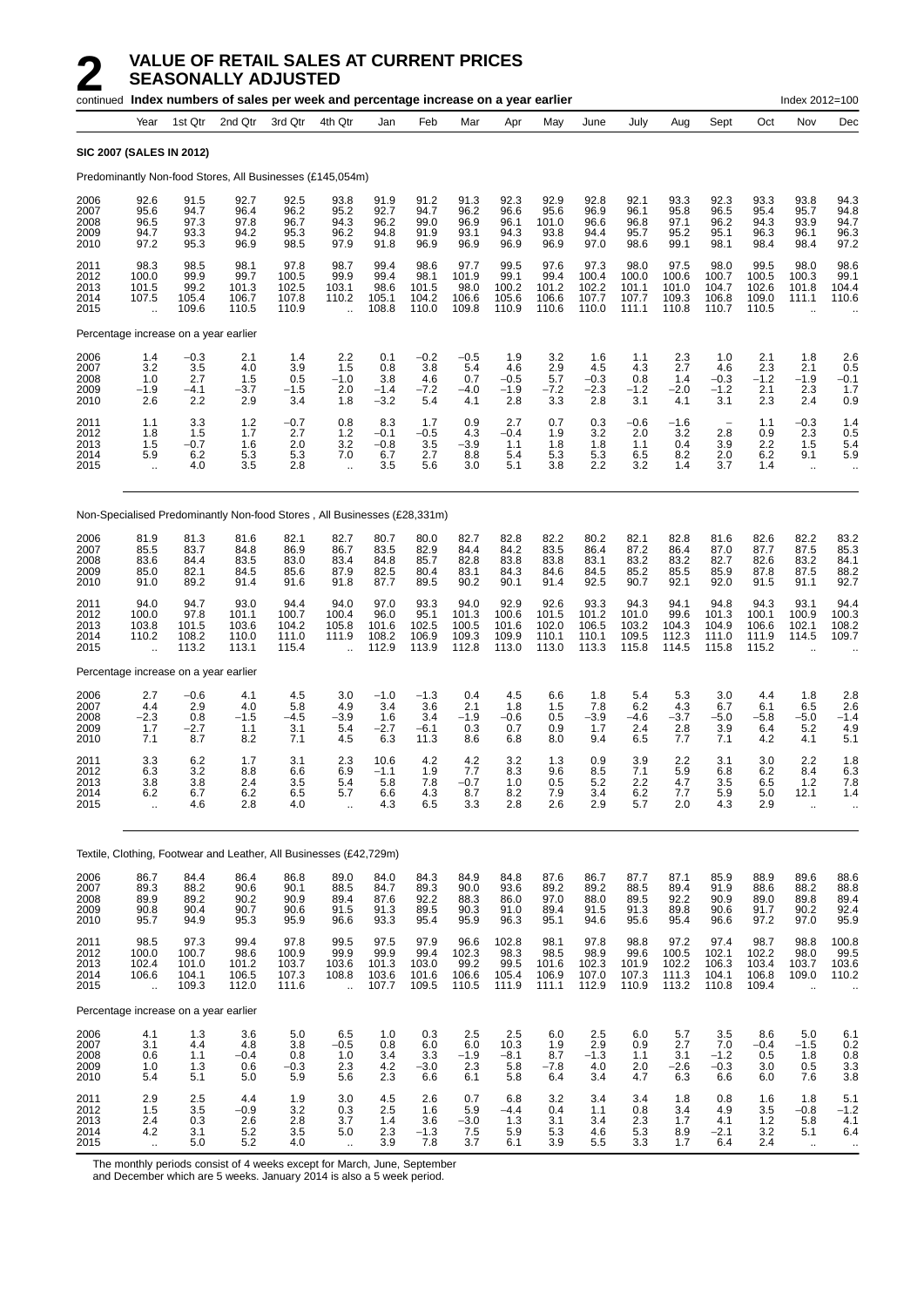|                                      |                                                         |                                          | continued Index numbers of sales per week and percentage increase on a year earlier |                                          |                                                         |                                         |                                         |                                          |                                          |                                          |                                          |                                          |                                          |                                          |                                          | Index 2012=100                                    |                                                                |
|--------------------------------------|---------------------------------------------------------|------------------------------------------|-------------------------------------------------------------------------------------|------------------------------------------|---------------------------------------------------------|-----------------------------------------|-----------------------------------------|------------------------------------------|------------------------------------------|------------------------------------------|------------------------------------------|------------------------------------------|------------------------------------------|------------------------------------------|------------------------------------------|---------------------------------------------------|----------------------------------------------------------------|
|                                      | Year                                                    | 1st Qtr                                  | 2nd Qtr                                                                             | 3rd Qtr                                  | 4th Qtr                                                 | Jan                                     | Feb                                     | Mar                                      | Apr                                      | May                                      | June                                     | July                                     | Aug                                      | Sept                                     | Oct                                      | Nov                                               | Dec                                                            |
|                                      | <b>SIC 2007 (SALES IN 2012)</b>                         |                                          |                                                                                     |                                          |                                                         |                                         |                                         |                                          |                                          |                                          |                                          |                                          |                                          |                                          |                                          |                                                   |                                                                |
|                                      |                                                         |                                          | Predominantly Non-food Stores, All Businesses (£145,054m)                           |                                          |                                                         |                                         |                                         |                                          |                                          |                                          |                                          |                                          |                                          |                                          |                                          |                                                   |                                                                |
| 2006<br>2007<br>2008<br>2009<br>2010 | 92.6<br>95.6<br>96.5<br>94.7<br>97.2                    | 91.5<br>94.7<br>97.3<br>93.3<br>95.3     | 92.7<br>96.4<br>97.8<br>94.2<br>96.9                                                | 92.5<br>96.2<br>96.7<br>95.3<br>98.5     | 93.8<br>95.2<br>94.3<br>96.2<br>97.9                    | 91.9<br>92.7<br>96.2<br>94.8<br>91.8    | 91.2<br>94.7<br>99.0<br>91.9<br>96.9    | 91.3<br>96.2<br>96.9<br>93.1<br>96.9     | 92.3<br>96.6<br>96.1<br>94.3<br>96.9     | 92.9<br>95.6<br>101.0<br>93.8<br>96.9    | 92.8<br>96.9<br>96.6<br>94.4<br>97.0     | 92.1<br>96.1<br>96.8<br>95.7<br>98.6     | 93.3<br>95.8<br>97.1<br>95.2<br>99.1     | 92.3<br>96.5<br>96.2<br>95.1<br>98.1     | 93.3<br>95.4<br>94.3<br>96.3<br>98.4     | 93.8<br>95.7<br>93.9<br>96.1<br>98.4              | 94.3<br>94.8<br>94.7<br>96.3<br>97.2                           |
| 2011<br>2012<br>2013<br>2014<br>2015 | 98.3<br>100.0<br>101.5<br>107.5                         | 98.5<br>99.9<br>99.2<br>105.4<br>109.6   | 98.1<br>99.7<br>101.3<br>106.7<br>110.5                                             | 97.8<br>100.5<br>102.5<br>107.8<br>110.9 | 98.7<br>99.9<br>103.1<br>110.2                          | 99.4<br>99.4<br>98.6<br>105.1<br>108.8  | 98.6<br>98.1<br>101.5<br>104.2<br>110.0 | 97.7<br>101.9<br>98.0<br>106.6<br>109.8  | 99.5<br>99.1<br>100.2<br>105.6<br>110.9  | 97.6<br>99.4<br>101.2<br>106.6<br>110.6  | 97.3<br>100.4<br>102.2<br>107.7<br>110.0 | 98.0<br>100.0<br>101.1<br>107.7<br>111.1 | 97.5<br>100.6<br>101.0<br>109.3<br>110.8 | 98.0<br>100.7<br>104.7<br>106.8<br>110.7 | 99.5<br>100.5<br>102.6<br>109.0<br>110.5 | 98.0<br>100.3<br>101.8<br>111.1                   | 98.6<br>99.1<br>104.4<br>110.6                                 |
|                                      | Percentage increase on a year earlier                   |                                          |                                                                                     |                                          |                                                         |                                         |                                         |                                          |                                          |                                          |                                          |                                          |                                          |                                          |                                          |                                                   |                                                                |
| 2006<br>2007<br>2008<br>2009<br>2010 | 1.4<br>3.2<br>1.0<br>$-1.9$<br>2.6                      | $-0.3$<br>3.5<br>2.7<br>$-4.1$<br>2.2    | 2.1<br>4.0<br>1.5<br>-3.7<br>2.9                                                    | 1.4<br>3.9<br>0.5<br>$-1.5$<br>3.4       | 2.2<br>1.5<br>$-1.0$<br>2.0<br>1.8                      | 0.1<br>0.8<br>3.8<br>$-1.4$<br>$-3.2$   | $-0.2$<br>3.8<br>4.6<br>$-7.2$<br>5.4   | $-0.5$<br>5.4<br>0.7<br>-4.0<br>4.1      | 1.9<br>4.6<br>$-0.5$<br>$-1.9$<br>2.8    | 3.2<br>2.9<br>5.7<br>$-7.2$<br>3.3       | 1.6<br>4.5<br>$-0.3$<br>$-2.3$<br>2.8    | 1.1<br>4.3<br>0.8<br>$-1.2$<br>3.1       | 2.3<br>2.7<br>1.4<br>$-2.0$<br>4.1       | 1.0<br>4.6<br>$-0.3$<br>$-1.2$<br>3.1    | 2.1<br>2.3<br>$-1.2$<br>2.1<br>2.3       | 1.8<br>2.1<br>$-1.9$<br>2.3<br>2.4                | 2.6<br>0.5<br>$-0.1$<br>1.7<br>0.9                             |
| 2011<br>2012<br>2013<br>2014<br>2015 | 1.1<br>1.8<br>1.5<br>5.9<br>$\ddot{\phantom{a}}$        | 3.3<br>1.5<br>$-0.7$<br>6.2<br>4.0       | 1.2<br>1.7<br>1.6<br>5.3<br>3.5                                                     | $-0.7$<br>2.7<br>2.0<br>5.3<br>2.8       | 0.8<br>1.2<br>3.2<br>7.0<br>$\ddot{\phantom{a}}$        | 8.3<br>$-0.1$<br>$-0.8$<br>6.7<br>3.5   | 1.7<br>$-0.5$<br>3.5<br>2.7<br>5.6      | 0.9<br>4.3<br>-3.9<br>8.8<br>3.0         | 2.7<br>$-0.4$<br>1.1<br>5.4<br>5.1       | 0.7<br>1.9<br>1.8<br>5.3<br>3.8          | 0.3<br>3.2<br>1.8<br>5.3<br>2.2          | -0.6<br>2.0<br>1.1<br>6.5<br>3.2         | $-1.6$<br>3.2<br>0.4<br>8.2<br>1.4       | 2.8<br>3.9<br>2.0<br>3.7                 | 1.1<br>0.9<br>2.2<br>6.2<br>1.4          | $-0.3$<br>2.3<br>1.5<br>9.1<br>$\ddotsc$          | 1.4<br>0.5<br>5.4<br>5.9<br>$\ddotsc$                          |
|                                      |                                                         |                                          | Non-Specialised Predominantly Non-food Stores, All Businesses (£28,331m)            |                                          |                                                         |                                         |                                         |                                          |                                          |                                          |                                          |                                          |                                          |                                          |                                          |                                                   |                                                                |
| 2006<br>2007<br>2008<br>2009<br>2010 | 81.9<br>85.5<br>83.6<br>85.0<br>91.0                    | 81.3<br>83.7<br>84.4<br>82.1<br>89.2     | 81.6<br>84.8<br>83.5<br>84.5<br>91.4                                                | 82.1<br>86.9<br>83.0<br>85.6<br>91.6     | 82.7<br>86.7<br>83.4<br>87.9<br>91.8                    | 80.7<br>83.5<br>84.8<br>82.5<br>87.7    | 80.0<br>82.9<br>85.7<br>80.4<br>89.5    | 82.7<br>84.4<br>82.8<br>83.1<br>90.2     | 82.8<br>84.2<br>83.8<br>84.3<br>90.1     | 82.2<br>83.5<br>83.8<br>84.6<br>91.4     | 80.2<br>86.4<br>83.1<br>84.5<br>92.5     | 82.1<br>87.2<br>83.2<br>85.2<br>90.7     | 82.8<br>86.4<br>83.2<br>85.5<br>92.1     | 81.6<br>87.0<br>82.7<br>85.9<br>92.0     | 82.6<br>87.7<br>82.6<br>87.8<br>91.5     | 82.2<br>87.5<br>83.2<br>87.5<br>91.1              | 83.2<br>85.3<br>84.1<br>88.2<br>92.7                           |
| 2011<br>2012<br>2013<br>2014<br>2015 | 94.0<br>100.0<br>103.8<br>110.2                         | 94.7<br>97.8<br>101.5<br>108.2<br>113.2  | 93.0<br>101.1<br>103.6<br>110.0<br>113.1                                            | 94.4<br>100.7<br>104.2<br>111.0<br>115.4 | 94.0<br>100.4<br>105.8<br>111.9<br>$\ddot{\phantom{a}}$ | 97.0<br>96.0<br>101.6<br>108.2<br>112.9 | 93.3<br>95.1<br>102.5<br>106.9<br>113.9 | 94.0<br>101.3<br>100.5<br>109.3<br>112.8 | 92.9<br>100.6<br>101.6<br>109.9<br>113.0 | 92.6<br>101.5<br>102.0<br>110.1<br>113.0 | 93.3<br>101.2<br>106.5<br>110.1<br>113.3 | 94.3<br>101.0<br>103.2<br>109.5<br>115.8 | 94.1<br>99.6<br>104.3<br>112.3<br>114.5  | 94.8<br>101.3<br>104.9<br>111.0<br>115.8 | 94.3<br>100.1<br>106.6<br>111.9<br>115.2 | 93.1<br>100.9<br>102.1<br>114.5                   | 94.4<br>100.3<br>108.2<br>109.7                                |
|                                      | Percentage increase on a year earlier                   |                                          |                                                                                     |                                          |                                                         |                                         |                                         |                                          |                                          |                                          |                                          |                                          |                                          |                                          |                                          |                                                   |                                                                |
| 2006<br>2007<br>2008<br>2009<br>2010 | 2.7<br>4.4<br>$-2.3$<br>1.7<br>7.1                      | $-0.6$<br>2.9<br>0.8<br>$-2.7$<br>8.7    | 4.1<br>4.0<br>$-1.5$<br>1.1<br>8.2                                                  | 4.5<br>5.8<br>$-4.5$<br>3.1<br>7.1       | 3.0<br>4.9<br>$-3.9$<br>5.4<br>4.5                      | $-1.0$<br>3.4<br>1.6<br>$-2.7$<br>6.3   | $-1.3$<br>3.6<br>3.4<br>$-6.1$<br>11.3  | 0.4<br>2.1<br>$-1.9$<br>0.3<br>8.6       | 4.5<br>1.8<br>$-0.6$<br>0.7<br>6.8       | 6.6<br>1.5<br>0.5<br>0.9<br>8.0          | 1.8<br>7.8<br>$-3.9$<br>1.7<br>9.4       | 5.4<br>6.2<br>$-4.6$<br>2.4<br>6.5       | 5.3<br>4.3<br>$-3.7$<br>2.8<br>7.7       | 3.0<br>6.7<br>$-5.0$<br>3.9<br>7.1       | 4.4<br>6.1<br>$-5.8$<br>6.4<br>4.2       | 1.8<br>6.5<br>$-5.0$<br>5.2<br>4.1                | 2.8<br>2.6<br>$-1.4$<br>4.9<br>5.1                             |
| 2011<br>2012<br>2013<br>2014<br>2015 | 3.3<br>6.3<br>3.8<br>6.2<br>$\ddot{\phantom{1}}$        | 6.2<br>3.2<br>3.8<br>6.7<br>4.6          | 1.7<br>8.8<br>2.4<br>6.2<br>2.8                                                     | 3.1<br>6.6<br>3.5<br>6.5<br>4.0          | 2.3<br>6.9<br>5.4<br>5.7<br>à.                          | 10.6<br>$-1.1$<br>5.8<br>6.6<br>4.3     | 4.2<br>1.9<br>7.8<br>4.3<br>6.5         | 4.2<br>7.7<br>-0.7<br>8.7<br>3.3         | 3.2<br>8.3<br>1.0<br>8.2<br>2.8          | 1.3<br>9.6<br>0.5<br>7.9<br>2.6          | 0.9<br>8.5<br>5.2<br>3.4<br>2.9          | 3.9<br>7.1<br>2.2<br>6.2<br>5.7          | 2.2<br>5.9<br>4.7<br>7.7<br>2.0          | 3.1<br>6.8<br>3.5<br>5.9<br>4.3          | 3.0<br>6.2<br>6.5<br>5.0<br>2.9          | 2.2<br>8.4<br>1.2<br>12.1<br>$\ddot{\phantom{a}}$ | 1.8<br>6.3<br>7.8<br>1.4<br>$\ddotsc$                          |
|                                      |                                                         |                                          | Textile, Clothing, Footwear and Leather, All Businesses (£42,729m)                  |                                          |                                                         |                                         |                                         |                                          |                                          |                                          |                                          |                                          |                                          |                                          |                                          |                                                   |                                                                |
| 2006<br>2007<br>2008<br>2009<br>2010 | 86.7<br>89.3<br>89.9<br>90.8<br>95.7                    | 84.4<br>88.2<br>89.2<br>90.4<br>94.9     | 86.4<br>90.6<br>90.2<br>90.7<br>95.3                                                | 86.8<br>90.1<br>90.9<br>90.6<br>95.9     | 89.0<br>88.5<br>89.4<br>91.5<br>96.6                    | 84.0<br>84.7<br>87.6<br>91.3<br>93.3    | 84.3<br>89.3<br>92.2<br>89.5<br>95.4    | 84.9<br>90.0<br>88.3<br>90.3<br>95.9     | 84.8<br>93.6<br>86.0<br>91.0<br>96.3     | 87.6<br>89.2<br>97.0<br>89.4<br>95.1     | 86.7<br>89.2<br>88.0<br>91.5<br>94.6     | 87.7<br>88.5<br>89.5<br>91.3<br>95.6     | 87.1<br>89.4<br>92.2<br>89.8<br>95.4     | 85.9<br>91.9<br>90.9<br>90.6<br>96.6     | 88.9<br>88.6<br>89.0<br>91.7<br>97.2     | 89.6<br>88.2<br>89.8<br>90.2<br>97.0              | 88.6<br>88.8<br>89.4<br>92.4<br>95.9                           |
| 2011<br>2012<br>2013<br>2014<br>2015 | 98.5<br>100.0<br>102.4<br>106.6<br>$\ddot{\phantom{1}}$ | 97.3<br>100.7<br>101.0<br>104.1<br>109.3 | 99.4<br>98.6<br>101.2<br>106.5<br>112.0                                             | 97.8<br>100.9<br>103.7<br>107.3<br>111.6 | 99.5<br>99.9<br>103.6<br>108.8<br>$\ddotsc$             | 97.5<br>99.9<br>101.3<br>103.6<br>107.7 | 97.9<br>99.4<br>103.0<br>101.6<br>109.5 | 96.6<br>102.3<br>99.2<br>106.6<br>110.5  | 102.8<br>98.3<br>99.5<br>105.4<br>111.9  | 98.1<br>98.5<br>101.6<br>106.9<br>111.1  | 97.8<br>98.9<br>102.3<br>107.0<br>112.9  | 98.8<br>99.6<br>101.9<br>107.3<br>110.9  | 97.2<br>100.5<br>102.2<br>111.3<br>113.2 | 97.4<br>102.1<br>106.3<br>104.1<br>110.8 | 98.7<br>102.2<br>103.4<br>106.8<br>109.4 | 98.8<br>98.0<br>103.7<br>109.0<br>$\ddotsc$       | 100.8<br>99.5<br>103.6<br>110.2                                |
|                                      | Percentage increase on a year earlier                   |                                          |                                                                                     |                                          |                                                         |                                         |                                         |                                          |                                          |                                          |                                          |                                          |                                          |                                          |                                          |                                                   |                                                                |
| 2006<br>2007<br>2008<br>2009<br>2010 | 4.1<br>3.1<br>0.6<br>1.0<br>5.4                         | 1.3<br>4.4<br>1.1<br>1.3<br>5.1          | 3.6<br>4.8<br>$-0.4$<br>0.6<br>5.0                                                  | 5.0<br>3.8<br>0.8<br>$-0.3$<br>5.9       | 6.5<br>$-0.5$<br>1.0<br>2.3<br>5.6                      | 1.0<br>0.8<br>3.4<br>4.2<br>2.3         | 0.3<br>6.0<br>3.3<br>$-3.0$<br>6.6      | 2.5<br>6.0<br>$-1.9$<br>2.3<br>6.1       | 2.5<br>10.3<br>$-8.1$<br>5.8<br>5.8      | 6.0<br>1.9<br>8.7<br>$-7.8$<br>6.4       | 2.5<br>2.9<br>$-1.3$<br>4.0<br>3.4       | 6.0<br>0.9<br>1.1<br>2.0<br>4.7          | 5.7<br>2.7<br>3.1<br>$-2.6$<br>6.3       | 3.5<br>7.0<br>$-1.2$<br>$-0.3$<br>6.6    | 8.6<br>$-0.4$<br>0.5<br>3.0<br>6.0       | 5.0<br>$-1.5$<br>1.8<br>0.5<br>7.6                | 6.1<br>0.2<br>0.8<br>$\begin{array}{c} 3.3 \\ 3.8 \end{array}$ |
| 2011<br>2012<br>2013<br>2014<br>2015 | 2.9<br>$\overline{1.5}$<br>$^{2.4}_{4.2}$               | 2.5<br>3.5<br>0.3<br>3.1<br>5.0          | 4.4<br>$-0.9$<br>2.6<br>$5.2$<br>$5.2\,$                                            | 1.9<br>3.2<br>$2.8\,$<br>3.5<br>4.0      | 3.0<br>0.3<br>3.7<br>5.0                                | 4.5<br>2.5<br>1.4<br>2.3<br>3.9         | 2.6<br>1.6<br>3.6<br>$-1.3$<br>7.8      | 0.7<br>5.9<br>$-3.0$<br>7.5<br>3.7       | 6.8<br>$-4.4$<br>1.3<br>5.9<br>6.1       | 3.2<br>0.4<br>3.1<br>5.3<br>3.9          | 3.4<br>1.1<br>3.4<br>4.6<br>5.5          | 3.4<br>0.8<br>2.3<br>5.3<br>3.3          | 1.8<br>3.4<br>1.7<br>$8.9$<br>1.7        | 0.8<br>4.9<br>4.1<br>$-2.1$<br>6.4       | 1.6<br>3.5<br>1.2<br>3.2<br>2.4          | 1.8<br>$-0.8$<br>5.8<br>5.1<br>$\ddotsc$          | $5.1 - 1.2$<br>4.1<br>6.4<br>$\sim$                            |

The monthly periods consist of 4 weeks except for March, June, September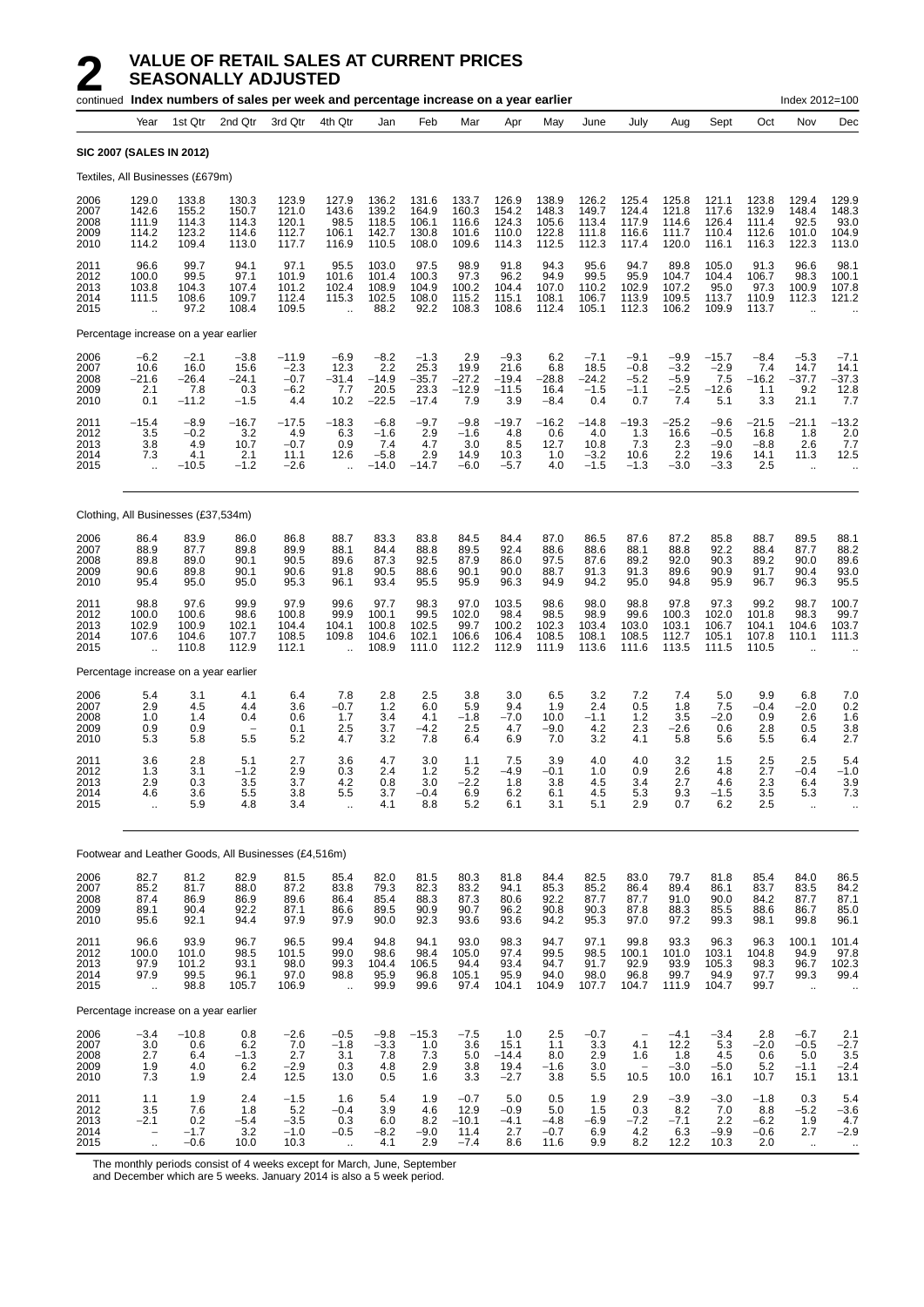|                                      |                                                         |                                             | continued Index numbers of sales per week and percentage increase on a year earlier |                                                |                                                         |                                              |                                              |                                             |                                             |                                           |                                            |                                             |                                             |                                              |                                           | Index 2012=100                                         |                                                        |
|--------------------------------------|---------------------------------------------------------|---------------------------------------------|-------------------------------------------------------------------------------------|------------------------------------------------|---------------------------------------------------------|----------------------------------------------|----------------------------------------------|---------------------------------------------|---------------------------------------------|-------------------------------------------|--------------------------------------------|---------------------------------------------|---------------------------------------------|----------------------------------------------|-------------------------------------------|--------------------------------------------------------|--------------------------------------------------------|
|                                      | Year                                                    | 1st Qtr                                     | 2nd Qtr                                                                             | 3rd Qtr                                        | 4th Qtr                                                 | Jan                                          | Feb                                          | Mar                                         | Apr                                         | May                                       | June                                       | July                                        | Aug                                         | Sept                                         | Oct                                       | Nov                                                    | Dec                                                    |
|                                      |                                                         | <b>SIC 2007 (SALES IN 2012)</b>             |                                                                                     |                                                |                                                         |                                              |                                              |                                             |                                             |                                           |                                            |                                             |                                             |                                              |                                           |                                                        |                                                        |
|                                      |                                                         | Textiles, All Businesses (£679m)            |                                                                                     |                                                |                                                         |                                              |                                              |                                             |                                             |                                           |                                            |                                             |                                             |                                              |                                           |                                                        |                                                        |
| 2006<br>2007<br>2008<br>2009<br>2010 | 129.0<br>142.6<br>111.9<br>114.2<br>114.2               | 133.8<br>155.2<br>114.3<br>123.2<br>109.4   | 130.3<br>150.7<br>114.3<br>114.6<br>113.0                                           | 123.9<br>121.0<br>120.1<br>112.7<br>117.7      | 127.9<br>143.6<br>98.5<br>106.1<br>116.9                | 136.2<br>139.2<br>118.5<br>142.7<br>110.5    | 131.6<br>164.9<br>106.1<br>130.8<br>108.0    | 133.7<br>160.3<br>116.6<br>101.6<br>109.6   | 126.9<br>154.2<br>124.3<br>110.0<br>114.3   | 138.9<br>148.3<br>105.6<br>122.8<br>112.5 | 126.2<br>149.7<br>113.4<br>111.8<br>112.3  | 125.4<br>124.4<br>117.9<br>116.6<br>117.4   | 125.8<br>121.8<br>114.6<br>111.7<br>120.0   | 121.1<br>117.6<br>126.4<br>110.4<br>116.1    | 123.8<br>132.9<br>111.4<br>112.6<br>116.3 | 129.4<br>148.4<br>92.5<br>101.0<br>122.3               | 129.9<br>148.3<br>93.0<br>104.9<br>113.0               |
| 2011<br>2012<br>2013<br>2014<br>2015 | 96.6<br>100.0<br>103.8<br>111.5<br>$\ddot{\phantom{a}}$ | 99.7<br>99.5<br>104.3<br>108.6<br>97.2      | 94.1<br>97.1<br>107.4<br>109.7<br>108.4                                             | 97.1<br>101.9<br>101.2<br>112.4<br>109.5       | 95.5<br>101.6<br>102.4<br>115.3<br>$\ddot{\phantom{a}}$ | 103.0<br>101.4<br>108.9<br>102.5<br>88.2     | 97.5<br>100.3<br>104.9<br>108.0<br>92.2      | 98.9<br>97.3<br>100.2<br>115.2<br>108.3     | 91.8<br>96.2<br>104.4<br>115.1<br>108.6     | 94.3<br>94.9<br>107.0<br>108.1<br>112.4   | 95.6<br>99.5<br>110.2<br>106.7<br>105.1    | 94.7<br>95.9<br>102.9<br>113.9<br>112.3     | 89.8<br>104.7<br>107.2<br>109.5<br>106.2    | 105.0<br>104.4<br>95.0<br>113.7<br>109.9     | 91.3<br>106.7<br>97.3<br>110.9<br>113.7   | 96.6<br>98.3<br>100.9<br>112.3<br>$\ddot{\phantom{a}}$ | 98.1<br>100.1<br>107.8<br>121.2                        |
|                                      |                                                         | Percentage increase on a year earlier       |                                                                                     |                                                |                                                         |                                              |                                              |                                             |                                             |                                           |                                            |                                             |                                             |                                              |                                           |                                                        |                                                        |
| 2006<br>2007<br>2008<br>2009<br>2010 | $-6.2$<br>10.6<br>$-21.6$<br>2.1<br>0.1                 | $-2.1$<br>16.0<br>$-26.4$<br>7.8<br>$-11.2$ | $-3.8$<br>15.6<br>-24.1<br>0.3<br>$-1.5$                                            | $-11.9$<br>$-2.3$<br>$-0.7$<br>$-6.2$<br>4.4   | $-6.9$<br>12.3<br>$-31.4$<br>7.7<br>10.2                | $-8.2$<br>2.2<br>$-14.9$<br>20.5<br>$-22.5$  | $-1.3$<br>25.3<br>$-35.7$<br>23.3<br>$-17.4$ | 2.9<br>19.9<br>$-27.2$<br>$-12.9$<br>7.9    | $-9.3$<br>21.6<br>$-19.4$<br>$-11.5$<br>3.9 | 6.2<br>6.8<br>$-28.8$<br>16.4<br>$-8.4$   | $-7.1$<br>18.5<br>$-24.2$<br>$-1.5$<br>0.4 | $-9.1$<br>$-0.8$<br>$-5.2$<br>$-1.1$<br>0.7 | $-9.9$<br>$-3.2$<br>$-5.9$<br>$-2.5$<br>7.4 | $-15.7$<br>$-2.9$<br>7.5<br>$-12.6$<br>5.1   | $-8.4$<br>7.4<br>$-16.2$<br>1.1<br>3.3    | $-5.3$<br>14.7<br>$-37.7$<br>9.2<br>21.1               | $-7.1$<br>14.1<br>$-37.3$<br>12.8<br>7.7               |
| 2011<br>2012<br>2013<br>2014<br>2015 | $-15.4$<br>3.5<br>3.8<br>7.3<br>÷.                      | $-8.9$<br>$-0.2$<br>4.9<br>4.1<br>$-10.5$   | $-16.7$<br>3.2<br>10.7<br>2.1<br>$-1.2$                                             | $-17.5$<br>4.9<br>$-0.7$<br>11.1<br>$-2.6$     | $-18.3$<br>6.3<br>0.9<br>12.6<br>$\ddot{\phantom{a}}$   | $-6.8$<br>$-1.6$<br>7.4<br>$-5.8$<br>$-14.0$ | $-9.7$<br>2.9<br>4.7<br>2.9<br>$-14.7$       | $-9.8$<br>$-1.6$<br>3.0<br>14.9<br>$-6.0$   | $-19.7$<br>4.8<br>8.5<br>10.3<br>-5.7       | $-16.2$<br>0.6<br>12.7<br>1.0<br>4.0      | $-14.8$<br>4.0<br>10.8<br>$-3.2$<br>$-1.5$ | $-19.3$<br>1.3<br>7.3<br>10.6<br>$-1.3$     | $-25.2$<br>16.6<br>2.3<br>2.2<br>$-3.0$     | $-9.6$<br>$-0.5$<br>$-9.0$<br>19.6<br>$-3.3$ | $-21.5$<br>16.8<br>$-8.8$<br>14.1<br>2.5  | $-21.1$<br>1.8<br>2.6<br>11.3<br>$\ddotsc$             | $-13.2$<br>2.0<br>7.7<br>12.5                          |
|                                      |                                                         | Clothing, All Businesses (£37,534m)         |                                                                                     |                                                |                                                         |                                              |                                              |                                             |                                             |                                           |                                            |                                             |                                             |                                              |                                           |                                                        |                                                        |
| 2006<br>2007<br>2008<br>2009<br>2010 | 86.4<br>88.9<br>89.8<br>90.6<br>95.4                    | 83.9<br>87.7<br>89.0<br>89.8<br>95.0        | 86.0<br>89.8<br>90.1<br>90.1<br>95.0                                                | 86.8<br>89.9<br>90.5<br>90.6<br>95.3           | 88.7<br>88.1<br>89.6<br>91.8<br>96.1                    | 83.3<br>84.4<br>87.3<br>90.5<br>93.4         | 83.8<br>88.8<br>92.5<br>88.6<br>95.5         | 84.5<br>89.5<br>87.9<br>90.1<br>95.9        | 84.4<br>92.4<br>86.0<br>90.0<br>96.3        | 87.0<br>88.6<br>97.5<br>88.7<br>94.9      | 86.5<br>88.6<br>87.6<br>91.3<br>94.2       | 87.6<br>88.1<br>89.2<br>91.3<br>95.0        | 87.2<br>88.8<br>92.0<br>89.6<br>94.8        | 85.8<br>92.2<br>90.3<br>90.9<br>95.9         | 88.7<br>88.4<br>89.2<br>91.7<br>96.7      | 89.5<br>87.7<br>90.0<br>90.4<br>96.3                   | 88.1<br>88.2<br>89.6<br>93.0<br>95.5                   |
| 2011<br>2012<br>2013<br>2014<br>2015 | 98.8<br>100.0<br>102.9<br>107.6<br>$\ddot{\phantom{a}}$ | 97.6<br>100.6<br>100.9<br>104.6<br>110.8    | 99.9<br>98.6<br>102.1<br>107.7<br>112.9                                             | 97.9<br>100.8<br>104.4<br>108.5<br>112.1       | 99.6<br>99.9<br>104.1<br>109.8<br>$\ddot{\phantom{a}}$  | 97.7<br>100.1<br>100.8<br>104.6<br>108.9     | 98.3<br>99.5<br>102.5<br>102.1<br>111.0      | 97.0<br>102.0<br>99.7<br>106.6<br>112.2     | 103.5<br>98.4<br>100.2<br>106.4<br>112.9    | 98.6<br>98.5<br>102.3<br>108.5<br>111.9   | 98.0<br>98.9<br>103.4<br>108.1<br>113.6    | 98.8<br>99.6<br>103.0<br>108.5<br>111.6     | 97.8<br>100.3<br>103.1<br>112.7<br>113.5    | 97.3<br>102.0<br>106.7<br>105.1<br>111.5     | 99.2<br>101.8<br>104.1<br>107.8<br>110.5  | 98.7<br>98.3<br>104.6<br>110.1<br>$\ddot{\phantom{a}}$ | 100.7<br>99.7<br>103.7<br>111.3                        |
|                                      |                                                         | Percentage increase on a year earlier       |                                                                                     |                                                |                                                         |                                              |                                              |                                             |                                             |                                           |                                            |                                             |                                             |                                              |                                           |                                                        |                                                        |
| 2006<br>2007<br>2008<br>2009<br>2010 | 5.4<br>2.9<br>1.0<br>0.9<br>5.3                         | 3.1<br>4.5<br>1.4<br>0.9<br>5.8             | 4.1<br>4.4<br>0.4<br>5.5                                                            | 6.4<br>3.6<br>0.6<br>0.1<br>5.2                | $^{7.8}_{-0.7}$<br>1.7<br>2.5<br>4.7                    | $^{2.8}_{1.2}$<br>3.4<br>3.7<br>3.2          | 2.5<br>6.0<br>4.1<br>$-4.2$<br>7.8           | 3.8<br>5.9<br>$-1.8$<br>2.5<br>6.4          | 3.0<br>9.4<br>$-7.0$<br>4.7<br>6.9          | 6.5<br>1.9<br>10.0<br>$-9.0$<br>7.0       | 3.2<br>2.4<br>$-1.1$<br>4.2<br>3.2         | $7.2$<br>$0.5$<br>$1.2$<br>2.3<br>4.1       | 7.4<br>1.8<br>3.5<br>-2.6<br>5.8            | 5.0<br>7.5<br>$-2.0$<br>0.6<br>5.6           | 9.9<br>$-0.4$<br>0.9<br>2.8<br>5.5        | 6.8<br>$-2.0$<br>2.6<br>0.5<br>6.4                     | $7.0$<br>$0.2$<br>1.6<br>3.8<br>2.7                    |
| 2011<br>2012<br>2013<br>2014<br>2015 | 3.6<br>1.3<br>2.9<br>4.6<br>$\ddot{\phantom{a}}$        | 2.8<br>3.1<br>0.3<br>3.6<br>5.9             | 5.1<br>$-1.2$<br>3.5<br>5.5<br>4.8                                                  | 2.7<br>2.9<br>3.7<br>3.8<br>3.4                | 3.6<br>0.3<br>4.2<br>5.5<br>$\ddotsc$                   | 4.7<br>2.4<br>0.8<br>3.7<br>4.1              | 3.0<br>1.2<br>3.0<br>$-0.4$<br>8.8           | 1.1<br>5.2<br>$-2.2$<br>6.9<br>5.2          | 7.5<br>$-4.9$<br>1.8<br>$6.2\,$<br>6.1      | 3.9<br>$-0.1$<br>3.8<br>6.1<br>3.1        | 4.0<br>1.0<br>4.5<br>4.5<br>5.1            | 4.0<br>0.9<br>3.4<br>5.3<br>2.9             | 3.2<br>2.6<br>2.7<br>9.3<br>0.7             | 1.5<br>4.8<br>4.6<br>$-1.5$<br>6.2           | 2.5<br>2.7<br>2.3<br>3.5<br>2.5           | 2.5<br>$-0.4$<br>6.4<br>5.3<br>ä.                      | 5.4<br>$-1.0$<br>3.9<br>7.3                            |
|                                      |                                                         |                                             | Footwear and Leather Goods, All Businesses (£4,516m)                                |                                                |                                                         |                                              |                                              |                                             |                                             |                                           |                                            |                                             |                                             |                                              |                                           |                                                        |                                                        |
| 2006<br>2007<br>2008<br>2009<br>2010 | 82.7<br>85.2<br>87.4<br>89.1<br>95.6                    | $81.2$<br>$81.7$<br>86.9<br>90.4<br>92.1    | 82.9<br>88.0<br>86.9<br>92.2<br>94.4                                                | 81.5<br>87.2<br>89.6<br>87.1<br>97.9           | 85.4<br>83.8<br>86.4<br>86.6<br>97.9                    | 82.0<br>79.3<br>85.4<br>89.5<br>90.0         | 81.5<br>82.3<br>88.3<br>90.9<br>92.3         | 80.3<br>83.2<br>87.3<br>90.7<br>93.6        | 81.8<br>94.1<br>80.6<br>96.2<br>93.6        | 84.4<br>85.3<br>92.2<br>90.8<br>94.2      | 82.5<br>85.2<br>87.7<br>90.3<br>95.3       | 83.0<br>86.4<br>87.7<br>87.8<br>97.0        | 79.7<br>89.4<br>91.0<br>88.3<br>97.2        | 81.8<br>86.1<br>90.0<br>85.5<br>99.3         | 85.4<br>83.7<br>84.2<br>88.6<br>98.1      | 84.0<br>83.5<br>87.7<br>86.7<br>99.8                   | 86.5<br>84.2<br>87.1<br>85.0<br>96.1                   |
| 2011<br>2012<br>2013<br>2014<br>2015 | 96.6<br>100.0<br>97.9<br>97.9<br>Ġ.                     | 93.9<br>101.0<br>101.2<br>99.5<br>98.8      | 96.7<br>98.5<br>93.1<br>96.1<br>105.7                                               | 96.5<br>101.5<br>98.0<br>97.0<br>106.9         | 99.4<br>99.0<br>99.3<br>98.8<br>$\ddot{\phantom{a}}$    | 94.8<br>98.6<br>104.4<br>95.9<br>99.9        | 94.1<br>98.4<br>106.5<br>96.8<br>99.6        | 93.0<br>105.0<br>94.4<br>105.1<br>97.4      | 98.3<br>97.4<br>93.4<br>95.9<br>104.1       | 94.7<br>99.5<br>94.7<br>94.0<br>104.9     | 97.1<br>98.5<br>91.7<br>98.0<br>107.7      | 99.8<br>100.1<br>92.9<br>96.8<br>104.7      | 93.3<br>101.0<br>93.9<br>99.7<br>111.9      | 96.3<br>103.1<br>105.3<br>94.9<br>104.7      | 96.3<br>104.8<br>98.3<br>97.7<br>99.7     | 100.1<br>94.9<br>96.7<br>99.3<br>$\bar{\mathbf{r}}$    | 101.4<br>97.8<br>102.3<br>99.4                         |
|                                      |                                                         | Percentage increase on a year earlier       |                                                                                     |                                                |                                                         |                                              |                                              |                                             |                                             |                                           |                                            |                                             |                                             |                                              |                                           |                                                        |                                                        |
| 2006<br>2007<br>2008<br>2009<br>2010 | $-3.4$<br>$3.0\,$<br>2.7<br>1.9<br>7.3                  | $-10.8$<br>0.6<br>6.4<br>4.0<br>1.9         | 0.8<br>6.2<br>$-1.3$<br>6.2<br>2.4                                                  | $-2.6$<br>7.0<br>2.7<br>$-2.9$<br>12.5         | $-0.5$<br>$-1.8$<br>3.1<br>0.3<br>13.0                  | $-9.8$<br>$-3.3$<br>7.8<br>4.8<br>0.5        | $-15.3$<br>1.0<br>7.3<br>2.9<br>1.6          | $-7.5$<br>3.6<br>5.0<br>3.8<br>3.3          | 1.0<br>15.1<br>$-14.4$<br>19.4<br>$-2.7$    | 2.5<br>1.1<br>8.0<br>$-1.6$<br>3.8        | $-0.7$<br>3.3<br>2.9<br>3.0<br>5.5         | 4.1<br>1.6<br>$\qquad \qquad -$<br>10.5     | $-4.1$<br>12.2<br>1.8<br>$-3.0$<br>10.0     | $-3.4$<br>5.3<br>4.5<br>$-5.0$<br>16.1       | 2.8<br>$-2.0$<br>0.6<br>5.2<br>10.7       | $-6.7$<br>$-0.5$<br>5.0<br>$-1.1$<br>15.1              | 2.1<br>$\frac{-2.7}{3.5}$<br>$-2.4$<br>13.1            |
| 2011<br>2012<br>2013<br>2014<br>2015 | 1.1<br>3.5<br>$-2.1$<br>$\qquad \qquad -$<br>÷.         | 1.9<br>7.6<br>0.2<br>$-1.7$<br>$-0.6$       | 2.4<br>1.8<br>$-5.4$<br>3.2<br>10.0                                                 | $-1.5$<br>$\frac{5.2}{-3.5}$<br>$-1.0$<br>10.3 | 1.6<br>$-0.4$<br>0.3<br>$-0.5$<br>$\ddot{\phantom{a}}$  | 5.4<br>3.9<br>6.0<br>$-8.2$<br>4.1           | 1.9<br>4.6<br>8.2<br>$-9.0$<br>2.9           | $-0.7$<br>12.9<br>$-10.1$<br>11.4<br>$-7.4$ | 5.0<br>$-0.9$<br>$-4.1$<br>2.7<br>8.6       | 0.5<br>5.0<br>$-4.8$<br>$-0.7$<br>11.6    | 1.9<br>1.5<br>$-6.9$<br>6.9<br>9.9         | 2.9<br>0.3<br>$-7.2$<br>4.2<br>8.2          | $-3.9$<br>8.2<br>$-7.1$<br>6.3<br>12.2      | $-3.0$<br>7.0<br>2.2<br>$-9.9$<br>10.3       | $-1.8$<br>8.8<br>$-6.2$<br>$-0.6$<br>2.0  | 0.3<br>$-5.2$<br>1.9<br>2.7<br>$\ddot{\phantom{1}}$    | 5.4<br>$-3.6$<br>4.7<br>$-2.9$<br>$\ddot{\phantom{a}}$ |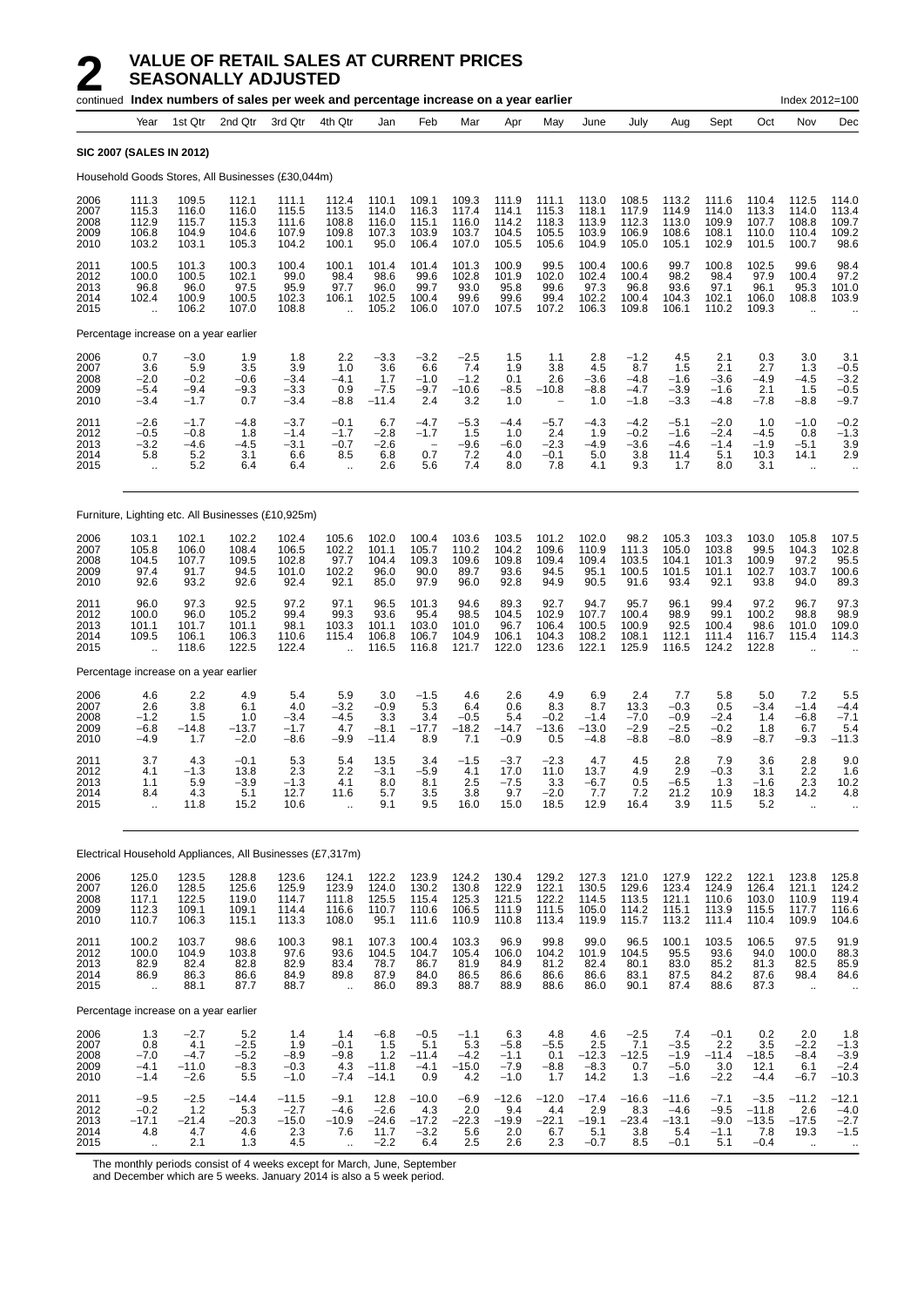|                                      |                                                          |                                              | continued Index numbers of sales per week and percentage increase on a year earlier |                                            |                                                            |                                             |                                                            |                                           |                                             |                                           |                                            |                                             |                                               |                                             |                                               | Index 2012=100                                 |                                                 |
|--------------------------------------|----------------------------------------------------------|----------------------------------------------|-------------------------------------------------------------------------------------|--------------------------------------------|------------------------------------------------------------|---------------------------------------------|------------------------------------------------------------|-------------------------------------------|---------------------------------------------|-------------------------------------------|--------------------------------------------|---------------------------------------------|-----------------------------------------------|---------------------------------------------|-----------------------------------------------|------------------------------------------------|-------------------------------------------------|
|                                      | Year                                                     | 1st Qtr                                      | 2nd Qtr                                                                             | 3rd Qtr                                    | 4th Qtr                                                    | Jan                                         | Feb                                                        | Mar                                       | Apr                                         | May                                       | June                                       | July                                        | Aug                                           | Sept                                        | Oct                                           | Nov                                            | Dec                                             |
|                                      | <b>SIC 2007 (SALES IN 2012)</b>                          |                                              |                                                                                     |                                            |                                                            |                                             |                                                            |                                           |                                             |                                           |                                            |                                             |                                               |                                             |                                               |                                                |                                                 |
|                                      |                                                          |                                              | Household Goods Stores, All Businesses (£30,044m)                                   |                                            |                                                            |                                             |                                                            |                                           |                                             |                                           |                                            |                                             |                                               |                                             |                                               |                                                |                                                 |
| 2006<br>2007<br>2008<br>2009<br>2010 | 111.3<br>115.3<br>112.9<br>106.8<br>103.2                | 109.5<br>116.0<br>115.7<br>104.9<br>103.1    | 112.1<br>116.0<br>115.3<br>104.6<br>105.3                                           | 111.1<br>115.5<br>111.6<br>107.9<br>104.2  | 112.4<br>113.5<br>108.8<br>109.8<br>100.1                  | 110.1<br>114.0<br>116.0<br>107.3<br>95.0    | 109.1<br>116.3<br>115.1<br>103.9<br>106.4                  | 109.3<br>117.4<br>116.0<br>103.7<br>107.0 | 111.9<br>114.1<br>114.2<br>104.5<br>105.5   | 111.1<br>115.3<br>118.3<br>105.5<br>105.6 | 113.0<br>118.1<br>113.9<br>103.9<br>104.9  | 108.5<br>117.9<br>112.3<br>106.9<br>105.0   | 113.2<br>114.9<br>113.0<br>108.6<br>105.1     | 111.6<br>114.0<br>109.9<br>108.1<br>102.9   | 110.4<br>113.3<br>107.7<br>110.0<br>101.5     | 112.5<br>114.0<br>108.8<br>110.4<br>100.7      | 114.0<br>113.4<br>109.7<br>109.2<br>98.6        |
| 2011<br>2012<br>2013<br>2014<br>2015 | 100.5<br>100.0<br>96.8<br>102.4<br>$\ddotsc$             | 101.3<br>100.5<br>96.0<br>100.9<br>106.2     | 100.3<br>102.1<br>97.5<br>100.5<br>107.0                                            | 100.4<br>99.0<br>95.9<br>102.3<br>108.8    | 100.1<br>98.4<br>97.7<br>106.1                             | 101.4<br>98.6<br>96.0<br>102.5<br>105.2     | 101.4<br>99.6<br>99.7<br>100.4<br>106.0                    | 101.3<br>102.8<br>93.0<br>99.6<br>107.0   | 100.9<br>101.9<br>95.8<br>99.6<br>107.5     | 99.5<br>102.0<br>99.6<br>99.4<br>107.2    | 100.4<br>102.4<br>97.3<br>102.2<br>106.3   | 100.6<br>100.4<br>96.8<br>100.4<br>109.8    | 99.7<br>98.2<br>93.6<br>104.3<br>106.1        | 100.8<br>98.4<br>97.1<br>102.1<br>110.2     | 102.5<br>97.9<br>96.1<br>106.0<br>109.3       | 99.6<br>100.4<br>95.3<br>108.8                 | 98.4<br>97.2<br>101.0<br>103.9                  |
|                                      | Percentage increase on a year earlier                    |                                              |                                                                                     |                                            |                                                            |                                             |                                                            |                                           |                                             |                                           |                                            |                                             |                                               |                                             |                                               |                                                |                                                 |
| 2006<br>2007<br>2008<br>2009<br>2010 | 0.7<br>3.6<br>$-2.0$<br>$-5.4$<br>$-3.4$                 | $-3.0$<br>5.9<br>$-0.2$<br>$-9.4$<br>$-1.7$  | 1.9<br>3.5<br>$-0.6$<br>$-9.3$<br>0.7                                               | 1.8<br>3.9<br>$-3.4$<br>$-3.3$<br>$-3.4$   | 2.2<br>1.0<br>$-4.1$<br>0.9<br>$-8.8$                      | $-3.3$<br>3.6<br>1.7<br>$-7.5$<br>$-11.4$   | $-3.2$<br>6.6<br>$-1.0$<br>$-9.7$<br>2.4                   | $-2.5$<br>7.4<br>$-1.2$<br>$-10.6$<br>3.2 | 1.5<br>1.9<br>0.1<br>$-8.5$<br>1.0          | 1.1<br>3.8<br>2.6<br>$-10.8$              | 2.8<br>4.5<br>$-3.6$<br>$-8.8$<br>1.0      | $-1.2$<br>8.7<br>$-4.8$<br>$-4.7$<br>$-1.8$ | 4.5<br>1.5<br>$-1.6$<br>$-3.9$<br>$-3.3$      | 2.1<br>2.1<br>$-3.6$<br>$-1.6$<br>$-4.8$    | 0.3<br>2.7<br>$-4.9$<br>2.1<br>$-7.8$         | 3.0<br>1.3<br>-4.5<br>1.5<br>$-8.8$            | 3.1<br>$-0.5$<br>$-3.2$<br>$-0.5$<br>$-9.7$     |
| 2011<br>2012<br>2013<br>2014<br>2015 | $-2.6$<br>$-0.5$<br>$-3.2$<br>5.8<br>$\bar{\mathbf{u}}$  | $-1.7$<br>$-0.8$<br>$-4.6$<br>5.2<br>5.2     | $-4.8$<br>1.8<br>$-4.5$<br>3.1<br>6.4                                               | $-3.7$<br>$-1.4$<br>$-3.1$<br>6.6<br>6.4   | $-0.1$<br>$-1.7$<br>$-0.7$<br>8.5<br>$\ddot{\phantom{a}}$  | 6.7<br>$-2.8$<br>$-2.6$<br>6.8<br>2.6       | $-4.7$<br>$-1.7$<br>$\overline{\phantom{a}}$<br>0.7<br>5.6 | $-5.3$<br>1.5<br>$-9.6$<br>7.2<br>7.4     | $-4.4$<br>1.0<br>$-6.0$<br>4.0<br>8.0       | $-5.7$<br>2.4<br>$-2.3$<br>$-0.1$<br>7.8  | $-4.3$<br>1.9<br>$-4.9$<br>5.0<br>4.1      | $-4.2$<br>$-0.2$<br>-3.6<br>3.8<br>9.3      | $-5.1$<br>$-1.6$<br>$-4.6$<br>11.4<br>1.7     | $-2.0$<br>$-2.4$<br>$-1.4$<br>5.1<br>8.0    | 1.0<br>$-4.5$<br>$-1.9$<br>10.3<br>3.1        | $-1.0$<br>0.8<br>$-5.1$<br>14.1<br>$\ddotsc$   | $-0.2$<br>$-1.3$<br>3.9<br>2.9                  |
|                                      |                                                          |                                              | Furniture, Lighting etc. All Businesses (£10,925m)                                  |                                            |                                                            |                                             |                                                            |                                           |                                             |                                           |                                            |                                             |                                               |                                             |                                               |                                                |                                                 |
| 2006<br>2007<br>2008<br>2009<br>2010 | 103.1<br>105.8<br>104.5<br>97.4<br>92.6                  | 102.1<br>106.0<br>107.7<br>91.7<br>93.2      | 102.2<br>108.4<br>109.5<br>94.5<br>92.6                                             | 102.4<br>106.5<br>102.8<br>101.0<br>92.4   | 105.6<br>102.2<br>97.7<br>102.2<br>92.1                    | 102.0<br>101.1<br>104.4<br>96.0<br>85.0     | 100.4<br>105.7<br>109.3<br>90.0<br>97.9                    | 103.6<br>110.2<br>109.6<br>89.7<br>96.0   | 103.5<br>104.2<br>109.8<br>93.6<br>92.8     | 101.2<br>109.6<br>109.4<br>94.5<br>94.9   | 102.0<br>110.9<br>109.4<br>95.1<br>90.5    | 98.2<br>111.3<br>103.5<br>100.5<br>91.6     | 105.3<br>105.0<br>104.1<br>101.5<br>93.4      | 103.3<br>103.8<br>101.3<br>101.1<br>92.1    | 103.0<br>99.5<br>100.9<br>102.7<br>93.8       | 105.8<br>104.3<br>97.2<br>103.7<br>94.0        | 107.5<br>102.8<br>95.5<br>100.6<br>89.3         |
| 2011<br>2012<br>2013<br>2014<br>2015 | 96.0<br>100.0<br>101.1<br>109.5<br>$\ddot{\phantom{a}}$  | 97.3<br>96.0<br>101.7<br>106.1<br>118.6      | 92.5<br>105.2<br>101.1<br>106.3<br>122.5                                            | 97.2<br>99.4<br>98.1<br>110.6<br>122.4     | 97.1<br>99.3<br>103.3<br>115.4<br>$\ddot{\phantom{a}}$     | 96.5<br>93.6<br>101.1<br>106.8<br>116.5     | 101.3<br>95.4<br>103.0<br>106.7<br>116.8                   | 94.6<br>98.5<br>101.0<br>104.9<br>121.7   | 89.3<br>104.5<br>96.7<br>106.1<br>122.0     | 92.7<br>102.9<br>106.4<br>104.3<br>123.6  | 94.7<br>107.7<br>100.5<br>108.2<br>122.1   | 95.7<br>100.4<br>100.9<br>108.1<br>125.9    | 96.1<br>98.9<br>92.5<br>112.1<br>116.5        | 99.4<br>99.1<br>100.4<br>111.4<br>124.2     | 97.2<br>100.2<br>98.6<br>116.7<br>122.8       | 96.7<br>98.8<br>101.0<br>115.4                 | 97.3<br>98.9<br>109.0<br>114.3                  |
|                                      | Percentage increase on a year earlier                    |                                              |                                                                                     |                                            |                                                            |                                             |                                                            |                                           |                                             |                                           |                                            |                                             |                                               |                                             |                                               |                                                |                                                 |
| 2006<br>2007<br>2008<br>2009<br>2010 | 4.6<br>2.6<br>$-1.2$<br>$-6.8$<br>$-4.9$                 | 2.2<br>3.8<br>1.5<br>$-14.8$<br>1.7          | 4.9<br>6.1<br>1.0<br>$-13.7$<br>$-2.0$                                              | 5.4<br>4.0<br>$-3.4$<br>$-1.7$<br>$-8.6$   | 5.9<br>$-3.2$<br>$-4.5$<br>4.7<br>-9.9                     | 3.0<br>$-0.9$<br>3.3<br>$-8.1$<br>$-11.4$   | $-1.5$<br>5.3<br>3.4<br>$-17.7$<br>8.9                     | 4.6<br>6.4<br>$-0.5$<br>$-18.2$<br>7.1    | 2.6<br>0.6<br>5.4<br>$-14.7$<br>$-0.9$      | 4.9<br>8.3<br>$-0.2$<br>-13.6<br>0.5      | 6.9<br>8.7<br>$-1.4$<br>$-13.0$<br>$-4.8$  | 2.4<br>13.3<br>$-7.0$<br>$-2.9$<br>$-8.8$   | 7.7<br>$-0.3$<br>$-0.9$<br>$-2.5$<br>$-8.0$   | 5.8<br>0.5<br>$-2.4$<br>$-0.2$<br>$-8.9$    | 5.0<br>$-3.4$<br>1.4<br>1.8<br>-8.7           | 7.2<br>$-1.4$<br>$-6.8$<br>6.7<br>$-9.3$       | 5.5<br>$-4.4$<br>$-7.1$<br>5.4<br>$-11.3$       |
| 2011<br>2012<br>2013<br>2014<br>2015 | 3.7<br>4.1<br>1.1<br>8.4<br>ä,                           | 4.3<br>$-1.3$<br>5.9<br>4.3<br>11.8          | $-0.1$<br>13.8<br>-3.9<br>5.1<br>15.2                                               | 5.3<br>2.3<br>-1.3<br>12.7<br>10.6         | 5.4<br>2.2<br>4.1<br>11.6<br>$\ddot{\phantom{a}}$          | 13.5<br>$-3.1$<br>8.0<br>5.7<br>9.1         | 3.4<br>$-5.9$<br>8.1<br>3.5<br>9.5                         | $-1.5$<br>4.1<br>2.5<br>3.8<br>16.0       | $-3.7$<br>17.0<br>-7.5<br>9.7<br>15.0       | $-2.3$<br>11.0<br>3.3<br>$-2.0$<br>18.5   | 4.7<br>13.7<br>-6.7<br>7.7<br>12.9         | 4.5<br>4.9<br>0.5<br>7.2<br>16.4            | 2.8<br>2.9<br>-6.5<br>21.2<br>3.9             | 7.9<br>$-0.3$<br>1.3<br>10.9<br>11.5        | 3.6<br>3.1<br>-1.6<br>18.3<br>5.2             | 2.8<br>2.2<br>2.3<br>14.2<br>à.                | 9.0<br>1.6<br>10.2<br>4.8<br>$\ddotsc$          |
|                                      |                                                          |                                              | Electrical Household Appliances, All Businesses (£7,317m)                           |                                            |                                                            |                                             |                                                            |                                           |                                             |                                           |                                            |                                             |                                               |                                             |                                               |                                                |                                                 |
| 2006<br>2007<br>2008<br>2009<br>2010 | 125.0<br>126.0<br>117.1<br>112.3<br>110.7                | 123.5<br>128.5<br>122.5<br>109.1<br>106.3    | 128.8<br>125.6<br>119.0<br>109.1<br>115.1                                           | 123.6<br>125.9<br>114.7<br>114.4<br>113.3  | 124.1<br>123.9<br>111.8<br>116.6<br>108.0                  | 122.2<br>124.0<br>125.5<br>110.7<br>95.1    | 123.9<br>130.2<br>115.4<br>110.6<br>111.6                  | 124.2<br>130.8<br>125.3<br>106.5<br>110.9 | 130.4<br>122.9<br>121.5<br>111.9<br>110.8   | 129.2<br>122.1<br>122.2<br>111.5<br>113.4 | 127.3<br>130.5<br>114.5<br>105.0<br>119.9  | 121.0<br>129.6<br>113.5<br>114.2<br>115.7   | 127.9<br>123.4<br>121.1<br>115.1<br>113.2     | 122.2<br>124.9<br>110.6<br>113.9<br>111.4   | 122.1<br>126.4<br>103.0<br>115.5<br>110.4     | 123.8<br>121.1<br>110.9<br>117.7<br>109.9      | 125.8<br>124.2<br>119.4<br>116.6<br>104.6       |
| 2011<br>2012<br>2013<br>2014<br>2015 | 100.2<br>100.0<br>82.9<br>86.9<br>$\ddot{\phantom{1}}$   | 103.7<br>104.9<br>82.4<br>86.3<br>88.1       | 98.6<br>103.8<br>82.8<br>86.6<br>87.7                                               | 100.3<br>97.6<br>82.9<br>84.9<br>88.7      | 98.1<br>93.6<br>83.4<br>89.8<br>$\ddot{\phantom{a}}$       | 107.3<br>104.5<br>78.7<br>87.9<br>86.0      | 100.4<br>104.7<br>86.7<br>84.0<br>89.3                     | 103.3<br>105.4<br>81.9<br>86.5<br>88.7    | 96.9<br>106.0<br>84.9<br>86.6<br>88.9       | 99.8<br>104.2<br>81.2<br>86.6<br>88.6     | 99.0<br>101.9<br>82.4<br>86.6<br>86.0      | 96.5<br>104.5<br>80.1<br>83.1<br>90.1       | 100.1<br>95.5<br>83.0<br>87.5<br>87.4         | 103.5<br>93.6<br>85.2<br>84.2<br>88.6       | 106.5<br>94.0<br>81.3<br>87.6<br>87.3         | 97.5<br>100.0<br>82.5<br>98.4<br>$\ldots$      | 91.9<br>88.3<br>85.9<br>84.6                    |
|                                      | Percentage increase on a year earlier                    |                                              |                                                                                     |                                            |                                                            |                                             |                                                            |                                           |                                             |                                           |                                            |                                             |                                               |                                             |                                               |                                                |                                                 |
| 2006<br>2007<br>2008<br>2009<br>2010 | 1.3<br>0.8<br>$-7.0$<br>$-4.1$<br>$-1.4$                 | $-2.7$<br>4.1<br>$-4.7$<br>$-11.0$<br>$-2.6$ | 5.2<br>$-2.5$<br>$-5.2$<br>$-8.3$<br>5.5                                            | 1.4<br>1.9<br>$-8.9$<br>$-0.3$<br>$-1.0$   | 1.4<br>$-0.1$<br>$-9.8$<br>4.3<br>$-7.4$                   | $-6.8$<br>1.5<br>1.2<br>$-11.8$<br>$-14.1$  | $-0.5$<br>5.1<br>$-11.4$<br>$-4.1$<br>0.9                  | $-1.1$<br>5.3<br>$-4.2$<br>$-15.0$<br>4.2 | 6.3<br>$-5.8$<br>$-1.1$<br>$-7.9$<br>$-1.0$ | 4.8<br>$-5.5$<br>0.1<br>$-8.8$<br>1.7     | 4.6<br>2.5<br>$-12.3$<br>$-8.3$<br>14.2    | $-2.5$<br>7.1<br>$-12.5$<br>0.7<br>1.3      | 7.4<br>$-3.5$<br>$-1.9$<br>$-5.0$<br>$-1.6$   | $-0.1$<br>2.2<br>$-11.4$<br>3.0<br>$-2.2$   | 0.2<br>3.5<br>$-18.5$<br>12.1<br>$-4.4$       | 2.0<br>$-2.2$<br>$-8.4$<br>6.1<br>$-6.7$       | 1.8<br>$-1.3$<br>$-3.9$<br>$-2.4$<br>$-10.3$    |
| 2011<br>2012<br>2013<br>2014<br>2015 | $-9.5$<br>$-0.2$<br>$-17.1$<br>4.8<br>$\bar{\mathbf{r}}$ | $-2.5$<br>1.2<br>$-21.4$<br>4.7<br>2.1       | $-14.4$<br>5.3<br>$-20.3$<br>4.6<br>1.3                                             | $-11.5$<br>$-2.7$<br>$-15.0$<br>2.3<br>4.5 | $-9.1$<br>$-4.6$<br>$-10.9$<br>7.6<br>$\ddot{\phantom{a}}$ | 12.8<br>$-2.6$<br>$-24.6$<br>11.7<br>$-2.2$ | $-10.0$<br>4.3<br>$-17.2$<br>$-3.2$<br>6.4                 | $-6.9$<br>2.0<br>$-22.3$<br>5.6<br>2.5    | $-12.6$<br>9.4<br>$-19.9$<br>2.0<br>2.6     | $-12.0$<br>4.4<br>$-22.1$<br>6.7<br>2.3   | $-17.4$<br>2.9<br>$-19.1$<br>5.1<br>$-0.7$ | $-16.6$<br>8.3<br>$-23.4$<br>3.8<br>8.5     | $-11.6$<br>$-4.6$<br>$-13.1$<br>5.4<br>$-0.1$ | $-7.1$<br>$-9.5$<br>$-9.0$<br>$-1.1$<br>5.1 | $-3.5$<br>$-11.8$<br>$-13.5$<br>7.8<br>$-0.4$ | $-11.2$<br>2.6<br>$-17.5$<br>19.3<br>$\ddotsc$ | $-12.1$<br>$-4.0$<br>$-2.7$<br>$-1.5$<br>$\sim$ |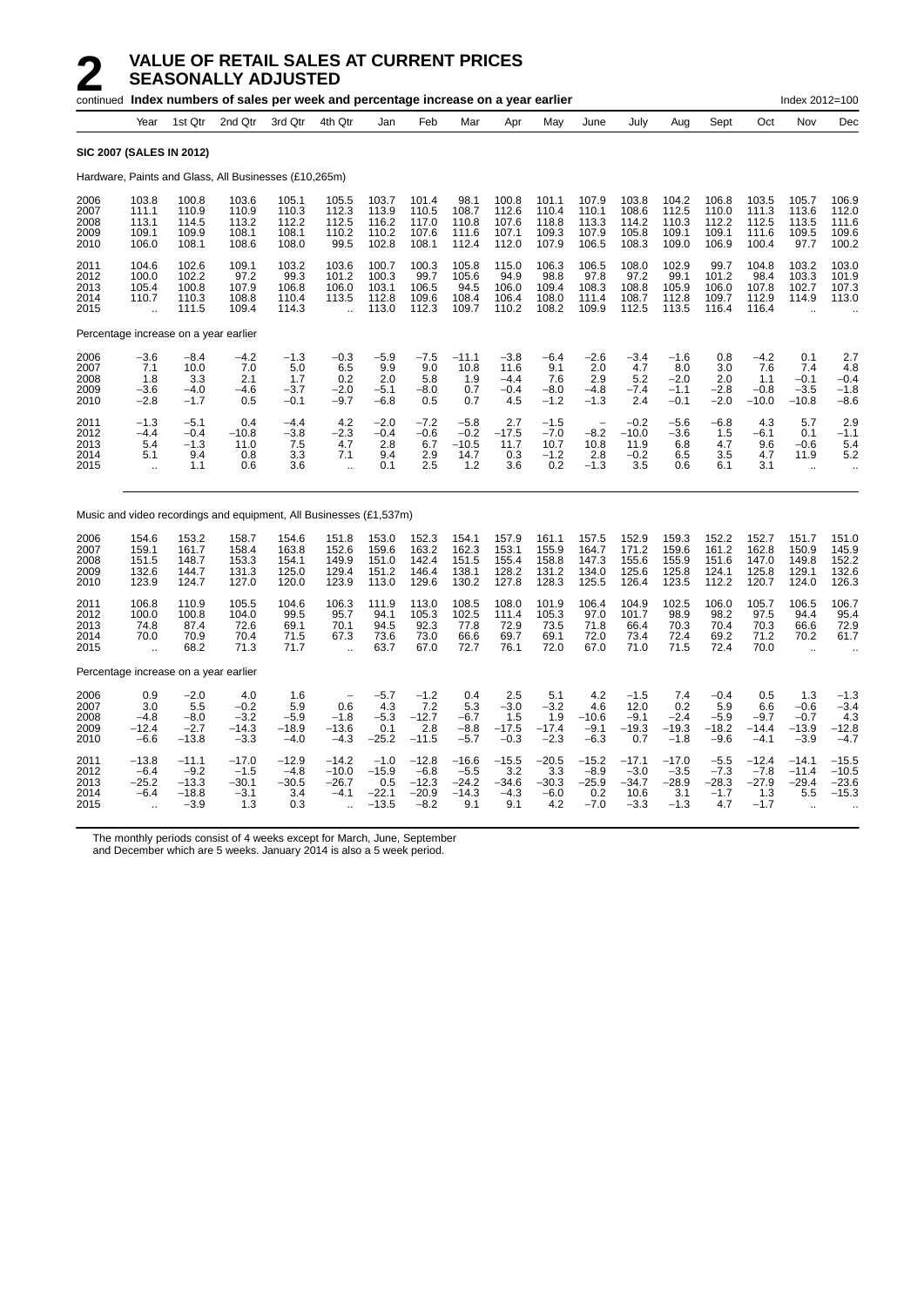|                                      |                                                        |                                                   | continued Index numbers of sales per week and percentage increase on a year earlier |                                            |                                                          |                                                |                                                   |                                                |                                            |                                            |                                               |                                                |                                               |                                              |                                               | Index 2012=100                                       |                                                     |
|--------------------------------------|--------------------------------------------------------|---------------------------------------------------|-------------------------------------------------------------------------------------|--------------------------------------------|----------------------------------------------------------|------------------------------------------------|---------------------------------------------------|------------------------------------------------|--------------------------------------------|--------------------------------------------|-----------------------------------------------|------------------------------------------------|-----------------------------------------------|----------------------------------------------|-----------------------------------------------|------------------------------------------------------|-----------------------------------------------------|
|                                      | Year                                                   | 1st Qtr                                           | 2nd Qtr                                                                             | 3rd Qtr                                    | 4th Qtr                                                  | Jan                                            | Feb                                               | Mar                                            | Apr                                        | May                                        | June                                          | July                                           | Aug                                           | Sept                                         | Oct                                           | Nov                                                  | Dec                                                 |
|                                      |                                                        | SIC 2007 (SALES IN 2012)                          |                                                                                     |                                            |                                                          |                                                |                                                   |                                                |                                            |                                            |                                               |                                                |                                               |                                              |                                               |                                                      |                                                     |
|                                      |                                                        |                                                   | Hardware, Paints and Glass, All Businesses (£10,265m)                               |                                            |                                                          |                                                |                                                   |                                                |                                            |                                            |                                               |                                                |                                               |                                              |                                               |                                                      |                                                     |
| 2006<br>2007<br>2008<br>2009<br>2010 | 103.8<br>111.1<br>113.1<br>109.1<br>106.0              | 100.8<br>110.9<br>114.5<br>109.9<br>108.1         | 103.6<br>110.9<br>113.2<br>108.1<br>108.6                                           | 105.1<br>110.3<br>112.2<br>108.1<br>108.0  | 105.5<br>112.3<br>112.5<br>110.2<br>99.5                 | 103.7<br>113.9<br>116.2<br>110.2<br>102.8      | 101.4<br>110.5<br>117.0<br>107.6<br>108.1         | 98.1<br>108.7<br>110.8<br>111.6<br>112.4       | 100.8<br>112.6<br>107.6<br>107.1<br>112.0  | 101.1<br>110.4<br>118.8<br>109.3<br>107.9  | 107.9<br>110.1<br>113.3<br>107.9<br>106.5     | 103.8<br>108.6<br>114.2<br>105.8<br>108.3      | 104.2<br>112.5<br>110.3<br>109.1<br>109.0     | 106.8<br>110.0<br>112.2<br>109.1<br>106.9    | 103.5<br>111.3<br>112.5<br>111.6<br>100.4     | 105.7<br>113.6<br>113.5<br>109.5<br>97.7             | 106.9<br>112.0<br>111.6<br>109.6<br>100.2           |
| 2011<br>2012<br>2013<br>2014<br>2015 | 104.6<br>100.0<br>105.4<br>110.7<br>$\ddotsc$          | 102.6<br>102.2<br>100.8<br>110.3<br>111.5         | 109.1<br>97.2<br>107.9<br>108.8<br>109.4                                            | 103.2<br>99.3<br>106.8<br>110.4<br>114.3   | 103.6<br>101.2<br>106.0<br>113.5<br>$\ddot{\phantom{a}}$ | 100.7<br>100.3<br>103.1<br>112.8<br>113.0      | 100.3<br>99.7<br>106.5<br>109.6<br>112.3          | 105.8<br>105.6<br>94.5<br>108.4<br>109.7       | 115.0<br>94.9<br>106.0<br>106.4<br>110.2   | 106.3<br>98.8<br>109.4<br>108.0<br>108.2   | 106.5<br>97.8<br>108.3<br>111.4<br>109.9      | 108.0<br>97.2<br>108.8<br>108.7<br>112.5       | 102.9<br>99.1<br>105.9<br>112.8<br>113.5      | 99.7<br>101.2<br>106.0<br>109.7<br>116.4     | 104.8<br>98.4<br>107.8<br>112.9<br>116.4      | 103.2<br>103.3<br>102.7<br>114.9                     | 103.0<br>101.9<br>107.3<br>113.0                    |
|                                      |                                                        | Percentage increase on a year earlier             |                                                                                     |                                            |                                                          |                                                |                                                   |                                                |                                            |                                            |                                               |                                                |                                               |                                              |                                               |                                                      |                                                     |
| 2006<br>2007<br>2008<br>2009<br>2010 | -3.6<br>7.1<br>1.8<br>-3.6<br>$-2.8$                   | $-8.4$<br>10.0<br>3.3<br>$-4.0$<br>$-1.7$         | -4.2<br>7.0<br>2.1<br>-4.6<br>0.5                                                   | $-1.3$<br>5.0<br>1.7<br>$-3.7$<br>$-0.1$   | $-0.3$<br>6.5<br>0.2<br>$-2.0$<br>$-9.7$                 | $-5.9$<br>9.9<br>2.0<br>$-5.1$<br>$-6.8$       | $-7.5$<br>9.0<br>5.8<br>$-8.0$<br>0.5             | $-11.1$<br>10.8<br>1.9<br>0.7<br>0.7           | $-3.8$<br>11.6<br>$-4.4$<br>$-0.4$<br>4.5  | $-6.4$<br>9.1<br>7.6<br>$-8.0$<br>$-1.2$   | $-2.6$<br>2.0<br>2.9<br>$-4.8$<br>$-1.3$      | $-3.4$<br>4.7<br>5.2<br>$-7.4$<br>2.4          | $-1.6$<br>8.0<br>$-2.0$<br>$-1.1$<br>$-0.1$   | 0.8<br>3.0<br>2.0<br>$-2.8$<br>$-2.0$        | $-4.2$<br>7.6<br>1.1<br>$-0.8$<br>$-10.0$     | 0.1<br>7.4<br>$-0.1$<br>$-3.5$<br>$-10.8$            | 2.7<br>4.8<br>$-0.4$<br>$-1.8$<br>$-8.6$            |
| 2011<br>2012<br>2013<br>2014<br>2015 | $-1.3$<br>$-4.4$<br>5.4<br>5.1<br>Ġ.                   | $-5.1$<br>$-0.4$<br>$-1.3$<br>9.4<br>1.1          | 0.4<br>$-10.8$<br>11.0<br>0.8<br>0.6                                                | $-4.4$<br>$-3.8$<br>7.5<br>3.3<br>3.6      | 4.2<br>$-2.3$<br>4.7<br>7.1<br>$\ddot{\phantom{a}}$      | $-2.0$<br>$-0.4$<br>2.8<br>9.4<br>0.1          | $-7.2$<br>$-0.6$<br>6.7<br>2.9<br>2.5             | $-5.8$<br>$-0.2$<br>$-10.5$<br>14.7<br>1.2     | 2.7<br>$-17.5$<br>11.7<br>0.3<br>3.6       | $-1.5$<br>$-7.0$<br>10.7<br>$-1.2$<br>0.2  | $-8.2$<br>10.8<br>2.8<br>$-1.3$               | $-0.2$<br>$-10.0$<br>11.9<br>$-0.2$<br>3.5     | $-5.6$<br>$-3.6$<br>6.8<br>6.5<br>0.6         | $-6.8$<br>1.5<br>4.7<br>3.5<br>6.1           | 4.3<br>$-6.1$<br>9.6<br>4.7<br>3.1            | 5.7<br>0.1<br>$-0.6$<br>11.9<br>$\ddot{\phantom{a}}$ | 2.9<br>$-1.1$<br>5.4<br>5.2<br>$\ddot{\phantom{a}}$ |
|                                      |                                                        |                                                   | Music and video recordings and equipment, All Businesses (£1,537m)                  |                                            |                                                          |                                                |                                                   |                                                |                                            |                                            |                                               |                                                |                                               |                                              |                                               |                                                      |                                                     |
| 2006<br>2007<br>2008<br>2009<br>2010 | 154.6<br>159.1<br>151.5<br>132.6<br>123.9              | 153.2<br>161.7<br>148.7<br>144.7<br>124.7         | 158.7<br>158.4<br>153.3<br>131.3<br>127.0                                           | 154.6<br>163.8<br>154.1<br>125.0<br>120.0  | 151.8<br>152.6<br>149.9<br>129.4<br>123.9                | 153.0<br>159.6<br>151.0<br>151.2<br>113.0      | 152.3<br>163.2<br>142.4<br>146.4<br>129.6         | 154.1<br>162.3<br>151.5<br>138.1<br>130.2      | 157.9<br>153.1<br>155.4<br>128.2<br>127.8  | 161.1<br>155.9<br>158.8<br>131.2<br>128.3  | 157.5<br>164.7<br>147.3<br>134.0<br>125.5     | 152.9<br>171.2<br>155.6<br>125.6<br>126.4      | 159.3<br>159.6<br>155.9<br>125.8<br>123.5     | 152.2<br>161.2<br>151.6<br>124.1<br>112.2    | 152.7<br>162.8<br>147.0<br>125.8<br>120.7     | 151.7<br>150.9<br>149.8<br>129.1<br>124.0            | 151.0<br>145.9<br>152.2<br>132.6<br>126.3           |
| 2011<br>2012<br>2013<br>2014<br>2015 | 106.8<br>100.0<br>74.8<br>70.0<br>$\ddot{\phantom{a}}$ | 110.9<br>100.8<br>87.4<br>70.9<br>68.2            | 105.5<br>104.0<br>72.6<br>70.4<br>71.3                                              | 104.6<br>99.5<br>69.1<br>71.5<br>71.7      | 106.3<br>95.7<br>70.1<br>67.3                            | 111.9<br>94.1<br>94.5<br>73.6<br>63.7          | 113.0<br>105.3<br>92.3<br>73.0<br>67.0            | 108.5<br>102.5<br>77.8<br>66.6<br>72.7         | 108.0<br>111.4<br>72.9<br>69.7<br>76.1     | 101.9<br>105.3<br>73.5<br>69.1<br>72.0     | 106.4<br>97.0<br>71.8<br>72.0<br>67.0         | 104.9<br>101.7<br>66.4<br>73.4<br>71.0         | 102.5<br>98.9<br>70.3<br>72.4<br>71.5         | 106.0<br>98.2<br>70.4<br>69.2<br>72.4        | 105.7<br>97.5<br>70.3<br>71.2<br>70.0         | 106.5<br>94.4<br>66.6<br>70.2                        | 106.7<br>95.4<br>72.9<br>61.7                       |
|                                      |                                                        | Percentage increase on a year earlier             |                                                                                     |                                            |                                                          |                                                |                                                   |                                                |                                            |                                            |                                               |                                                |                                               |                                              |                                               |                                                      |                                                     |
| 2006<br>2007<br>2008<br>2009<br>2010 | 0.9<br>3.0<br>$-4.8$<br>$-12.4$<br>$-6.6$              | $-2.0$<br>5.5<br>$-8.0$<br>$-2.7$<br>$-13.8$      | 4.0<br>$-0.2$<br>$-3.2$<br>$-14.3$<br>$-3.3$                                        | 1.6<br>5.9<br>$-5.9$<br>–18.9<br>$-4.0$    | 0.6<br>$-1.8$<br>$-13.6$<br>$-4.3$                       | $-5.7$<br>4.3<br>$-5.3$<br>0.1<br>$-25.2$      | $-1.2$<br>7.2<br>$-12.7$<br>2.8<br>$-11.5$        | 0.4<br>5.3<br>$-6.7$<br>$-8.8$<br>$-5.7$       | 2.5<br>$-3.0$<br>1.5<br>$-17.5$<br>$-0.3$  | 5.1<br>$-3.2$<br>1.9<br>$-17.4$<br>$-2.3$  | 4.2<br>4.6<br>$-10.6$<br>$-9.1$<br>$-6.3$     | $-1.5$<br>12.0<br>$-9.1$<br>$-19.3$<br>0.7     | 7.4<br>0.2<br>$-2.4$<br>$-19.3$<br>$-1.8$     | $-0.4$<br>5.9<br>$-5.9$<br>$-18.2$<br>$-9.6$ | 0.5<br>6.6<br>$-9.7$<br>$-14.4$<br>$-4.1$     | 1.3<br>$-0.6$<br>$-0.7$<br>$-13.9$<br>$-3.9$         | $-1.3$<br>$-3.4$<br>4.3<br>-12.8<br>$-4.7$          |
| 2011<br>2012<br>2013<br>2014<br>2015 | $-13.8$<br>$-6.4$<br>$-25.2$<br>$-6.4$<br>ä.           | $-11.1$<br>$-9.2$<br>$-13.3$<br>$-18.8$<br>$-3.9$ | $-17.0$<br>$-1.5$<br>$-30.1$<br>$-3.1$<br>1.3                                       | $-12.9$<br>$-4.8$<br>$-30.5$<br>3.4<br>0.3 | $-14.2$<br>$-10.0$<br>$-26.7$<br>$-4.1$                  | $-1.0$<br>$-15.9$<br>0.5<br>$-22.1$<br>$-13.5$ | $-12.8$<br>$-6.8$<br>$-12.3$<br>$-20.9$<br>$-8.2$ | $-16.6$<br>$-5.5$<br>$-24.2$<br>$-14.3$<br>9.1 | $-15.5$<br>3.2<br>$-34.6$<br>$-4.3$<br>9.1 | $-20.5$<br>3.3<br>$-30.3$<br>$-6.0$<br>4.2 | $-15.2$<br>$-8.9$<br>$-25.9$<br>0.2<br>$-7.0$ | $-17.1$<br>$-3.0$<br>$-34.7$<br>10.6<br>$-3.3$ | $-17.0$<br>$-3.5$<br>$-28.9$<br>3.1<br>$-1.3$ | $-5.5$<br>$-7.3$<br>$-28.3$<br>$-1.7$<br>4.7 | $-12.4$<br>$-7.8$<br>$-27.9$<br>1.3<br>$-1.7$ | $-14.1$<br>$-11.4$<br>$-29.4$<br>5.5<br>ä.           | $-15.5$<br>$-10.5$<br>$-23.6$<br>$-15.3$            |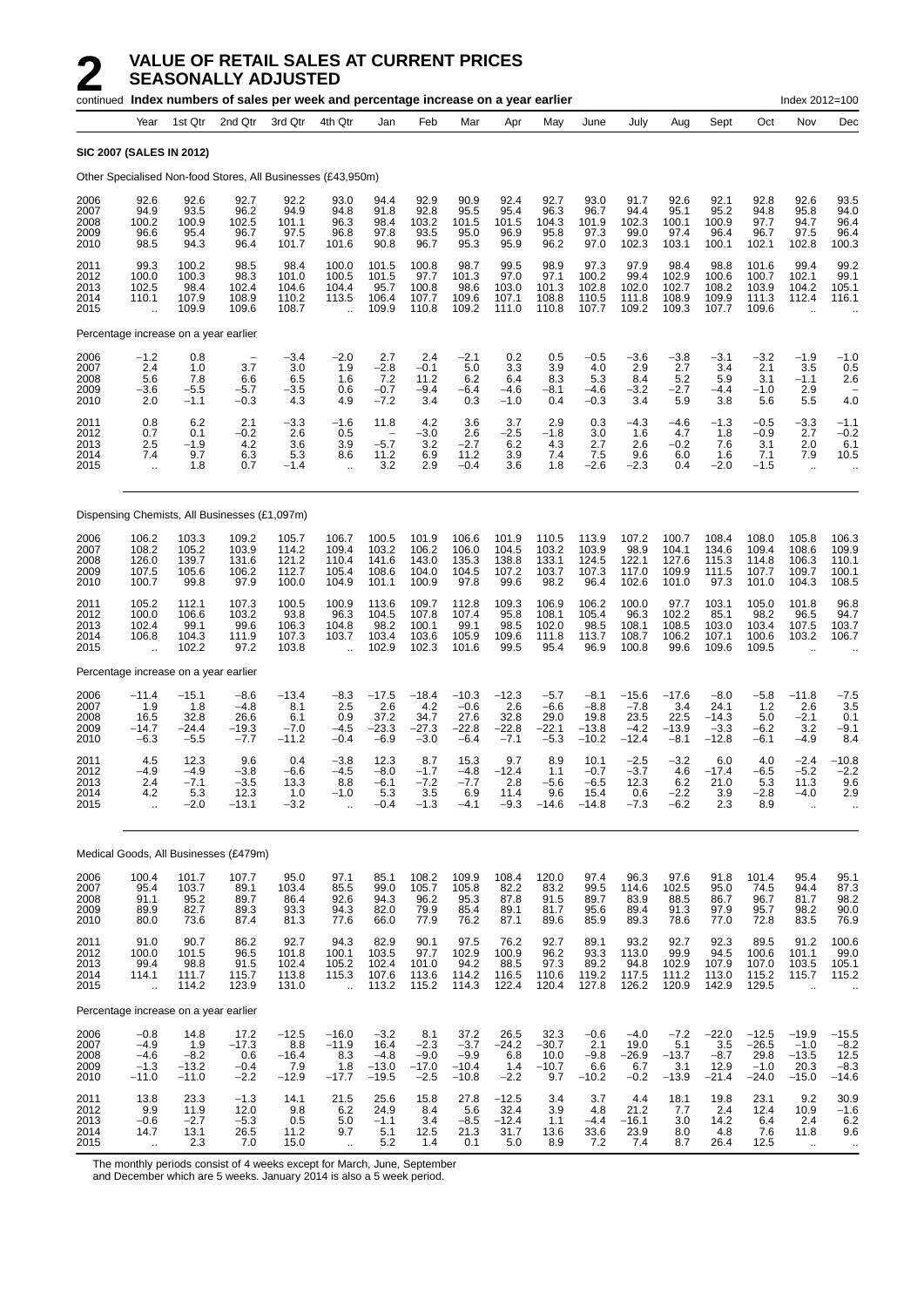|                                       |                                                 |                                               | continued Index numbers of sales per week and percentage increase on a year earlier |                                             |                                                          |                                                           |                                              |                                                   |                                                      |                                               |                                                |                                              |                                             |                                                |                                                 | Index 2012=100                                             |                                              |
|---------------------------------------|-------------------------------------------------|-----------------------------------------------|-------------------------------------------------------------------------------------|---------------------------------------------|----------------------------------------------------------|-----------------------------------------------------------|----------------------------------------------|---------------------------------------------------|------------------------------------------------------|-----------------------------------------------|------------------------------------------------|----------------------------------------------|---------------------------------------------|------------------------------------------------|-------------------------------------------------|------------------------------------------------------------|----------------------------------------------|
|                                       | Year                                            | 1st Qtr                                       | 2nd Qtr                                                                             | 3rd Qtr                                     | 4th Qtr                                                  | Jan                                                       | Feb                                          | Mar                                               | Apr                                                  | May                                           | June                                           | July                                         | Aug                                         | Sept                                           | Oct                                             | Nov                                                        | Dec                                          |
| <b>SIC 2007 (SALES IN 2012)</b>       |                                                 |                                               |                                                                                     |                                             |                                                          |                                                           |                                              |                                                   |                                                      |                                               |                                                |                                              |                                             |                                                |                                                 |                                                            |                                              |
|                                       |                                                 |                                               | Other Specialised Non-food Stores, All Businesses (£43,950m)                        |                                             |                                                          |                                                           |                                              |                                                   |                                                      |                                               |                                                |                                              |                                             |                                                |                                                 |                                                            |                                              |
| 2006<br>2007<br>2008<br>2009<br>2010  | 92.6<br>94.9<br>100.2<br>96.6<br>98.5           | 92.6<br>93.5<br>100.9<br>95.4<br>94.3         | 92.7<br>96.2<br>102.5<br>96.7<br>96.4                                               | 92.2<br>94.9<br>101.1<br>97.5<br>101.7      | 93.0<br>94.8<br>96.3<br>96.8<br>101.6                    | 94.4<br>91.8<br>98.4<br>97.8<br>90.8                      | 92.9<br>92.8<br>103.2<br>93.5<br>96.7        | 90.9<br>95.5<br>101.5<br>95.0<br>95.3             | 92.4<br>95.4<br>101.5<br>96.9<br>95.9                | 92.7<br>96.3<br>104.3<br>95.8<br>96.2         | 93.0<br>96.7<br>101.9<br>97.3<br>97.0          | 91.7<br>94.4<br>102.3<br>99.0<br>102.3       | 92.6<br>95.1<br>100.1<br>97.4<br>103.1      | 92.1<br>95.2<br>100.9<br>96.4<br>100.1         | 92.8<br>94.8<br>97.7<br>96.7<br>102.1           | 92.6<br>95.8<br>94.7<br>97.5<br>102.8                      | 93.5<br>94.0<br>96.4<br>96.4<br>100.3        |
| 2011<br>2012<br>2013<br>2014<br>2015  | 99.3<br>100.0<br>102.5<br>110.1<br>÷.           | 100.2<br>100.3<br>98.4<br>107.9<br>109.9      | 98.5<br>98.3<br>102.4<br>108.9<br>109.6                                             | 98.4<br>101.0<br>104.6<br>110.2<br>108.7    | 100.0<br>100.5<br>104.4<br>113.5<br>$\ddot{\phantom{a}}$ | 101.5<br>101.5<br>95.7<br>106.4<br>109.9                  | 100.8<br>97.7<br>100.8<br>107.7<br>110.8     | 98.7<br>101.3<br>98.6<br>109.6<br>109.2           | 99.5<br>97.0<br>103.0<br>107.1<br>111.0              | 98.9<br>97.1<br>101.3<br>108.8<br>110.8       | 97.3<br>100.2<br>102.8<br>110.5<br>107.7       | 97.9<br>99.4<br>102.0<br>111.8<br>109.2      | 98.4<br>102.9<br>102.7<br>108.9<br>109.3    | 98.8<br>100.6<br>108.2<br>109.9<br>107.7       | 101.6<br>100.7<br>103.9<br>111.3<br>109.6       | 99.4<br>102.1<br>104.2<br>112.4                            | 99.2<br>99.1<br>105.1<br>116.1               |
| Percentage increase on a year earlier |                                                 |                                               |                                                                                     |                                             |                                                          |                                                           |                                              |                                                   |                                                      |                                               |                                                |                                              |                                             |                                                |                                                 |                                                            |                                              |
| 2006<br>2007<br>2008<br>2009<br>2010  | $-1.2$<br>2.4<br>5.6<br>$-3.6$<br>2.0           | 0.8<br>1.0<br>7.8<br>$-5.5$<br>$-1.1$         | $\overline{\phantom{0}}$<br>3.7<br>6.6<br>$-5.7$<br>$-0.3$                          | $-3.4$<br>3.0<br>6.5<br>$-3.5$<br>4.3       | $-2.0$<br>1.9<br>1.6<br>0.6<br>4.9                       | 2.7<br>$-2.8$<br>7.2<br>$-0.7$<br>$-7.2$                  | 2.4<br>$-0.1$<br>11.2<br>$-9.4$<br>3.4       | $-2.1$<br>5.0<br>6.2<br>$-6.4$<br>0.3             | 0.2<br>3.3<br>6.4<br>$-4.6$<br>$-1.0$                | 0.5<br>3.9<br>8.3<br>-8.1<br>0.4              | $-0.5$<br>4.0<br>5.3<br>-4.6<br>$-0.3$         | $-3.6$<br>2.9<br>8.4<br>$-3.2$<br>3.4        | $-3.8$<br>2.7<br>5.2<br>$-2.7$<br>5.9       | $-3.1$<br>3.4<br>5.9<br>$-4.4$<br>3.8          | $-3.2$<br>2.1<br>3.1<br>$-1.0$<br>5.6           | $-1.9$<br>3.5<br>$-1.1$<br>2.9<br>5.5                      | $-1.0$<br>0.5<br>2.6<br>4.0                  |
| 2011<br>2012<br>2013<br>2014<br>2015  | 0.8<br>0.7<br>2.5<br>7.4<br>$\ddotsc$           | 6.2<br>0.1<br>$-1.9$<br>9.7<br>1.8            | 2.1<br>$-0.2$<br>4.2<br>6.3<br>0.7                                                  | $-3.3$<br>2.6<br>3.6<br>5.3<br>$-1.4$       | $-1.6$<br>0.5<br>3.9<br>8.6<br>$\ddot{\phantom{a}}$      | 11.8<br>$\overline{\phantom{a}}$<br>$-5.7$<br>11.2<br>3.2 | 4.2<br>$-3.0$<br>3.2<br>6.9<br>2.9           | 3.6<br>2.6<br>$-2.7$<br>11.2<br>$-0.4$            | 3.7<br>$-2.5$<br>6.2<br>3.9<br>3.6                   | 2.9<br>$-1.8$<br>4.3<br>7.4<br>1.8            | 0.3<br>3.0<br>2.7<br>7.5<br>$-2.6$             | $-4.3$<br>1.6<br>2.6<br>9.6<br>$-2.3$        | $-4.6$<br>4.7<br>$-0.2$<br>6.0<br>0.4       | $-1.3$<br>1.8<br>7.6<br>1.6<br>$-2.0$          | $-0.5$<br>$-0.9$<br>3.1<br>7.1<br>$-1.5$        | $-3.3$<br>2.7<br>2.0<br>7.9<br>$\bar{\mathbf{r}}$          | $-1.1$<br>$-0.2$<br>6.1<br>10.5              |
|                                       |                                                 |                                               | Dispensing Chemists, All Businesses (£1,097m)                                       |                                             |                                                          |                                                           |                                              |                                                   |                                                      |                                               |                                                |                                              |                                             |                                                |                                                 |                                                            |                                              |
| 2006<br>2007<br>2008<br>2009<br>2010  | 106.2<br>108.2<br>126.0<br>107.5<br>100.7       | 103.3<br>105.2<br>139.7<br>105.6<br>99.8      | 109.2<br>103.9<br>131.6<br>106.2<br>97.9                                            | 105.7<br>114.2<br>121.2<br>112.7<br>100.0   | 106.7<br>109.4<br>110.4<br>105.4<br>104.9                | 100.5<br>103.2<br>141.6<br>108.6<br>101.1                 | 101.9<br>106.2<br>143.0<br>104.0<br>100.9    | 106.6<br>106.0<br>135.3<br>104.5<br>97.8          | 101.9<br>104.5<br>138.8<br>107.2<br>99.6             | 110.5<br>103.2<br>133.1<br>103.7<br>98.2      | 113.9<br>103.9<br>124.5<br>107.3<br>96.4       | 107.2<br>98.9<br>122.1<br>117.0<br>102.6     | 100.7<br>104.1<br>127.6<br>109.9<br>101.0   | 108.4<br>134.6<br>115.3<br>111.5<br>97.3       | 108.0<br>109.4<br>114.8<br>107.7<br>101.0       | 105.8<br>108.6<br>106.3<br>109.7<br>104.3                  | 106.3<br>109.9<br>110.1<br>100.1<br>108.5    |
| 2011<br>2012<br>2013<br>2014<br>2015  | 105.2<br>100.0<br>102.4<br>106.8<br>ă,          | 112.1<br>106.6<br>99.1<br>104.3<br>102.2      | 107.3<br>103.2<br>99.6<br>111.9<br>97.2                                             | 100.5<br>93.8<br>106.3<br>107.3<br>103.8    | 100.9<br>96.3<br>104.8<br>103.7<br>ä,                    | 113.6<br>104.5<br>98.2<br>103.4<br>102.9                  | 109.7<br>107.8<br>100.1<br>103.6<br>102.3    | 112.8<br>107.4<br>99.1<br>105.9<br>101.6          | 109.3<br>95.8<br>98.5<br>109.6<br>99.5               | 106.9<br>108.1<br>102.0<br>111.8<br>95.4      | 106.2<br>105.4<br>98.5<br>113.7<br>96.9        | 100.0<br>96.3<br>108.1<br>108.7<br>100.8     | 97.7<br>102.2<br>108.5<br>106.2<br>99.6     | 103.1<br>85.1<br>103.0<br>107.1<br>109.6       | 105.0<br>98.2<br>103.4<br>100.6<br>109.5        | 101.8<br>96.5<br>107.5<br>103.2<br>$\ddot{\phantom{a}}$    | 96.8<br>94.7<br>103.7<br>106.7               |
| Percentage increase on a year earlier |                                                 |                                               |                                                                                     |                                             |                                                          |                                                           |                                              |                                                   |                                                      |                                               |                                                |                                              |                                             |                                                |                                                 |                                                            |                                              |
| 2006<br>2007<br>2008<br>2009<br>2010  | $-11.4$<br>1.9<br>16.5<br>$-14.7$<br>$-6.3$     | -15.1<br>1.8<br>32.8<br>-24.4<br>$-5.5$       | $-8.6$<br>$-4.8$<br>26.6<br>$-19.3$<br>$-7.7$                                       | $-13.4$<br>8.1<br>6.1<br>$-7.0$<br>$-11.2$  | $-8.3$<br>2.5<br>0.9<br>$-4.5$<br>$-0.4$                 | $-17.5$<br>2.6<br>37.2<br>$-23.3$<br>$-6.9$               | $-18.4$<br>4.2<br>34.7<br>$-27.3$<br>$-3.0$  | $-10.3$<br>$-0.6$<br>27.6<br>$-22.8$<br>$-6.4$    | $-12.3$<br>2.6<br>32.8<br>$-22.8$<br>$-7.1$          | $-5.7$<br>$-6.6$<br>29.0<br>$-22.1$<br>$-5.3$ | $-8.1$<br>$-8.8$<br>19.8<br>$-13.8$<br>$-10.2$ | $-15.6$<br>$-7.8$<br>23.5<br>$-4.2$<br>-12.4 | $-17.6$<br>3.4<br>22.5<br>$-13.9$<br>$-8.1$ | $-8.0$<br>24.1<br>$-14.3$<br>$-3.3$<br>$-12.8$ | -5.8<br>1.2<br>5.0<br>$-6.2$<br>-6.1            | $-11.8$<br>2.6<br>$-2.1$<br>3.2<br>-4.9                    | $-7.5$<br>3.5<br>0.1<br>$-9.1$<br>8.4        |
| 2011<br>2012<br>2013<br>2014<br>2015  | 4.5<br>$-4.9$<br>2.4<br>4.2<br>ä.               | 12.3<br>$-4.9$<br>$-7.1$<br>5.3<br>$-2.0$     | 9.6<br>$-3.8$<br>-3.5<br>12.3<br>$-13.1$                                            | 0.4<br>$-6.6$<br>13.3<br>1.0<br>$-3.2$      | $-3.8$<br>$-4.5$<br>8.8<br>$-1.0$                        | 12.3<br>$-8.0$<br>$-6.1$<br>5.3<br>$-0.4$                 | 8.7<br>$-1.7$<br>$-7.2$<br>3.5<br>$-1.3$     | 15.3<br>$-4.8$<br>$-7.7$<br>6.9<br>$-4.1$         | 9.7<br>$-12.4$<br>2.8<br>11.4<br>$-9.3$              | 8.9<br>1.1<br>-5.6<br>9.6<br>$-14.6$          | 10.1<br>$-0.7$<br>-6.5<br>15.4<br>$-14.8$      | $-2.5$<br>$-3.7$<br>12.3<br>0.6<br>$-7.3$    | $-3.2$<br>4.6<br>6.2<br>$-2.2$<br>$-6.2$    | 6.0<br>$-17.4$<br>21.0<br>3.9<br>2.3           | 4.0<br>$-6.5$<br>5.3<br>$-2.8$<br>8.9           | $-2.4$<br>$-5.2$<br>11.3<br>$-4.0$<br>$\ddot{\phantom{a}}$ | $-10.8$<br>$-2.2$<br>9.6<br>2.9              |
|                                       |                                                 |                                               | Medical Goods, All Businesses (£479m)                                               |                                             |                                                          |                                                           |                                              |                                                   |                                                      |                                               |                                                |                                              |                                             |                                                |                                                 |                                                            |                                              |
| 2006<br>2007<br>2008<br>2009<br>2010  | 100.4<br>95.4<br>91.1<br>89.9<br>80.0           | 101.7<br>$\frac{103.7}{95.2}$<br>82.7<br>73.6 | 107.7<br>89.1<br>89.7<br>89.3<br>87.4                                               | 95.0<br>103.4<br>86.4<br>93.3<br>81.3       | 97.1<br>85.5<br>92.6<br>94.3<br>77.6                     | 85.1<br>99.0<br>94.3<br>82.0<br>66.0                      | 108.2<br>105.7<br>96.2<br>79.9<br>77.9       | 109.9<br>105.8<br>95.3<br>85.4<br>76.2            | 108.4<br>82.2<br>87.8<br>89.1<br>87.1                | 120.0<br>83.2<br>91.5<br>81.7<br>89.6         | 97.4<br>99.5<br>89.7<br>95.6<br>85.9           | 96.3<br>114.6<br>83.9<br>89.4<br>89.3        | 97.6<br>102.5<br>88.5<br>91.3<br>78.6       | 91.8<br>95.0<br>86.7<br>97.9<br>77.0           | 101.4<br>74.5<br>96.7<br>95.7<br>72.8           | 95.4<br>94.4<br>81.7<br>98.2<br>83.5                       | 95.1<br>87.3<br>98.2<br>90.0<br>76.9         |
| 2011<br>2012<br>2013<br>2014<br>2015  | 91.0<br>100.0<br>99.4<br>114.1<br>$\ddotsc$     | 90.7<br>101.5<br>98.8<br>111.7<br>114.2       | 86.2<br>96.5<br>91.5<br>115.7<br>123.9                                              | 92.7<br>101.8<br>102.4<br>113.8<br>131.0    | 94.3<br>100.1<br>105.2<br>115.3<br>$\ddot{\phantom{a}}$  | 82.9<br>103.5<br>102.4<br>107.6<br>113.2                  | 90.1<br>97.7<br>101.0<br>113.6<br>115.2      | 97.5<br>102.9<br>94.2<br>114.2<br>114.3           | 76.2<br>$\substack{100.9 \\ 88.5}$<br>116.5<br>122.4 | 92.7<br>96.2<br>97.3<br>110.6<br>120.4        | 89.1<br>93.3<br>89.2<br>119.2<br>127.8         | 93.2<br>113.0<br>94.8<br>117.5<br>126.2      | 92.7<br>99.9<br>102.9<br>111.2<br>120.9     | 92.3<br>94.5<br>107.9<br>113.0<br>142.9        | 89.5<br>100.6<br>107.0<br>115.2<br>129.5        | 91.2<br>101.1<br>103.5<br>115.7                            | 100.6<br>99.0<br>105.1<br>115.2              |
| Percentage increase on a year earlier |                                                 |                                               |                                                                                     |                                             |                                                          |                                                           |                                              |                                                   |                                                      |                                               |                                                |                                              |                                             |                                                |                                                 |                                                            |                                              |
| 2006<br>2007<br>2008<br>2009<br>2010  | $-0.8$<br>$-4.9$<br>$-4.6$<br>$-1.3$<br>$-11.0$ | 14.8<br>1.9<br>$-8.2$<br>$-13.2$<br>$-11.0$   | 17.2<br>$-17.3$<br>0.6<br>$-0.4$<br>$-2.2$                                          | $-12.5$<br>8.8<br>$-16.4$<br>7.9<br>$-12.9$ | $-16.0$<br>$-11.9$<br>8.3<br>1.8<br>$-17.7$              | $-3.2$<br>16.4<br>$-4.8$<br>$-13.0$<br>$-19.5$            | 8.1<br>$-2.3$<br>$-9.0$<br>$-17.0$<br>$-2.5$ | 37.2<br>$-3.7$<br>$-9.9$<br>$-10.4$<br>$-10.8$    | 26.5<br>$-24.2$<br>6.8<br>1.4<br>$-2.2$              | 32.3<br>$-30.7$<br>10.0<br>$-10.7$<br>9.7     | $-0.6$<br>2.1<br>$-9.8$<br>6.6<br>$-10.2$      | $-4.0$<br>19.0<br>$-26.9$<br>6.7<br>$-0.2$   | $-7.2$<br>5.1<br>$-13.7$<br>3.1<br>$-13.9$  | $-22.0$<br>3.5<br>$-8.7$<br>12.9<br>$-21.4$    | $-12.5$<br>$-26.5$<br>29.8<br>$-1.0$<br>$-24.0$ | $-19.9$<br>$-1.0$<br>$-13.5$<br>20.3<br>$-15.0$            | -15.5<br>$-8.2$<br>12.5<br>$-8.3$<br>$-14.6$ |
| 2011<br>2012<br>2013<br>2014<br>2015  | 13.8<br>9.9<br>$-0.6$<br>14.7<br>$\sim$         | 23.3<br>11.9<br>$-2.7$<br>13.1<br>2.3         | $-1.3$<br>12.0<br>$-5.3$<br>26.5<br>7.0                                             | 14.1<br>9.8<br>0.5<br>11.2<br>15.0          | 21.5<br>6.2<br>5.0<br>9.7                                | 25.6<br>24.9<br>$-1.1$<br>5.1<br>5.2                      | 15.8<br>8.4<br>3.4<br>12.5<br>1.4            | 27.8<br>5.6<br>$-8.5$<br>$21.\overline{3}$<br>0.1 | $-12.5$<br>32.4<br>$-12.4$<br>31.7<br>5.0            | 3.4<br>3.9<br>1.1<br>13.6<br>8.9              | 3.7<br>4.8<br>$-4.4$<br>33.6<br>7.2            | 4.4<br>21.2<br>$-16.1$<br>23.9<br>7.4        | 18.1<br>7.7<br>3.0<br>8.0<br>8.7            | 19.8<br>2.4<br>14.2<br>4.8<br>26.4             | 23.1<br>12.4<br>6.4<br>7.6<br>12.5              | 9.2<br>10.9<br>2.4<br>11.8<br>$\ldots$                     | 30.9<br>$-1.6$<br>6.2<br>9.6<br>$\sim$       |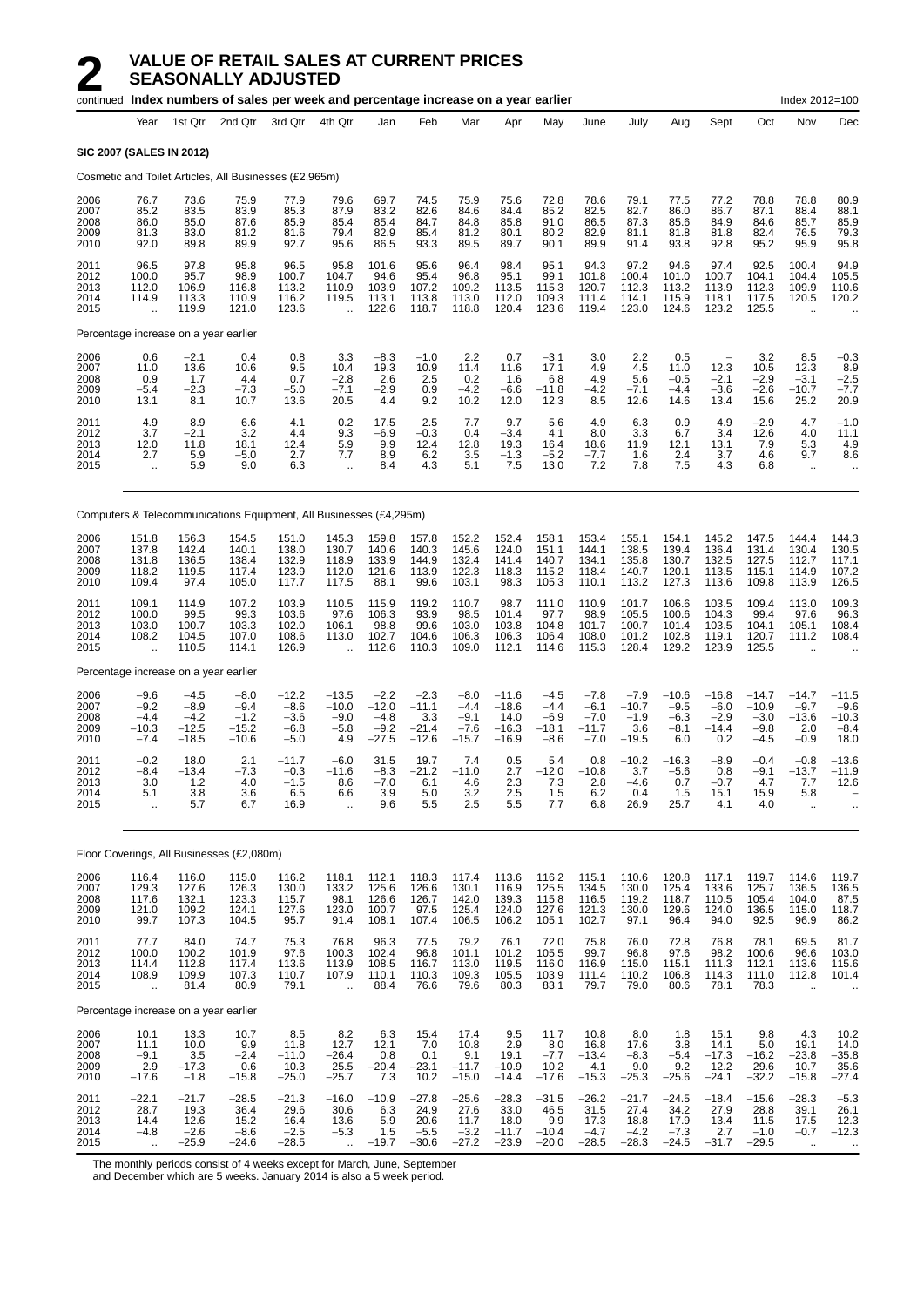|                                      |                                                         |                                                  | continued Index numbers of sales per week and percentage increase on a year earlier |                                                 |                                                         |                                                  |                                                |                                                 |                                                  |                                                 |                                                 |                                               |                                              |                                                    |                                                  | Index 2012=100                                          |                                            |
|--------------------------------------|---------------------------------------------------------|--------------------------------------------------|-------------------------------------------------------------------------------------|-------------------------------------------------|---------------------------------------------------------|--------------------------------------------------|------------------------------------------------|-------------------------------------------------|--------------------------------------------------|-------------------------------------------------|-------------------------------------------------|-----------------------------------------------|----------------------------------------------|----------------------------------------------------|--------------------------------------------------|---------------------------------------------------------|--------------------------------------------|
|                                      | Year                                                    | 1st Qtr                                          | 2nd Qtr                                                                             | 3rd Qtr                                         | 4th Qtr                                                 | Jan                                              | Feb                                            | Mar                                             | Apr                                              | May                                             | June                                            | July                                          | Aug                                          | Sept                                               | Oct                                              | Nov                                                     | Dec                                        |
|                                      | <b>SIC 2007 (SALES IN 2012)</b>                         |                                                  |                                                                                     |                                                 |                                                         |                                                  |                                                |                                                 |                                                  |                                                 |                                                 |                                               |                                              |                                                    |                                                  |                                                         |                                            |
|                                      |                                                         |                                                  | Cosmetic and Toilet Articles, All Businesses (£2,965m)                              |                                                 |                                                         |                                                  |                                                |                                                 |                                                  |                                                 |                                                 |                                               |                                              |                                                    |                                                  |                                                         |                                            |
| 2006<br>2007<br>2008<br>2009<br>2010 | 76.7<br>85.2<br>86.0<br>81.3<br>92.0                    | 73.6<br>83.5<br>85.0<br>83.0<br>89.8             | 75.9<br>83.9<br>87.6<br>81.2<br>89.9                                                | 77.9<br>85.3<br>85.9<br>81.6<br>92.7            | 79.6<br>87.9<br>85.4<br>79.4<br>95.6                    | 69.7<br>83.2<br>85.4<br>82.9<br>86.5             | 74.5<br>82.6<br>84.7<br>85.4<br>93.3           | 75.9<br>84.6<br>84.8<br>81.2<br>89.5            | 75.6<br>84.4<br>85.8<br>80.1<br>89.7             | 72.8<br>85.2<br>91.0<br>80.2<br>90.1            | 78.6<br>82.5<br>86.5<br>82.9<br>89.9            | 79.1<br>82.7<br>87.3<br>81.1<br>91.4          | 77.5<br>86.0<br>85.6<br>81.8<br>93.8         | 77.2<br>86.7<br>84.9<br>81.8<br>92.8               | 78.8<br>87.1<br>84.6<br>82.4<br>95.2             | 78.8<br>88.4<br>85.7<br>76.5<br>95.9                    | 80.9<br>88.1<br>85.9<br>79.3<br>95.8       |
| 2011<br>2012<br>2013<br>2014<br>2015 | 96.5<br>100.0<br>112.0<br>114.9<br>$\ddotsc$            | 97.8<br>95.7<br>106.9<br>113.3<br>119.9          | 95.8<br>98.9<br>116.8<br>110.9<br>121.0                                             | 96.5<br>100.7<br>113.2<br>116.2<br>123.6        | 95.8<br>104.7<br>110.9<br>119.5<br>$\ddot{\phantom{a}}$ | 101.6<br>94.6<br>103.9<br>113.1<br>122.6         | 95.6<br>95.4<br>107.2<br>113.8<br>118.7        | 96.4<br>96.8<br>109.2<br>113.0<br>118.8         | 98.4<br>95.1<br>113.5<br>112.0<br>120.4          | 95.1<br>99.1<br>115.3<br>109.3<br>123.6         | 94.3<br>101.8<br>120.7<br>111.4<br>119.4        | 97.2<br>100.4<br>112.3<br>114.1<br>123.0      | 94.6<br>101.0<br>113.2<br>115.9<br>124.6     | 97.4<br>100.7<br>113.9<br>118.1<br>123.2           | 92.5<br>104.1<br>112.3<br>117.5<br>125.5         | 100.4<br>104.4<br>109.9<br>120.5                        | 94.9<br>105.5<br>110.6<br>120.2            |
|                                      | Percentage increase on a year earlier                   |                                                  |                                                                                     |                                                 |                                                         |                                                  |                                                |                                                 |                                                  |                                                 |                                                 |                                               |                                              |                                                    |                                                  |                                                         |                                            |
| 2006<br>2007<br>2008<br>2009<br>2010 | 0.6<br>11.0<br>0.9<br>$-5.4$<br>13.1                    | $-2.1$<br>13.6<br>1.7<br>$-2.3$<br>8.1           | 0.4<br>10.6<br>4.4<br>$-7.3$<br>10.7                                                | 0.8<br>9.5<br>0.7<br>$-5.0$<br>13.6             | 3.3<br>10.4<br>$-2.8$<br>$-7.1$<br>20.5                 | $-8.3$<br>19.3<br>2.6<br>$-2.9$<br>4.4           | $-1.0$<br>10.9<br>2.5<br>0.9<br>9.2            | 2.2<br>11.4<br>0.2<br>$-4.2$<br>10.2            | 0.7<br>11.6<br>1.6<br>$-6.6$<br>12.0             | $-3.1$<br>17.1<br>6.8<br>$-11.8$<br>12.3        | 3.0<br>4.9<br>4.9<br>$-4.2$<br>8.5              | 2.2<br>4.5<br>5.6<br>$-7.1$<br>12.6           | 0.5<br>11.0<br>$-0.5$<br>$-4.4$<br>14.6      | $\overline{a}$<br>12.3<br>$-2.1$<br>$-3.6$<br>13.4 | 3.2<br>10.5<br>$-2.9$<br>$-2.6$<br>15.6          | 8.5<br>12.3<br>$-3.1$<br>$-10.7$<br>25.2                | $-0.3$<br>8.9<br>$-2.5$<br>$-7.7$<br>20.9  |
| 2011<br>2012<br>2013<br>2014<br>2015 | 4.9<br>3.7<br>12.0<br>2.7<br>÷.                         | 8.9<br>$-2.1$<br>11.8<br>5.9<br>5.9              | 6.6<br>3.2<br>18.1<br>$-5.0$<br>9.0                                                 | 4.1<br>4.4<br>12.4<br>2.7<br>6.3                | 0.2<br>9.3<br>5.9<br>7.7<br>$\ddotsc$                   | 17.5<br>-6.9<br>9.9<br>8.9<br>8.4                | 2.5<br>$-0.3$<br>12.4<br>6.2<br>4.3            | 7.7<br>0.4<br>12.8<br>3.5<br>5.1                | 9.7<br>$-3.4$<br>19.3<br>-1.3<br>7.5             | 5.6<br>4.1<br>16.4<br>$-5.2$<br>13.0            | 4.9<br>8.0<br>18.6<br>$-7.7$<br>7.2             | 6.3<br>3.3<br>11.9<br>1.6<br>7.8              | 0.9<br>6.7<br>12.1<br>2.4<br>7.5             | 4.9<br>3.4<br>13.1<br>3.7<br>4.3                   | $-2.9$<br>12.6<br>7.9<br>4.6<br>6.8              | 4.7<br>4.0<br>5.3<br>9.7<br>$\ddotsc$                   | $-1.0$<br>11.1<br>4.9<br>8.6<br>$\ddotsc$  |
|                                      |                                                         |                                                  | Computers & Telecommunications Equipment, All Businesses (£4,295m)                  |                                                 |                                                         |                                                  |                                                |                                                 |                                                  |                                                 |                                                 |                                               |                                              |                                                    |                                                  |                                                         |                                            |
| 2006<br>2007<br>2008<br>2009<br>2010 | 151.8<br>137.8<br>131.8<br>118.2<br>109.4               | 156.3<br>142.4<br>136.5<br>119.5<br>97.4         | 154.5<br>140.1<br>138.4<br>117.4<br>105.0                                           | 151.0<br>138.0<br>132.9<br>123.9<br>117.7       | 145.3<br>130.7<br>118.9<br>112.0<br>117.5               | 159.8<br>140.6<br>133.9<br>121.6<br>88.1         | 157.8<br>140.3<br>144.9<br>113.9<br>99.6       | 152.2<br>145.6<br>132.4<br>122.3<br>103.1       | 152.4<br>124.0<br>141.4<br>118.3<br>98.3         | 158.1<br>151.1<br>140.7<br>115.2<br>105.3       | 153.4<br>144.1<br>134.1<br>118.4<br>110.1       | 155.1<br>138.5<br>135.8<br>140.7<br>113.2     | 154.1<br>139.4<br>130.7<br>120.1<br>127.3    | 145.2<br>136.4<br>132.5<br>113.5<br>113.6          | 147.5<br>131.4<br>127.5<br>115.1<br>109.8        | 144.4<br>130.4<br>112.7<br>114.9<br>113.9               | 144.3<br>130.5<br>117.1<br>107.2<br>126.5  |
| 2011<br>2012<br>2013<br>2014<br>2015 | 109.1<br>100.0<br>103.0<br>108.2<br>$\bar{\mathbf{r}}$  | 114.9<br>99.5<br>100.7<br>104.5<br>110.5         | 107.2<br>99.3<br>103.3<br>107.0<br>114.1                                            | 103.9<br>103.6<br>102.0<br>108.6<br>126.9       | 110.5<br>97.6<br>106.1<br>113.0<br>$\ddot{\phantom{a}}$ | 115.9<br>106.3<br>98.8<br>102.7<br>112.6         | 119.2<br>93.9<br>99.6<br>104.6<br>110.3        | 110.7<br>98.5<br>103.0<br>106.3<br>109.0        | 98.7<br>101.4<br>103.8<br>106.3<br>112.1         | 111.0<br>97.7<br>104.8<br>106.4<br>114.6        | 110.9<br>98.9<br>101.7<br>108.0<br>115.3        | 101.7<br>105.5<br>100.7<br>101.2<br>128.4     | 106.6<br>100.6<br>101.4<br>102.8<br>129.2    | 103.5<br>104.3<br>103.5<br>119.1<br>123.9          | 109.4<br>99.4<br>104.1<br>120.7<br>125.5         | 113.0<br>97.6<br>105.1<br>111.2<br>$\ddot{\phantom{a}}$ | 109.3<br>96.3<br>108.4<br>108.4            |
|                                      | Percentage increase on a year earlier                   |                                                  |                                                                                     |                                                 |                                                         |                                                  |                                                |                                                 |                                                  |                                                 |                                                 |                                               |                                              |                                                    |                                                  |                                                         |                                            |
| 2006<br>2007<br>2008<br>2009<br>2010 | $-9.6$<br>$-9.2$<br>$-4.4$<br>$-10.3$<br>$-7.4$         | $-4.5$<br>$-8.9$<br>$-4.2$<br>$-12.5$<br>$-18.5$ | $-8.0$<br>$-9.4$<br>$-1.2$<br>$-15.2$<br>$-10.6$                                    | $-12.2$<br>$-8.6$<br>$-3.6$<br>$-6.8$<br>$-5.0$ | $-13.5$<br>$-10.0$<br>$-9.0$<br>$-5.8$<br>4.9           | $-2.2$<br>$-12.0$<br>$-4.8$<br>$-9.2$<br>$-27.5$ | $-2.3$<br>$-11.1$<br>3.3<br>$-21.4$<br>$-12.6$ | $-8.0$<br>$-4.4$<br>$-9.1$<br>$-7.6$<br>$-15.7$ | $-11.6$<br>$-18.6$<br>14.0<br>$-16.3$<br>$-16.9$ | $-4.5$<br>$-4.4$<br>$-6.9$<br>$-18.1$<br>$-8.6$ | $-7.8$<br>$-6.1$<br>$-7.0$<br>$-11.7$<br>$-7.0$ | $-7.9$<br>$-10.7$<br>$-1.9$<br>3.6<br>$-19.5$ | $-10.6$<br>$-9.5$<br>$-6.3$<br>$-8.1$<br>6.0 | $-16.8$<br>$-6.0$<br>$-2.9$<br>$-14.4$<br>0.2      | $-14.7$<br>$-10.9$<br>$-3.0$<br>$-9.8$<br>$-4.5$ | $-14.7$<br>$-9.7$<br>$-13.6$<br>2.0<br>$-0.9$           | -11.5<br>$-9.6$<br>-10.3<br>$-8.4$<br>18.0 |
| 2011<br>2012<br>2013<br>2014<br>2015 | $-0.2$<br>$-8.4$<br>3.0<br>5.1<br>$\ddot{\phantom{a}}$  | 18.0<br>$-13.4$<br>1.2<br>3.8<br>5.7             | 2.1<br>$-7.3$<br>4.0<br>3.6<br>6.7                                                  | $-11.7$<br>$-0.3$<br>$-1.5$<br>6.5<br>16.9      | $-6.0$<br>$-11.6$<br>8.6<br>6.6<br>$\ddot{\phantom{a}}$ | 31.5<br>$-8.3$<br>$-7.0$<br>3.9<br>9.6           | 19.7<br>$-21.2$<br>6.1<br>5.0<br>5.5           | 7.4<br>$-11.0$<br>4.6<br>3.2<br>2.5             | 0.5<br>2.7<br>2.3<br>2.5<br>5.5                  | 5.4<br>$-12.0$<br>7.3<br>1.5<br>7.7             | 0.8<br>$-10.8$<br>2.8<br>6.2<br>6.8             | $-10.2$<br>3.7<br>-4.6<br>0.4<br>26.9         | $-16.3$<br>$-5.6$<br>0.7<br>1.5<br>25.7      | $-8.9$<br>0.8<br>$-0.7$<br>15.1<br>4.1             | $-0.4$<br>$-9.1$<br>4.7<br>15.9<br>4.0           | $-0.8$<br>$-13.7$<br>7.7<br>5.8<br>$\ddot{\phantom{a}}$ | $-13.6$<br>$-11.9$<br>12.6<br>ä.           |
|                                      |                                                         |                                                  | Floor Coverings, All Businesses (£2,080m)                                           |                                                 |                                                         |                                                  |                                                |                                                 |                                                  |                                                 |                                                 |                                               |                                              |                                                    |                                                  |                                                         |                                            |
| 2006<br>2007<br>2008<br>2009<br>2010 | 116.4<br>129.3<br>117.6<br>121.0<br>99.7                | 116.0<br>127.6<br>132.1<br>109.2<br>107.3        | 115.0<br>126.3<br>123.3<br>124.1<br>104.5                                           | 116.2<br>130.0<br>115.7<br>127.6<br>95.7        | 118.1<br>133.2<br>98.1<br>123.0<br>91.4                 | 112.1<br>125.6<br>126.6<br>100.7<br>108.1        | 118.3<br>126.6<br>126.7<br>97.5<br>107.4       | 117.4<br>130.1<br>142.0<br>125.4<br>106.5       | 113.6<br>116.9<br>139.3<br>124.0<br>106.2        | 116.2<br>125.5<br>115.8<br>127.6<br>105.1       | 115.1<br>134.5<br>116.5<br>121.3<br>102.7       | 110.6<br>130.0<br>119.2<br>130.0<br>97.1      | 120.8<br>125.4<br>118.7<br>129.6<br>96.4     | 117.1<br>133.6<br>110.5<br>124.0<br>94.0           | 119.7<br>125.7<br>105.4<br>136.5<br>92.5         | 114.6<br>136.5<br>104.0<br>115.0<br>96.9                | 119.7<br>136.5<br>87.5<br>118.7<br>86.2    |
| 2011<br>2012<br>2013<br>2014<br>2015 | 77.7<br>100.0<br>114.4<br>108.9<br>$\ddot{\phantom{1}}$ | 84.0<br>100.2<br>112.8<br>109.9<br>81.4          | 74.7<br>101.9<br>117.4<br>107.3<br>80.9                                             | 75.3<br>97.6<br>113.6<br>110.7<br>79.1          | 76.8<br>100.3<br>113.9<br>107.9<br>$\ddotsc$            | 96.3<br>102.4<br>108.5<br>110.1<br>88.4          | 77.5<br>96.8<br>116.7<br>110.3<br>76.6         | 79.2<br>101.1<br>113.0<br>109.3<br>79.6         | 76.1<br>101.2<br>105.5<br>80.3                   | 72.0<br>105.5<br>116.0<br>103.9<br>83.1         | 75.8<br>99.7<br>116.9<br>111.4<br>79.7          | 76.0<br>96.8<br>115.0<br>110.2<br>79.0        | 72.8<br>97.6<br>115.1<br>106.8<br>80.6       | 76.8<br>98.2<br>111.3<br>114.3<br>78.1             | 78.1<br>100.6<br>112.1<br>111.0<br>78.3          | 69.5<br>96.6<br>113.6<br>112.8                          | 81.7<br>103.0<br>115.6<br>101.4            |
|                                      | Percentage increase on a year earlier                   |                                                  |                                                                                     |                                                 |                                                         |                                                  |                                                |                                                 |                                                  |                                                 |                                                 |                                               |                                              |                                                    |                                                  |                                                         |                                            |
| 2006<br>2007<br>2008<br>2009<br>2010 | 10.1<br>11.1<br>$-9.1$<br>2.9<br>$-17.6$                | 13.3<br>10.0<br>3.5<br>$-17.3$<br>$-1.8$         | 10.7<br>9.9<br>$-2.4$<br>0.6<br>$-15.8$                                             | 8.5<br>11.8<br>$-11.0$<br>10.3<br>$-25.0$       | 8.2<br>12.7<br>$-26.4$<br>25.5<br>$-25.7$               | 6.3<br>12.1<br>0.8<br>$-20.4$<br>7.3             | 15.4<br>7.0<br>0.1<br>$-23.1$<br>10.2          | 17.4<br>10.8<br>9.1<br>$-11.7$<br>$-15.0$       | 9.5<br>2.9<br>19.1<br>$-10.9$<br>$-14.4$         | 11.7<br>8.0<br>$-7.7$<br>10.2<br>$-17.6$        | 10.8<br>16.8<br>$-13.4$<br>4.1<br>$-15.3$       | 8.0<br>17.6<br>$-8.3$<br>9.0<br>$-25.3$       | 1.8<br>3.8<br>$-5.4$<br>9.2<br>$-25.6$       | 15.1<br>14.1<br>$-17.3$<br>12.2<br>$-24.1$         | 9.8<br>5.0<br>$-16.2$<br>29.6<br>$-32.2$         | 4.3<br>19.1<br>$-23.8$<br>10.7<br>$-15.8$               | 10.2<br>14.0<br>$-35.8$<br>35.6<br>$-27.4$ |
| 2011<br>2012<br>2013<br>2014<br>2015 | $-22.1$<br>28.7<br>14.4<br>$-4.8$<br>$\ddotsc$          | $-21.7$<br>19.3<br>12.6<br>$-2.6$<br>$-25.9$     | $-28.5$<br>36.4<br>15.2<br>$-8.6$<br>$-24.6$                                        | $-21.3$<br>29.6<br>16.4<br>$-2.5$<br>$-28.5$    | $-16.0$<br>30.6<br>13.6<br>$-5.3$<br>÷.                 | $-10.9$<br>6.3<br>5.9<br>1.5<br>$-19.7$          | $-27.8$<br>24.9<br>20.6<br>$-5.5$<br>$-30.6$   | $-25.6$<br>27.6<br>11.7<br>$-3.2$<br>$-27.2$    | $-28.3$<br>33.0<br>18.0<br>$-11.7$<br>$-23.9$    | $-31.5$<br>46.5<br>9.9<br>$-10.4$<br>$-20.0$    | $-26.2$<br>31.5<br>17.3<br>$-4.7$<br>$-28.5$    | $-21.7$<br>27.4<br>18.8<br>$-4.2$<br>$-28.3$  | $-24.5$<br>34.2<br>17.9<br>$-7.3$<br>$-24.5$ | $-18.4$<br>27.9<br>13.4<br>2.7<br>$-31.7$          | $-15.6$<br>28.8<br>11.5<br>$-1.0$<br>$-29.5$     | $-28.3$<br>39.1<br>17.5<br>$-0.7$<br>$\ddotsc$          | $-5.3$<br>26.1<br>$12.3 - 12.3$<br>$\sim$  |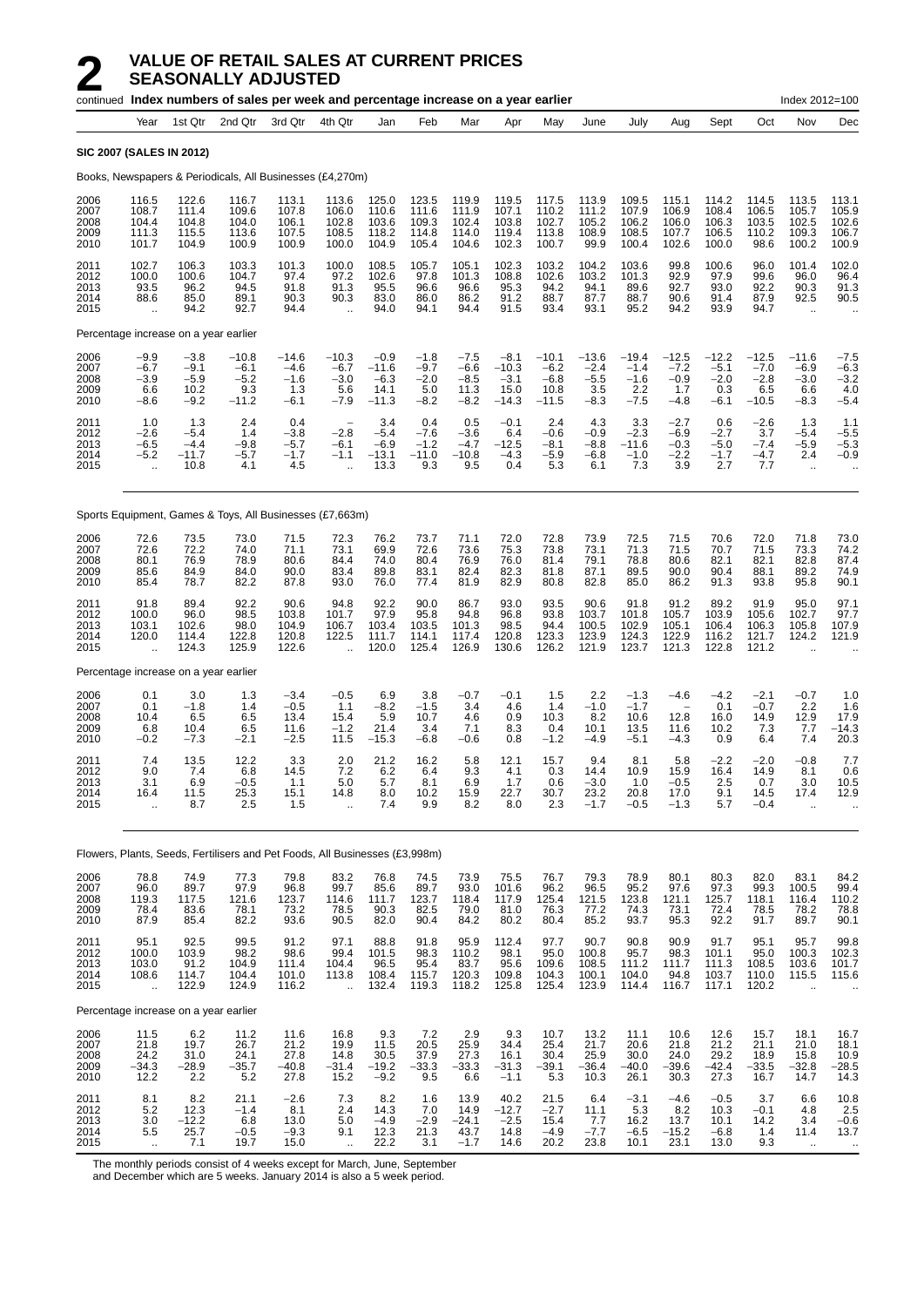|                                      |                                                                               |                                              | continued Index numbers of sales per week and percentage increase on a year earlier |                                              |                                                        |                                                |                                             |                                              |                                                |                                                |                                              |                                                                      |                                              |                                              |                                             | Index 2012=100                                          |                                             |
|--------------------------------------|-------------------------------------------------------------------------------|----------------------------------------------|-------------------------------------------------------------------------------------|----------------------------------------------|--------------------------------------------------------|------------------------------------------------|---------------------------------------------|----------------------------------------------|------------------------------------------------|------------------------------------------------|----------------------------------------------|----------------------------------------------------------------------|----------------------------------------------|----------------------------------------------|---------------------------------------------|---------------------------------------------------------|---------------------------------------------|
|                                      | Year                                                                          | 1st Qtr                                      | 2nd Qtr                                                                             | 3rd Qtr                                      | 4th Qtr                                                | Jan                                            | Feb                                         | Mar                                          | Apr                                            | May                                            | June                                         | July                                                                 | Aug                                          | Sept                                         | Oct                                         | Nov                                                     | Dec                                         |
|                                      |                                                                               | <b>SIC 2007 (SALES IN 2012)</b>              |                                                                                     |                                              |                                                        |                                                |                                             |                                              |                                                |                                                |                                              |                                                                      |                                              |                                              |                                             |                                                         |                                             |
|                                      |                                                                               |                                              | Books, Newspapers & Periodicals, All Businesses (£4,270m)                           |                                              |                                                        |                                                |                                             |                                              |                                                |                                                |                                              |                                                                      |                                              |                                              |                                             |                                                         |                                             |
| 2006<br>2007<br>2008<br>2009<br>2010 | 116.5<br>108.7<br>104.4<br>111.3<br>101.7                                     | 122.6<br>111.4<br>104.8<br>115.5<br>104.9    | 116.7<br>109.6<br>104.0<br>113.6<br>100.9                                           | 113.1<br>107.8<br>106.1<br>107.5<br>100.9    | 113.6<br>106.0<br>102.8<br>108.5<br>100.0              | 125.0<br>110.6<br>103.6<br>118.2<br>104.9      | 123.5<br>111.6<br>109.3<br>114.8<br>105.4   | 119.9<br>111.9<br>102.4<br>114.0<br>104.6    | 119.5<br>107.1<br>103.8<br>119.4<br>102.3      | 117.5<br>110.2<br>102.7<br>113.8<br>100.7      | 113.9<br>111.2<br>105.2<br>108.9<br>99.9     | 109.5<br>107.9<br>106.2<br>108.5<br>100.4                            | 115.1<br>106.9<br>106.0<br>107.7<br>102.6    | 114.2<br>108.4<br>106.3<br>106.5<br>100.0    | 114.5<br>106.5<br>103.5<br>110.2<br>98.6    | 113.5<br>105.7<br>102.5<br>109.3<br>100.2               | 113.1<br>105.9<br>102.6<br>106.7<br>100.9   |
| 2011<br>2012<br>2013<br>2014<br>2015 | 102.7<br>100.0<br>93.5<br>88.6<br>$\ddot{\phantom{a}}$                        | 106.3<br>100.6<br>96.2<br>85.0<br>94.2       | 103.3<br>104.7<br>94.5<br>89.1<br>92.7                                              | 101.3<br>97.4<br>91.8<br>90.3<br>94.4        | 100.0<br>97.2<br>91.3<br>90.3<br>$\ddot{\phantom{a}}$  | 108.5<br>102.6<br>95.5<br>83.0<br>94.0         | 105.7<br>97.8<br>96.6<br>86.0<br>94.1       | 105.1<br>101.3<br>96.6<br>86.2<br>94.4       | 102.3<br>108.8<br>95.3<br>91.2<br>91.5         | 103.2<br>102.6<br>94.2<br>88.7<br>93.4         | 104.2<br>103.2<br>94.1<br>87.7<br>93.1       | 103.6<br>101.3<br>89.6<br>88.7<br>95.2                               | 99.8<br>92.9<br>92.7<br>90.6<br>94.2         | 100.6<br>97.9<br>93.0<br>91.4<br>93.9        | 96.0<br>99.6<br>92.2<br>87.9<br>94.7        | 101.4<br>96.0<br>90.3<br>92.5<br>$\ddotsc$              | 102.0<br>96.4<br>91.3<br>90.5               |
|                                      |                                                                               |                                              | Percentage increase on a year earlier                                               |                                              |                                                        |                                                |                                             |                                              |                                                |                                                |                                              |                                                                      |                                              |                                              |                                             |                                                         |                                             |
| 2006<br>2007<br>2008<br>2009<br>2010 | $-9.9$<br>$-6.7$<br>$-3.9$<br>6.6<br>$-8.6$                                   | $-3.8$<br>$-9.1$<br>$-5.9$<br>10.2<br>$-9.2$ | $-10.8$<br>-6.1<br>$-5.2$<br>9.3<br>-11.2                                           | $-14.6$<br>$-4.6$<br>$-1.6$<br>1.3<br>$-6.1$ | $-10.3$<br>$-6.7$<br>$-3.0$<br>5.6<br>$-7.9$           | $-0.9$<br>$-11.6$<br>$-6.3$<br>14.1<br>$-11.3$ | $-1.8$<br>$-9.7$<br>$-2.0$<br>5.0<br>$-8.2$ | $-7.5$<br>$-6.6$<br>$-8.5$<br>11.3<br>$-8.2$ | $-8.1$<br>$-10.3$<br>$-3.1$<br>15.0<br>$-14.3$ | $-10.1$<br>$-6.2$<br>$-6.8$<br>10.8<br>$-11.5$ | $-13.6$<br>$-2.4$<br>$-5.5$<br>3.5<br>$-8.3$ | $-19.4$<br>$-1.4$<br>$-1.6$<br>2.2<br>$-7.5$                         | $-12.5$<br>$-7.2$<br>$-0.9$<br>1.7<br>$-4.8$ | $-12.2$<br>$-5.1$<br>$-2.0$<br>0.3<br>$-6.1$ | $-12.5$<br>$-7.0$<br>$-2.8$<br>6.5<br>-10.5 | $-11.6$<br>$-6.9$<br>$-3.0$<br>6.6<br>$-8.3$            | $-7.5$<br>$-6.3$<br>$-3.2$<br>4.0<br>$-5.4$ |
| 2011<br>2012<br>2013<br>2014<br>2015 | 1.0<br>$-2.6$<br>$-6.5$<br>$-5.2$                                             | 1.3<br>$-5.4$<br>$-4.4$<br>$-11.7$<br>10.8   | 2.4<br>1.4<br>$-9.8$<br>$-5.7$<br>4.1                                               | 0.4<br>$-3.8$<br>$-5.7$<br>$-1.7$<br>4.5     | $\overline{\phantom{a}}$<br>$-2.8$<br>$-6.1$<br>$-1.1$ | 3.4<br>$-5.4$<br>$-6.9$<br>$-13.1$<br>13.3     | 0.4<br>$-7.6$<br>$-1.2$<br>$-11.0$<br>9.3   | 0.5<br>$-3.6$<br>$-4.7$<br>$-10.8$<br>9.5    | $-0.1$<br>6.4<br>-12.5<br>$-4.3$<br>0.4        | 2.4<br>$-0.6$<br>-8.1<br>$-5.9$<br>5.3         | 4.3<br>$-0.9$<br>$-8.8$<br>$-6.8$<br>6.1     | 3.3<br>$-2.3$<br>$-11.6$<br>$-1.0$<br>7.3                            | $-2.7$<br>$-6.9$<br>$-0.3$<br>$-2.2$<br>3.9  | 0.6<br>$-2.7$<br>$-5.0$<br>$-1.7$<br>2.7     | $-2.6$<br>3.7<br>$-7.4$<br>$-4.7$<br>7.7    | 1.3<br>$-5.4$<br>$-5.9$<br>2.4<br>$\ddot{\phantom{a}}$  | 1.1<br>$-5.5$<br>$-5.3$<br>$-0.9$           |
|                                      |                                                                               |                                              | Sports Equipment, Games & Toys, All Businesses (£7,663m)                            |                                              |                                                        |                                                |                                             |                                              |                                                |                                                |                                              |                                                                      |                                              |                                              |                                             |                                                         |                                             |
| 2006<br>2007<br>2008<br>2009<br>2010 | 72.6<br>72.6<br>80.1<br>85.6<br>85.4                                          | 73.5<br>72.2<br>76.9<br>84.9<br>78.7         | 73.0<br>74.0<br>78.9<br>84.0<br>82.2                                                | 71.5<br>71.1<br>80.6<br>90.0<br>87.8         | 72.3<br>73.1<br>84.4<br>83.4<br>93.0                   | 76.2<br>69.9<br>74.0<br>89.8<br>76.0           | 73.7<br>72.6<br>80.4<br>83.1<br>77.4        | 71.1<br>73.6<br>76.9<br>82.4<br>81.9         | 72.0<br>75.3<br>76.0<br>82.3<br>82.9           | 72.8<br>73.8<br>81.4<br>81.8<br>80.8           | 73.9<br>73.1<br>79.1<br>87.1<br>82.8         | 72.5<br>71.3<br>78.8<br>89.5<br>85.0                                 | 71.5<br>71.5<br>80.6<br>90.0<br>86.2         | 70.6<br>70.7<br>82.1<br>90.4<br>91.3         | 72.0<br>71.5<br>82.1<br>88.1<br>93.8        | 71.8<br>73.3<br>82.8<br>89.2<br>95.8                    | 73.0<br>74.2<br>87.4<br>74.9<br>90.1        |
| 2011<br>2012<br>2013<br>2014<br>2015 | 91.8<br>100.0<br>103.1<br>120.0                                               | 89.4<br>96.0<br>102.6<br>114.4<br>124.3      | 92.2<br>98.5<br>98.0<br>122.8<br>125.9                                              | 90.6<br>103.8<br>104.9<br>120.8<br>122.6     | 94.8<br>101.7<br>106.7<br>122.5                        | 92.2<br>97.9<br>103.4<br>111.7<br>120.0        | 90.0<br>95.8<br>103.5<br>114.1<br>125.4     | 86.7<br>94.8<br>101.3<br>117.4<br>126.9      | 93.0<br>96.8<br>98.5<br>120.8<br>130.6         | 93.5<br>93.8<br>94.4<br>123.3<br>126.2         | 90.6<br>103.7<br>100.5<br>123.9<br>121.9     | 91.8<br>101.8<br>102.9<br>124.3<br>123.7                             | 91.2<br>105.7<br>105.1<br>122.9<br>121.3     | 89.2<br>103.9<br>106.4<br>116.2<br>122.8     | 91.9<br>105.6<br>106.3<br>121.7<br>121.2    | 95.0<br>102.7<br>105.8<br>124.2                         | 97.1<br>97.7<br>107.9<br>121.9              |
|                                      |                                                                               |                                              | Percentage increase on a year earlier                                               |                                              |                                                        |                                                |                                             |                                              |                                                |                                                |                                              |                                                                      |                                              |                                              |                                             |                                                         |                                             |
| 2006<br>2007<br>2008<br>2009<br>2010 | 0.1<br>0.1<br>10.4<br>6.8<br>$-0.2$                                           | 3.0<br>$-1.8$<br>6.5<br>10.4<br>$-7.3$       | 1.3<br>1.4<br>6.5<br>6.5<br>$-2.1$                                                  | $-3.4$<br>$-0.5$<br>13.4<br>11.6<br>$-2.5$   | $-0.5$<br>1.1<br>15.4<br>$-1.2$<br>11.5                | 6.9<br>$-8.2$<br>5.9<br>21.4<br>$-15.3$        | 3.8<br>$-1.5$<br>10.7<br>3.4<br>$-6.8$      | $-0.7$<br>3.4<br>4.6<br>7.1<br>$-0.6$        | $-0.1$<br>4.6<br>0.9<br>8.3<br>0.8             | 1.5<br>1.4<br>10.3<br>0.4<br>$-1.2$            | 2.2<br>$-1.0$<br>8.2<br>10.1<br>$-4.9$       | $-1.3$<br>$-1.7$<br>10.6<br>13.5<br>$-5.1$                           | -4.6<br>12.8<br>11.6<br>$-4.3$               | $-4.2$<br>0.1<br>16.0<br>10.2<br>0.9         | $-2.1$<br>$-0.7$<br>14.9<br>7.3<br>6.4      | $-0.7$<br>2.2<br>12.9<br>7.7<br>7.4                     | 1.0<br>1.6<br>17.9<br>-14.3<br>20.3         |
| 2011<br>2012<br>2013<br>2014<br>2015 | 7.4<br>9.0<br>3.1<br>16.4<br>$\ddot{\phantom{a}}$                             | 13.5<br>7.4<br>6.9<br>11.5<br>8.7            | 12.2<br>6.8<br>-u.b<br>25.3<br>2.5                                                  | 3.3<br>14.5<br>1.1<br>15.1<br>1.5            | 2.0<br>7.2<br>b.u<br>14.8<br>÷.                        | 21.2<br>6.2<br>5.1<br>8.0<br>7.4               | 16.2<br>6.4<br>8. I<br>10.2<br>9.9          | 5.8<br>9.3<br>0.Y<br>15.9<br>8.2             | 12.1<br>4.1<br>1.7<br>22.7<br>8.0              | 15.7<br>0.3<br>U.O<br>30.7<br>2.3              | 9.4<br>14.4<br>$-3.0$<br>23.2<br>$-1.7$      | 8.1<br>10.9<br>1.U<br>20.8<br>$-0.5$                                 | 5.8<br>15.9<br>$-0.5$<br>17.0<br>$-1.3$      | -2.2<br>16.4<br>د.2<br>9.1<br>5.7            | $-2.0$<br>14.9<br>U.I<br>14.5<br>$-0.4$     | $-0.8$<br>8.1<br>3.0<br>17.4<br>à.                      | 7.7<br>0.6<br>כ.טו<br>12.9<br>$\ddotsc$     |
|                                      |                                                                               |                                              | Flowers, Plants, Seeds, Fertilisers and Pet Foods, All Businesses (£3,998m)         |                                              |                                                        |                                                |                                             |                                              |                                                |                                                |                                              |                                                                      |                                              |                                              |                                             |                                                         |                                             |
| 2006<br>2007<br>2008<br>2009<br>2010 | 78.8<br>96.0<br>119.3<br>78.4<br>87.9                                         | 74.9<br>89.7<br>117.5<br>83.6<br>85.4        | 77.3<br>97.9<br>121.6<br>78.1<br>82.2                                               | 79.8<br>96.8<br>123.7<br>73.2<br>93.6        | 83.2<br>99.7<br>114.6<br>78.5<br>90.5                  | 76.8<br>85.6<br>111.7<br>90.3<br>82.0          | 74.5<br>89.7<br>123.7<br>82.5<br>90.4       | 73.9<br>93.0<br>118.4<br>79.0<br>84.2        | 75.5<br>101.6<br>117.9<br>81.0<br>80.2         | 76.7<br>96.2<br>125.4<br>76.3<br>80.4          | 79.3<br>96.5<br>121.5<br>77.2<br>85.2        | 78.9<br>$\begin{array}{c} 95.2 \\ 123.8 \end{array}$<br>74.3<br>93.7 | 80.1<br>$97.6$<br>121.1<br>73.1<br>95.3      | 80.3<br>97.3<br>125.7<br>72.4<br>92.2        | 82.0<br>99.3<br>118.1<br>78.5<br>91.7       | 83.1<br>100.5<br>116.4<br>78.2<br>89.7                  | 84.2<br>99.4<br>110.2<br>78.8<br>90.1       |
| 2011<br>2012<br>2013<br>2014<br>2015 | 95.1<br>100.0<br>103.0<br>108.6<br>Ġ.                                         | 92.5<br>103.9<br>91.2<br>114.7<br>122.9      | 99.5<br>98.2<br>104.9<br>104.4<br>124.9                                             | 91.2<br>98.6<br>111.4<br>101.0<br>116.2      | 97.1<br>99.4<br>104.4<br>113.8<br>$\ddot{\phantom{a}}$ | 88.8<br>101.5<br>96.5<br>108.4<br>132.4        | 91.8<br>98.3<br>95.4<br>115.7<br>119.3      | 95.9<br>110.2<br>83.7<br>120.3<br>118.2      | 112.4<br>98.1<br>95.6<br>109.8<br>125.8        | 97.7<br>95.0<br>109.6<br>104.3<br>125.4        | 90.7<br>100.8<br>108.5<br>100.1<br>123.9     | 90.8<br>95.7<br>111.2<br>104.0<br>114.4                              | 90.9<br>98.3<br>111.7<br>94.8<br>116.7       | 91.7<br>101.1<br>111.3<br>103.7<br>117.1     | 95.1<br>95.0<br>108.5<br>110.0<br>120.2     | 95.7<br>100.3<br>103.6<br>115.5<br>$\ddot{\phantom{a}}$ | 99.8<br>102.3<br>101.7<br>115.6             |
|                                      |                                                                               |                                              | Percentage increase on a year earlier                                               |                                              |                                                        |                                                |                                             |                                              |                                                |                                                |                                              |                                                                      |                                              |                                              |                                             |                                                         |                                             |
| 2006<br>2007<br>2008<br>2009<br>2010 | 11.5<br>21.8<br>$24.2 - 34.3$<br>12.2                                         | 6.2<br>19.7<br>31.0<br>$-28.9$<br>2.2        | 11.2<br>26.7<br>$24.1 - 35.7$<br>5.2                                                | 11.6<br>21.2<br>$27.8 - 40.8$<br>27.8        | 16.8<br>19.9<br>14.8<br>$-31.4$<br>15.2                | 9.3<br>11.5<br>30.5<br>$-19.2$<br>$-9.2$       | 7.2<br>20.5<br>37.9<br>$-33.3$<br>9.5       | 2.9<br>25.9<br>$27.3 - 33.3$<br>6.6          | 9.3<br>34.4<br>16.1<br>$-31.3$<br>$-1.1$       | 10.7<br>25.4<br>30.4<br>$-39.1$<br>5.3         | 13.2<br>21.7<br>25.9<br>$-36.4$<br>10.3      | 11.1<br>20.6<br>30.0<br>$-40.0$<br>26.1                              | 10.6<br>21.8<br>24.0<br>$-39.6$<br>30.3      | 12.6<br>21.2<br>$29.2 - 42.4$<br>27.3        | 15.7<br>21.1<br>18.9<br>$-33.5$<br>16.7     | 18.1<br>21.0<br>15.8<br>$-32.8$<br>14.7                 | 16.7<br>18.1<br>$10.9 - 28.5$<br>14.3       |
| 2011<br>2012<br>2013<br>2014<br>2015 | 8.1<br>5.2<br>$\begin{array}{c} 3.0 \\ 5.5 \end{array}$<br>$\bar{\mathbf{a}}$ | 8.2<br>12.3<br>$-12.2$<br>25.7<br>7.1        | 21.1<br>$-1.4$<br>$^{6.8}_{-0.5}$<br>19.7                                           | $-2.6$<br>8.1<br>$13.0 -9.3$<br>15.0         | 7.3<br>2.4<br>5.0<br>9.1<br>$\ddot{\phantom{a}}$       | 8.2<br>14.3<br>$-4.9$<br>12.3<br>22.2          | 1.6<br>7.0<br>$\frac{-2.9}{21.3}$<br>3.1    | 13.9<br>14.9<br>$-24.1$<br>43.7<br>$-1.7$    | 40.2<br>$-12.7$<br>$-2.5$<br>14.8<br>14.6      | 21.5<br>$-2.7$<br>15.4<br>$-4.9$<br>20.2       | 6.4<br>11.1<br>$7.7 - 7.7$<br>23.8           | $-3.1$<br>5.3<br>16.2<br>$-6.5$<br>10.1                              | $-4.6$<br>8.2<br>13.7<br>$-15.2$<br>23.1     | $-0.5$<br>10.3<br>10.1<br>$-6.8$<br>13.0     | 3.7<br>$-0.1$<br>14.2<br>1.4<br>9.3         | 6.6<br>4.8<br>3.4<br>11.4<br>$\ldots$                   | 10.8<br>2.5<br>$-0.6$<br>13.7<br>$\ddotsc$  |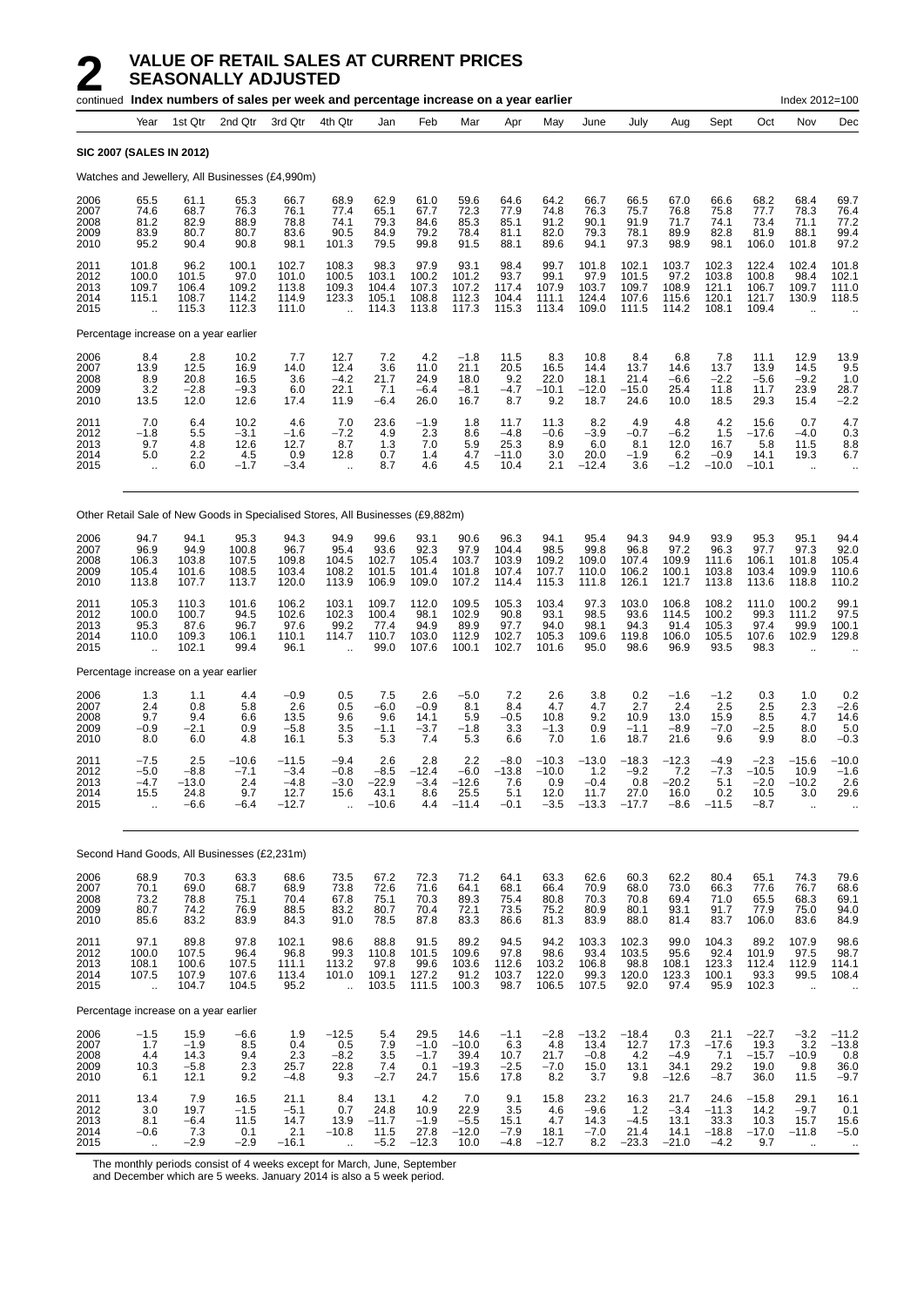|                                      |                                                            |                                          | continued Index numbers of sales per week and percentage increase on a year earlier |                                                |                                                            |                                           |                                          |                                            |                                           |                                             |                                               |                                             |                                             |                                              |                                               | Index 2012=100                                            |                                                       |
|--------------------------------------|------------------------------------------------------------|------------------------------------------|-------------------------------------------------------------------------------------|------------------------------------------------|------------------------------------------------------------|-------------------------------------------|------------------------------------------|--------------------------------------------|-------------------------------------------|---------------------------------------------|-----------------------------------------------|---------------------------------------------|---------------------------------------------|----------------------------------------------|-----------------------------------------------|-----------------------------------------------------------|-------------------------------------------------------|
|                                      | Year                                                       | 1st Qtr                                  | 2nd Qtr                                                                             | 3rd Qtr                                        | 4th Qtr                                                    | Jan                                       | Feb                                      | Mar                                        | Apr                                       | May                                         | June                                          | July                                        | Aug                                         | Sept                                         | Oct                                           | Nov                                                       | Dec                                                   |
|                                      | <b>SIC 2007 (SALES IN 2012)</b>                            |                                          |                                                                                     |                                                |                                                            |                                           |                                          |                                            |                                           |                                             |                                               |                                             |                                             |                                              |                                               |                                                           |                                                       |
|                                      |                                                            |                                          | Watches and Jewellery, All Businesses (£4,990m)                                     |                                                |                                                            |                                           |                                          |                                            |                                           |                                             |                                               |                                             |                                             |                                              |                                               |                                                           |                                                       |
| 2006<br>2007<br>2008<br>2009<br>2010 | 65.5<br>74.6<br>81.2<br>83.9<br>95.2                       | 61.1<br>68.7<br>82.9<br>80.7<br>90.4     | 65.3<br>76.3<br>88.9<br>80.7<br>90.8                                                | 66.7<br>76.1<br>78.8<br>83.6<br>98.1           | 68.9<br>77.4<br>74.1<br>90.5<br>101.3                      | 62.9<br>65.1<br>79.3<br>84.9<br>79.5      | 61.0<br>67.7<br>84.6<br>79.2<br>99.8     | 59.6<br>72.3<br>85.3<br>78.4<br>91.5       | 64.6<br>77.9<br>85.1<br>81.1<br>88.1      | 64.2<br>74.8<br>91.2<br>82.0<br>89.6        | 66.7<br>76.3<br>90.1<br>79.3<br>94.1          | 66.5<br>75.7<br>91.9<br>78.1<br>97.3        | 67.0<br>76.8<br>71.7<br>89.9<br>98.9        | 66.6<br>75.8<br>74.1<br>82.8<br>98.1         | 68.2<br>77.7<br>73.4<br>81.9<br>106.0         | 68.4<br>78.3<br>71.1<br>88.1<br>101.8                     | 69.7<br>76.4<br>77.2<br>99.4<br>97.2                  |
| 2011<br>2012<br>2013<br>2014<br>2015 | 101.8<br>100.0<br>109.7<br>115.1<br>$\ddotsc$              | 96.2<br>101.5<br>106.4<br>108.7<br>115.3 | 100.1<br>97.0<br>109.2<br>114.2<br>112.3                                            | 102.7<br>101.0<br>113.8<br>114.9<br>111.0      | 108.3<br>100.5<br>109.3<br>123.3<br>$\ddot{\phantom{a}}$   | 98.3<br>103.1<br>104.4<br>105.1<br>114.3  | 97.9<br>100.2<br>107.3<br>108.8<br>113.8 | 93.1<br>101.2<br>107.2<br>112.3<br>117.3   | 98.4<br>93.7<br>117.4<br>104.4<br>115.3   | 99.7<br>99.1<br>107.9<br>111.1<br>113.4     | 101.8<br>97.9<br>103.7<br>124.4<br>109.0      | 102.1<br>101.5<br>109.7<br>107.6<br>111.5   | 103.7<br>97.2<br>108.9<br>115.6<br>114.2    | 102.3<br>103.8<br>121.1<br>120.1<br>108.1    | 122.4<br>100.8<br>106.7<br>121.7<br>109.4     | 102.4<br>98.4<br>109.7<br>130.9                           | 101.8<br>102.1<br>111.0<br>118.5                      |
|                                      | Percentage increase on a year earlier                      |                                          |                                                                                     |                                                |                                                            |                                           |                                          |                                            |                                           |                                             |                                               |                                             |                                             |                                              |                                               |                                                           |                                                       |
| 2006<br>2007<br>2008<br>2009<br>2010 | 8.4<br>13.9<br>8.9<br>3.2<br>13.5                          | 2.8<br>12.5<br>20.8<br>$-2.8$<br>12.0    | 10.2<br>16.9<br>16.5<br>$-9.3$<br>12.6                                              | 7.7<br>14.0<br>3.6<br>6.0<br>17.4              | 12.7<br>12.4<br>$-4.2$<br>22.1<br>11.9                     | 7.2<br>3.6<br>21.7<br>7.1<br>$-6.4$       | 4.2<br>11.0<br>24.9<br>-6.4<br>26.0      | $-1.8$<br>21.1<br>18.0<br>$-8.1$<br>16.7   | 11.5<br>20.5<br>9.2<br>$-4.7$<br>8.7      | 8.3<br>16.5<br>22.0<br>$-10.1$<br>9.2       | 10.8<br>14.4<br>18.1<br>$-12.0$<br>18.7       | 8.4<br>13.7<br>21.4<br>$-15.0$<br>24.6      | 6.8<br>14.6<br>$-6.6$<br>25.4<br>10.0       | 7.8<br>13.7<br>$-2.2$<br>11.8<br>18.5        | 11.1<br>13.9<br>$-5.6$<br>11.7<br>29.3        | 12.9<br>14.5<br>$-9.2$<br>23.9<br>15.4                    | 13.9<br>9.5<br>1.0<br>28.7<br>$-2.2$                  |
| 2011<br>2012<br>2013<br>2014<br>2015 | 7.0<br>$-1.8$<br>9.7<br>5.0<br>$\ldots$                    | 6.4<br>5.5<br>4.8<br>2.2<br>6.0          | 10.2<br>$-3.1$<br>12.6<br>4.5<br>$-1.7$                                             | 4.6<br>$-1.6$<br>12.7<br>0.9<br>$-3.4$         | 7.0<br>$-7.2$<br>8.7<br>12.8<br>$\ddot{\phantom{a}}$       | 23.6<br>4.9<br>1.3<br>0.7<br>8.7          | $-1.9$<br>2.3<br>7.0<br>1.4<br>4.6       | 1.8<br>8.6<br>5.9<br>4.7<br>4.5            | 11.7<br>$-4.8$<br>25.3<br>$-11.0$<br>10.4 | 11.3<br>$-0.6$<br>8.9<br>3.0<br>2.1         | 8.2<br>$-3.9$<br>6.0<br>20.0<br>$-12.4$       | 4.9<br>$-0.7$<br>8.1<br>$-1.9$<br>3.6       | 4.8<br>$-6.2$<br>12.0<br>6.2<br>$-1.2$      | 4.2<br>1.5<br>16.7<br>$-0.9$<br>$-10.0$      | 15.6<br>$-17.6$<br>5.8<br>14.1<br>$-10.1$     | 0.7<br>$-4.0$<br>11.5<br>19.3<br>$\cdot$ .                | 4.7<br>0.3<br>8.8<br>6.7<br>$\ddotsc$                 |
|                                      |                                                            |                                          | Other Retail Sale of New Goods in Specialised Stores, All Businesses (£9,882m)      |                                                |                                                            |                                           |                                          |                                            |                                           |                                             |                                               |                                             |                                             |                                              |                                               |                                                           |                                                       |
| 2006<br>2007<br>2008<br>2009<br>2010 | 94.7<br>96.9<br>106.3<br>105.4<br>113.8                    | 94.1<br>94.9<br>103.8<br>101.6<br>107.7  | 95.3<br>100.8<br>107.5<br>108.5<br>113.7                                            | 94.3<br>96.7<br>109.8<br>103.4<br>120.0        | 94.9<br>95.4<br>104.5<br>108.2<br>113.9                    | 99.6<br>93.6<br>102.7<br>101.5<br>106.9   | 93.1<br>92.3<br>105.4<br>101.4<br>109.0  | 90.6<br>97.9<br>103.7<br>101.8<br>107.2    | 96.3<br>104.4<br>103.9<br>107.4<br>114.4  | 94.1<br>98.5<br>109.2<br>107.7<br>115.3     | 95.4<br>99.8<br>109.0<br>110.0<br>111.8       | 94.3<br>96.8<br>107.4<br>106.2<br>126.1     | 94.9<br>97.2<br>109.9<br>100.1<br>121.7     | 93.9<br>96.3<br>111.6<br>103.8<br>113.8      | 95.3<br>97.7<br>106.1<br>103.4<br>113.6       | 95.1<br>97.3<br>101.8<br>109.9<br>118.8                   | 94.4<br>92.0<br>105.4<br>110.6<br>110.2               |
| 2011<br>2012<br>2013<br>2014<br>2015 | 105.3<br>100.0<br>95.3<br>110.0<br>$\ddotsc$               | 110.3<br>100.7<br>87.6<br>109.3<br>102.1 | 101.6<br>94.5<br>96.7<br>106.1<br>99.4                                              | 106.2<br>102.6<br>97.6<br>110.1<br>96.1        | 103.1<br>102.3<br>99.2<br>114.7<br>$\ddot{\phantom{a}}$    | 109.7<br>100.4<br>77.4<br>110.7<br>99.0   | 112.0<br>98.1<br>94.9<br>103.0<br>107.6  | 109.5<br>102.9<br>89.9<br>112.9<br>100.1   | 105.3<br>90.8<br>97.7<br>102.7<br>102.7   | 103.4<br>93.1<br>94.0<br>105.3<br>101.6     | 97.3<br>98.5<br>98.1<br>109.6<br>95.0         | 103.0<br>93.6<br>94.3<br>119.8<br>98.6      | 106.8<br>114.5<br>91.4<br>106.0<br>96.9     | 108.2<br>100.2<br>105.3<br>105.5<br>93.5     | 111.0<br>99.3<br>97.4<br>107.6<br>98.3        | 100.2<br>111.2<br>99.9<br>102.9<br>$\ddot{\phantom{a}}$   | 99.1<br>97.5<br>100.1<br>129.8                        |
|                                      | Percentage increase on a year earlier                      |                                          |                                                                                     |                                                |                                                            |                                           |                                          |                                            |                                           |                                             |                                               |                                             |                                             |                                              |                                               |                                                           |                                                       |
| 2006<br>2007<br>2008<br>2009<br>2010 | 1.3<br>2.4<br>9.7<br>$-0.9$<br>8.0                         | 1.1<br>0.8<br>9.4<br>$-2.1$<br>6.0       | 4.4<br>5.8<br>6.6<br>0.9<br>4.8                                                     | $-0.9$<br>2.6<br>13.5<br>$-5.8$<br>16.1        | 0.5<br>0.5<br>9.6<br>3.5<br>5.3                            | 7.5<br>$-6.0$<br>9.6<br>$-1.1$<br>5.3     | 2.6<br>$-0.9$<br>14.1<br>$-3.7$<br>7.4   | $-5.0$<br>8.1<br>5.9<br>$-1.8$<br>5.3      | 7.2<br>8.4<br>$-0.5$<br>3.3<br>6.6        | 2.6<br>4.7<br>10.8<br>$-1.3$<br>7.0         | 3.8<br>4.7<br>9.2<br>0.9<br>1.6               | 0.2<br>2.7<br>10.9<br>$-1.1$<br>18.7        | $-1.6$<br>2.4<br>13.0<br>$-8.9$<br>21.6     | $-1.2$<br>2.5<br>15.9<br>$-7.0$<br>9.6       | 0.3<br>2.5<br>8.5<br>$-2.5$<br>9.9            | 1.0<br>2.3<br>4.7<br>8.0<br>8.0                           | 0.2<br>$-2.6$<br>14.6<br>5.0<br>$-0.3$                |
| 2011<br>2012<br>2013<br>2014<br>2015 | $-7.5$<br>$-5.0$<br>$-4.7$<br>15.5<br>$\ddot{\phantom{a}}$ | 2.5<br>$-8.8$<br>-13.0<br>24.8<br>$-6.6$ | $-10.6$<br>$-7.1$<br>2.4<br>9.7<br>$-6.4$                                           | $-11.5$<br>$-3.4$<br>$-4.8$<br>12.7<br>$-12.7$ | $-9.4$<br>$-0.8$<br>$-3.0$<br>15.6<br>$\ddot{\phantom{a}}$ | 2.6<br>-8.5<br>22.9<br>43.1<br>$-10.6$    | 2.8<br>$-12.4$<br>$-3.4$<br>8.6<br>4.4   | 2.2<br>$-6.0$<br>-12.6<br>25.5<br>$-11.4$  | $-8.0$<br>$-13.8$<br>7.6<br>5.1<br>$-0.1$ | $-10.3$<br>$-10.0$<br>0.9<br>12.0<br>$-3.5$ | $-13.0$<br>$1.2$<br>$-0.4$<br>11.7<br>$-13.3$ | $-18.3$<br>$-9.2$<br>0.8<br>27.0<br>$-17.7$ | $-12.3$<br>7.2<br>$-20.2$<br>16.0<br>$-8.6$ | $-4.9$<br>$-7.3$<br>5.1<br>0.2<br>$-11.5$    | $-2.3$<br>$-10.5$<br>$-2.0$<br>10.5<br>$-8.7$ | $-15.6$<br>10.9<br>–10.2<br>3.0<br>ä.                     | $-10.0$<br>$-1.6$<br>2.6<br>29.6                      |
|                                      |                                                            |                                          | Second Hand Goods, All Businesses (£2,231m)                                         |                                                |                                                            |                                           |                                          |                                            |                                           |                                             |                                               |                                             |                                             |                                              |                                               |                                                           |                                                       |
| 2006<br>2007<br>2008<br>2009<br>2010 | 68.9<br>70.1<br>73.2<br>80.7<br>85.6                       | 70.3<br>69.0<br>78.8<br>74.2<br>83.2     | 63.3<br>68.7<br>75.1<br>76.9<br>83.9                                                | 68.6<br>68.9<br>70.4<br>88.5<br>84.3           | 73.5<br>73.8<br>67.8<br>83.2<br>91.0                       | 67.2<br>72.6<br>75.1<br>80.7<br>78.5      | 72.3<br>71.6<br>70.3<br>70.4<br>87.8     | 71.2<br>64.1<br>89.3<br>72.1<br>83.3       | 64.1<br>68.1<br>75.4<br>73.5<br>86.6      | 63.3<br>66.4<br>80.8<br>75.2<br>81.3        | 62.6<br>70.9<br>70.3<br>80.9<br>83.9          | 60.3<br>68.0<br>70.8<br>80.1<br>88.0        | 62.2<br>73.0<br>69.4<br>93.1<br>81.4        | 80.4<br>66.3<br>71.0<br>91.7<br>83.7         | 65.1<br>77.6<br>65.5<br>77.9<br>106.0         | 74.3<br>76.7<br>68.3<br>75.0<br>83.6                      | 79.6<br>68.6<br>69.1<br>94.0<br>84.9                  |
| 2011<br>2012<br>2013<br>2014<br>2015 | 97.1<br>100.0<br>108.1<br>107.5<br>$\ddotsc$               | 89.8<br>107.5<br>100.6<br>107.9<br>104.7 | 97.8<br>96.4<br>107.5<br>107.6<br>104.5                                             | 102.1<br>96.8<br>111.1<br>113.4<br>95.2        | 98.6<br>$\frac{99.3}{113.2}$<br>101.0<br>$\ddotsc$         | 88.8<br>110.8<br>97.8<br>109.1<br>103.5   | 91.5<br>101.5<br>99.6<br>127.2<br>111.5  | 89.2<br>109.6<br>103.6<br>91.2<br>100.3    | 94.5<br>97.8<br>112.6<br>103.7<br>98.7    | 94.2<br>98.6<br>103.2<br>122.0<br>106.5     | 103.3<br>93.4<br>106.8<br>99.3<br>107.5       | 102.3<br>103.5<br>98.8<br>120.0<br>92.0     | 99.0<br>95.6<br>108.1<br>123.3<br>97.4      | 104.3<br>92.4<br>123.3<br>100.1<br>95.9      | 89.2<br>101.9<br>112.4<br>93.3<br>102.3       | 107.9<br>97.5<br>112.9<br>99.5<br>$\ddot{\phantom{a}}$    | 98.6<br>98.7<br>114.1<br>108.4                        |
|                                      | Percentage increase on a year earlier                      |                                          |                                                                                     |                                                |                                                            |                                           |                                          |                                            |                                           |                                             |                                               |                                             |                                             |                                              |                                               |                                                           |                                                       |
| 2006<br>2007<br>2008<br>2009<br>2010 | $-1.5$<br>1.7<br>4.4<br>10.3<br>6.1                        | 15.9<br>$-1.9$<br>14.3<br>$-5.8$<br>12.1 | $-6.6$<br>8.5<br>9.4<br>2.3<br>9.2                                                  | 1.9<br>0.4<br>2.3<br>25.7<br>$-4.8$            | $-12.5$<br>0.5<br>$-8.2$<br>22.8<br>9.3                    | 5.4<br>7.9<br>3.5<br>7.4<br>$-2.7$        | 29.5<br>$-1.0$<br>$-1.7$<br>0.1<br>24.7  | 14.6<br>$-10.0$<br>39.4<br>$-19.3$<br>15.6 | $-1.1$<br>6.3<br>10.7<br>$-2.5$<br>17.8   | $-2.8$<br>4.8<br>21.7<br>$-7.0$<br>8.2      | $-13.2$<br>13.4<br>$-0.8$<br>15.0<br>3.7      | $-18.4$<br>12.7<br>4.2<br>13.1<br>9.8       | 0.3<br>17.3<br>$-4.9$<br>34.1<br>$-12.6$    | 21.1<br>$-17.6$<br>7.1<br>29.2<br>$-8.7$     | $-22.7$<br>19.3<br>$-15.7$<br>19.0<br>36.0    | $-3.2$<br>3.2<br>$-10.9$<br>9.8<br>11.5                   | $-11.2$<br>$-13.8$<br>0.8<br>36.0<br>$-9.7$           |
| 2011<br>2012<br>2013<br>2014<br>2015 | 13.4<br>3.0<br>8.1<br>$-0.6$<br>$\ddot{\phantom{a}}$       | 7.9<br>19.7<br>$-6.4$<br>7.3<br>$-2.9$   | 16.5<br>$-1.5$<br>11.5<br>0.1<br>$-2.9$                                             | 21.1<br>$-5.1$<br>14.7<br>2.1<br>$-16.1$       | 8.4<br>0.7<br>13.9<br>$-10.8$<br>$\ddot{\phantom{a}}$      | 13.1<br>24.8<br>$-11.7$<br>11.5<br>$-5.2$ | 4.2<br>10.9<br>$-1.9$<br>27.8<br>$-12.3$ | 7.0<br>22.9<br>$-5.5$<br>$-12.0$<br>10.0   | 9.1<br>3.5<br>15.1<br>$-7.9$<br>$-4.8$    | 15.8<br>4.6<br>4.7<br>18.1<br>$-12.7$       | 23.2<br>$-9.6$<br>14.3<br>$-7.0$<br>8.2       | 16.3<br>1.2<br>$-4.5$<br>21.4<br>$-23.3$    | 21.7<br>$-3.4$<br>13.1<br>14.1<br>$-21.0$   | 24.6<br>$-11.3$<br>33.3<br>$-18.8$<br>$-4.2$ | $-15.8$<br>14.2<br>10.3<br>$-17.0$<br>9.7     | 29.1<br>$-9.7$<br>15.7<br>$-11.8$<br>$\ddot{\phantom{1}}$ | 16.1<br>0.1<br>15.6<br>$-5.0$<br>$\ddot{\phantom{1}}$ |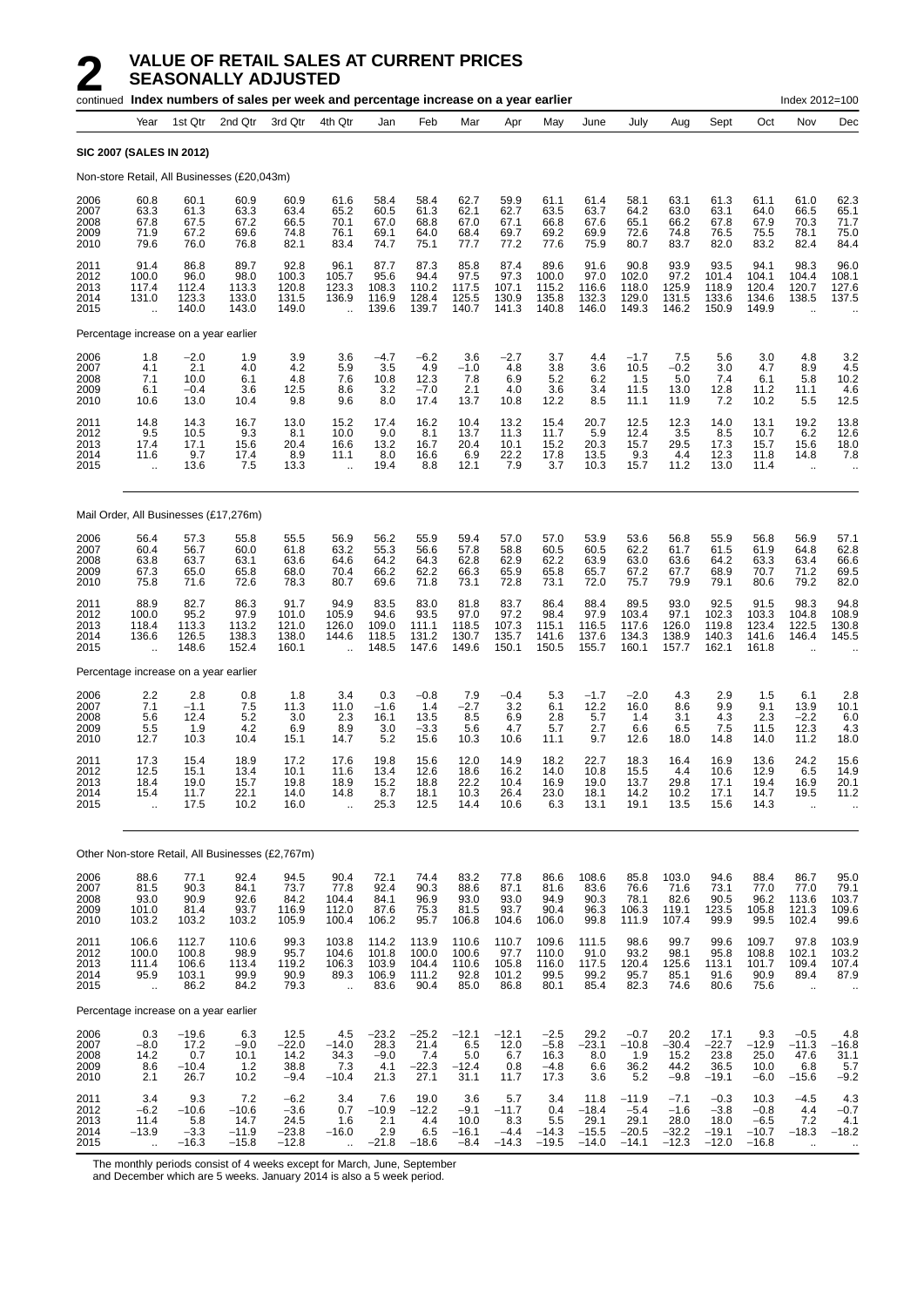|                                      |                                                         |                                                                      | continued Index numbers of sales per week and percentage increase on a year earlier |                                                |                                                      |                                          |                                           |                                            |                                                                        |                                            |                                               |                                                 |                                                |                                                |                                                | Index 2012=100                                    |                                              |
|--------------------------------------|---------------------------------------------------------|----------------------------------------------------------------------|-------------------------------------------------------------------------------------|------------------------------------------------|------------------------------------------------------|------------------------------------------|-------------------------------------------|--------------------------------------------|------------------------------------------------------------------------|--------------------------------------------|-----------------------------------------------|-------------------------------------------------|------------------------------------------------|------------------------------------------------|------------------------------------------------|---------------------------------------------------|----------------------------------------------|
|                                      | Year                                                    | 1st Qtr                                                              | 2nd Qtr                                                                             | 3rd Qtr                                        | 4th Qtr                                              | Jan                                      | Feb                                       | Mar                                        | Apr                                                                    | May                                        | June                                          | July                                            | Aug                                            | Sept                                           | Oct                                            | Nov                                               | Dec                                          |
|                                      | <b>SIC 2007 (SALES IN 2012)</b>                         |                                                                      |                                                                                     |                                                |                                                      |                                          |                                           |                                            |                                                                        |                                            |                                               |                                                 |                                                |                                                |                                                |                                                   |                                              |
|                                      |                                                         |                                                                      | Non-store Retail, All Businesses (£20,043m)                                         |                                                |                                                      |                                          |                                           |                                            |                                                                        |                                            |                                               |                                                 |                                                |                                                |                                                |                                                   |                                              |
| 2006<br>2007<br>2008<br>2009<br>2010 | 60.8<br>63.3<br>67.8<br>71.9<br>79.6                    | 60.1<br>61.3<br>67.5<br>67.2<br>76.0                                 | 60.9<br>63.3<br>67.2<br>69.6<br>76.8                                                | 60.9<br>63.4<br>66.5<br>74.8<br>82.1           | 61.6<br>65.2<br>70.1<br>76.1<br>83.4                 | 58.4<br>60.5<br>67.0<br>69.1<br>74.7     | 58.4<br>61.3<br>68.8<br>64.0<br>75.1      | 62.7<br>62.1<br>67.0<br>68.4<br>77.7       | 59.9<br>62.7<br>67.1<br>69.7<br>77.2                                   | 61.1<br>63.5<br>66.8<br>69.2<br>77.6       | 61.4<br>63.7<br>67.6<br>69.9<br>75.9          | 58.1<br>64.2<br>65.1<br>72.6<br>80.7            | 63.1<br>63.0<br>66.2<br>74.8<br>83.7           | 61.3<br>63.1<br>67.8<br>76.5<br>82.0           | 61.1<br>64.0<br>67.9<br>75.5<br>83.2           | 61.0<br>66.5<br>70.3<br>78.1<br>82.4              | 62.3<br>65.1<br>71.7<br>75.0<br>84.4         |
| 2011<br>2012<br>2013<br>2014<br>2015 | 91.4<br>100.0<br>117.4<br>131.0<br>$\ddot{\phantom{a}}$ | 86.8<br>96.0<br>112.4<br>123.3<br>140.0                              | 89.7<br>98.0<br>113.3<br>133.0<br>143.0                                             | 92.8<br>100.3<br>120.8<br>131.5<br>149.0       | 96.1<br>105.7<br>123.3<br>136.9<br>$\ddotsc$         | 87.7<br>95.6<br>108.3<br>116.9<br>139.6  | 87.3<br>94.4<br>110.2<br>128.4<br>139.7   | 85.8<br>97.5<br>117.5<br>125.5<br>140.7    | 87.4<br>97.3<br>107.1<br>130.9<br>141.3                                | 89.6<br>100.0<br>115.2<br>135.8<br>140.8   | 91.6<br>97.0<br>116.6<br>132.3<br>146.0       | 90.8<br>102.0<br>118.0<br>129.0<br>149.3        | 93.9<br>97.2<br>125.9<br>131.5<br>146.2        | 93.5<br>101.4<br>118.9<br>133.6<br>150.9       | 94.1<br>104.1<br>120.4<br>134.6<br>149.9       | 98.3<br>104.4<br>120.7<br>138.5                   | 96.0<br>108.1<br>127.6<br>137.5              |
|                                      | Percentage increase on a year earlier                   |                                                                      |                                                                                     |                                                |                                                      |                                          |                                           |                                            |                                                                        |                                            |                                               |                                                 |                                                |                                                |                                                |                                                   |                                              |
| 2006<br>2007<br>2008<br>2009<br>2010 | 1.8<br>4.1<br>7.1<br>6.1<br>10.6                        | $-2.0$<br>2.1<br>10.0<br>$-0.4$<br>13.0                              | 1.9<br>4.0<br>6.1<br>3.6<br>10.4                                                    | 3.9<br>4.2<br>4.8<br>12.5<br>9.8               | 3.6<br>5.9<br>7.6<br>8.6<br>9.6                      | $-4.7$<br>3.5<br>10.8<br>3.2<br>8.0      | $-6.2$<br>4.9<br>12.3<br>$-7.0$<br>17.4   | 3.6<br>$-1.0$<br>7.8<br>2.1<br>13.7        | $-2.7$<br>4.8<br>6.9<br>4.0<br>10.8                                    | 3.7<br>3.8<br>5.2<br>3.6<br>12.2           | 4.4<br>3.6<br>6.2<br>3.4<br>8.5               | $-1.7$<br>10.5<br>1.5<br>11.5<br>11.1           | 7.5<br>$-0.2$<br>5.0<br>13.0<br>11.9           | 5.6<br>3.0<br>7.4<br>12.8<br>7.2               | 3.0<br>4.7<br>6.1<br>11.2<br>10.2              | 4.8<br>8.9<br>5.8<br>11.1<br>5.5                  | 3.2<br>4.5<br>10.2<br>4.6<br>12.5            |
| 2011<br>2012<br>2013<br>2014<br>2015 | 14.8<br>9.5<br>17.4<br>11.6                             | 14.3<br>10.5<br>17.1<br>9.7<br>13.6                                  | 16.7<br>9.3<br>15.6<br>17.4<br>7.5                                                  | 13.0<br>8.1<br>20.4<br>8.9<br>13.3             | 15.2<br>10.0<br>16.6<br>11.1<br>$\ddot{\phantom{a}}$ | 17.4<br>9.0<br>13.2<br>8.0<br>19.4       | 16.2<br>8.1<br>16.7<br>16.6<br>8.8        | 10.4<br>13.7<br>20.4<br>6.9<br>12.1        | 13.2<br>11.3<br>10.1<br>22.2<br>7.9                                    | 15.4<br>11.7<br>15.2<br>17.8<br>3.7        | 20.7<br>5.9<br>20.3<br>13.5<br>10.3           | 12.5<br>12.4<br>15.7<br>9.3<br>15.7             | 12.3<br>3.5<br>29.5<br>4.4<br>11.2             | 14.0<br>8.5<br>17.3<br>12.3<br>13.0            | 13.1<br>10.7<br>15.7<br>11.8<br>11.4           | 19.2<br>6.2<br>15.6<br>14.8<br>$\bar{\mathbf{r}}$ | 13.8<br>12.6<br>18.0<br>7.8<br>$\ddotsc$     |
|                                      |                                                         |                                                                      | Mail Order, All Businesses (£17,276m)                                               |                                                |                                                      |                                          |                                           |                                            |                                                                        |                                            |                                               |                                                 |                                                |                                                |                                                |                                                   |                                              |
| 2006<br>2007<br>2008<br>2009<br>2010 | 56.4<br>60.4<br>63.8<br>67.3<br>75.8                    | 57.3<br>56.7<br>63.7<br>65.0<br>71.6                                 | 55.8<br>60.0<br>63.1<br>65.8<br>72.6                                                | 55.5<br>61.8<br>63.6<br>68.0<br>78.3           | 56.9<br>63.2<br>64.6<br>70.4<br>80.7                 | 56.2<br>55.3<br>64.2<br>66.2<br>69.6     | 55.9<br>56.6<br>64.3<br>62.2<br>71.8      | 59.4<br>57.8<br>62.8<br>66.3<br>73.1       | 57.0<br>58.8<br>62.9<br>65.9<br>72.8                                   | 57.0<br>60.5<br>62.2<br>65.8<br>73.1       | 53.9<br>60.5<br>63.9<br>65.7<br>72.0          | 53.6<br>62.2<br>63.0<br>67.2<br>75.7            | 56.8<br>61.7<br>63.6<br>67.7<br>79.9           | 55.9<br>61.5<br>64.2<br>68.9<br>79.1           | 56.8<br>61.9<br>63.3<br>70.7<br>80.6           | 56.9<br>64.8<br>63.4<br>71.2<br>79.2              | 57.1<br>62.8<br>66.6<br>69.5<br>82.0         |
| 2011<br>2012<br>2013<br>2014<br>2015 | 88.9<br>100.0<br>118.4<br>136.6<br>$\ddot{\phantom{a}}$ | 82.7<br>95.2<br>113.3<br>126.5<br>148.6                              | 86.3<br>97.9<br>113.2<br>138.3<br>152.4                                             | 91.7<br>101.0<br>121.0<br>138.0<br>160.1       | 94.9<br>105.9<br>126.0<br>144.6<br>ă,                | 83.5<br>94.6<br>109.0<br>118.5<br>148.5  | 83.0<br>93.5<br>111.1<br>131.2<br>147.6   | 81.8<br>97.0<br>118.5<br>130.7<br>149.6    | 83.7<br>97.2<br>107.3<br>135.7<br>150.1                                | 86.4<br>98.4<br>115.1<br>141.6<br>150.5    | 88.4<br>97.9<br>116.5<br>137.6<br>155.7       | 89.5<br>103.4<br>117.6<br>134.3<br>160.1        | 93.0<br>97.1<br>126.0<br>138.9<br>157.7        | 92.5<br>102.3<br>119.8<br>140.3<br>162.1       | 91.5<br>103.3<br>123.4<br>141.6<br>161.8       | 98.3<br>104.8<br>122.5<br>146.4                   | 94.8<br>108.9<br>130.8<br>145.5              |
|                                      | Percentage increase on a year earlier                   |                                                                      |                                                                                     |                                                |                                                      |                                          |                                           |                                            |                                                                        |                                            |                                               |                                                 |                                                |                                                |                                                |                                                   |                                              |
| 2006<br>2007<br>2008<br>2009<br>2010 | $\frac{2.2}{7.1}$<br>5.6<br>5.5<br>12.7                 | 2.8<br>$-1.1$<br>12.4<br>1.9<br>10.3                                 | 0.8<br>7.5<br>5.2<br>4.2<br>10.4                                                    | 1.8<br>11.3<br>3.0<br>6.9<br>15.1              | 3.4<br>11.0<br>2.3<br>8.9<br>14.7                    | 0.3<br>$-1.6$<br>16.1<br>3.0<br>5.2      | $-0.8$<br>1.4<br>13.5<br>$-3.3$<br>15.6   | 7.9<br>$-2.7$<br>8.5<br>5.6<br>10.3        | $-0.4$<br>3.2<br>6.9<br>4.7<br>10.6                                    | 5.3<br>6.1<br>2.8<br>5.7<br>11.1           | $-1.7$<br>12.2<br>5.7<br>2.7<br>9.7           | $-2.0$<br>16.0<br>1.4<br>6.6<br>12.6            | 4.3<br>8.6<br>3.1<br>6.5<br>18.0               | 2.9<br>9.9<br>4.3<br>7.5<br>14.8               | 1.5<br>9.1<br>2.3<br>11.5<br>14.0              | 6.1<br>13.9<br>$-2.2$<br>12.3<br>11.2             | 2.8<br>10.1<br>6.0<br>4.3<br>18.0            |
| 2011<br>2012<br>2013<br>2014<br>2015 | 17.3<br>12.5<br>18.4<br>15.4<br>$\ddot{\phantom{a}}$    | 15.4<br>15.1<br>19.0<br>11.7<br>17.5                                 | 18.9<br>13.4<br>15.7<br>22.1<br>10.2                                                | 17.2<br>10.1<br>19.8<br>14.0<br>16.0           | 17.6<br>11.6<br>18.9<br>14.8<br>$\ddotsc$            | 19.8<br>13.4<br>15.2<br>8.7<br>25.3      | 15.6<br>12.6<br>18.8<br>18.1<br>12.5      | 12.0<br>18.6<br>22.2<br>10.3<br>14.4       | 14.9<br>16.2<br>10.4<br>26.4<br>10.6                                   | 18.2<br>14.0<br>16.9<br>23.0<br>6.3        | 22.7<br>10.8<br>19.0<br>18.1<br>13.1          | 18.3<br>15.5<br>13.7<br>14.2<br>19.1            | 16.4<br>4.4<br>29.8<br>10.2<br>13.5            | 16.9<br>10.6<br>17.1<br>17.1<br>15.6           | 13.6<br>12.9<br>19.4<br>14.7<br>14.3           | 24.2<br>6.5<br>16.9<br>19.5<br>ä.                 | 15.6<br>14.9<br>20.1<br>11.2                 |
|                                      |                                                         |                                                                      | Other Non-store Retail, All Businesses (£2,767m)                                    |                                                |                                                      |                                          |                                           |                                            |                                                                        |                                            |                                               |                                                 |                                                |                                                |                                                |                                                   |                                              |
| 2006<br>2007<br>2008<br>2009<br>2010 | 88.6<br>81.5<br>93.0<br>101.0<br>103.2                  | 77.1<br>$\begin{array}{c} 90.3 \\ 90.9 \end{array}$<br>81.4<br>103.2 | 92.4<br>84.1<br>92.6<br>93.7<br>103.2                                               | 94.5<br>73.7<br>84.2<br>116.9<br>105.9         | 90.4<br>77.8<br>104.4<br>112.0<br>100.4              | 72.1<br>92.4<br>84.1<br>87.6<br>106.2    | 74.4<br>90.3<br>96.9<br>75.3<br>95.7      | 83.2<br>88.6<br>93.0<br>81.5<br>106.8      | 77.8<br>87.1<br>93.0<br>93.7<br>104.6                                  | 86.6<br>81.6<br>94.9<br>90.4<br>106.0      | 108.6<br>83.6<br>90.3<br>96.3<br>99.8         | 85.8<br>76.6<br>78.1<br>106.3<br>111.9          | 103.0<br>71.6<br>82.6<br>119.1<br>107.4        | 94.6<br>73.1<br>90.5<br>123.5<br>99.9          | 88.4<br>77.0<br>96.2<br>105.8<br>99.5          | 86.7<br>77.0<br>113.6<br>121.3<br>102.4           | 95.0<br>79.1<br>103.7<br>109.6<br>99.6       |
| 2011<br>2012<br>2013<br>2014<br>2015 | 106.6<br>100.0<br>111.4<br>95.9<br>Ġ.                   | 112.7<br>100.8<br>106.6<br>103.1<br>86.2                             | 110.6<br>98.9<br>113.4<br>99.9<br>84.2                                              | 99.3<br>95.7<br>119.2<br>90.9<br>79.3          | 103.8<br>104.6<br>106.3<br>89.3<br>$\ddotsc$         | 114.2<br>101.8<br>103.9<br>106.9<br>83.6 | 113.9<br>100.0<br>104.4<br>111.2<br>90.4  | 110.6<br>100.6<br>110.6<br>92.8<br>85.0    | 110.7<br>$\begin{array}{c} 97.7 \\ 105.8 \end{array}$<br>101.2<br>86.8 | 109.6<br>110.0<br>116.0<br>99.5<br>80.1    | 111.5<br>91.0<br>117.5<br>99.2<br>85.4        | 98.6<br>93.2<br>120.4<br>95.7<br>82.3           | 99.7<br>98.1<br>125.6<br>85.1<br>74.6          | 99.6<br>95.8<br>113.1<br>91.6<br>80.6          | 109.7<br>108.8<br>101.7<br>90.9<br>75.6        | 97.8<br>102.1<br>109.4<br>89.4<br>à.              | 103.9<br>103.2<br>107.4<br>87.9              |
|                                      | Percentage increase on a year earlier                   |                                                                      |                                                                                     |                                                |                                                      |                                          |                                           |                                            |                                                                        |                                            |                                               |                                                 |                                                |                                                |                                                |                                                   |                                              |
| 2006<br>2007<br>2008<br>2009<br>2010 | 0.3<br>$-8.0$<br>14.2<br>8.6<br>2.1                     | $-19.6$<br>17.2<br>0.7<br>$-10.4$<br>26.7                            | 6.3<br>$-9.0$<br>10.1<br>1.2<br>10.2                                                | 12.5<br>$-22.0$<br>14.2<br>38.8<br>$-9.4$      | 4.5<br>$-14.0$<br>34.3<br>7.3<br>$-10.4$             | $-23.2$<br>28.3<br>$-9.0$<br>4.1<br>21.3 | $-25.2$<br>21.4<br>7.4<br>$-22.3$<br>27.1 | $-12.1$<br>6.5<br>5.0<br>$-12.4$<br>31.1   | $-12.1$<br>12.0<br>6.7<br>0.8<br>11.7                                  | $-2.5$<br>$-5.8$<br>16.3<br>$-4.8$<br>17.3 | 29.2<br>$-23.1$<br>8.0<br>6.6<br>3.6          | $-0.7$<br>$-10.8$<br>1.9<br>36.2<br>5.2         | 20.2<br>$-30.4$<br>15.2<br>44.2<br>$-9.8$      | 17.1<br>$-22.7$<br>23.8<br>36.5<br>$-19.1$     | 9.3<br>$-12.9$<br>25.0<br>10.0<br>$-6.0$       | $-0.5$<br>$-11.3$<br>47.6<br>6.8<br>$-15.6$       | 4.8<br>$-16.8$<br>31.1<br>5.7<br>$-9.2$      |
| 2011<br>2012<br>2013<br>2014<br>2015 | 3.4<br>$-6.2$<br>11.4<br>$-13.9$<br>Ġ.                  | 9.3<br>$-10.6$<br>5.8<br>$-3.3$<br>$-16.3$                           | 7.2<br>$-10.6$<br>14.7<br>$-11.9$<br>$-15.8$                                        | $-6.2$<br>$-3.6$<br>24.5<br>$-23.8$<br>$-12.8$ | 3.4<br>0.7<br>1.6<br>$-16.0$<br>à.                   | 7.6<br>$-10.9$<br>2.1<br>2.9<br>$-21.8$  | 19.0<br>$-12.2$<br>4.4<br>6.5<br>$-18.6$  | 3.6<br>$-9.1$<br>10.0<br>$-16.1$<br>$-8.4$ | 5.7<br>$-11.7$<br>8.3<br>$-4.4$<br>$-14.3$                             | 3.4<br>0.4<br>5.5<br>$-14.3$<br>$-19.5$    | 11.8<br>$-18.4$<br>29.1<br>$-15.5$<br>$-14.0$ | $-11.9$<br>$-5.4$<br>29.1<br>$-20.5$<br>$-14.1$ | $-7.1$<br>$-1.6$<br>28.0<br>$-32.2$<br>$-12.3$ | $-0.3$<br>$-3.8$<br>18.0<br>$-19.1$<br>$-12.0$ | 10.3<br>$-0.8$<br>$-6.5$<br>$-10.7$<br>$-16.8$ | $-4.5$<br>4.4<br>7.2<br>$-18.3$<br>$\mathbf{r}$ . | 4.3<br>$-0.7$<br>4.1<br>$-18.2$<br>$\ddotsc$ |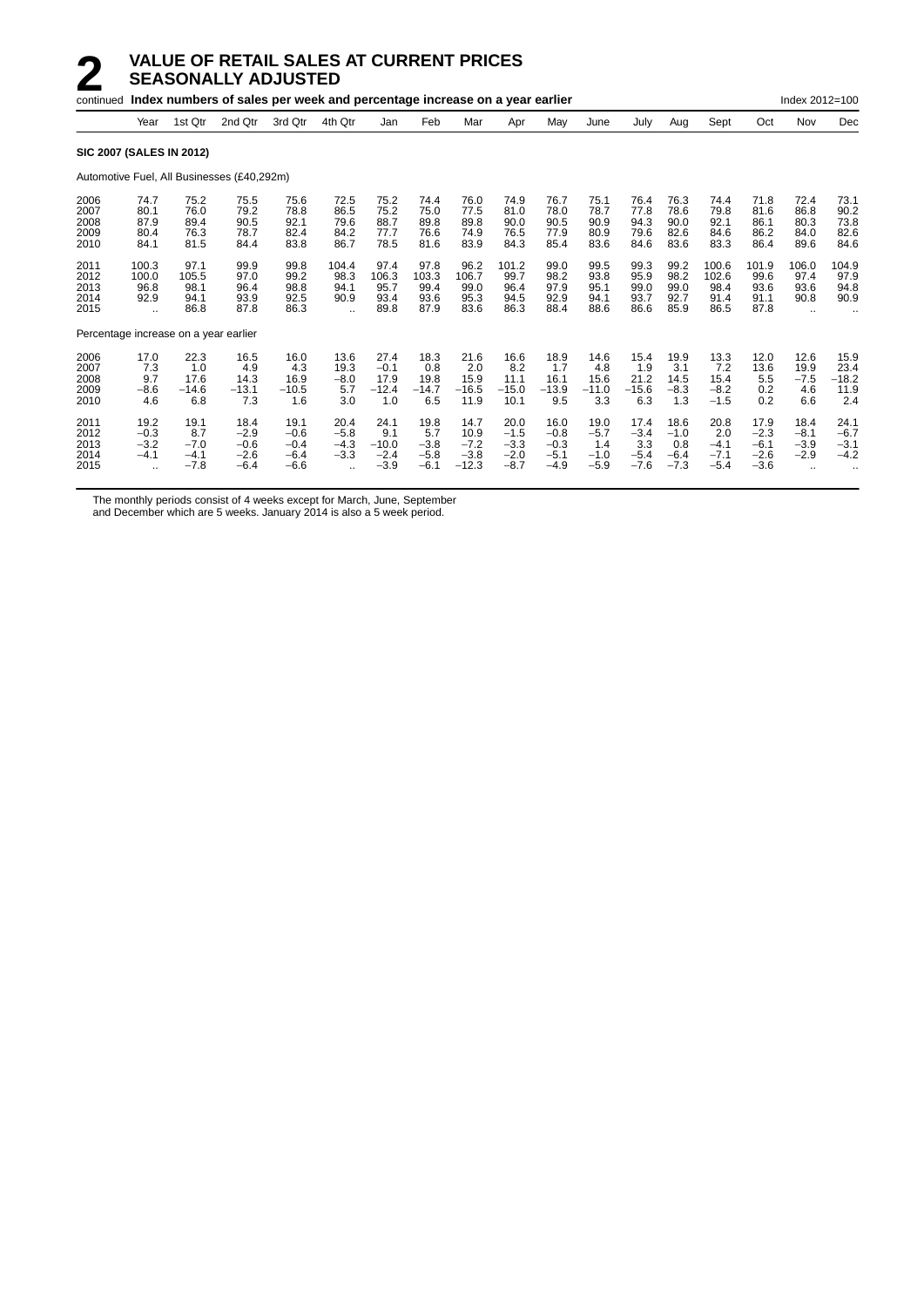|                                       |                                                        |                                           | continued Index numbers of sales per week and percentage increase on a year earlier |                                              |                                                            |                                            |                                           |                                             |                                              |                                              |                                           |                                           |                                           |                                           |                                              | Index 2012=100                                        |                                        |
|---------------------------------------|--------------------------------------------------------|-------------------------------------------|-------------------------------------------------------------------------------------|----------------------------------------------|------------------------------------------------------------|--------------------------------------------|-------------------------------------------|---------------------------------------------|----------------------------------------------|----------------------------------------------|-------------------------------------------|-------------------------------------------|-------------------------------------------|-------------------------------------------|----------------------------------------------|-------------------------------------------------------|----------------------------------------|
|                                       | Year                                                   | 1st Qtr                                   | 2nd Qtr                                                                             | 3rd Qtr                                      | 4th Qtr                                                    | Jan                                        | Feb                                       | Mar                                         | Apr                                          | May                                          | June                                      | July                                      | Aug                                       | Sept                                      | Oct                                          | Nov                                                   | Dec                                    |
| <b>SIC 2007 (SALES IN 2012)</b>       |                                                        |                                           |                                                                                     |                                              |                                                            |                                            |                                           |                                             |                                              |                                              |                                           |                                           |                                           |                                           |                                              |                                                       |                                        |
|                                       |                                                        |                                           | Automotive Fuel, All Businesses (£40,292m)                                          |                                              |                                                            |                                            |                                           |                                             |                                              |                                              |                                           |                                           |                                           |                                           |                                              |                                                       |                                        |
| 2006<br>2007<br>2008<br>2009<br>2010  | 74.7<br>80.1<br>87.9<br>80.4<br>84.1                   | 75.2<br>76.0<br>89.4<br>76.3<br>81.5      | 75.5<br>79.2<br>90.5<br>78.7<br>84.4                                                | 75.6<br>78.8<br>92.1<br>82.4<br>83.8         | 72.5<br>86.5<br>79.6<br>84.2<br>86.7                       | 75.2<br>75.2<br>88.7<br>77.7<br>78.5       | 74.4<br>75.0<br>89.8<br>76.6<br>81.6      | 76.0<br>77.5<br>89.8<br>74.9<br>83.9        | 74.9<br>81.0<br>90.0<br>76.5<br>84.3         | 76.7<br>78.0<br>90.5<br>77.9<br>85.4         | 75.1<br>78.7<br>90.9<br>80.9<br>83.6      | 76.4<br>77.8<br>94.3<br>79.6<br>84.6      | 76.3<br>78.6<br>90.0<br>82.6<br>83.6      | 74.4<br>79.8<br>92.1<br>84.6<br>83.3      | 71.8<br>81.6<br>86.1<br>86.2<br>86.4         | 72.4<br>86.8<br>80.3<br>84.0<br>89.6                  | 73.1<br>90.2<br>73.8<br>82.6<br>84.6   |
| 2011<br>2012<br>2013<br>2014<br>2015  | 100.3<br>100.0<br>96.8<br>92.9<br>$\ddot{\phantom{a}}$ | 97.1<br>105.5<br>98.1<br>94.1<br>86.8     | 99.9<br>97.0<br>96.4<br>93.9<br>87.8                                                | 99.8<br>99.2<br>98.8<br>92.5<br>86.3         | 104.4<br>98.3<br>94.1<br>90.9<br>$\ddotsc$                 | 97.4<br>106.3<br>95.7<br>93.4<br>89.8      | 97.8<br>103.3<br>99.4<br>93.6<br>87.9     | 96.2<br>106.7<br>99.0<br>95.3<br>83.6       | 101.2<br>99.7<br>96.4<br>94.5<br>86.3        | 99.0<br>98.2<br>97.9<br>92.9<br>88.4         | 99.5<br>93.8<br>95.1<br>94.1<br>88.6      | 99.3<br>95.9<br>99.0<br>93.7<br>86.6      | 99.2<br>98.2<br>99.0<br>92.7<br>85.9      | 100.6<br>102.6<br>98.4<br>91.4<br>86.5    | 101.9<br>99.6<br>93.6<br>91.1<br>87.8        | 106.0<br>97.4<br>93.6<br>90.8<br>$\ddot{\phantom{a}}$ | 104.9<br>97.9<br>94.8<br>90.9          |
| Percentage increase on a year earlier |                                                        |                                           |                                                                                     |                                              |                                                            |                                            |                                           |                                             |                                              |                                              |                                           |                                           |                                           |                                           |                                              |                                                       |                                        |
| 2006<br>2007<br>2008<br>2009<br>2010  | 17.0<br>7.3<br>9.7<br>$-8.6$<br>4.6                    | 22.3<br>1.0<br>17.6<br>$-14.6$<br>6.8     | 16.5<br>4.9<br>14.3<br>$-13.1$<br>7.3                                               | 16.0<br>4.3<br>16.9<br>$-10.5$<br>1.6        | 13.6<br>19.3<br>$-8.0$<br>5.7<br>3.0                       | 27.4<br>$-0.1$<br>17.9<br>$-12.4$<br>1.0   | 18.3<br>0.8<br>19.8<br>$-14.7$<br>6.5     | 21.6<br>2.0<br>15.9<br>$-16.5$<br>11.9      | 16.6<br>8.2<br>11.1<br>$-15.0$<br>10.1       | 18.9<br>1.7<br>16.1<br>$-13.9$<br>9.5        | 14.6<br>4.8<br>15.6<br>$-11.0$<br>3.3     | 15.4<br>1.9<br>21.2<br>$-15.6$<br>6.3     | 19.9<br>3.1<br>14.5<br>$-8.3$<br>1.3      | 13.3<br>7.2<br>15.4<br>$-8.2$<br>$-1.5$   | 12.0<br>13.6<br>5.5<br>0.2<br>0.2            | 12.6<br>19.9<br>$-7.5$<br>4.6<br>6.6                  | 15.9<br>23.4<br>$-18.2$<br>11.9<br>2.4 |
| 2011<br>2012<br>2013<br>2014<br>2015  | 19.2<br>$-0.3$<br>$-3.2$<br>$-4.1$<br>$\ddotsc$        | 19.1<br>8.7<br>$-7.0$<br>$-4.1$<br>$-7.8$ | 18.4<br>$-2.9$<br>$-0.6$<br>$-2.6$<br>$-6.4$                                        | 19.1<br>$-0.6$<br>$-0.4$<br>$-6.4$<br>$-6.6$ | 20.4<br>$-5.8$<br>$-4.3$<br>$-3.3$<br>$\ddot{\phantom{a}}$ | 24.1<br>9.1<br>$-10.0$<br>$-2.4$<br>$-3.9$ | 19.8<br>5.7<br>$-3.8$<br>$-5.8$<br>$-6.1$ | 14.7<br>10.9<br>$-7.2$<br>$-3.8$<br>$-12.3$ | 20.0<br>$-1.5$<br>$-3.3$<br>$-2.0$<br>$-8.7$ | 16.0<br>$-0.8$<br>$-0.3$<br>$-5.1$<br>$-4.9$ | 19.0<br>$-5.7$<br>1.4<br>$-1.0$<br>$-5.9$ | 17.4<br>$-3.4$<br>3.3<br>$-5.4$<br>$-7.6$ | 18.6<br>$-1.0$<br>0.8<br>$-6.4$<br>$-7.3$ | 20.8<br>2.0<br>$-4.1$<br>$-7.1$<br>$-5.4$ | 17.9<br>$-2.3$<br>$-6.1$<br>$-2.6$<br>$-3.6$ | 18.4<br>$-8.1$<br>$-3.9$<br>$-2.9$<br>$\ddotsc$       | 24.1<br>$-6.7$<br>$-3.1$<br>$-4.2$     |

The monthly periods consist of 4 weeks except for March, June, September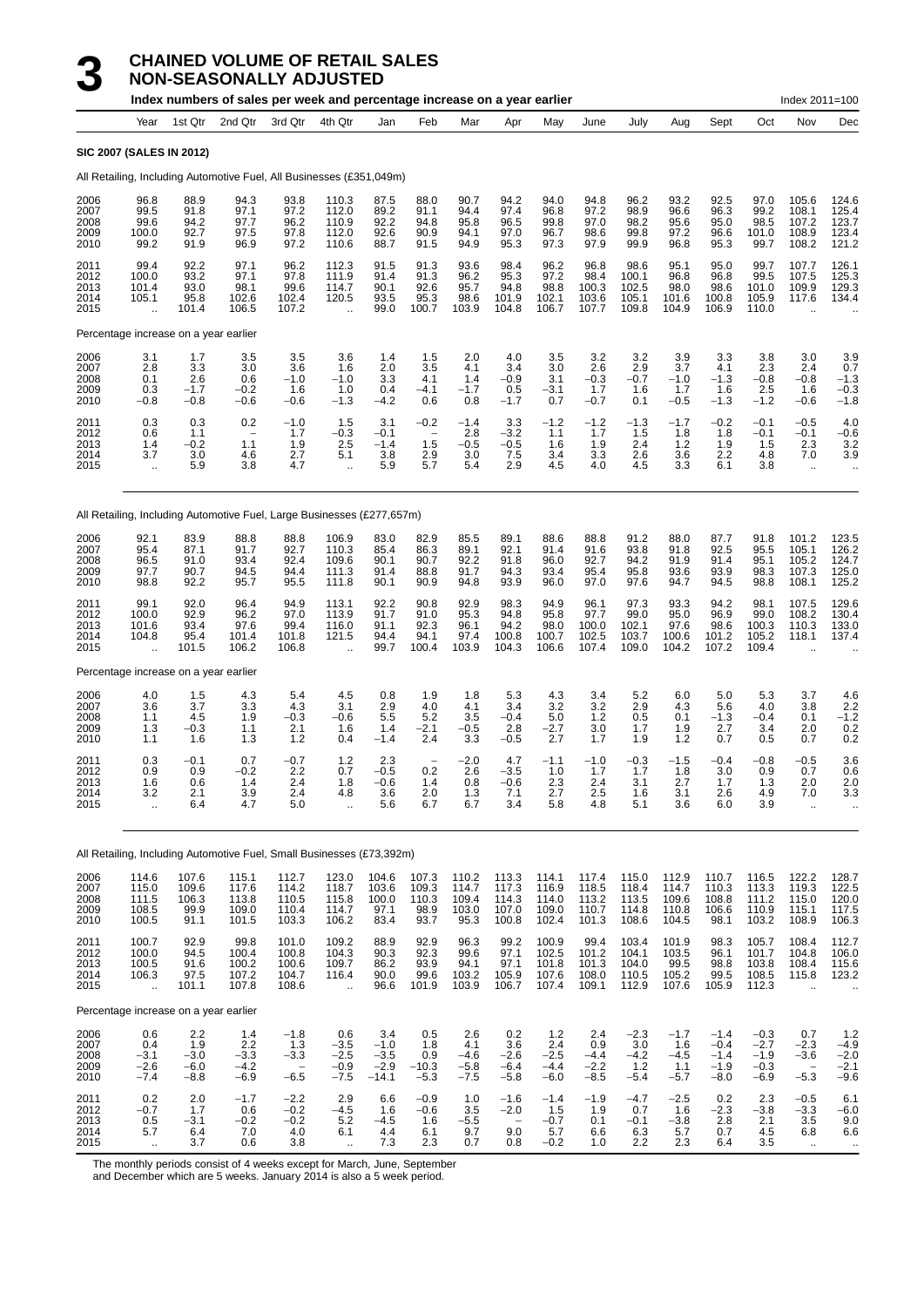# **3 CHAINED VOLUME OF RETAIL SALES**<br>**3 NON-SEASONALLY ADJUSTED**<br>Index numbers of sales per week and percentage inc

|                                      |                                                  |                                           | <b>NON-SEASONALLY ADJUSTED</b><br>Index numbers of sales per week and percentage increase on a year earlier |                                           |                                                          |                                                                   |                                                                   |                                           |                                              |                                                 |                                         |                                          |                                           |                                        |                                           | Index 2011=100                            |                                            |
|--------------------------------------|--------------------------------------------------|-------------------------------------------|-------------------------------------------------------------------------------------------------------------|-------------------------------------------|----------------------------------------------------------|-------------------------------------------------------------------|-------------------------------------------------------------------|-------------------------------------------|----------------------------------------------|-------------------------------------------------|-----------------------------------------|------------------------------------------|-------------------------------------------|----------------------------------------|-------------------------------------------|-------------------------------------------|--------------------------------------------|
|                                      | Year                                             | 1st Qtr                                   | 2nd Qtr                                                                                                     | 3rd Qtr                                   | 4th Qtr                                                  | Jan                                                               | Feb                                                               | Mar                                       | Apr                                          | May                                             | June                                    | July                                     | Aug                                       | Sept                                   | Oct                                       | Nov                                       | Dec                                        |
|                                      | <b>SIC 2007 (SALES IN 2012)</b>                  |                                           |                                                                                                             |                                           |                                                          |                                                                   |                                                                   |                                           |                                              |                                                 |                                         |                                          |                                           |                                        |                                           |                                           |                                            |
|                                      |                                                  |                                           | All Retailing, Including Automotive Fuel, All Businesses (£351,049m)                                        |                                           |                                                          |                                                                   |                                                                   |                                           |                                              |                                                 |                                         |                                          |                                           |                                        |                                           |                                           |                                            |
| 2006<br>2007<br>2008<br>2009<br>2010 | 96.8<br>99.5<br>99.6<br>100.0<br>99.2            | 88.9<br>91.8<br>94.2<br>92.7<br>91.9      | 94.3<br>97.1<br>97.7<br>97.5<br>96.9                                                                        | 93.8<br>97.2<br>96.2<br>97.8<br>97.2      | 110.3<br>112.0<br>110.9<br>112.0<br>110.6                | 87.5<br>89.2<br>92.2<br>92.6<br>88.7                              | 88.0<br>91.1<br>94.8<br>90.9<br>91.5                              | 90.7<br>94.4<br>95.8<br>94.1<br>94.9      | 94.2<br>97.4<br>96.5<br>97.0<br>95.3         | 94.0<br>96.8<br>99.8<br>96.7<br>97.3            | 94.8<br>97.2<br>97.0<br>98.6<br>97.9    | 96.2<br>98.9<br>98.2<br>99.8<br>99.9     | 93.2<br>96.6<br>95.6<br>97.2<br>96.8      | 92.5<br>96.3<br>95.0<br>96.6<br>95.3   | 97.0<br>99.2<br>98.5<br>101.0<br>99.7     | 105.6<br>108.1<br>107.2<br>108.9<br>108.2 | 124.6<br>125.4<br>123.7<br>123.4<br>121.2  |
| 2011<br>2012<br>2013<br>2014<br>2015 | 99.4<br>100.0<br>101.4<br>105.1                  | 92.2<br>93.2<br>93.0<br>95.8<br>101.4     | 97.1<br>97.1<br>98.1<br>102.6<br>106.5                                                                      | 96.2<br>97.8<br>99.6<br>102.4<br>107.2    | 112.3<br>111.9<br>114.7<br>120.5<br>$\ddot{\phantom{a}}$ | 91.5<br>91.4<br>90.1<br>93.5<br>99.0                              | 91.3<br>91.3<br>92.6<br>95.3<br>100.7                             | 93.6<br>96.2<br>95.7<br>98.6<br>103.9     | 98.4<br>95.3<br>94.8<br>101.9<br>104.8       | 96.2<br>97.2<br>98.8<br>102.1<br>106.7          | 96.8<br>98.4<br>100.3<br>103.6<br>107.7 | 98.6<br>100.1<br>102.5<br>105.1<br>109.8 | 95.1<br>96.8<br>98.0<br>101.6<br>104.9    | 95.0<br>96.8<br>98.6<br>100.8<br>106.9 | 99.7<br>99.5<br>101.0<br>105.9<br>110.0   | 107.7<br>107.5<br>109.9<br>117.6          | 126.1<br>$125.3$<br>$129.3$<br>$134.4$     |
|                                      | Percentage increase on a year earlier            |                                           |                                                                                                             |                                           |                                                          |                                                                   |                                                                   |                                           |                                              |                                                 |                                         |                                          |                                           |                                        |                                           |                                           |                                            |
| 2006<br>2007<br>2008<br>2009<br>2010 | 3.1<br>2.8<br>0.1<br>0.3<br>$-0.8$               | 1.7<br>3.3<br>2.6<br>$-1.7$<br>$-0.8$     | 3.5<br>3.0<br>0.6<br>$-0.2$<br>$-0.6$                                                                       | 3.5<br>3.6<br>$-1.0$<br>1.6<br>$-0.6$     | 3.6<br>1.6<br>$-1.0$<br>1.0<br>$-1.3$                    | 1.4<br>2.0<br>3.3<br>0.4<br>$-4.2$                                | 1.5<br>3.5<br>4.1<br>$-4.1$<br>0.6                                | 2.0<br>4.1<br>1.4<br>$-1.7$<br>0.8        | 4.0<br>3.4<br>$-0.9$<br>0.5<br>$-1.7$        | 3.5<br>3.0<br>3.1<br>-3.1<br>0.7                | 3.2<br>2.6<br>$-0.3$<br>1.7<br>$-0.7$   | 3.2<br>2.9<br>$-0.7$<br>1.6<br>0.1       | 3.9<br>3.7<br>$-1.0$<br>1.7<br>$-0.5$     | 3.3<br>4.1<br>$-1.3$<br>1.6<br>$-1.3$  | 3.8<br>2.3<br>$-0.8$<br>2.5<br>$-1.2$     | 3.0<br>2.4<br>$-0.8$<br>1.6<br>$-0.6$     | 3.9<br>0.7<br>$-1.3$<br>$-0.3$<br>$-1.8$   |
| 2011<br>2012<br>2013<br>2014<br>2015 | 0.3<br>0.6<br>1.4<br>3.7<br>÷.                   | 0.3<br>1.1<br>$-0.2$<br>3.0<br>5.9        | 0.2<br>$\overline{\phantom{m}}$<br>1.1<br>4.6<br>3.8                                                        | $-1.0$<br>1.7<br>1.9<br>2.7<br>4.7        | 1.5<br>$-0.3$<br>2.5<br>5.1<br>÷.                        | 3.1<br>$-0.1$<br>$-1.4$<br>3.8<br>5.9                             | $-0.2$<br>$\overline{\phantom{a}}$<br>1.5<br>2.9<br>5.7           | $-1.4$<br>2.8<br>$-0.5$<br>3.0<br>5.4     | 3.3<br>$-3.2$<br>$-0.5$<br>7.5<br>2.9        | $-1.2$<br>1.1<br>1.6<br>3.4<br>4.5              | $-1.2$<br>1.7<br>1.9<br>3.3<br>4.0      | $-1.3$<br>1.5<br>2.4<br>2.6<br>4.5       | $-1.7$<br>1.8<br>1.2<br>3.6<br>3.3        | $-0.2$<br>1.8<br>1.9<br>2.2<br>6.1     | $-0.1$<br>$-0.1$<br>1.5<br>4.8<br>3.8     | $-0.5$<br>$-0.1$<br>2.3<br>7.0<br>ä,      | 4.0<br>$-0.6$<br>$3.2$<br>$3.9$            |
|                                      |                                                  |                                           | All Retailing, Including Automotive Fuel, Large Businesses (£277,657m)                                      |                                           |                                                          |                                                                   |                                                                   |                                           |                                              |                                                 |                                         |                                          |                                           |                                        |                                           |                                           |                                            |
| 2006<br>2007<br>2008<br>2009<br>2010 | 92.1<br>95.4<br>96.5<br>97.7<br>98.8             | 83.9<br>87.1<br>91.0<br>90.7<br>92.2      | 88.8<br>91.7<br>93.4<br>94.5<br>95.7                                                                        | 88.8<br>92.7<br>92.4<br>94.4<br>95.5      | 106.9<br>110.3<br>109.6<br>111.3<br>111.8                | 83.0<br>85.4<br>90.1<br>91.4<br>90.1                              | 82.9<br>86.3<br>90.7<br>88.8<br>90.9                              | 85.5<br>89.1<br>92.2<br>91.7<br>94.8      | 89.1<br>92.1<br>91.8<br>94.3<br>93.9         | 88.6<br>91.4<br>96.0<br>93.4<br>96.0            | 88.8<br>91.6<br>92.7<br>95.4<br>97.0    | 91.2<br>93.8<br>94.2<br>95.8<br>97.6     | 88.0<br>91.8<br>91.9<br>93.6<br>94.7      | 87.7<br>92.5<br>91.4<br>93.9<br>94.5   | 91.8<br>95.5<br>95.1<br>98.3<br>98.8      | 101.2<br>105.1<br>105.2<br>107.3<br>108.1 | 123.5<br>126.2<br>124.7<br>125.0<br>125.2  |
| 2011<br>2012<br>2013<br>2014<br>2015 | 99.1<br>100.0<br>101.6<br>104.8                  | 92.0<br>92.9<br>93.4<br>95.4<br>101.5     | 96.4<br>96.2<br>97.6<br>101.4<br>106.2                                                                      | 94.9<br>97.0<br>99.4<br>101.8<br>106.8    | 113.1<br>113.9<br>116.0<br>121.5                         | 92.2<br>91.7<br>91.1<br>94.4<br>99.7                              | 90.8<br>91.0<br>92.3<br>94.1<br>100.4                             | 92.9<br>95.3<br>96.1<br>97.4<br>103.9     | 98.3<br>94.8<br>94.2<br>100.8<br>104.3       | 94.9<br>95.8<br>98.0<br>100.7<br>106.6          | 96.1<br>97.7<br>100.0<br>102.5<br>107.4 | 97.3<br>99.0<br>102.1<br>103.7<br>109.0  | 93.3<br>95.0<br>97.6<br>100.6<br>104.2    | 94.2<br>96.9<br>98.6<br>101.2<br>107.2 | 98.1<br>99.0<br>100.3<br>105.2<br>109.4   | 107.5<br>108.2<br>110.3<br>118.1          | 129.6<br>130.4<br>133.0<br>137.4           |
|                                      | Percentage increase on a year earlier            |                                           |                                                                                                             |                                           |                                                          |                                                                   |                                                                   |                                           |                                              |                                                 |                                         |                                          |                                           |                                        |                                           |                                           |                                            |
| 2006<br>2007<br>2008<br>2009<br>2010 | $\frac{4.0}{3.6}$<br>1.1<br>1.3<br>1.1           | $\frac{1.5}{3.7}$<br>4.5<br>$-0.3$<br>1.6 | $\frac{4.3}{3.3}$<br>1.9<br>1.1<br>1.3                                                                      | $\frac{5.4}{4.3}$<br>$-0.3$<br>2.1<br>1.2 | $\frac{4.5}{3.1}$<br>$-0.6$<br>1.6<br>0.4                | $\begin{array}{c} 0.8 \\ 2.9 \end{array}$<br>5.5<br>1.4<br>$-1.4$ | $\begin{array}{c} 1.9 \\ 4.0 \end{array}$<br>5.2<br>$-2.1$<br>2.4 | $\frac{1.8}{4.1}$<br>3.5<br>$-0.5$<br>3.3 | $\frac{5.3}{3.4}$<br>$-0.4$<br>2.8<br>$-0.5$ | $\frac{4.3}{3.2}$<br>5.0<br>$-2.7$<br>2.7       | $3.4$<br>$3.2$<br>1.2<br>3.0<br>1.7     | $\frac{5.2}{2.9}$<br>0.5<br>1.7<br>1.9   | $6.0$<br>4.3<br>0.1<br>1.9<br>1.2         | 5.0<br>5.6<br>$-1.3$<br>2.7<br>0.7     | $\frac{5.3}{4.0}$<br>$-0.4$<br>3.4<br>0.5 | $\frac{3.7}{3.8}$<br>0.1<br>2.0<br>0.7    | $4.6$<br>$2.2$<br>$-1.2$<br>$0.2$<br>$0.2$ |
| 2011<br>2012<br>2013<br>2014<br>2015 | 0.3<br>0.9<br>1.6<br>3.2<br>$\ddot{\phantom{a}}$ | $-0.1$<br>0.9<br>0.6<br>2.1<br>6.4        | 0.7<br>$-0.2$<br>1.4<br>3.9<br>4.7                                                                          | $-0.7$<br>2.2<br>2.4<br>2.4<br>5.0        | $1.2$<br>0.7<br>1.8<br>4.8<br>$\ddot{\phantom{a}}$       | 2.3<br>$-0.5$<br>$-0.6$<br>3.6<br>5.6                             | 0.2<br>1.4<br>2.0<br>6.7                                          | $-2.0$<br>2.6<br>0.8<br>1.3<br>6.7        | 4.7<br>$-3.5$<br>$-0.6$<br>7.1<br>3.4        | $-1.1$<br>1.0<br>$2.\overline{3}$<br>2.7<br>5.8 | $-1.0$<br>1.7<br>2.4<br>2.5<br>4.8      | $-0.3$<br>1.7<br>3.1<br>1.6<br>5.1       | $-1.5$<br>$\frac{1.8}{2.7}$<br>3.1<br>3.6 | $-0.4$<br>$3.0$<br>$1.7$<br>2.6<br>6.0 | $-0.8$<br>$0.9$<br>$1.3$<br>4.9<br>3.9    | $-0.5$<br>0.7<br>2.0<br>7.0<br>ä,         | 3.6<br>0.6<br>2.0<br>3.3                   |
|                                      |                                                  |                                           |                                                                                                             |                                           |                                                          |                                                                   |                                                                   |                                           |                                              |                                                 |                                         |                                          |                                           |                                        |                                           |                                           |                                            |

All Retailing, Including Automotive Fuel, Small Businesses (£73,392m)

| 2006<br>2007<br>2008<br>2009<br>2010 | 114.6<br>115.0<br>111.5<br>108.5<br>100.5           | 107.6<br>109.6<br>106.3<br>99.9<br>91.1  | 115.1<br>117.6<br>113.8<br>109.0<br>101.5 | 112.7<br>114.2<br>110.5<br>110.4<br>103.3 | 123.0<br>118.7<br>115.8<br>114.7<br>106.2   | 104.6<br>103.6<br>100.0<br>97.1<br>83.4      | 107.3<br>109.3<br>110.3<br>98.9<br>93.7 | 110.2<br>114.7<br>109.4<br>103.0<br>95.3 | 113.3<br>117.3<br>114.3<br>107.0<br>100.8         | 114.1<br>116.9<br>114.0<br>109.0<br>102.4 | 117.4<br>118.5<br>113.2<br>110.7<br>101.3 | 115.0<br>118.4<br>113.5<br>114.8<br>108.6 | 112.9<br>114.7<br>109.6<br>110.8<br>104.5 | 110.7<br>110.3<br>108.8<br>106.6<br>98.1       | 116.5<br>113.3<br>111.2<br>110.9<br>103.2      | 122.2<br>119.3<br>115.0<br>115.1<br>108.9                     | 128.7<br>122.5<br>120.0<br>117.5<br>106.3   |
|--------------------------------------|-----------------------------------------------------|------------------------------------------|-------------------------------------------|-------------------------------------------|---------------------------------------------|----------------------------------------------|-----------------------------------------|------------------------------------------|---------------------------------------------------|-------------------------------------------|-------------------------------------------|-------------------------------------------|-------------------------------------------|------------------------------------------------|------------------------------------------------|---------------------------------------------------------------|---------------------------------------------|
| 2011<br>2012<br>2013<br>2014<br>2015 | 100.7<br>100.0<br>100.5<br>106.3<br>٠.              | 92.9<br>94.5<br>91.6<br>97.5<br>101.1    | 99.8<br>100.4<br>100.2<br>107.2<br>107.8  | 101.0<br>100.8<br>100.6<br>104.7<br>108.6 | 109.2<br>104.3<br>109.7<br>116.4<br>        | 88.9<br>90.3<br>86.2<br>90.0<br>96.6         | 92.9<br>92.3<br>93.9<br>99.6<br>101.9   | 96.3<br>99.6<br>94.1<br>103.2<br>103.9   | 99.2<br>97.1<br>97.1<br>105.9<br>106.7            | 100.9<br>102.5<br>101.8<br>107.6<br>107.4 | 99.4<br>101.2<br>101.3<br>108.0<br>109.1  | 103.4<br>104.1<br>104.0<br>110.5<br>112.9 | 101.9<br>103.5<br>99.5<br>105.2<br>107.6  | 98.3<br>96.1<br>98.8<br>99.5<br>105.9          | 105.7<br>101.7<br>103.8<br>108.5<br>112.3      | 108.4<br>104.8<br>108.4<br>115.8                              | 112.7<br>106.0<br>115.6<br>123.2            |
|                                      | Percentage increase on a year earlier               |                                          |                                           |                                           |                                             |                                              |                                         |                                          |                                                   |                                           |                                           |                                           |                                           |                                                |                                                |                                                               |                                             |
| 2006<br>2007<br>2008<br>2009<br>2010 | 0.6<br>0.4<br>$-3.1$<br>$-2.6$<br>$-7.4$            | 2.2<br>1.9<br>$-3.0$<br>$-6.0$<br>$-8.8$ | 1.4<br>2.2<br>$-3.3$<br>-4.2<br>$-6.9$    | $-1.8$<br>1.3<br>$-3.3$<br>$-6.5$         | 0.6<br>$-3.5$<br>$-2.5$<br>$-0.9$<br>$-7.5$ | 3.4<br>$-1.0$<br>$-3.5$<br>$-2.9$<br>$-14.1$ | 0.5<br>1.8<br>0.9<br>$-10.3$<br>$-5.3$  | 2.6<br>4.1<br>$-4.6$<br>$-5.8$<br>$-7.5$ | 0.2<br>3.6<br>$-2.6$<br>$-6.4$<br>$-5.8$          | 1.2<br>2.4<br>$-2.5$<br>$-4.4$<br>$-6.0$  | 2.4<br>0.9<br>$-4.4$<br>$-2.2$<br>$-8.5$  | $-2.3$<br>3.0<br>$-4.2$<br>1.2<br>$-5.4$  | $-1.7$<br>1.6<br>$-4.5$<br>1.1<br>$-5.7$  | $-1.4$<br>$-0.4$<br>$-1.4$<br>$-1.9$<br>$-8.0$ | $-0.3$<br>$-2.7$<br>$-1.9$<br>$-0.3$<br>$-6.9$ | 0.7<br>$-2.3$<br>$-3.6$<br>$\overline{\phantom{a}}$<br>$-5.3$ | 1.2<br>$-4.9$<br>$-2.0$<br>$-2.1$<br>$-9.6$ |
| 2011<br>2012<br>2013<br>2014<br>2015 | 0.2<br>$-0.7$<br>0.5<br>5.7<br>$\ddot{\phantom{a}}$ | 2.0<br>1.7<br>$-3.1$<br>6.4<br>3.7       | $-1.7$<br>0.6<br>$-0.2$<br>7.0<br>0.6     | $-2.2$<br>$-0.2$<br>$-0.2$<br>4.0<br>3.8  | 2.9<br>$-4.5$<br>5.2<br>6.1<br>$\ddotsc$    | 6.6<br>1.6<br>$-4.5$<br>4.4<br>7.3           | $-0.9$<br>$-0.6$<br>1.6<br>6.1<br>2.3   | 1.0<br>3.5<br>$-5.5$<br>9.7<br>0.7       | $-1.6$<br>$-2.0$<br>$\qquad \qquad$<br>9.0<br>0.8 | $-1.4$<br>1.5<br>$-0.7$<br>5.7<br>$-0.2$  | $-1.9$<br>1.9<br>0.1<br>6.6<br>1.0        | $-4.7$<br>0.7<br>$-0.1$<br>6.3<br>2.2     | $-2.5$<br>1.6<br>$-3.8$<br>5.7<br>2.3     | 0.2<br>$-2.3$<br>2.8<br>0.7<br>6.4             | 2.3<br>$-3.8$<br>2.1<br>4.5<br>3.5             | $-0.5$<br>$-3.3$<br>3.5<br>6.8<br>                            | 6.1<br>$-6.0$<br>9.0<br>6.6                 |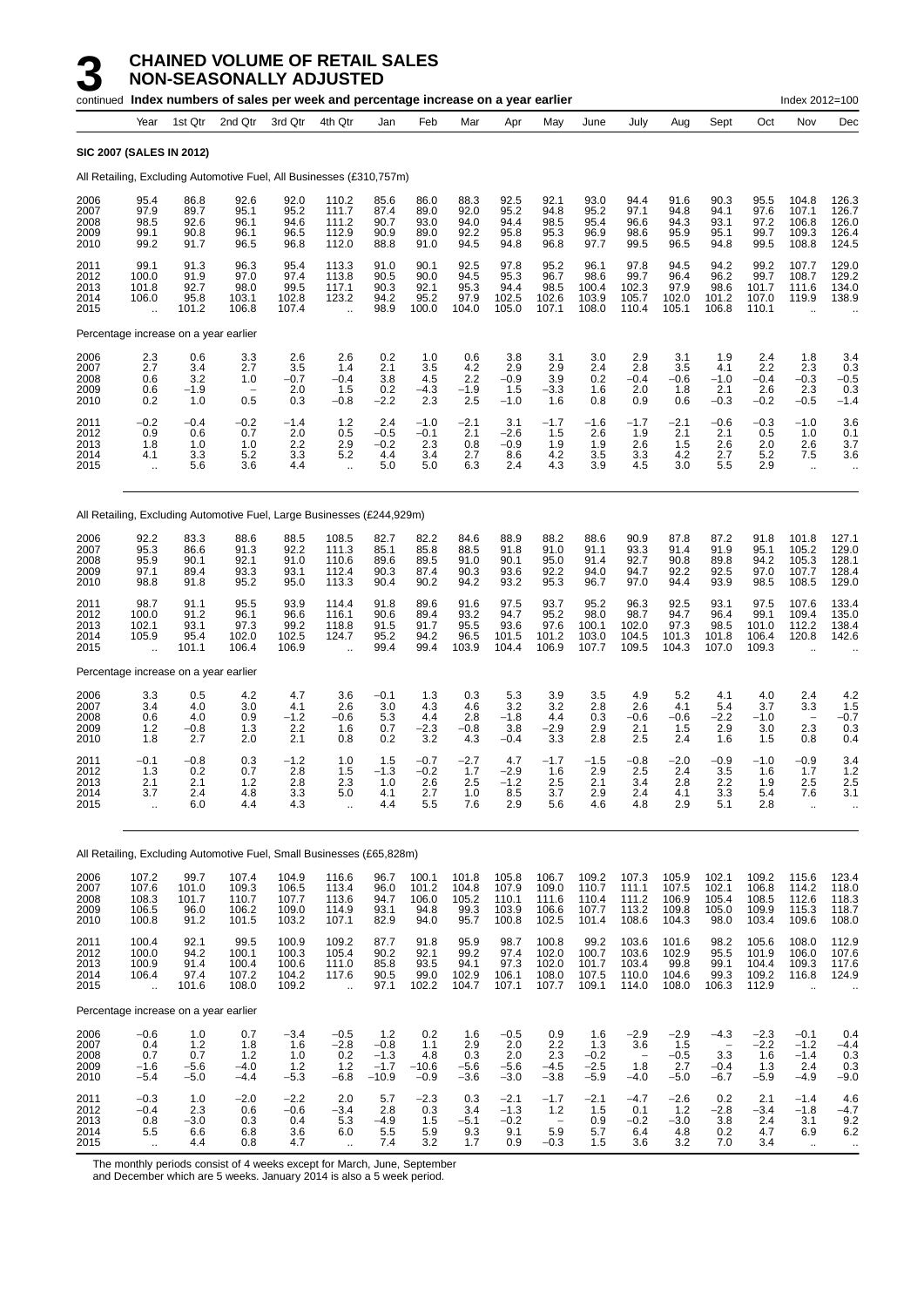|                                      |                                                     |                                        | continued Index numbers of sales per week and percentage increase on a year earlier |                                           |                                                  |                                              |                                         |                                         |                                           |                                           |                                           |                                           |                                           |                                                               |                                           | Index 2012=100                                      |                                                  |
|--------------------------------------|-----------------------------------------------------|----------------------------------------|-------------------------------------------------------------------------------------|-------------------------------------------|--------------------------------------------------|----------------------------------------------|-----------------------------------------|-----------------------------------------|-------------------------------------------|-------------------------------------------|-------------------------------------------|-------------------------------------------|-------------------------------------------|---------------------------------------------------------------|-------------------------------------------|-----------------------------------------------------|--------------------------------------------------|
|                                      | Year                                                | 1st Qtr                                | 2nd Qtr                                                                             | 3rd Qtr                                   | 4th Qtr                                          | Jan                                          | Feb                                     | Mar                                     | Apr                                       | May                                       | June                                      | July                                      | Aug                                       | Sept                                                          | Oct                                       | Nov                                                 | Dec                                              |
|                                      | <b>SIC 2007 (SALES IN 2012)</b>                     |                                        |                                                                                     |                                           |                                                  |                                              |                                         |                                         |                                           |                                           |                                           |                                           |                                           |                                                               |                                           |                                                     |                                                  |
|                                      |                                                     |                                        | All Retailing, Excluding Automotive Fuel, All Businesses (£310,757m)                |                                           |                                                  |                                              |                                         |                                         |                                           |                                           |                                           |                                           |                                           |                                                               |                                           |                                                     |                                                  |
| 2006<br>2007<br>2008<br>2009<br>2010 | 95.4<br>97.9<br>98.5<br>99.1<br>99.2                | 86.8<br>89.7<br>92.6<br>90.8<br>91.7   | 92.6<br>95.1<br>96.1<br>96.1<br>96.5                                                | 92.0<br>95.2<br>94.6<br>96.5<br>96.8      | 110.2<br>111.7<br>111.2<br>112.9<br>112.0        | 85.6<br>87.4<br>90.7<br>90.9<br>88.8         | 86.0<br>89.0<br>93.0<br>89.0<br>91.0    | 88.3<br>92.0<br>94.0<br>92.2<br>94.5    | 92.5<br>95.2<br>94.4<br>95.8<br>94.8      | 92.1<br>94.8<br>98.5<br>95.3<br>96.8      | 93.0<br>95.2<br>95.4<br>96.9<br>97.7      | 94.4<br>97.1<br>96.6<br>98.6<br>99.5      | 91.6<br>94.8<br>94.3<br>95.9<br>96.5      | 90.3<br>94.1<br>93.1<br>95.1<br>94.8                          | 95.5<br>97.6<br>97.2<br>99.7<br>99.5      | 104.8<br>107.1<br>106.8<br>109.3<br>108.8           | 126.3<br>126.7<br>126.0<br>126.4<br>124.5        |
| 2011<br>2012<br>2013<br>2014<br>2015 | 99.1<br>100.0<br>101.8<br>106.0                     | 91.3<br>91.9<br>92.7<br>95.8<br>101.2  | 96.3<br>97.0<br>98.0<br>103.1<br>106.8                                              | 95.4<br>97.4<br>99.5<br>102.8<br>107.4    | 113.3<br>113.8<br>117.1<br>123.2                 | 91.0<br>90.5<br>90.3<br>94.2<br>98.9         | 90.1<br>90.0<br>92.1<br>95.2<br>100.0   | 92.5<br>94.5<br>95.3<br>97.9<br>104.0   | 97.8<br>95.3<br>94.4<br>102.5<br>105.0    | 95.2<br>96.7<br>98.5<br>102.6<br>107.1    | 96.1<br>98.6<br>100.4<br>103.9<br>108.0   | 97.8<br>99.7<br>102.3<br>105.7<br>110.4   | 94.5<br>96.4<br>97.9<br>102.0<br>105.1    | 94.2<br>96.2<br>98.6<br>101.2<br>106.8                        | 99.2<br>99.7<br>101.7<br>107.0<br>110.1   | 107.7<br>108.7<br>111.6<br>119.9                    | 129.0<br>129.2<br>134.0<br>138.9                 |
|                                      | Percentage increase on a year earlier               |                                        |                                                                                     |                                           |                                                  |                                              |                                         |                                         |                                           |                                           |                                           |                                           |                                           |                                                               |                                           |                                                     |                                                  |
| 2006<br>2007<br>2008<br>2009<br>2010 | 2.3<br>2.7<br>0.6<br>0.6<br>0.2                     | 0.6<br>3.4<br>3.2<br>$-1.9$<br>1.0     | 3.3<br>2.7<br>1.0<br>0.5                                                            | 2.6<br>3.5<br>$-0.7$<br>2.0<br>0.3        | 2.6<br>1.4<br>$-0.4$<br>1.5<br>$-0.8$            | 0.2<br>2.1<br>3.8<br>0.2<br>$-2.2$           | 1.0<br>3.5<br>4.5<br>$-4.3$<br>2.3      | 0.6<br>4.2<br>2.2<br>$-1.9$<br>2.5      | 3.8<br>2.9<br>$-0.9$<br>1.5<br>$-1.0$     | 3.1<br>2.9<br>3.9<br>-3.3<br>1.6          | 3.0<br>2.4<br>0.2<br>1.6<br>0.8           | 2.9<br>2.8<br>$-0.4$<br>2.0<br>0.9        | 3.1<br>3.5<br>-0.6<br>1.8<br>0.6          | 1.9<br>4.1<br>$-1.0$<br>2.1<br>$-0.3$                         | 2.4<br>2.2<br>$-0.4$<br>2.6<br>$-0.2$     | 1.8<br>2.3<br>$-0.3$<br>2.3<br>$-0.5$               | 3.4<br>0.3<br>$-0.5$<br>0.3<br>$-1.4$            |
| 2011<br>2012<br>2013<br>2014<br>2015 | $-0.2$<br>0.9<br>1.8<br>4.1<br>$\ddot{\phantom{a}}$ | $-0.4$<br>0.6<br>1.0<br>3.3<br>5.6     | $-0.2$<br>0.7<br>1.0<br>5.2<br>3.6                                                  | $-1.4$<br>2.0<br>2.2<br>3.3<br>4.4        | $1.2$<br>0.5<br>2.9<br>5.2<br>$\ddotsc$          | 2.4<br>$-0.5$<br>$-0.2$<br>4.4<br>5.0        | $-1.0$<br>$-0.1$<br>2.3<br>3.4<br>5.0   | $-2.1$<br>2.1<br>0.8<br>2.7<br>6.3      | 3.1<br>$-2.6$<br>$-0.9$<br>8.6<br>2.4     | $-1.7$<br>1.5<br>1.9<br>4.2<br>4.3        | -1.6<br>2.6<br>1.9<br>3.5<br>3.9          | $-1.7$<br>1.9<br>2.6<br>3.3<br>4.5        | -2.1<br>2.1<br>1.5<br>4.2<br>3.0          | $-0.6$<br>2.1<br>2.6<br>2.7<br>5.5                            | $-0.3$<br>0.5<br>2.0<br>5.2<br>2.9        | $-1.0$<br>1.0<br>2.6<br>7.5<br>$\ddot{\phantom{a}}$ | 3.6<br>0.1<br>3.7<br>3.6                         |
|                                      |                                                     |                                        | All Retailing, Excluding Automotive Fuel, Large Businesses (£244,929m)              |                                           |                                                  |                                              |                                         |                                         |                                           |                                           |                                           |                                           |                                           |                                                               |                                           |                                                     |                                                  |
| 2006<br>2007<br>2008<br>2009<br>2010 | 92.2<br>95.3<br>95.9<br>97.1<br>98.8                | 83.3<br>86.6<br>90.1<br>89.4<br>91.8   | 88.6<br>91.3<br>92.1<br>93.3<br>95.2                                                | 88.5<br>92.2<br>91.0<br>93.1<br>95.0      | 108.5<br>111.3<br>110.6<br>112.4<br>113.3        | 82.7<br>85.1<br>89.6<br>90.3<br>90.4         | 82.2<br>85.8<br>89.5<br>87.4<br>90.2    | 84.6<br>88.5<br>91.0<br>90.3<br>94.2    | 88.9<br>91.8<br>90.1<br>93.6<br>93.2      | 88.2<br>91.0<br>95.0<br>92.2<br>95.3      | 88.6<br>91.1<br>91.4<br>94.0<br>96.7      | 90.9<br>93.3<br>92.7<br>94.7<br>97.0      | 87.8<br>91.4<br>90.8<br>92.2<br>94.4      | 87.2<br>91.9<br>89.8<br>92.5<br>93.9                          | 91.8<br>95.1<br>94.2<br>97.0<br>98.5      | 101.8<br>105.2<br>105.3<br>107.7<br>108.5           | 127.1<br>129.0<br>128.1<br>128.4<br>129.0        |
| 2011<br>2012<br>2013<br>2014<br>2015 | 98.7<br>100.0<br>102.1<br>105.9<br>ü.               | 91.1<br>91.2<br>93.1<br>95.4<br>101.1  | 95.5<br>96.1<br>97.3<br>102.0<br>106.4                                              | 93.9<br>96.6<br>99.2<br>102.5<br>106.9    | 114.4<br>116.1<br>118.8<br>124.7                 | 91.8<br>90.6<br>91.5<br>95.2<br>99.4         | 89.6<br>89.4<br>91.7<br>94.2<br>99.4    | 91.6<br>93.2<br>95.5<br>96.5<br>103.9   | 97.5<br>94.7<br>93.6<br>101.5<br>104.4    | 93.7<br>95.2<br>97.6<br>101.2<br>106.9    | 95.2<br>98.0<br>100.1<br>103.0<br>107.7   | 96.3<br>98.7<br>102.0<br>104.5<br>109.5   | 92.5<br>94.7<br>97.3<br>101.3<br>104.3    | 93.1<br>96.4<br>98.5<br>101.8<br>107.0                        | 97.5<br>99.1<br>101.0<br>106.4<br>109.3   | 107.6<br>109.4<br>112.2<br>120.8                    | 133.4<br>135.0<br>138.4<br>142.6                 |
|                                      | Percentage increase on a year earlier               |                                        |                                                                                     |                                           |                                                  |                                              |                                         |                                         |                                           |                                           |                                           |                                           |                                           |                                                               |                                           |                                                     |                                                  |
| 2006<br>2007<br>2008<br>2009<br>2010 | 3.3<br>3.4<br>0.6<br>1.2<br>1.8                     | 0.5<br>4.0<br>4.0<br>$-0.8$<br>2.7     | 4.2<br>3.0<br>0.9<br>1.3<br>2.0                                                     | 4.7<br>4.1<br>$-1.2$<br>2.2<br>2.1        | 3.6<br>2.6<br>$-0.6$<br>1.6<br>0.8               | $-0.1$<br>3.0<br>5.3<br>0.7<br>0.2           | 1.3<br>4.3<br>4.4<br>$-2.3$<br>3.2      | 0.3<br>4.6<br>2.8<br>$-0.8$<br>4.3      | 5.3<br>3.2<br>$-1.8$<br>3.8<br>$-0.4$     | 3.9<br>3.2<br>4.4<br>$-2.9$<br>3.3        | 3.5<br>2.8<br>0.3<br>2.9<br>2.8           | 4.9<br>2.6<br>$-0.6$<br>2.1<br>2.5        | 5.2<br>4.1<br>-0.6<br>1.5<br>2.4          | 4.1<br>5.4<br>$-2.2$<br>2.9<br>1.6                            | 4.0<br>3.7<br>$-1.0$<br>3.0<br>1.5        | 2.4<br>3.3<br>2.3<br>0.8                            | $^{4.2}_{1.5}$<br>$-0.7$<br>0.3<br>0.4           |
| 2011<br>2012<br>2013<br>2014<br>2015 | $-0.1$<br>1.3<br>2.1<br>3.7<br>ä,                   | $-0.8$<br>0.2<br>2.1<br>2.4<br>6.0     | 0.3<br>0.7<br>1.2<br>4.8<br>4.4                                                     | $-1.2$<br>2.8<br>2.8<br>3.3<br>4.3        | 1.0<br>1.5<br>2.3<br>5.0<br>$\ddot{\phantom{a}}$ | 1.5<br>$-1.3$<br>1.0<br>4.1<br>4.4           | $-0.7$<br>$-0.2$<br>2.6<br>2.7<br>5.5   | $-2.7$<br>1.7<br>2.5<br>1.0<br>7.6      | 4.7<br>$-2.9$<br>-1.2<br>8.5<br>2.9       | $-1.7$<br>1.6<br>2.5<br>3.7<br>5.6        | $-1.5$<br>2.9<br>2.1<br>2.9<br>4.6        | $-0.8$<br>2.5<br>3.4<br>2.4<br>4.8        | $-2.0$<br>2.4<br>2.8<br>4.1<br>2.9        | $-0.9$<br>3.5<br>2.2<br>3.3<br>5.1                            | $-1.0$<br>1.6<br>1.9<br>5.4<br>2.8        | $-0.9$<br>1.7<br>2.5<br>7.6<br>$\ddot{\phantom{1}}$ | 3.4<br>1.2<br>2.5<br>3.1<br>$\ddotsc$            |
|                                      |                                                     |                                        | All Retailing, Excluding Automotive Fuel, Small Businesses (£65,828m)               |                                           |                                                  |                                              |                                         |                                         |                                           |                                           |                                           |                                           |                                           |                                                               |                                           |                                                     |                                                  |
| 2006<br>2007<br>2008<br>2009<br>2010 | 107.2<br>107.6<br>108.3<br>106.5<br>100.8           | 99.7<br>101.0<br>101.7<br>96.0<br>91.2 | 107.4<br>109.3<br>110.7<br>106.2<br>101.5                                           | 104.9<br>106.5<br>107.7<br>109.0<br>103.2 | 116.6<br>113.4<br>113.6<br>114.9<br>107.1        | 96.7<br>96.0<br>94.7<br>93.1<br>82.9         | 100.1<br>101.2<br>106.0<br>94.8<br>94.0 | 101.8<br>104.8<br>105.2<br>99.3<br>95.7 | 105.8<br>107.9<br>110.1<br>103.9<br>100.8 | 106.7<br>109.0<br>111.6<br>106.6<br>102.5 | 109.2<br>110.7<br>110.4<br>107.7<br>101.4 | 107.3<br>111.1<br>111.2<br>113.2<br>108.6 | 105.9<br>107.5<br>106.9<br>109.8<br>104.3 | 102.1<br>102.1<br>105.4<br>105.0<br>98.0                      | 109.2<br>106.8<br>108.5<br>109.9<br>103.4 | 115.6<br>114.2<br>112.6<br>115.3<br>109.6           | 123.4<br>$\frac{118.0}{118.3}$<br>118.7<br>108.0 |
| 2011<br>2012<br>2013<br>2014<br>2015 | 100.4<br>100.0<br>100.9<br>106.4<br>$\ddotsc$       | 92.1<br>94.2<br>91.4<br>97.4<br>101.6  | 99.5<br>100.1<br>100.4<br>107.2<br>108.0                                            | 100.9<br>100.3<br>100.6<br>104.2<br>109.2 | 109.2<br>105.4<br>111.0<br>117.6<br>$\ddotsc$    | 87.7<br>90.2<br>85.8<br>90.5<br>97.1         | 91.8<br>92.1<br>93.5<br>99.0<br>102.2   | 95.9<br>99.2<br>94.1<br>102.9<br>104.7  | 98.7<br>97.4<br>97.3<br>106.1<br>107.1    | 100.8<br>102.0<br>102.0<br>108.0<br>107.7 | 99.2<br>100.7<br>101.7<br>107.5<br>109.1  | 103.6<br>103.6<br>103.4<br>110.0<br>114.0 | 101.6<br>102.9<br>99.8<br>104.6<br>108.0  | 98.2<br>95.5<br>99.1<br>99.3<br>106.3                         | 105.6<br>101.9<br>104.4<br>109.2<br>112.9 | 108.0<br>106.0<br>109.3<br>116.8<br>$\ddotsc$       | 112.9<br>107.6<br>117.6<br>124.9                 |
|                                      | Percentage increase on a year earlier               |                                        |                                                                                     |                                           |                                                  |                                              |                                         |                                         |                                           |                                           |                                           |                                           |                                           |                                                               |                                           |                                                     |                                                  |
| 2006<br>2007<br>2008<br>2009<br>2010 | $-0.6$<br>0.4<br>0.7<br>$-1.6$<br>$-5.4$            | 1.0<br>1.2<br>0.7<br>$-5.6$<br>$-5.0$  | 0.7<br>1.8<br>$1.2$<br>$-4.0$<br>$-4.4$                                             | $-3.4$<br>1.6<br>1.0<br>$1.2$<br>$-5.3$   | $-0.5$<br>$-2.8$<br>0.2<br>1.2<br>$-6.8$         | 1.2<br>$-0.8$<br>$-1.3$<br>$-1.7$<br>$-10.9$ | 0.2<br>1.1<br>4.8<br>$-10.6$<br>$-0.9$  | 1.6<br>2.9<br>0.3<br>$-5.6$<br>$-3.6$   | $-0.5$<br>2.0<br>2.0<br>$-5.6$<br>$-3.0$  | 0.9<br>2.2<br>2.3<br>$-4.5$<br>$-3.8$     | 1.6<br>1.3<br>$-0.2$<br>$-2.5$<br>$-5.9$  | $-2.9$<br>3.6<br>1.8<br>$-4.0$            | $-2.9$<br>1.5<br>$-0.5$<br>2.7<br>$-5.0$  | $-4.3$<br>$\overline{\phantom{0}}$<br>3.3<br>$-0.4$<br>$-6.7$ | $-2.3$<br>$-2.2$<br>1.6<br>1.3<br>$-5.9$  | $-0.1$<br>$-1.2$<br>$-1.4$<br>2.4<br>$-4.9$         | 0.4<br>$-4.4$<br>0.3<br>0.3<br>$-9.0$            |
| 2011<br>2012                         | $-0.3$<br>$-0.4$                                    | 1.0<br>2.3                             | $-2.0$<br>0.6                                                                       | $-2.2$<br>$-0.6$                          | 2.0<br>$-3.4$                                    | 5.7<br>2.8                                   | $-2.3$<br>0.3                           | 0.3<br>3.4                              | $-2.1$<br>$-1.3$                          | $-1.7$<br>1.2                             | $-2.1$<br>1.5                             | $-4.7$<br>0.1                             | $-2.6$<br>1.2                             | 0.2<br>$-2.8$                                                 | 2.1<br>$-3.4$                             | $-1.4$<br>$-1.8$                                    | 4.6<br>$-4.7$                                    |

2013 0.8 −3.0 0.3 0.4 5.3 −4.9 1.5 −5.1 −0.2 − 0.9 −0.2 −3.0 3.8 2.4 3.1 9.2 2014 5.5 6.6 6.8 3.6 6.0 5.5 5.9 9.3 9.1 5.9 5.7 6.4 4.8 0.2 4.7 6.9 6.2 2015 ... 4.4 0.8 4.7 ... 7.4 3.2 1.7 0.9 −0.3 1.5 3.6 3.2 7.0 3.4 ... ...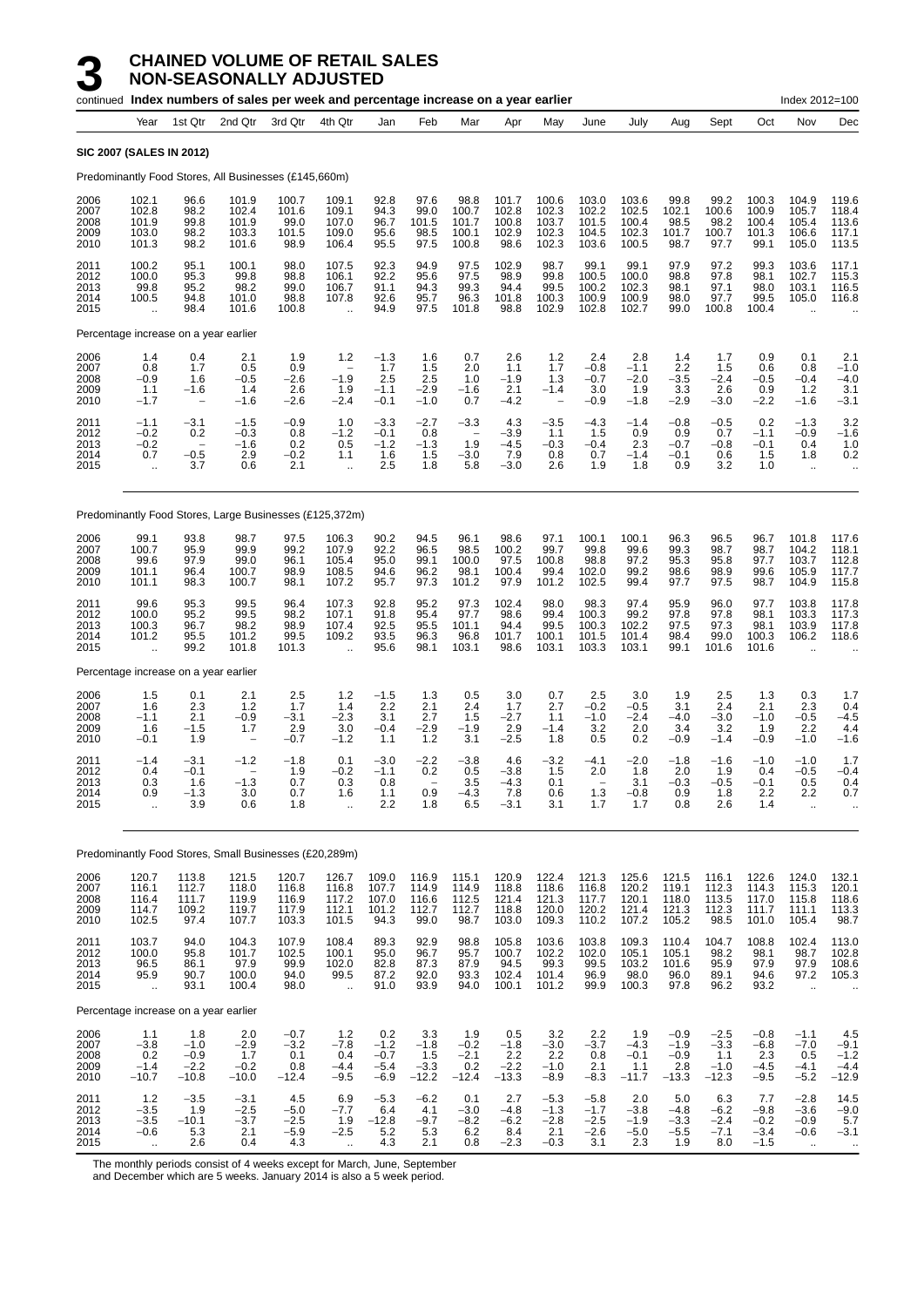|                                      |                                                         |                                                            | continued Index numbers of sales per week and percentage increase on a year earlier |                                           |                                                            |                                             |                                           |                                                          |                                           |                                             |                                             |                                           |                                              |                                              |                                             | Index 2012=100                                           |                                                     |
|--------------------------------------|---------------------------------------------------------|------------------------------------------------------------|-------------------------------------------------------------------------------------|-------------------------------------------|------------------------------------------------------------|---------------------------------------------|-------------------------------------------|----------------------------------------------------------|-------------------------------------------|---------------------------------------------|---------------------------------------------|-------------------------------------------|----------------------------------------------|----------------------------------------------|---------------------------------------------|----------------------------------------------------------|-----------------------------------------------------|
|                                      | Year                                                    | 1st Qtr                                                    | 2nd Qtr                                                                             | 3rd Qtr                                   | 4th Qtr                                                    | Jan                                         | Feb                                       | Mar                                                      | Apr                                       | May                                         | June                                        | July                                      | Aug                                          | Sept                                         | Oct                                         | Nov                                                      | Dec                                                 |
|                                      | <b>SIC 2007 (SALES IN 2012)</b>                         |                                                            |                                                                                     |                                           |                                                            |                                             |                                           |                                                          |                                           |                                             |                                             |                                           |                                              |                                              |                                             |                                                          |                                                     |
|                                      |                                                         |                                                            | Predominantly Food Stores, All Businesses (£145,660m)                               |                                           |                                                            |                                             |                                           |                                                          |                                           |                                             |                                             |                                           |                                              |                                              |                                             |                                                          |                                                     |
| 2006<br>2007<br>2008<br>2009<br>2010 | 102.1<br>102.8<br>101.9<br>103.0<br>101.3               | 96.6<br>98.2<br>99.8<br>98.2<br>98.2                       | 101.9<br>102.4<br>101.9<br>103.3<br>101.6                                           | 100.7<br>101.6<br>99.0<br>101.5<br>98.9   | 109.1<br>109.1<br>107.0<br>109.0<br>106.4                  | 92.8<br>94.3<br>96.7<br>95.6<br>95.5        | 97.6<br>99.0<br>101.5<br>98.5<br>97.5     | 98.8<br>100.7<br>101.7<br>100.1<br>100.8                 | 101.7<br>102.8<br>100.8<br>102.9<br>98.6  | 100.6<br>102.3<br>103.7<br>102.3<br>102.3   | 103.0<br>102.2<br>101.5<br>104.5<br>103.6   | 103.6<br>102.5<br>100.4<br>102.3<br>100.5 | 99.8<br>102.1<br>98.5<br>101.7<br>98.7       | 99.2<br>100.6<br>98.2<br>100.7<br>97.7       | 100.3<br>100.9<br>100.4<br>101.3<br>99.1    | 104.9<br>105.7<br>105.4<br>106.6<br>105.0                | 119.6<br>118.4<br>113.6<br>117.1<br>113.5           |
| 2011<br>2012<br>2013<br>2014<br>2015 | 100.2<br>100.0<br>99.8<br>100.5                         | 95.1<br>95.3<br>95.2<br>94.8<br>98.4                       | 100.1<br>99.8<br>98.2<br>101.0<br>101.6                                             | 98.0<br>98.8<br>99.0<br>98.8<br>100.8     | 107.5<br>106.1<br>106.7<br>107.8                           | 92.3<br>92.2<br>91.1<br>92.6<br>94.9        | 94.9<br>95.6<br>94.3<br>95.7<br>97.5      | 97.5<br>97.5<br>99.3<br>96.3<br>101.8                    | 102.9<br>98.9<br>94.4<br>101.8<br>98.8    | 98.7<br>99.8<br>99.5<br>100.3<br>102.9      | 99.1<br>100.5<br>100.2<br>100.9<br>102.8    | 99.1<br>100.0<br>102.3<br>100.9<br>102.7  | 97.9<br>98.8<br>98.1<br>98.0<br>99.0         | 97.2<br>97.8<br>97.1<br>97.7<br>100.8        | 99.3<br>98.1<br>98.0<br>99.5<br>100.4       | 103.6<br>102.7<br>103.1<br>105.0                         | 117.1<br>115.3<br>116.5<br>116.8                    |
|                                      | Percentage increase on a year earlier                   |                                                            |                                                                                     |                                           |                                                            |                                             |                                           |                                                          |                                           |                                             |                                             |                                           |                                              |                                              |                                             |                                                          |                                                     |
| 2006<br>2007<br>2008<br>2009<br>2010 | 1.4<br>0.8<br>$-0.9$<br>1.1<br>$-1.7$                   | 0.4<br>1.7<br>1.6<br>$-1.6$                                | 2.1<br>0.5<br>$-0.5$<br>1.4<br>-1.6                                                 | 1.9<br>0.9<br>$-2.6$<br>2.6<br>$-2.6$     | 1.2<br>$\overline{\phantom{a}}$<br>$-1.9$<br>1.9<br>$-2.4$ | $-1.3$<br>1.7<br>2.5<br>$-1.1$<br>$-0.1$    | 1.6<br>1.5<br>2.5<br>$-2.9$<br>$-1.0$     | 0.7<br>2.0<br>1.0<br>$-1.6$<br>0.7                       | 2.6<br>1.1<br>$-1.9$<br>2.1<br>$-4.2$     | 1.2<br>1.7<br>1.3<br>$-1.4$                 | 2.4<br>$-0.8$<br>$-0.7$<br>3.0<br>$-0.9$    | 2.8<br>$-1.1$<br>$-2.0$<br>1.9<br>$-1.8$  | 1.4<br>2.2<br>$-3.5$<br>3.3<br>$-2.9$        | 1.7<br>1.5<br>$-2.4$<br>2.6<br>$-3.0$        | 0.9<br>0.6<br>$-0.5$<br>0.9<br>$-2.2$       | 0.1<br>0.8<br>$-0.4$<br>1.2<br>$-1.6$                    | 2.1<br>$-1.0$<br>$-4.0$<br>3.1<br>$-3.1$            |
| 2011<br>2012<br>2013<br>2014<br>2015 | $-1.1$<br>$-0.2$<br>$-0.2$<br>0.7<br>$\bar{\mathbf{r}}$ | $-3.1$<br>0.2<br>$\overline{\phantom{0}}$<br>$-0.5$<br>3.7 | $-1.5$<br>$-0.3$<br>$-1.6$<br>2.9<br>0.6                                            | $-0.9$<br>0.8<br>0.2<br>$-0.2$<br>2.1     | 1.0<br>$-1.2$<br>0.5<br>1.1<br>$\ddot{\phantom{a}}$        | $-3.3$<br>$-0.1$<br>$-1.2$<br>1.6<br>2.5    | $-2.7$<br>0.8<br>$-1.3$<br>1.5<br>1.8     | $-3.3$<br>$\overline{\phantom{a}}$<br>1.9<br>-3.0<br>5.8 | 4.3<br>$-3.9$<br>-4.5<br>7.9<br>$-3.0$    | $-3.5$<br>1.1<br>$-0.3$<br>0.8<br>2.6       | $-4.3$<br>1.5<br>$-0.4$<br>0.7<br>1.9       | $-1.4$<br>0.9<br>2.3<br>$-1.4$<br>1.8     | $-0.8$<br>0.9<br>$-0.7$<br>$-0.1$<br>0.9     | $-0.5$<br>0.7<br>-0.8<br>0.6<br>3.2          | 0.2<br>$-1.1$<br>$-0.1$<br>1.5<br>1.0       | $-1.3$<br>$-0.9$<br>0.4<br>1.8<br>$\ddotsc$              | 3.2<br>$-1.6$<br>1.0<br>0.2<br>$\ddotsc$            |
|                                      |                                                         |                                                            | Predominantly Food Stores, Large Businesses (£125,372m)                             |                                           |                                                            |                                             |                                           |                                                          |                                           |                                             |                                             |                                           |                                              |                                              |                                             |                                                          |                                                     |
| 2006<br>2007<br>2008<br>2009<br>2010 | 99.1<br>100.7<br>99.6<br>101.1<br>101.1                 | 93.8<br>95.9<br>97.9<br>96.4<br>98.3                       | 98.7<br>99.9<br>99.0<br>100.7<br>100.7                                              | 97.5<br>99.2<br>96.1<br>98.9<br>98.1      | 106.3<br>107.9<br>105.4<br>108.5<br>107.2                  | 90.2<br>92.2<br>95.0<br>94.6<br>95.7        | 94.5<br>96.5<br>99.1<br>96.2<br>97.3      | 96.1<br>98.5<br>100.0<br>98.1<br>101.2                   | 98.6<br>100.2<br>97.5<br>100.4<br>97.9    | 97.1<br>99.7<br>100.8<br>99.4<br>101.2      | 100.1<br>99.8<br>98.8<br>102.0<br>102.5     | 100.1<br>99.6<br>97.2<br>99.2<br>99.4     | 96.3<br>99.3<br>95.3<br>98.6<br>97.7         | 96.5<br>98.7<br>95.8<br>98.9<br>97.5         | 96.7<br>98.7<br>97.7<br>99.6<br>98.7        | 101.8<br>104.2<br>103.7<br>105.9<br>104.9                | 117.6<br>118.1<br>112.8<br>117.7<br>115.8           |
| 2011<br>2012<br>2013<br>2014<br>2015 | 99.6<br>100.0<br>100.3<br>101.2                         | 95.3<br>95.2<br>96.7<br>95.5<br>99.2                       | 99.5<br>99.5<br>98.2<br>101.2<br>101.8                                              | 96.4<br>98.2<br>98.9<br>99.5<br>101.3     | 107.3<br>107.1<br>107.4<br>109.2                           | 92.8<br>91.8<br>92.5<br>93.5<br>95.6        | 95.2<br>95.4<br>95.5<br>96.3<br>98.1      | 97.3<br>97.7<br>101.1<br>96.8<br>103.1                   | 102.4<br>98.6<br>94.4<br>101.7<br>98.6    | 98.0<br>99.4<br>99.5<br>100.1<br>103.1      | 98.3<br>100.3<br>100.3<br>101.5<br>103.3    | 97.4<br>99.2<br>102.2<br>101.4<br>103.1   | 95.9<br>97.8<br>97.5<br>98.4<br>99.1         | 96.0<br>97.8<br>97.3<br>99.0<br>101.6        | 97.7<br>98.1<br>98.1<br>100.3<br>101.6      | 103.8<br>103.3<br>103.9<br>106.2<br>$\ddot{\phantom{a}}$ | 117.8<br>117.3<br>117.8<br>118.6                    |
|                                      | Percentage increase on a year earlier                   |                                                            |                                                                                     |                                           |                                                            |                                             |                                           |                                                          |                                           |                                             |                                             |                                           |                                              |                                              |                                             |                                                          |                                                     |
| 2006<br>2007<br>2008<br>2009<br>2010 | 1.5<br>1.6<br>$-1.1$<br>1.6<br>$-0.1$                   | 0.1<br>2.3<br>2.1<br>$-1.5$<br>1.9                         | 2.1<br>1.2<br>$-0.9$<br>1.7                                                         | 2.5<br>1.7<br>$-3.1$<br>2.9<br>$-0.7$     | $1.2$<br>1.4<br>$-2.3$<br>3.0<br>$-1.2$                    | $-1.5$<br>2.2<br>3.1<br>$-0.4$<br>1.1       | 1.3<br>2.1<br>2.7<br>$-2.9$<br>1.2        | 0.5<br>2.4<br>1.5<br>$-1.9$<br>3.1                       | 3.0<br>1.7<br>$-2.7$<br>2.9<br>$-2.5$     | 0.7<br>2.7<br>1.1<br>$-1.4$<br>1.8          | 2.5<br>$-0.2$<br>$-1.0$<br>3.2<br>0.5       | 3.0<br>$-0.5$<br>$-2.4$<br>2.0<br>0.2     | 1.9<br>3.1<br>$-4.0$<br>3.4<br>$-0.9$        | 2.5<br>2.4<br>$-3.0$<br>3.2<br>$-1.4$        | 1.3<br>2.1<br>$-1.0$<br>1.9<br>$-0.9$       | 0.3<br>2.3<br>$-0.5$<br>2.2<br>$-1.0$                    | 1.7<br>0.4<br>$-4.5$<br>4.4<br>$-1.6$               |
| 2011<br>2012<br>2013<br>2014<br>2015 | $-1.4$<br>0.4<br>0.3<br>0.9<br>ä,                       | $-3.1$<br>$-0.1$<br>1.6<br>$-1.3$<br>3.9                   | $-1.2$<br>-1.3<br>3.0<br>0.6                                                        | $-1.8$<br>1.9<br>0.7<br>0.7<br>1.8        | 0.1<br>$-0.2$<br>0.3<br>1.6<br>÷.                          | $-3.0$<br>$-1.1$<br>0.8<br>1.1<br>2.2       | $-2.2$<br>0.2<br>0.9<br>1.8               | $-3.8$<br>0.5<br>3.5<br>$-4.3$<br>6.5                    | 4.6<br>-3.8<br>-4.3<br>7.8<br>$-3.1$      | $-3.2$<br>1.5<br>0.1<br>0.6<br>3.1          | $-4.1$<br>2.0<br>1.3<br>1.7                 | $-2.0$<br>1.8<br>3.1<br>$-0.8$<br>1.7     | $-1.8$<br>2.0<br>-0.3<br>0.9<br>0.8          | $-1.6$<br>1.9<br>-0.5<br>1.8<br>2.6          | $-1.0$<br>0.4<br>-0.1<br>2.2<br>1.4         | $-1.0$<br>$-0.5$<br>0.5<br>2.2<br>$\ddot{\phantom{1}}$   | 1.7<br>$-0.4$<br>0.4<br>0.7<br>$\cdot$ .            |
|                                      |                                                         |                                                            | Predominantly Food Stores, Small Businesses (£20,289m)                              |                                           |                                                            |                                             |                                           |                                                          |                                           |                                             |                                             |                                           |                                              |                                              |                                             |                                                          |                                                     |
| 2006<br>2007<br>2008<br>2009<br>2010 | 120.7<br>116.1<br>116.4<br>114.7<br>102.5               | 113.8<br>112.7<br>111.7<br>109.2<br>97.4                   | 121.5<br>118.0<br>119.9<br>119.7<br>107.7                                           | 120.7<br>116.8<br>116.9<br>117.9<br>103.3 | 126.7<br>116.8<br>117.2<br>112.1<br>101.5                  | 109.0<br>107.7<br>107.0<br>101.2<br>94.3    | 116.9<br>114.9<br>116.6<br>112.7<br>99.0  | 115.1<br>114.9<br>112.5<br>112.7<br>98.7                 | 120.9<br>118.8<br>121.4<br>118.8<br>103.0 | 122.4<br>118.6<br>121.3<br>120.0<br>109.3   | 121.3<br>116.8<br>117.7<br>120.2<br>110.2   | 125.6<br>120.2<br>120.1<br>121.4<br>107.2 | 121.5<br>119.1<br>118.0<br>121.3<br>105.2    | 116.1<br>112.3<br>113.5<br>112.3<br>98.5     | 122.6<br>114.3<br>117.0<br>111.7<br>101.0   | 124.0<br>115.3<br>115.8<br>111.1<br>105.4                | 132.1<br>120.1<br>$\frac{1}{18.6}$<br>113.3<br>98.7 |
| 2011<br>2012<br>2013<br>2014<br>2015 | 103.7<br>100.0<br>96.5<br>95.9<br>$\ddot{\phantom{1}}$  | 94.0<br>95.8<br>86.1<br>90.7<br>93.1                       | 104.3<br>101.7<br>97.9<br>100.0<br>100.4                                            | 107.9<br>102.5<br>99.9<br>94.0<br>98.0    | 108.4<br>100.1<br>102.0<br>99.5<br>$\ddotsc$               | 89.3<br>95.0<br>82.8<br>87.2<br>91.0        | 92.9<br>96.7<br>87.3<br>92.0<br>93.9      | 98.8<br>95.7<br>87.9<br>93.3<br>94.0                     | 105.8<br>100.7<br>94.5<br>102.4<br>100.1  | 103.6<br>102.2<br>99.3<br>101.4<br>101.2    | 103.8<br>102.0<br>99.5<br>96.9<br>99.9      | 109.3<br>105.1<br>103.2<br>98.0<br>100.3  | 110.4<br>105.1<br>101.6<br>96.0<br>97.8      | 104.7<br>98.2<br>95.9<br>89.1<br>96.2        | 108.8<br>98.1<br>97.9<br>94.6<br>93.2       | 102.4<br>98.7<br>97.9<br>97.2<br>$\ddotsc$               | 113.0<br>102.8<br>108.6<br>105.3                    |
|                                      | Percentage increase on a year earlier                   |                                                            |                                                                                     |                                           |                                                            |                                             |                                           |                                                          |                                           |                                             |                                             |                                           |                                              |                                              |                                             |                                                          |                                                     |
| 2006<br>2007<br>2008<br>2009<br>2010 | 1.1<br>$-3.8$<br>0.2<br>$-1.4$<br>$-10.7$               | 1.8<br>$-1.0$<br>$-0.9$<br>$-2.2$<br>$-10.8$               | 2.0<br>$-2.9$<br>1.7<br>$-0.2$<br>$-10.0$                                           | $-0.7$<br>$-3.2$<br>0.1<br>0.8<br>$-12.4$ | $1.2$<br>$-7.8$<br>0.4<br>$-4.4$<br>$-9.5$                 | 0.2<br>$-1.2$<br>$-0.7$<br>$-5.4$<br>$-6.9$ | 3.3<br>$-1.8$<br>1.5<br>$-3.3$<br>$-12.2$ | 1.9<br>$-0.2$<br>$-2.1$<br>0.2<br>$-12.4$                | 0.5<br>$-1.8$<br>2.2<br>$-2.2$<br>$-13.3$ | 3.2<br>$-3.0$<br>2.2<br>$-1.0$<br>$-8.9$    | 2.2<br>$-3.7$<br>0.8<br>2.1<br>$-8.3$       | 1.9<br>$-4.3$<br>$-0.1$<br>1.1<br>$-11.7$ | $-0.9$<br>$-1.9$<br>$-0.9$<br>2.8<br>$-13.3$ | $-2.5$<br>$-3.3$<br>1.1<br>$-1.0$<br>$-12.3$ | $-0.8$<br>$-6.8$<br>2.3<br>$-4.5$<br>$-9.5$ | $-1.1$<br>$-7.0$<br>0.5<br>$-4.1$<br>$-5.2$              | $4.5 - 9.1$<br>$-1.2$<br>$-4.4$<br>$-12.9$          |
| 2011<br>2012<br>2013<br>2014<br>2015 | $1.2$<br>$-3.5$<br>$-3.5$<br>$-0.6$                     | $-3.5$<br>1.9<br>$-10.1$<br>5.3<br>2.6                     | $-3.1$<br>$-2.5$<br>$-3.7$<br>2.1<br>0.4                                            | 4.5<br>$-5.0$<br>$-2.5$<br>$-5.9$<br>4.3  | 6.9<br>$-7.7$<br>1.9<br>$-2.5$                             | $-5.3$<br>6.4<br>$-12.8$<br>5.2<br>4.3      | $-6.2$<br>4.1<br>$-9.7$<br>5.3<br>2.1     | 0.1<br>$-3.0$<br>$-8.2$<br>6.2<br>0.8                    | 2.7<br>$-4.8$<br>$-6.2$<br>8.4<br>$-2.3$  | $-5.3$<br>$-1.3$<br>$-2.8$<br>2.1<br>$-0.3$ | $-5.8$<br>$-1.7$<br>$-2.5$<br>$-2.6$<br>3.1 | 2.0<br>$-3.8$<br>$-1.9$<br>$-5.0$<br>2.3  | 5.0<br>$-4.8$<br>$-3.3$<br>$-5.5$<br>1.9     | 6.3<br>$-6.2$<br>$-2.4$<br>$-7.1$<br>8.0     | 7.7<br>$-9.8$<br>$-0.2$<br>$-3.4$<br>$-1.5$ | $-2.8$<br>$-3.6$<br>$-0.9$<br>$-0.6$<br>$\ddotsc$        | 14.5<br>$-9.0$<br>5.7<br>$-3.1$<br>$\sim$           |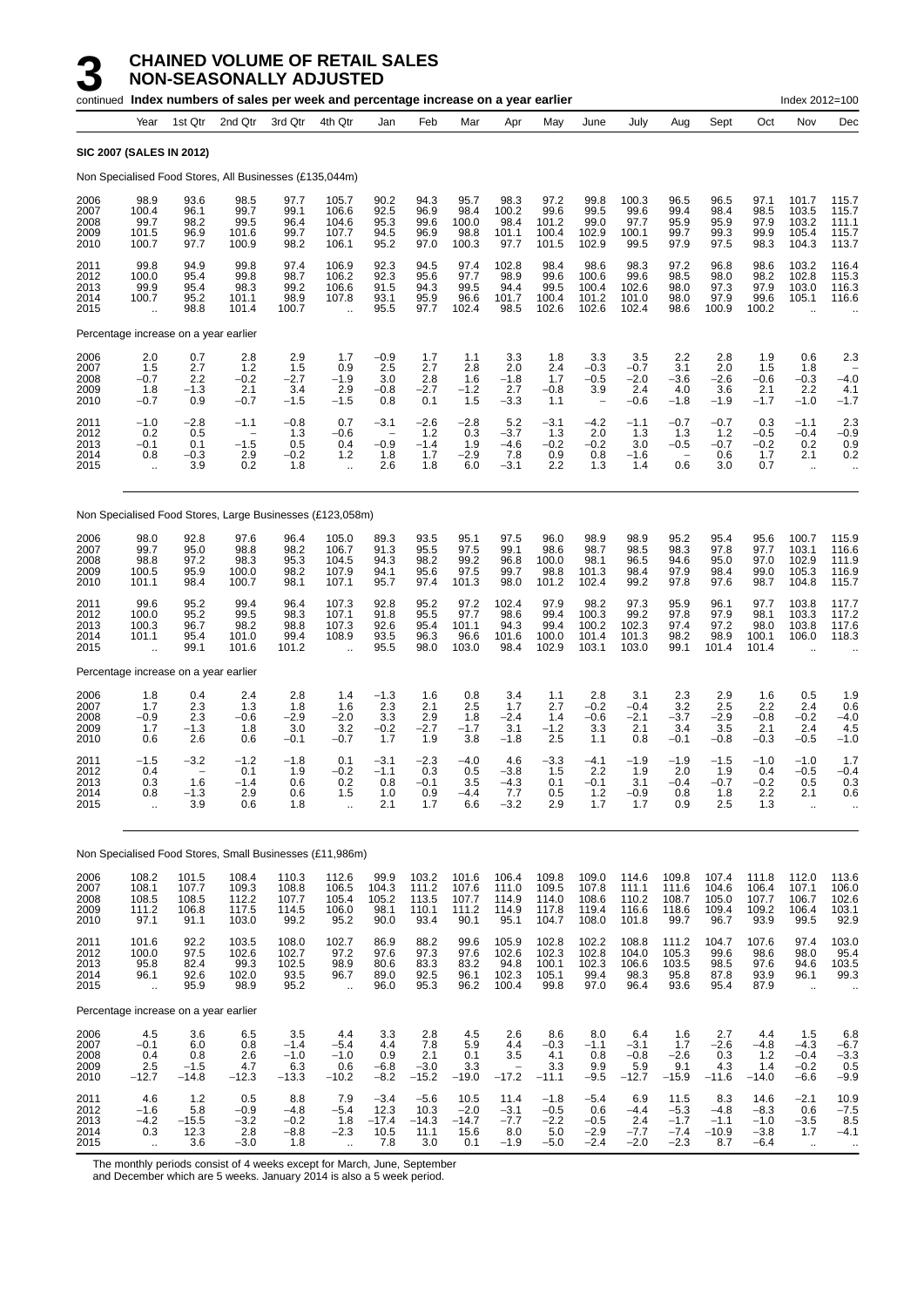|                                      |                                                         |                                          | continued Index numbers of sales per week and percentage increase on a year earlier |                                           |                                                          |                                            |                                          |                                          |                                                          |                                             |                                                            |                                           |                                                  |                                                    |                                              | Index 2012=100                                           |                                              |
|--------------------------------------|---------------------------------------------------------|------------------------------------------|-------------------------------------------------------------------------------------|-------------------------------------------|----------------------------------------------------------|--------------------------------------------|------------------------------------------|------------------------------------------|----------------------------------------------------------|---------------------------------------------|------------------------------------------------------------|-------------------------------------------|--------------------------------------------------|----------------------------------------------------|----------------------------------------------|----------------------------------------------------------|----------------------------------------------|
|                                      | Year                                                    | 1st Qtr                                  | 2nd Qtr                                                                             | 3rd Qtr                                   | 4th Qtr                                                  | Jan                                        | Feb                                      | Mar                                      | Apr                                                      | May                                         | June                                                       | July                                      | Aug                                              | Sept                                               | Oct                                          | Nov                                                      | Dec                                          |
|                                      | <b>SIC 2007 (SALES IN 2012)</b>                         |                                          |                                                                                     |                                           |                                                          |                                            |                                          |                                          |                                                          |                                             |                                                            |                                           |                                                  |                                                    |                                              |                                                          |                                              |
|                                      |                                                         |                                          | Non Specialised Food Stores, All Businesses (£135,044m)                             |                                           |                                                          |                                            |                                          |                                          |                                                          |                                             |                                                            |                                           |                                                  |                                                    |                                              |                                                          |                                              |
| 2006<br>2007<br>2008<br>2009<br>2010 | 98.9<br>100.4<br>99.7<br>101.5<br>100.7                 | 93.6<br>96.1<br>98.2<br>96.9<br>97.7     | 98.5<br>99.7<br>99.5<br>101.6<br>100.9                                              | 97.7<br>99.1<br>96.4<br>99.7<br>98.2      | 105.7<br>106.6<br>104.6<br>107.7<br>106.1                | 90.2<br>92.5<br>95.3<br>94.5<br>95.2       | 94.3<br>96.9<br>99.6<br>96.9<br>97.0     | 95.7<br>98.4<br>100.0<br>98.8<br>100.3   | 98.3<br>100.2<br>98.4<br>101.1<br>97.7                   | 97.2<br>99.6<br>101.2<br>100.4<br>101.5     | 99.8<br>99.5<br>99.0<br>102.9<br>102.9                     | 100.3<br>99.6<br>97.7<br>100.1<br>99.5    | 96.5<br>99.4<br>95.9<br>99.7<br>97.9             | 96.5<br>98.4<br>95.9<br>99.3<br>97.5               | 97.1<br>98.5<br>97.9<br>99.9<br>98.3         | 101.7<br>103.5<br>103.2<br>105.4<br>104.3                | 115.7<br>115.7<br>111.1<br>115.7<br>113.7    |
| 2011<br>2012<br>2013<br>2014<br>2015 | 99.8<br>100.0<br>99.9<br>100.7<br>$\ddot{\phantom{a}}$  | 94.9<br>95.4<br>95.4<br>95.2<br>98.8     | 99.8<br>99.8<br>98.3<br>101.1<br>101.4                                              | 97.4<br>98.7<br>99.2<br>98.9<br>100.7     | 106.9<br>106.2<br>106.6<br>107.8<br>$\ddot{\phantom{a}}$ | 92.3<br>92.3<br>91.5<br>93.1<br>95.5       | 94.5<br>95.6<br>94.3<br>95.9<br>97.7     | 97.4<br>97.7<br>99.5<br>96.6<br>102.4    | 102.8<br>98.9<br>94.4<br>101.7<br>98.5                   | 98.4<br>99.6<br>99.5<br>100.4<br>102.6      | 98.6<br>100.6<br>100.4<br>101.2<br>102.6                   | 98.3<br>99.6<br>102.6<br>101.0<br>102.4   | 97.2<br>98.5<br>98.0<br>98.0<br>98.6             | 96.8<br>98.0<br>97.3<br>97.9<br>100.9              | 98.6<br>98.2<br>97.9<br>99.6<br>100.2        | 103.2<br>102.8<br>103.0<br>105.1<br>$\ddot{\phantom{a}}$ | 116.4<br>115.3<br>116.3<br>116.6             |
|                                      | Percentage increase on a year earlier                   |                                          |                                                                                     |                                           |                                                          |                                            |                                          |                                          |                                                          |                                             |                                                            |                                           |                                                  |                                                    |                                              |                                                          |                                              |
| 2006<br>2007<br>2008<br>2009<br>2010 | 2.0<br>1.5<br>$-0.7$<br>1.8<br>$-0.7$                   | 0.7<br>2.7<br>$^{2.2}_{-1.3}$<br>0.9     | 2.8<br>1.2<br>$-0.2$<br>2.1<br>$-0.7$                                               | 2.9<br>1.5<br>$-2.7$<br>3.4<br>$-1.5$     | 1.7<br>0.9<br>$-1.9$<br>2.9<br>$-1.5$                    | $-0.9$<br>2.5<br>3.0<br>$-0.8$<br>0.8      | 1.7<br>2.7<br>2.8<br>$-2.7$<br>0.1       | 1.1<br>2.8<br>1.6<br>$-1.2$<br>1.5       | 3.3<br>2.0<br>$-1.8$<br>2.7<br>$-3.3$                    | 1.8<br>2.4<br>1.7<br>$-0.8$<br>1.1          | 3.3<br>$-0.3$<br>$-0.5$<br>3.9<br>$\overline{\phantom{a}}$ | 3.5<br>$-0.7$<br>$-2.0$<br>2.4<br>$-0.6$  | 2.2<br>3.1<br>$-3.6$<br>4.0<br>$-1.8$            | 2.8<br>2.0<br>$-2.6$<br>3.6<br>$-1.9$              | 1.9<br>1.5<br>$-0.6$<br>2.1<br>$-1.7$        | 0.6<br>1.8<br>$-0.3$<br>2.2<br>$-1.0$                    | 2.3<br>$-4.0$<br>4.1<br>$-1.7$               |
| 2011<br>2012<br>2013<br>2014<br>2015 | $-1.0$<br>0.2<br>$-0.1$<br>0.8<br>$\bar{\mathbf{r}}$    | $-2.8$<br>0.5<br>0.1<br>$-0.3$<br>3.9    | $-1.1$<br>$-1.5$<br>2.9<br>0.2                                                      | $-0.8$<br>1.3<br>0.5<br>$-0.2$<br>1.8     | 0.7<br>-0.6<br>0.4<br>1.2<br>$\ddotsc$                   | $-3.1$<br>$-0.9$<br>1.8<br>2.6             | $-2.6$<br>1.2<br>$-1.4$<br>1.7<br>1.8    | $-2.8$<br>0.3<br>1.9<br>$-2.9$<br>6.0    | 5.2<br>$-3.7$<br>$-4.6$<br>7.8<br>$-3.1$                 | $-3.1$<br>1.3<br>$-0.2$<br>0.9<br>2.2       | $-4.2$<br>2.0<br>$-0.2$<br>0.8<br>1.3                      | $-1.1$<br>1.3<br>3.0<br>$-1.6$<br>1.4     | $-0.7$<br>1.3<br>$-0.5$<br>$\overline{a}$<br>0.6 | $-0.7$<br>1.2<br>$-0.7$<br>0.6<br>3.0              | 0.3<br>$-0.5$<br>$-0.2$<br>1.7<br>0.7        | $-1.1$<br>$-0.4$<br>0.2<br>2.1<br>$\ddotsc$              | 2.3<br>$-0.9$<br>0.9<br>0.2                  |
|                                      |                                                         |                                          | Non Specialised Food Stores, Large Businesses (£123,058m)                           |                                           |                                                          |                                            |                                          |                                          |                                                          |                                             |                                                            |                                           |                                                  |                                                    |                                              |                                                          |                                              |
| 2006<br>2007<br>2008<br>2009<br>2010 | 98.0<br>99.7<br>98.8<br>100.5<br>101.1                  | 92.8<br>95.0<br>97.2<br>95.9<br>98.4     | 97.6<br>98.8<br>98.3<br>100.0<br>100.7                                              | 96.4<br>98.2<br>95.3<br>98.2<br>98.1      | 105.0<br>106.7<br>104.5<br>107.9<br>107.1                | 89.3<br>91.3<br>94.3<br>94.1<br>95.7       | 93.5<br>95.5<br>98.2<br>95.6<br>97.4     | 95.1<br>97.5<br>99.2<br>97.5<br>101.3    | 97.5<br>99.1<br>96.8<br>99.7<br>98.0                     | 96.0<br>98.6<br>100.0<br>98.8<br>101.2      | 98.9<br>98.7<br>98.1<br>101.3<br>102.4                     | 98.9<br>98.5<br>96.5<br>98.4<br>99.2      | 95.2<br>98.3<br>94.6<br>97.9<br>97.8             | 95.4<br>97.8<br>95.0<br>98.4<br>97.6               | 95.6<br>97.7<br>97.0<br>99.0<br>98.7         | 100.7<br>103.1<br>102.9<br>105.3<br>104.8                | 115.9<br>116.6<br>111.9<br>116.9<br>115.7    |
| 2011<br>2012<br>2013<br>2014<br>2015 | 99.6<br>100.0<br>100.3<br>101.1<br>$\ddot{\phantom{a}}$ | 95.2<br>95.2<br>96.7<br>95.4<br>99.1     | 99.4<br>99.5<br>98.2<br>101.0<br>101.6                                              | 96.4<br>98.3<br>98.8<br>99.4<br>101.2     | 107.3<br>107.1<br>107.3<br>108.9<br>$\ddot{\phantom{a}}$ | 92.8<br>91.8<br>92.6<br>93.5<br>95.5       | 95.2<br>95.5<br>95.4<br>96.3<br>98.0     | 97.2<br>97.7<br>101.1<br>96.6<br>103.0   | 102.4<br>98.6<br>94.3<br>101.6<br>98.4                   | 97.9<br>99.4<br>99.4<br>100.0<br>102.9      | 98.2<br>100.3<br>100.2<br>101.4<br>103.1                   | 97.3<br>99.2<br>102.3<br>101.3<br>103.0   | 95.9<br>97.8<br>97.4<br>98.2<br>99.1             | 96.1<br>97.9<br>97.2<br>98.9<br>101.4              | 97.7<br>98.1<br>98.0<br>100.1<br>101.4       | 103.8<br>103.3<br>103.8<br>106.0<br>$\ddot{\phantom{a}}$ | 117.7<br>117.2<br>117.6<br>118.3             |
|                                      | Percentage increase on a year earlier                   |                                          |                                                                                     |                                           |                                                          |                                            |                                          |                                          |                                                          |                                             |                                                            |                                           |                                                  |                                                    |                                              |                                                          |                                              |
| 2006<br>2007<br>2008<br>2009<br>2010 | $1.8$<br>$1.7$<br>$-0.9$<br>1.7<br>0.6                  | 0.4<br>2.3<br>2.3<br>$-1.3$<br>2.6       | 2.4<br>1.3<br>$-0.6$<br>1.8<br>0.6                                                  | 2.8<br>1.8<br>$-2.9$<br>3.0<br>$-0.1$     | 1.4<br>1.6<br>$-2.0$<br>3.2<br>$-0.7$                    | $\frac{-1.3}{2.3}$<br>3.3<br>$-0.2$<br>1.7 | 1.6<br>2.1<br>2.9<br>$-2.7$<br>1.9       | 0.8<br>2.5<br>1.8<br>$-1.7$<br>3.8       | $3.4$<br>$1.7$<br>$-2.4$<br>3.1<br>$-1.8$                | 1.1<br>2.7<br>1.4<br>$-1.2$<br>2.5          | 2.8<br>$-\overline{0.2}$<br>$-0.6$<br>3.3<br>1.1           | 3.1<br>$-0.4$<br>$-2.1$<br>2.1<br>0.8     | 2.3<br>3.2<br>$-3.7$<br>3.4<br>$-0.1$            | 2.9<br>$\overline{2.5}$<br>$-2.9$<br>3.5<br>$-0.8$ | 1.6<br>2.2<br>$-0.8$<br>2.1<br>$-0.3$        | 0.5<br>2.4<br>$-0.2$<br>2.4<br>$-0.5$                    | 1.9<br>0.6<br>$-4.0$<br>4.5<br>$-1.0$        |
| 2011<br>2012<br>2013<br>2014<br>2015 | $-1.5$<br>0.4<br>0.3<br>0.8<br>$\ddot{\phantom{a}}$     | $-3.2$<br>1.6<br>$-1.3$<br>3.9           | $-1.2$<br>0.1<br>$-1.4$<br>2.9<br>0.6                                               | $-1.8$<br>1.9<br>0.6<br>0.6<br>1.8        | 0.1<br>$-0.2$<br>0.2<br>1.5<br>$\ddot{\phantom{a}}$      | $-3.1$<br>$-1.1$<br>0.8<br>1.0<br>2.1      | $-2.3$<br>0.3<br>$-0.1$<br>0.9<br>1.7    | $-4.0$<br>0.5<br>3.5<br>$-4.4$<br>6.6    | 4.6<br>$-3.8$<br>$-4.3$<br>7.7<br>$-3.2$                 | $-3.3$<br>1.5<br>0.1<br>0.5<br>2.9          | $-4.1$<br>2.2<br>$-0.1$<br>$1.2$<br>1.7                    | $-1.9$<br>1.9<br>3.1<br>$-0.9$<br>1.7     | $-1.9$<br>2.0<br>$-0.4$<br>0.8<br>0.9            | $-1.5$<br>1.9<br>$-0.7$<br>1.8<br>2.5              | $-1.0$<br>0.4<br>$-0.2$<br>$^{2.2}_{1.3}$    | $-1.0$<br>$-0.5$<br>0.5<br>2.1<br>ä.                     | 1.7<br>$-0.4$<br>0.3<br>0.6                  |
|                                      |                                                         |                                          | Non Specialised Food Stores, Small Businesses (£11,986m)                            |                                           |                                                          |                                            |                                          |                                          |                                                          |                                             |                                                            |                                           |                                                  |                                                    |                                              |                                                          |                                              |
| 2006<br>2007<br>2008<br>2009<br>2010 | 108.2<br>108.1<br>108.5<br>111.2<br>97.1                | 101.5<br>107.7<br>108.5<br>106.8<br>91.1 | 108.4<br>109.3<br>112.2<br>117.5<br>103.0                                           | 110.3<br>108.8<br>107.7<br>114.5<br>99.2  | 112.6<br>106.5<br>105.4<br>106.0<br>95.2                 | 99.9<br>104.3<br>105.2<br>98.1<br>90.0     | 103.2<br>111.2<br>113.5<br>110.1<br>93.4 | 101.6<br>107.6<br>107.7<br>111.2<br>90.1 | 106.4<br>111.0<br>114.9<br>114.9<br>95.1                 | 109.8<br>109.5<br>114.0<br>117.8<br>104.7   | 109.0<br>107.8<br>108.6<br>119.4<br>108.0                  | 114.6<br>111.1<br>110.2<br>116.6<br>101.8 | 109.8<br>111.6<br>108.7<br>118.6<br>99.7         | 107.4<br>104.6<br>105.0<br>109.4<br>96.7           | 111.8<br>106.4<br>107.7<br>109.2<br>93.9     | 112.0<br>107.1<br>106.7<br>106.4<br>99.5                 | 113.6<br>106.0<br>102.6<br>103.1<br>92.9     |
| 2011<br>2012<br>2013<br>2014<br>2015 | 101.6<br>100.0<br>95.8<br>96.1<br>Ġ.                    | 92.2<br>97.5<br>82.4<br>92.6<br>95.9     | 103.5<br>102.6<br>99.3<br>102.0<br>98.9                                             | 108.0<br>102.7<br>102.5<br>93.5<br>95.2   | 102.7<br>97.2<br>98.9<br>96.7<br>$\ddot{\phantom{a}}$    | 86.9<br>97.6<br>80.6<br>89.0<br>96.0       | 88.2<br>97.3<br>83.3<br>92.5<br>95.3     | 99.6<br>97.6<br>83.2<br>96.1<br>96.2     | 105.9<br>102.6<br>94.8<br>102.3<br>100.4                 | 102.8<br>102.3<br>100.1<br>105.1<br>99.8    | 102.2<br>102.8<br>102.3<br>99.4<br>97.0                    | 108.8<br>104.0<br>106.6<br>98.3<br>96.4   | 111.2<br>105.3<br>103.5<br>95.8<br>93.6          | 104.7<br>99.6<br>98.5<br>87.8<br>95.4              | 107.6<br>98.6<br>97.6<br>93.9<br>87.9        | 97.4<br>98.0<br>94.6<br>96.1<br>$\bar{\mathbf{r}}$       | 103.0<br>95.4<br>103.5<br>99.3               |
|                                      | Percentage increase on a year earlier                   |                                          |                                                                                     |                                           |                                                          |                                            |                                          |                                          |                                                          |                                             |                                                            |                                           |                                                  |                                                    |                                              |                                                          |                                              |
| 2006<br>2007<br>2008<br>2009<br>2010 | 4.5<br>$-0.1$<br>0.4<br>2.5<br>$-12.7$                  | 3.6<br>6.0<br>0.8<br>$-1.5$<br>$-14.8$   | 6.5<br>0.8<br>2.6<br>4.7<br>$-12.3$                                                 | 3.5<br>$-1.4$<br>$-1.0$<br>6.3<br>$-13.3$ | 4.4<br>$-5.4$<br>$-1.0$<br>0.6<br>$-10.2$                | 3.3<br>4.4<br>0.9<br>$-6.8$<br>$-8.2$      | 2.8<br>7.8<br>2.1<br>$-3.0$<br>$-15.2$   | 4.5<br>5.9<br>0.1<br>3.3<br>$-19.0$      | 2.6<br>4.4<br>3.5<br>$\overline{\phantom{0}}$<br>$-17.2$ | 8.6<br>$-0.3$<br>4.1<br>3.3<br>$-11.1$      | 8.0<br>$-1.1$<br>0.8<br>9.9<br>$-9.5$                      | 6.4<br>$-3.1$<br>$-0.8$<br>5.9<br>$-12.7$ | 1.6<br>1.7<br>$-2.6$<br>9.1<br>$-15.9$           | 2.7<br>$-2.6$<br>0.3<br>4.3<br>$-11.6$             | 4.4<br>$-4.8$<br>1.2<br>1.4<br>$-14.0$       | 1.5<br>$-4.3$<br>$-0.4$<br>$-0.2$<br>$-6.6$              | 6.8<br>$-6.7$<br>$-3.3$<br>0.5<br>$-9.9$     |
| 2011<br>2012<br>2013<br>2014<br>2015 | 4.6<br>$-1.6$<br>$-4.2$<br>0.3                          | 1.2<br>5.8<br>$-15.5$<br>12.3<br>3.6     | 0.5<br>$-0.9$<br>$-3.2$<br>2.8<br>$-3.0$                                            | 8.8<br>$-4.8$<br>$-0.2$<br>$-8.8$<br>1.8  | 7.9<br>$-5.4$<br>1.8<br>$-2.3$                           | $-3.4$<br>12.3<br>$-17.4$<br>10.5<br>7.8   | $-5.6$<br>10.3<br>$-14.3$<br>11.1<br>3.0 | 10.5<br>$-2.0$<br>$-14.7$<br>15.6<br>0.1 | 11.4<br>$-3.1$<br>$-7.7$<br>8.0<br>$-1.9$                | $-1.8$<br>$-0.5$<br>$-2.2$<br>5.0<br>$-5.0$ | $-5.4$<br>0.6<br>$-0.5$<br>$-2.9$<br>$-2.4$                | 6.9<br>$-4.4$<br>2.4<br>$-7.7$<br>$-2.0$  | 11.5<br>$-5.3$<br>$-1.7$<br>$-7.4$<br>$-2.3$     | 8.3<br>$-4.8$<br>$-1.1$<br>$-10.9$<br>8.7          | 14.6<br>$-8.3$<br>$-1.0$<br>$-3.8$<br>$-6.4$ | $-2.1$<br>0.6<br>$-3.5$<br>1.7<br>$\sim$                 | 10.9<br>$-7.5$<br>8.5<br>$-4.1$<br>$\cdot$ . |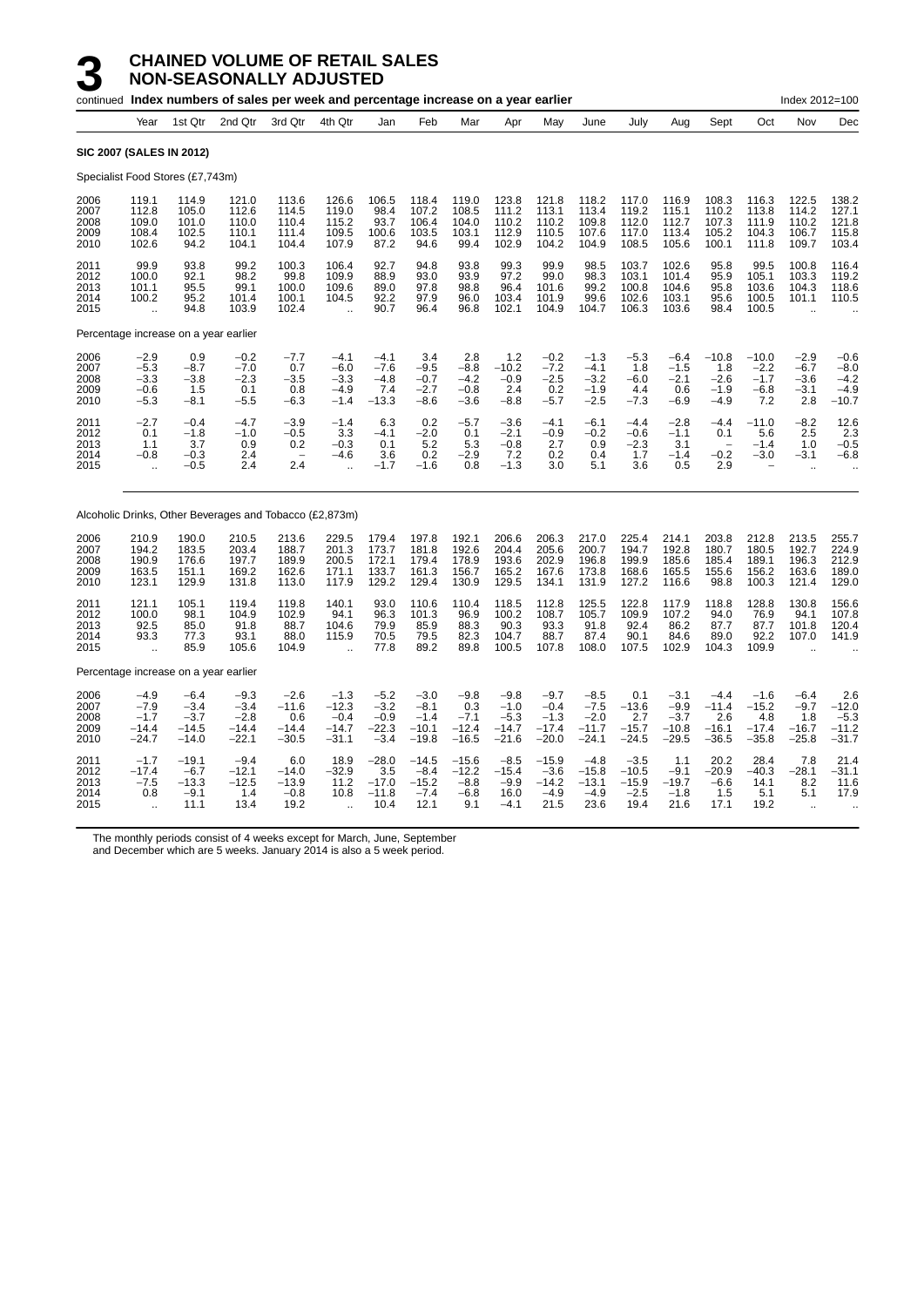|                                      |                                                        |                                                | continued Index numbers of sales per week and percentage increase on a year earlier |                                             |                                                           |                                                 |                                                  |                                               |                                                  |                                                  |                                                  |                                                |                                                  |                                                            |                                                | Index 2012=100                                |                                                 |
|--------------------------------------|--------------------------------------------------------|------------------------------------------------|-------------------------------------------------------------------------------------|---------------------------------------------|-----------------------------------------------------------|-------------------------------------------------|--------------------------------------------------|-----------------------------------------------|--------------------------------------------------|--------------------------------------------------|--------------------------------------------------|------------------------------------------------|--------------------------------------------------|------------------------------------------------------------|------------------------------------------------|-----------------------------------------------|-------------------------------------------------|
|                                      | Year                                                   | 1st Qtr                                        | 2nd Qtr                                                                             | 3rd Qtr                                     | 4th Qtr                                                   | Jan                                             | Feb                                              | Mar                                           | Apr                                              | May                                              | June                                             | July                                           | Aug                                              | Sept                                                       | Oct                                            | Nov                                           | Dec                                             |
|                                      | <b>SIC 2007 (SALES IN 2012)</b>                        |                                                |                                                                                     |                                             |                                                           |                                                 |                                                  |                                               |                                                  |                                                  |                                                  |                                                |                                                  |                                                            |                                                |                                               |                                                 |
|                                      | Specialist Food Stores (£7,743m)                       |                                                |                                                                                     |                                             |                                                           |                                                 |                                                  |                                               |                                                  |                                                  |                                                  |                                                |                                                  |                                                            |                                                |                                               |                                                 |
| 2006<br>2007<br>2008<br>2009<br>2010 | 119.1<br>112.8<br>109.0<br>108.4<br>102.6              | 114.9<br>105.0<br>101.0<br>102.5<br>94.2       | 121.0<br>112.6<br>110.0<br>110.1<br>104.1                                           | 113.6<br>114.5<br>110.4<br>111.4<br>104.4   | 126.6<br>119.0<br>115.2<br>109.5<br>107.9                 | 106.5<br>98.4<br>93.7<br>100.6<br>87.2          | 118.4<br>107.2<br>106.4<br>103.5<br>94.6         | 119.0<br>108.5<br>104.0<br>103.1<br>99.4      | 123.8<br>111.2<br>110.2<br>112.9<br>102.9        | 121.8<br>113.1<br>110.2<br>110.5<br>104.2        | 118.2<br>113.4<br>109.8<br>107.6<br>104.9        | 117.0<br>119.2<br>112.0<br>117.0<br>108.5      | 116.9<br>115.1<br>112.7<br>113.4<br>105.6        | 108.3<br>110.2<br>107.3<br>105.2<br>100.1                  | 116.3<br>113.8<br>111.9<br>104.3<br>111.8      | 122.5<br>114.2<br>110.2<br>106.7<br>109.7     | 138.2<br>127.1<br>121.8<br>115.8<br>103.4       |
| 2011<br>2012<br>2013<br>2014<br>2015 | 99.9<br>100.0<br>101.1<br>100.2                        | 93.8<br>92.1<br>95.5<br>95.2<br>94.8           | 99.2<br>98.2<br>99.1<br>101.4<br>103.9                                              | 100.3<br>99.8<br>100.0<br>100.1<br>102.4    | 106.4<br>109.9<br>109.6<br>104.5                          | 92.7<br>88.9<br>89.0<br>92.2<br>90.7            | 94.8<br>93.0<br>97.8<br>97.9<br>96.4             | 93.8<br>93.9<br>98.8<br>96.0<br>96.8          | 99.3<br>97.2<br>96.4<br>103.4<br>102.1           | 99.9<br>99.0<br>101.6<br>101.9<br>104.9          | 98.5<br>98.3<br>99.2<br>99.6<br>104.7            | 103.7<br>103.1<br>100.8<br>102.6<br>106.3      | 102.6<br>101.4<br>104.6<br>103.1<br>103.6        | 95.8<br>95.9<br>95.8<br>95.6<br>98.4                       | 99.5<br>105.1<br>103.6<br>100.5<br>100.5       | 100.8<br>103.3<br>104.3<br>101.1              | 116.4<br>119.2<br>118.6<br>110.5                |
|                                      | Percentage increase on a year earlier                  |                                                |                                                                                     |                                             |                                                           |                                                 |                                                  |                                               |                                                  |                                                  |                                                  |                                                |                                                  |                                                            |                                                |                                               |                                                 |
| 2006<br>2007<br>2008<br>2009<br>2010 | $-2.9$<br>$-5.3$<br>$-3.3$<br>$-0.6$<br>$-5.3$         | 0.9<br>$-8.7$<br>$-3.8$<br>1.5<br>$-8.1$       | $-0.2$<br>$-7.0$<br>$-2.3$<br>0.1<br>$-5.5$                                         | $-7.7$<br>0.7<br>$-3.5$<br>0.8<br>$-6.3$    | $-4.1$<br>$-6.0$<br>$-3.3$<br>$-4.9$<br>$-1.4$            | $-4.1$<br>$-7.6$<br>$-4.8$<br>7.4<br>$-13.3$    | 3.4<br>$-9.5$<br>$-0.7$<br>$-2.7$<br>$-8.6$      | 2.8<br>$-8.8$<br>$-4.2$<br>$-0.8$<br>$-3.6$   | 1.2<br>$-10.2$<br>$-0.9$<br>2.4<br>$-8.8$        | $-0.2$<br>$-7.2$<br>$-2.5$<br>0.2<br>$-5.7$      | $-1.3$<br>$-4.1$<br>$-3.2$<br>$-1.9$<br>$-2.5$   | $-5.3$<br>1.8<br>$-6.0$<br>4.4<br>$-7.3$       | $-6.4$<br>$-1.5$<br>$-2.1$<br>0.6<br>$-6.9$      | $-10.8$<br>1.8<br>$-2.6$<br>$-1.9$<br>$-4.9$               | $-10.0$<br>$-2.2$<br>$-1.7$<br>$-6.8$<br>7.2   | $-2.9$<br>$-6.7$<br>$-3.6$<br>$-3.1$<br>2.8   | $-0.6$<br>$-8.0$<br>$-4.2$<br>$-4.9$<br>$-10.7$ |
| 2011<br>2012<br>2013<br>2014<br>2015 | $-2.7$<br>0.1<br>1.1<br>$-0.8$<br>$\ddotsc$            | $-0.4$<br>$-1.8$<br>3.7<br>$-0.3$<br>$-0.5$    | $-4.7$<br>$-1.0$<br>0.9<br>2.4<br>2.4                                               | $-3.9$<br>$-0.5$<br>0.2<br>۰<br>2.4         | $-1.4$<br>3.3<br>$-0.3$<br>$-4.6$<br>$\ddot{\phantom{a}}$ | 6.3<br>$-4.1$<br>0.1<br>3.6<br>$-1.7$           | 0.2<br>$-2.0$<br>5.2<br>0.2<br>$-1.6$            | $-5.7$<br>0.1<br>5.3<br>$-2.9$<br>0.8         | $-3.6$<br>$-2.1$<br>$-0.8$<br>7.2<br>$-1.3$      | $-4.1$<br>$-0.9$<br>2.7<br>0.2<br>3.0            | $-6.1$<br>$-0.2$<br>0.9<br>0.4<br>5.1            | $-4.4$<br>$-0.6$<br>$-2.3$<br>1.7<br>3.6       | $-2.8$<br>$-1.1$<br>3.1<br>$-1.4$<br>0.5         | $-4.4$<br>0.1<br>$\overline{\phantom{a}}$<br>$-0.2$<br>2.9 | $-11.0$<br>5.6<br>$-1.4$<br>$-3.0$             | $-8.2$<br>2.5<br>1.0<br>$-3.1$                | 12.6<br>2.3<br>$-0.5$<br>$-6.8$                 |
|                                      |                                                        |                                                | Alcoholic Drinks, Other Beverages and Tobacco (£2,873m)                             |                                             |                                                           |                                                 |                                                  |                                               |                                                  |                                                  |                                                  |                                                |                                                  |                                                            |                                                |                                               |                                                 |
| 2006<br>2007<br>2008<br>2009<br>2010 | 210.9<br>194.2<br>190.9<br>163.5<br>123.1              | 190.0<br>183.5<br>176.6<br>151.1<br>129.9      | 210.5<br>203.4<br>197.7<br>169.2<br>131.8                                           | 213.6<br>188.7<br>189.9<br>162.6<br>113.0   | 229.5<br>201.3<br>200.5<br>171.1<br>117.9                 | 179.4<br>173.7<br>172.1<br>133.7<br>129.2       | 197.8<br>181.8<br>179.4<br>161.3<br>129.4        | 192.1<br>192.6<br>178.9<br>156.7<br>130.9     | 206.6<br>204.4<br>193.6<br>165.2<br>129.5        | 206.3<br>205.6<br>202.9<br>167.6<br>134.1        | 217.0<br>200.7<br>196.8<br>173.8<br>131.9        | 225.4<br>194.7<br>199.9<br>168.6<br>127.2      | 214.1<br>192.8<br>185.6<br>165.5<br>116.6        | 203.8<br>180.7<br>185.4<br>155.6<br>98.8                   | 212.8<br>180.5<br>189.1<br>156.2<br>100.3      | 213.5<br>192.7<br>196.3<br>163.6<br>121.4     | 255.7<br>224.9<br>212.9<br>189.0<br>129.0       |
| 2011<br>2012<br>2013<br>2014<br>2015 | 121.1<br>100.0<br>92.5<br>93.3<br>$\ddot{\phantom{a}}$ | 105.1<br>98.1<br>85.0<br>77.3<br>85.9          | 119.4<br>104.9<br>91.8<br>93.1<br>105.6                                             | 119.8<br>102.9<br>88.7<br>88.0<br>104.9     | 140.1<br>94.1<br>104.6<br>115.9<br>$\ddot{\phantom{a}}$   | 93.0<br>96.3<br>79.9<br>70.5<br>77.8            | 110.6<br>101.3<br>85.9<br>79.5<br>89.2           | 110.4<br>96.9<br>88.3<br>82.3<br>89.8         | 118.5<br>100.2<br>90.3<br>104.7<br>100.5         | 112.8<br>108.7<br>93.3<br>88.7<br>107.8          | 125.5<br>105.7<br>91.8<br>87.4<br>108.0          | 122.8<br>109.9<br>92.4<br>90.1<br>107.5        | 117.9<br>107.2<br>86.2<br>84.6<br>102.9          | 118.8<br>94.0<br>87.7<br>89.0<br>104.3                     | 128.8<br>76.9<br>87.7<br>92.2<br>109.9         | 130.8<br>94.1<br>101.8<br>107.0               | 156.6<br>107.8<br>120.4<br>141.9                |
|                                      | Percentage increase on a year earlier                  |                                                |                                                                                     |                                             |                                                           |                                                 |                                                  |                                               |                                                  |                                                  |                                                  |                                                |                                                  |                                                            |                                                |                                               |                                                 |
| 2006<br>2007<br>2008<br>2009<br>2010 | $-4.9$<br>$-7.9$<br>$-1.7$<br>-14.4<br>-24.7           | $-6.4$<br>$-3.4$<br>$-3.7$<br>-14.5<br>$-14.0$ | $-9.3$<br>$-3.4$<br>$-2.8$<br>$-14.4$<br>$-22.1$                                    | $-2.6$<br>$-11.6$<br>0.6<br>-14.4<br>-30.5  | $-1.3$<br>$-12.3$<br>$-0.4$<br>$-14.7$<br>$-31.1$         | $-5.2$<br>$-3.2$<br>$-0.9$<br>$-22.3$<br>$-3.4$ | $-3.0$<br>$-8.1$<br>$-1.4$<br>$-10.1$<br>$-19.8$ | $-9.8$<br>0.3<br>$-7.1$<br>$-12.4$<br>$-16.5$ | $-9.8$<br>$-1.0$<br>$-5.3$<br>$-14.7$<br>$-21.6$ | $-9.7$<br>$-0.4$<br>$-1.3$<br>$-17.4$<br>$-20.0$ | $-8.5$<br>$-7.5$<br>$-2.0$<br>$-11.7$<br>$-24.1$ | 0.1<br>$-13.6$<br>2.7<br>$-15.7$<br>$-24.5$    | $-3.1$<br>$-9.9$<br>$-3.7$<br>$-10.8$<br>$-29.5$ | $-4.4$<br>$-11.4$<br>2.6<br>$-16.1$<br>$-36.5$             | $-1.6$<br>$-15.2$<br>4.8<br>$-17.4$<br>$-35.8$ | $-6.4$<br>$-9.7$<br>1.8<br>$-16.7$<br>$-25.8$ | 2.6<br>$-12.0$<br>$-5.3$<br>$-11.2$<br>$-31.7$  |
| 2011<br>2012<br>2013<br>2014<br>2015 | $-1.7$<br>$-17.4$<br>$-7.5$<br>0.8<br>ă,               | $-19.1$<br>$-6.7$<br>$-13.3$<br>$-9.1$<br>11.1 | $-9.4$<br>$-12.1$<br>$-12.5$<br>1.4<br>13.4                                         | 6.0<br>$-14.0$<br>$-13.9$<br>$-0.8$<br>19.2 | 18.9<br>$-32.9$<br>11.2<br>10.8                           | $-28.0$<br>3.5<br>$-17.0$<br>$-11.8$<br>10.4    | $-14.5$<br>$-8.4$<br>$-15.2$<br>$-7.4$<br>12.1   | $-15.6$<br>$-12.2$<br>$-8.8$<br>$-6.8$<br>9.1 | $-8.5$<br>$-15.4$<br>$-9.9$<br>16.0<br>$-4.1$    | $-15.9$<br>$-3.6$<br>$-14.2$<br>$-4.9$<br>21.5   | $-4.8$<br>$-15.8$<br>$-13.1$<br>$-4.9$<br>23.6   | $-3.5$<br>$-10.5$<br>$-15.9$<br>$-2.5$<br>19.4 | 1.1<br>$-9.1$<br>$-19.7$<br>$-1.8$<br>21.6       | 20.2<br>$-20.9$<br>$-6.6$<br>1.5<br>17.1                   | 28.4<br>$-40.3$<br>14.1<br>5.1<br>19.2         | 7.8<br>$-28.1$<br>8.2<br>5.1<br>$\sim$        | 21.4<br>$-31.1$<br>11.6<br>17.9                 |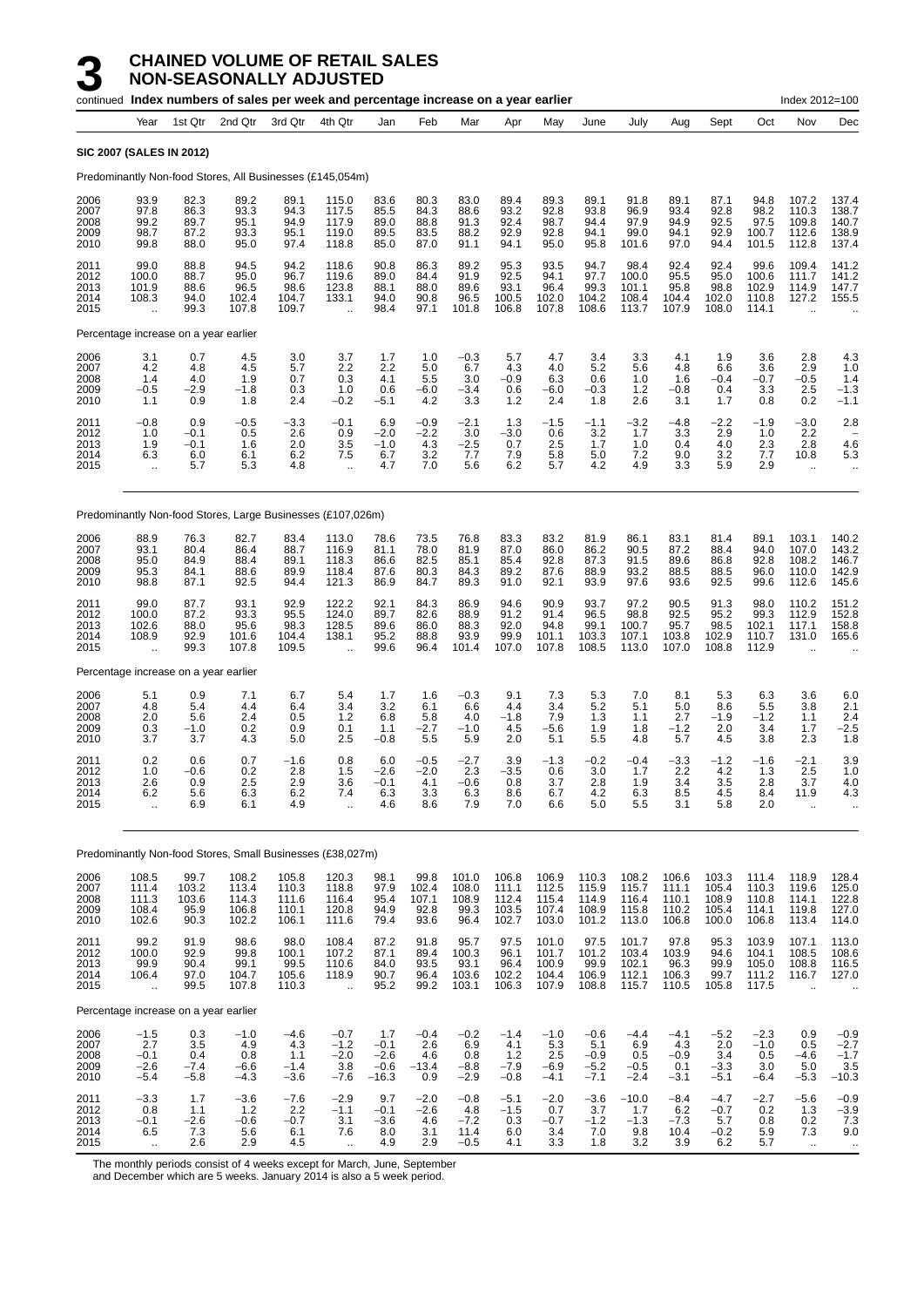|                                      |                                                         |                                        | continued Index numbers of sales per week and percentage increase on a year earlier |                                           |                                                          |                                              |                                                    |                                           |                                           |                                           |                                             |                                           |                                           |                                           |                                           | Index 2012=100                                           |                                                          |
|--------------------------------------|---------------------------------------------------------|----------------------------------------|-------------------------------------------------------------------------------------|-------------------------------------------|----------------------------------------------------------|----------------------------------------------|----------------------------------------------------|-------------------------------------------|-------------------------------------------|-------------------------------------------|---------------------------------------------|-------------------------------------------|-------------------------------------------|-------------------------------------------|-------------------------------------------|----------------------------------------------------------|----------------------------------------------------------|
|                                      | Year                                                    | 1st Qtr                                | 2nd Qtr                                                                             | 3rd Qtr                                   | 4th Qtr                                                  | Jan                                          | Feb                                                | Mar                                       | Apr                                       | May                                       | June                                        | July                                      | Aug                                       | Sept                                      | Oct                                       | Nov                                                      | Dec                                                      |
|                                      | <b>SIC 2007 (SALES IN 2012)</b>                         |                                        |                                                                                     |                                           |                                                          |                                              |                                                    |                                           |                                           |                                           |                                             |                                           |                                           |                                           |                                           |                                                          |                                                          |
|                                      |                                                         |                                        | Predominantly Non-food Stores, All Businesses (£145,054m)                           |                                           |                                                          |                                              |                                                    |                                           |                                           |                                           |                                             |                                           |                                           |                                           |                                           |                                                          |                                                          |
| 2006<br>2007<br>2008<br>2009<br>2010 | 93.9<br>97.8<br>99.2<br>98.7<br>99.8                    | 82.3<br>86.3<br>89.7<br>87.2<br>88.0   | 89.2<br>93.3<br>95.1<br>93.3<br>95.0                                                | 89.1<br>94.3<br>94.9<br>95.1<br>97.4      | 115.0<br>117.5<br>117.9<br>119.0<br>118.8                | 83.6<br>85.5<br>89.0<br>89.5<br>85.0         | 80.3<br>84.3<br>88.8<br>83.5<br>87.0               | 83.0<br>88.6<br>91.3<br>88.2<br>91.1      | 89.4<br>93.2<br>92.4<br>92.9<br>94.1      | 89.3<br>92.8<br>98.7<br>92.8<br>95.0      | 89.1<br>93.8<br>94.4<br>94.1<br>95.8        | 91.8<br>96.9<br>97.9<br>99.0<br>101.6     | 89.1<br>93.4<br>94.9<br>94.1<br>97.0      | 87.1<br>92.8<br>92.5<br>92.9<br>94.4      | 94.8<br>98.2<br>97.5<br>100.7<br>101.5    | 107.2<br>110.3<br>109.8<br>112.6<br>112.8                | 137.4<br>138.7<br>140.7<br>138.9<br>137.4                |
| 2011<br>2012<br>2013<br>2014<br>2015 | 99.0<br>100.0<br>101.9<br>108.3<br>$\ddot{\phantom{a}}$ | 88.8<br>88.7<br>88.6<br>94.0<br>99.3   | 94.5<br>95.0<br>96.5<br>102.4<br>107.8                                              | 94.2<br>96.7<br>98.6<br>104.7<br>109.7    | 118.6<br>119.6<br>123.8<br>133.1<br>÷.                   | 90.8<br>89.0<br>88.1<br>94.0<br>98.4         | 86.3<br>84.4<br>88.0<br>90.8<br>97.1               | 89.2<br>91.9<br>89.6<br>96.5<br>101.8     | 95.3<br>92.5<br>93.1<br>100.5<br>106.8    | 93.5<br>94.1<br>96.4<br>102.0<br>107.8    | 94.7<br>97.7<br>99.3<br>104.2<br>108.6      | 98.4<br>100.0<br>101.1<br>108.4<br>113.7  | 92.4<br>95.5<br>95.8<br>104.4<br>107.9    | 92.4<br>95.0<br>98.8<br>102.0<br>108.0    | 99.6<br>100.6<br>102.9<br>110.8<br>114.1  | 109.4<br>111.7<br>114.9<br>127.2<br>$\ddot{\phantom{a}}$ | 141.2<br>141.2<br>147.7<br>155.5                         |
|                                      | Percentage increase on a year earlier                   |                                        |                                                                                     |                                           |                                                          |                                              |                                                    |                                           |                                           |                                           |                                             |                                           |                                           |                                           |                                           |                                                          |                                                          |
| 2006<br>2007<br>2008<br>2009<br>2010 | 3.1<br>4.2<br>1.4<br>$-0.5$<br>1.1                      | 0.7<br>4.8<br>4.0<br>$-2.9$<br>0.9     | 4.5<br>4.5<br>1.9<br>$-1.8$<br>1.8                                                  | 3.0<br>5.7<br>0.7<br>0.3<br>2.4           | 3.7<br>2.2<br>0.3<br>1.0<br>$-0.2$                       | 1.7<br>2.2<br>4.1<br>0.6<br>$-5.1$           | 1.0<br>5.0<br>5.5<br>$-6.0$<br>4.2                 | $-0.3$<br>6.7<br>3.0<br>$-3.4$<br>3.3     | 5.7<br>4.3<br>$-0.9$<br>0.6<br>1.2        | 4.7<br>4.0<br>6.3<br>$-6.0$<br>2.4        | 3.4<br>5.2<br>0.6<br>$-0.3$<br>1.8          | 3.3<br>5.6<br>1.0<br>1.2<br>2.6           | 4.1<br>4.8<br>1.6<br>$-0.8$<br>3.1        | 1.9<br>6.6<br>$-0.4$<br>0.4<br>1.7        | 3.6<br>3.6<br>$-0.7$<br>3.3<br>0.8        | 2.8<br>2.9<br>$-0.5$<br>2.5<br>0.2                       | 4.3<br>1.0<br>1.4<br>$-1.3$<br>$-1.1$                    |
| 2011<br>2012<br>2013<br>2014<br>2015 | $-0.8$<br>1.0<br>1.9<br>6.3<br>$\ddotsc$                | 0.9<br>$-0.1$<br>$-0.1$<br>6.0<br>5.7  | $-0.5$<br>0.5<br>1.6<br>6.1<br>5.3                                                  | $-3.3$<br>2.6<br>2.0<br>6.2<br>4.8        | $-0.1$<br>0.9<br>3.5<br>7.5<br>÷.                        | 6.9<br>$-2.0$<br>$-1.0$<br>6.7<br>4.7        | $-0.9$<br>$-2.2$<br>4.3<br>$3.\overline{2}$<br>7.0 | $-2.1$<br>3.0<br>$-2.5$<br>7.7<br>5.6     | 1.3<br>$-3.0$<br>0.7<br>7.9<br>6.2        | $-1.5$<br>0.6<br>2.5<br>5.8<br>5.7        | $-1.1$<br>3.2<br>1.7<br>5.0<br>4.2          | $-3.2$<br>1.7<br>1.0<br>7.2<br>4.9        | $-4.8$<br>3.3<br>0.4<br>9.0<br>3.3        | $-2.2$<br>2.9<br>4.0<br>3.2<br>5.9        | $-1.9$<br>1.0<br>2.3<br>7.7<br>2.9        | $-3.0$<br>2.2<br>2.8<br>10.8<br>$\cdot$ .                | 2.8<br>4.6<br>5.3<br>$\ddotsc$                           |
|                                      |                                                         |                                        | Predominantly Non-food Stores, Large Businesses (£107,026m)                         |                                           |                                                          |                                              |                                                    |                                           |                                           |                                           |                                             |                                           |                                           |                                           |                                           |                                                          |                                                          |
| 2006<br>2007<br>2008<br>2009<br>2010 | 88.9<br>93.1<br>95.0<br>95.3<br>98.8                    | 76.3<br>80.4<br>84.9<br>84.1<br>87.1   | 82.7<br>86.4<br>88.4<br>88.6<br>92.5                                                | 83.4<br>88.7<br>89.1<br>89.9<br>94.4      | 113.0<br>116.9<br>118.3<br>118.4<br>121.3                | 78.6<br>81.1<br>86.6<br>87.6<br>86.9         | 73.5<br>78.0<br>82.5<br>80.3<br>84.7               | 76.8<br>81.9<br>85.1<br>84.3<br>89.3      | 83.3<br>87.0<br>85.4<br>89.2<br>91.0      | 83.2<br>86.0<br>92.8<br>87.6<br>92.1      | 81.9<br>86.2<br>87.3<br>88.9<br>93.9        | 86.1<br>90.5<br>91.5<br>93.2<br>97.6      | 83.1<br>87.2<br>89.6<br>88.5<br>93.6      | 81.4<br>88.4<br>86.8<br>88.5<br>92.5      | 89.1<br>94.0<br>92.8<br>96.0<br>99.6      | 103.1<br>107.0<br>108.2<br>110.0<br>112.6                | 140.2<br>143.2<br>146.7<br>142.9<br>145.6                |
| 2011<br>2012<br>2013<br>2014<br>2015 | 99.0<br>100.0<br>102.6<br>108.9<br>$\ddot{\phantom{a}}$ | 87.7<br>87.2<br>88.0<br>92.9<br>99.3   | 93.1<br>93.3<br>95.6<br>101.6<br>107.8                                              | 92.9<br>95.5<br>98.3<br>104.4<br>109.5    | 122.2<br>124.0<br>128.5<br>138.1<br>$\ddot{\phantom{a}}$ | 92.1<br>89.7<br>89.6<br>95.2<br>99.6         | 84.3<br>82.6<br>86.0<br>88.8<br>96.4               | 86.9<br>88.9<br>88.3<br>93.9<br>101.4     | 94.6<br>91.2<br>92.0<br>99.9<br>107.0     | 90.9<br>91.4<br>94.8<br>101.1<br>107.8    | 93.7<br>96.5<br>99.1<br>103.3<br>108.5      | 97.2<br>98.8<br>100.7<br>107.1<br>113.0   | 90.5<br>92.5<br>95.7<br>103.8<br>107.0    | 91.3<br>95.2<br>98.5<br>102.9<br>108.8    | 98.0<br>99.3<br>102.1<br>110.7<br>112.9   | 110.2<br>112.9<br>117.1<br>131.0<br>$\ddot{\phantom{a}}$ | 151.2<br>152.8<br>158.8<br>165.6                         |
|                                      | Percentage increase on a year earlier                   |                                        |                                                                                     |                                           |                                                          |                                              |                                                    |                                           |                                           |                                           |                                             |                                           |                                           |                                           |                                           |                                                          |                                                          |
| 2006<br>2007<br>2008<br>2009<br>2010 | 5.1<br>4.8<br>2.0<br>0.3<br>3.7                         | 0.9<br>5.4<br>5.6<br>$-1.0$<br>3.7     | 7.1<br>4.4<br>2.4<br>0.2<br>4.3                                                     | 6.7<br>6.4<br>0.5<br>0.9<br>5.0           | 5.4<br>3.4<br>1.2<br>0.1<br>2.5                          | 1.7<br>3.2<br>6.8<br>1.1<br>$-0.8$           | 1.6<br>6.1<br>5.8<br>$-2.7$<br>5.5                 | $-0.3$<br>6.6<br>4.0<br>$-1.0$<br>5.9     | 9.1<br>4.4<br>$-1.8$<br>4.5<br>2.0        | 7.3<br>3.4<br>7.9<br>$-5.6$<br>5.1        | $\frac{5.3}{5.2}$<br>1.3<br>1.9<br>5.5      | 7.0<br>5.1<br>1.1<br>1.8<br>4.8           | 8.1<br>5.0<br>2.7<br>$-1.2$<br>5.7        | 5.3<br>8.6<br>$-1.9$<br>2.0<br>4.5        | 6.3<br>5.5<br>$-1.2$<br>3.4<br>3.8        | 3.6<br>3.8<br>1.1<br>1.7<br>2.3                          | $6.0$<br>$2.1$<br>2.4<br>$-2.5$<br>1.8                   |
| 2011<br>2012<br>2013<br>2014<br>2015 | 0.2<br>1.0<br>2.6<br>6.2<br>$\bar{\mathbf{r}}$          | 0.6<br>$-0.6$<br>0.9<br>5.6<br>6.9     | 0.7<br>0.2<br>2.5<br>6.3<br>6.1                                                     | $-1.6$<br>2.8<br>2.9<br>6.2<br>4.9        | 0.8<br>1.5<br>3.6<br>7.4<br>$\ddot{\phantom{a}}$         | 6.0<br>$-2.6$<br>$-0.1$<br>6.3<br>4.6        | $-0.5$<br>$-2.0$<br>4.1<br>3.3<br>8.6              | $-2.7$<br>2.3<br>$-0.6$<br>6.3<br>7.9     | 3.9<br>$-3.5$<br>0.8<br>8.6<br>7.0        | $-1.3$<br>0.6<br>3.7<br>6.7<br>6.6        | $-0.2$<br>3.0<br>2.8<br>4.2<br>5.0          | $-0.4$<br>1.7<br>1.9<br>6.3<br>5.5        | $-3.3$<br>2.2<br>3.4<br>8.5<br>3.1        | $-1.2$<br>4.2<br>3.5<br>4.5<br>5.8        | $-1.6$<br>1.3<br>2.8<br>8.4<br>2.0        | $-2.1$<br>2.5<br>3.7<br>11.9<br>$\ddot{\phantom{a}}$     | 3.9<br>1.0<br>4.0<br>4.3                                 |
|                                      |                                                         |                                        | Predominantly Non-food Stores, Small Businesses (£38,027m)                          |                                           |                                                          |                                              |                                                    |                                           |                                           |                                           |                                             |                                           |                                           |                                           |                                           |                                                          |                                                          |
| 2006<br>2007<br>2008<br>2009<br>2010 | 108.5<br>111.4<br>111.3<br>108.4<br>102.6               | 99.7<br>103.2<br>103.6<br>95.9<br>90.3 | 108.2<br>113.4<br>114.3<br>106.8<br>102.2                                           | 105.8<br>110.3<br>111.6<br>110.1<br>106.1 | 120.3<br>118.8<br>116.4<br>120.8<br>111.6                | 98.1<br>97.9<br>95.4<br>94.9<br>79.4         | 99.8<br>102.4<br>107.1<br>92.8<br>93.6             | 101.0<br>108.0<br>108.9<br>99.3<br>96.4   | 106.8<br>111.1<br>112.4<br>103.5<br>102.7 | 106.9<br>112.5<br>115.4<br>107.4<br>103.0 | 110.3<br>115.9<br>114.9<br>108.9<br>101.2   | 108.2<br>115.7<br>116.4<br>115.8<br>113.0 | 106.6<br>111.1<br>110.1<br>110.2<br>106.8 | 103.3<br>105.4<br>108.9<br>105.4<br>100.0 | 111.4<br>110.3<br>110.8<br>114.1<br>106.8 | 118.9<br>119.6<br>114.1<br>119.8<br>113.4                | 128.4<br>125.0<br>122.8<br>127.0<br>114.0                |
| 2011<br>2012<br>2013<br>2014<br>2015 | 99.2<br>100.0<br>99.9<br>106.4<br>$\bar{\mathbf{r}}$    | 91.9<br>92.9<br>90.4<br>97.0<br>99.5   | 98.6<br>99.8<br>99.1<br>104.7<br>107.8                                              | 98.0<br>100.1<br>99.5<br>105.6<br>110.3   | 108.4<br>107.2<br>110.6<br>118.9<br>à.                   | 87.2<br>87.1<br>84.0<br>90.7<br>95.2         | 91.8<br>89.4<br>93.5<br>96.4<br>99.2               | 95.7<br>100.3<br>93.1<br>103.6<br>103.1   | 97.5<br>96.1<br>96.4<br>102.2<br>106.3    | 101.0<br>101.7<br>100.9<br>104.4<br>107.9 | 97.5<br>101.2<br>99.9<br>106.9<br>108.8     | 101.7<br>103.4<br>102.1<br>112.1<br>115.7 | 97.8<br>103.9<br>96.3<br>106.3<br>110.5   | 95.3<br>94.6<br>99.9<br>99.7<br>105.8     | 103.9<br>104.1<br>105.0<br>111.2<br>117.5 | 107.1<br>108.5<br>108.8<br>116.7<br>$\ddotsc$            | 113.0<br>108.6<br>116.5<br>127.0                         |
|                                      | Percentage increase on a year earlier                   |                                        |                                                                                     |                                           |                                                          |                                              |                                                    |                                           |                                           |                                           |                                             |                                           |                                           |                                           |                                           |                                                          |                                                          |
| 2006<br>2007<br>2008<br>2009<br>2010 | $-1.5$<br>2.7<br>$-0.1$<br>$-2.6$<br>$-5.4$             | 0.3<br>3.5<br>0.4<br>$-7.4$<br>$-5.8$  | $-1.0$<br>4.9<br>0.8<br>-6.6<br>$-4.3$                                              | $-4.6$<br>4.3<br>1.1<br>$-1.4$<br>$-3.6$  | $-0.7$<br>$-1.2$<br>$-2.0$<br>3.8<br>$-7.6$              | 1.7<br>$-0.1$<br>$-2.6$<br>$-0.6$<br>$-16.3$ | $-0.4$<br>2.6<br>4.6<br>$-13.4$<br>0.9             | $-0.2$<br>6.9<br>0.8<br>$-8.8$<br>$-2.9$  | $-1.4$<br>4.1<br>1.2<br>$-7.9$<br>$-0.8$  | $-1.0$<br>5.3<br>2.5<br>$-6.9$<br>$-4.1$  | $-0.6$<br>5.1<br>$-0.9$<br>$-5.2$<br>$-7.1$ | $-4.4$<br>6.9<br>0.5<br>$-0.5$<br>$-2.4$  | $-4.1$<br>4.3<br>$-0.9$<br>0.1<br>$-3.1$  | $-5.2$<br>2.0<br>3.4<br>$-3.3$<br>$-5.1$  | $-2.3$<br>$-1.0$<br>0.5<br>3.0<br>$-6.4$  | 0.9<br>0.5<br>$-4.6$<br>5.0<br>$-5.3$                    | $-0.9$<br>$-2.7$<br>$-1.7$<br>3.5<br>$-10.3$             |
| 2011<br>2012<br>2013<br>2014<br>2015 | $-3.3$<br>0.8<br>$-0.1$<br>6.5<br>$\ddot{\phantom{1}}$  | 1.7<br>1.1<br>$-2.6$<br>7.3<br>2.6     | $-3.6$<br>1.2<br>$-0.6$<br>5.6<br>2.9                                               | $-7.6$<br>2.2<br>$-0.7$<br>6.1<br>4.5     | $-2.9$<br>$-1.1$<br>3.1<br>7.6<br>$\ddot{\phantom{1}}$   | 9.7<br>$-0.1$<br>$-3.6$<br>8.0<br>4.9        | $-2.0$<br>$-2.6$<br>4.6<br>3.1<br>2.9              | $-0.8$<br>4.8<br>$-7.2$<br>11.4<br>$-0.5$ | $-5.1$<br>$-1.5$<br>0.3<br>6.0<br>4.1     | $-2.0$<br>0.7<br>$-0.7$<br>3.4<br>3.3     | $-3.6$<br>3.7<br>$-1.2$<br>7.0<br>1.8       | $-10.0$<br>1.7<br>$-1.3$<br>9.8<br>3.2    | $-8.4$<br>6.2<br>$-7.3$<br>10.4<br>3.9    | $-4.7$<br>$-0.7$<br>5.7<br>$-0.2$<br>6.2  | $-2.7$<br>0.2<br>0.8<br>5.9<br>5.7        | $-5.6$<br>1.3<br>0.2<br>7.3<br>$\ddot{\phantom{1}}$      | $-0.9$<br>$-3.9$<br>$7.3$<br>9.0<br>$\ddot{\phantom{1}}$ |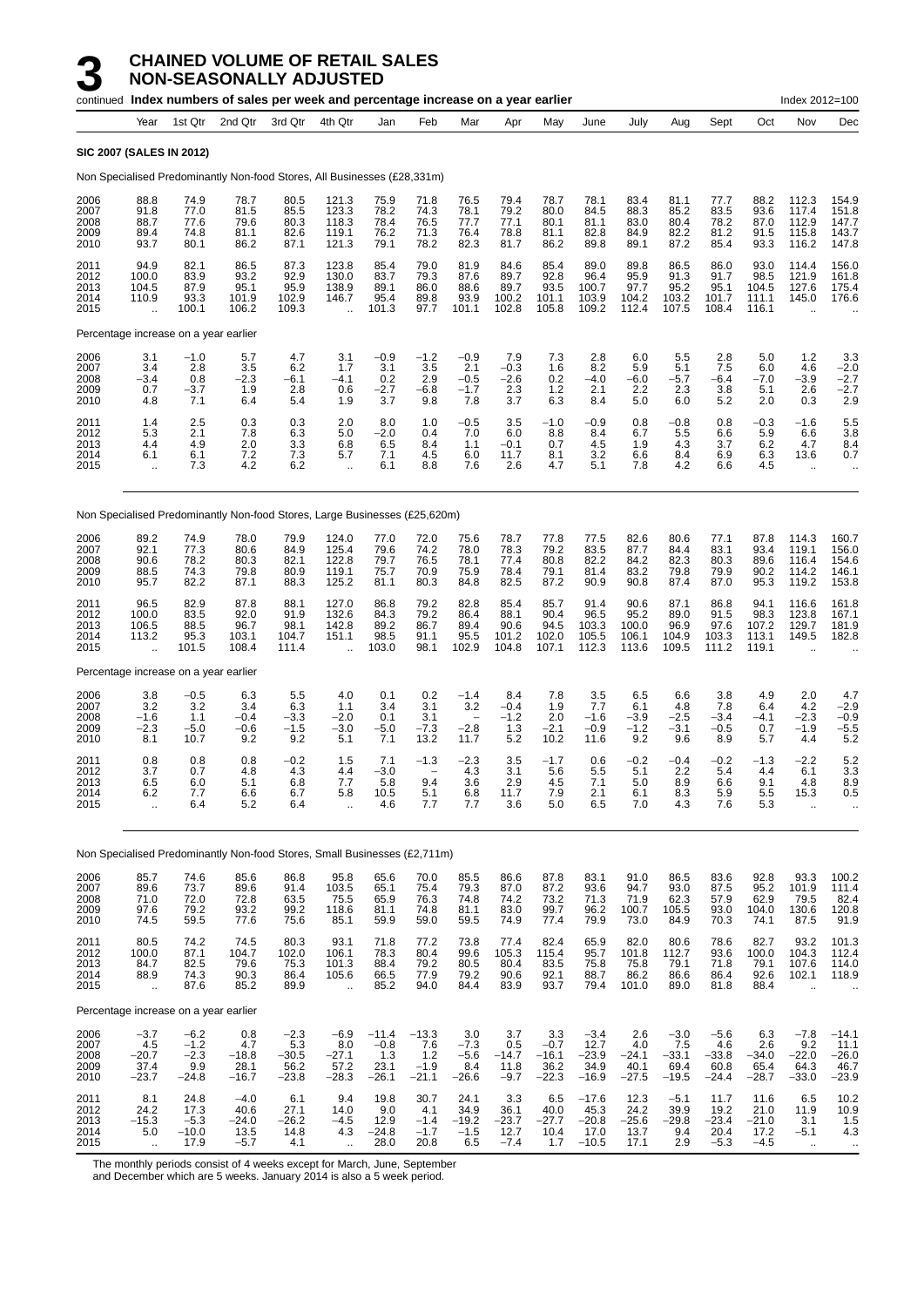|                                      |                                              |                                              | continued Index numbers of sales per week and percentage increase on a year earlier |                                             |                                                          |                                             |                                            |                                           |                                          |                                             |                                               |                                          |                                             |                                             |                                           | Index 2012=100                                       |                                             |
|--------------------------------------|----------------------------------------------|----------------------------------------------|-------------------------------------------------------------------------------------|---------------------------------------------|----------------------------------------------------------|---------------------------------------------|--------------------------------------------|-------------------------------------------|------------------------------------------|---------------------------------------------|-----------------------------------------------|------------------------------------------|---------------------------------------------|---------------------------------------------|-------------------------------------------|------------------------------------------------------|---------------------------------------------|
|                                      | Year                                         | 1st Qtr                                      | 2nd Qtr                                                                             | 3rd Qtr                                     | 4th Qtr                                                  | Jan                                         | Feb                                        | Mar                                       | Apr                                      | May                                         | June                                          | July                                     | Aug                                         | Sept                                        | Oct                                       | Nov                                                  | Dec                                         |
|                                      |                                              | <b>SIC 2007 (SALES IN 2012)</b>              |                                                                                     |                                             |                                                          |                                             |                                            |                                           |                                          |                                             |                                               |                                          |                                             |                                             |                                           |                                                      |                                             |
|                                      |                                              |                                              | Non Specialised Predominantly Non-food Stores, All Businesses (£28,331m)            |                                             |                                                          |                                             |                                            |                                           |                                          |                                             |                                               |                                          |                                             |                                             |                                           |                                                      |                                             |
| 2006<br>2007<br>2008<br>2009<br>2010 | 88.8<br>91.8<br>88.7<br>89.4<br>93.7         | 74.9<br>77.0<br>77.6<br>74.8<br>80.1         | 78.7<br>81.5<br>79.6<br>81.1<br>86.2                                                | 80.5<br>85.5<br>80.3<br>82.6<br>87.1        | 121.3<br>123.3<br>118.3<br>119.1<br>121.3                | 75.9<br>78.2<br>78.4<br>76.2<br>79.1        | 71.8<br>74.3<br>76.5<br>71.3<br>78.2       | 76.5<br>78.1<br>77.7<br>76.4<br>82.3      | 79.4<br>79.2<br>77.1<br>78.8<br>81.7     | 78.7<br>80.0<br>80.1<br>81.1<br>86.2        | 78.1<br>84.5<br>81.1<br>82.8<br>89.8          | 83.4<br>88.3<br>83.0<br>84.9<br>89.1     | 81.1<br>85.2<br>80.4<br>82.2<br>87.2        | 77.7<br>83.5<br>78.2<br>81.2<br>85.4        | 88.2<br>93.6<br>87.0<br>91.5<br>93.3      | 112.3<br>117.4<br>112.9<br>115.8<br>116.2            | 154.9<br>151.8<br>147.7<br>143.7<br>147.8   |
| 2011<br>2012<br>2013<br>2014<br>2015 | 94.9<br>100.0<br>104.5<br>110.9<br>$\ddotsc$ | 82.1<br>83.9<br>87.9<br>93.3<br>100.1        | 86.5<br>93.2<br>95.1<br>101.9<br>106.2                                              | 87.3<br>92.9<br>95.9<br>102.9<br>109.3      | 123.8<br>130.0<br>138.9<br>146.7                         | 85.4<br>83.7<br>89.1<br>95.4<br>101.3       | 79.0<br>79.3<br>86.0<br>89.8<br>97.7       | 81.9<br>87.6<br>88.6<br>93.9<br>101.1     | 84.6<br>89.7<br>89.7<br>100.2<br>102.8   | 85.4<br>92.8<br>93.5<br>101.1<br>105.8      | 89.0<br>96.4<br>100.7<br>103.9<br>109.2       | 89.8<br>95.9<br>97.7<br>104.2<br>112.4   | 86.5<br>91.3<br>95.2<br>103.2<br>107.5      | 86.0<br>91.7<br>95.1<br>101.7<br>108.4      | 93.0<br>98.5<br>104.5<br>111.1<br>116.1   | 114.4<br>121.9<br>127.6<br>145.0                     | 156.0<br>161.8<br>175.4<br>176.6            |
|                                      |                                              |                                              | Percentage increase on a year earlier                                               |                                             |                                                          |                                             |                                            |                                           |                                          |                                             |                                               |                                          |                                             |                                             |                                           |                                                      |                                             |
| 2006<br>2007<br>2008<br>2009<br>2010 | 3.1<br>3.4<br>$-3.4$<br>0.7<br>4.8           | $-1.0$<br>2.8<br>0.8<br>$-3.7$<br>7.1        | 5.7<br>3.5<br>$-2.3$<br>1.9<br>6.4                                                  | 4.7<br>6.2<br>$-6.1$<br>2.8<br>5.4          | 3.1<br>1.7<br>$-4.1$<br>0.6<br>1.9                       | $-0.9$<br>3.1<br>0.2<br>$-2.7$<br>3.7       | $-1.2$<br>3.5<br>2.9<br>$-6.8$<br>9.8      | $-0.9$<br>2.1<br>$-0.5$<br>$-1.7$<br>7.8  | 7.9<br>$-0.3$<br>$-2.6$<br>2.3<br>3.7    | 7.3<br>1.6<br>0.2<br>1.2<br>6.3             | 2.8<br>8.2<br>$-4.0$<br>2.1<br>8.4            | 6.0<br>5.9<br>$-6.0$<br>2.2<br>5.0       | 5.5<br>5.1<br>$-5.7$<br>2.3<br>6.0          | 2.8<br>7.5<br>$-6.4$<br>3.8<br>5.2          | 5.0<br>6.0<br>$-7.0$<br>5.1<br>2.0        | 1.2<br>4.6<br>$-3.9$<br>2.6<br>0.3                   | 3.3<br>$-2.0$<br>$-2.7$<br>$-2.7$<br>2.9    |
| 2011<br>2012<br>2013<br>2014<br>2015 | 1.4<br>5.3<br>4.4<br>6.1<br>÷.               | 2.5<br>2.1<br>4.9<br>6.1<br>7.3              | 0.3<br>7.8<br>2.0<br>7.2<br>4.2                                                     | 0.3<br>6.3<br>3.3<br>7.3<br>6.2             | 2.0<br>5.0<br>6.8<br>5.7<br>$\ddot{\phantom{1}}$         | 8.0<br>$-2.0$<br>6.5<br>7.1<br>6.1          | 1.0<br>0.4<br>8.4<br>45<br>8.8             | $-0.5$<br>7.0<br>1.1<br>6.0<br>7.6        | 3.5<br>6.0<br>$-0.1$<br>11.7<br>2.6      | $-1.0$<br>8.8<br>0.7<br>8.1<br>4.7          | $-0.9$<br>8.4<br>4.5<br>3.2<br>5.1            | 0.8<br>6.7<br>1.9<br>6.6<br>7.8          | $-0.8$<br>5.5<br>4.3<br>8.4<br>4.2          | 0.8<br>6.6<br>3.7<br>6.9<br>6.6             | -0.3<br>5.9<br>6.2<br>6.3<br>45           | $-1.6$<br>6.6<br>4.7<br>13.6<br>$\ddotsc$            | 5.5<br>3.8<br>8.4<br>0.7                    |
|                                      |                                              |                                              | Non Specialised Predominantly Non-food Stores, Large Businesses (£25,620m)          |                                             |                                                          |                                             |                                            |                                           |                                          |                                             |                                               |                                          |                                             |                                             |                                           |                                                      |                                             |
| 2006<br>2007<br>2008<br>2009<br>2010 | 89.2<br>92.1<br>90.6<br>88.5<br>95.7         | 74.9<br>77.3<br>78.2<br>74.3<br>82.2         | 78.0<br>80.6<br>80.3<br>79.8<br>87.1                                                | 79.9<br>84.9<br>82.1<br>80.9<br>88.3        | 124.0<br>125.4<br>122.8<br>119.1<br>125.2                | 77.0<br>79.6<br>79.7<br>75.7<br>81.1        | 72.0<br>74.2<br>76.5<br>70.9<br>80.3       | 75.6<br>78.0<br>78.1<br>75.9<br>84.8      | 78.7<br>78.3<br>77.4<br>78.4<br>82.5     | 77.8<br>79.2<br>80.8<br>79.1<br>87.2        | 77.5<br>83.5<br>82.2<br>81.4<br>90.9          | 82.6<br>87.7<br>84.2<br>83.2<br>90.8     | 80.6<br>84.4<br>82.3<br>79.8<br>87.4        | 77.1<br>83.1<br>80.3<br>79.9<br>87.0        | 87.8<br>93.4<br>89.6<br>90.2<br>95.3      | 114.3<br>119.1<br>116.4<br>114.2<br>119.2            | 160.7<br>156.0<br>154.6<br>146.1<br>153.8   |
| 2011<br>2012<br>2013<br>2014<br>2015 | 96.5<br>100.0<br>106.5<br>113.2              | 82.9<br>83.5<br>88.5<br>95.3<br>101.5        | 87.8<br>92.0<br>96.7<br>103.1<br>108.4                                              | 88.1<br>91.9<br>98.1<br>104.7<br>111.4      | 127.0<br>132.6<br>142.8<br>151.1<br>$\ddot{\phantom{a}}$ | 86.8<br>84.3<br>89.2<br>98.5<br>103.0       | 79.2<br>79.2<br>86.7<br>91.1<br>98.1       | 82.8<br>86.4<br>89.4<br>95.5<br>102.9     | 85.4<br>88.1<br>90.6<br>101.2<br>104.8   | 85.7<br>90.4<br>94.5<br>102.0<br>107.1      | 91.4<br>96.5<br>103.3<br>105.5<br>112.3       | 90.6<br>95.2<br>100.0<br>106.1<br>113.6  | 87.1<br>89.0<br>96.9<br>104.9<br>109.5      | 86.8<br>91.5<br>97.6<br>103.3<br>111.2      | 94.1<br>98.3<br>107.2<br>113.1<br>119.1   | 116.6<br>123.8<br>129.7<br>149.5                     | 161.8<br>167.1<br>181.9<br>182.8            |
|                                      |                                              |                                              | Percentage increase on a year earlier                                               |                                             |                                                          |                                             |                                            |                                           |                                          |                                             |                                               |                                          |                                             |                                             |                                           |                                                      |                                             |
| 2006<br>2007<br>2008<br>2009<br>2010 | 3.8<br>3.2<br>$-1.6$<br>$-2.3$<br>8.1        | $-0.5$<br>3.2<br>1.1<br>$-5.0$<br>10.7       | 6.3<br>3.4<br>$-0.4$<br>$-0.6$<br>9.2                                               | 5.5<br>6.3<br>$-3.3$<br>$-1.5$<br>9.2       | 4.0<br>1.1<br>$-2.0$<br>$-3.0$<br>5.1                    | 0.1<br>3.4<br>0.1<br>$-5.0$<br>7.1          | 0.2<br>3.1<br>3.1<br>$-7.3$<br>13.2        | $-1.4$<br>3.2<br>$-2.8$<br>11.7           | 8.4<br>$-0.4$<br>$-1.2$<br>1.3<br>5.2    | 7.8<br>1.9<br>2.0<br>$-2.1$<br>10.2         | 3.5<br>7.7<br>$-1.6$<br>$-0.9$<br>11.6        | 6.5<br>6.1<br>$-3.9$<br>$-1.2$<br>9.2    | 6.6<br>4.8<br>$-2.5$<br>$-3.1$<br>9.6       | 3.8<br>7.8<br>$-3.4$<br>$-0.5$<br>8.9       | 4.9<br>6.4<br>$-4.1$<br>0.7<br>5.7        | 2.0<br>4.2<br>$-2.3$<br>$-1.9$<br>4.4                | 4.7<br>$-2.9$<br>$-0.9$<br>$-5.5$<br>5.2    |
| 2011<br>2012<br>2013<br>2014<br>2015 | 0.8<br>3.7<br>6.5<br>6.2<br>ă,               | 0.8<br>0.7<br>6.0<br>7.7<br>6.4              | 0.8<br>4.8<br>5.1<br>6.6<br>5.2                                                     | $-0.2$<br>4.3<br>6.8<br>6.7<br>6.4          | 1.5<br>4.4<br>7.7<br>5.8<br>$\ddotsc$                    | 7.1<br>$-3.0$<br>5.8<br>10.5<br>4.6         | $-1.3$<br>9.4<br>5.1<br>7.7                | $-2.3$<br>4.3<br>3.6<br>6.8<br>7.7        | 3.5<br>3.1<br>2.9<br>11.7<br>3.6         | $-1.7$<br>5.6<br>4.5<br>7.9<br>5.0          | 0.6<br>5.5<br>7.1<br>2.1<br>6.5               | $-0.2$<br>5.1<br>5.0<br>6.1<br>7.0       | $-0.4$<br>2.2<br>8.9<br>8.3<br>4.3          | $-0.2$<br>5.4<br>6.6<br>5.9<br>7.6          | $-1.3$<br>4.4<br>9.1<br>5.5<br>5.3        | $-2.2$<br>6.1<br>4.8<br>15.3<br>$\ddot{\phantom{a}}$ | 5.2<br>3.3<br>8.9<br>0.5                    |
|                                      |                                              |                                              | Non Specialised Predominantly Non-food Stores, Small Businesses (£2,711m)           |                                             |                                                          |                                             |                                            |                                           |                                          |                                             |                                               |                                          |                                             |                                             |                                           |                                                      |                                             |
| 2006<br>2007<br>2008<br>2009<br>2010 | 85.7<br>89.6<br>71.0<br>97.6<br>74.5         | 74.6<br>73.7<br>72.0<br>79.2<br>59.5         | 85.6<br>89.6<br>72.8<br>93.2<br>77.6                                                | 86.8<br>91.4<br>63.5<br>99.2<br>75.6        | 95.8<br>103.5<br>75.5<br>118.6<br>85.1                   | 65.6<br>65.1<br>65.9<br>81.1<br>59.9        | 70.0<br>75.4<br>76.3<br>74.8<br>59.0       | 85.5<br>79.3<br>74.8<br>81.1<br>59.5      | 86.6<br>87.0<br>74.2<br>83.0<br>74.9     | 87.8<br>87.2<br>73.2<br>99.7<br>77.4        | 83.1<br>93.6<br>71.3<br>96.2<br>79.9          | 91.0<br>94.7<br>71.9<br>100.7<br>73.0    | 86.5<br>93.0<br>62.3<br>105.5<br>84.9       | 83.6<br>87.5<br>57.9<br>93.0<br>70.3        | 92.8<br>95.2<br>62.9<br>104.0<br>74.1     | 93.3<br>101.9<br>79.5<br>130.6<br>87.5               | 100.2<br>111.4<br>82.4<br>120.8<br>91.9     |
| 2011<br>2012<br>2013<br>2014<br>2015 | 80.5<br>100.0<br>84.7<br>88.9<br>$\ddotsc$   | 74.2<br>87.1<br>82.5<br>74.3<br>87.6         | 74.5<br>104.7<br>79.6<br>90.3<br>85.2                                               | 80.3<br>102.0<br>75.3<br>86.4<br>89.9       | 93.1<br>106.1<br>101.3<br>105.6<br>$\ddotsc$             | 71.8<br>78.3<br>88.4<br>66.5<br>85.2        | 77.2<br>80.4<br>79.2<br>77.9<br>94.0       | 73.8<br>99.6<br>80.5<br>79.2<br>84.4      | 77.4<br>105.3<br>80.4<br>90.6<br>83.9    | 82.4<br>115.4<br>83.5<br>92.1<br>93.7       | 65.9<br>95.7<br>75.8<br>88.7<br>79.4          | 82.0<br>101.8<br>75.8<br>86.2<br>101.0   | 80.6<br>112.7<br>79.1<br>86.6<br>89.0       | 78.6<br>93.6<br>71.8<br>86.4<br>81.8        | 82.7<br>100.0<br>79.1<br>92.6<br>88.4     | 93.2<br>104.3<br>107.6<br>102.1                      | 101.3<br>112.4<br>114.0<br>118.9            |
|                                      |                                              |                                              | Percentage increase on a year earlier                                               |                                             |                                                          |                                             |                                            |                                           |                                          |                                             |                                               |                                          |                                             |                                             |                                           |                                                      |                                             |
| 2006<br>2007<br>2008<br>2009<br>2010 | $-3.7$<br>4.5<br>$-20.7$<br>37.4<br>$-23.7$  | $-6.2$<br>$-1.2$<br>$-2.3$<br>9.9<br>$-24.8$ | 0.8<br>4.7<br>$-18.8$<br>28.1<br>$-16.7$                                            | $-2.3$<br>5.3<br>$-30.5$<br>56.2<br>$-23.8$ | $-6.9$<br>8.0<br>$-27.1$<br>57.2<br>$-28.3$              | $-11.4$<br>$-0.8$<br>1.3<br>23.1<br>$-26.1$ | $-13.3$<br>7.6<br>1.2<br>$-1.9$<br>$-21.1$ | 3.0<br>$-7.3$<br>$-5.6$<br>8.4<br>$-26.6$ | 3.7<br>0.5<br>$-14.7$<br>11.8<br>$-9.7$  | 3.3<br>$-0.7$<br>$-16.1$<br>36.2<br>$-22.3$ | $-3.4$<br>12.7<br>$-23.9$<br>34.9<br>$-16.9$  | 2.6<br>4.0<br>$-24.1$<br>40.1<br>$-27.5$ | $-3.0$<br>7.5<br>$-33.1$<br>69.4<br>$-19.5$ | $-5.6$<br>4.6<br>$-33.8$<br>60.8<br>$-24.4$ | 6.3<br>2.6<br>$-34.0$<br>65.4<br>$-28.7$  | $-7.8$<br>9.2<br>$-22.0$<br>64.3<br>$-33.0$          | $-14.1$<br>11.1<br>$-26.0$<br>$46.7 - 23.9$ |
| 2011<br>2012<br>2013<br>2014<br>2015 | 8.1<br>24.2<br>$-15.3$<br>5.0<br>٠.          | 24.8<br>17.3<br>$-5.3$<br>$-10.0$<br>17.9    | $-4.0$<br>40.6<br>$-24.0$<br>13.5<br>$-5.7$                                         | 6.1<br>27.1<br>-26.2<br>14.8<br>4.1         | 9.4<br>14.0<br>$-4.5$<br>4.3                             | 19.8<br>9.0<br>12.9<br>$-24.8$<br>28.0      | 30.7<br>4.1<br>$-1.4$<br>$-1.7$<br>20.8    | 24.1<br>34.9<br>$-19.2$<br>$-1.5$<br>6.5  | 3.3<br>36.1<br>$-23.7$<br>12.7<br>$-7.4$ | 6.5<br>40.0<br>$-27.7$<br>10.4<br>1.7       | $-17.6$<br>45.3<br>$-20.8$<br>17.0<br>$-10.5$ | 12.3<br>24.2<br>$-25.6$<br>13.7<br>17.1  | $-5.1$<br>39.9<br>$-29.8$<br>9.4<br>2.9     | 11.7<br>19.2<br>$-23.4$<br>20.4<br>$-5.3$   | 11.6<br>21.0<br>$-21.0$<br>17.2<br>$-4.5$ | 6.5<br>11.9<br>3.1<br>$-5.1$<br>$\ddotsc$            | $10.2$<br>$10.9$<br>1.5<br>4.3<br>$\cdots$  |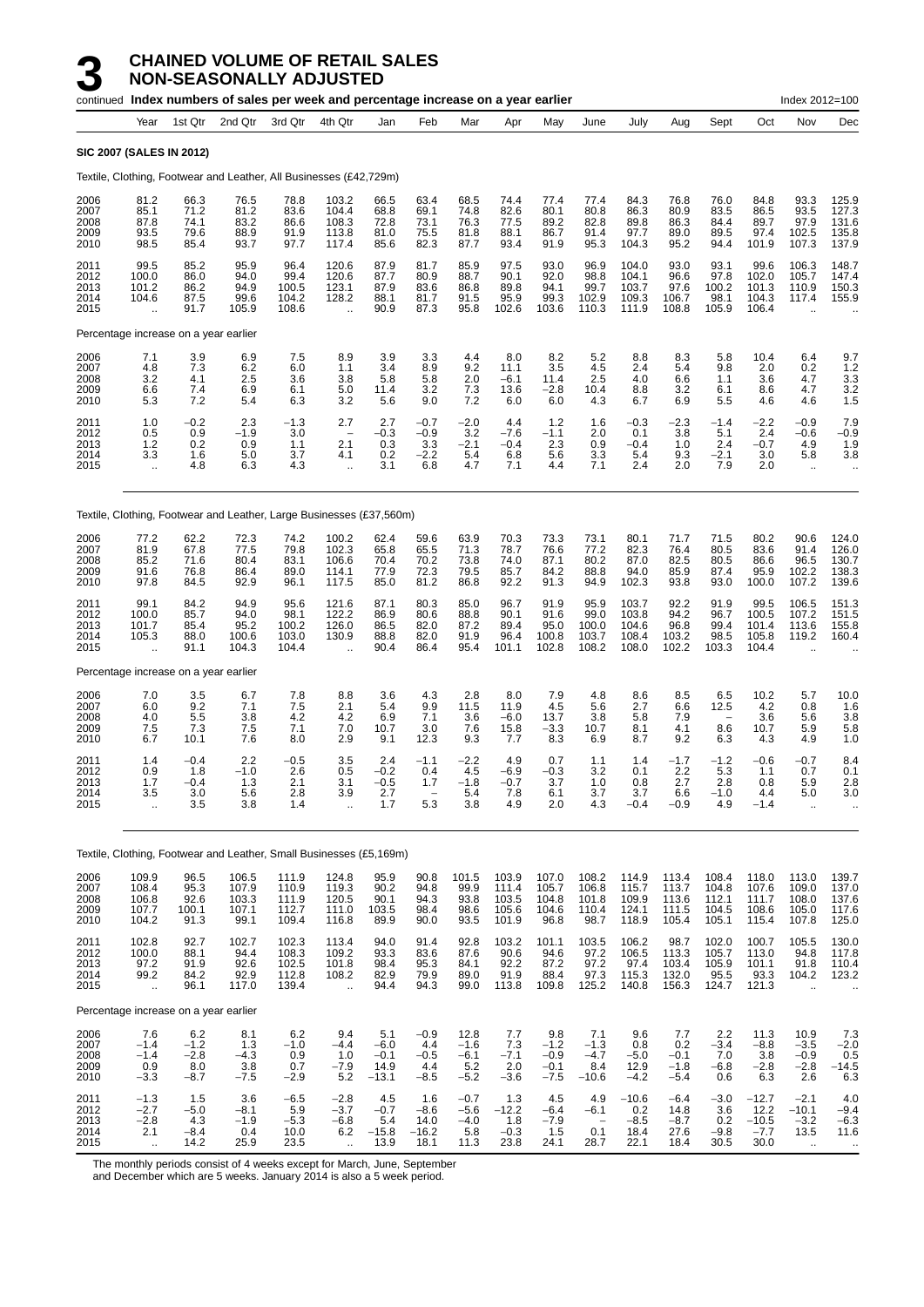|                                      |                                                      |                                          | continued Index numbers of sales per week and percentage increase on a year earlier |                                           |                                                     |                                            |                                                         |                                           |                                           |                                             |                                           |                                           |                                           |                                             |                                           | Index 2012=100                              |                                           |
|--------------------------------------|------------------------------------------------------|------------------------------------------|-------------------------------------------------------------------------------------|-------------------------------------------|-----------------------------------------------------|--------------------------------------------|---------------------------------------------------------|-------------------------------------------|-------------------------------------------|---------------------------------------------|-------------------------------------------|-------------------------------------------|-------------------------------------------|---------------------------------------------|-------------------------------------------|---------------------------------------------|-------------------------------------------|
|                                      | Year                                                 | 1st Qtr                                  | 2nd Qtr                                                                             | 3rd Qtr                                   | 4th Qtr                                             | Jan                                        | Feb                                                     | Mar                                       | Apr                                       | May                                         | June                                      | July                                      | Aug                                       | Sept                                        | Oct                                       | Nov                                         | Dec                                       |
|                                      | <b>SIC 2007 (SALES IN 2012)</b>                      |                                          |                                                                                     |                                           |                                                     |                                            |                                                         |                                           |                                           |                                             |                                           |                                           |                                           |                                             |                                           |                                             |                                           |
|                                      |                                                      |                                          | Textile, Clothing, Footwear and Leather, All Businesses (£42,729m)                  |                                           |                                                     |                                            |                                                         |                                           |                                           |                                             |                                           |                                           |                                           |                                             |                                           |                                             |                                           |
| 2006<br>2007<br>2008<br>2009<br>2010 | 81.2<br>85.1<br>87.8<br>93.5<br>98.5                 | 66.3<br>71.2<br>74.1<br>79.6<br>85.4     | 76.5<br>81.2<br>83.2<br>88.9<br>93.7                                                | 78.8<br>83.6<br>86.6<br>91.9<br>97.7      | 103.2<br>104.4<br>108.3<br>113.8<br>117.4           | 66.5<br>68.8<br>72.8<br>81.0<br>85.6       | 63.4<br>69.1<br>73.1<br>75.5<br>82.3                    | 68.5<br>74.8<br>76.3<br>81.8<br>87.7      | 74.4<br>82.6<br>77.5<br>88.1<br>93.4      | 77.4<br>80.1<br>89.2<br>86.7<br>91.9        | 77.4<br>80.8<br>82.8<br>91.4<br>95.3      | 84.3<br>86.3<br>89.8<br>97.7<br>104.3     | 76.8<br>80.9<br>86.3<br>89.0<br>95.2      | 76.0<br>83.5<br>84.4<br>89.5<br>94.4        | 84.8<br>86.5<br>89.7<br>97.4<br>101.9     | 93.3<br>93.5<br>97.9<br>102.5<br>107.3      | 125.9<br>127.3<br>131.6<br>135.8<br>137.9 |
| 2011<br>2012<br>2013<br>2014<br>2015 | 99.5<br>100.0<br>101.2<br>104.6                      | 85.2<br>86.0<br>86.2<br>87.5<br>91.7     | 95.9<br>94.0<br>94.9<br>99.6<br>105.9                                               | 96.4<br>99.4<br>100.5<br>104.2<br>108.6   | 120.6<br>120.6<br>123.1<br>128.2                    | 87.9<br>87.7<br>87.9<br>88.1<br>90.9       | 81.7<br>80.9<br>83.6<br>81.7<br>87.3                    | 85.9<br>88.7<br>86.8<br>91.5<br>95.8      | 97.5<br>90.1<br>89.8<br>95.9<br>102.6     | 93.0<br>92.0<br>94.1<br>99.3<br>103.6       | 96.9<br>98.8<br>99.7<br>102.9<br>110.3    | 104.0<br>104.1<br>103.7<br>109.3<br>111.9 | 93.0<br>96.6<br>97.6<br>106.7<br>108.8    | 93.1<br>97.8<br>100.2<br>98.1<br>105.9      | 99.6<br>102.0<br>101.3<br>104.3<br>106.4  | 106.3<br>105.7<br>110.9<br>117.4            | 148.7<br>147.4<br>150.3<br>155.9          |
|                                      | Percentage increase on a year earlier                |                                          |                                                                                     |                                           |                                                     |                                            |                                                         |                                           |                                           |                                             |                                           |                                           |                                           |                                             |                                           |                                             |                                           |
| 2006<br>2007<br>2008<br>2009<br>2010 | 7.1<br>4.8<br>3.2<br>6.6<br>5.3                      | 3.9<br>7.3<br>4.1<br>7.4<br>7.2          | 6.9<br>6.2<br>2.5<br>6.9<br>5.4                                                     | 7.5<br>6.0<br>3.6<br>6.1<br>6.3           | 8.9<br>1.1<br>3.8<br>5.0<br>3.2                     | 3.9<br>3.4<br>5.8<br>11.4<br>5.6           | 3.3<br>8.9<br>5.8<br>3.2<br>9.0                         | 4.4<br>9.2<br>2.0<br>7.3<br>7.2           | 8.0<br>11.1<br>$-6.1$<br>13.6<br>6.0      | 8.2<br>3.5<br>11.4<br>$-2.8$<br>6.0         | 5.2<br>4.5<br>2.5<br>10.4<br>4.3          | 8.8<br>2.4<br>4.0<br>8.8<br>6.7           | 8.3<br>5.4<br>6.6<br>3.2<br>6.9           | 5.8<br>9.8<br>1.1<br>6.1<br>5.5             | 10.4<br>2.0<br>3.6<br>8.6<br>4.6          | 6.4<br>0.2<br>4.7<br>4.7<br>4.6             | 9.7<br>1.2<br>$\frac{3.3}{3.2}$<br>1.5    |
| 2011<br>2012<br>2013<br>2014<br>2015 | 1.0<br>0.5<br>1.2<br>3.3<br>$\ddot{\phantom{a}}$     | $-0.2$<br>0.9<br>0.2<br>1.6<br>4.8       | 2.3<br>$-1.9$<br>0.9<br>5.0<br>6.3                                                  | $-1.3$<br>3.0<br>1.1<br>3.7<br>4.3        | 2.7<br>$\overline{\phantom{a}}$<br>2.1<br>4.1<br>÷. | 2.7<br>-0.3<br>0.3<br>0.2<br>3.1           | $-0.7$<br>$-0.9$<br>3.3<br>$-2.2$<br>6.8                | $-2.0$<br>3.2<br>$-2.1$<br>5.4<br>4.7     | 4.4<br>$-7.6$<br>$-0.4$<br>6.8<br>7.1     | 1.2<br>$-1.1$<br>2.3<br>5.6<br>4.4          | 1.6<br>2.0<br>0.9<br>3.3<br>7.1           | $-0.3$<br>0.1<br>$-0.4$<br>5.4<br>2.4     | -2.3<br>3.8<br>1.0<br>9.3<br>2.0          | $-1.4$<br>5.1<br>2.4<br>$-2.1$<br>7.9       | $-2.2$<br>2.4<br>$-0.7$<br>3.0<br>2.0     | $-0.9$<br>$-0.6$<br>4.9<br>5.8<br>$\ddotsc$ | 7.9<br>$-0.9$<br>1.9<br>3.8<br>$\ddotsc$  |
|                                      |                                                      |                                          | Textile, Clothing, Footwear and Leather, Large Businesses (£37,560m)                |                                           |                                                     |                                            |                                                         |                                           |                                           |                                             |                                           |                                           |                                           |                                             |                                           |                                             |                                           |
| 2006<br>2007<br>2008<br>2009<br>2010 | 77.2<br>81.9<br>85.2<br>91.6<br>97.8                 | 62.2<br>67.8<br>71.6<br>76.8<br>84.5     | 72.3<br>77.5<br>80.4<br>86.4<br>92.9                                                | 74.2<br>79.8<br>83.1<br>89.0<br>96.1      | 100.2<br>102.3<br>106.6<br>114.1<br>117.5           | 62.4<br>65.8<br>70.4<br>77.9<br>85.0       | 59.6<br>65.5<br>70.2<br>72.3<br>81.2                    | 63.9<br>71.3<br>73.8<br>79.5<br>86.8      | 70.3<br>78.7<br>74.0<br>85.7<br>92.2      | 73.3<br>76.6<br>87.1<br>84.2<br>91.3        | 73.1<br>77.2<br>80.2<br>88.8<br>94.9      | 80.1<br>82.3<br>87.0<br>94.0<br>102.3     | 71.7<br>76.4<br>82.5<br>85.9<br>93.8      | 71.5<br>80.5<br>80.5<br>87.4<br>93.0        | 80.2<br>83.6<br>86.6<br>95.9<br>100.0     | 90.6<br>91.4<br>96.5<br>102.2<br>107.2      | 124.0<br>126.0<br>130.7<br>138.3<br>139.6 |
| 2011<br>2012<br>2013<br>2014<br>2015 | 99.1<br>100.0<br>101.7<br>105.3                      | 84.2<br>85.7<br>85.4<br>88.0<br>91.1     | 94.9<br>94.0<br>95.2<br>100.6<br>104.3                                              | 95.6<br>98.1<br>100.2<br>103.0<br>104.4   | 121.6<br>122.2<br>126.0<br>130.9                    | 87.1<br>86.9<br>86.5<br>88.8<br>90.4       | 80.3<br>80.6<br>82.0<br>82.0<br>86.4                    | 85.0<br>88.8<br>87.2<br>91.9<br>95.4      | 96.7<br>90.1<br>89.4<br>96.4<br>101.1     | 91.9<br>91.6<br>95.0<br>100.8<br>102.8      | 95.9<br>99.0<br>100.0<br>103.7<br>108.2   | 103.7<br>103.8<br>104.6<br>108.4<br>108.0 | 92.2<br>94.2<br>96.8<br>103.2<br>102.2    | 91.9<br>96.7<br>99.4<br>98.5<br>103.3       | 99.5<br>100.5<br>101.4<br>105.8<br>104.4  | 106.5<br>107.2<br>113.6<br>119.2            | 151.3<br>151.5<br>155.8<br>160.4          |
|                                      | Percentage increase on a year earlier                |                                          |                                                                                     |                                           |                                                     |                                            |                                                         |                                           |                                           |                                             |                                           |                                           |                                           |                                             |                                           |                                             |                                           |
| 2006<br>2007<br>2008<br>2009<br>2010 | 7.0<br>6.0<br>4.0<br>7.5<br>6.7                      | 3.5<br>9.2<br>5.5<br>7.3<br>10.1         | 6.7<br>7.1<br>3.8<br>7.5<br>7.6                                                     | 7.8<br>7.5<br>4.2<br>7.1<br>8.0           | 8.8<br>2.1<br>4.2<br>7.0<br>2.9                     | 3.6<br>5.4<br>6.9<br>10.7<br>9.1           | 4.3<br>9.9<br>7.1<br>3.0<br>12.3                        | 2.8<br>11.5<br>3.6<br>7.6<br>9.3          | 8.0<br>11.9<br>$-6.0$<br>15.8<br>7.7      | 7.9<br>4.5<br>13.7<br>$-3.3$<br>8.3         | 4.8<br>5.6<br>3.8<br>10.7<br>6.9          | 8.6<br>2.7<br>5.8<br>8.1<br>8.7           | 8.5<br>6.6<br>7.9<br>4.1<br>9.2           | 6.5<br>12.5<br>8.6<br>6.3                   | 10.2<br>4.2<br>3.6<br>10.7<br>4.3         | 5.7<br>0.8<br>5.6<br>5.9<br>4.9             | 10.0<br>1.6<br>3.8<br>5.8<br>1.0          |
| 2011<br>2012<br>2013<br>2014<br>2015 | 1.4<br>0.9<br>1.7<br>3.5<br>ä,                       | $-0.4$<br>1.8<br>-0.4<br>3.0<br>3.5      | 2.2<br>$-1.0$<br>1.3<br>5.6<br>3.8                                                  | $-0.5$<br>2.6<br>2.1<br>$2.8\,$<br>1.4    | 3.5<br>0.5<br>3.1<br>3.9<br>à.                      | 2.4<br>$-0.2$<br>-0.5<br>2.7<br>1.7        | $-1.1$<br>0.4<br>1.7<br>$\overline{\phantom{a}}$<br>5.3 | $-2.2$<br>4.5<br>-1.8<br>5.4<br>3.8       | 4.9<br>-6.9<br>-0.7<br>7.8<br>4.9         | 0.7<br>$-0.3$<br>3.7<br>6.1<br>2.0          | 1.1<br>3.2<br>1.0<br>3.7<br>4.3           | 1.4<br>0.1<br>0.8<br>3.7<br>$-0.4$        | $-1.7$<br>2.2<br>2.7<br>6.6<br>$-0.9$     | $-1.2$<br>5.3<br>2.8<br>$-1.0$<br>4.9       | -0.6<br>1.1<br>0.8<br>4.4<br>$-1.4$       | $-0.7$<br>0.7<br>5.9<br>5.0<br>$\ddotsc$    | 8.4<br>0.1<br>2.8<br>3.0<br>$\cdot$ .     |
|                                      |                                                      |                                          | Textile, Clothing, Footwear and Leather, Small Businesses (£5,169m)                 |                                           |                                                     |                                            |                                                         |                                           |                                           |                                             |                                           |                                           |                                           |                                             |                                           |                                             |                                           |
| 2006<br>2007<br>2008<br>2009<br>2010 | 109.9<br>108.4<br>106.8<br>107.7<br>104.2            | 96.5<br>95.3<br>92.6<br>100.1<br>91.3    | 106.5<br>107.9<br>103.3<br>107.1<br>99.1                                            | 111.9<br>110.9<br>111.9<br>112.7<br>109.4 | 124.8<br>119.3<br>120.5<br>111.0<br>116.8           | 95.9<br>90.2<br>90.1<br>103.5<br>89.9      | 90.8<br>94.8<br>94.3<br>98.4<br>90.0                    | 101.5<br>99.9<br>93.8<br>98.6<br>93.5     | 103.9<br>111.4<br>103.5<br>105.6<br>101.9 | 107.0<br>105.7<br>104.8<br>104.6<br>96.8    | 108.2<br>106.8<br>101.8<br>110.4<br>98.7  | 114.9<br>115.7<br>109.9<br>124.1<br>118.9 | 113.4<br>113.7<br>113.6<br>111.5<br>105.4 | 108.4<br>104.8<br>112.1<br>104.5<br>105.1   | 118.0<br>107.6<br>111.7<br>108.6<br>115.4 | 113.0<br>109.0<br>108.0<br>105.0<br>107.8   | 139.7<br>137.0<br>137.6<br>117.6<br>125.0 |
| 2011<br>2012<br>2013<br>2014<br>2015 | 102.8<br>100.0<br>97.2<br>99.2<br>$\bar{\mathbf{a}}$ | 92.7<br>88.1<br>91.9<br>84.2<br>96.1     | 102.7<br>94.4<br>92.6<br>92.9<br>117.0                                              | 102.3<br>108.3<br>102.5<br>112.8<br>139.4 | 113.4<br>109.2<br>101.8<br>108.2<br>$\ddotsc$       | 94.0<br>93.3<br>98.4<br>82.9<br>94.4       | 91.4<br>83.6<br>95.3<br>79.9<br>94.3                    | 92.8<br>87.6<br>84.1<br>89.0<br>99.0      | 103.2<br>90.6<br>92.2<br>91.9<br>113.8    | 101.1<br>94.6<br>87.2<br>88.4<br>109.8      | 103.5<br>97.2<br>97.2<br>97.3<br>125.2    | 106.2<br>106.5<br>97.4<br>115.3<br>140.8  | 98.7<br>113.3<br>103.4<br>132.0<br>156.3  | 102.0<br>105.7<br>105.9<br>95.5<br>124.7    | 100.7<br>113.0<br>101.1<br>93.3<br>121.3  | 105.5<br>94.8<br>91.8<br>104.2<br>$\ddotsc$ | 130.0<br>117.8<br>110.4<br>123.2          |
|                                      | Percentage increase on a year earlier                |                                          |                                                                                     |                                           |                                                     |                                            |                                                         |                                           |                                           |                                             |                                           |                                           |                                           |                                             |                                           |                                             |                                           |
| 2006<br>2007<br>2008<br>2009<br>2010 | 7.6<br>$-1.4$<br>$-1.4$<br>0.9<br>$-3.\bar{3}$       | 6.2<br>$-1.2$<br>$-2.8$<br>8.0<br>$-8.7$ | 8.1<br>1.3<br>$-4.3$<br>3.8<br>$-7.5$                                               | 6.2<br>$-1.0$<br>0.9<br>0.7<br>$-2.9$     | 9.4<br>$-4.4$<br>1.0<br>$-7.9$<br>5.2               | 5.1<br>$-6.0$<br>$-0.1$<br>14.9<br>$-13.1$ | $-0.9$<br>4.4<br>$-0.5$<br>4.4<br>$-8.5$                | 12.8<br>$-1.6$<br>$-6.1$<br>5.2<br>$-5.2$ | 7.7<br>7.3<br>$-7.1$<br>2.0<br>$-3.6$     | 9.8<br>$-1.2$<br>$-0.9$<br>$-0.1$<br>$-7.5$ | 7.1<br>$-1.3$<br>$-4.7$<br>8.4<br>$-10.6$ | 9.6<br>0.8<br>$-5.0$<br>12.9<br>$-4.2$    | 7.7<br>0.2<br>$-0.1$<br>$-1.8$<br>$-5.4$  | 2.2<br>$-3.\bar{4}$<br>7.0<br>$-6.8$<br>0.6 | 11.3<br>$-8.8$<br>3.8<br>$-2.8$<br>6.3    | 10.9<br>$-3.5$<br>$-0.9$<br>$-2.8$<br>2.6   | $7.3 - 2.0$<br>0.5<br>$-14.5$<br>6.3      |
| 2011<br>2012<br>2013<br>2014         | $-1.3$<br>$-2.7$<br>$-2.8$<br>2.1                    | 1.5<br>$-5.0$<br>4.3<br>$-8.4$           | 3.6<br>$-8.1$<br>$-1.9$<br>0.4                                                      | $-6.5$<br>5.9<br>$-5.3$<br>10.0           | $-2.8$<br>$-3.7$<br>$-6.8$<br>6.2                   | 4.5<br>$-0.7$<br>5.4<br>$-15.8$            | 1.6<br>$-8.6$<br>14.0<br>$-16.2$                        | $-0.7$<br>$-5.6$<br>$-4.0$<br>5.8         | 1.3<br>$-12.2$<br>1.8<br>$-0.3$           | 4.5<br>$-6.4$<br>$-7.9$<br>1.5              | 4.9<br>$-6.1$<br>0.1                      | $-10.6$<br>0.2<br>$-8.5$<br>18.4          | $-6.4$<br>14.8<br>$-8.7$<br>27.6          | $-3.0$<br>3.6<br>0.2<br>$-9.8$              | $-12.7$<br>12.2<br>$-10.5$<br>$-7.7$      | $-2.1$<br>$-10.1$<br>$-3.2$<br>13.5         | 4.0<br>$-9.4$<br>$-6.3$<br>11.6           |

2015 .. 14.2 25.9 23.5 .. 13.9 18.1 11.3 23.8 24.1 28.7 22.1 18.4 30.5 30.0 .. ..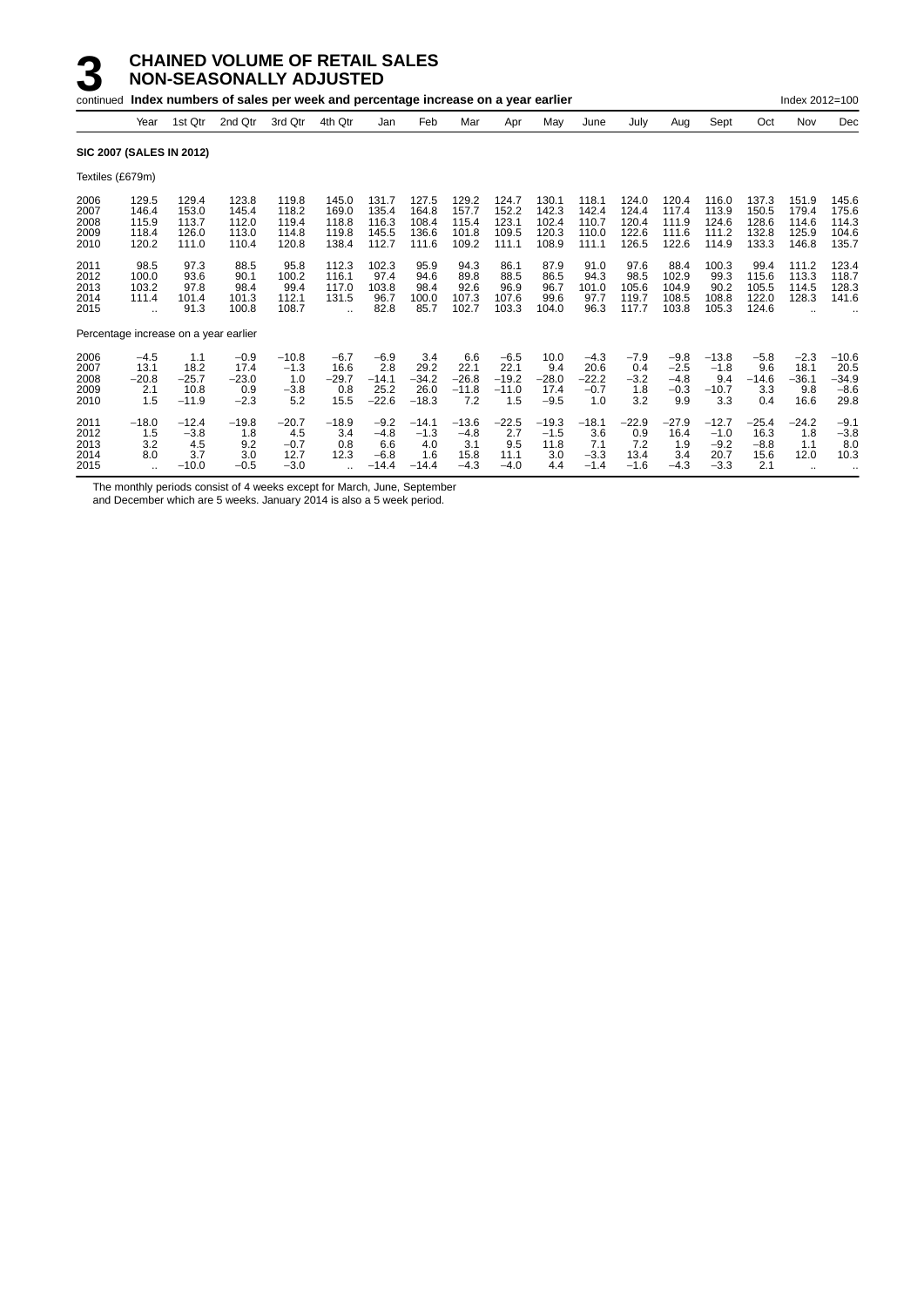|                                      |                                                         |                                            | continued Index numbers of sales per week and percentage increase on a year earlier |                                            |                                                          |                                              |                                            |                                            |                                             |                                           |                                            |                                           |                                             |                                               |                                           | Index 2012=100                             |                                              |
|--------------------------------------|---------------------------------------------------------|--------------------------------------------|-------------------------------------------------------------------------------------|--------------------------------------------|----------------------------------------------------------|----------------------------------------------|--------------------------------------------|--------------------------------------------|---------------------------------------------|-------------------------------------------|--------------------------------------------|-------------------------------------------|---------------------------------------------|-----------------------------------------------|-------------------------------------------|--------------------------------------------|----------------------------------------------|
|                                      | Year                                                    | 1st Qtr                                    | 2nd Qtr                                                                             | 3rd Qtr                                    | 4th Qtr                                                  | Jan                                          | Feb                                        | Mar                                        | Apr                                         | May                                       | June                                       | July                                      | Aug                                         | Sept                                          | Oct                                       | Nov                                        | Dec                                          |
|                                      |                                                         | <b>SIC 2007 (SALES IN 2012)</b>            |                                                                                     |                                            |                                                          |                                              |                                            |                                            |                                             |                                           |                                            |                                           |                                             |                                               |                                           |                                            |                                              |
| Textiles (£679m)                     |                                                         |                                            |                                                                                     |                                            |                                                          |                                              |                                            |                                            |                                             |                                           |                                            |                                           |                                             |                                               |                                           |                                            |                                              |
| 2006<br>2007<br>2008<br>2009<br>2010 | 129.5<br>146.4<br>115.9<br>118.4<br>120.2               | 129.4<br>153.0<br>113.7<br>126.0<br>111.0  | 123.8<br>145.4<br>112.0<br>113.0<br>110.4                                           | 119.8<br>118.2<br>119.4<br>114.8<br>120.8  | 145.0<br>169.0<br>118.8<br>119.8<br>138.4                | 131.7<br>135.4<br>116.3<br>145.5<br>112.7    | 127.5<br>164.8<br>108.4<br>136.6<br>111.6  | 129.2<br>157.7<br>115.4<br>101.8<br>109.2  | 124.7<br>152.2<br>123.1<br>109.5<br>111.1   | 130.1<br>142.3<br>102.4<br>120.3<br>108.9 | 118.1<br>142.4<br>110.7<br>110.0<br>111.1  | 124.0<br>124.4<br>120.4<br>122.6<br>126.5 | 120.4<br>117.4<br>111.9<br>111.6<br>122.6   | 116.0<br>113.9<br>124.6<br>111.2<br>114.9     | 137.3<br>150.5<br>128.6<br>132.8<br>133.3 | 151.9<br>179.4<br>114.6<br>125.9<br>146.8  | 145.6<br>175.6<br>114.3<br>104.6<br>135.7    |
| 2011<br>2012<br>2013<br>2014<br>2015 | 98.5<br>100.0<br>103.2<br>111.4<br>$\ddot{\phantom{a}}$ | 97.3<br>93.6<br>97.8<br>101.4<br>91.3      | 88.5<br>90.1<br>98.4<br>101.3<br>100.8                                              | 95.8<br>100.2<br>99.4<br>112.1<br>108.7    | 112.3<br>116.1<br>117.0<br>131.5<br>$\ddot{\phantom{a}}$ | 102.3<br>97.4<br>103.8<br>96.7<br>82.8       | 95.9<br>94.6<br>98.4<br>100.0<br>85.7      | 94.3<br>89.8<br>92.6<br>107.3<br>102.7     | 86.1<br>88.5<br>96.9<br>107.6<br>103.3      | 87.9<br>86.5<br>96.7<br>99.6<br>104.0     | 91.0<br>94.3<br>101.0<br>97.7<br>96.3      | 97.6<br>98.5<br>105.6<br>119.7<br>117.7   | 88.4<br>102.9<br>104.9<br>108.5<br>103.8    | 100.3<br>99.3<br>90.2<br>108.8<br>105.3       | 99.4<br>115.6<br>105.5<br>122.0<br>124.6  | 111.2<br>113.3<br>114.5<br>128.3           | 123.4<br>118.7<br>128.3<br>141.6             |
|                                      |                                                         | Percentage increase on a year earlier      |                                                                                     |                                            |                                                          |                                              |                                            |                                            |                                             |                                           |                                            |                                           |                                             |                                               |                                           |                                            |                                              |
| 2006<br>2007<br>2008<br>2009<br>2010 | $-4.5$<br>13.1<br>$-20.8$<br>2.1<br>1.5                 | 1.1<br>18.2<br>$-25.7$<br>10.8<br>$-11.9$  | $-0.9$<br>17.4<br>$-23.0$<br>0.9<br>$-2.3$                                          | $-10.8$<br>$-1.3$<br>1.0<br>$-3.8$<br>5.2  | $-6.7$<br>16.6<br>$-29.7$<br>0.8<br>15.5                 | $-6.9$<br>2.8<br>$-14.1$<br>25.2<br>$-22.6$  | 3.4<br>29.2<br>$-34.2$<br>26.0<br>$-18.3$  | 6.6<br>22.1<br>$-26.8$<br>$-11.8$<br>7.2   | $-6.5$<br>22.1<br>$-19.2$<br>$-11.0$<br>1.5 | 10.0<br>9.4<br>$-28.0$<br>17.4<br>$-9.5$  | $-4.3$<br>20.6<br>$-22.2$<br>$-0.7$<br>1.0 | $-7.9$<br>0.4<br>$-3.2$<br>1.8<br>3.2     | $-9.8$<br>$-2.5$<br>$-4.8$<br>$-0.3$<br>9.9 | $-13.8$<br>$-1.8$<br>9.4<br>$-10.7$<br>3.3    | $-5.8$<br>9.6<br>$-14.6$<br>3.3<br>0.4    | $-2.3$<br>18.1<br>$-36.1$<br>9.8<br>16.6   | $-10.6$<br>20.5<br>$-34.9$<br>$-8.6$<br>29.8 |
| 2011<br>2012<br>2013<br>2014<br>2015 | $-18.0$<br>1.5<br>3.2<br>8.0                            | $-12.4$<br>$-3.8$<br>4.5<br>3.7<br>$-10.0$ | $-19.8$<br>1.8<br>9.2<br>3.0<br>$-0.5$                                              | $-20.7$<br>4.5<br>$-0.7$<br>12.7<br>$-3.0$ | $-18.9$<br>3.4<br>0.8<br>12.3                            | $-9.2$<br>$-4.8$<br>6.6<br>$-6.8$<br>$-14.4$ | $-14.1$<br>$-1.3$<br>4.0<br>1.6<br>$-14.4$ | $-13.6$<br>$-4.8$<br>3.1<br>15.8<br>$-4.3$ | $-22.5$<br>2.7<br>9.5<br>11.1<br>$-4.0$     | $-19.3$<br>$-1.5$<br>11.8<br>3.0<br>4.4   | $-18.1$<br>3.6<br>7.1<br>$-3.3$<br>$-1.4$  | $-22.9$<br>0.9<br>7.2<br>13.4<br>$-1.6$   | $-27.9$<br>16.4<br>1.9<br>3.4<br>$-4.3$     | $-12.7$<br>$-1.0$<br>$-9.2$<br>20.7<br>$-3.3$ | $-25.4$<br>16.3<br>$-8.8$<br>15.6<br>2.1  | $-24.2$<br>1.8<br>1.1<br>12.0<br>$\ddotsc$ | $-9.1$<br>$-3.8$<br>8.0<br>10.3              |

The monthly periods consist of 4 weeks except for March, June, September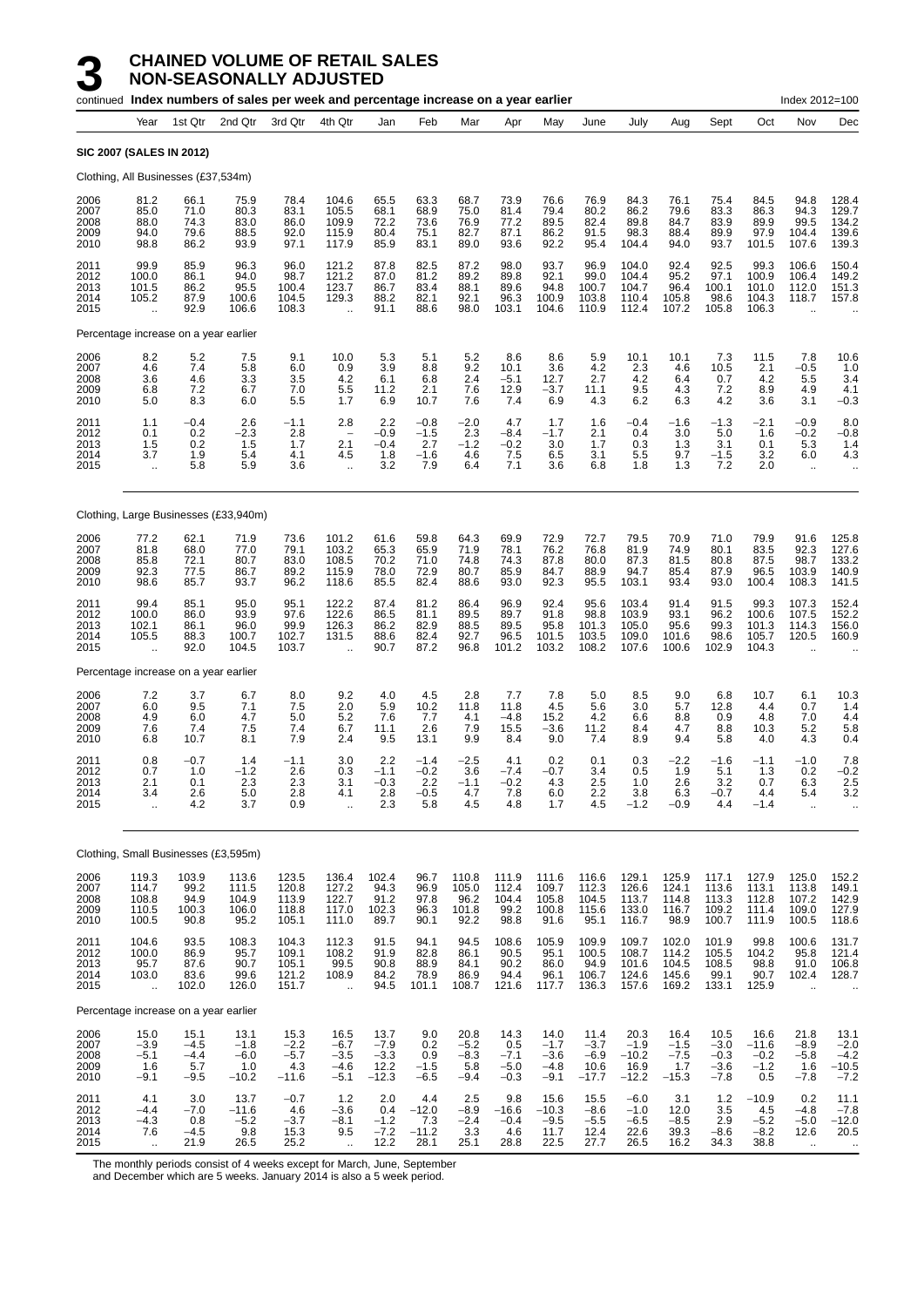|                                      |                                                        |                                           | continued Index numbers of sales per week and percentage increase on a year earlier |                                            |                                                                       |                                             |                                          |                                                |                                                                       |                                              |                                             |                                              |                                            |                                              |                                            | Index 2012=100                                         |                                              |
|--------------------------------------|--------------------------------------------------------|-------------------------------------------|-------------------------------------------------------------------------------------|--------------------------------------------|-----------------------------------------------------------------------|---------------------------------------------|------------------------------------------|------------------------------------------------|-----------------------------------------------------------------------|----------------------------------------------|---------------------------------------------|----------------------------------------------|--------------------------------------------|----------------------------------------------|--------------------------------------------|--------------------------------------------------------|----------------------------------------------|
|                                      | Year                                                   | 1st Qtr                                   | 2nd Qtr                                                                             | 3rd Qtr                                    | 4th Qtr                                                               | Jan                                         | Feb                                      | Mar                                            | Apr                                                                   | May                                          | June                                        | July                                         | Aug                                        | Sept                                         | Oct                                        | Nov                                                    | Dec                                          |
|                                      |                                                        | <b>SIC 2007 (SALES IN 2012)</b>           |                                                                                     |                                            |                                                                       |                                             |                                          |                                                |                                                                       |                                              |                                             |                                              |                                            |                                              |                                            |                                                        |                                              |
|                                      |                                                        | Clothing, All Businesses (£37,534m)       |                                                                                     |                                            |                                                                       |                                             |                                          |                                                |                                                                       |                                              |                                             |                                              |                                            |                                              |                                            |                                                        |                                              |
| 2006<br>2007<br>2008<br>2009<br>2010 | 81.2<br>85.0<br>88.0<br>94.0<br>98.8                   | 66.1<br>71.0<br>74.3<br>79.6<br>86.2      | 75.9<br>80.3<br>83.0<br>88.5<br>93.9                                                | 78.4<br>83.1<br>86.0<br>92.0<br>97.1       | 104.6<br>105.5<br>109.9<br>115.9<br>117.9                             | 65.5<br>68.1<br>72.2<br>80.4<br>85.9        | 63.3<br>68.9<br>73.6<br>75.1<br>83.1     | 68.7<br>75.0<br>76.9<br>82.7<br>89.0           | 73.9<br>81.4<br>77.2<br>87.1<br>93.6                                  | 76.6<br>79.4<br>89.5<br>86.2<br>92.2         | 76.9<br>80.2<br>82.4<br>91.5<br>95.4        | 84.3<br>86.2<br>89.8<br>98.3<br>104.4        | 76.1<br>79.6<br>84.7<br>88.4<br>94.0       | 75.4<br>83.3<br>83.9<br>89.9<br>93.7         | 84.5<br>86.3<br>89.9<br>97.9<br>101.5      | 94.8<br>94.3<br>99.5<br>104.4<br>107.6                 | 128.4<br>129.7<br>134.2<br>139.6<br>139.3    |
| 2011<br>2012<br>2013<br>2014<br>2015 | 99.9<br>100.0<br>101.5<br>105.2                        | 85.9<br>86.1<br>86.2<br>87.9<br>92.9      | 96.3<br>94.0<br>95.5<br>100.6<br>106.6                                              | 96.0<br>98.7<br>100.4<br>104.5<br>108.3    | 121.2<br>121.2<br>123.7<br>129.3                                      | 87.8<br>87.0<br>86.7<br>88.2<br>91.1        | 82.5<br>81.2<br>83.4<br>82.1<br>88.6     | 87.2<br>89.2<br>88.1<br>92.1<br>98.0           | 98.0<br>89.8<br>89.6<br>96.3<br>103.1                                 | 93.7<br>92.1<br>94.8<br>100.9<br>104.6       | 96.9<br>99.0<br>100.7<br>103.8<br>110.9     | 104.0<br>104.4<br>104.7<br>110.4<br>112.4    | 92.4<br>95.2<br>96.4<br>105.8<br>107.2     | 92.5<br>97.1<br>100.1<br>98.6<br>105.8       | 99.3<br>100.9<br>101.0<br>104.3<br>106.3   | 106.6<br>106.4<br>112.0<br>118.7                       | 150.4<br>149.2<br>151.3<br>157.8             |
|                                      |                                                        | Percentage increase on a year earlier     |                                                                                     |                                            |                                                                       |                                             |                                          |                                                |                                                                       |                                              |                                             |                                              |                                            |                                              |                                            |                                                        |                                              |
| 2006<br>2007<br>2008<br>2009<br>2010 | 8.2<br>4.6<br>3.6<br>6.8<br>5.0                        | 5.2<br>7.4<br>4.6<br>7.2<br>8.3           | 7.5<br>5.8<br>3.3<br>6.7<br>6.0                                                     | 9.1<br>6.0<br>3.5<br>7.0<br>5.5            | 10.0<br>0.9<br>4.2<br>5.5<br>1.7                                      | 5.3<br>3.9<br>6.1<br>11.2<br>6.9            | 5.1<br>8.8<br>6.8<br>2.1<br>10.7         | 5.2<br>9.2<br>2.4<br>7.6<br>7.6                | 8.6<br>10.1<br>$-5.1$<br>12.9<br>7.4                                  | 8.6<br>3.6<br>12.7<br>$-3.7$<br>6.9          | 5.9<br>4.2<br>2.7<br>11.1<br>4.3            | 10.1<br>2.3<br>4.2<br>9.5<br>6.2             | 10.1<br>4.6<br>6.4<br>4.3<br>6.3           | 7.3<br>10.5<br>0.7<br>7.2<br>4.2             | 11.5<br>2.1<br>4.2<br>8.9<br>3.6           | 7.8<br>$-0.5$<br>5.5<br>4.9<br>3.1                     | 10.6<br>1.0<br>3.4<br>4.1<br>$-0.3$          |
| 2011<br>2012<br>2013<br>2014<br>2015 | 1.1<br>0.1<br>1.5<br>3.7<br>$\ddot{\phantom{a}}$       | $-0.4$<br>0.2<br>0.2<br>1.9<br>5.8        | 2.6<br>$-2.3$<br>1.5<br>5.4<br>5.9                                                  | $-1.1$<br>2.8<br>1.7<br>4.1<br>3.6         | 2.8<br>$\overline{\phantom{0}}$<br>2.1<br>4.5<br>$\ddot{\phantom{1}}$ | 2.2<br>$-0.9$<br>$-0.4$<br>1.8<br>3.2       | $-0.8$<br>$-1.5$<br>2.7<br>$-1.6$<br>7.9 | $-2.0$<br>2.3<br>$-1.2$<br>4.6<br>6.4          | 4.7<br>$-8.4$<br>$-0.2$<br>7.5<br>7.1                                 | 1.7<br>$-1.7$<br>3.0<br>6.5<br>3.6           | 1.6<br>2.1<br>1.7<br>3.1<br>6.8             | $-0.4$<br>0.4<br>0.3<br>5.5<br>1.8           | $-1.6$<br>3.0<br>1.3<br>9.7<br>1.3         | $-1.3$<br>5.0<br>3.1<br>$-1.5$<br>7.2        | $-2.1$<br>1.6<br>0.1<br>3.2<br>2.0         | $-0.9$<br>$-0.2$<br>5.3<br>6.0<br>$\bar{\mathbf{r}}$   | 8.0<br>$-0.8$<br>1.4<br>4.3                  |
|                                      |                                                        |                                           | Clothing, Large Businesses (£33,940m)                                               |                                            |                                                                       |                                             |                                          |                                                |                                                                       |                                              |                                             |                                              |                                            |                                              |                                            |                                                        |                                              |
| 2006<br>2007<br>2008<br>2009<br>2010 | 77.2<br>81.8<br>85.8<br>92.3<br>98.6                   | 62.1<br>68.0<br>72.1<br>77.5<br>85.7      | 71.9<br>77.0<br>80.7<br>86.7<br>93.7                                                | 73.6<br>79.1<br>83.0<br>89.2<br>96.2       | 101.2<br>103.2<br>108.5<br>115.9<br>118.6                             | 61.6<br>65.3<br>70.2<br>78.0<br>85.5        | 59.8<br>65.9<br>71.0<br>72.9<br>82.4     | 64.3<br>71.9<br>74.8<br>80.7<br>88.6           | 69.9<br>78.1<br>74.3<br>85.9<br>93.0                                  | 72.9<br>76.2<br>87.8<br>84.7<br>92.3         | 72.7<br>76.8<br>80.0<br>88.9<br>95.5        | 79.5<br>81.9<br>87.3<br>94.7<br>103.1        | 70.9<br>74.9<br>81.5<br>85.4<br>93.4       | 71.0<br>80.1<br>80.8<br>87.9<br>93.0         | 79.9<br>83.5<br>87.5<br>96.5<br>100.4      | 91.6<br>92.3<br>98.7<br>103.9<br>108.3                 | 125.8<br>127.6<br>133.2<br>140.9<br>141.5    |
| 2011<br>2012<br>2013<br>2014<br>2015 | 99.4<br>100.0<br>102.1<br>105.5<br>ă,                  | 85.1<br>86.0<br>86.1<br>88.3<br>92.0      | 95.0<br>93.9<br>96.0<br>100.7<br>104.5                                              | 95.1<br>97.6<br>99.9<br>102.7<br>103.7     | 122.2<br>122.6<br>126.3<br>131.5                                      | 87.4<br>86.5<br>86.2<br>88.6<br>90.7        | 81.2<br>81.1<br>82.9<br>82.4<br>87.2     | 86.4<br>89.5<br>88.5<br>92.7<br>96.8           | 96.9<br>89.7<br>89.5<br>96.5<br>101.2                                 | 92.4<br>91.8<br>95.8<br>101.5<br>103.2       | 95.6<br>98.8<br>101.3<br>103.5<br>108.2     | 103.4<br>103.9<br>105.0<br>109.0<br>107.6    | 91.4<br>93.1<br>95.6<br>101.6<br>100.6     | 91.5<br>96.2<br>99.3<br>98.6<br>102.9        | 99.3<br>100.6<br>101.3<br>105.7<br>104.3   | 107.3<br>107.5<br>114.3<br>120.5                       | 152.4<br>152.2<br>156.0<br>160.9             |
|                                      |                                                        | Percentage increase on a year earlier     |                                                                                     |                                            |                                                                       |                                             |                                          |                                                |                                                                       |                                              |                                             |                                              |                                            |                                              |                                            |                                                        |                                              |
| 2006<br>2007<br>2008<br>2009<br>2010 | 7.2<br>6.0<br>4.9<br>7.6<br>6.8                        | 3.7<br>9.5<br>6.0<br>7.4<br>10.7          | 6.7<br>7.1<br>4.7<br>7.5<br>8.1                                                     | 8.0<br>7.5<br>5.0<br>7.4<br>7.9            | 9.2<br>2.0<br>5.2<br>6.7<br>2.4                                       | 4.0<br>5.9<br>7.6<br>11.1<br>9.5            | 4.5<br>10.2<br>7.7<br>2.6<br>13.1        | 2.8<br>11.8<br>4.1<br>7.9<br>9.9               | 7.7<br>11.8<br>$-4.8$<br>15.5<br>8.4                                  | 7.8<br>4.5<br>15.2<br>$-3.6$<br>9.0          | 5.0<br>5.6<br>4.2<br>11.2<br>7.4            | 8.5<br>3.0<br>6.6<br>8.4<br>8.9              | 9.0<br>5.7<br>8.8<br>4.7<br>9.4            | 6.8<br>12.8<br>0.9<br>8.8<br>5.8             | 10.7<br>4.4<br>4.8<br>10.3<br>4.0          | 6.1<br>0.7<br>7.0<br>5.2<br>4.3                        | $10.3$<br>$1.4$<br>4.4<br>5.8<br>0.4         |
| 2011<br>2012<br>2013<br>2014<br>2015 | 0.8<br>0.7<br>2.1<br>3.4<br>$\ddot{\phantom{a}}$       | $-0.7$<br>1.0<br>0.1<br>2.6<br>4.2        | 1.4<br>$-1.2$<br>2.3<br>5.0<br>3.7                                                  | $-1.1$<br>2.6<br>2.3<br>2.8<br>0.9         | 3.0<br>0.3<br>3.1<br>4.1<br>$\ddot{\phantom{a}}$                      | 2.2<br>$-1.1$<br>$-0.3$<br>2.8<br>2.3       | $-1.4$<br>$-0.2$<br>2.2<br>$-0.5$<br>5.8 | $-2.5$<br>3.6<br>$-1.1$<br>4.7<br>4.5          | 4.1<br>$-7.4$<br>$-0.2$<br>7.8<br>4.8                                 | 0.2<br>$-0.7$<br>4.3<br>6.0<br>1.7           | 0.1<br>3.4<br>2.5<br>2.2<br>4.5             | 0.3<br>0.5<br>1.0<br>3.8<br>$-1.2$           | $-2.2$<br>1.9<br>2.6<br>6.3<br>$-0.9$      | $-1.6$<br>5.1<br>3.2<br>$-0.7$<br>4.4        | $-1.1$<br>1.3<br>0.7<br>4.4<br>$-1.4$      | $-1.0$<br>0.2<br>6.3<br>5.4<br>$\ddot{\phantom{a}}$    | 7.8<br>$-0.2$<br>2.5<br>3.2                  |
|                                      |                                                        | Clothing, Small Businesses (£3,595m)      |                                                                                     |                                            |                                                                       |                                             |                                          |                                                |                                                                       |                                              |                                             |                                              |                                            |                                              |                                            |                                                        |                                              |
| 2006<br>2007<br>2008<br>2009<br>2010 | 119.3<br>114.7<br>108.8<br>110.5<br>100.5              | 103.9<br>99.2<br>94.9<br>100.3<br>90.8    | 113.6<br>111.5<br>104.9<br>106.0<br>95.2                                            | 123.5<br>120.8<br>113.9<br>118.8<br>105.1  | 136.4<br>127.2<br>122.7<br>117.0<br>111.0                             | 102.4<br>94.3<br>91.2<br>102.3<br>89.7      | 96.7<br>96.9<br>97.8<br>96.3<br>90.1     | 110.8<br>$\frac{105.0}{96.2}$<br>101.8<br>92.2 | 111.9<br>112.4<br>104.4<br>99.2<br>98.8                               | 111.6<br>109.7<br>105.8<br>100.8<br>91.6     | 116.6<br>112.3<br>104.5<br>115.6<br>95.1    | 129.1<br>126.6<br>113.7<br>133.0<br>116.7    | 125.9<br>124.1<br>114.8<br>116.7<br>98.9   | 117.1<br>113.6<br>113.3<br>109.2<br>100.7    | 127.9<br>113.1<br>112.8<br>111.4<br>111.9  | 125.0<br>113.8<br>107.2<br>109.0<br>100.5              | 152.2<br>149.1<br>142.9<br>$127.9$<br>118.6  |
| 2011<br>2012<br>2013<br>2014<br>2015 | 104.6<br>100.0<br>95.7<br>103.0<br>ä,                  | 93.5<br>86.9<br>87.6<br>83.6<br>102.0     | 108.3<br>95.7<br>90.7<br>99.6<br>126.0                                              | 104.3<br>109.1<br>105.1<br>121.2<br>151.7  | 112.3<br>$\frac{108.2}{99.5}$<br>108.9<br>$\ddot{\phantom{a}}$        | 91.5<br>91.9<br>90.8<br>84.2<br>94.5        | 94.1<br>82.8<br>88.9<br>78.9<br>101.1    | 94.5<br>86.1<br>84.1<br>86.9<br>108.7          | 108.6<br>$\begin{array}{c} 90.5 \\ 90.2 \end{array}$<br>94.4<br>121.6 | 105.9<br>95.1<br>86.0<br>96.1<br>117.7       | 109.9<br>100.5<br>94.9<br>106.7<br>136.3    | 109.7<br>108.7<br>101.6<br>124.6<br>157.6    | 102.0<br>114.2<br>104.5<br>145.6<br>169.2  | 101.9<br>105.5<br>108.5<br>99.1<br>133.1     | 99.8<br>104.2<br>98.8<br>90.7<br>125.9     | 100.6<br>95.8<br>91.0<br>102.4<br>$\ddot{\phantom{a}}$ | 131.7<br>121.4<br>106.8<br>128.7             |
|                                      |                                                        | Percentage increase on a year earlier     |                                                                                     |                                            |                                                                       |                                             |                                          |                                                |                                                                       |                                              |                                             |                                              |                                            |                                              |                                            |                                                        |                                              |
| 2006<br>2007<br>2008<br>2009<br>2010 | 15.0<br>$-3.9$<br>$-5.1$<br>1.6<br>$-9.1$              | 15.1<br>$-4.5$<br>$-4.4$<br>5.7<br>$-9.5$ | 13.1<br>$-1.8$<br>$-6.0$<br>1.0<br>$-10.2$                                          | 15.3<br>$-2.2$<br>$-5.7$<br>4.3<br>$-11.6$ | 16.5<br>$-6.7$<br>$-3.5$<br>$-4.6$<br>$-5.1$                          | 13.7<br>$-7.9$<br>$-3.3$<br>12.2<br>$-12.3$ | 9.0<br>0.2<br>0.9<br>$-1.5$<br>$-6.5$    | 20.8<br>$-5.2$<br>$-8.3$<br>5.8<br>$-9.4$      | 14.3<br>0.5<br>$-7.1$<br>$-5.0$<br>$-0.3$                             | 14.0<br>$-1.7$<br>$-3.6$<br>$-4.8$<br>$-9.1$ | 11.4<br>$-3.7$<br>$-6.9$<br>10.6<br>$-17.7$ | 20.3<br>$-1.9$<br>$-10.2$<br>16.9<br>$-12.2$ | 16.4<br>$-1.5$<br>$-7.5$<br>1.7<br>$-15.3$ | 10.5<br>$-3.0$<br>$-0.3$<br>$-3.6$<br>$-7.8$ | 16.6<br>$-11.6$<br>$-0.2$<br>$-1.2$<br>0.5 | 21.8<br>$-8.9$<br>$-5.8$<br>1.6<br>$-7.8$              | $13.1 - 2.0$<br>$-4.2$<br>-10.5<br>$-7.2$    |
| 2011<br>2012<br>2013<br>2014<br>2015 | 4.1<br>$-4.4$<br>$-4.3$<br>7.6<br>$\ddot{\phantom{a}}$ | 3.0<br>$-7.0$<br>0.8<br>$-4.5$<br>21.9    | 13.7<br>$-11.6$<br>$-5.2$<br>9.8<br>26.5                                            | $-0.7$<br>4.6<br>$-3.7$<br>15.3<br>25.2    | 1.2<br>$-3.6$<br>$-8.1$<br>9.5<br>$\ddot{\phantom{1}}$                | 2.0<br>0.4<br>$-1.2$<br>$-7.2$<br>12.2      | 4.4<br>$-12.0$<br>7.3<br>$-11.2$<br>28.1 | 2.5<br>$-8.9$<br>$-2.4$<br>3.3<br>25.1         | 9.8<br>$-16.6$<br>$-0.4$<br>4.6<br>28.8                               | 15.6<br>$-10.3$<br>$-9.5$<br>11.7<br>22.5    | 15.5<br>$-8.6$<br>$-5.5$<br>12.4<br>27.7    | $-6.0$<br>$-1.0$<br>$-6.5$<br>22.6<br>26.5   | 3.1<br>12.0<br>$-8.5$<br>39.3<br>16.2      | 1.2<br>3.5<br>2.9<br>$-8.6$<br>34.3          | $-10.9$<br>4.5<br>$-5.2$<br>$-8.2$<br>38.8 | 0.2<br>$-4.8$<br>$-5.0$<br>12.6<br>$\ddotsc$           | 11.1<br>$-7.8$<br>$-12.0$<br>20.5<br>$\cdot$ |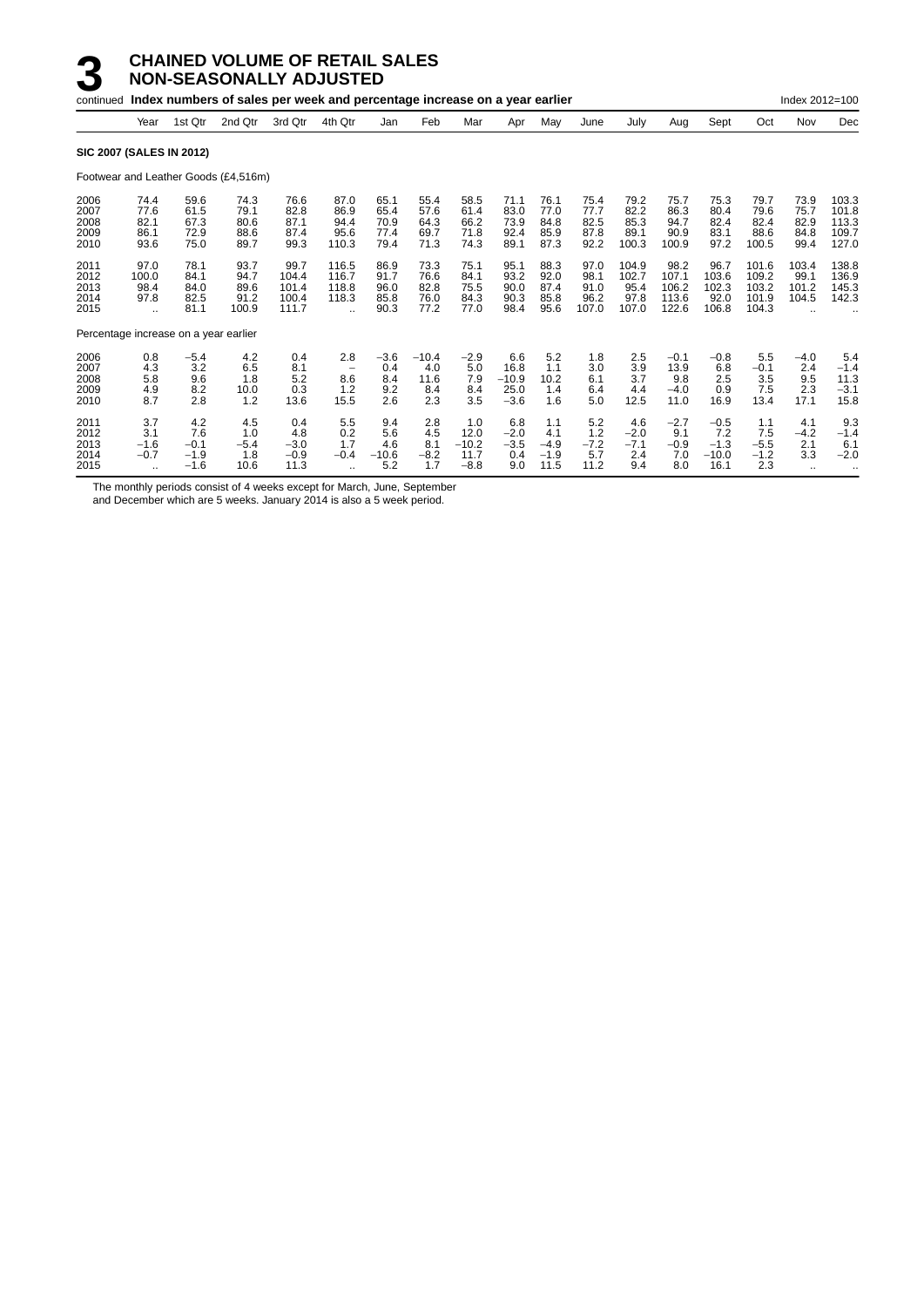|                                                                      |                                                                       |                                                                      | continued Index numbers of sales per week and percentage increase on a year earlier |                                                                         |                                                                           |                                                                      |                                                                      |                                                                      |                                                                      |                                                                      |                                                                      |                                                                         |                                                                          |                                                                        |                                                                           | Index 2012=100                                                          |                                                                               |
|----------------------------------------------------------------------|-----------------------------------------------------------------------|----------------------------------------------------------------------|-------------------------------------------------------------------------------------|-------------------------------------------------------------------------|---------------------------------------------------------------------------|----------------------------------------------------------------------|----------------------------------------------------------------------|----------------------------------------------------------------------|----------------------------------------------------------------------|----------------------------------------------------------------------|----------------------------------------------------------------------|-------------------------------------------------------------------------|--------------------------------------------------------------------------|------------------------------------------------------------------------|---------------------------------------------------------------------------|-------------------------------------------------------------------------|-------------------------------------------------------------------------------|
|                                                                      | Year                                                                  | 1st Qtr                                                              | 2nd Qtr                                                                             | 3rd Qtr                                                                 | 4th Qtr                                                                   | Jan                                                                  | Feb                                                                  | Mar                                                                  | Apr                                                                  | May                                                                  | June                                                                 | July                                                                    | Aug                                                                      | Sept                                                                   | Oct                                                                       | Nov                                                                     | Dec                                                                           |
| <b>SIC 2007 (SALES IN 2012)</b>                                      |                                                                       |                                                                      |                                                                                     |                                                                         |                                                                           |                                                                      |                                                                      |                                                                      |                                                                      |                                                                      |                                                                      |                                                                         |                                                                          |                                                                        |                                                                           |                                                                         |                                                                               |
|                                                                      |                                                                       |                                                                      | Footwear and Leather Goods (£4,516m)                                                |                                                                         |                                                                           |                                                                      |                                                                      |                                                                      |                                                                      |                                                                      |                                                                      |                                                                         |                                                                          |                                                                        |                                                                           |                                                                         |                                                                               |
| 2006<br>2007<br>2008<br>2009<br>2010<br>2011<br>2012<br>2013<br>2014 | 74.4<br>77.6<br>82.1<br>86.1<br>93.6<br>97.0<br>100.0<br>98.4<br>97.8 | 59.6<br>61.5<br>67.3<br>72.9<br>75.0<br>78.1<br>84.1<br>84.0<br>82.5 | 74.3<br>79.1<br>80.6<br>88.6<br>89.7<br>93.7<br>94.7<br>89.6<br>91.2                | 76.6<br>82.8<br>87.1<br>87.4<br>99.3<br>99.7<br>104.4<br>101.4<br>100.4 | 87.0<br>86.9<br>94.4<br>95.6<br>110.3<br>116.5<br>116.7<br>118.8<br>118.3 | 65.1<br>65.4<br>70.9<br>77.4<br>79.4<br>86.9<br>91.7<br>96.0<br>85.8 | 55.4<br>57.6<br>64.3<br>69.7<br>71.3<br>73.3<br>76.6<br>82.8<br>76.0 | 58.5<br>61.4<br>66.2<br>71.8<br>74.3<br>75.1<br>84.1<br>75.5<br>84.3 | 71.1<br>83.0<br>73.9<br>92.4<br>89.1<br>95.1<br>93.2<br>90.0<br>90.3 | 76.1<br>77.0<br>84.8<br>85.9<br>87.3<br>88.3<br>92.0<br>87.4<br>85.8 | 75.4<br>77.7<br>82.5<br>87.8<br>92.2<br>97.0<br>98.1<br>91.0<br>96.2 | 79.2<br>82.2<br>85.3<br>89.1<br>100.3<br>104.9<br>102.7<br>95.4<br>97.8 | 75.7<br>86.3<br>94.7<br>90.9<br>100.9<br>98.2<br>107.1<br>106.2<br>113.6 | 75.3<br>80.4<br>82.4<br>83.1<br>97.2<br>96.7<br>103.6<br>102.3<br>92.0 | 79.7<br>79.6<br>82.4<br>88.6<br>100.5<br>101.6<br>109.2<br>103.2<br>101.9 | 73.9<br>75.7<br>82.9<br>84.8<br>99.4<br>103.4<br>99.1<br>101.2<br>104.5 | 103.3<br>101.8<br>113.3<br>109.7<br>127.0<br>138.8<br>136.9<br>145.3<br>142.3 |
| 2015                                                                 |                                                                       | 81.1                                                                 | 100.9                                                                               | 111.7                                                                   | $\ddot{\phantom{a}}$                                                      | 90.3                                                                 | 77.2                                                                 | 77.0                                                                 | 98.4                                                                 | 95.6                                                                 | 107.0                                                                | 107.0                                                                   | 122.6                                                                    | 106.8                                                                  | 104.3                                                                     |                                                                         |                                                                               |
| Percentage increase on a year earlier                                |                                                                       |                                                                      |                                                                                     |                                                                         |                                                                           |                                                                      |                                                                      |                                                                      |                                                                      |                                                                      |                                                                      |                                                                         |                                                                          |                                                                        |                                                                           |                                                                         |                                                                               |
| 2006<br>2007<br>2008<br>2009<br>2010                                 | 0.8<br>4.3<br>5.8<br>4.9<br>8.7                                       | $-5.4$<br>3.2<br>9.6<br>8.2<br>2.8                                   | 4.2<br>6.5<br>1.8<br>10.0<br>1.2                                                    | 0.4<br>8.1<br>5.2<br>0.3<br>13.6                                        | 2.8<br>8.6<br>1.2<br>15.5                                                 | $-3.6$<br>0.4<br>8.4<br>9.2<br>2.6                                   | $-10.4$<br>4.0<br>11.6<br>8.4<br>2.3                                 | $-2.9$<br>5.0<br>7.9<br>8.4<br>3.5                                   | 6.6<br>16.8<br>$-10.9$<br>25.0<br>$-3.6$                             | 5.2<br>1.1<br>10.2<br>1.4<br>1.6                                     | 1.8<br>3.0<br>6.1<br>6.4<br>5.0                                      | 2.5<br>3.9<br>3.7<br>4.4<br>12.5                                        | $-0.1$<br>13.9<br>9.8<br>$-4.0$<br>11.0                                  | $-0.8$<br>6.8<br>2.5<br>0.9<br>16.9                                    | 5.5<br>$-0.1$<br>3.5<br>7.5<br>13.4                                       | $-4.0$<br>2.4<br>9.5<br>2.3<br>17.1                                     | 5.4<br>$-1.4$<br>11.3<br>$-3.1$<br>15.8                                       |
| 2011<br>2012<br>2013<br>2014<br>2015                                 | 3.7<br>3.1<br>$-1.6$<br>$-0.7$<br>$\ddotsc$                           | 4.2<br>7.6<br>$-0.1$<br>$-1.9$<br>$-1.6$                             | 4.5<br>1.0<br>$-5.4$<br>1.8<br>10.6                                                 | 0.4<br>4.8<br>$-3.0$<br>$-0.9$<br>11.3                                  | 5.5<br>0.2<br>1.7<br>$-0.4$<br>$\ddotsc$                                  | 9.4<br>5.6<br>4.6<br>$-10.6$<br>5.2                                  | 2.8<br>4.5<br>8.1<br>$-8.2$<br>1.7                                   | 1.0<br>12.0<br>$-10.2$<br>11.7<br>$-8.8$                             | 6.8<br>$-2.0$<br>$-3.5$<br>0.4<br>9.0                                | 1.1<br>4.1<br>$-4.9$<br>$-1.9$<br>11.5                               | 5.2<br>1.2<br>$-7.2$<br>5.7<br>11.2                                  | 4.6<br>$-2.0$<br>$-7.1$<br>2.4<br>9.4                                   | $-2.7$<br>9.1<br>$-0.9$<br>7.0<br>8.0                                    | $-0.5$<br>7.2<br>$-1.3$<br>$-10.0$<br>16.1                             | 1.1<br>7.5<br>$-5.5$<br>$-1.2$<br>2.3                                     | 4.1<br>$-4.2$<br>2.1<br>3.3<br>$\ddotsc$                                | 9.3<br>$-1.4$<br>6.1<br>$-2.0$                                                |

The monthly periods consist of 4 weeks except for March, June, September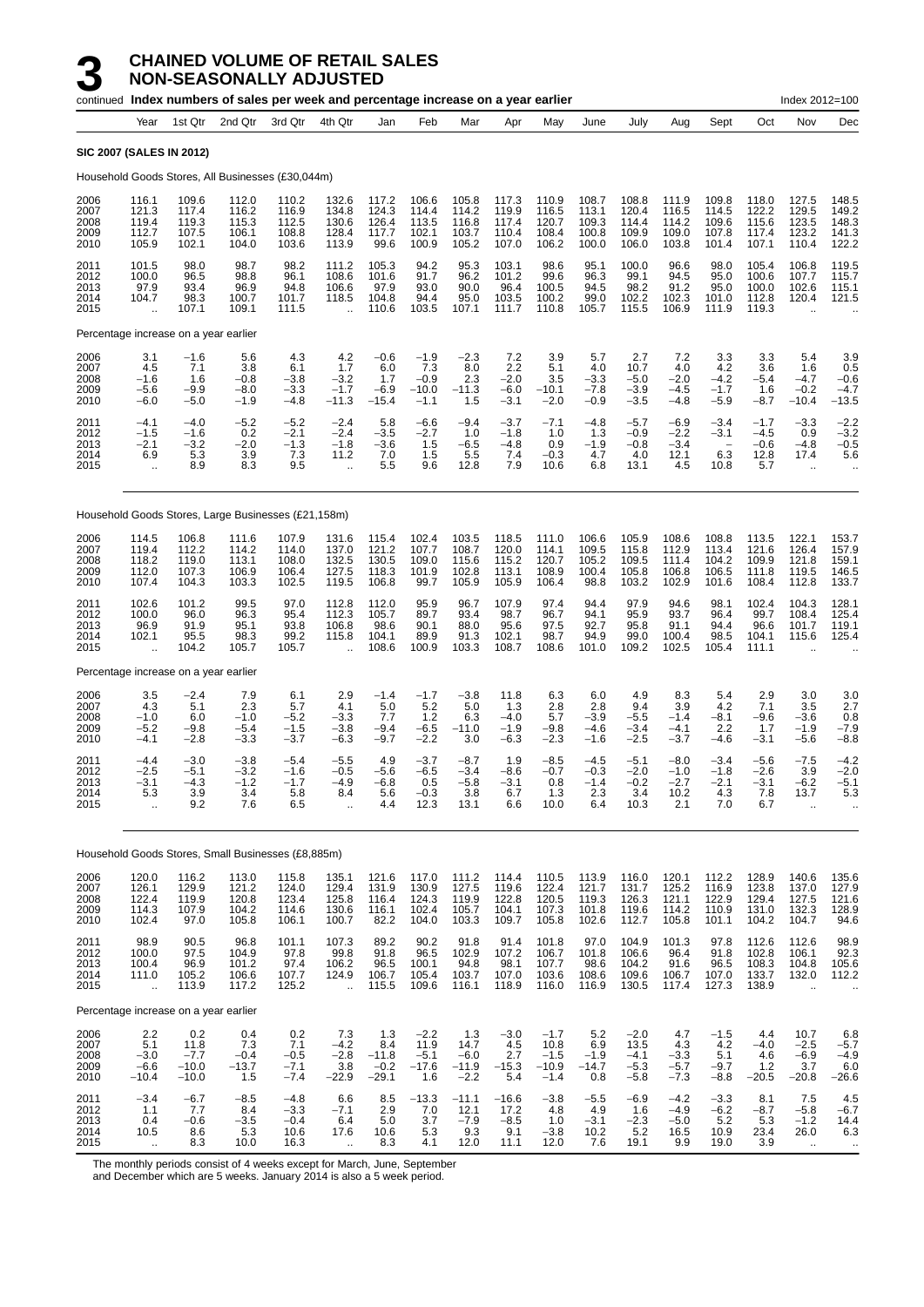|                                      |                                                           |                                             | continued Index numbers of sales per week and percentage increase on a year earlier |                                            |                                                            |                                            |                                              |                                            |                                           |                                               |                                           |                                              |                                           |                                                             |                                           | Index 2012=100                                           |                                                |
|--------------------------------------|-----------------------------------------------------------|---------------------------------------------|-------------------------------------------------------------------------------------|--------------------------------------------|------------------------------------------------------------|--------------------------------------------|----------------------------------------------|--------------------------------------------|-------------------------------------------|-----------------------------------------------|-------------------------------------------|----------------------------------------------|-------------------------------------------|-------------------------------------------------------------|-------------------------------------------|----------------------------------------------------------|------------------------------------------------|
|                                      | Year                                                      | 1st Qtr                                     | 2nd Qtr                                                                             | 3rd Qtr                                    | 4th Qtr                                                    | Jan                                        | Feb                                          | Mar                                        | Apr                                       | May                                           | June                                      | July                                         | Aug                                       | Sept                                                        | Oct                                       | Nov                                                      | Dec                                            |
|                                      | <b>SIC 2007 (SALES IN 2012)</b>                           |                                             |                                                                                     |                                            |                                                            |                                            |                                              |                                            |                                           |                                               |                                           |                                              |                                           |                                                             |                                           |                                                          |                                                |
|                                      |                                                           |                                             | Household Goods Stores, All Businesses (£30,044m)                                   |                                            |                                                            |                                            |                                              |                                            |                                           |                                               |                                           |                                              |                                           |                                                             |                                           |                                                          |                                                |
| 2006<br>2007<br>2008<br>2009<br>2010 | 116.1<br>121.3<br>119.4<br>112.7<br>105.9                 | 109.6<br>117.4<br>119.3<br>107.5<br>102.1   | 112.0<br>116.2<br>115.3<br>106.1<br>104.0                                           | 110.2<br>116.9<br>112.5<br>108.8<br>103.6  | 132.6<br>134.8<br>130.6<br>128.4<br>113.9                  | 117.2<br>124.3<br>126.4<br>117.7<br>99.6   | 106.6<br>114.4<br>113.5<br>102.1<br>100.9    | 105.8<br>114.2<br>116.8<br>103.7<br>105.2  | 117.3<br>119.9<br>117.4<br>110.4<br>107.0 | 110.9<br>116.5<br>120.7<br>108.4<br>106.2     | 108.7<br>113.1<br>109.3<br>100.8<br>100.0 | 108.8<br>120.4<br>114.4<br>109.9<br>106.0    | 111.9<br>116.5<br>114.2<br>109.0<br>103.8 | 109.8<br>114.5<br>109.6<br>107.8<br>101.4                   | 118.0<br>122.2<br>115.6<br>117.4<br>107.1 | 127.5<br>129.5<br>123.5<br>123.2<br>110.4                | 148.5<br>149.2<br>148.3<br>141.3<br>122.2      |
| 2011<br>2012<br>2013<br>2014<br>2015 | 101.5<br>100.0<br>97.9<br>104.7                           | 98.0<br>96.5<br>93.4<br>98.3<br>107.1       | 98.7<br>98.8<br>96.9<br>100.7<br>109.1                                              | 98.2<br>96.1<br>94.8<br>101.7<br>111.5     | 111.2<br>108.6<br>106.6<br>118.5                           | 105.3<br>101.6<br>97.9<br>104.8<br>110.6   | 94.2<br>91.7<br>93.0<br>94.4<br>103.5        | 95.3<br>96.2<br>90.0<br>95.0<br>107.1      | 103.1<br>101.2<br>96.4<br>103.5<br>111.7  | 98.6<br>99.6<br>100.5<br>100.2<br>110.8       | 95.1<br>96.3<br>94.5<br>99.0<br>105.7     | 100.0<br>99.1<br>98.2<br>102.2<br>115.5      | 96.6<br>94.5<br>91.2<br>102.3<br>106.9    | 98.0<br>95.0<br>95.0<br>101.0<br>111.9                      | 105.4<br>100.6<br>100.0<br>112.8<br>119.3 | 106.8<br>107.7<br>102.6<br>120.4                         | 119.5<br>115.7<br>115.1<br>121.5               |
|                                      | Percentage increase on a year earlier                     |                                             |                                                                                     |                                            |                                                            |                                            |                                              |                                            |                                           |                                               |                                           |                                              |                                           |                                                             |                                           |                                                          |                                                |
| 2006<br>2007<br>2008<br>2009<br>2010 | 3.1<br>4.5<br>$-1.6$<br>$-5.6$<br>$-6.0$                  | $-1.6$<br>7.1<br>1.6<br>$-9.9$<br>$-5.0$    | 5.6<br>3.8<br>$-0.8$<br>$-8.0$<br>$-1.9$                                            | 4.3<br>6.1<br>$-3.8$<br>$-3.3$<br>$-4.8$   | 4.2<br>1.7<br>$-3.2$<br>$-1.7$<br>$-11.3$                  | $-0.6$<br>6.0<br>1.7<br>$-6.9$<br>$-15.4$  | $-1.9$<br>7.3<br>$-0.9$<br>$-10.0$<br>$-1.1$ | $-2.3$<br>8.0<br>2.3<br>$-11.3$<br>1.5     | 7.2<br>2.2<br>$-2.0$<br>$-6.0$<br>$-3.1$  | 3.9<br>5.1<br>3.5<br>$-10.1$<br>$-2.0$        | 5.7<br>4.0<br>$-3.3$<br>$-7.8$<br>$-0.9$  | 2.7<br>10.7<br>$-5.0$<br>$-3.9$<br>$-3.5$    | 7.2<br>4.0<br>$-2.0$<br>$-4.5$<br>$-4.8$  | 3.3<br>4.2<br>$-4.2$<br>$-1.7$<br>$-5.9$                    | 3.3<br>3.6<br>-5.4<br>1.6<br>$-8.7$       | 5.4<br>1.6<br>$-4.7$<br>$-0.2$<br>$-10.4$                | 3.9<br>0.5<br>$-0.6$<br>$-4.7$<br>$-13.5$      |
| 2011<br>2012<br>2013<br>2014<br>2015 | $-4.1$<br>$-1.5$<br>$-2.1$<br>6.9<br>$\ddot{\phantom{a}}$ | $-4.0$<br>$-1.6$<br>$-3.2$<br>5.3<br>8.9    | $-5.2$<br>0.2<br>$-2.0$<br>3.9<br>8.3                                               | $-5.2$<br>$-2.1$<br>$-1.3$<br>7.3<br>9.5   | $-2.4$<br>$-2.4$<br>$-1.8$<br>11.2<br>$\ddot{\phantom{a}}$ | 5.8<br>$-3.5$<br>$-3.6$<br>7.0<br>5.5      | $-6.6$<br>$-2.7$<br>1.5<br>1.5<br>9.6        | $-9.4$<br>1.0<br>$-6.5$<br>5.5<br>12.8     | $-3.7$<br>$-1.8$<br>$-4.8$<br>7.4<br>7.9  | $-7.1$<br>1.0<br>0.9<br>-0.3<br>10.6          | $-4.8$<br>1.3<br>$-1.9$<br>4.7<br>6.8     | $-5.7$<br>$-0.9$<br>$-0.8$<br>4.0<br>13.1    | $-6.9$<br>$-2.2$<br>$-3.4$<br>12.1<br>4.5 | $-3.4$<br>$-3.1$<br>$\overline{\phantom{0}}$<br>6.3<br>10.8 | $-1.7$<br>$-4.5$<br>$-0.6$<br>12.8<br>5.7 | $-3.3$<br>0.9<br>$-4.8$<br>17.4<br>$\ddotsc$             | $-2.2$<br>$-3.2$<br>$-0.5$<br>5.6<br>$\ddotsc$ |
|                                      |                                                           |                                             | Household Goods Stores, Large Businesses (£21,158m)                                 |                                            |                                                            |                                            |                                              |                                            |                                           |                                               |                                           |                                              |                                           |                                                             |                                           |                                                          |                                                |
| 2006<br>2007<br>2008<br>2009<br>2010 | 114.5<br>119.4<br>118.2<br>112.0<br>107.4                 | 106.8<br>112.2<br>119.0<br>107.3<br>104.3   | 111.6<br>114.2<br>113.1<br>106.9<br>103.3                                           | 107.9<br>114.0<br>108.0<br>106.4<br>102.5  | 131.6<br>137.0<br>132.5<br>127.5<br>119.5                  | 115.4<br>121.2<br>130.5<br>118.3<br>106.8  | 102.4<br>107.7<br>109.0<br>101.9<br>99.7     | 103.5<br>108.7<br>115.6<br>102.8<br>105.9  | 118.5<br>120.0<br>115.2<br>113.1<br>105.9 | 111.0<br>114.1<br>120.7<br>108.9<br>106.4     | 106.6<br>109.5<br>105.2<br>100.4<br>98.8  | 105.9<br>115.8<br>109.5<br>105.8<br>103.2    | 108.6<br>112.9<br>111.4<br>106.8<br>102.9 | 108.8<br>113.4<br>104.2<br>106.5<br>101.6                   | 113.5<br>121.6<br>109.9<br>111.8<br>108.4 | 122.1<br>126.4<br>121.8<br>119.5<br>112.8                | 153.7<br>157.9<br>159.1<br>146.5<br>133.7      |
| 2011<br>2012<br>2013<br>2014<br>2015 | 102.6<br>100.0<br>96.9<br>102.1<br>$\ddot{\phantom{a}}$   | 101.2<br>96.0<br>91.9<br>95.5<br>104.2      | 99.5<br>96.3<br>95.1<br>98.3<br>105.7                                               | 97.0<br>95.4<br>93.8<br>99.2<br>105.7      | 112.8<br>112.3<br>106.8<br>115.8<br>$\ddot{\phantom{a}}$   | 112.0<br>105.7<br>98.6<br>104.1<br>108.6   | 95.9<br>89.7<br>90.1<br>89.9<br>100.9        | 96.7<br>93.4<br>88.0<br>91.3<br>103.3      | 107.9<br>98.7<br>95.6<br>102.1<br>108.7   | 97.4<br>96.7<br>97.5<br>98.7<br>108.6         | 94.4<br>94.1<br>92.7<br>94.9<br>101.0     | 97.9<br>95.9<br>95.8<br>99.0<br>109.2        | 94.6<br>93.7<br>91.1<br>100.4<br>102.5    | 98.1<br>96.4<br>94.4<br>98.5<br>105.4                       | 102.4<br>99.7<br>96.6<br>104.1<br>111.1   | 104.3<br>108.4<br>101.7<br>115.6<br>$\ddot{\phantom{a}}$ | 128.1<br>125.4<br>119.1<br>125.4               |
|                                      | Percentage increase on a year earlier                     |                                             |                                                                                     |                                            |                                                            |                                            |                                              |                                            |                                           |                                               |                                           |                                              |                                           |                                                             |                                           |                                                          |                                                |
| 2006<br>2007<br>2008<br>2009<br>2010 | 3.5<br>4.3<br>$-1.0$<br>$-5.2$<br>$-4.1$                  | $-2.4$<br>5.1<br>6.0<br>$-9.8$<br>$-2.8$    | 7.9<br>2.3<br>$-1.0$<br>$-5.4$<br>-3.3                                              | 6.1<br>5.7<br>$-5.2$<br>$-1.5$<br>$-3.7$   | 2.9<br>4.1<br>$-3.3$<br>$-3.8$<br>$-6.3$                   | $-1.4$<br>5.0<br>7.7<br>$-9.4$<br>$-9.7$   | $-1.7$<br>5.2<br>1.2<br>$-6.5$<br>$-2.2$     | $-3.8$<br>5.0<br>6.3<br>$-11.0$<br>3.0     | 11.8<br>1.3<br>$-4.0$<br>$-1.9$<br>-6.3   | 6.3<br>2.8<br>5.7<br>$-9.8$<br>$-2.3$         | 6.0<br>2.8<br>$-3.9$<br>$-4.6$<br>$-1.6$  | 4.9<br>9.4<br>$-5.5$<br>$-3.4$<br>$-2.5$     | 8.3<br>3.9<br>$-1.4$<br>$-4.1$<br>$-3.7$  | 5.4<br>4.2<br>$-8.1$<br>2.2<br>$-4.6$                       | 2.9<br>7.1<br>$-9.6$<br>1.7<br>-3.1       | 3.0<br>3.5<br>$-3.6$<br>$-1.9$<br>$-5.6$                 | 3.0<br>2.7<br>0.8<br>$-7.9$<br>$-8.8$          |
| 2011<br>2012<br>2013<br>2014<br>2015 | $-4.4$<br>$-2.5$<br>-3.1<br>5.3<br>ä,                     | $-3.0$<br>$-5.1$<br>-4.3<br>3.9<br>9.2      | $-3.8$<br>$-3.2$<br>-1.2<br>3.4<br>7.6                                              | $-5.4$<br>$-1.6$<br>$-1.7$<br>5.8<br>6.5   | $-5.5$<br>$-0.5$<br>-4.9<br>8.4<br>$\ddot{\phantom{a}}$    | 4.9<br>$-5.6$<br>-6.8<br>5.6<br>4.4        | $-3.7$<br>$-6.5$<br>0.5<br>$-0.3$<br>12.3    | $-8.7$<br>$-3.4$<br>-5.8<br>3.8<br>13.1    | 1.9<br>$-8.6$<br>-3.1<br>6.7<br>6.6       | $-8.5$<br>$-0.7$<br>0.8<br>1.3<br>10.0        | $-4.5$<br>$-0.3$<br>-1.4<br>2.3<br>6.4    | $-5.1$<br>$-2.0$<br>$-0.2$<br>3.4<br>10.3    | $-8.0$<br>$-1.0$<br>-2.7<br>10.2<br>2.1   | $-3.4$<br>$-1.8$<br>-2.1<br>4.3<br>7.0                      | $-5.6$<br>$-2.6$<br>-3.1<br>7.8<br>6.7    | $-7.5$<br>3.9<br>-6.2<br>13.7<br>à.                      | $-4.2$<br>$-2.0$<br>-5.1<br>5.3                |
|                                      |                                                           |                                             | Household Goods Stores, Small Businesses (£8,885m)                                  |                                            |                                                            |                                            |                                              |                                            |                                           |                                               |                                           |                                              |                                           |                                                             |                                           |                                                          |                                                |
| 2006<br>2007<br>2008<br>2009<br>2010 | 120.0<br>126.1<br>122.4<br>114.3<br>102.4                 | 116.2<br>129.9<br>119.9<br>107.9<br>97.0    | 113.0<br>121.2<br>120.8<br>104.2<br>105.8                                           | 115.8<br>124.0<br>123.4<br>114.6<br>106.1  | 135.1<br>129.4<br>125.8<br>130.6<br>100.7                  | 121.6<br>131.9<br>116.4<br>116.1<br>82.2   | 117.0<br>130.9<br>124.3<br>102.4<br>104.0    | 111.2<br>127.5<br>119.9<br>105.7<br>103.3  | 114.4<br>119.6<br>122.8<br>104.1<br>109.7 | 110.5<br>122.4<br>120.5<br>107.3<br>105.8     | 113.9<br>121.7<br>119.3<br>101.8<br>102.6 | 116.0<br>131.7<br>126.3<br>119.6<br>112.7    | 120.1<br>125.2<br>121.1<br>114.2<br>105.8 | 112.2<br>116.9<br>122.9<br>110.9<br>101.1                   | 128.9<br>123.8<br>129.4<br>131.0<br>104.2 | 140.6<br>137.0<br>127.5<br>132.3<br>104.7                | 135.6<br>127.9<br>121.6<br>128.9<br>94.6       |
| 2011<br>2012<br>2013<br>2014<br>2015 | 98.9<br>100.0<br>100.4<br>111.0<br>à.                     | 90.5<br>97.5<br>96.9<br>105.2<br>113.9      | 96.8<br>104.9<br>101.2<br>106.6<br>117.2                                            | 101.1<br>97.8<br>97.4<br>107.7<br>125.2    | 107.3<br>99.8<br>106.2<br>124.9<br>$\ddotsc$               | 89.2<br>91.8<br>96.5<br>106.7<br>115.5     | 90.2<br>96.5<br>100.1<br>105.4<br>109.6      | 91.8<br>102.9<br>94.8<br>103.7<br>116.1    | 91.4<br>107.2<br>98.1<br>107.0<br>118.9   | 101.8<br>106.7<br>107.7<br>103.6<br>116.0     | 97.0<br>101.8<br>98.6<br>108.6<br>116.9   | 104.9<br>106.6<br>104.2<br>109.6<br>130.5    | 101.3<br>96.4<br>91.6<br>106.7<br>117.4   | 97.8<br>91.8<br>96.5<br>107.0<br>127.3                      | 112.6<br>102.8<br>108.3<br>133.7<br>138.9 | 112.6<br>106.1<br>104.8<br>132.0<br>à.                   | 98.9<br>92.3<br>105.6<br>112.2                 |
|                                      | Percentage increase on a year earlier                     |                                             |                                                                                     |                                            |                                                            |                                            |                                              |                                            |                                           |                                               |                                           |                                              |                                           |                                                             |                                           |                                                          |                                                |
| 2006<br>2007<br>2008<br>2009<br>2010 | 2.2<br>5.1<br>$-3.0$<br>$-6.6$<br>$-10.4$                 | 0.2<br>11.8<br>$-7.7$<br>$-10.0$<br>$-10.0$ | 0.4<br>7.3<br>$-0.4$<br>$-13.7$<br>1.5                                              | 0.2<br>7.1<br>$-0.5$<br>$-7.1$<br>$-7.4$   | 7.3<br>$-4.2$<br>$-2.8$<br>3.8<br>$-22.9$                  | 1.3<br>8.4<br>$-11.8$<br>$-0.2$<br>$-29.1$ | $-2.2$<br>11.9<br>$-5.1$<br>$-17.6$<br>1.6   | 1.3<br>14.7<br>$-6.0$<br>$-11.9$<br>$-2.2$ | $-3.0$<br>4.5<br>2.7<br>$-15.3$<br>5.4    | $-1.7$<br>10.8<br>$-1.5$<br>$-10.9$<br>$-1.4$ | 5.2<br>6.9<br>$-1.9$<br>$-14.7$<br>0.8    | $-2.0$<br>13.5<br>$-4.1$<br>$-5.3$<br>$-5.8$ | 4.7<br>4.3<br>$-3.3$<br>$-5.7$<br>$-7.3$  | $-1.5$<br>4.2<br>5.1<br>$-9.7$<br>$-8.8$                    | 4.4<br>$-4.0$<br>4.6<br>1.2<br>$-20.5$    | 10.7<br>$-2.5$<br>$-6.9$<br>3.7<br>$-20.8$               | 6.8<br>$-5.7$<br>$-4.9$<br>6.0<br>$-26.6$      |
| 2011<br>2012<br>2013<br>2014<br>2015 | $-3.4$<br>1.1<br>0.4<br>10.5                              | $-6.7$<br>7.7<br>$-0.6$<br>8.6<br>8.3       | $-8.5$<br>8.4<br>$-3.5$<br>5.3<br>10.0                                              | $-4.8$<br>$-3.3$<br>$-0.4$<br>10.6<br>16.3 | 6.6<br>$-7.1$<br>6.4<br>17.6                               | 8.5<br>2.9<br>5.0<br>10.6<br>8.3           | $-13.3$<br>7.0<br>3.7<br>5.3<br>4.1          | $-11.1$<br>12.1<br>$-7.9$<br>9.3<br>12.0   | $-16.6$<br>17.2<br>$-8.5$<br>9.1<br>11.1  | $-3.8$<br>4.8<br>1.0<br>$-3.8$<br>12.0        | $-5.5$<br>4.9<br>$-3.1$<br>10.2<br>7.6    | $-6.9$<br>1.6<br>$-2.3$<br>5.2<br>19.1       | $-4.2$<br>$-4.9$<br>$-5.0$<br>16.5<br>9.9 | $-3.3$<br>$-6.2$<br>$5.2$<br>10.9<br>19.0                   | 8.1<br>$-8.7$<br>5.3<br>23.4<br>3.9       | 7.5<br>$-5.8$<br>$-1.2$<br>26.0<br>$\ddotsc$             | 4.5<br>$-6.7$<br>14.4<br>6.3<br>$\cdots$       |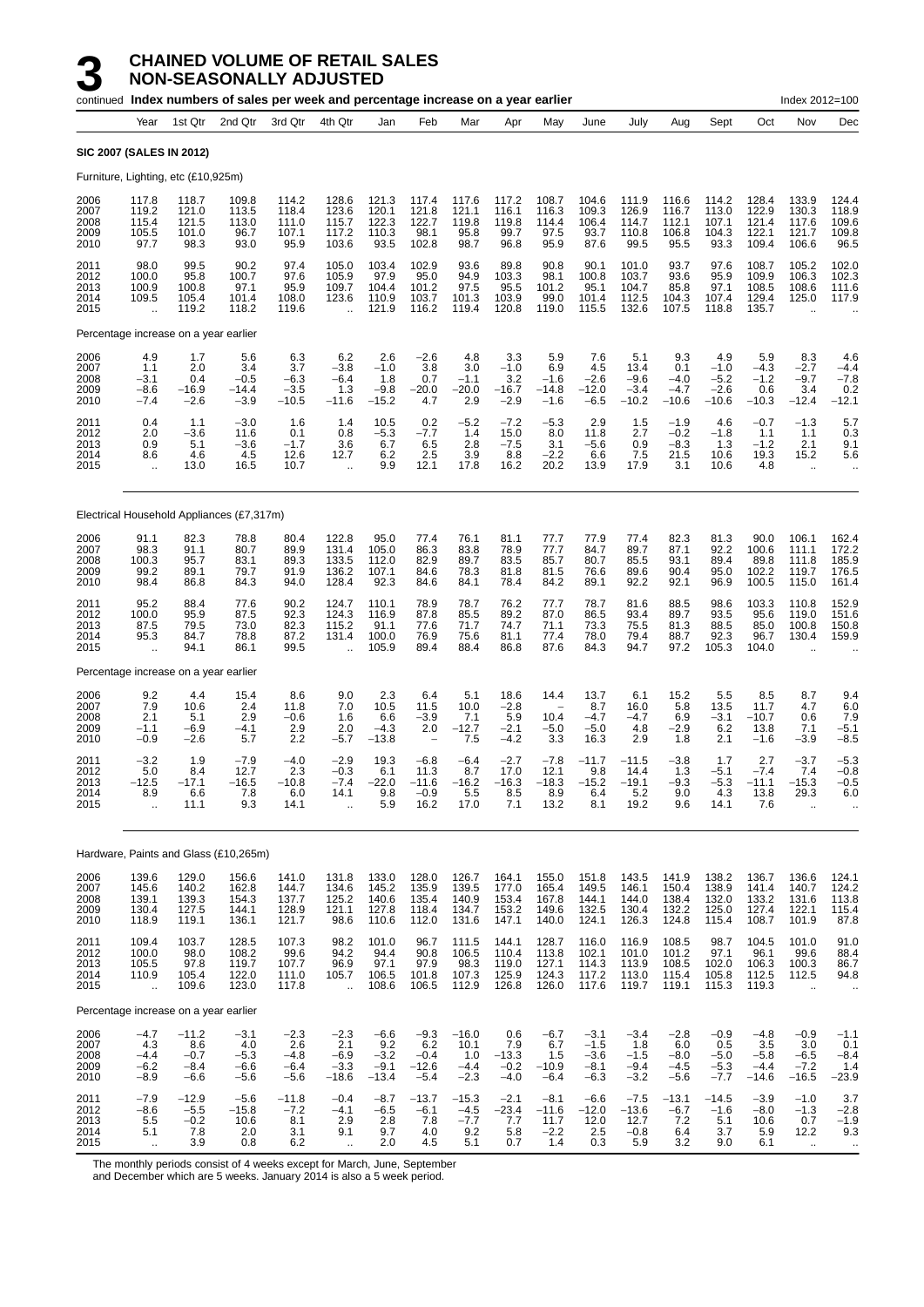|                                      |                                                    |                                              | continued Index numbers of sales per week and percentage increase on a year earlier |                                             |                                                            |                                              |                                                          |                                            |                                           |                                            |                                                |                                             |                                             |                                              |                                              | Index 2012=100                                           |                                           |
|--------------------------------------|----------------------------------------------------|----------------------------------------------|-------------------------------------------------------------------------------------|---------------------------------------------|------------------------------------------------------------|----------------------------------------------|----------------------------------------------------------|--------------------------------------------|-------------------------------------------|--------------------------------------------|------------------------------------------------|---------------------------------------------|---------------------------------------------|----------------------------------------------|----------------------------------------------|----------------------------------------------------------|-------------------------------------------|
|                                      | Year                                               | 1st Qtr                                      | 2nd Qtr                                                                             | 3rd Qtr                                     | 4th Qtr                                                    | Jan                                          | Feb                                                      | Mar                                        | Apr                                       | May                                        | June                                           | July                                        | Aug                                         | Sept                                         | Oct                                          | Nov                                                      | Dec                                       |
| <b>SIC 2007 (SALES IN 2012)</b>      |                                                    |                                              |                                                                                     |                                             |                                                            |                                              |                                                          |                                            |                                           |                                            |                                                |                                             |                                             |                                              |                                              |                                                          |                                           |
|                                      |                                                    | Furniture, Lighting, etc (£10,925m)          |                                                                                     |                                             |                                                            |                                              |                                                          |                                            |                                           |                                            |                                                |                                             |                                             |                                              |                                              |                                                          |                                           |
| 2006<br>2007<br>2008<br>2009<br>2010 | 117.8<br>119.2<br>115.4<br>105.5<br>97.7           | 118.7<br>121.0<br>121.5<br>101.0<br>98.3     | 109.8<br>113.5<br>113.0<br>96.7<br>93.0                                             | 114.2<br>118.4<br>111.0<br>107.1<br>95.9    | 128.6<br>123.6<br>115.7<br>117.2<br>103.6                  | 121.3<br>120.1<br>122.3<br>110.3<br>93.5     | 117.4<br>121.8<br>122.7<br>98.1<br>102.8                 | 117.6<br>121.1<br>119.8<br>95.8<br>98.7    | 117.2<br>116.1<br>119.8<br>99.7<br>96.8   | 108.7<br>116.3<br>114.4<br>97.5<br>95.9    | 104.6<br>109.3<br>106.4<br>93.7<br>87.6        | 111.9<br>126.9<br>114.7<br>110.8<br>99.5    | 116.6<br>116.7<br>112.1<br>106.8<br>95.5    | 114.2<br>113.0<br>107.1<br>104.3<br>93.3     | 128.4<br>122.9<br>121.4<br>122.1<br>109.4    | 133.9<br>130.3<br>117.6<br>121.7<br>106.6                | 124.4<br>118.9<br>109.6<br>109.8<br>96.5  |
| 2011<br>2012<br>2013<br>2014<br>2015 | 98.0<br>100.0<br>100.9<br>109.5<br>.,              | 99.5<br>95.8<br>100.8<br>105.4<br>119.2      | 90.2<br>100.7<br>97.1<br>101.4<br>118.2                                             | 97.4<br>97.6<br>95.9<br>108.0<br>119.6      | 105.0<br>105.9<br>109.7<br>123.6<br>$\ddot{\phantom{a}}$   | 103.4<br>97.9<br>104.4<br>110.9<br>121.9     | 102.9<br>95.0<br>101.2<br>103.7<br>116.2                 | 93.6<br>94.9<br>97.5<br>101.3<br>119.4     | 89.8<br>103.3<br>95.5<br>103.9<br>120.8   | 90.8<br>98.1<br>101.2<br>99.0<br>119.0     | 90.1<br>100.8<br>95.1<br>101.4<br>115.5        | 101.0<br>103.7<br>104.7<br>112.5<br>132.6   | 93.7<br>93.6<br>85.8<br>104.3<br>107.5      | 97.6<br>95.9<br>97.1<br>107.4<br>118.8       | 108.7<br>109.9<br>108.5<br>129.4<br>135.7    | 105.2<br>106.3<br>108.6<br>125.0<br>$\ddot{\phantom{a}}$ | 102.0<br>102.3<br>111.6<br>117.9          |
|                                      |                                                    | Percentage increase on a year earlier        |                                                                                     |                                             |                                                            |                                              |                                                          |                                            |                                           |                                            |                                                |                                             |                                             |                                              |                                              |                                                          |                                           |
| 2006<br>2007<br>2008<br>2009<br>2010 | 4.9<br>1.1<br>$-3.1$<br>$-8.6$<br>$-7.4$           | 1.7<br>2.0<br>0.4<br>$-16.9$<br>$-2.6$       | 5.6<br>3.4<br>$-0.5$<br>$-14.4$<br>$-3.9$                                           | 6.3<br>3.7<br>$-6.3$<br>$-3.5$<br>$-10.5$   | 6.2<br>$-3.8$<br>$-6.4$<br>1.3<br>$-11.6$                  | 2.6<br>$-1.0$<br>1.8<br>$-9.8$<br>$-15.2$    | $-2.6$<br>3.8<br>0.7<br>$-20.0$<br>4.7                   | 4.8<br>3.0<br>$-1.1$<br>$-20.0$<br>2.9     | 3.3<br>$-1.0$<br>3.2<br>$-16.7$<br>$-2.9$ | 5.9<br>6.9<br>$-1.6$<br>$-14.8$<br>$-1.6$  | 7.6<br>4.5<br>$-2.6$<br>$-12.0$<br>$-6.5$      | 5.1<br>13.4<br>$-9.6$<br>$-3.4$<br>$-10.2$  | 9.3<br>0.1<br>$-4.0$<br>$-4.7$<br>$-10.6$   | 4.9<br>$-1.0$<br>$-5.2$<br>$-2.6$<br>$-10.6$ | 5.9<br>$-4.3$<br>$-1.2$<br>0.6<br>$-10.3$    | 8.3<br>$-2.7$<br>$-9.7$<br>3.4<br>$-12.4$                | 4.6<br>$-4.4$<br>$-7.8$<br>0.2<br>$-12.1$ |
| 2011<br>2012<br>2013<br>2014<br>2015 | 0.4<br>2.0<br>0.9<br>8.6<br>ă,                     | 1.1<br>$-3.6$<br>5.1<br>4.6<br>13.0          | $-3.0$<br>11.6<br>$-3.6$<br>4.5<br>16.5                                             | 1.6<br>0.1<br>$-1.7$<br>12.6<br>10.7        | 1.4<br>0.8<br>3.6<br>12.7<br>$\ddot{\phantom{a}}$          | 10.5<br>$-5.3$<br>6.7<br>6.2<br>9.9          | 0.2<br>$-7.7$<br>6.5<br>2.5<br>12.1                      | $-5.2$<br>1.4<br>2.8<br>3.9<br>17.8        | $-7.2$<br>15.0<br>$-7.5$<br>8.8<br>16.2   | $-5.3$<br>8.0<br>3.1<br>$-2.2$<br>20.2     | 2.9<br>11.8<br>$-5.6$<br>6.6<br>13.9           | 1.5<br>2.7<br>0.9<br>7.5<br>17.9            | $-1.9$<br>$-0.2$<br>-8.3<br>21.5<br>3.1     | 4.6<br>$-1.8$<br>1.3<br>10.6<br>10.6         | $-0.7$<br>1.1<br>$-1.2$<br>19.3<br>4.8       | $-1.3$<br>1.1<br>2.1<br>15.2<br>$\ddot{\phantom{a}}$     | 5.7<br>0.3<br>9.1<br>5.6                  |
|                                      |                                                    |                                              | Electrical Household Appliances (£7,317m)                                           |                                             |                                                            |                                              |                                                          |                                            |                                           |                                            |                                                |                                             |                                             |                                              |                                              |                                                          |                                           |
| 2006<br>2007<br>2008<br>2009<br>2010 | 91.1<br>98.3<br>100.3<br>99.2<br>98.4              | 82.3<br>91.1<br>95.7<br>89.1<br>86.8         | 78.8<br>80.7<br>83.1<br>79.7<br>84.3                                                | 80.4<br>89.9<br>89.3<br>91.9<br>94.0        | 122.8<br>131.4<br>133.5<br>136.2<br>128.4                  | 95.0<br>105.0<br>112.0<br>107.1<br>92.3      | 77.4<br>86.3<br>82.9<br>84.6<br>84.6                     | 76.1<br>83.8<br>89.7<br>78.3<br>84.1       | 81.1<br>78.9<br>83.5<br>81.8<br>78.4      | 77.7<br>77.7<br>85.7<br>81.5<br>84.2       | 77.9<br>84.7<br>80.7<br>76.6<br>89.1           | 77.4<br>89.7<br>85.5<br>89.6<br>92.2        | 82.3<br>87.1<br>93.1<br>90.4<br>92.1        | 81.3<br>92.2<br>89.4<br>95.0<br>96.9         | 90.0<br>100.6<br>89.8<br>102.2<br>100.5      | 106.1<br>111.1<br>111.8<br>119.7<br>115.0                | 162.4<br>172.2<br>185.9<br>176.5<br>161.4 |
| 2011<br>2012<br>2013<br>2014<br>2015 | 95.2<br>100.0<br>87.5<br>95.3<br>$\ddotsc$         | 88.4<br>95.9<br>79.5<br>84.7<br>94.1         | 77.6<br>87.5<br>73.0<br>78.8<br>86.1                                                | 90.2<br>92.3<br>82.3<br>87.2<br>99.5        | 124.7<br>124.3<br>115.2<br>131.4                           | 110.1<br>116.9<br>91.1<br>100.0<br>105.9     | 78.9<br>87.8<br>77.6<br>76.9<br>89.4                     | 78.7<br>85.5<br>71.7<br>75.6<br>88.4       | 76.2<br>89.2<br>74.7<br>81.1<br>86.8      | 77.7<br>87.0<br>71.1<br>77.4<br>87.6       | 78.7<br>86.5<br>73.3<br>78.0<br>84.3           | 81.6<br>93.4<br>75.5<br>79.4<br>94.7        | 88.5<br>89.7<br>81.3<br>88.7<br>97.2        | 98.6<br>93.5<br>88.5<br>92.3<br>105.3        | 103.3<br>95.6<br>85.0<br>96.7<br>104.0       | 110.8<br>119.0<br>100.8<br>130.4                         | 152.9<br>151.6<br>150.8<br>159.9          |
|                                      |                                                    | Percentage increase on a year earlier        |                                                                                     |                                             |                                                            |                                              |                                                          |                                            |                                           |                                            |                                                |                                             |                                             |                                              |                                              |                                                          |                                           |
| 2006<br>2007<br>2008<br>2009<br>2010 | 9.2<br>7.9<br>2.1<br>$-1.1$<br>$-0.9$              | 4.4<br>10.6<br>5.1<br>$-6.9$<br>$-2.6$       | 15.4<br>2.4<br>2.9<br>$-4.1$<br>5.7                                                 | 8.6<br>11.8<br>$-0.6$<br>2.9<br>2.2         | 9.0<br>7.0<br>1.6<br>2.0<br>$-5.7$                         | 2.3<br>10.5<br>6.6<br>$-4.3$<br>$-13.8$      | 6.4<br>11.5<br>$-3.9$<br>2.0<br>$\overline{\phantom{a}}$ | 5.1<br>10.0<br>7.1<br>$-12.7$<br>7.5       | 18.6<br>$-2.8$<br>5.9<br>$-2.1$<br>$-4.2$ | 14.4<br>10.4<br>$-5.0$<br>3.3              | 13.7<br>8.7<br>$-4.7$<br>$-5.0$<br>16.3        | 6.1<br>16.0<br>-4.7<br>4.8<br>2.9           | 15.2<br>5.8<br>6.9<br>$-2.9$<br>1.8         | 5.5<br>13.5<br>$-3.1$<br>6.2<br>2.1          | 8.5<br>11.7<br>$-10.7$<br>13.8<br>$-1.6$     | 8.7<br>4.7<br>0.6<br>7.1<br>$-3.9$                       | 9.4<br>6.0<br>7.9<br>$-5.1$<br>$-8.5$     |
| 2011<br>2012<br>2013<br>2014<br>2015 | $-3.2$<br>5.0<br>-12.5<br>8.9<br>$\ddotsc$         | 1.9<br>8.4<br>$-17.1$<br>6.6<br>11.1         | $-7.9$<br>12.7<br>$-16.5$<br>7.8<br>9.3                                             | $-4.0$<br>2.3<br>$-10.8$<br>6.0<br>14.1     | $-2.9$<br>$-0.3$<br>$-7.4$<br>14.1<br>$\ddot{\phantom{a}}$ | 19.3<br>6.1<br>$-22.0$<br>9.8<br>5.9         | $-6.8$<br>11.3<br>$-11.6$<br>$-0.9$<br>16.2              | $-6.4$<br>8.7<br>$-16.2$<br>5.5<br>17.0    | $-2.7$<br>17.0<br>$-16.3$<br>8.5<br>7.1   | $-7.8$<br>12.1<br>$-18.3$<br>8.9<br>13.2   | $-11.7$<br>9.8<br>$-15.2$<br>6.4<br>8.1        | $-11.5$<br>14.4<br>$-19.1$<br>5.2<br>19.2   | $-3.8$<br>1.3<br>$-9.3$<br>9.0<br>9.6       | 1.7<br>$-5.1$<br>$-5.3$<br>4.3<br>14.1       | 2.7<br>$-7.4$<br>$-11.1$<br>13.8<br>7.6      | $-3.7$<br>7.4<br>$-15.3$<br>29.3<br>$\ddot{\phantom{a}}$ | $-5.3$<br>$-0.8$<br>$-0.5$<br>6.0         |
|                                      |                                                    |                                              | Hardware, Paints and Glass (£10,265m)                                               |                                             |                                                            |                                              |                                                          |                                            |                                           |                                            |                                                |                                             |                                             |                                              |                                              |                                                          |                                           |
| 2006<br>2007<br>2008<br>2009<br>2010 | 139.6<br>145.6<br>139.1<br>130.4<br>118.9          | 129.0<br>140.2<br>139.3<br>127.5<br>119.1    | 156.6<br>162.8<br>154.3<br>144.1<br>136.1                                           | 141.0<br>144.7<br>137.7<br>128.9<br>121.7   | 131.8<br>134.6<br>125.2<br>121.1<br>98.6                   | 133.0<br>145.2<br>140.6<br>127.8<br>110.6    | 128.0<br>135.9<br>135.4<br>118.4<br>112.0                | 126.7<br>139.5<br>140.9<br>134.7<br>131.6  | 164.1<br>177.0<br>153.4<br>153.2<br>147.1 | 155.0<br>165.4<br>167.8<br>149.6<br>140.0  | 151.8<br>149.5<br>144.1<br>132.5<br>124.1      | 143.5<br>146.1<br>144.0<br>130.4<br>126.3   | 141.9<br>150.4<br>138.4<br>132.2<br>124.8   | 138.2<br>138.9<br>132.0<br>125.0<br>115.4    | 136.7<br>141.4<br>133.2<br>127.4<br>108.7    | 136.6<br>140.7<br>131.6<br>122.1<br>101.9                | 124.1<br>124.2<br>113.8<br>115.4<br>87.8  |
| 2011<br>2012<br>2013<br>2014<br>2015 | 109.4<br>100.0<br>105.5<br>110.9<br>ü.             | 103.7<br>98.0<br>97.8<br>105.4<br>109.6      | 128.5<br>108.2<br>119.7<br>122.0<br>123.0                                           | 107.3<br>99.6<br>107.7<br>111.0<br>117.8    | 98.2<br>94.2<br>96.9<br>105.7<br>$\ddotsc$                 | 101.0<br>94.4<br>97.1<br>106.5<br>108.6      | 96.7<br>90.8<br>97.9<br>101.8<br>106.5                   | 111.5<br>106.5<br>98.3<br>107.3<br>112.9   | 144.1<br>110.4<br>119.0<br>125.9<br>126.8 | 128.7<br>113.8<br>127.1<br>124.3<br>126.0  | 116.0<br>102.1<br>114.3<br>117.2<br>117.6      | 116.9<br>101.0<br>113.9<br>113.0<br>119.7   | 108.5<br>101.2<br>108.5<br>115.4<br>119.1   | 98.7<br>97.1<br>102.0<br>105.8<br>115.3      | 104.5<br>96.1<br>106.3<br>112.5<br>119.3     | 101.0<br>99.6<br>100.3<br>112.5<br>$\ddot{\phantom{a}}$  | 91.0<br>88.4<br>86.7<br>94.8<br>$\cdot$ . |
|                                      |                                                    | Percentage increase on a year earlier        |                                                                                     |                                             |                                                            |                                              |                                                          |                                            |                                           |                                            |                                                |                                             |                                             |                                              |                                              |                                                          |                                           |
| 2006<br>2007<br>2008<br>2009<br>2010 | $-4.7$<br>4.3<br>$-4.4$<br>$-6.2$<br>$-8.9$        | $-11.2$<br>8.6<br>$-0.7$<br>$-8.4$<br>$-6.6$ | $-3.1$<br>4.0<br>$-5.3$<br>$-6.6$<br>$-5.6$                                         | $-2.3$<br>2.6<br>$-4.8$<br>$-6.4$<br>$-5.6$ | $-2.3$<br>2.1<br>$-6.9$<br>$-3.3$<br>$-18.6$               | $-6.6$<br>9.2<br>$-3.2$<br>$-9.1$<br>$-13.4$ | $-9.3$<br>6.2<br>$-0.4$<br>-12.6<br>$-5.4$               | $-16.0$<br>10.1<br>1.0<br>$-4.4$<br>$-2.3$ | 0.6<br>7.9<br>$-13.3$<br>$-0.2$<br>$-4.0$ | $-6.7$<br>6.7<br>1.5<br>$-10.9$<br>$-6.4$  | $-3.1$<br>$-1.5$<br>$-3.6$<br>$-8.1$<br>$-6.3$ | $-3.4$<br>1.8<br>$-1.5$<br>$-9.4$<br>$-3.2$ | $-2.8$<br>6.0<br>$-8.0$<br>$-4.5$<br>$-5.6$ | $-0.9$<br>0.5<br>$-5.0$<br>$-5.3$<br>$-7.7$  | $-4.8$<br>3.5<br>$-5.8$<br>$-4.4$<br>$-14.6$ | $-0.9$<br>3.0<br>$-6.5$<br>$-7.2$<br>$-16.5$             | $-1.1$<br>0.1<br>$-8.4$<br>1.4<br>$-23.9$ |
| 2011<br>2012<br>2013<br>2014<br>2015 | $-7.9$<br>$-8.6$<br>$\frac{5.5}{5.1}$<br>$\bar{a}$ | $-12.9$<br>$-5.5$<br>$-0.2$<br>7.8<br>3.9    | $-5.6$<br>$-15.8$<br>10.6<br>2.0<br>0.8                                             | $-11.8$<br>$-7.2$<br>8.1<br>3.1<br>6.2      | $-0.4$<br>$-4.1$<br>2.9<br>9.1<br>à.                       | $-8.7$<br>$-6.5$<br>2.8<br>9.7<br>2.0        | $-13.7$<br>$-6.1$<br>7.8<br>4.0<br>4.5                   | $-15.3$<br>$-4.5$<br>$-7.7$<br>9.2<br>5.1  | $-2.1$<br>$-23.4$<br>7.7<br>5.8<br>0.7    | $-8.1$<br>$-11.6$<br>11.7<br>$-2.2$<br>1.4 | $-6.6$<br>$-12.0$<br>12.0<br>2.5<br>0.3        | $-7.5$<br>$-13.6$<br>12.7<br>$-0.8$<br>5.9  | $-13.1$<br>$-6.7$<br>7.2<br>6.4<br>3.2      | $-14.5$<br>$-1.6$<br>5.1<br>3.7<br>9.0       | $-3.9$<br>$-8.0$<br>10.6<br>5.9<br>6.1       | $-1.0$<br>$-1.3$<br>0.7<br>12.2<br>$\ddot{\phantom{1}}$  | 3.7<br>$-2.8$<br>$-1.9$<br>9.3<br>$\cdot$ |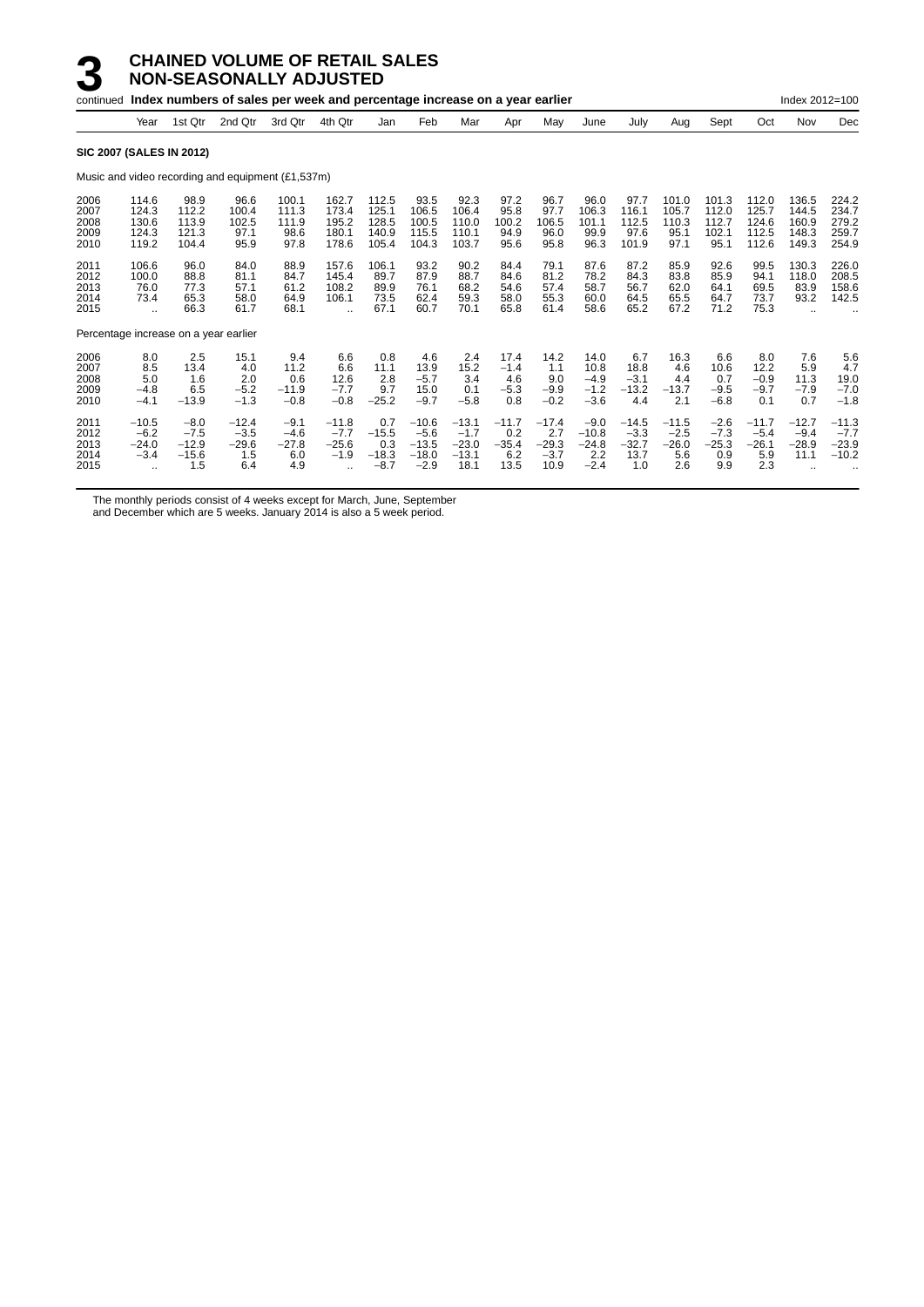|                                       |                                                        |                                               | continued Index numbers of sales per week and percentage increase on a year earlier |                                           |                                                          |                                            |                                                   |                                                 |                                          |                                             |                                               |                                             |                                            |                                           |                                            | Index 2012=100                            |                                           |
|---------------------------------------|--------------------------------------------------------|-----------------------------------------------|-------------------------------------------------------------------------------------|-------------------------------------------|----------------------------------------------------------|--------------------------------------------|---------------------------------------------------|-------------------------------------------------|------------------------------------------|---------------------------------------------|-----------------------------------------------|---------------------------------------------|--------------------------------------------|-------------------------------------------|--------------------------------------------|-------------------------------------------|-------------------------------------------|
|                                       | Year                                                   | 1st Qtr                                       | 2nd Qtr                                                                             | 3rd Qtr                                   | 4th Qtr                                                  | Jan                                        | Feb                                               | Mar                                             | Apr                                      | May                                         | June                                          | July                                        | Aug                                        | Sept                                      | Oct                                        | Nov                                       | Dec                                       |
| <b>SIC 2007 (SALES IN 2012)</b>       |                                                        |                                               |                                                                                     |                                           |                                                          |                                            |                                                   |                                                 |                                          |                                             |                                               |                                             |                                            |                                           |                                            |                                           |                                           |
|                                       |                                                        |                                               | Music and video recording and equipment (£1,537m)                                   |                                           |                                                          |                                            |                                                   |                                                 |                                          |                                             |                                               |                                             |                                            |                                           |                                            |                                           |                                           |
| 2006<br>2007<br>2008<br>2009<br>2010  | 114.6<br>124.3<br>130.6<br>124.3<br>119.2              | 98.9<br>112.2<br>113.9<br>121.3<br>104.4      | 96.6<br>100.4<br>102.5<br>97.1<br>95.9                                              | 100.1<br>111.3<br>111.9<br>98.6<br>97.8   | 162.7<br>173.4<br>195.2<br>180.1<br>178.6                | 112.5<br>125.1<br>128.5<br>140.9<br>105.4  | 93.5<br>106.5<br>100.5<br>115.5<br>104.3          | 92.3<br>106.4<br>110.0<br>110.1<br>103.7        | 97.2<br>95.8<br>100.2<br>94.9<br>95.6    | 96.7<br>97.7<br>106.5<br>96.0<br>95.8       | 96.0<br>106.3<br>101.1<br>99.9<br>96.3        | 97.7<br>116.1<br>112.5<br>97.6<br>101.9     | 101.0<br>105.7<br>110.3<br>95.1<br>97.1    | 101.3<br>112.0<br>112.7<br>102.1<br>95.1  | 112.0<br>125.7<br>124.6<br>112.5<br>112.6  | 136.5<br>144.5<br>160.9<br>148.3<br>149.3 | 224.2<br>234.7<br>279.2<br>259.7<br>254.9 |
| 2011<br>2012<br>2013<br>2014<br>2015  | 106.6<br>100.0<br>76.0<br>73.4<br>$\ddot{\phantom{a}}$ | 96.0<br>88.8<br>77.3<br>65.3<br>66.3          | 84.0<br>81.1<br>57.1<br>58.0<br>61.7                                                | 88.9<br>84.7<br>61.2<br>64.9<br>68.1      | 157.6<br>145.4<br>108.2<br>106.1<br>$\ddot{\phantom{a}}$ | 106.1<br>89.7<br>89.9<br>73.5<br>67.1      | 93.2<br>87.9<br>76.1<br>62.4<br>60.7              | 90.2<br>88.7<br>68.2<br>59.3<br>70.1            | 84.4<br>84.6<br>54.6<br>58.0<br>65.8     | 79.1<br>81.2<br>57.4<br>55.3<br>61.4        | 87.6<br>78.2<br>58.7<br>60.0<br>58.6          | 87.2<br>84.3<br>56.7<br>64.5<br>65.2        | 85.9<br>83.8<br>62.0<br>65.5<br>67.2       | 92.6<br>85.9<br>64.1<br>64.7<br>71.2      | 99.5<br>94.1<br>69.5<br>73.7<br>75.3       | 130.3<br>118.0<br>83.9<br>93.2            | 226.0<br>208.5<br>158.6<br>142.5          |
| Percentage increase on a year earlier |                                                        |                                               |                                                                                     |                                           |                                                          |                                            |                                                   |                                                 |                                          |                                             |                                               |                                             |                                            |                                           |                                            |                                           |                                           |
| 2006<br>2007<br>2008<br>2009<br>2010  | 8.0<br>8.5<br>5.0<br>$-4.8$<br>$-4.1$                  | 2.5<br>13.4<br>1.6<br>6.5<br>$-13.9$          | 15.1<br>4.0<br>2.0<br>$-5.2$<br>$-1.3$                                              | 9.4<br>11.2<br>0.6<br>$-11.9$<br>$-0.8$   | 6.6<br>6.6<br>12.6<br>$-7.7$<br>$-0.8$                   | 0.8<br>11.1<br>2.8<br>9.7<br>$-25.2$       | 4.6<br>13.9<br>$-5.7$<br>15.0<br>$-9.7$           | 2.4<br>15.2<br>3.4<br>0.1<br>$-5.8$             | 17.4<br>$-1.4$<br>4.6<br>$-5.3$<br>0.8   | 14.2<br>1.1<br>9.0<br>$-9.9$<br>$-0.2$      | 14.0<br>10.8<br>$-4.9$<br>$-1.2$<br>$-3.6$    | 6.7<br>18.8<br>$-3.1$<br>$-13.2$<br>4.4     | 16.3<br>4.6<br>4.4<br>$-13.7$<br>2.1       | 6.6<br>10.6<br>0.7<br>$-9.5$<br>$-6.8$    | 8.0<br>12.2<br>$-0.9$<br>$-9.7$<br>0.1     | 7.6<br>5.9<br>11.3<br>$-7.9$<br>0.7       | 5.6<br>4.7<br>19.0<br>$-7.0$<br>$-1.8$    |
| 2011<br>2012<br>2013<br>2014<br>2015  | $-10.5$<br>$-6.2$<br>$-24.0$<br>$-3.4$<br>$\ddotsc$    | $-8.0$<br>$-7.5$<br>$-12.9$<br>$-15.6$<br>1.5 | $-12.4$<br>$-3.5$<br>$-29.6$<br>1.5<br>6.4                                          | $-9.1$<br>$-4.6$<br>$-27.8$<br>6.0<br>4.9 | $-11.8$<br>$-7.7$<br>$-25.6$<br>$-1.9$<br>$\ddotsc$      | 0.7<br>$-15.5$<br>0.3<br>$-18.3$<br>$-8.7$ | $-10.6$<br>$-5.6$<br>$-13.5$<br>$-18.0$<br>$-2.9$ | $-13.1$<br>$-1.7$<br>$-23.0$<br>$-13.1$<br>18.1 | $-11.7$<br>0.2<br>$-35.4$<br>6.2<br>13.5 | $-17.4$<br>2.7<br>$-29.3$<br>$-3.7$<br>10.9 | $-9.0$<br>$-10.8$<br>$-24.8$<br>2.2<br>$-2.4$ | $-14.5$<br>$-3.3$<br>$-32.7$<br>13.7<br>1.0 | $-11.5$<br>$-2.5$<br>$-26.0$<br>5.6<br>2.6 | $-2.6$<br>$-7.3$<br>$-25.3$<br>0.9<br>9.9 | $-11.7$<br>$-5.4$<br>$-26.1$<br>5.9<br>2.3 | $-12.7$<br>$-9.4$<br>$-28.9$<br>11.1      | $-11.3$<br>$-7.7$<br>$-23.9$<br>$-10.2$   |

The monthly periods consist of 4 weeks except for March, June, September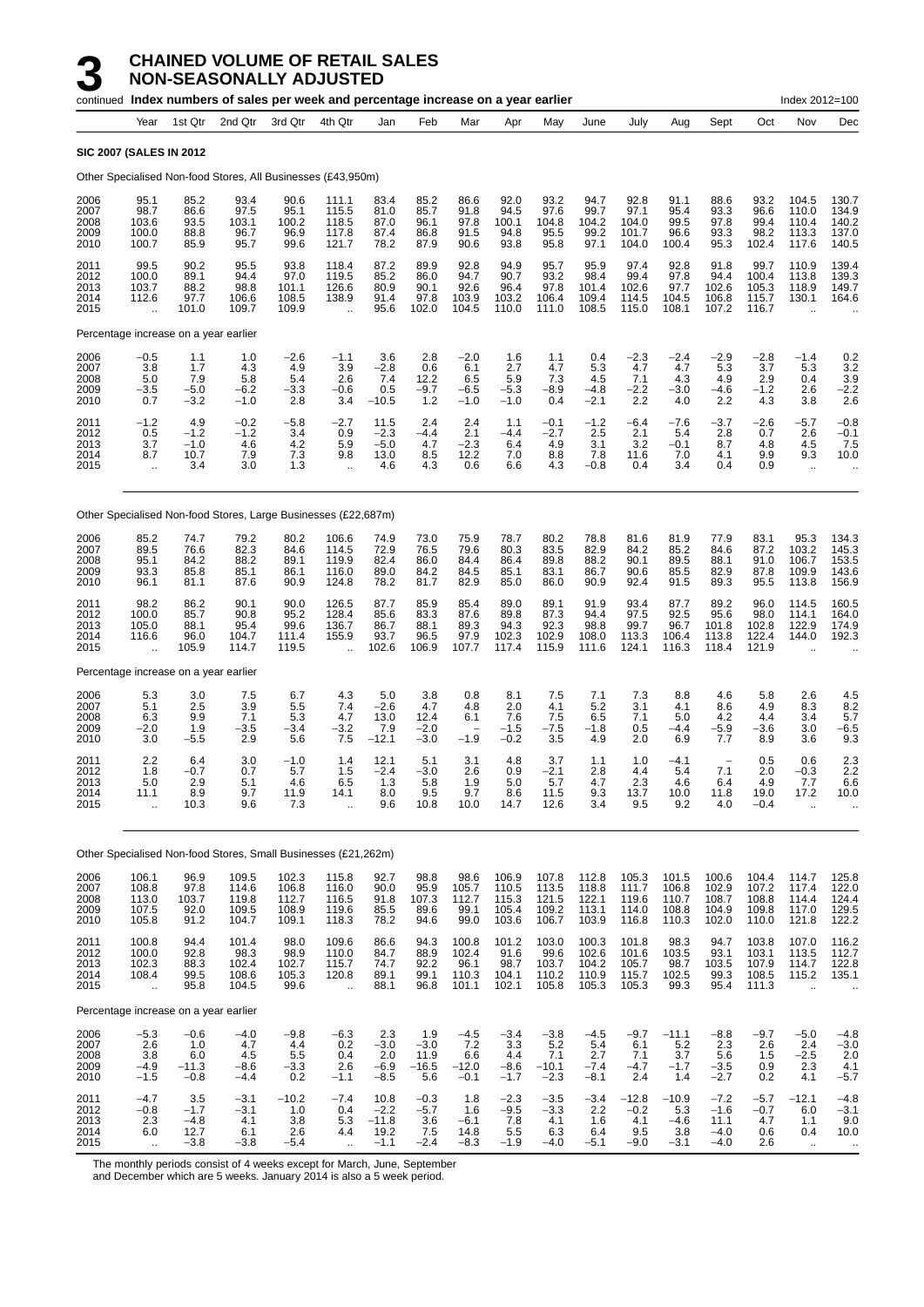|                                      |                                                         |                                           | continued Index numbers of sales per week and percentage increase on a year earlier |                                           |                                                          |                                             |                                          |                                           |                                           |                                           |                                           |                                           |                                           |                                                       |                                           | Index 2012=100                                           |                                                         |
|--------------------------------------|---------------------------------------------------------|-------------------------------------------|-------------------------------------------------------------------------------------|-------------------------------------------|----------------------------------------------------------|---------------------------------------------|------------------------------------------|-------------------------------------------|-------------------------------------------|-------------------------------------------|-------------------------------------------|-------------------------------------------|-------------------------------------------|-------------------------------------------------------|-------------------------------------------|----------------------------------------------------------|---------------------------------------------------------|
|                                      | Year                                                    | 1st Qtr                                   | 2nd Qtr                                                                             | 3rd Qtr                                   | 4th Qtr                                                  | Jan                                         | Feb                                      | Mar                                       | Apr                                       | May                                       | June                                      | July                                      | Aug                                       | Sept                                                  | Oct                                       | Nov                                                      | Dec                                                     |
|                                      | <b>SIC 2007 (SALES IN 2012</b>                          |                                           |                                                                                     |                                           |                                                          |                                             |                                          |                                           |                                           |                                           |                                           |                                           |                                           |                                                       |                                           |                                                          |                                                         |
|                                      |                                                         |                                           | Other Specialised Non-food Stores, All Businesses (£43,950m)                        |                                           |                                                          |                                             |                                          |                                           |                                           |                                           |                                           |                                           |                                           |                                                       |                                           |                                                          |                                                         |
| 2006<br>2007<br>2008<br>2009<br>2010 | 95.1<br>98.7<br>103.6<br>100.0<br>100.7                 | 85.2<br>86.6<br>93.5<br>88.8<br>85.9      | 93.4<br>97.5<br>103.1<br>96.7<br>95.7                                               | 90.6<br>95.1<br>100.2<br>96.9<br>99.6     | 111.1<br>115.5<br>118.5<br>117.8<br>121.7                | 83.4<br>81.0<br>87.0<br>87.4<br>78.2        | 85.2<br>85.7<br>96.1<br>86.8<br>87.9     | 86.6<br>91.8<br>97.8<br>91.5<br>90.6      | 92.0<br>94.5<br>100.1<br>94.8<br>93.8     | 93.2<br>97.6<br>104.8<br>95.5<br>95.8     | 94.7<br>99.7<br>104.2<br>99.2<br>97.1     | 92.8<br>97.1<br>104.0<br>101.7<br>104.0   | 91.1<br>95.4<br>99.5<br>96.6<br>100.4     | 88.6<br>93.3<br>97.8<br>93.3<br>95.3                  | 93.2<br>96.6<br>99.4<br>98.2<br>102.4     | 104.5<br>110.0<br>110.4<br>113.3<br>117.6                | 130.7<br>134.9<br>140.2<br>137.0<br>140.5               |
| 2011<br>2012<br>2013<br>2014<br>2015 | 99.5<br>100.0<br>103.7<br>112.6<br>$\ddotsc$            | 90.2<br>89.1<br>88.2<br>97.7<br>101.0     | 95.5<br>94.4<br>98.8<br>106.6<br>109.7                                              | 93.8<br>97.0<br>101.1<br>108.5<br>109.9   | 118.4<br>119.5<br>126.6<br>138.9<br>$\ddot{\phantom{a}}$ | 87.2<br>85.2<br>80.9<br>91.4<br>95.6        | 89.9<br>86.0<br>90.1<br>97.8<br>102.0    | 92.8<br>94.7<br>92.6<br>103.9<br>104.5    | 94.9<br>90.7<br>96.4<br>103.2<br>110.0    | 95.7<br>93.2<br>97.8<br>106.4<br>111.0    | 95.9<br>98.4<br>101.4<br>109.4<br>108.5   | 97.4<br>99.4<br>102.6<br>114.5<br>115.0   | 92.8<br>97.8<br>97.7<br>104.5<br>108.1    | 91.8<br>94.4<br>102.6<br>106.8<br>107.2               | 99.7<br>100.4<br>105.3<br>115.7<br>116.7  | 110.9<br>113.8<br>118.9<br>130.1<br>$\ddot{\phantom{a}}$ | 139.4<br>139.3<br>149.7<br>164.6                        |
|                                      |                                                         | Percentage increase on a year earlier     |                                                                                     |                                           |                                                          |                                             |                                          |                                           |                                           |                                           |                                           |                                           |                                           |                                                       |                                           |                                                          |                                                         |
| 2006<br>2007<br>2008<br>2009<br>2010 | $-0.5$<br>3.8<br>5.0<br>$-3.5$<br>0.7                   | 1.1<br>1.7<br>7.9<br>$-5.0$<br>$-3.2$     | 1.0<br>4.3<br>5.8<br>$-6.2$<br>$-1.0$                                               | $-2.6$<br>4.9<br>5.4<br>$-3.3$<br>2.8     | $-1.1$<br>3.9<br>2.6<br>$-0.6$<br>3.4                    | 3.6<br>$-2.8$<br>7.4<br>0.5<br>$-10.5$      | 2.8<br>0.6<br>12.2<br>$-9.7$<br>1.2      | $-2.0$<br>6.1<br>6.5<br>$-6.5$<br>$-1.0$  | 1.6<br>2.7<br>5.9<br>$-5.3$<br>$-1.0$     | 1.1<br>4.7<br>7.3<br>$-8.9$<br>0.4        | 0.4<br>5.3<br>4.5<br>$-4.8$<br>$-2.1$     | $-2.3$<br>4.7<br>7.1<br>$-2.2$<br>2.2     | $-2.4$<br>4.7<br>4.3<br>$-3.0$<br>4.0     | $-2.9$<br>5.3<br>4.9<br>$-4.6$<br>2.2                 | $-2.8$<br>3.7<br>2.9<br>$-1.2$<br>4.3     | $-1.4$<br>5.3<br>0.4<br>2.6<br>3.8                       | 0.2<br>3.2<br>3.9<br>$-2.2$<br>2.6                      |
| 2011<br>2012<br>2013<br>2014<br>2015 | $-1.2$<br>0.5<br>3.7<br>8.7<br>$\ddot{\phantom{1}}$     | 4.9<br>$-1.2$<br>$-1.0$<br>10.7<br>3.4    | $-0.2$<br>$-1.2$<br>4.6<br>7.9<br>3.0                                               | $-5.8$<br>3.4<br>4.2<br>7.3<br>1.3        | $-2.7$<br>0.9<br>5.9<br>9.8<br>$\ddot{\phantom{a}}$      | 11.5<br>$-2.3$<br>$-5.0$<br>13.0<br>4.6     | 2.4<br>$-4.4$<br>4.7<br>8.5<br>4.3       | 2.4<br>2.1<br>$-2.3$<br>12.2<br>0.6       | 1.1<br>-4.4<br>6.4<br>7.0<br>6.6          | $-0.1$<br>$-2.7$<br>4.9<br>8.8<br>4.3     | $-1.2$<br>2.5<br>3.1<br>7.8<br>$-0.8$     | $-6.4$<br>2.1<br>3.2<br>11.6<br>0.4       | $-7.6$<br>5.4<br>$-0.1$<br>7.0<br>3.4     | $-3.7$<br>2.8<br>8.7<br>4.1<br>0.4                    | $-2.6$<br>0.7<br>4.8<br>9.9<br>0.9        | -5.7<br>2.6<br>4.5<br>9.3<br>$\bar{\mathbf{r}}$          | $-0.8$<br>$-0.1$<br>7.5<br>10.0<br>$\ddot{\phantom{1}}$ |
|                                      |                                                         |                                           | Other Specialised Non-food Stores, Large Businesses (£22,687m)                      |                                           |                                                          |                                             |                                          |                                           |                                           |                                           |                                           |                                           |                                           |                                                       |                                           |                                                          |                                                         |
| 2006<br>2007<br>2008<br>2009<br>2010 | 85.2<br>89.5<br>95.1<br>93.3<br>96.1                    | 74.7<br>76.6<br>84.2<br>85.8<br>81.1      | 79.2<br>82.3<br>88.2<br>85.1<br>87.6                                                | 80.2<br>84.6<br>89.1<br>86.1<br>90.9      | 106.6<br>114.5<br>119.9<br>116.0<br>124.8                | 74.9<br>72.9<br>82.4<br>89.0<br>78.2        | 73.0<br>76.5<br>86.0<br>84.2<br>81.7     | 75.9<br>79.6<br>84.4<br>84.5<br>82.9      | 78.7<br>80.3<br>86.4<br>85.1<br>85.0      | 80.2<br>83.5<br>89.8<br>83.1<br>86.0      | 78.8<br>82.9<br>88.2<br>86.7<br>90.9      | 81.6<br>84.2<br>90.1<br>90.6<br>92.4      | 81.9<br>85.2<br>89.5<br>85.5<br>91.5      | 77.9<br>84.6<br>88.1<br>82.9<br>89.3                  | 83.1<br>87.2<br>91.0<br>87.8<br>95.5      | 95.3<br>103.2<br>106.7<br>109.9<br>113.8                 | 134.3<br>145.3<br>153.5<br>143.6<br>156.9               |
| 2011<br>2012<br>2013<br>2014<br>2015 | 98.2<br>100.0<br>105.0<br>116.6<br>$\ddot{\phantom{a}}$ | 86.2<br>85.7<br>88.1<br>96.0<br>105.9     | 90.1<br>90.8<br>95.4<br>104.7<br>114.7                                              | 90.0<br>95.2<br>99.6<br>111.4<br>119.5    | 126.5<br>128.4<br>136.7<br>155.9<br>$\ddot{\phantom{a}}$ | 87.7<br>85.6<br>86.7<br>93.7<br>102.6       | 85.9<br>83.3<br>88.1<br>96.5<br>106.9    | 85.4<br>87.6<br>89.3<br>97.9<br>107.7     | 89.0<br>89.8<br>94.3<br>102.3<br>117.4    | 89.1<br>87.3<br>92.3<br>102.9<br>115.9    | 91.9<br>94.4<br>98.8<br>108.0<br>111.6    | 93.4<br>97.5<br>99.7<br>113.3<br>124.1    | 87.7<br>92.5<br>96.7<br>106.4<br>116.3    | 89.2<br>95.6<br>101.8<br>113.8<br>118.4               | 96.0<br>98.0<br>102.8<br>122.4<br>121.9   | 114.5<br>114.1<br>122.9<br>144.0<br>$\ddot{\phantom{a}}$ | 160.5<br>164.0<br>174.9<br>192.3                        |
|                                      |                                                         | Percentage increase on a year earlier     |                                                                                     |                                           |                                                          |                                             |                                          |                                           |                                           |                                           |                                           |                                           |                                           |                                                       |                                           |                                                          |                                                         |
| 2006<br>2007<br>2008<br>2009<br>2010 | $\frac{5.3}{5.1}$<br>6.3<br>$-2.0$<br>3.0               | 3.0<br>2.5<br>9.9<br>1.9<br>$-5.5$        | 7.5<br>3.9<br>7.1<br>$-3.5$<br>2.9                                                  | 6.7<br>5.5<br>5.3<br>$-3.4$<br>5.6        | 4.3<br>7.4<br>4.7<br>$-3.2$<br>7.5                       | 5.0<br>$-2.6$<br>13.0<br>7.9<br>$-12.1$     | 3.8<br>4.7<br>12.4<br>$-2.0$<br>$-3.0$   | 0.8<br>4.8<br>6.1<br>$-1.9$               | 8.1<br>2.0<br>7.6<br>$-1.5$<br>$-0.2$     | 7.5<br>4.1<br>7.5<br>$-7.5$<br>3.5        | 7.1<br>5.2<br>6.5<br>$-1.8$<br>4.9        | 7.3<br>3.1<br>7.1<br>0.5<br>2.0           | 8.8<br>4.1<br>5.0<br>$-4.4$<br>6.9        | 4.6<br>8.6<br>4.2<br>$-5.9$<br>7.7                    | 5.8<br>4.9<br>4.4<br>$-3.6$<br>8.9        | 2.6<br>8.3<br>3.4<br>3.0<br>3.6                          | $\frac{4.5}{8.2}$<br>5.7<br>-6.5<br>9.3                 |
| 2011<br>2012<br>2013<br>2014<br>2015 | 2.2<br>1.8<br>5.0<br>11.1<br>$\ddot{\phantom{a}}$       | 6.4<br>$-0.7$<br>2.9<br>8.9<br>10.3       | 3.0<br>0.7<br>5.1<br>9.7<br>9.6                                                     | $-1.0$<br>5.7<br>4.6<br>11.9<br>7.3       | 1.4<br>1.5<br>6.5<br>14.1<br>$\ddot{\phantom{a}}$        | 12.1<br>$-2.4$<br>1.3<br>8.0<br>9.6         | 5.1<br>$-3.0$<br>5.8<br>9.5<br>10.8      | 3.1<br>2.6<br>1.9<br>9.7<br>10.0          | 4.8<br>0.9<br>5.0<br>8.6<br>14.7          | 3.7<br>$-2.1$<br>5.7<br>11.5<br>12.6      | 1.1<br>2.8<br>4.7<br>9.3<br>3.4           | 1.0<br>4.4<br>2.3<br>13.7<br>9.5          | $-4.1$<br>5.4<br>4.6<br>10.0<br>9.2       | $\overline{\phantom{0}}$<br>7.1<br>6.4<br>11.8<br>4.0 | 0.5<br>2.0<br>4.9<br>19.0<br>$-0.4$       | 0.6<br>$-0.3$<br>7.7<br>17.2<br>$\ddot{\phantom{a}}$     | 2.3<br>2.2<br>6.6<br>10.0                               |
|                                      |                                                         |                                           | Other Specialised Non-food Stores, Small Businesses (£21,262m)                      |                                           |                                                          |                                             |                                          |                                           |                                           |                                           |                                           |                                           |                                           |                                                       |                                           |                                                          |                                                         |
| 2006<br>2007<br>2008<br>2009<br>2010 | 106.1<br>108.8<br>113.0<br>107.5<br>105.8               | 96.9<br>97.8<br>103.7<br>92.0<br>91.2     | 109.5<br>114.6<br>119.8<br>109.5<br>104.7                                           | 102.3<br>106.8<br>112.7<br>108.9<br>109.1 | 115.8<br>116.0<br>116.5<br>119.6<br>118.3                | 92.7<br>90.0<br>91.8<br>85.5<br>78.2        | 98.8<br>95.9<br>107.3<br>89.6<br>94.6    | 98.6<br>105.7<br>112.7<br>99.1<br>99.0    | 106.9<br>110.5<br>115.3<br>105.4<br>103.6 | 107.8<br>113.5<br>121.5<br>109.2<br>106.7 | 112.8<br>118.8<br>122.1<br>113.1<br>103.9 | 105.3<br>111.7<br>119.6<br>114.0<br>116.8 | 101.5<br>106.8<br>110.7<br>108.8<br>110.3 | 100.6<br>102.9<br>108.7<br>104.9<br>102.0             | 104.4<br>107.2<br>108.8<br>109.8<br>110.0 | 114.7<br>117.4<br>114.4<br>117.0<br>121.8                | 125.8<br>122.0<br>124.4<br>129.5<br>122.2               |
| 2011<br>2012<br>2013<br>2014<br>2015 | 100.8<br>100.0<br>102.3<br>108.4<br>÷.                  | 94.4<br>92.8<br>88.3<br>99.5<br>95.8      | 101.4<br>98.3<br>102.4<br>108.6<br>104.5                                            | 98.0<br>98.9<br>102.7<br>105.3<br>99.6    | 109.6<br>110.0<br>115.7<br>120.8<br>÷.                   | 86.6<br>84.7<br>74.7<br>89.1<br>88.1        | 94.3<br>88.9<br>92.2<br>99.1<br>96.8     | 100.8<br>102.4<br>96.1<br>110.3<br>101.1  | 101.2<br>91.6<br>98.7<br>104.1<br>102.1   | 103.0<br>99.6<br>103.7<br>110.2<br>105.8  | 100.3<br>102.6<br>104.2<br>110.9<br>105.3 | 101.8<br>101.6<br>105.7<br>115.7<br>105.3 | 98.3<br>103.5<br>98.7<br>102.5<br>99.3    | 94.7<br>93.1<br>103.5<br>99.3<br>95.4                 | 103.8<br>103.1<br>107.9<br>108.5<br>111.3 | 107.0<br>113.5<br>114.7<br>115.2<br>$\ddot{\phantom{a}}$ | 116.2<br>112.7<br>122.8<br>135.1                        |
|                                      |                                                         | Percentage increase on a year earlier     |                                                                                     |                                           |                                                          |                                             |                                          |                                           |                                           |                                           |                                           |                                           |                                           |                                                       |                                           |                                                          |                                                         |
| 2006<br>2007<br>2008<br>2009<br>2010 | $-5.3$<br>2.6<br>$3.8\,$<br>$-4.9$<br>$-1.5$            | $-0.6$<br>1.0<br>6.0<br>$-11.3$<br>$-0.8$ | $-4.0$<br>4.7<br>4.5<br>$-8.6$<br>$-4.4$                                            | $-9.8$<br>4.4<br>$5.5\,$<br>$-3.3$<br>0.2 | $-6.3$<br>0.2<br>0.4<br>2.6<br>$-1.1$                    | 2.3<br>$-3.0$<br>2.0<br>$-6.9$<br>$-8.5$    | 1.9<br>$-3.0$<br>11.9<br>$-16.5$<br>5.6  | $-4.5$<br>7.2<br>6.6<br>$-12.0$<br>$-0.1$ | $-3.4$<br>3.3<br>4.4<br>$-8.6$<br>$-1.7$  | $-3.8$<br>5.2<br>7.1<br>$-10.1$<br>$-2.3$ | $-4.5$<br>5.4<br>2.7<br>$-7.4$<br>$-8.1$  | $-9.7$<br>6.1<br>7.1<br>$-4.7$<br>2.4     | $-11.1$<br>5.2<br>3.7<br>$-1.7$<br>1.4    | $-8.8$<br>2.3<br>5.6<br>$-3.5$<br>$-2.7$              | $-9.7$<br>2.6<br>1.5<br>0.9<br>0.2        | $-5.0$<br>2.4<br>$-2.5$<br>2.3<br>4.1                    | $-4.8$<br>$-3.0$<br>2.0<br>4.1<br>$-5.7$                |
| 2011<br>2012<br>2013<br>2014<br>2015 | $-4.7$<br>$-0.8$<br>$2.3\,$<br>6.0                      | 3.5<br>$-1.7$<br>$-4.8$<br>12.7<br>$-3.8$ | $-3.1$<br>$-3.1$<br>4.1<br>6.1<br>$-3.8$                                            | $-10.2$<br>1.0<br>3.8<br>2.6<br>$-5.4$    | $-7.4$<br>0.4<br>5.3<br>4.4                              | 10.8<br>$-2.2$<br>$-11.8$<br>19.2<br>$-1.1$ | $-0.3$<br>$-5.7$<br>3.6<br>7.5<br>$-2.4$ | 1.8<br>1.6<br>$-6.1$<br>14.8<br>$-8.3$    | $-2.3$<br>$-9.5$<br>7.8<br>5.5<br>$-1.9$  | $-3.5$<br>$-3.3$<br>4.1<br>6.3<br>$-4.0$  | $-3.4$<br>2.2<br>1.6<br>6.4<br>$-5.1$     | $-12.8$<br>$-0.2$<br>4.1<br>9.5<br>$-9.0$ | $-10.9$<br>5.3<br>$-4.6$<br>3.8<br>$-3.1$ | $-7.2$<br>$-1.6$<br>11.1<br>$-4.0$<br>$-4.0$          | $-5.7$<br>$-0.7$<br>4.7<br>0.6<br>2.6     | $-12.1$<br>6.0<br>1.1<br>0.4<br>$\sim$                   | $-4.8$<br>$-3.1$<br>9.0<br>10.0<br>$\ddot{\phantom{a}}$ |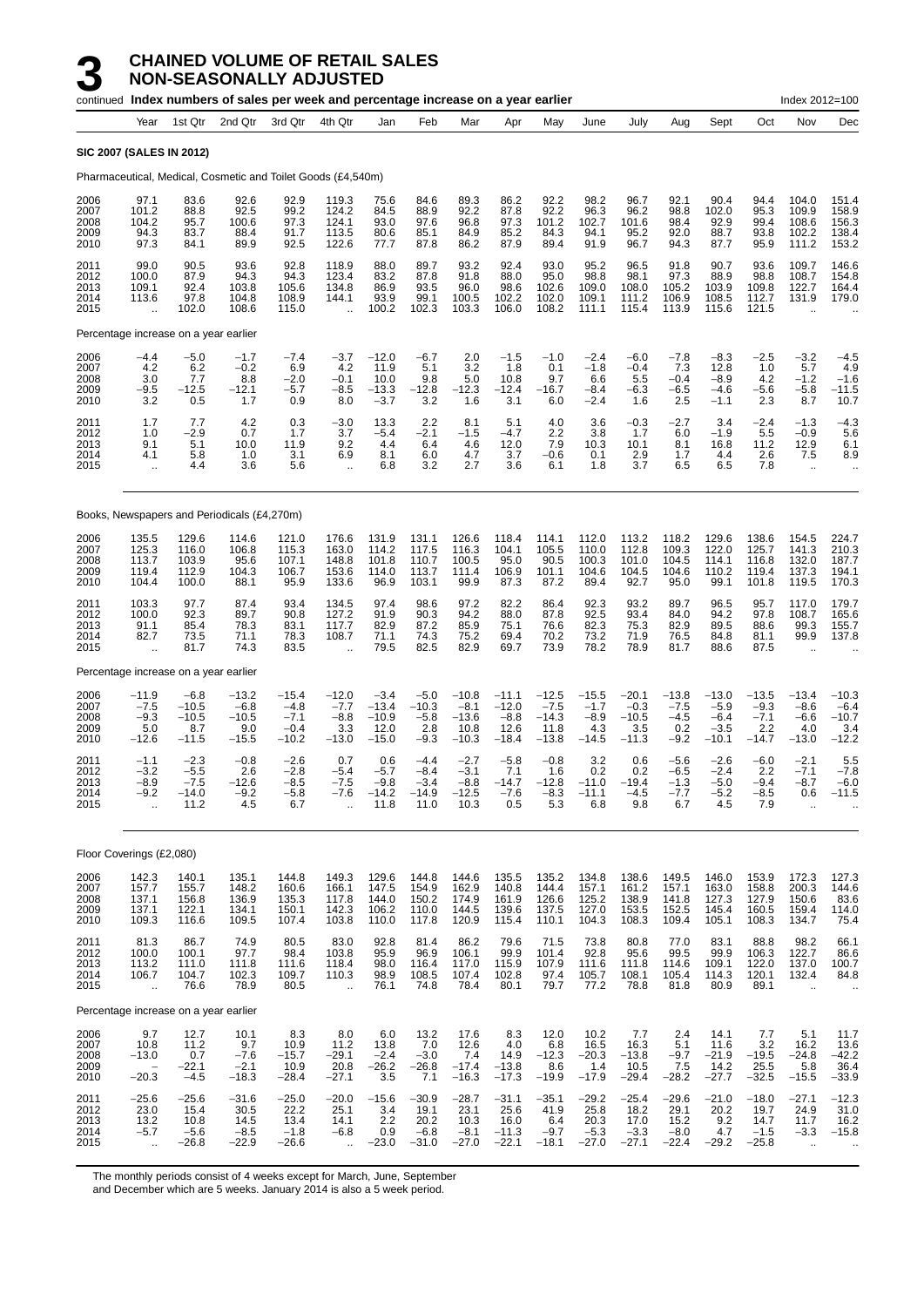|                                      |                                                            |                                                | continued Index numbers of sales per week and percentage increase on a year earlier |                                                  |                                                           |                                                 |                                              |                                                 |                                                 |                                                 |                                               |                                                |                                              |                                                  |                                               | Index 2012=100                                         |                                                            |
|--------------------------------------|------------------------------------------------------------|------------------------------------------------|-------------------------------------------------------------------------------------|--------------------------------------------------|-----------------------------------------------------------|-------------------------------------------------|----------------------------------------------|-------------------------------------------------|-------------------------------------------------|-------------------------------------------------|-----------------------------------------------|------------------------------------------------|----------------------------------------------|--------------------------------------------------|-----------------------------------------------|--------------------------------------------------------|------------------------------------------------------------|
|                                      | Year                                                       | 1st Qtr                                        | 2nd Qtr                                                                             | 3rd Qtr                                          | 4th Qtr                                                   | Jan                                             | Feb                                          | Mar                                             | Apr                                             | May                                             | June                                          | July                                           | Aug                                          | Sept                                             | Oct                                           | Nov                                                    | Dec                                                        |
|                                      | <b>SIC 2007 (SALES IN 2012)</b>                            |                                                |                                                                                     |                                                  |                                                           |                                                 |                                              |                                                 |                                                 |                                                 |                                               |                                                |                                              |                                                  |                                               |                                                        |                                                            |
|                                      |                                                            |                                                | Pharmaceutical, Medical, Cosmetic and Toilet Goods (£4,540m)                        |                                                  |                                                           |                                                 |                                              |                                                 |                                                 |                                                 |                                               |                                                |                                              |                                                  |                                               |                                                        |                                                            |
| 2006<br>2007<br>2008<br>2009<br>2010 | 97.1<br>101.2<br>104.2<br>94.3<br>97.3                     | 83.6<br>88.8<br>95.7<br>83.7<br>84.1           | 92.6<br>92.5<br>100.6<br>88.4<br>89.9                                               | 92.9<br>99.2<br>97.3<br>91.7<br>92.5             | 119.3<br>124.2<br>124.1<br>113.5<br>122.6                 | 75.6<br>84.5<br>93.0<br>80.6<br>77.7            | 84.6<br>88.9<br>97.6<br>85.1<br>87.8         | 89.3<br>92.2<br>96.8<br>84.9<br>86.2            | 86.2<br>87.8<br>97.3<br>85.2<br>87.9            | 92.2<br>92.2<br>101.2<br>84.3<br>89.4           | 98.2<br>96.3<br>102.7<br>94.1<br>91.9         | 96.7<br>96.2<br>101.6<br>95.2<br>96.7          | 92.1<br>98.8<br>98.4<br>92.0<br>94.3         | 90.4<br>102.0<br>92.9<br>88.7<br>87.7            | 94.4<br>95.3<br>99.4<br>93.8<br>95.9          | 104.0<br>109.9<br>108.6<br>102.2<br>111.2              | 151.4<br>158.9<br>156.3<br>138.4<br>153.2                  |
| 2011<br>2012<br>2013<br>2014<br>2015 | 99.0<br>100.0<br>109.1<br>113.6<br>$\ddotsc$               | 90.5<br>87.9<br>92.4<br>97.8<br>102.0          | 93.6<br>94.3<br>103.8<br>104.8<br>108.6                                             | 92.8<br>94.3<br>105.6<br>108.9<br>115.0          | 118.9<br>123.4<br>134.8<br>144.1                          | 88.0<br>83.2<br>86.9<br>93.9<br>100.2           | 89.7<br>87.8<br>93.5<br>99.1<br>102.3        | 93.2<br>91.8<br>96.0<br>100.5<br>103.3          | 92.4<br>88.0<br>98.6<br>102.2<br>106.0          | 93.0<br>95.0<br>102.6<br>102.0<br>108.2         | 95.2<br>98.8<br>109.0<br>109.1<br>111.1       | 96.5<br>98.1<br>108.0<br>111.2<br>115.4        | 91.8<br>97.3<br>105.2<br>106.9<br>113.9      | 90.7<br>88.9<br>103.9<br>108.5<br>115.6          | 93.6<br>98.8<br>109.8<br>112.7<br>121.5       | 109.7<br>108.7<br>122.7<br>131.9                       | 146.6<br>154.8<br>164.4<br>179.0                           |
|                                      | Percentage increase on a year earlier                      |                                                |                                                                                     |                                                  |                                                           |                                                 |                                              |                                                 |                                                 |                                                 |                                               |                                                |                                              |                                                  |                                               |                                                        |                                                            |
| 2006<br>2007<br>2008<br>2009<br>2010 | $-4.4$<br>4.2<br>3.0<br>$-9.5$<br>3.2                      | $-5.0$<br>6.2<br>7.7<br>$-12.5$<br>0.5         | $-1.7$<br>$-0.2$<br>8.8<br>$-12.1$<br>1.7                                           | $-7.4$<br>6.9<br>$-2.0$<br>$-5.7$<br>0.9         | $-3.7$<br>4.2<br>$-0.1$<br>$-8.5$<br>8.0                  | $-12.0$<br>11.9<br>10.0<br>$-13.3$<br>$-3.7$    | $-6.7$<br>5.1<br>9.8<br>$-12.8$<br>3.2       | 2.0<br>3.2<br>5.0<br>$-12.3$<br>1.6             | $-1.5$<br>1.8<br>10.8<br>$-12.4$<br>3.1         | $-1.0$<br>0.1<br>9.7<br>-16.7<br>6.0            | $-2.4$<br>$-1.8$<br>6.6<br>$-8.4$<br>$-2.4$   | $-6.0$<br>$-0.4$<br>5.5<br>$-6.3$<br>1.6       | $-7.8$<br>7.3<br>$-0.4$<br>-6.5<br>2.5       | $-8.3$<br>12.8<br>$-8.9$<br>$-4.6$<br>$-1.1$     | $-2.5$<br>1.0<br>4.2<br>$-5.6$<br>2.3         | $-3.2$<br>5.7<br>$-1.2$<br>$-5.8$<br>8.7               | $-4.5$<br>4.9<br>$-1.6$<br>$-11.5$<br>10.7                 |
| 2011<br>2012<br>2013<br>2014<br>2015 | 1.7<br>1.0<br>9.1<br>4.1<br>$\ddot{\phantom{1}}$           | 7.7<br>$-2.9$<br>5.1<br>5.8<br>4.4             | 4.2<br>0.7<br>10.0<br>1.0<br>3.6                                                    | 0.3<br>1.7<br>11.9<br>3.1<br>5.6                 | $-3.0$<br>3.7<br>9.2<br>6.9<br>$\mathbf{u}$               | 13.3<br>$-5.4$<br>4.4<br>8.1<br>6.8             | 2.2<br>$-2.1$<br>6.4<br>6.0<br>3.2           | 8.1<br>$-1.5$<br>4.6<br>4.7<br>2.7              | 5.1<br>$-4.7$<br>12.0<br>3.7<br>3.6             | 4.0<br>2.2<br>7.9<br>-0.6<br>6.1                | 3.6<br>3.8<br>10.3<br>0.1<br>1.8              | $-0.3$<br>1.7<br>10.1<br>2.9<br>3.7            | $-2.7$<br>6.0<br>8.1<br>1.7<br>6.5           | 3.4<br>$-1.9$<br>16.8<br>4.4<br>6.5              | $-2.4$<br>5.5<br>11.2<br>2.6<br>7.8           | $-1.3$<br>$-0.9$<br>12.9<br>7.5<br>$\bar{\mathbf{r}}$  | $-4.3$<br>5.6<br>6.1<br>8.9<br>ä.                          |
|                                      |                                                            |                                                | Books, Newspapers and Periodicals (£4,270m)                                         |                                                  |                                                           |                                                 |                                              |                                                 |                                                 |                                                 |                                               |                                                |                                              |                                                  |                                               |                                                        |                                                            |
| 2006<br>2007<br>2008<br>2009<br>2010 | 135.5<br>125.3<br>113.7<br>119.4<br>104.4                  | 129.6<br>116.0<br>103.9<br>112.9<br>100.0      | 114.6<br>106.8<br>95.6<br>104.3<br>88.1                                             | 121.0<br>115.3<br>107.1<br>106.7<br>95.9         | 176.6<br>163.0<br>148.8<br>153.6<br>133.6                 | 131.9<br>114.2<br>101.8<br>114.0<br>96.9        | 131.1<br>117.5<br>110.7<br>113.7<br>103.1    | 126.6<br>116.3<br>100.5<br>111.4<br>99.9        | 118.4<br>104.1<br>95.0<br>106.9<br>87.3         | 114.1<br>105.5<br>90.5<br>101.1<br>87.2         | 112.0<br>110.0<br>100.3<br>104.6<br>89.4      | 113.2<br>112.8<br>101.0<br>104.5<br>92.7       | 118.2<br>109.3<br>104.5<br>104.6<br>95.0     | 129.6<br>122.0<br>114.1<br>110.2<br>99.1         | 138.6<br>125.7<br>116.8<br>119.4<br>101.8     | 154.5<br>141.3<br>132.0<br>137.3<br>119.5              | 224.7<br>210.3<br>187.7<br>194.1<br>170.3                  |
| 2011<br>2012<br>2013<br>2014<br>2015 | 103.3<br>100.0<br>91.1<br>82.7<br>$\ddot{\phantom{a}}$     | 97.7<br>92.3<br>85.4<br>73.5<br>81.7           | 87.4<br>89.7<br>78.3<br>71.1<br>74.3                                                | 93.4<br>90.8<br>83.1<br>78.3<br>83.5             | 134.5<br>127.2<br>117.7<br>108.7                          | 97.4<br>91.9<br>82.9<br>71.1<br>79.5            | 98.6<br>90.3<br>87.2<br>74.3<br>82.5         | 97.2<br>94.2<br>85.9<br>75.2<br>82.9            | 82.2<br>88.0<br>75.1<br>69.4<br>69.7            | 86.4<br>87.8<br>76.6<br>70.2<br>73.9            | 92.3<br>92.5<br>82.3<br>73.2<br>78.2          | 93.2<br>93.4<br>75.3<br>71.9<br>78.9           | 89.7<br>84.0<br>82.9<br>76.5<br>81.7         | 96.5<br>94.2<br>89.5<br>84.8<br>88.6             | 95.7<br>97.8<br>88.6<br>81.1<br>87.5          | 117.0<br>108.7<br>99.3<br>99.9<br>$\ddot{\phantom{a}}$ | 179.7<br>165.6<br>155.7<br>137.8<br>$\ddotsc$              |
|                                      | Percentage increase on a year earlier                      |                                                |                                                                                     |                                                  |                                                           |                                                 |                                              |                                                 |                                                 |                                                 |                                               |                                                |                                              |                                                  |                                               |                                                        |                                                            |
| 2006<br>2007<br>2008<br>2009<br>2010 | -11.9<br>$-7.5$<br>$-9.3$<br>5.0<br>$-12.6$                | $-6.8$<br>$-10.5$<br>$-10.5$<br>8.7<br>$-11.5$ | $-13.2$<br>$-6.8$<br>$-10.5$<br>9.0<br>$-15.5$                                      | $-15.4$<br>$-4.8$<br>$-7.1$<br>$-0.4$<br>$-10.2$ | $-12.0$<br>$-7.7$<br>$-8.8$<br>3.3<br>$-13.0$             | $-3.4$<br>$-13.4$<br>$-10.9$<br>12.0<br>$-15.0$ | $-5.0$<br>$-10.3$<br>$-5.8$<br>2.8<br>$-9.3$ | $-10.8$<br>$-8.1$<br>$-13.6$<br>10.8<br>$-10.3$ | $-11.1$<br>$-12.0$<br>$-8.8$<br>12.6<br>$-18.4$ | $-12.5$<br>$-7.5$<br>$-14.3$<br>11.8<br>$-13.8$ | $-15.5$<br>$-1.7$<br>$-8.9$<br>4.3<br>$-14.5$ | $-20.1$<br>$-0.3$<br>$-10.5$<br>3.5<br>$-11.3$ | $-13.8$<br>$-7.5$<br>$-4.5$<br>0.2<br>$-9.2$ | $-13.0$<br>$-5.9$<br>$-6.4$<br>$-3.5$<br>$-10.1$ | $-13.5$<br>$-9.3$<br>$-7.1$<br>2.2<br>$-14.7$ | $-13.4$<br>$-8.6$<br>$-6.6$<br>4.0<br>$-13.0$          | $-10.3$<br>$-6.4$<br>$-10.7$<br>3.4<br>$-12.2$             |
| 2011<br>2012<br>2013<br>2014<br>2015 | $-1.1$<br>$-3.2$<br>-8.9<br>$-9.2$<br>$\ddot{\phantom{a}}$ | $-2.3$<br>$-5.5$<br>-7.5<br>$-14.0$<br>11.2    | $-0.8$<br>2.6<br>12.6<br>$-9.2$<br>4.5                                              | $-2.6$<br>$-2.8$<br>-8.5<br>$-5.8$<br>6.7        | 0.7<br>$-5.4$<br>-7.5<br>$-7.6$<br>$\ddot{\phantom{a}}$   | 0.6<br>$-5.7$<br>-9.8<br>$-14.2$<br>11.8        | $-4.4$<br>$-8.4$<br>-3.4<br>$-14.9$<br>11.0  | $-2.7$<br>$-3.1$<br>-8.8<br>$-12.5$<br>10.3     | $-5.8$<br>7.1<br>-14.7<br>$-7.6$<br>0.5         | $-0.8$<br>1.6<br>$-12.8$<br>$-8.3$<br>5.3       | 3.2<br>0.2<br>$-11.0$<br>$-11.1$<br>6.8       | 0.6<br>0.2<br>19.4<br>$-4.5$<br>9.8            | $-5.6$<br>$-6.5$<br>-1.3<br>$-7.7$<br>6.7    | $-2.6$<br>$-2.4$<br>-5.0<br>$-5.2$<br>4.5        | $-6.0$<br>2.2<br>-9.4<br>$-8.5$<br>7.9        | $-2.1$<br>$-7.1$<br>-8.7<br>0.6<br>ä.                  | 5.5<br>$-7.8$<br>-6.0<br>$-11.5$                           |
|                                      | Floor Coverings (£2,080)                                   |                                                |                                                                                     |                                                  |                                                           |                                                 |                                              |                                                 |                                                 |                                                 |                                               |                                                |                                              |                                                  |                                               |                                                        |                                                            |
| 2006<br>2007<br>2008<br>2009<br>2010 | 142.3<br>157.7<br>137.1<br>137.1<br>109.3                  | 140.1<br>155.7<br>156.8<br>122.1<br>116.6      | 135.1<br>148.2<br>136.9<br>134.1<br>109.5                                           | 144.8<br>160.6<br>135.3<br>150.1<br>107.4        | 149.3<br>166.1<br>117.8<br>142.3<br>103.8                 | 129.6<br>147.5<br>144.0<br>106.2<br>110.0       | 144.8<br>154.9<br>150.2<br>110.0<br>117.8    | 144.6<br>162.9<br>174.9<br>144.5<br>120.9       | 135.5<br>140.8<br>161.9<br>139.6<br>115.4       | 135.2<br>144.4<br>126.6<br>137.5<br>110.1       | 134.8<br>157.1<br>125.2<br>127.0<br>104.3     | 138.6<br>161.2<br>138.9<br>153.5<br>108.3      | 149.5<br>157.1<br>141.8<br>152.5<br>109.4    | 146.0<br>163.0<br>127.3<br>145.4<br>105.1        | 153.9<br>158.8<br>127.9<br>160.5<br>108.3     | 172.3<br>200.3<br>150.6<br>159.4<br>134.7              | 127.3<br>144.6<br>83.6<br>114.0<br>75.4                    |
| 2011<br>2012<br>2013<br>2014<br>2015 | 81.3<br>100.0<br>113.2<br>106.7<br>$\bar{\mathbf{a}}$      | 86.7<br>100.1<br>111.0<br>104.7<br>76.6        | 74.9<br>97.7<br>111.8<br>102.3<br>78.9                                              | 80.5<br>98.4<br>111.6<br>109.7<br>80.5           | 83.0<br>103.8<br>118.4<br>110.3<br>$\ddot{\phantom{a}}$   | 92.8<br>95.9<br>98.0<br>98.9<br>76.1            | 81.4<br>96.9<br>116.4<br>108.5<br>74.8       | 86.2<br>106.1<br>117.0<br>107.4<br>78.4         | 79.6<br>99.9<br>115.9<br>102.8<br>80.1          | 71.5<br>101.4<br>107.9<br>97.4<br>79.7          | 73.8<br>92.8<br>111.6<br>105.7<br>77.2        | 80.8<br>95.6<br>111.8<br>108.1<br>78.8         | 77.0<br>99.5<br>114.6<br>105.4<br>81.8       | 83.1<br>99.9<br>109.1<br>114.3<br>80.9           | 88.8<br>106.3<br>122.0<br>120.1<br>89.1       | 98.2<br>122.7<br>137.0<br>132.4<br>$\ldots$            | 66.1<br>86.6<br>100.7<br>84.8<br>$\ddotsc$                 |
|                                      | Percentage increase on a year earlier                      |                                                |                                                                                     |                                                  |                                                           |                                                 |                                              |                                                 |                                                 |                                                 |                                               |                                                |                                              |                                                  |                                               |                                                        |                                                            |
| 2006<br>2007<br>2008<br>2009<br>2010 | 9.7<br>10.8<br>$-13.0$<br>$-20.3$                          | 12.7<br>11.2<br>0.7<br>$-22.1$<br>$-4.5$       | 10.1<br>9.7<br>$-7.6$<br>$-2.1$<br>$-18.3$                                          | 8.3<br>10.9<br>$-15.7$<br>10.9<br>$-28.4$        | 8.0<br>11.2<br>$-29.1$<br>20.8<br>$-27.1$                 | 6.0<br>13.8<br>$-2.4$<br>$-26.2$<br>3.5         | 13.2<br>7.0<br>$-3.0$<br>$-26.8$<br>7.1      | 17.6<br>12.6<br>7.4<br>$-17.4$<br>$-16.3$       | 8.3<br>4.0<br>14.9<br>$-13.8$<br>$-17.3$        | 12.0<br>6.8<br>$-12.3$<br>8.6<br>$-19.9$        | 10.2<br>16.5<br>$-20.3$<br>1.4<br>$-17.9$     | 7.7<br>16.3<br>$-13.8$<br>10.5<br>$-29.4$      | 2.4<br>5.1<br>$-9.7$<br>7.5<br>$-28.2$       | 14.1<br>11.6<br>$-21.9$<br>14.2<br>$-27.7$       | 7.7<br>3.2<br>$-19.5$<br>25.5<br>$-32.5$      | 5.1<br>16.2<br>$-24.8$<br>5.8<br>$-15.5$               | 11.7<br>13.6<br>$-42.2$<br>36.4<br>$-33.9$                 |
| 2011<br>2012<br>2013<br>2014<br>2015 | $-25.6$<br>23.0<br>13.2<br>$-5.7$<br>$\ddot{\phantom{a}}$  | $-25.6$<br>15.4<br>10.8<br>$-5.6$<br>$-26.8$   | $-31.6$<br>30.5<br>14.5<br>$-8.5$<br>$-22.9$                                        | $-25.0$<br>22.2<br>13.4<br>$-1.8$<br>$-26.6$     | $-20.0$<br>25.1<br>14.1<br>$-6.8$<br>$\ddot{\phantom{a}}$ | $-15.6$<br>3.4<br>2.2<br>0.9<br>$-23.0$         | $-30.9$<br>19.1<br>20.2<br>$-6.8$<br>$-31.0$ | $-28.7$<br>23.1<br>10.3<br>$-8.1$<br>$-27.0$    | $-31.1$<br>25.6<br>16.0<br>$-11.3$<br>$-22.1$   | $-35.1$<br>41.9<br>6.4<br>$-9.7$<br>$-18.1$     | $-29.2$<br>25.8<br>20.3<br>$-5.3$<br>$-27.0$  | $-25.4$<br>18.2<br>17.0<br>$-3.3$<br>$-27.1$   | $-29.6$<br>29.1<br>15.2<br>$-8.0$<br>$-22.4$ | $-21.0$<br>20.2<br>9.2<br>4.7<br>$-29.2$         | $-18.0$<br>19.7<br>14.7<br>$-1.5$<br>$-25.8$  | $-27.1$<br>24.9<br>11.7<br>$-3.3$<br>$\ddotsc$         | $-12.3$<br>31.0<br>16.2<br>$-15.8$<br>$\ddot{\phantom{0}}$ |

The monthly periods consist of 4 weeks except for March, June, September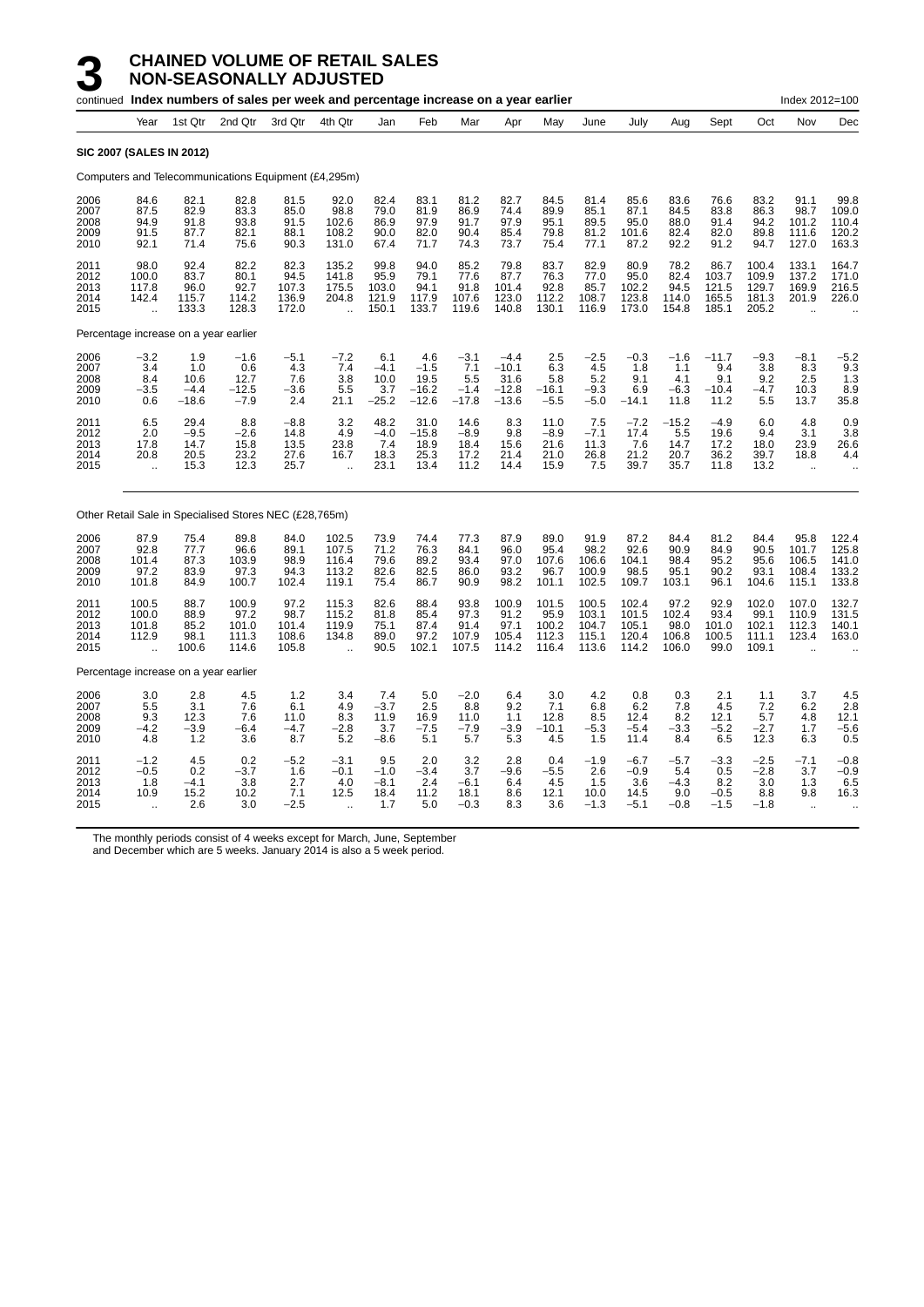|                                      |                                                    |                                         | continued Index numbers of sales per week and percentage increase on a year earlier |                                         |                                                          |                                         |                                             |                                           |                                                 |                                             |                                           |                                           |                                          |                                          |                                           | Index 2012=100                                                 |                                            |
|--------------------------------------|----------------------------------------------------|-----------------------------------------|-------------------------------------------------------------------------------------|-----------------------------------------|----------------------------------------------------------|-----------------------------------------|---------------------------------------------|-------------------------------------------|-------------------------------------------------|---------------------------------------------|-------------------------------------------|-------------------------------------------|------------------------------------------|------------------------------------------|-------------------------------------------|----------------------------------------------------------------|--------------------------------------------|
|                                      | Year                                               | 1st Qtr                                 | 2nd Qtr                                                                             | 3rd Qtr                                 | 4th Qtr                                                  | Jan                                     | Feb                                         | Mar                                       | Apr                                             | May                                         | June                                      | July                                      | Aug                                      | Sept                                     | Oct                                       | Nov                                                            | Dec                                        |
|                                      | <b>SIC 2007 (SALES IN 2012)</b>                    |                                         |                                                                                     |                                         |                                                          |                                         |                                             |                                           |                                                 |                                             |                                           |                                           |                                          |                                          |                                           |                                                                |                                            |
|                                      |                                                    |                                         | Computers and Telecommunications Equipment (£4,295m)                                |                                         |                                                          |                                         |                                             |                                           |                                                 |                                             |                                           |                                           |                                          |                                          |                                           |                                                                |                                            |
| 2006<br>2007<br>2008<br>2009<br>2010 | 84.6<br>87.5<br>94.9<br>91.5<br>92.1               | 82.1<br>82.9<br>91.8<br>87.7<br>71.4    | 82.8<br>83.3<br>93.8<br>82.1<br>75.6                                                | 81.5<br>85.0<br>91.5<br>88.1<br>90.3    | 92.0<br>98.8<br>102.6<br>108.2<br>131.0                  | 82.4<br>79.0<br>86.9<br>90.0<br>67.4    | 83.1<br>81.9<br>97.9<br>82.0<br>71.7        | 81.2<br>86.9<br>91.7<br>90.4<br>74.3      | 82.7<br>74.4<br>97.9<br>85.4<br>73.7            | 84.5<br>89.9<br>95.1<br>79.8<br>75.4        | 81.4<br>85.1<br>89.5<br>81.2<br>77.1      | 85.6<br>87.1<br>95.0<br>101.6<br>87.2     | 83.6<br>84.5<br>88.0<br>82.4<br>92.2     | 76.6<br>83.8<br>91.4<br>82.0<br>91.2     | 83.2<br>86.3<br>94.2<br>89.8<br>94.7      | 91.1<br>98.7<br>101.2<br>111.6<br>127.0                        | 99.8<br>109.0<br>110.4<br>120.2<br>163.3   |
| 2011<br>2012<br>2013<br>2014<br>2015 | 98.0<br>100.0<br>117.8<br>142.4<br>ä,              | 92.4<br>83.7<br>96.0<br>115.7<br>133.3  | 82.2<br>80.1<br>92.7<br>114.2<br>128.3                                              | 82.3<br>94.5<br>107.3<br>136.9<br>172.0 | 135.2<br>141.8<br>175.5<br>204.8<br>$\ddot{\phantom{a}}$ | 99.8<br>95.9<br>103.0<br>121.9<br>150.1 | 94.0<br>79.1<br>94.1<br>117.9<br>133.7      | 85.2<br>77.6<br>91.8<br>107.6<br>119.6    | 79.8<br>87.7<br>101.4<br>123.0<br>140.8         | 83.7<br>76.3<br>92.8<br>112.2<br>130.1      | 82.9<br>77.0<br>85.7<br>108.7<br>116.9    | 80.9<br>95.0<br>102.2<br>123.8<br>173.0   | 78.2<br>82.4<br>94.5<br>114.0<br>154.8   | 86.7<br>103.7<br>121.5<br>165.5<br>185.1 | 100.4<br>109.9<br>129.7<br>181.3<br>205.2 | 133.1<br>137.2<br>169.9<br>201.9                               | 164.7<br>171.0<br>216.5<br>226.0           |
|                                      | Percentage increase on a year earlier              |                                         |                                                                                     |                                         |                                                          |                                         |                                             |                                           |                                                 |                                             |                                           |                                           |                                          |                                          |                                           |                                                                |                                            |
| 2006<br>2007<br>2008<br>2009<br>2010 | $-3.2$<br>3.4<br>8.4<br>$-3.5$<br>0.6              | 1.9<br>1.0<br>10.6<br>$-4.4$<br>$-18.6$ | $-1.6$<br>0.6<br>12.7<br>$-12.5$<br>$-7.9$                                          | $-5.1$<br>4.3<br>7.6<br>$-3.6$<br>2.4   | $-7.2$<br>7.4<br>3.8<br>5.5<br>21.1                      | 6.1<br>$-4.1$<br>10.0<br>3.7<br>$-25.2$ | 4.6<br>$-1.5$<br>19.5<br>$-16.2$<br>$-12.6$ | $-3.1$<br>7.1<br>5.5<br>$-1.4$<br>$-17.8$ | $-4.4$<br>$-10.1$<br>31.6<br>$-12.8$<br>$-13.6$ | 2.5<br>6.3<br>5.8<br>$-16.1$<br>$-5.5$      | $-2.5$<br>4.5<br>5.2<br>$-9.3$<br>$-5.0$  | $-0.3$<br>1.8<br>9.1<br>6.9<br>$-14.1$    | $-1.6$<br>1.1<br>4.1<br>$-6.3$<br>11.8   | $-11.7$<br>9.4<br>9.1<br>$-10.4$<br>11.2 | $-9.3$<br>3.8<br>9.2<br>$-4.7$<br>5.5     | $-8.1$<br>8.3<br>2.5<br>10.3<br>13.7                           | $-5.2$<br>9.3<br>1.3<br>8.9<br>35.8        |
| 2011<br>2012<br>2013<br>2014<br>2015 | 6.5<br>2.0<br>17.8<br>20.8<br>$\ddot{\phantom{a}}$ | 29.4<br>$-9.5$<br>14.7<br>20.5<br>15.3  | 8.8<br>$-2.6$<br>15.8<br>23.2<br>12.3                                               | $-8.8$<br>14.8<br>13.5<br>27.6<br>25.7  | 3.2<br>4.9<br>23.8<br>16.7<br>$\ddot{\phantom{a}}$       | 48.2<br>$-4.0$<br>7.4<br>18.3<br>23.1   | 31.0<br>$-15.8$<br>18.9<br>25.3<br>13.4     | 14.6<br>$-8.9$<br>18.4<br>17.2<br>11.2    | 8.3<br>9.8<br>15.6<br>21.4<br>14.4              | 11.0<br>$-8.9$<br>21.6<br>21.0<br>15.9      | 7.5<br>$-7.1$<br>11.3<br>26.8<br>7.5      | $-7.2$<br>17.4<br>76<br>21.2<br>39.7      | $-15.2$<br>5.5<br>14.7<br>20.7<br>35.7   | $-4.9$<br>19.6<br>17.2<br>36.2<br>11.8   | 6.0<br>9.4<br>18.0<br>39.7<br>13.2        | 4.8<br>3.1<br>23.9<br>18.8<br>$\sim$                           | 0.9<br>3.8<br>26.6<br>4.4                  |
|                                      |                                                    |                                         | Other Retail Sale in Specialised Stores NEC (£28,765m)                              |                                         |                                                          |                                         |                                             |                                           |                                                 |                                             |                                           |                                           |                                          |                                          |                                           |                                                                |                                            |
| 2006<br>2007<br>2008<br>2009<br>2010 | 87.9<br>92.8<br>101.4<br>97.2<br>101.8             | 75.4<br>77.7<br>87.3<br>83.9<br>84.9    | 89.8<br>96.6<br>103.9<br>97.3<br>100.7                                              | 84.0<br>89.1<br>98.9<br>94.3<br>102.4   | 102.5<br>107.5<br>116.4<br>113.2<br>119.1                | 73.9<br>71.2<br>79.6<br>82.6<br>75.4    | 74.4<br>76.3<br>89.2<br>82.5<br>86.7        | 77.3<br>84.1<br>93.4<br>86.0<br>90.9      | 87.9<br>96.0<br>97.0<br>93.2<br>98.2            | 89.0<br>95.4<br>107.6<br>96.7<br>101.1      | 91.9<br>98.2<br>106.6<br>100.9<br>102.5   | 87.2<br>92.6<br>104.1<br>98.5<br>109.7    | 84.4<br>90.9<br>98.4<br>95.1<br>103.1    | 81.2<br>84.9<br>95.2<br>90.2<br>96.1     | 84.4<br>90.5<br>95.6<br>93.1<br>104.6     | 95.8<br>101.7<br>106.5<br>108.4<br>115.1                       | 122.4<br>125.8<br>141.0<br>133.2<br>133.8  |
| 2011<br>2012<br>2013<br>2014<br>2015 | 100.5<br>100.0<br>101.8<br>112.9                   | 88.7<br>88.9<br>85.2<br>98.1<br>100.6   | 100.9<br>97.2<br>101.0<br>111.3<br>114.6                                            | 97.2<br>98.7<br>101.4<br>108.6<br>105.8 | 115.3<br>115.2<br>119.9<br>134.8                         | 82.6<br>81.8<br>75.1<br>89.0<br>90.5    | 88.4<br>85.4<br>87.4<br>97.2<br>102.1       | 93.8<br>97.3<br>91.4<br>107.9<br>107.5    | 100.9<br>91.2<br>97.1<br>105.4<br>114.2         | 101.5<br>95.9<br>100.2<br>112.3<br>116.4    | 100.5<br>103.1<br>104.7<br>115.1<br>113.6 | 102.4<br>101.5<br>105.1<br>120.4<br>114.2 | 97.2<br>102.4<br>98.0<br>106.8<br>106.0  | 92.9<br>93.4<br>101.0<br>100.5<br>99.0   | 102.0<br>99.1<br>102.1<br>111.1<br>109.1  | 107.0<br>110.9<br>112.3<br>123.4                               | 132.7<br>131.5<br>140.1<br>163.0           |
|                                      | Percentage increase on a year earlier              |                                         |                                                                                     |                                         |                                                          |                                         |                                             |                                           |                                                 |                                             |                                           |                                           |                                          |                                          |                                           |                                                                |                                            |
| 2006<br>2007<br>2008<br>2009<br>2010 | 3.0<br>5.5<br>9.3<br>$-4.2$<br>4.8                 | 2.8<br>3.1<br>12.3<br>$-3.9$<br>1.2     | 4.5<br>7.6<br>7.6<br>$-6.4$<br>3.6                                                  | $1.2$<br>6.1<br>11.0<br>$-4.7$<br>8.7   | 3.4<br>4.9<br>8.3<br>$-2.8$<br>5.2                       | 7.4<br>$-3.7$<br>11.9<br>3.7<br>$-8.6$  | 5.0<br>2.5<br>16.9<br>$-7.5$<br>5.1         | $-2.0$<br>8.8<br>11.0<br>$-7.9$<br>5.7    | 6.4<br>9.2<br>1.1<br>-3.9<br>5.3                | $\frac{3.0}{7.1}$<br>12.8<br>$-10.1$<br>4.5 | 4.2<br>6.8<br>8.5<br>$-5.3$<br>1.5        | 0.8<br>6.2<br>12.4<br>$-5.4$<br>11.4      | 0.3<br>7.8<br>8.2<br>$-3.3$<br>8.4       | 2.1<br>4.5<br>12.1<br>$-5.2$<br>6.5      | 1.1<br>7.2<br>5.7<br>$-2.7$<br>12.3       | $\begin{array}{c} 3.7 \\ 6.2 \end{array}$<br>4.8<br>1.7<br>6.3 | $\frac{4.5}{2.8}$<br>12.1<br>$-5.6$<br>0.5 |
| 2011<br>2012<br>2013<br>2014<br>2015 | $-1.2$<br>$-0.5$<br>1.8<br>10.9                    | 4.5<br>0.2<br>$-4.1$<br>15.2<br>2.6     | 0.2<br>-3.7<br>3.8<br>10.2<br>3.0                                                   | $-5.2$<br>1.6<br>2.7<br>7.1<br>$-2.5$   | $-3.1$<br>$-0.1$<br>4.0<br>12.5                          | 9.5<br>$-1.0$<br>$-8.1$<br>18.4<br>1.7  | 2.0<br>$-3.4$<br>2.4<br>11.2<br>5.0         | 3.2<br>3.7<br>$-6.1$<br>18.1<br>$-0.3$    | 2.8<br>-9.6<br>6.4<br>8.6<br>8.3                | 0.4<br>$-5.5$<br>4.5<br>12.1<br>3.6         | $-1.9$<br>2.6<br>1.5<br>10.0<br>$-1.3$    | $-6.7$<br>$-0.9$<br>3.6<br>14.5<br>$-5.1$ | $-5.7$<br>5.4<br>$-4.3$<br>9.0<br>$-0.8$ | $-3.3$<br>0.5<br>8.2<br>$-0.5$<br>$-1.5$ | $-2.5$<br>$-2.8$<br>3.0<br>8.8<br>$-1.8$  | $-7.1$<br>3.7<br>1.3<br>9.8                                    | $-0.8$<br>$-0.9$<br>6.5<br>16.3            |

The monthly periods consist of 4 weeks except for March, June, September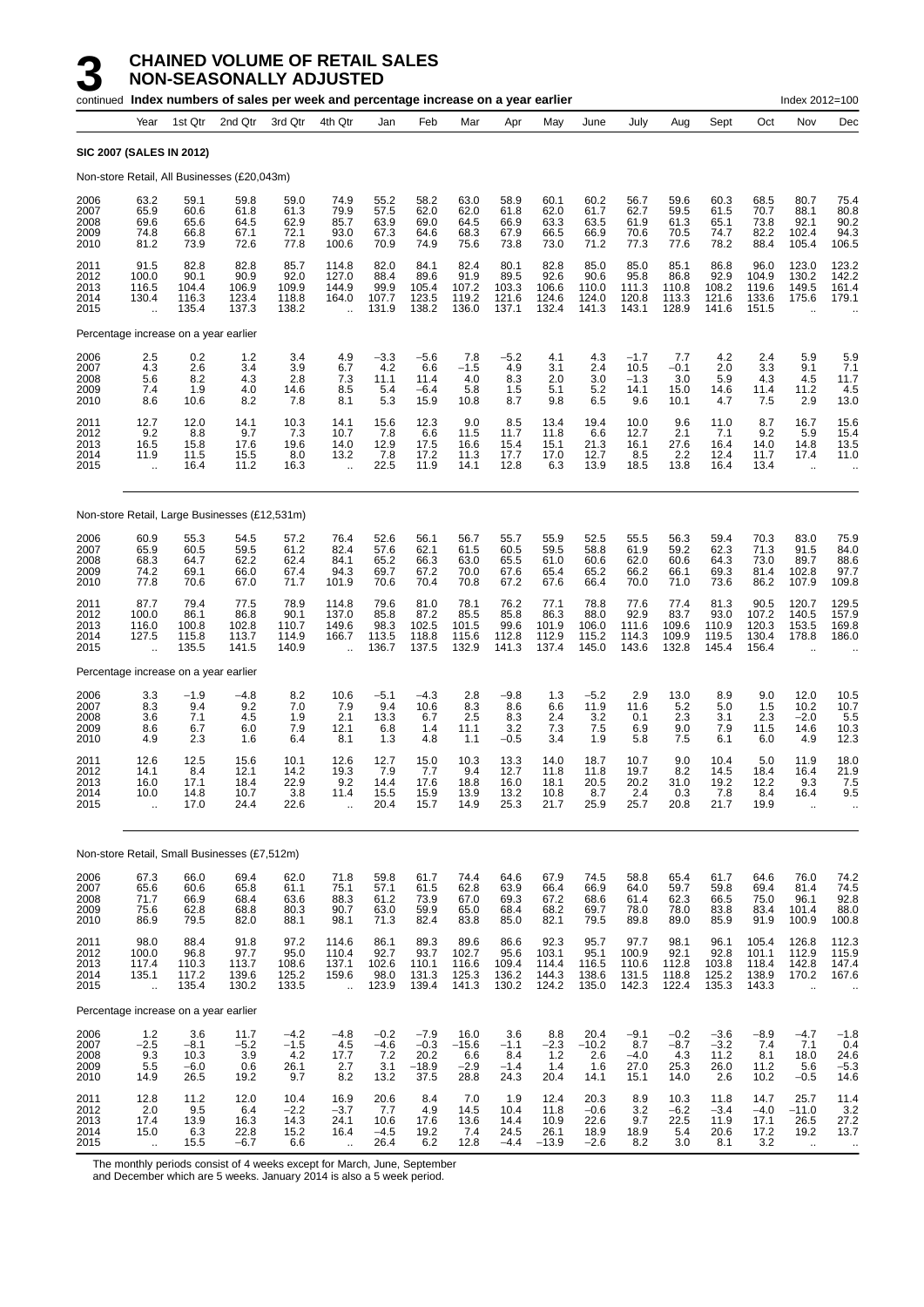|                                      |                                                                |                                         | continued Index numbers of sales per week and percentage increase on a year earlier |                                         |                                                          |                                        |                                             |                                          |                                         |                                          |                                           |                                          |                                                      |                                         |                                           | Index 2012=100                                           |                                          |
|--------------------------------------|----------------------------------------------------------------|-----------------------------------------|-------------------------------------------------------------------------------------|-----------------------------------------|----------------------------------------------------------|----------------------------------------|---------------------------------------------|------------------------------------------|-----------------------------------------|------------------------------------------|-------------------------------------------|------------------------------------------|------------------------------------------------------|-----------------------------------------|-------------------------------------------|----------------------------------------------------------|------------------------------------------|
|                                      | Year                                                           | 1st Qtr                                 | 2nd Qtr                                                                             | 3rd Qtr                                 | 4th Qtr                                                  | Jan                                    | Feb                                         | Mar                                      | Apr                                     | May                                      | June                                      | July                                     | Aug                                                  | Sept                                    | Oct                                       | Nov                                                      | Dec                                      |
|                                      | <b>SIC 2007 (SALES IN 2012)</b>                                |                                         |                                                                                     |                                         |                                                          |                                        |                                             |                                          |                                         |                                          |                                           |                                          |                                                      |                                         |                                           |                                                          |                                          |
|                                      |                                                                |                                         | Non-store Retail, All Businesses (£20,043m)                                         |                                         |                                                          |                                        |                                             |                                          |                                         |                                          |                                           |                                          |                                                      |                                         |                                           |                                                          |                                          |
| 2006<br>2007<br>2008<br>2009<br>2010 | 63.2<br>65.9<br>69.6<br>74.8<br>81.2                           | 59.1<br>60.6<br>65.6<br>66.8<br>73.9    | 59.8<br>61.8<br>64.5<br>67.1<br>72.6                                                | 59.0<br>61.3<br>62.9<br>72.1<br>77.8    | 74.9<br>79.9<br>85.7<br>93.0<br>100.6                    | 55.2<br>57.5<br>63.9<br>67.3<br>70.9   | 58.2<br>62.0<br>69.0<br>64.6<br>74.9        | 63.0<br>62.0<br>64.5<br>68.3<br>75.6     | 58.9<br>61.8<br>66.9<br>67.9<br>73.8    | 60.1<br>62.0<br>63.3<br>66.5<br>73.0     | 60.2<br>61.7<br>63.5<br>66.9<br>71.2      | 56.7<br>62.7<br>61.9<br>70.6<br>77.3     | 59.6<br>59.5<br>61.3<br>70.5<br>77.6                 | 60.3<br>61.5<br>65.1<br>74.7<br>78.2    | 68.5<br>70.7<br>73.8<br>82.2<br>88.4      | 80.7<br>88.1<br>92.1<br>102.4<br>105.4                   | 75.4<br>80.8<br>90.2<br>94.3<br>106.5    |
| 2011<br>2012<br>2013<br>2014<br>2015 | 91.5<br>100.0<br>116.5<br>130.4<br>$\ddotsc$                   | 82.8<br>90.1<br>104.4<br>116.3<br>135.4 | 82.8<br>90.9<br>106.9<br>123.4<br>137.3                                             | 85.7<br>92.0<br>109.9<br>118.8<br>138.2 | 114.8<br>127.0<br>144.9<br>164.0<br>$\ddot{\phantom{a}}$ | 82.0<br>88.4<br>99.9<br>107.7<br>131.9 | 84.1<br>89.6<br>105.4<br>123.5<br>138.2     | 82.4<br>91.9<br>107.2<br>119.2<br>136.0  | 80.1<br>89.5<br>103.3<br>121.6<br>137.1 | 82.8<br>92.6<br>106.6<br>124.6<br>132.4  | 85.0<br>90.6<br>110.0<br>124.0<br>141.3   | 85.0<br>95.8<br>111.3<br>120.8<br>143.1  | 85.1<br>86.8<br>110.8<br>113.3<br>128.9              | 86.8<br>92.9<br>108.2<br>121.6<br>141.6 | 96.0<br>104.9<br>119.6<br>133.6<br>151.5  | 123.0<br>130.2<br>149.5<br>175.6<br>$\ddot{\phantom{a}}$ | 123.2<br>142.2<br>161.4<br>179.1         |
|                                      | Percentage increase on a year earlier                          |                                         |                                                                                     |                                         |                                                          |                                        |                                             |                                          |                                         |                                          |                                           |                                          |                                                      |                                         |                                           |                                                          |                                          |
| 2006<br>2007<br>2008<br>2009<br>2010 | 2.5<br>4.3<br>5.6<br>7.4<br>8.6                                | 0.2<br>2.6<br>8.2<br>1.9<br>10.6        | 1.2<br>3.4<br>4.3<br>4.0<br>8.2                                                     | 3.4<br>3.9<br>2.8<br>14.6<br>7.8        | 4.9<br>6.7<br>7.3<br>8.5<br>8.1                          | $-3.3$<br>4.2<br>11.1<br>5.4<br>5.3    | $-5.6$<br>6.6<br>11.4<br>$-6.4$<br>15.9     | 7.8<br>$-1.5$<br>4.0<br>5.8<br>10.8      | $-5.2$<br>4.9<br>8.3<br>1.5<br>8.7      | 4.1<br>3.1<br>2.0<br>5.1<br>9.8          | 4.3<br>2.4<br>3.0<br>5.2<br>6.5           | $-1.7$<br>10.5<br>$-1.3$<br>14.1<br>9.6  | 7.7<br>$-0.1$<br>3.0<br>15.0<br>10.1                 | 4.2<br>2.0<br>5.9<br>14.6<br>4.7        | 2.4<br>3.3<br>4.3<br>11.4<br>7.5          | 5.9<br>9.1<br>4.5<br>11.2<br>2.9                         | 5.9<br>7.1<br>11.7<br>4.5<br>13.0        |
| 2011<br>2012<br>2013<br>2014<br>2015 | 12.7<br>9.2<br>16.5<br>11.9                                    | 12.0<br>8.8<br>15.8<br>11.5<br>16.4     | 14.1<br>9.7<br>17.6<br>15.5<br>11.2                                                 | 10.3<br>7.3<br>19.6<br>8.0<br>16.3      | 14.1<br>10.7<br>14.0<br>13.2<br>$\ddot{\phantom{1}}$     | 15.6<br>7.8<br>12.9<br>7.8<br>22.5     | 12.3<br>6.6<br>17.5<br>17.2<br>11.9         | 9.0<br>11.5<br>16.6<br>11.3<br>14.1      | 8.5<br>11.7<br>15.4<br>17.7<br>12.8     | 13.4<br>11.8<br>15.1<br>17.0<br>6.3      | 19.4<br>6.6<br>21.3<br>12.7<br>13.9       | 10.0<br>12.7<br>16.1<br>8.5<br>18.5      | 9.6<br>2.1<br>27.6<br>2.2<br>13.8                    | 11.0<br>7.1<br>16.4<br>12.4<br>16.4     | 8.7<br>9.2<br>14.0<br>11.7<br>13.4        | 16.7<br>5.9<br>14.8<br>17.4<br>$\ddotsc$                 | 15.6<br>15.4<br>13.5<br>11.0             |
|                                      |                                                                |                                         | Non-store Retail, Large Businesses (£12,531m)                                       |                                         |                                                          |                                        |                                             |                                          |                                         |                                          |                                           |                                          |                                                      |                                         |                                           |                                                          |                                          |
| 2006<br>2007<br>2008<br>2009<br>2010 | 60.9<br>65.9<br>68.3<br>74.2<br>77.8                           | 55.3<br>60.5<br>64.7<br>69.1<br>70.6    | 54.5<br>59.5<br>62.2<br>66.0<br>67.0                                                | 57.2<br>61.2<br>62.4<br>67.4<br>71.7    | 76.4<br>82.4<br>84.1<br>94.3<br>101.9                    | 52.6<br>57.6<br>65.2<br>69.7<br>70.6   | 56.1<br>62.1<br>66.3<br>67.2<br>70.4        | 56.7<br>61.5<br>63.0<br>70.0<br>70.8     | 55.7<br>60.5<br>65.5<br>67.6<br>67.2    | 55.9<br>59.5<br>61.0<br>65.4<br>67.6     | 52.5<br>58.8<br>60.6<br>65.2<br>66.4      | 55.5<br>61.9<br>62.0<br>66.2<br>70.0     | 56.3<br>59.2<br>60.6<br>66.1<br>71.0                 | 59.4<br>62.3<br>64.3<br>69.3<br>73.6    | 70.3<br>71.3<br>73.0<br>81.4<br>86.2      | 83.0<br>91.5<br>89.7<br>102.8<br>107.9                   | 75.9<br>84.0<br>88.6<br>97.7<br>109.8    |
| 2011<br>2012<br>2013<br>2014<br>2015 | 87.7<br>100.0<br>116.0<br>127.5<br>ă,                          | 79.4<br>86.1<br>100.8<br>115.8<br>135.5 | 77.5<br>86.8<br>102.8<br>113.7<br>141.5                                             | 78.9<br>90.1<br>110.7<br>114.9<br>140.9 | 114.8<br>137.0<br>149.6<br>166.7<br>$\ddot{\phantom{1}}$ | 79.6<br>85.8<br>98.3<br>113.5<br>136.7 | 81.0<br>87.2<br>102.5<br>118.8<br>137.5     | 78.1<br>85.5<br>101.5<br>115.6<br>132.9  | 76.2<br>85.8<br>99.6<br>112.8<br>141.3  | 77.1<br>86.3<br>101.9<br>112.9<br>137.4  | 78.8<br>88.0<br>106.0<br>115.2<br>145.0   | 77.6<br>92.9<br>111.6<br>114.3<br>143.6  | 77.4<br>83.7<br>109.6<br>109.9<br>132.8              | 81.3<br>93.0<br>110.9<br>119.5<br>145.4 | 90.5<br>107.2<br>120.3<br>130.4<br>156.4  | 120.7<br>140.5<br>153.5<br>178.8<br>$\ddot{\phantom{a}}$ | 129.5<br>157.9<br>169.8<br>186.0         |
|                                      | Percentage increase on a year earlier                          |                                         |                                                                                     |                                         |                                                          |                                        |                                             |                                          |                                         |                                          |                                           |                                          |                                                      |                                         |                                           |                                                          |                                          |
| 2006<br>2007<br>2008<br>2009<br>2010 | $\begin{array}{c} 3.3 \\ 8.3 \end{array}$<br>3.6<br>8.6<br>4.9 | $-1.9$<br>9.4<br>7.1<br>6.7<br>2.3      | $-4.8$<br>9.2<br>4.5<br>6.0<br>1.6                                                  | $\frac{8.2}{7.0}$<br>1.9<br>7.9<br>6.4  | 10.6<br>7.9<br>2.1<br>12.1<br>8.1                        | $-5.1$<br>9.4<br>13.3<br>6.8<br>1.3    | $-4.3$<br>10.6<br>6.7<br>1.4<br>4.8         | 2.8<br>8.3<br>2.5<br>11.1<br>1.1         | -9.8<br>8.6<br>8.3<br>3.2<br>-0.5       | 1.3<br>6.6<br>2.4<br>7.3<br>3.4          | $-5.2$<br>11.9<br>3.2<br>7.5<br>1.9       | 2.9<br>11.6<br>0.1<br>6.9<br>5.8         | 13.0<br>5.2<br>2.3<br>9.0<br>7.5                     | 8.9<br>5.0<br>3.1<br>7.9<br>6.1         | 9.0<br>1.5<br>2.3<br>11.5<br>6.0          | 12.0<br>10.2<br>$-2.0$<br>14.6<br>4.9                    | 10.5<br>10.7<br>5.5<br>10.3<br>12.3      |
| 2011<br>2012<br>2013<br>2014<br>2015 | 12.6<br>14.1<br>16.0<br>10.0<br>$\ddot{\phantom{a}}$           | 12.5<br>8.4<br>17.1<br>14.8<br>17.0     | 15.6<br>12.1<br>18.4<br>10.7<br>24.4                                                | 10.1<br>14.2<br>22.9<br>3.8<br>22.6     | 12.6<br>19.3<br>9.2<br>11.4<br>$\ddot{\phantom{a}}$      | 12.7<br>7.9<br>14.4<br>15.5<br>20.4    | 15.0<br>7.7<br>17.6<br>15.9<br>15.7         | 10.3<br>9.4<br>18.8<br>13.9<br>14.9      | 13.3<br>12.7<br>16.0<br>13.2<br>25.3    | 14.0<br>11.8<br>18.1<br>10.8<br>21.7     | 18.7<br>11.8<br>20.5<br>8.7<br>25.9       | 10.7<br>19.7<br>20.2<br>2.4<br>25.7      | 9.0<br>8.2<br>31.0<br>0.3<br>20.8                    | 10.4<br>14.5<br>19.2<br>7.8<br>21.7     | 5.0<br>18.4<br>12.2<br>8.4<br>19.9        | 11.9<br>16.4<br>9.3<br>16.4<br>$\ddot{\phantom{a}}$      | 18.0<br>21.9<br>7.5<br>9.5               |
|                                      |                                                                |                                         | Non-store Retail, Small Businesses (£7,512m)                                        |                                         |                                                          |                                        |                                             |                                          |                                         |                                          |                                           |                                          |                                                      |                                         |                                           |                                                          |                                          |
| 2006<br>2007<br>2008<br>2009<br>2010 | 67.3<br>65.6<br>71.7<br>75.6<br>86.9                           | 66.0<br>60.6<br>66.9<br>62.8<br>79.5    | 69.4<br>65.8<br>68.4<br>68.8<br>82.0                                                | 62.0<br>61.1<br>63.6<br>80.3<br>88.1    | 71.8<br>75.1<br>88.3<br>90.7<br>98.1                     | 59.8<br>57.1<br>61.2<br>63.0<br>71.3   | 61.7<br>61.5<br>73.9<br>59.9<br>82.4        | 74.4<br>62.8<br>67.0<br>65.0<br>83.8     | 64.6<br>63.9<br>69.3<br>68.4<br>85.0    | 67.9<br>66.4<br>67.2<br>68.2<br>82.1     | 74.5<br>66.9<br>68.6<br>69.7<br>79.5      | 58.8<br>64.0<br>61.4<br>78.0<br>89.8     | 65.4<br>59.7<br>62.3<br>78.0<br>89.0                 | 61.7<br>59.8<br>66.5<br>83.8<br>85.9    | 64.6<br>69.4<br>75.0<br>83.4<br>91.9      | 76.0<br>81.4<br>96.1<br>101.4<br>100.9                   | 74.2<br>74.5<br>92.8<br>88.0<br>100.8    |
| 2011<br>2012<br>2013<br>2014<br>2015 | 98.0<br>100.0<br>117.4<br>135.1<br>ä,                          | 88.4<br>96.8<br>110.3<br>117.2<br>135.4 | 91.8<br>97.7<br>113.7<br>139.6<br>130.2                                             | 97.2<br>95.0<br>108.6<br>125.2<br>133.5 | 114.6<br>110.4<br>137.1<br>159.6<br>à.                   | 86.1<br>92.7<br>102.6<br>98.0<br>123.9 | 89.3<br>$93.7$<br>110.1<br>131.3<br>139.4   | 89.6<br>102.7<br>116.6<br>125.3<br>141.3 | 86.6<br>95.6<br>109.4<br>136.2<br>130.2 | 92.3<br>103.1<br>114.4<br>144.3<br>124.2 | 95.7<br>$95.1$<br>116.5<br>138.6<br>135.0 | 97.7<br>100.9<br>110.6<br>131.5<br>142.3 | 98.1<br>$92.1$<br>112.8<br>118.8<br>122.4            | 96.1<br>92.8<br>103.8<br>125.2<br>135.3 | 105.4<br>101.1<br>118.4<br>138.9<br>143.3 | 126.8<br>112.9<br>142.8<br>170.2<br>$\ddot{\phantom{a}}$ | 112.3<br>115.9<br>147.4<br>167.6         |
|                                      | Percentage increase on a year earlier                          |                                         |                                                                                     |                                         |                                                          |                                        |                                             |                                          |                                         |                                          |                                           |                                          |                                                      |                                         |                                           |                                                          |                                          |
| 2006<br>2007<br>2008<br>2009<br>2010 | 1.2<br>$-2.5$<br>9.3<br>5.5<br>14.9                            | 3.6<br>$-8.1$<br>10.3<br>$-6.0$<br>26.5 | 11.7<br>$-5.2$<br>3.9<br>0.6<br>19.2                                                | $-4.2$<br>$-1.5$<br>4.2<br>26.1<br>9.7  | $-4.8$<br>4.5<br>17.7<br>2.7<br>8.2                      | $-0.2$<br>$-4.6$<br>7.2<br>3.1<br>13.2 | $-7.9$<br>$-0.3$<br>20.2<br>$-18.9$<br>37.5 | 16.0<br>$-15.6$<br>6.6<br>$-2.9$<br>28.8 | 3.6<br>$-1.1$<br>8.4<br>$-1.4$<br>24.3  | 8.8<br>$-2.3$<br>1.2<br>1.4<br>20.4      | 20.4<br>$-10.2$<br>2.6<br>1.6<br>14.1     | $-9.1$<br>8.7<br>$-4.0$<br>27.0<br>15.1  | $-0.2$<br>$-8.7$<br>4.3<br>$25.\overline{3}$<br>14.0 | $-3.6$<br>$-3.2$<br>11.2<br>26.0<br>2.6 | $-8.9$<br>7.4<br>8.1<br>11.2<br>10.2      | $-4.7$<br>7.1<br>18.0<br>5.6<br>$-0.5$                   | $-1.8$<br>0.4<br>24.6<br>$-5.3$<br>14.6  |
| 2011<br>2012<br>2013<br>2014<br>2015 | 12.8<br>2.0<br>17.4<br>15.0<br>$\ddotsc$                       | 11.2<br>9.5<br>13.9<br>6.3<br>15.5      | 12.0<br>6.4<br>16.3<br>22.8<br>$-6.7$                                               | 10.4<br>$-2.2$<br>14.3<br>15.2<br>6.6   | 16.9<br>$-3.7$<br>24.1<br>16.4<br>$\ddot{\phantom{a}}$   | 20.6<br>7.7<br>10.6<br>$-4.5$<br>26.4  | 8.4<br>4.9<br>17.6<br>19.2<br>6.2           | 7.0<br>14.5<br>13.6<br>7.4<br>12.8       | 1.9<br>10.4<br>14.4<br>24.5<br>$-4.4$   | 12.4<br>11.8<br>10.9<br>26.1<br>$-13.9$  | 20.3<br>$-0.6$<br>22.6<br>18.9<br>$-2.6$  | 8.9<br>3.2<br>9.7<br>18.9<br>8.2         | 10.3<br>$-6.2$<br>22.5<br>5.4<br>3.0                 | 11.8<br>$-3.4$<br>11.9<br>20.6<br>8.1   | 14.7<br>$-4.0$<br>17.1<br>17.2<br>3.2     | 25.7<br>$-11.0$<br>26.5<br>19.2<br>$\ddot{\phantom{1}}$  | 11.4<br>3.2<br>27.2<br>13.7<br>$\cdot$ . |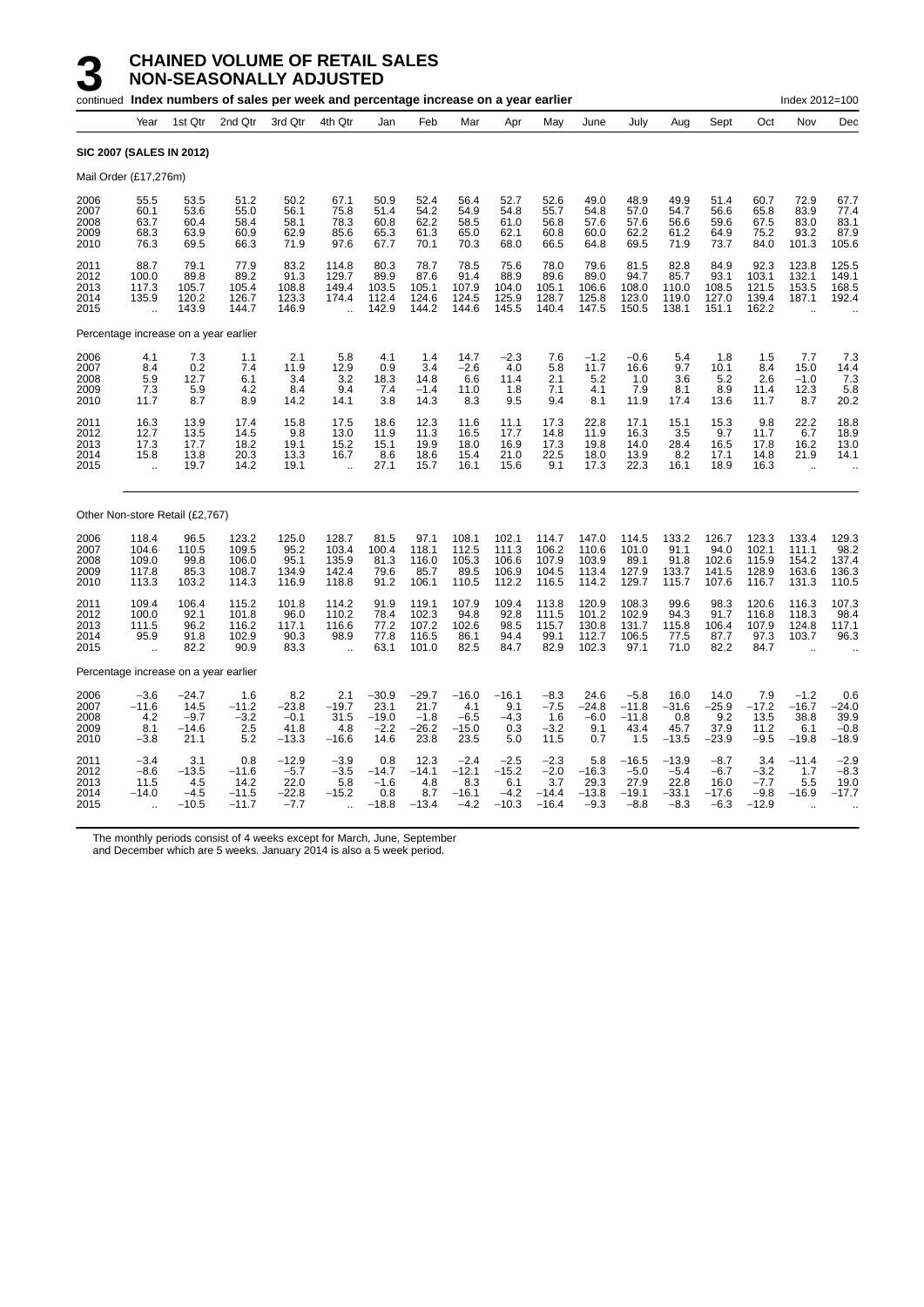|                                      |                                                         |                                              | continued Index numbers of sales per week and percentage increase on a year earlier |                                              |                                                            |                                              |                                              |                                               |                                               |                                               |                                             |                                                |                                                |                                               |                                              | Index 2012=100                                      |                                             |
|--------------------------------------|---------------------------------------------------------|----------------------------------------------|-------------------------------------------------------------------------------------|----------------------------------------------|------------------------------------------------------------|----------------------------------------------|----------------------------------------------|-----------------------------------------------|-----------------------------------------------|-----------------------------------------------|---------------------------------------------|------------------------------------------------|------------------------------------------------|-----------------------------------------------|----------------------------------------------|-----------------------------------------------------|---------------------------------------------|
|                                      | Year                                                    | 1st Qtr                                      | 2nd Qtr                                                                             | 3rd Qtr                                      | 4th Qtr                                                    | Jan                                          | Feb                                          | Mar                                           | Apr                                           | May                                           | June                                        | July                                           | Aug                                            | Sept                                          | Oct                                          | Nov                                                 | Dec                                         |
|                                      | <b>SIC 2007 (SALES IN 2012)</b>                         |                                              |                                                                                     |                                              |                                                            |                                              |                                              |                                               |                                               |                                               |                                             |                                                |                                                |                                               |                                              |                                                     |                                             |
|                                      | Mail Order (£17,276m)                                   |                                              |                                                                                     |                                              |                                                            |                                              |                                              |                                               |                                               |                                               |                                             |                                                |                                                |                                               |                                              |                                                     |                                             |
| 2006<br>2007<br>2008<br>2009<br>2010 | 55.5<br>60.1<br>63.7<br>68.3<br>76.3                    | 53.5<br>53.6<br>60.4<br>63.9<br>69.5         | 51.2<br>55.0<br>58.4<br>60.9<br>66.3                                                | 50.2<br>56.1<br>58.1<br>62.9<br>71.9         | 67.1<br>75.8<br>78.3<br>85.6<br>97.6                       | 50.9<br>51.4<br>60.8<br>65.3<br>67.7         | 52.4<br>54.2<br>62.2<br>61.3<br>70.1         | 56.4<br>54.9<br>58.5<br>65.0<br>70.3          | 52.7<br>54.8<br>61.0<br>62.1<br>68.0          | 52.6<br>55.7<br>56.8<br>60.8<br>66.5          | 49.0<br>54.8<br>57.6<br>60.0<br>64.8        | 48.9<br>57.0<br>57.6<br>62.2<br>69.5           | 49.9<br>54.7<br>56.6<br>61.2<br>71.9           | 51.4<br>56.6<br>59.6<br>64.9<br>73.7          | 60.7<br>65.8<br>67.5<br>75.2<br>84.0         | 72.9<br>83.9<br>83.0<br>93.2<br>101.3               | 67.7<br>77.4<br>83.1<br>87.9<br>105.6       |
| 2011<br>2012<br>2013<br>2014<br>2015 | 88.7<br>100.0<br>117.3<br>135.9<br>$\ddotsc$            | 79.1<br>89.8<br>105.7<br>120.2<br>143.9      | 77.9<br>89.2<br>105.4<br>126.7<br>144.7                                             | 83.2<br>91.3<br>108.8<br>123.3<br>146.9      | 114.8<br>129.7<br>149.4<br>174.4                           | 80.3<br>89.9<br>103.5<br>112.4<br>142.9      | 78.7<br>87.6<br>105.1<br>124.6<br>144.2      | 78.5<br>91.4<br>107.9<br>124.5<br>144.6       | 75.6<br>88.9<br>104.0<br>125.9<br>145.5       | 78.0<br>89.6<br>105.1<br>128.7<br>140.4       | 79.6<br>89.0<br>106.6<br>125.8<br>147.5     | 81.5<br>94.7<br>108.0<br>123.0<br>150.5        | 82.8<br>85.7<br>110.0<br>119.0<br>138.1        | 84.9<br>93.1<br>108.5<br>127.0<br>151.1       | 92.3<br>103.1<br>121.5<br>139.4<br>162.2     | 123.8<br>132.1<br>153.5<br>187.1                    | 125.5<br>149.1<br>168.5<br>192.4            |
|                                      |                                                         |                                              | Percentage increase on a year earlier                                               |                                              |                                                            |                                              |                                              |                                               |                                               |                                               |                                             |                                                |                                                |                                               |                                              |                                                     |                                             |
| 2006<br>2007<br>2008<br>2009<br>2010 | 4.1<br>8.4<br>5.9<br>7.3<br>11.7                        | 7.3<br>0.2<br>12.7<br>5.9<br>8.7             | 1.1<br>7.4<br>6.1<br>4.2<br>8.9                                                     | 2.1<br>11.9<br>3.4<br>8.4<br>14.2            | 5.8<br>12.9<br>3.2<br>9.4<br>14.1                          | 4.1<br>0.9<br>18.3<br>7.4<br>3.8             | 1.4<br>3.4<br>14.8<br>$-1.4$<br>14.3         | 14.7<br>$-2.6$<br>6.6<br>11.0<br>8.3          | $-2.3$<br>4.0<br>11.4<br>1.8<br>9.5           | 7.6<br>5.8<br>2.1<br>7.1<br>9.4               | $-1.2$<br>11.7<br>5.2<br>4.1<br>8.1         | $-0.6$<br>16.6<br>1.0<br>7.9<br>11.9           | 5.4<br>9.7<br>3.6<br>8.1<br>17.4               | 1.8<br>10.1<br>5.2<br>8.9<br>13.6             | 1.5<br>8.4<br>2.6<br>11.4<br>11.7            | 7.7<br>15.0<br>$-1.0$<br>12.3<br>8.7                | 7.3<br>14.4<br>7.3<br>5.8<br>20.2           |
| 2011<br>2012<br>2013<br>2014<br>2015 | 16.3<br>12.7<br>17.3<br>15.8<br>$\ddot{\phantom{a}}$    | 13.9<br>13.5<br>17.7<br>13.8<br>19.7         | 17.4<br>14.5<br>18.2<br>20.3<br>14.2                                                | 15.8<br>9.8<br>19.1<br>13.3<br>19.1          | 17.5<br>13.0<br>15.2<br>16.7<br>$\ddot{\phantom{a}}$       | 18.6<br>11.9<br>15.1<br>8.6<br>27.1          | 12.3<br>11.3<br>19.9<br>18.6<br>15.7         | 11.6<br>16.5<br>18.0<br>15.4<br>16.1          | 11.1<br>17.7<br>16.9<br>21.0<br>15.6          | 17.3<br>14.8<br>17.3<br>22.5<br>9.1           | 22.8<br>11.9<br>19.8<br>18.0<br>17.3        | 17.1<br>16.3<br>14.0<br>13.9<br>22.3           | 15.1<br>3.5<br>28.4<br>8.2<br>16.1             | 15.3<br>9.7<br>16.5<br>17.1<br>18.9           | 9.8<br>11.7<br>17.8<br>14.8<br>16.3          | 22.2<br>6.7<br>16.2<br>21.9<br>$\ddot{\phantom{a}}$ | 18.8<br>18.9<br>13.0<br>14.1                |
|                                      | Other Non-store Retail (£2,767)                         |                                              |                                                                                     |                                              |                                                            |                                              |                                              |                                               |                                               |                                               |                                             |                                                |                                                |                                               |                                              |                                                     |                                             |
| 2006<br>2007<br>2008<br>2009<br>2010 | 118.4<br>104.6<br>109.0<br>117.8<br>113.3               | 96.5<br>110.5<br>99.8<br>85.3<br>103.2       | 123.2<br>109.5<br>106.0<br>108.7<br>114.3                                           | 125.0<br>95.2<br>95.1<br>134.9<br>116.9      | 128.7<br>103.4<br>135.9<br>142.4<br>118.8                  | 81.5<br>100.4<br>81.3<br>79.6<br>91.2        | 97.1<br>118.1<br>116.0<br>85.7<br>106.1      | 108.1<br>112.5<br>105.3<br>89.5<br>110.5      | 102.1<br>111.3<br>106.6<br>106.9<br>112.2     | 114.7<br>106.2<br>107.9<br>104.5<br>116.5     | 147.0<br>110.6<br>103.9<br>113.4<br>114.2   | 114.5<br>101.0<br>89.1<br>127.9<br>129.7       | 133.2<br>91.1<br>91.8<br>133.7<br>115.7        | 126.7<br>94.0<br>102.6<br>141.5<br>107.6      | 123.3<br>102.1<br>115.9<br>128.9<br>116.7    | 133.4<br>111.1<br>154.2<br>163.6<br>131.3           | 129.3<br>98.2<br>137.4<br>136.3<br>110.5    |
| 2011<br>2012<br>2013<br>2014<br>2015 | 109.4<br>100.0<br>111.5<br>95.9<br>$\ddot{\phantom{a}}$ | 106.4<br>92.1<br>96.2<br>91.8<br>82.2        | 115.2<br>101.8<br>116.2<br>102.9<br>90.9                                            | 101.8<br>96.0<br>117.1<br>90.3<br>83.3       | 114.2<br>110.2<br>116.6<br>98.9<br>$\ddot{\phantom{a}}$    | 91.9<br>78.4<br>77.2<br>77.8<br>63.1         | 119.1<br>102.3<br>107.2<br>116.5<br>101.0    | 107.9<br>94.8<br>102.6<br>86.1<br>82.5        | 109.4<br>92.8<br>98.5<br>94.4<br>84.7         | 113.8<br>111.5<br>115.7<br>99.1<br>82.9       | 120.9<br>101.2<br>130.8<br>112.7<br>102.3   | 108.3<br>102.9<br>131.7<br>106.5<br>97.1       | 99.6<br>94.3<br>115.8<br>77.5<br>71.0          | 98.3<br>91.7<br>106.4<br>87.7<br>82.2         | 120.6<br>116.8<br>107.9<br>97.3<br>84.7      | 116.3<br>118.3<br>124.8<br>103.7                    | 107.3<br>98.4<br>117.1<br>96.3              |
|                                      |                                                         |                                              | Percentage increase on a year earlier                                               |                                              |                                                            |                                              |                                              |                                               |                                               |                                               |                                             |                                                |                                                |                                               |                                              |                                                     |                                             |
| 2006<br>2007<br>2008<br>2009<br>2010 | $-3.6$<br>$-11.6$<br>4.2<br>8.1<br>$-3.8$               | $-24.7$<br>14.5<br>$-9.7$<br>$-14.6$<br>21.1 | 1.6<br>$-11.2$<br>$-3.2$<br>2.5<br>5.2                                              | 8.2<br>$-23.8$<br>$-0.1$<br>41.8<br>$-13.3$  | 2.1<br>$-19.7$<br>31.5<br>4.8<br>$-16.6$                   | $-30.9$<br>23.1<br>$-19.0$<br>$-2.2$<br>14.6 | $-29.7$<br>21.7<br>$-1.8$<br>$-26.2$<br>23.8 | $-16.0$<br>4.1<br>$-6.5$<br>$-15.0$<br>23.5   | $-16.1$<br>9.1<br>$-4.3$<br>0.3<br>5.0        | $-8.3$<br>$-7.5$<br>1.6<br>$-3.2$<br>11.5     | 24.6<br>$-24.8$<br>$-6.0$<br>9.1<br>0.7     | $-5.8$<br>$-11.8$<br>$-11.8$<br>43.4<br>1.5    | 16.0<br>$-31.6$<br>0.8<br>45.7<br>$-13.5$      | 14.0<br>$-25.9$<br>9.2<br>37.9<br>$-23.9$     | 7.9<br>$-17.2$<br>13.5<br>11.2<br>$-9.5$     | $-1.2$<br>$-16.7$<br>38.8<br>6.1<br>$-19.8$         | 0.6<br>$-24.0$<br>39.9<br>$-0.8$<br>$-18.9$ |
| 2011<br>2012<br>2013<br>2014<br>2015 | $-3.4$<br>$-8.6$<br>11.5<br>$-14.0$<br>ä,               | 3.1<br>$-13.5$<br>4.5<br>$-4.5$<br>$-10.5$   | 0.8<br>$-11.6$<br>14.2<br>$-11.5$<br>$-11.7$                                        | $-12.9$<br>$-5.7$<br>22.0<br>–22.8<br>$-7.7$ | $-3.9$<br>$-3.5$<br>5.8<br>$-15.2$<br>$\ddot{\phantom{a}}$ | 0.8<br>$-14.7$<br>$-1.6$<br>0.8<br>$-18.8$   | 12.3<br>$-14.1$<br>4.8<br>8.7<br>$-13.4$     | $-2.4$<br>$-12.1$<br>8.3<br>$-16.1$<br>$-4.2$ | $-2.5$<br>$-15.2$<br>6.1<br>$-4.2$<br>$-10.3$ | $-2.3$<br>$-2.0$<br>3.7<br>$-14.4$<br>$-16.4$ | 5.8<br>$-16.3$<br>29.3<br>$-13.8$<br>$-9.3$ | $-16.5$<br>$-5.0$<br>27.9<br>$-19.1$<br>$-8.8$ | $-13.9$<br>$-5.4$<br>22.8<br>$-33.1$<br>$-8.3$ | $-8.7$<br>$-6.7$<br>16.0<br>$-17.6$<br>$-6.3$ | 3.4<br>$-3.2$<br>$-7.7$<br>$-9.8$<br>$-12.9$ | $-11.4$<br>1.7<br>5.5<br>$-16.9$                    | $-2.9$<br>$-8.3$<br>19.0<br>$-17.7$         |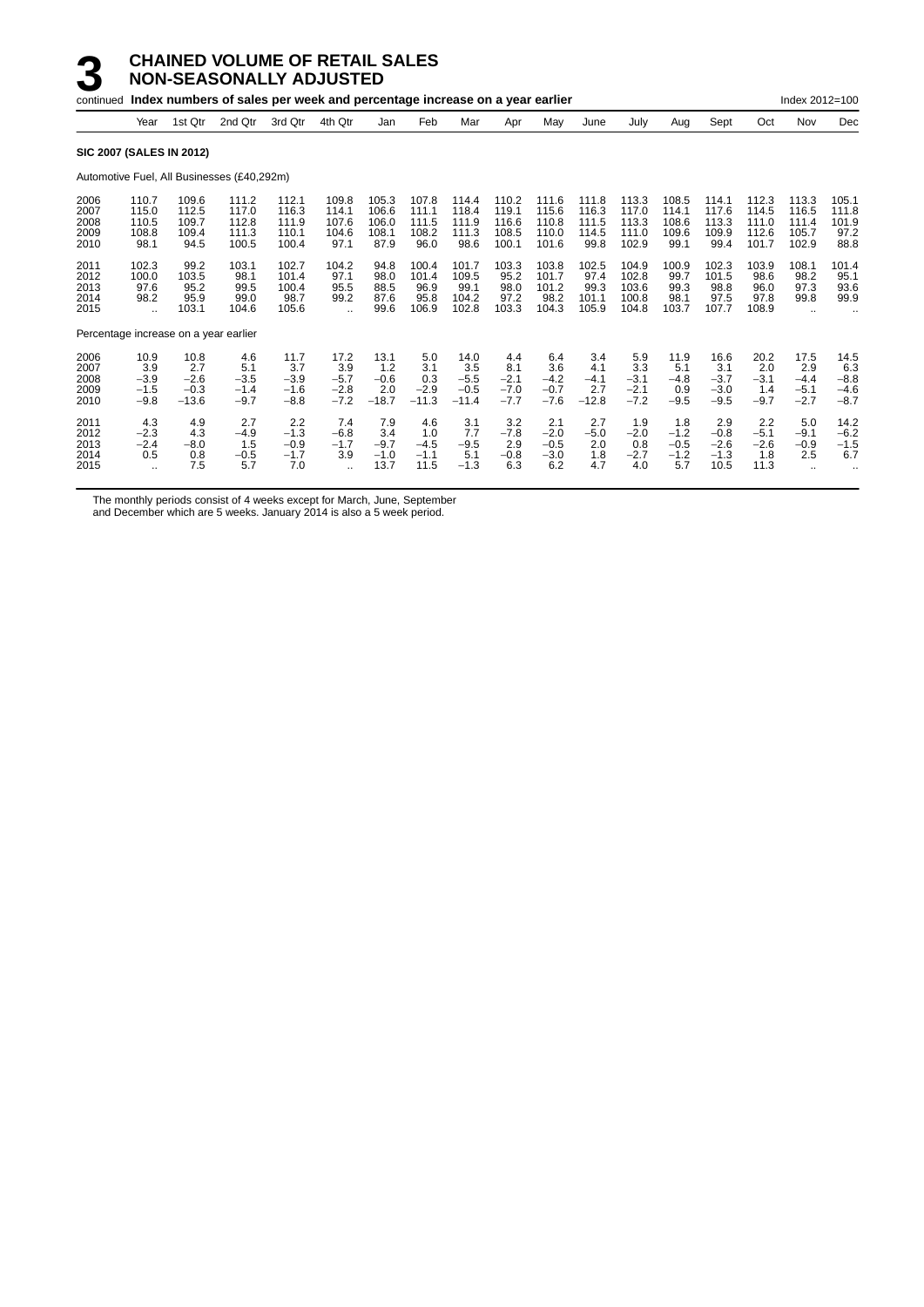|                                       |                                                        |                                            | continued Index numbers of sales per week and percentage increase on a year earlier |                                           |                                                        |                                          |                                          |                                            |                                           |                                           |                                          |                                           |                                          |                                           |                                           | Index 2012=100                                         |                                           |
|---------------------------------------|--------------------------------------------------------|--------------------------------------------|-------------------------------------------------------------------------------------|-------------------------------------------|--------------------------------------------------------|------------------------------------------|------------------------------------------|--------------------------------------------|-------------------------------------------|-------------------------------------------|------------------------------------------|-------------------------------------------|------------------------------------------|-------------------------------------------|-------------------------------------------|--------------------------------------------------------|-------------------------------------------|
|                                       | Year                                                   | 1st Qtr                                    | 2nd Qtr                                                                             | 3rd Qtr                                   | 4th Qtr                                                | Jan                                      | Feb                                      | Mar                                        | Apr                                       | May                                       | June                                     | July                                      | Aug                                      | Sept                                      | Oct                                       | Nov                                                    | Dec                                       |
| <b>SIC 2007 (SALES IN 2012)</b>       |                                                        |                                            |                                                                                     |                                           |                                                        |                                          |                                          |                                            |                                           |                                           |                                          |                                           |                                          |                                           |                                           |                                                        |                                           |
|                                       |                                                        |                                            | Automotive Fuel, All Businesses (£40,292m)                                          |                                           |                                                        |                                          |                                          |                                            |                                           |                                           |                                          |                                           |                                          |                                           |                                           |                                                        |                                           |
| 2006<br>2007<br>2008<br>2009<br>2010  | 110.7<br>115.0<br>110.5<br>108.8<br>98.1               | 109.6<br>112.5<br>109.7<br>109.4<br>94.5   | 111.2<br>117.0<br>112.8<br>111.3<br>100.5                                           | 112.1<br>116.3<br>111.9<br>110.1<br>100.4 | 109.8<br>114.1<br>107.6<br>104.6<br>97.1               | 105.3<br>106.6<br>106.0<br>108.1<br>87.9 | 107.8<br>111.1<br>111.5<br>108.2<br>96.0 | 114.4<br>118.4<br>111.9<br>111.3<br>98.6   | 110.2<br>119.1<br>116.6<br>108.5<br>100.1 | 111.6<br>115.6<br>110.8<br>110.0<br>101.6 | 111.8<br>116.3<br>111.5<br>114.5<br>99.8 | 113.3<br>117.0<br>113.3<br>111.0<br>102.9 | 108.5<br>114.1<br>108.6<br>109.6<br>99.1 | 114.1<br>117.6<br>113.3<br>109.9<br>99.4  | 112.3<br>114.5<br>111.0<br>112.6<br>101.7 | 113.3<br>116.5<br>111.4<br>105.7<br>102.9              | 105.1<br>111.8<br>101.9<br>97.2<br>88.8   |
| 2011<br>2012<br>2013<br>2014<br>2015  | 102.3<br>100.0<br>97.6<br>98.2<br>$\ddot{\phantom{a}}$ | 99.2<br>103.5<br>95.2<br>95.9<br>103.1     | 103.1<br>98.1<br>99.5<br>99.0<br>104.6                                              | 102.7<br>101.4<br>100.4<br>98.7<br>105.6  | 104.2<br>97.1<br>95.5<br>99.2<br>$\ddotsc$             | 94.8<br>98.0<br>88.5<br>87.6<br>99.6     | 100.4<br>101.4<br>96.9<br>95.8<br>106.9  | 101.7<br>109.5<br>99.1<br>104.2<br>102.8   | 103.3<br>95.2<br>98.0<br>97.2<br>103.3    | 103.8<br>101.7<br>101.2<br>98.2<br>104.3  | 102.5<br>97.4<br>99.3<br>101.1<br>105.9  | 104.9<br>102.8<br>103.6<br>100.8<br>104.8 | 100.9<br>99.7<br>99.3<br>98.1<br>103.7   | 102.3<br>101.5<br>98.8<br>97.5<br>107.7   | 103.9<br>98.6<br>96.0<br>97.8<br>108.9    | 108.1<br>98.2<br>97.3<br>99.8                          | 101.4<br>95.1<br>93.6<br>99.9             |
| Percentage increase on a year earlier |                                                        |                                            |                                                                                     |                                           |                                                        |                                          |                                          |                                            |                                           |                                           |                                          |                                           |                                          |                                           |                                           |                                                        |                                           |
| 2006<br>2007<br>2008<br>2009<br>2010  | 10.9<br>3.9<br>$-3.9$<br>$-1.5$<br>$-9.8$              | 10.8<br>2.7<br>$-2.6$<br>$-0.3$<br>$-13.6$ | 4.6<br>5.1<br>$-3.5$<br>$-1.4$<br>$-9.7$                                            | 11.7<br>3.7<br>$-3.9$<br>$-1.6$<br>$-8.8$ | 17.2<br>3.9<br>$-5.7$<br>$-2.8$<br>$-7.2$              | 13.1<br>1.2<br>$-0.6$<br>2.0<br>$-18.7$  | 5.0<br>3.1<br>0.3<br>$-2.9$<br>$-11.3$   | 14.0<br>3.5<br>$-5.5$<br>$-0.5$<br>$-11.4$ | 4.4<br>8.1<br>$-2.1$<br>$-7.0$<br>$-7.7$  | 6.4<br>3.6<br>$-4.2$<br>$-0.7$<br>$-7.6$  | 3.4<br>4.1<br>$-4.1$<br>2.7<br>$-12.8$   | 5.9<br>3.3<br>$-3.1$<br>$-2.1$<br>$-7.2$  | 11.9<br>5.1<br>$-4.8$<br>0.9<br>$-9.5$   | 16.6<br>3.1<br>$-3.7$<br>$-3.0$<br>$-9.5$ | 20.2<br>2.0<br>$-3.1$<br>1.4<br>$-9.7$    | 17.5<br>2.9<br>$-4.4$<br>$-5.1$<br>$-2.7$              | 14.5<br>6.3<br>$-8.8$<br>$-4.6$<br>$-8.7$ |
| 2011<br>2012<br>2013<br>2014<br>2015  | 4.3<br>$-2.3$<br>$-2.4$<br>0.5<br>$\ddot{\phantom{a}}$ | 4.9<br>4.3<br>$-8.0$<br>0.8<br>7.5         | 2.7<br>$-4.9$<br>1.5<br>$-0.5$<br>5.7                                               | 2.2<br>$-1.3$<br>$-0.9$<br>$-1.7$<br>7.0  | 7.4<br>$-6.8$<br>$-1.7$<br>3.9<br>$\ddot{\phantom{a}}$ | 7.9<br>3.4<br>$-9.7$<br>$-1.0$<br>13.7   | 4.6<br>1.0<br>$-4.5$<br>$-1.1$<br>11.5   | 3.1<br>7.7<br>$-9.5$<br>5.1<br>$-1.3$      | 3.2<br>$-7.8$<br>2.9<br>$-0.8$<br>6.3     | 2.1<br>$-2.0$<br>$-0.5$<br>$-3.0$<br>6.2  | 2.7<br>$-5.0$<br>2.0<br>1.8<br>4.7       | 1.9<br>$-2.0$<br>0.8<br>$-2.7$<br>4.0     | 1.8<br>$-1.2$<br>$-0.5$<br>$-1.2$<br>5.7 | 2.9<br>$-0.8$<br>$-2.6$<br>$-1.3$<br>10.5 | 2.2<br>$-5.1$<br>$-2.6$<br>1.8<br>11.3    | 5.0<br>$-9.1$<br>$-0.9$<br>2.5<br>$\ddot{\phantom{a}}$ | 14.2<br>$-6.2$<br>$-1.5$<br>6.7           |

The monthly periods consist of 4 weeks except for March, June, September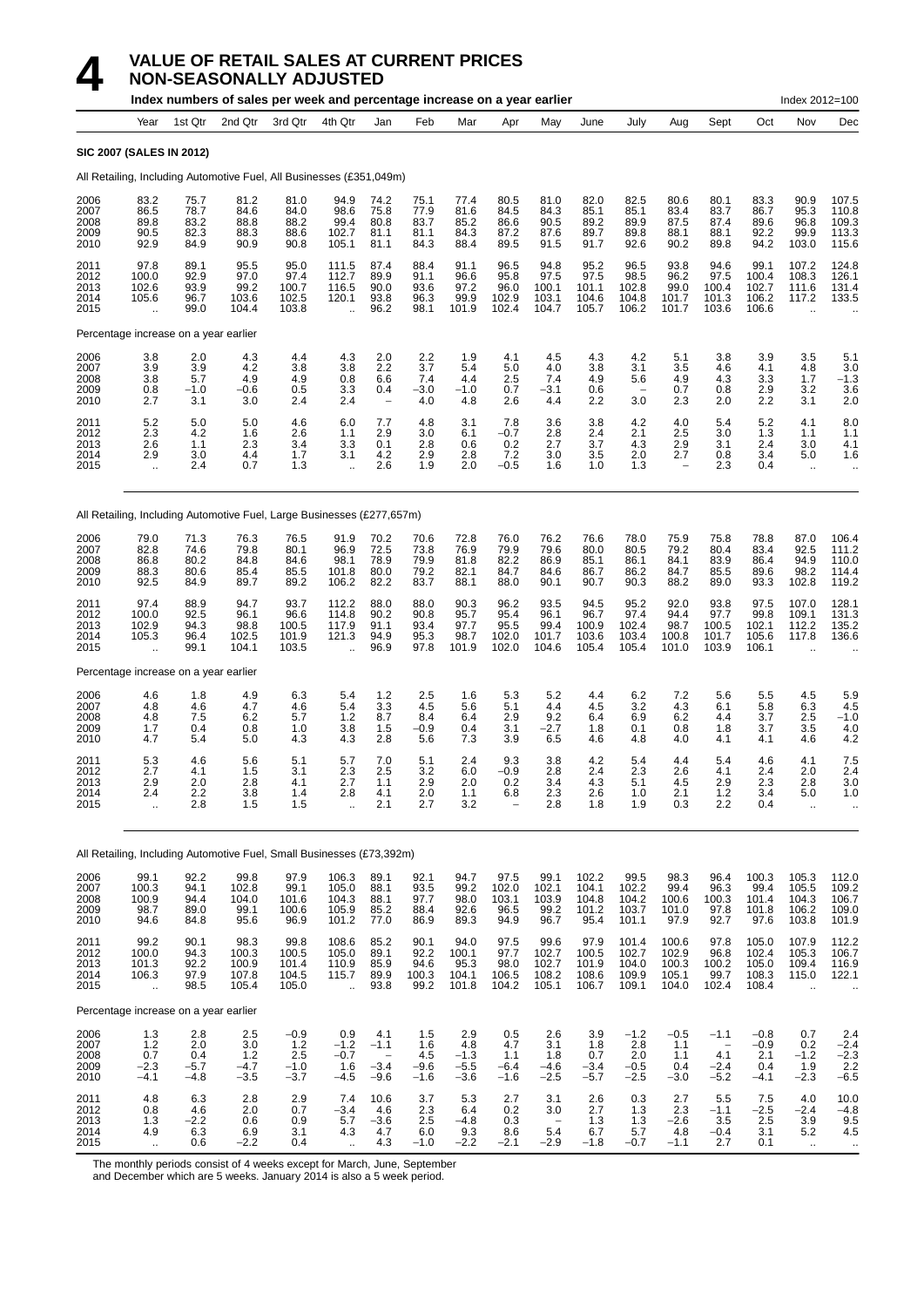|                                      |                                              |                                       | Index numbers of sales per week and percentage increase on a year earlier |                                          |                                                          |                                               |                                       |                                         |                                        |                                          |                                          |                                           |                                                      |                                         |                                           | Index 2012=100                               |                                                          |
|--------------------------------------|----------------------------------------------|---------------------------------------|---------------------------------------------------------------------------|------------------------------------------|----------------------------------------------------------|-----------------------------------------------|---------------------------------------|-----------------------------------------|----------------------------------------|------------------------------------------|------------------------------------------|-------------------------------------------|------------------------------------------------------|-----------------------------------------|-------------------------------------------|----------------------------------------------|----------------------------------------------------------|
|                                      | Year                                         | 1st Qtr                               | 2nd Qtr                                                                   | 3rd Qtr                                  | 4th Qtr                                                  | Jan                                           | Feb                                   | Mar                                     | Apr                                    | May                                      | June                                     | July                                      | Aug                                                  | Sept                                    | Oct                                       | Nov                                          | Dec                                                      |
|                                      | <b>SIC 2007 (SALES IN 2012)</b>              |                                       |                                                                           |                                          |                                                          |                                               |                                       |                                         |                                        |                                          |                                          |                                           |                                                      |                                         |                                           |                                              |                                                          |
|                                      |                                              |                                       | All Retailing, Including Automotive Fuel, All Businesses (£351,049m)      |                                          |                                                          |                                               |                                       |                                         |                                        |                                          |                                          |                                           |                                                      |                                         |                                           |                                              |                                                          |
| 2006<br>2007<br>2008<br>2009<br>2010 | 83.2<br>86.5<br>89.8<br>90.5<br>92.9         | 75.7<br>78.7<br>83.2<br>82.3<br>84.9  | 81.2<br>84.6<br>88.8<br>88.3<br>90.9                                      | 81.0<br>84.0<br>88.2<br>88.6<br>90.8     | 94.9<br>98.6<br>99.4<br>102.7<br>105.1                   | 74.2<br>75.8<br>80.8<br>81.1<br>81.1          | 75.1<br>77.9<br>83.7<br>81.1<br>84.3  | 77.4<br>81.6<br>85.2<br>84.3<br>88.4    | 80.5<br>84.5<br>86.6<br>87.2<br>89.5   | 81.0<br>84.3<br>90.5<br>87.6<br>91.5     | 82.0<br>85.1<br>89.2<br>89.7<br>91.7     | 82.5<br>85.1<br>89.9<br>89.8<br>92.6      | 80.6<br>83.4<br>87.5<br>88.1<br>90.2                 | 80.1<br>83.7<br>87.4<br>88.1<br>89.8    | 83.3<br>86.7<br>89.6<br>92.2<br>94.2      | 90.9<br>95.3<br>96.8<br>99.9<br>103.0        | 107.5<br>110.8<br>109.3<br>113.3<br>115.6                |
| 2011<br>2012<br>2013<br>2014<br>2015 | 97.8<br>100.0<br>102.6<br>105.6              | 89.1<br>92.9<br>93.9<br>96.7<br>99.0  | 95.5<br>97.0<br>99.2<br>103.6<br>104.4                                    | 95.0<br>97.4<br>100.7<br>102.5<br>103.8  | 111.5<br>112.7<br>116.5<br>120.1                         | 87.4<br>89.9<br>90.0<br>93.8<br>96.2          | 88.4<br>91.1<br>93.6<br>96.3<br>98.1  | 91.1<br>96.6<br>97.2<br>99.9<br>101.9   | 96.5<br>95.8<br>96.0<br>102.9<br>102.4 | 94.8<br>97.5<br>100.1<br>103.1<br>104.7  | 95.2<br>97.5<br>101.1<br>104.6<br>105.7  | 96.5<br>98.5<br>102.8<br>104.8<br>106.2   | 93.8<br>96.2<br>99.0<br>101.7<br>101.7               | 94.6<br>97.5<br>100.4<br>101.3<br>103.6 | 99.1<br>100.4<br>102.7<br>106.2<br>106.6  | 107.2<br>108.3<br>111.6<br>117.2             | 124.8<br>126.1<br>131.4<br>133.5                         |
|                                      |                                              | Percentage increase on a year earlier |                                                                           |                                          |                                                          |                                               |                                       |                                         |                                        |                                          |                                          |                                           |                                                      |                                         |                                           |                                              |                                                          |
| 2006<br>2007<br>2008<br>2009<br>2010 | 3.8<br>3.9<br>3.8<br>0.8<br>2.7              | 2.0<br>3.9<br>5.7<br>-1.0<br>3.1      | 4.3<br>4.2<br>4.9<br>-0.6<br>3.0                                          | 4.4<br>3.8<br>4.9<br>0.5<br>2.4          | 4.3<br>3.8<br>0.8<br>3.3<br>2.4                          | 2.0<br>2.2<br>6.6<br>0.4<br>$\qquad \qquad -$ | 2.2<br>3.7<br>7.4<br>$-3.0$<br>4.0    | 1.9<br>5.4<br>4.4<br>$-1.0$<br>4.8      | 4.1<br>5.0<br>2.5<br>0.7<br>2.6        | 4.5<br>4.0<br>7.4<br>-3.1<br>4.4         | 4.3<br>3.8<br>4.9<br>0.6<br>2.2          | 4.2<br>3.1<br>5.6<br>3.0                  | 5.1<br>3.5<br>4.9<br>0.7<br>2.3                      | 3.8<br>4.6<br>4.3<br>0.8<br>2.0         | 3.9<br>4.1<br>3.3<br>2.9<br>2.2           | 3.5<br>4.8<br>1.7<br>3.2<br>3.1              | 5.1<br>3.0<br>$-1.3$<br>3.6<br>2.0                       |
| 2011<br>2012<br>2013<br>2014<br>2015 | 5.2<br>2.3<br>2.6<br>2.9<br>$\ddotsc$        | 5.0<br>4.2<br>1.1<br>3.0<br>2.4       | 5.0<br>1.6<br>2.3<br>4.4<br>0.7                                           | 4.6<br>2.6<br>3.4<br>1.7<br>1.3          | 6.0<br>1.1<br>3.3<br>3.1<br>$\ddot{\phantom{1}}$         | 7.7<br>2.9<br>0.1<br>4.2<br>2.6               | 4.8<br>3.0<br>2.8<br>2.9<br>1.9       | 3.1<br>6.1<br>0.6<br>2.8<br>2.0         | 7.8<br>$-0.7$<br>0.2<br>7.2<br>$-0.5$  | 3.6<br>2.8<br>2.7<br>3.0<br>1.6          | 3.8<br>2.4<br>3.7<br>3.5<br>1.0          | 4.2<br>2.1<br>4.3<br>2.0<br>1.3           | 4.0<br>2.5<br>2.9<br>2.7<br>$\overline{\phantom{0}}$ | 5.4<br>3.0<br>3.1<br>0.8<br>2.3         | 5.2<br>1.3<br>2.4<br>3.4<br>0.4           | 4.1<br>1.1<br>3.0<br>5.0<br>ä.               | 8.0<br>1.1<br>4.1<br>1.6<br>$\ddot{\phantom{a}}$         |
|                                      |                                              |                                       | All Retailing, Including Automotive Fuel, Large Businesses (£277,657m)    |                                          |                                                          |                                               |                                       |                                         |                                        |                                          |                                          |                                           |                                                      |                                         |                                           |                                              |                                                          |
| 2006<br>2007<br>2008<br>2009<br>2010 | 79.0<br>82.8<br>86.8<br>88.3<br>92.5         | 71.3<br>74.6<br>80.2<br>80.6<br>84.9  | 76.3<br>79.8<br>84.8<br>85.4<br>89.7                                      | 76.5<br>80.1<br>84.6<br>85.5<br>89.2     | 91.9<br>96.9<br>98.1<br>101.8<br>106.2                   | 70.2<br>72.5<br>78.9<br>80.0<br>82.2          | 70.6<br>73.8<br>79.9<br>79.2<br>83.7  | 72.8<br>76.9<br>81.8<br>82.1<br>88.1    | 76.0<br>79.9<br>82.2<br>84.7<br>88.0   | 76.2<br>79.6<br>86.9<br>84.6<br>90.1     | 76.6<br>80.0<br>85.1<br>86.7<br>90.7     | 78.0<br>80.5<br>86.1<br>86.2<br>90.3      | 75.9<br>79.2<br>84.1<br>84.7<br>88.2                 | 75.8<br>80.4<br>83.9<br>85.5<br>89.0    | 78.8<br>83.4<br>86.4<br>89.6<br>93.3      | 87.0<br>92.5<br>94.9<br>98.2<br>102.8        | 106.4<br>111.2<br>110.0<br>114.4<br>119.2                |
| 2011<br>2012<br>2013<br>2014<br>2015 | 97.4<br>100.0<br>102.9<br>105.3              | 88.9<br>92.5<br>94.3<br>96.4<br>99.1  | 94.7<br>96.1<br>98.8<br>102.5<br>104.1                                    | 93.7<br>96.6<br>100.5<br>101.9<br>103.5  | 112.2<br>114.8<br>117.9<br>121.3<br>$\ddot{\phantom{a}}$ | 88.0<br>90.2<br>91.1<br>94.9<br>96.9          | 88.0<br>90.8<br>93.4<br>95.3<br>97.8  | 90.3<br>95.7<br>97.7<br>98.7<br>101.9   | 96.2<br>95.4<br>95.5<br>102.0<br>102.0 | 93.5<br>96.1<br>99.4<br>101.7<br>104.6   | 94.5<br>96.7<br>100.9<br>103.6<br>105.4  | 95.2<br>97.4<br>102.4<br>103.4<br>105.4   | 92.0<br>94.4<br>98.7<br>100.8<br>101.0               | 93.8<br>97.7<br>100.5<br>101.7<br>103.9 | 97.5<br>99.8<br>102.1<br>105.6<br>106.1   | 107.0<br>109.1<br>112.2<br>117.8             | 128.1<br>131.3<br>135.2<br>136.6                         |
|                                      |                                              | Percentage increase on a year earlier |                                                                           |                                          |                                                          |                                               |                                       |                                         |                                        |                                          |                                          |                                           |                                                      |                                         |                                           |                                              |                                                          |
| 2006<br>2007<br>2008<br>2009<br>2010 | 4.6<br>4.8<br>4.8<br>1.7<br>4.7              | 1.8<br>4.6<br>7.5<br>0.4<br>5.4       | 4.9<br>4.7<br>6.2<br>0.8<br>5.0                                           | 6.3<br>4.6<br>5.7<br>1.0<br>4.3          | 5.4<br>5.4<br>1.2<br>3.8<br>4.3                          | $1.2$<br>3.3<br>8.7<br>1.5<br>2.8             | 2.5<br>4.5<br>8.4<br>$-0.9$<br>5.6    | 1.6<br>5.6<br>6.4<br>0.4<br>7.3         | 5.3<br>5.1<br>2.9<br>3.1<br>3.9        | 5.2<br>4.4<br>9.2<br>$-2.7$<br>6.5       | 4.4<br>4.5<br>6.4<br>1.8<br>4.6          | 6.2<br>3.2<br>6.9<br>0.1<br>4.8           | 7.2<br>4.3<br>6.2<br>0.8<br>4.0                      | 5.6<br>6.1<br>4.4<br>1.8<br>4.1         | 5.5<br>5.8<br>3.7<br>3.7<br>4.1           | 4.5<br>6.3<br>2.5<br>3.5<br>4.6              | 5.9<br>4.5<br>-1.0<br>4.0<br>4.2                         |
| 2011<br>2012<br>2013<br>2014<br>2015 | 5.3<br>2.7<br>2.9<br>2.4<br>à.               | 4.6<br>4.1<br>2.0<br>2.2<br>2.8       | 5.6<br>1.5<br>2.8<br>3.8<br>1.5                                           | 5.1<br>3.1<br>4.1<br>1.4<br>1.5          | 5.7<br>2.3<br>2.7<br>2.8<br>ă,                           | 7.0<br>2.5<br>1.1<br>4.1<br>2.1               | 5.1<br>3.2<br>2.9<br>2.0<br>2.7       | 2.4<br>6.0<br>2.0<br>1.1<br>3.2         | 9.3<br>$-0.9$<br>0.2<br>6.8            | 3.8<br>2.8<br>3.4<br>2.3<br>2.8          | 4.2<br>2.4<br>4.3<br>2.6<br>1.8          | 5.4<br>2.3<br>5.1<br>1.0<br>1.9           | 4.4<br>2.6<br>4.5<br>2.1<br>0.3                      | 5.4<br>4.1<br>2.9<br>1.2<br>2.2         | 4.6<br>2.4<br>2.3<br>3.4<br>0.4           | 4.1<br>2.0<br>2.8<br>5.0<br>ä,               | 7.5<br>2.4<br>3.0<br>1.0<br>$\ddot{\phantom{a}}$         |
|                                      |                                              |                                       | All Retailing, Including Automotive Fuel, Small Businesses (£73,392m)     |                                          |                                                          |                                               |                                       |                                         |                                        |                                          |                                          |                                           |                                                      |                                         |                                           |                                              |                                                          |
| 2006<br>2007<br>2008<br>2009<br>2010 | 99.1<br>100.3<br>100.9<br>98.7<br>94.6       | 92.2<br>94.1<br>94.4<br>89.0<br>84.8  | 99.8<br>102.8<br>104.0<br>99.1<br>95.6                                    | 97.9<br>99.1<br>101.6<br>100.6<br>96.9   | 106.3<br>105.0<br>104.3<br>105.9<br>101.2                | 89.1<br>88.1<br>88.1<br>85.2<br>77.0          | 92.1<br>93.5<br>97.7<br>88.4<br>86.9  | 94.7<br>99.2<br>98.0<br>92.6<br>89.3    | 97.5<br>102.0<br>103.1<br>96.5<br>94.9 | 99.1<br>102.1<br>103.9<br>99.2<br>96.7   | 102.2<br>104.1<br>104.8<br>101.2<br>95.4 | 99.5<br>102.2<br>104.2<br>103.7<br>101.1  | 98.3<br>99.4<br>100.6<br>101.0<br>97.9               | 96.4<br>96.3<br>100.3<br>97.8<br>92.7   | 100.3<br>99.4<br>101.4<br>101.8<br>97.6   | 105.3<br>105.5<br>104.3<br>106.2<br>103.8    | 112.0<br>109.2<br>106.7<br>109.0<br>101.9                |
| 2011<br>2012<br>2013<br>2014<br>2015 | 99.2<br>100.0<br>101.3<br>106.3<br>$\ddotsc$ | 90.1<br>94.3<br>92.2<br>97.9<br>98.5  | 98.3<br>100.3<br>100.9<br>107.8<br>105.4                                  | 99.8<br>100.5<br>101.4<br>104.5<br>105.0 | 108.6<br>105.0<br>110.9<br>115.7<br>μ,                   | 85.2<br>89.1<br>85.9<br>89.9<br>93.8          | 90.1<br>92.2<br>94.6<br>100.3<br>99.2 | 94.0<br>100.1<br>95.3<br>104.1<br>101.8 | 97.5<br>97.7<br>98.0<br>106.5<br>104.2 | 99.6<br>102.7<br>102.7<br>108.2<br>105.1 | 97.9<br>100.5<br>101.9<br>108.6<br>106.7 | 101.4<br>102.7<br>104.0<br>109.9<br>109.1 | 100.6<br>102.9<br>100.3<br>105.1<br>104.0            | 97.8<br>96.8<br>100.2<br>99.7<br>102.4  | 105.0<br>102.4<br>105.0<br>108.3<br>108.4 | 107.9<br>105.3<br>109.4<br>115.0<br>$\ldots$ | 112.2<br>106.7<br>116.9<br>122.1<br>$\ddot{\phantom{0}}$ |

Percentage increase on a year earlier 2006 1.3 2.8 2.5 −0.9 0.9 4.1 1.5 2.9 0.5 2.6 3.9 −1.2 −0.5 −1.1 −0.8 0.7 2.4 2007 1.2 2.0 3.0 1.2 −1.2 −1.1 1.6 4.8 4.7 3.1 1.8 2.8 1.1 − −0.9 0.2 −2.4 2008 0.7 0.4 1.2 2.5 −0.7 − 4.5 −1.3 1.1 1.8 0.7 2.0 1.1 4.1 2.1 −1.2 −2.3 2009 −2.3 −5.7 −4.7 −1.0 1.6 −3.4 −9.6 −5.5 −6.4 −4.6 −3.4 −0.5 0.4 −2.4 0.4 1.9 2.2 2010 −4.1 −4.8 −3.5 −3.7 −4.5 −9.6 −1.6 −3.6 −1.6 −2.5 −5.7 −2.5 −3.0 −5.2 −4.1 −2.3 −6.5 2011 4.8 6.3 2.8 2.9 7.4 10.6 3.7 5.3 2.7 3.1 2.6 0.3 2.7 5.5 7.5 4.0 10.0 2012 0.8 4.6 2.0 0.7 −3.4 4.6 2.3 6.4 0.2 3.0 2.7 1.3 2.3 −1.1 −2.5 −2.4 −4.8 2013 1.3 −2.2 0.6 0.9 5.7 −3.6 2.5 −4.8 0.3 − 1.3 1.3 −2.6 3.5 2.5 3.9 9.5 2014 4.9 6.3 6.9 3.1 4.3 4.7 6.0 9.3 8.6 5.4 6.7 5.7 4.8 −0.4 3.1 5.2 4.5 2015 .. 0.6 −2.2 0.4 .. 4.3 −1.0 −2.2 −2.1 −2.9 −1.8 −0.7 −1.1 2.7 0.1 .. ..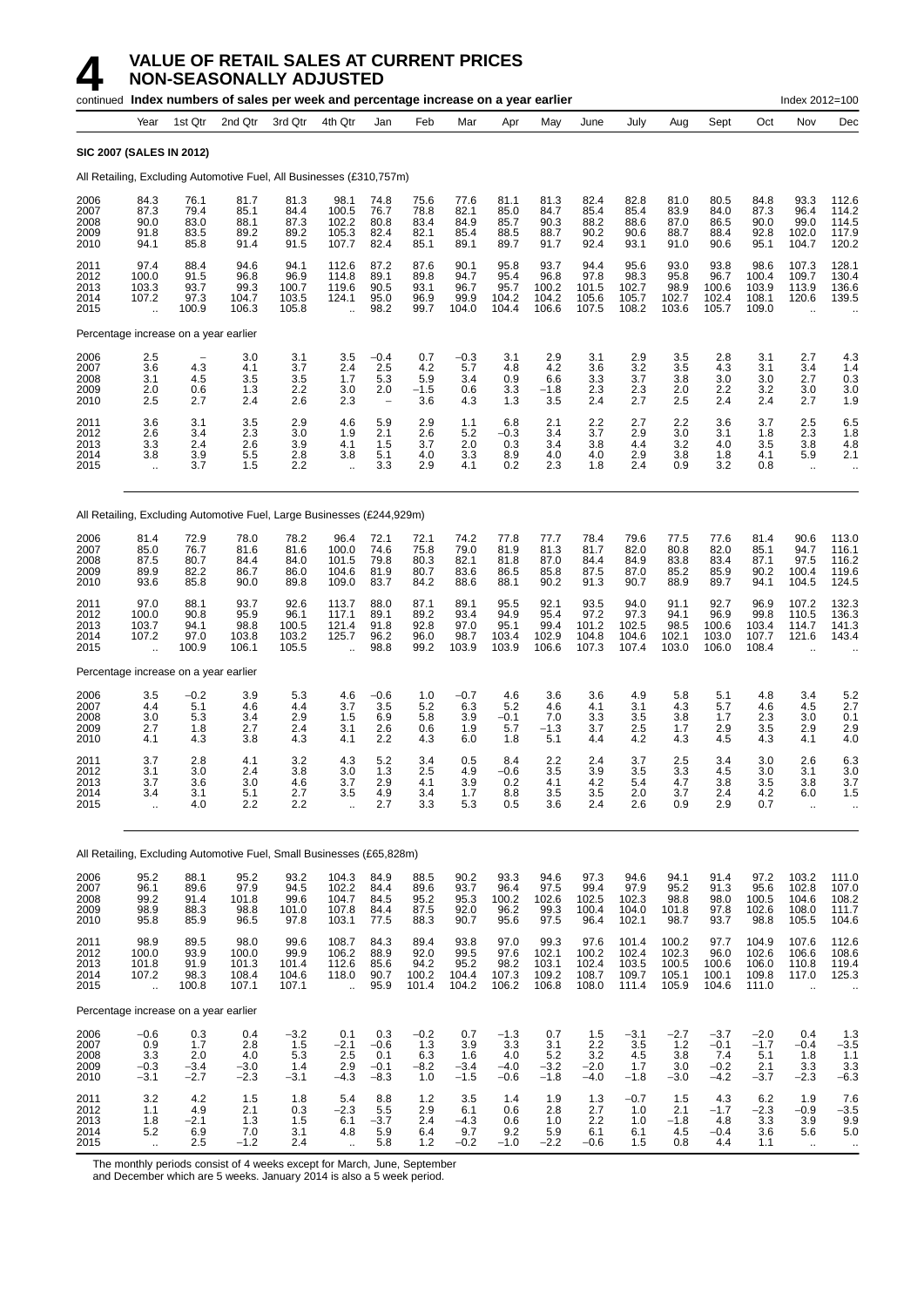|                                      |                                                         |                                       | continued Index numbers of sales per week and percentage increase on a year earlier |                                         |                                                          |                                          |                                        |                                        |                                          |                                          |                                          |                                           |                                           |                                             |                                           | Index 2012=100                                           |                                                                |
|--------------------------------------|---------------------------------------------------------|---------------------------------------|-------------------------------------------------------------------------------------|-----------------------------------------|----------------------------------------------------------|------------------------------------------|----------------------------------------|----------------------------------------|------------------------------------------|------------------------------------------|------------------------------------------|-------------------------------------------|-------------------------------------------|---------------------------------------------|-------------------------------------------|----------------------------------------------------------|----------------------------------------------------------------|
|                                      | Year                                                    | 1st Qtr                               | 2nd Qtr                                                                             | 3rd Qtr                                 | 4th Qtr                                                  | Jan                                      | Feb                                    | Mar                                    | Apr                                      | May                                      | June                                     | July                                      | Aug                                       | Sept                                        | Oct                                       | Nov                                                      | Dec                                                            |
|                                      | <b>SIC 2007 (SALES IN 2012)</b>                         |                                       |                                                                                     |                                         |                                                          |                                          |                                        |                                        |                                          |                                          |                                          |                                           |                                           |                                             |                                           |                                                          |                                                                |
|                                      |                                                         |                                       | All Retailing, Excluding Automotive Fuel, All Businesses (£310,757m)                |                                         |                                                          |                                          |                                        |                                        |                                          |                                          |                                          |                                           |                                           |                                             |                                           |                                                          |                                                                |
| 2006<br>2007<br>2008<br>2009<br>2010 | 84.3<br>87.3<br>90.0<br>91.8<br>94.1                    | 76.1<br>79.4<br>83.0<br>83.5<br>85.8  | 81.7<br>85.1<br>88.1<br>89.2<br>91.4                                                | 81.3<br>84.4<br>87.3<br>89.2<br>91.5    | 98.1<br>100.5<br>102.2<br>105.3<br>107.7                 | 74.8<br>76.7<br>80.8<br>82.4<br>82.4     | 75.6<br>78.8<br>83.4<br>82.1<br>85.1   | 77.6<br>82.1<br>84.9<br>85.4<br>89.1   | 81.1<br>85.0<br>85.7<br>88.5<br>89.7     | 81.3<br>84.7<br>90.3<br>88.7<br>91.7     | 82.4<br>85.4<br>88.2<br>90.2<br>92.4     | 82.8<br>85.4<br>88.6<br>90.6<br>93.1      | 81.0<br>83.9<br>87.0<br>88.7<br>91.0      | 80.5<br>84.0<br>86.5<br>88.4<br>90.6        | 84.8<br>87.3<br>90.0<br>92.8<br>95.1      | 93.3<br>96.4<br>99.0<br>102.0<br>104.7                   | 112.6<br>114.2<br>114.5<br>117.9<br>120.2                      |
| 2011<br>2012<br>2013<br>2014<br>2015 | 97.4<br>100.0<br>103.3<br>107.2<br>$\ddot{\phantom{a}}$ | 88.4<br>91.5<br>93.7<br>97.3<br>100.9 | 94.6<br>96.8<br>99.3<br>104.7<br>106.3                                              | 94.1<br>96.9<br>100.7<br>103.5<br>105.8 | 112.6<br>114.8<br>119.6<br>124.1<br>$\ddot{\phantom{a}}$ | 87.2<br>89.1<br>90.5<br>95.0<br>98.2     | 87.6<br>89.8<br>93.1<br>96.9<br>99.7   | 90.1<br>94.7<br>96.7<br>99.9<br>104.0  | 95.8<br>95.4<br>95.7<br>104.2<br>104.4   | 93.7<br>96.8<br>100.2<br>104.2<br>106.6  | 94.4<br>97.8<br>101.5<br>105.6<br>107.5  | 95.6<br>98.3<br>102.7<br>105.7<br>108.2   | 93.0<br>95.8<br>98.9<br>102.7<br>103.6    | 93.8<br>96.7<br>100.6<br>102.4<br>105.7     | 98.6<br>100.4<br>103.9<br>108.1<br>109.0  | 107.3<br>109.7<br>113.9<br>120.6<br>$\ddot{\phantom{a}}$ | 128.1<br>130.4<br>136.6<br>139.5                               |
|                                      | Percentage increase on a year earlier                   |                                       |                                                                                     |                                         |                                                          |                                          |                                        |                                        |                                          |                                          |                                          |                                           |                                           |                                             |                                           |                                                          |                                                                |
| 2006<br>2007<br>2008<br>2009<br>2010 | 2.5<br>3.6<br>3.1<br>2.0<br>2.5                         | 4.3<br>4.5<br>0.6<br>2.7              | 3.0<br>4.1<br>3.5<br>1.3<br>2.4                                                     | 3.1<br>3.7<br>$\frac{3.5}{2.2}$<br>2.6  | 3.5<br>2.4<br>1.7<br>3.0<br>2.3                          | $-0.4$<br>2.5<br>5.3<br>2.0              | 0.7<br>4.2<br>5.9<br>$-1.5$<br>3.6     | $-0.3$<br>5.7<br>3.4<br>0.6<br>4.3     | 3.1<br>4.8<br>0.9<br>3.3<br>1.3          | 2.9<br>4.2<br>6.6<br>-1.8<br>3.5         | 3.1<br>3.6<br>3.3<br>2.3<br>2.4          | 2.9<br>3.2<br>3.7<br>2.3<br>2.7           | 3.5<br>3.5<br>3.8<br>2.0<br>2.5           | 2.8<br>4.3<br>3.0<br>2.2<br>2.4             | 3.1<br>3.1<br>3.0<br>3.2<br>2.4           | 2.7<br>3.4<br>2.7<br>3.0<br>2.7                          | 4.3<br>1.4<br>$\begin{array}{c} 0.3 \\ 3.0 \end{array}$<br>1.9 |
| 2011<br>2012<br>2013<br>2014<br>2015 | 3.6<br>2.6<br>3.3<br>3.8<br>$\ddotsc$                   | 3.1<br>3.4<br>2.4<br>3.9<br>3.7       | 3.5<br>2.3<br>2.6<br>5.5<br>1.5                                                     | 2.9<br>3.0<br>3.9<br>2.8<br>2.2         | 4.6<br>1.9<br>4.1<br>3.8<br>$\ddotsc$                    | 5.9<br>2.1<br>1.5<br>5.1<br>3.3          | 2.9<br>2.6<br>3.7<br>4.0<br>2.9        | 1.1<br>5.2<br>2.0<br>3.3<br>4.1        | 6.8<br>-0.3<br>0.3<br>8.9<br>0.2         | 2.1<br>3.4<br>3.4<br>4.0<br>2.3          | 2.2<br>3.7<br>3.8<br>4.0<br>1.8          | 2.7<br>2.9<br>4.4<br>2.9<br>2.4           | 2.2<br>3.0<br>3.2<br>3.8<br>0.9           | 3.6<br>3.1<br>4.0<br>1.8<br>3.2             | 3.7<br>1.8<br>3.5<br>4.1<br>0.8           | 2.5<br>2.3<br>3.8<br>5.9<br>$\ddotsc$                    | 6.5<br>1.8<br>4.8<br>2.1                                       |
|                                      |                                                         |                                       | All Retailing, Excluding Automotive Fuel, Large Businesses (£244,929m)              |                                         |                                                          |                                          |                                        |                                        |                                          |                                          |                                          |                                           |                                           |                                             |                                           |                                                          |                                                                |
| 2006<br>2007<br>2008<br>2009<br>2010 | 81.4<br>85.0<br>87.5<br>89.9<br>93.6                    | 72.9<br>76.7<br>80.7<br>82.2<br>85.8  | 78.0<br>81.6<br>84.4<br>86.7<br>90.0                                                | 78.2<br>81.6<br>84.0<br>86.0<br>89.8    | 96.4<br>100.0<br>101.5<br>104.6<br>109.0                 | 72.1<br>74.6<br>79.8<br>81.9<br>83.7     | 72.1<br>75.8<br>80.3<br>80.7<br>84.2   | 74.2<br>79.0<br>82.1<br>83.6<br>88.6   | 77.8<br>81.9<br>81.8<br>86.5<br>88.1     | 77.7<br>81.3<br>87.0<br>85.8<br>90.2     | 78.4<br>81.7<br>84.4<br>87.5<br>91.3     | 79.6<br>82.0<br>84.9<br>87.0<br>90.7      | 77.5<br>80.8<br>83.8<br>85.2<br>88.9      | 77.6<br>82.0<br>83.4<br>85.9<br>89.7        | 81.4<br>85.1<br>87.1<br>90.2<br>94.1      | 90.6<br>94.7<br>97.5<br>100.4<br>104.5                   | 113.0<br>116.1<br>116.2<br>119.6<br>124.5                      |
| 2011<br>2012<br>2013<br>2014<br>2015 | 97.0<br>100.0<br>103.7<br>107.2<br>$\ddot{\phantom{a}}$ | 88.1<br>90.8<br>94.1<br>97.0<br>100.9 | 93.7<br>95.9<br>98.8<br>103.8<br>106.1                                              | 92.6<br>96.1<br>100.5<br>103.2<br>105.5 | 113.7<br>117.1<br>121.4<br>125.7                         | 88.0<br>89.1<br>91.8<br>96.2<br>98.8     | 87.1<br>89.2<br>92.8<br>96.0<br>99.2   | 89.1<br>93.4<br>97.0<br>98.7<br>103.9  | 95.5<br>94.9<br>95.1<br>103.4<br>103.9   | 92.1<br>95.4<br>99.4<br>102.9<br>106.6   | 93.5<br>97.2<br>101.2<br>104.8<br>107.3  | 94.0<br>97.3<br>102.5<br>104.6<br>107.4   | 91.1<br>94.1<br>98.5<br>102.1<br>103.0    | 92.7<br>96.9<br>100.6<br>103.0<br>106.0     | 96.9<br>99.8<br>103.4<br>107.7<br>108.4   | 107.2<br>110.5<br>114.7<br>121.6                         | 132.3<br>136.3<br>141.3<br>143.4                               |
|                                      | Percentage increase on a year earlier                   |                                       |                                                                                     |                                         |                                                          |                                          |                                        |                                        |                                          |                                          |                                          |                                           |                                           |                                             |                                           |                                                          |                                                                |
| 2006<br>2007<br>2008<br>2009<br>2010 | 3.5<br>4.4<br>3.0<br>2.7<br>4.1                         | $-0.2$<br>5.1<br>5.3<br>1.8<br>4.3    | 3.9<br>4.6<br>3.4<br>2.7<br>3.8                                                     | 5.3<br>4.4<br>2.9<br>2.4<br>4.3         | 4.6<br>3.7<br>1.5<br>3.1<br>4.1                          | -0.6<br>3.5<br>6.9<br>2.6<br>2.2         | 1.0<br>5.2<br>5.8<br>0.6<br>4.3        | $-0.7$<br>6.3<br>3.9<br>1.9<br>6.0     | 4.6<br>5.2<br>$-0.1$<br>5.7<br>1.8       | 3.6<br>4.6<br>7.0<br>$-1.3$<br>5.1       | 3.6<br>4.1<br>3.3<br>3.7<br>4.4          | 4.9<br>3.1<br>3.5<br>2.5<br>4.2           | 5.8<br>4.3<br>3.8<br>1.7<br>4.3           | 5.1<br>5.7<br>1.7<br>2.9<br>4.5             | 4.8<br>4.6<br>2.3<br>3.5<br>4.3           | 3.4<br>4.5<br>3.0<br>2.9<br>4.1                          | $\frac{5.2}{2.7}$<br>0.1<br>2.9<br>4.0                         |
| 2011<br>2012<br>2013<br>2014<br>2015 | 3.7<br>3.1<br>3.7<br>3.4<br>$\ddot{\phantom{a}}$        | 2.8<br>3.0<br>3.6<br>3.1<br>4.0       | 4.1<br>2.4<br>3.0<br>5.1<br>2.2                                                     | 3.2<br>3.8<br>4.6<br>2.7<br>2.2         | 4.3<br>3.0<br>3.7<br>3.5                                 | 5.2<br>1.3<br>2.9<br>4.9<br>2.7          | 3.4<br>2.5<br>4.1<br>3.4<br>3.3        | 0.5<br>4.9<br>3.9<br>1.7<br>5.3        | 8.4<br>$-0.6$<br>0.2<br>8.8<br>0.5       | 2.2<br>3.5<br>4.1<br>3.5<br>3.6          | 2.4<br>3.9<br>4.2<br>3.5<br>2.4          | 3.7<br>3.5<br>5.4<br>2.0<br>2.6           | 2.5<br>3.3<br>4.7<br>3.7<br>0.9           | 3.4<br>4.5<br>3.8<br>2.4<br>2.9             | 3.0<br>3.0<br>3.5<br>4.2<br>0.7           | 2.6<br>3.1<br>3.8<br>6.0                                 | 6.3<br>3.0<br>3.7<br>1.5<br>$\ddotsc$                          |
|                                      |                                                         |                                       | All Retailing, Excluding Automotive Fuel, Small Businesses (£65,828m)               |                                         |                                                          |                                          |                                        |                                        |                                          |                                          |                                          |                                           |                                           |                                             |                                           |                                                          |                                                                |
| 2006<br>2007<br>2008<br>2009<br>2010 | 95.2<br>96.1<br>99.2<br>98.9<br>95.8                    | 88.1<br>89.6<br>91.4<br>88.3<br>85.9  | 95.2<br>97.9<br>101.8<br>98.8<br>96.5                                               | 93.2<br>94.5<br>99.6<br>101.0<br>97.8   | 104.3<br>102.2<br>104.7<br>107.8<br>103.1                | 84.9<br>84.4<br>84.5<br>84.4<br>77.5     | 88.5<br>89.6<br>95.2<br>87.5<br>88.3   | 90.2<br>93.7<br>95.3<br>92.0<br>90.7   | 93.3<br>96.4<br>100.2<br>96.2<br>95.6    | 94.6<br>97.5<br>102.6<br>99.3<br>97.5    | 97.3<br>99.4<br>102.5<br>100.4<br>96.4   | 94.6<br>97.9<br>102.3<br>104.0<br>102.1   | 94.1<br>95.2<br>98.8<br>101.8<br>98.7     | 91.4<br>91.3<br>98.0<br>97.8<br>93.7        | 97.2<br>95.6<br>100.5<br>102.6<br>98.8    | 103.2<br>102.8<br>104.6<br>108.0<br>105.5                | 111.0<br>107.0<br>108.2<br>$111.7$<br>104.6                    |
| 2011<br>2012<br>2013<br>2014<br>2015 | 98.9<br>100.0<br>101.8<br>107.2<br>$\ddotsc$            | 89.5<br>93.9<br>91.9<br>98.3<br>100.8 | 98.0<br>100.0<br>101.3<br>108.4<br>107.1                                            | 99.6<br>99.9<br>101.4<br>104.6<br>107.1 | 108.7<br>106.2<br>112.6<br>118.0                         | 84.3<br>88.9<br>85.6<br>90.7<br>95.9     | 89.4<br>92.0<br>94.2<br>100.2<br>101.4 | 93.8<br>99.5<br>95.2<br>104.4<br>104.2 | 97.0<br>97.6<br>98.2<br>107.3<br>106.2   | 99.3<br>102.1<br>103.1<br>109.2<br>106.8 | 97.6<br>100.2<br>102.4<br>108.7<br>108.0 | 101.4<br>102.4<br>103.5<br>109.7<br>111.4 | 100.2<br>102.3<br>100.5<br>105.1<br>105.9 | 97.7<br>96.0<br>100.6<br>100.1<br>104.6     | 104.9<br>102.6<br>106.0<br>109.8<br>111.0 | 107.6<br>106.6<br>110.8<br>117.0                         | 112.6<br>108.6<br>119.4<br>125.3<br>$\ldots$                   |
|                                      | Percentage increase on a year earlier                   |                                       |                                                                                     |                                         |                                                          |                                          |                                        |                                        |                                          |                                          |                                          |                                           |                                           |                                             |                                           |                                                          |                                                                |
| 2006<br>2007<br>2008<br>2009<br>2010 | $-0.6$<br>$\frac{0.9}{3.3}$<br>$-0.3$<br>$-3.1$         | 0.3<br>1.7<br>2.0<br>$-3.4$<br>$-2.7$ | 0.4<br>2.8<br>4.0<br>$-3.0$<br>$-2.3$                                               | $-3.2$<br>1.5<br>5.3<br>1.4<br>$-3.1$   | 0.1<br>$-2.1$<br>2.5<br>2.9<br>$-4.3$                    | 0.3<br>$-0.6$<br>0.1<br>$-0.1$<br>$-8.3$ | $-0.2$<br>1.3<br>6.3<br>$-8.2$<br>1.0  | 0.7<br>3.9<br>1.6<br>$-3.4$<br>$-1.5$  | $-1.3$<br>3.3<br>4.0<br>$-4.0$<br>$-0.6$ | 0.7<br>3.1<br>5.2<br>$-3.2$<br>$-1.8$    | 1.5<br>2.2<br>3.2<br>$-2.0$<br>$-4.0$    | $-3.1$<br>3.5<br>4.5<br>1.7<br>$-1.8$     | $-2.7$<br>$1.2$<br>3.8<br>3.0<br>$-3.0$   | $-3.7$<br>$-0.1$<br>7.4<br>$-0.2$<br>$-4.2$ | $-2.0$<br>$-1.7$<br>5.1<br>2.1<br>$-3.7$  | 0.4<br>$-0.4$<br>1.8<br>3.3<br>$-2.3$                    | $1.3 - 3.5$<br>1.1<br>$3.3\,$<br>$-6.3$                        |
| 2011<br>2012                         | 3.2<br>1.1                                              | 4.2<br>4.9                            | 1.5<br>2.1                                                                          | 1.8<br>0.3                              | 5.4<br>$-2.3$                                            | 8.8<br>5.5                               | 1.2<br>2.9                             | 3.5<br>6.1                             | 1.4<br>0.6                               | 1.9<br>2.8                               | 1.3<br>2.7                               | $-0.7$<br>1.0                             | 1.5<br>2.1                                | 4.3<br>$-1.7$                               | 6.2<br>$-2.3$                             | 1.9<br>$-0.9$                                            | 7.6<br>$-3.5$                                                  |

2013 1.8 −2.1 1.3 1.5 6.1 −3.7 2.4 −4.3 0.6 1.0 2.2 1.0 −1.8 4.8 3.3 3.9 9.9 2014 5.2 6.9 7.0 3.1 4.8 5.9 6.4 9.7 9.2 5.9 6.1 6.1 4.5 −0.4 3.6 5.6 5.0 2015 .. 2.5 −1.2 2.4 .. 5.8 1.2 −0.2 −1.0 −2.2 −0.6 1.5 0.8 4.4 1.1 .. ..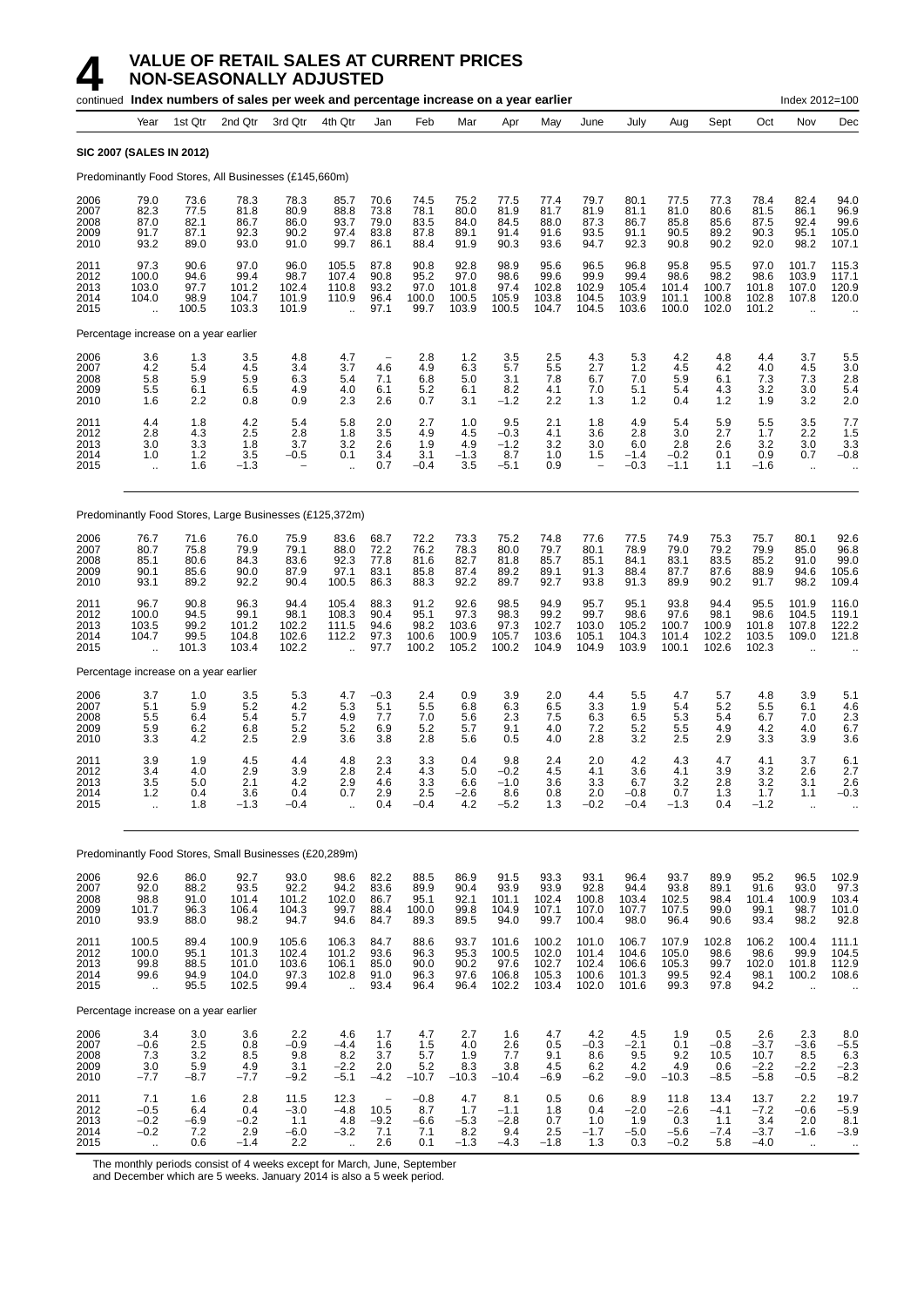| continued Index numbers of sales per week and percentage increase on a year earlier<br>Index 2012=100 |                                                         |                                        |                                                         |                                         |                                                          |                                                               |                                        |                                         |                                                                |                                           |                                           |                                           |                                           |                                         |                                           |                                                          |                                          |
|-------------------------------------------------------------------------------------------------------|---------------------------------------------------------|----------------------------------------|---------------------------------------------------------|-----------------------------------------|----------------------------------------------------------|---------------------------------------------------------------|----------------------------------------|-----------------------------------------|----------------------------------------------------------------|-------------------------------------------|-------------------------------------------|-------------------------------------------|-------------------------------------------|-----------------------------------------|-------------------------------------------|----------------------------------------------------------|------------------------------------------|
|                                                                                                       | Year                                                    | 1st Qtr                                | 2nd Qtr                                                 | 3rd Qtr                                 | 4th Qtr                                                  | Jan                                                           | Feb                                    | Mar                                     | Apr                                                            | May                                       | June                                      | July                                      | Aug                                       | Sept                                    | Oct                                       | Nov                                                      | Dec                                      |
|                                                                                                       | <b>SIC 2007 (SALES IN 2012)</b>                         |                                        |                                                         |                                         |                                                          |                                                               |                                        |                                         |                                                                |                                           |                                           |                                           |                                           |                                         |                                           |                                                          |                                          |
|                                                                                                       |                                                         |                                        | Predominantly Food Stores, All Businesses (£145,660m)   |                                         |                                                          |                                                               |                                        |                                         |                                                                |                                           |                                           |                                           |                                           |                                         |                                           |                                                          |                                          |
| 2006<br>2007<br>2008<br>2009<br>2010                                                                  | 79.0<br>82.3<br>87.0<br>91.7<br>93.2                    | 73.6<br>77.5<br>82.1<br>87.1<br>89.0   | 78.3<br>81.8<br>86.7<br>92.3<br>93.0                    | 78.3<br>80.9<br>86.0<br>90.2<br>91.0    | 85.7<br>88.8<br>93.7<br>97.4<br>99.7                     | 70.6<br>73.8<br>79.0<br>83.8<br>86.1                          | 74.5<br>78.1<br>83.5<br>87.8<br>88.4   | 75.2<br>80.0<br>84.0<br>89.1<br>91.9    | 77.5<br>81.9<br>84.5<br>91.4<br>90.3                           | 77.4<br>81.7<br>88.0<br>91.6<br>93.6      | 79.7<br>81.9<br>87.3<br>93.5<br>94.7      | 80.1<br>81.1<br>86.7<br>91.1<br>92.3      | 77.5<br>81.0<br>85.8<br>90.5<br>90.8      | 77.3<br>80.6<br>85.6<br>89.2<br>90.2    | 78.4<br>81.5<br>87.5<br>90.3<br>92.0      | 82.4<br>86.1<br>92.4<br>95.1<br>98.2                     | 94.0<br>96.9<br>99.6<br>105.0<br>107.1   |
| 2011<br>2012<br>2013<br>2014<br>2015                                                                  | 97.3<br>100.0<br>103.0<br>104.0<br>$\ddot{\phantom{a}}$ | 90.6<br>94.6<br>97.7<br>98.9<br>100.5  | 97.0<br>99.4<br>101.2<br>104.7<br>103.3                 | 96.0<br>98.7<br>102.4<br>101.9<br>101.9 | 105.5<br>107.4<br>110.8<br>110.9<br>$\ddot{\phantom{a}}$ | 87.8<br>90.8<br>93.2<br>96.4<br>97.1                          | 90.8<br>95.2<br>97.0<br>100.0<br>99.7  | 92.8<br>97.0<br>101.8<br>100.5<br>103.9 | 98.9<br>98.6<br>97.4<br>105.9<br>100.5                         | 95.6<br>99.6<br>102.8<br>103.8<br>104.7   | 96.5<br>99.9<br>102.9<br>104.5<br>104.5   | 96.8<br>99.4<br>105.4<br>103.9<br>103.6   | 95.8<br>98.6<br>101.4<br>101.1<br>100.0   | 95.5<br>98.2<br>100.7<br>100.8<br>102.0 | 97.0<br>98.6<br>101.8<br>102.8<br>101.2   | 101.7<br>103.9<br>107.0<br>107.8<br>$\ddot{\phantom{a}}$ | 115.3<br>117.1<br>120.9<br>120.0         |
|                                                                                                       | Percentage increase on a year earlier                   |                                        |                                                         |                                         |                                                          |                                                               |                                        |                                         |                                                                |                                           |                                           |                                           |                                           |                                         |                                           |                                                          |                                          |
| 2006<br>2007<br>2008<br>2009<br>2010                                                                  | 3.6<br>4.2<br>5.8<br>5.5<br>1.6                         | 1.3<br>5.4<br>5.9<br>6.1<br>2.2        | 3.5<br>4.5<br>5.9<br>6.5<br>0.8                         | 4.8<br>3.4<br>6.3<br>4.9<br>0.9         | 4.7<br>3.7<br>5.4<br>4.0<br>2.3                          | $\hspace{1.0cm} - \hspace{1.0cm}$<br>4.6<br>7.1<br>6.1<br>2.6 | 2.8<br>4.9<br>6.8<br>5.2<br>0.7        | 1.2<br>6.3<br>5.0<br>6.1<br>3.1         | 3.5<br>5.7<br>3.1<br>8.2<br>-1.2                               | 2.5<br>5.5<br>7.8<br>4.1<br>2.2           | 4.3<br>2.7<br>6.7<br>7.0<br>1.3           | 5.3<br>1.2<br>7.0<br>5.1<br>1.2           | 4.2<br>4.5<br>5.9<br>5.4<br>0.4           | 4.8<br>4.2<br>6.1<br>4.3<br>1.2         | 4.4<br>4.0<br>7.3<br>3.2<br>1.9           | 3.7<br>4.5<br>7.3<br>3.0<br>3.2                          | 5.5<br>3.0<br>2.8<br>5.4<br>2.0          |
| 2011<br>2012<br>2013<br>2014<br>2015                                                                  | 4.4<br>2.8<br>3.0<br>1.0<br>$\ddot{\phantom{a}}$        | 1.8<br>4.3<br>3.3<br>1.2<br>1.6        | 4.2<br>2.5<br>1.8<br>3.5<br>$-1.3$                      | 5.4<br>2.8<br>3.7<br>-0.5               | 5.8<br>1.8<br>3.2<br>0.1<br>$\ddot{\phantom{a}}$         | 2.0<br>3.5<br>2.6<br>3.4<br>0.7                               | 2.7<br>4.9<br>1.9<br>3.1<br>$-0.4$     | 1.0<br>4.5<br>4.9<br>-1.3<br>3.5        | 9.5<br>-0.3<br>-1.2<br>8.7<br>-5.1                             | 2.1<br>4.1<br>3.2<br>1.0<br>0.9           | 1.8<br>3.6<br>3.0<br>1.5                  | 4.9<br>2.8<br>6.0<br>$-1.4$<br>$-0.3$     | 5.4<br>3.0<br>2.8<br>$-0.2$<br>$-1.1$     | 5.9<br>2.7<br>2.6<br>0.1<br>1.1         | 5.5<br>1.7<br>3.2<br>0.9<br>$-1.6$        | 3.5<br>2.2<br>3.0<br>0.7<br>$\ddotsc$                    | 7.7<br>1.5<br>3.3<br>$-0.8$              |
|                                                                                                       |                                                         |                                        | Predominantly Food Stores, Large Businesses (£125,372m) |                                         |                                                          |                                                               |                                        |                                         |                                                                |                                           |                                           |                                           |                                           |                                         |                                           |                                                          |                                          |
| 2006<br>2007<br>2008<br>2009<br>2010                                                                  | 76.7<br>80.7<br>85.1<br>90.1<br>93.1                    | 71.6<br>75.8<br>80.6<br>85.6<br>89.2   | 76.0<br>79.9<br>84.3<br>90.0<br>92.2                    | 75.9<br>79.1<br>83.6<br>87.9<br>90.4    | 83.6<br>88.0<br>92.3<br>97.1<br>100.5                    | 68.7<br>72.2<br>77.8<br>83.1<br>86.3                          | 72.2<br>76.2<br>81.6<br>85.8<br>88.3   | 73.3<br>78.3<br>82.7<br>87.4<br>92.2    | 75.2<br>80.0<br>81.8<br>89.2<br>89.7                           | 74.8<br>79.7<br>85.7<br>89.1<br>92.7      | 77.6<br>80.1<br>85.1<br>91.3<br>93.8      | 77.5<br>78.9<br>84.1<br>88.4<br>91.3      | 74.9<br>79.0<br>83.1<br>87.7<br>89.9      | 75.3<br>79.2<br>83.5<br>87.6<br>90.2    | 75.7<br>79.9<br>85.2<br>88.9<br>91.7      | 80.1<br>85.0<br>91.0<br>94.6<br>98.2                     | 92.6<br>96.8<br>99.0<br>105.6<br>109.4   |
| 2011<br>2012<br>2013<br>2014<br>2015                                                                  | 96.7<br>100.0<br>103.5<br>104.7<br>$\ddot{\phantom{a}}$ | 90.8<br>94.5<br>99.2<br>99.5<br>101.3  | 96.3<br>99.1<br>101.2<br>104.8<br>103.4                 | 94.4<br>98.1<br>102.2<br>102.6<br>102.2 | 105.4<br>108.3<br>111.5<br>112.2<br>$\ddot{\phantom{a}}$ | 88.3<br>90.4<br>94.6<br>97.3<br>97.7                          | 91.2<br>95.1<br>98.2<br>100.6<br>100.2 | 92.6<br>97.3<br>103.6<br>100.9<br>105.2 | 98.5<br>98.3<br>97.3<br>105.7<br>100.2                         | 94.9<br>99.2<br>102.7<br>103.6<br>104.9   | 95.7<br>99.7<br>103.0<br>105.1<br>104.9   | 95.1<br>98.6<br>105.2<br>104.3<br>103.9   | 93.8<br>97.6<br>100.7<br>101.4<br>100.1   | 94.4<br>98.1<br>100.9<br>102.2<br>102.6 | 95.5<br>98.6<br>101.8<br>103.5<br>102.3   | 101.9<br>104.5<br>107.8<br>109.0<br>$\ddotsc$            | 116.0<br>119.1<br>122.2<br>121.8         |
|                                                                                                       | Percentage increase on a year earlier                   |                                        |                                                         |                                         |                                                          |                                                               |                                        |                                         |                                                                |                                           |                                           |                                           |                                           |                                         |                                           |                                                          |                                          |
| 2006<br>2007<br>2008<br>2009<br>2010                                                                  | 3.7<br>5.1<br>5.5<br>5.9<br>3.3                         | 1.0<br>5.9<br>6.4<br>6.2<br>4.2        | $\frac{3.5}{5.2}$<br>5.4<br>6.8<br>2.5                  | 5.3<br>4.2<br>5.7<br>5.2<br>2.9         | 4.7<br>5.3<br>4.9<br>5.2<br>3.6                          | $-0.3$<br>5.1<br>7.7<br>6.9<br>3.8                            | 2.4<br>5.5<br>7.0<br>5.2<br>2.8        | 0.9<br>6.8<br>5.6<br>5.7<br>5.6         | $\begin{array}{c} 3.9 \\ 6.3 \end{array}$<br>2.3<br>9.1<br>0.5 | 2.0<br>6.5<br>7.5<br>4.0<br>4.0           | 4.4<br>3.3<br>6.3<br>7.2<br>2.8           | $\frac{5.5}{1.9}$<br>6.5<br>5.2<br>3.2    | 4.7<br>5.4<br>5.3<br>5.5<br>2.5           | 5.7<br>5.2<br>5.4<br>4.9<br>2.9         | 4.8<br>5.5<br>6.7<br>4.2<br>3.3           | 3.9<br>6.1<br>7.0<br>4.0<br>3.9                          | $\frac{5.1}{4.6}$<br>2.3<br>6.7<br>3.6   |
| 2011<br>2012<br>2013<br>2014<br>2015                                                                  | 3.9<br>3.4<br>3.5<br>$1.2$<br>$\ddot{\phantom{a}}$      | 1.9<br>4.0<br>5.0<br>0.4<br>1.8        | 4.5<br>2.9<br>2.1<br>3.6<br>$-1.3$                      | 4.4<br>3.9<br>4.2<br>0.4<br>$-0.4$      | 4.8<br>2.8<br>2.9<br>0.7<br>$\ddot{\phantom{a}}$         | 2.3<br>2.4<br>4.6<br>2.9<br>0.4                               | 3.3<br>4.3<br>3.3<br>2.5<br>$-0.4$     | 0.4<br>5.0<br>6.6<br>$-2.6$<br>4.2      | 9.8<br>$-0.2$<br>$-1.0$<br>8.6<br>$-5.2$                       | 2.4<br>4.5<br>3.6<br>0.8<br>1.3           | 2.0<br>4.1<br>3.3<br>2.0<br>$-0.2$        | 4.2<br>3.6<br>6.7<br>$-0.8$<br>$-0.4$     | 4.3<br>4.1<br>3.2<br>0.7<br>$-1.3$        | 4.7<br>3.9<br>2.8<br>1.3<br>0.4         | 4.1<br>3.2<br>3.2<br>1.7<br>$-1.2$        | 3.7<br>2.6<br>3.1<br>1.1<br>$\ddot{\phantom{1}}$         | 6.1<br>2.7<br>2.6<br>$-0.3$              |
|                                                                                                       |                                                         |                                        | Predominantly Food Stores, Small Businesses (£20,289m)  |                                         |                                                          |                                                               |                                        |                                         |                                                                |                                           |                                           |                                           |                                           |                                         |                                           |                                                          |                                          |
| 2006<br>2007<br>2008<br>2009<br>2010                                                                  | 92.6<br>92.0<br>98.8<br>101.7<br>93.9                   | 86.0<br>88.2<br>91.0<br>96.3<br>88.0   | 92.7<br>93.5<br>101.4<br>106.4<br>98.2                  | 93.0<br>92.2<br>101.2<br>104.3<br>94.7  | 98.6<br>94.2<br>102.0<br>99.7<br>94.6                    | 82.2<br>83.6<br>86.7<br>88.4<br>84.7                          | 88.5<br>89.9<br>95.1<br>100.0<br>89.3  | 86.9<br>90.4<br>92.1<br>99.8<br>89.5    | 91.5<br>93.9<br>101.1<br>104.9<br>94.0                         | 93.3<br>93.9<br>102.4<br>107.1<br>99.7    | 93.1<br>92.8<br>100.8<br>107.0<br>100.4   | 96.4<br>94.4<br>103.4<br>107.7<br>98.0    | 93.7<br>93.8<br>102.5<br>107.5<br>96.4    | 89.9<br>89.1<br>98.4<br>99.0<br>90.6    | 95.2<br>91.6<br>101.4<br>99.1<br>93.4     | 96.5<br>93.0<br>100.9<br>98.7<br>98.2                    | 102.9<br>97.3<br>103.4<br>101.0<br>92.8  |
| 2011<br>2012<br>2013<br>2014<br>2015                                                                  | 100.5<br>100.0<br>99.8<br>99.6<br>$\ddot{\phantom{a}}$  | 89.4<br>95.1<br>88.5<br>94.9<br>95.5   | 100.9<br>101.3<br>101.0<br>104.0<br>102.5               | 105.6<br>102.4<br>103.6<br>97.3<br>99.4 | 106.3<br>101.2<br>106.1<br>102.8<br>$\ddot{\phantom{a}}$ | 84.7<br>93.6<br>85.0<br>91.0<br>93.4                          | 88.6<br>96.3<br>90.0<br>96.3<br>96.4   | 93.7<br>95.3<br>90.2<br>97.6<br>96.4    | 101.6<br>100.5<br>97.6<br>106.8<br>102.2                       | 100.2<br>102.0<br>102.7<br>105.3<br>103.4 | 101.0<br>101.4<br>102.4<br>100.6<br>102.0 | 106.7<br>104.6<br>106.6<br>101.3<br>101.6 | 107.9<br>105.0<br>105.3<br>99.5<br>99.3   | 102.8<br>98.6<br>99.7<br>92.4<br>97.8   | 106.2<br>98.6<br>102.0<br>98.1<br>94.2    | 100.4<br>99.9<br>101.8<br>100.2<br>$\ddot{\phantom{1}}$  | 111.1<br>104.5<br>112.9<br>108.6         |
|                                                                                                       | Percentage increase on a year earlier                   |                                        |                                                         |                                         |                                                          |                                                               |                                        |                                         |                                                                |                                           |                                           |                                           |                                           |                                         |                                           |                                                          |                                          |
| 2006<br>2007<br>2008<br>2009<br>2010                                                                  | 3.4<br>$-0.6$<br>7.3<br>3.0<br>$-7.7$                   | 3.0<br>$2.5\,$<br>3.2<br>5.9<br>$-8.7$ | 3.6<br>0.8<br>8.5<br>4.9<br>$-7.7$                      | 2.2<br>$-0.9$<br>9.8<br>3.1<br>$-9.2$   | 4.6<br>$-4.4$<br>8.2<br>$-2.2$<br>$-5.1$                 | 1.7<br>1.6<br>3.7<br>2.0<br>$-4.2$                            | 4.7<br>1.5<br>5.7<br>5.2<br>$-10.7$    | 2.7<br>4.0<br>1.9<br>8.3<br>$-10.3$     | 1.6<br>2.6<br>7.7<br>3.8<br>$-10.4$                            | 4.7<br>0.5<br>9.1<br>4.5<br>$-6.9$        | 4.2<br>$-0.3$<br>8.6<br>6.2<br>$-6.2$     | 4.5<br>$-2.1$<br>9.5<br>4.2<br>$-9.0$     | 1.9<br>0.1<br>9.2<br>4.9<br>$-10.3$       | 0.5<br>$-0.8$<br>10.5<br>0.6<br>$-8.5$  | 2.6<br>$-3.7$<br>10.7<br>$-2.2$<br>$-5.8$ | 2.3<br>$-3.6$<br>8.5<br>$-2.2$<br>$-0.5$                 | 8.0<br>$-5.5$<br>6.3<br>$-2.3$<br>$-8.2$ |
| 2011<br>2012<br>2013<br>2014<br>2015                                                                  | 7.1<br>$-0.5$<br>$-0.2$<br>$-0.2$                       | 1.6<br>6.4<br>$-6.9$<br>7.2<br>0.6     | 2.8<br>0.4<br>$-0.2$<br>2.9<br>$-1.4$                   | 11.5<br>$-3.0$<br>1.1<br>$-6.0$<br>2.2  | 12.3<br>$-4.8$<br>4.8<br>$-3.2$                          | 10.5<br>$-9.2$<br>7.1<br>2.6                                  | $-0.8$<br>8.7<br>$-6.6$<br>7.1<br>0.1  | 4.7<br>1.7<br>$-5.3$<br>8.2<br>$-1.3$   | 8.1<br>$-1.1$<br>$-2.8$<br>9.4<br>$-4.3$                       | 0.5<br>1.8<br>0.7<br>2.5<br>$-1.8$        | 0.6<br>0.4<br>1.0<br>$-1.7$<br>1.3        | 8.9<br>$-2.0$<br>1.9<br>$-5.0$<br>0.3     | 11.8<br>$-2.6$<br>0.3<br>$-5.6$<br>$-0.2$ | 13.4<br>$-4.1$<br>1.1<br>$-7.4$<br>5.8  | 13.7<br>$-7.2$<br>3.4<br>$-3.7$<br>$-4.0$ | 2.2<br>$-0.6$<br>2.0<br>$-1.6$                           | 19.7<br>$-5.9$<br>8.1<br>$-3.9$          |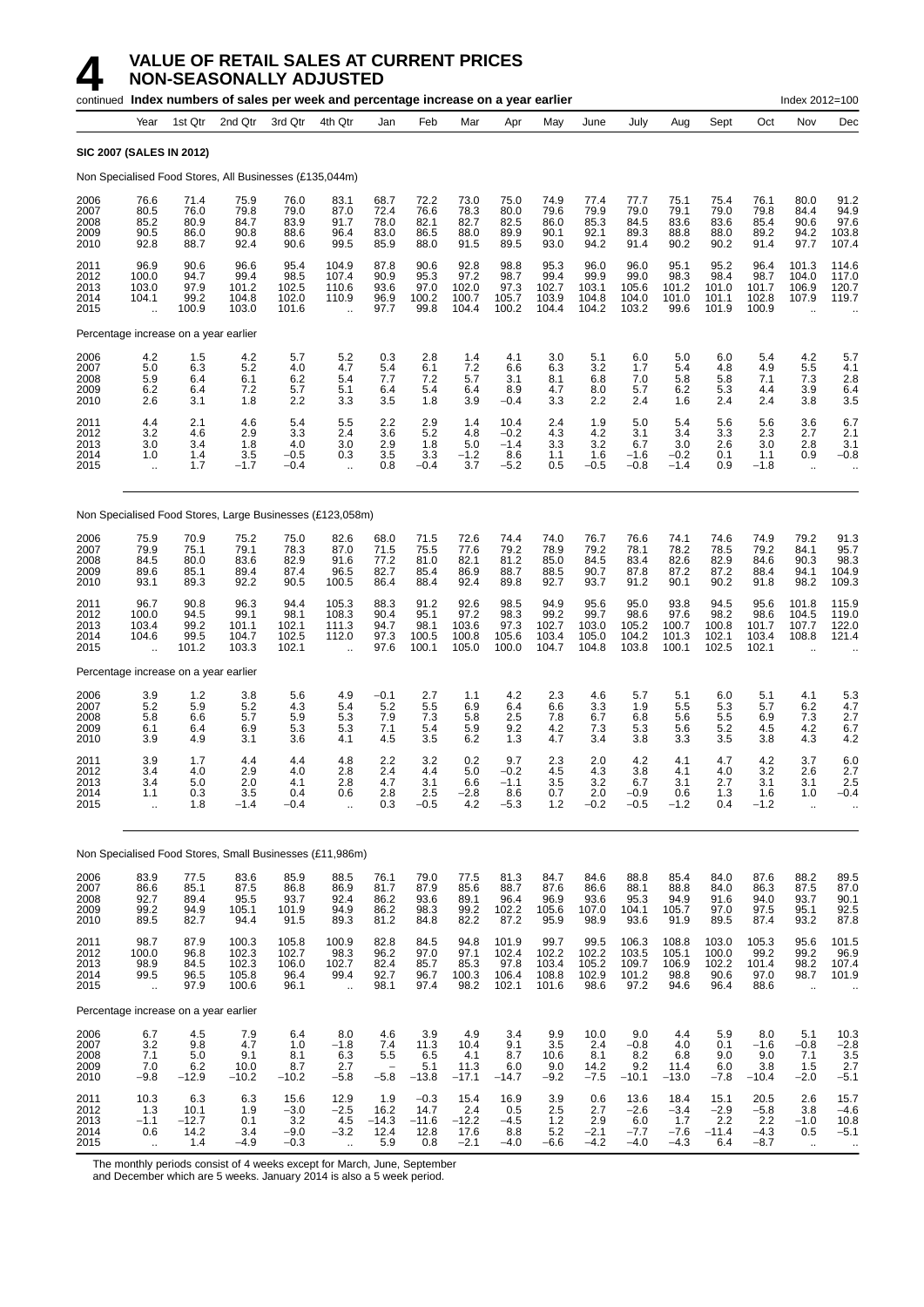|                                      |                                                         | continued Index numbers of sales per week and percentage increase on a year earlier |                                           |                                           |                                                          |                                                  |                                          |                                          |                                           |                                                 |                                              |                                           |                                           |                                         |                                           | Index 2012=100                                             |                                            |
|--------------------------------------|---------------------------------------------------------|-------------------------------------------------------------------------------------|-------------------------------------------|-------------------------------------------|----------------------------------------------------------|--------------------------------------------------|------------------------------------------|------------------------------------------|-------------------------------------------|-------------------------------------------------|----------------------------------------------|-------------------------------------------|-------------------------------------------|-----------------------------------------|-------------------------------------------|------------------------------------------------------------|--------------------------------------------|
|                                      | Year                                                    | 1st Qtr                                                                             | 2nd Qtr                                   | 3rd Qtr                                   | 4th Qtr                                                  | Jan                                              | Feb                                      | Mar                                      | Apr                                       | May                                             | June                                         | July                                      | Aug                                       | Sept                                    | Oct                                       | Nov                                                        | Dec                                        |
|                                      | <b>SIC 2007 (SALES IN 2012)</b>                         |                                                                                     |                                           |                                           |                                                          |                                                  |                                          |                                          |                                           |                                                 |                                              |                                           |                                           |                                         |                                           |                                                            |                                            |
|                                      |                                                         | Non Specialised Food Stores, All Businesses (£135,044m)                             |                                           |                                           |                                                          |                                                  |                                          |                                          |                                           |                                                 |                                              |                                           |                                           |                                         |                                           |                                                            |                                            |
| 2006<br>2007<br>2008<br>2009<br>2010 | 76.6<br>80.5<br>85.2<br>90.5<br>92.8                    | 71.4<br>76.0<br>80.9<br>86.0<br>88.7                                                | 75.9<br>79.8<br>84.7<br>90.8<br>92.4      | 76.0<br>79.0<br>83.9<br>88.6<br>90.6      | 83.1<br>87.0<br>91.7<br>96.4<br>99.5                     | 68.7<br>72.4<br>78.0<br>83.0<br>85.9             | 72.2<br>76.6<br>82.1<br>86.5<br>88.0     | 73.0<br>78.3<br>82.7<br>88.0<br>91.5     | 75.0<br>80.0<br>82.5<br>89.9<br>89.5      | 74.9<br>79.6<br>86.0<br>90.1<br>93.0            | 77.4<br>79.9<br>85.3<br>92.1<br>94.2         | 77.7<br>79.0<br>84.5<br>89.3<br>91.4      | 75.1<br>79.1<br>83.6<br>88.8<br>90.2      | 75.4<br>79.0<br>83.6<br>88.0<br>90.2    | 76.1<br>79.8<br>85.4<br>89.2<br>91.4      | 80.0<br>84.4<br>90.6<br>94.2<br>97.7                       | 91.2<br>94.9<br>97.6<br>103.8<br>107.4     |
| 2011<br>2012<br>2013<br>2014<br>2015 | 96.9<br>100.0<br>103.0<br>104.1<br>$\ddotsc$            | 90.6<br>94.7<br>97.9<br>99.2<br>100.9                                               | 96.6<br>99.4<br>101.2<br>104.8<br>103.0   | 95.4<br>98.5<br>102.5<br>102.0<br>101.6   | 104.9<br>107.4<br>110.6<br>110.9                         | 87.8<br>90.9<br>93.6<br>96.9<br>97.7             | 90.6<br>95.3<br>97.0<br>100.2<br>99.8    | 92.8<br>97.2<br>102.0<br>100.7<br>104.4  | 98.8<br>98.7<br>97.3<br>105.7<br>100.2    | 95.3<br>99.4<br>102.7<br>103.9<br>104.4         | 96.0<br>99.9<br>103.1<br>104.8<br>104.2      | 96.0<br>99.0<br>105.6<br>104.0<br>103.2   | 95.1<br>98.3<br>101.2<br>101.0<br>99.6    | 95.2<br>98.4<br>101.0<br>101.1<br>101.9 | 96.4<br>98.7<br>101.7<br>102.8<br>100.9   | 101.3<br>104.0<br>106.9<br>107.9<br>$\ddot{\phantom{a}}$   | 114.6<br>117.0<br>120.7<br>119.7           |
|                                      |                                                         | Percentage increase on a year earlier                                               |                                           |                                           |                                                          |                                                  |                                          |                                          |                                           |                                                 |                                              |                                           |                                           |                                         |                                           |                                                            |                                            |
| 2006<br>2007<br>2008<br>2009<br>2010 | 4.2<br>5.0<br>5.9<br>6.2<br>2.6                         | 1.5<br>6.3<br>6.4<br>6.4<br>3.1                                                     | 4.2<br>5.2<br>6.1<br>7.2<br>1.8           | 5.7<br>4.0<br>6.2<br>5.7<br>2.2           | 5.2<br>4.7<br>5.4<br>5.1<br>3.3                          | 0.3<br>5.4<br>7.7<br>6.4<br>3.5                  | 2.8<br>6.1<br>7.2<br>5.4<br>1.8          | 1.4<br>7.2<br>5.7<br>6.4<br>3.9          | 4.1<br>6.6<br>3.1<br>8.9<br>$-0.4$        | 3.0<br>6.3<br>8.1<br>4.7<br>3.3                 | 5.1<br>3.2<br>6.8<br>8.0<br>2.2              | 6.0<br>1.7<br>7.0<br>5.7<br>2.4           | 5.0<br>5.4<br>5.8<br>6.2<br>1.6           | 6.0<br>4.8<br>5.8<br>5.3<br>2.4         | 5.4<br>4.9<br>7.1<br>4.4<br>2.4           | 4.2<br>5.5<br>7.3<br>3.9<br>3.8                            | 5.7<br>4.1<br>2.8<br>6.4<br>3.5            |
| 2011<br>2012<br>2013<br>2014<br>2015 | 4.4<br>3.2<br>3.0<br>1.0<br>$\ddot{\phantom{a}}$        | 2.1<br>4.6<br>3.4<br>1.4<br>1.7                                                     | 4.6<br>2.9<br>1.8<br>3.5<br>$-1.7$        | 5.4<br>3.3<br>4.0<br>$-0.5$<br>$-0.4$     | 5.5<br>2.4<br>3.0<br>0.3<br>$\ddot{\phantom{a}}$         | 2.2<br>3.6<br>2.9<br>3.5<br>0.8                  | 2.9<br>5.2<br>1.8<br>3.3<br>$-0.4$       | 1.4<br>4.8<br>5.0<br>$-1.2$<br>3.7       | 10.4<br>$-0.2$<br>$-1.4$<br>8.6<br>$-5.2$ | 2.4<br>43<br>3.3<br>1.1<br>0.5                  | 1.9<br>4.2<br>3.2<br>1.6<br>$-0.5$           | 5.0<br>3.1<br>6.7<br>$-1.6$<br>$-0.8$     | 5.4<br>3.4<br>3.0<br>$-0.2$<br>$-1.4$     | 5.6<br>3.3<br>2.6<br>0.1<br>0.9         | 5.6<br>2.3<br>3.0<br>1.1<br>$-1.8$        | 3.6<br>2.7<br>2.8<br>0.9<br>$\ddotsc$                      | 6.7<br>2.1<br>3.1<br>$-0.8$                |
|                                      |                                                         | Non Specialised Food Stores, Large Businesses (£123,058m)                           |                                           |                                           |                                                          |                                                  |                                          |                                          |                                           |                                                 |                                              |                                           |                                           |                                         |                                           |                                                            |                                            |
| 2006<br>2007<br>2008<br>2009<br>2010 | 75.9<br>79.9<br>84.5<br>89.6<br>93.1                    | 70.9<br>75.1<br>80.0<br>85.1<br>89.3                                                | 75.2<br>79.1<br>83.6<br>89.4<br>92.2      | 75.0<br>78.3<br>82.9<br>87.4<br>90.5      | 82.6<br>87.0<br>91.6<br>96.5<br>100.5                    | 68.0<br>71.5<br>77.2<br>82.7<br>86.4             | 71.5<br>75.5<br>81.0<br>85.4<br>88.4     | 72.6<br>77.6<br>82.1<br>86.9<br>92.4     | 74.4<br>79.2<br>81.2<br>88.7<br>89.8      | 74.0<br>78.9<br>85.0<br>88.5<br>92.7            | 76.7<br>79.2<br>84.5<br>90.7<br>93.7         | 76.6<br>78.1<br>83.4<br>87.8<br>91.2      | 74.1<br>78.2<br>82.6<br>87.2<br>90.1      | 74.6<br>78.5<br>82.9<br>87.2<br>90.2    | 74.9<br>79.2<br>84.6<br>88.4<br>91.8      | 79.2<br>84.1<br>90.3<br>94.1<br>98.2                       | 91.3<br>95.7<br>98.3<br>104.9<br>109.3     |
| 2011<br>2012<br>2013<br>2014<br>2015 | 96.7<br>100.0<br>103.4<br>104.6<br>$\ddot{\phantom{a}}$ | 90.8<br>94.5<br>99.2<br>99.5<br>101.2                                               | 96.3<br>99.1<br>101.1<br>104.7<br>103.3   | 94.4<br>98.1<br>102.1<br>102.5<br>102.1   | 105.3<br>108.3<br>111.3<br>112.0<br>$\ddot{\phantom{a}}$ | 88.3<br>90.4<br>94.7<br>97.3<br>97.6             | 91.2<br>95.1<br>98.1<br>100.5<br>100.1   | 92.6<br>97.2<br>103.6<br>100.8<br>105.0  | 98.5<br>98.3<br>97.3<br>105.6<br>100.0    | 94.9<br>99.2<br>102.7<br>103.4<br>104.7         | 95.6<br>99.7<br>103.0<br>105.0<br>104.8      | 95.0<br>98.6<br>105.2<br>104.2<br>103.8   | 93.8<br>97.6<br>100.7<br>101.3<br>100.1   | 94.5<br>98.2<br>100.8<br>102.1<br>102.5 | 95.6<br>98.6<br>101.7<br>103.4<br>102.1   | 101.8<br>104.5<br>107.7<br>108.8<br>$\ddot{\phantom{a}}$   | 115.9<br>119.0<br>122.0<br>121.4           |
|                                      |                                                         | Percentage increase on a year earlier                                               |                                           |                                           |                                                          |                                                  |                                          |                                          |                                           |                                                 |                                              |                                           |                                           |                                         |                                           |                                                            |                                            |
| 2006<br>2007<br>2008<br>2009<br>2010 | $\frac{3.9}{5.2}$<br>5.8<br>6.1<br>3.9                  | $1.2$<br>5.9<br>6.6<br>6.4<br>4.9                                                   | 3.8<br>5.2<br>5.7<br>6.9<br>3.1           | 5.6<br>4.3<br>5.9<br>5.3<br>3.6           | 4.9<br>5.4<br>5.3<br>5.3<br>4.1                          | $-0.1$<br>5.2<br>7.9<br>7.1<br>4.5               | 2.7<br>5.5<br>7.3<br>5.4<br>3.5          | 1.1<br>6.9<br>5.8<br>5.9<br>6.2          | 4.2<br>6.4<br>2.5<br>9.2<br>1.3           | 2.3<br>6.6<br>7.8<br>4.2<br>4.7                 | 4.6<br>$3.\overline{3}$<br>6.7<br>7.3<br>3.4 | 5.7<br>1.9<br>6.8<br>5.3<br>3.8           | 5.1<br>5.5<br>5.6<br>5.6<br>3.3           | 6.0<br>5.3<br>5.5<br>5.2<br>3.5         | 5.1<br>5.7<br>6.9<br>4.5<br>3.8           | 4.1<br>6.2<br>7.3<br>4.2<br>4.3                            | $\frac{5.3}{4.7}$<br>2.7<br>6.7<br>4.2     |
| 2011<br>2012<br>2013<br>2014<br>2015 | 3.9<br>3.4<br>3.4<br>1.1<br>$\ddotsc$                   | 1.7<br>4.0<br>5.0<br>0.3<br>1.8                                                     | 4.4<br>2.9<br>2.0<br>3.5<br>$-1.4$        | 4.4<br>4.0<br>4.1<br>0.4<br>$-0.4$        | 4.8<br>2.8<br>2.8<br>0.6<br>$\ddot{\phantom{a}}$         | 2.2<br>2.4<br>4.7<br>2.8<br>0.3                  | 3.2<br>4.4<br>3.1<br>2.5<br>$-0.5$       | 0.2<br>5.0<br>6.6<br>$-2.8$<br>$4.2\,$   | 9.7<br>$-0.2$<br>$-1.1$<br>8.6<br>$-5.3$  | 2.3<br>4.5<br>3.5<br>0.7<br>1.2                 | 2.0<br>4.3<br>3.2<br>2.0<br>$-0.2$           | 4.2<br>3.8<br>6.7<br>$-0.9$<br>$-0.5$     | 4.1<br>4.1<br>3.1<br>0.6<br>$-1.2$        | 4.7<br>4.0<br>2.7<br>1.3<br>0.4         | 4.2<br>3.2<br>3.1<br>1.6<br>$-1.2$        | 3.7<br>2.6<br>3.1<br>1.0<br>$\ddot{\phantom{a}}$           | 6.0<br>2.7<br>2.5<br>$-0.4$                |
|                                      |                                                         | Non Specialised Food Stores, Small Businesses (£11,986m)                            |                                           |                                           |                                                          |                                                  |                                          |                                          |                                           |                                                 |                                              |                                           |                                           |                                         |                                           |                                                            |                                            |
| 2006<br>2007<br>2008<br>2009<br>2010 | 83.9<br>86.6<br>92.7<br>99.2<br>89.5                    | 77.5<br>85.1<br>89.4<br>94.9<br>82.7                                                | 83.6<br>87.5<br>95.5<br>105.1<br>94.4     | 85.9<br>86.8<br>93.7<br>101.9<br>91.5     | 88.5<br>86.9<br>92.4<br>94.9<br>89.3                     | 76.1<br>81.7<br>86.2<br>86.2<br>81.2             | 79.0<br>87.9<br>93.6<br>98.3<br>84.8     | 77.5<br>85.6<br>89.1<br>99.2<br>82.2     | 81.3<br>88.7<br>96.4<br>102.2<br>87.2     | 84.7<br>87.6<br>96.9<br>105.6<br>95.9           | 84.6<br>86.6<br>93.6<br>107.0<br>98.9        | 88.8<br>88.1<br>95.3<br>104.1<br>93.6     | 85.4<br>88.8<br>94.9<br>105.7<br>91.9     | 84.0<br>84.0<br>91.6<br>97.0<br>89.5    | 87.6<br>86.3<br>94.0<br>97.5<br>87.4      | 88.2<br>87.5<br>93.7<br>95.1<br>93.2                       | 89.5<br>87.0<br>90.1<br>92.5<br>87.8       |
| 2011<br>2012<br>2013<br>2014<br>2015 | 98.7<br>100.0<br>98.9<br>99.5<br>ä,                     | 87.9<br>96.8<br>84.5<br>96.5<br>97.9                                                | 100.3<br>102.3<br>102.3<br>105.8<br>100.6 | 105.8<br>102.7<br>106.0<br>96.4<br>96.1   | 100.9<br>98.3<br>102.7<br>99.4<br>÷.                     | 82.8<br>96.2<br>82.4<br>92.7<br>98.1             | 84.5<br>97.0<br>85.7<br>96.7<br>97.4     | 94.8<br>97.1<br>85.3<br>100.3<br>98.2    | 101.9<br>102.4<br>97.8<br>106.4<br>102.1  | 99.7<br>102.2<br>103.4<br>108.8<br>101.6        | 99.5<br>102.2<br>105.2<br>102.9<br>98.6      | 106.3<br>103.5<br>109.7<br>101.2<br>97.2  | 108.8<br>105.1<br>106.9<br>98.8<br>94.6   | 103.0<br>100.0<br>102.2<br>90.6<br>96.4 | 105.3<br>99.2<br>101.4<br>97.0<br>88.6    | 95.6<br>99.2<br>98.2<br>98.7<br>$\ddot{\phantom{a}}$       | 101.5<br>96.9<br>107.4<br>101.9            |
|                                      |                                                         | Percentage increase on a year earlier                                               |                                           |                                           |                                                          |                                                  |                                          |                                          |                                           |                                                 |                                              |                                           |                                           |                                         |                                           |                                                            |                                            |
| 2006<br>2007<br>2008<br>2009<br>2010 | 6.7<br>3.2<br>7.1<br>7.0<br>$-9.8$                      | 4.5<br>9.8<br>5.0<br>6.2<br>$-12.9$                                                 | 7.9<br>4.7<br>9.1<br>10.0<br>$-10.2$      | 6.4<br>1.0<br>8.1<br>8.7<br>$-10.2$       | 8.0<br>$-1.8$<br>6.3<br>2.7<br>$-5.8$                    | 4.6<br>7.4<br>5.5<br>$\qquad \qquad -$<br>$-5.8$ | 3.9<br>11.3<br>6.5<br>5.1<br>$-13.8$     | 4.9<br>10.4<br>4.1<br>11.3<br>$-17.1$    | 3.4<br>9.1<br>8.7<br>6.0<br>$-14.7$       | 9.9<br>3.5<br>10.6<br>9.0<br>$-9.2$             | 10.0<br>2.4<br>8.1<br>14.2<br>$-7.5$         | 9.0<br>$-0.8$<br>8.2<br>9.2<br>$-10.1$    | 4.4<br>4.0<br>6.8<br>11.4<br>$-13.0$      | 5.9<br>0.1<br>9.0<br>6.0<br>$-7.8$      | 8.0<br>$-1.6$<br>9.0<br>3.8<br>$-10.4$    | 5.1<br>$-0.8$<br>7.1<br>1.5<br>$-2.0$                      | $10.3 - 2.8 - 3.5 - 3.5$<br>2.7<br>$-5.1$  |
| 2011<br>2012<br>2013<br>2014<br>2015 | 10.3<br>$1.3 - 1.1$<br>0.6                              | 6.3<br>10.1<br>$-12.7$<br>14.2<br>1.4                                               | 6.3<br>1.9<br>0.1<br>3.4<br>$-4.9$        | 15.6<br>$-3.0$<br>3.2<br>$-9.0$<br>$-0.3$ | 12.9<br>$-2.5$<br>4.5<br>$-3.2$                          | 1.9<br>16.2<br>$-14.3$<br>12.4<br>5.9            | $-0.3$<br>14.7<br>$-11.6$<br>12.8<br>0.8 | 15.4<br>2.4<br>$-12.2$<br>17.6<br>$-2.1$ | 16.9<br>0.5<br>$-4.5$<br>8.8<br>$-4.0$    | 3.9<br>2.5<br>$\overline{1.2}$<br>5.2<br>$-6.6$ | 0.6<br>2.7<br>2.9<br>$-2.1$<br>$-4.2$        | 13.6<br>$-2.6$<br>6.0<br>$-7.7$<br>$-4.0$ | 18.4<br>$-3.4$<br>1.7<br>$-7.6$<br>$-4.3$ | 15.1<br>$-2.9$<br>2.2<br>$-11.4$<br>6.4 | 20.5<br>$-5.8$<br>2.2<br>$-4.3$<br>$-8.7$ | 2.6<br>3.8<br>$-1.0$<br>0.5<br>$\mathcal{L}_{\mathcal{A}}$ | 15.7<br>$-4.6$<br>10.8<br>$-5.1$<br>$\sim$ |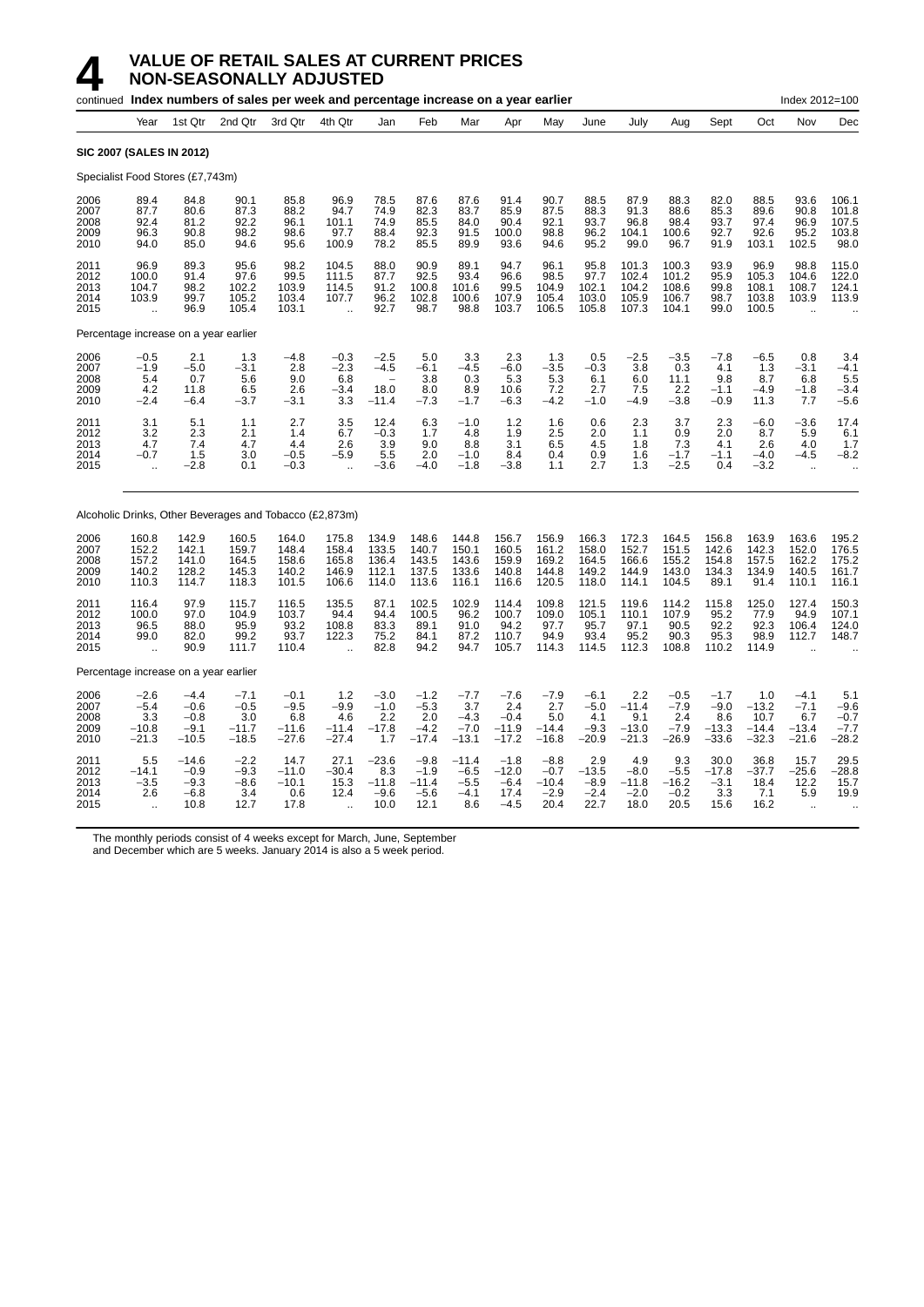# **4 VALUE OF RETAIL SALES AT CURRENT PRICES**<br>**14 MON-SEASONALLY ADJUSTED**<br>continued Index numbers of sales per week and percentage increase on a ver-**NON-SEASONALLY ADJUSTED**

|                                      |                                                     |                                               | continued Index numbers of sales per week and percentage increase on a year earlier |                                               |                                                         |                                             |                                               |                                              |                                               |                                               |                                              |                                             |                                            |                                             |                                            | Index 2012=100                                |                                            |
|--------------------------------------|-----------------------------------------------------|-----------------------------------------------|-------------------------------------------------------------------------------------|-----------------------------------------------|---------------------------------------------------------|---------------------------------------------|-----------------------------------------------|----------------------------------------------|-----------------------------------------------|-----------------------------------------------|----------------------------------------------|---------------------------------------------|--------------------------------------------|---------------------------------------------|--------------------------------------------|-----------------------------------------------|--------------------------------------------|
|                                      | Year                                                | 1st Qtr                                       | 2nd Qtr                                                                             | 3rd Qtr                                       | 4th Qtr                                                 | Jan                                         | Feb                                           | Mar                                          | Apr                                           | May                                           | June                                         | July                                        | Aug                                        | Sept                                        | Oct                                        | Nov                                           | Dec                                        |
| <b>SIC 2007 (SALES IN 2012)</b>      |                                                     |                                               |                                                                                     |                                               |                                                         |                                             |                                               |                                              |                                               |                                               |                                              |                                             |                                            |                                             |                                            |                                               |                                            |
| Specialist Food Stores (£7,743m)     |                                                     |                                               |                                                                                     |                                               |                                                         |                                             |                                               |                                              |                                               |                                               |                                              |                                             |                                            |                                             |                                            |                                               |                                            |
| 2006<br>2007<br>2008<br>2009<br>2010 | 89.4<br>87.7<br>92.4<br>96.3<br>94.0                | 84.8<br>80.6<br>81.2<br>90.8<br>85.0          | 90.1<br>87.3<br>92.2<br>98.2<br>94.6                                                | 85.8<br>88.2<br>96.1<br>98.6<br>95.6          | 96.9<br>94.7<br>101.1<br>97.7<br>100.9                  | 78.5<br>74.9<br>74.9<br>88.4<br>78.2        | 87.6<br>82.3<br>85.5<br>92.3<br>85.5          | 87.6<br>83.7<br>84.0<br>91.5<br>89.9         | 91.4<br>85.9<br>90.4<br>100.0<br>93.6         | 90.7<br>87.5<br>92.1<br>98.8<br>94.6          | 88.5<br>88.3<br>93.7<br>96.2<br>95.2         | 87.9<br>91.3<br>96.8<br>104.1<br>99.0       | 88.3<br>88.6<br>98.4<br>100.6<br>96.7      | 82.0<br>85.3<br>93.7<br>92.7<br>91.9        | 88.5<br>89.6<br>97.4<br>92.6<br>103.1      | 93.6<br>90.8<br>96.9<br>95.2<br>102.5         | 106.1<br>101.8<br>107.5<br>103.8<br>98.0   |
| 2011<br>2012<br>2013<br>2014<br>2015 | 96.9<br>100.0<br>104.7<br>103.9<br>ă,               | 89.3<br>91.4<br>98.2<br>99.7<br>96.9          | 95.6<br>97.6<br>102.2<br>105.2<br>105.4                                             | 98.2<br>99.5<br>103.9<br>103.4<br>103.1       | 104.5<br>111.5<br>114.5<br>107.7                        | 88.0<br>87.7<br>91.2<br>96.2<br>92.7        | 90.9<br>92.5<br>100.8<br>102.8<br>98.7        | 89.1<br>93.4<br>101.6<br>100.6<br>98.8       | 94.7<br>96.6<br>99.5<br>107.9<br>103.7        | 96.1<br>98.5<br>104.9<br>105.4<br>106.5       | 95.8<br>97.7<br>102.1<br>103.0<br>105.8      | 101.3<br>102.4<br>104.2<br>105.9<br>107.3   | 100.3<br>101.2<br>108.6<br>106.7<br>104.1  | 93.9<br>95.9<br>99.8<br>98.7<br>99.0        | 96.9<br>105.3<br>108.1<br>103.8<br>100.5   | 98.8<br>104.6<br>108.7<br>103.9               | 115.0<br>122.0<br>124.1<br>113.9           |
|                                      |                                                     | Percentage increase on a year earlier         |                                                                                     |                                               |                                                         |                                             |                                               |                                              |                                               |                                               |                                              |                                             |                                            |                                             |                                            |                                               |                                            |
| 2006<br>2007<br>2008<br>2009<br>2010 | $-0.5$<br>$-1.9$<br>5.4<br>4.2<br>$-2.4$            | 2.1<br>$-5.0$<br>0.7<br>11.8<br>$-6.4$        | 1.3<br>$-3.1$<br>5.6<br>6.5<br>$-3.7$                                               | $-4.8$<br>2.8<br>9.0<br>2.6<br>$-3.1$         | $-0.3$<br>$-2.3$<br>6.8<br>$-3.4$<br>3.3                | $-2.5$<br>$-4.5$<br>18.0<br>$-11.4$         | 5.0<br>$-6.1$<br>3.8<br>8.0<br>$-7.3$         | 3.3<br>$-4.5$<br>0.3<br>8.9<br>$-1.7$        | 2.3<br>$-6.0$<br>5.3<br>10.6<br>$-6.3$        | 1.3<br>$-3.5$<br>5.3<br>7.2<br>$-4.2$         | 0.5<br>$-0.3$<br>6.1<br>2.7<br>$-1.0$        | $-2.5$<br>3.8<br>6.0<br>7.5<br>$-4.9$       | $-3.5$<br>0.3<br>11.1<br>2.2<br>$-3.8$     | $-7.8$<br>4.1<br>9.8<br>$-1.1$<br>$-0.9$    | $-6.5$<br>1.3<br>8.7<br>$-4.9$<br>11.3     | 0.8<br>$-3.1$<br>6.8<br>$-1.8$<br>7.7         | 3.4<br>$-4.1$<br>5.5<br>$-3.4$<br>$-5.6$   |
| 2011<br>2012<br>2013<br>2014<br>2015 | 3.1<br>3.2<br>4.7<br>$-0.7$<br>$\ddot{\phantom{a}}$ | 5.1<br>2.3<br>7.4<br>1.5<br>$-2.8$            | 1.1<br>2.1<br>4.7<br>3.0<br>0.1                                                     | 2.7<br>1.4<br>4.4<br>$-0.5$<br>$-0.3$         | 3.5<br>6.7<br>2.6<br>$-5.9$<br>$\ddotsc$                | 12.4<br>$-0.3$<br>3.9<br>5.5<br>$-3.6$      | 6.3<br>1.7<br>9.0<br>2.0<br>$-4.0$            | $-1.0$<br>4.8<br>8.8<br>$-1.0$<br>$-1.8$     | 1.2<br>1.9<br>3.1<br>8.4<br>-3.8              | 1.6<br>2.5<br>6.5<br>0.4<br>1.1               | 0.6<br>2.0<br>4.5<br>0.9<br>2.7              | 2.3<br>1.1<br>1.8<br>1.6<br>1.3             | 3.7<br>0.9<br>7.3<br>$-1.7$<br>$-2.5$      | 2.3<br>2.0<br>4.1<br>$-1.1$<br>0.4          | $-6.0$<br>8.7<br>2.6<br>$-4.0$<br>$-3.2$   | $-3.6$<br>5.9<br>4.0<br>$-4.5$<br>$\sim$      | 17.4<br>6.1<br>1.7<br>$-8.2$               |
|                                      |                                                     |                                               | Alcoholic Drinks, Other Beverages and Tobacco (£2,873m)                             |                                               |                                                         |                                             |                                               |                                              |                                               |                                               |                                              |                                             |                                            |                                             |                                            |                                               |                                            |
| 2006<br>2007<br>2008<br>2009<br>2010 | 160.8<br>152.2<br>157.2<br>140.2<br>110.3           | 142.9<br>142.1<br>141.0<br>128.2<br>114.7     | 160.5<br>159.7<br>164.5<br>145.3<br>118.3                                           | 164.0<br>148.4<br>158.6<br>140.2<br>101.5     | 175.8<br>158.4<br>165.8<br>146.9<br>106.6               | 134.9<br>133.5<br>136.4<br>112.1<br>114.0   | 148.6<br>140.7<br>143.5<br>137.5<br>113.6     | 144.8<br>150.1<br>143.6<br>133.6<br>116.1    | 156.7<br>160.5<br>159.9<br>140.8<br>116.6     | 156.9<br>161.2<br>169.2<br>144.8<br>120.5     | 166.3<br>158.0<br>164.5<br>149.2<br>118.0    | 172.3<br>152.7<br>166.6<br>144.9<br>114.1   | 164.5<br>151.5<br>155.2<br>143.0<br>104.5  | 156.8<br>142.6<br>154.8<br>134.3<br>89.1    | 163.9<br>142.3<br>157.5<br>134.9<br>91.4   | 163.6<br>152.0<br>162.2<br>140.5<br>110.1     | 195.2<br>176.5<br>175.2<br>161.7<br>116.1  |
| 2011<br>2012<br>2013<br>2014<br>2015 | 116.4<br>100.0<br>96.5<br>99.0                      | 97.9<br>97.0<br>88.0<br>82.0<br>90.9          | 115.7<br>104.9<br>95.9<br>99.2<br>111.7                                             | 116.5<br>103.7<br>93.2<br>93.7<br>110.4       | 135.5<br>94.4<br>108.8<br>122.3<br>$\ddot{\phantom{a}}$ | 87.1<br>94.4<br>83.3<br>75.2<br>82.8        | 102.5<br>100.5<br>89.1<br>84.1<br>94.2        | 102.9<br>96.2<br>91.0<br>87.2<br>94.7        | 114.4<br>100.7<br>94.2<br>110.7<br>105.7      | 109.8<br>109.0<br>97.7<br>94.9<br>114.3       | 121.5<br>105.1<br>95.7<br>93.4<br>114.5      | 119.6<br>110.1<br>97.1<br>95.2<br>112.3     | 114.2<br>107.9<br>90.5<br>90.3<br>108.8    | 115.8<br>95.2<br>92.2<br>95.3<br>110.2      | 125.0<br>77.9<br>92.3<br>98.9<br>114.9     | 127.4<br>94.9<br>106.4<br>112.7               | 150.3<br>107.1<br>124.0<br>148.7           |
|                                      |                                                     | Percentage increase on a year earlier         |                                                                                     |                                               |                                                         |                                             |                                               |                                              |                                               |                                               |                                              |                                             |                                            |                                             |                                            |                                               |                                            |
| 2006<br>2007<br>2008<br>2009<br>2010 | $-2.6$<br>$-5.4$<br>3.3<br>$-10.8$<br>-21.3         | $-4.4$<br>$-0.6$<br>$-0.8$<br>$-9.1$<br>-10.5 | $-7.1$<br>$-0.5$<br>3.0<br>$-11.7$<br>$-18.5$                                       | $-0.1$<br>$-9.5$<br>6.8<br>$-11.6$<br>$-27.6$ | $1.2$<br>$-9.9$<br>4.6<br>$-11.4$<br>$-27.4$            | $-3.0$<br>$-1.0$<br>2.2<br>$-17.8$<br>1.7   | $-1.2$<br>$-5.3$<br>2.0<br>$-4.2$<br>$-17.4$  | $-7.7$<br>3.7<br>$-4.3$<br>$-7.0$<br>$-13.1$ | $-7.6$<br>2.4<br>$-0.4$<br>$-11.9$<br>$-17.2$ | $-7.9$<br>2.7<br>5.0<br>$-14.4$<br>$-16.8$    | $-6.1$<br>$-5.0$<br>4.1<br>$-9.3$<br>$-20.9$ | 2.2<br>$-11.4$<br>9.1<br>$-13.0$<br>$-21.3$ | $-0.5$<br>$-7.9$<br>2.4<br>$-7.9$<br>–26.9 | $-1.7$<br>$-9.0$<br>8.6<br>$-13.3$<br>-33.6 | 1.0<br>$-13.2$<br>10.7<br>$-14.4$<br>-32.3 | $-4.1$<br>$-7.1$<br>6.7<br>$-13.4$<br>$-21.6$ | 5.1<br>$-9.6$<br>$-0.7$<br>$-7.7$<br>–28.2 |
| 2011<br>2012<br>2013<br>2014<br>2015 | 5.5<br>$-14.1$<br>$-3.5$<br>2.6<br>ă,               | $-14.6$<br>$-0.9$<br>$-9.3$<br>$-6.8$<br>10.8 | $-2.2$<br>$-9.3$<br>$-8.6$<br>3.4<br>12.7                                           | 14.7<br>$-11.0$<br>$-10.1$<br>0.6<br>17.8     | 27.1<br>$-30.4$<br>15.3<br>12.4                         | $-23.6$<br>8.3<br>$-11.8$<br>$-9.6$<br>10.0 | $-9.8$<br>$-1.9$<br>$-11.4$<br>$-5.6$<br>12.1 | $-11.4$<br>$-6.5$<br>$-5.5$<br>$-4.1$<br>8.6 | $-1.8$<br>$-12.0$<br>$-6.4$<br>17.4<br>$-4.5$ | $-8.8$<br>$-0.7$<br>$-10.4$<br>$-2.9$<br>20.4 | 2.9<br>$-13.5$<br>$-8.9$<br>$-2.4$<br>22.7   | 4.9<br>$-8.0$<br>$-11.8$<br>$-2.0$<br>18.0  | 9.3<br>$-5.5$<br>$-16.2$<br>$-0.2$<br>20.5 | 30.0<br>$-17.8$<br>$-3.1$<br>3.3<br>15.6    | 36.8<br>$-37.7$<br>18.4<br>7.1<br>16.2     | 15.7<br>$-25.6$<br>12.2<br>5.9<br>ä,          | 29.5<br>$-28.8$<br>15.7<br>19.9            |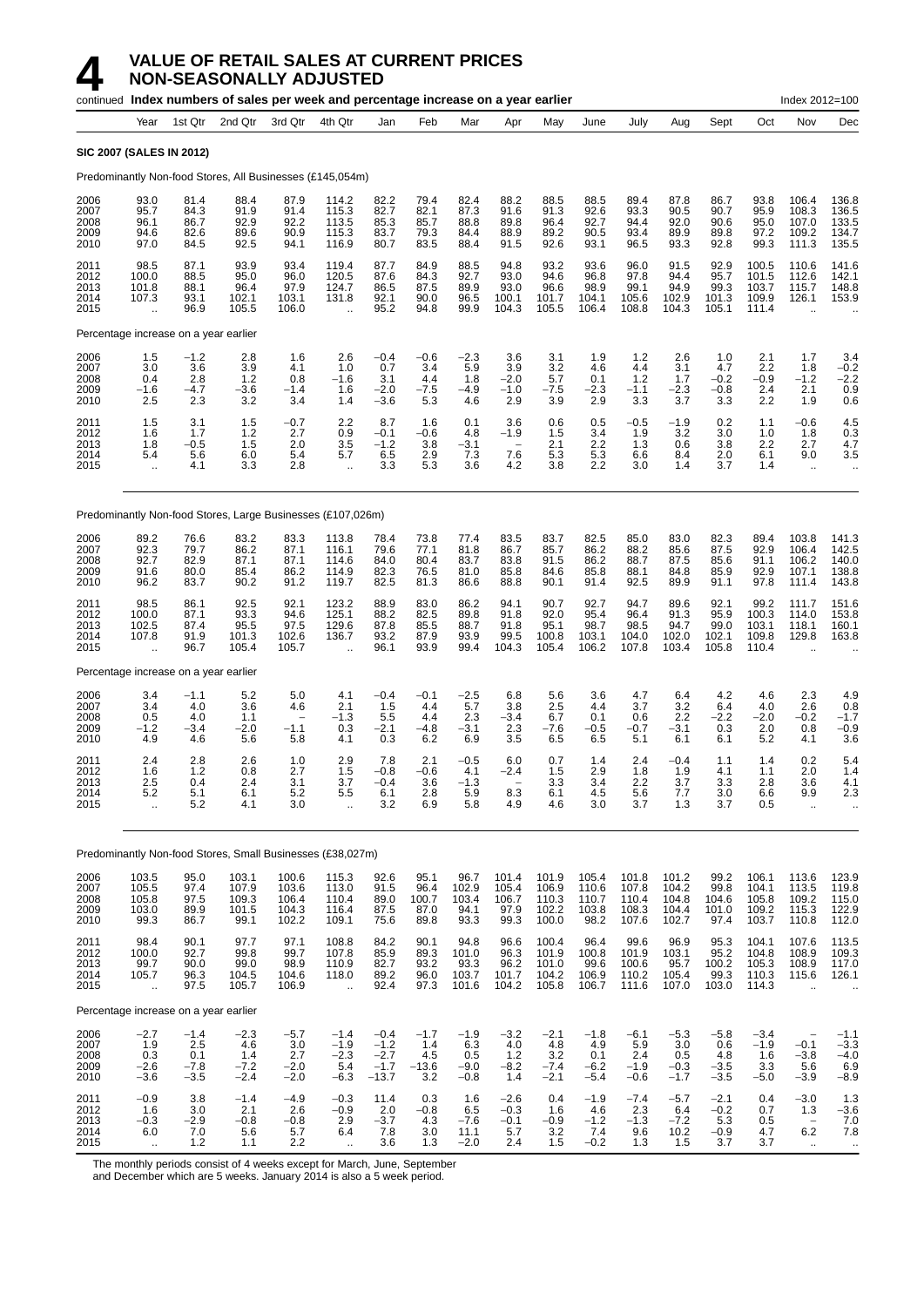|                                      |                                                         |                                          | continued Index numbers of sales per week and percentage increase on a year earlier |                                                         |                                                          |                                                 |                                        |                                              |                                                         |                                           |                                          |                                           |                                           |                                          |                                           | Index 2012=100                                                       |                                                         |
|--------------------------------------|---------------------------------------------------------|------------------------------------------|-------------------------------------------------------------------------------------|---------------------------------------------------------|----------------------------------------------------------|-------------------------------------------------|----------------------------------------|----------------------------------------------|---------------------------------------------------------|-------------------------------------------|------------------------------------------|-------------------------------------------|-------------------------------------------|------------------------------------------|-------------------------------------------|----------------------------------------------------------------------|---------------------------------------------------------|
|                                      | Year                                                    | 1st Qtr                                  | 2nd Qtr                                                                             | 3rd Qtr                                                 | 4th Qtr                                                  | Jan                                             | Feb                                    | Mar                                          | Apr                                                     | May                                       | June                                     | July                                      | Aug                                       | Sept                                     | Oct                                       | Nov                                                                  | Dec                                                     |
|                                      | <b>SIC 2007 (SALES IN 2012)</b>                         |                                          |                                                                                     |                                                         |                                                          |                                                 |                                        |                                              |                                                         |                                           |                                          |                                           |                                           |                                          |                                           |                                                                      |                                                         |
|                                      |                                                         |                                          | Predominantly Non-food Stores, All Businesses (£145,054m)                           |                                                         |                                                          |                                                 |                                        |                                              |                                                         |                                           |                                          |                                           |                                           |                                          |                                           |                                                                      |                                                         |
| 2006<br>2007<br>2008<br>2009<br>2010 | 93.0<br>95.7<br>96.1<br>94.6<br>97.0                    | 81.4<br>84.3<br>86.7<br>82.6<br>84.5     | 88.4<br>91.9<br>92.9<br>89.6<br>92.5                                                | 87.9<br>91.4<br>92.2<br>90.9<br>94.1                    | 114.2<br>115.3<br>113.5<br>115.3<br>116.9                | 82.2<br>82.7<br>85.3<br>83.7<br>80.7            | 79.4<br>82.1<br>85.7<br>79.3<br>83.5   | 82.4<br>87.3<br>88.8<br>84.4<br>88.4         | 88.2<br>91.6<br>89.8<br>88.9<br>91.5                    | 88.5<br>91.3<br>96.4<br>89.2<br>92.6      | 88.5<br>92.6<br>92.7<br>90.5<br>93.1     | 89.4<br>93.3<br>94.4<br>93.4<br>96.5      | 87.8<br>90.5<br>92.0<br>89.9<br>93.3      | 86.7<br>90.7<br>90.6<br>89.8<br>92.8     | 93.8<br>95.9<br>95.0<br>97.2<br>99.3      | 106.4<br>108.3<br>107.0<br>109.2<br>111.3                            | 136.8<br>136.5<br>133.5<br>134.7<br>135.5               |
| 2011<br>2012<br>2013<br>2014<br>2015 | 98.5<br>100.0<br>101.8<br>107.3<br>$\ddot{\phantom{a}}$ | 87.1<br>88.5<br>88.1<br>93.1<br>96.9     | 93.9<br>95.0<br>96.4<br>102.1<br>105.5                                              | 93.4<br>96.0<br>97.9<br>103.1<br>106.0                  | 119.4<br>120.5<br>124.7<br>131.8<br>ä.                   | 87.7<br>87.6<br>86.5<br>92.1<br>95.2            | 84.9<br>84.3<br>87.5<br>90.0<br>94.8   | 88.5<br>92.7<br>89.9<br>96.5<br>99.9         | 94.8<br>93.0<br>93.0<br>100.1<br>104.3                  | 93.2<br>94.6<br>96.6<br>101.7<br>105.5    | 93.6<br>96.8<br>98.9<br>104.1<br>106.4   | 96.0<br>97.8<br>99.1<br>105.6<br>108.8    | 91.5<br>94.4<br>94.9<br>102.9<br>104.3    | 92.9<br>95.7<br>99.3<br>101.3<br>105.1   | 100.5<br>101.5<br>103.7<br>109.9<br>111.4 | 110.6<br>112.6<br>115.7<br>126.1                                     | 141.6<br>142.1<br>148.8<br>153.9                        |
|                                      | Percentage increase on a year earlier                   |                                          |                                                                                     |                                                         |                                                          |                                                 |                                        |                                              |                                                         |                                           |                                          |                                           |                                           |                                          |                                           |                                                                      |                                                         |
| 2006<br>2007<br>2008<br>2009<br>2010 | 1.5<br>3.0<br>0.4<br>$-1.6$<br>2.5                      | $-1.2$<br>3.6<br>2.8<br>$-4.7$<br>2.3    | 2.8<br>3.9<br>1.2<br>$-3.6$<br>3.2                                                  | 1.6<br>4.1<br>0.8<br>$-1.4$<br>3.4                      | 2.6<br>1.0<br>$-1.6$<br>1.6<br>1.4                       | $-0.4$<br>0.7<br>3.1<br>$-2.0$<br>$-3.6$        | $-0.6$<br>3.4<br>4.4<br>$-7.5$<br>5.3  | $-2.3$<br>5.9<br>1.8<br>-4.9<br>4.6          | 3.6<br>3.9<br>$-2.0$<br>$-1.0$<br>2.9                   | 3.1<br>3.2<br>5.7<br>$-7.5$<br>3.9        | 1.9<br>4.6<br>0.1<br>$-2.3$<br>2.9       | 1.2<br>44<br>1.2<br>$-1.1$<br>3.3         | 2.6<br>3.1<br>1.7<br>$-2.3$<br>3.7        | 1.0<br>4.7<br>$-0.2$<br>-0.8<br>3.3      | 2.1<br>2.2<br>$-0.9$<br>2.4<br>2.2        | 1.7<br>1.8<br>$-1.2$<br>2.1<br>1.9                                   | 3.4<br>$-0.2$<br>$-2.2$<br>0.9<br>0.6                   |
| 2011<br>2012<br>2013<br>2014<br>2015 | 1.5<br>1.6<br>1.8<br>5.4<br>$\ddot{\phantom{1}}$        | 3.1<br>1.7<br>$-0.5$<br>5.6<br>4.1       | 1.5<br>1.2<br>1.5<br>6.0<br>3.3                                                     | $-0.7$<br>2.7<br>2.0<br>5.4<br>2.8                      | 2.2<br>0.9<br>3.5<br>5.7<br>÷.                           | 8.7<br>$-0.1$<br>$-1.2$<br>6.5<br>3.3           | 1.6<br>-0.6<br>3.8<br>2.9<br>5.3       | 0.1<br>4.8<br>$-3.1$<br>7.3<br>3.6           | 3.6<br>$-1.9$<br>$\overline{\phantom{m}}$<br>7.6<br>4.2 | 0.6<br>1.5<br>2.1<br>5.3<br>3.8           | 0.5<br>3.4<br>2.2<br>5.3<br>2.2          | $-0.5$<br>1.9<br>1.3<br>6.6<br>3.0        | $-1.9$<br>3.2<br>0.6<br>8.4<br>1.4        | 0.2<br>3.0<br>3.8<br>2.0<br>3.7          | 1.1<br>1.0<br>2.2<br>6.1<br>1.4           | $-0.6$<br>1.8<br>2.7<br>9.0<br>$\cdot$ .                             | 4.5<br>0.3<br>4.7<br>3.5<br>$\cdot$ .                   |
|                                      |                                                         |                                          | Predominantly Non-food Stores, Large Businesses (£107,026m)                         |                                                         |                                                          |                                                 |                                        |                                              |                                                         |                                           |                                          |                                           |                                           |                                          |                                           |                                                                      |                                                         |
| 2006<br>2007<br>2008<br>2009<br>2010 | 89.2<br>92.3<br>92.7<br>91.6<br>96.2                    | 76.6<br>79.7<br>82.9<br>80.0<br>83.7     | 83.2<br>86.2<br>87.1<br>85.4<br>90.2                                                | 83.3<br>87.1<br>87.1<br>86.2<br>91.2                    | 113.8<br>116.1<br>114.6<br>114.9<br>119.7                | 78.4<br>79.6<br>84.0<br>82.3<br>82.5            | 73.8<br>77.1<br>80.4<br>76.5<br>81.3   | 77.4<br>81.8<br>83.7<br>81.0<br>86.6         | 83.5<br>86.7<br>83.8<br>85.8<br>88.8                    | 83.7<br>85.7<br>91.5<br>84.6<br>90.1      | 82.5<br>86.2<br>86.2<br>85.8<br>91.4     | 85.0<br>88.2<br>88.7<br>88.1<br>92.5      | 83.0<br>85.6<br>87.5<br>84.8<br>89.9      | 82.3<br>87.5<br>85.6<br>85.9<br>91.1     | 89.4<br>92.9<br>91.1<br>92.9<br>97.8      | 103.8<br>106.4<br>106.2<br>107.1<br>111.4                            | 141.3<br>142.5<br>140.0<br>138.8<br>143.8               |
| 2011<br>2012<br>2013<br>2014<br>2015 | 98.5<br>100.0<br>102.5<br>107.8<br>$\ddot{\phantom{a}}$ | 86.1<br>87.1<br>87.4<br>91.9<br>96.7     | 92.5<br>93.3<br>95.5<br>101.3<br>105.4                                              | 92.1<br>94.6<br>97.5<br>102.6<br>105.7                  | 123.2<br>125.1<br>129.6<br>136.7<br>$\ddot{\phantom{a}}$ | 88.9<br>88.2<br>87.8<br>93.2<br>96.1            | 83.0<br>82.5<br>85.5<br>87.9<br>93.9   | 86.2<br>89.8<br>88.7<br>93.9<br>99.4         | 94.1<br>91.8<br>91.8<br>99.5<br>104.3                   | 90.7<br>92.0<br>95.1<br>100.8<br>105.4    | 92.7<br>95.4<br>98.7<br>103.1<br>106.2   | 94.7<br>96.4<br>98.5<br>104.0<br>107.8    | 89.6<br>91.3<br>94.7<br>102.0<br>103.4    | 92.1<br>95.9<br>99.0<br>102.1<br>105.8   | 99.2<br>100.3<br>103.1<br>109.8<br>110.4  | 111.7<br>114.0<br>118.1<br>129.8<br>$\ddot{\phantom{a}}$             | 151.6<br>153.8<br>160.1<br>163.8                        |
|                                      | Percentage increase on a year earlier                   |                                          |                                                                                     |                                                         |                                                          |                                                 |                                        |                                              |                                                         |                                           |                                          |                                           |                                           |                                          |                                           |                                                                      |                                                         |
| 2006<br>2007<br>2008<br>2009<br>2010 | 3.4<br>3.4<br>0.5<br>$-1.2$<br>4.9                      | $-1.1$<br>4.0<br>4.0<br>$-3.4$<br>4.6    | 5.2<br>3.6<br>1.1<br>$-2.0$<br>5.6                                                  | 5.0<br>4.6<br>$\overline{\phantom{a}}$<br>$-1.1$<br>5.8 | 4.1<br>2.1<br>$-1.3$<br>0.3<br>4.1                       | $-0.4$<br>1.5<br>5.5<br>$-2.1$<br>0.3           | $-0.1$<br>4.4<br>4.4<br>$-4.8$<br>6.2  | $-2.5$<br>5.7<br>2.3<br>$-3.1$<br>6.9        | 6.8<br>3.8<br>$-3.4$<br>2.3<br>3.5                      | 5.6<br>2.5<br>6.7<br>$-7.6$<br>6.5        | 3.6<br>4.4<br>0.1<br>$-0.5$<br>6.5       | 4.7<br>3.7<br>0.6<br>$-0.7$<br>5.1        | 6.4<br>3.2<br>2.2<br>$-3.1$<br>6.1        | 4.2<br>6.4<br>$-2.2$<br>0.3<br>6.1       | 4.6<br>4.0<br>$-2.0$<br>2.0<br>5.2        | 2.3<br>2.6<br>$-0.2$<br>0.8<br>4.1                                   | 4.9<br>$0.\overline{8}$<br>$-1.7$<br>$-0.9$<br>3.6      |
| 2011<br>2012<br>2013<br>2014<br>2015 | 2.4<br>1.6<br>2.5<br>5.2<br>$\ddot{\phantom{1}}$        | 2.8<br>1.2<br>0.4<br>5.1<br>5.2          | 2.6<br>0.8<br>2.4<br>6.1<br>4.1                                                     | 1.0<br>2.7<br>3.1<br>5.2<br>3.0                         | 2.9<br>1.5<br>3.7<br>5.5<br>à.                           | 7.8<br>$-0.8$<br>$-0.4$<br>6.1<br>3.2           | 2.1<br>$-0.6$<br>3.6<br>2.8<br>6.9     | $-0.5$<br>4.1<br>$-1.3$<br>5.9<br>5.8        | 6.0<br>$-2.4$<br>8.3<br>4.9                             | 0.7<br>1.5<br>3.3<br>6.1<br>4.6           | 1.4<br>2.9<br>3.4<br>4.5<br>3.0          | 2.4<br>1.8<br>2.2<br>5.6<br>3.7           | $-0.4$<br>1.9<br>3.7<br>7.7<br>1.3        | 1.1<br>4.1<br>3.3<br>3.0<br>3.7          | 1.4<br>1.1<br>2.8<br>6.6<br>0.5           | 0.2<br>2.0<br>3.6<br>9.9<br>$\ddot{\phantom{a}}$                     | 5.4<br>1.4<br>4.1<br>2.3                                |
|                                      |                                                         |                                          | Predominantly Non-food Stores, Small Businesses (£38,027m)                          |                                                         |                                                          |                                                 |                                        |                                              |                                                         |                                           |                                          |                                           |                                           |                                          |                                           |                                                                      |                                                         |
| 2006<br>2007<br>2008<br>2009<br>2010 | 103.5<br>105.5<br>105.8<br>103.0<br>99.3                | 95.0<br>97.4<br>97.5<br>89.9<br>86.7     | 103.1<br>107.9<br>109.3<br>101.5<br>99.1                                            | 100.6<br>103.6<br>106.4<br>104.3<br>102.2               | 115.3<br>113.0<br>110.4<br>116.4<br>109.1                | 92.6<br>91.5<br>89.0<br>87.5<br>75.6            | 95.1<br>96.4<br>100.7<br>87.0<br>89.8  | 96.7<br>102.9<br>103.4<br>94.1<br>93.3       | 101.4<br>105.4<br>106.7<br>97.9<br>99.3                 | 101.9<br>106.9<br>110.3<br>102.2<br>100.0 | 105.4<br>110.6<br>110.7<br>103.8<br>98.2 | 101.8<br>107.8<br>110.4<br>108.3<br>107.6 | 101.2<br>104.2<br>104.8<br>104.4<br>102.7 | 99.2<br>99.8<br>104.6<br>101.0<br>97.4   | 106.1<br>104.1<br>105.8<br>109.2<br>103.7 | 113.6<br>113.5<br>109.2<br>115.3<br>110.8                            | 123.9<br>119.8<br>122.9<br>112.0                        |
| 2011<br>2012<br>2013<br>2014<br>2015 | 98.4<br>100.0<br>99.7<br>105.7<br>÷.                    | 90.1<br>92.7<br>90.0<br>96.3<br>97.5     | 97.7<br>99.8<br>99.0<br>104.5<br>105.7                                              | 97.1<br>99.7<br>98.9<br>104.6<br>106.9                  | 108.8<br>107.8<br>110.9<br>118.0<br>à.                   | 84.2<br>85.9<br>82.7<br>89.2<br>92.4            | 90.1<br>89.3<br>93.2<br>96.0<br>97.3   | 94.8<br>101.0<br>93.3<br>103.7<br>101.6      | 96.6<br>96.3<br>96.2<br>101.7<br>104.2                  | 100.4<br>101.9<br>101.0<br>104.2<br>105.8 | 96.4<br>100.8<br>99.6<br>106.9<br>106.7  | 99.6<br>101.9<br>100.6<br>110.2<br>111.6  | 96.9<br>103.1<br>95.7<br>105.4<br>107.0   | 95.3<br>95.2<br>100.2<br>99.3<br>103.0   | 104.1<br>104.8<br>105.3<br>110.3<br>114.3 | 107.6<br>108.9<br>108.9<br>115.6<br>$\ddot{\phantom{a}}$             | 113.5<br>109.3<br>126.1                                 |
|                                      | Percentage increase on a year earlier                   |                                          |                                                                                     |                                                         |                                                          |                                                 |                                        |                                              |                                                         |                                           |                                          |                                           |                                           |                                          |                                           |                                                                      |                                                         |
| 2006<br>2007<br>2008<br>2009<br>2010 | $-2.7$<br>1.9<br>$0.\overline{3}$<br>$-2.6$<br>$-3.6$   | $-1.4$<br>2.5<br>0.1<br>$-7.8$<br>$-3.5$ | $-2.3$<br>4.6<br>1.4<br>$-7.2$<br>$-2.4$                                            | $-5.7$<br>3.0<br>2.7<br>$-2.0$<br>$-2.0$                | $-1.4$<br>$-1.9$<br>$-2.3$<br>5.4<br>$-6.3$              | $-0.4$<br>$-1.2$<br>$-2.7$<br>$-1.7$<br>$-13.7$ | $-1.7$<br>1.4<br>4.5<br>$-13.6$<br>3.2 | $-1.9$<br>6.3<br>$0.5\,$<br>$-9.0$<br>$-0.8$ | $-3.2$<br>4.0<br>1.2<br>$-8.2$<br>1.4                   | $-2.1$<br>4.8<br>3.2<br>$-7.4$<br>$-2.1$  | $-1.8$<br>4.9<br>0.1<br>$-6.2$<br>$-5.4$ | $-6.1$<br>5.9<br>2.4<br>$-1.9$<br>$-0.6$  | $-5.3$<br>3.0<br>0.5<br>$-0.3$<br>$-1.7$  | $-5.8$<br>0.6<br>4.8<br>$-3.5$<br>$-3.5$ | $-3.4$<br>$-1.9$<br>1.6<br>3.3<br>$-5.0$  | $-0.1$<br>$-3.8$<br>5.6<br>$-3.9$                                    | $-1.1$<br>$-3.3$<br>$-4.0$<br>6.9<br>$-8.9$             |
| 2011<br>2012<br>2013<br>2014<br>2015 | $-0.9$<br>1.6<br>$-0.3$<br>6.0<br>$\ddot{\phantom{a}}$  | 3.8<br>3.0<br>$-2.9$<br>7.0<br>1.2       | $-1.4$<br>2.1<br>$-0.8$<br>5.6<br>1.1                                               | $-4.9$<br>2.6<br>$-0.8$<br>5.7<br>2.2                   | $-0.3$<br>$-0.9$<br>2.9<br>6.4<br>$\ddot{\phantom{1}}$   | 11.4<br>2.0<br>$-3.7$<br>7.8<br>3.6             | 0.3<br>$-0.8$<br>4.3<br>3.0<br>1.3     | 1.6<br>6.5<br>$-7.6$<br>11.1<br>$-2.0$       | $-2.6$<br>$-0.3$<br>$-0.1$<br>5.7<br>2.4                | 0.4<br>1.6<br>$-0.9$<br>3.2<br>1.5        | $-1.9$<br>4.6<br>$-1.2$<br>7.4<br>$-0.2$ | $-7.4$<br>2.3<br>$-1.3$<br>9.6<br>1.3     | $-5.7$<br>6.4<br>$-7.2$<br>10.2<br>1.5    | $-2.1$<br>$-0.2$<br>5.3<br>$-0.9$<br>3.7 | 0.4<br>0.7<br>0.5<br>4.7<br>3.7           | $-3.0$<br>1.3<br>$\overline{\phantom{0}}$<br>$6.2\,$<br>$\mathbf{H}$ | 1.3<br>$-3.6$<br>$7.0$<br>$7.8$<br>$\ddot{\phantom{1}}$ |

The monthly periods consist of 4 weeks except for March, June, September

and December which are 5 weeks. January 2014 is also a 5 week period.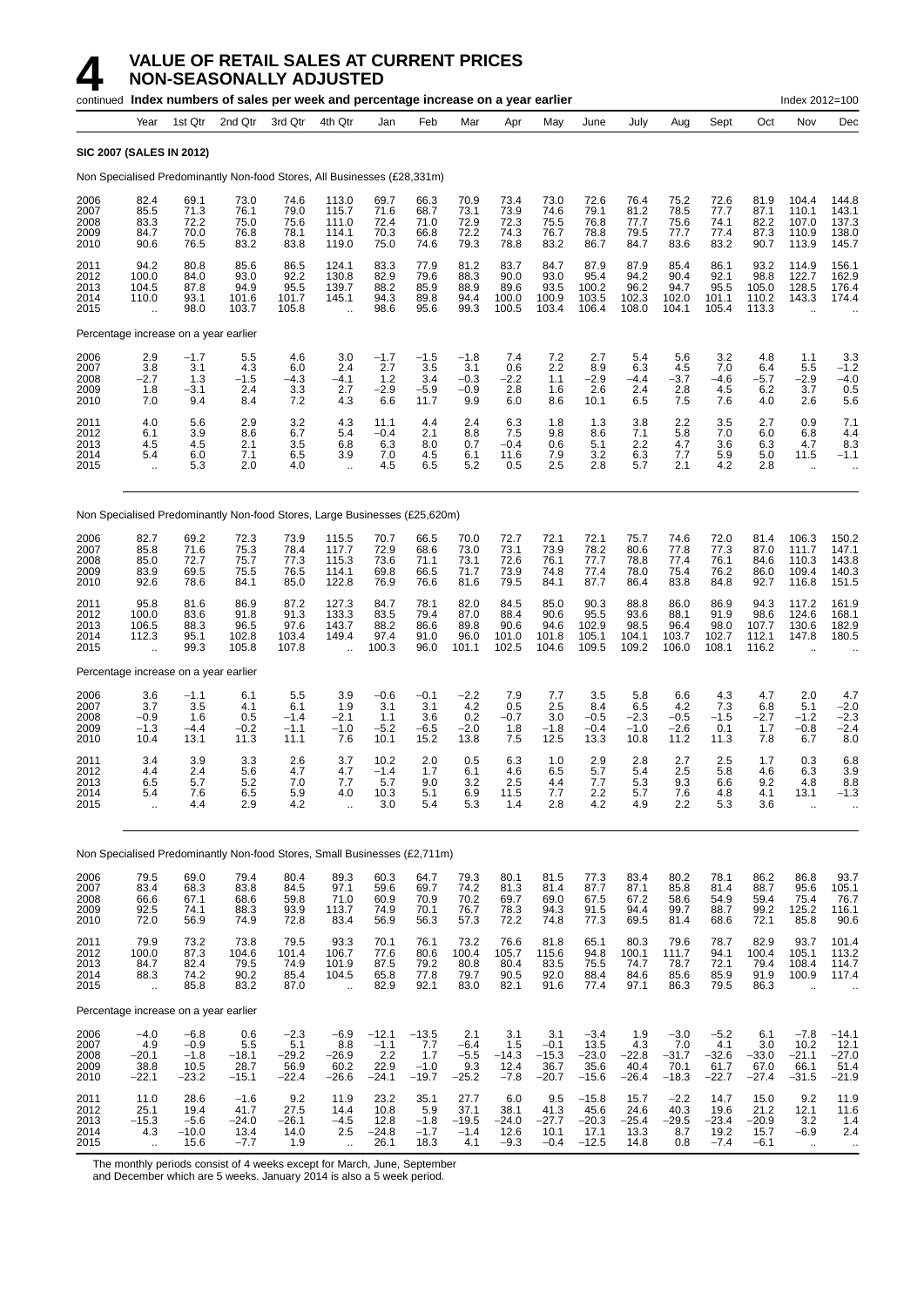|                                      |                                                  |                                               | continued Index numbers of sales per week and percentage increase on a year earlier |                                           |                                                          |                                             |                                            |                                           |                                         |                                             |                                              |                                          |                                             |                                             |                                          | Index 2012=100                                    |                                               |
|--------------------------------------|--------------------------------------------------|-----------------------------------------------|-------------------------------------------------------------------------------------|-------------------------------------------|----------------------------------------------------------|---------------------------------------------|--------------------------------------------|-------------------------------------------|-----------------------------------------|---------------------------------------------|----------------------------------------------|------------------------------------------|---------------------------------------------|---------------------------------------------|------------------------------------------|---------------------------------------------------|-----------------------------------------------|
|                                      | Year                                             | 1st Qtr                                       | 2nd Qtr                                                                             | 3rd Qtr                                   | 4th Qtr                                                  | Jan                                         | Feb                                        | Mar                                       | Apr                                     | May                                         | June                                         | July                                     | Aug                                         | Sept                                        | Oct                                      | Nov                                               | Dec                                           |
|                                      | <b>SIC 2007 (SALES IN 2012)</b>                  |                                               |                                                                                     |                                           |                                                          |                                             |                                            |                                           |                                         |                                             |                                              |                                          |                                             |                                             |                                          |                                                   |                                               |
|                                      |                                                  |                                               | Non Specialised Predominantly Non-food Stores, All Businesses (£28,331m)            |                                           |                                                          |                                             |                                            |                                           |                                         |                                             |                                              |                                          |                                             |                                             |                                          |                                                   |                                               |
| 2006<br>2007<br>2008<br>2009<br>2010 | 82.4<br>85.5<br>83.3<br>84.7<br>90.6             | 69.1<br>71.3<br>72.2<br>70.0<br>76.5          | 73.0<br>76.1<br>75.0<br>76.8<br>83.2                                                | 74.6<br>79.0<br>75.6<br>78.1<br>83.8      | 113.0<br>115.7<br>111.0<br>114.1<br>119.0                | 69.7<br>71.6<br>72.4<br>70.3<br>75.0        | 66.3<br>68.7<br>71.0<br>66.8<br>74.6       | 70.9<br>73.1<br>72.9<br>72.2<br>79.3      | 73.4<br>73.9<br>72.3<br>74.3<br>78.8    | 73.0<br>74.6<br>75.5<br>76.7<br>83.2        | 72.6<br>79.1<br>76.8<br>78.8<br>86.7         | 76.4<br>81.2<br>77.7<br>79.5<br>84.7     | 75.2<br>78.5<br>75.6<br>77.7<br>83.6        | 72.6<br>77.7<br>74.1<br>77.4<br>83.2        | 81.9<br>87.1<br>82.2<br>87.3<br>90.7     | 104.4<br>110.1<br>107.0<br>110.9<br>113.9         | 144.8<br>143.1<br>137.3<br>138.0<br>145.7     |
| 2011<br>2012<br>2013<br>2014<br>2015 | 94.2<br>100.0<br>104.5<br>110.0<br>$\ddotsc$     | 80.8<br>84.0<br>87.8<br>93.1<br>98.0          | 85.6<br>93.0<br>94.9<br>101.6<br>103.7                                              | 86.5<br>92.2<br>95.5<br>101.7<br>105.8    | 124.1<br>130.8<br>139.7<br>145.1                         | 83.3<br>82.9<br>88.2<br>94.3<br>98.6        | 77.9<br>79.6<br>85.9<br>89.8<br>95.6       | 81.2<br>88.3<br>88.9<br>94.4<br>99.3      | 83.7<br>90.0<br>89.6<br>100.0<br>100.5  | 84.7<br>93.0<br>93.5<br>100.9<br>103.4      | 87.9<br>95.4<br>100.2<br>103.5<br>106.4      | 87.9<br>94.2<br>96.2<br>102.3<br>108.0   | 85.4<br>90.4<br>94.7<br>102.0<br>104.1      | 86.1<br>92.1<br>95.5<br>101.1<br>105.4      | 93.2<br>98.8<br>105.0<br>110.2<br>113.3  | 114.9<br>122.7<br>128.5<br>143.3                  | 156.1<br>162.9<br>176.4<br>174.4              |
|                                      | Percentage increase on a year earlier            |                                               |                                                                                     |                                           |                                                          |                                             |                                            |                                           |                                         |                                             |                                              |                                          |                                             |                                             |                                          |                                                   |                                               |
| 2006<br>2007<br>2008<br>2009<br>2010 | 2.9<br>3.8<br>$-2.7$<br>1.8<br>7.0               | $-1.7$<br>3.1<br>1.3<br>$-3.1$<br>9.4         | 5.5<br>4.3<br>$-1.5$<br>2.4<br>8.4                                                  | 4.6<br>6.0<br>$-4.3$<br>3.3<br>7.2        | 3.0<br>2.4<br>$-4.1$<br>2.7<br>4.3                       | $-1.7$<br>2.7<br>1.2<br>$-2.9$<br>6.6       | $-1.5$<br>3.5<br>3.4<br>$-5.9$<br>11.7     | $-1.8$<br>3.1<br>$-0.3$<br>$-0.9$<br>9.9  | 7.4<br>0.6<br>$-2.2$<br>2.8<br>6.0      | 7.2<br>2.2<br>1.1<br>1.6<br>8.6             | 2.7<br>8.9<br>$-2.9$<br>2.6<br>10.1          | 5.4<br>6.3<br>$-4.4$<br>2.4<br>6.5       | 5.6<br>4.5<br>$-3.7$<br>2.8<br>7.5          | 3.2<br>7.0<br>$-4.6$<br>4.5<br>7.6          | 4.8<br>6.4<br>$-5.7$<br>6.2<br>4.0       | 1.1<br>5.5<br>$-2.9$<br>3.7<br>2.6                | 3.3<br>$-1.2$<br>$-4.0$<br>0.5<br>5.6         |
| 2011<br>2012<br>2013<br>2014<br>2015 | 4.0<br>6.1<br>4.5<br>5.4<br>$\ddot{\phantom{a}}$ | 5.6<br>3.9<br>4.5<br>6.0<br>5.3               | 2.9<br>8.6<br>2.1<br>7.1<br>2.0                                                     | 3.2<br>6.7<br>3.5<br>6.5<br>4.0           | 4.3<br>5.4<br>6.8<br>3.9<br>$\ddot{\phantom{1}}$         | 11.1<br>$-0.4$<br>6.3<br>7.0<br>4.5         | 4.4<br>2.1<br>8.0<br>45<br>6.5             | 2.4<br>8.8<br>0.7<br>6.1<br>5.2           | 6.3<br>7.5<br>$-0.4$<br>11.6<br>0.5     | 1.8<br>9.8<br>0.6<br>7.9<br>2.5             | 1.3<br>8.6<br>5.1<br>3.2<br>2.8              | 3.8<br>7.1<br>2.2<br>6.3<br>5.7          | 2.2<br>5.8<br>4.7<br>7.7<br>2.1             | 3.5<br>7.0<br>3.6<br>5.9<br>4.2             | 2.7<br>6.0<br>6.3<br>5.0<br>2.8          | 0.9<br>6.8<br>4.7<br>11.5<br>$\bar{\mathbf{r}}$   | 7.1<br>4.4<br>8.3<br>$-1.1$                   |
|                                      |                                                  |                                               | Non Specialised Predominantly Non-food Stores, Large Businesses (£25,620m)          |                                           |                                                          |                                             |                                            |                                           |                                         |                                             |                                              |                                          |                                             |                                             |                                          |                                                   |                                               |
| 2006<br>2007<br>2008<br>2009<br>2010 | 82.7<br>85.8<br>85.0<br>83.9<br>92.6             | 69.2<br>71.6<br>72.7<br>69.5<br>78.6          | 72.3<br>75.3<br>75.7<br>75.5<br>84.1                                                | 73.9<br>78.4<br>77.3<br>76.5<br>85.0      | 115.5<br>117.7<br>115.3<br>114.1<br>122.8                | 70.7<br>72.9<br>73.6<br>69.8<br>76.9        | 66.5<br>68.6<br>71.1<br>66.5<br>76.6       | 70.0<br>73.0<br>73.1<br>71.7<br>81.6      | 72.7<br>73.1<br>72.6<br>73.9<br>79.5    | 72.1<br>73.9<br>76.1<br>74.8<br>84.1        | 72.1<br>78.2<br>77.7<br>77.4<br>87.7         | 75.7<br>80.6<br>78.8<br>78.0<br>86.4     | 74.6<br>77.8<br>77.4<br>75.4<br>83.8        | 72.0<br>77.3<br>76.1<br>76.2<br>84.8        | 81.4<br>87.0<br>84.6<br>86.0<br>92.7     | 106.3<br>111.7<br>110.3<br>109.4<br>116.8         | 150.2<br>147.1<br>143.8<br>140.3<br>151.5     |
| 2011<br>2012<br>2013<br>2014<br>2015 | 95.8<br>100.0<br>106.5<br>112.3                  | 81.6<br>83.6<br>88.3<br>95.1<br>99.3          | 86.9<br>91.8<br>96.5<br>102.8<br>105.8                                              | 87.2<br>91.3<br>97.6<br>103.4<br>107.8    | 127.3<br>133.3<br>143.7<br>149.4<br>$\ddot{\phantom{a}}$ | 84.7<br>83.5<br>88.2<br>97.4<br>100.3       | 78.1<br>79.4<br>86.6<br>91.0<br>96.0       | 82.0<br>87.0<br>89.8<br>96.0<br>101.1     | 84.5<br>88.4<br>90.6<br>101.0<br>102.5  | 85.0<br>90.6<br>94.6<br>101.8<br>104.6      | 90.3<br>95.5<br>102.9<br>105.1<br>109.5      | 88.8<br>93.6<br>98.5<br>104.1<br>109.2   | 86.0<br>88.1<br>96.4<br>103.7<br>106.0      | 86.9<br>91.9<br>98.0<br>102.7<br>108.1      | 94.3<br>98.6<br>107.7<br>112.1<br>116.2  | 117.2<br>124.6<br>130.6<br>147.8                  | 161.9<br>168.1<br>182.9<br>180.5              |
|                                      | Percentage increase on a year earlier            |                                               |                                                                                     |                                           |                                                          |                                             |                                            |                                           |                                         |                                             |                                              |                                          |                                             |                                             |                                          |                                                   |                                               |
| 2006<br>2007<br>2008<br>2009<br>2010 | 3.6<br>3.7<br>$-0.9$<br>$-1.3$<br>10.4           | $-1.1$<br>3.5<br>1.6<br>$-4.4$<br>13.1        | 6.1<br>4.1<br>0.5<br>$-0.2$<br>11.3                                                 | 5.5<br>6.1<br>$-1.4$<br>$-1.1$<br>11.1    | 3.9<br>1.9<br>$-2.1$<br>$-1.0$<br>7.6                    | $-0.6$<br>3.1<br>1.1<br>$-5.2$<br>10.1      | $-0.1$<br>3.1<br>3.6<br>$-6.5$<br>15.2     | $-2.2$<br>4.2<br>0.2<br>$-2.0$<br>13.8    | 7.9<br>0.5<br>$-0.7$<br>1.8<br>7.5      | 7.7<br>2.5<br>3.0<br>$-1.8$<br>12.5         | 3.5<br>8.4<br>$-0.5$<br>$-0.4$<br>13.3       | 5.8<br>6.5<br>$-2.3$<br>$-1.0$<br>10.8   | 6.6<br>4.2<br>$-0.5$<br>$-2.6$<br>11.2      | 4.3<br>7.3<br>$-1.5$<br>0.1<br>11.3         | 4.7<br>6.8<br>$-2.7$<br>1.7<br>7.8       | 2.0<br>5.1<br>$-1.2$<br>$-0.8$<br>6.7             | 4.7<br>$-2.0$<br>$-2.3$<br>$-2.4$<br>8.0      |
| 2011<br>2012<br>2013<br>2014<br>2015 | 3.4<br>4.4<br>6.5<br>5.4<br>$\ddot{\phantom{a}}$ | 3.9<br>2.4<br>5.7<br>7.6<br>4.4               | 3.3<br>5.6<br>5.2<br>6.5<br>2.9                                                     | 2.6<br>4.7<br>7.0<br>5.9<br>4.2           | 3.7<br>4.7<br>7.7<br>4.0<br>÷.                           | 10.2<br>$-1.4$<br>5.7<br>10.3<br>3.0        | 2.0<br>1.7<br>9.0<br>5.1<br>5.4            | 0.5<br>6.1<br>3.2<br>6.9<br>5.3           | 6.3<br>4.6<br>2.5<br>11.5<br>1.4        | 1.0<br>6.5<br>4.4<br>7.7<br>2.8             | 2.9<br>5.7<br>7.7<br>2.2<br>4.2              | 2.8<br>5.4<br>5.3<br>5.7<br>4.9          | 2.7<br>2.5<br>9.3<br>7.6<br>2.2             | 2.5<br>5.8<br>6.6<br>4.8<br>5.3             | 1.7<br>4.6<br>9.2<br>4.1<br>3.6          | 0.3<br>6.3<br>4.8<br>13.1<br>$\ddot{\phantom{a}}$ | 6.8<br>3.9<br>8.8<br>$-1.3$                   |
|                                      |                                                  |                                               | Non Specialised Predominantly Non-food Stores, Small Businesses (£2,711m)           |                                           |                                                          |                                             |                                            |                                           |                                         |                                             |                                              |                                          |                                             |                                             |                                          |                                                   |                                               |
| 2006<br>2007<br>2008<br>2009<br>2010 | 79.5<br>83.4<br>66.6<br>92.5<br>72.0             | 69.0<br>68.3<br>67.1<br>74.1<br>56.9          | 79.4<br>83.8<br>68.6<br>88.3<br>74.9                                                | 80.4<br>84.5<br>59.8<br>93.9<br>72.8      | 89.3<br>97.1<br>71.0<br>113.7<br>83.4                    | 60.3<br>59.6<br>60.9<br>74.9<br>56.9        | 64.7<br>69.7<br>70.9<br>70.1<br>56.3       | 79.3<br>74.2<br>70.2<br>76.7<br>57.3      | 80.1<br>81.3<br>69.7<br>78.3<br>72.2    | 81.5<br>81.4<br>69.0<br>94.3<br>74.8        | 77.3<br>87.7<br>67.5<br>91.5<br>77.3         | 83.4<br>87.1<br>67.2<br>94.4<br>69.5     | 80.2<br>85.8<br>58.6<br>99.7<br>81.4        | 78.1<br>81.4<br>54.9<br>88.7<br>68.6        | 86.2<br>88.7<br>59.4<br>99.2<br>72.1     | 86.8<br>95.6<br>75.4<br>125.2<br>85.8             | 93.7<br>105.1<br>$76.7$<br>116.1<br>90.6      |
| 2011<br>2012<br>2013<br>2014<br>2015 | 79.9<br>100.0<br>84.7<br>88.3<br>$\ddotsc$       | 73.2<br>87.3<br>82.4<br>74.2<br>85.8          | 73.8<br>104.6<br>79.5<br>90.2<br>83.2                                               | 79.5<br>101.4<br>74.9<br>85.4<br>87.0     | 93.3<br>106.7<br>101.9<br>104.5<br>$\ddotsc$             | 70.1<br>77.6<br>87.5<br>65.8<br>82.9        | 76.1<br>80.6<br>79.2<br>77.8<br>92.1       | 73.2<br>100.4<br>80.8<br>79.7<br>83.0     | 76.6<br>105.7<br>80.4<br>90.5<br>82.1   | 81.8<br>115.6<br>83.5<br>92.0<br>91.6       | 65.1<br>94.8<br>75.5<br>88.4<br>77.4         | 80.3<br>100.1<br>74.7<br>84.6<br>97.1    | 79.6<br>111.7<br>78.7<br>85.6<br>86.3       | 78.7<br>94.1<br>72.1<br>85.9<br>79.5        | 82.9<br>100.4<br>79.4<br>91.9<br>86.3    | 93.7<br>105.1<br>108.4<br>100.9                   | 101.4<br>113.2<br>114.7<br>117.4              |
|                                      | Percentage increase on a year earlier            |                                               |                                                                                     |                                           |                                                          |                                             |                                            |                                           |                                         |                                             |                                              |                                          |                                             |                                             |                                          |                                                   |                                               |
| 2006<br>2007<br>2008<br>2009<br>2010 | $-4.0$<br>4.9<br>$-20.1$<br>38.8<br>$-22.1$      | $-6.8$<br>$-0.9$<br>$-1.8$<br>10.5<br>$-23.2$ | 0.6<br>5.5<br>$-18.1$<br>28.7<br>$-15.1$                                            | $-2.3$<br>5.1<br>-29.2<br>56.9<br>$-22.4$ | $-6.9$<br>8.8<br>$-26.9$<br>60.2<br>$-26.6$              | $-12.1$<br>$-1.1$<br>2.2<br>22.9<br>$-24.1$ | $-13.5$<br>7.7<br>1.7<br>$-1.0$<br>$-19.7$ | 2.1<br>$-6.4$<br>$-5.5$<br>9.3<br>$-25.2$ | 3.1<br>1.5<br>$-14.3$<br>12.4<br>$-7.8$ | 3.1<br>$-0.1$<br>$-15.3$<br>36.7<br>$-20.7$ | $-3.4$<br>13.5<br>$-23.0$<br>35.6<br>$-15.6$ | 1.9<br>4.3<br>$-22.8$<br>40.4<br>$-26.4$ | $-3.0$<br>7.0<br>$-31.7$<br>70.1<br>$-18.3$ | $-5.2$<br>4.1<br>$-32.6$<br>61.7<br>$-22.7$ | 6.1<br>3.0<br>$-33.0$<br>67.0<br>$-27.4$ | $-7.8$<br>10.2<br>$-21.1$<br>66.1<br>$-31.5$      | $-14.1$<br>12.1<br>$-27.0$<br>51.4<br>$-21.9$ |
| 2011<br>2012<br>2013<br>2014         | 11.0<br>25.1<br>$-15.3$<br>4.3                   | 28.6<br>19.4<br>$-5.6$<br>$-10.0$             | $-1.6$<br>41.7<br>$-24.0$<br>13.4                                                   | 9.2<br>27.5<br>-26.1<br>14.0              | 11.9<br>14.4<br>$-4.5$<br>2.5                            | 23.2<br>10.8<br>12.8<br>$-24.8$             | 35.1<br>5.9<br>$-1.8$<br>$-1.7$            | 27.7<br>37.1<br>$-19.5$<br>$-1.4$         | 6.0<br>38.1<br>$-24.0$<br>12.6          | 9.5<br>41.3<br>$-27.7$<br>10.1              | $-15.8$<br>45.6<br>$-20.3$<br>17.1           | 15.7<br>24.6<br>$-25.4$<br>13.3          | $-2.2$<br>40.3<br>$-29.5$<br>8.7            | 14.7<br>19.6<br>$-23.4$<br>19.2             | 15.0<br>21.2<br>$-20.9$<br>15.7          | 9.2<br>12.1<br>3.2<br>$-6.9$                      | 11.9<br>11.6<br>1.4<br>2.4                    |

2015 .. 15.6 −7.7 1.9 .. 26.1 18.3 4.1 −9.3 −0.4 −12.5 14.8 0.8 −7.4 −6.1 .. ..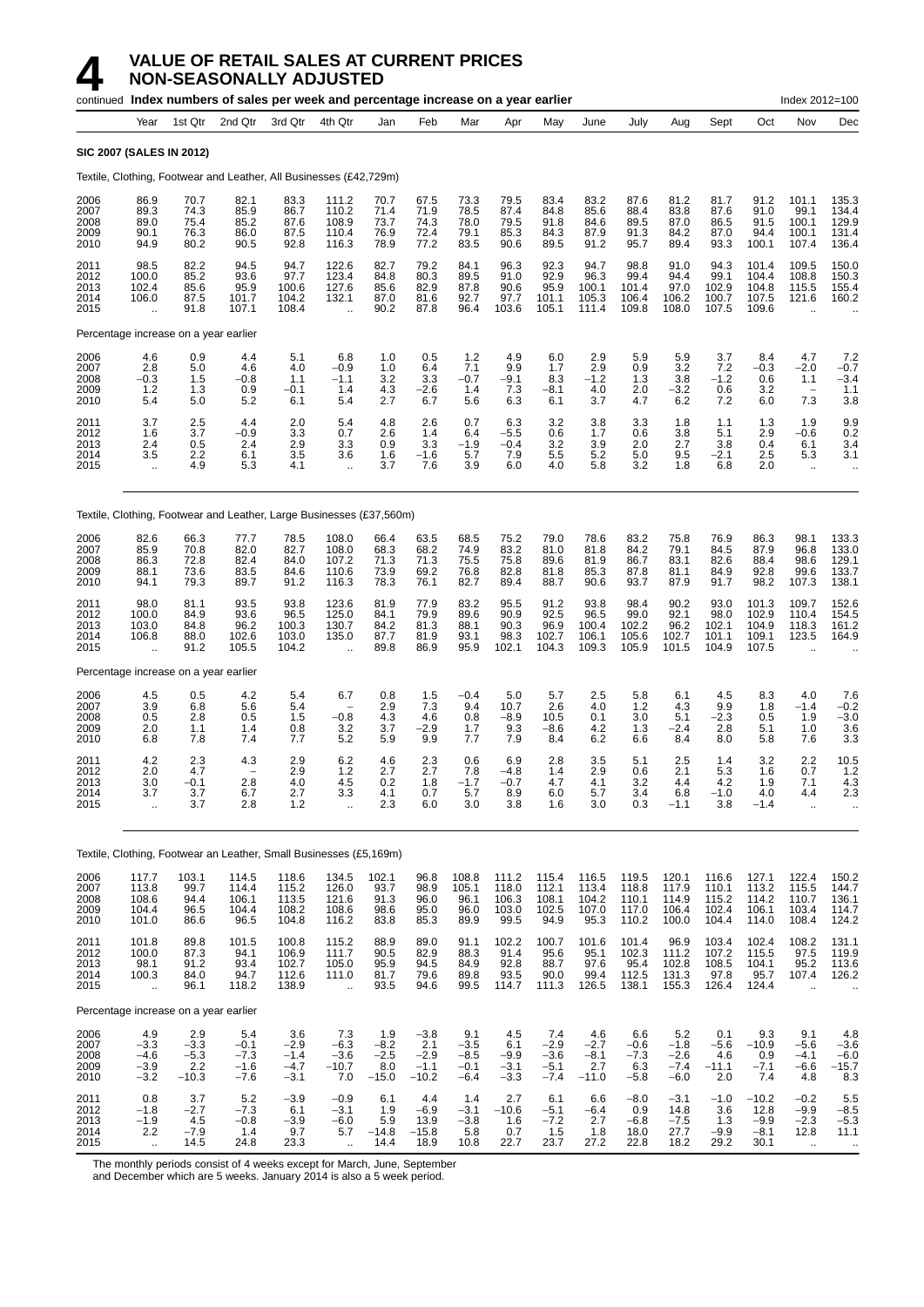|                                      |                                                         |                                           | continued Index numbers of sales per week and percentage increase on a year earlier |                                             |                                                  |                                           |                                              |                                             |                                          |                                             |                                           |                                                                |                                             |                                           |                                             | Index 2012=100                                  |                                                  |
|--------------------------------------|---------------------------------------------------------|-------------------------------------------|-------------------------------------------------------------------------------------|---------------------------------------------|--------------------------------------------------|-------------------------------------------|----------------------------------------------|---------------------------------------------|------------------------------------------|---------------------------------------------|-------------------------------------------|----------------------------------------------------------------|---------------------------------------------|-------------------------------------------|---------------------------------------------|-------------------------------------------------|--------------------------------------------------|
|                                      | Year                                                    | 1st Qtr                                   | 2nd Qtr                                                                             | 3rd Qtr                                     | 4th Qtr                                          | Jan                                       | Feb                                          | Mar                                         | Apr                                      | May                                         | June                                      | July                                                           | Aug                                         | Sept                                      | Oct                                         | Nov                                             | Dec                                              |
|                                      | <b>SIC 2007 (SALES IN 2012)</b>                         |                                           |                                                                                     |                                             |                                                  |                                           |                                              |                                             |                                          |                                             |                                           |                                                                |                                             |                                           |                                             |                                                 |                                                  |
|                                      |                                                         |                                           | Textile, Clothing, Footwear and Leather, All Businesses (£42,729m)                  |                                             |                                                  |                                           |                                              |                                             |                                          |                                             |                                           |                                                                |                                             |                                           |                                             |                                                 |                                                  |
| 2006<br>2007<br>2008<br>2009<br>2010 | 86.9<br>89.3<br>89.0<br>90.1<br>94.9                    | 70.7<br>74.3<br>75.4<br>76.3<br>80.2      | 82.1<br>85.9<br>85.2<br>86.0<br>90.5                                                | 83.3<br>86.7<br>87.6<br>87.5<br>92.8        | 111.2<br>110.2<br>108.9<br>110.4<br>116.3        | 70.7<br>71.4<br>73.7<br>76.9<br>78.9      | 67.5<br>71.9<br>74.3<br>72.4<br>77.2         | 73.3<br>78.5<br>78.0<br>79.1<br>83.5        | 79.5<br>87.4<br>79.5<br>85.3<br>90.6     | 83.4<br>84.8<br>91.8<br>84.3<br>89.5        | 83.2<br>85.6<br>84.6<br>87.9<br>91.2      | 87.6<br>88.4<br>89.5<br>91.3<br>95.7                           | 81.2<br>83.8<br>87.0<br>84.2<br>89.4        | 81.7<br>87.6<br>86.5<br>87.0<br>93.3      | 91.2<br>91.0<br>91.5<br>94.4<br>100.1       | 101.1<br>99.1<br>100.1<br>100.1<br>107.4        | 135.3<br>134.4<br>129.9<br>131.4<br>136.4        |
| 2011<br>2012<br>2013<br>2014<br>2015 | 98.5<br>100.0<br>102.4<br>106.0<br>$\ddot{\phantom{a}}$ | 82.2<br>85.2<br>85.6<br>87.5<br>91.8      | 94.5<br>93.6<br>95.9<br>101.7<br>107.1                                              | 94.7<br>97.7<br>100.6<br>104.2<br>108.4     | 122.6<br>123.4<br>127.6<br>132.1                 | 82.7<br>84.8<br>85.6<br>87.0<br>90.2      | 79.2<br>80.3<br>82.9<br>81.6<br>87.8         | 84.1<br>89.5<br>87.8<br>92.7<br>96.4        | 96.3<br>91.0<br>90.6<br>97.7<br>103.6    | 92.3<br>92.9<br>95.9<br>101.1<br>105.1      | 94.7<br>96.3<br>100.1<br>105.3<br>111.4   | 98.8<br>99.4<br>101.4<br>106.4<br>109.8                        | 91.0<br>94.4<br>97.0<br>106.2<br>108.0      | 94.3<br>99.1<br>102.9<br>100.7<br>107.5   | 101.4<br>104.4<br>104.8<br>107.5<br>109.6   | 109.5<br>108.8<br>115.5<br>121.6                | 150.0<br>150.3<br>155.4<br>160.2                 |
|                                      | Percentage increase on a year earlier                   |                                           |                                                                                     |                                             |                                                  |                                           |                                              |                                             |                                          |                                             |                                           |                                                                |                                             |                                           |                                             |                                                 |                                                  |
| 2006<br>2007<br>2008<br>2009<br>2010 | 4.6<br>2.8<br>$-0.3$<br>1.2<br>5.4                      | 0.9<br>5.0<br>1.5<br>1.3<br>5.0           | 4.4<br>4.6<br>$-0.8$<br>0.9<br>5.2                                                  | 5.1<br>4.0<br>1.1<br>$-0.1$<br>6.1          | 6.8<br>$-0.9$<br>$-1.1$<br>1.4<br>5.4            | 1.0<br>1.0<br>3.2<br>4.3<br>2.7           | 0.5<br>6.4<br>3.3<br>$-2.6$<br>6.7           | 1.2<br>7.1<br>$-0.7$<br>1.4<br>5.6          | 4.9<br>9.9<br>$-9.1$<br>7.3<br>6.3       | 6.0<br>1.7<br>8.3<br>-8.1<br>6.1            | 2.9<br>2.9<br>$-1.2$<br>4.0<br>3.7        | 5.9<br>0.9<br>1.3<br>2.0<br>4.7                                | 5.9<br>3.2<br>3.8<br>$-3.2$<br>6.2          | 3.7<br>7.2<br>$-1.2$<br>0.6<br>7.2        | 8.4<br>$-0.3$<br>0.6<br>3.2<br>6.0          | 4.7<br>$-2.0$<br>1.1<br>7.3                     | 7.2<br>$-0.7$<br>$-3.4$<br>1.1<br>3.8            |
| 2011<br>2012<br>2013<br>2014<br>2015 | 3.7<br>1.6<br>2.4<br>3.5<br>$\mathbf{r}$                | 2.5<br>3.7<br>0.5<br>2.2<br>4.9           | 4.4<br>$-0.9$<br>2.4<br>6.1<br>5.3                                                  | 2.0<br>3.3<br>2.9<br>3.5<br>4.1             | 5.4<br>0.7<br>3.3<br>3.6<br>$\ddotsc$            | 4.8<br>2.6<br>0.9<br>1.6<br>3.7           | 2.6<br>1.4<br>3.3<br>$-1.6$<br>7.6           | 0.7<br>6.4<br>$-1.9$<br>5.7<br>3.9          | 6.3<br>$-5.5$<br>$-0.4$<br>7.9<br>6.0    | 3.2<br>0.6<br>3.2<br>5.5<br>4.0             | 3.8<br>1.7<br>3.9<br>5.2<br>5.8           | 3.3<br>0.6<br>2.0<br>5.0<br>3.2                                | 1.8<br>3.8<br>2.7<br>9.5<br>1.8             | 1.1<br>5.1<br>3.8<br>$-2.1$<br>6.8        | 1.3<br>2.9<br>0.4<br>2.5<br>2.0             | 1.9<br>$-0.6$<br>6.1<br>5.3<br>$\ddotsc$        | 9.9<br>0.2<br>3.4<br>3.1<br>$\ddot{\phantom{a}}$ |
|                                      |                                                         |                                           | Textile, Clothing, Footwear and Leather, Large Businesses (£37,560m)                |                                             |                                                  |                                           |                                              |                                             |                                          |                                             |                                           |                                                                |                                             |                                           |                                             |                                                 |                                                  |
| 2006<br>2007<br>2008<br>2009<br>2010 | 82.6<br>85.9<br>86.3<br>88.1<br>94.1                    | 66.3<br>70.8<br>72.8<br>73.6<br>79.3      | 77.7<br>82.0<br>82.4<br>83.5<br>89.7                                                | 78.5<br>82.7<br>84.0<br>84.6<br>91.2        | 108.0<br>108.0<br>107.2<br>110.6<br>116.3        | 66.4<br>68.3<br>71.3<br>73.9<br>78.3      | 63.5<br>68.2<br>71.3<br>69.2<br>76.1         | 68.5<br>74.9<br>75.5<br>76.8<br>82.7        | 75.2<br>83.2<br>75.8<br>82.8<br>89.4     | 79.0<br>81.0<br>89.6<br>81.8<br>88.7        | 78.6<br>81.8<br>81.9<br>85.3<br>90.6      | 83.2<br>84.2<br>86.7<br>87.8<br>93.7                           | 75.8<br>79.1<br>83.1<br>81.1<br>87.9        | 76.9<br>84.5<br>82.6<br>84.9<br>91.7      | 86.3<br>87.9<br>88.4<br>92.8<br>98.2        | 98.1<br>96.8<br>98.6<br>99.6<br>107.3           | 133.3<br>133.0<br>129.1<br>133.7<br>138.1        |
| 2011<br>2012<br>2013<br>2014<br>2015 | 98.0<br>100.0<br>103.0<br>106.8<br>$\ddot{\phantom{a}}$ | 81.1<br>84.9<br>84.8<br>88.0<br>91.2      | 93.5<br>93.6<br>96.2<br>102.6<br>105.5                                              | 93.8<br>96.5<br>100.3<br>103.0<br>104.2     | 123.6<br>125.0<br>130.7<br>135.0                 | 81.9<br>84.1<br>84.2<br>87.7<br>89.8      | 77.9<br>79.9<br>81.3<br>81.9<br>86.9         | 83.2<br>89.6<br>88.1<br>93.1<br>95.9        | 95.5<br>90.9<br>90.3<br>98.3<br>102.1    | 91.2<br>92.5<br>96.9<br>102.7<br>104.3      | 93.8<br>96.5<br>100.4<br>106.1<br>109.3   | 98.4<br>99.0<br>102.2<br>105.6<br>105.9                        | 90.2<br>92.1<br>96.2<br>102.7<br>101.5      | 93.0<br>98.0<br>102.1<br>101.1<br>104.9   | 101.3<br>102.9<br>104.9<br>109.1<br>107.5   | 109.7<br>110.4<br>118.3<br>123.5                | 152.6<br>154.5<br>161.2<br>164.9                 |
|                                      | Percentage increase on a year earlier                   |                                           |                                                                                     |                                             |                                                  |                                           |                                              |                                             |                                          |                                             |                                           |                                                                |                                             |                                           |                                             |                                                 |                                                  |
| 2006<br>2007<br>2008<br>2009<br>2010 | 4.5<br>3.9<br>0.5<br>2.0<br>6.8                         | 0.5<br>6.8<br>2.8<br>1.1<br>7.8           | 4.2<br>5.6<br>0.5<br>1.4<br>7.4                                                     | 5.4<br>5.4<br>1.5<br>0.8<br>7.7             | 6.7<br>$-0.8$<br>3.2<br>5.2                      | 0.8<br>2.9<br>4.3<br>3.7<br>5.9           | 1.5<br>7.3<br>4.6<br>$-2.9$<br>9.9           | $-0.4$<br>9.4<br>0.8<br>1.7<br>7.7          | 5.0<br>10.7<br>$-8.9$<br>9.3<br>7.9      | 5.7<br>2.6<br>10.5<br>$-8.6$<br>8.4         | 2.5<br>4.0<br>0.1<br>4.2<br>6.2           | 5.8<br>1.2<br>3.0<br>1.3<br>6.6                                | 6.1<br>4.3<br>5.1<br>$-2.4$<br>8.4          | 4.5<br>9.9<br>$-2.3$<br>2.8<br>8.0        | 8.3<br>1.8<br>0.5<br>5.1<br>5.8             | 4.0<br>$-1.4$<br>1.9<br>1.0<br>7.6              | 7.6<br>$-0.\overline{2}$<br>$-3.0$<br>3.6<br>3.3 |
| 2011<br>2012<br>2013<br>2014<br>2015 | 4.2<br>2.0<br>3.0<br>3.7<br>$\ddotsc$                   | 2.3<br>4.7<br>-0.1<br>3.7<br>3.7          | 4.3<br>۳<br>2.8<br>6.7<br>2.8                                                       | 2.9<br>2.9<br>4.0<br>2.7<br>$1.2\,$         | 6.2<br>1.2<br>4.5<br>3.3<br>$\ddot{\phantom{1}}$ | 4.6<br>2.7<br>0.2<br>4.1<br>2.3           | 2.3<br>2.7<br>1.8<br>0.7<br>6.0              | 0.6<br>7.8<br>-1.7<br>5.7<br>3.0            | 6.9<br>$-4.8$<br>-0.7<br>8.9<br>3.8      | 2.8<br>1.4<br>4.7<br>6.0<br>1.6             | 3.5<br>2.9<br>4.1<br>5.7<br>3.0           | 5.1<br>0.6<br>3.2<br>$\begin{array}{c} 3.4 \\ 0.3 \end{array}$ | 2.5<br>2.1<br>4.4<br>6.8<br>$-1.1$          | 1.4<br>5.3<br>4.2<br>$-1.0$<br>3.8        | 3.2<br>1.6<br>1.9<br>4.0<br>$-1.4$          | 2.2<br>0.7<br>7.1<br>4.4<br>$\ddotsc$           | 10.5<br>$1.2$<br>4.3<br>2.3<br>$\cdot$ .         |
|                                      |                                                         |                                           | Textile, Clothing, Footwear an Leather, Small Businesses (£5,169m)                  |                                             |                                                  |                                           |                                              |                                             |                                          |                                             |                                           |                                                                |                                             |                                           |                                             |                                                 |                                                  |
| 2006<br>2007<br>2008<br>2009<br>2010 | 117.7<br>113.8<br>108.6<br>104.4<br>101.0               | 103.1<br>99.7<br>94.4<br>96.5<br>86.6     | 114.5<br>114.4<br>106.1<br>104.4<br>96.5                                            | 118.6<br>115.2<br>113.5<br>108.2<br>104.8   | 134.5<br>126.0<br>121.6<br>108.6<br>116.2        | 102.1<br>93.7<br>91.3<br>98.6<br>83.8     | 96.8<br>98.9<br>96.0<br>95.0<br>85.3         | 108.8<br>105.1<br>96.1<br>96.0<br>89.9      | 111.2<br>118.0<br>106.3<br>103.0<br>99.5 | 115.4<br>112.1<br>108.1<br>102.5<br>94.9    | 116.5<br>113.4<br>104.2<br>107.0<br>95.3  | 119.5<br>118.8<br>110.1<br>117.0<br>110.2                      | 120.1<br>117.9<br>114.9<br>106.4<br>100.0   | 116.6<br>110.1<br>115.2<br>102.4<br>104.4 | 127.1<br>113.2<br>114.2<br>106.1<br>114.0   | 122.4<br>115.5<br>110.7<br>103.4<br>108.4       | 150.2<br>144.7<br>136.1<br>114.7<br>124.2        |
| 2011<br>2012<br>2013<br>2014<br>2015 | 101.8<br>100.0<br>98.1<br>100.3<br>$\ddotsc$            | 89.8<br>87.3<br>91.2<br>84.0<br>96.1      | 101.5<br>94.1<br>93.4<br>94.7<br>118.2                                              | 100.8<br>106.9<br>102.7<br>112.6<br>138.9   | 115.2<br>111.7<br>105.0<br>111.0<br>$\ddotsc$    | 88.9<br>90.5<br>95.9<br>81.7<br>93.5      | 89.0<br>82.9<br>94.5<br>79.6<br>94.6         | 91.1<br>88.3<br>84.9<br>89.8<br>99.5        | 102.2<br>91.4<br>92.8<br>93.5<br>114.7   | 100.7<br>95.6<br>88.7<br>90.0<br>111.3      | 101.6<br>95.1<br>97.6<br>99.4<br>126.5    | 101.4<br>102.3<br>95.4<br>112.5<br>138.1                       | 96.9<br>111.2<br>102.8<br>131.3<br>155.3    | 103.4<br>107.2<br>108.5<br>97.8<br>126.4  | 102.4<br>115.5<br>104.1<br>95.7<br>124.4    | 108.2<br>97.5<br>95.2<br>107.4                  | 131.1<br>119.9<br>113.6<br>126.2                 |
|                                      | Percentage increase on a year earlier                   |                                           |                                                                                     |                                             |                                                  |                                           |                                              |                                             |                                          |                                             |                                           |                                                                |                                             |                                           |                                             |                                                 |                                                  |
| 2006<br>2007<br>2008<br>2009<br>2010 | $4.9 - 3.3$<br>$-4.6$<br>$-3.9$<br>$-3.2$               | 2.9<br>$-3.3$<br>$-5.3$<br>2.2<br>$-10.3$ | 5.4<br>$-0.1$<br>$-7.3$<br>$-1.6$<br>$-7.6$                                         | 3.6<br>$-2.9$<br>$-1.4$<br>$-4.7$<br>$-3.1$ | 7.3<br>$-6.3$<br>$-3.6$<br>$-10.7$<br>7.0        | 1.9<br>$-8.2$<br>$-2.5$<br>8.0<br>$-15.0$ | $-3.8$<br>2.1<br>$-2.9$<br>$-1.1$<br>$-10.2$ | 9.1<br>$-3.5$<br>$-8.5$<br>$-0.1$<br>$-6.4$ | 4.5<br>6.1<br>$-9.9$<br>$-3.1$<br>$-3.3$ | 7.4<br>$-2.9$<br>$-3.6$<br>$-5.1$<br>$-7.4$ | 4.6<br>$-2.7$<br>$-8.1$<br>2.7<br>$-11.0$ | 6.6<br>$-0.6$<br>$-7.3$<br>6.3<br>$-5.8$                       | 5.2<br>$-1.8$<br>$-2.6$<br>$-7.4$<br>$-6.0$ | 0.1<br>$-5.6$<br>4.6<br>$-11.1$<br>2.0    | 9.3<br>$-10.9$<br>0.9<br>$-7.1$<br>7.4      | 9.1<br>$-5.6$<br>$-4.1$<br>$-6.6$<br>4.8        | $4.8 - 3.6$<br>$-6.0$<br>$-15.7$<br>8.3          |
| 2011<br>2012<br>2013<br>2014<br>2015 | 0.8<br>$-1.8$<br>$-1.9$<br>2.2<br>÷.                    | 3.7<br>$-2.7$<br>4.5<br>$-7.9$<br>14.5    | 5.2<br>$-7.3$<br>$-0.8$<br>1.4<br>24.8                                              | $-3.9$<br>6.1<br>$-3.9$<br>9.7<br>23.3      | $-0.9$<br>$-3.1$<br>$-6.0$<br>5.7                | 6.1<br>1.9<br>5.9<br>$-14.8$<br>14.4      | 4.4<br>$-6.9$<br>13.9<br>$-15.8$<br>18.9     | 1.4<br>$-3.1$<br>$-3.8$<br>5.8<br>10.8      | 2.7<br>$-10.6$<br>1.6<br>0.7<br>22.7     | 6.1<br>$-5.1$<br>$-7.2$<br>1.5<br>23.7      | 6.6<br>$-6.4$<br>2.7<br>1.8<br>27.2       | $-8.0$<br>0.9<br>$-6.8$<br>18.0<br>22.8                        | $-3.1$<br>14.8<br>$-7.5$<br>27.7<br>18.2    | $-1.0$<br>3.6<br>1.3<br>$-9.9$<br>29.2    | $-10.2$<br>12.8<br>$-9.9$<br>$-8.1$<br>30.1 | $-0.2$<br>$-9.9$<br>$-2.3$<br>12.8<br>$\ddotsc$ | $\frac{5.5}{-8.5}$<br>$-5.3$<br>11.1             |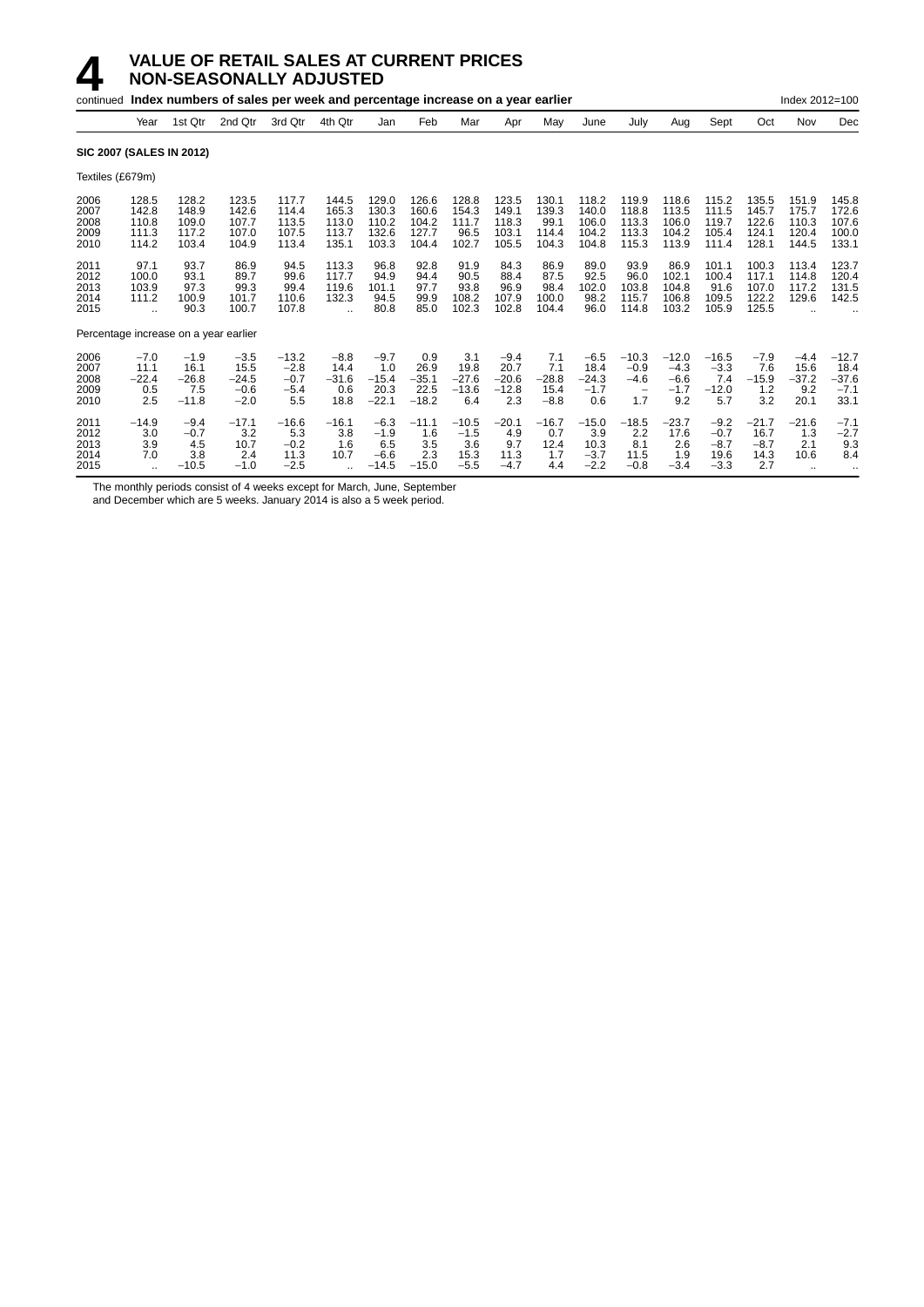|                                      |                                                         |                                             | continued Index numbers of sales per week and percentage increase on a year earlier |                                              |                                                          |                                              |                                           |                                            |                                             |                                          |                                            |                                                                |                                              |                                              |                                           | Index 2012=100                            |                                              |
|--------------------------------------|---------------------------------------------------------|---------------------------------------------|-------------------------------------------------------------------------------------|----------------------------------------------|----------------------------------------------------------|----------------------------------------------|-------------------------------------------|--------------------------------------------|---------------------------------------------|------------------------------------------|--------------------------------------------|----------------------------------------------------------------|----------------------------------------------|----------------------------------------------|-------------------------------------------|-------------------------------------------|----------------------------------------------|
|                                      | Year                                                    | 1st Qtr                                     | 2nd Qtr                                                                             | 3rd Qtr                                      | 4th Qtr                                                  | Jan                                          | Feb                                       | Mar                                        | Apr                                         | May                                      | June                                       | July                                                           | Aug                                          | Sept                                         | Oct                                       | Nov                                       | Dec                                          |
| <b>SIC 2007 (SALES IN 2012)</b>      |                                                         |                                             |                                                                                     |                                              |                                                          |                                              |                                           |                                            |                                             |                                          |                                            |                                                                |                                              |                                              |                                           |                                           |                                              |
| Textiles (£679m)                     |                                                         |                                             |                                                                                     |                                              |                                                          |                                              |                                           |                                            |                                             |                                          |                                            |                                                                |                                              |                                              |                                           |                                           |                                              |
| 2006<br>2007<br>2008<br>2009<br>2010 | 128.5<br>142.8<br>110.8<br>111.3<br>114.2               | 128.2<br>148.9<br>109.0<br>117.2<br>103.4   | 123.5<br>142.6<br>107.7<br>107.0<br>104.9                                           | 117.7<br>114.4<br>113.5<br>107.5<br>113.4    | 144.5<br>165.3<br>113.0<br>113.7<br>135.1                | 129.0<br>130.3<br>110.2<br>132.6<br>103.3    | 126.6<br>160.6<br>104.2<br>127.7<br>104.4 | 128.8<br>154.3<br>111.7<br>96.5<br>102.7   | 123.5<br>149.1<br>118.3<br>103.1<br>105.5   | 130.1<br>139.3<br>99.1<br>114.4<br>104.3 | 118.2<br>140.0<br>106.0<br>104.2<br>104.8  | 119.9<br>118.8<br>113.3<br>113.3<br>115.3                      | 118.6<br>113.5<br>106.0<br>104.2<br>113.9    | 115.2<br>111.5<br>119.7<br>105.4<br>111.4    | 135.5<br>145.7<br>122.6<br>124.1<br>128.1 | 151.9<br>175.7<br>110.3<br>120.4<br>144.5 | 145.8<br>172.6<br>107.6<br>100.0<br>133.1    |
| 2011<br>2012<br>2013<br>2014<br>2015 | 97.1<br>100.0<br>103.9<br>111.2<br>$\ddot{\phantom{a}}$ | 93.7<br>93.1<br>97.3<br>100.9<br>90.3       | 86.9<br>89.7<br>99.3<br>101.7<br>100.7                                              | 94.5<br>99.6<br>99.4<br>110.6<br>107.8       | 113.3<br>117.7<br>119.6<br>132.3<br>$\ddot{\phantom{a}}$ | 96.8<br>94.9<br>101.1<br>94.5<br>80.8        | 92.8<br>94.4<br>97.7<br>99.9<br>85.0      | 91.9<br>90.5<br>93.8<br>108.2<br>102.3     | 84.3<br>88.4<br>96.9<br>107.9<br>102.8      | 86.9<br>87.5<br>98.4<br>100.0<br>104.4   | 89.0<br>92.5<br>102.0<br>98.2<br>96.0      | 93.9<br>96.0<br>103.8<br>115.7<br>114.8                        | 86.9<br>102.1<br>104.8<br>106.8<br>103.2     | 101.1<br>100.4<br>91.6<br>109.5<br>105.9     | 100.3<br>117.1<br>107.0<br>122.2<br>125.5 | 113.4<br>114.8<br>117.2<br>129.6          | 123.7<br>120.4<br>131.5<br>142.5             |
|                                      |                                                         | Percentage increase on a year earlier       |                                                                                     |                                              |                                                          |                                              |                                           |                                            |                                             |                                          |                                            |                                                                |                                              |                                              |                                           |                                           |                                              |
| 2006<br>2007<br>2008<br>2009<br>2010 | $-7.0$<br>11.1<br>$-22.4$<br>0.5<br>2.5                 | $-1.9$<br>16.1<br>$-26.8$<br>7.5<br>$-11.8$ | $-3.5$<br>15.5<br>$-24.5$<br>$-0.6$<br>$-2.0$                                       | $-13.2$<br>$-2.8$<br>$-0.7$<br>$-5.4$<br>5.5 | $-8.8$<br>14.4<br>$-31.6$<br>0.6<br>18.8                 | $-9.7$<br>1.0<br>$-15.4$<br>20.3<br>$-22.1$  | 0.9<br>26.9<br>$-35.1$<br>22.5<br>$-18.2$ | 3.1<br>19.8<br>$-27.6$<br>$-13.6$<br>6.4   | $-9.4$<br>20.7<br>$-20.6$<br>$-12.8$<br>2.3 | 7.1<br>7.1<br>$-28.8$<br>15.4<br>$-8.8$  | $-6.5$<br>18.4<br>$-24.3$<br>$-1.7$<br>0.6 | $-10.3$<br>$-0.9$<br>$-4.6$<br>$\overline{\phantom{0}}$<br>1.7 | $-12.0$<br>$-4.3$<br>$-6.6$<br>$-1.7$<br>9.2 | $-16.5$<br>$-3.3$<br>7.4<br>$-12.0$<br>5.7   | $-7.9$<br>7.6<br>$-15.9$<br>1.2<br>3.2    | $-4.4$<br>15.6<br>$-37.2$<br>9.2<br>20.1  | $-12.7$<br>18.4<br>$-37.6$<br>$-7.1$<br>33.1 |
| 2011<br>2012<br>2013<br>2014<br>2015 | $-14.9$<br>3.0<br>3.9<br>7.0                            | $-9.4$<br>$-0.7$<br>4.5<br>3.8<br>$-10.5$   | $-17.1$<br>3.2<br>10.7<br>2.4<br>$-1.0$                                             | $-16.6$<br>5.3<br>$-0.2$<br>11.3<br>$-2.5$   | $-16.1$<br>3.8<br>1.6<br>10.7                            | $-6.3$<br>$-1.9$<br>6.5<br>$-6.6$<br>$-14.5$ | $-11.1$<br>1.6<br>3.5<br>2.3<br>$-15.0$   | $-10.5$<br>$-1.5$<br>3.6<br>15.3<br>$-5.5$ | $-20.1$<br>4.9<br>9.7<br>11.3<br>$-4.7$     | $-16.7$<br>0.7<br>12.4<br>1.7<br>4.4     | $-15.0$<br>3.9<br>10.3<br>$-3.7$<br>$-2.2$ | $-18.5$<br>2.2<br>8.1<br>11.5<br>$-0.8$                        | $-23.7$<br>17.6<br>2.6<br>1.9<br>$-3.4$      | $-9.2$<br>$-0.7$<br>$-8.7$<br>19.6<br>$-3.3$ | $-21.7$<br>16.7<br>$-8.7$<br>14.3<br>2.7  | $-21.6$<br>1.3<br>2.1<br>10.6             | $-7.1$<br>$-2.7$<br>9.3<br>8.4               |

The monthly periods consist of 4 weeks except for March, June, September

and December which are 5 weeks. January 2014 is also a 5 week period.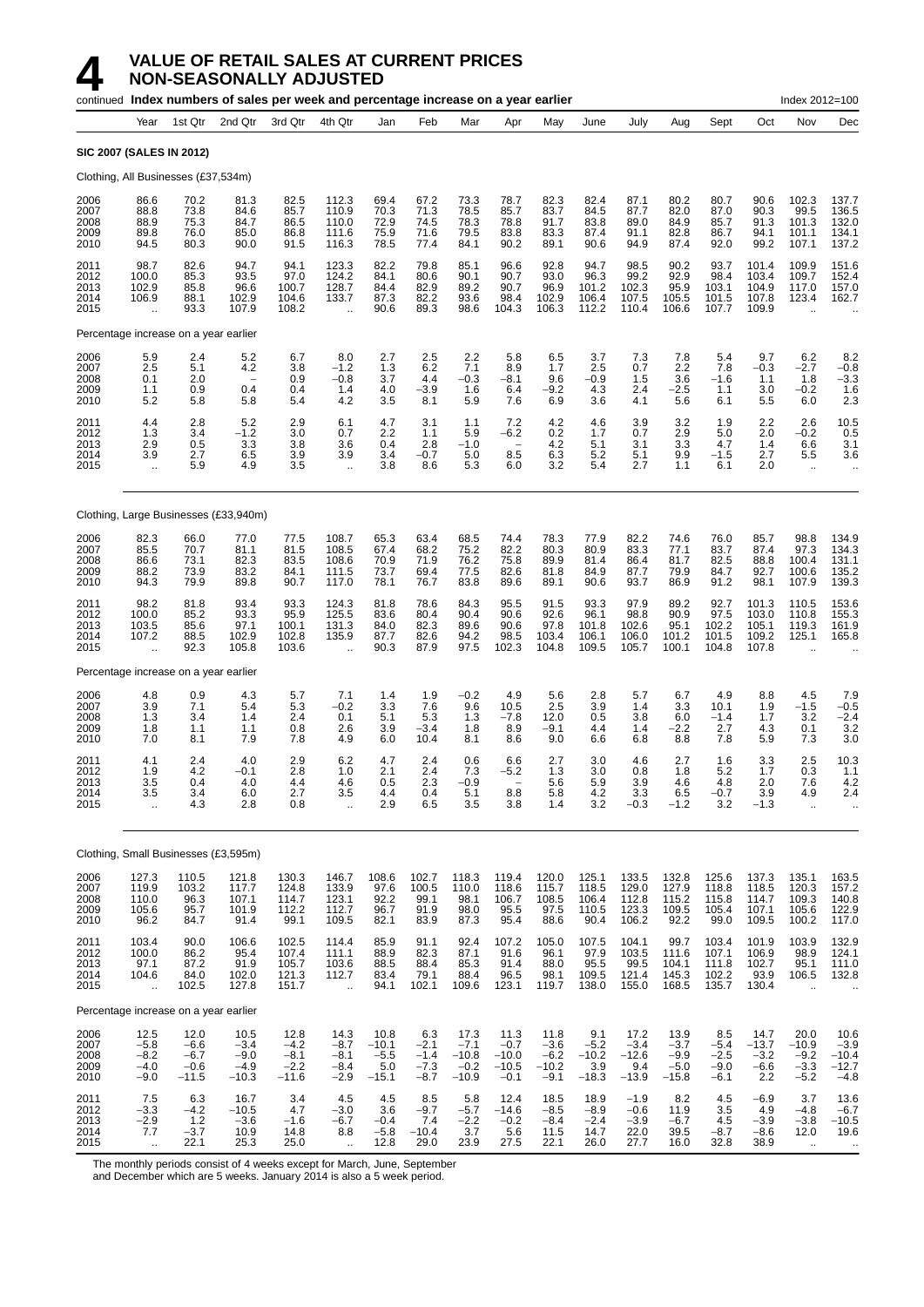|                                      |                                                         |                                               | continued Index numbers of sales per week and percentage increase on a year earlier |                                               |                                                          |                                             |                                             |                                                |                                                       |                                               |                                            |                                             |                                               |                                             |                                            | Index 2012=100                                           |                                                                          |
|--------------------------------------|---------------------------------------------------------|-----------------------------------------------|-------------------------------------------------------------------------------------|-----------------------------------------------|----------------------------------------------------------|---------------------------------------------|---------------------------------------------|------------------------------------------------|-------------------------------------------------------|-----------------------------------------------|--------------------------------------------|---------------------------------------------|-----------------------------------------------|---------------------------------------------|--------------------------------------------|----------------------------------------------------------|--------------------------------------------------------------------------|
|                                      | Year                                                    | 1st Qtr                                       | 2nd Qtr                                                                             | 3rd Qtr                                       | 4th Qtr                                                  | Jan                                         | Feb                                         | Mar                                            | Apr                                                   | May                                           | June                                       | July                                        | Aug                                           | Sept                                        | Oct                                        | Nov                                                      | Dec                                                                      |
|                                      | <b>SIC 2007 (SALES IN 2012)</b>                         |                                               |                                                                                     |                                               |                                                          |                                             |                                             |                                                |                                                       |                                               |                                            |                                             |                                               |                                             |                                            |                                                          |                                                                          |
|                                      | Clothing, All Businesses (£37,534m)                     |                                               |                                                                                     |                                               |                                                          |                                             |                                             |                                                |                                                       |                                               |                                            |                                             |                                               |                                             |                                            |                                                          |                                                                          |
| 2006<br>2007<br>2008<br>2009<br>2010 | 86.6<br>88.8<br>88.9<br>89.8<br>94.5                    | 70.2<br>73.8<br>75.3<br>76.0<br>80.3          | 81.3<br>84.6<br>84.7<br>85.0<br>90.0                                                | 82.5<br>85.7<br>86.5<br>86.8<br>91.5          | 112.3<br>110.9<br>110.0<br>111.6<br>116.3                | 69.4<br>70.3<br>72.9<br>75.9<br>78.5        | 67.2<br>71.3<br>74.5<br>71.6<br>77.4        | 73.3<br>78.5<br>78.3<br>79.5<br>84.1           | 78.7<br>85.7<br>78.8<br>83.8<br>90.2                  | 82.3<br>83.7<br>91.7<br>83.3<br>89.1          | 82.4<br>84.5<br>83.8<br>87.4<br>90.6       | 87.1<br>87.7<br>89.0<br>91.1<br>94.9        | 80.2<br>82.0<br>84.9<br>82.8<br>87.4          | 80.7<br>87.0<br>85.7<br>86.7<br>92.0        | 90.6<br>90.3<br>91.3<br>94.1<br>99.2       | 102.3<br>99.5<br>101.3<br>101.1<br>107.1                 | 137.7<br>136.5<br>132.0<br>134.1<br>137.2                                |
| 2011<br>2012<br>2013<br>2014<br>2015 | 98.7<br>100.0<br>102.9<br>106.9<br>$\ddot{\phantom{a}}$ | 82.6<br>85.3<br>85.8<br>88.1<br>93.3          | 94.7<br>93.5<br>96.6<br>102.9<br>107.9                                              | 94.1<br>97.0<br>100.7<br>104.6<br>108.2       | 123.3<br>124.2<br>128.7<br>133.7<br>$\ddotsc$            | 82.2<br>84.1<br>84.4<br>87.3<br>90.6        | 79.8<br>80.6<br>82.9<br>82.2<br>89.3        | 85.1<br>90.1<br>89.2<br>93.6<br>98.6           | 96.6<br>90.7<br>90.7<br>98.4<br>104.3                 | 92.8<br>93.0<br>96.9<br>102.9<br>106.3        | 94.7<br>96.3<br>101.2<br>106.4<br>112.2    | 98.5<br>99.2<br>102.3<br>107.5<br>110.4     | 90.2<br>92.9<br>95.9<br>105.5<br>106.6        | 93.7<br>98.4<br>103.1<br>101.5<br>107.7     | 101.4<br>103.4<br>104.9<br>107.8<br>109.9  | 109.9<br>109.7<br>117.0<br>123.4<br>$\ddot{\phantom{a}}$ | 151.6<br>152.4<br>157.0<br>162.7                                         |
|                                      | Percentage increase on a year earlier                   |                                               |                                                                                     |                                               |                                                          |                                             |                                             |                                                |                                                       |                                               |                                            |                                             |                                               |                                             |                                            |                                                          |                                                                          |
| 2006<br>2007<br>2008<br>2009<br>2010 | 5.9<br>2.5<br>0.1<br>1.1<br>5.2                         | 2.4<br>5.1<br>2.0<br>0.9<br>5.8               | 5.2<br>4.2<br>$\qquad \qquad -$<br>0.4<br>5.8                                       | 6.7<br>3.8<br>0.9<br>0.4<br>5.4               | 8.0<br>$-1.2$<br>$-0.8$<br>1.4<br>4.2                    | 2.7<br>1.3<br>3.7<br>4.0<br>3.5             | 2.5<br>6.2<br>4.4<br>$-3.9$<br>8.1          | 2.2<br>7.1<br>$-0.3$<br>1.6<br>5.9             | 5.8<br>8.9<br>$-8.1$<br>6.4<br>7.6                    | 6.5<br>1.7<br>9.6<br>$-9.2$<br>6.9            | 3.7<br>2.5<br>$-0.9$<br>4.3<br>3.6         | 7.3<br>0.7<br>1.5<br>2.4<br>4.1             | 7.8<br>2.2<br>3.6<br>$-2.5$<br>5.6            | 5.4<br>7.8<br>$-1.6$<br>1.1<br>6.1          | 9.7<br>$-0.3$<br>1.1<br>3.0<br>5.5         | 6.2<br>$-2.7$<br>1.8<br>$-0.2$<br>6.0                    | 8.2<br>$-0.8$<br>$-3.3$<br>1.6<br>2.3                                    |
| 2011<br>2012<br>2013<br>2014<br>2015 | 4.4<br>1.3<br>2.9<br>3.9<br>$\ldots$                    | 2.8<br>3.4<br>0.5<br>2.7<br>5.9               | 5.2<br>$-1.2$<br>3.3<br>6.5<br>4.9                                                  | 2.9<br>3.0<br>3.8<br>3.9<br>3.5               | 6.1<br>0.7<br>3.6<br>3.9<br>$\ddotsc$                    | 4.7<br>2.2<br>0.4<br>3.4<br>3.8             | 3.1<br>1.1<br>2.8<br>$-0.7$<br>8.6          | 1.1<br>5.9<br>$-1.0$<br>5.0<br>5.3             | 7.2<br>-6.2<br>$\overline{\phantom{a}}$<br>8.5<br>6.0 | 4.2<br>0.2<br>4.2<br>6.3<br>3.2               | 4.6<br>1.7<br>5.1<br>5.2<br>5.4            | 3.9<br>0.7<br>3.1<br>5.1<br>2.7             | 3.2<br>2.9<br>3.3<br>9.9<br>1.1               | 1.9<br>5.0<br>4.7<br>$-1.5$<br>6.1          | 2.2<br>2.0<br>1.4<br>2.7<br>2.0            | 2.6<br>$-0.2$<br>6.6<br>5.5<br>$\cdot$ .                 | 10.5<br>0.5<br>3.1<br>3.6<br>$\cdot$ .                                   |
|                                      |                                                         |                                               | Clothing, Large Businesses (£33,940m)                                               |                                               |                                                          |                                             |                                             |                                                |                                                       |                                               |                                            |                                             |                                               |                                             |                                            |                                                          |                                                                          |
| 2006<br>2007<br>2008<br>2009<br>2010 | 82.3<br>85.5<br>86.6<br>88.2<br>94.3                    | 66.0<br>70.7<br>73.1<br>73.9<br>79.9          | 77.0<br>81.1<br>82.3<br>83.2<br>89.8                                                | 77.5<br>81.5<br>83.5<br>84.1<br>90.7          | 108.7<br>108.5<br>108.6<br>111.5<br>117.0                | 65.3<br>67.4<br>70.9<br>73.7<br>78.1        | 63.4<br>68.2<br>71.9<br>69.4<br>76.7        | 68.5<br>75.2<br>76.2<br>77.5<br>83.8           | 74.4<br>82.2<br>75.8<br>82.6<br>89.6                  | 78.3<br>80.3<br>89.9<br>81.8<br>89.1          | 77.9<br>80.9<br>81.4<br>84.9<br>90.6       | 82.2<br>83.3<br>86.4<br>87.7<br>93.7        | 74.6<br>77.1<br>81.7<br>79.9<br>86.9          | 76.0<br>83.7<br>82.5<br>84.7<br>91.2        | 85.7<br>87.4<br>88.8<br>92.7<br>98.1       | 98.8<br>97.3<br>100.4<br>100.6<br>107.9                  | 134.9<br>134.3<br>131.1<br>135.2<br>139.3                                |
| 2011<br>2012<br>2013<br>2014<br>2015 | 98.2<br>100.0<br>103.5<br>107.2<br>$\ddot{\phantom{a}}$ | 81.8<br>85.2<br>85.6<br>88.5<br>92.3          | 93.4<br>93.3<br>97.1<br>102.9<br>105.8                                              | 93.3<br>95.9<br>100.1<br>102.8<br>103.6       | 124.3<br>125.5<br>131.3<br>135.9<br>$\ddot{\phantom{1}}$ | 81.8<br>83.6<br>84.0<br>87.7<br>90.3        | 78.6<br>80.4<br>82.3<br>82.6<br>87.9        | 84.3<br>90.4<br>89.6<br>94.2<br>97.5           | 95.5<br>90.6<br>90.6<br>98.5<br>102.3                 | 91.5<br>92.6<br>97.8<br>103.4<br>104.8        | 93.3<br>96.1<br>101.8<br>106.1<br>109.5    | 97.9<br>98.8<br>102.6<br>106.0<br>105.7     | 89.2<br>90.9<br>95.1<br>101.2<br>100.1        | 92.7<br>97.5<br>102.2<br>101.5<br>104.8     | 101.3<br>103.0<br>105.1<br>109.2<br>107.8  | 110.5<br>110.8<br>119.3<br>125.1                         | 153.6<br>155.3<br>161.9<br>165.8<br>$\ddot{\phantom{a}}$                 |
|                                      | Percentage increase on a year earlier                   |                                               |                                                                                     |                                               |                                                          |                                             |                                             |                                                |                                                       |                                               |                                            |                                             |                                               |                                             |                                            |                                                          |                                                                          |
| 2006<br>2007<br>2008<br>2009<br>2010 | 4.8<br>3.9<br>1.3<br>1.8<br>7.0                         | 0.9<br>7.1<br>3.4<br>1.1<br>8.1               | 4.3<br>5.4<br>1.4<br>1.1<br>7.9                                                     | 5.7<br>5.3<br>2.4<br>0.8<br>7.8               | 7.1<br>$-0.2$<br>0.1<br>2.6<br>4.9                       | 1.4<br>3.3<br>5.1<br>3.9<br>6.0             | 1.9<br>7.6<br>5.3<br>$-3.4$<br>10.4         | $-0.2$<br>9.6<br>1.3<br>1.8<br>8.1             | 4.9<br>10.5<br>$-7.8$<br>8.9<br>8.6                   | 5.6<br>2.5<br>12.0<br>$-9.1$<br>9.0           | 2.8<br>3.9<br>0.5<br>4.4<br>6.6            | 5.7<br>1.4<br>3.8<br>1.4<br>6.8             | 6.7<br>3.3<br>6.0<br>$-2.2$<br>8.8            | 4.9<br>10.1<br>$-1.4$<br>2.7<br>7.8         | 8.8<br>1.9<br>1.7<br>4.3<br>5.9            | 4.5<br>$-1.5$<br>3.2<br>0.1<br>7.3                       | 7.9<br>$-0.5$<br>$-2.4$<br>3.2<br>3.0                                    |
| 2011<br>2012<br>2013<br>2014<br>2015 | 4.1<br>1.9<br>3.5<br>3.5<br>$\ddot{\phantom{a}}$        | 2.4<br>4.2<br>0.4<br>3.4<br>4.3               | 4.0<br>$-0.1$<br>4.0<br>6.0<br>2.8                                                  | 2.9<br>2.8<br>4.4<br>2.7<br>0.8               | 6.2<br>1.0<br>4.6<br>3.5<br>$\ddot{\phantom{a}}$         | 4.7<br>2.1<br>0.5<br>4.4<br>2.9             | 2.4<br>2.4<br>2.3<br>0.4<br>6.5             | 0.6<br>7.3<br>-0.9<br>5.1<br>3.5               | 6.6<br>$-5.2$<br>8.8<br>3.8                           | 2.7<br>1.3<br>5.6<br>5.8<br>1.4               | 3.0<br>3.0<br>5.9<br>4.2<br>3.2            | 4.6<br>0.8<br>3.9<br>3.3<br>$-0.3$          | 2.7<br>1.8<br>4.6<br>6.5<br>$-1.2$            | 1.6<br>5.2<br>4.8<br>$-0.7$<br>3.2          | 3.3<br>1.7<br>2.0<br>3.9<br>$-1.3$         | 2.5<br>0.3<br>7.6<br>4.9<br>$\ddotsc$                    | 10.3<br>1.1<br>4.2<br>2.4<br>ä.                                          |
|                                      |                                                         |                                               | Clothing, Small Businesses (£3,595m)                                                |                                               |                                                          |                                             |                                             |                                                |                                                       |                                               |                                            |                                             |                                               |                                             |                                            |                                                          |                                                                          |
| 2006<br>2007<br>2008<br>2009<br>2010 | 127.3<br>119.9<br>110.0<br>105.6<br>96.2                | 110.5<br>103.2<br>96.3<br>95.7<br>84.7        | 121.8<br>117.7<br>107.1<br>101.9<br>91.4                                            | 130.3<br>124.8<br>114.7<br>112.2<br>99.1      | 146.7<br>133.9<br>123.1<br>112.7<br>109.5                | 108.6<br>97.6<br>92.2<br>96.7<br>82.1       | 102.7<br>100.5<br>99.1<br>91.9<br>83.9      | 118.3<br>110.0<br>98.1<br>98.0<br>87.3         | 119.4<br>118.6<br>106.7<br>95.5<br>95.4               | 120.0<br>115.7<br>108.5<br>97.5<br>88.6       | 125.1<br>118.5<br>106.4<br>110.5<br>90.4   | 133.5<br>129.0<br>112.8<br>123.3<br>106.2   | 132.8<br>127.9<br>115.2<br>109.5<br>92.2      | 125.6<br>118.8<br>115.8<br>105.4<br>99.0    | 137.3<br>118.5<br>114.7<br>107.1<br>109.5  | 135.1<br>120.3<br>109.3<br>105.6<br>100.2                | 163.5<br>$\begin{array}{c} 157.2 \\ 140.8 \\ 122.9 \end{array}$<br>117.0 |
| 2011<br>2012<br>2013<br>2014<br>2015 | 103.4<br>100.0<br>97.1<br>104.6<br>÷.                   | 90.0<br>86.2<br>87.2<br>84.0<br>102.5         | 106.6<br>95.4<br>91.9<br>102.0<br>127.8                                             | 102.5<br>107.4<br>105.7<br>121.3<br>151.7     | 114.4<br>111.1<br>103.6<br>112.7<br>$\ddot{\phantom{a}}$ | 85.9<br>88.9<br>88.5<br>83.4<br>94.1        | 91.1<br>82.3<br>88.4<br>79.1<br>102.1       | 92.4<br>87.1<br>85.3<br>88.4<br>109.6          | 107.2<br>91.6<br>91.4<br>96.5<br>123.1                | 105.0<br>96.1<br>88.0<br>98.1<br>119.7        | 107.5<br>97.9<br>95.5<br>109.5<br>138.0    | 104.1<br>103.5<br>99.5<br>121.4<br>155.0    | 99.7<br>111.6<br>104.1<br>145.3<br>168.5      | 103.4<br>107.1<br>111.8<br>102.2<br>135.7   | 101.9<br>106.9<br>102.7<br>93.9<br>130.4   | 103.9<br>98.9<br>95.1<br>106.5                           | 132.9<br>124.1<br>111.0<br>132.8                                         |
|                                      | Percentage increase on a year earlier                   |                                               |                                                                                     |                                               |                                                          |                                             |                                             |                                                |                                                       |                                               |                                            |                                             |                                               |                                             |                                            |                                                          |                                                                          |
| 2006<br>2007<br>2008<br>2009<br>2010 | 12.5<br>$-5.8$<br>$-8.2$<br>$-4.0$<br>$-9.0$            | 12.0<br>$-6.6$<br>$-6.7$<br>$-0.6$<br>$-11.5$ | 10.5<br>$-3.4$<br>$-9.0$<br>$-4.9$<br>$-10.3$                                       | 12.8<br>$-4.2$<br>$-8.1$<br>$-2.2$<br>$-11.6$ | 14.3<br>$-8.7$<br>$-8.1$<br>$-8.4$<br>$-2.9$             | 10.8<br>$-10.1$<br>$-5.5$<br>5.0<br>$-15.1$ | 6.3<br>$-2.1$<br>$-1.4$<br>$-7.3$<br>$-8.7$ | 17.3<br>$-7.1$<br>$-10.8$<br>$-0.2$<br>$-10.9$ | 11.3<br>$-0.7$<br>$-10.0$<br>$-10.5$<br>$-0.1$        | 11.8<br>$-3.6$<br>$-6.2$<br>$-10.2$<br>$-9.1$ | 9.1<br>$-5.2$<br>$-10.2$<br>3.9<br>$-18.3$ | 17.2<br>$-3.4$<br>$-12.6$<br>9.4<br>$-13.9$ | 13.9<br>$-3.7$<br>$-9.9$<br>$-5.0$<br>$-15.8$ | 8.5<br>$-5.4$<br>$-2.5$<br>$-9.0$<br>$-6.1$ | 14.7<br>$-13.7$<br>$-3.2$<br>$-6.6$<br>2.2 | 20.0<br>$-10.9$<br>$-9.2$<br>$-3.3$<br>$-5.2$            | 10.6<br>$-3.9$<br>$-10.4$<br>$-12.7$<br>$-4.8$                           |
| 2011<br>2012<br>2013<br>2014<br>2015 | 7.5<br>$-3.\overline{3}$<br>$-2.9$<br>7.7<br>$\ddotsc$  | 6.3<br>$-4.2$<br>1.2<br>$-3.7$<br>22.1        | 16.7<br>$-10.5$<br>$-3.6$<br>10.9<br>25.3                                           | 3.4<br>4.7<br>$-1.6$<br>14.8<br>25.0          | 4.5<br>$-3.0$<br>$-6.7$<br>8.8<br>$\ddot{\phantom{a}}$   | 4.5<br>3.6<br>$-0.4$<br>$-5.8$<br>12.8      | 8.5<br>$-9.7$<br>7.4<br>$-10.4$<br>29.0     | 5.8<br>$-5.7$<br>$-2.2$<br>3.7<br>23.9         | 12.4<br>$-14.6$<br>$-0.2$<br>5.6<br>27.5              | 18.5<br>$-8.5$<br>$-8.4$<br>11.5<br>22.1      | 18.9<br>$-8.9$<br>$-2.4$<br>14.7<br>26.0   | $-1.9$<br>$-0.6$<br>$-3.9$<br>22.0<br>27.7  | 8.2<br>11.9<br>$-6.7$<br>39.5<br>16.0         | 4.5<br>3.5<br>4.5<br>$-8.7$<br>32.8         | $-6.9$<br>4.9<br>$-3.9$<br>$-8.6$<br>38.9  | 3.7<br>$-4.8$<br>$-3.8$<br>12.0<br>$\ddot{\phantom{1}}$  | 13.6<br>$-6.7$<br>$-10.5$<br>19.6<br>$\bullet\bullet$                    |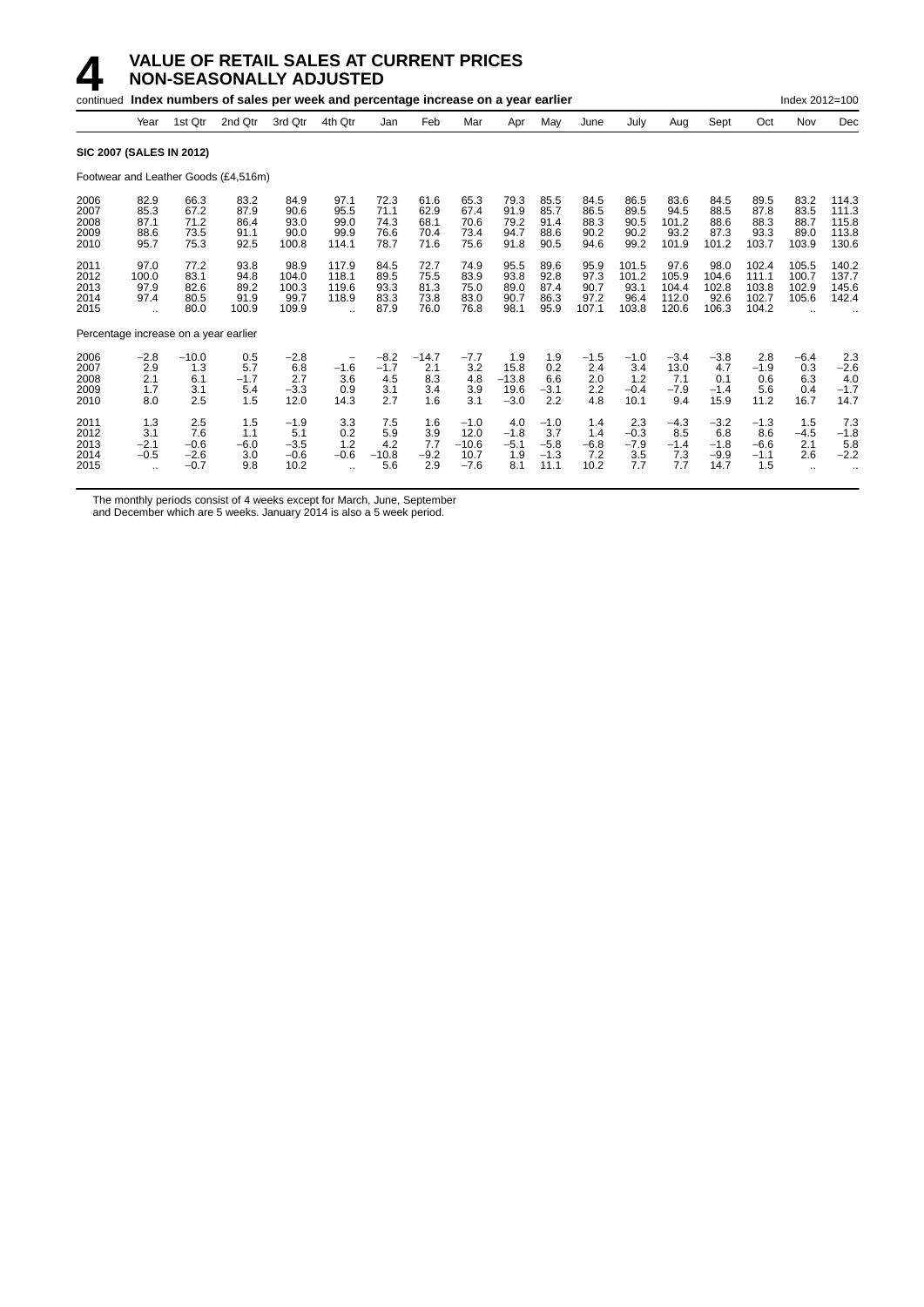|                                       |                                                       |                                          | continued Index numbers of sales per week and percentage increase on a year earlier |                                           |                                                          |                                       |                                      |                                             |                                          |                                           |                                       |                                         |                                          |                                           |                                           | Index 2012=100                           |                                           |
|---------------------------------------|-------------------------------------------------------|------------------------------------------|-------------------------------------------------------------------------------------|-------------------------------------------|----------------------------------------------------------|---------------------------------------|--------------------------------------|---------------------------------------------|------------------------------------------|-------------------------------------------|---------------------------------------|-----------------------------------------|------------------------------------------|-------------------------------------------|-------------------------------------------|------------------------------------------|-------------------------------------------|
|                                       | Year                                                  | 1st Qtr                                  | 2nd Qtr                                                                             | 3rd Qtr                                   | 4th Qtr                                                  | Jan                                   | Feb                                  | Mar                                         | Apr                                      | May                                       | June                                  | July                                    | Aug                                      | Sept                                      | Oct                                       | Nov                                      | Dec                                       |
| <b>SIC 2007 (SALES IN 2012)</b>       |                                                       |                                          |                                                                                     |                                           |                                                          |                                       |                                      |                                             |                                          |                                           |                                       |                                         |                                          |                                           |                                           |                                          |                                           |
|                                       |                                                       |                                          | Footwear and Leather Goods (£4,516m)                                                |                                           |                                                          |                                       |                                      |                                             |                                          |                                           |                                       |                                         |                                          |                                           |                                           |                                          |                                           |
| 2006<br>2007<br>2008<br>2009<br>2010  | 82.9<br>85.3<br>87.1<br>88.6<br>95.7                  | 66.3<br>67.2<br>71.2<br>73.5<br>75.3     | 83.2<br>87.9<br>86.4<br>91.1<br>92.5                                                | 84.9<br>90.6<br>93.0<br>90.0<br>100.8     | 97.1<br>95.5<br>99.0<br>99.9<br>114.1                    | 72.3<br>71.1<br>74.3<br>76.6<br>78.7  | 61.6<br>62.9<br>68.1<br>70.4<br>71.6 | 65.3<br>67.4<br>70.6<br>73.4<br>75.6        | 79.3<br>91.9<br>79.2<br>94.7<br>91.8     | 85.5<br>85.7<br>91.4<br>88.6<br>90.5      | 84.5<br>86.5<br>88.3<br>90.2<br>94.6  | 86.5<br>89.5<br>90.5<br>90.2<br>99.2    | 83.6<br>94.5<br>101.2<br>93.2<br>101.9   | 84.5<br>88.5<br>88.6<br>87.3<br>101.2     | 89.5<br>87.8<br>88.3<br>93.3<br>103.7     | 83.2<br>83.5<br>88.7<br>89.0<br>103.9    | 114.3<br>111.3<br>115.8<br>113.8<br>130.6 |
| 2011<br>2012<br>2013<br>2014<br>2015  | 97.0<br>100.0<br>97.9<br>97.4<br>$\ddot{\phantom{a}}$ | 77.2<br>83.1<br>82.6<br>80.5<br>80.0     | 93.8<br>94.8<br>89.2<br>91.9<br>100.9                                               | 98.9<br>104.0<br>100.3<br>99.7<br>109.9   | 117.9<br>118.1<br>119.6<br>118.9<br>$\ddot{\phantom{a}}$ | 84.5<br>89.5<br>93.3<br>83.3<br>87.9  | 72.7<br>75.5<br>81.3<br>73.8<br>76.0 | 74.9<br>83.9<br>75.0<br>83.0<br>76.8        | 95.5<br>93.8<br>89.0<br>90.7<br>98.1     | 89.6<br>92.8<br>87.4<br>86.3<br>95.9      | 95.9<br>97.3<br>90.7<br>97.2<br>107.1 | 101.5<br>101.2<br>93.1<br>96.4<br>103.8 | 97.6<br>105.9<br>104.4<br>112.0<br>120.6 | 98.0<br>104.6<br>102.8<br>92.6<br>106.3   | 102.4<br>111.1<br>103.8<br>102.7<br>104.2 | 105.5<br>100.7<br>102.9<br>105.6         | 140.2<br>137.7<br>145.6<br>142.4          |
| Percentage increase on a year earlier |                                                       |                                          |                                                                                     |                                           |                                                          |                                       |                                      |                                             |                                          |                                           |                                       |                                         |                                          |                                           |                                           |                                          |                                           |
| 2006<br>2007<br>2008<br>2009<br>2010  | $-2.8$<br>2.9<br>2.1<br>1.7<br>8.0                    | $-10.0$<br>1.3<br>6.1<br>3.1<br>2.5      | 0.5<br>5.7<br>$-1.7$<br>5.4<br>1.5                                                  | $-2.8$<br>6.8<br>2.7<br>$-3.3$<br>12.0    | -<br>$-1.6$<br>3.6<br>0.9<br>14.3                        | $-8.2$<br>$-1.7$<br>4.5<br>3.1<br>2.7 | $-14.7$<br>2.1<br>8.3<br>3.4<br>1.6  | $-7.7$<br>3.2<br>4.8<br>3.9<br>3.1          | 1.9<br>15.8<br>$-13.8$<br>19.6<br>$-3.0$ | 1.9<br>0.2<br>6.6<br>$-3.1$<br>2.2        | $-1.5$<br>2.4<br>2.0<br>2.2<br>4.8    | $-1.0$<br>3.4<br>1.2<br>$-0.4$<br>10.1  | $-3.4$<br>13.0<br>7.1<br>$-7.9$<br>9.4   | $-3.8$<br>4.7<br>0.1<br>$-1.4$<br>15.9    | 2.8<br>$-1.9$<br>0.6<br>5.6<br>11.2       | $-6.4$<br>0.3<br>6.3<br>0.4<br>16.7      | 2.3<br>$-2.6$<br>4.0<br>$-1.7$<br>14.7    |
| 2011<br>2012<br>2013<br>2014<br>2015  | 1.3<br>3.1<br>$-2.1$<br>$-0.5$<br>٠.                  | 2.5<br>7.6<br>$-0.6$<br>$-2.6$<br>$-0.7$ | 1.5<br>1.1<br>$-6.0$<br>3.0<br>9.8                                                  | $-1.9$<br>5.1<br>$-3.5$<br>$-0.6$<br>10.2 | 3.3<br>0.2<br>1.2<br>$-0.6$<br>$\ddot{\phantom{a}}$      | 7.5<br>5.9<br>4.2<br>$-10.8$<br>5.6   | 1.6<br>3.9<br>7.7<br>$-9.2$<br>2.9   | $-1.0$<br>12.0<br>$-10.6$<br>10.7<br>$-7.6$ | 4.0<br>$-1.8$<br>$-5.1$<br>1.9<br>8.1    | $-1.0$<br>3.7<br>$-5.8$<br>$-1.3$<br>11.1 | 1.4<br>1.4<br>$-6.8$<br>7.2<br>10.2   | 2.3<br>$-0.3$<br>$-7.9$<br>3.5<br>7.7   | $-4.3$<br>8.5<br>$-1.4$<br>7.3<br>7.7    | $-3.2$<br>6.8<br>$-1.8$<br>$-9.9$<br>14.7 | $-1.3$<br>8.6<br>$-6.6$<br>$-1.1$<br>1.5  | 1.5<br>$-4.5$<br>2.1<br>2.6<br>$\ddotsc$ | 7.3<br>$-1.8$<br>5.8<br>$-2.2$            |

The monthly periods consist of 4 weeks except for March, June, September

and December which are 5 weeks. January 2014 is also a 5 week period.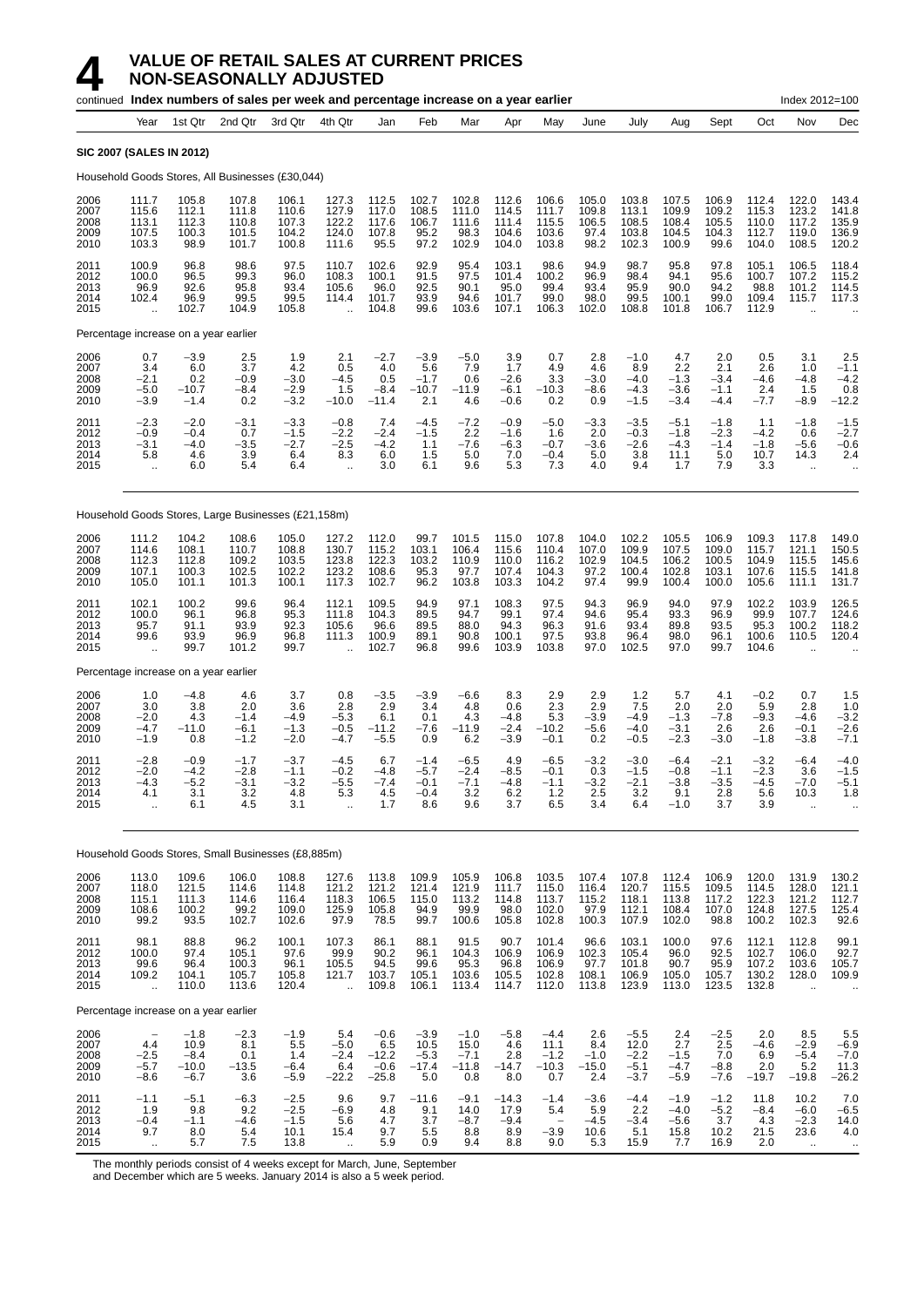# **4 VALUE OF RETAIL SALES AT CURRENT PRICES**<br>**14 MON-SEASONALLY ADJUSTED**<br>continued Index numbers of sales per week and percentage increase on a ver-**NON-SEASONALLY ADJUSTED**

|                                      |                                                        |                                               |                                           | continued Index numbers of sales per week and percentage increase on a year earlier |                                                           |                                               |                                             |                                            |                                           |                                            |                                          |                                              |                                             |                                           |                                           | Index 2012=100                                           |                                                    |
|--------------------------------------|--------------------------------------------------------|-----------------------------------------------|-------------------------------------------|-------------------------------------------------------------------------------------|-----------------------------------------------------------|-----------------------------------------------|---------------------------------------------|--------------------------------------------|-------------------------------------------|--------------------------------------------|------------------------------------------|----------------------------------------------|---------------------------------------------|-------------------------------------------|-------------------------------------------|----------------------------------------------------------|----------------------------------------------------|
|                                      | Year                                                   | 1st Qtr                                       | 2nd Qtr                                   | 3rd Qtr                                                                             | 4th Qtr                                                   | Jan                                           | Feb                                         | Mar                                        | Apr                                       | May                                        | June                                     | July                                         | Aug                                         | Sept                                      | Oct                                       | Nov                                                      | Dec                                                |
|                                      | <b>SIC 2007 (SALES IN 2012)</b>                        |                                               |                                           |                                                                                     |                                                           |                                               |                                             |                                            |                                           |                                            |                                          |                                              |                                             |                                           |                                           |                                                          |                                                    |
|                                      |                                                        |                                               |                                           | Household Goods Stores, All Businesses (£30,044)                                    |                                                           |                                               |                                             |                                            |                                           |                                            |                                          |                                              |                                             |                                           |                                           |                                                          |                                                    |
| 2006<br>2007<br>2008<br>2009<br>2010 | 111.7<br>115.6<br>113.1<br>107.5<br>103.3              | 105.8<br>112.1<br>112.3<br>100.3<br>98.9      | 107.8<br>111.8<br>110.8<br>101.5<br>101.7 | 106.1<br>110.6<br>107.3<br>104.2<br>100.8                                           | 127.3<br>127.9<br>122.2<br>124.0<br>111.6                 | 112.5<br>117.0<br>117.6<br>107.8<br>95.5      | 102.7<br>108.5<br>106.7<br>95.2<br>97.2     | 102.8<br>111.0<br>111.6<br>98.3<br>102.9   | 112.6<br>114.5<br>111.4<br>104.6<br>104.0 | 106.6<br>111.7<br>115.5<br>103.6<br>103.8  | 105.0<br>109.8<br>106.5<br>97.4<br>98.2  | 103.8<br>113.1<br>108.5<br>103.8<br>102.3    | 107.5<br>109.9<br>108.4<br>104.5<br>100.9   | 106.9<br>109.2<br>105.5<br>104.3<br>99.6  | 112.4<br>115.3<br>110.0<br>112.7<br>104.0 | 122.0<br>123.2<br>117.2<br>119.0<br>108.5                | 143.4<br>141.8<br>135.9<br>136.9<br>120.2          |
| 2011<br>2012<br>2013<br>2014<br>2015 | 100.9<br>100.0<br>96.9<br>102.4<br>ă,                  | 96.8<br>96.5<br>92.6<br>96.9<br>102.7         | 98.6<br>99.3<br>95.8<br>99.5<br>104.9     | 97.5<br>96.0<br>93.4<br>99.5<br>105.8                                               | 110.7<br>108.3<br>105.6<br>114.4<br>$\ddotsc$             | 102.6<br>100.1<br>96.0<br>101.7<br>104.8      | 92.9<br>91.5<br>92.5<br>93.9<br>99.6        | 95.4<br>97.5<br>90.1<br>94.6<br>103.6      | 103.1<br>101.4<br>95.0<br>101.7<br>107.1  | 98.6<br>100.2<br>99.4<br>99.0<br>106.3     | 94.9<br>96.9<br>93.4<br>98.0<br>102.0    | 98.7<br>98.4<br>95.9<br>99.5<br>108.8        | 95.8<br>94.1<br>90.0<br>100.1<br>101.8      | 97.8<br>95.6<br>94.2<br>99.0<br>106.7     | 105.1<br>100.7<br>98.8<br>109.4<br>112.9  | 106.5<br>107.2<br>101.2<br>115.7                         | 118.4<br>115.2<br>114.5<br>117.3                   |
|                                      |                                                        | Percentage increase on a year earlier         |                                           |                                                                                     |                                                           |                                               |                                             |                                            |                                           |                                            |                                          |                                              |                                             |                                           |                                           |                                                          |                                                    |
| 2006<br>2007<br>2008<br>2009<br>2010 | 0.7<br>3.4<br>$-2.1$<br>$-5.0$<br>$-3.9$               | $-3.9$<br>6.0<br>0.2<br>$-10.7$<br>$-1.4$     | 2.5<br>3.7<br>$-0.9$<br>$-8.4$<br>0.2     | 1.9<br>4.2<br>$-3.0$<br>$-2.9$<br>$-3.2$                                            | 2.1<br>0.5<br>$-4.5$<br>1.5<br>$-10.0$                    | $-2.7$<br>4.0<br>0.5<br>$-8.4$<br>$-11.4$     | $-3.9$<br>5.6<br>$-1.7$<br>$-10.7$<br>2.1   | $-5.0$<br>7.9<br>0.6<br>$-11.9$<br>4.6     | 3.9<br>1.7<br>$-2.6$<br>$-6.1$<br>$-0.6$  | 0.7<br>4.9<br>3.3<br>$-10.3$<br>0.2        | 2.8<br>4.6<br>$-3.0$<br>-8.6<br>0.9      | $-1.0$<br>8.9<br>$-4.0$<br>$-4.3$<br>$-1.5$  | 4.7<br>2.2<br>$-1.3$<br>$-3.6$<br>$-3.4$    | 2.0<br>2.1<br>$-3.4$<br>$-1.1$<br>$-4.4$  | 0.5<br>2.6<br>$-4.6$<br>2.4<br>$-7.7$     | 3.1<br>1.0<br>$-4.8$<br>1.5<br>$-8.9$                    | 2.5<br>$-1.1$<br>$-4.2$<br>0.8<br>$-12.2$          |
| 2011<br>2012<br>2013<br>2014<br>2015 | $-2.3$<br>$-0.9$<br>$-3.1$<br>5.8<br>ä.                | $-2.0$<br>$-0.4$<br>$-4.0$<br>4.6<br>6.0      | $-3.1$<br>0.7<br>$-3.5$<br>3.9<br>5.4     | $-3.3$<br>$-1.5$<br>$-2.7$<br>6.4<br>6.4                                            | $-0.8$<br>$-2.2$<br>$-2.5$<br>8.3<br>$\ddotsc$            | 7.4<br>$-2.4$<br>$-4.2$<br>6.0<br>3.0         | $-4.5$<br>$-1.5$<br>1.1<br>1.5<br>6.1       | $-7.2$<br>2.2<br>$-7.6$<br>5.0<br>9.6      | $-0.9$<br>$-1.6$<br>$-6.3$<br>7.0<br>5.3  | $-5.0$<br>1.6<br>$-0.7$<br>$-0.4$<br>7.3   | $-3.3$<br>2.0<br>$-3.6$<br>5.0<br>4.0    | $-3.5$<br>$-0.3$<br>$-2.6$<br>3.8<br>9.4     | $-5.1$<br>$-1.8$<br>$-4.3$<br>11.1<br>1.7   | $-1.8$<br>$-2.3$<br>$-1.4$<br>5.0<br>7.9  | 1.1<br>$-4.2$<br>$-1.8$<br>10.7<br>3.3    | $-1.8$<br>0.6<br>$-5.6$<br>14.3<br>$\ddotsc$             | $-1.5$<br>$-2.7$<br>$-0.6$<br>2.4                  |
|                                      |                                                        |                                               |                                           | Household Goods Stores, Large Businesses (£21,158m)                                 |                                                           |                                               |                                             |                                            |                                           |                                            |                                          |                                              |                                             |                                           |                                           |                                                          |                                                    |
| 2006<br>2007<br>2008<br>2009<br>2010 | 111.2<br>114.6<br>112.3<br>107.1<br>105.0              | 104.2<br>108.1<br>112.8<br>100.3<br>101.1     | 108.6<br>110.7<br>109.2<br>102.5<br>101.3 | 105.0<br>108.8<br>103.5<br>102.2<br>100.1                                           | 127.2<br>130.7<br>123.8<br>123.2<br>117.3                 | 112.0<br>115.2<br>122.3<br>108.6<br>102.7     | 99.7<br>103.1<br>103.2<br>95.3<br>96.2      | 101.5<br>106.4<br>110.9<br>97.7<br>103.8   | 115.0<br>115.6<br>110.0<br>107.4<br>103.3 | 107.8<br>110.4<br>116.2<br>104.3<br>104.2  | 104.0<br>107.0<br>102.9<br>97.2<br>97.4  | 102.2<br>109.9<br>104.5<br>100.4<br>99.9     | 105.5<br>107.5<br>106.2<br>102.8<br>100.4   | 106.9<br>109.0<br>100.5<br>103.1<br>100.0 | 109.3<br>115.7<br>104.9<br>107.6<br>105.6 | 117.8<br>121.1<br>115.5<br>115.5<br>111.1                | 149.0<br>150.5<br>145.6<br>141.8<br>131.7          |
| 2011<br>2012<br>2013<br>2014<br>2015 | 102.1<br>100.0<br>95.7<br>99.6<br>$\ddotsc$            | 100.2<br>96.1<br>91.1<br>93.9<br>99.7         | 99.6<br>96.8<br>93.9<br>96.9<br>101.2     | 96.4<br>95.3<br>92.3<br>96.8<br>99.7                                                | 112.1<br>111.8<br>105.6<br>111.3                          | 109.5<br>104.3<br>96.6<br>100.9<br>102.7      | 94.9<br>89.5<br>89.5<br>89.1<br>96.8        | 97.1<br>94.7<br>88.0<br>90.8<br>99.6       | 108.3<br>99.1<br>94.3<br>100.1<br>103.9   | 97.5<br>97.4<br>96.3<br>97.5<br>103.8      | 94.3<br>94.6<br>91.6<br>93.8<br>97.0     | 96.9<br>95.4<br>93.4<br>96.4<br>102.5        | 94.0<br>93.3<br>89.8<br>98.0<br>97.0        | 97.9<br>96.9<br>93.5<br>96.1<br>99.7      | 102.2<br>99.9<br>95.3<br>100.6<br>104.6   | 103.9<br>107.7<br>100.2<br>110.5                         | 126.5<br>124.6<br>118.2<br>120.4                   |
|                                      |                                                        | Percentage increase on a year earlier         |                                           |                                                                                     |                                                           |                                               |                                             |                                            |                                           |                                            |                                          |                                              |                                             |                                           |                                           |                                                          |                                                    |
| 2006<br>2007<br>2008<br>2009<br>2010 | 1.0<br>3.0<br>$-2.0$<br>$-4.7$<br>$-1.9$               | $-4.8$<br>3.8<br>4.3<br>$-11.0$<br>0.8        | 4.6<br>2.0<br>$-1.4$<br>$-6.1$<br>$-1.2$  | 3.7<br>3.6<br>$-4.9$<br>$-1.3$<br>$-2.0$                                            | 0.8<br>2.8<br>$-5.3$<br>$-0.5$<br>$-4.7$                  | $-3.5$<br>2.9<br>6.1<br>$-11.2$<br>$-5.5$     | $-3.9$<br>3.4<br>0.1<br>$-7.6$<br>0.9       | $-6.6$<br>4.8<br>4.3<br>$-11.9$<br>6.2     | 8.3<br>0.6<br>$-4.8$<br>$-2.4$<br>$-3.9$  | 2.9<br>2.3<br>5.3<br>$-10.2$<br>$-0.1$     | 2.9<br>2.9<br>$-3.9$<br>$-5.6$<br>0.2    | 1.2<br>7.5<br>$-4.9$<br>$-4.0$<br>$-0.5$     | 5.7<br>2.0<br>$-1.3$<br>$-3.1$<br>$-2.3$    | 4.1<br>2.0<br>$-7.8$<br>2.6<br>$-3.0$     | $-0.2$<br>5.9<br>$-9.3$<br>2.6<br>$-1.8$  | 0.7<br>2.8<br>$-4.6$<br>$-0.1$<br>$-3.8$                 | 1.5<br>1.0<br>$-3.2$<br>$-2.6$<br>$-7.1$           |
| 2011<br>2012<br>2013<br>2014<br>2015 | $-2.8$<br>$-2.0$<br>$-4.3$<br>4.1<br>$\ddotsc$         | $-0.9$<br>$-4.2$<br>$-5.2$<br>3.1<br>6.1      | $-1.7$<br>$-2.8$<br>$-3.1$<br>3.2<br>4.5  | $-3.7$<br>$-1.1$<br>$-3.2$<br>4.8<br>3.1                                            | $-4.5$<br>$-0.2$<br>$-5.5$<br>5.3<br>$\ddot{\phantom{a}}$ | 6.7<br>$-4.8$<br>$-7.4$<br>4.5<br>1.7         | $-1.4$<br>$-5.7$<br>$-0.1$<br>$-0.4$<br>8.6 | $-6.5$<br>$-2.4$<br>$-7.1$<br>3.2<br>9.6   | 4.9<br>$-8.5$<br>$-4.8$<br>6.2<br>3.7     | $-6.5$<br>$-0.1$<br>$-1.1$<br>1.2<br>6.5   | $-3.2$<br>0.3<br>$-3.2$<br>2.5<br>3.4    | $-3.0$<br>$-1.5$<br>$-2.1$<br>3.2<br>6.4     | $-6.4$<br>$-0.8$<br>$-3.8$<br>9.1<br>$-1.0$ | $-2.1$<br>$-1.1$<br>$-3.5$<br>2.8<br>3.7  | $-3.2$<br>$-2.3$<br>-4.5<br>5.6<br>3.9    | $-6.4$<br>3.6<br>$-7.0$<br>10.3<br>$\ddot{\phantom{a}}$  | $-4.0$<br>$-1.5$<br>$-5.1$<br>1.8                  |
|                                      |                                                        |                                               |                                           | Household Goods Stores, Small Businesses (£8,885m)                                  |                                                           |                                               |                                             |                                            |                                           |                                            |                                          |                                              |                                             |                                           |                                           |                                                          |                                                    |
| 2006<br>2007<br>2008<br>2009<br>2010 | 113.0<br>118.0<br>115.1<br>108.6<br>99.2               | 109.6<br>121.5<br>111.3<br>100.2<br>93.5      | 106.0<br>114.6<br>114.6<br>99.2<br>102.7  | 108.8<br>114.8<br>116.4<br>109.0<br>102.6                                           | 127.6<br>121.2<br>118.3<br>125.9<br>97.9                  | 113.8<br>121.2<br>106.5<br>105.8<br>78.5      | 109.9<br>121.4<br>115.0<br>94.9<br>99.7     | 105.9<br>121.9<br>113.2<br>99.9<br>100.6   | 106.8<br>111.7<br>114.8<br>98.0<br>105.8  | 103.5<br>115.0<br>113.7<br>102.0<br>102.8  | 107.4<br>116.4<br>115.2<br>97.9<br>100.3 | 107.8<br>120.7<br>118.1<br>112.1<br>107.9    | 112.4<br>115.5<br>113.8<br>108.4<br>102.0   | 106.9<br>109.5<br>117.2<br>107.0<br>98.8  | 120.0<br>114.5<br>122.3<br>124.8<br>100.2 | 131.9<br>128.0<br>121.2<br>127.5<br>102.3                | 130.2<br>121.1<br>112.7<br>125.4<br>92.6           |
| 2011<br>2012<br>2013<br>2014<br>2015 | 98.1<br>100.0<br>99.6<br>109.2<br>÷.                   | 88.8<br>97.4<br>96.4<br>104.1<br>110.0        | 96.2<br>105.1<br>100.3<br>105.7<br>113.6  | 100.1<br>97.6<br>96.1<br>105.8<br>120.4                                             | 107.3<br>99.9<br>105.5<br>121.7<br>$\ddot{\phantom{a}}$   | 86.1<br>90.2<br>94.5<br>103.7<br>109.8        | 88.1<br>96.1<br>99.6<br>105.1<br>106.1      | 91.5<br>104.3<br>95.3<br>103.6<br>113.4    | 90.7<br>106.9<br>96.8<br>105.5<br>114.7   | 101.4<br>106.9<br>106.9<br>102.8<br>112.0  | 96.6<br>102.3<br>97.7<br>108.1<br>113.8  | 103.1<br>105.4<br>101.8<br>106.9<br>123.9    | 100.0<br>96.0<br>90.7<br>105.0<br>113.0     | 97.6<br>92.5<br>95.9<br>105.7<br>123.5    | 112.1<br>102.7<br>107.2<br>130.2<br>132.8 | 112.8<br>106.0<br>103.6<br>128.0<br>$\ddot{\phantom{a}}$ | 99.1<br>$\frac{92.7}{105.7}$<br>109.9<br>$\cdot$ . |
|                                      |                                                        | Percentage increase on a year earlier         |                                           |                                                                                     |                                                           |                                               |                                             |                                            |                                           |                                            |                                          |                                              |                                             |                                           |                                           |                                                          |                                                    |
| 2006<br>2007<br>2008<br>2009<br>2010 | 4.4<br>$-2.5$<br>$-5.7$<br>$-8.6$                      | $-1.8$<br>10.9<br>$-8.4$<br>$-10.0$<br>$-6.7$ | $-2.3$<br>8.1<br>0.1<br>$-13.5$<br>3.6    | $-1.9$<br>5.5<br>1.4<br>$-6.4$<br>$-5.9$                                            | 5.4<br>$-5.0$<br>$-2.4$<br>6.4<br>$-22.2$                 | $-0.6$<br>6.5<br>$-12.2$<br>$-0.6$<br>$-25.8$ | $-3.9$<br>10.5<br>$-5.3$<br>$-17.4$<br>5.0  | $-1.0$<br>15.0<br>$-7.1$<br>$-11.8$<br>0.8 | $-5.8$<br>4.6<br>2.8<br>$-14.7$<br>8.0    | $-4.4$<br>11.1<br>$-1.2$<br>$-10.3$<br>0.7 | 2.6<br>8.4<br>$-1.0$<br>$-15.0$<br>2.4   | $-5.5$<br>12.0<br>$-2.2$<br>$-5.1$<br>$-3.7$ | 2.4<br>2.7<br>$-1.5$<br>$-4.7$<br>$-5.9$    | $-2.5$<br>2.5<br>7.0<br>$-8.8$<br>$-7.6$  | 2.0<br>$-4.6$<br>6.9<br>2.0<br>$-19.7$    | 8.5<br>$-2.9$<br>$-5.4$<br>5.2<br>$-19.8$                | $\frac{5.5}{-6.9}$<br>$-7.0$<br>11.3<br>$-26.2$    |
| 2011<br>2012<br>2013<br>2014<br>2015 | $-1.1$<br>1.9<br>$-0.4$<br>9.7<br>$\ddot{\phantom{1}}$ | $-5.1$<br>9.8<br>$-1.1$<br>8.0<br>5.7         | $-6.3$<br>9.2<br>$-4.6$<br>5.4<br>7.5     | $-2.5$<br>$-2.5$<br>$-1.5$<br>10.1<br>13.8                                          | 9.6<br>$-6.9$<br>5.6<br>15.4<br>$\ddot{\phantom{1}}$      | 9.7<br>4.8<br>4.7<br>9.7<br>5.9               | $-11.6$<br>9.1<br>3.7<br>5.5<br>0.9         | $-9.1$<br>14.0<br>$-8.7$<br>8.8<br>9.4     | $-14.3$<br>17.9<br>$-9.4$<br>8.9<br>8.8   | $-1.4$<br>5.4<br>$-3.9$<br>9.0             | $-3.6$<br>5.9<br>$-4.5$<br>10.6<br>5.3   | $-4.4$<br>2.2<br>$-3.4$<br>5.1<br>15.9       | $-1.9$<br>$-4.0$<br>$-5.6$<br>15.8<br>7.7   | $-1.2$<br>$-5.2$<br>3.7<br>10.2<br>16.9   | 11.8<br>$-8.4$<br>$4.3\,$<br>21.5<br>2.0  | 10.2<br>$-6.0$<br>$-2.3$<br>23.6<br>$\ddot{\phantom{1}}$ | 7.0<br>$-6.5$<br>14.0<br>4.0<br>$\alpha$           |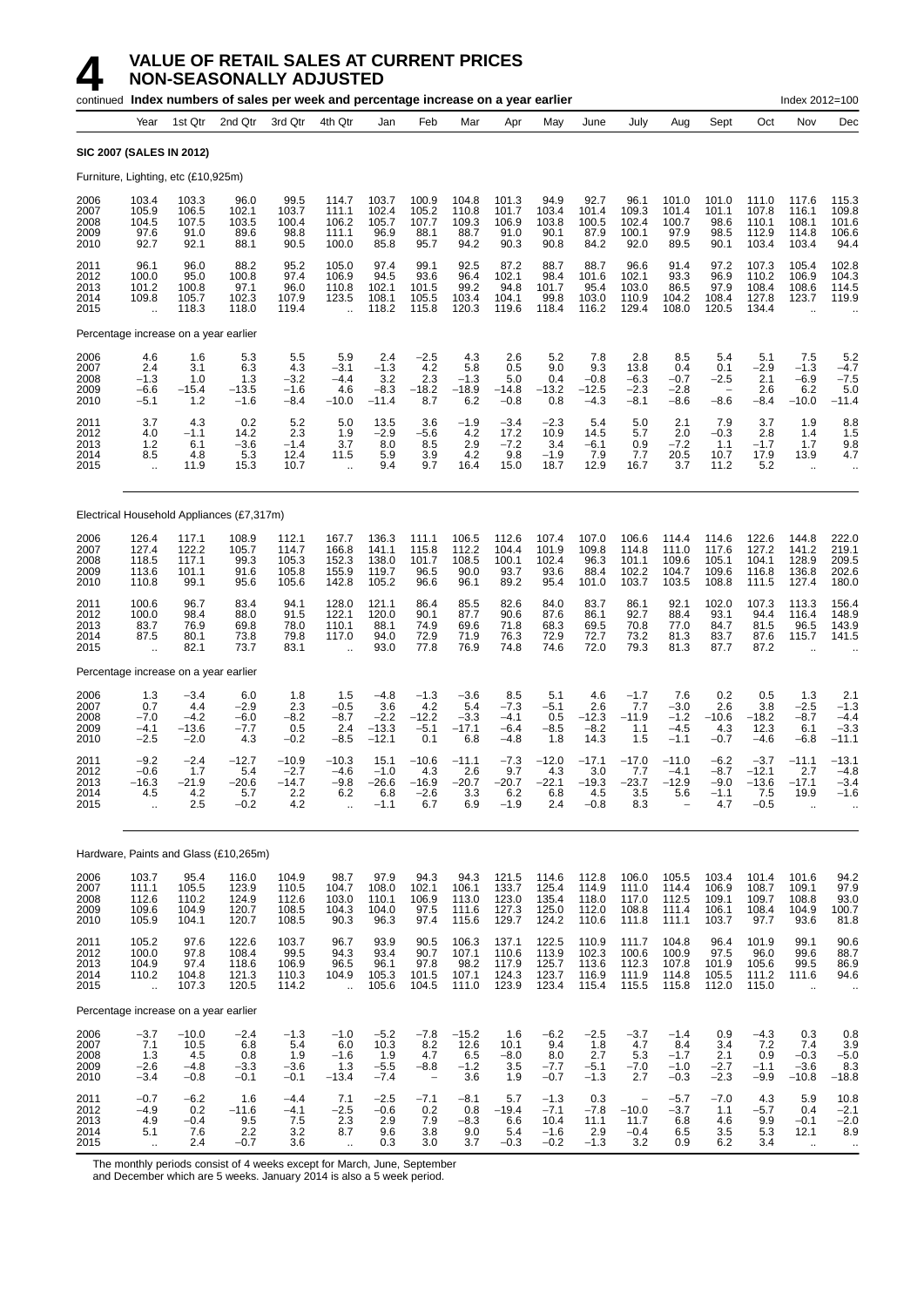|                                      |                                                         |                                              | continued Index numbers of sales per week and percentage increase on a year earlier |                                                    |                                                          |                                                      |                                                            |                                                 |                                             |                                              |                                            |                                                              |                                             |                                                     |                                               | Index 2012=100                                           |                                                                    |
|--------------------------------------|---------------------------------------------------------|----------------------------------------------|-------------------------------------------------------------------------------------|----------------------------------------------------|----------------------------------------------------------|------------------------------------------------------|------------------------------------------------------------|-------------------------------------------------|---------------------------------------------|----------------------------------------------|--------------------------------------------|--------------------------------------------------------------|---------------------------------------------|-----------------------------------------------------|-----------------------------------------------|----------------------------------------------------------|--------------------------------------------------------------------|
|                                      | Year                                                    | 1st Qtr                                      | 2nd Qtr                                                                             | 3rd Qtr                                            | 4th Qtr                                                  | Jan                                                  | Feb                                                        | Mar                                             | Apr                                         | May                                          | June                                       | July                                                         | Aug                                         | Sept                                                | Oct                                           | Nov                                                      | Dec                                                                |
|                                      | SIC 2007 (SALES IN 2012)                                |                                              |                                                                                     |                                                    |                                                          |                                                      |                                                            |                                                 |                                             |                                              |                                            |                                                              |                                             |                                                     |                                               |                                                          |                                                                    |
|                                      |                                                         | Furniture, Lighting, etc (£10,925m)          |                                                                                     |                                                    |                                                          |                                                      |                                                            |                                                 |                                             |                                              |                                            |                                                              |                                             |                                                     |                                               |                                                          |                                                                    |
| 2006<br>2007<br>2008<br>2009<br>2010 | 103.4<br>105.9<br>104.5<br>97.6<br>92.7                 | 103.3<br>106.5<br>107.5<br>91.0<br>92.1      | 96.0<br>102.1<br>103.5<br>89.6<br>88.1                                              | 99.5<br>103.7<br>100.4<br>98.8<br>90.5             | 114.7<br>111.1<br>106.2<br>111.1<br>100.0                | 103.7<br>102.4<br>105.7<br>96.9<br>85.8              | 100.9<br>105.2<br>107.7<br>88.1<br>95.7                    | 104.8<br>110.8<br>109.3<br>88.7<br>94.2         | 101.3<br>101.7<br>106.9<br>91.0<br>90.3     | 94.9<br>103.4<br>103.8<br>90.1<br>90.8       | 92.7<br>101.4<br>100.5<br>87.9<br>84.2     | 96.1<br>109.3<br>102.4<br>100.1<br>92.0                      | 101.0<br>101.4<br>100.7<br>97.9<br>89.5     | 101.0<br>101.1<br>98.6<br>98.5<br>90.1              | 111.0<br>107.8<br>110.1<br>112.9<br>103.4     | 117.6<br>116.1<br>108.1<br>114.8<br>103.4                | 115.3<br>109.8<br>101.6<br>106.6<br>94.4                           |
| 2011<br>2012<br>2013<br>2014<br>2015 | 96.1<br>100.0<br>101.2<br>109.8<br>$\ddot{\phantom{a}}$ | 96.0<br>95.0<br>100.8<br>105.7<br>118.3      | 88.2<br>100.8<br>97.1<br>102.3<br>118.0                                             | 95.2<br>97.4<br>96.0<br>107.9<br>119.4             | 105.0<br>106.9<br>110.8<br>123.5                         | 97.4<br>94.5<br>102.1<br>108.1<br>118.2              | 99.1<br>93.6<br>101.5<br>105.5<br>115.8                    | 92.5<br>96.4<br>99.2<br>103.4<br>120.3          | 87.2<br>102.1<br>94.8<br>104.1<br>119.6     | 88.7<br>98.4<br>101.7<br>99.8<br>118.4       | 88.7<br>101.6<br>95.4<br>103.0<br>116.2    | 96.6<br>102.1<br>103.0<br>110.9<br>129.4                     | 91.4<br>93.3<br>86.5<br>104.2<br>108.0      | 97.2<br>96.9<br>97.9<br>108.4<br>120.5              | 107.3<br>110.2<br>108.4<br>127.8<br>134.4     | 105.4<br>106.9<br>108.6<br>123.7<br>$\ddot{\phantom{a}}$ | 102.8<br>104.3<br>114.5<br>119.9                                   |
|                                      |                                                         | Percentage increase on a year earlier        |                                                                                     |                                                    |                                                          |                                                      |                                                            |                                                 |                                             |                                              |                                            |                                                              |                                             |                                                     |                                               |                                                          |                                                                    |
| 2006<br>2007<br>2008<br>2009<br>2010 | 4.6<br>2.4<br>$-1.3$<br>$-6.6$<br>$-5.1$                | 1.6<br>3.1<br>1.0<br>$-15.4$<br>1.2          | 5.3<br>6.3<br>1.3<br>$-13.5$<br>$-1.6$                                              | 5.5<br>4.3<br>$-3.2$<br>$-1.6$<br>$-8.4$           | 5.9<br>$-3.1$<br>$-4.4$<br>4.6<br>$-10.0$                | 2.4<br>$-1.3$<br>3.2<br>$-8.\overline{3}$<br>$-11.4$ | $-2.5$<br>4.2<br>2.3<br>$-18.2$<br>8.7                     | 4.3<br>5.8<br>$-1.3$<br>$-18.9$<br>6.2          | 2.6<br>0.5<br>5.0<br>$-14.8$<br>$-0.8$      | 5.2<br>9.0<br>0.4<br>$-13.2$<br>0.8          | 7.8<br>9.3<br>$-0.8$<br>$-12.5$<br>$-4.3$  | 2.8<br>13.8<br>$-6.3$<br>$-2.3$<br>$-8.1$                    | 8.5<br>0.4<br>$-0.7$<br>$-2.8$<br>$-8.6$    | 5.4<br>0.1<br>$-2.5$<br>$\qquad \qquad -$<br>$-8.6$ | 5.1<br>$-2.9$<br>2.1<br>2.6<br>$-8.4$         | 7.5<br>$-1.3$<br>$-6.9$<br>6.2<br>$-10.0$                | 5.2<br>$-4.7$<br>$-7.5$<br>5.0<br>$-11.4$                          |
| 2011<br>2012<br>2013<br>2014<br>2015 | 3.7<br>4.0<br>$1.2$<br>8.5<br>÷.                        | 4.3<br>$-1.1$<br>6.1<br>4.8<br>11.9          | 0.2<br>14.2<br>$-3.6$<br>5.3<br>15.3                                                | 5.2<br>2.3<br>$-1.4$<br>12.4<br>10.7               | 5.0<br>1.9<br>3.7<br>11.5<br>$\ddot{\phantom{a}}$        | 13.5<br>$-2.9$<br>8.0<br>5.9<br>9.4                  | 3.6<br>-5.6<br>8.5<br>3.9<br>9.7                           | $-1.9$<br>4.2<br>2.9<br>4.2<br>16.4             | $-3.4$<br>17.2<br>$-7.2$<br>9.8<br>15.0     | $-2.3$<br>10.9<br>3.4<br>$-1.9$<br>18.7      | 5.4<br>14.5<br>$-6.1$<br>7.9<br>12.9       | 5.0<br>5.7<br>0.9<br>7.7<br>16.7                             | 2.1<br>2.0<br>-7.2<br>20.5<br>3.7           | 7.9<br>$-0.3$<br>1.1<br>10.7<br>11.2                | 3.7<br>2.8<br>$-1.7$<br>17.9<br>5.2           | 1.9<br>1.4<br>1.7<br>13.9<br>$\mathbf{r}$                | 8.8<br>1.5<br>9.8<br>4.7<br>$\ddot{\phantom{a}}$                   |
|                                      |                                                         |                                              | Electrical Household Appliances (£7,317m)                                           |                                                    |                                                          |                                                      |                                                            |                                                 |                                             |                                              |                                            |                                                              |                                             |                                                     |                                               |                                                          |                                                                    |
| 2006<br>2007<br>2008<br>2009<br>2010 | 126.4<br>127.4<br>118.5<br>113.6<br>110.8               | 117.1<br>122.2<br>117.1<br>101.1<br>99.1     | 108.9<br>105.7<br>99.3<br>91.6<br>95.6                                              | 112.1<br>114.7<br>105.3<br>105.8<br>105.6          | 167.7<br>166.8<br>152.3<br>155.9<br>142.8                | 136.3<br>141.1<br>138.0<br>119.7<br>105.2            | 111.1<br>115.8<br>101.7<br>96.5<br>96.6                    | 106.5<br>112.2<br>108.5<br>90.0<br>96.1         | 112.6<br>104.4<br>100.1<br>93.7<br>89.2     | 107.4<br>101.9<br>102.4<br>93.6<br>95.4      | 107.0<br>109.8<br>96.3<br>88.4<br>101.0    | 106.6<br>114.8<br>101.1<br>102.2<br>103.7                    | 114.4<br>111.0<br>109.6<br>104.7<br>103.5   | 114.6<br>117.6<br>105.1<br>109.6<br>108.8           | 122.6<br>127.2<br>104.1<br>116.8<br>111.5     | 144.8<br>141.2<br>128.9<br>136.8<br>127.4                | 222.0<br>219.1<br>209.5<br>202.6<br>180.0                          |
| 2011<br>2012<br>2013<br>2014<br>2015 | 100.6<br>100.0<br>83.7<br>87.5<br>$\ddot{\phantom{a}}$  | 96.7<br>98.4<br>76.9<br>80.1<br>82.1         | 83.4<br>88.0<br>69.8<br>73.8<br>73.7                                                | 94.1<br>91.5<br>78.0<br>79.8<br>83.1               | 128.0<br>122.1<br>110.1<br>117.0<br>$\ddot{\phantom{a}}$ | 121.1<br>120.0<br>88.1<br>94.0<br>93.0               | 86.4<br>90.1<br>74.9<br>72.9<br>77.8                       | 85.5<br>87.7<br>69.6<br>71.9<br>76.9            | 82.6<br>90.6<br>71.8<br>76.3<br>74.8        | 84.0<br>87.6<br>68.3<br>72.9<br>74.6         | 83.7<br>86.1<br>69.5<br>72.7<br>72.0       | 86.1<br>92.7<br>70.8<br>73.2<br>79.3                         | 92.1<br>88.4<br>77.0<br>81.3<br>81.3        | 102.0<br>93.1<br>84.7<br>83.7<br>87.7               | 107.3<br>94.4<br>81.5<br>87.6<br>87.2         | 113.3<br>116.4<br>96.5<br>115.7<br>$\ddot{\phantom{a}}$  | 156.4<br>148.9<br>143.9<br>141.5                                   |
|                                      |                                                         | Percentage increase on a year earlier        |                                                                                     |                                                    |                                                          |                                                      |                                                            |                                                 |                                             |                                              |                                            |                                                              |                                             |                                                     |                                               |                                                          |                                                                    |
| 2006<br>2007<br>2008<br>2009<br>2010 | $\frac{1.3}{0.7}$<br>$-7.0$<br>$-4.1$<br>$-2.5$         | $-3.4$<br>4.4<br>$-4.2$<br>$-13.6$<br>$-2.0$ | 6.0<br>-2.9<br>$-6.0$<br>$-7.7$<br>4.3                                              | 1.8<br>$2.\overline{3}$<br>$-8.2$<br>0.5<br>$-0.2$ | 1.5<br>$-0.5$<br>$-8.7$<br>2.4<br>$-8.5$                 | $-4.8$<br>3.6<br>$-2.2$<br>$-13.3$<br>$-12.1$        | $-1.3$<br>4.2<br>$-12.2$<br>$-5.1$<br>0.1                  | $-3.6$<br>5.4<br>$-3.3$<br>$-17.1$<br>6.8       | 8.5<br>$-7.3$<br>$-4.1$<br>$-6.4$<br>$-4.8$ | 5.1<br>$-5.1$<br>0.5<br>$-8.5$<br>1.8        | 4.6<br>2.6<br>$-12.3$<br>$-8.2$<br>14.3    | $-1.7$<br>7.7<br>$-11.9$<br>1.1<br>1.5                       | 7.6<br>$-3.0$<br>$-1.2$<br>$-4.5$<br>$-1.1$ | 0.2<br>2.6<br>$-10.6$<br>4.3<br>$-0.7$              | 0.5<br>3.8<br>$-18.2$<br>12.3<br>$-4.6$       | 1.3<br>$-2.5$<br>$-8.7$<br>6.1<br>$-6.8$                 | 2.1<br>$-1.3$<br>$-4.4$<br>$-3.3$<br>$-11.1$                       |
| 2011<br>2012<br>2013<br>2014<br>2015 | $-9.2$<br>$-0.6$<br>-16.3<br>4.5<br>$\ddotsc$           | $-2.4$<br>1.7<br>-21.9<br>4.2<br>2.5         | $-12.7$<br>5.4<br>–20.6<br>5.7<br>$-0.2$                                            | $-10.9$<br>$-2.7$<br>$-14.7$<br>2.2<br>4.2         | $-10.3$<br>$-4.6$<br>$-9.8$<br>6.2<br>$\ddotsc$          | 15.1<br>$-1.0$<br>$-26.6$<br>6.8<br>$-1.1$           | $-10.6$<br>4.3<br>$-16.9$<br>$-2.6$<br>6.7                 | $-11.1$<br>2.6<br>$-20.7$<br>3.3<br>6.9         | $-7.3$<br>9.7<br>$-20.7$<br>6.2<br>$-1.9$   | $-12.0$<br>4.3<br>$-22.1$<br>6.8<br>2.4      | $-17.1$<br>3.0<br>$-19.3$<br>4.5<br>$-0.8$ | $-17.0$<br>7.7<br>$-23.7$<br>3.5<br>8.3                      | $-11.0$<br>$-4.1$<br>$-12.9$<br>5.6         | $-6.2$<br>$-8.7$<br>-9.0<br>$-1.1$<br>4.7           | $-3.7$<br>$-12.1$<br>$-13.6$<br>7.5<br>$-0.5$ | $-11.1$<br>2.7<br>$-17.1$<br>19.9<br>ä.                  | $-13.1$<br>$-4.8$<br>$-3.4$<br>$-1.6$                              |
|                                      |                                                         |                                              | Hardware, Paints and Glass (£10,265m)                                               |                                                    |                                                          |                                                      |                                                            |                                                 |                                             |                                              |                                            |                                                              |                                             |                                                     |                                               |                                                          |                                                                    |
| 2006<br>2007<br>2008<br>2009<br>2010 | 103.7<br>111.1<br>112.6<br>109.6<br>105.9               | 95.4<br>105.5<br>110.2<br>104.9<br>104.1     | 116.0<br>123.9<br>124.9<br>120.7<br>120.7                                           | 104.9<br>110.5<br>112.6<br>108.5<br>108.5          | 98.7<br>104.7<br>103.0<br>104.3<br>90.3                  | 97.9<br>108.0<br>110.1<br>104.0<br>96.3              | 94.3<br>102.1<br>106.9<br>97.5<br>97.4                     | 94.3<br>106.1<br>113.0<br>111.6<br>115.6        | 121.5<br>133.7<br>123.0<br>127.3<br>129.7   | 114.6<br>125.4<br>135.4<br>125.0<br>124.2    | 112.8<br>114.9<br>118.0<br>112.0<br>110.6  | 106.0<br>111.0<br>117.0<br>108.8<br>111.8                    | 105.5<br>114.4<br>112.5<br>111.4<br>111.1   | 103.4<br>106.9<br>109.1<br>106.1<br>103.7           | 101.4<br>108.7<br>109.7<br>108.4<br>97.7      | 101.6<br>109.1<br>108.8<br>104.9<br>93.6                 | 94.2<br>97.9<br>$\frac{93.0}{100.7}$<br>81.8                       |
| 2011<br>2012<br>2013<br>2014<br>2015 | 105.2<br>100.0<br>104.9<br>110.2<br>÷.                  | 97.6<br>97.8<br>97.4<br>104.8<br>107.3       | 122.6<br>108.4<br>118.6<br>121.3<br>120.5                                           | 103.7<br>99.5<br>106.9<br>110.3<br>114.2           | 96.7<br>94.3<br>96.5<br>104.9<br>$\ddot{\phantom{a}}$    | 93.9<br>93.4<br>96.1<br>105.3<br>105.6               | 90.5<br>90.7<br>97.8<br>101.5<br>104.5                     | 106.3<br>$\frac{107.1}{98.2}$<br>107.1<br>111.0 | 137.1<br>110.6<br>117.9<br>124.3<br>123.9   | 122.5<br>113.9<br>125.7<br>123.7<br>123.4    | 110.9<br>102.3<br>113.6<br>116.9<br>115.4  | 111.7<br>100.6<br>112.3<br>111.9<br>115.5                    | 104.8<br>100.9<br>107.8<br>114.8<br>115.8   | 96.4<br>97.5<br>101.9<br>105.5<br>112.0             | 101.9<br>96.0<br>105.6<br>111.2<br>115.0      | 99.1<br>99.6<br>99.5<br>111.6<br>$\ddot{\phantom{a}}$    | 90.6<br>88.7<br>86.9<br>94.6<br>$\ddot{\phantom{a}}$               |
|                                      |                                                         | Percentage increase on a year earlier        |                                                                                     |                                                    |                                                          |                                                      |                                                            |                                                 |                                             |                                              |                                            |                                                              |                                             |                                                     |                                               |                                                          |                                                                    |
| 2006<br>2007<br>2008<br>2009<br>2010 | $-3.7$<br>7.1<br>1.3<br>$-2.6$<br>$-3.4$                | $-10.0$<br>10.5<br>4.5<br>$-4.8$<br>$-0.8$   | $-2.4$<br>6.8<br>0.8<br>-3.3<br>$-0.1$                                              | $-1.3$<br>5.4<br>1.9<br>$-3.6$<br>$-0.1$           | $-1.0$<br>6.0<br>$-1.6$<br>1.3<br>$-13.4$                | $-5.2$<br>10.3<br>1.9<br>$-5.5$<br>$-7.4$            | $-7.8$<br>8.2<br>4.7<br>$-8.8$<br>$\overline{\phantom{a}}$ | $-15.2$<br>12.6<br>6.5<br>$-1.2$<br>3.6         | 1.6<br>10.1<br>$-8.0$<br>3.5<br>1.9         | $-6.2$<br>9.4<br>8.0<br>$-7.7$<br>$-0.7$     | $-2.5$<br>1.8<br>2.7<br>$-5.1$<br>$-1.3$   | $-3.7$<br>4.7<br>5.3<br>$-7.0$<br>2.7                        | $-1.4$<br>8.4<br>$-1.7$<br>$-1.0$<br>$-0.3$ | 0.9<br>3.4<br>2.1<br>$-2.7$<br>$-2.3$               | $-4.3$<br>7.2<br>0.9<br>$-1.1$<br>$-9.9$      | 0.3<br>7.4<br>$-0.3$<br>$-3.6$<br>$-10.8$                | 0.8<br>3.9<br>$-5.0$<br>8.3<br>$-18.8$                             |
| 2011<br>2012<br>2013<br>2014<br>2015 | $-0.7$<br>$-4.9$<br>4.9<br>5.1<br>$\bar{a}$             | $-6.2$<br>0.2<br>$-0.4$<br>7.6<br>2.4        | 1.6<br>$-11.6$<br>9.5<br>2.2<br>$-0.7$                                              | $-4.4$<br>$-4.1$<br>7.5<br>$3.2\,$<br>3.6          | 7.1<br>$-2.5$<br>2.3<br>8.7<br>à.                        | $-2.5$<br>$-0.6$<br>2.9<br>9.6<br>0.3                | $-7.1$<br>0.2<br>7.9<br>3.8<br>3.0                         | $-8.1$<br>0.8<br>$-8.3$<br>9.0<br>3.7           | 5.7<br>$-19.4$<br>6.6<br>5.4<br>$-0.3$      | $-1.3$<br>$-7.1$<br>10.4<br>$-1.6$<br>$-0.2$ | 0.3<br>$-7.8$<br>11.1<br>2.9<br>$-1.3$     | $\overline{\phantom{a}}$<br>$-10.0$<br>11.7<br>$-0.4$<br>3.2 | $-5.7$<br>$-3.7$<br>6.8<br>6.5<br>0.9       | $-7.0$<br>1.1<br>4.6<br>3.5<br>6.2                  | 4.3<br>$-5.7$<br>$\frac{9.9}{5.3}$<br>3.4     | 5.9<br>0.4<br>$-0.1$<br>12.1<br>$\ddot{\phantom{1}}$     | 10.8<br>$-2.1$<br>$-\overline{2.0}$<br>8.9<br>$\ddot{\phantom{0}}$ |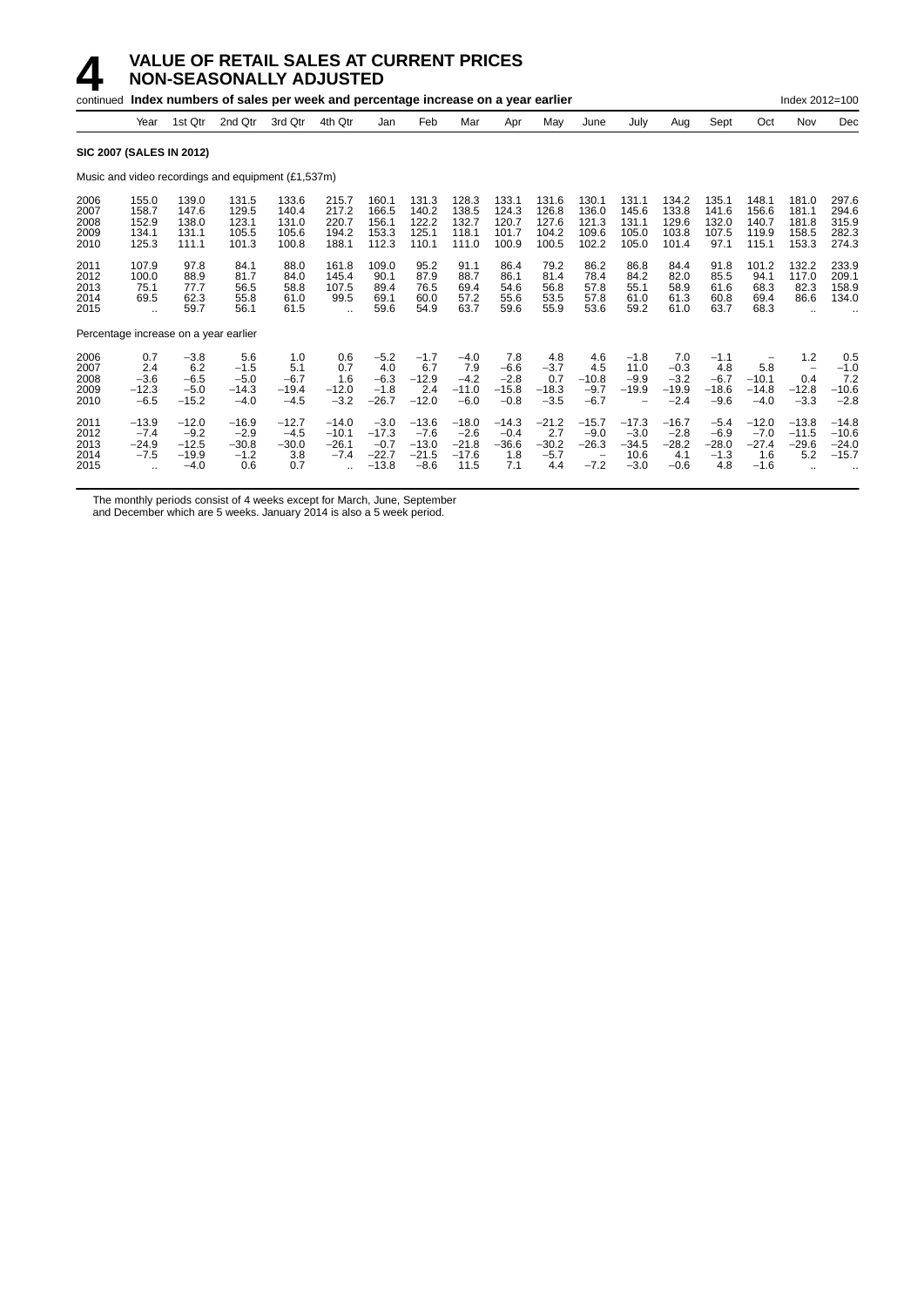|                                       |                                                                |                                                   | continued Index numbers of sales per week and percentage increase on a year earlier |                                            |                                                         |                                                   |                                                   |                                                 |                                              |                                            |                                                                    |                                                       |                                               |                                              |                                               | Index 2012=100                                              |                                           |
|---------------------------------------|----------------------------------------------------------------|---------------------------------------------------|-------------------------------------------------------------------------------------|--------------------------------------------|---------------------------------------------------------|---------------------------------------------------|---------------------------------------------------|-------------------------------------------------|----------------------------------------------|--------------------------------------------|--------------------------------------------------------------------|-------------------------------------------------------|-----------------------------------------------|----------------------------------------------|-----------------------------------------------|-------------------------------------------------------------|-------------------------------------------|
|                                       | Year                                                           | 1st Qtr                                           | 2nd Qtr                                                                             | 3rd Qtr                                    | 4th Qtr                                                 | Jan                                               | Feb                                               | Mar                                             | Apr                                          | May                                        | June                                                               | July                                                  | Aug                                           | Sept                                         | Oct                                           | Nov                                                         | Dec                                       |
| <b>SIC 2007 (SALES IN 2012)</b>       |                                                                |                                                   |                                                                                     |                                            |                                                         |                                                   |                                                   |                                                 |                                              |                                            |                                                                    |                                                       |                                               |                                              |                                               |                                                             |                                           |
|                                       |                                                                |                                                   | Music and video recordings and equipment (£1,537m)                                  |                                            |                                                         |                                                   |                                                   |                                                 |                                              |                                            |                                                                    |                                                       |                                               |                                              |                                               |                                                             |                                           |
| 2006<br>2007<br>2008<br>2009<br>2010  | 155.0<br>158.7<br>152.9<br>134.1<br>125.3                      | 139.0<br>147.6<br>138.0<br>131.1<br>111.1         | 131.5<br>129.5<br>123.1<br>105.5<br>101.3                                           | 133.6<br>140.4<br>131.0<br>105.6<br>100.8  | 215.7<br>217.2<br>220.7<br>194.2<br>188.1               | 160.1<br>166.5<br>156.1<br>153.3<br>112.3         | 131.3<br>140.2<br>122.2<br>125.1<br>110.1         | 128.3<br>138.5<br>132.7<br>118.1<br>111.0       | 133.1<br>124.3<br>120.7<br>101.7<br>100.9    | 131.6<br>126.8<br>127.6<br>104.2<br>100.5  | 130.1<br>136.0<br>121.3<br>109.6<br>102.2                          | 131.1<br>145.6<br>131.1<br>105.0<br>105.0             | 134.2<br>133.8<br>129.6<br>103.8<br>101.4     | 135.1<br>141.6<br>132.0<br>107.5<br>97.1     | 148.1<br>156.6<br>140.7<br>119.9<br>115.1     | 181.0<br>181.1<br>181.8<br>158.5<br>153.3                   | 297.6<br>294.6<br>315.9<br>282.3<br>274.3 |
| 2011<br>2012<br>2013<br>2014<br>2015  | 107.9<br>100.0<br>75.1<br>69.5<br>$\ddot{\phantom{a}}$         | 97.8<br>88.9<br>77.7<br>62.3<br>59.7              | 84.1<br>81.7<br>56.5<br>55.8<br>56.1                                                | 88.0<br>84.0<br>58.8<br>61.0<br>61.5       | 161.8<br>145.4<br>107.5<br>99.5<br>$\ddot{\phantom{a}}$ | 109.0<br>90.1<br>89.4<br>69.1<br>59.6             | 95.2<br>87.9<br>76.5<br>60.0<br>54.9              | 91.1<br>88.7<br>69.4<br>57.2<br>63.7            | 86.4<br>86.1<br>54.6<br>55.6<br>59.6         | 79.2<br>81.4<br>56.8<br>53.5<br>55.9       | 86.2<br>78.4<br>57.8<br>57.8<br>53.6                               | 86.8<br>84.2<br>55.1<br>61.0<br>59.2                  | 84.4<br>82.0<br>58.9<br>61.3<br>61.0          | 91.8<br>85.5<br>61.6<br>60.8<br>63.7         | 101.2<br>94.1<br>68.3<br>69.4<br>68.3         | 132.2<br>117.0<br>82.3<br>86.6                              | 233.9<br>209.1<br>158.9<br>134.0          |
| Percentage increase on a year earlier |                                                                |                                                   |                                                                                     |                                            |                                                         |                                                   |                                                   |                                                 |                                              |                                            |                                                                    |                                                       |                                               |                                              |                                               |                                                             |                                           |
| 2006<br>2007<br>2008<br>2009<br>2010  | 0.7<br>2.4<br>$-3.6$<br>$-12.3$<br>$-6.5$                      | $-3.8$<br>6.2<br>$-6.5$<br>$-5.0$<br>$-15.2$      | 5.6<br>$-1.5$<br>$-5.0$<br>$-14.3$<br>$-4.0$                                        | 1.0<br>5.1<br>$-6.7$<br>$-19.4$<br>$-4.5$  | 0.6<br>0.7<br>1.6<br>$-12.0$<br>$-3.2$                  | $-5.2$<br>4.0<br>$-6.3$<br>$-1.8$<br>$-26.7$      | $-1.7$<br>6.7<br>$-12.9$<br>2.4<br>$-12.0$        | $-4.0$<br>7.9<br>$-4.2$<br>$-11.0$<br>$-6.0$    | 7.8<br>$-6.6$<br>$-2.8$<br>$-15.8$<br>$-0.8$ | 4.8<br>$-3.7$<br>0.7<br>$-18.3$<br>$-3.5$  | 4.6<br>4.5<br>$-10.8$<br>$-9.7$<br>$-6.7$                          | $-1.8$<br>11.0<br>$-9.9$<br>$-19.9$<br>$\overline{a}$ | 7.0<br>$-0.3$<br>$-3.2$<br>$-19.9$<br>$-2.4$  | $-1.1$<br>4.8<br>$-6.7$<br>$-18.6$<br>$-9.6$ | 5.8<br>$-10.1$<br>$-14.8$<br>$-4.0$           | 1.2<br>$\overline{\phantom{m}}$<br>0.4<br>$-12.8$<br>$-3.3$ | 0.5<br>$-1.0$<br>7.2<br>$-10.6$<br>$-2.8$ |
| 2011<br>2012<br>2013<br>2014<br>2015  | $-13.9$<br>$-7.4$<br>$-24.9$<br>$-7.5$<br>$\ddot{\phantom{a}}$ | $-12.0$<br>$-9.2$<br>$-12.5$<br>$-19.9$<br>$-4.0$ | $-16.9$<br>$-2.9$<br>$-30.8$<br>$-1.2$<br>0.6                                       | $-12.7$<br>$-4.5$<br>$-30.0$<br>3.8<br>0.7 | $-14.0$<br>$-10.1$<br>$-26.1$<br>$-7.4$                 | $-3.0$<br>$-17.3$<br>$-0.7$<br>$-22.7$<br>$-13.8$ | $-13.6$<br>$-7.6$<br>$-13.0$<br>$-21.5$<br>$-8.6$ | $-18.0$<br>$-2.6$<br>$-21.8$<br>$-17.6$<br>11.5 | $-14.3$<br>$-0.4$<br>$-36.6$<br>1.8<br>7.1   | $-21.2$<br>2.7<br>$-30.2$<br>$-5.7$<br>4.4 | $-15.7$<br>$-9.0$<br>$-26.3$<br>$\overline{\phantom{m}}$<br>$-7.2$ | $-17.3$<br>$-3.0$<br>$-34.5$<br>10.6<br>$-3.0$        | $-16.7$<br>$-2.8$<br>$-28.2$<br>4.1<br>$-0.6$ | $-5.4$<br>$-6.9$<br>$-28.0$<br>$-1.3$<br>4.8 | $-12.0$<br>$-7.0$<br>$-27.4$<br>1.6<br>$-1.6$ | $-13.8$<br>$-11.5$<br>$-29.6$<br>5.2                        | $-14.8$<br>$-10.6$<br>$-24.0$<br>$-15.7$  |

The monthly periods consist of 4 weeks except for March, June, September

and December which are 5 weeks. January 2014 is also a 5 week period.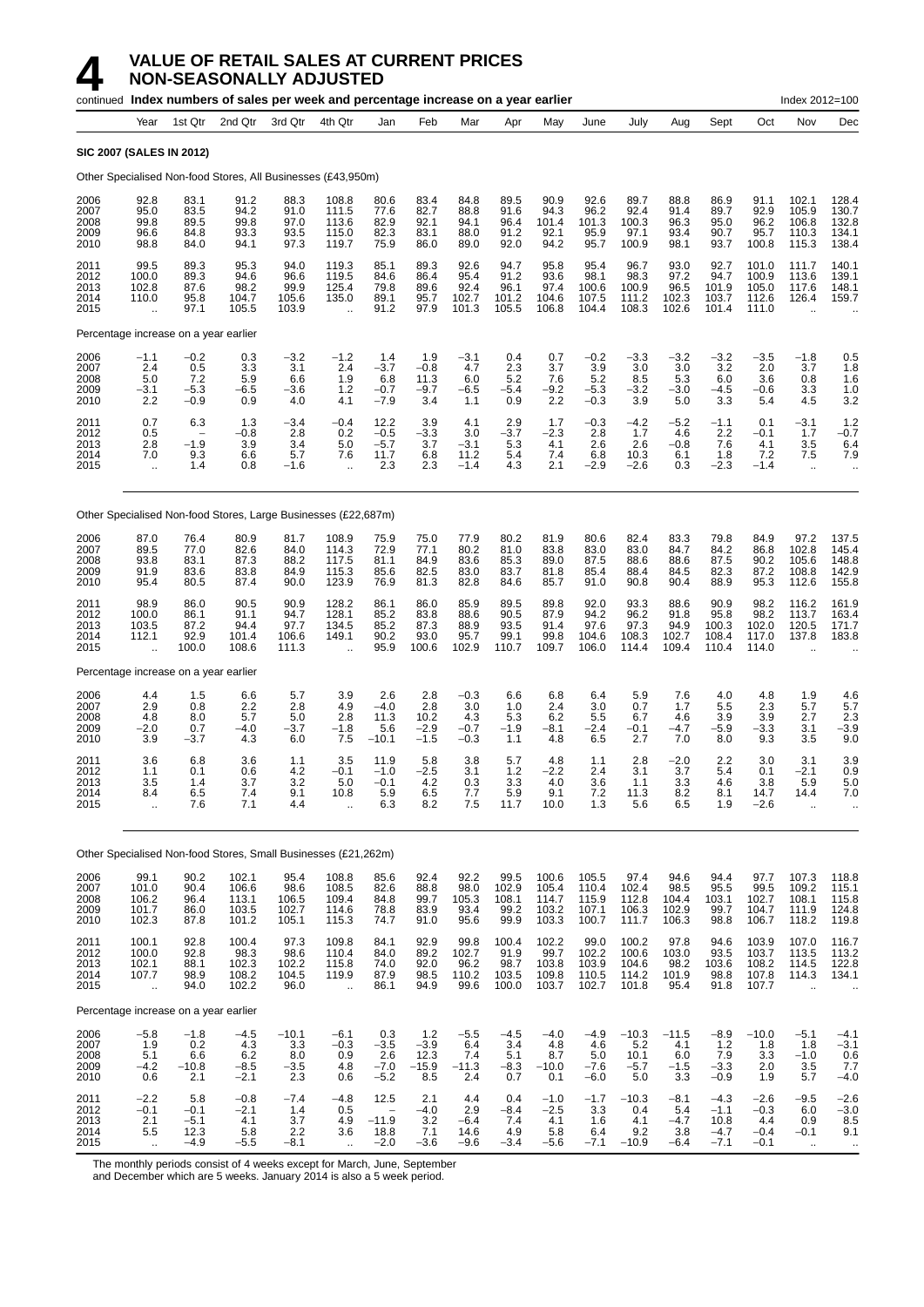|                                      |                                                         |                                           | continued Index numbers of sales per week and percentage increase on a year earlier |                                         |                                                     |                                          |                                         |                                        |                                         |                                           |                                           |                                           |                                          |                                              |                                             | Index 2012=100                                           |                                                        |
|--------------------------------------|---------------------------------------------------------|-------------------------------------------|-------------------------------------------------------------------------------------|-----------------------------------------|-----------------------------------------------------|------------------------------------------|-----------------------------------------|----------------------------------------|-----------------------------------------|-------------------------------------------|-------------------------------------------|-------------------------------------------|------------------------------------------|----------------------------------------------|---------------------------------------------|----------------------------------------------------------|--------------------------------------------------------|
|                                      | Year                                                    | 1st Qtr                                   | 2nd Qtr                                                                             | 3rd Qtr                                 | 4th Qtr                                             | Jan                                      | Feb                                     | Mar                                    | Apr                                     | May                                       | June                                      | July                                      | Aug                                      | Sept                                         | Oct                                         | Nov                                                      | Dec                                                    |
|                                      | <b>SIC 2007 (SALES IN 2012)</b>                         |                                           |                                                                                     |                                         |                                                     |                                          |                                         |                                        |                                         |                                           |                                           |                                           |                                          |                                              |                                             |                                                          |                                                        |
|                                      |                                                         |                                           | Other Specialised Non-food Stores, All Businesses (£43,950m)                        |                                         |                                                     |                                          |                                         |                                        |                                         |                                           |                                           |                                           |                                          |                                              |                                             |                                                          |                                                        |
| 2006<br>2007<br>2008<br>2009<br>2010 | 92.8<br>95.0<br>99.8<br>96.6<br>98.8                    | 83.1<br>83.5<br>89.5<br>84.8<br>84.0      | 91.2<br>94.2<br>99.8<br>93.3<br>94.1                                                | 88.3<br>91.0<br>97.0<br>93.5<br>97.3    | 108.8<br>111.5<br>113.6<br>115.0<br>119.7           | 80.6<br>77.6<br>82.9<br>82.3<br>75.9     | 83.4<br>82.7<br>92.1<br>83.1<br>86.0    | 84.8<br>88.8<br>94.1<br>88.0<br>89.0   | 89.5<br>91.6<br>96.4<br>91.2<br>92.0    | 90.9<br>94.3<br>101.4<br>92.1<br>94.2     | 92.6<br>96.2<br>101.3<br>95.9<br>95.7     | 89.7<br>92.4<br>100.3<br>97.1<br>100.9    | 88.8<br>91.4<br>96.3<br>93.4<br>98.1     | 86.9<br>89.7<br>95.0<br>90.7<br>93.7         | 91.1<br>92.9<br>96.2<br>95.7<br>100.8       | 102.1<br>105.9<br>106.8<br>110.3<br>115.3                | 128.4<br>130.7<br>132.8<br>134.1<br>138.4              |
| 2011<br>2012<br>2013<br>2014<br>2015 | 99.5<br>100.0<br>102.8<br>110.0<br>$\ddot{\phantom{a}}$ | 89.3<br>89.3<br>87.6<br>95.8<br>97.1      | 95.3<br>94.6<br>98.2<br>104.7<br>105.5                                              | 94.0<br>96.6<br>99.9<br>105.6<br>103.9  | 119.3<br>119.5<br>125.4<br>135.0<br>ä.              | 85.1<br>84.6<br>79.8<br>89.1<br>91.2     | 89.3<br>86.4<br>89.6<br>95.7<br>97.9    | 92.6<br>95.4<br>92.4<br>102.7<br>101.3 | 94.7<br>91.2<br>96.1<br>101.2<br>105.5  | 95.8<br>93.6<br>97.4<br>104.6<br>106.8    | 95.4<br>98.1<br>100.6<br>107.5<br>104.4   | 96.7<br>98.3<br>100.9<br>111.2<br>108.3   | 93.0<br>97.2<br>96.5<br>102.3<br>102.6   | 92.7<br>94.7<br>101.9<br>103.7<br>101.4      | 101.0<br>100.9<br>105.0<br>112.6<br>111.0   | 111.7<br>113.6<br>117.6<br>126.4<br>$\ddot{\phantom{a}}$ | 140.1<br>139.1<br>148.1<br>159.7                       |
|                                      | Percentage increase on a year earlier                   |                                           |                                                                                     |                                         |                                                     |                                          |                                         |                                        |                                         |                                           |                                           |                                           |                                          |                                              |                                             |                                                          |                                                        |
| 2006<br>2007<br>2008<br>2009<br>2010 | $-1.1$<br>2.4<br>5.0<br>$-3.1$<br>2.2                   | $-0.2$<br>0.5<br>7.2<br>$-5.3$<br>$-0.9$  | 0.3<br>3.3<br>5.9<br>$-6.5$<br>0.9                                                  | $-3.2$<br>3.1<br>6.6<br>$-3.6$<br>4.0   | $-1.2$<br>2.4<br>1.9<br>1.2<br>4.1                  | 1.4<br>$-3.7$<br>6.8<br>$-0.7$<br>$-7.9$ | 1.9<br>$-0.8$<br>11.3<br>$-9.7$<br>3.4  | $-3.1$<br>4.7<br>6.0<br>-6.5<br>1.1    | 0.4<br>2.3<br>5.2<br>-5.4<br>0.9        | 0.7<br>3.7<br>7.6<br>$-9.2$<br>2.2        | $-0.2$<br>3.9<br>5.2<br>$-5.3$<br>$-0.3$  | $-3.3$<br>3.0<br>8.5<br>$-3.2$<br>3.9     | $-3.2$<br>3.0<br>5.3<br>$-3.0$<br>5.0    | $-3.2$<br>3.2<br>6.0<br>$-4.5$<br>3.3        | $-3.5$<br>2.0<br>3.6<br>-0.6<br>5.4         | $-1.8$<br>3.7<br>0.8<br>3.3<br>4.5                       | 0.5<br>1.8<br>1.6<br>1.0<br>3.2                        |
| 2011<br>2012<br>2013<br>2014<br>2015 | 0.7<br>0.5<br>2.8<br>7.0<br>$\bar{\mathbf{r}}$          | 6.3<br>$-1.9$<br>9.3<br>1.4               | 1.3<br>$-0.8$<br>3.9<br>6.6<br>0.8                                                  | $-3.4$<br>2.8<br>3.4<br>5.7<br>$-1.6$   | $-0.4$<br>0.2<br>5.0<br>7.6<br>$\ddot{\phantom{a}}$ | 12.2<br>$-0.5$<br>$-5.7$<br>11.7<br>2.3  | 3.9<br>$-3.3$<br>3.7<br>6.8<br>2.3      | 4.1<br>3.0<br>$-3.1$<br>11.2<br>$-1.4$ | 2.9<br>$-3.7$<br>5.3<br>5.4<br>4.3      | 1.7<br>$-2.3$<br>4.1<br>7.4<br>2.1        | $-0.3$<br>2.8<br>2.6<br>6.8<br>$-2.9$     | $-4.2$<br>1.7<br>2.6<br>10.3<br>$-2.6$    | $-5.2$<br>4.6<br>$-0.8$<br>6.1<br>0.3    | $-1.1$<br>2.2<br>7.6<br>1.8<br>$-2.3$        | 0.1<br>$-0.1$<br>4.1<br>7.2<br>$-1.4$       | $-3.1$<br>1.7<br>3.5<br>7.5<br>$\bar{\mathbf{r}}$        | 1.2<br>-0.7<br>6.4<br>7.9<br>$\ddotsc$                 |
|                                      |                                                         |                                           | Other Specialised Non-food Stores, Large Businesses (£22,687m)                      |                                         |                                                     |                                          |                                         |                                        |                                         |                                           |                                           |                                           |                                          |                                              |                                             |                                                          |                                                        |
| 2006<br>2007<br>2008<br>2009<br>2010 | 87.0<br>89.5<br>93.8<br>91.9<br>95.4                    | 76.4<br>77.0<br>83.1<br>83.6<br>80.5      | 80.9<br>82.6<br>87.3<br>83.8<br>87.4                                                | 81.7<br>84.0<br>88.2<br>84.9<br>90.0    | 108.9<br>114.3<br>117.5<br>115.3<br>123.9           | 75.9<br>72.9<br>81.1<br>85.6<br>76.9     | 75.0<br>77.1<br>84.9<br>82.5<br>81.3    | 77.9<br>80.2<br>83.6<br>83.0<br>82.8   | 80.2<br>81.0<br>85.3<br>83.7<br>84.6    | 81.9<br>83.8<br>89.0<br>81.8<br>85.7      | 80.6<br>83.0<br>87.5<br>85.4<br>91.0      | 82.4<br>83.0<br>88.6<br>88.4<br>90.8      | 83.3<br>84.7<br>88.6<br>84.5<br>90.4     | 79.8<br>84.2<br>87.5<br>82.3<br>88.9         | 84.9<br>86.8<br>90.2<br>87.2<br>95.3        | 97.2<br>102.8<br>105.6<br>108.8<br>112.6                 | 137.5<br>145.4<br>148.8<br>142.9<br>155.8              |
| 2011<br>2012<br>2013<br>2014<br>2015 | 98.9<br>100.0<br>103.5<br>112.1                         | 86.0<br>86.1<br>87.2<br>92.9<br>100.0     | 90.5<br>91.1<br>94.4<br>101.4<br>108.6                                              | 90.9<br>94.7<br>97.7<br>106.6<br>111.3  | 128.2<br>128.1<br>134.5<br>149.1<br>÷.              | 86.1<br>85.2<br>85.2<br>90.2<br>95.9     | 86.0<br>83.8<br>87.3<br>93.0<br>100.6   | 85.9<br>88.6<br>88.9<br>95.7<br>102.9  | 89.5<br>90.5<br>93.5<br>99.1<br>110.7   | 89.8<br>87.9<br>91.4<br>99.8<br>109.7     | 92.0<br>94.2<br>97.6<br>104.6<br>106.0    | 93.3<br>96.2<br>97.3<br>108.3<br>114.4    | 88.6<br>91.8<br>94.9<br>102.7<br>109.4   | 90.9<br>95.8<br>100.3<br>108.4<br>110.4      | 98.2<br>98.2<br>102.0<br>117.0<br>114.0     | 116.2<br>113.7<br>120.5<br>137.8                         | 161.9<br>163.4<br>171.7<br>183.8                       |
|                                      | Percentage increase on a year earlier                   |                                           |                                                                                     |                                         |                                                     |                                          |                                         |                                        |                                         |                                           |                                           |                                           |                                          |                                              |                                             |                                                          |                                                        |
| 2006<br>2007<br>2008<br>2009<br>2010 | 4.4<br>2.9<br>4.8<br>$-2.0$<br>3.9                      | 1.5<br>0.8<br>8.0<br>0.7<br>-3.7          | 6.6<br>2.2<br>5.7<br>$-4.0$<br>4.3                                                  | 5.7<br>2.8<br>5.0<br>$-3.7$<br>6.0      | 3.9<br>4.9<br>2.8<br>$-1.8$<br>7.5                  | 2.6<br>$-4.0$<br>11.3<br>5.6<br>$-10.1$  | 2.8<br>2.8<br>10.2<br>$-2.9$<br>$-1.5$  | $-0.3$<br>3.0<br>4.3<br>$-0.7$<br>-0.3 | 6.6<br>1.0<br>5.3<br>$-1.9$<br>1.1      | 6.8<br>2.4<br>6.2<br>$-8.1$<br>4.8        | 6.4<br>3.0<br>5.5<br>$-2.4$<br>6.5        | 5.9<br>0.7<br>6.7<br>$-0.1$<br>2.7        | 7.6<br>1.7<br>4.6<br>-4.7<br>7.0         | 4.0<br>5.5<br>3.9<br>$-5.9$<br>8.0           | 4.8<br>2.3<br>3.9<br>$-3.3$<br>9.3          | 1.9<br>5.7<br>2.7<br>3.1<br>3.5                          | 4.6<br>5.7<br>2.3<br>$-3.9$<br>9.0                     |
| 2011<br>2012<br>2013<br>2014<br>2015 | 3.6<br>1.1<br>3.5<br>8.4<br>$\ddot{\phantom{a}}$        | 6.8<br>0.1<br>1.4<br>6.5<br>7.6           | 3.6<br>0.6<br>3.7<br>7.4<br>7.1                                                     | 1.1<br>4.2<br>3.2<br>9.1<br>4.4         | 3.5<br>$-0.1$<br>5.0<br>10.8<br>$\ddotsc$           | 11.9<br>$-1.0$<br>$-0.1$<br>5.9<br>6.3   | 5.8<br>$-2.5$<br>4.2<br>6.5<br>8.2      | 3.8<br>3.1<br>0.3<br>7.7<br>7.5        | 5.7<br>1.2<br>3.3<br>5.9<br>11.7        | 4.8<br>-2.2<br>4.0<br>9.1<br>10.0         | 1.1<br>2.4<br>3.6<br>7.2<br>1.3           | 2.8<br>3.1<br>1.1<br>11.3<br>5.6          | $-2.0$<br>3.7<br>3.3<br>8.2<br>6.5       | 2.2<br>5.4<br>4.6<br>8.1<br>1.9              | 3.0<br>0.1<br>3.8<br>14.7<br>$-2.6$         | 3.1<br>$-2.1$<br>5.9<br>14.4<br>$\bar{\mathbf{r}}$       | 3.9<br>0.9<br>5.0<br>7.0<br>$\ddotsc$                  |
|                                      |                                                         |                                           | Other Specialised Non-food Stores, Small Businesses (£21,262m)                      |                                         |                                                     |                                          |                                         |                                        |                                         |                                           |                                           |                                           |                                          |                                              |                                             |                                                          |                                                        |
| 2006<br>2007<br>2008<br>2009<br>2010 | 99.1<br>101.0<br>106.2<br>101.7<br>102.3                | 90.2<br>90.4<br>96.4<br>86.0<br>87.8      | 102.1<br>106.6<br>113.1<br>103.5<br>101.2                                           | 95.4<br>98.6<br>106.5<br>102.7<br>105.1 | 108.8<br>108.5<br>109.4<br>114.6<br>115.3           | 85.6<br>82.6<br>84.8<br>78.8<br>74.7     | 92.4<br>88.8<br>99.7<br>83.9<br>91.0    | 92.2<br>98.0<br>105.3<br>93.4<br>95.6  | 99.5<br>102.9<br>108.1<br>99.2<br>99.9  | 100.6<br>105.4<br>114.7<br>103.2<br>103.3 | 105.5<br>110.4<br>115.9<br>107.1<br>100.7 | 97.4<br>102.4<br>112.8<br>106.3<br>111.7  | 94.6<br>98.5<br>104.4<br>102.9<br>106.3  | 94.4<br>95.5<br>103.1<br>99.7<br>98.8        | 97.7<br>99.5<br>102.7<br>104.7<br>106.7     | 107.3<br>109.2<br>108.1<br>111.9<br>118.2                | 118.8<br>$115.1$<br>$115.8$<br>$124.8$<br>119.8        |
| 2011<br>2012<br>2013<br>2014<br>2015 | 100.1<br>100.0<br>102.1<br>107.7<br>Ġ.                  | 92.8<br>92.8<br>88.1<br>98.9<br>94.0      | 100.4<br>98.3<br>102.3<br>108.2<br>102.2                                            | 97.3<br>98.6<br>102.2<br>104.5<br>96.0  | 109.8<br>110.4<br>115.8<br>119.9<br>$\ddotsc$       | 84.1<br>84.0<br>74.0<br>87.9<br>86.1     | 92.9<br>89.2<br>92.0<br>98.5<br>94.9    | 99.8<br>102.7<br>96.2<br>110.2<br>99.6 | 100.4<br>91.9<br>98.7<br>103.5<br>100.0 | 102.2<br>99.7<br>103.8<br>109.8<br>103.7  | 99.0<br>102.2<br>103.9<br>110.5<br>102.7  | 100.2<br>100.6<br>104.6<br>114.2<br>101.8 | 97.8<br>103.0<br>98.2<br>101.9<br>95.4   | 94.6<br>93.5<br>103.6<br>98.8<br>91.8        | 103.9<br>103.7<br>108.2<br>107.8<br>107.7   | 107.0<br>113.5<br>114.5<br>114.3<br>$\ddot{\phantom{a}}$ | 116.7<br>113.2<br>122.8<br>134.1                       |
|                                      | Percentage increase on a year earlier                   |                                           |                                                                                     |                                         |                                                     |                                          |                                         |                                        |                                         |                                           |                                           |                                           |                                          |                                              |                                             |                                                          |                                                        |
| 2006<br>2007<br>2008<br>2009<br>2010 | $-5.8$<br>1.9<br>5.1<br>$-4.2$<br>0.6                   | $-1.8$<br>0.2<br>6.6<br>$-10.8$<br>2.1    | $-4.5$<br>4.3<br>6.2<br>$-8.5$<br>$-2.1$                                            | $-10.1$<br>3.3<br>8.0<br>$-3.5$<br>2.3  | $-6.1$<br>$-0.3$<br>0.9<br>4.8<br>0.6               | 0.3<br>$-3.5$<br>2.6<br>$-7.0$<br>$-5.2$ | 1.2<br>$-3.9$<br>12.3<br>$-15.9$<br>8.5 | $-5.5$<br>6.4<br>7.4<br>$-11.3$<br>2.4 | $-4.5$<br>3.4<br>5.1<br>$-8.3$<br>0.7   | $-4.0$<br>4.8<br>8.7<br>$-10.0$<br>0.1    | $-4.9$<br>4.6<br>5.0<br>$-7.6$<br>$-6.0$  | $-10.3$<br>5.2<br>10.1<br>$-5.7$<br>5.0   | $-11.5$<br>4.1<br>6.0<br>$-1.5$<br>3.3   | $-8.9$<br>1.2<br>7.9<br>$-3.3$<br>$-0.9$     | $-10.0$<br>1.8<br>3.3<br>2.0<br>1.9         | $-5.1$<br>1.8<br>$-1.0$<br>3.5<br>5.7                    | $-4.1$<br>$-3.1$<br>0.6<br>7.7<br>$-4.0$               |
| 2011<br>2012<br>2013<br>2014<br>2015 | $-2.2$<br>$-0.1$<br>2.1<br>5.5<br>$\ddot{\phantom{a}}$  | 5.8<br>$-0.1$<br>$-5.1$<br>12.3<br>$-4.9$ | $-0.8$<br>$-2.1$<br>4.1<br>5.8<br>$-5.5$                                            | $-7.4$<br>1.4<br>3.7<br>2.2<br>$-8.1$   | -4.8<br>0.5<br>4.9<br>3.6<br>$\ddotsc$              | 12.5<br>$-11.9$<br>18.8<br>$-2.0$        | 2.1<br>$-4.0$<br>3.2<br>7.1<br>$-3.6$   | 4.4<br>2.9<br>$-6.4$<br>14.6<br>$-9.6$ | 0.4<br>$-8.4$<br>7.4<br>4.9<br>$-3.4$   | $-1.0$<br>$-2.5$<br>4.1<br>5.8<br>$-5.6$  | $-1.7$<br>3.3<br>1.6<br>6.4<br>$-7.1$     | $-10.3$<br>0.4<br>4.1<br>9.2<br>$-10.9$   | $-8.1$<br>5.4<br>$-4.7$<br>3.8<br>$-6.4$ | $-4.3$<br>$-1.1$<br>10.8<br>$-4.7$<br>$-7.1$ | $-2.6$<br>$-0.3$<br>4.4<br>$-0.4$<br>$-0.1$ | $-9.5$<br>6.0<br>0.9<br>$-0.1$<br>$\ddot{\phantom{1}}$   | $-2.6$<br>$-3.0$<br>8.5<br>9.1<br>$\ddot{\phantom{1}}$ |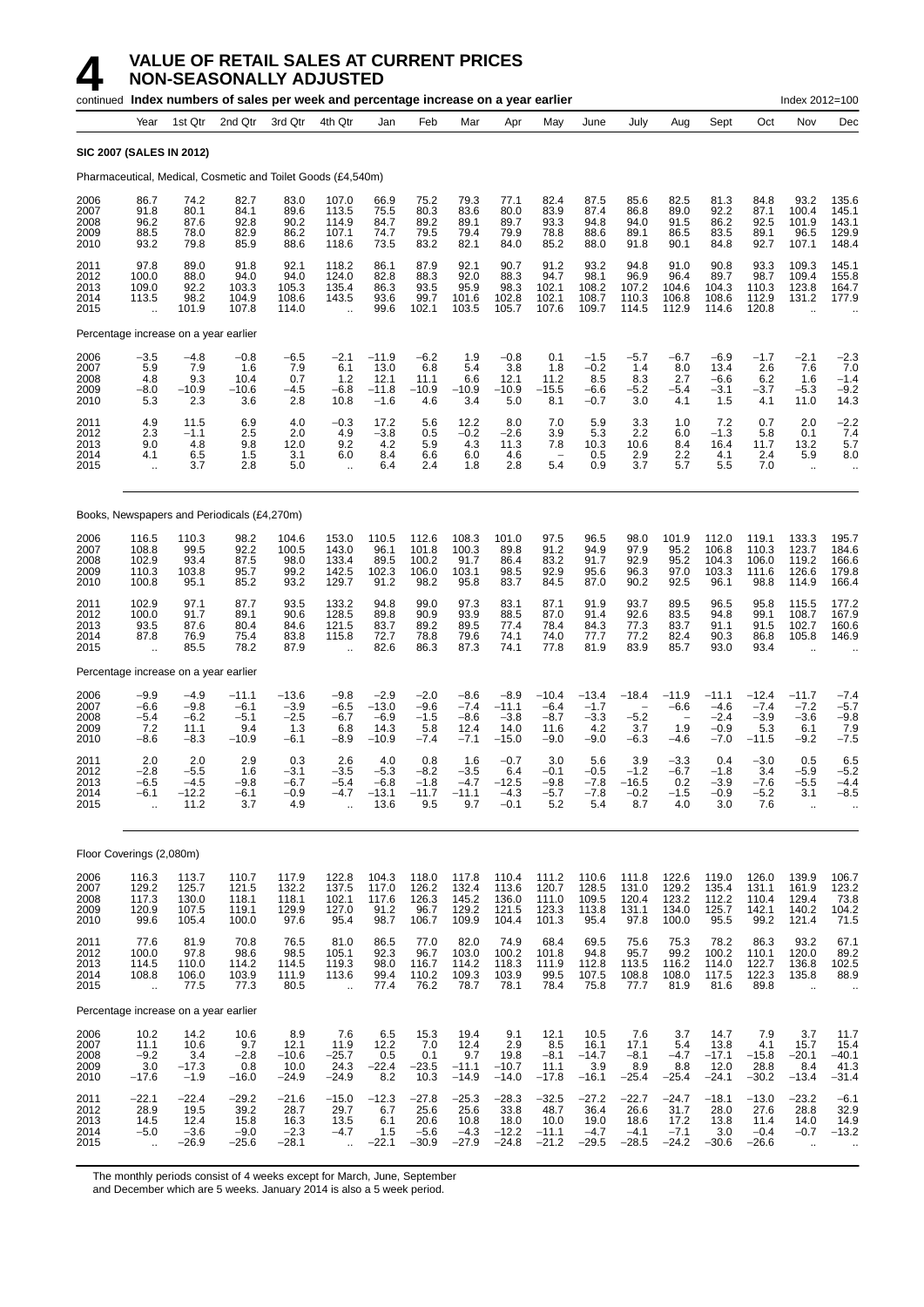|                                      |                                                           |                                              | continued Index numbers of sales per week and percentage increase on a year earlier |                                              |                                                          |                                                |                                              |                                                  |                                                |                                               |                                              |                                                         |                                                                |                                                 |                                               | Index 2012=100                                           |                                                |
|--------------------------------------|-----------------------------------------------------------|----------------------------------------------|-------------------------------------------------------------------------------------|----------------------------------------------|----------------------------------------------------------|------------------------------------------------|----------------------------------------------|--------------------------------------------------|------------------------------------------------|-----------------------------------------------|----------------------------------------------|---------------------------------------------------------|----------------------------------------------------------------|-------------------------------------------------|-----------------------------------------------|----------------------------------------------------------|------------------------------------------------|
|                                      | Year                                                      | 1st Qtr                                      | 2nd Qtr                                                                             | 3rd Qtr                                      | 4th Qtr                                                  | Jan                                            | Feb                                          | Mar                                              | Apr                                            | May                                           | June                                         | July                                                    | Aug                                                            | Sept                                            | Oct                                           | Nov                                                      | Dec                                            |
|                                      | <b>SIC 2007 (SALES IN 2012)</b>                           |                                              |                                                                                     |                                              |                                                          |                                                |                                              |                                                  |                                                |                                               |                                              |                                                         |                                                                |                                                 |                                               |                                                          |                                                |
|                                      |                                                           |                                              | Pharmaceutical, Medical, Cosmetic and Toilet Goods (£4,540m)                        |                                              |                                                          |                                                |                                              |                                                  |                                                |                                               |                                              |                                                         |                                                                |                                                 |                                               |                                                          |                                                |
| 2006<br>2007<br>2008<br>2009<br>2010 | 86.7<br>91.8<br>96.2<br>88.5<br>93.2                      | 74.2<br>80.1<br>87.6<br>78.0<br>79.8         | 82.7<br>84.1<br>92.8<br>82.9<br>85.9                                                | 83.0<br>89.6<br>90.2<br>86.2<br>88.6         | 107.0<br>113.5<br>114.9<br>107.1<br>118.6                | 66.9<br>75.5<br>84.7<br>74.7<br>73.5           | 75.2<br>80.3<br>89.2<br>79.5<br>83.2         | 79.3<br>83.6<br>89.1<br>79.4<br>82.1             | 77.1<br>80.0<br>89.7<br>79.9<br>84.0           | 82.4<br>83.9<br>93.3<br>78.8<br>85.2          | 87.5<br>87.4<br>94.8<br>88.6<br>88.0         | 85.6<br>86.8<br>94.0<br>89.1<br>91.8                    | 82.5<br>89.0<br>91.5<br>86.5<br>90.1                           | 81.3<br>92.2<br>86.2<br>83.5<br>84.8            | 84.8<br>87.1<br>92.5<br>89.1<br>92.7          | 93.2<br>100.4<br>101.9<br>96.5<br>107.1                  | 135.6<br>145.1<br>143.1<br>129.9<br>148.4      |
| 2011<br>2012<br>2013<br>2014<br>2015 | 97.8<br>100.0<br>109.0<br>113.5<br>$\bar{\mathbf{r}}$     | 89.0<br>88.0<br>92.2<br>98.2<br>101.9        | 91.8<br>94.0<br>103.3<br>104.9<br>107.8                                             | 92.1<br>94.0<br>105.3<br>108.6<br>114.0      | 118.2<br>124.0<br>135.4<br>143.5<br>$\ddot{\phantom{a}}$ | 86.1<br>82.8<br>86.3<br>93.6<br>99.6           | 87.9<br>88.3<br>93.5<br>99.7<br>102.1        | 92.1<br>92.0<br>95.9<br>101.6<br>103.5           | 90.7<br>88.3<br>98.3<br>102.8<br>105.7         | 91.2<br>94.7<br>102.1<br>102.1<br>107.6       | 93.2<br>98.1<br>108.2<br>108.7<br>109.7      | 94.8<br>96.9<br>107.2<br>110.3<br>114.5                 | 91.0<br>96.4<br>104.6<br>106.8<br>112.9                        | 90.8<br>89.7<br>104.3<br>108.6<br>114.6         | 93.3<br>98.7<br>110.3<br>112.9<br>120.8       | 109.3<br>109.4<br>123.8<br>131.2                         | 145.1<br>155.8<br>164.7<br>177.9               |
|                                      | Percentage increase on a year earlier                     |                                              |                                                                                     |                                              |                                                          |                                                |                                              |                                                  |                                                |                                               |                                              |                                                         |                                                                |                                                 |                                               |                                                          |                                                |
| 2006<br>2007<br>2008<br>2009<br>2010 | $-3.5$<br>5.9<br>4.8<br>$-8.0$<br>5.3                     | $-4.8$<br>7.9<br>9.3<br>$-10.9$<br>2.3       | $-0.8$<br>1.6<br>10.4<br>$-10.6$<br>3.6                                             | $-6.5$<br>7.9<br>0.7<br>$-4.5$<br>2.8        | $-2.1$<br>6.1<br>$1.2$<br>$-6.8$<br>10.8                 | $-11.9$<br>13.0<br>12.1<br>$-11.8$<br>$-1.6$   | $-6.2$<br>6.8<br>11.1<br>$-10.9$<br>4.6      | 1.9<br>5.4<br>6.6<br>$-10.9$<br>3.4              | $-0.8$<br>3.8<br>12.1<br>$-10.9$<br>5.0        | 0.1<br>1.8<br>11.2<br>$-15.5$<br>8.1          | $-1.5$<br>$-0.2$<br>8.5<br>$-6.6$<br>$-0.7$  | $-5.7$<br>1.4<br>8.3<br>$-5.2$<br>3.0                   | $-6.7$<br>8.0<br>2.7<br>-5.4<br>4.1                            | $-6.9$<br>13.4<br>$-6.6$<br>$-3.1$<br>1.5       | $-1.7$<br>2.6<br>6.2<br>$-3.7$<br>4.1         | $-2.1$<br>7.6<br>1.6<br>$-5.3$<br>11.0                   | $-2.3$<br>7.0<br>$-1.4$<br>$-9.2$<br>14.3      |
| 2011<br>2012<br>2013<br>2014<br>2015 | 4.9<br>2.3<br>9.0<br>4.1<br>$\ldots$                      | 11.5<br>$-1.1$<br>4.8<br>6.5<br>3.7          | 6.9<br>2.5<br>9.8<br>1.5<br>2.8                                                     | 4.0<br>2.0<br>12.0<br>3.1<br>5.0             | $-0.3$<br>4.9<br>9.2<br>6.0<br>$\ddotsc$                 | 17.2<br>$-3.8$<br>4.2<br>8.4<br>6.4            | 5.6<br>0.5<br>5.9<br>6.6<br>2.4              | 12.2<br>$-0.2$<br>4.3<br>6.0<br>1.8              | 8.0<br>$-2.6$<br>11.3<br>4.6<br>2.8            | 7.0<br>3.9<br>7.8<br>5.4                      | 5.9<br>5.3<br>10.3<br>0.5<br>0.9             | 3.3<br>2.2<br>10.6<br>2.9<br>3.7                        | 1.0<br>6.0<br>8.4<br>2.2<br>5.7                                | 7.2<br>$-1.3$<br>16.4<br>4.1<br>5.5             | 0.7<br>5.8<br>11.7<br>2.4<br>7.0              | 2.0<br>0.1<br>13.2<br>5.9<br>$\ddotsc$                   | $-2.2$<br>7.4<br>5.7<br>8.0<br>$\ddotsc$       |
|                                      |                                                           |                                              | Books, Newspapers and Periodicals (£4,270m)                                         |                                              |                                                          |                                                |                                              |                                                  |                                                |                                               |                                              |                                                         |                                                                |                                                 |                                               |                                                          |                                                |
| 2006<br>2007<br>2008<br>2009<br>2010 | 116.5<br>108.8<br>102.9<br>110.3<br>100.8                 | 110.3<br>99.5<br>93.4<br>103.8<br>95.1       | 98.2<br>92.2<br>87.5<br>95.7<br>85.2                                                | 104.6<br>100.5<br>98.0<br>99.2<br>93.2       | 153.0<br>143.0<br>133.4<br>142.5<br>129.7                | 110.5<br>96.1<br>89.5<br>102.3<br>91.2         | 112.6<br>101.8<br>100.2<br>106.0<br>98.2     | 108.3<br>100.3<br>91.7<br>103.1<br>95.8          | 101.0<br>89.8<br>86.4<br>98.5<br>83.7          | 97.5<br>91.2<br>83.2<br>92.9<br>84.5          | 96.5<br>94.9<br>91.7<br>95.6<br>87.0         | 98.0<br>97.9<br>92.9<br>96.3<br>90.2                    | 101.9<br>95.2<br>95.2<br>97.0<br>92.5                          | 112.0<br>106.8<br>104.3<br>103.3<br>96.1        | 119.1<br>110.3<br>106.0<br>111.6<br>98.8      | 133.3<br>123.7<br>119.2<br>126.6<br>114.9                | 195.7<br>184.6<br>166.6<br>179.8<br>166.4      |
| 2011<br>2012<br>2013<br>2014<br>2015 | 102.9<br>100.0<br>93.5<br>87.8<br>$\ddotsc$               | 97.1<br>91.7<br>87.6<br>76.9<br>85.5         | 87.7<br>89.1<br>80.4<br>75.4<br>78.2                                                | 93.5<br>90.6<br>84.6<br>83.8<br>87.9         | 133.2<br>128.5<br>121.5<br>115.8<br>$\ddot{\phantom{a}}$ | 94.8<br>89.8<br>83.7<br>72.7<br>82.6           | 99.0<br>90.9<br>89.2<br>78.8<br>86.3         | 97.3<br>93.9<br>89.5<br>79.6<br>87.3             | 83.1<br>88.5<br>77.4<br>74.1<br>74.1           | 87.1<br>87.0<br>78.4<br>74.0<br>77.8          | 91.9<br>91.4<br>84.3<br>77.7<br>81.9         | 93.7<br>92.6<br>77.3<br>77.2<br>83.9                    | 89.5<br>83.5<br>83.7<br>82.4<br>85.7                           | 96.5<br>94.8<br>91.1<br>90.3<br>93.0            | 95.8<br>99.1<br>91.5<br>86.8<br>93.4          | 115.5<br>108.7<br>102.7<br>105.8<br>$\ddot{\phantom{a}}$ | 177.2<br>167.9<br>160.6<br>146.9               |
|                                      | Percentage increase on a year earlier                     |                                              |                                                                                     |                                              |                                                          |                                                |                                              |                                                  |                                                |                                               |                                              |                                                         |                                                                |                                                 |                                               |                                                          |                                                |
| 2006<br>2007<br>2008<br>2009<br>2010 | $-9.9$<br>$-6.6$<br>$-5.4$<br>7.2<br>$-8.6$               | $-4.9$<br>$-9.8$<br>$-6.2$<br>11.1<br>$-8.3$ | $-11.1$<br>$-6.1$<br>$-5.1$<br>9.4<br>$-10.9$                                       | $-13.6$<br>$-3.9$<br>$-2.5$<br>1.3<br>$-6.1$ | $-9.8$<br>$-6.5$<br>$-6.7$<br>6.8<br>$-8.9$              | $-2.9$<br>$-13.0$<br>$-6.9$<br>14.3<br>$-10.9$ | $-2.0$<br>$-9.6$<br>$-1.5$<br>5.8<br>$-7.4$  | $-8.6$<br>$-7.4$<br>$-8.6$<br>12.4<br>$-7.1$     | $-8.9$<br>$-11.1$<br>$-3.8$<br>14.0<br>$-15.0$ | $-10.4$<br>$-6.4$<br>$-8.7$<br>11.6<br>$-9.0$ | $-13.4$<br>$-1.7$<br>$-3.3$<br>4.2<br>$-9.0$ | $-18.4$<br>$\qquad \qquad -$<br>$-5.2$<br>3.7<br>$-6.3$ | $-11.9$<br>$-6.6$<br>$\overline{\phantom{a}}$<br>1.9<br>$-4.6$ | $-11.1$<br>$-4.6$<br>$-2.4$<br>$-0.9$<br>$-7.0$ | $-12.4$<br>$-7.4$<br>$-3.9$<br>5.3<br>$-11.5$ | $-11.7$<br>$-7.2$<br>$-3.6$<br>6.1<br>$-9.2$             | $-7.4$<br>$-5.7$<br>$-9.8$<br>7.9<br>$-7.5$    |
| 2011<br>2012<br>2013<br>2014<br>2015 | 2.0<br>$-2.8$<br>-6.5<br>$-6.1$                           | 2.0<br>$-5.5$<br>$-4.5$<br>$-12.2$<br>11.2   | 2.9<br>1.6<br>-9.8<br>$-6.1$<br>3.7                                                 | 0.3<br>$-3.1$<br>$-6.7$<br>$-0.9$<br>4.9     | 2.6<br>$-3.5$<br>$-5.4$<br>$-4.7$                        | 4.0<br>$-5.3$<br>$-6.8$<br>$-13.1$<br>13.6     | 0.8<br>$-8.2$<br>$-1.8$<br>$-11.7$<br>9.5    | 1.6<br>$-3.5$<br>-4.7<br>$-11.1$<br>9.7          | $-0.7$<br>6.4<br>$-12.5$<br>$-4.3$<br>$-0.1$   | 3.0<br>$-0.1$<br>$-9.8$<br>$-5.7$<br>5.2      | 5.6<br>$-0.5$<br>$-7.8$<br>$-7.8$<br>5.4     | 3.9<br>$-1.2$<br>$-16.5$<br>$-0.2$<br>8.7               | $-3.3$<br>$-6.7$<br>0.2<br>$-1.5$<br>4.0                       | 0.4<br>$-1.8$<br>$-3.9$<br>$-0.9$<br>3.0        | $-3.0$<br>3.4<br>$-7.6$<br>$-5.2$<br>7.6      | 0.5<br>$-5.9$<br>-5.5<br>3.1                             | 6.5<br>$-5.2$<br>$-4.4$<br>$-8.5$              |
|                                      | Floor Coverings (2,080m)                                  |                                              |                                                                                     |                                              |                                                          |                                                |                                              |                                                  |                                                |                                               |                                              |                                                         |                                                                |                                                 |                                               |                                                          |                                                |
| 2006<br>2007<br>2008<br>2009<br>2010 | 116.3<br>129.2<br>117.3<br>120.9<br>99.6                  | 113.7<br>125.7<br>130.0<br>107.5<br>105.4    | 110.7<br>121.5<br>118.1<br>119.1<br>100.0                                           | 117.9<br>132.2<br>118.1<br>129.9<br>97.6     | 122.8<br>137.5<br>102.1<br>127.0<br>95.4                 | 104.3<br>117.0<br>117.6<br>91.2<br>98.7        | 118.0<br>126.2<br>126.3<br>96.7<br>106.7     | 117.8<br>$\frac{132.4}{145.2}$<br>129.2<br>109.9 | 110.4<br>113.6<br>136.0<br>121.5<br>104.4      | 111.2<br>120.7<br>111.0<br>123.3<br>101.3     | 110.6<br>128.5<br>109.5<br>113.8<br>95.4     | 111.8<br>131.0<br>120.4<br>131.1<br>97.8                | 122.6<br>129.2<br>123.2<br>134.0<br>100.0                      | 119.0<br>135.4<br>112.2<br>125.7<br>95.5        | 126.0<br>131.1<br>110.4<br>142.1<br>99.2      | 139.9<br>161.9<br>129.4<br>140.2<br>121.4                | 106.7<br>$\frac{188.7}{73.8}$<br>104.2<br>71.5 |
| 2011<br>2012<br>2013<br>2014<br>2015 | 77.6<br>100.0<br>114.5<br>108.8<br>÷.                     | 81.9<br>97.8<br>110.0<br>106.0<br>77.5       | 70.8<br>98.6<br>114.2<br>103.9<br>77.3                                              | 76.5<br>98.5<br>114.5<br>111.9<br>80.5       | 81.0<br>105.1<br>119.3<br>113.6<br>$\ddot{\phantom{1}}$  | 86.5<br>92.3<br>98.0<br>99.4<br>77.4           | 77.0<br>96.7<br>116.7<br>110.2<br>76.2       | 82.0<br>103.0<br>114.2<br>109.3<br>78.7          | 74.9<br>100.2<br>118.3<br>103.9<br>78.1        | 68.4<br>101.8<br>111.9<br>99.5<br>78.4        | 69.5<br>94.8<br>112.8<br>107.5<br>75.8       | 75.6<br>95.7<br>113.5<br>108.8<br>77.7                  | 75.3<br>99.2<br>116.2<br>108.0<br>81.9                         | 78.2<br>100.2<br>114.0<br>117.5<br>81.6         | 86.3<br>110.1<br>122.7<br>122.3<br>89.8       | 93.2<br>120.0<br>136.8<br>135.8<br>$\ddot{\phantom{a}}$  | 67.1<br>89.2<br>102.5<br>88.9                  |
|                                      | Percentage increase on a year earlier                     |                                              |                                                                                     |                                              |                                                          |                                                |                                              |                                                  |                                                |                                               |                                              |                                                         |                                                                |                                                 |                                               |                                                          |                                                |
| 2006<br>2007<br>2008<br>2009<br>2010 | 10.2<br>11.1<br>$-9.2$<br>3.0<br>$-17.6$                  | 14.2<br>10.6<br>3.4<br>$-17.3$<br>$-1.9$     | 10.6<br>9.7<br>$-2.8$<br>0.8<br>$-16.0$                                             | 8.9<br>12.1<br>$-10.6$<br>10.0<br>$-24.9$    | 7.6<br>11.9<br>$-25.7$<br>24.3<br>$-24.9$                | 6.5<br>12.2<br>0.5<br>$-22.4$<br>8.2           | 15.3<br>7.0<br>0.1<br>$-23.5$<br>10.3        | 19.4<br>12.4<br>9.7<br>$-11.1$<br>$-14.9$        | 9.1<br>2.9<br>19.8<br>$-10.7$<br>$-14.0$       | 12.1<br>8.5<br>$-8.1$<br>11.1<br>$-17.8$      | 10.5<br>16.1<br>$-14.7$<br>3.9<br>$-16.1$    | 7.6<br>17.1<br>$-8.1$<br>8.9<br>$-25.4$                 | 3.7<br>5.4<br>$-4.7$<br>8.8<br>$-25.4$                         | 14.7<br>13.8<br>$-17.1$<br>12.0<br>$-24.1$      | 7.9<br>4.1<br>$-15.8$<br>28.8<br>$-30.2$      | 3.7<br>15.7<br>$-20.1$<br>8.4<br>$-13.4$                 | 11.7<br>15.4<br>$-40.1$<br>41.3<br>$-31.4$     |
| 2011<br>2012<br>2013<br>2014<br>2015 | $-22.1$<br>28.9<br>14.5<br>$-5.0$<br>$\ddot{\phantom{a}}$ | $-22.4$<br>19.5<br>12.4<br>$-3.6$<br>$-26.9$ | $-29.2$<br>39.2<br>15.8<br>$-9.0$<br>$-25.6$                                        | $-21.6$<br>28.7<br>16.3<br>$-2.3$<br>$-28.1$ | $-15.0$<br>29.7<br>13.5<br>$-4.7$                        | $-12.3$<br>6.7<br>6.1<br>1.5<br>$-22.1$        | $-27.8$<br>25.6<br>20.6<br>$-5.6$<br>$-30.9$ | $-25.3$<br>25.6<br>10.8<br>$-4.3$<br>$-27.9$     | $-28.3$<br>33.8<br>18.0<br>$-12.2$<br>$-24.8$  | $-32.5$<br>48.7<br>10.0<br>$-11.1$<br>$-21.2$ | $-27.2$<br>36.4<br>19.0<br>$-4.7$<br>$-29.5$ | $-22.7$<br>26.6<br>18.6<br>$-4.1$<br>$-28.5$            | $-24.7$<br>31.7<br>17.2<br>$-7.1$<br>$-24.2$                   | $-18.1$<br>28.0<br>13.8<br>3.0<br>$-30.6$       | $-13.0$<br>27.6<br>11.4<br>$-0.4$<br>$-26.6$  | $-23.2$<br>28.8<br>14.0<br>$-0.7$<br>$\ddotsc$           | $-6.1$<br>32.9<br>14.9<br>$-13.2$<br>$\cdot$ . |

The monthly periods consist of 4 weeks except for March, June, September

and December which are 5 weeks. January 2014 is also a 5 week period.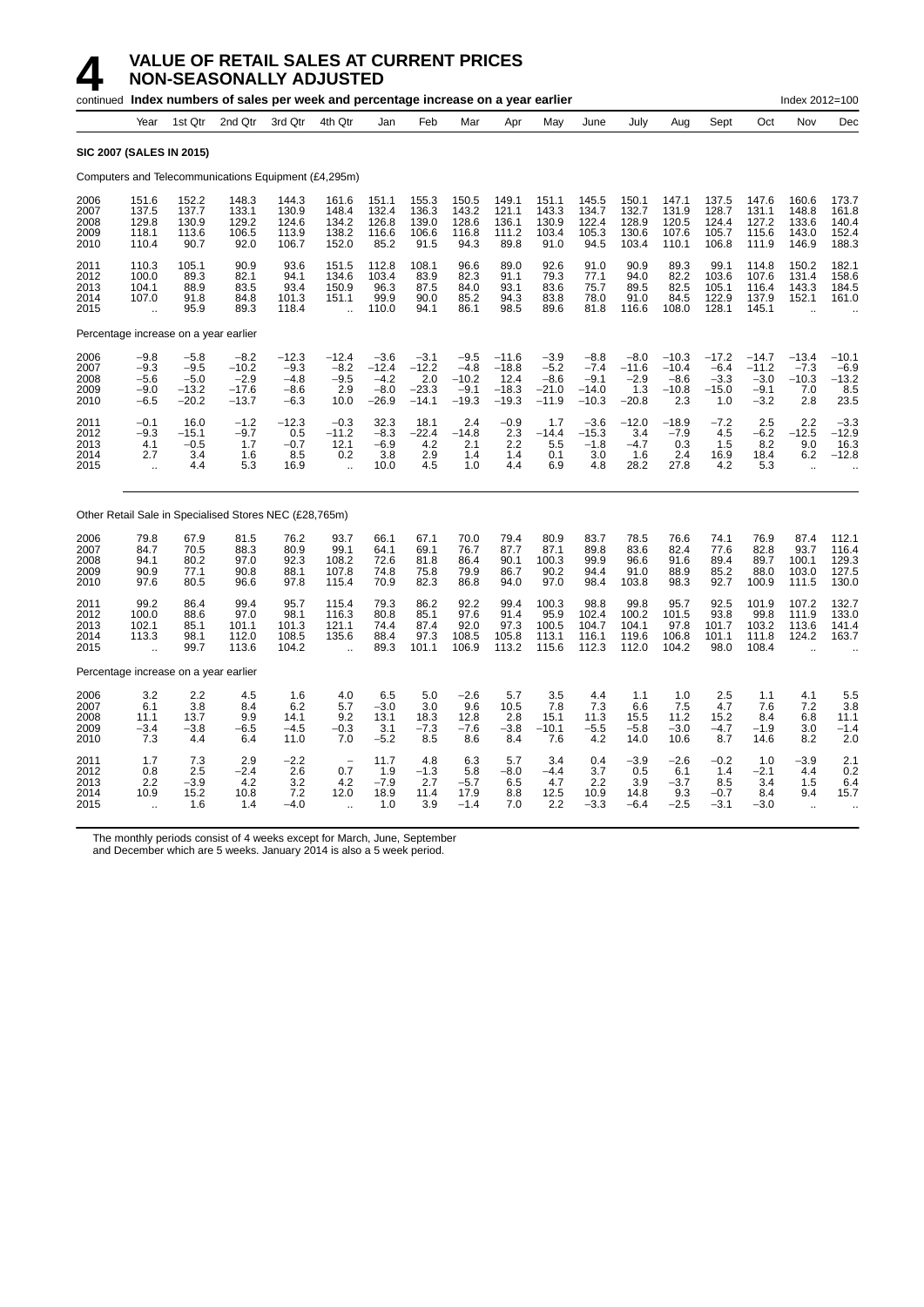|                                      | continued Index numbers of sales per week and percentage increase on a year earlier |                                                  |                                                        |                                                 |                                                          |                                                  |                                                |                                                  |                                                  |                                                  |                                                  |                                               |                                                |                                               | Index 2012=100                                   |                                                      |                                             |
|--------------------------------------|-------------------------------------------------------------------------------------|--------------------------------------------------|--------------------------------------------------------|-------------------------------------------------|----------------------------------------------------------|--------------------------------------------------|------------------------------------------------|--------------------------------------------------|--------------------------------------------------|--------------------------------------------------|--------------------------------------------------|-----------------------------------------------|------------------------------------------------|-----------------------------------------------|--------------------------------------------------|------------------------------------------------------|---------------------------------------------|
|                                      | Year                                                                                | 1st Qtr                                          | 2nd Qtr                                                | 3rd Qtr                                         | 4th Qtr                                                  | Jan                                              | Feb                                            | Mar                                              | Apr                                              | May                                              | June                                             | July                                          | Aug                                            | Sept                                          | Oct                                              | Nov                                                  | Dec                                         |
|                                      | <b>SIC 2007 (SALES IN 2015)</b>                                                     |                                                  |                                                        |                                                 |                                                          |                                                  |                                                |                                                  |                                                  |                                                  |                                                  |                                               |                                                |                                               |                                                  |                                                      |                                             |
|                                      |                                                                                     |                                                  | Computers and Telecommunications Equipment (£4,295m)   |                                                 |                                                          |                                                  |                                                |                                                  |                                                  |                                                  |                                                  |                                               |                                                |                                               |                                                  |                                                      |                                             |
| 2006<br>2007<br>2008<br>2009<br>2010 | 151.6<br>137.5<br>129.8<br>118.1<br>110.4                                           | 152.2<br>137.7<br>130.9<br>113.6<br>90.7         | 148.3<br>133.1<br>129.2<br>106.5<br>92.0               | 144.3<br>130.9<br>124.6<br>113.9<br>106.7       | 161.6<br>148.4<br>134.2<br>138.2<br>152.0                | 151.1<br>132.4<br>126.8<br>116.6<br>85.2         | 155.3<br>136.3<br>139.0<br>106.6<br>91.5       | 150.5<br>143.2<br>128.6<br>116.8<br>94.3         | 149.1<br>121.1<br>136.1<br>111.2<br>89.8         | 151.1<br>143.3<br>130.9<br>103.4<br>91.0         | 145.5<br>134.7<br>122.4<br>105.3<br>94.5         | 150.1<br>132.7<br>128.9<br>130.6<br>103.4     | 147.1<br>131.9<br>120.5<br>107.6<br>110.1      | 137.5<br>128.7<br>124.4<br>105.7<br>106.8     | 147.6<br>131.1<br>127.2<br>115.6<br>111.9        | 160.6<br>148.8<br>133.6<br>143.0<br>146.9            | 173.7<br>161.8<br>140.4<br>152.4<br>188.3   |
| 2011<br>2012<br>2013<br>2014<br>2015 | 110.3<br>100.0<br>104.1<br>107.0<br>$\ddot{\phantom{a}}$                            | 105.1<br>89.3<br>88.9<br>91.8<br>95.9            | 90.9<br>82.1<br>83.5<br>84.8<br>89.3                   | 93.6<br>94.1<br>93.4<br>101.3<br>118.4          | 151.5<br>134.6<br>150.9<br>151.1<br>$\ddot{\phantom{a}}$ | 112.8<br>103.4<br>96.3<br>99.9<br>110.0          | 108.1<br>83.9<br>87.5<br>90.0<br>94.1          | 96.6<br>82.3<br>84.0<br>85.2<br>86.1             | 89.0<br>91.1<br>93.1<br>94.3<br>98.5             | 92.6<br>79.3<br>83.6<br>83.8<br>89.6             | 91.0<br>77.1<br>75.7<br>78.0<br>81.8             | 90.9<br>94.0<br>89.5<br>91.0<br>116.6         | 89.3<br>82.2<br>82.5<br>84.5<br>108.0          | 99.1<br>103.6<br>105.1<br>122.9<br>128.1      | 114.8<br>107.6<br>116.4<br>137.9<br>145.1        | 150.2<br>131.4<br>143.3<br>152.1                     | 182.1<br>158.6<br>184.5<br>161.0            |
|                                      | Percentage increase on a year earlier                                               |                                                  |                                                        |                                                 |                                                          |                                                  |                                                |                                                  |                                                  |                                                  |                                                  |                                               |                                                |                                               |                                                  |                                                      |                                             |
| 2006<br>2007<br>2008<br>2009<br>2010 | $-9.8$<br>$-9.3$<br>$-5.6$<br>$-9.0$<br>$-6.5$                                      | $-5.8$<br>$-9.5$<br>$-5.0$<br>$-13.2$<br>$-20.2$ | $-8.2$<br>$-10.2$<br>$-2.9$<br>$-17.6$<br>$-13.7$      | $-12.3$<br>$-9.3$<br>$-4.8$<br>$-8.6$<br>$-6.3$ | $-12.4$<br>$-8.2$<br>$-9.5$<br>2.9<br>10.0               | $-3.6$<br>$-12.4$<br>$-4.2$<br>$-8.0$<br>$-26.9$ | $-3.1$<br>$-12.2$<br>2.0<br>$-23.3$<br>$-14.1$ | $-9.5$<br>$-4.8$<br>$-10.2$<br>$-9.1$<br>$-19.3$ | $-11.6$<br>$-18.8$<br>12.4<br>$-18.3$<br>$-19.3$ | $-3.9$<br>$-5.2$<br>$-8.6$<br>$-21.0$<br>$-11.9$ | $-8.8$<br>$-7.4$<br>$-9.1$<br>$-14.0$<br>$-10.3$ | $-8.0$<br>$-11.6$<br>$-2.9$<br>1.3<br>$-20.8$ | $-10.3$<br>$-10.4$<br>$-8.6$<br>$-10.8$<br>2.3 | $-17.2$<br>$-6.4$<br>$-3.3$<br>$-15.0$<br>1.0 | $-14.7$<br>$-11.2$<br>$-3.0$<br>$-9.1$<br>$-3.2$ | $-13.4$<br>$-7.3$<br>$-10.3$<br>7.0<br>2.8           | $-10.1$<br>$-6.9$<br>$-13.2$<br>8.5<br>23.5 |
| 2011<br>2012<br>2013<br>2014<br>2015 | $-0.1$<br>$-9.3$<br>4.1<br>2.7<br>$\ddotsc$                                         | 16.0<br>$-15.1$<br>$-0.5$<br>3.4<br>4.4          | $-1.2$<br>$-9.7$<br>1.7<br>1.6<br>5.3                  | $-12.3$<br>0.5<br>$-0.7$<br>8.5<br>16.9         | $-0.3$<br>$-11.2$<br>12.1<br>0.2<br>$\ddot{\phantom{a}}$ | 32.3<br>$-8.3$<br>$-6.9$<br>3.8<br>10.0          | 18.1<br>$-22.4$<br>4.2<br>2.9<br>4.5           | 2.4<br>$-14.8$<br>2.1<br>1.4<br>1.0              | $-0.9$<br>2.3<br>2.2<br>1.4<br>4.4               | 1.7<br>$-14.4$<br>5.5<br>0.1<br>6.9              | $-3.6$<br>$-15.3$<br>$-1.8$<br>3.0<br>4.8        | $-12.0$<br>3.4<br>$-4.7$<br>1.6<br>28.2       | $-18.9$<br>$-7.9$<br>0.3<br>2.4<br>27.8        | $-7.2$<br>4.5<br>1.5<br>16.9<br>4.2           | 2.5<br>$-6.2$<br>8.2<br>18.4<br>5.3              | 2.2<br>$-12.5$<br>9.0<br>6.2<br>$\ddot{\phantom{a}}$ | $-3.3$<br>$-12.9$<br>16.3<br>$-12.8$        |
|                                      |                                                                                     |                                                  | Other Retail Sale in Specialised Stores NEC (£28,765m) |                                                 |                                                          |                                                  |                                                |                                                  |                                                  |                                                  |                                                  |                                               |                                                |                                               |                                                  |                                                      |                                             |
| 2006<br>2007<br>2008<br>2009<br>2010 | 79.8<br>84.7<br>94.1<br>90.9<br>97.6                                                | 67.9<br>70.5<br>80.2<br>77.1<br>80.5             | 81.5<br>88.3<br>97.0<br>90.8<br>96.6                   | 76.2<br>80.9<br>92.3<br>88.1<br>97.8            | 93.7<br>99.1<br>108.2<br>107.8<br>115.4                  | 66.1<br>64.1<br>72.6<br>74.8<br>70.9             | 67.1<br>69.1<br>81.8<br>75.8<br>82.3           | 70.0<br>76.7<br>86.4<br>79.9<br>86.8             | 79.4<br>87.7<br>90.1<br>86.7<br>94.0             | 80.9<br>87.1<br>100.3<br>90.2<br>97.0            | 83.7<br>89.8<br>99.9<br>94.4<br>98.4             | 78.5<br>83.6<br>96.6<br>91.0<br>103.8         | 76.6<br>82.4<br>91.6<br>88.9<br>98.3           | 74.1<br>77.6<br>89.4<br>85.2<br>92.7          | 76.9<br>82.8<br>89.7<br>88.0<br>100.9            | 87.4<br>93.7<br>100.1<br>103.0<br>111.5              | 112.1<br>116.4<br>129.3<br>127.5<br>130.0   |
| 2011<br>2012<br>2013<br>2014<br>2015 | 99.2<br>100.0<br>102.1<br>113.3<br>$\ddot{\phantom{a}}$                             | 86.4<br>88.6<br>85.1<br>98.1<br>99.7             | 99.4<br>97.0<br>101.1<br>112.0<br>113.6                | 95.7<br>98.1<br>101.3<br>108.5<br>104.2         | 115.4<br>116.3<br>121.1<br>135.6                         | 79.3<br>80.8<br>74.4<br>88.4<br>89.3             | 86.2<br>85.1<br>87.4<br>97.3<br>101.1          | 92.2<br>97.6<br>92.0<br>108.5<br>106.9           | 99.4<br>91.4<br>97.3<br>105.8<br>113.2           | 100.3<br>95.9<br>100.5<br>113.1<br>115.6         | 98.8<br>102.4<br>104.7<br>116.1<br>112.3         | 99.8<br>100.2<br>104.1<br>119.6<br>112.0      | 95.7<br>101.5<br>97.8<br>106.8<br>104.2        | 92.5<br>93.8<br>101.7<br>101.1<br>98.0        | 101.9<br>99.8<br>103.2<br>111.8<br>108.4         | 107.2<br>111.9<br>113.6<br>124.2                     | 132.7<br>133.0<br>141.4<br>163.7            |
|                                      | Percentage increase on a year earlier                                               |                                                  |                                                        |                                                 |                                                          |                                                  |                                                |                                                  |                                                  |                                                  |                                                  |                                               |                                                |                                               |                                                  |                                                      |                                             |
| 2006<br>2007<br>2008<br>2009<br>2010 | 3.2<br>6.1<br>11.1<br>$-3.4$<br>7.3                                                 | 2.2<br>3.8<br>13.7<br>$-3.8$<br>4.4              | 4.5<br>8.4<br>9.9<br>$-6.5$<br>6.4                     | 1.6<br>6.2<br>14.1<br>$-4.5$<br>11.0            | 4.0<br>5.7<br>9.2<br>$-0.3$<br>7.0                       | 6.5<br>$-3.0$<br>13.1<br>3.1<br>$-5.2$           | 5.0<br>3.0<br>18.3<br>$-7.3$<br>8.5            | $-2.6$<br>9.6<br>12.8<br>$-7.6$<br>8.6           | 5.7<br>10.5<br>2.8<br>$-3.8$<br>8.4              | 3.5<br>7.8<br>15.1<br>$-10.1$<br>7.6             | 4.4<br>7.3<br>11.3<br>$-5.5$<br>4.2              | 1.1<br>6.6<br>15.5<br>$-5.8$<br>14.0          | 1.0<br>7.5<br>11.2<br>$-3.0$<br>10.6           | 2.5<br>4.7<br>15.2<br>$-4.7$<br>8.7           | 1.1<br>7.6<br>8.4<br>$-1.9$<br>14.6              | 4.1<br>7.2<br>6.8<br>3.0<br>8.2                      | $\frac{5.5}{3.8}$<br>11.1<br>$-1.4$<br>2.0  |
| 2011<br>2012<br>2013<br>2014<br>2015 | 1.7<br>0.8<br>2.2<br>10.9<br>ä.                                                     | 7.3<br>2.5<br>$-3.9$<br>15.2<br>1.6              | 2.9<br>$-2.4$<br>4.2<br>10.8<br>1.4                    | $-2.2$<br>2.6<br>3.2<br>7.2<br>$-4.0$           | 0.7<br>4.2<br>12.0                                       | 11.7<br>1.9<br>$-7.9$<br>18.9<br>1.0             | 4.8<br>$-1.3$<br>2.7<br>11.4<br>3.9            | 6.3<br>5.8<br>$-5.7$<br>17.9<br>$-1.4$           | 5.7<br>$-8.0$<br>6.5<br>8.8<br>7.0               | 3.4<br>$-4.4$<br>4.7<br>12.5<br>2.2              | 0.4<br>3.7<br>2.2<br>10.9<br>-3.3                | $-3.9$<br>0.5<br>3.9<br>14.8<br>$-6.4$        | $-2.6$<br>6.1<br>$-3.7$<br>9.3<br>$-2.5$       | $-0.2$<br>1.4<br>8.5<br>$-0.7$<br>$-3.1$      | 1.0<br>$-2.1$<br>3.4<br>8.4<br>$-3.0$            | $-3.9$<br>4.4<br>1.5<br>9.4<br>$\ddot{\phantom{a}}$  | 2.1<br>$0.2$<br>6.4<br>15.7                 |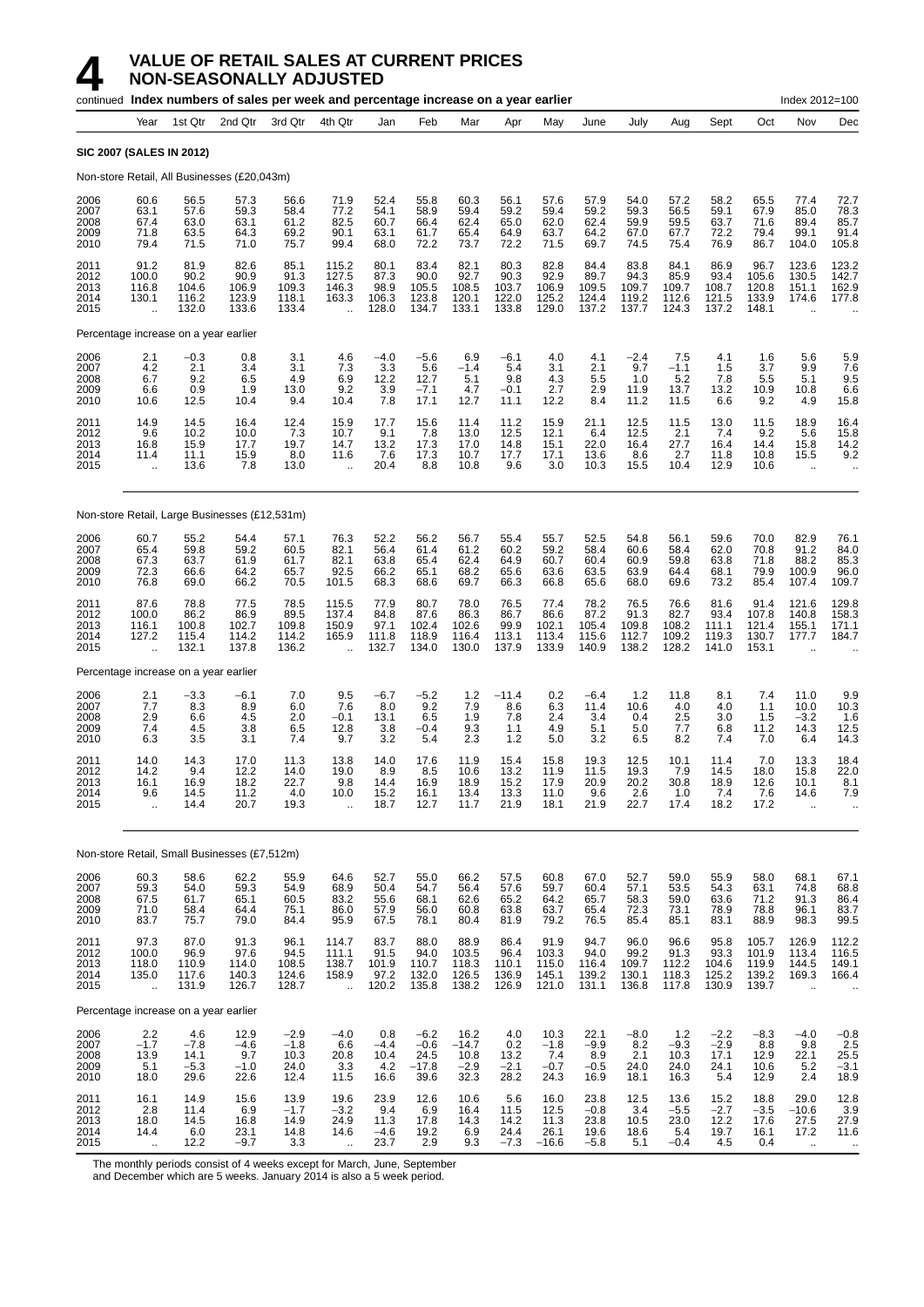|                                      |                                                     |                                         | continued Index numbers of sales per week and percentage increase on a year earlier |                                          |                                                          |                                        |                                             |                                           |                                         |                                              |                                          |                                         |                                         |                                         |                                           | Index 2012=100                                           |                                                                   |
|--------------------------------------|-----------------------------------------------------|-----------------------------------------|-------------------------------------------------------------------------------------|------------------------------------------|----------------------------------------------------------|----------------------------------------|---------------------------------------------|-------------------------------------------|-----------------------------------------|----------------------------------------------|------------------------------------------|-----------------------------------------|-----------------------------------------|-----------------------------------------|-------------------------------------------|----------------------------------------------------------|-------------------------------------------------------------------|
|                                      | Year                                                | 1st Qtr                                 | 2nd Qtr                                                                             | 3rd Qtr                                  | 4th Qtr                                                  | Jan                                    | Feb                                         | Mar                                       | Apr                                     | May                                          | June                                     | July                                    | Aug                                     | Sept                                    | Oct                                       | Nov                                                      | Dec                                                               |
|                                      | <b>SIC 2007 (SALES IN 2012)</b>                     |                                         |                                                                                     |                                          |                                                          |                                        |                                             |                                           |                                         |                                              |                                          |                                         |                                         |                                         |                                           |                                                          |                                                                   |
|                                      |                                                     |                                         | Non-store Retail, All Businesses (£20,043m)                                         |                                          |                                                          |                                        |                                             |                                           |                                         |                                              |                                          |                                         |                                         |                                         |                                           |                                                          |                                                                   |
| 2006<br>2007<br>2008<br>2009<br>2010 | 60.6<br>63.1<br>67.4<br>71.8<br>79.4                | 56.5<br>57.6<br>63.0<br>63.5<br>71.5    | 57.3<br>59.3<br>63.1<br>64.3<br>71.0                                                | 56.6<br>58.4<br>61.2<br>69.2<br>75.7     | 71.9<br>77.2<br>82.5<br>90.1<br>99.4                     | 52.4<br>54.1<br>60.7<br>63.1<br>68.0   | 55.8<br>58.9<br>66.4<br>61.7<br>72.2        | 60.3<br>59.4<br>62.4<br>65.4<br>73.7      | 56.1<br>59.2<br>65.0<br>64.9<br>72.2    | 57.6<br>59.4<br>62.0<br>63.7<br>71.5         | 57.9<br>59.2<br>62.4<br>64.2<br>69.7     | 54.0<br>59.3<br>59.9<br>67.0<br>74.5    | 57.2<br>56.5<br>59.5<br>67.7<br>75.4    | 58.2<br>59.1<br>63.7<br>72.2<br>76.9    | 65.5<br>67.9<br>71.6<br>79.4<br>86.7      | 77.4<br>85.0<br>89.4<br>99.1<br>104.0                    | 72.7<br>78.3<br>85.7<br>91.4<br>105.8                             |
| 2011<br>2012<br>2013<br>2014<br>2015 | 91.2<br>100.0<br>116.8<br>130.1<br>$\ddotsc$        | 81.9<br>90.2<br>104.6<br>116.2<br>132.0 | 82.6<br>90.9<br>106.9<br>123.9<br>133.6                                             | 85.1<br>91.3<br>109.3<br>118.1<br>133.4  | 115.2<br>127.5<br>146.3<br>163.3<br>$\ddot{\phantom{a}}$ | 80.1<br>87.3<br>98.9<br>106.3<br>128.0 | 83.4<br>90.0<br>105.5<br>123.8<br>134.7     | 82.1<br>92.7<br>108.5<br>120.1<br>133.1   | 80.3<br>90.3<br>103.7<br>122.0<br>133.8 | 82.8<br>92.9<br>106.9<br>125.2<br>129.0      | 84.4<br>89.7<br>109.5<br>124.4<br>137.2  | 83.8<br>94.3<br>109.7<br>119.2<br>137.7 | 84.1<br>85.9<br>109.7<br>112.6<br>124.3 | 86.9<br>93.4<br>108.7<br>121.5<br>137.2 | 96.7<br>105.6<br>120.8<br>133.9<br>148.1  | 123.6<br>130.5<br>151.1<br>174.6<br>$\ddot{\phantom{a}}$ | 123.2<br>142.7<br>162.9<br>177.8                                  |
|                                      | Percentage increase on a year earlier               |                                         |                                                                                     |                                          |                                                          |                                        |                                             |                                           |                                         |                                              |                                          |                                         |                                         |                                         |                                           |                                                          |                                                                   |
| 2006<br>2007<br>2008<br>2009<br>2010 | 2.1<br>4.2<br>6.7<br>6.6<br>10.6                    | $-0.3$<br>2.1<br>9.2<br>0.9<br>12.5     | 0.8<br>3.4<br>6.5<br>1.9<br>10.4                                                    | 3.1<br>3.1<br>4.9<br>13.0<br>9.4         | 4.6<br>7.3<br>6.9<br>9.2<br>10.4                         | $-4.0$<br>3.3<br>12.2<br>3.9<br>7.8    | $-5.6$<br>5.6<br>12.7<br>$-7.1$<br>17.1     | 6.9<br>$-1.4$<br>5.1<br>4.7<br>12.7       | $-6.1$<br>5.4<br>9.8<br>$-0.1$<br>11.1  | 4.0<br>3.1<br>4.3<br>2.7<br>12.2             | 4.1<br>2.1<br>5.5<br>2.9<br>8.4          | $-2.4$<br>9.7<br>1.0<br>11.9<br>11.2    | 7.5<br>$-1.1$<br>5.2<br>13.7<br>11.5    | 4.1<br>1.5<br>7.8<br>13.2<br>6.6        | 1.6<br>3.7<br>5.5<br>10.9<br>9.2          | 5.6<br>9.9<br>5.1<br>10.8<br>4.9                         | 5.9<br>7.6<br>9.5<br>6.6<br>15.8                                  |
| 2011<br>2012<br>2013<br>2014<br>2015 | 14.9<br>9.6<br>16.8<br>11.4<br>$\ddot{\phantom{a}}$ | 14.5<br>10.2<br>15.9<br>11.1<br>13.6    | 16.4<br>10.0<br>17.7<br>15.9<br>7.8                                                 | 12.4<br>7.3<br>19.7<br>8.0<br>13.0       | 15.9<br>10.7<br>14.7<br>11.6<br>$\ddot{\phantom{a}}$     | 17.7<br>9.1<br>13.2<br>7.6<br>20.4     | 15.6<br>7.8<br>17.3<br>17.3<br>8.8          | 11.4<br>13.0<br>17.0<br>10.7<br>10.8      | 11.2<br>12.5<br>14.8<br>17.7<br>9.6     | 15.9<br>12.1<br>15.1<br>17.1<br>3.0          | 21.1<br>6.4<br>22.0<br>13.6<br>10.3      | 12.5<br>12.5<br>16.4<br>8.6<br>15.5     | 11.5<br>2.1<br>27.7<br>2.7<br>10.4      | 13.0<br>7.4<br>16.4<br>11.8<br>12.9     | 11.5<br>9.2<br>14.4<br>10.8<br>10.6       | 18.9<br>5.6<br>15.8<br>15.5<br>$\ddotsc$                 | 16.4<br>15.8<br>$^{14.2}_{9.2}$                                   |
|                                      |                                                     |                                         | Non-store Retail, Large Businesses (£12,531m)                                       |                                          |                                                          |                                        |                                             |                                           |                                         |                                              |                                          |                                         |                                         |                                         |                                           |                                                          |                                                                   |
| 2006<br>2007<br>2008<br>2009<br>2010 | 60.7<br>65.4<br>67.3<br>72.3<br>76.8                | 55.2<br>59.8<br>63.7<br>66.6<br>69.0    | 54.4<br>59.2<br>61.9<br>64.2<br>66.2                                                | 57.1<br>60.5<br>61.7<br>65.7<br>70.5     | 76.3<br>82.1<br>82.1<br>92.5<br>101.5                    | 52.2<br>56.4<br>63.8<br>66.2<br>68.3   | 56.2<br>61.4<br>65.4<br>65.1<br>68.6        | 56.7<br>61.2<br>62.4<br>68.2<br>69.7      | 55.4<br>60.2<br>64.9<br>65.6<br>66.3    | 55.7<br>59.2<br>60.7<br>63.6<br>66.8         | 52.5<br>58.4<br>60.4<br>63.5<br>65.6     | 54.8<br>60.6<br>60.9<br>63.9<br>68.0    | 56.1<br>58.4<br>59.8<br>64.4<br>69.6    | 59.6<br>62.0<br>63.8<br>68.1<br>73.2    | 70.0<br>70.8<br>71.8<br>79.9<br>85.4      | 82.9<br>91.2<br>88.2<br>100.9<br>107.4                   | 76.1<br>84.0<br>85.3<br>96.0<br>109.7                             |
| 2011<br>2012<br>2013<br>2014<br>2015 | 87.6<br>100.0<br>116.1<br>127.2<br>ä,               | 78.8<br>86.2<br>100.8<br>115.4<br>132.1 | 77.5<br>86.9<br>102.7<br>114.2<br>137.8                                             | 78.5<br>89.5<br>109.8<br>114.2<br>136.2  | 115.5<br>137.4<br>150.9<br>165.9<br>$\ddotsc$            | 77.9<br>84.8<br>97.1<br>111.8<br>132.7 | 80.7<br>87.6<br>102.4<br>118.9<br>134.0     | 78.0<br>86.3<br>102.6<br>116.4<br>130.0   | 76.5<br>86.7<br>99.9<br>113.1<br>137.9  | 77.4<br>86.6<br>102.1<br>113.4<br>133.9      | 78.2<br>87.2<br>105.4<br>115.6<br>140.9  | 76.5<br>91.3<br>109.8<br>112.7<br>138.2 | 76.6<br>82.7<br>108.2<br>109.2<br>128.2 | 81.6<br>93.4<br>111.1<br>119.3<br>141.0 | 91.4<br>107.8<br>121.4<br>130.7<br>153.1  | 121.6<br>140.8<br>155.1<br>177.7<br>$\ddot{\phantom{a}}$ | 129.8<br>158.3<br>171.1<br>184.7                                  |
|                                      | Percentage increase on a year earlier               |                                         |                                                                                     |                                          |                                                          |                                        |                                             |                                           |                                         |                                              |                                          |                                         |                                         |                                         |                                           |                                                          |                                                                   |
| 2006<br>2007<br>2008<br>2009<br>2010 | $\frac{2.1}{7.7}$<br>2.9<br>7.4<br>6.3              | $-3.3$<br>8.3<br>6.6<br>4.5<br>3.5      | $-6.1$<br>8.9<br>4.5<br>3.8<br>3.1                                                  | $7.0$<br>$6.0$<br>2.0<br>6.5<br>7.4      | 9.5<br>7.6<br>$-0.1$<br>12.8<br>9.7                      | $-6.7$<br>8.0<br>13.1<br>3.8<br>3.2    | $-5.2$<br>9.2<br>6.5<br>$-0.4$<br>5.4       | $\frac{1.2}{7.9}$<br>1.9<br>9.3<br>2.3    | $-11.4$<br>8.6<br>7.8<br>1.1<br>1.2     | $\substack{0.2 \\ 6.3}$<br>2.4<br>4.9<br>5.0 | $-6.4$<br>11.4<br>3.4<br>5.1<br>3.2      | 1.2<br>10.6<br>0.4<br>5.0<br>6.5        | 11.8<br>4.0<br>2.5<br>7.7<br>8.2        | 8.1<br>4.0<br>3.0<br>6.8<br>7.4         | 7.4<br>1.1<br>1.5<br>11.2<br>7.0          | 11.0<br>10.0<br>$-3.2$<br>14.3<br>6.4                    | $\begin{array}{c} 9.9 \\ 10.3 \end{array}$<br>1.6<br>12.5<br>14.3 |
| 2011<br>2012<br>2013<br>2014<br>2015 | 14.0<br>14.2<br>16.1<br>9.6<br>$\ddot{\phantom{a}}$ | 14.3<br>9.4<br>16.9<br>14.5<br>14.4     | 17.0<br>12.2<br>18.2<br>11.2<br>20.7                                                | 11.3<br>14.0<br>22.7<br>4.0<br>19.3      | 13.8<br>19.0<br>9.8<br>10.0                              | 14.0<br>8.9<br>14.4<br>15.2<br>18.7    | 17.6<br>8.5<br>16.9<br>16.1<br>12.7         | 11.9<br>10.6<br>18.9<br>13.4<br>11.7      | 15.4<br>13.2<br>15.2<br>13.3<br>21.9    | 15.8<br>11.9<br>17.9<br>11.0<br>18.1         | 19.3<br>11.5<br>20.9<br>9.6<br>21.9      | 12.5<br>19.3<br>20.2<br>2.6<br>22.7     | 10.1<br>7.9<br>30.8<br>1.0<br>17.4      | 11.4<br>14.5<br>18.9<br>7.4<br>18.2     | 7.0<br>18.0<br>12.6<br>7.6<br>17.2        | 13.3<br>15.8<br>10.1<br>14.6                             | 18.4<br>22.0<br>8.1<br>7.9                                        |
|                                      |                                                     |                                         | Non-store Retail, Small Businesses (£7,512m)                                        |                                          |                                                          |                                        |                                             |                                           |                                         |                                              |                                          |                                         |                                         |                                         |                                           |                                                          |                                                                   |
| 2006<br>2007<br>2008<br>2009<br>2010 | 60.3<br>59.3<br>67.5<br>71.0<br>83.7                | 58.6<br>54.0<br>61.7<br>58.4<br>75.7    | 62.2<br>59.3<br>65.1<br>64.4<br>79.0                                                | 55.9<br>54.9<br>60.5<br>75.1<br>84.4     | 64.6<br>68.9<br>83.2<br>86.0<br>95.9                     | 52.7<br>50.4<br>55.6<br>57.9<br>67.5   | 55.0<br>54.7<br>68.1<br>56.0<br>78.1        | 66.2<br>56.4<br>62.6<br>60.8<br>80.4      | 57.5<br>57.6<br>65.2<br>63.8<br>81.9    | 60.8<br>59.7<br>64.2<br>63.7<br>79.2         | 67.0<br>60.4<br>65.7<br>65.4<br>76.5     | 52.7<br>57.1<br>58.3<br>72.3<br>85.4    | 59.0<br>53.5<br>59.0<br>73.1<br>85.1    | 55.9<br>54.3<br>63.6<br>78.9<br>83.1    | 58.0<br>63.1<br>71.2<br>78.8<br>88.9      | 68.1<br>74.8<br>91.3<br>96.1<br>98.3                     | 67.1<br>68.8<br>86.4<br>83.7<br>99.5                              |
| 2011<br>2012<br>2013<br>2014<br>2015 | 97.3<br>100.0<br>118.0<br>135.0<br>ä,               | 87.0<br>96.9<br>110.9<br>117.6<br>131.9 | 91.3<br>97.6<br>114.0<br>140.3<br>126.7                                             | 96.1<br>94.5<br>108.5<br>124.6<br>128.7  | 114.7<br>111.1<br>138.7<br>158.9<br>$\ddot{\phantom{1}}$ | 83.7<br>91.5<br>101.9<br>97.2<br>120.2 | 88.0<br>94.0<br>110.7<br>132.0<br>135.8     | 88.9<br>103.5<br>118.3<br>126.5<br>138.2  | 86.4<br>96.4<br>110.1<br>136.9<br>126.9 | 91.9<br>103.3<br>115.0<br>145.1<br>121.0     | 94.7<br>94.0<br>116.4<br>139.2<br>131.1  | 96.0<br>99.2<br>109.7<br>130.1<br>136.8 | 96.6<br>91.3<br>112.2<br>118.3<br>117.8 | 95.8<br>93.3<br>104.6<br>125.2<br>130.9 | 105.7<br>101.9<br>119.9<br>139.2<br>139.7 | 126.9<br>113.4<br>144.5<br>169.3                         | 112.2<br>116.5<br>149.1<br>166.4                                  |
|                                      | Percentage increase on a year earlier               |                                         |                                                                                     |                                          |                                                          |                                        |                                             |                                           |                                         |                                              |                                          |                                         |                                         |                                         |                                           |                                                          |                                                                   |
| 2006<br>2007<br>2008<br>2009<br>2010 | 2.2<br>$-1.7$<br>13.9<br>5.1<br>18.0                | 4.6<br>$-7.8$<br>14.1<br>$-5.3$<br>29.6 | 12.9<br>$-4.6$<br>9.7<br>$-1.0$<br>22.6                                             | $-2.9$<br>$-1.8$<br>10.3<br>24.0<br>12.4 | $-4.0$<br>6.6<br>20.8<br>3.3<br>11.5                     | 0.8<br>$-4.4$<br>10.4<br>4.2<br>16.6   | $-6.2$<br>$-0.6$<br>24.5<br>$-17.8$<br>39.6 | 16.2<br>$-14.7$<br>10.8<br>$-2.9$<br>32.3 | 4.0<br>0.2<br>13.2<br>$-2.1$<br>28.2    | 10.3<br>$-1.8$<br>7.4<br>$-0.7$<br>24.3      | 22.1<br>$-9.9$<br>8.9<br>$-0.5$<br>16.9  | $-8.0$<br>8.2<br>2.1<br>24.0<br>18.1    | 1.2<br>$-9.3$<br>10.3<br>24.0<br>16.3   | $-2.2$<br>$-2.9$<br>17.1<br>24.1<br>5.4 | $-8.3$<br>8.8<br>12.9<br>10.6<br>12.9     | $-4.0$<br>9.8<br>22.1<br>5.2<br>2.4                      | $-0.8$<br>2.5<br>$25.5 - 3.1$<br>18.9                             |
| 2011<br>2012<br>2013<br>2014<br>2015 | 16.1<br>2.8<br>18.0<br>14.4<br>$\ddotsc$            | 14.9<br>11.4<br>14.5<br>6.0<br>12.2     | 15.6<br>6.9<br>16.8<br>23.1<br>$-9.7$                                               | 13.9<br>$-1.7$<br>14.9<br>14.8<br>3.3    | 19.6<br>$-3.2$<br>24.9<br>14.6<br>$\ddot{\phantom{a}}$   | 23.9<br>9.4<br>11.3<br>$-4.6$<br>23.7  | 12.6<br>6.9<br>17.8<br>19.2<br>2.9          | 10.6<br>16.4<br>14.3<br>6.9<br>9.3        | 5.6<br>11.5<br>14.2<br>24.4<br>$-7.3$   | 16.0<br>12.5<br>11.3<br>26.1<br>$-16.6$      | 23.8<br>$-0.8$<br>23.8<br>19.6<br>$-5.8$ | 12.5<br>3.4<br>10.5<br>18.6<br>5.1      | 13.6<br>$-5.5$<br>23.0<br>5.4<br>$-0.4$ | 15.2<br>$-2.7$<br>12.2<br>19.7<br>4.5   | 18.8<br>$-3.5$<br>17.6<br>16.1<br>0.4     | 29.0<br>$-10.6$<br>27.5<br>17.2<br>$\sim$                | 12.8<br>3.9<br>27.9<br>11.6<br>$\ddotsc$                          |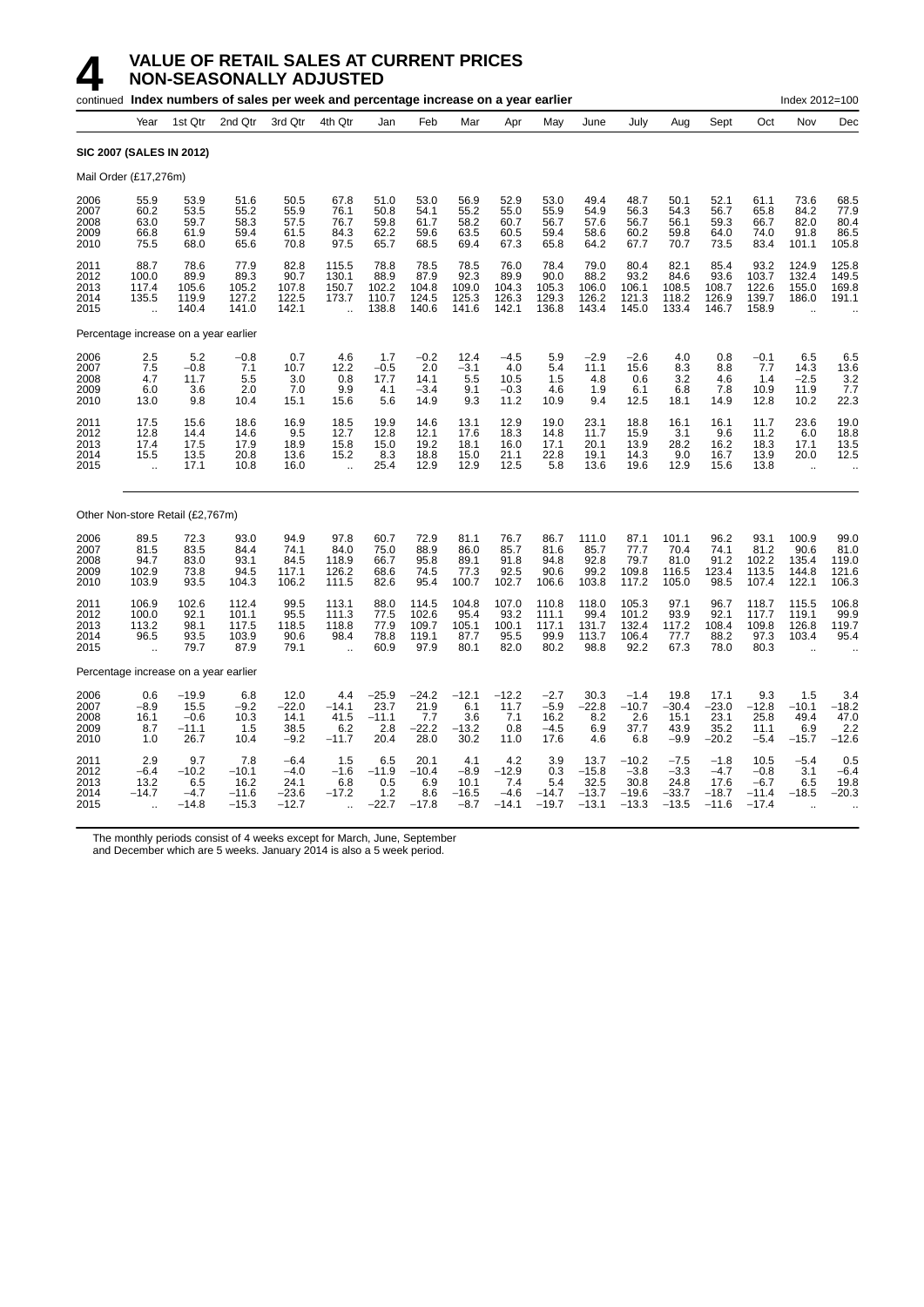| continued Index numbers of sales per week and percentage increase on a year earlier |                                                         |                                              |                                              |                                              |                                                         |                                           |                                           |                                            |                                            |                                          |                                               |                                                 |                                                | Index 2012=100                                 |                                                |                                                          |                                          |
|-------------------------------------------------------------------------------------|---------------------------------------------------------|----------------------------------------------|----------------------------------------------|----------------------------------------------|---------------------------------------------------------|-------------------------------------------|-------------------------------------------|--------------------------------------------|--------------------------------------------|------------------------------------------|-----------------------------------------------|-------------------------------------------------|------------------------------------------------|------------------------------------------------|------------------------------------------------|----------------------------------------------------------|------------------------------------------|
|                                                                                     | Year                                                    | 1st Qtr                                      | 2nd Qtr                                      | 3rd Qtr                                      | 4th Qtr                                                 | Jan                                       | Feb                                       | Mar                                        | Apr                                        | May                                      | June                                          | July                                            | Aug                                            | Sept                                           | Oct                                            | Nov                                                      | Dec                                      |
| <b>SIC 2007 (SALES IN 2012)</b>                                                     |                                                         |                                              |                                              |                                              |                                                         |                                           |                                           |                                            |                                            |                                          |                                               |                                                 |                                                |                                                |                                                |                                                          |                                          |
| Mail Order (£17,276m)                                                               |                                                         |                                              |                                              |                                              |                                                         |                                           |                                           |                                            |                                            |                                          |                                               |                                                 |                                                |                                                |                                                |                                                          |                                          |
| 2006<br>2007<br>2008<br>2009<br>2010                                                | 55.9<br>60.2<br>63.0<br>66.8<br>75.5                    | 53.9<br>53.5<br>59.7<br>61.9<br>68.0         | 51.6<br>55.2<br>58.3<br>59.4<br>65.6         | 50.5<br>55.9<br>57.5<br>61.5<br>70.8         | 67.8<br>76.1<br>76.7<br>84.3<br>97.5                    | 51.0<br>50.8<br>59.8<br>62.2<br>65.7      | 53.0<br>54.1<br>61.7<br>59.6<br>68.5      | 56.9<br>55.2<br>58.2<br>63.5<br>69.4       | 52.9<br>55.0<br>60.7<br>60.5<br>67.3       | 53.0<br>55.9<br>56.7<br>59.4<br>65.8     | 49.4<br>54.9<br>57.6<br>58.6<br>64.2          | 48.7<br>56.3<br>56.7<br>60.2<br>67.7            | 50.1<br>54.3<br>56.1<br>59.8<br>70.7           | 52.1<br>56.7<br>59.3<br>64.0<br>73.5           | 61.1<br>65.8<br>66.7<br>74.0<br>83.4           | 73.6<br>84.2<br>82.0<br>91.8<br>101.1                    | 68.5<br>77.9<br>80.4<br>86.5<br>105.8    |
| 2011<br>2012<br>2013<br>2014<br>2015                                                | 88.7<br>100.0<br>117.4<br>135.5<br>ä.                   | 78.6<br>89.9<br>105.6<br>119.9<br>140.4      | 77.9<br>89.3<br>105.2<br>127.2<br>141.0      | 82.8<br>90.7<br>107.8<br>122.5<br>142.1      | 115.5<br>130.1<br>150.7<br>173.7                        | 78.8<br>88.9<br>102.2<br>110.7<br>138.8   | 78.5<br>87.9<br>104.8<br>124.5<br>140.6   | 78.5<br>92.3<br>109.0<br>125.3<br>141.6    | 76.0<br>89.9<br>104.3<br>126.3<br>142.1    | 78.4<br>90.0<br>105.3<br>129.3<br>136.8  | 79.0<br>88.2<br>106.0<br>126.2<br>143.4       | 80.4<br>93.2<br>106.1<br>121.3<br>145.0         | 82.1<br>84.6<br>108.5<br>118.2<br>133.4        | 85.4<br>93.6<br>108.7<br>126.9<br>146.7        | 93.2<br>103.7<br>122.6<br>139.7<br>158.9       | 124.9<br>132.4<br>155.0<br>186.0                         | 125.8<br>149.5<br>169.8<br>191.1         |
|                                                                                     |                                                         |                                              | Percentage increase on a year earlier        |                                              |                                                         |                                           |                                           |                                            |                                            |                                          |                                               |                                                 |                                                |                                                |                                                |                                                          |                                          |
| 2006<br>2007<br>2008<br>2009<br>2010                                                | 2.5<br>7.5<br>4.7<br>6.0<br>13.0                        | 5.2<br>$-0.8$<br>11.7<br>3.6<br>9.8          | $-0.8$<br>7.1<br>5.5<br>2.0<br>10.4          | 0.7<br>10.7<br>3.0<br>7.0<br>15.1            | 4.6<br>12.2<br>0.8<br>9.9<br>15.6                       | 1.7<br>$-0.5$<br>17.7<br>4.1<br>5.6       | $-0.2$<br>2.0<br>14.1<br>$-3.4$<br>14.9   | 12.4<br>$-3.1$<br>5.5<br>9.1<br>9.3        | $-4.5$<br>4.0<br>10.5<br>$-0.3$<br>11.2    | 5.9<br>5.4<br>1.5<br>4.6<br>10.9         | $-2.9$<br>11.1<br>4.8<br>1.9<br>9.4           | $-2.6$<br>15.6<br>0.6<br>6.1<br>12.5            | 4.0<br>8.3<br>3.2<br>6.8<br>18.1               | 0.8<br>8.8<br>4.6<br>7.8<br>14.9               | $-0.1$<br>7.7<br>1.4<br>10.9<br>12.8           | 6.5<br>14.3<br>$-2.5$<br>11.9<br>10.2                    | 6.5<br>13.6<br>$\frac{3.2}{7.7}$<br>22.3 |
| 2011<br>2012<br>2013<br>2014<br>2015                                                | 17.5<br>12.8<br>17.4<br>15.5<br>$\ddot{\phantom{a}}$    | 15.6<br>14.4<br>17.5<br>13.5<br>17.1         | 18.6<br>14.6<br>17.9<br>20.8<br>10.8         | 16.9<br>9.5<br>18.9<br>13.6<br>16.0          | 18.5<br>12.7<br>15.8<br>15.2<br>$\ddot{\phantom{1}}$    | 19.9<br>12.8<br>15.0<br>8.3<br>25.4       | 14.6<br>12.1<br>19.2<br>18.8<br>12.9      | 13.1<br>17.6<br>18.1<br>15.0<br>12.9       | 12.9<br>18.3<br>16.0<br>21.1<br>12.5       | 19.0<br>14.8<br>17.1<br>22.8<br>5.8      | 23.1<br>11.7<br>20.1<br>19.1<br>13.6          | 18.8<br>15.9<br>13.9<br>14.3<br>19.6            | 16.1<br>3.1<br>28.2<br>9.0<br>12.9             | 16.1<br>9.6<br>16.2<br>16.7<br>15.6            | 11.7<br>11.2<br>18.3<br>13.9<br>13.8           | 23.6<br>6.0<br>17.1<br>20.0<br>$\bar{\mathbf{r}}$        | 19.0<br>18.8<br>13.5<br>12.5             |
|                                                                                     |                                                         | Other Non-store Retail (£2,767m)             |                                              |                                              |                                                         |                                           |                                           |                                            |                                            |                                          |                                               |                                                 |                                                |                                                |                                                |                                                          |                                          |
| 2006<br>2007<br>2008<br>2009<br>2010                                                | 89.5<br>81.5<br>94.7<br>102.9<br>103.9                  | 72.3<br>83.5<br>83.0<br>73.8<br>93.5         | 93.0<br>84.4<br>93.1<br>94.5<br>104.3        | 94.9<br>74.1<br>84.5<br>117.1<br>106.2       | 97.8<br>84.0<br>118.9<br>126.2<br>111.5                 | 60.7<br>75.0<br>66.7<br>68.6<br>82.6      | 72.9<br>88.9<br>95.8<br>74.5<br>95.4      | 81.1<br>86.0<br>89.1<br>77.3<br>100.7      | 76.7<br>85.7<br>91.8<br>92.5<br>102.7      | 86.7<br>81.6<br>94.8<br>90.6<br>106.6    | 111.0<br>85.7<br>92.8<br>99.2<br>103.8        | 87.1<br>77.7<br>79.7<br>109.8<br>117.2          | 101.1<br>70.4<br>81.0<br>116.5<br>105.0        | 96.2<br>74.1<br>91.2<br>123.4<br>98.5          | 93.1<br>81.2<br>102.2<br>113.5<br>107.4        | 100.9<br>90.6<br>135.4<br>144.8<br>122.1                 | 99.0<br>81.0<br>119.0<br>121.6<br>106.3  |
| 2011<br>2012<br>2013<br>2014<br>2015                                                | 106.9<br>100.0<br>113.2<br>96.5<br>$\ddot{\phantom{a}}$ | 102.6<br>92.1<br>98.1<br>93.5<br>79.7        | 112.4<br>101.1<br>117.5<br>103.9<br>87.9     | 99.5<br>95.5<br>118.5<br>90.6<br>79.1        | 113.1<br>111.3<br>118.8<br>98.4<br>$\ddot{\phantom{a}}$ | 88.0<br>77.5<br>77.9<br>78.8<br>60.9      | 114.5<br>102.6<br>109.7<br>119.1<br>97.9  | 104.8<br>95.4<br>105.1<br>87.7<br>80.1     | 107.0<br>93.2<br>100.1<br>95.5<br>82.0     | 110.8<br>111.1<br>117.1<br>99.9<br>80.2  | 118.0<br>99.4<br>131.7<br>113.7<br>98.8       | 105.3<br>101.2<br>132.4<br>106.4<br>92.2        | 97.1<br>93.9<br>117.2<br>77.7<br>67.3          | 96.7<br>92.1<br>108.4<br>88.2<br>78.0          | 118.7<br>117.7<br>109.8<br>97.3<br>80.3        | 115.5<br>119.1<br>126.8<br>103.4<br>$\ddot{\phantom{a}}$ | 106.8<br>99.9<br>119.7<br>95.4           |
|                                                                                     |                                                         |                                              | Percentage increase on a year earlier        |                                              |                                                         |                                           |                                           |                                            |                                            |                                          |                                               |                                                 |                                                |                                                |                                                |                                                          |                                          |
| 2006<br>2007<br>2008<br>2009<br>2010                                                | 0.6<br>$-8.9$<br>16.1<br>8.7<br>1.0                     | $-19.9$<br>15.5<br>$-0.6$<br>$-11.1$<br>26.7 | 6.8<br>$-9.2$<br>10.3<br>1.5<br>10.4         | 12.0<br>$-22.0$<br>14.1<br>38.5<br>$-9.2$    | 4.4<br>$-14.1$<br>41.5<br>6.2<br>$-11.7$                | $-25.9$<br>23.7<br>$-11.1$<br>2.8<br>20.4 | $-24.2$<br>21.9<br>7.7<br>$-22.2$<br>28.0 | $-12.1$<br>6.1<br>3.6<br>$-13.2$<br>30.2   | $-12.2$<br>11.7<br>7.1<br>0.8<br>11.0      | $-2.7$<br>$-5.9$<br>16.2<br>-4.5<br>17.6 | 30.3<br>$-22.8$<br>8.2<br>6.9<br>4.6          | $-1.4$<br>$-10.7$<br>2.6<br>37.7<br>6.8         | 19.8<br>$-30.4$<br>15.1<br>43.9<br>$-9.9$      | 17.1<br>$-23.0$<br>23.1<br>35.2<br>$-20.2$     | 9.3<br>$-12.8$<br>25.8<br>11.1<br>$-5.4$       | 1.5<br>$-10.1$<br>49.4<br>6.9<br>$-15.7$                 | $-18.2$<br>47.0<br>2.2<br>$-12.6$        |
| 2011<br>2012<br>2013<br>2014<br>2015                                                | 2.9<br>$-6.4$<br>13.2<br>$-14.7$                        | 9.7<br>$-10.2$<br>6.5<br>$-4.7$<br>-14.8     | 7.8<br>$-10.1$<br>16.2<br>$-11.6$<br>$-15.3$ | $-6.4$<br>$-4.0$<br>24.1<br>$-23.6$<br>–12.7 | 1.5<br>$-1.6$<br>6.8<br>$-17.2$<br>$\ddot{\phantom{a}}$ | 6.5<br>$-11.9$<br>0.5<br>1.2<br>$-22.7$   | 20.1<br>$-10.4$<br>6.9<br>8.6<br>$-17.8$  | 4.1<br>$-8.9$<br>10.1<br>$-16.5$<br>$-8.7$ | 4.2<br>$-12.9$<br>7.4<br>$-4.6$<br>$-14.1$ | 3.9<br>0.3<br>5.4<br>$-14.7$<br>$-19.7$  | 13.7<br>$-15.8$<br>32.5<br>$-13.7$<br>$-13.1$ | $-10.2$<br>$-3.8$<br>30.8<br>$-19.6$<br>$-13.3$ | $-7.5$<br>$-3.3$<br>24.8<br>$-33.7$<br>$-13.5$ | $-1.8$<br>$-4.7$<br>17.6<br>$-18.7$<br>$-11.6$ | 10.5<br>$-0.8$<br>$-6.7$<br>$-11.4$<br>$-17.4$ | $-5.4$<br>3.1<br>6.5<br>$-18.5$                          | 0.5<br>$-6.4$<br>19.8<br>$-20.3$         |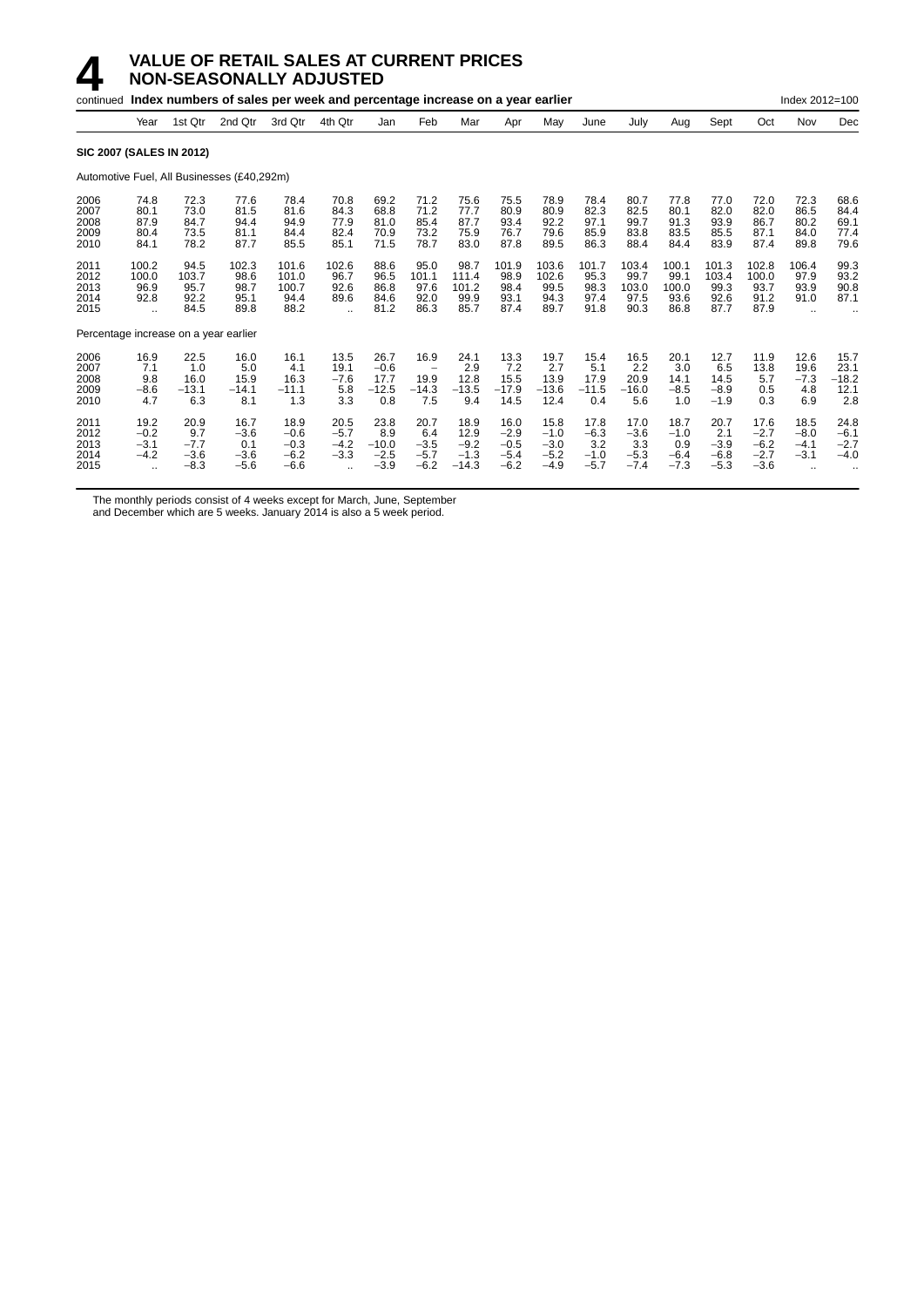|                                       |                                                        |                                           | continued Index numbers of sales per week and percentage increase on a year earlier |                                              |                                                            |                                            |                                           |                                             |                                              |                                              |                                           |                                           |                                           |                                           |                                              | Index 2012=100                       |                                        |
|---------------------------------------|--------------------------------------------------------|-------------------------------------------|-------------------------------------------------------------------------------------|----------------------------------------------|------------------------------------------------------------|--------------------------------------------|-------------------------------------------|---------------------------------------------|----------------------------------------------|----------------------------------------------|-------------------------------------------|-------------------------------------------|-------------------------------------------|-------------------------------------------|----------------------------------------------|--------------------------------------|----------------------------------------|
|                                       | Year                                                   | 1st Qtr                                   | 2nd Qtr                                                                             | 3rd Qtr                                      | 4th Qtr                                                    | Jan                                        | Feb                                       | Mar                                         | Apr                                          | May                                          | June                                      | July                                      | Aug                                       | Sept                                      | Oct                                          | Nov                                  | Dec                                    |
| <b>SIC 2007 (SALES IN 2012)</b>       |                                                        |                                           |                                                                                     |                                              |                                                            |                                            |                                           |                                             |                                              |                                              |                                           |                                           |                                           |                                           |                                              |                                      |                                        |
|                                       |                                                        |                                           | Automotive Fuel, All Businesses (£40,292m)                                          |                                              |                                                            |                                            |                                           |                                             |                                              |                                              |                                           |                                           |                                           |                                           |                                              |                                      |                                        |
| 2006<br>2007<br>2008<br>2009<br>2010  | 74.8<br>80.1<br>87.9<br>80.4<br>84.1                   | 72.3<br>73.0<br>84.7<br>73.5<br>78.2      | 77.6<br>81.5<br>94.4<br>81.1<br>87.7                                                | 78.4<br>81.6<br>94.9<br>84.4<br>85.5         | 70.8<br>84.3<br>77.9<br>82.4<br>85.1                       | 69.2<br>68.8<br>81.0<br>70.9<br>71.5       | 71.2<br>71.2<br>85.4<br>73.2<br>78.7      | 75.6<br>77.7<br>87.7<br>75.9<br>83.0        | 75.5<br>80.9<br>93.4<br>76.7<br>87.8         | 78.9<br>80.9<br>92.2<br>79.6<br>89.5         | 78.4<br>82.3<br>97.1<br>85.9<br>86.3      | 80.7<br>82.5<br>99.7<br>83.8<br>88.4      | 77.8<br>80.1<br>91.3<br>83.5<br>84.4      | 77.0<br>82.0<br>93.9<br>85.5<br>83.9      | 72.0<br>82.0<br>86.7<br>87.1<br>87.4         | 72.3<br>86.5<br>80.2<br>84.0<br>89.8 | 68.6<br>84.4<br>69.1<br>77.4<br>79.6   |
| 2011<br>2012<br>2013<br>2014<br>2015  | 100.2<br>100.0<br>96.9<br>92.8<br>$\ddot{\phantom{a}}$ | 94.5<br>103.7<br>95.7<br>92.2<br>84.5     | 102.3<br>98.6<br>98.7<br>95.1<br>89.8                                               | 101.6<br>101.0<br>100.7<br>94.4<br>88.2      | 102.6<br>96.7<br>92.6<br>89.6<br>$\ddot{\phantom{a}}$      | 88.6<br>96.5<br>86.8<br>84.6<br>81.2       | 95.0<br>101.1<br>97.6<br>92.0<br>86.3     | 98.7<br>111.4<br>101.2<br>99.9<br>85.7      | 101.9<br>98.9<br>98.4<br>93.1<br>87.4        | 103.6<br>102.6<br>99.5<br>94.3<br>89.7       | 101.7<br>95.3<br>98.3<br>97.4<br>91.8     | 103.4<br>99.7<br>103.0<br>97.5<br>90.3    | 100.1<br>99.1<br>100.0<br>93.6<br>86.8    | 101.3<br>103.4<br>99.3<br>92.6<br>87.7    | 102.8<br>100.0<br>93.7<br>91.2<br>87.9       | 106.4<br>97.9<br>93.9<br>91.0        | 99.3<br>93.2<br>90.8<br>87.1           |
| Percentage increase on a year earlier |                                                        |                                           |                                                                                     |                                              |                                                            |                                            |                                           |                                             |                                              |                                              |                                           |                                           |                                           |                                           |                                              |                                      |                                        |
| 2006<br>2007<br>2008<br>2009<br>2010  | 16.9<br>7.1<br>9.8<br>$-8.6$<br>4.7                    | 22.5<br>1.0<br>16.0<br>$-13.1$<br>6.3     | 16.0<br>5.0<br>15.9<br>$-14.1$<br>8.1                                               | 16.1<br>4.1<br>16.3<br>$-11.1$<br>1.3        | 13.5<br>19.1<br>$-7.6$<br>5.8<br>3.3                       | 26.7<br>$-0.6$<br>17.7<br>$-12.5$<br>0.8   | 16.9<br>19.9<br>$-14.3$<br>7.5            | 24.1<br>2.9<br>12.8<br>$-13.5$<br>9.4       | 13.3<br>7.2<br>15.5<br>$-17.9$<br>14.5       | 19.7<br>2.7<br>13.9<br>$-13.6$<br>12.4       | 15.4<br>5.1<br>17.9<br>$-11.5$<br>0.4     | 16.5<br>2.2<br>20.9<br>$-16.0$<br>5.6     | 20.1<br>3.0<br>14.1<br>$-8.5$<br>1.0      | 12.7<br>6.5<br>14.5<br>$-8.9$<br>$-1.9$   | 11.9<br>13.8<br>5.7<br>0.5<br>0.3            | 12.6<br>19.6<br>$-7.3$<br>4.8<br>6.9 | 15.7<br>23.1<br>$-18.2$<br>12.1<br>2.8 |
| 2011<br>2012<br>2013<br>2014<br>2015  | 19.2<br>$-0.2$<br>$-3.1$<br>$-4.2$<br>٠.               | 20.9<br>9.7<br>$-7.7$<br>$-3.6$<br>$-8.3$ | 16.7<br>$-3.6$<br>0.1<br>$-3.6$<br>$-5.6$                                           | 18.9<br>$-0.6$<br>$-0.3$<br>$-6.2$<br>$-6.6$ | 20.5<br>$-5.7$<br>$-4.2$<br>$-3.3$<br>$\ddot{\phantom{a}}$ | 23.8<br>8.9<br>$-10.0$<br>$-2.5$<br>$-3.9$ | 20.7<br>6.4<br>$-3.5$<br>$-5.7$<br>$-6.2$ | 18.9<br>12.9<br>$-9.2$<br>$-1.3$<br>$-14.3$ | 16.0<br>$-2.9$<br>$-0.5$<br>$-5.4$<br>$-6.2$ | 15.8<br>$-1.0$<br>$-3.0$<br>$-5.2$<br>$-4.9$ | 17.8<br>$-6.3$<br>3.2<br>$-1.0$<br>$-5.7$ | 17.0<br>$-3.6$<br>3.3<br>$-5.3$<br>$-7.4$ | 18.7<br>$-1.0$<br>0.9<br>$-6.4$<br>$-7.3$ | 20.7<br>2.1<br>$-3.9$<br>$-6.8$<br>$-5.3$ | 17.6<br>$-2.7$<br>$-6.2$<br>$-2.7$<br>$-3.6$ | 18.5<br>$-8.0$<br>$-4.1$<br>$-3.1$   | 24.8<br>$-6.1$<br>$-2.7$<br>$-4.0$     |

The monthly periods consist of 4 weeks except for March, June, September

and December which are 5 weeks. January 2014 is also a 5 week period.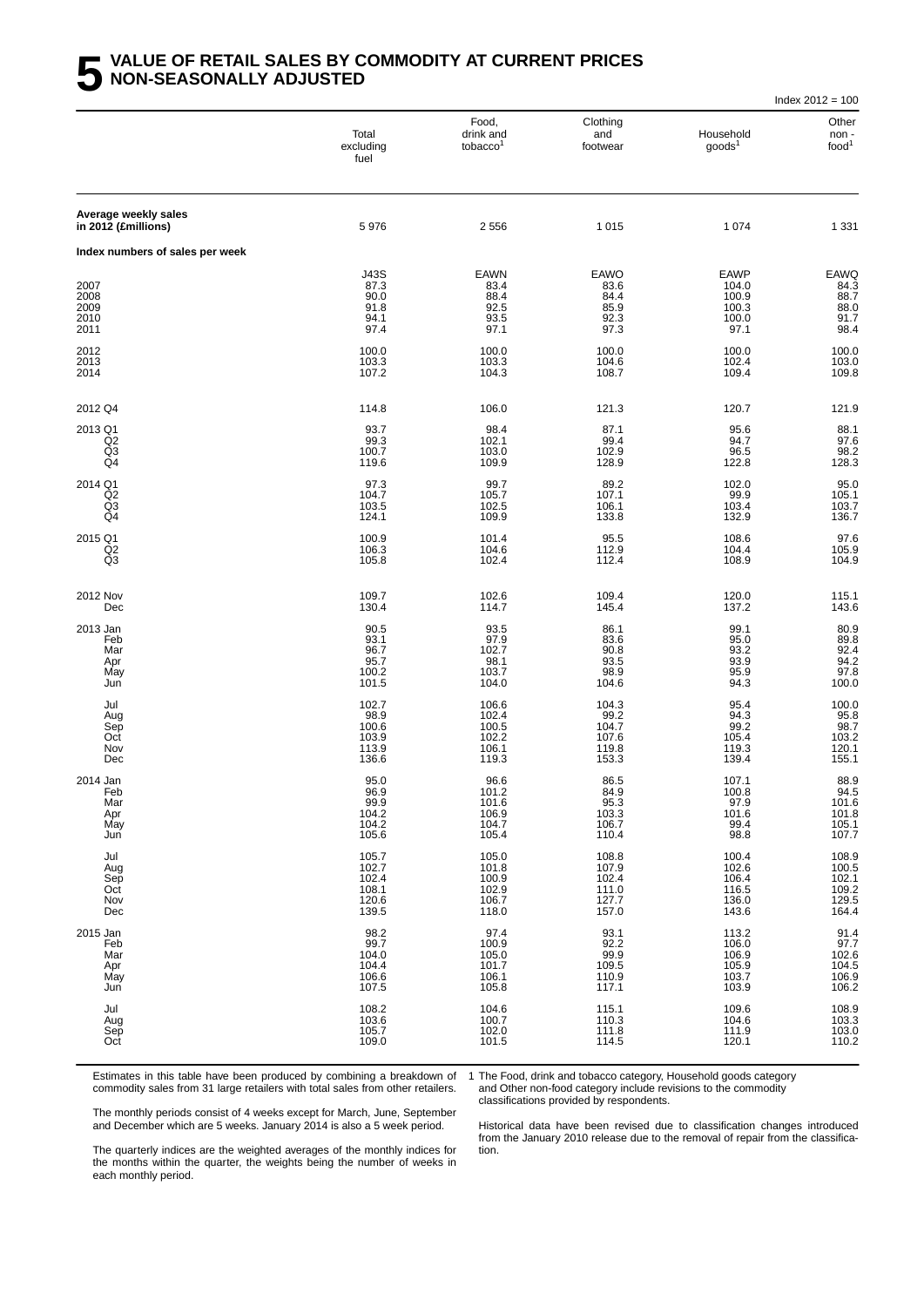|                                             |                                                    |                                                     |                                                    |                                                         | Index $2012 = 100$                                 |
|---------------------------------------------|----------------------------------------------------|-----------------------------------------------------|----------------------------------------------------|---------------------------------------------------------|----------------------------------------------------|
|                                             | Total<br>excluding<br>fuel                         | Food,<br>drink and<br>tobacco <sup>1</sup>          | Clothing<br>and<br>footwear                        | Household<br>goods <sup>1</sup>                         | Other<br>non-<br>food <sup>1</sup>                 |
| Average weekly sales<br>in 2012 (£millions) | 5976                                               | 2 5 5 6                                             | 1015                                               | 1 0 7 4                                                 | 1 3 3 1                                            |
| Index numbers of sales per week             |                                                    |                                                     |                                                    |                                                         |                                                    |
| 2007<br>2008<br>2009<br>2010<br>2011        | J43S<br>87.3<br>90.0<br>91.8<br>94.1<br>97.4       | <b>EAWN</b><br>83.4<br>88.4<br>92.5<br>93.5<br>97.1 | EAWO<br>83.6<br>84.4<br>85.9<br>92.3<br>97.3       | <b>EAWP</b><br>104.0<br>100.9<br>100.3<br>100.0<br>97.1 | EAWQ<br>84.3<br>88.7<br>88.0<br>91.7<br>98.4       |
| 2012<br>2013<br>2014                        | 100.0<br>103.3<br>107.2                            | 100.0<br>103.3<br>104.3                             | 100.0<br>104.6<br>108.7                            | 100.0<br>102.4<br>109.4                                 | 100.0<br>103.0<br>109.8                            |
| 2012 Q4                                     | 114.8                                              | 106.0                                               | 121.3                                              | 120.7                                                   | 121.9                                              |
| 2013 Q1<br>Q <sub>2</sub><br>Q3<br>Q4       | 93.7<br>99.3<br>100.7<br>119.6                     | 98.4<br>102.1<br>103.0<br>109.9                     | 87.1<br>99.4<br>102.9<br>128.9                     | 95.6<br>94.7<br>96.5<br>122.8                           | 88.1<br>97.6<br>98.2<br>128.3                      |
| 2014 Q1<br>Q2<br>Q3<br>Q4                   | 97.3<br>104.7<br>103.5<br>124.1                    | 99.7<br>105.7<br>102.5<br>109.9                     | 89.2<br>107.1<br>106.1<br>133.8                    | 102.0<br>99.9<br>103.4<br>132.9                         | 95.0<br>105.1<br>103.7<br>136.7                    |
| 2015 Q1<br>Q <sub>2</sub><br>Q3             | 100.9<br>106.3<br>105.8                            | 101.4<br>104.6<br>102.4                             | 95.5<br>112.9<br>112.4                             | 108.6<br>104.4<br>108.9                                 | 97.6<br>105.9<br>104.9                             |
| 2012 Nov<br>Dec                             | 109.7<br>130.4                                     | 102.6<br>114.7                                      | 109.4<br>145.4                                     | 120.0<br>137.2                                          | 115.1<br>143.6                                     |
| 2013 Jan<br>Feb<br>Mar<br>Apr<br>May<br>Jun | 90.5<br>93.1<br>96.7<br>95.7<br>100.2<br>101.5     | 93.5<br>97.9<br>102.7<br>98.1<br>103.7<br>104.0     | 86.1<br>83.6<br>90.8<br>93.5<br>98.9<br>104.6      | 99.1<br>$95.0$<br>$93.2$<br>$93.9$<br>95.9<br>94.3      | 80.9<br>89.8<br>92.4<br>94.2<br>97.8<br>100.0      |
| Jul<br>Aug<br>Sep<br>Oct<br>Nov<br>Dec      | 102.7<br>98.9<br>100.6<br>103.9<br>113.9<br>136.6  | 106.6<br>102.4<br>100.5<br>102.2<br>106.1<br>119.3  | 104.3<br>99.2<br>104.7<br>107.6<br>119.8<br>153.3  | 95.4<br>94.3<br>99.2<br>105.4<br>119.3<br>139.4         | 100.0<br>95.8<br>98.7<br>103.2<br>120.1<br>155.1   |
| 2014 Jan<br>Feb<br>Mar<br>Apr<br>May<br>Jun | 95.0<br>96.9<br>99.9<br>104.2<br>104.2<br>105.6    | 96.6<br>101.2<br>101.6<br>106.9<br>104.7<br>105.4   | 86.5<br>84.9<br>95.3<br>103.3<br>106.7<br>110.4    | 107.1<br>100.8<br>97.9<br>$\frac{101.6}{99.4}$<br>98.8  | 88.9<br>94.5<br>101.6<br>101.8<br>105.1<br>107.7   |
| Jul<br>Aug<br>Sep<br>Oct<br>Nov<br>Dec      | 105.7<br>102.7<br>102.4<br>108.1<br>120.6<br>139.5 | 105.0<br>101.8<br>100.9<br>102.9<br>106.7<br>118.0  | 108.8<br>107.9<br>102.4<br>111.0<br>127.7<br>157.0 | 100.4<br>102.6<br>106.4<br>116.5<br>136.0<br>143.6      | 108.9<br>100.5<br>102.1<br>109.2<br>129.5<br>164.4 |
| 2015 Jan<br>Feb<br>Mar<br>Apr<br>May<br>Jun | 98.2<br>99.7<br>104.0<br>104.4<br>106.6<br>107.5   | 97.4<br>100.9<br>105.0<br>101.7<br>106.1<br>105.8   | 93.1<br>92.2<br>99.9<br>109.5<br>110.9<br>117.1    | 113.2<br>106.0<br>106.9<br>105.9<br>103.7<br>103.9      | 91.4<br>97.7<br>102.6<br>104.5<br>106.9<br>106.2   |
| Jul<br>Aug<br>Sep<br>Oct                    | 108.2<br>103.6<br>105.7<br>109.0                   | 104.6<br>100.7<br>102.0<br>101.5                    | 115.1<br>110.3<br>111.8<br>114.5                   | 109.6<br>104.6<br>111.9<br>120.1                        | 108.9<br>103.3<br>103.0<br>110.2                   |

Estimates in this table have been produced by combining a breakdown of commodity sales from 31 large retailers with total sales from other retailers.

1 The Food, drink and tobacco category, Household goods category

and Other non-food category include revisions to the commodity classifications provided by respondents.

The monthly periods consist of 4 weeks except for March, June, September and December which are 5 weeks. January 2014 is also a 5 week period.

Historical data have been revised due to classification changes introduced from the Januar y 2010 release due to the removal of repair from the classification.

The quarterly indices are the weighted averages of the monthly indices for the months within the quarter, the weights being the number of weeks in each monthly period.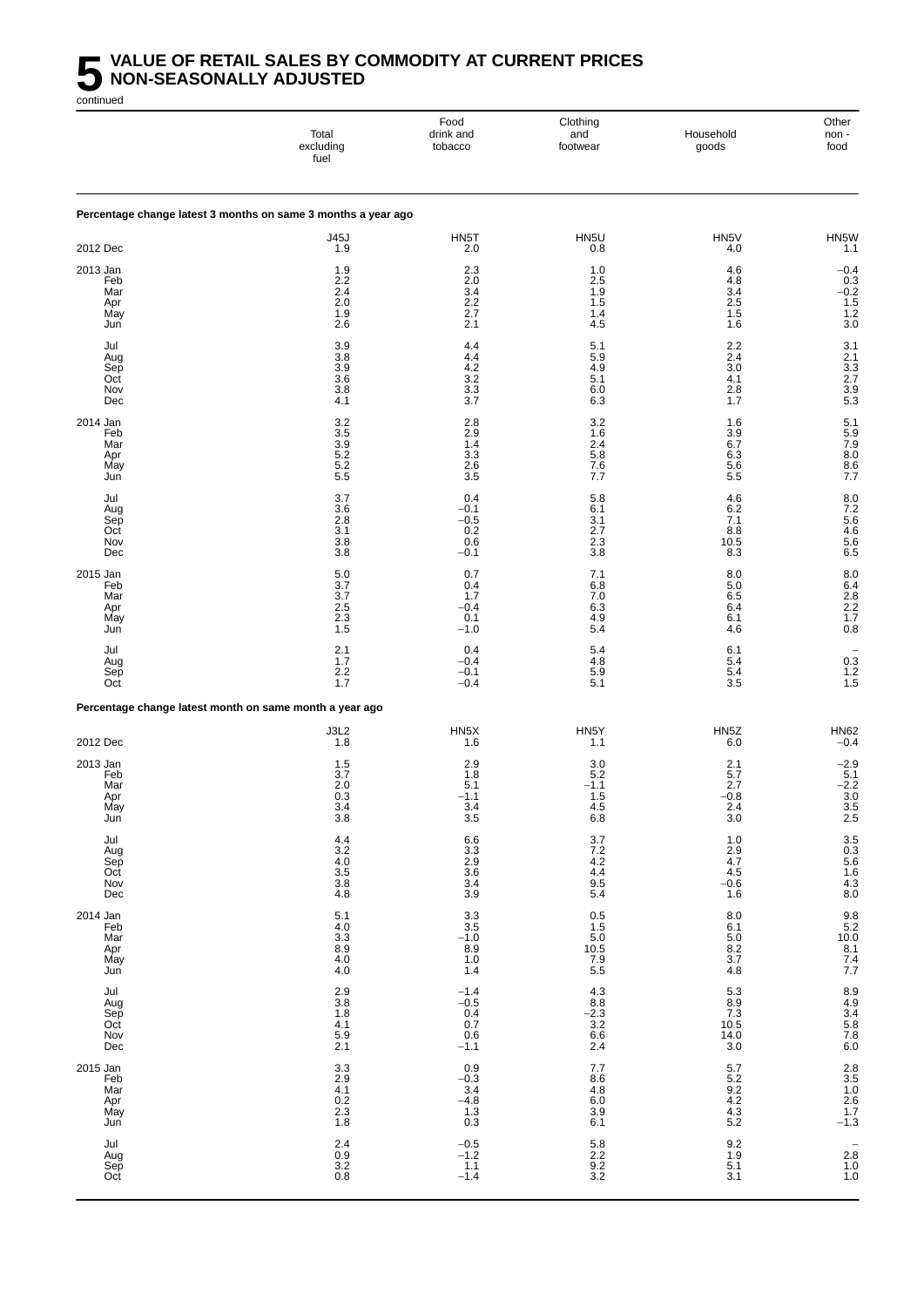## **5** VALUE OF RETAIL SALES BY COMMODITY AT CURRENT PRICES<br>MON-SEASONALLY ADJUSTED<br>continued **NON-SEASONALLY ADJUSTED**

|                                             | Total<br>excluding<br>fuel                                                    | Food<br>drink and<br>tobacco                           | Clothing<br>and<br>footwear                         | Household<br>goods                                                           | Other<br>non-<br>food                                      |
|---------------------------------------------|-------------------------------------------------------------------------------|--------------------------------------------------------|-----------------------------------------------------|------------------------------------------------------------------------------|------------------------------------------------------------|
|                                             | Percentage change latest 3 months on same 3 months a year ago                 |                                                        |                                                     |                                                                              |                                                            |
| 2012 Dec                                    | J45J<br>1.9                                                                   | HN5T<br>2.0                                            | HN <sub>5U</sub><br>0.8                             | HN5V<br>4.0                                                                  | HN5W<br>1.1                                                |
| 2013 Jan<br>Feb<br>Mar<br>Apr<br>May<br>Jun | 1.9<br>2.2<br>2.4<br>2.0<br>1.9<br>2.6                                        | 2.3<br>2.0<br>3.4<br>2.2<br>2.7<br>2.1                 | 1.0<br>2.5<br>$1.9$<br>$1.5$<br>1.4<br>4.5          | 4.6<br>4.8<br>3.4<br>2.5<br>1.5<br>1.6                                       | $-0.4$<br>$0.3 - 0.2$<br>$-0.2$<br>$1.5$<br>$1.2$<br>$3.0$ |
| Jul<br>Aug<br>Sep<br>Oct<br>Nov<br>Dec      | $\frac{3.9}{3.8}$<br>$\frac{3.9}{3.6}$<br>3.8<br>4.1                          | 4.4<br>4.4<br>4.2<br>$\frac{3.2}{3.3}$<br>3.7          | 5.1<br>5.9<br>4.9<br>5.1<br>6.0<br>6.3              | 2.2<br>2.4<br>3.0<br>4.1<br>2.8<br>1.7                                       | 31<br>21<br>33<br>27<br>39<br>53                           |
| 2014 Jan<br>Feb<br>Mar<br>Apr<br>May<br>Jun | $\begin{array}{c} 3.2 \\ 3.5 \end{array}$<br>$3.9$<br>$5.2$<br>$5.2$<br>$5.5$ | 2.8<br>2.9<br>1.4<br>$\frac{3.3}{2.6}$<br>3.5          | $3.2$<br>$1.6$<br>2.4<br>5.8<br>7.6<br>7.7          | 1.6<br>3.9<br>6.7<br>6.3<br>5.6<br>5.5                                       | 5.1<br>5.9<br>7.9<br>8.0<br>8.6<br>7.7                     |
| Jul<br>Aug<br>Sep<br>Oct<br>Nov<br>Dec      | 3.7<br>36<br>2.8<br>3.1<br>3.8<br>3.8                                         | 0.4<br>$-0.1$<br>$-0.5$<br>0.2<br>0.6<br>$-0.1$        | 5.8<br>6.1<br>3.1<br>2.7<br>2.3<br>3.8              | 4.6<br>6.2<br>7.1<br>8.8<br>10.5<br>8.3                                      | 8.0<br>7.2<br>5.6<br>4.6<br>5.6<br>6.5                     |
| 2015 Jan<br>Feb<br>Mar<br>Apr<br>May<br>Jun | 5.0<br>3.7<br>3.7<br>$\frac{2.5}{2.3}$<br>1.5                                 | 0.7<br>0.4<br>1.7<br>$-0.4$<br>0.1<br>$-1.0$           | 7.1<br>6.8<br>7.0<br>6.3<br>4.9<br>5.4              | 8.0<br>5.0<br>6.5<br>6.4<br>6.1<br>4.6                                       | 8.0<br>6.4<br>2.8<br>2.2<br>1.7<br>0.8                     |
| Jul<br>Aug<br>Sep<br>Oct                    | 2.1<br>1.7<br>$2.2$<br>1.7                                                    | 0.4<br>$-0.4$<br>$-0.1$<br>$-0.4$                      | 5.4<br>4.8<br>5.9<br>5.1                            | 6.1<br>5.4<br>5.4<br>3.5                                                     | $\begin{array}{c} 0.3 \\ 1.2 \\ 1.5 \end{array}$           |
|                                             | Percentage change latest month on same month a year ago                       |                                                        |                                                     |                                                                              |                                                            |
| 2012 Dec                                    | J3L2<br>1.8                                                                   | HN <sub>5</sub> X<br>1.6                               | HN <sub>5</sub> Y<br>1.1                            | HN <sub>5</sub> Z<br>6.0                                                     | <b>HN62</b><br>$-0.4$                                      |
| 2013 Jan<br>Feb<br>Mar<br>Apr<br>May<br>Jun | 1.5<br>3.7<br>2.0<br>0.3<br>3.4<br>3.8                                        | 2.9<br>1.8<br>5.1<br>$-1.1$<br>3.4<br>3.5              | 3.0<br>5.2<br>$-1.1$<br>1.5<br>4.5<br>6.8           | 2.1<br>5.7<br>2.7<br>$-0.8$<br>2.4<br>3.0                                    | $-2.9$<br>5.1<br>$-2.2$<br>3.0<br>$\frac{3.5}{2.5}$        |
| Jul<br>Aug<br>Sep<br>Oct<br>Nov<br>Dec      | $4.4$<br>$3.2$<br>$4.0$<br>$3.5$<br>$3.8$<br>$4.8$                            | 6.6<br>3.3<br>2.9<br>3.4<br>3.4<br>3.9                 | 3.7<br>7.2<br>4.2<br>4.4<br>9.5<br>5.4              | $\begin{array}{c} 1.0 \\ 2.9 \\ 4.7 \end{array}$<br>4.5<br>$-0.6$<br>1.6     | 3.5<br>0.3<br>5.6<br>5.6<br>4.3<br>8.0                     |
| 2014 Jan<br>Feb<br>Mar<br>Apr<br>May<br>Jun | $\begin{array}{c} 5.1 \\ 4.0 \\ 3.3 \end{array}$<br>$8.9$<br>$4.0$<br>$4.0$   | $3.3$<br>$3.5$<br>$-1.0$<br>$8.9$<br>1.0<br>1.4        | $0.5$<br>1.5<br>5.0<br>10.5<br>7.9<br>5.5           | $\begin{array}{c} 8.0 \\ 6.1 \\ 5.0 \end{array}$<br>$\frac{8.2}{3.7}$<br>4.8 | $9.8$<br>$5.2$<br>$10.0$<br>$8.1$<br>$7.4$<br>$7.7$        |
| Jul<br>Aug<br>Sep<br>Oct<br>Nov<br>Dec      | $\frac{2.9}{3.8}$<br>1.8<br>$\frac{4.1}{5.9}$<br>2.1                          | $-1.4$<br>$-0.5$<br>$0.4$<br>$0.7$<br>$0.6$<br>$-1.1$  | $4.3$<br>$8.8$<br>$-2.3$<br>$3.2$<br>$6.6$<br>2.4   | 5.3<br>8.9<br>7.3<br>10.5<br>14.0<br>$3.0\,$                                 | 8.9<br>4.9<br>3.4<br>5.8<br>5.8<br>6.0                     |
| 2015 Jan<br>Feb<br>Mar<br>Apr<br>May<br>Jun | $3.3\,$<br>$2.9$<br>4.1<br>0.2<br>$\frac{2.3}{1.8}$                           | $-0.9$<br>$-0.3$<br>3.4<br>$-4.8$<br>$\frac{1.3}{0.3}$ | 7.7<br>$8.6$<br>$4.8$<br>$6.0$<br>$\frac{3.9}{6.1}$ | 5.7<br>$\frac{5.2}{9.2}$<br>4.2<br>$\frac{4.3}{5.2}$                         | $2.8$<br>$3.5$<br>$1.0$<br>$2.6$<br>$1.7$<br>$-1.3$        |
| Jul<br>Aug<br>Sep<br>Oct                    | $2.4$<br>0.9<br>3.2<br>0.8                                                    | $-0.5$<br>$-1.2$<br>$1.1$<br>$-1.4$                    | 5.8<br>2.2<br>9.2<br>3.2                            | $\begin{array}{c} 9.2 \\ 1.9 \\ 5.1 \end{array}$<br>3.1                      | $2.\overline{8}$<br>1.0<br>1.0                             |

continued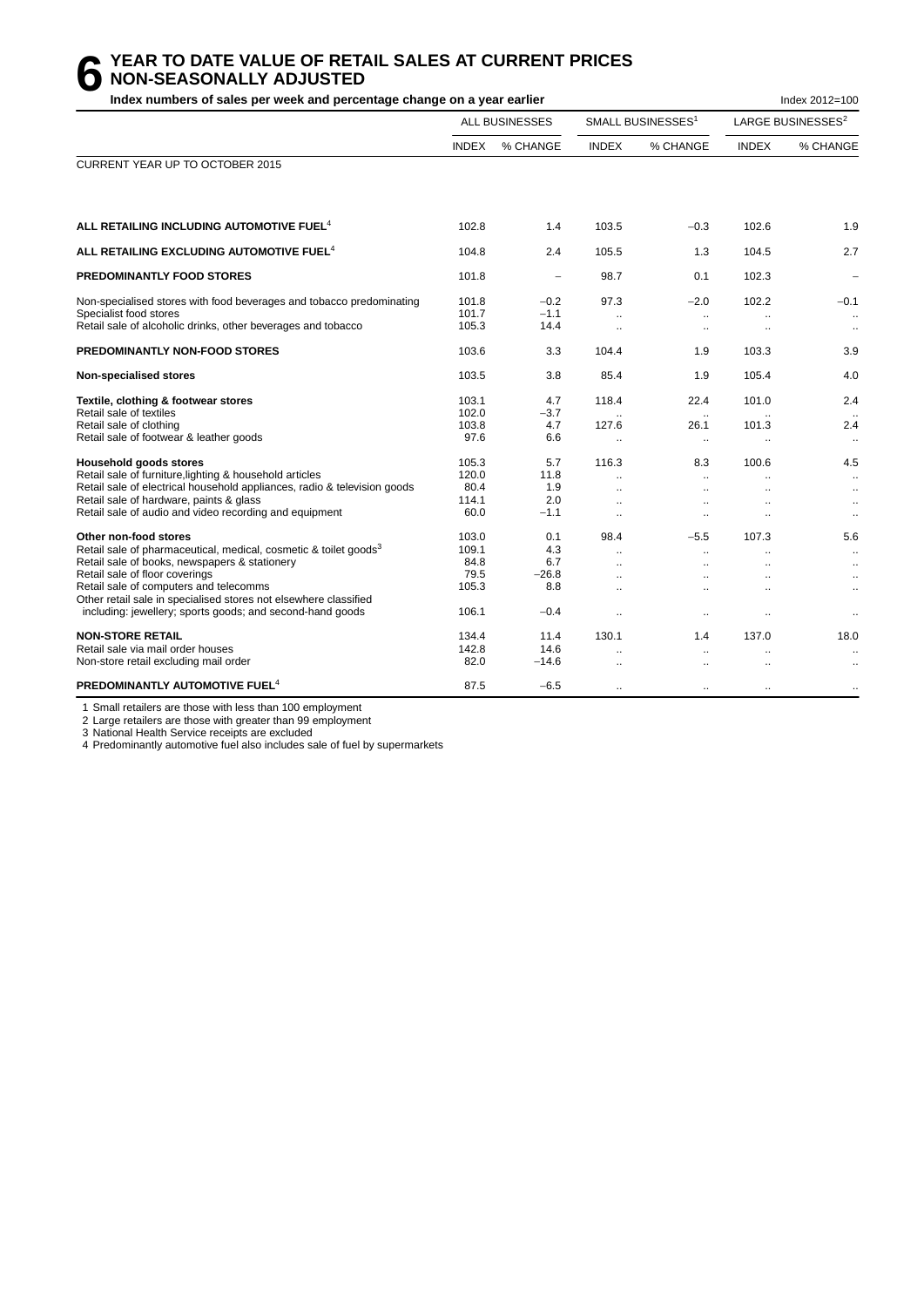# **6** YEAR TO DATE VALUE OF RETAIL SALES AT CURRENT PRICES<br> **6** NON-SEASONALLY ADJUSTED<br>
Index numbers of sales per week and percentage change on a vear earlier **NON-SEASONALLY ADJUSTED**

**Index numbers of sales per week and percentage change on a year earlier Index 2012 and Sharehouse 2012=100** 

|                                                                                                                                                                                                                                                                                                                                                                     |                                                  | <b>ALL BUSINESSES</b>                         |                                                                                                       | SMALL BUSINESSES <sup>1</sup>                                                                       |                 | LARGE BUSINESSES <sup>2</sup>                                                 |
|---------------------------------------------------------------------------------------------------------------------------------------------------------------------------------------------------------------------------------------------------------------------------------------------------------------------------------------------------------------------|--------------------------------------------------|-----------------------------------------------|-------------------------------------------------------------------------------------------------------|-----------------------------------------------------------------------------------------------------|-----------------|-------------------------------------------------------------------------------|
|                                                                                                                                                                                                                                                                                                                                                                     | <b>INDEX</b>                                     | % CHANGE                                      | <b>INDEX</b>                                                                                          | % CHANGE                                                                                            | <b>INDEX</b>    | % CHANGE                                                                      |
| CURRENT YEAR UP TO OCTOBER 2015                                                                                                                                                                                                                                                                                                                                     |                                                  |                                               |                                                                                                       |                                                                                                     |                 |                                                                               |
| ALL RETAILING INCLUDING AUTOMOTIVE FUEL <sup>4</sup>                                                                                                                                                                                                                                                                                                                | 102.8                                            | 1.4                                           | 103.5                                                                                                 | $-0.3$                                                                                              | 102.6           | 1.9                                                                           |
| ALL RETAILING EXCLUDING AUTOMOTIVE FUEL <sup>4</sup>                                                                                                                                                                                                                                                                                                                | 104.8                                            | 2.4                                           | 105.5                                                                                                 | 1.3                                                                                                 | 104.5           | 2.7                                                                           |
| <b>PREDOMINANTLY FOOD STORES</b>                                                                                                                                                                                                                                                                                                                                    | 101.8                                            |                                               | 98.7                                                                                                  | 0.1                                                                                                 | 102.3           | $\qquad \qquad -$                                                             |
| Non-specialised stores with food beverages and tobacco predominating<br>Specialist food stores<br>Retail sale of alcoholic drinks, other beverages and tobacco                                                                                                                                                                                                      | 101.8<br>101.7<br>105.3                          | $-0.2$<br>$-1.1$<br>14.4                      | 97.3<br>$\mathbf{r}$                                                                                  | $-2.0$<br>$\ldots$<br>$\ddotsc$                                                                     | 102.2           | $-0.1$<br>$\ddot{\phantom{1}}$<br>$\ldots$                                    |
| <b>PREDOMINANTLY NON-FOOD STORES</b>                                                                                                                                                                                                                                                                                                                                | 103.6                                            | 3.3                                           | 104.4                                                                                                 | 1.9                                                                                                 | 103.3           | 3.9                                                                           |
| Non-specialised stores                                                                                                                                                                                                                                                                                                                                              | 103.5                                            | 3.8                                           | 85.4                                                                                                  | 1.9                                                                                                 | 105.4           | 4.0                                                                           |
| Textile, clothing & footwear stores<br>Retail sale of textiles<br>Retail sale of clothing<br>Retail sale of footwear & leather goods                                                                                                                                                                                                                                | 103.1<br>102.0<br>103.8<br>97.6                  | 4.7<br>$-3.7$<br>4.7<br>6.6                   | 118.4<br>127.6<br>$\ldots$                                                                            | 22.4<br>26.1<br>$\ldots$                                                                            | 101.0<br>101.3  | 2.4<br>2.4<br>$\ldots$                                                        |
| <b>Household goods stores</b><br>Retail sale of furniture, lighting & household articles<br>Retail sale of electrical household appliances, radio & television goods<br>Retail sale of hardware, paints & glass<br>Retail sale of audio and video recording and equipment                                                                                           | 105.3<br>120.0<br>80.4<br>114.1<br>60.0          | 5.7<br>11.8<br>1.9<br>2.0<br>$-1.1$           | 116.3<br>$\ddot{\phantom{a}}$<br>$\ddot{\phantom{a}}$<br>$\ddot{\phantom{a}}$<br>$\ddot{\phantom{a}}$ | 8.3<br>$\ddot{\phantom{a}}$<br>$\ddot{\phantom{a}}$<br>$\ddot{\phantom{a}}$<br>$\ddot{\phantom{a}}$ | 100.6           | 4.5<br>$\ddotsc$<br>$\ddotsc$<br>$\ddotsc$<br>$\ddotsc$                       |
| Other non-food stores<br>Retail sale of pharmaceutical, medical, cosmetic & toilet goods <sup>3</sup><br>Retail sale of books, newspapers & stationery<br>Retail sale of floor coverings<br>Retail sale of computers and telecomms<br>Other retail sale in specialised stores not elsewhere classified<br>including: jewellery; sports goods; and second-hand goods | 103.0<br>109.1<br>84.8<br>79.5<br>105.3<br>106.1 | 0.1<br>4.3<br>6.7<br>$-26.8$<br>8.8<br>$-0.4$ | 98.4<br>$\ddot{\phantom{a}}$<br>$\sim$<br>$\ddotsc$<br>$\ddot{\phantom{1}}$                           | $-5.5$<br>$\ddot{\phantom{a}}$<br>$\sim$<br>$\ddotsc$<br>$\ddotsc$                                  | 107.3<br><br>Ω. | 5.6<br>$\ldots$<br>$\ldots$<br>$\ddotsc$<br>$\ddotsc$<br>$\ddot{\phantom{0}}$ |
| <b>NON-STORE RETAIL</b><br>Retail sale via mail order houses<br>Non-store retail excluding mail order                                                                                                                                                                                                                                                               | 134.4<br>142.8<br>82.0                           | 11.4<br>14.6<br>$-14.6$                       | 130.1<br>$\mathbf{r}$                                                                                 | 1.4<br>$\mathbf{r}$                                                                                 | 137.0           | 18.0<br>$\ddot{\phantom{a}}$                                                  |
| PREDOMINANTLY AUTOMOTIVE FUEL <sup>4</sup>                                                                                                                                                                                                                                                                                                                          | 87.5                                             | $-6.5$                                        | $\ddot{\phantom{a}}$                                                                                  | $\ddotsc$                                                                                           | ٠.              |                                                                               |

1 Small retailers are those with less than 100 employment

2 Large retailers are those with greater than 99 employment

3 National Health Service receipts are excluded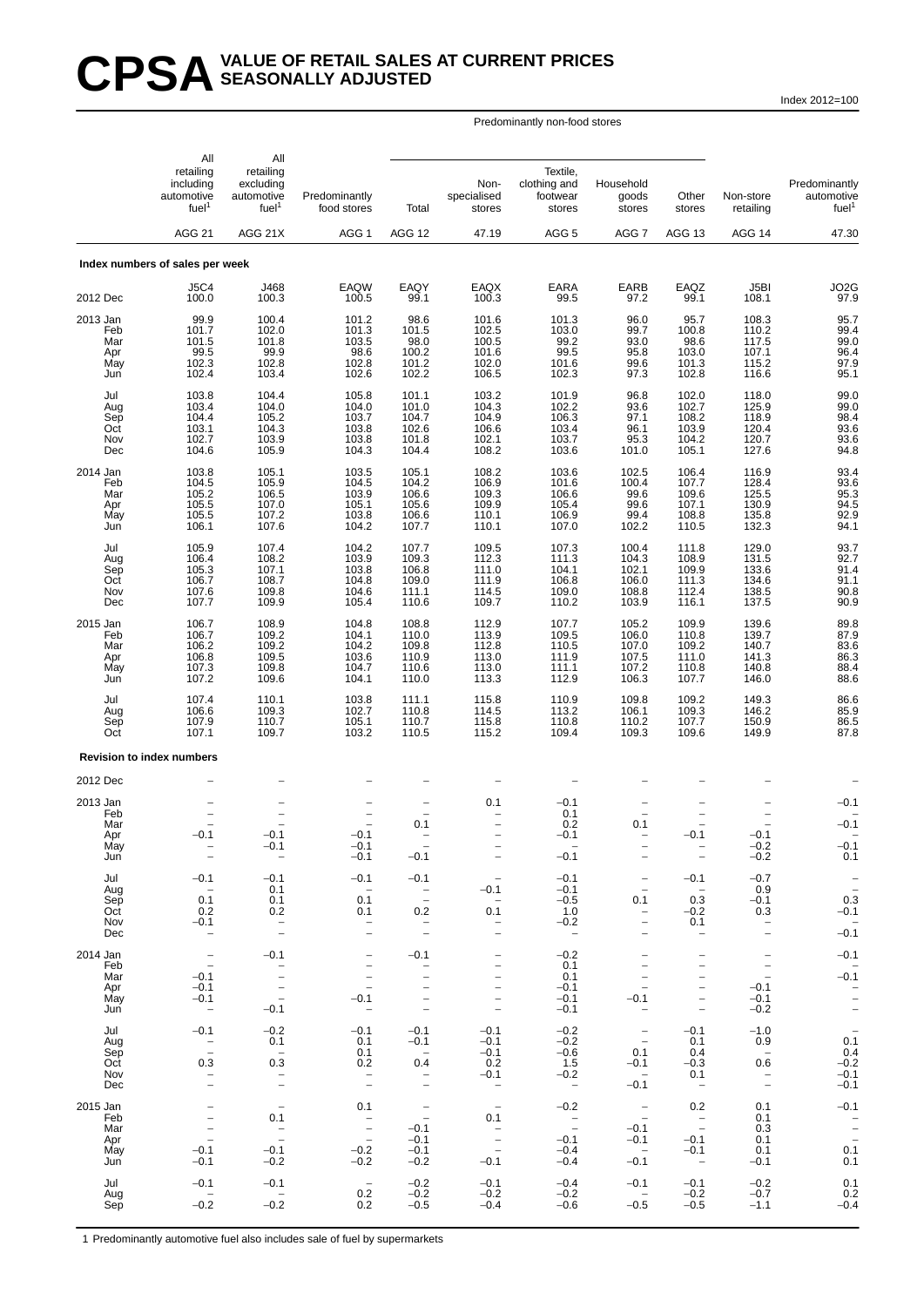# CPSA<sup>VALUE OF RETAIL SALES AT CURRENT PRICES</sup> **SEASONALLY ADJUSTED**

Index 2012=100

#### Predominantly non-food stores

|                                             | All                                                                                    |                                                                                                          |                                                                                                                                      |                                                                                           |                                                                                                                               |                                                                         |                                                                                                             |                                                                                                       |                                                                                                                |                                                                      |
|---------------------------------------------|----------------------------------------------------------------------------------------|----------------------------------------------------------------------------------------------------------|--------------------------------------------------------------------------------------------------------------------------------------|-------------------------------------------------------------------------------------------|-------------------------------------------------------------------------------------------------------------------------------|-------------------------------------------------------------------------|-------------------------------------------------------------------------------------------------------------|-------------------------------------------------------------------------------------------------------|----------------------------------------------------------------------------------------------------------------|----------------------------------------------------------------------|
|                                             | retailing<br>including<br>automotive<br>fuel <sup>1</sup><br><b>AGG 21</b>             | All<br>retailing<br>excluding<br>automotive<br>fuel <sup>1</sup>                                         | Predominantly<br>food stores                                                                                                         | Total                                                                                     | Non-<br>specialised<br>stores                                                                                                 | Textile,<br>clothing and<br>footwear<br>stores                          | Household<br>goods<br>stores                                                                                | Other<br>stores                                                                                       | Non-store<br>retailing                                                                                         | Predominantly<br>automotive<br>fuel <sup>1</sup>                     |
|                                             |                                                                                        | AGG 21X                                                                                                  | AGG <sub>1</sub>                                                                                                                     | AGG 12                                                                                    | 47.19                                                                                                                         | AGG <sub>5</sub>                                                        | AGG <sub>7</sub>                                                                                            | AGG 13                                                                                                | AGG 14                                                                                                         | 47.30                                                                |
|                                             | Index numbers of sales per week                                                        |                                                                                                          |                                                                                                                                      |                                                                                           |                                                                                                                               |                                                                         |                                                                                                             |                                                                                                       |                                                                                                                |                                                                      |
| 2012 Dec                                    | <b>J5C4</b><br>100.0                                                                   | J468<br>100.3                                                                                            | EAQW<br>100.5                                                                                                                        | EAQY<br>99.1                                                                              | EAQX<br>100.3                                                                                                                 | <b>EARA</b><br>99.5                                                     | EARB<br>97.2                                                                                                | EAQZ<br>99.1                                                                                          | J5BI<br>108.1                                                                                                  | JO2G<br>97.9                                                         |
| 2013 Jan<br>Feb<br>Mar<br>Apr<br>May<br>Jun | 99.9<br>101.7<br>101.5<br>99.5<br>102.3<br>102.4                                       | 100.4<br>102.0<br>101.8<br>99.9<br>102.8<br>103.4                                                        | 101.2<br>101.3<br>103.5<br>98.6<br>102.8<br>102.6                                                                                    | 98.6<br>101.5<br>$\frac{98.0}{100.2}$<br>101.2<br>102.2                                   | 101.6<br>102.5<br>100.5<br>101.6<br>102.0<br>106.5                                                                            | 101.3<br>103.0<br>99.2<br>99.5<br>101.6<br>102.3                        | 96.0<br>99.7<br>93.0<br>95.8<br>99.6<br>97.3                                                                | 95.7<br>100.8<br>98.6<br>103.0<br>101.3<br>102.8                                                      | 108.3<br>110.2<br>117.5<br>107.1<br>115.2<br>116.6                                                             | 95.7<br>99.4<br>99.0<br>96.4<br>97.9<br>95.1                         |
| Jul<br>Aug<br>Sep<br>Oct<br>Nov<br>Dec      | 103.8<br>103.4<br>104.4<br>103.1<br>102.7<br>104.6                                     | 104.4<br>104.0<br>105.2<br>104.3<br>103.9<br>105.9                                                       | 105.8<br>104.0<br>103.7<br>103.8<br>103.8<br>104.3                                                                                   | 101.1<br>101.0<br>104.7<br>102.6<br>101.8<br>104.4                                        | 103.2<br>104.3<br>104.9<br>106.6<br>102.1<br>108.2                                                                            | 101.9<br>102.2<br>106.3<br>103.4<br>103.7<br>103.6                      | 96.8<br>93.6<br>97.1<br>96.1<br>95.3<br>101.0                                                               | 102.0<br>102.7<br>108.2<br>103.9<br>104.2<br>105.1                                                    | 118.0<br>125.9<br>118.9<br>120.4<br>120.7<br>127.6                                                             | 99.0<br>99.0<br>98.4<br>93.6<br>93.6<br>94.8                         |
| 2014 Jan<br>Feb<br>Mar<br>Apr<br>May<br>Jun | 103.8<br>104.5<br>105.2<br>105.5<br>105.5<br>106.1                                     | 105.1<br>105.9<br>106.5<br>107.0<br>107.2<br>107.6                                                       | 103.5<br>104.5<br>103.9<br>105.1<br>103.8<br>104.2                                                                                   | 105.1<br>104.2<br>106.6<br>105.6<br>106.6<br>107.7                                        | 108.2<br>106.9<br>109.3<br>109.9<br>110.1<br>110.1                                                                            | 103.6<br>101.6<br>106.6<br>105.4<br>106.9<br>107.0                      | 102.5<br>100.4<br>99.6<br>99.6<br>99.4<br>102.2                                                             | 106.4<br>107.7<br>109.6<br>107.1<br>108.8<br>110.5                                                    | 116.9<br>128.4<br>125.5<br>130.9<br>135.8<br>132.3                                                             | 93.4<br>93.6<br>95.3<br>94.5<br>92.9<br>94.1                         |
| Jul<br>Aug<br>Sep<br>Oct<br>Nov<br>Dec      | 105.9<br>106.4<br>105.3<br>106.7<br>107.6<br>107.7                                     | 107.4<br>108.2<br>107.1<br>108.7<br>109.8<br>109.9                                                       | 104.2<br>103.9<br>103.8<br>104.8<br>104.6<br>105.4                                                                                   | 107.7<br>109.3<br>106.8<br>109.0<br>111.1<br>110.6                                        | 109.5<br>112.3<br>111.0<br>111.9<br>114.5<br>109.7                                                                            | 107.3<br>111.3<br>104.1<br>106.8<br>109.0<br>110.2                      | 100.4<br>104.3<br>102.1<br>106.0<br>108.8<br>103.9                                                          | 111.8<br>108.9<br>109.9<br>111.3<br>112.4<br>116.1                                                    | 129.0<br>131.5<br>133.6<br>134.6<br>138.5<br>137.5                                                             | 93.7<br>92.7<br>$91.4$<br>$91.1$<br>$90.8$<br>$90.9$                 |
| 2015 Jan<br>Feb<br>Mar<br>Apr<br>May<br>Jun | 106.7<br>106.7<br>106.2<br>106.8<br>107.3<br>107.2                                     | 108.9<br>109.2<br>109.2<br>109.5<br>109.8<br>109.6                                                       | 104.8<br>104.1<br>104.2<br>103.6<br>104.7<br>104.1                                                                                   | 108.8<br>110.0<br>109.8<br>110.9<br>110.6<br>110.0                                        | 112.9<br>113.9<br>112.8<br>113.0<br>113.0<br>113.3                                                                            | 107.7<br>109.5<br>110.5<br>111.9<br>111.1<br>112.9                      | 105.2<br>106.0<br>107.0<br>107.5<br>107.2<br>106.3                                                          | 109.9<br>110.8<br>109.2<br>111.0<br>110.8<br>107.7                                                    | 139.6<br>139.7<br>140.7<br>141.3<br>140.8<br>146.0                                                             | 89.8<br>87.9<br>83.6<br>86.3<br>88.4<br>88.6                         |
| Jul<br>Aug<br>Sep<br>Oct                    | 107.4<br>106.6<br>107.9<br>107.1                                                       | 110.1<br>109.3<br>110.7<br>109.7                                                                         | 103.8<br>102.7<br>105.1<br>103.2                                                                                                     | 111.1<br>110.8<br>110.7<br>110.5                                                          | 115.8<br>114.5<br>115.8<br>115.2                                                                                              | 110.9<br>113.2<br>110.8<br>109.4                                        | 109.8<br>106.1<br>110.2<br>109.3                                                                            | 109.2<br>109.3<br>107.7<br>109.6                                                                      | 149.3<br>146.2<br>150.9<br>149.9                                                                               | 86.6<br>85.9<br>86.5<br>87.8                                         |
|                                             | <b>Revision to index numbers</b>                                                       |                                                                                                          |                                                                                                                                      |                                                                                           |                                                                                                                               |                                                                         |                                                                                                             |                                                                                                       |                                                                                                                |                                                                      |
| 2012 Dec                                    |                                                                                        |                                                                                                          |                                                                                                                                      |                                                                                           |                                                                                                                               |                                                                         |                                                                                                             |                                                                                                       |                                                                                                                |                                                                      |
| 2013 Jan<br>Feb<br>Mar<br>Apr<br>May<br>Jun | $-0.1$<br>$\overline{\phantom{a}}$                                                     | $-0.1$<br>-0.1<br>$\qquad \qquad -$                                                                      | $-0.1$<br>-0.1<br>$-0.1$                                                                                                             | $\qquad \qquad -$<br>0.1<br>$-0.1$                                                        | 0.1<br>$\overline{\phantom{a}}$                                                                                               | $-0.1$<br>0.1<br>0.2<br>$-0.1$<br>$-0.1$                                | $\overline{\phantom{0}}$<br>0.1<br>$\qquad \qquad -$                                                        | $-0.1$<br>$\overline{\phantom{m}}$                                                                    | $-0.1$<br>$-0.2$<br>$-0.2$                                                                                     | $-0.1$<br>$-0.1$<br>$-0.1$<br>0.1                                    |
| Jul<br>Aug<br>Sep<br>Oct<br>Nov<br>Dec      | $-0.1$<br>$\hspace{0.1mm}$ $\hspace{0.1mm}$<br>0.1<br>0.2<br>$-0.1$                    | $-0.1$<br>0.1<br>0.1<br>0.2<br>$\bar{a}$                                                                 | $-0.1$<br>$\sim$<br>0.1<br>0.1<br>$\overline{\phantom{0}}$                                                                           | $-0.1$<br>$\bar{\Box}$<br>0.2<br>$\hspace{0.1mm}-\hspace{0.1mm}$<br>$\frac{1}{2}$         | $-0.1$<br>0.1<br>$\overline{\phantom{0}}$<br>$\qquad \qquad -$                                                                | $-0.1$<br>$-0.1$<br>$-0.5$<br>1.0<br>$-0.2$<br>$\overline{\phantom{a}}$ | $\overline{\phantom{a}}$<br>$\overline{\phantom{a}}$<br>0.1<br>$\overline{\phantom{a}}$                     | $-0.1$<br>$\sim$<br>0.3<br>$-0.2$<br>0.1<br>$\overline{\phantom{a}}$                                  | $-0.7$<br>0.9<br>$-0.1$<br>0.3<br>$\overline{\phantom{0}}$                                                     | $\bar{z}$<br>0.3<br>$-0.1$<br>$\overline{\phantom{a}}$<br>$-0.1$     |
| 2014 Jan<br>Feb<br>Mar<br>Apr<br>May<br>Jun | $\bar{\mathbb{I}}$<br>$-0.1$<br>$-0.1$<br>$-0.1$                                       | $-0.1$<br>$\bar{a}$<br>$\bar{a}$<br>$-0.1$                                                               | $\qquad \qquad -$<br>$\overline{\phantom{a}}$<br>$\qquad \qquad -$<br>$\overline{\phantom{a}}$<br>$-0.1$<br>$\overline{\phantom{m}}$ | $-0.1$<br>$\bar{a}$<br>$\qquad \qquad -$<br>$\overline{\phantom{0}}$                      | $\qquad \qquad -$<br>$\overline{\phantom{0}}$                                                                                 | $-0.2$<br>0.1<br>0.1<br>$-0.1$<br>$-0.1$<br>$-0.1$                      | $\overline{\phantom{0}}$<br>$-0.1$<br>$\overline{\phantom{m}}$                                              | $\overline{\phantom{a}}$<br>$\qquad \qquad -$<br>$\overline{\phantom{a}}$<br>$\overline{\phantom{0}}$ | $\overline{\phantom{m}}$<br>$\overline{\phantom{a}}$<br>$\overline{\phantom{a}}$<br>$-0.1$<br>$-0.1$<br>$-0.2$ | $-0.1$<br>$-0.\overline{1}$<br>$\frac{1}{2}$                         |
| Jul<br>Aug<br>Sep<br>Oct<br>Nov<br>Dec      | $-0.1$<br>$\bar{a}$<br>0.3                                                             | $-0.2$<br>0.1<br>$\hspace{0.1mm}$<br>0.3<br>$\bar{a}$                                                    | $-0.1$<br>0.1<br>0.1<br>0.2<br>$\overline{\phantom{a}}$                                                                              | $-0.1$<br>$-0.1$<br>$\sim$<br>0.4<br>$\overline{\phantom{a}}$<br>$\overline{\phantom{a}}$ | $-0.1$<br>$-0.1$<br>$-0.1$<br>0.2<br>$-0.1$<br>$\sim$                                                                         | $-0.2$<br>$-0.2$<br>$-0.6$<br>1.5<br>$-0.2$<br>$\overline{\phantom{0}}$ | $\overline{\phantom{m}}$<br>$\overline{\phantom{a}}$<br>0.1<br>$-0.1$<br>$\overline{\phantom{0}}$<br>$-0.1$ | $-0.1$<br>0.1<br>0.4<br>$-0.3$<br>0.1<br>$\overline{\phantom{0}}$                                     | $-1.0$<br>0.9<br>$\overline{\phantom{a}}$<br>0.6<br>$\overline{\phantom{a}}$                                   | $\overline{\phantom{a}}$<br>0.1<br>0.4<br>$-0.2$<br>$-0.1$<br>$-0.1$ |
| 2015 Jan<br>Feb<br>Mar<br>Apr<br>May<br>Jun | $\overline{\phantom{a}}$<br>$\qquad \qquad -$<br>$\qquad \qquad -$<br>$-0.1$<br>$-0.1$ | $\hspace{0.1mm}-\hspace{0.1mm}$<br>0.1<br>$\overline{\phantom{a}}$<br>$\overline{a}$<br>$-0.1$<br>$-0.2$ | 0.1<br>$\frac{1}{2}$<br>$\overline{\phantom{a}}$<br>$-0.2$<br>$-0.2$                                                                 | $\overline{\phantom{a}}$<br>$\overline{a}$<br>$-0.1$<br>$-0.1$<br>$-0.1$<br>$-0.2$        | $\hspace{0.1mm}-\hspace{0.1mm}$<br>0.1<br>$\overline{\phantom{a}}$<br>$\qquad \qquad -$<br>$\overline{\phantom{a}}$<br>$-0.1$ | $-0.2$<br>$\bar{a}$<br>$-0.1$<br>$-0.4$<br>$-0.4$                       | $\overline{\phantom{a}}$<br>$\overline{\phantom{m}}$<br>$-0.1$<br>$-0.1$<br>$\sim$ $-$<br>$-0.1$            | 0.2<br>$\overline{\phantom{a}}$<br>$\overline{\phantom{a}}$<br>$-0.1$<br>$-0.1$<br>$\sim$             | 0.1<br>0.1<br>0.3<br>0.1<br>0.1<br>$-0.1$                                                                      | $-0.1$<br>$\overline{a}$<br>$\overline{a}$<br>0.1<br>0.1             |
| Jul<br>Aug<br>Sep                           | $-0.1$<br>$-0.2$                                                                       | $-0.1$<br>$\sim$<br>$-0.2$                                                                               | $\overline{\phantom{a}}$<br>0.2<br>0.2                                                                                               | $-0.2$<br>$-0.2$<br>$-0.5$                                                                | $-0.1$<br>$-0.2$<br>$-0.4$                                                                                                    | $-0.4$<br>$-0.2$<br>$-0.6$                                              | $-0.1$<br>$-0.5$                                                                                            | $-0.1$<br>$-0.2$<br>$-0.5$                                                                            | $-0.2$<br>$-0.7$<br>$-1.1$                                                                                     | 0.1<br>0.2<br>$-0.4$                                                 |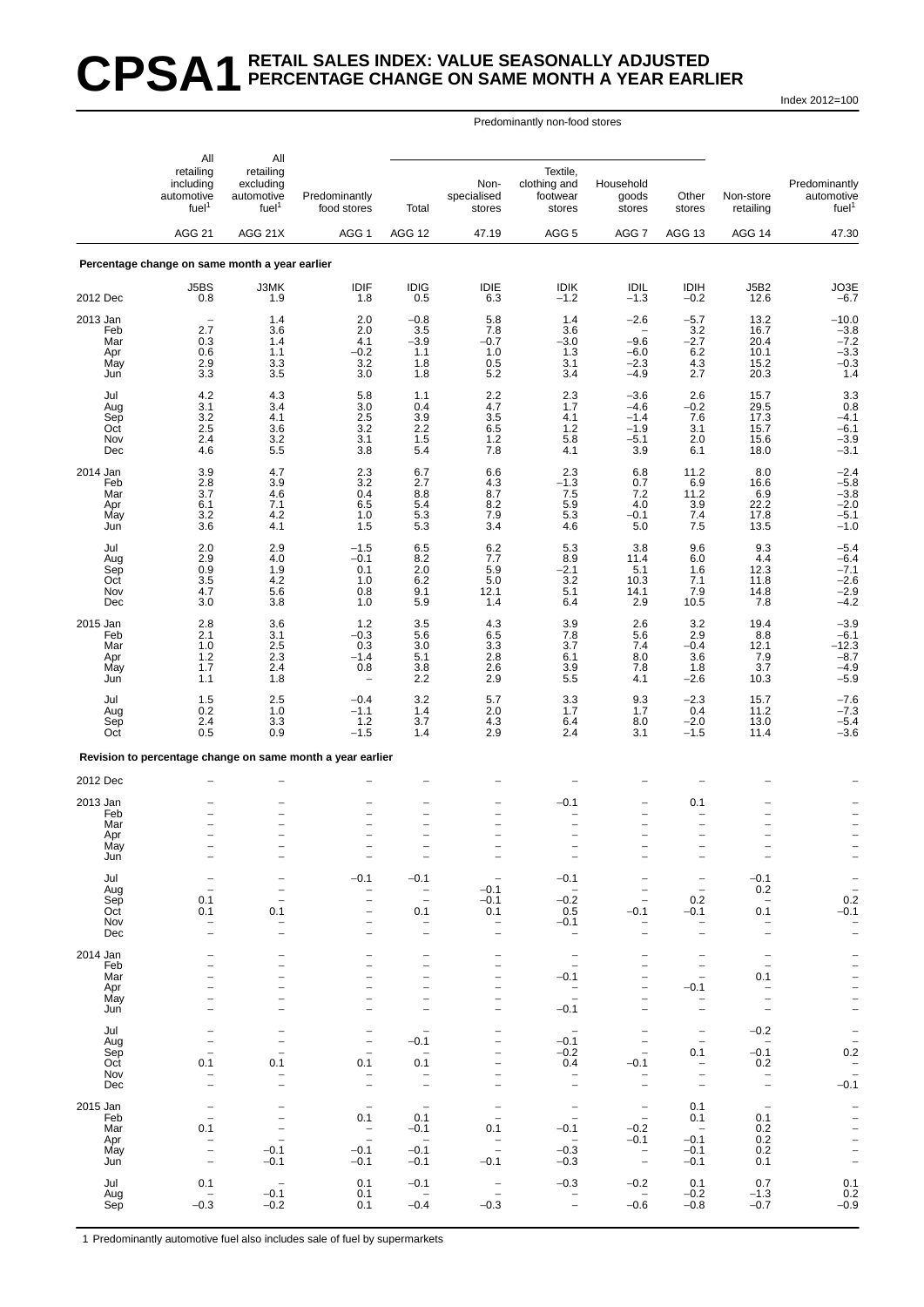# **CPSA1 RETAIL SALES INDEX: VALUE SEASONALLY ADJUSTED PERCENTAGE CHANGE ON SAME MONTH A YEAR EARLIER**

Index 2012=100

#### Predominantly non-food stores

|                   | All                                                                        | All                                                       |                                                            |                                                      |                                               |                                                      |                                                      |                                                      |                                                      |                                                          |
|-------------------|----------------------------------------------------------------------------|-----------------------------------------------------------|------------------------------------------------------------|------------------------------------------------------|-----------------------------------------------|------------------------------------------------------|------------------------------------------------------|------------------------------------------------------|------------------------------------------------------|----------------------------------------------------------|
|                   | retailing<br>including<br>automotive<br>fuel <sup>1</sup><br><b>AGG 21</b> | retailing<br>excluding<br>automotive<br>fuel <sup>1</sup> | Predominantly<br>food stores                               | Total                                                | Non-<br>specialised<br>stores                 | Textile,<br>clothing and<br>footwear<br>stores       | Household<br>goods<br>stores                         | Other<br>stores                                      | Non-store<br>retailing                               | Predominantly<br>automotive<br>fuel <sup>1</sup>         |
|                   |                                                                            | AGG 21X                                                   | AGG 1                                                      | <b>AGG 12</b>                                        | 47.19                                         | AGG <sub>5</sub>                                     | AGG <sub>7</sub>                                     | AGG 13                                               | AGG 14                                               | 47.30                                                    |
|                   | Percentage change on same month a year earlier                             |                                                           |                                                            |                                                      |                                               |                                                      |                                                      |                                                      |                                                      |                                                          |
| 2012 Dec          | J5BS<br>0.8                                                                | J3MK<br>1.9                                               | IDIF<br>1.8                                                | <b>IDIG</b><br>0.5                                   | IDIE<br>6.3                                   | <b>IDIK</b><br>$-1.2$                                | <b>IDIL</b><br>$-1.3$                                | <b>IDIH</b><br>$-0.2$                                | <b>J5B2</b><br>12.6                                  | $JO3E - 6.7$                                             |
| 2013 Jan          |                                                                            | 1.4                                                       | 2.0                                                        | $-0.8$                                               | 5.8                                           | 1.4                                                  | $-2.6$                                               | $-5.7$                                               | 13.2                                                 |                                                          |
| Feb<br>Mar<br>Apr | 2.7<br>0.3<br>0.6                                                          | 3.6<br>1.4<br>1.1                                         | 2.0<br>4.1<br>$-0.2$                                       | 3.5<br>$-3.9$<br>1.1                                 | 7.8<br>$-0.7$<br>1.0                          | 3.6<br>$-3.0$<br>1.3                                 | $-9.6$<br>$-6.0$                                     | $\frac{3.2}{-2.7}$                                   | 16.7<br>20.4<br>10.1                                 |                                                          |
| May<br>Jun        | 2.9<br>3.3                                                                 | 3.3<br>3.5                                                | 3.2<br>3.0                                                 | 1.8<br>1.8                                           | 0.5<br>5.2                                    | 3.1<br>3.4                                           | $-2.3$<br>$-4.9$                                     | $6.2$<br>$4.3$<br>2.7                                | 15.2<br>20.3                                         | $-10.0$<br>$-3.8$<br>$-7.2$<br>$-3.3$<br>$-0.3$<br>$1.4$ |
| Jul<br>Aug        | 4.2<br>3.1                                                                 | 4.3<br>3.4                                                | 5.8<br>3.0                                                 | 1.1<br>0.4                                           | 2.2<br>4.7                                    | 2.3<br>1.7                                           | $-3.6$<br>$-4.6$                                     | 2.6<br>$-0.2$                                        | 15.7<br>29.5                                         | $3.3$<br>$0.8$<br>$-4.1$                                 |
| Sep<br>Oct        | 3.2<br>2.5                                                                 | 4.1<br>3.6                                                | 2.5<br>3.2                                                 | $\frac{3.9}{2.2}$                                    | $\frac{3.5}{6.5}$<br>1.2                      | 4.1<br>1.2                                           | $-1.4$<br>$-1.9$                                     | 7.6<br>3.1                                           | 17.3<br>15.7                                         | $-6.1$                                                   |
| Nov<br>Dec        | 2.4<br>4.6                                                                 | 3.2<br>5.5                                                | 3.1<br>3.8                                                 | 1.5<br>5.4                                           | 7.8                                           | 5.8<br>4.1                                           | $-5.1$<br>3.9                                        | 2.0<br>6.1                                           | 15.6<br>18.0                                         | $-3.9$<br>$-3.1$                                         |
| 2014 Jan<br>Feb   | 3.9<br>2.8                                                                 | 4.7<br>3.9                                                | 2.3<br>3.2                                                 | 6.7<br>2.7                                           | 6.6<br>4.3<br>8.7                             | 2.3<br>$-1.\overline{3}$                             | 6.8<br>0.7                                           | 11.2<br>$6.9$<br>11.2                                | 8.0<br>16.6                                          | $-2.4$<br>$-5.8$<br>$-3.8$                               |
| Mar<br>Apr<br>May | 3.7<br>6.1                                                                 | 4.6<br>7.1                                                | 0.4<br>6.5                                                 | 8.8<br>5.4                                           | $8.2\,$                                       | 7.5<br>$\frac{5.9}{5.3}$                             | 7.2<br>4.0                                           | $\frac{3.9}{7.4}$                                    | 6.9<br>22.2                                          | $-2.0$<br>$-5.1$                                         |
| Jun               | 3.2<br>3.6                                                                 | 4.2<br>4.1                                                | 1.0<br>1.5                                                 | 5.3<br>5.3                                           | 7.9<br>3.4                                    | 4.6                                                  | $-0.1$<br>5.0                                        | 7.5                                                  | 17.8<br>13.5                                         | $-1.0$                                                   |
| Jul<br>Aug        | 2.0<br>2.9                                                                 | $^{2.9}_{4.0}$                                            | $-1.5$<br>$-0.1$                                           | $6.5 \\ 8.2$                                         | $6.2$<br>7.7                                  | 5.3<br>8.9                                           | 3.8<br>11.4                                          | $\substack{9.6 \\ 6.0}$                              | 9.3<br>4.4                                           | $-5.4$<br>$-6.4$                                         |
| Sep<br>Oct        | 0.9<br>3.5                                                                 | 1.9<br>4.2                                                | 0.1<br>1.0                                                 | $2.0\,$<br>6.2                                       | 5.9<br>5.0                                    | $-2.1$<br>3.2                                        | 5.1<br>10.3                                          | 1.6<br>7.1                                           | 12.3<br>11.8                                         | $-7.1$                                                   |
| Nov<br>Dec        | 4.7<br>3.0                                                                 | 5.6<br>3.8                                                | 0.8<br>1.0                                                 | 9.1<br>5.9                                           | 12.1<br>1.4                                   | 5.1<br>6.4                                           | 14.1<br>2.9                                          | 7.9<br>10.5                                          | 14.8<br>7.8                                          | $-2.6$<br>$-2.9$<br>$-4.2$                               |
| 2015 Jan<br>Feb   | 2.8<br>2.1                                                                 | 3.6<br>3.1                                                | 1.2<br>$-0.3$                                              | 3.5<br>5.6                                           | 4.3<br>$6.5$<br>3.3                           | 3.9<br>7.8                                           | 2.6<br>5.6                                           | 3.2<br>2.9                                           | 19.4<br>8.8                                          | $-3.9$<br>$-6.1$                                         |
| Mar<br>Apr        | 1.0<br>1.2                                                                 | $\frac{2.5}{2.3}$                                         | 0.3<br>$-1.4$                                              | 3.0<br>5.1                                           | 2.8                                           | 3.7<br>6.1                                           | 7.4<br>8.0                                           | $-0.4$<br>3.6                                        | 12.1<br>7.9                                          | $-12.3$<br>$-8.7$                                        |
| May<br>Jun        | 1.7<br>1.1                                                                 | 2.4<br>1.8                                                | 0.8<br>$\qquad \qquad -$                                   | 3.8<br>2.2                                           | 2.6<br>2.9                                    | 3.9<br>5.5                                           | 7.8<br>4.1                                           | 1.8<br>$-2.6$                                        | 3.7<br>10.3                                          | $-4.9$<br>$-5.9$                                         |
| Jul<br>Aug        | 1.5<br>0.2                                                                 | 2.5<br>1.0                                                | $-0.4$<br>$-1.1$                                           | 3.2<br>1.4                                           | 5.7<br>2.0                                    | 3.3<br>1.7                                           | $\frac{9.3}{1.7}$                                    | $-2.3$<br>0.4                                        | 15.7<br>11.2                                         |                                                          |
| Sep<br>Oct        | 2.4<br>0.5                                                                 | 3.3<br>0.9                                                | 1.2<br>$-1.5$                                              | 3.7<br>1.4                                           | 4.3<br>2.9                                    | 6.4<br>2.4                                           | 8.0<br>3.1                                           | $-2.0$<br>$-1.5$                                     | 13.0<br>11.4                                         | $-7.6$<br>$-7.3$<br>$-5.4$<br>$-3.6$                     |
|                   |                                                                            |                                                           | Revision to percentage change on same month a year earlier |                                                      |                                               |                                                      |                                                      |                                                      |                                                      |                                                          |
| 2012 Dec          |                                                                            |                                                           |                                                            |                                                      |                                               |                                                      |                                                      |                                                      |                                                      |                                                          |
| 2013 Jan<br>Feb   |                                                                            |                                                           |                                                            |                                                      |                                               | $-0.1$                                               |                                                      | 0.1                                                  |                                                      |                                                          |
| Mar<br>Apr        | $\overline{\phantom{0}}$                                                   | $\overline{\phantom{0}}$                                  | $\overline{\phantom{0}}$                                   | $\overline{\phantom{0}}$                             |                                               | $\overline{\phantom{0}}$                             |                                                      | $\overline{\phantom{a}}$<br>$\overline{\phantom{0}}$ |                                                      |                                                          |
| May<br>Jun        |                                                                            |                                                           |                                                            | -                                                    |                                               |                                                      |                                                      |                                                      |                                                      | $\qquad \qquad -$                                        |
| Jul               |                                                                            |                                                           | $-0.1$                                                     | $-0.1$                                               |                                               | $-0.1$                                               |                                                      | $\qquad \qquad -$                                    | $-0.1$                                               |                                                          |
| Aug<br>Sep        | 0.1                                                                        | $\overline{\phantom{a}}$<br>$\overline{\phantom{a}}$      | $\overline{\phantom{0}}$<br>$\qquad \qquad -$              | $\overline{\phantom{a}}$<br>$\qquad \qquad -$        | $-0.1$<br>$-0.1$                              | $\overline{\phantom{a}}$<br>$-0.2$                   |                                                      | $\overline{\phantom{a}}$<br>0.2                      | 0.2<br>$\equiv$                                      | $\bar{a}$<br>0.2                                         |
| Oct<br>Nov        | 0.1                                                                        | 0.1<br>$\overline{a}$                                     | $\overline{\phantom{0}}$                                   | 0.1<br>$\qquad \qquad -$                             | 0.1<br>$\qquad \qquad -$                      | 0.5<br>$-0.1$                                        | $-0.1$<br>$\overline{\phantom{m}}$                   | $-0.1$<br>$\qquad \qquad -$                          | 0.1<br>$\overline{\phantom{0}}$                      | $-0.1$                                                   |
| Dec               |                                                                            | $\overline{\phantom{0}}$                                  | $\overline{\phantom{0}}$                                   | $\overline{\phantom{0}}$                             |                                               | $\overline{\phantom{0}}$                             |                                                      |                                                      |                                                      | $\bar{a}$                                                |
| 2014 Jan<br>Feb   |                                                                            | -<br>$\overline{\phantom{0}}$                             | $\overline{\phantom{0}}$                                   | $\overline{\phantom{0}}$<br>$\overline{a}$           | $\overline{\phantom{0}}$                      | $\overline{\phantom{0}}$<br>$\overline{\phantom{0}}$ |                                                      | -<br>$\overline{\phantom{0}}$                        | $\overline{\phantom{0}}$                             |                                                          |
| Mar<br>Apr        |                                                                            | $\overline{\phantom{0}}$<br>۳                             |                                                            | $\overline{\phantom{0}}$<br>-                        |                                               | $-0.1$<br>$\overline{\phantom{a}}$                   |                                                      | $\overline{\phantom{0}}$<br>$-0.1$                   | 0.1<br>$\bar{a}$                                     |                                                          |
| May<br>Jun        |                                                                            | $\overline{\phantom{a}}$<br>$\overline{\phantom{0}}$      |                                                            |                                                      |                                               | $-0.1$                                               |                                                      | -<br>$\overline{\phantom{0}}$                        |                                                      |                                                          |
| Jul<br>Aug        | -                                                                          | -<br>$\qquad \qquad -$                                    | $\overline{\phantom{a}}$                                   | -<br>$-0.1$                                          |                                               | $\overline{\phantom{a}}$<br>$-0.1$                   | $\qquad \qquad -$                                    | $\overline{\phantom{0}}$<br>$\overline{\phantom{a}}$ | $-0.2$<br>$\overline{\phantom{a}}$                   | $-$<br>$0.\overline{2}$                                  |
| Sep<br>Oct        | 0.1                                                                        | $\overline{\phantom{a}}$<br>0.1                           | $\overline{\phantom{a}}$<br>0.1                            | $\overline{\phantom{0}}$<br>0.1                      |                                               | $-0.2$<br>0.4                                        | $-0.1$                                               | 0.1<br>$\qquad \qquad -$                             | $-0.1$<br>0.2                                        | $\overline{\phantom{0}}$                                 |
| Nov<br>Dec        |                                                                            | $\qquad \qquad -$<br>$\overline{\phantom{0}}$             | $\qquad \qquad -$<br>$\overline{\phantom{0}}$              | $\overline{\phantom{a}}$<br>$\overline{\phantom{a}}$ |                                               | $\overline{\phantom{m}}$<br>$\overline{\phantom{0}}$ | $\qquad \qquad -$<br>$\overline{\phantom{0}}$        | $\qquad \qquad -$<br>$\qquad \qquad -$               | $\overline{\phantom{a}}$<br>$\overline{\phantom{0}}$ | $-0.\overline{1}$                                        |
| 2015 Jan<br>Feb   |                                                                            | $\qquad \qquad -$<br>$\qquad \qquad -$                    | $\qquad \qquad -$<br>0.1                                   | $\overline{\phantom{m}}$<br>0.1                      | $\qquad \qquad -$<br>$\overline{\phantom{0}}$ | $\overline{\phantom{a}}$<br>$\overline{\phantom{a}}$ | $\overline{\phantom{a}}$<br>$\overline{\phantom{a}}$ | 0.1<br>0.1                                           | $\hspace{0.1mm}-\hspace{0.1mm}$<br>0.1               | $\overline{\phantom{0}}$                                 |
| Mar<br>Apr        | 0.1<br>$\qquad \qquad -$                                                   | $\qquad \qquad -$<br>$\overline{\phantom{a}}$             | $\bar{a}$                                                  | $-0.1$<br>$\hspace{0.1mm}-\hspace{0.1mm}$            | 0.1<br>$\qquad \qquad -$                      | $-0.1$<br>$\hspace{0.1mm}-\hspace{0.1mm}$            | $-0.2$<br>$-0.1$                                     | $\overline{\phantom{a}}$<br>$-0.1$                   | 0.2<br>0.2                                           |                                                          |
| May<br>Jun        | $\qquad \qquad -$<br>$\qquad \qquad -$                                     | $-0.1$<br>$-0.1$                                          | $-0.1$<br>$-0.1$                                           | $-0.1$<br>$-0.1$                                     | $-0.1$                                        | $-0.3$<br>$-0.3$                                     | $\qquad \qquad -$<br>$\overline{\phantom{a}}$        | $-0.1$<br>$-0.1$                                     | 0.2<br>0.1                                           | $\frac{1}{1}$                                            |
| Jul               | 0.1                                                                        | $\overline{\phantom{a}}$                                  | 0.1                                                        | $-0.1$                                               | $\qquad \qquad -$                             | $-0.3$                                               | $-0.2$                                               | 0.1                                                  | 0.7                                                  | 0.1                                                      |
| Aug<br>Sep        | $-0.3$                                                                     | $-0.1$<br>$-0.2$                                          | 0.1<br>0.1                                                 | $\overline{\phantom{a}}$<br>$-0.4$                   | $\overline{\phantom{m}}$<br>$-0.3$            | $\overline{a}$<br>$\overline{a}$                     | $\overline{\phantom{a}}$<br>$-0.6$                   | $-0.2$<br>$-0.8$                                     | $-1.3$<br>$-0.7$                                     | 0.2<br>$-0.9$                                            |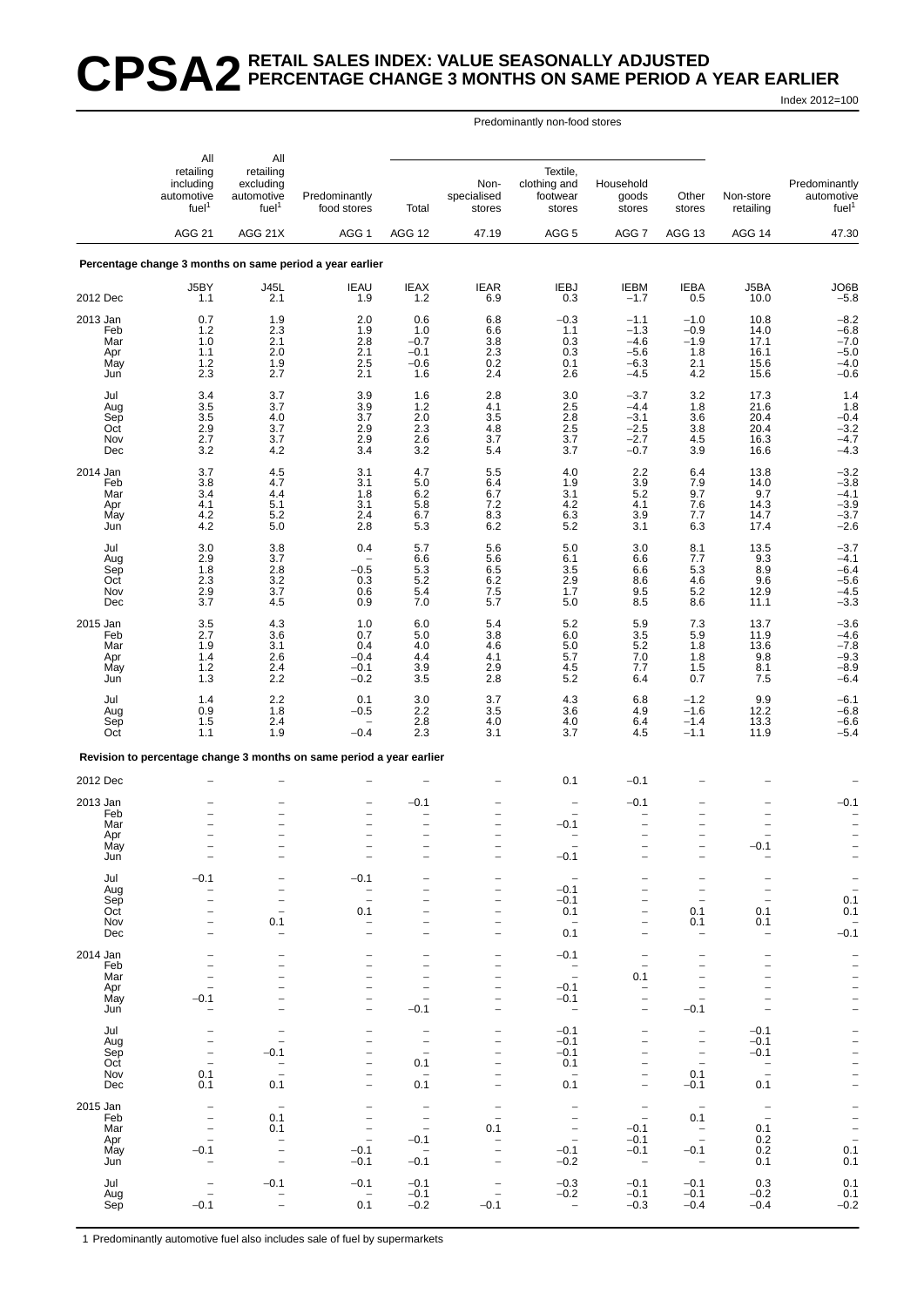### **CPSA2 RETAIL SALES INDEX: VALUE SEASONALLY ADJUSTED PERCENTAGE CHANGE 3 MONTHS ON SAME PERIOD A YEAR EARLIER** Index 2012=100

Predominantly non-food stores

|                 | All                                                                        | All                                                       |                                                                      |                                                      |                               |                                                |                                               |                                                      |                                    |                                                  |
|-----------------|----------------------------------------------------------------------------|-----------------------------------------------------------|----------------------------------------------------------------------|------------------------------------------------------|-------------------------------|------------------------------------------------|-----------------------------------------------|------------------------------------------------------|------------------------------------|--------------------------------------------------|
|                 | retailing<br>including<br>automotive<br>fuel <sup>1</sup><br><b>AGG 21</b> | retailing<br>excluding<br>automotive<br>fuel <sup>1</sup> | Predominantly<br>food stores                                         | Total                                                | Non-<br>specialised<br>stores | Textile,<br>clothing and<br>footwear<br>stores | Household<br>goods<br>stores                  | Other<br>stores                                      | Non-store<br>retailing             | Predominantly<br>automotive<br>fuel <sup>1</sup> |
|                 |                                                                            | AGG 21X                                                   | AGG <sub>1</sub>                                                     | AGG 12                                               | 47.19                         | AGG <sub>5</sub>                               | AGG <sub>7</sub>                              | AGG <sub>13</sub>                                    | AGG 14                             | 47.30                                            |
|                 |                                                                            |                                                           | Percentage change 3 months on same period a year earlier             |                                                      |                               |                                                |                                               |                                                      |                                    |                                                  |
| 2012 Dec        | J5BY<br>1.1                                                                | <b>J45L</b><br>2.1                                        | <b>IEAU</b><br>1.9                                                   | <b>IEAX</b><br>1.2                                   | <b>IEAR</b><br>6.9            | <b>IEBJ</b><br>0.3                             | <b>IEBM</b><br>$-1.7$                         | <b>IEBA</b><br>0.5                                   | J5BA<br>10.0                       | JO6B<br>$-5.8$                                   |
| 2013 Jan        | 0.7                                                                        | 1.9                                                       | 2.0                                                                  | 0.6                                                  | 6.8                           | $-0.3$                                         | $-1.1$                                        | $-1.0$                                               | 10.8                               | $-8.2$                                           |
| Feb<br>Mar      | 1.2<br>1.0                                                                 | 2.3<br>2.1                                                | 1.9<br>2.8                                                           | 1.0<br>$-0.7$                                        | 6.6<br>$\frac{3.8}{2.3}$      | 1.1<br>0.3                                     | $-1.3$<br>$-4.6$                              | $-0.9$<br>$-1.9$                                     | 14.0<br>17.1                       | $-6.8$<br>$-7.0$<br>$-5.0$                       |
| Apr<br>May      | 1.1<br>1.2                                                                 | 2.0<br>1.9                                                | 2.1<br>2.5                                                           | $-0.1$<br>$-0.6$                                     | $0.2\,$                       | 0.3<br>0.1                                     | $-5.6$<br>$-6.3$                              | 1.8<br>2.1                                           | 16.1<br>15.6                       | $-4.0$                                           |
| Jun             | 2.3                                                                        | 2.7                                                       | 2.1                                                                  | 1.6                                                  | 2.4                           | 2.6                                            | $-4.5$                                        | 4.2                                                  | 15.6                               | $-0.6$                                           |
| Jul<br>Aug      | 3.4<br>3.5                                                                 | 3.7<br>3.7                                                | 3.9<br>3.9                                                           | 1.6<br>1.2                                           | $^{2.8}_{4.1}$                | 3.0<br>2.5                                     | $-3.7$<br>$-4.4$                              | $\frac{3.2}{1.8}$                                    | 17.3<br>21.6                       | 1.4<br>1.8                                       |
| Sep<br>Oct      | 3.5<br>2.9                                                                 | 4.0<br>3.7                                                | 3.7                                                                  | 2.0<br>2.3                                           | 3.5<br>4.8                    | 2.8                                            | $-3.1$<br>$-2.5$                              | 3.6                                                  | 20.4<br>20.4                       | $-0.4$                                           |
| Nov             | 2.7                                                                        | 3.7                                                       | $^{2.9}_{2.9}$                                                       | 2.6                                                  | 3.7                           | $\frac{2.5}{3.7}$                              | $-2.7$                                        | $\frac{3.8}{4.5}$                                    | 16.3                               | $-3.2$<br>$-4.7$                                 |
| Dec             | 3.2                                                                        | 4.2                                                       | 3.4                                                                  | $3.\overline{2}$                                     | 5.4                           | 3.7                                            | $-0.7$                                        | 3.9                                                  | 16.6                               | $-4.3$                                           |
| 2014 Jan<br>Feb | 3.7<br>3.8                                                                 | 4.5<br>4.7                                                | 3.1<br>3.1                                                           | 4.7<br>5.0                                           | 5.5<br>6.4                    | 4.0<br>1.9                                     | 2.2<br>3.9                                    | 6.4<br>7.9                                           | 13.8<br>14.0                       | $-3.2$<br>$-3.8$                                 |
| Mar<br>Apr      | 3.4<br>4.1                                                                 | 4.4<br>5.1                                                | 1.8<br>3.1                                                           | 6.2<br>5.8                                           | 6.7<br>7.2                    | 3.1<br>4.2                                     | 5.2<br>4.1                                    | 9.7<br>7.6                                           | 9.7<br>14.3                        | $-4.1$                                           |
| May<br>Jun      | 4.2<br>4.2                                                                 | 5.2<br>5.0                                                | 2.4<br>2.8                                                           | 6.7<br>5.3                                           | 8.3<br>6.2                    | 6.3<br>5.2                                     | 3.9<br>3.1                                    | 7.7<br>6.3                                           | 14.7<br>17.4                       | $-3.9$<br>$-3.7$<br>$-2.6$                       |
|                 | 3.0                                                                        | 3.8                                                       | 0.4                                                                  | 5.7                                                  | 5.6                           | 5.0                                            | 3.0                                           |                                                      | 13.5                               | $-3.7$                                           |
| Jul<br>Aug      | 2.9                                                                        | 3.7                                                       |                                                                      | 6.6                                                  | 5.6                           | 6.1                                            | 6.6                                           | 8.1<br>7.7                                           | 9.3                                | $-4.1$                                           |
| Sep<br>Oct      | 1.8<br>2.3                                                                 | 2.8<br>3.2                                                | $-0.5$<br>0.3                                                        | 5.3<br>5.2                                           | 6.5<br>6.2                    | 3.5<br>2.9                                     | 6.6<br>8.6                                    | 5.3<br>4.6                                           | 8.9<br>9.6                         | $-6.4$<br>$-5.6$                                 |
| Nov<br>Dec      | 2.9<br>3.7                                                                 | 3.7<br>4.5                                                | 0.6<br>0.9                                                           | 5.4<br>7.0                                           | $7.5$<br>5.7                  | 1.7<br>5.0                                     | 9.5<br>8.5                                    | $\begin{array}{c} 5.2 \\ 8.6 \end{array}$            | 12.9<br>11.1                       | $-4.5$<br>$-3.3$                                 |
| 2015 Jan        | 3.5                                                                        | 4.3                                                       | 1.0                                                                  | 6.0                                                  | 5.4                           | 5.2                                            | 5.9                                           | 7.3                                                  | 13.7                               | $-3.6$                                           |
| Feb<br>Mar      | 2.7<br>1.9                                                                 | 3.6<br>3.1                                                | 0.7<br>0.4                                                           | 5.0<br>4.0                                           | 3.8<br>4.6                    | 6.0<br>$5.0\,$                                 | 3.5<br>5.2                                    | 5.9<br>1.8                                           | 11.9<br>13.6                       | $-4.6 - 7.8$                                     |
| Apr             | 1.4                                                                        | 2.6                                                       | $-0.4$                                                               | 4.4                                                  | 4.1                           | 5.7                                            | 7.0                                           | 1.8                                                  | 9.8                                |                                                  |
| May<br>Jun      | $1.2$<br>1.3                                                               | 2.4<br>2.2                                                | $-0.1$<br>$-0.2$                                                     | 3.9<br>3.5                                           | 2.9<br>2.8                    | 4.5<br>5.2                                     | 7.7<br>6.4                                    | 1.5<br>0.7                                           | 8.1<br>7.5                         | $-9.3$<br>$-8.9$<br>$-6.4$                       |
| Jul             | 1.4                                                                        | 2.2                                                       | 0.1                                                                  | 3.0                                                  | 3.7                           | 4.3                                            | 6.8                                           | $-1.2$                                               | 9.9                                | $-6.1$<br>$-6.8$                                 |
| Aug<br>Sep      | 0.9<br>1.5                                                                 | 1.8<br>2.4                                                | -0.5                                                                 | 2.2<br>2.8                                           | 3.5<br>4.0                    | 3.6<br>4.0                                     | 4.9<br>6.4                                    | $-1.6$<br>$-1.4$                                     | 12.2<br>13.3                       |                                                  |
| Oct             | 1.1                                                                        | 1.9                                                       | $-0.4$                                                               | 2.3                                                  | 3.1                           | 3.7                                            | 4.5                                           | $-1.1$                                               | 11.9                               | $-6.6$<br>$-5.4$                                 |
|                 |                                                                            |                                                           | Revision to percentage change 3 months on same period a year earlier |                                                      |                               |                                                |                                               |                                                      |                                    |                                                  |
| 2012 Dec        |                                                                            |                                                           |                                                                      |                                                      |                               | 0.1                                            | $-0.1$                                        |                                                      |                                    |                                                  |
| 2013 Jan        |                                                                            |                                                           |                                                                      | $-0.1$                                               |                               |                                                | $-0.1$                                        |                                                      |                                    | $-0.1$                                           |
| Feb<br>Mar      |                                                                            | $\overline{\phantom{0}}$                                  | $\qquad \qquad -$<br>$\qquad \qquad -$                               | -                                                    |                               | $-0.1$                                         |                                               | $\overline{\phantom{0}}$<br>$\overline{\phantom{0}}$ |                                    |                                                  |
| Apr<br>May      |                                                                            | ۳                                                         |                                                                      | $\overline{\phantom{0}}$                             |                               | $\overline{\phantom{0}}$                       | $\overline{\phantom{0}}$                      | $\overline{\phantom{0}}$                             | 0.1                                |                                                  |
| Jun             |                                                                            |                                                           |                                                                      |                                                      |                               | $-0.1$                                         |                                               |                                                      | $\overline{\phantom{a}}$           |                                                  |
| Jul<br>Aug      | $-0.1$                                                                     |                                                           | $-0.1$                                                               | -                                                    |                               | $-0.1$                                         |                                               | $\overline{\phantom{0}}$                             |                                    |                                                  |
| Sep             |                                                                            | -                                                         | $\overline{\phantom{0}}$<br>$\overline{\phantom{0}}$                 |                                                      |                               | $-0.1$                                         |                                               | $\overline{\phantom{0}}$                             | $\overline{\phantom{0}}$           | $\frac{-}{0.1}$                                  |
| Oct<br>Nov      |                                                                            | $\overline{\phantom{0}}$<br>0.1                           | 0.1<br>$\qquad \qquad -$                                             |                                                      |                               | 0.1<br>$\qquad \qquad -$                       |                                               | 0.1<br>0.1                                           | 0.1<br>0.1                         | 0.1                                              |
| Dec             | $\overline{\phantom{0}}$                                                   | $\overline{\phantom{a}}$                                  | $\equiv$                                                             | -                                                    |                               | 0.1                                            | $\overline{\phantom{0}}$                      | $\overline{\phantom{a}}$                             | $\overline{\phantom{0}}$           | $-0.\overline{1}$                                |
| 2014 Jan<br>Feb |                                                                            | $\overline{\phantom{0}}$<br>$\overline{\phantom{a}}$      | $\overline{\phantom{0}}$<br>$\overline{\phantom{0}}$                 | $\overline{\phantom{0}}$<br>$\overline{\phantom{0}}$ |                               | $-0.1$                                         | $\overline{\phantom{a}}$                      | $\overline{a}$                                       | $\overline{\phantom{0}}$           | $\overline{a}$                                   |
| Mar             |                                                                            | $\overline{\phantom{0}}$                                  | $\overline{\phantom{m}}$                                             | $\overline{\phantom{0}}$                             |                               | $\bar{a}$                                      | 0.1                                           |                                                      |                                    |                                                  |
| Apr<br>May      | $-0.1$                                                                     | $\overline{\phantom{0}}$                                  | $\qquad \qquad -$                                                    | -<br>$\overline{\phantom{0}}$                        |                               | $-0.1$<br>$-0.1$                               | $\qquad \qquad -$                             | $\overline{\phantom{0}}$                             |                                    | $\frac{1}{1}$                                    |
| Jun             |                                                                            | $\overline{\phantom{0}}$                                  | $\qquad \qquad -$                                                    | $-0.1$                                               |                               | $\overline{\phantom{a}}$                       |                                               | $-0.1$                                               |                                    |                                                  |
| Jul<br>Aug      |                                                                            | $\overline{\phantom{m}}$<br>$\overline{\phantom{0}}$      | $\overline{\phantom{0}}$                                             | $\overline{\phantom{0}}$<br>$\overline{\phantom{a}}$ |                               | $-0.1$<br>$-0.1$                               | $\overline{\phantom{0}}$                      | $\qquad \qquad -$<br>$\overline{\phantom{0}}$        | $-0.1$<br>$-0.1$                   |                                                  |
| Sep<br>Oct      | $\overline{\phantom{0}}$<br>$\overline{\phantom{0}}$                       | $-0.1$<br>$\qquad \qquad -$                               | $\overline{\phantom{0}}$<br>$\overline{\phantom{0}}$                 | $\equiv$<br>0.1                                      |                               | $-0.1$<br>0.1                                  |                                               | $\overline{\phantom{0}}$<br>$\overline{\phantom{a}}$ | $-0.1$<br>$\overline{\phantom{a}}$ |                                                  |
| Nov             | 0.1<br>0.1                                                                 | $\overline{\phantom{0}}$<br>0.1                           | $\overline{\phantom{0}}$                                             | $\overline{\phantom{0}}$<br>0.1                      |                               | <u>_</u><br>0.1                                |                                               | 0.1<br>$-0.1$                                        | $\overline{\phantom{0}}$<br>0.1    |                                                  |
| Dec             |                                                                            |                                                           |                                                                      |                                                      |                               |                                                |                                               |                                                      |                                    |                                                  |
| 2015 Jan<br>Feb | $\qquad \qquad -$                                                          | $\overline{\phantom{a}}$<br>0.1                           | $\overline{\phantom{0}}$                                             | $\overline{\phantom{a}}$<br>$\overline{\phantom{a}}$ | $\qquad \qquad -$             | $\bar{a}$                                      | $\qquad \qquad -$<br>$\overline{\phantom{a}}$ | $\overline{\phantom{0}}$<br>0.1                      | $\bar{a}$                          | $\frac{1}{2}$                                    |
| Mar<br>Apr      | $\overline{\phantom{0}}$<br>$\overline{\phantom{0}}$                       | 0.1<br>$\overline{\phantom{0}}$                           | $\overline{\phantom{a}}$<br>$\overline{\phantom{a}}$                 | $\overline{\phantom{a}}$<br>$-0.1$                   | 0.1                           | $\qquad \qquad -$<br>$\overline{\phantom{a}}$  | $-0.1$<br>$-0.1$                              | $\overline{\phantom{a}}$<br>$\overline{\phantom{a}}$ | 0.1<br>0.2                         |                                                  |
| May<br>Jun      | $-0.1$                                                                     | $\overline{a}$<br>$\overline{\phantom{0}}$                | $-0.1$<br>$-0.1$                                                     | $\hspace{0.1mm}-\hspace{0.1mm}$<br>$-0.1$            |                               | $-0.1$<br>$-0.2$                               | $-0.1$<br>$\overline{\phantom{a}}$            | $-0.1$<br>$\overline{\phantom{a}}$                   | 0.2<br>0.1                         | 0.1<br>0.1                                       |
| Jul             |                                                                            | $-0.1$                                                    | $-0.1$                                                               | $-0.1$                                               |                               | $-0.3$                                         | $-0.1$                                        | $-0.1$                                               | 0.3                                | 0.1                                              |
| Aug             |                                                                            | ۳                                                         | $\overline{\phantom{a}}$                                             | $-0.1$                                               |                               | $-0.2$                                         | $-0.1$                                        | $-0.1$                                               | $-0.2$                             | 0.1                                              |
| Sep             | $-0.1$                                                                     | $\overline{\phantom{0}}$                                  | 0.1                                                                  | $-0.2$                                               | $-0.1$                        | $\overline{\phantom{0}}$                       | $-0.3$                                        | $-0.4$                                               | $-0.4$                             | $-0.2$                                           |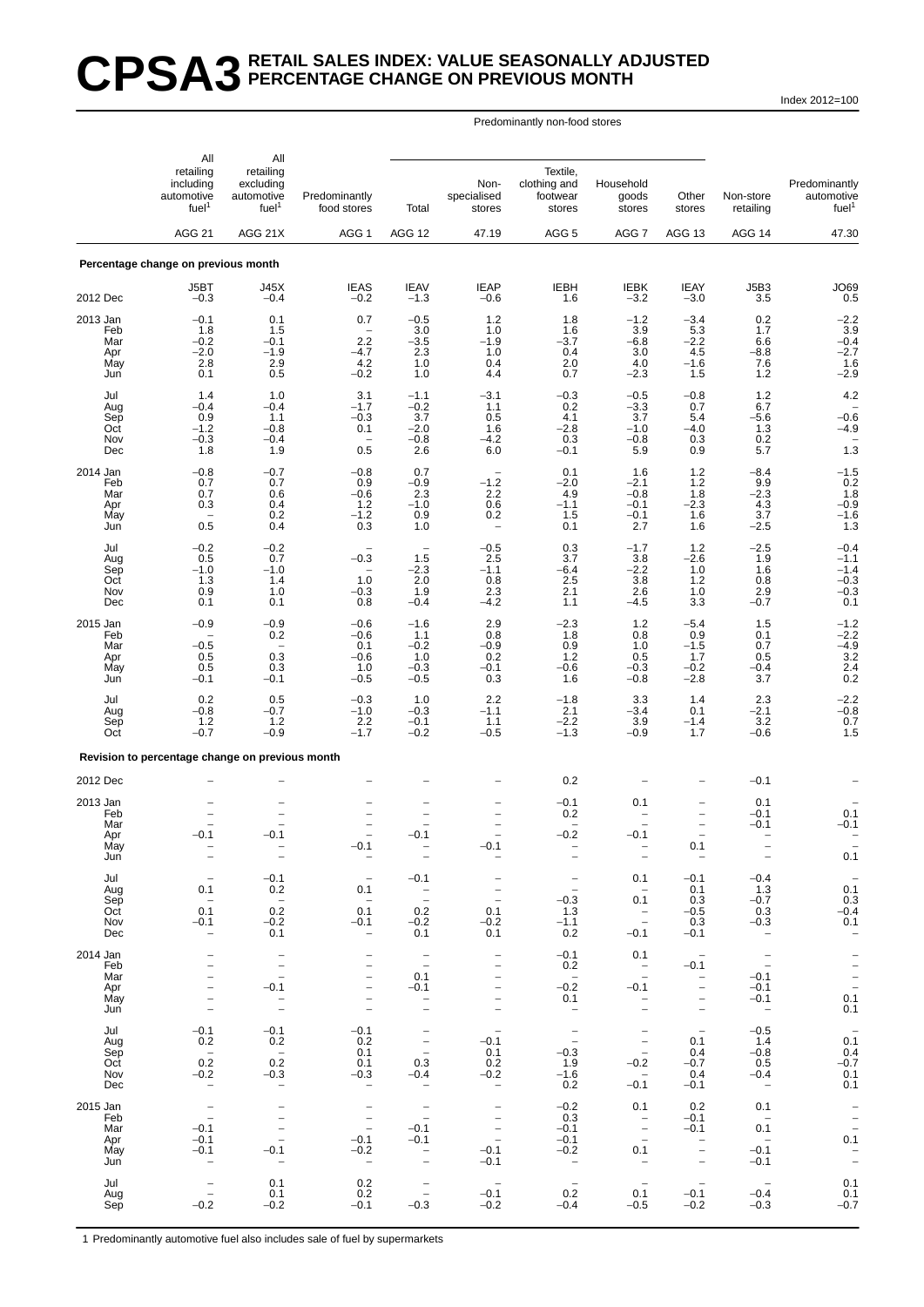# **CPSA3 RETAIL SALES INDEX: VALUE SEASONALLY ADJUSTED PERCENTAGE CHANGE ON PREVIOUS MONTH**

Index 2012=100

### Predominantly non-food stores

|                                             | All                                                                            | All                                                                                 |                                                                                                |                                                                              |                                                                          |                                                                |                                                                                  |                                                                                                       |                                                            |                                                  |
|---------------------------------------------|--------------------------------------------------------------------------------|-------------------------------------------------------------------------------------|------------------------------------------------------------------------------------------------|------------------------------------------------------------------------------|--------------------------------------------------------------------------|----------------------------------------------------------------|----------------------------------------------------------------------------------|-------------------------------------------------------------------------------------------------------|------------------------------------------------------------|--------------------------------------------------|
|                                             | retailing<br>including<br>automotive<br>fuel <sup>1</sup>                      | retailing<br>excluding<br>automotive<br>fuel <sup>1</sup>                           | Predominantly<br>food stores                                                                   | Total                                                                        | Non-<br>specialised<br>stores                                            | Textile,<br>clothing and<br>footwear<br>stores                 | Household<br>goods<br>stores                                                     | Other<br>stores                                                                                       | Non-store<br>retailing                                     | Predominantly<br>automotive<br>fuel <sup>1</sup> |
|                                             | AGG <sub>21</sub>                                                              | AGG 21X                                                                             | AGG <sub>1</sub>                                                                               | AGG 12                                                                       | 47.19                                                                    | AGG <sub>5</sub>                                               | AGG 7                                                                            | AGG 13                                                                                                | AGG 14                                                     | 47.30                                            |
|                                             | Percentage change on previous month                                            |                                                                                     |                                                                                                |                                                                              |                                                                          |                                                                |                                                                                  |                                                                                                       |                                                            |                                                  |
| 2012 Dec                                    | J5BT<br>$-0.3$                                                                 | J45X<br>$-0.4$                                                                      | <b>IEAS</b><br>$-0.2$                                                                          | <b>IEAV</b><br>$-1.3$                                                        | <b>IEAP</b><br>$-0.6$                                                    | <b>IEBH</b><br>1.6                                             | <b>IEBK</b><br>$-3.2$                                                            | <b>IEAY</b><br>$-3.0$                                                                                 | J5B3<br>3.5                                                | <b>JO69</b><br>0.5                               |
| 2013 Jan                                    | $-0.1$                                                                         | 0.1                                                                                 | 0.7                                                                                            | $-0.5$                                                                       | 1.2                                                                      | 1.8                                                            | $-1.2$                                                                           | $-3.4$                                                                                                | 0.2                                                        | $-2.2$                                           |
| Feb<br>Mar<br>Apr<br>May<br>Jun             | 1.8<br>$-0.2$<br>$-2.0$<br>2.8<br>0.1                                          | 1.5<br>$-0.1$<br>$-1.9$<br>2.9<br>0.5                                               | 2.2<br>$-4.7$<br>4.2<br>$-0.2$                                                                 | 3.0<br>$-3.5$<br>2.3<br>1.0<br>1.0                                           | 1.0<br>$-1.9$<br>1.0<br>0.4<br>4.4                                       | 1.6<br>-3.7<br>0.4<br>2.0<br>0.7                               | 3.9<br>$-6.8$<br>3.0<br>4.0<br>$-2.3$                                            | 5.3<br>$^{-2.2}_{-4.5}$<br>$-1.6$<br>1.5                                                              | 1.7<br>6.6<br>$-8.8$<br>7.6<br>$1.2$                       | $\frac{3.9}{-0.4}$<br>-2.7<br>$1.6 - 2.9$        |
| Jul<br>Aug<br>Sep<br>Oct<br>Nov<br>Dec      | 1.4<br>$-0.4$<br>0.9<br>$-1.2$<br>$-0.3$<br>1.8                                | 1.0<br>$-0.4$<br>1.1<br>$-0.8$<br>$-0.4$<br>1.9                                     | 3.1<br>$-1.7$<br>$-0.3$<br>0.1<br>$\overline{\phantom{0}}$<br>0.5                              | $-1.1$<br>$-0.2$<br>3.7<br>$-2.0$<br>$-0.8$<br>2.6                           | $-3.1$<br>1.1<br>0.5<br>1.6<br>$-4.2$<br>6.0                             | $-0.3$<br>0.2<br>4.1<br>$-2.8$<br>0.3<br>$-0.1$                | $-0.5$<br>$-3.3$<br>3.7<br>$-1.0$<br>$-0.8$<br>5.9                               | $-0.8$<br>0.7<br>5.4<br>$-4.0$<br>0.3<br>0.9                                                          | $1.2$<br>6.7<br>$-5.6$<br>1.3<br>0.2<br>5.7                | 4.2<br>$-0.6$<br>$-4.9$<br>1.3                   |
| 2014 Jan                                    | $-0.8$                                                                         | $-0.7$                                                                              | $-0.8$                                                                                         | 0.7                                                                          |                                                                          | 0.1                                                            | 1.6                                                                              | $1.2$                                                                                                 | $-8.4$                                                     | $^{-1.5}_{0.2}$                                  |
| Feb<br>Mar<br>Apr<br>May<br>Jun             | 0.7<br>0.7<br>0.3<br>0.5                                                       | 0.7<br>0.6<br>0.4<br>0.2<br>0.4                                                     | 0.9<br>$-0.6$<br>$1.2 - 1.2$<br>0.3                                                            | $-0.9$<br>2.3<br>$-1.0$<br>0.9<br>1.0                                        | $-1.2$<br>2.2<br>0.6<br>0.2<br>$\overline{\phantom{0}}$                  | $-2.0$<br>4.9<br>$-1.1$<br>1.5<br>0.1                          | $-2.1$<br>$-0.8$<br>$-0.1$<br>$-0.1$<br>2.7                                      | 1.2<br>1.8<br>$-2.3$<br>1.6<br>1.6                                                                    | 9.9<br>$-2.3$<br>4.3<br>$3.\overline{7}$<br>$-2.5$         | $\frac{1.8}{-0.9}$<br>-1.6<br>1.3                |
| Jul<br>Aug<br>Sep                           | $-0.2$<br>0.5<br>$-1.0$                                                        | $-0.2$<br>0.7<br>$-1.0$                                                             | $-0.3$<br>$\overline{\phantom{0}}$                                                             | $\qquad \qquad -$<br>1.5<br>$-2.3$                                           | $-0.5$<br>2.5<br>$-1.1$                                                  | 0.3<br>3.7<br>$-6.4$                                           | $-1.7$<br>3.8<br>$-2.2$                                                          | 1.2<br>$-2.6$<br>1.0                                                                                  | $-2.5$<br>1.9<br>1.6                                       | $-0.4$<br>$-1.1$<br>$-1.4$                       |
| Oct<br>Nov<br>Dec                           | 1.3<br>0.9<br>0.1                                                              | 1.4<br>1.0<br>0.1                                                                   | 1.0<br>$-0.3$<br>0.8                                                                           | 2.0<br>1.9<br>$-0.4$                                                         | 0.8<br>2.3<br>$-4.2$                                                     | 2.5<br>2.1<br>1.1                                              | 3.8<br>2.6<br>$-4.5$                                                             | $1.\overline{2}$<br>1.0<br>3.3                                                                        | 0.8<br>2.9<br>$-0.7$                                       | $-0.3$<br>$-0.3$<br>0.1                          |
| 2015 Jan<br>Feb                             | $-0.9$                                                                         | $-0.9$<br>0.2                                                                       | $-0.6$<br>$-0.6$                                                                               | $-1.6$<br>1.1                                                                | 2.9<br>0.8                                                               | $-2.3$<br>1.8                                                  | 1.2<br>0.8                                                                       | $-5.4$<br>0.9                                                                                         | 1.5<br>0.1                                                 | $-1.2$<br>$-2.2$<br>$-4.9$                       |
| Mar<br>Apr<br>May<br>Jun                    | $-0.5$<br>0.5<br>0.5<br>$-0.1$                                                 | 0.3<br>0.3<br>$-0.1$                                                                | 0.1<br>$-0.6$<br>1.0<br>$-0.5$                                                                 | $-0.2$<br>1.0<br>$-0.3$<br>$-0.5$                                            | $-0.9$<br>0.2<br>$-0.1$<br>0.3                                           | 0.9<br>$1.2$<br>$-0.6$<br>1.6                                  | 1.0<br>0.5<br>$-0.3$<br>$-0.8$                                                   | $-1.5$<br>1.7<br>$-0.2$<br>$-2.8$                                                                     | 0.7<br>0.5<br>$-0.4$<br>3.7                                | $\begin{array}{c} 3.2 \\ 2.4 \\ 0.2 \end{array}$ |
| Jul<br>Aug<br>Sep<br>Oct                    | 0.2<br>$-0.8$<br>1.2<br>$-0.7$                                                 | 0.5<br>$-0.7$<br>$1.2$<br>$-0.9$                                                    | $-0.3$<br>$-1.0$<br>2.2<br>$-1.7$                                                              | 1.0<br>$-0.3$<br>$-0.1$<br>$-0.2$                                            | 2.2<br>$-1.1$<br>1.1<br>$-0.5$                                           | $-1.8$<br>2.1<br>$-2.2$<br>$-1.3$                              | 3.3<br>$-3.4$<br>3.9<br>$-0.9$                                                   | 1.4<br>0.1<br>$-1.4$<br>1.7                                                                           | 2.3<br>$-2.1$<br>3.2<br>$-0.6$                             | $-2.2$<br>$-0.8$<br>$0.7$<br>1.5                 |
|                                             | Revision to percentage change on previous month                                |                                                                                     |                                                                                                |                                                                              |                                                                          |                                                                |                                                                                  |                                                                                                       |                                                            |                                                  |
| 2012 Dec                                    |                                                                                |                                                                                     |                                                                                                |                                                                              |                                                                          | 0.2                                                            |                                                                                  |                                                                                                       | $-0.1$                                                     |                                                  |
| 2013 Jan<br>Feb<br>Mar<br>Apr<br>May<br>Jun | $-0.1$                                                                         | $-0.1$                                                                              | $\equiv$<br>$-0.1$                                                                             | $-0.1$                                                                       | $-0.1$                                                                   | $-0.1$<br>0.2<br>۰<br>$-0.2$                                   | 0.1<br>$-0.1$                                                                    | $\overline{\phantom{0}}$<br>$\overline{\phantom{a}}$<br>0.1                                           | 0.1<br>$-0.1$<br>$-0.1$                                    | 0.1<br>$-0.1$<br>0.1                             |
| Jul<br>Aug                                  | 0.1                                                                            | $-0.1$<br>0.2                                                                       | 0.1                                                                                            | $-0.1$                                                                       | $\overline{a}$                                                           | $\overline{\phantom{a}}$<br>$\overline{\phantom{a}}$           | 0.1<br>$\hspace{0.1mm}-\hspace{0.1mm}$                                           | $-0.1$<br>0.1                                                                                         | $-0.4$<br>1.3                                              | $0.\overline{1}$                                 |
| Sep<br>Oct<br>Nov<br>Dec                    | $\overline{\phantom{a}}$<br>0.1<br>$-0.1$<br>-                                 | $\overline{\phantom{0}}$<br>0.2<br>$-0.2$<br>0.1                                    | $\overline{\phantom{a}}$<br>0.1<br>$-0.1$<br>$\qquad \qquad -$                                 | $\sim$ $-$<br>$\overline{\phantom{a}}$<br>0.2<br>$-0.2$<br>0.1               | $\overline{\phantom{m}}$<br>0.1<br>$-0.2$<br>0.1                         | $-0.3$<br>1.3<br>$-1.1$<br>0.2                                 | 0.1<br>$\overline{\phantom{a}}$<br>$-0.1$                                        | 0.3<br>$-0.5$<br>0.3<br>$-0.1$                                                                        | $-0.7$<br>0.3<br>$-0.3$<br>$\hspace{0.1mm}-\hspace{0.1mm}$ | 0.3<br>$-0.4$<br>0.1<br>$\overline{\phantom{a}}$ |
| 2014 Jan<br>Feb                             | $\overline{\phantom{0}}$                                                       | $\overline{\phantom{a}}$<br>$\bar{a}$                                               | $\qquad \qquad -$                                                                              | $\overline{\phantom{a}}$<br>$\sim$                                           | $\qquad \qquad -$<br>$\qquad \qquad -$                                   | $-0.1$<br>0.2                                                  | 0.1<br>$\overline{a}$                                                            | $\sim$<br>$-0.1$                                                                                      | $\overline{\phantom{a}}$<br>$\sim$ $-$                     |                                                  |
| Mar<br>Apr<br>May<br>Jun                    | $\overline{\phantom{0}}$<br>-<br>$\qquad \qquad -$<br>$\overline{\phantom{0}}$ | $-0.1$<br>$\equiv$<br>$\qquad \qquad -$                                             | $\overline{\phantom{a}}$<br>$\qquad \qquad -$<br>$\qquad \qquad -$<br>$\overline{\phantom{a}}$ | 0.1<br>$-0.1$<br>$\overline{\phantom{a}}$<br>$\overline{\phantom{a}}$        | $\qquad \qquad -$                                                        | $\sim$ $-$<br>$-0.2$<br>0.1<br>$\hspace{0.1mm}-\hspace{0.1mm}$ | $\overline{a}$<br>$-0.1$<br>$\overline{\phantom{a}}$<br>$\overline{\phantom{a}}$ | $\overline{\phantom{a}}$<br>$\overline{\phantom{0}}$<br>$\qquad \qquad -$<br>$\overline{\phantom{a}}$ | $-0.1$<br>$-0.1$<br>$-0.1$<br>$\overline{\phantom{a}}$     | $\frac{-}{-}$<br>0.1<br>0.1                      |
| Jul<br>Aug                                  | $-0.1$<br>0.2                                                                  | $-0.1$<br>0.2                                                                       | $-0.1$<br>0.2                                                                                  | $\overline{\phantom{m}}$<br>$\overline{\phantom{a}}$                         | $-0.1$                                                                   | $\overline{\mathbb{Z}}$                                        | $\overline{\phantom{a}}$<br>$\overline{\phantom{a}}$                             | $\hspace{0.1mm}-\hspace{0.1mm}$<br>0.1                                                                | $-0.5$<br>1.4                                              | $\overline{\phantom{a}}$<br>0.1                  |
| Sep<br>Oct<br>Nov<br>Dec                    | $\overline{\phantom{0}}$<br>0.2<br>$-0.2$<br>$\hspace{0.1mm}-\hspace{0.1mm}$   | $\sim$<br>0.2<br>$-0.3$<br>$\overline{\phantom{a}}$                                 | 0.1<br>0.1<br>$-0.3$<br>$\overline{\phantom{a}}$                                               | $\hspace{0.1mm}-\hspace{0.1mm}$<br>0.3<br>$-0.4$<br>$\overline{\phantom{a}}$ | 0.1<br>0.2<br>$-0.2$<br>$\hspace{1.0cm} - \hspace{1.0cm}$                | $-0.3$<br>1.9<br>$-1.6$<br>0.2                                 | $\sim$<br>$-0.2$<br>$-$<br>$-0.1$                                                | 0.4<br>$-0.7$<br>0.4<br>$-0.1$                                                                        | $-0.8$<br>0.5<br>$-0.4$<br>$\sim$ $-$                      | 0.4<br>$-0.7$<br>0.1<br>0.1                      |
| 2015 Jan<br>Feb                             | $\overline{\phantom{m}}$<br>$\sim$                                             | $\overline{\phantom{a}}$<br>$\overline{\phantom{a}}$                                | $\overline{\phantom{a}}$<br>$\bar{z}$                                                          | $\overline{\phantom{a}}$<br>$\sim$ $-$                                       | $\overline{\phantom{a}}$<br>$\overline{\phantom{a}}$                     | $-0.2$<br>0.3                                                  | 0.1<br>$\sim$ $-$                                                                | 0.2<br>$-0.1$                                                                                         | 0.1<br>$\sim$                                              | $\overline{\phantom{m}}$<br>$\qquad \qquad -$    |
| Mar<br>Apr<br>May<br>Jun                    | $-0.1$<br>$-0.1$<br>$-0.1$                                                     | $\overline{\phantom{m}}$<br>$\overline{\phantom{a}}$<br>$-0.1$<br>$\qquad \qquad -$ | $-0.1$<br>$-0.2$<br>$\overline{\phantom{a}}$                                                   | $-0.1$<br>$-0.1$<br>$\overline{\phantom{a}}$<br>$\overline{\phantom{a}}$     | $\overline{\phantom{a}}$<br>$\overline{\phantom{a}}$<br>$-0.1$<br>$-0.1$ | $-0.1$<br>$-0.1$<br>$-0.2$<br>$\sim$                           | $\overline{\phantom{a}}$<br>$\overline{\phantom{m}}$<br>0.1                      | $-0.1$<br>$\overline{\phantom{m}}$<br>$\qquad \qquad -$<br>$\overline{\phantom{a}}$                   | 0.1<br>$\overline{\phantom{0}}$<br>$-0.1$<br>$-0.1$        | $\overline{\phantom{m}}$<br>0.1<br>$\bar{a}$     |
| Jul<br>Aug<br>Sep                           | $\overline{\phantom{a}}$<br>$-0.2$                                             | 0.1<br>0.1<br>$-0.2$                                                                | 0.2<br>0.2<br>$-0.1$                                                                           | $\overline{\phantom{a}}$<br>$-0.3$                                           | $\overline{\phantom{0}}$<br>$-0.1$<br>$-0.2$                             | $\overline{\phantom{a}}$<br>0.2<br>$-0.4$                      | $\overline{\phantom{m}}$<br>0.1<br>$-0.5$                                        | $\overline{\phantom{a}}$<br>$-0.1$<br>$-0.2$                                                          | $\overline{\phantom{a}}$<br>$-0.4$<br>$-0.3$               | 0.1<br>0.1<br>$-0.7$                             |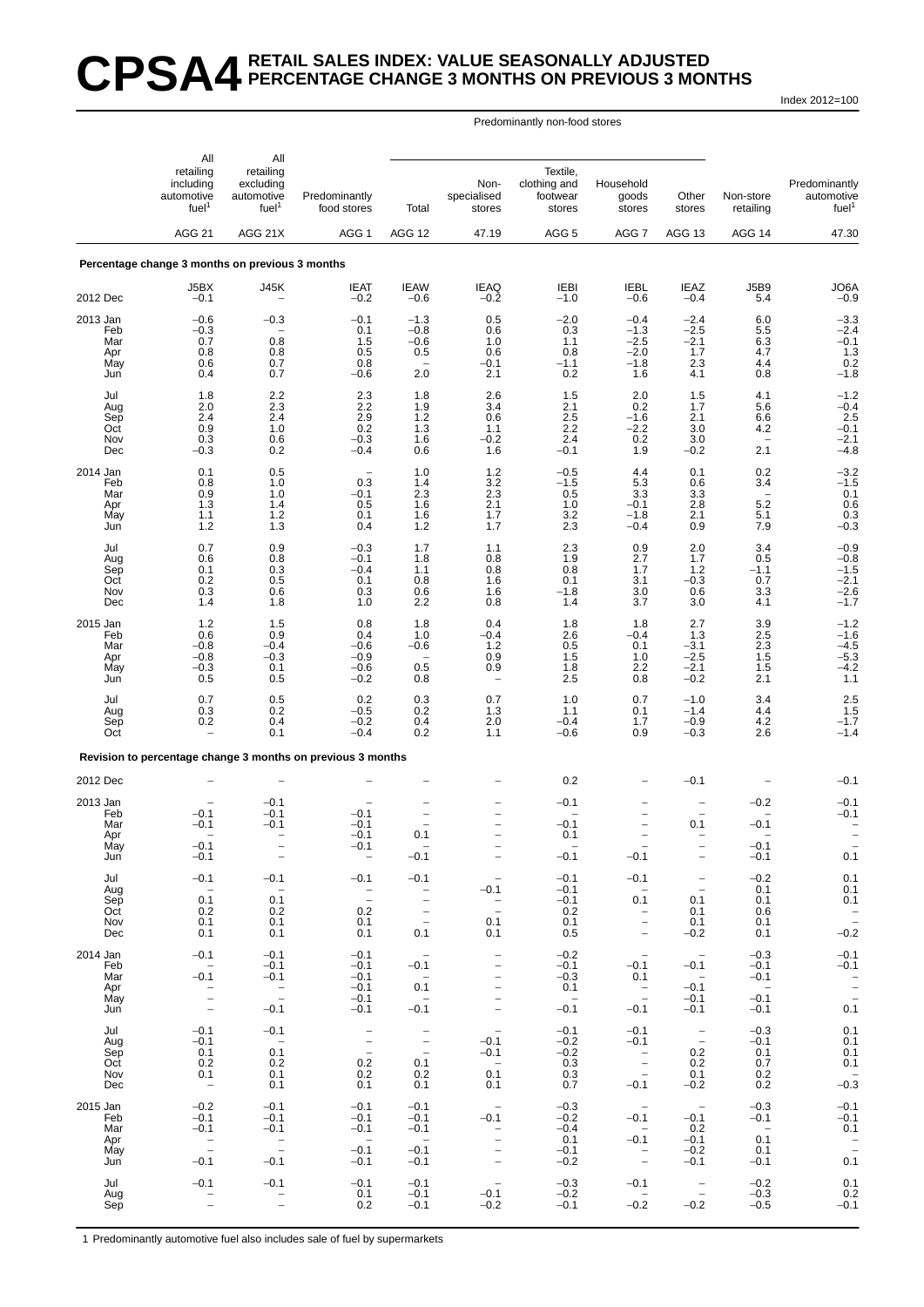# **CPSA4 RETAIL SALES INDEX: VALUE SEASONALLY ADJUSTED PERCENTAGE CHANGE 3 MONTHS ON PREVIOUS 3 MONTHS**

Index 2012=100

#### Predominantly non-food stores

|                                             | All                                                                                 | All                                                                         |                                                                            |                                                                                                          |                                                                                                                           |                                                       |                                                                  |                                                                                     |                                                              |                                                            |
|---------------------------------------------|-------------------------------------------------------------------------------------|-----------------------------------------------------------------------------|----------------------------------------------------------------------------|----------------------------------------------------------------------------------------------------------|---------------------------------------------------------------------------------------------------------------------------|-------------------------------------------------------|------------------------------------------------------------------|-------------------------------------------------------------------------------------|--------------------------------------------------------------|------------------------------------------------------------|
|                                             | retailing<br>including<br>automotive<br>fuel <sup>1</sup>                           | retailing<br>excluding<br>automotive<br>fuel <sup>1</sup>                   | Predominantly<br>food stores                                               | Total                                                                                                    | Non-<br>specialised<br>stores                                                                                             | Textile,<br>clothing and<br>footwear<br>stores        | Household<br>goods<br>stores                                     | Other<br>stores                                                                     | Non-store<br>retailing                                       | Predominantly<br>automotive<br>fuel <sup>1</sup>           |
|                                             | <b>AGG 21</b>                                                                       | AGG 21X                                                                     | AGG <sub>1</sub>                                                           | AGG 12                                                                                                   | 47.19                                                                                                                     | AGG <sub>5</sub>                                      | AGG 7                                                            | AGG 13                                                                              | AGG 14                                                       | 47.30                                                      |
|                                             | Percentage change 3 months on previous 3 months                                     |                                                                             |                                                                            |                                                                                                          |                                                                                                                           |                                                       |                                                                  |                                                                                     |                                                              |                                                            |
| 2012 Dec                                    | J5BX<br>$-0.1$                                                                      | J45K                                                                        | <b>IEAT</b><br>$-0.2$                                                      | <b>IEAW</b><br>$-0.6$                                                                                    | <b>IEAQ</b><br>$-0.2$                                                                                                     | <b>IEBI</b><br>$-1.0$                                 | <b>IEBL</b><br>$-0.6$                                            | <b>IEAZ</b><br>$-0.4$                                                               | <b>J5B9</b><br>5.4                                           | JO6A<br>$-0.9$                                             |
| 2013 Jan<br>Feb<br>Mar<br>Apr<br>May<br>Jun | $-0.6$<br>$-0.3$<br>0.7<br>0.8<br>0.6<br>0.4                                        | $-0.3$<br>0.8<br>0.8<br>0.7<br>0.7                                          | $-0.1$<br>0.1<br>1.5<br>0.5<br>0.8<br>$-0.6$                               | $-1.3$<br>$-0.8$<br>$-0.6$<br>0.5<br>$\overline{\phantom{0}}$<br>2.0                                     | 0.5<br>0.6<br>1.0<br>0.6<br>$-0.1$<br>2.1                                                                                 | $-2.0$<br>0.3<br>1.1<br>0.8<br>$-1.1$<br>0.2          | $-0.4$<br>$-1.3$<br>$-2.5$<br>$-2.0$<br>$-1.8$<br>1.6            | $-2.4$<br>$-2.5$<br>$-2.1$<br>1.7<br>2.3<br>4.1                                     | 6.0<br>5.5<br>6.3<br>4.7<br>4.4<br>0.8                       | $-3.3$<br>$-2.4$<br>$-0.1$<br>1.3<br>0.2<br>-1.8           |
| Jul<br>Aug<br>Sep<br>Oct<br>Nov<br>Dec      | 1.8<br>2.0<br>2.4<br>0.9<br>0.3<br>$-0.3$                                           | 2.2<br>2.3<br>2.4<br>1.0<br>0.6<br>0.2                                      | 2.3<br>2.2<br>2.9<br>0.2<br>$-0.3$<br>$-0.4$                               | 1.8<br>1.9<br>1.2<br>1.3<br>1.6<br>0.6                                                                   | 2.6<br>3.4<br>0.6<br>1.1<br>$-0.2$<br>1.6                                                                                 | 1.5<br>2.1<br>2.5<br>2.2<br>2.4<br>$-0.1$             | 2.0<br>0.2<br>$-1.6$<br>$-2.2$<br>0.2<br>1.9                     | 1.5<br>1.7<br>2.1<br>3.0<br>3.0<br>$-0.2$                                           | 4.1<br>5.6<br>6.6<br>4.2<br>2.1                              | $-1.2$<br>$-0.4$<br>2.5<br>$-0.1$<br>$-2.1$<br>$-4.8$      |
| 2014 Jan<br>Feb<br>Mar<br>Apr<br>May<br>Jun | 0.1<br>0.8<br>0.9<br>1.3<br>1.1<br>$1.2$                                            | 0.5<br>1.0<br>1.0<br>1.4<br>1.2<br>1.3                                      | $\overline{\phantom{a}}$<br>0.3<br>$-0.1$<br>0.5<br>0.1<br>0.4             | 1.0<br>1.4<br>2.3<br>1.6<br>1.6<br>1.2                                                                   | $\begin{array}{c} 1.2 \\ 3.2 \\ 2.3 \end{array}$<br>2.1<br>1.7<br>1.7                                                     | $-0.5$<br>$-1.5$<br>0.5<br>1.0<br>3.2<br>2.3          | 4.4<br>5.3<br>3.3<br>$-0.1$<br>$-1.8$<br>$-0.4$                  | 0.1<br>0.6<br>3.3<br>$2.8$<br>2.1<br>0.9                                            | 0.2<br>3.4<br>5.2<br>5.1<br>7.9                              | $-3.2$<br>$-1.5$<br>0.1<br>$0.6$<br>$0.3$<br>$-0.3$        |
| Jul<br>Aug<br>Sep<br>Oct<br>Nov<br>Dec      | 0.7<br>0.6<br>0.1<br>0.2<br>0.3<br>1.4                                              | 0.9<br>0.8<br>0.3<br>0.5<br>0.6<br>1.8                                      | $-0.3$<br>$-0.1$<br>$-0.4$<br>0.1<br>0.3<br>1.0                            | 1.7<br>1.8<br>1.1<br>0.8<br>0.6<br>2.2                                                                   | 1.1<br>0.8<br>0.8<br>1.6<br>1.6<br>0.8                                                                                    | 2.3<br>1.9<br>0.8<br>0.1<br>$-1.8$<br>1.4             | 0.9<br>2.7<br>1.7<br>3.1<br>3.0<br>3.7                           | 2.0<br>1.7<br>$1.2$<br>$-0.3$<br>0.6<br>3.0                                         | 3.4<br>0.5<br>$-1.1$<br>0.7<br>3.3<br>4.1                    | $-0.9$<br>$-0.8$<br>$-1.5$<br>$-2.1$<br>$-2.6$<br>$-1.7$   |
| 2015 Jan<br>Feb<br>Mar<br>Apr<br>May<br>Jun | $1.2$<br>0.6<br>$-0.8$<br>$-0.8$<br>$-0.3$<br>0.5                                   | 1.5<br>0.9<br>$-0.4$<br>$-0.3$<br>0.1<br>0.5                                | 0.8<br>0.4<br>$-0.6$<br>$-0.9$<br>$-0.6$<br>$-0.2$                         | 1.8<br>1.0<br>$-0.6$<br>$\overline{\phantom{a}}$<br>0.5<br>0.8                                           | 0.4<br>$-0.4$<br>1.2<br>0.9<br>0.9                                                                                        | 1.8<br>2.6<br>0.5<br>1.5<br>1.8<br>2.5                | 1.8<br>$-0.4$<br>0.1<br>1.0<br>2.2<br>0.8                        | 2.7<br>1.3<br>$-3.1$<br>$-2.5$<br>$-2.1$<br>$-0.2$                                  | 3.9<br>2.5<br>2.3<br>1.5<br>1.5<br>2.1                       | $-1.2$<br>$-1.6$<br>$-4.5$<br>$-5.3$<br>$-4.2$<br>1.1      |
| Jul<br>Aug<br>Sep<br>Oct                    | 0.7<br>0.3<br>0.2                                                                   | 0.5<br>0.2<br>0.4<br>0.1                                                    | 0.2<br>$-0.5$<br>$-0.2$<br>$-0.4$                                          | 0.3<br>0.2<br>0.4<br>0.2                                                                                 | 0.7<br>1.3<br>2.0<br>1.1                                                                                                  | 1.0<br>1.1<br>$-0.4$<br>$-0.6$                        | 0.7<br>0.1<br>1.7<br>0.9                                         | $-1.0$<br>$-1.4$<br>$-0.9$<br>$-0.3$                                                | 3.4<br>4.4<br>4.2<br>2.6                                     | $2.5$<br>$1.5$<br>$-1.7$<br>$-1.4$                         |
|                                             |                                                                                     |                                                                             | Revision to percentage change 3 months on previous 3 months                |                                                                                                          |                                                                                                                           |                                                       |                                                                  |                                                                                     |                                                              |                                                            |
| 2012 Dec                                    |                                                                                     |                                                                             |                                                                            |                                                                                                          |                                                                                                                           | 0.2                                                   | $\qquad \qquad -$                                                | $-0.1$                                                                              |                                                              | $-0.1$                                                     |
| 2013 Jan<br>Feb<br>Mar<br>Apr<br>May<br>Jun | $-0.1$<br>$-0.1$<br>$-0.1$<br>$-0.1$                                                | $-0.1$<br>$-0.1$<br>$-0.1$<br>$\overline{\phantom{0}}$<br>$\qquad \qquad -$ | $-0.1$<br>$-0.1$<br>$-0.1$<br>-0.1<br>$\qquad \qquad -$                    | 0.1<br>$-0.1$                                                                                            | $\overline{\phantom{0}}$<br>$\qquad \qquad -$                                                                             | -0.1<br>$-0.1$<br>0.1<br>$-0.1$                       | $\qquad \qquad -$<br>$\qquad \qquad -$<br>$-0.1$                 | $\overline{\phantom{a}}$<br>0.1<br>$\qquad \qquad -$                                | $-0.2$<br>$-0.1$<br>$-0.1$<br>$-0.1$                         | $-0.1$<br>$-0.1$<br>0.1                                    |
| Jul<br>Aug<br>Sep<br>Oct<br>Nov<br>Dec      | $-0.1$<br>$\sim$<br>0.1<br>0.2<br>0.1<br>0.1                                        | $-0.1$<br>$\sim$<br>0.1<br>0.2<br>0.1<br>0.1                                | $-0.1$<br>$\overline{\mathbb{Z}}$<br>0.2<br>0.1<br>0.1                     | $-0.1$<br>$\overline{\phantom{0}}$<br>$\overline{\phantom{a}}$<br>$\overline{\phantom{a}}$<br>$-$<br>0.1 | $-0.1$<br>$\bar{a}$<br>0.1<br>0.1                                                                                         | $-0.1$<br>$-0.1$<br>$-0.1$<br>0.2<br>0.1<br>0.5       | $-0.1$<br>$-$<br>0.1<br>$\bar{\Box}$<br>$\overline{\phantom{0}}$ | $\overline{\phantom{a}}$<br>$\overline{\phantom{a}}$<br>0.1<br>0.1<br>0.1<br>$-0.2$ | $-0.2$<br>0.1<br>0.1<br>0.6<br>0.1<br>0.1                    | 0.1<br>0.1<br>0.1<br>$\mathbb{I}$<br>$-0.2$                |
| 2014 Jan<br>Feb<br>Mar<br>Apr<br>May<br>Jun | $-0.1$<br>$\sim$<br>$-0.1$<br>$\frac{1}{\pi}$                                       | $-0.1$<br>$-0.1$<br>$-0.1$<br>$\frac{1}{2}$<br>$-0.1$                       | $-0.1$<br>$-0.1$<br>$-0.1$<br>$-0.1$<br>$-0.1$<br>$-0.1$                   | $\sim$<br>$-0.1$<br>$\sim$<br>0.1<br>$\sim$<br>$-0.1$                                                    | $\overline{\phantom{a}}$<br>$\overline{\phantom{a}}$<br>$\overline{\phantom{a}}$<br>$\overline{\phantom{a}}$<br>$\bar{a}$ | $-0.2$<br>$-0.1$<br>$-0.3$<br>0.1<br>$\sim$<br>$-0.1$ | $\sim$ $-$<br>$-0.1$<br>0.1<br>$\frac{1}{2}$<br>$-0.1$           | $\sim$<br>$-0.1$<br>$\sim$ $-$<br>$-0.1$<br>$-0.1$<br>$-0.1$                        | $-0.3$<br>$-0.1$<br>$-0.1$<br>$\sim$ $-$<br>$-0.1$<br>$-0.1$ | $-0.1$<br>$-0.1$<br>$\frac{1}{\pi}$<br>0.1                 |
| Jul<br>Aug<br>Sep<br>Oct<br>Nov<br>Dec      | $-0.1$<br>$-0.1$<br>0.1<br>0.2<br>0.1<br>$-$                                        | $-0.1$<br>$\sim$<br>0.1<br>0.2<br>0.1<br>0.1                                | $\bar{\mathbb{I}}$<br>$\hspace{0.1mm}-\hspace{0.1mm}$<br>0.2<br>0.2<br>0.1 | $\bar{\mathbb{I}}$<br>$\sim$ $-$<br>0.1<br>0.2<br>0.1                                                    | $\sim$ $-$<br>$-0.1$<br>$-0.1$<br>$0.\overline{1}$<br>0.1                                                                 | $-0.1$<br>$-0.2$<br>$-0.2$<br>0.3<br>0.3<br>0.7       | $-0.1$<br>$-0.1$<br>$\frac{1}{2}$<br>$-0.1$                      | $\overline{\phantom{a}}$<br>0.2<br>0.2<br>0.1<br>$-0.2$                             | $-0.3$<br>$-0.1$<br>0.1<br>0.7<br>0.2<br>0.2                 | 0.1<br>0.1<br>0.1<br>0.1<br>$-0.\overline{3}$              |
| 2015 Jan<br>Feb<br>Mar<br>Apr<br>May<br>Jun | $-0.2$<br>$-0.1$<br>$-0.1$<br>$\hspace{0.1mm}-\hspace{0.1mm}$<br>$\equiv$<br>$-0.1$ | $-0.1$<br>$-0.1$<br>$-0.1$<br>$\gamma=$<br>$\sim$<br>$-0.1$                 | $-0.1$<br>$-0.1$<br>$-0.1$<br>$\overline{\phantom{0}}$<br>$-0.1$<br>$-0.1$ | $-0.1$<br>$-0.1$<br>$-0.1$<br>$\sim$<br>$-0.1$<br>$-0.1$                                                 | $\overline{\phantom{0}}$<br>$-0.1$<br>$\bar{a}$                                                                           | $-0.3$<br>$-0.2$<br>$-0.4$<br>0.1<br>$-0.1$<br>$-0.2$ | $-0.1$<br>$\sim$<br>$-0.1$<br>$\overline{\phantom{a}}$           | $-0.1$<br>0.2<br>$-0.1$<br>$-0.2$<br>$-0.1$                                         | $-0.3$<br>$-0.1$<br>$\sim$<br>0.1<br>0.1<br>$-0.1$           | $-0.1$<br>$-0.1$<br>0.1<br>$\overline{\phantom{a}}$<br>0.1 |
| Jul<br>Aug<br>Sep                           | $-0.1$                                                                              | $-0.1$<br>$\bar{a}$                                                         | $-0.1$<br>0.1<br>0.2                                                       | $-0.1$<br>$-0.1$<br>$-0.1$                                                                               | $-0.1$<br>$-0.2$                                                                                                          | $-0.3$<br>$-0.2$<br>$-0.1$                            | $-0.1$<br>$\sim$ $-$<br>$-0.2$                                   | $\sim$ $-$<br>$\sim$ $-$<br>$-0.2$                                                  | $-0.2$<br>$-0.3$<br>$-0.5$                                   | 0.1<br>0.2<br>$-0.1$                                       |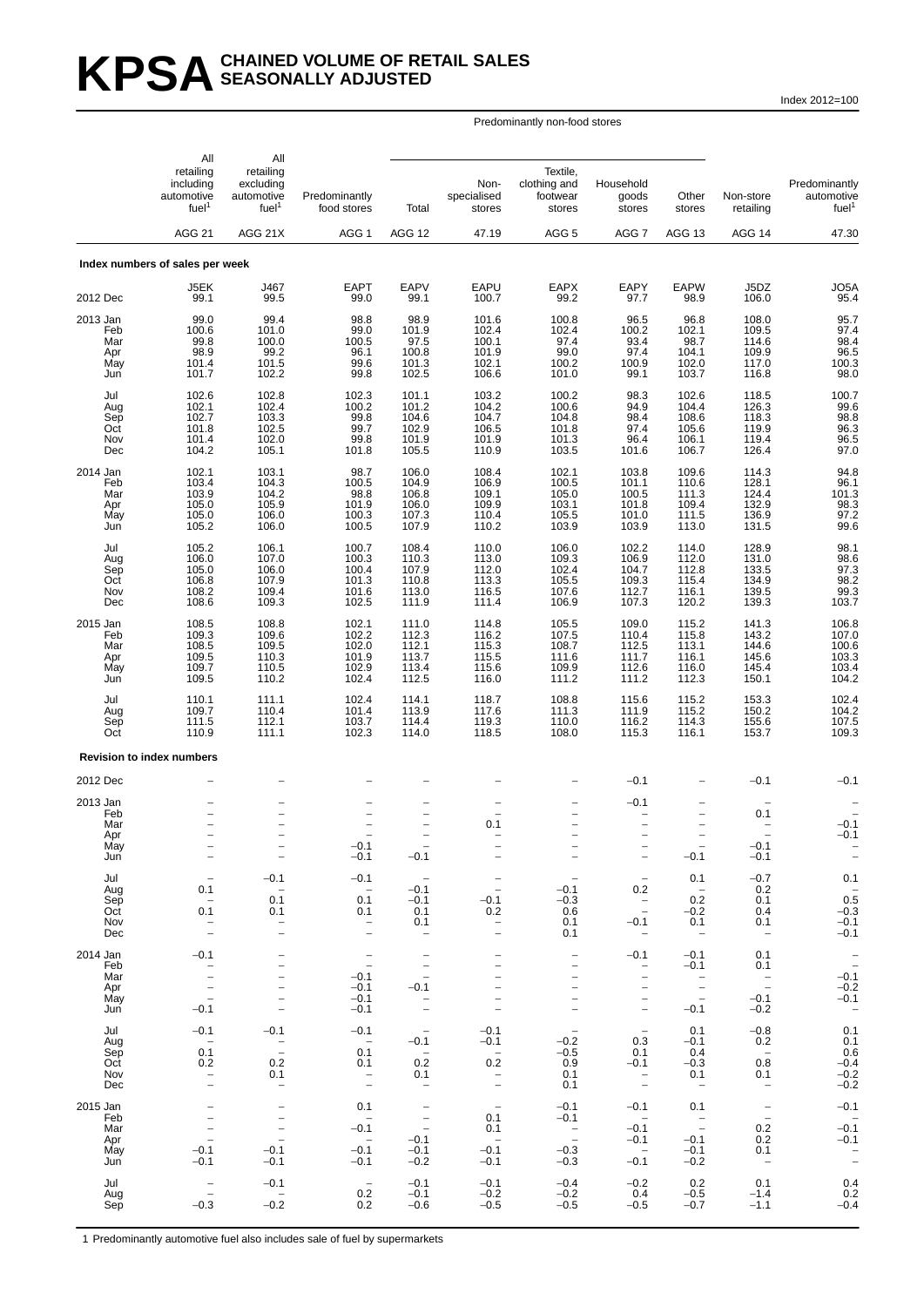# KPSA SEASONALLY ADJUSTED **SEASONALLY ADJUSTED**

Index 2012=100

#### All All retailing retailing retailing that the metal of the retaile,<br>Textile, including excluding the state of the metal of the clothing and including excluding  $\blacksquare$  Non- clothing and Household Predominantly automotive automotive Predominantly specialised footwear goods Other Non-store automotive<br>
fuel<sup>1</sup> fuel<sup>1</sup> food stores Total stores stores stores retailing fuel<sup>1</sup> fuel<sup>1</sup> fuel<sup>1</sup> food stores Total stores stores stores stores retailing fuel<sup>1</sup> AGG 21 AGG 21X AGG 1 AGG 12 47.19 AGG 5 AGG 7 AGG 13 AGG 14 47.30 **Index numbers of sales per week** J5EK J467 EAPT EAPV EAPU EAPX EAPY EAPW J5DZ JO5A 2012 Dec 99.1 99.5 99.0 99.1 100.7 99.2 97.7 98.9 106.0 95.4 2013 Jan 99.0 99.4 98.8 98.9 101.6 100.8 96.5 96.8 108.0 95.7 Feb 100.6 101.0 99.0 101.9 102.4 102.4 100.2 102.1 109.5 97.4 Mar 99.8 100.0 100.5 97.5 100.1 97.4 93.4 98.7 114.6 98.4 Apr 98.9 99.2 96.1 100.8 101.9 99.0 97.4 104.1 109.9 96.5 May 101.4 101.5 99.6 101.3 102.1 100.2 100.9 102.0 117.0 100.3 Jun 101.7 102.2 99.8 102.5 106.6 101.0 99.1 103.7 116.8 98.0 Jul 102.6 102.8 102.3 101.1 103.2 100.2 98.3 102.6 118.5 100.7 Aug 102.1 102.4 100.2 101.2 104.2 100.6 94.9 104.4 126.3 99.6 Sep 102.7 103.3 99.8 104.6 104.7 104.8 98.4 108.6 118.3 98.8 Oct 101.8 102.5 99.7 102.9 106.5 101.8 97.4 105.6 119.9 96.3 Nov 101.4 102.0 99.8 101.9 101.9 101.3 96.4 106.1 119.4 96.5 Dec 104.2 105.1 101.8 105.5 110.9 103.5 101.6 106.7 126.4 97.0 2014 Jan 102.1 103.1 98.7 106.0 108.4 102.1 103.8 109.6 114.3 94.8 Feb 103.4 104.3 100.5 104.9 106.9 100.5 101.1 110.6 128.1 96.1 Mar 103.9 104.2 98.8 106.8 109.1 105.0 100.5 111.3 124.4 101.3 Apr 105.0 105.9 101.9 106.0 109.9 103.1 101.8 109.4 132.9 98.3 May 105.0 106.0 100.3 107.3 110.4 105.5 101.0 111.5 136.9 97.2 Jun 105.2 106.0 100.5 107.9 110.2 103.9 103.9 113.0 131.5 99.6 Jul 105.2 106.1 100.7 108.4 110.0 106.0 102.2 114.0 128.9 98.1 Aug 106.0 107.0 100.3 110.3 113.0 109.3 106.9 112.0 131.0 98.6 Sep 105.0 106.0 100.4 107.9 112.0 102.4 104.7 112.8 133.5 97.3 Oct 106.8 107.9 101.3 110.8 113.3 105.5 109.3 115.4 134.9 98.2 Nov 108.2 109.4 101.6 113.0 116.5 107.6 112.7 116.1 139.5 99.3 Dec 108.6 109.3 102.5 111.9 111.4 106.9 107.3 120.2 139.3 103.7 2015 Jan 108.5 108.8 102.1 111.0 114.8 105.5 109.0 115.2 141.3 106.8 Feb 109.3 109.6 102.2 112.3 116.2 107.5 110.4 115.8 143.2 107.0 Mar 108.5 109.5 102.0 112.1 115.3 108.7 112.5 113.1 144.6 100.6 Apr 109.5 110.3 101.9 113.7 115.5 111.6 111.7 116.1 145.6 103.3 May 109.7 110.5 102.9 113.4 115.6 109.9 112.6 116.0 145.4 103.4 Jun 109.5 110.2 102.4 112.5 116.0 111.2 111.2 112.3 150.1 104.2 Jul 110.1 111.1 102.4 114.1 118.7 108.8 115.6 115.2 153.3 102.4 Aug 109.7 110.4 101.4 113.9 117.6 111.3 111.9 115.2 150.2 104.2 Sep 111.5 112.1 103.7 114.4 119.3 110.0 116.2 114.3 155.6 107.5 Oct 110.9 111.1 102.3 114.0 118.5 108.0 115.3 116.1 153.7 109.3 **Revision to index numbers** 2012 Dec − − − − − −−0.1 − −0.1 −0.1 2013 Jan − − − − − −−0.1 −− − Feb − − − − − − − − − − − − − − − − − − 0.1 − Mar − − − − − − 0.1 − − − − − − − − Apr − − − − − − − − − −0.1 May −− −0.1 − − − − −−0.1 − Jun −− −− −− −−0.1 −−0.1 −−− −− −− −− −− −−0.1 −−0.1 −−0.1 −− Jul − −0.1 −0.1 − − −− 0.1 −0.7 0.1 Aug 0.1 − −−0.1 − −0.1 0.2 <sup>−</sup> 0.2 <sup>−</sup> Sep <sup>−</sup> 0.1 0.1 <sup>−</sup>0.1 <sup>−</sup>0.1 <sup>−</sup>0.3 <sup>−</sup> 0.2 0.1 0.5 Oct 0.1 0.1 0.1 0.1 0.2 0.6 − −0.2 0.4 −0.3 Nov − − − − 0.1 − 0.1 − 0.1 0.1 0.1 −0.1 Dec − − − − − − − 0.1 − − − − − − − 0.1 2014 Jan <sup>−</sup>0.1 − − − − −−0.1 <sup>−</sup>0.1 0.1 <sup>−</sup> Feb − − − − − − −−0.1 0.1 <sup>−</sup> Mar −− −0.1 − − − −− − −0.1 Apr −− −− −−0.1 −0.1 −− − − − − − − − May −− −0.1 − − − − −−0.1 −0.1 Jun −0.1 − −0.1 − − − −−0.1 −0.2 − Jul −0.1 −0.1 −0.1 − −0.1 − − 0.1 −0.8 0.1 Aug − − − − − −0.1 −0.1 −0.2 0.3 −0.1 0.2 0.1 Sep 0.1 − 0.1 − −−0.5 0.1 0.4 − 0.6 Oct 0.2 0.2 0.1 0.2 0.2 0.9 −0.1 −0.3 0.8 −0.4 Nov − 0.1 − 0.1 − 0.1 − 0.1 − 0.1 0.1 − 0.2 Dec − − − − − − − 0.1 − − − − − − − 0.2 2015 Jan − − 0.1 − −−0.1 −0.1 0.1 − −0.1 Feb − − − − − 0.1 −0.1 − − −<br>Mar − − − −0.1 − 0.1 − −0.1 − 0.2 −0.1 Apr − − −−0.1 − −−0.1 −0.1 0.2 −0.1 May <sup>−</sup>0.1 <sup>−</sup>0.1 <sup>−</sup>0.1 <sup>−</sup>0.1 <sup>−</sup>0.1 <sup>−</sup>0.3 − −0.1 0.1 <sup>−</sup> Jun <sup>−</sup>0.1 <sup>−</sup>0.1 <sup>−</sup>0.1 <sup>−</sup>0.2 <sup>−</sup>0.1 <sup>−</sup>0.3 <sup>−</sup>0.1 <sup>−</sup>0.2 − − Jul − −0.1 − −0.1 −0.1 −0.4 −0.2 0.2 0.1 0.4 Aug − − 0.2 −0.1 −0.2 −0.2 0.4 −0.5 −1.4 0.2 Sep −0.3 −0.2 0.2 −0.6 −0.5 −0.5 −0.5 −0.7 −1.1 −0.4

Predominantly non-food stores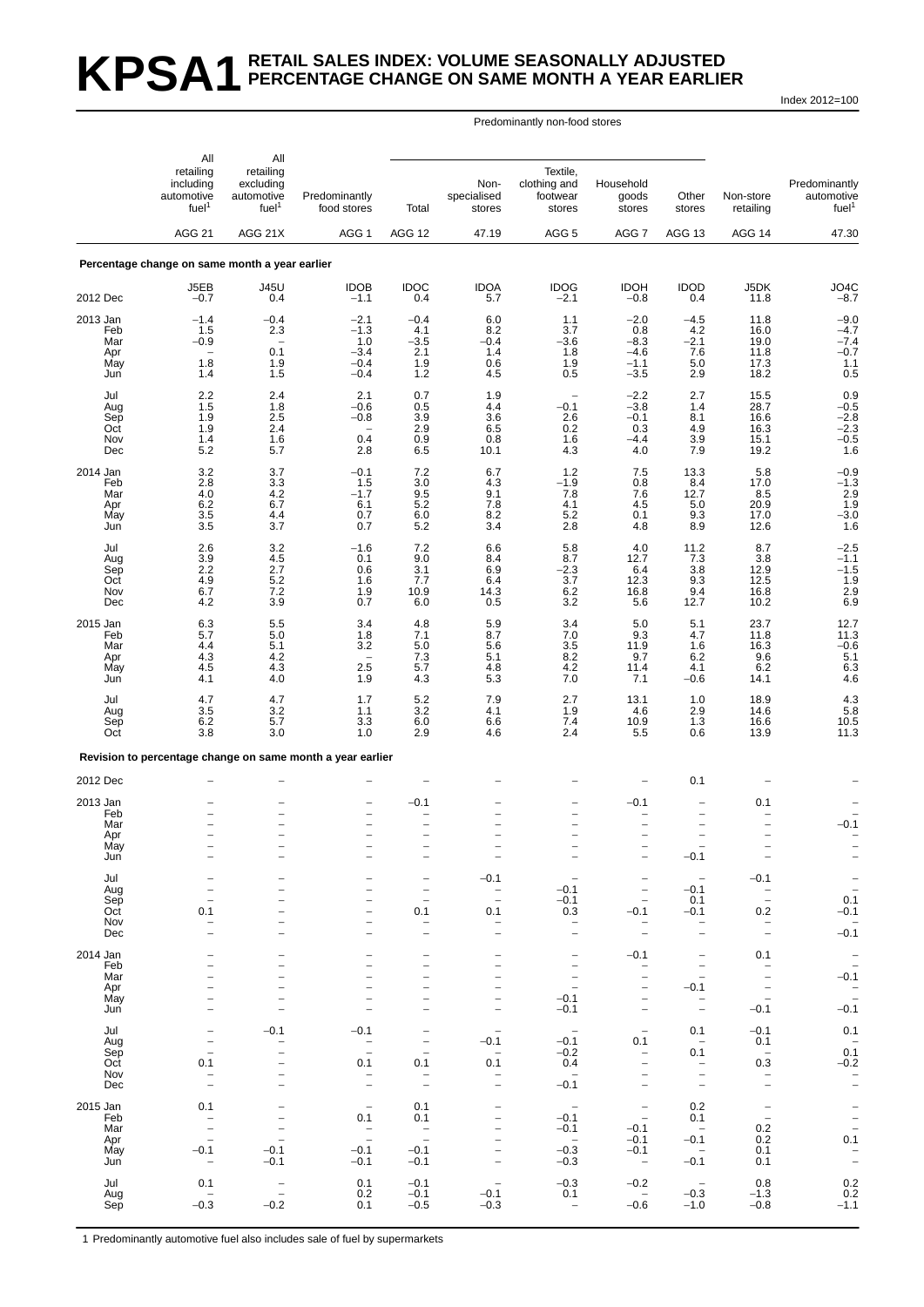# **KPSA1 RETAIL SALES INDEX: VOLUME SEASONALLY ADJUSTED PERCENTAGE CHANGE ON SAME MONTH A YEAR EARLIER**

Index 2012=100

#### Predominantly non-food stores

|                   | All                                                       | All                                                       |                                                            |                                                             |                                                      |                                                |                                                                 |                                                                                  |                                                             |                                                       |
|-------------------|-----------------------------------------------------------|-----------------------------------------------------------|------------------------------------------------------------|-------------------------------------------------------------|------------------------------------------------------|------------------------------------------------|-----------------------------------------------------------------|----------------------------------------------------------------------------------|-------------------------------------------------------------|-------------------------------------------------------|
|                   | retailing<br>including<br>automotive<br>fuel <sup>1</sup> | retailing<br>excluding<br>automotive<br>fuel <sup>1</sup> | Predominantly<br>food stores                               | Total                                                       | Non-<br>specialised<br>stores                        | Textile,<br>clothing and<br>footwear<br>stores | Household<br>goods<br>stores                                    | Other<br>stores                                                                  | Non-store<br>retailing                                      | Predominantly<br>automotive<br>fuel <sup>1</sup>      |
|                   | <b>AGG 21</b>                                             | AGG 21X                                                   | AGG 1                                                      | AGG 12                                                      | 47.19                                                | AGG <sub>5</sub>                               | AGG 7                                                           | <b>AGG 13</b>                                                                    | AGG 14                                                      | 47.30                                                 |
|                   | Percentage change on same month a year earlier            |                                                           |                                                            |                                                             |                                                      |                                                |                                                                 |                                                                                  |                                                             |                                                       |
| 2012 Dec          | J5EB<br>$-0.7$                                            | <b>J45U</b><br>0.4                                        | <b>IDOB</b><br>$-1.1$                                      | <b>IDOC</b><br>0.4                                          | <b>IDOA</b><br>5.7                                   | <b>IDOG</b><br>$-2.1$                          | <b>IDOH</b><br>$-0.8$                                           | <b>IDOD</b><br>0.4                                                               | J5DK<br>11.8                                                | JO4C<br>$-8.7$                                        |
| 2013 Jan          | $-1.4$                                                    | $-0.4$                                                    | $-2.1$                                                     | $-0.4$                                                      | 6.0                                                  | 1.1                                            | $-2.0$                                                          | $-4.5$                                                                           | 11.8                                                        | $-9.0$                                                |
| Feb<br>Mar        | 1.5<br>$-0.9$                                             | 2.3<br>$\overline{\phantom{0}}$                           | $-1.3$<br>1.0                                              | 4.1<br>$-3.5$                                               | 8.2<br>$-0.4$                                        | 3.7<br>$-3.6$                                  | 0.8                                                             | 4.2                                                                              | 16.0                                                        | $-4.7$                                                |
| Apr<br>May        | 1.8                                                       | 0.1<br>1.9                                                | $-3.4$<br>$-0.4$                                           | 2.1<br>1.9                                                  | 1.4<br>0.6                                           | 1.8<br>1.9                                     | $-8.3$<br>$-4.6$<br>$-1.1$                                      | $\frac{-2.1}{7.6}$<br>$5.0\,$                                                    | 19.0<br>11.8<br>17.3                                        | $-7.4$<br>$-0.7$<br>$1.1$                             |
| Jun               | 1.4                                                       | 1.5                                                       | $-0.4$                                                     | 1.2                                                         | 4.5                                                  | 0.5                                            | $-3.5$                                                          | 2.9                                                                              | 18.2                                                        | 0.5                                                   |
| Jul<br>Aug        | 2.2<br>1.5                                                | 2.4<br>1.8                                                | 2.1<br>$-0.6$                                              | 0.7                                                         | 1.9<br>4.4                                           | $\overline{\phantom{a}}$<br>$-0.1$             | $-2.2$<br>$-3.8$                                                | 2.7<br>1.4                                                                       | 15.5                                                        | $0.9 - 0.5 - 2.8$                                     |
| Sep<br>Oct        | 1.9<br>1.9                                                | 2.5<br>2.4                                                | $-0.8$<br>$\overline{\phantom{0}}$                         | $\begin{array}{c} 0.5 \\ 3.9 \end{array}$<br>2.9            | 3.6<br>6.5                                           | 2.6<br>0.2                                     | $-0.1$<br>0.3                                                   | 8.1<br>4.9                                                                       | 28.7<br>16.6<br>16.3                                        | $-2.3$                                                |
| Nov<br>Dec        | 1.4<br>5.2                                                | $1.6$<br>5.7                                              | 0.4<br>2.8                                                 | $\substack{0.9 \\ 6.5}$                                     | 0.8<br>10.1                                          | 1.6<br>4.3                                     | $-4.4$<br>4.0                                                   | $\frac{3.9}{7.9}$                                                                | 15.1<br>19.2                                                | $-0.5$<br>1.6                                         |
| 2014 Jan          |                                                           | 3.7                                                       | $-0.1$                                                     |                                                             | 6.7                                                  | 1.2                                            |                                                                 |                                                                                  |                                                             |                                                       |
| Feb               | $\frac{3.2}{2.8}$                                         | $\overline{3}.\overline{3}$                               | 1.5                                                        | $\frac{7.2}{3.0}$                                           | 4.3                                                  | $-1.9$                                         | $\!\!\!\!\begin{array}{c} 7.5 \\ 0.8 \end{array}\!\!\!\!\!\!\!$ | $^{13.3}_{8.4}$<br>12.7                                                          | $\frac{5.8}{17.0}$                                          |                                                       |
| Mar<br>Apr        | 4.0<br>6.2                                                | 4.2<br>6.7                                                | $-1.7$<br>6.1                                              | 9.5<br>5.2                                                  | 9.1<br>$7.8$<br>$8.2$                                | 7.8<br>4.1                                     | 7.6<br>4.5                                                      | $\begin{array}{c} 5.0 \\ 9.3 \end{array}$                                        | 8.5<br>$^{20.9}_{17.0}$                                     |                                                       |
| May<br>Jun        | $\overline{3.5}$<br>3.5                                   | 4.4<br>3.7                                                | 0.7<br>0.7                                                 | $6.\overline{0}$<br>5.2                                     | 3.4                                                  | 5.2<br>2.8                                     | 0.1<br>4.8                                                      | 8.9                                                                              | 12.6                                                        | $-0.9$<br>$-1.3$<br>$2.9$<br>$1.9$<br>$-3.0$<br>$1.6$ |
| Jul               | 2.6                                                       | 3.2                                                       | $-1.6$                                                     | 7.2<br>9.0                                                  | 6.6                                                  | 5.8<br>8.7                                     | 4.0                                                             | 11.2                                                                             | 8.7                                                         | $-2.5$                                                |
| Aug<br>Sep        | 3.9<br>2.2                                                | 4.5<br>2.7                                                | 0.1<br>0.6                                                 | 3.1                                                         | 8.4<br>$6.9$<br>$6.4$                                | $\frac{-2.3}{3.7}$                             | 12.7<br>6.4                                                     | 7.3<br>$\frac{3.8}{9.3}$                                                         | 3.8<br>12.9<br>12.5                                         | $-1.1$<br>$-1.5$<br>1.9                               |
| Oct<br>Nov        | 4.9<br>6.7                                                | $5.2\,$<br>7.2                                            | 1.6<br>1.9                                                 | 7.7<br>10.9                                                 | 14.3                                                 | 6.2                                            | 12.3<br>16.8                                                    | 9.4                                                                              | 16.8                                                        | $\frac{2.9}{6.9}$                                     |
| Dec               | 4.2                                                       | 3.9                                                       | 0.7                                                        | 6.0                                                         | 0.5                                                  | 3.2                                            | 5.6                                                             | 12.7                                                                             | 10.2                                                        |                                                       |
| 2015 Jan<br>Feb   | 6.3<br>5.7                                                | 5.5<br>5.0                                                | 3.4<br>1.8                                                 | 4.8<br>7.1                                                  | 5.9<br>8.7                                           | 3.4<br>7.0                                     | 5.0<br>9.3                                                      | 5.1<br>4.7                                                                       | 23.7<br>$11.8$<br>16.3                                      | 12.7<br>$11.3 - 0.6$                                  |
| Mar<br>Apr        | 4.4<br>4.3                                                | 5.1<br>4.2                                                | $3.\overline{2}$<br>$\overline{\phantom{a}}$               | $5.0\,$<br>7.3                                              | 5.6<br>5.1                                           | $3.\overline{5}$<br>8.2                        | 11.9<br>9.7                                                     | 1.6<br>6.2                                                                       | 9.6                                                         | 5.1                                                   |
| May<br>Jun        | 4.5<br>4.1                                                | 4.3<br>4.0                                                | 2.5<br>1.9                                                 | 5.7<br>4.3                                                  | $\frac{4.8}{5.3}$                                    | 4.2<br>7.0                                     | 11.4<br>7.1                                                     | 4.1<br>$-0.6$                                                                    | 6.2<br>14.1                                                 | $6.3$<br>4.6                                          |
| Jul               | 4.7                                                       | 4.7                                                       | 1.7                                                        | $\frac{5.2}{3.2}$                                           | $7.9$<br>$4.1$                                       | 2.7                                            | 13.1                                                            | 1.0                                                                              | 18.9<br>14.6                                                | $\frac{4.3}{5.8}$                                     |
| Aug<br>Sep        | 3.5<br>6.2                                                | 3.2<br>5.7                                                | 1.1<br>3.3                                                 | 6.0                                                         | 6.6                                                  | 1.9<br>7.4                                     | 4.6<br>10.9                                                     | 2.9<br>1.3                                                                       | 16.6                                                        | $10.5$<br>11.3                                        |
| Oct               | 3.8                                                       | 3.0                                                       | 1.0                                                        | 2.9                                                         | 4.6                                                  | 2.4                                            | 5.5                                                             | 0.6                                                                              | 13.9                                                        |                                                       |
|                   |                                                           |                                                           | Revision to percentage change on same month a year earlier |                                                             |                                                      |                                                |                                                                 |                                                                                  |                                                             |                                                       |
| 2012 Dec          |                                                           |                                                           |                                                            |                                                             |                                                      |                                                |                                                                 | 0.1                                                                              |                                                             |                                                       |
| 2013 Jan<br>Feb   |                                                           |                                                           |                                                            | $-0.1$<br>$\overline{\phantom{0}}$                          |                                                      |                                                | $-0.1$                                                          | $\overline{\phantom{0}}$                                                         | 0.1                                                         |                                                       |
| Mar<br>Apr        |                                                           | $\overline{\phantom{0}}$<br>÷                             | -<br>$\qquad \qquad -$                                     | -<br>$\overline{\phantom{0}}$                               |                                                      | $\overline{a}$<br>$\overline{\phantom{0}}$     | $\overline{\phantom{0}}$                                        | $\overline{\phantom{0}}$<br>-                                                    |                                                             | $-0.1$                                                |
| May<br>Jun        |                                                           |                                                           |                                                            |                                                             |                                                      |                                                |                                                                 | -<br>$-0.1$                                                                      | $\qquad \qquad -$                                           |                                                       |
| Jul               |                                                           |                                                           |                                                            | $\overline{\phantom{0}}$                                    | $-0.1$                                               | $\overline{\phantom{a}}$                       | $\overline{\phantom{0}}$                                        | $\overline{\phantom{a}}$                                                         | $-0.1$                                                      |                                                       |
| Aug               |                                                           |                                                           | $\qquad \qquad -$                                          | $\overline{\phantom{0}}$                                    | $\overline{\phantom{0}}$                             | $-0.1$                                         | $\overline{\phantom{a}}$                                        | $-0.1$                                                                           | $\overline{\phantom{a}}$                                    | $\frac{1}{0.1}$                                       |
| Sep<br>Oct        | $\overline{\phantom{0}}$<br>0.1                           |                                                           | $\qquad \qquad -$<br>$\overline{\phantom{0}}$              | $\overline{\phantom{0}}$<br>0.1                             | $\overline{a}$<br>0.1                                | $-0.1$<br>0.3                                  | $\qquad \qquad -$<br>$-0.1$                                     | 0.1<br>$-0.1$                                                                    | $\overline{\phantom{a}}$<br>0.2                             | $-0.1$                                                |
| Nov<br>Dec        |                                                           |                                                           | -<br>$\qquad \qquad -$                                     | -<br>$\qquad \qquad -$                                      |                                                      | <b>-</b><br>$\overline{a}$                     | $\qquad \qquad -$<br>$\overline{a}$                             | $\qquad \qquad -$<br>$\overline{a}$                                              | $\overline{\phantom{a}}$<br>$\bar{ }$                       | $-0.1$                                                |
| 2014 Jan          |                                                           |                                                           |                                                            | $\overline{\phantom{0}}$                                    |                                                      | $\overline{\phantom{0}}$                       | $-0.1$                                                          | $\qquad \qquad -$                                                                | 0.1                                                         |                                                       |
| Feb<br>Mar        | $\overline{\phantom{0}}$<br>-                             | ÷<br>$\overline{\phantom{0}}$                             | $\overline{\phantom{a}}$<br>$\overline{\phantom{0}}$       | $\qquad \qquad -$<br>-                                      |                                                      | $\overline{\phantom{0}}$<br>$\qquad \qquad -$  | <b>-</b><br>$\overline{a}$                                      | $\overline{\phantom{a}}$<br>$\qquad \qquad -$                                    | $\overline{\phantom{a}}$<br>$\overline{\phantom{a}}$        | $-$<br>$-$<br>$-0.1$                                  |
| Apr<br>May        | -<br>-                                                    |                                                           | $\qquad \qquad -$                                          | -                                                           |                                                      | $\qquad \qquad -$<br>$-0.1$                    | $\overline{\phantom{0}}$                                        | $-0.1$<br>$\qquad \qquad -$                                                      | $\overline{\phantom{a}}$                                    | $\overline{\phantom{a}}$                              |
| Jun               | $\overline{\phantom{0}}$                                  | L.                                                        | $\overline{\phantom{0}}$                                   | $\overline{\phantom{0}}$                                    |                                                      | $-0.1$                                         | $\overline{\phantom{0}}$                                        | $\qquad \qquad -$                                                                | $-0.1$                                                      | $-0.1$                                                |
| Jul<br>Aug        | $\overline{a}$                                            | $-0.1$                                                    | $-0.1$                                                     | $\overline{\phantom{0}}$<br>$\overline{\phantom{a}}$        | $-0.1$                                               | $\overline{\phantom{a}}$<br>$-0.1$             | $\qquad \qquad -$<br>0.1                                        | 0.1                                                                              | $-0.1$<br>0.1                                               | 0.1                                                   |
| Sep               | $\overline{\phantom{0}}$                                  | -<br>÷                                                    | $\bar{a}$                                                  | $\overline{\phantom{a}}$                                    | $\overline{\phantom{0}}$                             | $-0.2$                                         | $\overline{\phantom{0}}$                                        | $\hspace{0.1mm}-\hspace{0.1mm}$<br>0.1                                           | $\hspace{0.1mm}-\hspace{0.1mm}$                             | $0.\bar{1}$                                           |
| Oct<br>Nov<br>Dec | 0.1<br>$\overline{\phantom{0}}$                           | $\overline{\phantom{0}}$<br>$\overline{\phantom{0}}$      | 0.1<br>$\qquad \qquad -$<br>$\overline{\phantom{a}}$       | 0.1<br>$\overline{\phantom{m}}$<br>$\overline{\phantom{a}}$ | 0.1<br>$\overline{\phantom{0}}$<br>$\qquad \qquad -$ | 0.4<br>$\sim$<br>$-0.1$                        |                                                                 | $\overline{\phantom{a}}$<br>$\overline{\phantom{m}}$<br>$\overline{\phantom{a}}$ | 0.3<br>$\overline{\phantom{m}}$<br>$\overline{\phantom{a}}$ | $-0.2$<br>$\bar{a}$                                   |
| 2015 Jan          | 0.1                                                       | $\overline{\phantom{m}}$                                  | $\overline{\phantom{a}}$                                   | 0.1                                                         |                                                      | $\overline{\phantom{a}}$                       |                                                                 | 0.2                                                                              |                                                             |                                                       |
| Feb               | -<br>$\overline{\phantom{0}}$                             | $\overline{\phantom{0}}$                                  | 0.1                                                        | 0.1                                                         |                                                      | $-0.1$                                         | $\overline{\phantom{a}}$<br>$\overline{\phantom{a}}$<br>$-0.1$  | 0.1                                                                              | $\overline{\phantom{a}}$<br>$\overline{\phantom{a}}$<br>0.2 | $\frac{1}{\pi}$                                       |
| Mar<br>Apr        | $\overline{\phantom{0}}$                                  | $\overline{\phantom{0}}$<br>$\qquad \qquad -$             | $\overline{\phantom{a}}$<br>$\overline{\phantom{a}}$       | $\frac{1}{2}$<br>$\overline{\phantom{a}}$                   |                                                      | $-0.1$<br>$\overline{\phantom{a}}$             | $-0.1$                                                          | $\overline{\phantom{a}}$<br>$-0.1$                                               | 0.2                                                         | 0.1                                                   |
| May<br>Jun        | $-0.1$<br>$\qquad \qquad -$                               | $-0.1$<br>$-0.1$                                          | $-0.1$<br>$-0.1$                                           | $-0.1$<br>$-0.1$                                            |                                                      | $-0.3$<br>$-0.3$                               | $-0.1$<br>$\qquad \qquad -$                                     | $\overline{\phantom{a}}$<br>$-0.1$                                               | 0.1<br>0.1                                                  | $\bar{a}$                                             |
| Jul               | 0.1                                                       | $\bar{a}$                                                 | 0.1                                                        | $-0.1$                                                      |                                                      | $-0.3$                                         | $-0.2$                                                          | $\overline{\phantom{a}}$                                                         | 0.8                                                         | $0.2$<br>$0.2$                                        |
| Aug<br>Sep        | $-0.3$                                                    | $-0.2$                                                    | 0.2<br>0.1                                                 | $-0.1$<br>$-0.5$                                            | $-0.1$<br>$-0.3$                                     | 0.1<br>$\overline{\phantom{0}}$                | $\overline{\phantom{a}}$<br>$-0.6$                              | $-0.3$<br>$-1.0$                                                                 | $-1.3$<br>$-0.8$                                            | $-1.1$                                                |
|                   |                                                           |                                                           |                                                            |                                                             |                                                      |                                                |                                                                 |                                                                                  |                                                             |                                                       |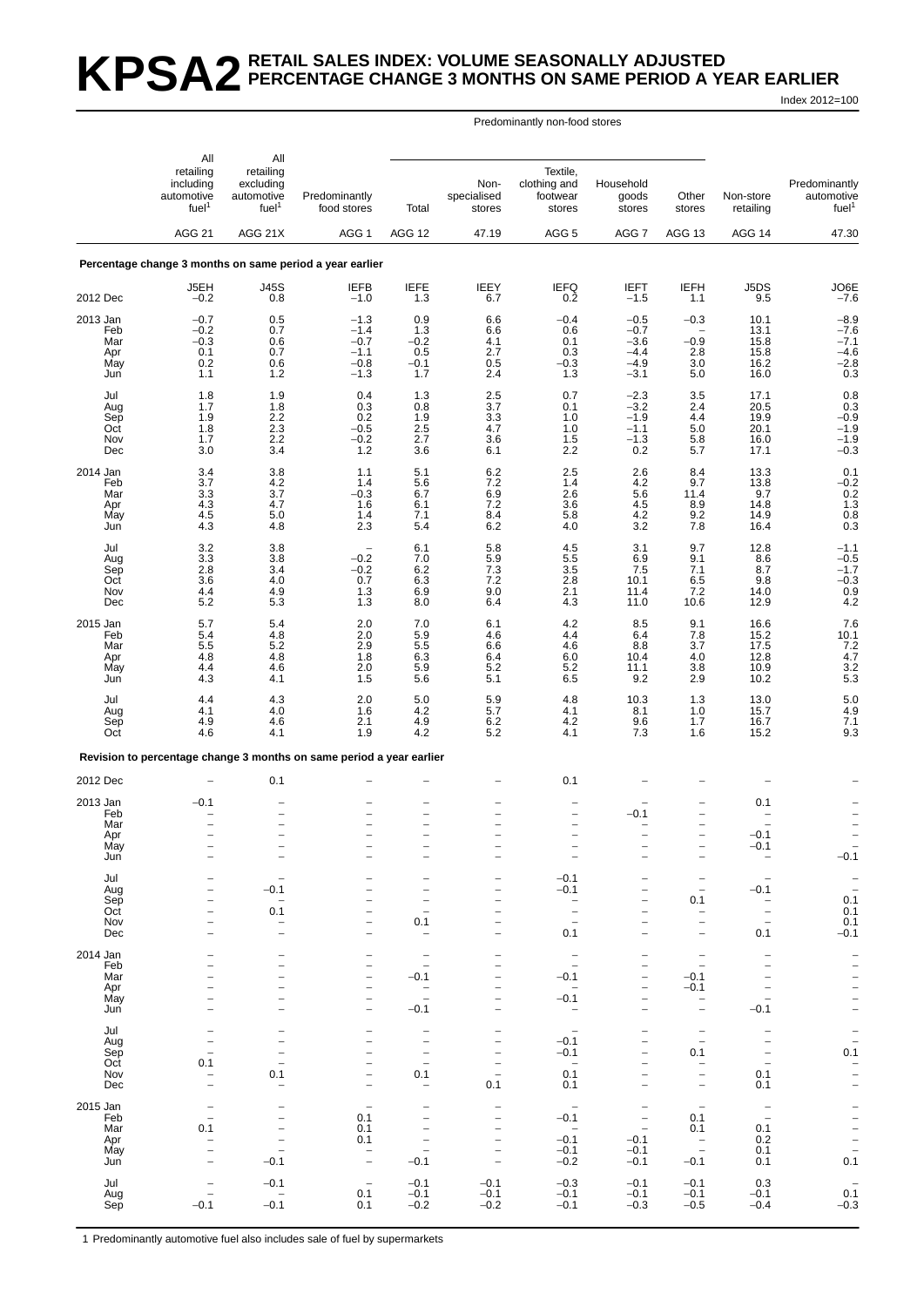### **KPSA2** RETAIL SALES INDEX: VOLUME SEASONALLY ADJUSTED **PERCENTAGE CHANGE 3 MONTHS ON SAME PERIOD A YEAR EARLIER** Index 2012=100

Predominantly non-food stores

|                 | All<br>retailing<br>including<br>automotive<br>fuel <sup>1</sup> | All<br>retailing<br>excluding<br>automotive<br>fuel <sup>1</sup> | Predominantly<br>food stores                                         | Total                                                | Non-<br>specialised<br>stores              | Textile,<br>clothing and<br>footwear<br>stores | Household<br>goods<br>stores                  | Other<br>stores                                      | Non-store<br>retailing                        | Predominantly<br>automotive<br>fuel <sup>1</sup> |
|-----------------|------------------------------------------------------------------|------------------------------------------------------------------|----------------------------------------------------------------------|------------------------------------------------------|--------------------------------------------|------------------------------------------------|-----------------------------------------------|------------------------------------------------------|-----------------------------------------------|--------------------------------------------------|
|                 | <b>AGG 21</b>                                                    | AGG 21X                                                          | AGG <sub>1</sub>                                                     | AGG 12                                               | 47.19                                      | AGG <sub>5</sub>                               | AGG <sub>7</sub>                              | AGG 13                                               | AGG 14                                        | 47.30                                            |
|                 |                                                                  |                                                                  | Percentage change 3 months on same period a year earlier             |                                                      |                                            |                                                |                                               |                                                      |                                               |                                                  |
| 2012 Dec        | J5EH<br>$-0.2$                                                   | <b>J45S</b><br>0.8                                               | <b>IEFB</b><br>$-1.0$                                                | <b>IEFE</b><br>1.3                                   | IEEY<br>6.7                                | <b>IEFQ</b><br>0.2                             | <b>IEFT</b><br>$-1.5$                         | <b>IEFH</b><br>1.1                                   | J5DS<br>9.5                                   | JO6E<br>$-7.6$                                   |
| 2013 Jan        | $-0.7$                                                           | 0.5                                                              | $-1.3$                                                               | 0.9                                                  | 6.6                                        | $-0.4$                                         | $-0.5$                                        | $-0.3$                                               | 10.1                                          |                                                  |
| Feb             | $-0.2$                                                           | 0.7                                                              | $-1.4$                                                               | 1.3                                                  | 6.6                                        | 0.6                                            | $-0.7$                                        |                                                      | 13.1                                          | $-8.9 - 7.6$                                     |
| Mar<br>Apr      | $-0.3$<br>0.1                                                    | 0.6<br>0.7                                                       | $-0.7$<br>$-1.1$                                                     | $-0.2$<br>0.5                                        | $^{4.1}_{2.7}$                             | 0.1<br>0.3                                     | $-3.6$<br>$-4.4$                              | $-0.9$<br>2.8                                        | 15.8<br>15.8                                  | $-7.1$<br>$-4.6$                                 |
| May             | 0.2                                                              | 0.6                                                              | $-0.8$                                                               | $-0.1$                                               | 0.5                                        | $-0.3$                                         | $-4.9$                                        | 3.0                                                  | 16.2                                          | $-2.8$                                           |
| Jun             | 1.1                                                              | 1.2                                                              | $-1.3$                                                               | 1.7                                                  | 2.4                                        | 1.3                                            | $-3.1$                                        | 5.0                                                  | 16.0                                          | 0.3                                              |
| Jul             | 1.8                                                              | 1.9                                                              | 0.4                                                                  | 1.3                                                  | 2.5                                        | 0.7                                            | $-2.3$                                        | 3.5                                                  | 17.1                                          | 0.8                                              |
| Aug<br>Sep      | 1.7<br>1.9                                                       | 1.8<br>2.2                                                       | 0.3<br>0.2                                                           | 0.8<br>1.9                                           | 3.7<br>3.3                                 | 0.1<br>1.0                                     | $-3.2$<br>$-1.9$                              | 2.4<br>4.4                                           | 20.5<br>19.9                                  | $_{-0.9}^{0.3}$                                  |
| Oct             | 1.8                                                              | 2.3                                                              | $-0.5$                                                               | $2.5\,$                                              | 4.7                                        | 1.0                                            | $-1.1$                                        | 5.0                                                  | 20.1                                          | $-1.9$                                           |
| Nov<br>Dec      | 1.7<br>3.0                                                       | 2.2<br>3.4                                                       | $-0.2$<br>1.2                                                        | 2.7<br>3.6                                           | 3.6<br>6.1                                 | 1.5<br>2.2                                     | $-1.3$<br>0.2                                 | $\frac{5.8}{5.7}$                                    | 16.0<br>17.1                                  | $^{-1.9}_{-0.3}$                                 |
|                 |                                                                  |                                                                  |                                                                      |                                                      |                                            |                                                |                                               |                                                      |                                               |                                                  |
| 2014 Jan<br>Feb | 3.4<br>3.7                                                       | 3.8<br>4.2                                                       | 1.1<br>1.4                                                           | 5.1<br>5.6                                           | $6.2$<br>7.2                               | 2.5<br>1.4                                     | 2.6<br>4.2                                    | 8.4<br>9.7                                           | 13.3<br>13.8                                  | $0.1 - 0.2$                                      |
| Mar             | 3.3                                                              | 3.7                                                              | $-0.3$                                                               | 6.7                                                  | 6.9                                        | 2.6                                            | 5.6                                           | 11.4                                                 | 9.7                                           | $0.2$<br>$1.3$<br>$0.8$                          |
| Apr<br>May      | 4.3<br>4.5                                                       | 4.7<br>5.0                                                       | 1.6<br>1.4                                                           | 6.1<br>7.1                                           | $7.2$<br>8.4                               | 3.6<br>5.8                                     | $\begin{array}{c} 4.5 \\ 4.2 \end{array}$     | $8.9$<br>$9.2$                                       | 14.8<br>14.9                                  |                                                  |
| Jun             | 4.3                                                              | 4.8                                                              | 2.3                                                                  | 5.4                                                  | 6.2                                        | 4.0                                            | 3.2                                           | 7.8                                                  | 16.4                                          | 0.3                                              |
| Jul             | 3.2                                                              | 3.8                                                              | $\qquad \qquad -$                                                    | 6.1                                                  | 5.8                                        | 4.5                                            | 3.1                                           | 9.7                                                  | 12.8                                          | $-1.1$                                           |
| Aug             | 3.3                                                              | 3.8                                                              | $-0.2$                                                               | 7.0                                                  | 5.9                                        | 5.5                                            | 6.9                                           | 9.1                                                  | 8.6                                           | $-0.5$                                           |
| Sep<br>Oct      | 2.8<br>3.6                                                       | 3.4<br>4.0                                                       | $-0.2$<br>0.7                                                        | $6.2\phantom{00}6.3$                                 | $7.3$<br>$7.2$                             | 3.5<br>2.8                                     | 7.5<br>10.1                                   | 7.1<br>6.5                                           | 8.7<br>9.8                                    |                                                  |
| Nov             | 4.4                                                              | 4.9                                                              | 1.3                                                                  | 6.9                                                  | 9.0                                        | 2.1                                            | 11.4                                          | 7.2                                                  | 14.0                                          | $-1.7$<br>$-0.3$<br>0.9<br>4.2                   |
| Dec             | 5.2                                                              | 5.3                                                              | 1.3                                                                  | 8.0                                                  | 6.4                                        | 4.3                                            | 11.0                                          | 10.6                                                 | 12.9                                          |                                                  |
| 2015 Jan<br>Feb | 5.7<br>5.4                                                       | 5.4<br>4.8                                                       | 2.0<br>2.0                                                           | 7.0                                                  | 6.1<br>4.6                                 | 4.2<br>4.4                                     | 8.5<br>6.4                                    | 9.1                                                  | 16.6                                          | 7.6                                              |
| Mar             | 5.5                                                              | 5.2                                                              | $2.\overline{9}$                                                     | $\frac{5.9}{5.5}$                                    | $6.\overline{6}$                           | 4.6                                            | 8.8                                           | $\frac{7.8}{3.7}$                                    | $15.2$<br>17.5                                | $\frac{10.1}{7.2}$<br>4.7                        |
| Apr<br>May      | 4.8<br>4.4                                                       | 4.8<br>4.6                                                       | 1.8                                                                  | 6.3<br>5.9                                           | 6.4                                        | 6.0<br>5.2                                     | 10.4                                          | 4.0                                                  | 12.8<br>10.9                                  |                                                  |
| Jun             | 4.3                                                              | 4.1                                                              | 2.0<br>1.5                                                           | 5.6                                                  | 5.2<br>5.1                                 | 6.5                                            | 11.1<br>9.2                                   | $\frac{3.8}{2.9}$                                    | 10.2                                          | $\frac{3.2}{5.3}$                                |
| Jul             | 4.4                                                              | 4.3                                                              | 2.0                                                                  | 5.0                                                  |                                            | 4.8                                            | 10.3                                          | 1.3                                                  |                                               |                                                  |
| Aug             | 4.1                                                              | 4.0                                                              | 1.6                                                                  | 4.2                                                  | $\frac{5.9}{5.7}$                          | 4.1                                            | 8.1                                           | 1.0                                                  | $13.0$<br>15.7                                | $\frac{5.0}{4.9}$                                |
| Sep<br>Oct      | 4.9<br>4.6                                                       | 4.6<br>4.1                                                       | 2.1<br>1.9                                                           | 4.9<br>4.2                                           | 6.2<br>5.2                                 | 4.2<br>4.1                                     | 9.6<br>7.3                                    | 1.7<br>1.6                                           | 16.7<br>15.2                                  | 7.1<br>9.3                                       |
|                 |                                                                  |                                                                  | Revision to percentage change 3 months on same period a year earlier |                                                      |                                            |                                                |                                               |                                                      |                                               |                                                  |
| 2012 Dec        |                                                                  | 0.1                                                              |                                                                      |                                                      |                                            | 0.1                                            |                                               |                                                      |                                               |                                                  |
|                 |                                                                  |                                                                  |                                                                      |                                                      |                                            |                                                |                                               |                                                      |                                               |                                                  |
| 2013 Jan<br>Feb | $-0.1$                                                           | $\qquad \qquad -$                                                | $\qquad \qquad -$                                                    | $\overline{a}$                                       | $\overline{\phantom{0}}$                   | $\overline{\phantom{0}}$                       | $-0.1$                                        | $\overline{\phantom{0}}$                             | 0.1                                           |                                                  |
| Mar             |                                                                  | $\overline{\phantom{0}}$                                         | $\qquad \qquad -$                                                    | -                                                    |                                            | -                                              |                                               | -                                                    |                                               |                                                  |
| Apr<br>May      |                                                                  | $\overline{\phantom{a}}$                                         |                                                                      | $\overline{\phantom{0}}$                             |                                            | $\overline{\phantom{0}}$                       |                                               | $\overline{\phantom{0}}$                             | $-0.1$<br>$-0.1$                              |                                                  |
| Jun             |                                                                  |                                                                  |                                                                      |                                                      |                                            |                                                |                                               | $\overline{\phantom{0}}$                             | $\overline{\phantom{a}}$                      | $-0.1$                                           |
| Jul             |                                                                  |                                                                  |                                                                      | $\overline{\phantom{0}}$                             |                                            | $-0.1$                                         |                                               | -                                                    |                                               |                                                  |
| Aug             | $\overline{\phantom{0}}$                                         | $-0.1$                                                           | -                                                                    | -                                                    | $\qquad \qquad -$                          | $-0.1$                                         | $\qquad \qquad -$                             | $\overline{\phantom{a}}$                             | $-0.1$                                        | $\frac{-}{0.1}$<br>0.1<br>0.1                    |
| Sep<br>Oct      | $\overline{\phantom{0}}$<br>$\overline{\phantom{0}}$             | $\overline{\phantom{0}}$<br>0.1                                  | -<br>$\overline{\phantom{0}}$                                        | $\overline{\phantom{0}}$<br>$\overline{a}$           |                                            | $\overline{a}$                                 | $\overline{\phantom{0}}$                      | 0.1<br>$\qquad \qquad -$                             | $\qquad \qquad -$<br>$\overline{\phantom{0}}$ |                                                  |
| Nov             | $\overline{\phantom{0}}$                                         | $\overline{\phantom{0}}$                                         | $\overline{\phantom{0}}$                                             | 0.1                                                  |                                            | $\overline{\phantom{a}}$                       |                                               | $\overline{\phantom{0}}$                             | $\overline{a}$                                |                                                  |
| Dec             | $\overline{\phantom{0}}$                                         | $\overline{\phantom{0}}$                                         | $\equiv$                                                             | $\overline{\phantom{0}}$                             |                                            | 0.1                                            | $\equiv$                                      | $\overline{\phantom{0}}$                             | 0.1                                           | $-0.1$                                           |
| 2014 Jan        |                                                                  | $\overline{\phantom{0}}$                                         | -                                                                    | -                                                    |                                            | $\qquad \qquad -$                              |                                               | $\qquad \qquad -$                                    |                                               |                                                  |
| Feb<br>Mar      | $\overline{\phantom{0}}$                                         | $\overline{\phantom{0}}$<br>$\overline{\phantom{0}}$             | $\overline{\phantom{m}}$<br>$\qquad \qquad -$                        | $\overline{\phantom{0}}$<br>$-0.1$                   |                                            | $\overline{a}$<br>$-0.1$                       | $\qquad \qquad -$                             | $\qquad \qquad -$<br>$-0.1$                          | $\qquad \qquad -$                             |                                                  |
| Apr             | -                                                                | $\overline{\phantom{0}}$                                         | $\qquad \qquad -$                                                    | -                                                    | $\qquad \qquad -$                          | $\qquad \qquad -$                              | $\qquad \qquad -$                             | $-0.1$                                               |                                               |                                                  |
| May<br>Jun      | $\overline{\phantom{a}}$                                         | ÷<br>$\overline{\phantom{a}}$                                    | $\qquad \qquad -$<br>$\equiv$                                        | $\overline{\phantom{0}}$<br>$-0.1$                   |                                            | $-0.1$<br>$\overline{\phantom{a}}$             | $\qquad \qquad -$<br>$\overline{\phantom{0}}$ | $\overline{\phantom{0}}$<br>$\overline{\phantom{0}}$ | $\overline{\phantom{0}}$<br>$-0.1$            |                                                  |
|                 |                                                                  |                                                                  |                                                                      |                                                      |                                            |                                                |                                               |                                                      |                                               |                                                  |
| Jul<br>Aug      | $\overline{a}$                                                   | -<br>L.                                                          | $\overline{\phantom{0}}$<br>$\qquad \qquad -$                        | $\overline{\phantom{0}}$<br>$\qquad \qquad -$        | $\overline{\phantom{0}}$                   | $\overline{\phantom{a}}$<br>$-0.1$             | $\overline{\phantom{0}}$                      | $\qquad \qquad -$<br>$\overline{\phantom{a}}$        |                                               | $\frac{1}{0.1}$                                  |
| Sep             | $\overline{\phantom{0}}$                                         | $\overline{\phantom{0}}$                                         | $\overline{\phantom{0}}$                                             | $\qquad \qquad -$                                    | $\qquad \qquad -$                          | $-0.1$                                         |                                               | 0.1                                                  | $\overline{\phantom{0}}$                      |                                                  |
| Oct<br>Nov      | 0.1                                                              | $\overline{\phantom{0}}$<br>0.1                                  | $\overline{\phantom{0}}$<br>$\qquad \qquad -$                        | $\overline{\phantom{m}}$<br>0.1                      | $\overline{a}$<br>$\qquad \qquad -$        | $\overline{\phantom{m}}$<br>0.1                | $\qquad \qquad -$                             | $\overline{\phantom{0}}$<br>$\overline{\phantom{0}}$ | 0.1                                           |                                                  |
| Dec             |                                                                  | $\overline{\phantom{0}}$                                         | $\overline{\phantom{m}}$                                             | -                                                    | 0.1                                        | 0.1                                            |                                               | $\qquad \qquad -$                                    | 0.1                                           | $\frac{1}{2}$                                    |
| 2015 Jan        |                                                                  |                                                                  | $\overline{\phantom{0}}$                                             | $\overline{\phantom{0}}$                             |                                            |                                                |                                               | $\overline{\phantom{a}}$                             | $\qquad \qquad -$                             |                                                  |
| Feb             | $\overline{\phantom{0}}$                                         | $\overline{\phantom{0}}$                                         | 0.1                                                                  | $\overline{\phantom{0}}$                             | $\qquad \qquad -$                          | $-0.1$                                         | $\qquad \qquad -$                             | 0.1                                                  | $\equiv$                                      | $\frac{1}{2}$<br>$\frac{1}{2}$<br>0.1            |
| Mar             | 0.1<br>$\overline{a}$                                            | $\overline{\phantom{0}}$<br>$\qquad \qquad -$                    | 0.1<br>0.1                                                           | $\overline{\phantom{0}}$<br>$\overline{\phantom{0}}$ | $\overline{\phantom{a}}$<br>$\overline{a}$ | $\sim$<br>$-0.1$                               | $\overline{\phantom{0}}$<br>$-0.1$            | 0.1                                                  | 0.1<br>0.2                                    |                                                  |
| Apr<br>May      | $\overline{\phantom{0}}$                                         | $\qquad \qquad -$                                                | $\qquad \qquad -$                                                    | $\qquad \qquad -$                                    |                                            | $-0.1$                                         | $-0.1$                                        | $\bar{a}$                                            | 0.1                                           |                                                  |
| Jun             |                                                                  | $-0.1$                                                           | $\overline{\phantom{0}}$                                             | $-0.1$                                               |                                            | $-0.2$                                         | $-0.1$                                        | $-0.1$                                               | 0.1                                           |                                                  |
| Jul             |                                                                  | $-0.1$                                                           | $\qquad \qquad -$                                                    | $-0.1$                                               | $-0.1$                                     | $-0.3$                                         | $-0.1$                                        | $-0.1$                                               | 0.3                                           |                                                  |
| Aug<br>Sep      | $-0.1$                                                           | $\overline{\phantom{0}}$<br>$-0.1$                               | 0.1<br>0.1                                                           | $-0.1$<br>$-0.2$                                     | $-0.1$<br>$-0.2$                           | $-0.1$<br>$-0.1$                               | $-0.1$<br>$-0.3$                              | $-0.1$<br>$-0.5$                                     | $-0.1$<br>$-0.4$                              | $\frac{0.1}{-0.3}$                               |
|                 |                                                                  |                                                                  |                                                                      |                                                      |                                            |                                                |                                               |                                                      |                                               |                                                  |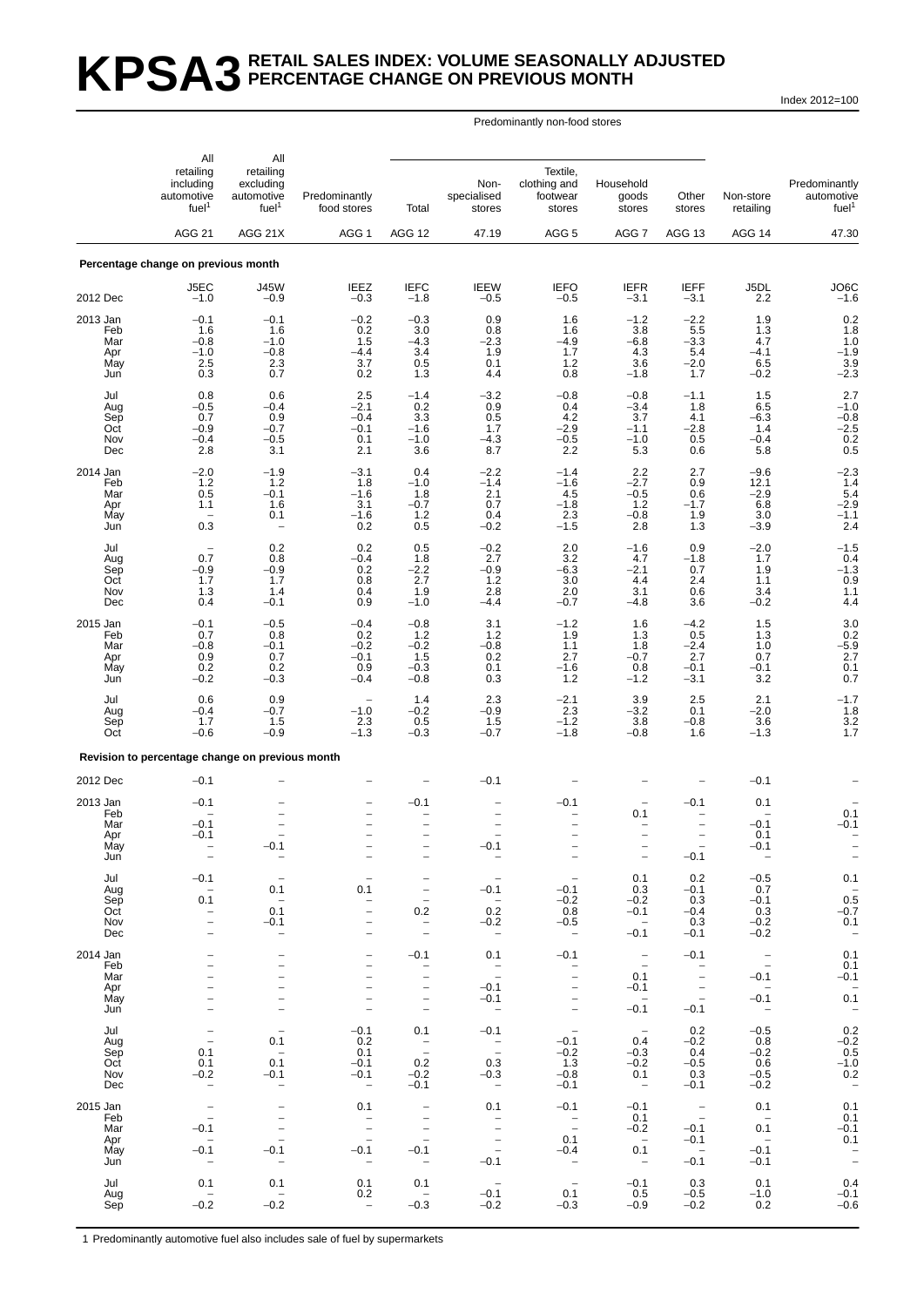# **KPSA3 RETAIL SALES INDEX: VOLUME SEASONALLY ADJUSTED PERCENTAGE CHANGE ON PREVIOUS MONTH**

Index 2012=100

### Predominantly non-food stores

|                                             | All                                                       | All                                                                                                                                      |                                                      |                                                                                                                                                 |                                                                             |                                                                                                                                   |                                                                       |                                                                                                                        |                                                    |                                                   |
|---------------------------------------------|-----------------------------------------------------------|------------------------------------------------------------------------------------------------------------------------------------------|------------------------------------------------------|-------------------------------------------------------------------------------------------------------------------------------------------------|-----------------------------------------------------------------------------|-----------------------------------------------------------------------------------------------------------------------------------|-----------------------------------------------------------------------|------------------------------------------------------------------------------------------------------------------------|----------------------------------------------------|---------------------------------------------------|
|                                             | retailing<br>including<br>automotive<br>fuel <sup>1</sup> | retailing<br>excluding<br>automotive<br>fuel <sup>1</sup>                                                                                | Predominantly<br>food stores                         | Total                                                                                                                                           | Non-<br>specialised<br>stores                                               | Textile,<br>clothing and<br>footwear<br>stores                                                                                    | Household<br>goods<br>stores                                          | Other<br>stores                                                                                                        | Non-store<br>retailing                             | Predominantly<br>automotive<br>fuel <sup>1</sup>  |
|                                             | <b>AGG 21</b>                                             | AGG 21X                                                                                                                                  | AGG 1                                                | AGG 12                                                                                                                                          | 47.19                                                                       | AGG <sub>5</sub>                                                                                                                  | AGG 7                                                                 | <b>AGG 13</b>                                                                                                          | AGG 14                                             | 47.30                                             |
|                                             | Percentage change on previous month                       |                                                                                                                                          |                                                      |                                                                                                                                                 |                                                                             |                                                                                                                                   |                                                                       |                                                                                                                        |                                                    |                                                   |
| 2012 Dec                                    | J5EC<br>$-1.0$                                            | <b>J45W</b><br>$-0.9$                                                                                                                    | <b>IEEZ</b><br>$-0.3$                                | <b>IEFC</b><br>$-1.8$                                                                                                                           | <b>IEEW</b><br>$-0.5$                                                       | <b>IEFO</b><br>$-0.5$                                                                                                             | <b>IEFR</b><br>$-3.1$                                                 | <b>IEFF</b><br>$-3.1$                                                                                                  | J5DL<br>2.2                                        | JO <sub>6</sub> C<br>$-1.6$                       |
| 2013 Jan                                    | $-0.1$                                                    | $-0.1$                                                                                                                                   | $-0.2$                                               | $-0.3$                                                                                                                                          | 0.9                                                                         | 1.6                                                                                                                               | $-1.2$                                                                | $-2.2$                                                                                                                 | 1.9                                                |                                                   |
| Feb<br>Mar<br>Apr<br>May<br>Jun             | 1.6<br>$-0.8$<br>$-1.0$<br>2.5<br>0.3                     | 1.6<br>$-1.0$<br>$-0.8$<br>2.3<br>0.7                                                                                                    | 0.2<br>1.5<br>-4.4<br>3.7<br>0.2                     | 3.0<br>$-4.3$<br>3.4<br>0.5<br>1.3                                                                                                              | 0.8<br>$-2.3$<br>1.9<br>0.1<br>4.4                                          | 1.6<br>$-4.9$<br>1.7<br>1.2<br>0.8                                                                                                | 3.8<br>$-6.8$<br>4.3<br>3.6<br>$-1.8$                                 | 5.5<br>$-3.3$<br>5.4<br>$-2.0$<br>1.7                                                                                  | 1.3<br>4.7<br>$-4.1$<br>6.5<br>$-0.2$              | $0.2$<br>1.8<br>$1.0 - 1.9$<br>$\frac{3.9}{-2.3}$ |
| Jul<br>Aug<br>Sep<br>Oct<br>Nov<br>Dec      | 0.8<br>$-0.5$<br>0.7<br>$-0.9$<br>$-0.4$<br>2.8           | 0.6<br>$-0.4$<br>0.9<br>$-0.7$<br>$-0.5$<br>3.1                                                                                          | 2.5<br>$^{-2.1}_{-0.4}$<br>$-0.1$<br>0.1<br>2.1      | $-1.4$<br>0.2<br>$3.\overline{3}$<br>$-1.6$<br>$-1.0$<br>3.6                                                                                    | $-3.2$<br>$\begin{array}{c} 0.9 \\ 0.5 \end{array}$<br>1.7<br>$-4.3$<br>8.7 | $-0.8$<br>0.4<br>4.2<br>$-2.9$<br>$^{-0.5}_{2.2}$                                                                                 | $-0.8$<br>$-3.4$<br>3.7<br>$-1.1$<br>$-1.0$<br>5.3                    | $-1.1$<br>1.8<br>4.1<br>$-2.8$<br>$\begin{array}{c} 0.5 \\ 0.6 \end{array}$                                            | 1.5<br>$6.5 - 6.3$<br>1.4<br>$-0.4$<br>5.8         | 2.7<br>$^{-1.0}_{-0.8}$<br>$-2.5$<br>$0.2 \\ 0.5$ |
| 2014 Jan<br>Feb                             | $-2.0$<br>1.2                                             | $-1.9$                                                                                                                                   | $-3.1$                                               | 0.4                                                                                                                                             | $-2.2 - 1.4$                                                                | $-1.4$<br>$-1.6$                                                                                                                  | $^{2.2}_{-2.7}$                                                       | $^{2.7}_{0.9}$                                                                                                         | $-9.6$<br>12.1                                     | $-2.3$<br>1.4                                     |
| Mar<br>Apr<br>May<br>Jun                    | 0.5<br>1.1<br>0.3                                         | 1.2<br>$-0.1$<br>1.6<br>0.1<br>$\overline{\phantom{0}}$                                                                                  | 1.8<br>$-1.6$<br>3.1<br>$-1.6$<br>0.2                | $-1.0$<br>1.8<br>$-0.7$<br>$1.2$<br>0.5                                                                                                         | 2.1<br>0.7<br>0.4<br>$-0.2$                                                 | 4.5<br>$-1.8$<br>$2.\overline{3}$<br>$-1.5$                                                                                       | $-0.5$<br>$1.2$<br>$-0.8$<br>2.8                                      | 0.6<br>$-1.7$<br>1.9<br>1.3                                                                                            | $-2.9$<br>6.8<br>3.0<br>$-3.9$                     | 5.4<br>$-2.9$<br>$-1.1$<br>2.4                    |
| Jul<br>Aug                                  | 0.7                                                       | 0.2<br>0.8                                                                                                                               | 0.2<br>$-0.4$                                        | 0.5<br>1.8                                                                                                                                      | $-0.2$<br>2.7                                                               | 2.0<br>3.2                                                                                                                        | $-1.6$<br>4.7                                                         | 0.9<br>$-1.8$                                                                                                          | $-2.0$<br>1.7                                      | $-1.5$<br>0.4                                     |
| Sep<br>Oct<br>Nov<br>Dec                    | $-0.9$<br>1.7<br>1.3<br>0.4                               | $-0.9$<br>1.7<br>1.4<br>$-0.1$                                                                                                           | 0.2<br>0.8<br>0.4<br>0.9                             | $-2.2$<br>$\overline{2.7}$<br>1.9<br>$-1.0$                                                                                                     | $-0.9$<br>1.2<br>2.8<br>$-4.4$                                              | -6.3<br>3.0<br>2.0<br>$-0.7$                                                                                                      | $-2.1$<br>4.4<br>3.1<br>$-4.8$                                        | 0.7<br>2.4<br>0.6<br>3.6                                                                                               | 1.9<br>1.1<br>3.4<br>$-0.2$                        | $^{-1.3}_{0.9}$<br>$1.1$<br>4.4                   |
| 2015 Jan<br>Feb                             | $-0.1$<br>0.7                                             | $-0.5$<br>0.8                                                                                                                            | $-0.4$<br>0.2                                        | $-0.8$<br>1.2                                                                                                                                   | 3.1<br>1.2                                                                  | $-1.2$<br>1.9                                                                                                                     | 1.6<br>1.3                                                            | $-4.2$<br>$0.5 - 2.4$                                                                                                  | 1.5<br>1.3                                         | 3.0                                               |
| Mar<br>Apr<br>May<br>Jun                    | $-0.8$<br>0.9<br>0.2<br>$-0.2$                            | $-0.1$<br>0.7<br>$\begin{array}{c} 0.2 \\ -0.3 \end{array}$                                                                              | $-0.2$<br>$-0.1$<br>0.9<br>$-0.4$                    | $-0.2$<br>1.5<br>$-0.3$<br>$-0.8$                                                                                                               | $-0.8$<br>0.2<br>0.1<br>0.3                                                 | 1.1<br>2.7<br>$-1.6$<br>1.2                                                                                                       | 1.8<br>$-0.7$<br>0.8<br>$-1.2$                                        | 2.7<br>$-0.1$<br>$-3.1$                                                                                                | 1.0<br>0.7<br>$-0.1$<br>3.2                        | $-5.9$<br>$-5.9$<br>2.7<br>$0.1$<br>$0.7$         |
| Jul<br>Aug<br>Sep<br>Oct                    | 0.6<br>$-0.4$<br>1.7<br>$-0.6$                            | 0.9<br>$-0.7$<br>1.5<br>$-0.9$                                                                                                           | $-1.0$<br>2.3<br>$-1.3$                              | 1.4<br>$-0.2$<br>0.5<br>$-0.3$                                                                                                                  | 2.3<br>$-0.9$<br>1.5<br>$-0.7$                                              | $-2.1$<br>$2.3$<br>$-1.2$<br>$-1.8$                                                                                               | $3.9 - 3.2$<br>3.8<br>$-0.8$                                          | 2.5<br>0.1<br>$-0.8$<br>1.6                                                                                            | 2.1<br>$-\overline{2.0}$<br>3.6<br>$-1.3$          | $-1.7$<br>1.8<br>3.2<br>1.7                       |
|                                             | Revision to percentage change on previous month           |                                                                                                                                          |                                                      |                                                                                                                                                 |                                                                             |                                                                                                                                   |                                                                       |                                                                                                                        |                                                    |                                                   |
| 2012 Dec                                    | $-0.1$                                                    |                                                                                                                                          |                                                      |                                                                                                                                                 | $-0.1$                                                                      |                                                                                                                                   |                                                                       |                                                                                                                        | $-0.1$                                             |                                                   |
| 2013 Jan<br>Feb<br>Mar<br>Apr<br>May<br>Jun | $-0.1$<br>$-0.1$<br>$-0.1$                                | $-0.1$<br>$\overline{\phantom{0}}$                                                                                                       | $\overline{\phantom{0}}$<br>$\overline{\phantom{0}}$ | $-0.1$<br>$\overline{\phantom{0}}$<br>-                                                                                                         | $-0.1$                                                                      | $-0.1$<br>-<br>$\overline{\phantom{0}}$<br>$\qquad \qquad -$                                                                      | 0.1<br>$\overline{\phantom{0}}$                                       | $-0.1$<br>$\overline{\phantom{0}}$<br>$\overline{\phantom{0}}$<br>$-0.1$                                               | 0.1<br>$-0.1$<br>0.1<br>$-0.1$                     | $0.1 - 0.1$<br>$\overline{\phantom{a}}$           |
| Jul<br>Aug<br>Sep<br>Oct<br>Nov<br>Dec      | $-0.1$<br>0.1                                             | $\overline{\phantom{0}}$<br>0.1<br>$\overline{\phantom{a}}$<br>0.1<br>$-0.1$<br>$\overline{\phantom{0}}$                                 | 0.1<br>-<br>$\overline{\phantom{0}}$                 | $\overline{\phantom{a}}$<br>$\overline{\phantom{a}}$<br>$\overline{\phantom{a}}$<br>0.2<br>$\overline{\phantom{a}}$<br>$\overline{\phantom{a}}$ | $\overline{\phantom{a}}$<br>$-0.1$<br>$\sim$<br>0.2<br>$-0.2$<br>$\sim$     | $\overline{\phantom{a}}$<br>$-0.1$<br>$-0.2$<br>0.8<br>$-0.5$<br>$\hspace{0.1mm}-\hspace{0.1mm}$                                  | 0.1<br>0.3<br>$-0.2$<br>$-0.1$<br>$\sim$<br>$-0.1$                    | 0.2<br>$-0.1$<br>0.3<br>$-0.4$<br>0.3<br>$-0.1$                                                                        | $-0.5$<br>0.7<br>$-0.1$<br>0.3<br>$-0.2$<br>$-0.2$ | 0.1<br>$-0.5$<br>-0.7<br>0.1<br>$\sim$            |
| 2014 Jan<br>Feb                             |                                                           | $\overline{\phantom{0}}$                                                                                                                 |                                                      | $-0.1$                                                                                                                                          | 0.1                                                                         | $-0.1$                                                                                                                            | $\overline{\phantom{a}}$<br>$\hspace{0.1mm}-\hspace{0.1mm}$           | $-0.1$                                                                                                                 | $\bar{\mathbb{I}}$                                 | 0.1<br>0.1                                        |
| Mar<br>Apr<br>May<br>Jun                    | $\overline{\phantom{0}}$                                  | $\overline{\phantom{0}}$<br>$\overline{\phantom{0}}$<br>$\overline{\phantom{0}}$<br>$\overline{\phantom{0}}$<br>$\overline{\phantom{0}}$ | $\overline{\phantom{0}}$<br>-<br>$\equiv$            | $\overline{\phantom{a}}$<br>$\qquad \qquad -$<br>$\overline{\phantom{a}}$<br>$\overline{\phantom{a}}$<br>$\overline{\phantom{0}}$               | $\sim$ $-$<br>$\overline{\phantom{a}}$<br>$-0.1$<br>$-0.1$<br>$\sim$        | $\overline{\phantom{a}}$<br>$\overline{\phantom{0}}$<br>$\qquad \qquad -$<br>$\overline{\phantom{0}}$<br>$\overline{\phantom{0}}$ | 0.1<br>$-0.1$<br>$\overline{\phantom{0}}$<br>$-0.1$                   | $\overline{\phantom{a}}$<br>$\overline{\phantom{0}}$<br>$\overline{\phantom{a}}$<br>$\overline{\phantom{a}}$<br>$-0.1$ | $-0.1$<br>$-0.1$<br>$\sim$                         | $-0.1$<br>$0.\overline{1}$<br>$\sim$ $-$          |
| Jul<br>Aug                                  | $\qquad \qquad -$<br>$\overline{\phantom{a}}$             | $\qquad \qquad -$<br>0.1                                                                                                                 | $-0.1$<br>0.2                                        | 0.1                                                                                                                                             | $-0.1$                                                                      | $\hspace{0.1mm}-\hspace{0.1mm}$<br>$-0.1$                                                                                         | $\overline{\phantom{0}}$<br>0.4                                       | 0.2<br>$-0.2$                                                                                                          | $-0.5$<br>0.8                                      | $-0.2$<br>$-0.5$                                  |
| Sep<br>Oct<br>Nov<br>Dec                    | 0.1<br>0.1<br>$-0.2$                                      | $\sim$<br>0.1<br>$-0.1$<br>$\qquad \qquad -$                                                                                             | 0.1<br>$-0.1$<br>$-0.1$<br>$\overline{\phantom{a}}$  | $\bar{\mathbb{Z}}$<br>0.2<br>$-0.2$<br>$-0.1$                                                                                                   | $\mathbb{Z}^{\pm}$<br>0.3<br>$-0.3$<br>$\overline{\phantom{0}}$             | $-0.2$<br>1.3<br>$-0.8$<br>$-0.1$                                                                                                 | $-0.3$<br>$-0.2$<br>0.1<br>$\overline{\phantom{0}}$                   | 0.4<br>$-0.5$<br>0.3<br>$-0.1$                                                                                         | $-0.2$<br>0.6<br>$-0.5$<br>$-0.2$                  | $-1.0$<br>0.2<br>$\overline{\phantom{a}}$         |
| 2015 Jan<br>Feb                             | $\overline{\phantom{m}}$<br>$\overline{\phantom{a}}$      | $\overline{\phantom{a}}$<br>$\qquad \qquad -$                                                                                            | 0.1                                                  | $\overline{\phantom{a}}$<br>$\overline{\phantom{a}}$                                                                                            | 0.1                                                                         | $-0.1$                                                                                                                            | $-0.1$<br>0.1                                                         | $\frac{1}{2}$                                                                                                          | 0.1<br>$\sim$ $-$                                  | 0.1<br>0.1                                        |
| Mar<br>Apr<br>May<br>Jun                    | $-0.1$<br>$\overline{\phantom{a}}$<br>$-0.1$              | $\overline{\phantom{0}}$<br>$\overline{\phantom{a}}$<br>$-0.1$<br>$\overline{\phantom{0}}$                                               | $\bar{a}$<br>$\sim$<br>$-0.1$                        | $\overline{\phantom{a}}$<br>$\overline{\phantom{a}}$<br>$-0.1$<br>$\hspace{0.1mm}-\hspace{0.1mm}$                                               | $\bar{a}$<br>$\bar{z}$<br>$-0.1$                                            | $\frac{1}{2}$<br>0.1<br>-0.4<br>$\sim$                                                                                            | $-0.2$<br>$\overline{\phantom{0}}$<br>0.1<br>$\overline{\phantom{0}}$ | $-0.1$<br>$-0.1$<br>$\overline{\phantom{0}}$<br>$-0.1$                                                                 | 0.1<br>$\sim$<br>$-0.1$<br>$-0.1$                  | $-0.1$<br>0.1<br>$\overline{\phantom{a}}$         |
| Jul<br>Aug<br>Sep                           | 0.1<br>$-0.2$                                             | 0.1<br>$\overline{\phantom{a}}$<br>$-0.2$                                                                                                | 0.1<br>0.2<br>$\overline{\phantom{m}}$               | 0.1<br>$\sim$<br>$-0.3$                                                                                                                         | $\overline{a}$<br>$-0.1$<br>$-0.2$                                          | $\overline{a}$<br>0.1<br>$-0.3$                                                                                                   | $-0.1$<br>0.5<br>$-0.9$                                               | 0.3<br>$-0.5$<br>$-0.2$                                                                                                | 0.1<br>$-1.0$<br>0.2                               | 0.4<br>$-0.1$<br>$-0.6$                           |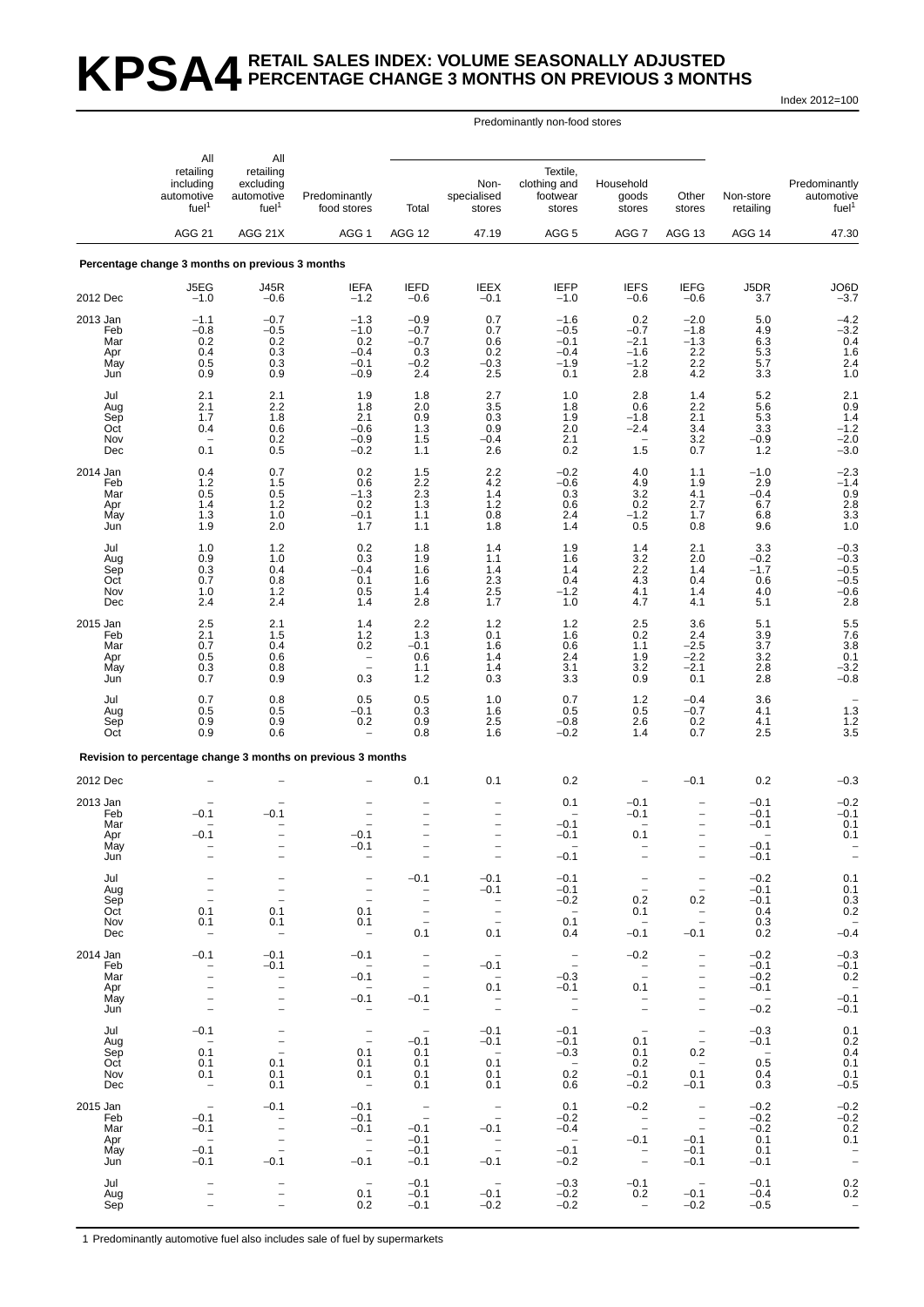# **KPSA4 RETAIL SALES INDEX: VOLUME SEASONALLY ADJUSTED PERCENTAGE CHANGE 3 MONTHS ON PREVIOUS 3 MONTHS**

Index 2012=100

#### Predominantly non-food stores

|                        | All                                                       | All                                                       |                                                             |                                                                                  |                                                                 |                                                |                                                      |                                                                 |                            |                                                  |
|------------------------|-----------------------------------------------------------|-----------------------------------------------------------|-------------------------------------------------------------|----------------------------------------------------------------------------------|-----------------------------------------------------------------|------------------------------------------------|------------------------------------------------------|-----------------------------------------------------------------|----------------------------|--------------------------------------------------|
|                        | retailing<br>including<br>automotive<br>fuel <sup>1</sup> | retailing<br>excluding<br>automotive<br>fuel <sup>1</sup> | Predominantly<br>food stores                                | Total                                                                            | Non-<br>specialised<br>stores                                   | Textile,<br>clothing and<br>footwear<br>stores | Household<br>goods<br>stores                         | Other<br>stores                                                 | Non-store<br>retailing     | Predominantly<br>automotive<br>fuel <sup>1</sup> |
|                        | <b>AGG 21</b>                                             | AGG 21X                                                   | AGG 1                                                       | AGG 12                                                                           | 47.19                                                           | AGG <sub>5</sub>                               | AGG 7                                                | <b>AGG 13</b>                                                   | AGG 14                     | 47.30                                            |
|                        | Percentage change 3 months on previous 3 months           |                                                           |                                                             |                                                                                  |                                                                 |                                                |                                                      |                                                                 |                            |                                                  |
| 2012 Dec               | J5EG<br>$-1.0$                                            | <b>J45R</b><br>$-0.6$                                     | <b>IEFA</b><br>$-1.2$                                       | <b>IEFD</b><br>$-0.6$                                                            | <b>IEEX</b><br>$-0.1$                                           | <b>IEFP</b><br>$-1.0$                          | <b>IEFS</b><br>$-0.6$                                | <b>IEFG</b><br>$-0.6$                                           | J5DR<br>3.7                | JO6D<br>$-3.7$                                   |
| 2013 Jan               | $-1.1$                                                    | $-0.7$                                                    | $-1.3$                                                      | $-0.9$                                                                           | 0.7                                                             | $-1.6$                                         | 0.2                                                  | $-2.0$                                                          | 5.0                        | $-4.2$<br>$-3.2$                                 |
| Feb<br>Mar<br>Apr      | $-0.8$<br>${}^{0.2}_{0.4}$                                | $-0.5$<br>$\substack{0.2\\0.3}$                           | $-1.0$<br>$0.2 - 0.4$                                       | $-0.7$<br>$-0.7$<br>0.3                                                          | 0.7<br>0.6<br>0.2                                               | $-0.5$<br>$-0.1$<br>$-0.4$                     | $-0.7$<br>$-2.1$<br>$-1.6$                           | $-1.8$<br>$-1.3$<br>2.2                                         | 4.9<br>$6.3$<br>$5.3$      | $\begin{array}{c} 0.4 \\ 1.6 \\ 2.4 \end{array}$ |
| May<br>Jun             | 0.5<br>0.9                                                | 0.3<br>0.9                                                | $-0.1$<br>$-0.9$                                            | $-0.2$<br>2.4                                                                    | $-0.3$<br>2.5                                                   | $-1.9$<br>0.1                                  | $-1.2$<br>2.8                                        | 2.2<br>4.2                                                      | 5.7<br>3.3                 | 1.0                                              |
| Jul<br>Aug             | 2.1<br>2.1                                                | 2.1<br>$^{2.2}_{1.8}$                                     | 1.9<br>1.8                                                  | 1.8<br>2.0                                                                       | 2.7<br>$\begin{array}{c} 3.5 \\ 0.3 \end{array}$                | 1.0<br>1.8                                     | 2.8<br>0.6                                           | 1.4<br>$^{2.2}_{2.1}$                                           | 5.2<br>5.6                 | $\begin{array}{c} 2.1 \\ 0.9 \\ 1.4 \end{array}$ |
| Sep<br>Oct<br>Nov      | 1.7<br>0.4                                                | 0.6                                                       | 2.1<br>$-0.6$<br>$-0.9$                                     | 0.9<br>1.3<br>1.5                                                                | 0.9<br>$-0.4$                                                   | 1.9<br>2.0<br>2.1                              | $-1.8$<br>$-2.4$                                     | 3.4                                                             | 5.3<br>3.3<br>$-0.9$       | $-1.2$                                           |
| Dec                    | 0.1                                                       | $\begin{array}{c} 0.2 \\ 0.5 \end{array}$                 | $-0.2$                                                      | 1.1                                                                              | 2.6                                                             | 0.2                                            | 1.5                                                  | $\begin{array}{c} 3.2 \\ 0.7 \end{array}$                       | 1.2                        | $^{-2.0}_{-3.0}$                                 |
| 2014 Jan<br>Feb<br>Mar | 0.4<br>1.2<br>0.5                                         | 0.7<br>1.5<br>0.5                                         | 0.2<br>0.6<br>$-1.3$                                        | $1.5$<br>$2.2$<br>2.3                                                            | $^{2.2}_{4.2}$<br>1.4                                           | $^{-0.2}_{-0.6}$<br>0.3                        | 4.0<br>4.9<br>3.2                                    | 1.1<br>1.9<br>4.1                                               | $-1.0$<br>2.9<br>$-0.4$    | $-2.3$<br>$-1.4$                                 |
| Apr<br>May             | 1.4<br>1.3                                                | 1.2<br>1.0                                                | 0.2<br>$-0.1$                                               | 1.3<br>1.1                                                                       | $\!\!\!\!\begin{array}{c} 1.2 \\ 0.8 \end{array}\!\!\!\!\!\!\!$ | 0.6<br>2.4                                     | $0.2 - 1.2$                                          | 2.7<br>1.7                                                      | 6.7<br>6.8                 | $0.9$<br>2.8<br>3.3<br>1.0                       |
| Jun                    | 1.9                                                       | 2.0                                                       | 1.7                                                         | 1.1                                                                              | 1.8                                                             | 1.4                                            | 0.5                                                  | 0.8                                                             | 9.6                        |                                                  |
| Jul<br>Aug<br>Sep      | 1.0<br>0.9<br>0.3                                         | $1.2$<br>1.0<br>0.4                                       | 0.2<br>0.3<br>$-0.4$                                        | 1.8<br>1.9<br>1.6                                                                | 1.4<br>1.1<br>1.4                                               | 1.9<br>1.6<br>1.4                              | 1.4<br>3.2                                           | 2.1<br>2.0<br>1.4                                               | 3.3<br>$-0.2$<br>$-1.7$    | $-0.3$<br>$-0.3$                                 |
| Oct<br>Nov             | 0.7<br>1.0                                                | 0.8<br>$1.2$                                              | 0.1<br>0.5                                                  | 1.6<br>1.4                                                                       | $2.3\,$<br>2.5                                                  | 0.4<br>$-1.2$                                  | $^{2.2}_{4.3}$<br>4.1                                | 0.4<br>1.4                                                      | 0.6<br>4.0                 | $^{-0.5}_{-0.5}$<br>$-0.6$<br>2.8                |
| Dec<br>2015 Jan        | 2.4<br>2.5                                                | 2.4<br>2.1                                                | 1.4<br>1.4                                                  | 2.8<br>2.2                                                                       | 1.7<br>1.2                                                      | 1.0<br>1.2                                     | 4.7<br>2.5                                           | 4.1<br>3.6                                                      | 5.1<br>5.1                 |                                                  |
| Feb<br>Mar             | 2.1<br>0.7                                                | 1.5<br>0.4                                                | 1.2<br>0.2                                                  | 1.3<br>$-0.1$                                                                    | 0.1<br>1.6                                                      | 1.6<br>0.6                                     | 0.2<br>1.1                                           | 2.4<br>$-2.5$                                                   | $\frac{3.9}{3.7}$          | $\begin{array}{c} 5.5 \\ 7.6 \\ 3.8 \end{array}$ |
| Apr<br>May<br>Jun      | 0.5<br>0.3<br>0.7                                         | 0.6<br>0.8<br>0.9                                         | $\overline{\phantom{a}}$<br>$\equiv$<br>0.3                 | 0.6<br>1.1<br>1.2                                                                | 1.4<br>1.4<br>0.3                                               | 2.4<br>3.1<br>3.3                              | 1.9<br>$\begin{array}{c} 3.2 \\ 0.9 \end{array}$     | $-2.2$<br>$\frac{-2.1}{0.1}$                                    | 3.2<br>$^{2.8}_{2.8}$      | 0.1<br>$^{-3.2}_{-0.8}$                          |
| Jul                    | 0.7                                                       | 0.8                                                       | 0.5                                                         | 0.5                                                                              | 1.0                                                             | 0.7                                            | 1.2                                                  | $-0.4$                                                          | 3.6                        | $1.\overline{3}$                                 |
| Aug<br>Sep<br>Oct      | 0.5<br>0.9<br>0.9                                         | 0.5<br>0.9<br>0.6                                         | $-0.1$<br>0.2                                               | 0.3<br>0.9<br>0.8                                                                | 1.6<br>2.5<br>1.6                                               | 0.5<br>$-0.8$<br>$-0.2$                        | 0.5<br>2.6<br>1.4                                    | $-0.7$<br>0.2<br>0.7                                            | 4.1<br>4.1<br>2.5          | 1.2<br>3.5                                       |
|                        |                                                           |                                                           | Revision to percentage change 3 months on previous 3 months |                                                                                  |                                                                 |                                                |                                                      |                                                                 |                            |                                                  |
| 2012 Dec               |                                                           |                                                           |                                                             | 0.1                                                                              | 0.1                                                             | 0.2                                            |                                                      | $-0.1$                                                          | 0.2                        | $-0.3$                                           |
| 2013 Jan<br>Feb        | $-0.1$                                                    | $-0.1$                                                    |                                                             | $\overline{\phantom{0}}$                                                         | $\overline{\phantom{0}}$                                        | 0.1                                            | $-0.1$<br>$-0.1$                                     | $\overline{\phantom{0}}$                                        | $-0.1$<br>$-0.1$           | $-0.2$<br>$-0.1$                                 |
| Mar<br>Apr             | $-0.1$                                                    | $\overline{\phantom{0}}$                                  | $-0.1$                                                      | -<br>$\qquad \qquad -$                                                           | $\qquad \qquad -$                                               | $-0.1$<br>$-0.1$                               | 0.1                                                  | $\overline{\phantom{0}}$<br>$\overline{\phantom{0}}$            | $-0.1$<br>$-0.1$           | 0.1<br>0.1                                       |
| May<br>Jun             |                                                           |                                                           | -0.1                                                        | -                                                                                | $\qquad \qquad -$                                               | $-0.1$                                         |                                                      | $\qquad \qquad -$                                               | $-0.1$                     | $\qquad \qquad -$                                |
| Jul<br>Aug             | $\qquad \qquad -$                                         | $\overline{\phantom{a}}$<br>$\qquad \qquad -$             | $\qquad \qquad -$                                           | $-0.1$<br>$\overline{\phantom{m}}$                                               | $-0.1$<br>$-0.1$                                                | $-0.1$<br>$-0.1$                               | $\overline{\phantom{a}}$<br>$\overline{\phantom{a}}$ | $\qquad \qquad -$<br>$\overline{\phantom{a}}$                   | $-0.2$<br>$-0.1$           | 0.1<br>0.1                                       |
| Sep<br>Oct<br>Nov      | $\overline{\phantom{a}}$<br>0.1<br>0.1                    | $\overline{\phantom{0}}$<br>0.1<br>0.1                    | $\overline{\phantom{a}}$<br>0.1<br>0.1                      | $\overline{\phantom{m}}$<br>$\overline{\phantom{a}}$<br>$\overline{\phantom{m}}$ | $\sim$ $-$<br>$\bar{\mathbb{Z}}$                                | $-0.2$<br>$\sim$<br>0.1                        | 0.2<br>0.1<br>$\sim$                                 | 0.2<br>$\bar{a}$                                                | $-0.1$<br>0.4<br>0.3       | $0.3$<br>$0.2$                                   |
| Dec                    |                                                           | $\hspace{0.1mm}-\hspace{0.1mm}$                           | $\hspace{0.1mm}-\hspace{0.1mm}$                             | 0.1                                                                              | 0.1                                                             | 0.4                                            | $-0.1$                                               | $-0.1$                                                          | 0.2                        | $-0.4$                                           |
| 2014 Jan<br>Feb<br>Mar | $-0.1$<br>$\qquad \qquad -$<br>$\overline{\phantom{0}}$   | $-0.1$<br>$-0.1$                                          | $-0.1$<br>$\sim$<br>$-0.1$                                  | $\overline{\phantom{a}}$<br>$\overline{\phantom{a}}$<br>$\overline{\phantom{a}}$ | $\overline{\phantom{a}}$<br>$-0.1$                              | $\overline{\phantom{a}}$<br>$-0.3$             | $-0.2$<br>$\frac{1}{2}$                              | $\qquad \qquad -$<br>$\overline{a}$<br>$\overline{\phantom{0}}$ | $-0.2$<br>$-0.1$<br>$-0.2$ | $-0.3$<br>$-0.1$<br>$0.2\,$                      |
| Apr<br>May             |                                                           | $\bar{a}$<br>$\equiv$                                     | $\overline{\phantom{a}}$<br>$-0.1$                          | $\overline{\phantom{m}}$<br>$-0.1$                                               | $0.\overline{1}$<br>$\bar{\mathbb{I}}$                          | $-0.1$<br>$\overline{\phantom{a}}$             | 0.1<br>$\overline{\phantom{a}}$                      | $\overline{\phantom{0}}$<br>-                                   | $-0.1$<br>$\sim$           | $-0.1$                                           |
| Jun<br>Jul             | $\overline{a}$<br>$-0.1$                                  | $\bar{\phantom{a}}$<br>$\overline{\phantom{a}}$           | $\overline{\phantom{a}}$                                    | $\hspace{0.1mm}-\hspace{0.1mm}$<br>$\hspace{0.1mm}-\hspace{0.1mm}$               | $-0.1$                                                          | $\overline{\phantom{a}}$<br>$-0.1$             | $\overline{\phantom{a}}$<br>$\hspace{0.1cm} -$       | $\overline{\phantom{a}}$<br>$\overline{\phantom{a}}$            | $-0.2$<br>$-0.3$           | $-0.1$<br>0.1                                    |
| Aug<br>Sep             | $\sim$<br>0.1                                             | $\bar{a}$                                                 | $\overline{\mathbb{Z}}$<br>0.1                              | $-0.1$<br>0.1                                                                    | $-0.1$<br>$\sim$                                                | $-0.1$<br>$-0.3$                               | 0.1<br>0.1                                           | $\overline{a}$<br>0.2                                           | $-0.1$<br>$\sim$           | $0.2 \\ 0.4$                                     |
| Oct<br>Nov<br>Dec      | 0.1<br>0.1                                                | 0.1<br>0.1<br>0.1                                         | 0.1<br>0.1<br>$\overline{\phantom{a}}$                      | 0.1<br>0.1<br>0.1                                                                | 0.1<br>0.1<br>0.1                                               | $\overline{\phantom{0}}$<br>0.2<br>0.6         | 0.2<br>$-0.1$<br>$-0.2$                              | $\overline{\phantom{0}}$<br>0.1<br>$-0.1$                       | 0.5<br>0.4<br>0.3          | 0.1<br>0.1<br>$-0.5$                             |
| 2015 Jan               | $\hspace{0.1mm}-\hspace{0.1mm}$                           | $-0.1$                                                    | $-0.1$                                                      | $\frac{1}{2}$                                                                    | $\overline{\phantom{a}}$                                        | 0.1                                            | $-0.2$                                               | $\sim$ $-$                                                      | $-0.2$                     | $^{-0.2}_{-0.2}$                                 |
| Feb<br>Mar<br>Apr      | $-0.1$<br>$-0.1$<br>$\sim$ $-$                            | $\bar{a}$                                                 | $-0.1$<br>$-0.1$                                            | $-0.1$<br>$-0.1$                                                                 | $-0.1$                                                          | $-0.2$<br>$-0.4$<br>$\sim$                     | $\frac{1}{2}$<br>$-0.1$                              | $\sim$ $-$<br>$\sim$<br>$-0.1$                                  | $-0.2$<br>$-0.2$<br>0.1    | 0.2<br>0.1                                       |
| May<br>Jun             | $-0.1$<br>$-0.1$                                          | $\bar{a}$<br>$-0.1$                                       | $\overline{\phantom{a}}$<br>$-0.1$                          | $-0.1$<br>$-0.1$                                                                 | $\mathbb{Z}$<br>$-0.1$                                          | $-0.1$<br>$-0.2$                               | $\overline{\phantom{a}}$<br>$\bar{a}$                | $-0.1$<br>$-0.1$                                                | 0.1<br>$-0.1$              | $\overline{\phantom{a}}$                         |
| Jul<br>Aug             |                                                           |                                                           | $\overline{\phantom{a}}$<br>0.1                             | $-0.1$<br>$-0.1$                                                                 | $\sim$ $-$<br>$-0.1$                                            | $-0.3$<br>$-0.2$                               | $-0.1$<br>0.2                                        | $\sim$<br>$-0.1$                                                | $-0.1$<br>$-0.4$           | $\begin{array}{c} 0.2 \\ 0.2 \end{array}$        |
| Sep                    |                                                           | $\overline{\phantom{0}}$                                  | 0.2                                                         | $-0.1$                                                                           | $-0.2$                                                          | $-0.2$                                         | $\overline{\phantom{m}}$                             | $-0.2$                                                          | $-0.5$                     | $\overline{\phantom{a}}$                         |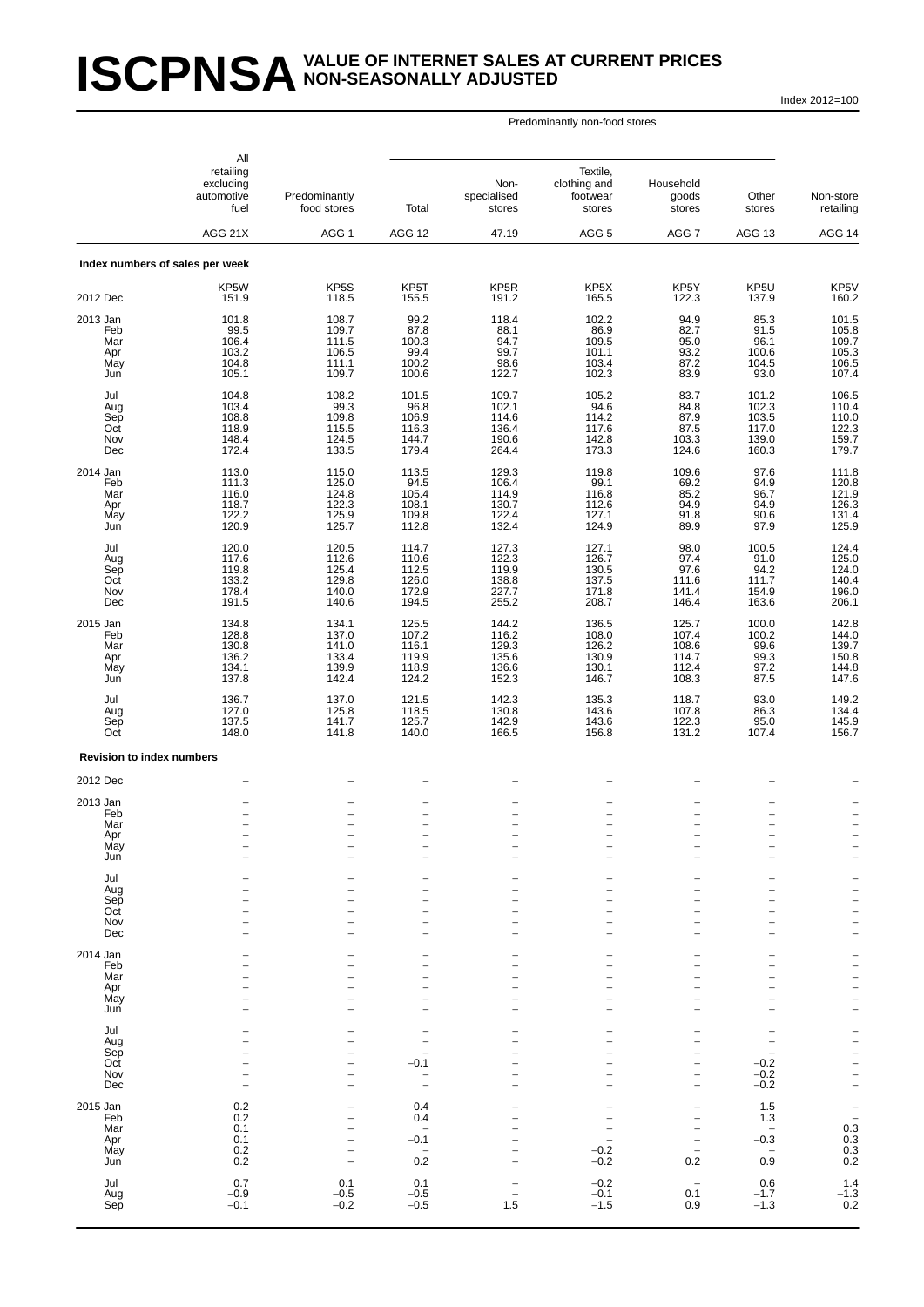# **ISCPNSA** VALUE OF INTERNET SALES AT CURRENT PRICES **NON-SEASONALLY ADJUSTED**

Index 2012=100

|                                             | All<br>retailing<br>excluding<br>automotive<br>fuel | Predominantly<br>food stores                                                          | Total                                                                  | Non-<br>specialised<br>stores                                                                                | Textile,<br>clothing and<br>footwear<br>stores                                   | Household<br>goods<br>stores                                                                                                             | Other<br>stores                                                                    | Non-store<br>retailing                                                         |
|---------------------------------------------|-----------------------------------------------------|---------------------------------------------------------------------------------------|------------------------------------------------------------------------|--------------------------------------------------------------------------------------------------------------|----------------------------------------------------------------------------------|------------------------------------------------------------------------------------------------------------------------------------------|------------------------------------------------------------------------------------|--------------------------------------------------------------------------------|
|                                             | AGG 21X                                             | AGG <sub>1</sub>                                                                      | AGG 12                                                                 | 47.19                                                                                                        | AGG <sub>5</sub>                                                                 | AGG 7                                                                                                                                    | <b>AGG 13</b>                                                                      | AGG 14                                                                         |
|                                             | Index numbers of sales per week                     |                                                                                       |                                                                        |                                                                                                              |                                                                                  |                                                                                                                                          |                                                                                    |                                                                                |
| 2012 Dec                                    | KP5W<br>151.9                                       | KP5S<br>118.5                                                                         | KP5T<br>155.5                                                          | KP <sub>5</sub> R<br>191.2                                                                                   | KP <sub>5</sub> X<br>165.5                                                       | KP5Y<br>122.3                                                                                                                            | KP5U<br>137.9                                                                      | KP5V<br>160.2                                                                  |
| 2013 Jan<br>Feb<br>Mar<br>Apr<br>May<br>Jun | 101.8<br>99.5<br>106.4<br>103.2<br>104.8<br>105.1   | 108.7<br>109.7<br>111.5<br>106.5<br>111.1<br>109.7                                    | 99.2<br>87.8<br>100.3<br>99.4<br>100.2<br>100.6                        | 118.4<br>88.1<br>94.7<br>99.7<br>98.6<br>122.7                                                               | 102.2<br>86.9<br>109.5<br>101.1<br>103.4<br>102.3                                | 94.9<br>82.7<br>95.0<br>93.2<br>87.2<br>83.9                                                                                             | 85.3<br>91.5<br>96.1<br>100.6<br>104.5<br>93.0                                     | 101.5<br>105.8<br>109.7<br>105.3<br>106.5<br>107.4                             |
| Jul<br>Aug<br>Sep<br>Oct<br>Nov<br>Dec      | 104.8<br>103.4<br>108.8<br>118.9<br>148.4<br>172.4  | 108.2<br>99.3<br>109.8<br>115.5<br>124.5<br>133.5                                     | 101.5<br>96.8<br>106.9<br>116.3<br>144.7<br>179.4                      | 109.7<br>102.1<br>114.6<br>136.4<br>190.6<br>264.4                                                           | 105.2<br>94.6<br>114.2<br>117.6<br>142.8<br>173.3                                | 83.7<br>84.8<br>87.9<br>87.5<br>103.3<br>124.6                                                                                           | 101.2<br>102.3<br>103.5<br>117.0<br>139.0<br>160.3                                 | 106.5<br>110.4<br>122.3<br>159.7<br>179.7                                      |
| 2014 Jan<br>Feb<br>Mar<br>Apr<br>May<br>Jun | 113.0<br>111.3<br>116.0<br>118.7<br>122.2<br>120.9  | 115.0<br>125.0<br>124.8<br>122.3<br>125.9<br>125.7                                    | 113.5<br>94.5<br>105.4<br>108.1<br>109.8<br>112.8                      | 129.3<br>106.4<br>114.9<br>130.7<br>122.4<br>132.4                                                           | 119.8<br>99.1<br>116.8<br>112.6<br>127.1<br>124.9                                | 109.6<br>69.2<br>85.2<br>94.9<br>91.8<br>89.9                                                                                            | 97.6<br>94.9<br>96.7<br>94.9<br>90.6<br>97.9                                       | 111.8<br>120.8<br>121.9<br>126.3<br>131.4<br>125.9                             |
| Jul<br>Aug<br>Sep<br>Oct<br>Nov<br>Dec      | 120.0<br>117.6<br>119.8<br>133.2<br>178.4<br>191.5  | 120.5<br>112.6<br>125.4<br>129.8<br>140.0<br>140.6                                    | 114.7<br>110.6<br>112.5<br>126.0<br>172.9<br>194.5                     | 127.3<br>122.3<br>119.9<br>138.8<br>227.7<br>255.2                                                           | 127.1<br>126.7<br>130.5<br>137.5<br>171.8<br>208.7                               | 98.0<br>97.4<br>97.6<br>111.6<br>141.4<br>146.4                                                                                          | 100.5<br>91.0<br>94.2<br>111.7<br>154.9<br>163.6                                   | 124.4<br>125.0<br>124.0<br>140.4<br>196.0<br>206.1                             |
| 2015 Jan<br>Feb<br>Mar<br>Apr<br>May<br>Jun | 134.8<br>128.8<br>130.8<br>136.2<br>134.1<br>137.8  | 134.1<br>137.0<br>141.0<br>133.4<br>139.9<br>142.4                                    | 125.5<br>107.2<br>116.1<br>119.9<br>118.9<br>124.2                     | 144.2<br>116.2<br>129.3<br>135.6<br>136.6<br>152.3                                                           | 136.5<br>108.0<br>126.2<br>130.9<br>130.1<br>146.7                               | 125.7<br>107.4<br>108.6<br>114.7<br>112.4<br>108.3                                                                                       | 100.0<br>100.2<br>99.6<br>99.3<br>97.2<br>87.5                                     | 142.8<br>144.0<br>139.7<br>150.8<br>144.8<br>147.6                             |
| Jul<br>Aug<br>Sep<br>Oct                    | 136.7<br>127.0<br>137.5<br>148.0                    | 137.0<br>125.8<br>141.7<br>141.8                                                      | 121.5<br>118.5<br>125.7<br>140.0                                       | 142.3<br>130.8<br>142.9<br>166.5                                                                             | 135.3<br>143.6<br>143.6<br>156.8                                                 | 118.7<br>107.8<br>122.3<br>131.2                                                                                                         | 93.0<br>86.3<br>95.0<br>107.4                                                      | 149.2<br>134.4<br>145.9<br>156.7                                               |
| <b>Revision to index numbers</b>            |                                                     |                                                                                       |                                                                        |                                                                                                              |                                                                                  |                                                                                                                                          |                                                                                    |                                                                                |
| 2012 Dec                                    |                                                     |                                                                                       |                                                                        |                                                                                                              |                                                                                  |                                                                                                                                          |                                                                                    |                                                                                |
| 2013 Jan<br>Feb<br>Mar<br>Apr<br>May<br>Jun | $\overline{\phantom{0}}$<br>۰                       | $\overline{\phantom{0}}$<br>$\overline{\phantom{a}}$                                  | $\overline{a}$<br>$\overline{\phantom{0}}$<br>$\overline{\phantom{0}}$ | $\overline{\phantom{0}}$<br>$\overline{\phantom{0}}$<br>$\overline{\phantom{0}}$<br>$\overline{\phantom{0}}$ | $\overline{\phantom{a}}$<br>$\overline{\phantom{m}}$<br>$\overline{\phantom{0}}$ | -<br>$\overline{\phantom{0}}$<br>$\overline{\phantom{0}}$<br>$\overline{\phantom{0}}$<br>$\overline{\phantom{0}}$                        | $\overline{\phantom{0}}$<br>$\overline{\phantom{a}}$                               | $\overline{\phantom{0}}$<br>$\overline{a}$<br>$\overline{a}$<br>$\overline{a}$ |
| Jul<br>Aug<br>Sep<br>Oct<br>Nov<br>Dec      |                                                     |                                                                                       |                                                                        | $\overline{\phantom{0}}$                                                                                     |                                                                                  | -<br>$\overline{\phantom{0}}$<br>L.<br>$\overline{\phantom{0}}$<br>$\overline{\phantom{0}}$<br>L.                                        | $\overline{\phantom{0}}$<br>۳<br>۳<br>$\overline{\phantom{0}}$                     | $\bar{a}$<br>$\overline{\phantom{a}}$<br>$\overline{a}$<br>$\overline{a}$      |
| 2014 Jan<br>Feb<br>Mar<br>Apr<br>May<br>Jun |                                                     |                                                                                       | $\overline{\phantom{0}}$                                               | -<br>$\overline{\phantom{0}}$                                                                                | $\overline{\phantom{0}}$                                                         | $\overline{\phantom{0}}$<br>$\overline{\phantom{0}}$<br>$\overline{\phantom{0}}$<br>$\overline{\phantom{0}}$<br>$\overline{\phantom{0}}$ | $\overline{\phantom{0}}$<br>۳<br>L.<br>$\overline{\phantom{0}}$                    | -<br>$\frac{1}{1}$<br>$\frac{1}{2}$                                            |
| Jul<br>Aug<br>Sep<br>Oct<br>Nov<br>Dec      | $\overline{\phantom{0}}$                            | $\overline{\phantom{0}}$<br>۰<br>$\overline{a}$<br>$\overline{\phantom{0}}$           | $\overline{\phantom{0}}$<br>$-0.1$<br>-                                | $\overline{\phantom{0}}$                                                                                     | $\overline{\phantom{0}}$<br>$\overline{\phantom{0}}$                             | -<br>$\overline{\phantom{0}}$<br>$\overline{\phantom{0}}$<br>$\overline{a}$<br>$\overline{\phantom{0}}$<br>$\overline{a}$                | $\overline{\phantom{0}}$<br>$\overline{\phantom{0}}$<br>$-0.2$<br>$-0.2$<br>$-0.2$ | — — — — —<br>— — — —                                                           |
| 2015 Jan<br>Feb<br>Mar<br>Apr<br>May<br>Jun | 0.2<br>0.2<br>0.1<br>0.1<br>0.2<br>0.2              | $\overline{\phantom{0}}$<br>۰<br>$\overline{\phantom{0}}$<br>$\overline{\phantom{a}}$ | 0.4<br>0.4<br>$\overline{\phantom{0}}$<br>$-0.1$<br>0.2                | L.<br>$\overline{\phantom{0}}$                                                                               | $-0.2$<br>$-0.2$                                                                 | -<br>$\overline{a}$<br>$\overline{\phantom{0}}$<br>$\overline{\phantom{a}}$<br>$\overline{\phantom{0}}$<br>0.2                           | 1.5<br>1.3<br>$\overline{\phantom{0}}$<br>$-0.3$<br>0.9                            | $-$<br>$-$<br>$0.3$<br>$0.3$<br>$0.3$<br>$0.2$                                 |
| Jul<br>Aug<br>Sep                           | 0.7<br>$-0.9$<br>$-0.1$                             | 0.1<br>$-0.5$<br>$-0.2$                                                               | 0.1<br>$-0.5$<br>$-0.5$                                                | $\overline{\phantom{0}}$<br>1.5                                                                              | $-0.2$<br>$-0.1$<br>$-1.5$                                                       | $\overline{\phantom{0}}$<br>0.1<br>0.9                                                                                                   | 0.6<br>$-1.7$<br>$-1.3$                                                            | $\begin{array}{c} 1.4 \\ -1.3 \\ 0.2 \end{array}$                              |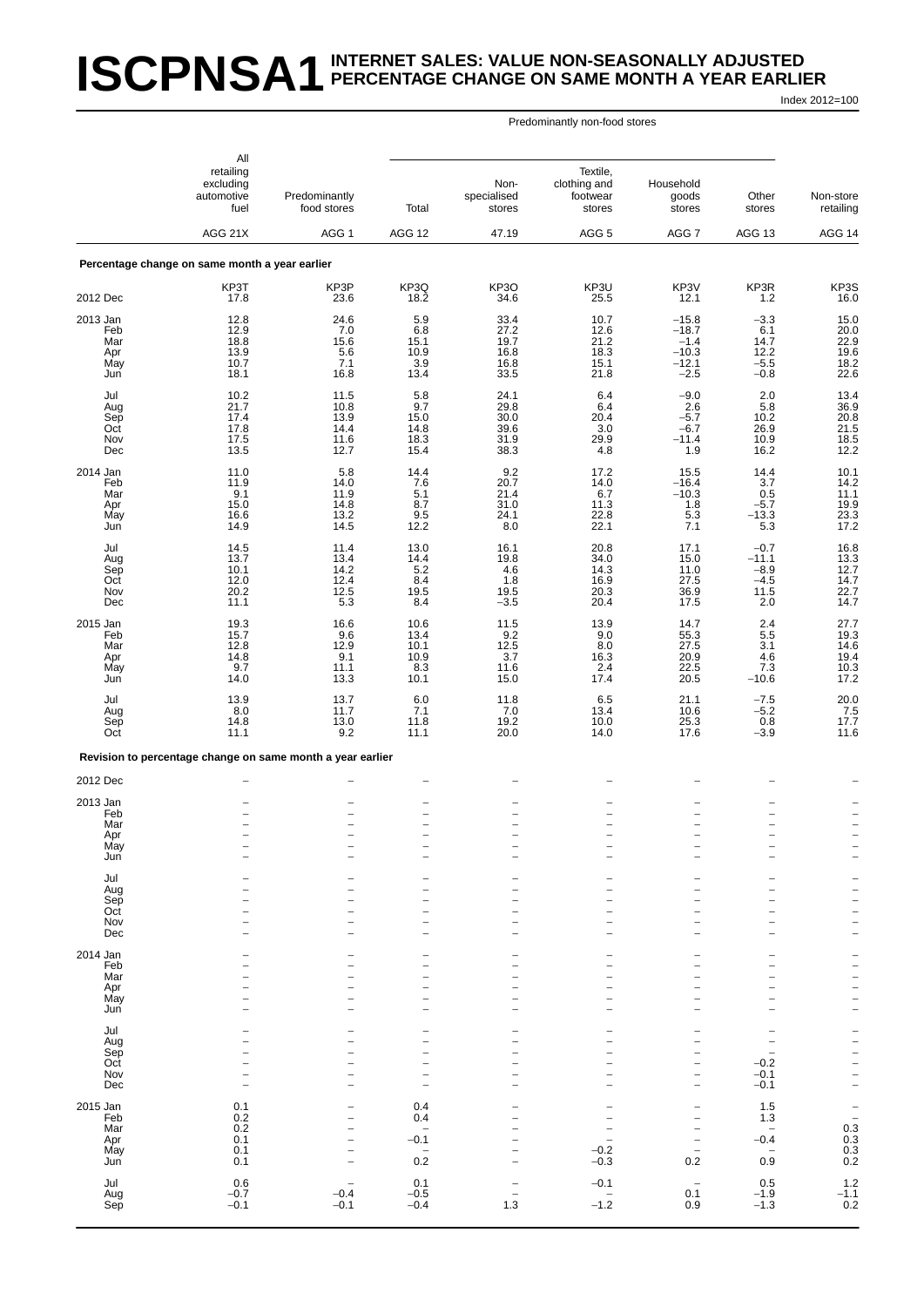# **ISCPNSA1** INTERNET SALES: VALUE NON-SEASONALLY ADJUSTED<br>ISCPNSA1 PERCENTAGE CHANGE ON SAME MONTH A YEAR EARLI **PERCENTAGE CHANGE ON SAME MONTH A YEAR EARLIER**

Index 2012=100

|                                             | All<br>retailing<br>excluding<br>automotive<br>fuel<br>AGG 21X | Predominantly<br>food stores<br>AGG <sub>1</sub>                                 | Total<br>AGG 12                                                                                | Non-<br>specialised<br>stores<br>47.19                                    | Textile.<br>clothing and<br>footwear<br>stores<br>AGG 5   | Household<br>goods<br>stores<br>AGG 7                                                                                      | Other<br>stores<br>AGG 13                                                                  | Non-store<br>retailing<br>AGG 14                                                                                                             |
|---------------------------------------------|----------------------------------------------------------------|----------------------------------------------------------------------------------|------------------------------------------------------------------------------------------------|---------------------------------------------------------------------------|-----------------------------------------------------------|----------------------------------------------------------------------------------------------------------------------------|--------------------------------------------------------------------------------------------|----------------------------------------------------------------------------------------------------------------------------------------------|
|                                             | Percentage change on same month a year earlier                 |                                                                                  |                                                                                                |                                                                           |                                                           |                                                                                                                            |                                                                                            |                                                                                                                                              |
|                                             | KP3T                                                           | KP3P                                                                             | KP3Q                                                                                           | KP3O                                                                      | KP3U                                                      | KP3V                                                                                                                       | KP3R                                                                                       | KP3S                                                                                                                                         |
| 2012 Dec                                    | 17.8                                                           | 23.6                                                                             | 18.2                                                                                           | 34.6                                                                      | 25.5                                                      | 12.1                                                                                                                       | 1.2                                                                                        | 16.0                                                                                                                                         |
| 2013 Jan<br>Feb<br>Mar<br>Apr<br>May<br>Jun | 12.8<br>12.9<br>18.8<br>13.9<br>10.7<br>18.1                   | 24.6<br>7.0<br>15.6<br>5.6<br>7.1<br>16.8                                        | 5.9<br>6.8<br>15.1<br>10.9<br>3.9<br>13.4                                                      | 33.4<br>27.2<br>19.7<br>16.8<br>16.8<br>33.5                              | 10.7<br>12.6<br>21.2<br>18.3<br>15.1<br>21.8              | $-15.8$<br>$-18.7$<br>$-1.4$<br>$-10.3$<br>$-12.1$<br>$-2.5$                                                               | $-3.3$<br>6.1<br>14.7<br>12.2<br>$-5.5$<br>$-0.8$                                          | 15.0<br>20.0<br>22.9<br>19.6<br>18.2<br>22.6                                                                                                 |
| Jul<br>Aug<br>Sep<br>Oct<br>Nov<br>Dec      | 10.2<br>21.7<br>17.4<br>17.8<br>17.5<br>13.5                   | 11.5<br>10.8<br>13.9<br>14.4<br>11.6<br>12.7                                     | 5.8<br>9.7<br>15.0<br>14.8<br>18.3<br>15.4                                                     | 24.1<br>29.8<br>30.0<br>39.6<br>31.9<br>38.3                              | 6.4<br>6.4<br>20.4<br>3.0<br>29.9<br>4.8                  | $-9.0$<br>2.6<br>$-5.7$<br>$-6.7$<br>$-11.4$<br>1.9                                                                        | 2.0<br>5.8<br>10.2<br>26.9<br>10.9<br>16.2                                                 | 13.4<br>36.9<br>20.8<br>21.5<br>18.5<br>12.2                                                                                                 |
| 2014 Jan<br>Feb<br>Mar<br>Apr<br>May<br>Jun | 11.0<br>11.9<br>9.1<br>15.0<br>16.6<br>14.9                    | $5.8\,$<br>14.0<br>11.9<br>14.8<br>13.2<br>14.5                                  | 14.4<br>7.6<br>5.1<br>8.7<br>9.5<br>12.2                                                       | 9.2<br>20.7<br>21.4<br>31.0<br>24.1<br>8.0                                | 17.2<br>14.0<br>6.7<br>11.3<br>22.8<br>22.1               | 15.5<br>$-16.4$<br>$-10.3$<br>1.8<br>5.3<br>7.1                                                                            | 14.4<br>3.7<br>0.5<br>$-5.7$<br>$-13.3$<br>5.3                                             | 10.1<br>14.2<br>11.1<br>19.9<br>23.3<br>17.2                                                                                                 |
| Jul<br>Aug<br>Sep<br>Oct<br>Nov<br>Dec      | 14.5<br>13.7<br>10.1<br>12.0<br>20.2<br>11.1                   | 11.4<br>13.4<br>14.2<br>12.4<br>12.5<br>5.3                                      | 13.0<br>14.4<br>5.2<br>8.4<br>19.5<br>8.4                                                      | 16.1<br>19.8<br>4.6<br>1.8<br>19.5<br>$-3.5$                              | 20.8<br>34.0<br>14.3<br>16.9<br>20.3<br>20.4              | 17.1<br>15.0<br>11.0<br>27.5<br>36.9<br>17.5                                                                               | $-0.7$<br>$-11.1$<br>$-8.9$<br>$-4.5$<br>11.5<br>2.0                                       | 16.8<br>13.3<br>12.7<br>14.7<br>22.7<br>14.7                                                                                                 |
| 2015 Jan<br>Feb<br>Mar<br>Apr<br>May<br>Jun | 19.3<br>15.7<br>12.8<br>14.8<br>9.7<br>14.0                    | 16.6<br>9.6<br>12.9<br>9.1<br>11.1<br>13.3                                       | 10.6<br>13.4<br>10.1<br>10.9<br>8.3<br>10.1                                                    | 11.5<br>$\frac{9.2}{12.5}$<br>3.7<br>11.6<br>15.0                         | 13.9<br>9.0<br>8.0<br>16.3<br>2.4<br>17.4                 | 14.7<br>55.3<br>27.5<br>20.9<br>22.5<br>20.5                                                                               | 2.4<br>5.5<br>3.1<br>4.6<br>7.3<br>$-10.6$                                                 | 27.7<br>19.3<br>14.6<br>19.4<br>10.3<br>17.2                                                                                                 |
| Jul<br>Aug<br>Sep<br>Oct                    | 13.9<br>8.0<br>14.8<br>11.1                                    | 13.7<br>11.7<br>13.0<br>9.2                                                      | 6.0<br>7.1<br>11.8<br>11.1                                                                     | 11.8<br>7.0<br>19.2<br>20.0                                               | 6.5<br>13.4<br>10.0<br>14.0                               | 21.1<br>10.6<br>25.3<br>17.6                                                                                               | $-7.5$<br>$-5.2$<br>0.8<br>$-3.9$                                                          | $^{20.0}_{7.5}$<br>17.7<br>11.6                                                                                                              |
|                                             | Revision to percentage change on same month a year earlier     |                                                                                  |                                                                                                |                                                                           |                                                           |                                                                                                                            |                                                                                            |                                                                                                                                              |
| 2012 Dec                                    |                                                                |                                                                                  |                                                                                                |                                                                           |                                                           |                                                                                                                            |                                                                                            |                                                                                                                                              |
| 2013 Jan<br>Feb<br>Mar<br>Apr<br>May<br>Jun | $\overline{a}$<br>$\overline{\phantom{0}}$                     | $\overline{\phantom{0}}$<br>$\overline{\phantom{0}}$<br>$\overline{\phantom{0}}$ | $\overline{\phantom{0}}$<br>$\overline{\phantom{a}}$                                           | $\overline{\phantom{0}}$<br>$\overline{\phantom{0}}$                      | $\overline{\phantom{0}}$<br>$\overline{\phantom{0}}$      | $\qquad \qquad -$<br>$\overline{\phantom{0}}$<br>$\overline{\phantom{0}}$                                                  | $\overline{\phantom{0}}$<br>L<br>$\overline{\phantom{0}}$                                  | $\overline{\phantom{a}}$<br>$\qquad \qquad -$<br>$\qquad \qquad -$                                                                           |
| Jul<br>Aug<br>Sep<br>Oct<br>Nov<br>Dec      | $\overline{\phantom{0}}$<br>$\overline{a}$                     | $\overline{a}$<br>$\overline{a}$<br>$\overline{\phantom{0}}$                     | $\overline{\phantom{a}}$<br>$\qquad \qquad -$<br>$\overline{\phantom{0}}$                      | $\overline{\phantom{0}}$<br>$\overline{a}$<br>$\overline{\phantom{0}}$    | $\overline{\phantom{0}}$                                  | $\overline{\phantom{0}}$<br>-<br>$\overline{\phantom{0}}$<br>$\overline{\phantom{0}}$                                      | $\overline{\phantom{0}}$<br>L<br>-<br>$\overline{\phantom{0}}$<br>$\overline{\phantom{0}}$ | $\qquad \qquad -$<br>$\overline{\phantom{0}}$<br>$\overline{\phantom{0}}$<br>$\qquad \qquad -$                                               |
| 2014 Jan<br>Feb<br>Mar<br>Apr<br>May<br>Jun | $\overline{\phantom{0}}$                                       | 1<br>$\overline{\phantom{0}}$<br>$\overline{\phantom{a}}$                        | $\overline{\phantom{0}}$<br>$\qquad \qquad -$<br>$\overline{\phantom{0}}$<br>$\equiv$          | $\overline{\phantom{0}}$<br>$\equiv$                                      | $\overline{\phantom{0}}$<br>$\overline{\phantom{0}}$      | -<br>-<br>$\overline{a}$<br>-<br>$\overline{\phantom{a}}$                                                                  | 1<br>-<br>$\overline{\phantom{0}}$<br>$\overline{\phantom{0}}$                             | $\overline{\phantom{0}}$<br>$\qquad \qquad -$<br>$\overline{\phantom{0}}$<br>$\qquad \qquad -$<br>$\overline{\phantom{0}}$<br>$\overline{a}$ |
| Jul<br>Aug<br>Sep<br>Oct<br>Nov<br>Dec      | 1<br>$\overline{a}$<br>$\overline{\phantom{0}}$                | 1<br>$\overline{a}$<br>$\overline{\phantom{0}}$<br>$\overline{\phantom{0}}$      | $\qquad \qquad -$<br>$\overline{\phantom{a}}$<br>$\overline{\phantom{a}}$<br>$\qquad \qquad -$ | $\qquad \qquad -$<br>$\overline{\phantom{0}}$<br>$\overline{\phantom{0}}$ | -<br>$\overline{\phantom{0}}$<br>$\overline{\phantom{a}}$ | -<br>-<br>$\overline{a}$<br>$\qquad \qquad -$<br>$\qquad \qquad -$<br>$\qquad \qquad -$                                    | -<br>$\overline{\phantom{0}}$<br>$-0.2$<br>$-0.1$<br>$-0.1$                                | $\qquad \qquad -$<br>$\overline{\phantom{0}}$<br>$\overline{\phantom{0}}$<br>$\overline{a}$<br>$\overline{\phantom{0}}$<br>$\qquad \qquad -$ |
| 2015 Jan<br>Feb<br>Mar<br>Apr<br>May<br>Jun | 0.1<br>0.2<br>0.2<br>0.1<br>0.1<br>0.1                         | $\overline{a}$<br>$\overline{a}$<br>$\overline{\phantom{0}}$                     | 0.4<br>0.4<br>$\overline{\phantom{a}}$<br>$-0.1$<br>$\overline{\phantom{m}}$<br>0.2            |                                                                           | $-0.2$<br>$-0.3$                                          | $\overline{\phantom{0}}$<br>$\qquad \qquad -$<br>$\qquad \qquad -$<br>$\qquad \qquad -$<br>$\overline{\phantom{a}}$<br>0.2 | 1.5<br>$1.\overline{3}$<br>$\overline{\phantom{0}}$<br>$-0.4$<br>۰<br>0.9                  | $\bar{a}$<br>$\begin{array}{c} 0.3 \\ 0.3 \\ 0.3 \\ 0.2 \end{array}$                                                                         |
| Jul<br>Aug<br>Sep                           | 0.6<br>$-0.7$<br>$-0.1$                                        | $\overline{\phantom{0}}$<br>$-0.4$<br>$-0.1$                                     | 0.1<br>$-0.5$<br>$-0.4$                                                                        | 1.3                                                                       | $-0.1$<br>$-1.2$                                          | $\overline{\phantom{m}}$<br>0.1<br>0.9                                                                                     | $0.5 - 1.9$<br>$-1.3$                                                                      | $\begin{array}{c} 1.2 \\ -1.1 \\ 0.2 \end{array}$                                                                                            |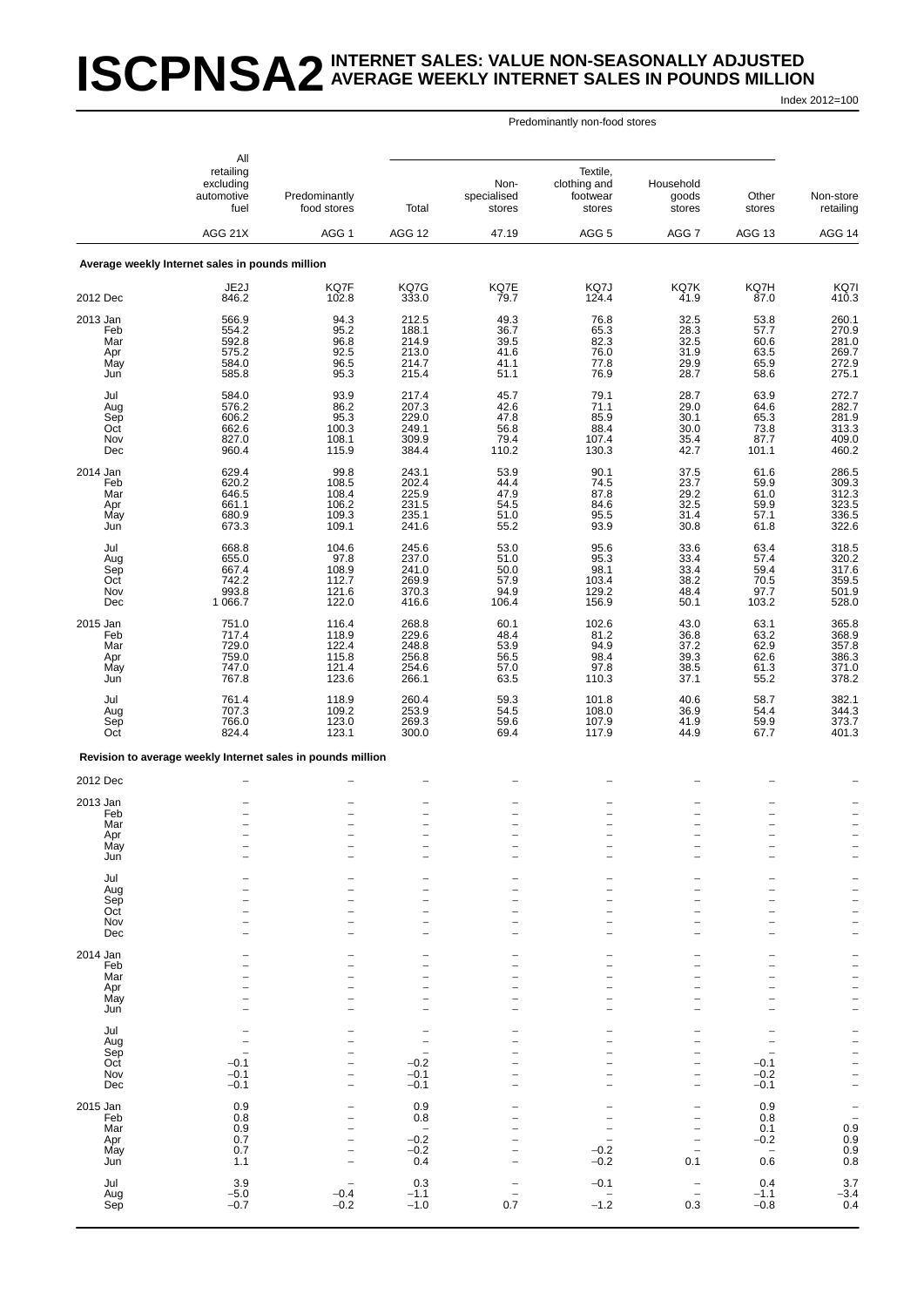# **ISCPNSA2** INTERNET SALES: VALUE NON-SEASONALLY ADJUSTED<br>ISCPNSA2 AVERAGE WEEKLY INTERNET SALES IN POUNDS MILLIO **AVERAGE WEEKLY INTERNET SALES IN POUNDS MILLION**

Index 2012=100

|                                             | All<br>retailing<br>excluding<br>automotive<br>fuel                       | Predominantly<br>food stores                                                     | Total                                                                            | Non-<br>specialised<br>stores                                                    | Textile,<br>clothing and<br>footwear<br>stores                                   | Household<br>goods<br>stores                                                                                                        | Other<br>stores                                                                                       | Non-store<br>retailing                                                        |
|---------------------------------------------|---------------------------------------------------------------------------|----------------------------------------------------------------------------------|----------------------------------------------------------------------------------|----------------------------------------------------------------------------------|----------------------------------------------------------------------------------|-------------------------------------------------------------------------------------------------------------------------------------|-------------------------------------------------------------------------------------------------------|-------------------------------------------------------------------------------|
|                                             | AGG 21X                                                                   | AGG 1                                                                            | AGG 12                                                                           | 47.19                                                                            | AGG <sub>5</sub>                                                                 | AGG 7                                                                                                                               | AGG 13                                                                                                | AGG 14                                                                        |
|                                             | Average weekly Internet sales in pounds million                           |                                                                                  |                                                                                  |                                                                                  |                                                                                  |                                                                                                                                     |                                                                                                       |                                                                               |
| 2012 Dec                                    | JE2J<br>846.2                                                             | KQ7F<br>102.8                                                                    | KQ7G<br>333.0                                                                    | KQ7E<br>79.7                                                                     | KQ7J<br>124.4                                                                    | KQ7K<br>41.9                                                                                                                        | KQ7H<br>87.0                                                                                          | KQ7I<br>410.3                                                                 |
| 2013 Jan<br>Feb<br>Mar<br>Apr<br>May<br>Jun | 566.9<br>554.2<br>592.8<br>575.2<br>584.0<br>585.8                        | 94.3<br>95.2<br>96.8<br>92.5<br>96.5<br>95.3                                     | 212.5<br>188.1<br>214.9<br>213.0<br>214.7<br>215.4                               | 49.3<br>36.7<br>39.5<br>41.6<br>41.1<br>51.1                                     | 76.8<br>65.3<br>82.3<br>76.0<br>77.8<br>76.9                                     | 32.5<br>28.3<br>32.5<br>31.9<br>29.9<br>28.7                                                                                        | 53.8<br>57.7<br>60.6<br>63.5<br>65.9<br>58.6                                                          | 260.1<br>270.9<br>281.0<br>269.7<br>272.9<br>275.1                            |
| Jul<br>Aug<br>Sep<br>Oct<br>Nov<br>Dec      | 584.0<br>576.2<br>606.2<br>662.6<br>827.0<br>960.4                        | 93.9<br>86.2<br>95.3<br>100.3<br>108.1<br>115.9                                  | 217.4<br>207.3<br>229.0<br>249.1<br>309.9<br>384.4                               | 45.7<br>42.6<br>47.8<br>56.8<br>79.4<br>110.2                                    | 79.1<br>71.1<br>85.9<br>88.4<br>107.4<br>130.3                                   | 28.7<br>29.0<br>30.1<br>30.0<br>35.4<br>42.7                                                                                        | 63.9<br>64.6<br>65.3<br>73.8<br>87.7<br>101.1                                                         | 272.7<br>282.7<br>281.9<br>313.3<br>409.0<br>460.2                            |
| 2014 Jan<br>Feb<br>Mar<br>Apr<br>May<br>Jun | 629.4<br>620.2<br>646.5<br>661.1<br>680.9<br>673.3                        | 99.8<br>108.5<br>108.4<br>106.2<br>109.3<br>109.1                                | 243.1<br>202.4<br>225.9<br>231.5<br>235.1<br>241.6                               | 53.9<br>44.4<br>47.9<br>54.5<br>51.0<br>55.2                                     | 90.1<br>74.5<br>87.8<br>84.6<br>95.5<br>93.9                                     | 37.5<br>23.7<br>29.2<br>32.5<br>31.4<br>30.8                                                                                        | 61.6<br>59.9<br>61.0<br>59.9<br>57.1<br>61.8                                                          | 286.5<br>309.3<br>312.3<br>323.5<br>336.5<br>322.6                            |
| Jul<br>Aug<br>Sep<br>Oct<br>Nov<br>Dec      | 668.8<br>655.0<br>667.4<br>742.2<br>993.8<br>1 0 66.7                     | 104.6<br>97.8<br>108.9<br>112.7<br>121.6<br>122.0                                | 245.6<br>237.0<br>241.0<br>269.9<br>370.3<br>416.6                               | 53.0<br>51.0<br>50.0<br>57.9<br>94.9<br>106.4                                    | 95.6<br>95.3<br>98.1<br>103.4<br>129.2<br>156.9                                  | 33.6<br>33.4<br>33.4<br>38.2<br>48.4<br>50.1                                                                                        | 63.4<br>57.4<br>59.4<br>70.5<br>97.7<br>103.2                                                         | 318.5<br>320.2<br>317.6<br>359.5<br>501.9<br>528.0                            |
| 2015 Jan<br>Feb<br>Mar<br>Apr<br>May<br>Jun | 751.0<br>717.4<br>729.0<br>759.0<br>747.0<br>767.8                        | 116.4<br>118.9<br>122.4<br>115.8<br>121.4<br>123.6                               | 268.8<br>229.6<br>248.8<br>256.8<br>254.6<br>266.1                               | 60.1<br>48.4<br>53.9<br>56.5<br>57.0<br>63.5                                     | 102.6<br>81.2<br>94.9<br>98.4<br>97.8<br>110.3                                   | 43.0<br>36.8<br>37.2<br>39.3<br>38.5<br>37.1                                                                                        | 63.1<br>63.2<br>62.9<br>62.6<br>61.3<br>55.2                                                          | 365.8<br>368.9<br>357.8<br>386.3<br>371.0<br>378.2                            |
| Jul<br>Aug<br>Sep<br>Oct                    | 761.4<br>707.3<br>766.0<br>824.4                                          | 118.9<br>109.2<br>123.0<br>123.1                                                 | 260.4<br>253.9<br>269.3<br>300.0                                                 | 59.3<br>54.5<br>59.6<br>69.4                                                     | 101.8<br>108.0<br>107.9<br>117.9                                                 | 40.6<br>36.9<br>41.9<br>44.9                                                                                                        | 58.7<br>54.4<br>59.9<br>67.7                                                                          | 382.1<br>344.3<br>373.7<br>401.3                                              |
|                                             | Revision to average weekly Internet sales in pounds million               |                                                                                  |                                                                                  |                                                                                  |                                                                                  |                                                                                                                                     |                                                                                                       |                                                                               |
| 2012 Dec                                    |                                                                           |                                                                                  |                                                                                  |                                                                                  |                                                                                  |                                                                                                                                     |                                                                                                       |                                                                               |
| 2013 Jan<br>Feb<br>Mar<br>Apr<br>May<br>Jun | $\overline{a}$<br>$\overline{\phantom{0}}$                                | $\overline{\phantom{0}}$<br>$\overline{\phantom{0}}$<br>$\overline{\phantom{0}}$ | $\overline{\phantom{0}}$<br>$\overline{\phantom{0}}$<br>$\overline{\phantom{0}}$ | $\overline{\phantom{0}}$<br>$\overline{\phantom{0}}$<br>$\overline{\phantom{0}}$ | $\overline{\phantom{0}}$<br>$\overline{\phantom{0}}$<br>$\overline{\phantom{a}}$ | -<br>$\overline{\phantom{0}}$<br>$\overline{\phantom{0}}$<br>$\overline{a}$<br>$\overline{\phantom{0}}$<br>$\overline{\phantom{0}}$ | $\overline{\phantom{0}}$<br>$\overline{\phantom{m}}$<br>$\overline{\phantom{a}}$                      | $\overline{a}$<br>$\qquad \qquad -$<br>$\bar{a}$                              |
| Jul<br>Aug<br>Sep<br>Oct<br>Nov<br>Dec      |                                                                           | $\overline{\phantom{0}}$                                                         | $\overline{\phantom{0}}$                                                         | $\overline{\phantom{0}}$                                                         |                                                                                  | $\overline{\phantom{0}}$<br>$\overline{\phantom{0}}$<br>-<br>$\overline{\phantom{0}}$<br>$\overline{\phantom{0}}$                   | $\qquad \qquad -$<br>$\overline{\phantom{0}}$<br>$\overline{\phantom{0}}$<br>$\overline{\phantom{0}}$ | $\frac{1}{1}$<br>$\overline{a}$<br>$\overline{\phantom{0}}$<br>$\overline{a}$ |
| 2014 Jan<br>Feb<br>Mar<br>Apr<br>May<br>Jun |                                                                           | $\overline{\phantom{0}}$                                                         | $\overline{\phantom{0}}$                                                         |                                                                                  | $\overline{a}$                                                                   | -<br>$\overline{\phantom{0}}$<br>-<br>$\overline{\phantom{0}}$<br>$\overline{\phantom{0}}$<br>$\overline{\phantom{0}}$              | $\overline{\phantom{a}}$<br>$\overline{\phantom{0}}$<br>$\overline{\phantom{0}}$                      | -<br>$\bar{a}$<br>$\overline{\phantom{a}}$<br>$\overline{a}$                  |
| Jul<br>Aug<br>Sep<br>Oct<br>Nov<br>Dec      | $\overline{\phantom{a}}$<br>$-0.1$<br>$-0.1$<br>$-0.1$                    | $\overline{\phantom{0}}$<br>$\overline{\phantom{0}}$                             | $\overline{\phantom{0}}$<br>$-0.2$<br>$-0.1$<br>$-0.1$                           |                                                                                  | L.<br>$\overline{\phantom{0}}$                                                   | -<br>-<br>$\overline{\phantom{0}}$<br>$\overline{\phantom{0}}$<br>-<br>$\overline{\phantom{0}}$                                     | $\overline{\phantom{a}}$<br>$-0.1$<br>$-0.2$<br>$-0.1$                                                | $      -$                                                                     |
| 2015 Jan<br>Feb<br>Mar<br>Apr<br>May<br>Jun | $\begin{array}{c} 0.9 \\ 0.8 \end{array}$<br>0.9<br>$0.7$<br>$0.7$<br>1.1 | $\overline{a}$<br>$\overline{a}$<br>$\overline{\phantom{0}}$                     | 0.9<br>0.8<br>$\overline{\phantom{0}}$<br>$-0.2$<br>$-0.2$<br>0.4                | $\overline{\phantom{0}}$<br>$\overline{\phantom{a}}$                             | $-0.2$<br>$-0.2$                                                                 | $\overline{\phantom{0}}$<br>$\overline{a}$<br>$\overline{\phantom{0}}$<br>$\overline{\phantom{0}}$<br>0.1                           | 0.9<br>0.8<br>0.1<br>$-0.2$<br>$\overline{\phantom{0}}$<br>0.6                                        | $\begin{array}{c} -1 \\ -0.9 \\ 0.9 \\ 0.9 \\ 0.8 \end{array}$                |
| Jul<br>Aug<br>Sep                           | $3.9 - 5.0$<br>$-0.7$                                                     | $-0.4$<br>$-0.2$                                                                 | $0.3 - 1.1$<br>$-1.0$                                                            | $\qquad \qquad -$<br>0.7                                                         | $-0.1$<br>$-1.2$                                                                 | $\overline{\phantom{0}}$<br>$\qquad \qquad -$<br>0.3                                                                                | $0.4 - 1.1$<br>$-0.8$                                                                                 | $\frac{3.7}{-3.4}$<br>0.4                                                     |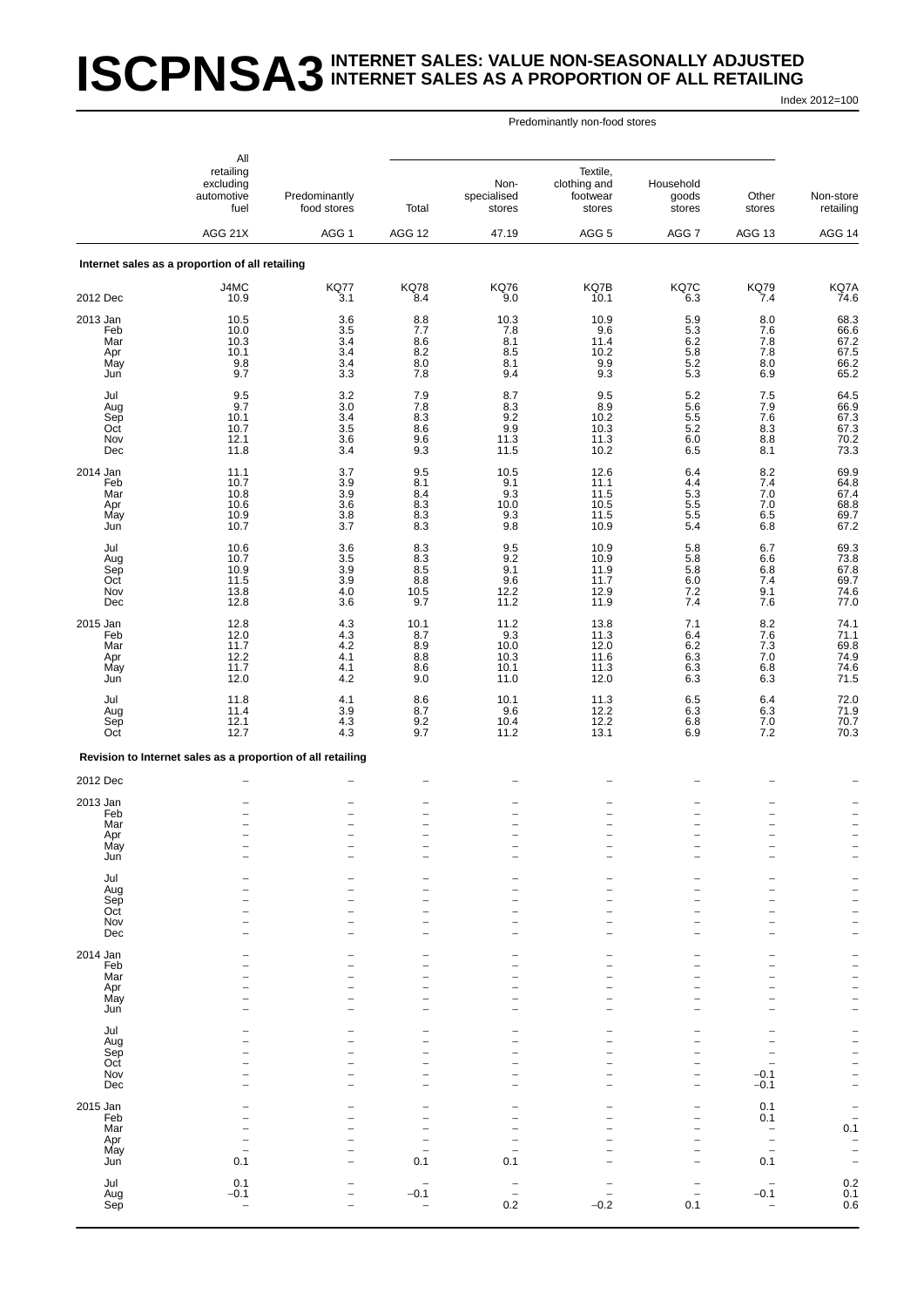# **ISCPNSA3** INTERNET SALES: VALUE NON-SEASONALLY ADJUSTED<br>ISCPNSA3 INTERNET SALES AS A PROPORTION OF ALL RETAILING **INTERNET SALES AS A PROPORTION OF ALL RETAILING**

Index 2012=100

|                   | All                                                         |                                       |                                    |                                 |                                                |                                                      |                                                      |                                                      |
|-------------------|-------------------------------------------------------------|---------------------------------------|------------------------------------|---------------------------------|------------------------------------------------|------------------------------------------------------|------------------------------------------------------|------------------------------------------------------|
|                   | retailing<br>excluding<br>automotive<br>fuel                | Predominantly<br>food stores          | Total                              | Non-<br>specialised<br>stores   | Textile,<br>clothing and<br>footwear<br>stores | Household<br>goods<br>stores                         | Other<br>stores                                      | Non-store<br>retailing                               |
|                   | AGG 21X                                                     | AGG <sub>1</sub>                      | <b>AGG 12</b>                      | 47.19                           | AGG <sub>5</sub>                               | AGG 7                                                | AGG 13                                               | AGG 14                                               |
|                   | Internet sales as a proportion of all retailing             |                                       |                                    |                                 |                                                |                                                      |                                                      |                                                      |
| 2012 Dec          | J4MC<br>10.9                                                | <b>KQ77</b><br>3.1                    | <b>KQ78</b><br>8.4                 | <b>KQ76</b><br>9.0              | KQ7B<br>10.1                                   | KQ7C<br>6.3                                          | <b>KQ79</b><br>7.4                                   | KQ7A<br>74.6                                         |
| 2013 Jan          | 10.5                                                        | 3.6                                   | 8.8                                | 10.3                            | 10.9                                           | 5.9                                                  | 8.0                                                  | 68.3<br>66.6                                         |
| Feb<br>Mar        | 10.0<br>10.3                                                | 3.5<br>3.4                            | 7.7<br>8.6                         | 7.8<br>8.1                      | 9.6<br>11.4                                    | 5.3<br>$6.2\,$                                       | 7.6<br>7.8                                           |                                                      |
| Apr<br>May        | 10.1<br>9.8                                                 | $\frac{3.4}{3.4}$                     | 8.2<br>8.0                         | 8.5<br>8.1                      | 10.2<br>9.9                                    | 5.8<br>5.2                                           | 7.8<br>8.0                                           | 67.2<br>67.5<br>66.2<br>65.2                         |
| Jun               | 9.7                                                         | 3.3                                   | 7.8                                | 9.4                             | 9.3                                            | 5.3                                                  | 6.9                                                  |                                                      |
| Jul<br>Aug        | 9.5<br>9.7                                                  | $3.2\,$<br>3.0                        | 7.9<br>$7.8\,$                     | 8.7<br>$\frac{8.3}{9.2}$        | 9.5<br>$\frac{8.9}{10.2}$                      | 5.2<br>5.6                                           | 7.5<br>7.9                                           | 64.5                                                 |
| Sep<br>Oct        | 10.1<br>10.7                                                | $\frac{3.4}{3.5}$                     | 8.3<br>8.6                         | 9.9                             | 10.3                                           | $5.5\,$<br>5.2                                       | $\frac{7.6}{8.3}$                                    |                                                      |
| Nov<br>Dec        | 12.1<br>11.8                                                | $3.\overline{6}$<br>3.4               | 9.6<br>9.3                         | 11.3<br>11.5                    | $11.3$<br>10.2                                 | 6.0<br>6.5                                           | 8.8<br>8.1                                           | 66.9<br>66.9<br>67.3<br>67.3<br>70.2<br>73.3         |
| 2014 Jan          | 11.1                                                        | $3.7\,$                               | 9.5                                | 10.5                            | $12.6$<br>11.1                                 | 6.4                                                  | 8.2                                                  |                                                      |
| Feb<br>Mar        | 10.7<br>10.8                                                | $\frac{3.9}{3.9}$                     | 8.1<br>8.4                         | 9.1<br>9.3                      | 11.5                                           | 4.4<br>5.3                                           | 7.4<br>7.0                                           |                                                      |
| Apr<br>May        | 10.6<br>10.9                                                | $3.\overline{6}$<br>$\frac{3.8}{3.7}$ | 8.3<br>8.3                         | 10.0<br>9.3                     | 10.5<br>11.5                                   | 5.5<br>5.5                                           | 7.0<br>6.5                                           | 69.9<br>64.8<br>67.4<br>68.8<br>69.7                 |
| Jun               | 10.7                                                        |                                       | 8.3                                | 9.8                             | 10.9                                           | 5.4                                                  | 6.8                                                  | 67.2                                                 |
| Jul<br>Aug        | 10.6<br>10.7                                                | $\frac{3.6}{3.5}$                     | 8.3<br>8.3                         | 9.5<br>9.2                      | 10.9<br>10.9                                   | 5.8<br>5.8                                           | 6.7<br>6.6                                           | 69.3<br>73.8<br>67.8<br>69.7                         |
| Sep<br>Oct        | 10.9<br>11.5                                                | $\frac{3.9}{3.9}$<br>4.0              | $\bf 8.5$<br>8.8                   | 9.1                             | 11.9<br>11.7                                   | 5.8<br>6.0                                           | 6.8<br>7.4                                           |                                                      |
| Nov<br>Dec        | 13.8<br>12.8                                                | 3.6                                   | 10.5<br>9.7                        | $\frac{9.6}{12.2}$<br>11.2      | 12.9<br>11.9                                   | 7.2<br>7.4                                           | 9.1<br>7.6                                           | 74.6<br>77.0                                         |
| 2015 Jan          | 12.8                                                        |                                       | 10.1                               | 11.2                            | 13.8                                           | 7.1                                                  | 8.2                                                  | 74.1                                                 |
| Feb<br>Mar        | 12.0<br>11.7                                                | $4.3$<br>$4.3$<br>$4.2$               | 8.7<br>8.9                         | $\frac{9.3}{10.0}$              | $11.3$<br>12.0                                 | 6.4<br>6.2                                           | $7.\overline{6}$<br>7.3                              | 71.1<br>69.8<br>74.9                                 |
| Apr<br>May        | 12.2<br>11.7                                                | 4.1<br>4.1                            | 8.8<br>8.6                         | 10.3<br>10.1                    | 11.6<br>11.3                                   | 6.3<br>6.3                                           | 7.0<br>$6.8\,$                                       |                                                      |
| Jun               | 12.0                                                        | 4.2                                   | 9.0                                | 11.0                            | 12.0                                           | 6.3                                                  | 6.3                                                  | 74.6<br>71.5                                         |
| Jul<br>Aug        | 11.8<br>11.4                                                | 4.1<br>3.9                            | 8.6<br>8.7                         | 10.1<br>9.6                     | 11.3<br>12.2                                   | $6.5$<br>$6.3$                                       | 6.4<br>6.3                                           | 72.0<br>71.9                                         |
| Sep<br>Oct        | 12.1<br>12.7                                                | 4.3<br>4.3                            | 9.2<br>9.7                         | 10.4<br>11.2                    | 12.2<br>13.1                                   | 6.8<br>6.9                                           | 7.0<br>7.2                                           | 70.7<br>70.3                                         |
|                   | Revision to Internet sales as a proportion of all retailing |                                       |                                    |                                 |                                                |                                                      |                                                      |                                                      |
| 2012 Dec          |                                                             |                                       |                                    |                                 |                                                |                                                      |                                                      |                                                      |
| 2013 Jan          |                                                             |                                       |                                    |                                 |                                                |                                                      |                                                      |                                                      |
| Feb<br>Mar        | $\overline{a}$                                              | $\overline{\phantom{0}}$              | $\qquad \qquad -$                  | $\overline{\phantom{0}}$        | $\overline{a}$                                 | -<br>$\qquad \qquad -$                               | $\qquad \qquad -$                                    | $\qquad \qquad -$                                    |
| Apr<br>May        | $\overline{\phantom{0}}$                                    | $\overline{a}$                        | $\overline{\phantom{0}}$           | $\overline{\phantom{0}}$        | $\overline{\phantom{m}}$                       | $\overline{\phantom{0}}$                             | $\overline{a}$                                       | $\overline{\phantom{0}}$                             |
| Jun               |                                                             | ۳                                     |                                    | $\overline{\phantom{a}}$        | $\overline{\phantom{a}}$                       | $\overline{\phantom{a}}$                             | ۳                                                    | $\overline{\phantom{0}}$                             |
| Jul<br>Aug        |                                                             | -                                     | -                                  |                                 |                                                | -                                                    | $\qquad \qquad -$                                    | $\qquad \qquad -$                                    |
| Sep<br>Oct        |                                                             | $\overline{a}$                        | -                                  |                                 |                                                | $\overline{\phantom{0}}$                             | L                                                    |                                                      |
| Nov<br>Dec        |                                                             |                                       | $\overline{\phantom{0}}$           |                                 |                                                | $\overline{\phantom{0}}$                             | $\overline{\phantom{0}}$                             | $\overline{\phantom{0}}$                             |
| 2014 Jan          |                                                             |                                       |                                    |                                 |                                                |                                                      |                                                      |                                                      |
| Feb<br>Mar        |                                                             | L.                                    |                                    |                                 |                                                | $\overline{a}$                                       | $\overline{\phantom{0}}$                             | $\overline{\phantom{0}}$                             |
| Apr               |                                                             | $\overline{\phantom{0}}$              |                                    |                                 |                                                | $\overline{\phantom{0}}$                             | L.                                                   |                                                      |
| May<br>Jun        |                                                             |                                       | -                                  |                                 |                                                | -                                                    |                                                      |                                                      |
| Jul               |                                                             |                                       |                                    |                                 |                                                |                                                      |                                                      |                                                      |
| Aug<br>Sep        |                                                             |                                       |                                    |                                 |                                                | -<br>$\overline{\phantom{0}}$                        |                                                      | $\overline{\phantom{0}}$<br>$\overline{\phantom{0}}$ |
| Oct<br>Nov        |                                                             |                                       | -                                  |                                 |                                                | $\overline{\phantom{0}}$<br>$\overline{\phantom{0}}$ | $-0.1$                                               | $\overline{\phantom{0}}$<br>$\overline{\phantom{0}}$ |
| Dec               | $\equiv$                                                    | L.                                    | $\overline{\phantom{0}}$           |                                 |                                                | $\overline{\phantom{0}}$                             | $-0.1$                                               | $\overline{\phantom{0}}$                             |
| 2015 Jan<br>Feb   |                                                             | $\overline{\phantom{0}}$              |                                    |                                 | $\overline{a}$                                 | $\overline{\phantom{0}}$<br>$\qquad \qquad -$        | 0.1<br>0.1                                           | $\overline{\phantom{a}}$<br>$\qquad \qquad -$        |
| Mar               |                                                             |                                       |                                    |                                 |                                                | $\overline{\phantom{0}}$<br>$\overline{\phantom{0}}$ | $\overline{\phantom{0}}$<br>$\overline{\phantom{0}}$ | 0.1<br>$\overline{\phantom{a}}$                      |
| Apr<br>May<br>Jun | $\overline{\phantom{0}}$<br>0.1                             | L.<br>$\overline{\phantom{0}}$        | $\overline{\phantom{0}}$<br>0.1    | $\overline{\phantom{0}}$<br>0.1 |                                                | $\overline{\phantom{0}}$<br>$\overline{\phantom{0}}$ | $\overline{\phantom{0}}$<br>0.1                      | $\overline{a}$<br>$\qquad \qquad -$                  |
| Jul               | 0.1                                                         |                                       |                                    | $\overline{\phantom{0}}$        |                                                | -                                                    |                                                      |                                                      |
| Aug<br>Sep        | $-0.1$<br>$\overline{a}$                                    | $\overline{\phantom{0}}$              | $-0.1$<br>$\overline{\phantom{a}}$ | $\overline{\phantom{0}}$<br>0.2 | $\overline{\phantom{0}}$<br>$-0.2$             | $\overline{\phantom{0}}$<br>0.1                      | $-0.1$<br>$\overline{\phantom{0}}$                   | $\begin{array}{c} 0.2 \\ 0.1 \\ 0.6 \end{array}$     |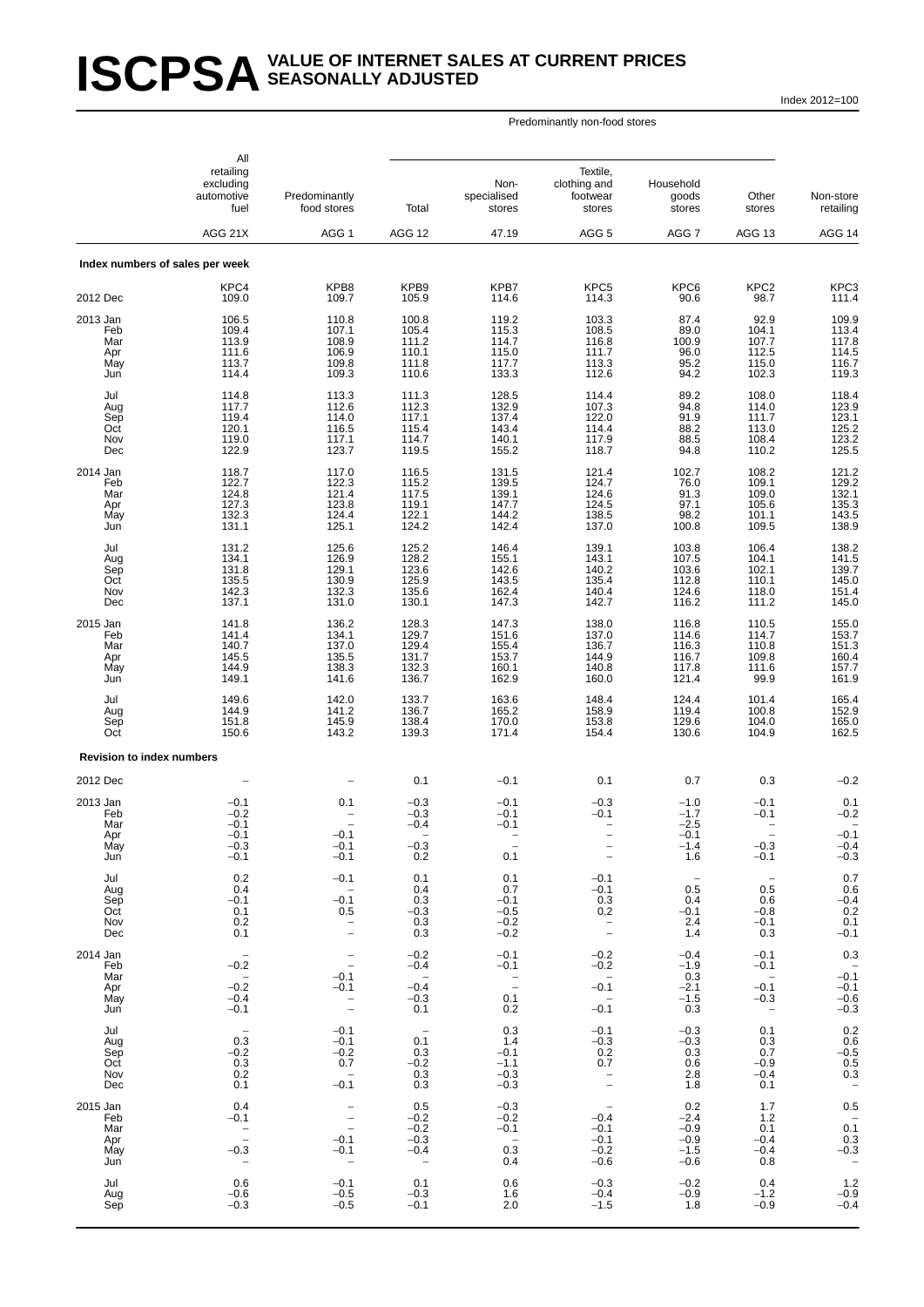# **ISCPSA** SEASONALLY ADJUSTED **SEASONALLY ADJUSTED**

Index 2012=100

|                                             | All<br>retailing<br>excluding<br>automotive<br>fuel            | Predominantly<br>food stores                           | Total                                                                   | Non-<br>specialised<br>stores                                        | Textile,<br>clothing and<br>footwear<br>stores                           | Household<br>goods<br>stores                                          | Other<br>stores                                                          | Non-store<br>retailing                                                                            |
|---------------------------------------------|----------------------------------------------------------------|--------------------------------------------------------|-------------------------------------------------------------------------|----------------------------------------------------------------------|--------------------------------------------------------------------------|-----------------------------------------------------------------------|--------------------------------------------------------------------------|---------------------------------------------------------------------------------------------------|
|                                             | AGG 21X                                                        | AGG <sub>1</sub>                                       | AGG 12                                                                  | 47.19                                                                | AGG <sub>5</sub>                                                         | AGG <sub>7</sub>                                                      | AGG 13                                                                   | AGG 14                                                                                            |
|                                             | Index numbers of sales per week<br>KPC4                        | KPB8                                                   | KPB9                                                                    | KPB7                                                                 | KPC5                                                                     | KPC6                                                                  | KPC <sub>2</sub>                                                         | KPC3                                                                                              |
| 2012 Dec                                    | 109.0                                                          | 109.7                                                  | 105.9                                                                   | 114.6                                                                | 114.3                                                                    | 90.6                                                                  | 98.7                                                                     | 111.4                                                                                             |
| 2013 Jan<br>Feb<br>Mar<br>Apr<br>May<br>Jun | 106.5<br>109.4<br>113.9<br>111.6<br>113.7<br>114.4             | 110.8<br>107.1<br>108.9<br>106.9<br>109.8<br>109.3     | 100.8<br>105.4<br>111.2<br>110.1<br>111.8<br>110.6                      | 119.2<br>115.3<br>114.7<br>115.0<br>117.7<br>133.3                   | 103.3<br>108.5<br>116.8<br>111.7<br>113.3<br>112.6                       | 87.4<br>89.0<br>100.9<br>96.0<br>95.2<br>94.2                         | 92.9<br>104.1<br>107.7<br>112.5<br>115.0<br>102.3                        | 109.9<br>113.4<br>117.8<br>114.5<br>116.7<br>119.3                                                |
| Jul<br>Aug<br>Sep<br>Oct<br>Nov<br>Dec      | 114.8<br>117.7<br>119.4<br>120.1<br>119.0<br>122.9             | 113.3<br>112.6<br>114.0<br>116.5<br>117.1<br>123.7     | 111.3<br>112.3<br>117.1<br>115.4<br>114.7<br>119.5                      | 128.5<br>132.9<br>137.4<br>143.4<br>140.1<br>155.2                   | 114.4<br>107.3<br>122.0<br>114.4<br>117.9<br>118.7                       | 89.2<br>$\frac{94.8}{91.9}$<br>88.2<br>88.5<br>94.8                   | 108.0<br>114.0<br>111.7<br>113.0<br>108.4<br>110.2                       | 118.4<br>123.9<br>123.1<br>$\frac{125.2}{123.2}$<br>123.2                                         |
| 2014 Jan<br>Feb<br>Mar<br>Apr<br>May<br>Jun | 118.7<br>122.7<br>124.8<br>127.3<br>132.3<br>131.1             | 117.0<br>122.3<br>121.4<br>123.8<br>124.4<br>125.1     | 116.5<br>115.2<br>117.5<br>119.1<br>122.1<br>124.2                      | 131.5<br>139.5<br>139.1<br>147.7<br>144.2<br>142.4                   | 121.4<br>124.7<br>124.6<br>124.5<br>138.5<br>137.0                       | 102.7<br>76.0<br>91.3<br>97.1<br>98.2<br>100.8                        | 108.2<br>109.1<br>109.0<br>105.6<br>101.1<br>109.5                       | 121.2<br>129.2<br>$\begin{array}{c} 132.1 \\ 135.3 \\ 143.5 \end{array}$<br>138.9                 |
| Jul<br>Aug<br>Sep<br>Oct<br>Nov<br>Dec      | 131.2<br>134.1<br>131.8<br>135.5<br>142.3<br>137.1             | 125.6<br>126.9<br>129.1<br>130.9<br>132.3<br>131.0     | 125.2<br>128.2<br>$\frac{123.6}{125.9}$<br>135.6<br>130.1               | 146.4<br>155.1<br>142.6<br>143.5<br>162.4<br>147.3                   | 139.1<br>143.1<br>140.2<br>135.4<br>140.4<br>142.7                       | 103.8<br>107.5<br>103.6<br>112.8<br>124.6<br>116.2                    | 106.4<br>104.1<br>102.1<br>110.1<br>118.0<br>111.2                       | 138.2<br>141.5<br>139.7<br>145.0<br>151.4<br>145.0                                                |
| 2015 Jan<br>Feb<br>Mar<br>Apr<br>May<br>Jun | 141.8<br>141.4<br>140.7<br>145.5<br>144.9<br>149.1             | 136.2<br>134.1<br>137.0<br>135.5<br>138.3<br>141.6     | 128.3<br>129.7<br>129.4<br>131.7<br>132.3<br>136.7                      | 147.3<br>151.6<br>155.4<br>153.7<br>160.1<br>162.9                   | 138.0<br>137.0<br>136.7<br>144.9<br>140.8<br>160.0                       | 116.8<br>114.6<br>116.3<br>116.7<br>117.8<br>121.4                    | 110.5<br>114.7<br>110.8<br>109.8<br>111.6<br>99.9                        | 155.0<br>153.7<br>151.3<br>160.4<br>157.7<br>161.9                                                |
| Jul<br>Aug<br>Sep<br>Oct                    | 149.6<br>144.9<br>151.8<br>150.6                               | 142.0<br>141.2<br>145.9<br>143.2                       | 133.7<br>136.7<br>138.4<br>139.3                                        | 163.6<br>165.2<br>170.0<br>171.4                                     | 148.4<br>158.9<br>153.8<br>154.4                                         | 124.4<br>119.4<br>129.6<br>130.6                                      | 101.4<br>100.8<br>104.0<br>104.9                                         | 165.4<br>152.9<br>165.0<br>162.5                                                                  |
| <b>Revision to index numbers</b>            |                                                                |                                                        |                                                                         |                                                                      |                                                                          |                                                                       |                                                                          |                                                                                                   |
| 2012 Dec<br>2013 Jan                        | $-0.1$                                                         | 0.1                                                    | 0.1<br>$-0.3$                                                           | $-0.1$<br>$-0.1$                                                     | 0.1<br>$-0.3$                                                            | 0.7<br>$-1.0$                                                         | 0.3<br>$-0.1$                                                            | $-0.2$<br>0.1                                                                                     |
| Feb<br>Mar<br>Apr<br>iviay<br>Jun           | $-0.2$<br>$-0.1$<br>$-0.1$<br>$-0.3$<br>$-0.1$                 | $-0.1$<br>$-0.1$<br>$-0.1$                             | $-0.3$<br>$-0.4$<br>$-0.3$<br>0.2                                       | $-0.1$<br>$-0.1$<br>0.1                                              | $-0.1$<br>$\overline{\phantom{a}}$                                       | $-1.7$<br>$-2.5$<br>$-0.1$<br>$-1.4$<br>1.6                           | $-0.1$<br>$-0.3$<br>$-0.1$                                               | $-0.2$<br>$-0.1$<br>$-0.4$<br>$-0.3$                                                              |
| Jul<br>Aug<br>Sep<br>Oct<br>Nov<br>Dec      | 0.2<br>0.4<br>$-0.1$<br>0.1<br>0.2<br>0.1                      | $-0.1$<br>$-0.1$<br>0.5<br>$\bar{a}$                   | 0.1<br>0.4<br>0.3<br>$-0.3$<br>0.3<br>0.3                               | 0.1<br>0.7<br>$-0.1$<br>$-0.5$<br>$-0.2$<br>$-0.2$                   | $-0.1$<br>$-0.1$<br>0.3<br>0.2<br>$\bar{a}$                              | $\hspace{0.1mm}-\hspace{0.1mm}$<br>0.5<br>0.4<br>$-0.1$<br>2.4<br>1.4 | $\overline{\phantom{a}}$<br>0.5<br>0.6<br>$-0.8$<br>$-0.1$<br>0.3        | 0.7<br>0.6<br>$-0.4$<br>0.2<br>0.1<br>$-0.1$                                                      |
| 2014 Jan<br>Feb                             | $-0.\overline{2}$                                              | $\qquad \qquad -$                                      | $-0.2$<br>$-0.4$                                                        | $-0.1$<br>$-0.1$                                                     | $-0.2$<br>$-0.2$                                                         | $-0.4$<br>$-1.9$                                                      | $-0.1$<br>$-0.1$                                                         | 0.3<br>$-0.1$                                                                                     |
| Mar<br>Apr<br>May<br>Jun                    | $\hspace{0.1mm}-\hspace{0.1mm}$<br>$-0.2$<br>$-0.4$<br>$-0.1$  | $-0.1$<br>$-0.1$<br>$\bar{a}$                          | $\overline{a}$<br>$-0.4$<br>$-0.3$<br>0.1                               | $\bar{a}$<br>0.1<br>0.2                                              | $\overline{\phantom{m}}$<br>$-0.1$<br>$\overline{\phantom{a}}$<br>$-0.1$ | 0.3<br>$-2.1$<br>$-1.5$<br>0.3                                        | $\overline{\phantom{a}}$<br>$-0.1$<br>$-0.3$<br>$\overline{\phantom{a}}$ | $-0.1$<br>$-0.6$<br>$-0.3$                                                                        |
| Jul<br>Aug<br>Sep<br>Oct<br>Nov<br>Dec      | $\overline{\phantom{a}}$<br>0.3<br>$-0.2$<br>0.3<br>0.2<br>0.1 | $-0.1$<br>$-0.1$<br>$-0.2$<br>0.7<br>$-0.\overline{1}$ | $\hspace{0.1mm}-\hspace{0.1mm}$<br>0.1<br>0.3<br>$-0.2$<br>0.3<br>0.3   | 0.3<br>1.4<br>$-0.1$<br>$-1.1$<br>$-0.3$<br>$-0.3$                   | $-0.1$<br>$-0.3$<br>0.2<br>0.7                                           | $-0.3$<br>$-0.3$<br>0.3<br>0.6<br>2.8<br>1.8                          | 0.1<br>0.3<br>0.7<br>$-0.9$<br>$-0.4$<br>0.1                             | $0.2$<br>0.6<br>-0.5<br>0.5<br>0.5<br>0.3<br>$\qquad \qquad -$                                    |
| 2015 Jan<br>Feb<br>Mar<br>Apr<br>May<br>Jun | 0.4<br>$-0.1$<br>$\bar{a}$<br>$-0.3$                           | $\bar{a}$<br>$-0.1$<br>$-0.1$                          | 0.5<br>$-0.2$<br>$-0.2$<br>$-0.3$<br>$-0.4$<br>$\overline{\phantom{a}}$ | $-0.3$<br>$-0.2$<br>$-0.1$<br>$\overline{\phantom{a}}$<br>0.3<br>0.4 | $-0.4$<br>$-0.1$<br>$-0.1$<br>$-0.2$<br>$-0.6$                           | 0.2<br>$-2.4$<br>$-0.9$<br>$-0.9$<br>$-1.5$<br>$-0.6$                 | $1.7$<br>1.2<br>0.1<br>$-0.4$<br>$-0.4$<br>0.8                           | 0.5<br>$0.\overline{1}$<br>$\begin{array}{c} 0.3 \\ -0.3 \end{array}$<br>$\overline{\phantom{a}}$ |
| Jul<br>Aug<br>Sep                           | 0.6<br>$-0.6$<br>$-0.3$                                        | $-0.1$<br>$-0.5$<br>$-0.5$                             | 0.1<br>$-0.3$<br>$-0.1$                                                 | 0.6<br>1.6<br>2.0                                                    | $-0.3$<br>$-0.4$<br>$-1.5$                                               | $-0.2$<br>$-0.9$<br>1.8                                               | 0.4<br>$-1.2$<br>$-0.9$                                                  | 1.2<br>$-0.9$<br>$-0.4$                                                                           |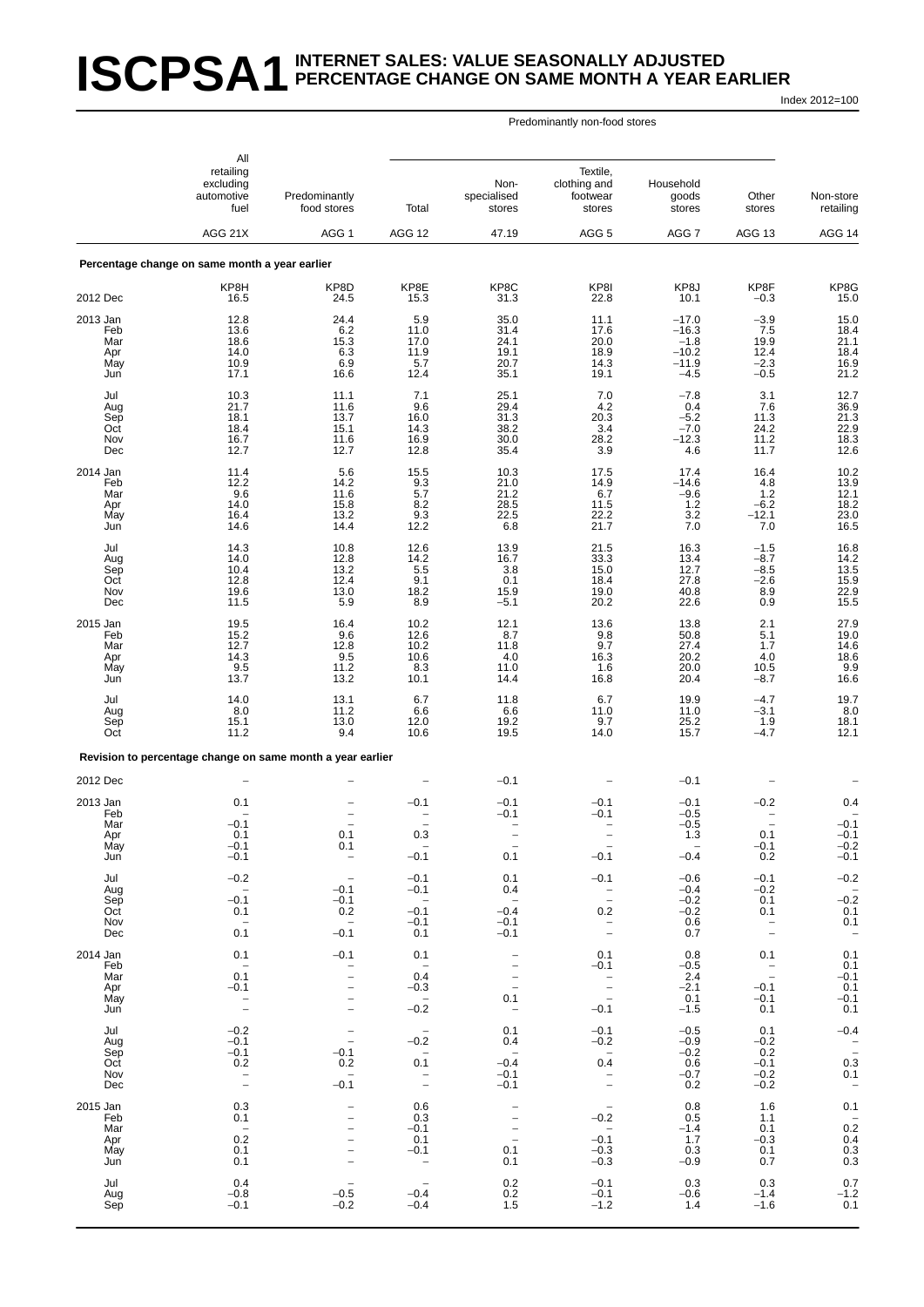# **ISCPSA1** INTERNET SALES: VALUE SEASONALLY ADJUSTED **PERCENTAGE CHANGE ON SAME MONTH A YEAR EARLIER**

Index 2012=100

|                                             | All<br>retailing                                                     |                                                                                         |                                                                                        |                                                                                                                            | Textile,                                                         |                                                              |                                                    |                                                                                  |
|---------------------------------------------|----------------------------------------------------------------------|-----------------------------------------------------------------------------------------|----------------------------------------------------------------------------------------|----------------------------------------------------------------------------------------------------------------------------|------------------------------------------------------------------|--------------------------------------------------------------|----------------------------------------------------|----------------------------------------------------------------------------------|
|                                             | excluding<br>automotive<br>fuel                                      | Predominantly<br>food stores                                                            | Total                                                                                  | Non-<br>specialised<br>stores                                                                                              | clothing and<br>footwear<br>stores                               | Household<br>goods<br>stores                                 | Other<br>stores                                    | Non-store<br>retailing                                                           |
|                                             | AGG 21X                                                              | AGG <sub>1</sub>                                                                        | <b>AGG 12</b>                                                                          | 47.19                                                                                                                      | AGG <sub>5</sub>                                                 | AGG 7                                                        | AGG 13                                             | AGG 14                                                                           |
|                                             | Percentage change on same month a year earlier                       |                                                                                         |                                                                                        |                                                                                                                            |                                                                  |                                                              |                                                    |                                                                                  |
| 2012 Dec                                    | KP8H<br>16.5                                                         | KP8D<br>24.5                                                                            | KP8E<br>15.3                                                                           | KP8C<br>31.3                                                                                                               | KP8I<br>22.8                                                     | KP8J<br>10.1                                                 | KP8F<br>$-0.3$                                     | KP8G<br>15.0                                                                     |
| 2013 Jan<br>Feb<br>Mar<br>Apr<br>May<br>Jun | 12.8<br>13.6<br>18.6<br>14.0<br>10.9<br>17.1                         | 24.4<br>6.2<br>15.3<br>6.3<br>6.9<br>16.6                                               | 5.9<br>11.0<br>17.0<br>11.9<br>5.7<br>12.4                                             | 35.0<br>31.4<br>24.1<br>19.1<br>20.7<br>35.1                                                                               | 11.1<br>17.6<br>20.0<br>18.9<br>14.3<br>19.1                     | $-17.0$<br>$-16.3$<br>$-1.8$<br>$-10.2$<br>$-11.9$<br>$-4.5$ | $-3.9$<br>7.5<br>19.9<br>12.4<br>$-2.3$<br>$-0.5$  | 15.0<br>18.4<br>21.1<br>18.4<br>16.9<br>21.2                                     |
| Jul<br>Aug<br>Sep<br>Oct<br>Nov<br>Dec      | 10.3<br>21.7<br>18.1<br>18.4<br>16.7<br>12.7                         | 11.1<br>11.6<br>13.7<br>15.1<br>11.6<br>12.7                                            | 7.1<br>9.6<br>16.0<br>14.3<br>16.9<br>12.8                                             | 25.1<br>29.4<br>31.3<br>38.2<br>30.0<br>35.4                                                                               | 7.0<br>$4.2\,$<br>20.3<br>3.4<br>28.2<br>3.9                     | $-7.8$<br>0.4<br>$-5.2$<br>$-7.0$<br>$-12.3$<br>4.6          | 3.1<br>7.6<br>11.3<br>24.2<br>11.2<br>11.7         | 12.7<br>36.9<br>21.3<br>22.9<br>18.3<br>12.6                                     |
| 2014 Jan<br>Feb<br>Mar<br>Apr<br>May<br>Jun | 11.4<br>12.2<br>9.6<br>14.0<br>16.4<br>14.6                          | 5.6<br>14.2<br>11.6<br>15.8<br>13.2<br>14.4                                             | 15.5<br>9.3<br>5.7<br>8.2<br>9.3<br>12.2                                               | 10.3<br>21.0<br>21.2<br>28.5<br>22.5<br>6.8                                                                                | 17.5<br>14.9<br>6.7<br>11.5<br>22.2<br>21.7                      | 17.4<br>$-14.6$<br>$-9.6$<br>1.2<br>3.2<br>7.0               | 16.4<br>4.8<br>1.2<br>$-6.2$<br>$-12.1$<br>7.0     | $10.2$<br>13.9<br>12.1<br>$\frac{18.2}{23.0}$<br>16.5                            |
| Jul<br>Aug<br>Sep<br>Oct<br>Nov<br>Dec      | 14.3<br>14.0<br>10.4<br>12.8<br>19.6<br>11.5                         | 10.8<br>12.8<br>13.2<br>12.4<br>13.0<br>5.9                                             | 12.6<br>14.2<br>5.5<br>9.1<br>18.2<br>8.9                                              | 13.9<br>16.7<br>3.8<br>0.1<br>15.9<br>$-5.1$                                                                               | 21.5<br>33.3<br>15.0<br>18.4<br>19.0<br>20.2                     | 16.3<br>13.4<br>12.7<br>27.8<br>40.8<br>22.6                 | $-1.5$<br>$-8.7$<br>$-8.5$<br>$-2.6$<br>8.9<br>0.9 | 16.8<br>14.2<br>13.5<br>15.9<br>22.9<br>15.5                                     |
| 2015 Jan<br>Feb<br>Mar<br>Apr<br>May<br>Jun | 19.5<br>15.2<br>12.7<br>14.3<br>9.5<br>13.7                          | 16.4<br>9.6<br>12.8<br>9.5<br>11.2<br>13.2                                              | 10.2<br>12.6<br>10.2<br>10.6<br>8.3<br>10.1                                            | 12.1<br>8.7<br>11.8<br>4.0<br>11.0<br>14.4                                                                                 | 13.6<br>9.8<br>9.7<br>16.3<br>1.6<br>16.8                        | 13.8<br>50.8<br>27.4<br>20.2<br>20.0<br>20.4                 | 2.1<br>5.1<br>1.7<br>4.0<br>10.5<br>$-8.7$         | 27.9<br>19.0<br>14.6<br>18.6<br>9.9<br>16.6                                      |
| Jul<br>Aug<br>Sep<br>Oct                    | 14.0<br>8.0<br>15.1<br>11.2                                          | 13.1<br>11.2<br>13.0<br>9.4                                                             | 6.7<br>6.6<br>12.0<br>10.6                                                             | 11.8<br>6.6<br>19.2<br>19.5                                                                                                | 6.7<br>11.0<br>9.7<br>14.0                                       | 19.9<br>11.0<br>25.2<br>15.7                                 | $-4.7$<br>$-3.1$<br>1.9<br>$-4.7$                  | 19.7<br>8.0<br>18.1<br>12.1                                                      |
|                                             | Revision to percentage change on same month a year earlier           |                                                                                         |                                                                                        |                                                                                                                            |                                                                  |                                                              |                                                    |                                                                                  |
| 2012 Dec                                    |                                                                      |                                                                                         |                                                                                        | $-0.1$                                                                                                                     |                                                                  | $-0.1$                                                       |                                                    |                                                                                  |
| 2013 Jan<br>Feb<br>Mar<br>Apr<br>May<br>Jun | 0.1<br>$-0.1$<br>0.1<br>$-0.1$<br>$-0.1$                             | $\overline{\phantom{0}}$<br>0.1<br>0.1<br>$\overline{\phantom{0}}$                      | $-0.1$<br>0.3<br>$-0.1$                                                                | $-0.1$<br>$-0.1$<br>$\overline{\phantom{0}}$<br>0.1                                                                        | $-0.1$<br>$-0.1$<br>$-0.1$                                       | $-0.1$<br>$-0.5$<br>$-0.5$<br>1.3<br>$-0.4$                  | $-0.2$<br>0.1<br>$-0.1$<br>0.2                     | 0.4<br>$-0.1$<br>$-0.1$<br>$-0.2$<br>$-0.1$                                      |
| Jul<br>Aug<br>Sep<br>Oct<br>Nov<br>Dec      | $-0.2$<br>$-0.1$<br>0.1<br>$\overline{\phantom{a}}$<br>0.1           | $-0.1$<br>$-0.1$<br>0.2<br>$\overline{\phantom{a}}$<br>$-0.1$                           | $-0.1$<br>$-0.1$<br>$\overline{\phantom{a}}$<br>$-0.1$<br>$-0.1$<br>0.1                | 0.1<br>0.4<br>$\hspace{0.1mm}-\hspace{0.1mm}$<br>$-0.4$<br>$-0.1$<br>$-0.1$                                                | $-0.1$<br>$\bar{a}$<br>0.2<br>$\bar{a}$                          | $-0.6$<br>$-0.4$<br>$-0.2$<br>$-0.2$<br>0.6<br>0.7           | $-0.1$<br>$-0.2$<br>0.1<br>0.1<br>$\bar{a}$        | $-0.2$<br>$-0.\overline{2}$<br>$0.1$<br>$0.1$<br>$\hspace{0.1mm}-\hspace{0.1mm}$ |
| 2014 Jan<br>Feb<br>Mar<br>Apr<br>May<br>Jun | 0.1<br>$\overline{\phantom{0}}$<br>0.1<br>$-0.1$<br>$\bar{a}$        | $-0.1$<br>$\bar{a}$<br>-<br>$\overline{\phantom{0}}$<br>$\overline{a}$                  | 0.1<br>$\overline{\phantom{a}}$<br>0.4<br>$-0.3$<br>$\overline{\phantom{m}}$<br>$-0.2$ | $\overline{\phantom{0}}$<br>$\qquad \qquad -$<br>$\qquad \qquad -$<br>$\qquad \qquad -$<br>0.1<br>$\overline{\phantom{a}}$ | 0.1<br>$-0.1$<br>$\overline{\phantom{a}}$<br>$-0.1$              | 0.8<br>$-0.5$<br>2.4<br>$-2.1$<br>0.1<br>$-1.5$              | 0.1<br>$\bar{a}$<br>$-0.1$<br>$-0.1$<br>0.1        | 0.1<br>0.1<br>$-0.1$<br>0.1<br>$-0.1$<br>0.1                                     |
| Jul<br>Aug<br>Sep<br>Oct<br>Nov<br>Dec      | $-0.2$<br>$-0.1$<br>$-0.1$<br>0.2<br>$\bar{a}$                       | $\bar{a}$<br>$-0.1$<br>0.2<br>$-0.\overline{1}$                                         | $\overline{\phantom{a}}$<br>$-0.2$<br>$\overline{\phantom{a}}$<br>0.1<br>$\bar{a}$     | 0.1<br>0.4<br>$\overline{\phantom{m}}$<br>$-0.4$<br>$-0.1$<br>$-0.1$                                                       | $-0.1$<br>$-0.2$<br>$0.\overline{4}$<br>$\overline{\phantom{a}}$ | $-0.5$<br>$-0.9$<br>$-0.2$<br>0.6<br>$-0.7$<br>0.2           | 0.1<br>$-0.2$<br>0.2<br>$-0.1$<br>$-0.2$<br>$-0.2$ | $-0.4$<br>$\frac{-}{0.3}$<br>0.1<br>$\overline{\phantom{a}}$                     |
| 2015 Jan<br>Feb<br>Mar<br>Apr<br>May<br>Jun | 0.3<br>0.1<br>$\hspace{0.1mm}$ $\hspace{0.1mm}$<br>0.2<br>0.1<br>0.1 | <u>—</u><br>-<br>$\overline{\phantom{0}}$<br>$\overline{a}$<br>$\overline{\phantom{a}}$ | 0.6<br>0.3<br>$-0.1$<br>0.1<br>$-0.1$<br>$\overline{\phantom{a}}$                      | $\qquad \qquad -$<br>$\overline{\phantom{0}}$<br>$\bar{a}$<br>0.1<br>0.1                                                   | $-0.2$<br>$\qquad \qquad -$<br>$-0.1$<br>$-0.3$<br>$-0.3$        | 0.8<br>0.5<br>$-1.4$<br>1.7<br>0.3<br>$-0.9$                 | 1.6<br>1.1<br>0.1<br>$-0.3$<br>0.1<br>0.7          | 0.1<br>$-0.2$<br>0.4<br>0.3<br>0.3                                               |
| Jul<br>Aug<br>Sep                           | 0.4<br>$-0.8$<br>$-0.1$                                              | $\overline{\phantom{0}}$<br>$-0.5$<br>$-0.2$                                            | $\qquad \qquad -$<br>$-0.4$<br>$-0.4$                                                  | ${}^{0.2}_{0.2}$<br>1.5                                                                                                    | $-0.1$<br>$-0.1$<br>$-1.2$                                       | 0.3<br>$-0.6$<br>1.4                                         | 0.3<br>$-1.4$<br>$-1.6$                            | $0.7 - 1.2$<br>0.1                                                               |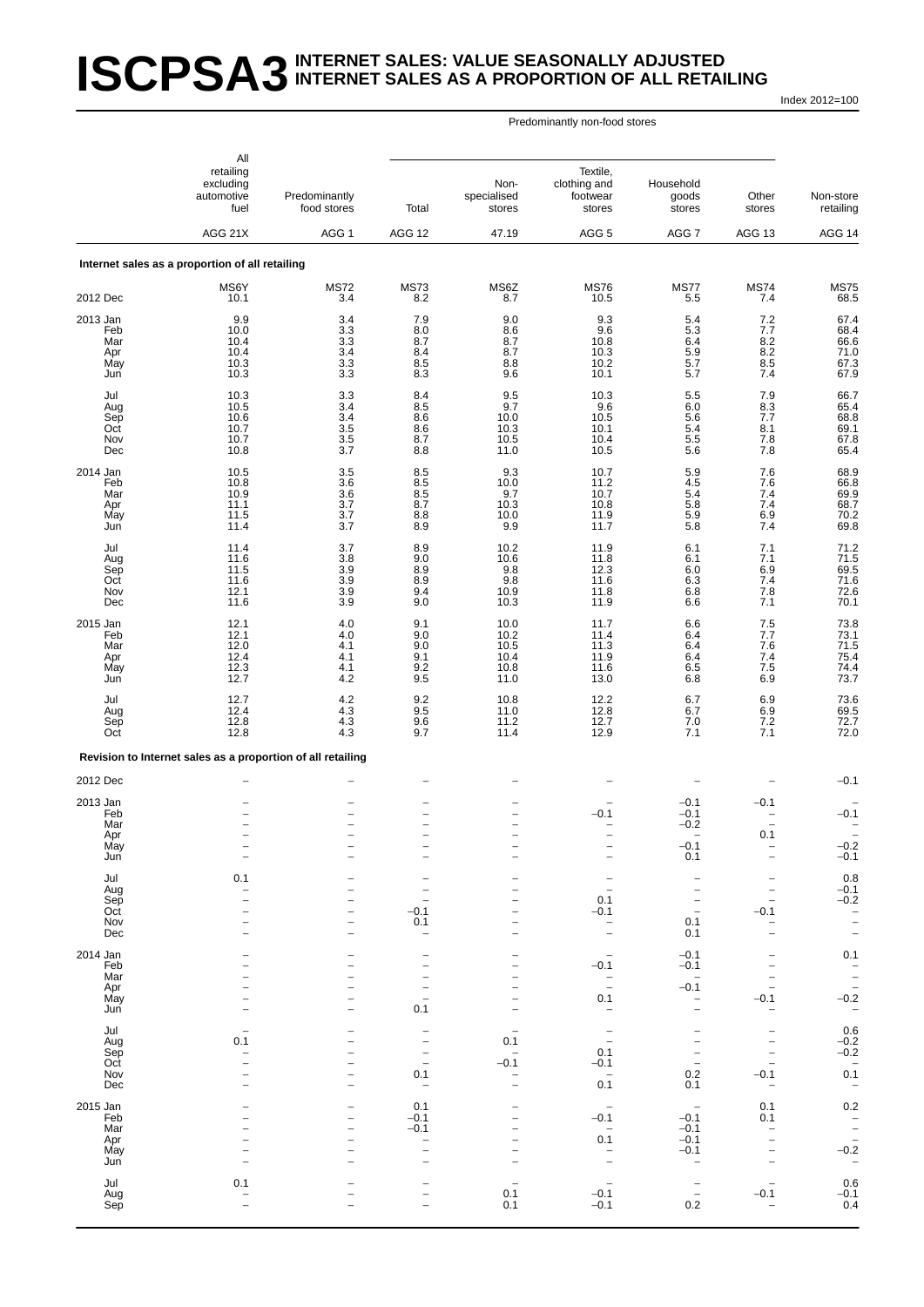#### **ISCPSA3** INTERNET SALES: VALUE SEASONALLY ADJUSTED **INTERNET SALES AS A PROPORTION OF ALL RETAILING**

Index 2012=100

#### Predominantly non-food stores

|                                             | All<br>retailing                                            |                                                                              |                                                                                              |                                                      | Textile,                                       |                                                                                       |                                                                       |                                                                           |
|---------------------------------------------|-------------------------------------------------------------|------------------------------------------------------------------------------|----------------------------------------------------------------------------------------------|------------------------------------------------------|------------------------------------------------|---------------------------------------------------------------------------------------|-----------------------------------------------------------------------|---------------------------------------------------------------------------|
|                                             | excluding<br>automotive<br>fuel                             | Predominantly<br>food stores                                                 | Total                                                                                        | Non-<br>specialised<br>stores                        | clothing and<br>footwear<br>stores             | Household<br>goods<br>stores                                                          | Other<br>stores                                                       | Non-store<br>retailing                                                    |
|                                             | AGG 21X                                                     | AGG <sub>1</sub>                                                             | <b>AGG 12</b>                                                                                | 47.19                                                | AGG <sub>5</sub>                               | AGG 7                                                                                 | AGG 13                                                                | AGG 14                                                                    |
|                                             | Internet sales as a proportion of all retailing             |                                                                              |                                                                                              |                                                      |                                                |                                                                                       |                                                                       |                                                                           |
| 2012 Dec                                    | MS6Y<br>10.1                                                | <b>MS72</b><br>3.4                                                           | <b>MS73</b><br>8.2                                                                           | MS6Z<br>8.7                                          | <b>MS76</b><br>10.5                            | <b>MS77</b><br>5.5                                                                    | <b>MS74</b><br>7.4                                                    | <b>MS75</b><br>68.5                                                       |
| 2013 Jan<br>Feb<br>Mar<br>Apr<br>May<br>Jun | 9.9<br>10.0<br>10.4<br>10.4<br>10.3<br>10.3                 | 3.4<br>$3.3$<br>$3.3$<br>$3.4$<br>$\begin{array}{c} 3.3 \\ 3.3 \end{array}$  | 7.9<br>8.0<br>8.7<br>8.4<br>8.5<br>8.3                                                       | 9.0<br>8.6<br>8.7<br>8.7<br>8.8<br>9.6               | 9.3<br>9.6<br>10.8<br>10.3<br>10.2<br>10.1     | 5.4<br>5.3<br>6.4<br>5.9<br>5.7<br>5.7                                                | 7.2<br>7.7<br>$\frac{8.2}{8.2}$<br>8.5<br>7.4                         | 67.4<br>68.4<br>66.6<br>71.0<br>67.3<br>67.9                              |
| Jul<br>Aug<br>Sep<br>Oct<br>Nov<br>Dec      | 10.3<br>10.5<br>10.6<br>10.7<br>10.7<br>10.8                | 3.3<br>3.4<br>3.4<br>3.5<br>3.5<br>3.7                                       | 8.4<br>8.5<br>8.6<br>8.6<br>8.7<br>8.8                                                       | 9.5<br>9.7<br>10.0<br>10.3<br>10.5<br>11.0           | 10.3<br>9.6<br>10.5<br>10.1<br>10.4<br>10.5    | 5.5<br>6.0<br>5.6<br>5.4<br>5.5<br>5.6                                                | $\begin{array}{c} 7.9 \\ 8.3 \end{array}$<br>7.7<br>8.1<br>7.8<br>7.8 | 66.7<br>$65.4$<br>$68.8$<br>69.1<br>67.8<br>65.4                          |
| 2014 Jan<br>Feb<br>Mar<br>Apr<br>May<br>Jun | 10.5<br>10.8<br>10.9<br>11.1<br>11.5<br>11.4                | $3.5$<br>$3.6$<br>3.6<br>3.7<br>3.7<br>3.7                                   | 8.5<br>8.5<br>$\begin{array}{c} 8.5 \\ 8.7 \end{array}$<br>8.8<br>8.9                        | 9.3<br>10.0<br>9.7<br>10.3<br>10.0<br>9.9            | $10.7$<br>11.2<br>10.7<br>10.8<br>11.9<br>11.7 | 5.9<br>4.5<br>5.4<br>5.8<br>5.9<br>5.8                                                | 7.6<br>7.6<br>7.4<br>7.4<br>6.9<br>7.4                                | 68.9<br>66.8<br>69.9<br>68.7<br>70.2<br>69.8                              |
| Jul<br>Aug<br>Sep<br>Oct<br>Nov<br>Dec      | 11.4<br>11.6<br>11.5<br>11.6<br>12.1<br>11.6                | 3.7<br>$\begin{array}{c} 3.8 \\ 3.9 \end{array}$<br>3.9<br>$\frac{3.9}{3.9}$ | 8.9<br>9.0<br>8.9<br>8.9<br>9.4<br>9.0                                                       | 10.2<br>10.6<br>9.8<br>9.8<br>10.9<br>10.3           | 11.9<br>11.8<br>12.3<br>11.6<br>11.8<br>11.9   | 6.1<br>6.1<br>6.0<br>6.3<br>6.8<br>6.6                                                | 7.1<br>7.1<br>6.9<br>7.4<br>7.8<br>7.1                                | 71.2<br>71.5<br>69.5<br>71.6<br>72.6<br>70.1                              |
| 2015 Jan<br>Feb<br>Mar<br>Apr<br>May<br>Jun | 12.1<br>12.1<br>12.0<br>12.4<br>12.3<br>12.7                | 4.0<br>4.0<br>4.1<br>4.1<br>4.1<br>4.2                                       | 9.1<br>9.0<br>9.0<br>9.1<br>9.2<br>9.5                                                       | 10.0<br>10.2<br>10.5<br>10.4<br>10.8<br>11.0         | 11.7<br>11.4<br>11.3<br>11.9<br>11.6<br>13.0   | 6.6<br>6.4<br>6.4<br>6.4<br>6.5<br>6.8                                                | 7.5<br>7.7<br>7.6<br>7.4<br>7.5<br>6.9                                | 73.8<br>73.1<br>71.5<br>75.4<br>74.4<br>73.7                              |
| Jul<br>Aug<br>Sep<br>Oct                    | 12.7<br>12.4<br>12.8<br>12.8                                | $^{4.2}_{4.3}$<br>4.3<br>4.3                                                 | 9.2<br>9.5<br>9.6<br>9.7                                                                     | 10.8<br>11.0<br>11.2<br>11.4                         | 12.2<br>12.8<br>12.7<br>12.9                   | 6.7<br>6.7<br>7.0<br>7.1                                                              | 6.9<br>6.9<br>$7.2\,$<br>7.1                                          | 73.6<br>69.5<br>72.7<br>72.0                                              |
|                                             | Revision to Internet sales as a proportion of all retailing |                                                                              |                                                                                              |                                                      |                                                |                                                                                       |                                                                       |                                                                           |
| 2012 Dec                                    |                                                             |                                                                              |                                                                                              |                                                      |                                                |                                                                                       |                                                                       | $-0.1$                                                                    |
| 2013 Jan<br>Feb<br>Mar<br>Apr<br>May<br>Jun | $\overline{\phantom{0}}$<br>$\bar{a}$                       | $\overline{\phantom{0}}$                                                     | $\overline{a}$<br>$\overline{\phantom{0}}$<br>$\qquad \qquad -$                              | $\overline{\phantom{0}}$<br>$\overline{\phantom{0}}$ | $-0.1$<br>$\overline{a}$                       | $-0.1$<br>$-0.1$<br>$-0.2$<br>$\overline{\phantom{0}}$<br>$\substack{ -0.1 \\ -0.1 }$ | $-0.1$<br>0.1                                                         | $-0.1$<br>$\overline{\phantom{a}}$<br>$\substack{ -0.2 \\ -0.1 }$         |
| Jul<br>Aug<br>Sep<br>Oct<br>Nov<br>Dec      | 0.1<br><sup>-</sup>                                         |                                                                              | $\overline{\phantom{0}}$<br>$-0.1$<br>0.1<br>$\overline{\phantom{a}}$                        |                                                      | 0.1<br>$-0.1$                                  | $\overline{\phantom{0}}$<br>$\overline{\phantom{0}}$<br>0.1<br>0.1                    | $-0.1$                                                                | $0.8\,$<br>$-0.1$<br>$-0.2$<br>$\frac{1}{2}$                              |
| 2014 Jan<br>Feb<br>Mar<br>Apr<br>May<br>Jun |                                                             |                                                                              | $\equiv$<br>$\overline{\phantom{a}}$<br>$\qquad \qquad -$<br>$\overline{\phantom{0}}$<br>0.1 |                                                      | $-0.1$<br>0.1                                  | $-0.1$<br>$-0.1$<br>$\overline{\phantom{0}}$<br>$-0.1$<br>$\overline{\phantom{a}}$    | $-0.1$                                                                | 0.1                                                                       |
| Jul<br>Aug<br>Sep<br>Oct<br>Nov<br>Dec      | 0.1<br>-                                                    | $\overline{a}$                                                               | $\qquad \qquad -$<br>$\qquad \qquad -$<br>$\qquad \qquad -$<br>0.1<br>$\qquad \qquad -$      | 0.1<br>$\qquad \qquad -$<br>$-0.1$                   | $-\frac{1}{0.1}$<br>$-0.1$<br>$0.\overline{1}$ | $\overline{\phantom{0}}$<br>$\overline{\phantom{0}}$<br>0.2<br>0.1                    | $\overline{a}$<br>$\overline{\phantom{0}}$<br>$-0.1$                  | $0.6$<br>$-0.2$<br>$-0.2$<br>$0.\overline{1}$<br>$\overline{\phantom{a}}$ |
| 2015 Jan<br>Feb<br>Mar<br>Apr<br>May<br>Jun |                                                             |                                                                              | 0.1<br>$-0.1$<br>$-0.1$<br>$\overline{\phantom{0}}$                                          |                                                      | $-0.1$<br>$\qquad \qquad -$<br>0.1             | $-0.1$<br>$-0.1$<br>$-0.1$<br>$-0.1$                                                  | 0.1<br>0.1<br>L                                                       | $0.2\,$<br>$\overline{\phantom{m}}$                                       |
| Jul<br>Aug<br>Sep                           | 0.1                                                         |                                                                              | $\overline{\phantom{0}}$<br>$\equiv$                                                         | 0.1<br>0.1                                           | $-0.1$<br>$-0.1$                               | $\qquad \qquad -$<br>$\overline{\phantom{a}}$<br>0.2                                  | $-0.1$<br>$\overline{\phantom{0}}$                                    | $0.6\,$<br>$-0.1$<br>0.4                                                  |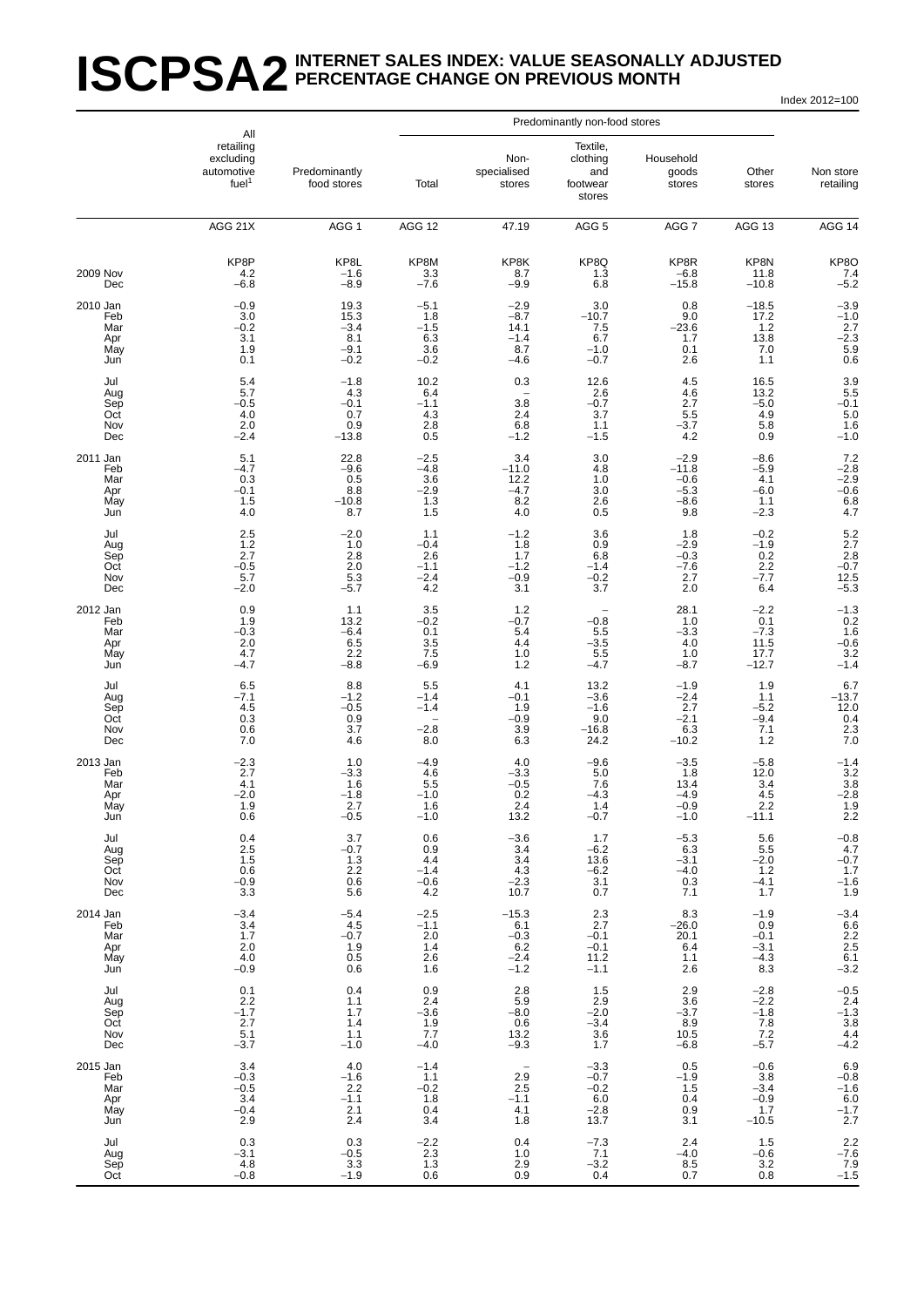#### **ISCPSA2** INTERNET SALES INDEX: VALUE SEASONALLY ADJUSTED **PERCENTAGE CHANGE ON PREVIOUS MONTH**

Index 2012=100

|                                             | All                                                                      |                                                   | Predominantly non-food stores                                |                                                                |                                                               |                                                        |                                                         |                                                                                   |
|---------------------------------------------|--------------------------------------------------------------------------|---------------------------------------------------|--------------------------------------------------------------|----------------------------------------------------------------|---------------------------------------------------------------|--------------------------------------------------------|---------------------------------------------------------|-----------------------------------------------------------------------------------|
|                                             | retailing<br>excluding<br>automotive<br>fuel <sup>1</sup>                | Predominantly<br>food stores                      | Total                                                        | Non-<br>specialised<br>stores                                  | Textile,<br>clothing<br>and<br>footwear<br>stores             | Household<br>goods<br>stores                           | Other<br>stores                                         | Non store<br>retailing                                                            |
|                                             | AGG 21X                                                                  | AGG <sub>1</sub>                                  | AGG 12                                                       | 47.19                                                          | AGG <sub>5</sub>                                              | AGG 7                                                  | AGG 13                                                  | AGG 14                                                                            |
| <b>2009 Nov</b><br>Dec                      | KP8P<br>4.2<br>$-6.8$                                                    | KP8L<br>$-1.6$<br>$-8.9$                          | KP8M<br>3.3<br>$-7.6$                                        | KP8K<br>8.7<br>$-9.9$                                          | KP8Q<br>1.3<br>6.8                                            | KP8R<br>$-6.8$<br>$-15.8$                              | KP8N<br>11.8<br>$-10.8$                                 | KP8O<br>7.4<br>$-5.2$                                                             |
| 2010 Jan<br>Feb<br>Mar<br>Apr<br>May<br>Jun | $-0.9$<br>3.0<br>$-0.2$<br>3.1<br>1.9<br>0.1                             | 19.3<br>15.3<br>$-3.4$<br>8.1<br>$-9.1$<br>$-0.2$ | $-5.1$<br>1.8<br>$-1.5$<br>6.3<br>3.6<br>$-0.2$              | $-2.9$<br>$-8.7$<br>14.1<br>$-1.4$<br>8.7<br>$-4.6$            | 3.0<br>$-10.7$<br>7.5<br>6.7<br>$-1.0$<br>$-0.7$              | 0.8<br>9.0<br>$-23.6$<br>1.7<br>0.1<br>2.6             | $-18.5$<br>17.2<br>1.2<br>13.8<br>7.0<br>1.1            | $-3.9$<br>$-1.0$<br>$-2.7$<br>$-2.3$<br>$\begin{array}{c} 5.9 \\ 0.6 \end{array}$ |
| Jul<br>Aug<br>Sep<br>Oct<br>Nov<br>Dec      | 5.4<br>5.7<br>$-0.5$<br>4.0<br>2.0<br>$-2.4$                             | $-1.8$<br>4.3<br>$-0.1$<br>0.7<br>0.9<br>$-13.8$  | 10.2<br>6.4<br>$-1.1$<br>4.3<br>2.8<br>0.5                   | 0.3<br>3.8<br>2.4<br>6.8<br>$-1.2$                             | 12.6<br>2.6<br>$-0.\overline{7}$<br>3.7<br>1.1<br>$-1.5$      | 4.5<br>4.6<br>2.7<br>5.5<br>$-3.7$<br>4.2              | 16.5<br>13.2<br>$-5.0$<br>4.9<br>5.8<br>0.9             | $3.9$<br>$5.5$<br>$-0.1$<br>$5.0$<br>$1.6$<br>$-1.0$                              |
| 2011 Jan<br>Feb<br>Mar<br>Apr<br>May<br>Jun | 5.1<br>$-4.7$<br>0.3<br>$-0.1$<br>1.5<br>4.0                             | 22.8<br>$-9.6$<br>0.5<br>8.8<br>$-10.8$<br>8.7    | $-2.5$<br>$-4.8$<br>3.6<br>$-2.9$<br>$1.\overline{3}$<br>1.5 | 3.4<br>$-11.0$<br>12.2<br>$-4.7$<br>8.2<br>4.0                 | 3.0<br>4.8<br>1.0<br>3.0<br>2.6<br>0.5                        | $-2.9$<br>$-11.8$<br>$-0.6$<br>$-5.3$<br>$-8.6$<br>9.8 | $-8.6$<br>$-5.9$<br>4.1<br>$-6.0$<br>1.1<br>$-2.3$      | $7.2 - 2.8$<br>$-2.9$<br>$-0.6$<br>6.8<br>4.7                                     |
| Jul<br>Aug<br>Sep<br>Oct<br>Nov<br>Dec      | 2.5<br>1.2<br>2.7<br>$-0.5$<br>5.7<br>$-2.0$                             | $-2.0$<br>1.0<br>2.8<br>2.0<br>5.3<br>$-5.7$      | 1.1<br>$-0.4$<br>2.6<br>$-1.1$<br>$-2.4$<br>4.2              | $-1.2$<br>1.8<br>1.7<br>$-1.2$<br>$-0.9$<br>3.1                | 3.6<br>0.9<br>6.8<br>$-1.4$<br>$-0.2$<br>3.7                  | 1.8<br>$-2.9$<br>$-0.3$<br>$-7.6$<br>2.7<br>2.0        | $-0.2$<br>$-1.9$<br>0.2<br>2.2<br>$-7.7$<br>6.4         | 5.2<br>$2.7$<br>$2.8$<br>$-0.7$<br>$12.5 - 5.3$                                   |
| 2012 Jan<br>Feb<br>Mar<br>Apr<br>May<br>Jun | 0.9<br>1.9<br>$-0.3$<br>2.0<br>4.7<br>$-4.7$                             | 1.1<br>13.2<br>$-6.4$<br>$6.5$<br>2.2<br>$-8.8$   | 3.5<br>$-0.2$<br>0.1<br>3.5<br>7.5<br>$-6.9$                 | 1.2<br>$-0.7$<br>5.4<br>4.4<br>1.0<br>1.2                      | $-0.8$<br>5.5<br>$-3.5$<br>5.5<br>$-4.7$                      | 28.1<br>1.0<br>$-3.3$<br>4.0<br>1.0<br>-8.7            | $-2.2$<br>0.1<br>$-7.3$<br>11.5<br>17.7<br>$-12.7$      | $-1.3$<br>0.2<br>1.6<br>$-0.6$<br>3.2<br>$-1.4$                                   |
| Jul<br>Aug<br>Sep<br>Oct<br>Nov<br>Dec      | 6.5<br>$-7.1$<br>$\begin{array}{c} 4.5 \\ 0.3 \end{array}$<br>0.6<br>7.0 | 8.8<br>$-1.2$<br>$-0.5$<br>0.9<br>3.7<br>4.6      | 5.5<br>$-1.4$<br>$-1.4$<br>$-2.8$<br>8.0                     | 4.1<br>$-0.1$<br>1.9<br>$-0.9$<br>3.9<br>6.3                   | 13.2<br>$-3.\overline{6}$<br>$-1.6$<br>9.0<br>$-16.8$<br>24.2 | $-1.9$<br>$-2.4$<br>2.7<br>$-2.1$<br>6.3<br>$-10.2$    | 1.9<br>1.1<br>$-5.2$<br>$-9.4$<br>7.1<br>1.2            | $6.7 - 13.7$<br>$\begin{array}{c} 12.0 \\ 0.4 \\ 2.3 \\ 7.0 \end{array}$          |
| 2013 Jan<br>Feb<br>Mar<br>Apr<br>May<br>Jun | $-2.3$<br>2.7<br>4.1<br>$-2.0$<br>1.9<br>0.6                             | 1.0<br>$-3.3$<br>1.6<br>$-1.8$<br>2.7<br>$-0.5$   | -4.9<br>4.6<br>5.5<br>$-1.0$<br>1.6<br>$-1.0$                | 4.0<br>$-3.3$<br>$-0.5$<br>0.2<br>2.4<br>13.2                  | $-9.6$<br>5.0<br>7.6<br>$-4.3$<br>1.4<br>$-0.7$               | $-3.5$<br>1.8<br>13.4<br>$-4.9$<br>$-0.9$<br>$-1.0$    | $-5.8$<br>12.0<br>3.4<br>$\frac{4.5}{2.2}$<br>$-11.1$   | $-1.4$<br>3.2<br>3.8<br>$-2.8$<br>1.9<br>2.2                                      |
| Jul<br>Aug<br>Sep<br>Oct<br>Nov<br>Dec      | $0.4$<br>2.5<br>1.5<br>0.6<br>$-0.9$<br>3.3                              | 3.7<br>$-0.7$<br>1.3<br>$2.2\,$<br>0.6<br>5.6     | 0.6<br>0.9<br>4.4<br>$-1.4$<br>$^{-0.6}_{4.2}$               | $-3.6$<br>3.4<br>$3.4\,$<br>4.3<br>$-2.3$<br>10.7              | 1.7<br>$-6.2$<br>13.6<br>$-6.2$<br>3.1<br>0.7                 | $-5.3$<br>6.3<br>$-3.1$<br>$-4.0$<br>0.3<br>7.1        | 5.6<br>5.5<br>$-2.0$<br>1.2<br>$-4.1$<br>1.7            | $-0.8$<br>$4.7$<br>$-0.7$<br>$1.7$<br>$-1.6$<br>$1.9$                             |
| 2014 Jan<br>Feb<br>Mar<br>Apr<br>May<br>Jun | $-3.4$<br>3.4<br>1.7<br>2.0<br>4.0<br>$-0.9$                             | $-5.4$<br>4.5<br>$-0.7$<br>1.9<br>0.5<br>0.6      | $-2.5$<br>$-1.1$<br>2.0<br>1.4<br>2.6<br>1.6                 | $-15.3$<br>6.1<br>$-0.3$<br>6.2<br>$-2.4$<br>$-1.2$            | 2.3<br>2.7<br>$-0.1$<br>$-0.1$<br>11.2<br>$-1.1$              | 8.3<br>$-26.0$<br>20.1<br>6.4<br>1.1<br>2.6            | $-1.9$<br>0.9<br>$-0.1$<br>$-3.1$<br>$\frac{-4.3}{8.3}$ | $-3.4$<br>6.6<br>2.2<br>2.5<br>6.1<br>-3.2                                        |
| Jul<br>Aug<br>Sep<br>Oct<br>Nov<br>Dec      | 0.1<br>2.2<br>$-1.7$<br>2.7<br>5.1<br>$-3.7$                             | 0.4<br>1.1<br>1.7<br>1.4<br>1.1<br>$-1.0$         | 0.9<br>2.4<br>$-3.6$<br>1.9<br>7.7<br>$-4.0$                 | 2.8<br>5.9<br>$-8.0$<br>0.6<br>13.2<br>$-9.3$                  | 1.5<br>$^{2.9}_{-2.0}$<br>$-3.4$<br>3.6<br>1.7                | 2.9<br>3.6<br>$-3.7$<br>8.9<br>10.5<br>$-6.8$          | $-2.8$<br>$-2.2$<br>$-1.8$<br>$7.8$<br>$7.2$<br>$-5.7$  | $-0.5$<br>2.4<br>$-1.3$<br>3.8<br>4.4<br>$-4.2$                                   |
| 2015 Jan<br>Feb<br>Mar<br>Apr<br>May<br>Jun | 3.4<br>$-0.3$<br>$-0.5$<br>3.4<br>$-0.4$<br>2.9                          | 4.0<br>$-1.6$<br>2.2<br>$-1.1$<br>2.1<br>2.4      | $-1.4$<br>1.1<br>$-0.2$<br>1.8<br>0.4<br>3.4                 | $\overline{\phantom{a}}$<br>2.9<br>2.5<br>$-1.1$<br>4.1<br>1.8 | $-3.3$<br>$-0.7$<br>$-0.2$<br>$6.0 - 2.8$<br>13.7             | 0.5<br>$-1.9$<br>1.5<br>0.4<br>0.9<br>3.1              | $-0.6$<br>3.8<br>$-3.4$<br>$-0.9$<br>1.7<br>$-10.5$     | $6.9 -0.8 -1.6 -0.0 -1.7 -2.7$                                                    |
| Jul<br>Aug<br>Sep<br>Oct                    | 0.3<br>$-3.1$<br>4.8<br>$-0.8$                                           | 0.3<br>$-0.5$<br>3.3<br>$-1.9$                    | $\frac{-2.2}{2.3}$<br>1.3<br>$0.\overline{6}$                | 0.4<br>1.0<br>2.9<br>0.9                                       | $-7.3$<br>7.1<br>$-3.2$<br>0.4                                | 2.4<br>$-4.0$<br>8.5<br>0.7                            | 1.5<br>$-0.6$<br>3.2<br>0.8                             | $2.2 - 7.6$<br>7.9<br>-1.5                                                        |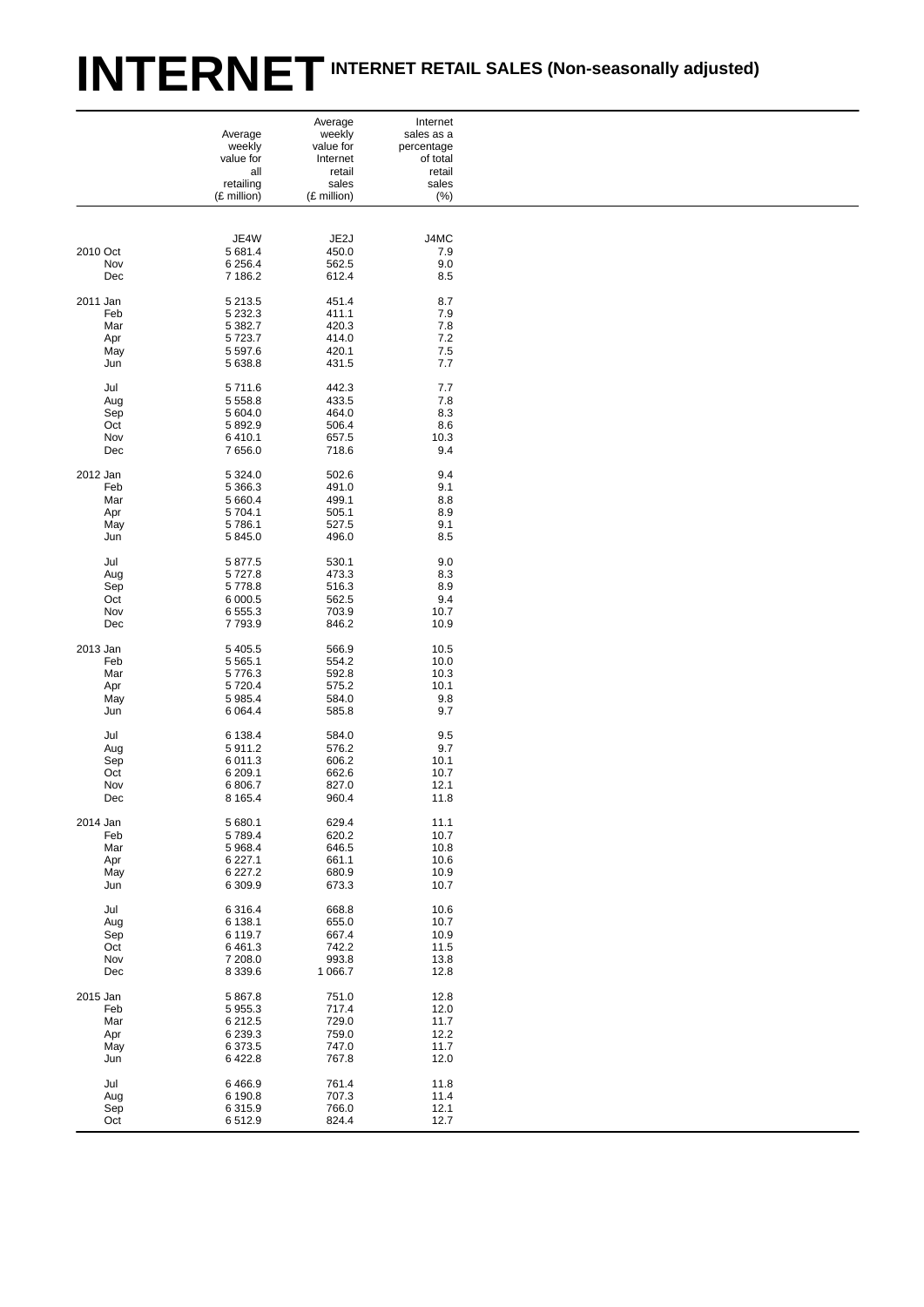# INTERNET INTERNET RETAIL SALES (Non-seasonally adjusted)

|            |                          | Average              | Internet      |  |
|------------|--------------------------|----------------------|---------------|--|
|            | Average                  | weekly               | sales as a    |  |
|            | weekly                   | value for            | percentage    |  |
|            | value for                | Internet             | of total      |  |
|            | all                      | retail               | retail        |  |
|            | retailing<br>(£ million) | sales<br>(£ million) | sales<br>(% ) |  |
|            |                          |                      |               |  |
|            |                          |                      |               |  |
|            | JE4W                     | JE2J                 | J4MC          |  |
| 2010 Oct   | 5 681.4                  | 450.0                | 7.9           |  |
| Nov        | 6 256.4                  | 562.5                | 9.0           |  |
| Dec        | 7 186.2                  | 612.4                | 8.5           |  |
|            |                          |                      |               |  |
| 2011 Jan   | 5 2 1 3 . 5              | 451.4                | 8.7           |  |
| Feb        | 5 2 3 2 . 3              | 411.1                | 7.9           |  |
| Mar        | 5 382.7                  | 420.3                | 7.8           |  |
| Apr        | 5723.7                   | 414.0                | 7.2           |  |
| May        | 5 5 9 7.6                | 420.1                | 7.5           |  |
| Jun        | 5 638.8                  | 431.5                | 7.7           |  |
|            |                          |                      |               |  |
| Jul        | 5711.6                   | 442.3                | 7.7           |  |
| Aug        | 5 5 5 8.8<br>5 604.0     | 433.5<br>464.0       | 7.8<br>8.3    |  |
| Sep<br>Oct | 5892.9                   | 506.4                | 8.6           |  |
| Nov        | 6410.1                   | 657.5                | 10.3          |  |
| Dec        | 7656.0                   | 718.6                | 9.4           |  |
|            |                          |                      |               |  |
| 2012 Jan   | 5 3 2 4 . 0              | 502.6                | 9.4           |  |
| Feb        | 5 3 66.3                 | 491.0                | 9.1           |  |
| Mar        | 5 660.4                  | 499.1                | 8.8           |  |
| Apr        | 5 704.1                  | 505.1                | 8.9           |  |
| May        | 5786.1                   | 527.5                | 9.1           |  |
| Jun        | 5 845.0                  | 496.0                | 8.5           |  |
|            |                          |                      |               |  |
| Jul        | 5 877.5                  | 530.1                | 9.0           |  |
| Aug        | 5727.8                   | 473.3                | 8.3           |  |
| Sep<br>Oct | 5778.8<br>6 000.5        | 516.3<br>562.5       | 8.9<br>9.4    |  |
| Nov        | 6 5 5 5 . 3              | 703.9                | 10.7          |  |
| Dec        | 7793.9                   | 846.2                | 10.9          |  |
|            |                          |                      |               |  |
| 2013 Jan   | 5 4 0 5.5                | 566.9                | 10.5          |  |
| Feb        | 5 5 6 5.1                | 554.2                | 10.0          |  |
| Mar        | 5776.3                   | 592.8                | 10.3          |  |
| Apr        | 5720.4                   | 575.2                | 10.1          |  |
| May        | 5 985.4                  | 584.0                | 9.8           |  |
| Jun        | 6 0 64.4                 | 585.8                | 9.7           |  |
|            |                          |                      |               |  |
| Jul        | 6 138.4<br>5911.2        | 584.0<br>576.2       | 9.5<br>9.7    |  |
| Aug<br>Sep | 6 0 1 1 . 3              | 606.2                | 10.1          |  |
| Oct        | 6 209.1                  | 662.6                | 10.7          |  |
| Nov        | 6 806.7                  | 827.0                | 12.1          |  |
| Dec        | 8 1 6 5.4                | 960.4                | 11.8          |  |
|            |                          |                      |               |  |
| 2014 Jan   | 5 680.1                  | 629.4                | 11.1          |  |
| Feb        | 5789.4                   | 620.2                | 10.7          |  |
| Mar        | 5 9 68.4                 | 646.5                | 10.8          |  |
| Apr        | 6 2 2 7.1                | 661.1                | 10.6          |  |
| May        | 6 2 27.2                 | 680.9                | 10.9          |  |
| Jun        | 6 309.9                  | 673.3                | 10.7          |  |
|            |                          |                      |               |  |
| Jul        | 6 3 1 6.4<br>6 138.1     | 668.8<br>655.0       | 10.6          |  |
| Aug        | 6 119.7                  | 667.4                | 10.7<br>10.9  |  |
| Sep<br>Oct | 6 4 6 1.3                | 742.2                | 11.5          |  |
| Nov        | 7 208.0                  | 993.8                | 13.8          |  |
| Dec        | 8 3 3 9.6                | 1 0 66.7             | 12.8          |  |
|            |                          |                      |               |  |
| 2015 Jan   | 5 867.8                  | 751.0                | 12.8          |  |
| Feb        | 5 9 5 5.3                | 717.4                | 12.0          |  |
| Mar        | 6 212.5                  | 729.0                | 11.7          |  |
| Apr        | 6 2 3 9 . 3              | 759.0                | 12.2          |  |
| May        | 6 373.5                  | 747.0                | 11.7          |  |
| Jun        | 6 4 2 2.8                | 767.8                | 12.0          |  |
|            |                          |                      |               |  |
| Jul<br>Aug | 6466.9<br>6 190.8        | 761.4<br>707.3       | 11.8<br>11.4  |  |
| Sep        | 6315.9                   | 766.0                | 12.1          |  |
|            |                          |                      |               |  |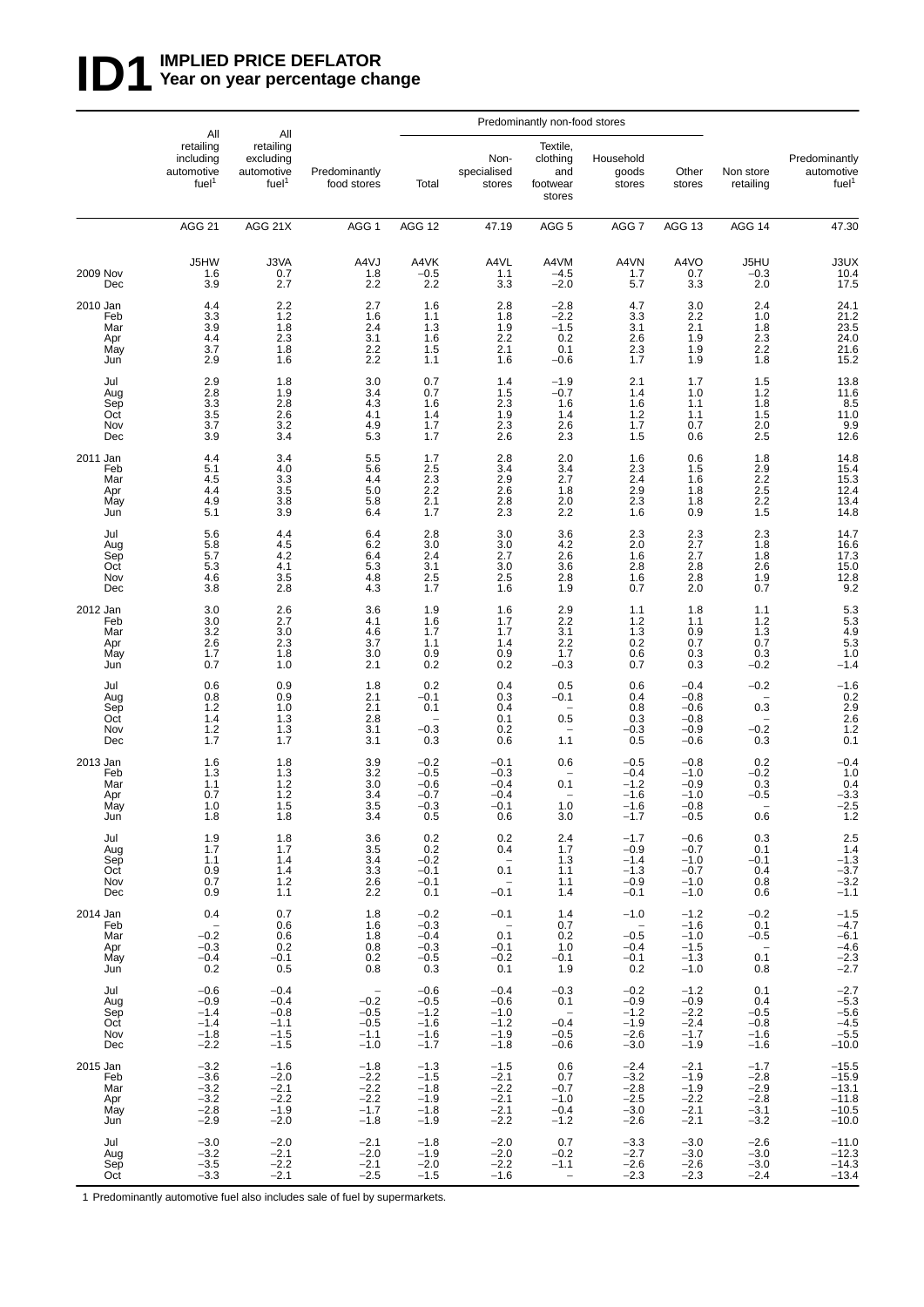## **ID1** WPLIED PRICE DEFLATOR<br>Year on year percentage ch **Year on year percentage change**

|                                             |                                                                      |                                                                  |                                                                            | Predominantly non-food stores                                       |                                                                                     |                                                               |                                                                                |                                                          |                                                                               |                                                                                 |
|---------------------------------------------|----------------------------------------------------------------------|------------------------------------------------------------------|----------------------------------------------------------------------------|---------------------------------------------------------------------|-------------------------------------------------------------------------------------|---------------------------------------------------------------|--------------------------------------------------------------------------------|----------------------------------------------------------|-------------------------------------------------------------------------------|---------------------------------------------------------------------------------|
|                                             | All<br>retailing<br>including<br>automotive<br>fuel <sup>1</sup>     | All<br>retailing<br>excludina<br>automotive<br>fuel <sup>1</sup> | Predominantly<br>food stores                                               | Total                                                               | Non-<br>specialised<br>stores                                                       | Textile,<br>clothing<br>and<br>footwear<br>stores             | Household<br>goods<br>stores                                                   | Other<br>stores                                          | Non store<br>retailing                                                        | Predominantly<br>automotive<br>fuel <sup>1</sup>                                |
|                                             | <b>AGG 21</b>                                                        | AGG 21X                                                          | AGG <sub>1</sub>                                                           | AGG 12                                                              | 47.19                                                                               | AGG <sub>5</sub>                                              | AGG 7                                                                          | AGG 13                                                   | AGG 14                                                                        | 47.30                                                                           |
| 2009 Nov<br>Dec                             | J5HW<br>1.6<br>3.9                                                   | J3VA<br>0.7<br>2.7                                               | A4VJ<br>1.8<br>2.2                                                         | A4VK<br>$-0.5$<br>2.2                                               | A4VL<br>1.1<br>3.3                                                                  | A4VM<br>$-4.5$<br>$-2.0$                                      | A4VN<br>1.7<br>5.7                                                             | A4VO<br>0.7<br>3.3                                       | J5HU<br>$-0.3$<br>2.0                                                         | J3UX<br>10.4<br>17.5                                                            |
| 2010 Jan<br>Feb<br>Mar<br>Apr<br>May<br>Jun | 4.4<br>3.3<br>3.9<br>4.4<br>3.7<br>2.9                               | 2.2<br>1.2<br>1.8<br>$2.\overline{3}$<br>1.8<br>1.6              | 2.7<br>1.6<br>2.4<br>3.1<br>2.2<br>2.2                                     | 1.6<br>1.1<br>1.3<br>1.6<br>1.5<br>1.1                              | 2.8<br>1.8<br>1.9<br>2.2<br>2.1<br>1.6                                              | $-2.8$<br>$-2.2$<br>$-1.5$<br>0.2<br>0.1<br>$-0.6$            | 4.7<br>3.3<br>3.1<br>2.6<br>2.3<br>1.7                                         | 3.0<br>2.2<br>2.1<br>1.9<br>1.9<br>1.9                   | 2.4<br>1.0<br>1.8<br>$2.\overline{3}$<br>2.2<br>1.8                           | 24.1<br>$21.2$<br>$23.5$<br>$24.0$<br>21.6<br>15.2                              |
| Jul<br>Aug<br>Sep<br>Oct<br>Nov<br>Dec      | 2.9<br>2.8<br>$3.\overline{3}$<br>3.5<br>3.7<br>3.9                  | 1.8<br>1.9<br>2.8<br>2.6<br>3.2<br>3.4                           | 3.0<br>3.4<br>4.3<br>4.1<br>4.9<br>5.3                                     | 0.7<br>0.7<br>1.6<br>1.4<br>1.7<br>1.7                              | 1.4<br>1.5<br>$2.\overline{3}$<br>1.9<br>2.3<br>2.6                                 | $-1.9$<br>$-0.7$<br>1.6<br>1.4<br>2.6<br>2.3                  | 2.1<br>1.4<br>1.6<br>1.2<br>1.7<br>1.5                                         | 1.7<br>1.0<br>1.1<br>1.1<br>0.7<br>0.6                   | 1.5<br>1.2<br>1.8<br>1.5<br>2.0<br>2.5                                        | $13.8$<br>$11.6$<br>$8.5$<br>$\begin{array}{c} 11.0 \\ 9.9 \\ 12.6 \end{array}$ |
| 2011 Jan<br>Feb<br>Mar<br>Apr<br>May<br>Jun | 4.4<br>5.1<br>4.5<br>4.4<br>4.9<br>5.1                               | 3.4<br>4.0<br>3.3<br>3.5<br>3.8<br>3.9                           | 5.5<br>5.6<br>4.4<br>5.0<br>5.8<br>6.4                                     | 1.7<br>2.5<br>2.3<br>2.2<br>2.1<br>1.7                              | 2.8<br>3.4<br>2.9<br>2.6<br>2.8<br>2.3                                              | 2.0<br>3.4<br>2.7<br>1.8<br>2.0<br>2.2                        | 1.6<br>2.3<br>2.4<br>2.9<br>$2.\overline{3}$<br>1.6                            | 0.6<br>1.5<br>1.6<br>1.8<br>1.8<br>0.9                   | 1.8<br>2.9<br>$2.\overline{2}$<br>$2.\overline{5}$<br>$2.\overline{2}$<br>1.5 | 14.8<br>15.4<br>15.3<br>12.4<br>13.4<br>14.8                                    |
| Jul<br>Aug<br>Sep<br>Oct<br>Nov<br>Dec      | 5.6<br>5.8<br>5.7<br>5.3<br>4.6<br>3.8                               | 4.4<br>4.5<br>4.2<br>4.1<br>3.5<br>2.8                           | 6.4<br>6.2<br>6.4<br>5.3<br>4.8<br>4.3                                     | 2.8<br>3.0<br>2.4<br>3.1<br>2.5<br>1.7                              | 3.0<br>3.0<br>2.7<br>3.0<br>2.5<br>1.6                                              | 3.6<br>$^{4.2}_{2.6}$<br>3.6<br>2.8<br>1.9                    | 2.3<br>2.0<br>1.6<br>2.8<br>1.6<br>0.7                                         | 2.3<br>2.7<br>2.7<br>2.8<br>2.8<br>2.0                   | 2.3<br>1.8<br>1.8<br>2.6<br>1.9<br>0.7                                        | 14.7<br>16.6<br>17.3<br>15.0<br>12.8<br>9.2                                     |
| 2012 Jan<br>Feb<br>Mar<br>Apr<br>May<br>Jun | 3.0<br>3.0<br>3.2<br>2.6<br>1.7<br>0.7                               | 2.6<br>2.7<br>3.0<br>2.3<br>1.8<br>1.0                           | 3.6<br>4.1<br>4.6<br>3.7<br>3.0<br>2.1                                     | 1.9<br>1.6<br>1.7<br>1.1<br>0.9<br>0.2                              | 1.6<br>1.7<br>1.7<br>1.4<br>0.9<br>0.2                                              | 2.9<br>2.2<br>3.1<br>2.2<br>1.7<br>$-0.3$                     | 1.1<br>1.2<br>1.3<br>0.2<br>0.6<br>0.7                                         | 1.8<br>1.1<br>0.9<br>0.7<br>0.3<br>0.3                   | 1.1<br>$\frac{1.2}{1.3}$<br>0.7<br>0.3<br>$-0.2$                              | 5.3<br>5.3<br>4.9<br>5.3<br>1.0<br>$-1.4$                                       |
| Jul<br>Aug<br>Sep<br>Oct<br>Nov<br>Dec      | 0.6<br>0.8<br>1.2<br>1.4<br>1.2<br>1.7                               | 0.9<br>0.9<br>1.0<br>1.3<br>1.3<br>1.7                           | 1.8<br>2.1<br>2.1<br>2.8<br>3.1<br>3.1                                     | 0.2<br>$-0.1$<br>0.1<br>$-0.3$<br>0.3                               | 0.4<br>0.3<br>0.4<br>0.1<br>0.2<br>0.6                                              | 0.5<br>$-0.1$<br>0.5<br>1.1                                   | 0.6<br>0.4<br>0.8<br>0.3<br>$-0.3$<br>0.5                                      | $-0.4$<br>$-0.8$<br>$-0.6$<br>$-0.8$<br>$-0.9$<br>$-0.6$ | $-0.2$<br>0.3<br>$-0.2$<br>0.3                                                | $-1.6$<br>0.2<br>2.9<br>2.6<br>1.2<br>1.2<br>0.1                                |
| 2013 Jan<br>Feb<br>Mar<br>Apr<br>May<br>Jun | 1.6<br>1.3<br>1.1<br>0.7<br>1.0<br>1.8                               | 1.8<br>1.3<br>1.2<br>1.2<br>1.5<br>1.8                           | 3.9<br>3.2<br>3.0<br>3.4<br>3.5<br>3.4                                     | $-0.2$<br>$-0.5$<br>$-0.6$<br>$-0.7$<br>$-0.3$<br>0.5               | $-0.1$<br>$-0.3$<br>$-0.4$<br>$-0.4$<br>$-0.1$<br>0.6                               | 0.6<br>0.1<br>1.0<br>3.0                                      | $-0.5$<br>$-0.4$<br>$-1.2$<br>$-1.6$<br>$-1.6$<br>$-1.7$                       | $-0.8$<br>$-1.0$<br>$-0.9$<br>$-1.0$<br>$-0.8$<br>$-0.5$ | 0.2<br>$-0.2$<br>0.3<br>$-0.5$<br>0.6                                         | $-0.4$<br>1.0<br>0.4<br>$-3.3$<br>$-2.5$<br>$1.2$                               |
| Jul<br>Aug<br>Sep<br>Oct<br>Nov<br>Dec      | 1.9<br>1.7<br>1.1<br>0.9<br>0.7<br>0.9                               | 1.8<br>1.7<br>1.4<br>1.4<br>1.2<br>1.1                           | 3.6<br>3.5<br>3.4<br>3.3<br>2.6<br>$\overline{2.2}$                        | 0.2<br>0.2<br>$-0.2$<br>$-0.1$<br>$-0.1$<br>0.1                     | 0.2<br>0.4<br>$\overline{\phantom{a}}$<br>0.1<br>$\overline{\phantom{a}}$<br>$-0.1$ | 2.4<br>1.7<br>1.3<br>1.1<br>1.1<br>1.4                        | $-1.7$<br>$-0.9$<br>$-1.4$<br>$-1.3$<br>$-0.9$<br>$-0.1$                       | $-0.6$<br>$-0.7$<br>$-1.0$<br>$-0.7$<br>$-1.0$<br>$-1.0$ | 0.3<br>0.1<br>$-0.1$<br>0.4<br>0.8<br>0.6                                     | $\frac{2.5}{1.4}$<br>$-1.3$<br>$-3.7$<br>$-3.2$<br>$-1.1$                       |
| 2014 Jan<br>Feb<br>Mar<br>Apr<br>May<br>Jun | 0.4<br>$\overline{\phantom{a}}$<br>$-0.2$<br>$-0.3$<br>$-0.4$<br>0.2 | 0.7<br>0.6<br>0.6<br>0.2<br>$-0.1$<br>0.5                        | 1.8<br>1.6<br>1.8<br>0.8<br>$0.2\,$<br>0.8                                 | $-0.2$<br>$-0.3$<br>$-0.4$<br>$-0.3$<br>$-0.5$<br>0.3               | $-0.1$<br>$\overline{\phantom{a}}$<br>0.1<br>$-0.1$<br>$-0.2$<br>0.1                | 1.4<br>0.7<br>0.2<br>1.0<br>$-0.1$<br>1.9                     | $-1.0$<br>$\hspace{0.1mm}-\hspace{0.1mm}$<br>$-0.5$<br>$-0.4$<br>$-0.1$<br>0.2 | $-1.2$<br>$-1.6$<br>$-1.0$<br>$-1.5$<br>$-1.3$<br>$-1.0$ | $-0.2$<br>0.1<br>$-0.5$<br>$\overline{\phantom{a}}$<br>0.1<br>0.8             | $-1.5$<br>$-4.7$<br>$-6.1$<br>$-4.6$<br>$-2.3$<br>$-2.7$                        |
| Jul<br>Aug<br>Sep<br>Oct<br>Nov<br>Dec      | $-0.6$<br>$-0.9$<br>$-1.4$<br>$-1.4$<br>$-1.8$<br>$-2.2$             | $-0.4$<br>$-0.4$<br>$-0.8$<br>$-1.1$<br>$-1.5$<br>$-1.5$         | $\overline{\phantom{a}}$<br>$-0.2$<br>$-0.5$<br>$-0.5$<br>$-1.1$<br>$-1.0$ | $-0.6$<br>$-0.5$<br>$-1.2$<br>$-1.\overline{6}$<br>$-1.6$<br>$-1.7$ | $-0.4$<br>$-0.6$<br>$-1.0$<br>$-1.2$<br>$-1.9$<br>$-1.8$                            | $-0.3$<br>0.1<br>$\overline{a}$<br>$-0.4$<br>$-0.5$<br>$-0.6$ | $-0.2$<br>$-0.9$<br>$-1.2$<br>$-1.9$<br>$-2.6$<br>$-3.0$                       | $-1.2$<br>$-0.9$<br>$-2.2$<br>$-2.4$<br>$-1.7$<br>$-1.9$ | 0.1<br>0.4<br>$-0.5$<br>$-0.8$<br>$-1.6$<br>$-1.6$                            | $-2.7$<br>$-5.3$<br>$-5.6$<br>$-4.5$<br>$-5.5$<br>$-10.0$                       |
| 2015 Jan<br>Feb<br>Mar<br>Apr<br>May<br>Jun | $-3.2$<br>$-3.6$<br>$-3.2$<br>$-3.2$<br>$-2.8$<br>$-2.9$             | $-1.6$<br>$-2.0$<br>$-2.1$<br>$-2.2$<br>$-1.9$<br>$-2.0$         | $-1.8$<br>$-2.2$<br>$-2.2$<br>$-2.2$<br>$-1.7$<br>$-1.8$                   | $-1.3$<br>$-1.5$<br>$-1.8$<br>$-1.9$<br>$-1.8$<br>$-1.9$            | $-1.5$<br>$-2.1$<br>$-2.2$<br>$-2.1$<br>$-2.1$<br>$-2.2$                            | 0.6<br>0.7<br>$-0.7$<br>$-1.0$<br>$-0.4$<br>$-1.2$            | $-2.4$<br>$-3.2$<br>$-2.8$<br>$-2.5$<br>$-3.0$<br>$-2.6$                       | $-2.1$<br>$-1.9$<br>$-1.9$<br>$-2.2$<br>$-2.1$<br>$-2.1$ | $-1.7$<br>$-2.8$<br>$-2.9$<br>$-2.8$<br>$-3.1$<br>$-3.2$                      | $-15.5$<br>$-15.9$<br>$-13.1$<br>$-11.8$<br>$-10.5$<br>$-10.0$                  |
| Jul<br>Aug<br>Sep<br>Oct                    | $-3.0$<br>$-3.2$<br>$-3.5$<br>$-3.3$                                 | $-2.0$<br>$-2.1$<br>$-2.2$<br>$-2.1$                             | $-2.1$<br>$-2.0$<br>$-2.1$<br>$-2.5$                                       | $-1.8$<br>$-1.9$<br>$-2.0$<br>$-1.5$                                | $-2.0$<br>$-2.0$<br>$-2.2$<br>$-1.6$                                                | 0.7<br>$-0.2$<br>$-1.1$<br>$\overline{\phantom{a}}$           | $-3.3$<br>$-2.7$<br>$-2.6$<br>$-2.3$                                           | $-3.0$<br>$-3.0$<br>$-2.6$<br>$-2.3$                     | $-2.6$<br>$-3.0$<br>$-3.0$<br>$-2.4$                                          | $-11.0$<br>$-12.3 - 14.3$<br>$-13.4$                                            |

1 Predominantly automotive fuel also includes sale of fuel by supermarkets.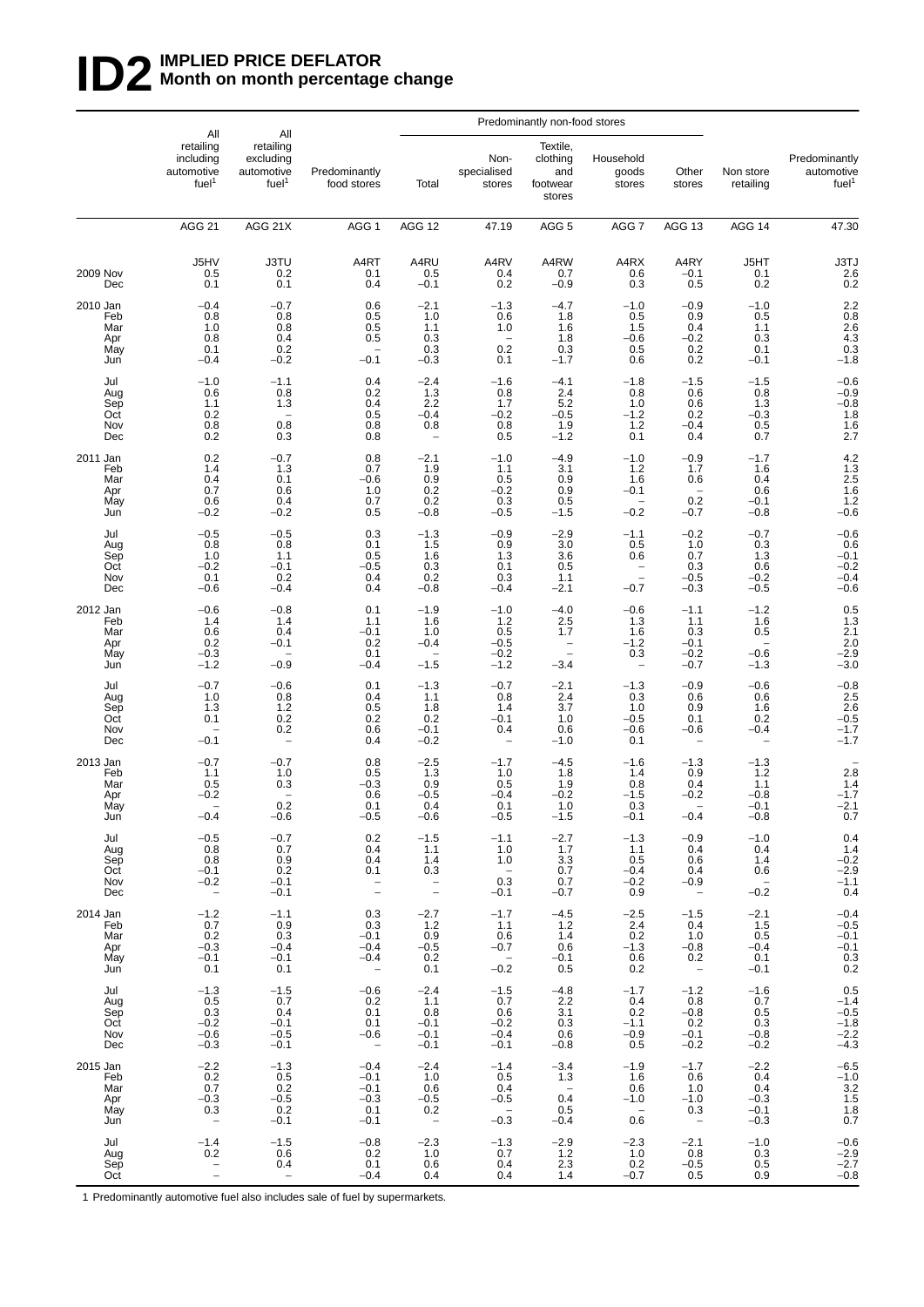## **ID2** IMPLIED PRICE DEFLATOR<br>Month on month percentage **Month on month percentage change**

|                                             |                                                                   |                                                                  |                                                                          | Predominantly non-food stores                                                                   |                                                                      |                                                                                 |                                                                 |                                                                   |                                                                             |                                                                                                 |
|---------------------------------------------|-------------------------------------------------------------------|------------------------------------------------------------------|--------------------------------------------------------------------------|-------------------------------------------------------------------------------------------------|----------------------------------------------------------------------|---------------------------------------------------------------------------------|-----------------------------------------------------------------|-------------------------------------------------------------------|-----------------------------------------------------------------------------|-------------------------------------------------------------------------------------------------|
|                                             | All<br>retailing<br>including<br>automotive<br>fuel <sup>1</sup>  | All<br>retailing<br>excluding<br>automotive<br>fuel <sup>1</sup> | Predominantly<br>food stores                                             | Total                                                                                           | Non-<br>specialised<br>stores                                        | Textile,<br>clothing<br>and<br>footwear<br>stores                               | Household<br>goods<br>stores                                    | Other<br>stores                                                   | Non store<br>retailing                                                      | Predominantly<br>automotive<br>fuel <sup>1</sup>                                                |
|                                             | AGG <sub>21</sub>                                                 | AGG 21X                                                          | AGG <sub>1</sub>                                                         | AGG 12                                                                                          | 47.19                                                                | AGG <sub>5</sub>                                                                | AGG 7                                                           | AGG 13                                                            | AGG 14                                                                      | 47.30                                                                                           |
| <b>2009 Nov</b><br>Dec                      | J5HV<br>0.5<br>0.1                                                | <b>J3TU</b><br>0.2<br>0.1                                        | A4RT<br>0.1<br>0.4                                                       | A4RU<br>0.5<br>$-0.1$                                                                           | A4RV<br>0.4<br>0.2                                                   | A4RW<br>0.7<br>$-0.9$                                                           | A4RX<br>0.6<br>0.3                                              | A4RY<br>$-0.1$<br>0.5                                             | J5HT<br>0.1<br>0.2                                                          | $\begin{array}{r} \text{J3TJ} \\ \text{2.6} \\ \text{0.2} \end{array}$                          |
| 2010 Jan<br>Feb<br>Mar<br>Apr<br>May<br>Jun | $-0.4$<br>0.8<br>1.0<br>0.8<br>0.1<br>$-0.4$                      | $-0.7$<br>0.8<br>0.8<br>0.4<br>0.2<br>$-0.2$                     | 0.6<br>0.5<br>0.5<br>0.5<br>$-0.1$                                       | $-2.1$<br>1.0<br>1.1<br>0.3<br>0.3<br>$-0.3$                                                    | $-1.3$<br>0.6<br>1.0<br>0.2<br>0.1                                   | $-4.7$<br>1.8<br>1.6<br>1.8<br>0.3<br>$-1.7$                                    | $-1.0$<br>0.5<br>1.5<br>$-0.6$<br>0.5<br>0.6                    | $-0.9$<br>0.9<br>0.4<br>$-0.2$<br>0.2<br>0.2                      | $-1.0$<br>0.5<br>1.1<br>0.3<br>0.1<br>$-0.1$                                | $2.2$<br>0.8<br>2.6<br>4.3<br>$0.3 - 1.8$                                                       |
| Jul<br>Aug<br>Sep<br>Oct<br>Nov<br>Dec      | $-1.0$<br>0.6<br>1.1<br>0.2<br>0.8<br>0.2                         | $-1.1$<br>0.8<br>1.3<br>0.8<br>0.3                               | 0.4<br>0.2<br>0.4<br>0.5<br>0.8<br>0.8                                   | $-2.4$<br>1.3<br>2.2<br>$-0.4$<br>0.8                                                           | $-1.6$<br>0.8<br>1.7<br>$-0.2$<br>0.8<br>0.5                         | $-4.1$<br>2.4<br>5.2<br>$-0.5$<br>1.9<br>$-1.2$                                 | $-1.8$<br>0.8<br>$1.0$<br>$-1.2$<br>$1.2$<br>0.1                | $-1.5$<br>0.6<br>0.6<br>0.2<br>$-0.4$<br>0.4                      | $-1.5$<br>0.8<br>1.3<br>$-0.3$<br>$\begin{array}{c} 0.5 \\ 0.7 \end{array}$ | $-0.6$<br>$-0.9$<br>$-0.8$<br>$\begin{array}{c} 1.8 \\ 1.6 \\ 2.7 \end{array}$                  |
| 2011 Jan<br>Feb<br>Mar<br>Apr<br>May<br>Jun | 0.2<br>1.4<br>0.4<br>0.7<br>0.6<br>$-0.2$                         | $-0.7$<br>1.3<br>0.1<br>0.6<br>0.4<br>$-0.2$                     | 0.8<br>0.7<br>$-0.6$<br>1.0<br>0.7<br>0.5                                | $-2.1$<br>1.9<br>$\begin{array}{c} 0.9 \\ 0.2 \end{array}$<br>0.2<br>$-0.8$                     | $-1.0$<br>1.1<br>0.5<br>$-0.2$<br>0.3<br>$-0.5$                      | $-4.9$<br>3.1<br>0.9<br>0.9<br>0.5<br>$-1.5$                                    | $-1.0$<br>$1.2$<br>1.6<br>$-0.1$<br>$-0.2$                      | $-0.9$<br>1.7<br>0.6<br>$\qquad \qquad -$<br>0.2<br>$-0.7$        | $-1.7$<br>1.6<br>0.4<br>0.6<br>$-0.1$<br>$-0.8$                             | $4.2$<br>$1.3$<br>$2.5$<br>$1.6$<br>$1.2$<br>$-0.6$                                             |
| Jul<br>Aug<br>Sep<br>Oct<br>Nov<br>Dec      | $-0.5$<br>0.8<br>1.0<br>$-0.2$<br>0.1<br>$-0.6$                   | $-0.5$<br>0.8<br>1.1<br>$-0.1$<br>0.2<br>$-0.4$                  | 0.3<br>0.1<br>0.5<br>$-0.5$<br>0.4<br>0.4                                | $-1.3$<br>1.5<br>1.6<br>0.3<br>0.2<br>$-0.8$                                                    | $-0.9$<br>0.9<br>1.3<br>0.1<br>0.3<br>$-0.4$                         | $-2.9$<br>3.0<br>3.6<br>0.5<br>1.1<br>$-2.1$                                    | $-1.1$<br>0.5<br>0.6<br>$\qquad \qquad -$<br>$\equiv$<br>$-0.7$ | $-0.2$<br>1.0<br>0.7<br>0.3<br>$-0.5$<br>$-0.3$                   | $-0.7$<br>0.3<br>1.3<br>0.6<br>$-0.2$<br>$-0.5$                             | $-0.6$<br>$0.6 - 0.1 - 0.2$<br>$-0.4$<br>$-0.6$                                                 |
| 2012 Jan<br>Feb<br>Mar<br>Apr<br>May<br>Jun | $-0.6$<br>1.4<br>0.6<br>0.2<br>$-0.3$<br>$-1.2$                   | $-0.8$<br>1.4<br>0.4<br>$-0.1$<br>$-0.9$                         | 0.1<br>1.1<br>$-0.1$<br>0.2<br>0.1<br>$-0.4$                             | $-1.9$<br>1.6<br>1.0<br>$-0.4$<br>$-1.5$                                                        | $-1.0$<br>1.2<br>0.5<br>$-0.5$<br>$-0.2$<br>$-1.2$                   | $-4.0$<br>2.5<br>1.7<br>$\qquad \qquad -$<br>$\overline{\phantom{0}}$<br>$-3.4$ | $-0.6$<br>1.3<br>1.6<br>$-1.2$<br>0.3<br>-                      | $-1.1$<br>1.1<br>0.3<br>$-0.1$<br>$-0.2$<br>$-0.7$                | $-1.2$<br>1.6<br>0.5<br>$\overline{\phantom{a}}$<br>$-0.6$<br>$-1.3$        | $\begin{array}{c} 0.5 \\ 1.3 \\ 2.1 \end{array}$<br>$2.0 - 2.9 - 3.0$                           |
| Jul<br>Aug<br>Sep<br>Oct<br>Nov<br>Dec      | $-0.7$<br>1.0<br>1.3<br>0.1<br>$-0.1$                             | $-0.6$<br>0.8<br>1.2<br>0.2<br>0.2<br>$\overline{\phantom{0}}$   | 0.1<br>0.4<br>0.5<br>0.2<br>0.6<br>0.4                                   | $-1.3$<br>1.1<br>1.8<br>0.2<br>$-0.1$<br>$-0.2$                                                 | $-0.7$<br>0.8<br>1.4<br>$-0.1$<br>0.4                                | $-2.1$<br>2.4<br>3.7<br>1.0<br>0.6<br>$-1.0$                                    | $-1.3$<br>0.3<br>1.0<br>$-0.5$<br>$-0.6$<br>0.1                 | $-0.9$<br>0.6<br>0.9<br>0.1<br>$-0.6$                             | $-0.6$<br>0.6<br>1.6<br>0.2<br>$-0.4$                                       | $-0.8$<br>2.5<br>2.6<br>-0.5<br>$-1.7$<br>-1.7                                                  |
| 2013 Jan<br>Feb<br>Mar<br>Apr<br>May<br>Jun | $-0.7$<br>1.1<br>0.5<br>$-0.2$<br>$-0.4$                          | $-0.7$<br>1.0<br>0.3<br>0.2<br>$-0.6$                            | 0.8<br>0.5<br>$-0.3$<br>0.6<br>0.1<br>$-0.5$                             | $-2.5$<br>1.3<br>0.9<br>$-0.5$<br>0.4<br>$-0.6$                                                 | $-1.7$<br>1.0<br>0.5<br>$-0.4$<br>0.1<br>–ს.ხ                        | $-4.5$<br>1.8<br>1.9<br>$-0.2$<br>1.0<br>$-1.5$                                 | $-1.6$<br>1.4<br>0.8<br>$-1.5$<br>0.3<br>$-0.1$                 | $-1.3$<br>0.9<br>0.4<br>$-0.2$<br>$-0.4$                          | $-1.3$<br>$1.2$<br>1.1<br>$-0.8$<br>$-0.1$<br>$-0.8$                        | $2.8$<br>1.4<br>-1.7<br>$-2.1$<br>0.7                                                           |
| Jul<br>Aug<br>Sep<br>Oct<br>Nov<br>Dec      | $-0.5$<br>0.8<br>0.8<br>$-0.1$<br>$-0.2$<br>$\qquad \qquad -$     | $-0.7$<br>0.7<br>0.9<br>0.2<br>$-0.1$<br>$-0.1$                  | 0.2<br>0.4<br>0.4<br>0.1<br>$\bar{a}$                                    | $-1.5$<br>1.1<br>1.4<br>$\frac{0.3}{0.3}$                                                       | $-1.1$<br>1.0<br>1.0<br>$\hspace{0.1mm}$<br>0.3<br>$-0.1$            | $-2.7$<br>1.7<br>3.3<br>0.7<br>0.7<br>$-0.7$                                    | $-1.3$<br>1.1<br>0.5<br>$-0.4$<br>$-0.2$<br>0.9                 | $-0.9$<br>0.4<br>0.6<br>0.4<br>$-0.9$<br>$\sim$                   | $-1.0$<br>0.4<br>1.4<br>0.6<br>$-0.\overline{2}$                            | 0.4<br>$-0.2$<br>$-2.9$<br>$-1.1$<br>0.4                                                        |
| 2014 Jan<br>Feb<br>Mar<br>Apr<br>May<br>Jun | $-1.2$<br>0.7<br>0.2<br>$-0.3$<br>$-0.1$<br>0.1                   | $-1.1$<br>0.9<br>0.3<br>$-0.4$<br>$-0.1$<br>0.1                  | 0.3<br>0.3<br>$-0.1$<br>$-0.4$<br>$-0.4$                                 | $-2.7$<br>$\begin{array}{c} 1.2 \\ 1.2 \\ 0.9 \\ -0.5 \\ 0.2 \\ -0.5 \\ 0.4 \end{array}$<br>0.1 | $-1.7$<br>1.1<br>0.6<br>$-0.7$<br>$-0.\overline{2}$                  | $-4.5$<br>1.2<br>1.4<br>0.6<br>$-0.1$<br>0.5                                    | $^{-2.5}_{2.4}$<br>$\frac{0.2}{-1.3}$<br>0.6<br>0.2             | $-1.5$<br>0.4<br>1.0<br>$-0.8$<br>0.2<br>$\overline{\phantom{0}}$ | $-2.1$<br>1.5<br>0.5<br>$-0.4$<br>0.1<br>$-0.1$                             | $-0.4$<br>$-0.5$<br>$-0.1$<br>$-0.1$<br>$\!\!\!\begin{array}{c} 0.3 \\ 0.2 \end{array}\!\!\!\!$ |
| Jul<br>Aug<br>Sep<br>Oct<br>Nov<br>Dec      | $-1.3$<br>0.5<br>0.3<br>$-0.2$<br>$-0.6$<br>$-0.3$                | $-1.5$<br>0.7<br>0.4<br>$-0.1$<br>$-0.5$<br>$-0.1$               | $-0.6$<br>0.2<br>0.1<br>0.1<br>$-0.6$<br>$\hspace{0.1mm}-\hspace{0.1mm}$ | $-2.4$<br>1.1<br>0.8<br>$-0.1$<br>$-0.1$<br>$-0.1$                                              | $-1.5$<br>0.7<br>0.6<br>$-0.2$<br>$-0.4$<br>$-0.1$                   | $-4.8$<br>2.2<br>3.1<br>0.3<br>0.6<br>$-0.8$                                    | $-1.7$<br>0.4<br>0.2<br>$-1.1$<br>$-0.9$<br>0.5                 | $-1.2$<br>0.8<br>$-0.8$<br>0.2<br>$-0.1$<br>$-0.2$                | $-1.6$<br>0.7<br>0.5<br>0.3<br>$-0.8$<br>$-0.2$                             | $0.5 - 1.4$<br>$-0.5$<br>$-1.8$<br>$-2.2$<br>$-4.3$                                             |
| 2015 Jan<br>Feb<br>Mar<br>Apr<br>May<br>Jun | $-2.2$<br>0.2<br>0.7<br>$-0.3$<br>0.3<br>$\overline{\phantom{a}}$ | $-1.3$<br>$0.\overline{5}$<br>$0.2 - 0.5$<br>0.2<br>$-0.1$       | $-0.4$<br>$-0.1$<br>$-0.1$<br>$-0.3$<br>0.1<br>$-0.1$                    | $-2.4$<br>1.0<br>0.6<br>$-0.5$<br>$0.2\,$<br>$\mathcal{L} =$                                    | $-1.4$<br>0.5<br>0.4<br>$-0.5$<br>$\overline{\phantom{0}}$<br>$-0.3$ | $-3.4$<br>1.3<br>$\overline{\phantom{a}}$<br>0.4<br>0.5<br>$-0.4$               | $-1.9$<br>1.6<br>0.6<br>$-1.0$<br>$\sim$ $-$<br>0.6             | $-1.7$<br>0.6<br>1.0<br>$-1.0$<br>0.3<br>$\sim$                   | $-2.2$<br>0.4<br>0.4<br>$-0.3$<br>$-0.1$<br>$-0.3$                          | $-6.5$<br>$-1.0$<br>$3.2$<br>$1.5$<br>$1.8$<br>$0.7$                                            |
| Jul<br>Aug<br>Sep<br>Oct                    | $-1.4$<br>0.2                                                     | $-1.5$<br>0.6<br>0.4<br>$\overline{\phantom{a}}$                 | $-0.8$<br>0.2<br>0.1<br>$-0.4$                                           | $-2.3$<br>1.0<br>0.6<br>0.4                                                                     | $-1.3$<br>0.7<br>0.4<br>0.4                                          | $-2.9$<br>1.2<br>2.3<br>1.4                                                     | $-2.3$<br>1.0<br>0.2<br>$-0.7$                                  | $-2.1$<br>0.8<br>$-0.5$<br>0.5                                    | $-1.0$<br>0.3<br>0.5<br>0.9                                                 | $-0.6$<br>$-2.9$<br>$-2.7$<br>$-0.8$                                                            |

1 Predominantly automotive fuel also includes sale of fuel by supermarkets.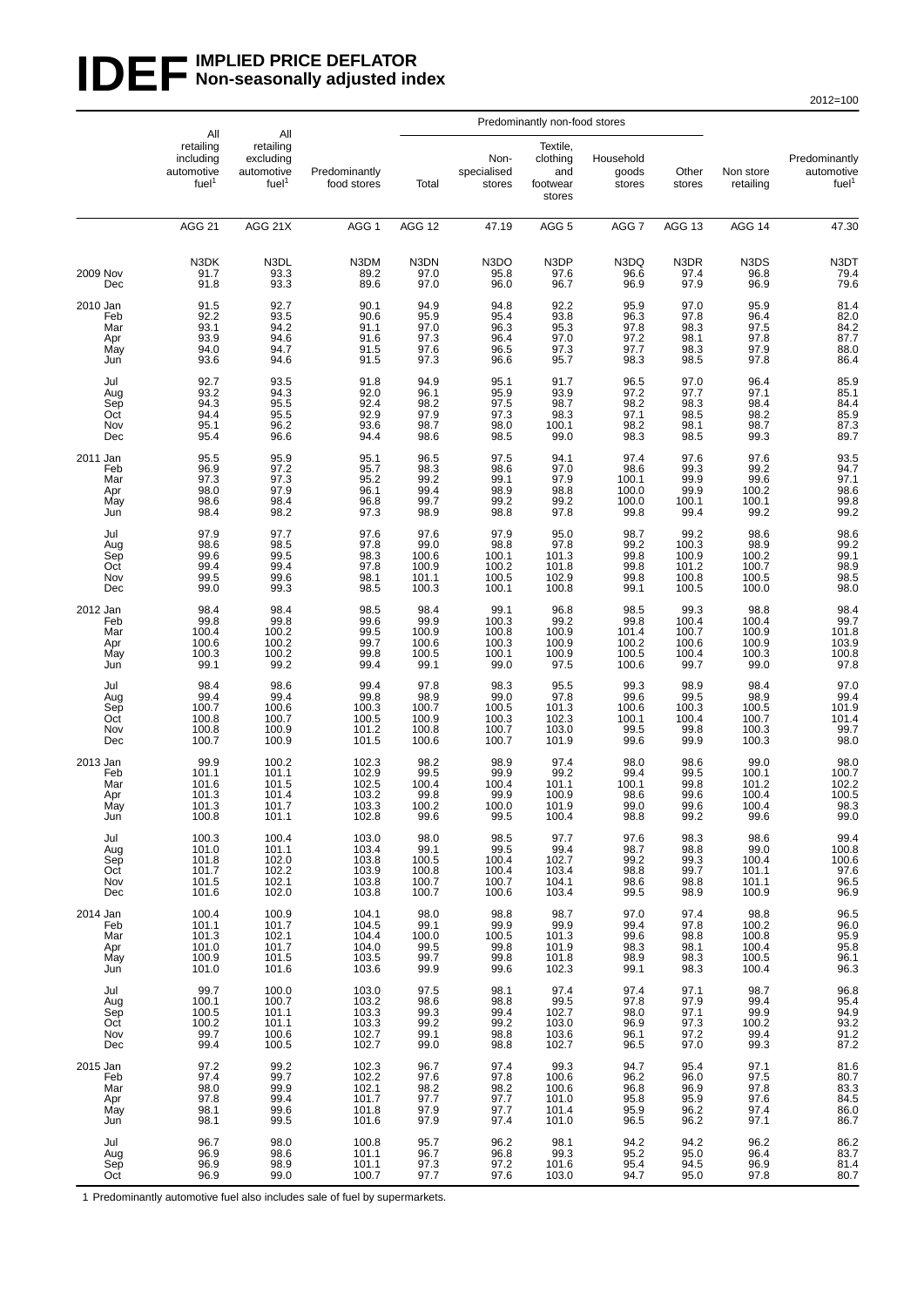#### **IDEF** MPLIED PRICE DEFLATOR **Non-seasonally adjusted index**

2012=100

|                                             | All                                                       | All                                                       |                                                    | Predominantly non-food stores                        |                                                  |                                                   |                                                     |                                                   |                                                   |                                                       |
|---------------------------------------------|-----------------------------------------------------------|-----------------------------------------------------------|----------------------------------------------------|------------------------------------------------------|--------------------------------------------------|---------------------------------------------------|-----------------------------------------------------|---------------------------------------------------|---------------------------------------------------|-------------------------------------------------------|
|                                             | retailing<br>including<br>automotive<br>fuel <sup>1</sup> | retailing<br>excluding<br>automotive<br>fuel <sup>1</sup> | Predominantly<br>food stores                       | Total                                                | Non-<br>specialised<br>stores                    | Textile,<br>clothing<br>and<br>footwear<br>stores | Household<br>goods<br>stores                        | Other<br>stores                                   | Non store<br>retailing                            | Predominantly<br>automotive<br>fuel <sup>1</sup>      |
|                                             | <b>AGG 21</b>                                             | AGG 21X                                                   | AGG <sub>1</sub>                                   | AGG 12                                               | 47.19                                            | AGG <sub>5</sub>                                  | AGG <sub>7</sub>                                    | AGG 13                                            | AGG 14                                            | 47.30                                                 |
| 2009 Nov<br>Dec                             | N3DK<br>91.7<br>91.8                                      | N3DL<br>93.3<br>93.3                                      | N3DM<br>89.2<br>89.6                               | N3DN<br>97.0<br>97.0                                 | N3DO<br>95.8<br>96.0                             | N3DP<br>97.6<br>96.7                              | N3DQ<br>96.6<br>96.9                                | N3DR<br>97.4<br>97.9                              | N3DS<br>96.8<br>96.9                              | N3DT<br>79.4<br>79.6                                  |
| 2010 Jan<br>Feb<br>Mar<br>Apr<br>May<br>Jun | 91.5<br>92.2<br>93.1<br>93.9<br>94.0<br>93.6              | 92.7<br>93.5<br>94.2<br>94.6<br>94.7<br>94.6              | 90.1<br>90.6<br>91.1<br>91.6<br>91.5<br>91.5       | 94.9<br>95.9<br>97.0<br>$97.\bar{3}$<br>97.6<br>97.3 | 94.8<br>95.4<br>96.3<br>96.4<br>96.5<br>96.6     | 92.2<br>93.8<br>95.3<br>97.0<br>97.3<br>95.7      | 95.9<br>96.3<br>97.8<br>97.2<br>97.7<br>98.3        | 97.0<br>97.8<br>98.3<br>98.1<br>98.3<br>98.5      | 95.9<br>96.4<br>97.5<br>97.8<br>97.9<br>97.8      | 81.4<br>82.0<br>84.2<br>87.7<br>88.0<br>86.4          |
| Jul<br>Aug<br>Sep<br>Oct<br>Nov<br>Dec      | 92.7<br>93.2<br>94.3<br>94.4<br>95.1<br>95.4              | 93.5<br>94.3<br>95.5<br>95.5<br>96.2<br>96.6              | 91.8<br>92.0<br>92.4<br>92.9<br>93.6<br>94.4       | 94.9<br>96.1<br>98.2<br>97.9<br>98.7<br>98.6         | 95.1<br>95.9<br>97.5<br>97.3<br>98.0<br>98.5     | 91.7<br>93.9<br>98.7<br>98.3<br>100.1<br>99.0     | 96.5<br>$\frac{97.2}{98.2}$<br>97.1<br>98.2<br>98.3 | 97.0<br>97.7<br>98.3<br>98.5<br>98.1<br>98.5      | 96.4<br>97.1<br>98.4<br>98.2<br>98.7<br>99.3      | 85.9<br>85.1<br>84.4<br>85.9<br>87.3<br>89.7          |
| 2011 Jan<br>Feb<br>Mar<br>Apr<br>May<br>Jun | 95.5<br>96.9<br>97.3<br>98.0<br>98.6<br>98.4              | 95.9<br>97.2<br>97.3<br>97.9<br>98.4<br>98.2              | 95.1<br>95.7<br>95.2<br>96.1<br>96.8<br>97.3       | 96.5<br>98.3<br>99.2<br>99.4<br>99.7<br>98.9         | 97.5<br>98.6<br>99.1<br>98.9<br>99.2<br>98.8     | 94.1<br>97.0<br>97.9<br>98.8<br>99.2<br>97.8      | 97.4<br>98.6<br>100.1<br>100.0<br>100.0<br>99.8     | 97.6<br>99.3<br>99.9<br>99.9<br>100.1<br>99.4     | 97.6<br>99.2<br>99.6<br>100.2<br>100.1<br>99.2    | 93.5<br>94.7<br>97.1<br>98.6<br>99.8<br>99.2          |
| Jul<br>Aug<br>Sep<br>Oct<br>Nov<br>Dec      | 97.9<br>98.6<br>99.6<br>99.4<br>99.5<br>99.0              | 97.7<br>98.5<br>99.5<br>99.4<br>99.6<br>99.3              | 97.6<br>97.8<br>98.3<br>97.8<br>98.1<br>98.5       | 97.6<br>99.0<br>100.6<br>100.9<br>101.1<br>100.3     | 97.9<br>98.8<br>100.1<br>100.2<br>100.5<br>100.1 | 95.0<br>97.8<br>101.3<br>101.8<br>102.9<br>100.8  | 98.7<br>99.2<br>99.8<br>99.8<br>99.8<br>99.1        | 99.2<br>100.3<br>100.9<br>101.2<br>100.8<br>100.5 | 98.6<br>98.9<br>100.2<br>100.7<br>100.5<br>100.0  | 98.6<br>99.2<br>99.1<br>98.9<br>98.5<br>98.0          |
| 2012 Jan<br>Feb<br>Mar<br>Apr<br>May<br>Jun | 98.4<br>99.8<br>100.4<br>100.6<br>100.3<br>99.1           | 98.4<br>99.8<br>100.2<br>100.2<br>100.2<br>99.2           | 98.5<br>99.6<br>99.5<br>99.7<br>99.8<br>99.4       | 98.4<br>99.9<br>100.9<br>100.6<br>100.5<br>99.1      | 99.1<br>100.3<br>100.8<br>100.3<br>100.1<br>99.0 | 96.8<br>99.2<br>100.9<br>100.9<br>100.9<br>97.5   | 98.5<br>99.8<br>101.4<br>100.2<br>100.5<br>100.6    | 99.3<br>100.4<br>100.7<br>100.6<br>100.4<br>99.7  | 98.8<br>100.4<br>100.9<br>100.9<br>100.3<br>99.0  | 98.4<br>99.7<br>$101.8$<br>$103.9$<br>100.8<br>97.8   |
| Jul<br>Aug<br>Sep<br>Oct<br>Nov<br>Dec      | 98.4<br>99.4<br>100.7<br>100.8<br>100.8<br>100.7          | 98.6<br>99.4<br>100.6<br>100.7<br>100.9<br>100.9          | 99.4<br>99.8<br>100.3<br>100.5<br>101.2<br>101.5   | 97.8<br>98.9<br>100.7<br>100.9<br>100.8<br>100.6     | 98.3<br>99.0<br>100.5<br>100.3<br>100.7<br>100.7 | 95.5<br>97.8<br>101.3<br>102.3<br>103.0<br>101.9  | 99.3<br>99.6<br>100.6<br>100.1<br>99.5<br>99.6      | 98.9<br>99.5<br>100.3<br>100.4<br>99.8<br>99.9    | 98.4<br>98.9<br>100.5<br>100.7<br>100.3<br>100.3  | 97.0<br>$\frac{99.4}{101.9}$<br>101.4<br>99.7<br>98.0 |
| 2013 Jan<br>Feb<br>Mar<br>Apr<br>May<br>Jun | 99.9<br>101.1<br>101.6<br>101.3<br>101.3<br>100.8         | 100.2<br>101.1<br>101.5<br>101.4<br>101.7<br>101.1        | 102.3<br>102.9<br>102.5<br>103.2<br>103.3<br>102.8 | 98.2<br>99.5<br>100.4<br>99.8<br>100.2<br>aa o       | 98.9<br>99.9<br>100.4<br>99.9<br>100.0<br>99.5   | 97.4<br>99.2<br>101.1<br>100.9<br>101.9<br>100.4  | 98.0<br>99.4<br>100.1<br>98.6<br>99.0<br>98.8       | 98.6<br>99.5<br>99.8<br>99.6<br>99.6<br>99.2      | 99.0<br>100.1<br>101.2<br>100.4<br>100.4<br>99.Q  | 98.0<br>100.7<br>102.2<br>100.5<br>98.3<br>99.0       |
| Jul<br>Aug<br>Sep<br>Oct<br>Nov<br>Dec      | 100.3<br>101.0<br>101.8<br>101.7<br>101.5<br>101.6        | 100.4<br>101.1<br>102.0<br>102.2<br>102.1<br>102.0        | 103.0<br>103.4<br>103.8<br>103.9<br>103.8<br>103.8 | 98.0<br>99.1<br>100.5<br>100.8<br>100.7<br>100.7     | 98.5<br>99.5<br>100.4<br>100.4<br>100.7<br>100.6 | 97.7<br>99.4<br>102.7<br>103.4<br>104.1<br>103.4  | 97.6<br>98.7<br>99.2<br>98.8<br>98.6<br>99.5        | 98.3<br>98.8<br>99.3<br>99.7<br>98.8<br>98.9      | 98.6<br>99.0<br>100.4<br>101.1<br>101.1<br>100.9  | 99.4<br>100.8<br>100.6<br>97.6<br>96.5<br>96.9        |
| 2014 Jan<br>Feb<br>Mar<br>Apr<br>May<br>Jun | 100.4<br>101.1<br>101.3<br>101.0<br>100.9<br>101.0        | 100.9<br>101.7<br>102.1<br>101.7<br>101.5<br>101.6        | 104.1<br>104.5<br>104.4<br>104.0<br>103.5<br>103.6 | 98.0<br>99.1<br>100.0<br>99.5<br>99.7<br>99.9        | 98.8<br>99.9<br>100.5<br>99.8<br>99.8<br>99.6    | 98.7<br>99.9<br>101.3<br>101.9<br>101.8<br>102.3  | 97.0<br>99.4<br>99.6<br>98.3<br>98.9<br>99.1        | 97.4<br>97.8<br>98.8<br>98.1<br>98.3<br>98.3      | 98.8<br>100.2<br>100.8<br>100.4<br>100.5<br>100.4 | 96.5<br>96.0<br>95.9<br>95.8<br>96.1<br>96.3          |
| Jul<br>Aug<br>Sep<br>Oct<br>Nov<br>Dec      | 99.7<br>100.1<br>100.5<br>100.2<br>99.7<br>99.4           | 100.0<br>100.7<br>101.1<br>101.1<br>100.6<br>100.5        | 103.0<br>103.2<br>103.3<br>103.3<br>102.7<br>102.7 | 97.5<br>98.6<br>99.3<br>99.2<br>99.1<br>99.0         | 98.1<br>98.8<br>99.4<br>99.2<br>98.8<br>98.8     | 97.4<br>99.5<br>102.7<br>103.0<br>103.6<br>102.7  | 97.4<br>97.8<br>98.0<br>96.9<br>96.1<br>96.5        | 97.1<br>97.9<br>97.1<br>97.3<br>97.2<br>97.0      | 98.7<br>99.4<br>99.9<br>100.2<br>99.4<br>99.3     | 96.8<br>95.4<br>94.9<br>93.2<br>91.2<br>87.2          |
| 2015 Jan<br>Feb<br>Mar<br>Apr<br>May<br>Jun | 97.2<br>97.4<br>98.0<br>97.8<br>98.1<br>98.1              | 99.2<br>99.7<br>99.9<br>99.4<br>99.6<br>99.5              | 102.3<br>102.2<br>102.1<br>101.7<br>101.8<br>101.6 | 96.7<br>97.6<br>98.2<br>97.7<br>97.9<br>97.9         | 97.4<br>97.8<br>98.2<br>97.7<br>97.7<br>97.4     | 99.3<br>100.6<br>100.6<br>101.0<br>101.4<br>101.0 | 94.7<br>96.2<br>96.8<br>95.8<br>95.9<br>96.5        | 95.4<br>96.0<br>96.9<br>95.9<br>96.2<br>96.2      | 97.1<br>97.5<br>97.8<br>97.6<br>97.4<br>97.1      | 81.6<br>80.7<br>83.3<br>84.5<br>86.0<br>86.7          |
| Jul<br>Aug<br>Sep<br>Oct                    | 96.7<br>96.9<br>96.9<br>96.9                              | 98.0<br>98.6<br>98.9<br>99.0                              | 100.8<br>101.1<br>101.1<br>100.7                   | 95.7<br>96.7<br>97.3<br>97.7                         | 96.2<br>96.8<br>97.2<br>97.6                     | 98.1<br>99.3<br>101.6<br>103.0                    | 94.2<br>95.2<br>95.4<br>94.7                        | 94.2<br>95.0<br>94.5<br>95.0                      | 96.2<br>96.4<br>96.9<br>97.8                      | 86.2<br>$83.7$<br>$81.4$<br>80.7                      |

1 Predominantly automotive fuel also includes sale of fuel by supermarkets.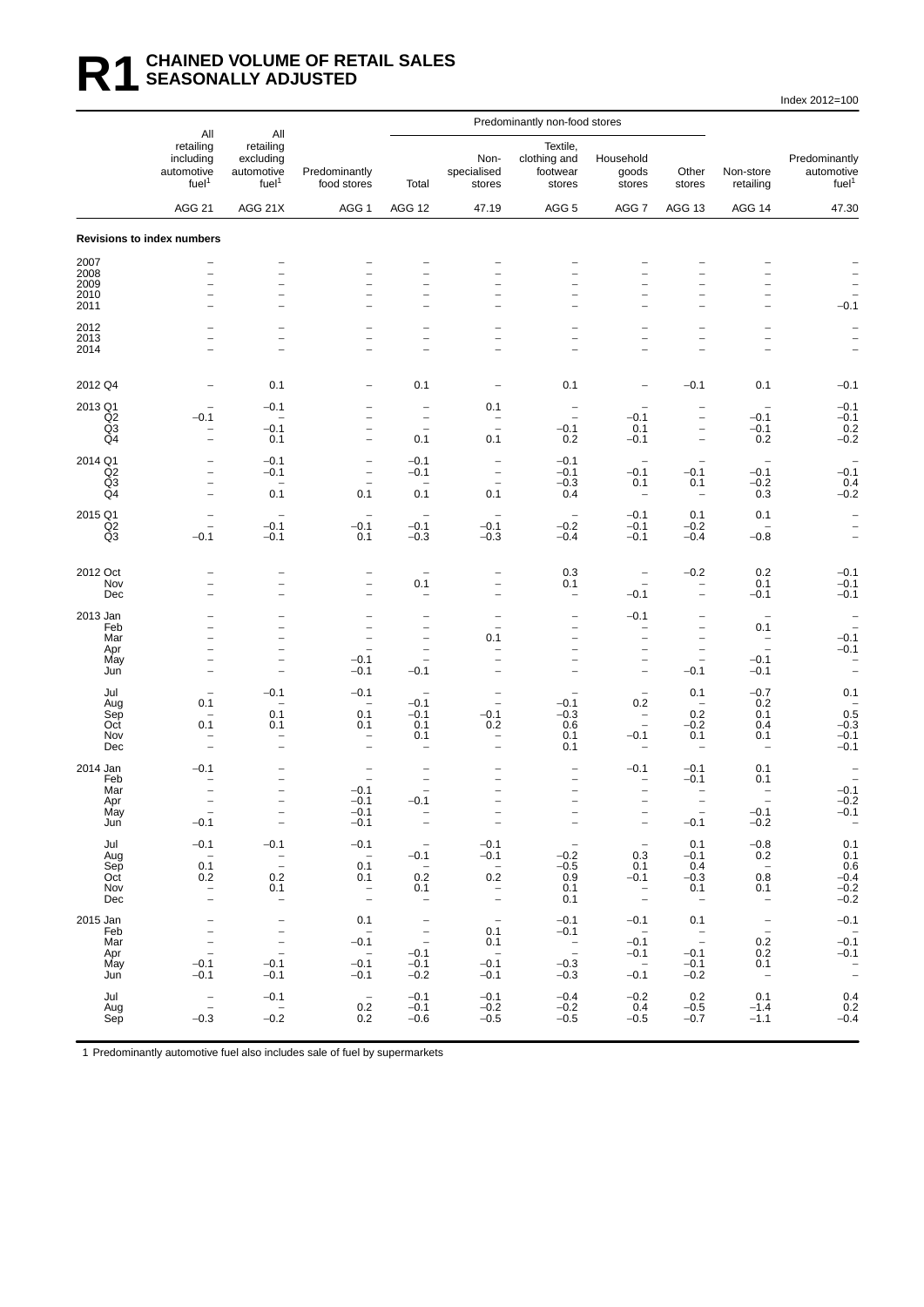#### **R1 CHAINED VOLUME OF RETAIL SALES SEASONALLY ADJUSTED**

Index 2012=100

|                      | All                                                                    | All                                                       |                                               | Predominantly non-food stores                                  |                                                      |                                                      |                                                                                  |                                                                |                                                                           |                                                                |
|----------------------|------------------------------------------------------------------------|-----------------------------------------------------------|-----------------------------------------------|----------------------------------------------------------------|------------------------------------------------------|------------------------------------------------------|----------------------------------------------------------------------------------|----------------------------------------------------------------|---------------------------------------------------------------------------|----------------------------------------------------------------|
|                      | retailing<br>including<br>automotive<br>fuel <sup>1</sup>              | retailing<br>excluding<br>automotive<br>fuel <sup>1</sup> | Predominantly<br>food stores                  | Total                                                          | Non-<br>specialised<br>stores                        | Textile.<br>clothing and<br>footwear<br>stores       | Household<br>goods<br>stores                                                     | Other<br>stores                                                | Non-store<br>retailing                                                    | Predominantly<br>automotive<br>fuel <sup>1</sup>               |
|                      | <b>AGG 21</b>                                                          | AGG 21X                                                   | AGG 1                                         | AGG 12                                                         | 47.19                                                | AGG <sub>5</sub>                                     | AGG 7                                                                            | AGG 13                                                         | AGG 14                                                                    | 47.30                                                          |
|                      | Revisions to index numbers                                             |                                                           |                                               |                                                                |                                                      |                                                      |                                                                                  |                                                                |                                                                           |                                                                |
| 2007<br>2008         | $\overline{a}$                                                         |                                                           | $\overline{\phantom{0}}$                      |                                                                |                                                      |                                                      |                                                                                  |                                                                | $\overline{\phantom{0}}$                                                  |                                                                |
| 2009<br>2010         | $\overline{a}$<br>$\overline{\phantom{0}}$                             | $\overline{\phantom{0}}$                                  | $\overline{\phantom{0}}$<br>$\overline{a}$    | $\overline{\phantom{0}}$                                       |                                                      | ۳                                                    |                                                                                  | $\overline{\phantom{a}}$                                       | $\overline{\phantom{0}}$<br>$\overline{a}$                                |                                                                |
| 2011                 |                                                                        | ۳                                                         |                                               | $\overline{\phantom{a}}$                                       |                                                      | $\overline{\phantom{a}}$                             |                                                                                  | $\qquad \qquad -$                                              | $\overline{a}$                                                            | $-0.1$                                                         |
| 2012<br>2013<br>2014 | $\overline{\phantom{0}}$                                               | $\overline{\phantom{0}}$                                  | $\overline{a}$                                | $\overline{\phantom{0}}$<br>$\overline{a}$                     |                                                      | $\overline{\phantom{0}}$                             |                                                                                  | $\qquad \qquad -$                                              | $\overline{\phantom{0}}$<br>$\qquad \qquad -$<br>$\overline{\phantom{0}}$ |                                                                |
| 2012 Q4              | $\overline{a}$                                                         | 0.1                                                       | $\overline{\phantom{0}}$                      | 0.1                                                            | $\overline{a}$                                       | 0.1                                                  | $\overline{\phantom{0}}$                                                         | $-0.1$                                                         | 0.1                                                                       | $-0.1$                                                         |
| 2013 Q1<br>Q2        | $-0.1$                                                                 | $-0.1$                                                    | $\overline{\phantom{0}}$                      | -<br>$\overline{\phantom{0}}$                                  | 0.1                                                  | $\overline{\phantom{0}}$                             | $-0.1$                                                                           | $\bar{\phantom{a}}$                                            | $-0.1$                                                                    | $-0.1$<br>$-0.1$                                               |
| Q <sub>3</sub><br>Q4 | $\overline{\phantom{0}}$                                               | $-0.1$<br>0.1                                             | $\qquad \qquad -$<br>$\equiv$                 | $\overline{\phantom{a}}$<br>0.1                                | $\overline{\phantom{a}}$<br>0.1                      | $-0.1$<br>0.2                                        | 0.1<br>$-0.1$                                                                    | $\overline{\phantom{a}}$<br>$\overline{\phantom{a}}$           | $-0.1$<br>0.2                                                             | 0.2<br>$-0.2$                                                  |
| 2014 Q1<br>Q2        | -                                                                      | $-0.1$<br>$-0.1$                                          | $\overline{\phantom{0}}$<br>$\qquad \qquad -$ | $-0.1$<br>$-0.1$                                               | $\qquad \qquad -$<br>$\qquad \qquad -$               | $-0.1$<br>$-0.1$                                     | $\overline{\phantom{a}}$<br>$-0.1$                                               | $-0.1$                                                         | $\overline{\phantom{a}}$<br>$-0.1$                                        | $-0.1$                                                         |
| Q3<br>Q4             | $\overline{\phantom{0}}$<br>$\overline{a}$                             | $\overline{\phantom{a}}$<br>0.1                           | $\overline{\phantom{0}}$<br>0.1               | $\overline{\phantom{a}}$<br>0.1                                | $\overline{\phantom{0}}$<br>0.1                      | $-0.3$<br>0.4                                        | 0.1<br>$\overline{\phantom{a}}$                                                  | 0.1<br>$\qquad \qquad -$                                       | $-0.2$<br>0.3                                                             | 0.4<br>$-0.2$                                                  |
| 2015 Q1<br>Q2        | -                                                                      | $-0.1$                                                    | $\overline{\phantom{0}}$<br>$-0.1$            | $-0.1$                                                         | $-0.1$                                               | $\overline{\phantom{a}}$<br>$-0.2$                   | $-0.1$<br>$-0.1$                                                                 | 0.1<br>$-0.2$                                                  | 0.1                                                                       | $\overline{\phantom{a}}$<br>$\qquad \qquad -$                  |
| Q3                   | $-0.1$                                                                 | $-0.1$                                                    | 0.1                                           | $-0.3$                                                         | $-0.3$                                               | $-0.4$                                               | $-0.1$                                                                           | $-0.4$                                                         | $-0.8$                                                                    | $\qquad \qquad -$                                              |
| 2012 Oct<br>Nov      | L.                                                                     | $\overline{\phantom{a}}$                                  | $\qquad \qquad -$                             | 0.1                                                            | $\equiv$                                             | 0.3<br>0.1                                           | -                                                                                | $-0.2$<br>$\overline{\phantom{a}}$                             | 0.2<br>0.1                                                                | $-0.1$<br>$-0.1$                                               |
| Dec<br>2013 Jan      |                                                                        | $\overline{\phantom{a}}$                                  | $\overline{a}$                                | L.                                                             | $\overline{\phantom{0}}$                             | $\overline{\phantom{a}}$                             | $-0.1$<br>$-0.1$                                                                 | $\overline{\phantom{a}}$                                       | $-0.1$                                                                    | $-0.1$<br>$\qquad \qquad -$                                    |
| Feb<br>Mar           |                                                                        |                                                           | $\overline{\phantom{0}}$                      |                                                                | 0.1                                                  |                                                      |                                                                                  |                                                                | 0.1<br>$\qquad \qquad -$                                                  | $-0.1$                                                         |
| Apr<br>May<br>Jun    | $\overline{a}$<br>$\overline{\phantom{0}}$<br>$\overline{\phantom{0}}$ | $\overline{\phantom{a}}$<br>$\overline{\phantom{0}}$      | $\overline{\phantom{a}}$<br>$-0.1$<br>$-0.1$  | $\overline{\phantom{0}}$<br>$\overline{\phantom{0}}$<br>$-0.1$ | ۰                                                    | $\overline{\phantom{0}}$<br>$\overline{\phantom{0}}$ | $\overline{\phantom{0}}$<br>$\overline{\phantom{0}}$<br>$\overline{\phantom{0}}$ | $\overline{\phantom{a}}$<br>$\overline{\phantom{m}}$<br>$-0.1$ | $\overline{\phantom{a}}$<br>$-0.1$<br>$-0.1$                              | $-0.1$<br>$\overline{\phantom{a}}$<br>$\overline{\phantom{a}}$ |
| Jul                  |                                                                        | $-0.1$                                                    | $-0.1$                                        |                                                                |                                                      |                                                      | $\overline{\phantom{a}}$                                                         | 0.1                                                            | $-0.7$                                                                    | 0.1                                                            |
| Aug<br>Sep           | 0.1<br>$\overline{\phantom{0}}$                                        | 0.1                                                       | $\qquad \qquad -$<br>0.1                      | $-0.1$<br>$-0.1$                                               | $\overline{\phantom{0}}$<br>$-0.1$                   | $-0.1$<br>$-0.3$                                     | 0.2<br>$\hspace{0.1mm}-\hspace{0.1mm}$                                           | $\overline{\phantom{a}}$<br>0.2                                | 0.2<br>0.1                                                                | 0.5                                                            |
| Oct<br>Nov<br>Dec    | 0.1<br>-                                                               | 0.1<br>$\overline{a}$                                     | 0.1<br>$\qquad \qquad -$                      | 0.1<br>0.1<br>-                                                | 0.2<br>$\qquad \qquad -$<br>$\overline{\phantom{0}}$ | 0.6<br>0.1<br>0.1                                    | $\overline{\phantom{a}}$<br>$-0.1$<br>$\overline{\phantom{m}}$                   | $-0.2$<br>0.1<br>$\overline{\phantom{0}}$                      | 0.4<br>0.1<br>$\overline{\phantom{m}}$                                    | $-0.3$<br>$-0.1$<br>$-0.1$                                     |
| 2014 Jan             | $-0.1$                                                                 |                                                           |                                               |                                                                |                                                      |                                                      | $-0.1$                                                                           | $-0.1$                                                         | 0.1                                                                       |                                                                |
| Feb<br>Mar<br>Apr    | $\overline{\phantom{0}}$                                               | $\overline{\phantom{0}}$<br>$\qquad \qquad -$             | $\overline{\phantom{a}}$<br>$-0.1$<br>$-0.1$  | $\overline{\phantom{0}}$<br>$\overline{\phantom{0}}$<br>$-0.1$ |                                                      | $\overline{\phantom{a}}$<br>$\qquad \qquad -$        | -<br>-<br>-                                                                      | $-0.1$<br>$\qquad \qquad -$                                    | 0.1<br>$\overline{\phantom{0}}$                                           | $-0.1$<br>$-0.2$                                               |
| May<br>Jun           | $-0.1$                                                                 | $\overline{\phantom{a}}$                                  | $-0.1$<br>$-0.1$                              | $\overline{\phantom{m}}$                                       | $\overline{\phantom{a}}$                             | $\overline{\phantom{a}}$                             | $\overline{\phantom{a}}$                                                         | $-0.1$                                                         | $-0.1$<br>$-0.2$                                                          | $-0.1$                                                         |
| Jul<br>Aug           | $-0.1$<br>$\overline{\phantom{a}}$                                     | $-0.1$                                                    | $-0.1$<br>$\overline{\phantom{0}}$            | $\hspace{0.1mm}-\hspace{0.1mm}$<br>$-0.1$                      | $-0.1$<br>$-0.1$                                     | $\hspace{0.1mm}-\hspace{0.1mm}$<br>$-0.2$            | $\overline{\phantom{a}}$<br>0.3                                                  | 0.1<br>$-0.1$                                                  | $-0.8$<br>0.2                                                             | 0.1<br>0.1                                                     |
| Sep<br>Oct           | 0.1<br>0.2                                                             | $\bar{\mathbb{I}}$<br>0.2                                 | 0.1<br>0.1                                    | $\sim$ $-$<br>0.2                                              | $\sim$<br>0.2                                        | $-0.5$<br>0.9                                        | 0.1<br>$-0.1$                                                                    | 0.4<br>$-0.3$                                                  | $\sim$ $-$<br>0.8                                                         | 0.6<br>$-0.4$                                                  |
| Nov<br>Dec           | $\bar{\mathbb{I}}$                                                     | 0.1<br>$\overline{\phantom{a}}$                           | $\frac{1}{2}$                                 | 0.1<br>$\hspace{0.1mm}-\hspace{0.1mm}$                         | $\bar{\mathbb{I}}$                                   | 0.1<br>0.1                                           | $\bar{z}$                                                                        | 0.1<br>$\hspace{0.1mm}-\hspace{0.1mm}$                         | 0.1<br>$\hspace{0.1mm}-\hspace{0.1mm}$                                    | $\substack{ -0.2 \\ -0.2 }$                                    |
| 2015 Jan<br>Feb      | $\bar{a}$                                                              | $\bar{\mathbb{I}}$                                        | 0.1<br>$\hspace{0.1cm} -$                     | $\frac{1}{2}$                                                  | $\overline{\phantom{a}}$<br>0.1                      | $-0.1$<br>$-0.1$                                     | $-0.1$<br>$\sim$ $-$                                                             | 0.1                                                            | $\bar{z}$                                                                 | $-0.1$                                                         |
| Mar<br>Apr<br>May    | $\bar{\mathbb{I}}$                                                     | $\frac{1}{2}$                                             | $-0.1$<br>$\sim$ $-$                          | $-0.1$                                                         | 0.1<br>$-0.\overline{1}$                             | $\overline{a}$                                       | $-0.1$<br>$-0.1$                                                                 | $\frac{1}{2}$<br>$-0.1$                                        | 0.2<br>0.2                                                                | $-0.\overline{1}$<br>$-0.1$                                    |
| Jun                  | $-0.1$<br>$-0.1$                                                       | $-0.1$<br>$-0.1$                                          | $-0.1$<br>$-0.1$                              | $-0.1$<br>$-0.2$                                               | $-0.1$                                               | $-0.3$<br>$-0.3$                                     | $\sim$ $-$<br>$-0.1$                                                             | $-0.1$<br>$-0.2$                                               | 0.1<br>$\hspace{0.1mm}$ $\hspace{0.1mm}$                                  | $\frac{1}{2}$                                                  |
| Jul<br>Aug<br>Sep    | $\bar{a}$<br>$-0.3$                                                    | $-0.1$<br>$\sim$ $-$<br>$-0.2$                            | $\hspace{0.1mm}-\hspace{0.1mm}$<br>0.2<br>0.2 | $-0.1$<br>$-0.1$<br>$-0.6$                                     | $-0.1$<br>$-0.2$<br>$-0.5$                           | $-0.4$<br>$-0.2$<br>$-0.5$                           | $-0.2$<br>0.4<br>$-0.5$                                                          | $0.2\,$<br>$-0.5$<br>$-0.7$                                    | 0.1<br>$-1.4$<br>$-1.1$                                                   | 0.4<br>0.2<br>$-0.4$                                           |
|                      |                                                                        |                                                           |                                               |                                                                |                                                      |                                                      |                                                                                  |                                                                |                                                                           |                                                                |

1 Predominantly automotive fuel also includes sale of fuel by supermarkets